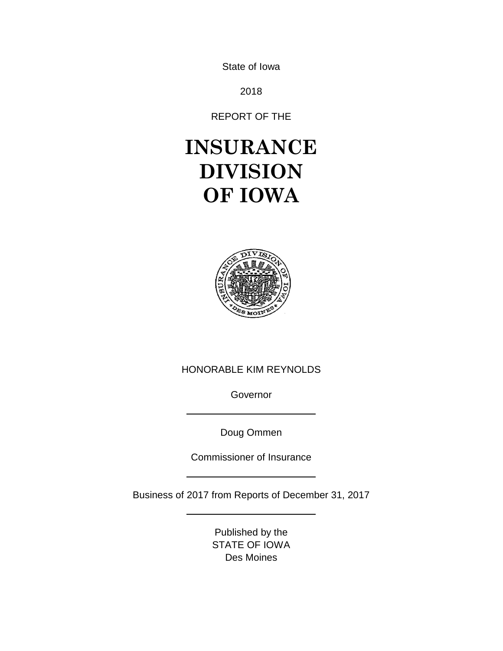State of Iowa

2018

REPORT OF THE

# **INSURANCE DIVISION OF IOWA**



# HONORABLE KIM REYNOLDS

Governor

Doug Ommen

Commissioner of Insurance

Business of 2017 from Reports of December 31, 2017

Published by the STATE OF IOWA Des Moines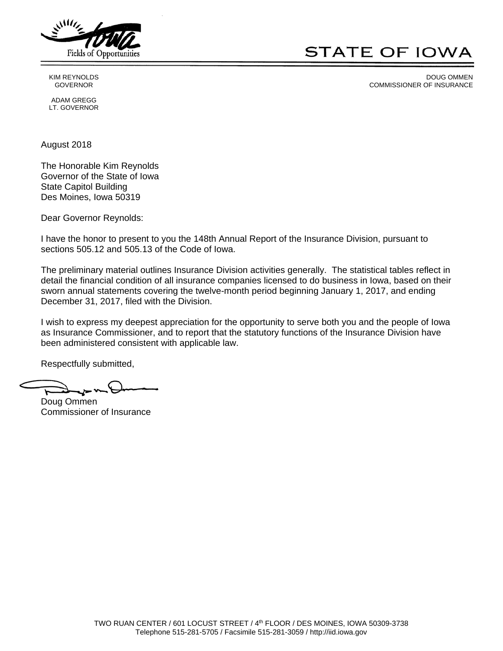

# **STATE OF IOWA**

 KIM REYNOLDS DOUG OMMEN GOVERNOR GOVERNOR COMMISSIONER OF INSURANCE

 ADAM GREGG LT. GOVERNOR

August 2018

The Honorable Kim Reynolds Governor of the State of Iowa State Capitol Building Des Moines, Iowa 50319

Dear Governor Reynolds:

I have the honor to present to you the 148th Annual Report of the Insurance Division, pursuant to sections 505.12 and 505.13 of the Code of Iowa.

The preliminary material outlines Insurance Division activities generally. The statistical tables reflect in detail the financial condition of all insurance companies licensed to do business in Iowa, based on their sworn annual statements covering the twelve-month period beginning January 1, 2017, and ending December 31, 2017, filed with the Division.

I wish to express my deepest appreciation for the opportunity to serve both you and the people of Iowa as Insurance Commissioner, and to report that the statutory functions of the Insurance Division have been administered consistent with applicable law.

Respectfully submitted,

Doug Ommen Commissioner of Insurance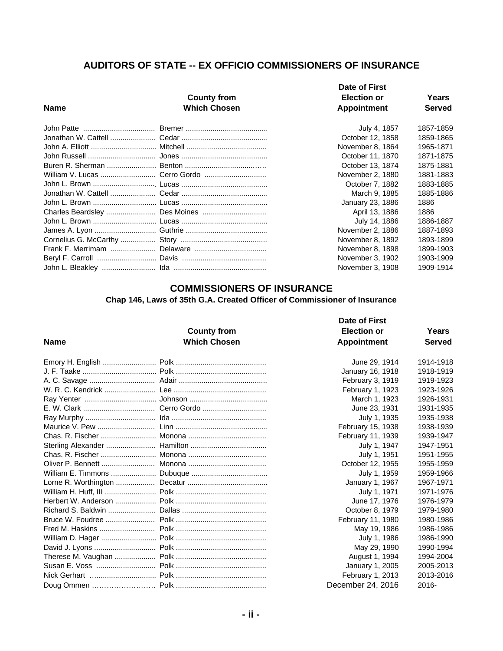# **AUDITORS OF STATE -- EX OFFICIO COMMISSIONERS OF INSURANCE**

| <b>Name</b> | <b>County from</b><br><b>Which Chosen</b> | Date of First<br><b>Election or</b><br>Appointment | Years<br><b>Served</b> |
|-------------|-------------------------------------------|----------------------------------------------------|------------------------|
|             |                                           | July 4, 1857                                       | 1857-1859              |
|             |                                           | October 12, 1858                                   | 1859-1865              |
|             |                                           | November 8, 1864                                   | 1965-1871              |
|             |                                           | October 11, 1870                                   | 1871-1875              |
|             |                                           | October 13, 1874                                   | 1875-1881              |
|             |                                           | November 2, 1880                                   | 1881-1883              |
|             |                                           | October 7, 1882                                    | 1883-1885              |
|             |                                           | March 9, 1885                                      | 1885-1886              |
|             |                                           | January 23, 1886                                   | 1886                   |
|             |                                           | April 13, 1886                                     | 1886                   |
|             |                                           | July 14, 1886                                      | 1886-1887              |
|             |                                           | November 2, 1886                                   | 1887-1893              |
|             |                                           | November 8, 1892                                   | 1893-1899              |
|             |                                           | November 8, 1898                                   | 1899-1903              |
|             |                                           | November 3, 1902                                   | 1903-1909              |
|             |                                           | November 3, 1908                                   | 1909-1914              |

# **COMMISSIONERS OF INSURANCE**

## **Chap 146, Laws of 35th G.A. Created Officer of Commissioner of Insurance**

| <b>Name</b> | <b>County from</b><br><b>Which Chosen</b> | Date of First<br><b>Election or</b><br><b>Appointment</b> | Years<br><b>Served</b> |
|-------------|-------------------------------------------|-----------------------------------------------------------|------------------------|
|             |                                           | June 29, 1914                                             | 1914-1918              |
|             |                                           | January 16, 1918                                          | 1918-1919              |
|             |                                           | February 3, 1919                                          | 1919-1923              |
|             |                                           | February 1, 1923                                          | 1923-1926              |
|             |                                           | March 1, 1923                                             | 1926-1931              |
|             |                                           | June 23, 1931                                             | 1931-1935              |
|             |                                           | July 1, 1935                                              | 1935-1938              |
|             |                                           | February 15, 1938                                         | 1938-1939              |
|             |                                           | February 11, 1939                                         | 1939-1947              |
|             |                                           | July 1, 1947                                              | 1947-1951              |
|             |                                           | July 1, 1951                                              | 1951-1955              |
|             |                                           | October 12, 1955                                          | 1955-1959              |
|             |                                           | July 1, 1959                                              | 1959-1966              |
|             |                                           | January 1, 1967                                           | 1967-1971              |
|             |                                           | July 1, 1971                                              | 1971-1976              |
|             |                                           | June 17, 1976                                             | 1976-1979              |
|             |                                           | October 8, 1979                                           | 1979-1980              |
|             |                                           | February 11, 1980                                         | 1980-1986              |
|             |                                           | May 19, 1986                                              | 1986-1986              |
|             |                                           | July 1, 1986                                              | 1986-1990              |
|             |                                           | May 29, 1990                                              | 1990-1994              |
|             |                                           | August 1, 1994                                            | 1994-2004              |
|             |                                           | January 1, 2005                                           | 2005-2013              |
|             |                                           | February 1, 2013                                          | 2013-2016              |
|             |                                           | December 24, 2016                                         | 2016-                  |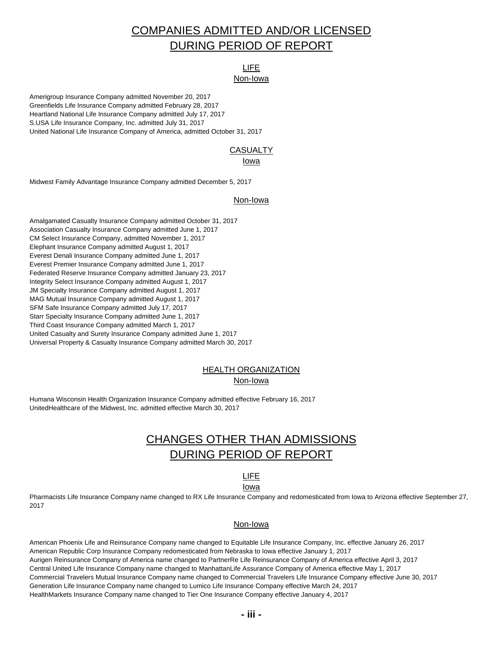# COMPANIES ADMITTED AND/OR LICENSED DURING PERIOD OF REPORT

# LIFE

#### Non-Iowa

Amerigroup Insurance Company admitted November 20, 2017 Greenfields Life Insurance Company admitted February 28, 2017 Heartland National Life Insurance Company admitted July 17, 2017 S.USA Life Insurance Company, Inc. admitted July 31, 2017 United National Life Insurance Company of America, admitted October 31, 2017

### **CASUALTY**

#### Iowa

Midwest Family Advantage Insurance Company admitted December 5, 2017

#### Non-Iowa

Amalgamated Casualty Insurance Company admitted October 31, 2017 Association Casualty Insurance Company admitted June 1, 2017 CM Select Insurance Company, admitted November 1, 2017 Elephant Insurance Company admitted August 1, 2017 Everest Denali Insurance Company admitted June 1, 2017 Everest Premier Insurance Company admitted June 1, 2017 Federated Reserve Insurance Company admitted January 23, 2017 Integrity Select Insurance Company admitted August 1, 2017 JM Specialty Insurance Company admitted August 1, 2017 MAG Mutual Insurance Company admitted August 1, 2017 SFM Safe Insurance Company admitted July 17, 2017 Starr Specialty Insurance Company admitted June 1, 2017 Third Coast Insurance Company admitted March 1, 2017 United Casualty and Surety Insurance Company admitted June 1, 2017 Universal Property & Casualty Insurance Company admitted March 30, 2017

#### HEALTH ORGANIZATION Non-Iowa

Humana Wisconsin Health Organization Insurance Company admitted effective February 16, 2017 UnitedHealthcare of the Midwest, Inc. admitted effective March 30, 2017

# CHANGES OTHER THAN ADMISSIONS DURING PERIOD OF REPORT

# LIFE

#### Iowa

Pharmacists Life Insurance Company name changed to RX Life Insurance Company and redomesticated from Iowa to Arizona effective September 27, 2017

### Non-Iowa

American Phoenix Life and Reinsurance Company name changed to Equitable Life Insurance Company, Inc. effective January 26, 2017 American Republic Corp Insurance Company redomesticated from Nebraska to Iowa effective January 1, 2017 Aurigen Reinsurance Company of America name changed to PartnerRe Life Reinsurance Company of America effective April 3, 2017 Central United Life Insurance Company name changed to ManhattanLife Assurance Company of America effective May 1, 2017 Commercial Travelers Mutual Insurance Company name changed to Commercial Travelers Life Insurance Company effective June 30, 2017 Generation Life Insurance Company name changed to Lumico Life Insurance Company effective March 24, 2017 HealthMarkets Insurance Company name changed to Tier One Insurance Company effective January 4, 2017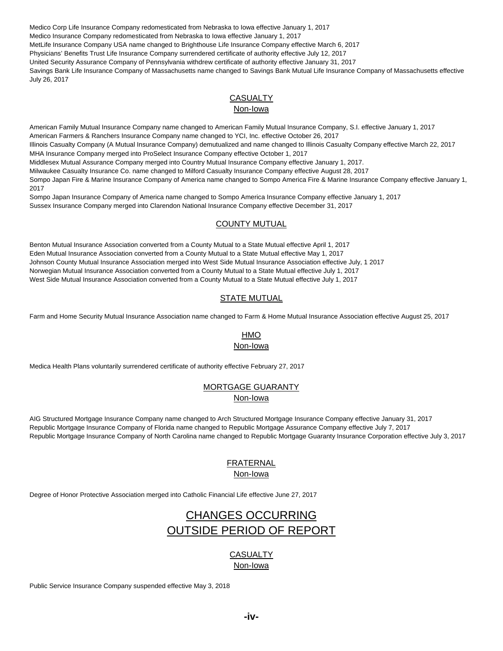Medico Corp Life Insurance Company redomesticated from Nebraska to Iowa effective January 1, 2017 Medico Insurance Company redomesticated from Nebraska to Iowa effective January 1, 2017 MetLife Insurance Company USA name changed to Brighthouse Life Insurance Company effective March 6, 2017 Physicians' Benefits Trust Life Insurance Company surrendered certificate of authority effective July 12, 2017 United Security Assurance Company of Pennsylvania withdrew certificate of authority effective January 31, 2017 Savings Bank Life Insurance Company of Massachusetts name changed to Savings Bank Mutual Life Insurance Company of Massachusetts effective July 26, 2017

#### **CASUALTY** Non-Iowa

American Family Mutual Insurance Company name changed to American Family Mutual Insurance Company, S.I. effective January 1, 2017 American Farmers & Ranchers Insurance Company name changed to YCI, Inc. effective October 26, 2017 Illinois Casualty Company (A Mutual Insurance Company) demutualized and name changed to Illinois Casualty Company effective March 22, 2017 MHA Insurance Company merged into ProSelect Insurance Company effective October 1, 2017 Middlesex Mutual Assurance Company merged into Country Mutual Insurance Company effective January 1, 2017. Milwaukee Casualty Insurance Co. name changed to Milford Casualty Insurance Company effective August 28, 2017 Sompo Japan Fire & Marine Insurance Company of America name changed to Sompo America Fire & Marine Insurance Company effective January 1, 2017

Sompo Japan Insurance Company of America name changed to Sompo America Insurance Company effective January 1, 2017 Sussex Insurance Company merged into Clarendon National Insurance Company effective December 31, 2017

### COUNTY MUTUAL

Benton Mutual Insurance Association converted from a County Mutual to a State Mutual effective April 1, 2017 Eden Mutual Insurance Association converted from a County Mutual to a State Mutual effective May 1, 2017 Johnson County Mutual Insurance Association merged into West Side Mutual Insurance Association effective July, 1 2017 Norwegian Mutual Insurance Association converted from a County Mutual to a State Mutual effective July 1, 2017 West Side Mutual Insurance Association converted from a County Mutual to a State Mutual effective July 1, 2017

### STATE MUTUAL

Farm and Home Security Mutual Insurance Association name changed to Farm & Home Mutual Insurance Association effective August 25, 2017

# HMO

Non-Iowa

Medica Health Plans voluntarily surrendered certificate of authority effective February 27, 2017

### MORTGAGE GUARANTY Non-Iowa

AIG Structured Mortgage Insurance Company name changed to Arch Structured Mortgage Insurance Company effective January 31, 2017 Republic Mortgage Insurance Company of Florida name changed to Republic Mortgage Assurance Company effective July 7, 2017 Republic Mortgage Insurance Company of North Carolina name changed to Republic Mortgage Guaranty Insurance Corporation effective July 3, 2017

# FRATERNAL

# Non-Iowa

Degree of Honor Protective Association merged into Catholic Financial Life effective June 27, 2017

# CHANGES OCCURRING OUTSIDE PERIOD OF REPORT

# **CASUALTY**

Non-Iowa

Public Service Insurance Company suspended effective May 3, 2018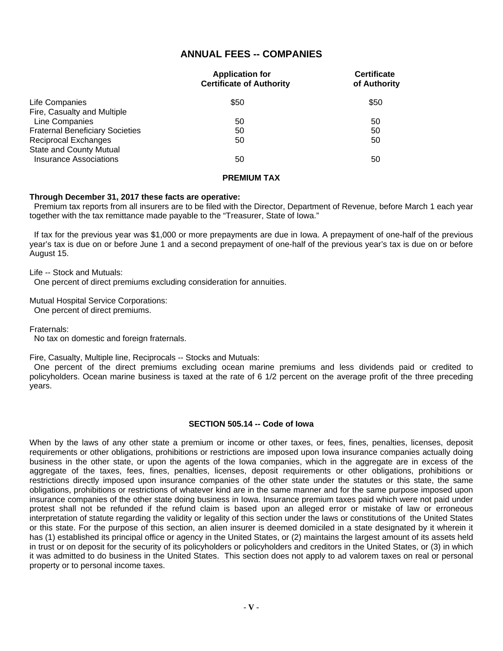### **ANNUAL FEES -- COMPANIES**

|                                        | <b>Application for</b><br><b>Certificate of Authority</b> | <b>Certificate</b><br>of Authority |
|----------------------------------------|-----------------------------------------------------------|------------------------------------|
| Life Companies                         | \$50                                                      | \$50                               |
| Fire, Casualty and Multiple            |                                                           |                                    |
| Line Companies                         | 50                                                        | 50                                 |
| <b>Fraternal Beneficiary Societies</b> | 50                                                        | 50                                 |
| <b>Reciprocal Exchanges</b>            | 50                                                        | 50                                 |
| <b>State and County Mutual</b>         |                                                           |                                    |
| Insurance Associations                 | 50                                                        | 50                                 |

#### **PREMIUM TAX**

#### **Through December 31, 2017 these facts are operative:**

 Premium tax reports from all insurers are to be filed with the Director, Department of Revenue, before March 1 each year together with the tax remittance made payable to the "Treasurer, State of Iowa."

 If tax for the previous year was \$1,000 or more prepayments are due in Iowa. A prepayment of one-half of the previous year's tax is due on or before June 1 and a second prepayment of one-half of the previous year's tax is due on or before August 15.

Life -- Stock and Mutuals:

One percent of direct premiums excluding consideration for annuities.

Mutual Hospital Service Corporations: One percent of direct premiums.

Fraternals:

No tax on domestic and foreign fraternals.

Fire, Casualty, Multiple line, Reciprocals -- Stocks and Mutuals:

 One percent of the direct premiums excluding ocean marine premiums and less dividends paid or credited to policyholders. Ocean marine business is taxed at the rate of 6 1/2 percent on the average profit of the three preceding years.

#### **SECTION 505.14 -- Code of Iowa**

When by the laws of any other state a premium or income or other taxes, or fees, fines, penalties, licenses, deposit requirements or other obligations, prohibitions or restrictions are imposed upon Iowa insurance companies actually doing business in the other state, or upon the agents of the Iowa companies, which in the aggregate are in excess of the aggregate of the taxes, fees, fines, penalties, licenses, deposit requirements or other obligations, prohibitions or restrictions directly imposed upon insurance companies of the other state under the statutes or this state, the same obligations, prohibitions or restrictions of whatever kind are in the same manner and for the same purpose imposed upon insurance companies of the other state doing business in Iowa. Insurance premium taxes paid which were not paid under protest shall not be refunded if the refund claim is based upon an alleged error or mistake of law or erroneous interpretation of statute regarding the validity or legality of this section under the laws or constitutions of the United States or this state. For the purpose of this section, an alien insurer is deemed domiciled in a state designated by it wherein it has (1) established its principal office or agency in the United States, or (2) maintains the largest amount of its assets held in trust or on deposit for the security of its policyholders or policyholders and creditors in the United States, or (3) in which it was admitted to do business in the United States. This section does not apply to ad valorem taxes on real or personal property or to personal income taxes.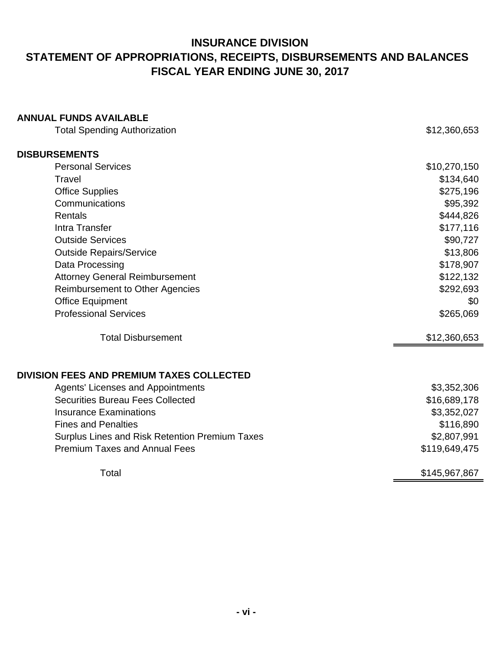# **INSURANCE DIVISION STATEMENT OF APPROPRIATIONS, RECEIPTS, DISBURSEMENTS AND BALANCES FISCAL YEAR ENDING JUNE 30, 2017**

# **ANNUAL FUNDS AVAILABLE**

| <b>Total Spending Authorization</b>                   | \$12,360,653  |
|-------------------------------------------------------|---------------|
| <b>DISBURSEMENTS</b>                                  |               |
| <b>Personal Services</b>                              | \$10,270,150  |
| Travel                                                | \$134,640     |
| <b>Office Supplies</b>                                | \$275,196     |
| Communications                                        | \$95,392      |
| Rentals                                               | \$444,826     |
| Intra Transfer                                        | \$177,116     |
| <b>Outside Services</b>                               | \$90,727      |
| <b>Outside Repairs/Service</b>                        | \$13,806      |
| Data Processing                                       | \$178,907     |
| <b>Attorney General Reimbursement</b>                 | \$122,132     |
| <b>Reimbursement to Other Agencies</b>                | \$292,693     |
| <b>Office Equipment</b>                               | \$0           |
| <b>Professional Services</b>                          | \$265,069     |
| <b>Total Disbursement</b>                             | \$12,360,653  |
| <b>DIVISION FEES AND PREMIUM TAXES COLLECTED</b>      |               |
| <b>Agents' Licenses and Appointments</b>              | \$3,352,306   |
| <b>Securities Bureau Fees Collected</b>               | \$16,689,178  |
| <b>Insurance Examinations</b>                         | \$3,352,027   |
| <b>Fines and Penalties</b>                            | \$116,890     |
| <b>Surplus Lines and Risk Retention Premium Taxes</b> | \$2,807,991   |
| <b>Premium Taxes and Annual Fees</b>                  | \$119,649,475 |
| Total                                                 | \$145,967,867 |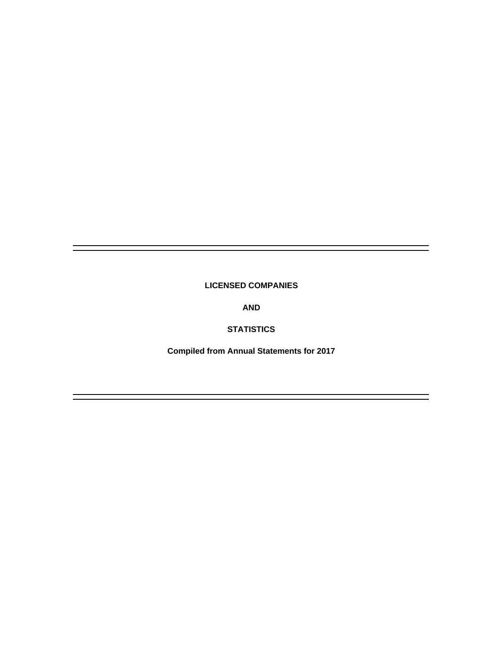### **LICENSED COMPANIES**

**AND**

### **STATISTICS**

**Compiled from Annual Statements for 2017**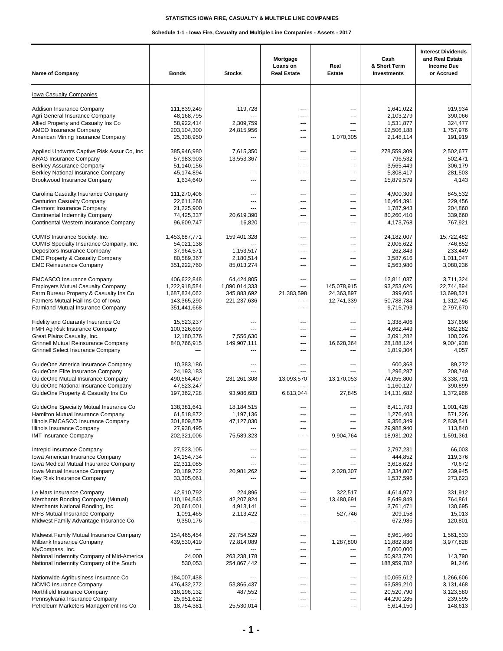#### **Schedule 1-1 - Iowa Fire, Casualty and Multiple Line Companies - Assets - 2017**

| <b>Name of Company</b>                                                      | <b>Bonds</b>               | <b>Stocks</b>            | Mortgage<br>Loans on<br><b>Real Estate</b> | Real<br><b>Estate</b>    | Cash<br>& Short Term<br><b>Investments</b> | <b>Interest Dividends</b><br>and Real Estate<br><b>Income Due</b><br>or Accrued |
|-----------------------------------------------------------------------------|----------------------------|--------------------------|--------------------------------------------|--------------------------|--------------------------------------------|---------------------------------------------------------------------------------|
|                                                                             |                            |                          |                                            |                          |                                            |                                                                                 |
| <b>Iowa Casualty Companies</b>                                              |                            |                          |                                            |                          |                                            |                                                                                 |
| Addison Insurance Company                                                   | 111,839,249                | 119,728                  | ---                                        | ---                      | 1,641,022                                  | 919,934                                                                         |
| Agri General Insurance Company                                              | 48,168,795                 |                          | ---                                        | ---                      | 2,103,279                                  | 390,066                                                                         |
| Allied Property and Casualty Ins Co                                         | 58,922,414                 | 2,309,759                | ---                                        | ---                      | 1,531,877                                  | 324,477                                                                         |
| <b>AMCO Insurance Company</b><br>American Mining Insurance Company          | 203,104,300<br>25,338,950  | 24,815,956               | ---<br>---                                 | ---<br>1,070,305         | 12,506,188<br>2,148,114                    | 1,757,976<br>191,919                                                            |
| Applied Undwrtrs Captive Risk Assur Co, Inc.                                | 385,946,980                | 7,615,350                | ---                                        | ---                      | 278,559,309                                | 2,502,677                                                                       |
| <b>ARAG Insurance Company</b>                                               | 57,983,903                 | 13,553,367               | ---                                        | ---                      | 796,532                                    | 502,471                                                                         |
| <b>Berkley Assurance Company</b>                                            | 51,140,156                 | ---                      | ---                                        | ---                      | 3,565,449                                  | 306,179                                                                         |
| Berkley National Insurance Company                                          | 45,174,894<br>1,634,640    | ---<br>---               | ---<br>---                                 | ---<br>---               | 5,308,417<br>15,879,579                    | 281,503                                                                         |
| Brookwood Insurance Company                                                 |                            |                          |                                            |                          |                                            | 4,143                                                                           |
| Carolina Casualty Insurance Company                                         | 111,270,406                | $\overline{a}$<br>---    | ---                                        | $\overline{a}$           | 4,900,309                                  | 845,532                                                                         |
| <b>Centurion Casualty Company</b><br><b>Clermont Insurance Company</b>      | 22,611,268<br>21,225,900   |                          | ---<br>---                                 | ---<br>---               | 16,464,391<br>1,787,943                    | 229,456<br>204,860                                                              |
| <b>Continental Indemnity Company</b>                                        | 74,425,337                 | 20,619,390               | ---                                        | ---                      | 80,260,410                                 | 339,660                                                                         |
| Continental Western Insurance Company                                       | 96,609,747                 | 16,820                   | ---                                        | $\overline{a}$           | 4,173,768                                  | 767,921                                                                         |
| CUMIS Insurance Society, Inc.                                               | 1,453,687,771              | 159,401,328              | ---                                        | ---                      | 24,182,007                                 | 15,722,482                                                                      |
| CUMIS Specialty Insurance Company, Inc.<br>Depositors Insurance Company     | 54,021,138<br>37,964,571   | 1,153,517                | ---<br>---                                 | ---<br>---               | 2,006,622<br>262,843                       | 746,852<br>233,449                                                              |
| <b>EMC Property &amp; Casualty Company</b>                                  | 80,589,367                 | 2,180,514                | ---                                        | ---                      | 3,587,616                                  | 1,011,047                                                                       |
| <b>EMC Reinsurance Company</b>                                              | 351,222,760                | 85,013,274               | ---                                        | ---                      | 9,563,980                                  | 3,080,236                                                                       |
| <b>EMCASCO Insurance Company</b>                                            | 406,622,848                | 64,424,805               | ---                                        |                          | 12,811,037                                 | 3,711,324                                                                       |
| <b>Employers Mutual Casualty Company</b>                                    | 1,222,918,584              | 1,090,014,333            | $\overline{a}$                             | 145,078,915              | 93,253,626                                 | 22,744,894                                                                      |
| Farm Bureau Property & Casualty Ins Co                                      | 1,687,834,062              | 345,883,692              | 21,383,598                                 | 24,363,897               | 399,605                                    | 13,698,521                                                                      |
| Farmers Mutual Hail Ins Co of Iowa                                          | 143,365,290                | 221,237,636              | ---                                        | 12,741,339               | 50,788,784                                 | 1,312,745                                                                       |
| Farmland Mutual Insurance Company                                           | 351,441,668                | ---                      | ---                                        | ---                      | 9,715,793                                  | 2,797,670                                                                       |
| Fidelity and Guaranty Insurance Co                                          | 15,523,237                 | ---                      | ---                                        | ---                      | 1,338,406                                  | 137,696                                                                         |
| FMH Ag Risk Insurance Company                                               | 100,326,699                | ---                      | ---                                        | ---                      | 4,662,449                                  | 682,282                                                                         |
| Great Plains Casualty, Inc.<br><b>Grinnell Mutual Reinsurance Company</b>   | 12,180,376<br>840,766,915  | 7,556,630<br>149,907,111 | ---<br>---                                 | ---<br>16,628,364        | 3,091,282<br>28,188,124                    | 100,026<br>9,004,938                                                            |
| Grinnell Select Insurance Company                                           |                            | ---                      | ---                                        | ---                      | 1,819,304                                  | 4,057                                                                           |
| GuideOne America Insurance Company                                          | 10,383,186                 | ---                      | ---                                        | ---                      | 600,368                                    | 89,272                                                                          |
| GuideOne Elite Insurance Company                                            | 24,193,183                 | ---                      | ---                                        | ---                      | 1,296,287                                  | 208,749                                                                         |
| GuideOne Mutual Insurance Company                                           | 490,564,497                | 231,261,308              | 13,093,570                                 | 13,170,053               | 74,055,800                                 | 3,338,791                                                                       |
| GuideOne National Insurance Company<br>GuideOne Property & Casualty Ins Co  | 47,523,247<br>197,362,728  | 93,986,683               | ---<br>6,813,044                           | $\overline{a}$<br>27,845 | 1,160,127<br>14,131,682                    | 390,899<br>1,372,966                                                            |
|                                                                             |                            |                          |                                            |                          |                                            |                                                                                 |
| GuideOne Specialty Mutual Insurance Co<br>Hamilton Mutual Insurance Company | 138,381,641<br>61,518,872  | 18,184,515<br>1,197,136  | ---                                        | ---                      | 8,411,783<br>1,276,403                     | 1,001,428<br>571,226                                                            |
| Illinois EMCASCO Insurance Company                                          | 301,809,579                | 47,127,030               | ---                                        | ---                      | 9,356,349                                  | 2,839,541                                                                       |
| Illinois Insurance Company                                                  | 27,938,495                 |                          | ---                                        | ---                      | 29,988,940                                 | 113,840                                                                         |
| <b>IMT Insurance Company</b>                                                | 202,321,006                | 75,589,323               | ---                                        | 9,904,764                | 18,931,202                                 | 1,591,361                                                                       |
| Intrepid Insurance Company                                                  | 27,523,105                 |                          | ---                                        | ---                      | 2,797,231                                  | 66,003                                                                          |
| Iowa American Insurance Company<br>Iowa Medical Mutual Insurance Company    | 14, 154, 734<br>22,311,085 | ---                      | ---<br>---                                 | ---<br>---               | 444,852<br>3,618,623                       | 119,376<br>70,672                                                               |
| Iowa Mutual Insurance Company                                               | 20,189,722                 | 20,981,262               | ---                                        | 2,028,307                | 2,334,807                                  | 239,945                                                                         |
| Key Risk Insurance Company                                                  | 33,305,061                 |                          | ---                                        |                          | 1,537,596                                  | 273,623                                                                         |
| Le Mars Insurance Company                                                   | 42,910,792                 | 224,896                  | ---                                        | 322,517                  | 4,614,972                                  | 331,912                                                                         |
| Merchants Bonding Company (Mutual)                                          | 110,194,543                | 42,207,824               | ---                                        | 13,480,691               | 8,649,849                                  | 764,861                                                                         |
| Merchants National Bonding, Inc.                                            | 20,661,001                 | 4,913,141                | ---                                        |                          | 3,761,471                                  | 130,695                                                                         |
| MFS Mutual Insurance Company<br>Midwest Family Advantage Insurance Co       | 1,091,465<br>9,350,176     | 2,113,422                | ---<br>---                                 | 527,746<br>---           | 209,158<br>672,985                         | 15,013<br>120,801                                                               |
|                                                                             |                            |                          |                                            |                          |                                            |                                                                                 |
| Midwest Family Mutual Insurance Company                                     | 154,465,454                | 29,754,529               | ---                                        | ---                      | 8,961,460                                  | 1,561,533                                                                       |
| Milbank Insurance Company                                                   | 439,530,419                | 72,814,089               | ---                                        | 1,287,800                | 11,882,836                                 | 3,977,828                                                                       |
| MyCompass, Inc.<br>National Indemnity Company of Mid-America                | 24,000                     | 263,238,178              | ---<br>---                                 | ---<br>---               | 5,000,000<br>50,923,720                    | 143,790                                                                         |
| National Indemnity Company of the South                                     | 530,053                    | 254,867,442              | ---                                        | ---                      | 188,959,782                                | 91,246                                                                          |
| Nationwide Agribusiness Insurance Co                                        | 184,007,438                |                          | ---                                        | ---                      | 10,065,612                                 | 1,266,606                                                                       |
| <b>NCMIC Insurance Company</b>                                              | 476,432,272                | 53,866,437               | ---                                        | ---                      | 63,589,210                                 | 3,131,468                                                                       |
| Northfield Insurance Company                                                | 316,196,132                | 487,552                  | ---                                        | ---                      | 20,520,790                                 | 3,123,580                                                                       |
| Pennsylvania Insurance Company                                              | 25,951,612                 |                          | ---                                        | ---                      | 44,290,285                                 | 239,595                                                                         |
| Petroleum Marketers Management Ins Co                                       | 18,754,381                 | 25,530,014               | ---                                        | ---                      | 5,614,150                                  | 148,613                                                                         |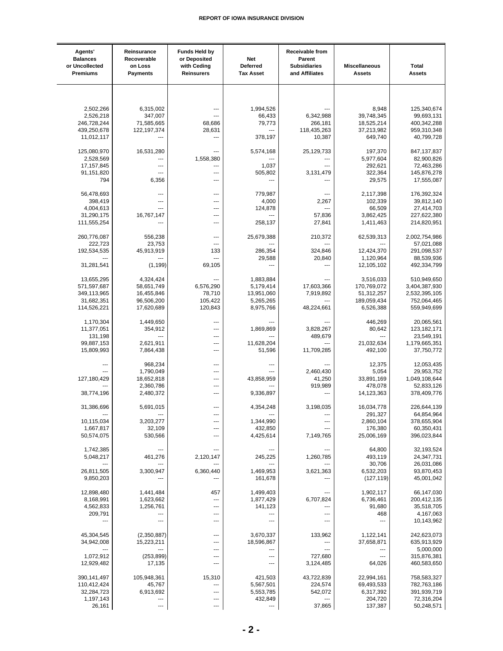| Agents'<br><b>Balances</b><br>or Uncollected<br><b>Premiums</b> | Reinsurance<br>Recoverable<br>on Loss<br><b>Payments</b> | <b>Funds Held by</b><br>or Deposited<br>with Ceding<br><b>Reinsurers</b> | Net<br>Deferred<br><b>Tax Asset</b> | Receivable from<br>Parent<br><b>Subsidiaries</b><br>and Affiliates | <b>Miscellaneous</b><br><b>Assets</b> | <b>Total</b><br><b>Assets</b> |
|-----------------------------------------------------------------|----------------------------------------------------------|--------------------------------------------------------------------------|-------------------------------------|--------------------------------------------------------------------|---------------------------------------|-------------------------------|
|                                                                 |                                                          |                                                                          |                                     |                                                                    |                                       |                               |
| 2,502,266                                                       | 6,315,002                                                |                                                                          | 1,994,526                           |                                                                    | 8,948                                 | 125,340,674                   |
| 2,526,218                                                       | 347,007                                                  |                                                                          | 66,433                              | 6,342,988                                                          | 39,748,345                            | 99,693,131                    |
|                                                                 |                                                          |                                                                          |                                     |                                                                    | 18,525,214                            |                               |
| 246,728,244                                                     | 71,585,665                                               | 68,686                                                                   | 79,773<br>---                       | 266,181                                                            |                                       | 400,342,288                   |
| 439,250,678<br>11,012,117                                       | 122, 197, 374<br>---                                     | 28,631<br>---                                                            | 378,197                             | 118,435,263<br>10,387                                              | 37,213,982<br>649,740                 | 959,310,348<br>40,799,728     |
|                                                                 |                                                          |                                                                          |                                     |                                                                    |                                       |                               |
| 125,080,970                                                     | 16,531,280                                               | ---                                                                      | 5,574,168                           | 25,129,733                                                         | 197,370                               | 847,137,837                   |
| 2,528,569                                                       | ---                                                      | 1,558,380                                                                |                                     | ---                                                                | 5,977,604                             | 82,900,826                    |
| 17, 157, 845                                                    | ---                                                      | ---                                                                      | 1,037                               | ---                                                                | 292,621                               | 72,463,286                    |
| 91,151,820                                                      | ---                                                      | ---                                                                      | 505,802                             | 3,131,479                                                          | 322,364                               | 145,876,278                   |
| 794                                                             | 6,356                                                    | $---$                                                                    | ---                                 | $\overline{a}$                                                     | 29,575                                | 17,555,087                    |
| 56,478,693                                                      | ---                                                      | ---                                                                      | 779,987                             |                                                                    | 2,117,398                             | 176,392,324                   |
| 398,419                                                         | ---                                                      |                                                                          | 4,000                               | 2,267                                                              | 102,339                               | 39,812,140                    |
| 4,004,613                                                       | ---                                                      | ---                                                                      | 124,878                             | ---                                                                | 66,509                                | 27,414,703                    |
| 31,290,175                                                      | 16,767,147                                               | ---                                                                      |                                     | 57,836                                                             | 3,862,425                             | 227,622,380                   |
| 111,555,254                                                     |                                                          |                                                                          | 258,137                             | 27,841                                                             | 1,411,463                             | 214,820,951                   |
|                                                                 |                                                          |                                                                          |                                     |                                                                    |                                       |                               |
| 260,776,087                                                     | 556,238                                                  | ---                                                                      | 25,679,388                          | 210,372                                                            | 62,539,313                            | 2,002,754,986                 |
| 222,723                                                         | 23,753                                                   |                                                                          |                                     |                                                                    |                                       | 57,021,088                    |
| 192,534,535                                                     | 45,913,919                                               | 133                                                                      | 286,354                             | 324,846                                                            | 12,424,370                            | 291,098,537                   |
|                                                                 | ---                                                      | ---                                                                      | 29,588<br>---                       | 20,840                                                             | 1,120,964                             | 88,539,936                    |
| 31,281,541                                                      | (1, 199)                                                 | 69,105                                                                   |                                     |                                                                    | 12,105,102                            | 492,334,799                   |
| 13,655,295                                                      | 4,324,424                                                |                                                                          | 1,883,884                           |                                                                    | 3,516,033                             | 510,949,650                   |
| 571,597,687                                                     | 58,651,749                                               | 6,576,290                                                                | 5,179,414                           | 17,603,366                                                         | 170,769,072                           | 3,404,387,930                 |
| 349,113,965                                                     | 16,455,846                                               | 78,710                                                                   | 13,951,060                          | 7,919,892                                                          | 51,312,257                            | 2,532,395,105                 |
| 31,682,351                                                      | 96,506,200                                               | 105,422                                                                  | 5,265,265                           |                                                                    | 189,059,434                           | 752,064,465                   |
| 114,526,221                                                     | 17,620,689                                               | 120,843                                                                  | 8,975,766                           | 48,224,661                                                         | 6,526,388                             | 559,949,699                   |
|                                                                 |                                                          |                                                                          |                                     |                                                                    |                                       |                               |
| 1,170,304                                                       | 1,449,650                                                |                                                                          |                                     |                                                                    | 446,269                               | 20,065,561                    |
| 11,377,051                                                      | 354,912                                                  | $\overline{a}$                                                           | 1,869,869                           | 3,828,267                                                          | 80,642                                | 123, 182, 171                 |
| 131,198                                                         |                                                          | ---                                                                      |                                     | 489,679                                                            |                                       | 23,549,191                    |
| 99,887,153                                                      | 2,621,911                                                | ---<br>---                                                               | 11,628,204                          |                                                                    | 21,032,634                            | 1,179,665,351<br>37,750,772   |
| 15,809,993                                                      | 7,864,438                                                |                                                                          | 51,596                              | 11,709,285                                                         | 492,100                               |                               |
|                                                                 | 968,234                                                  |                                                                          |                                     |                                                                    | 12,375                                | 12,053,435                    |
| ---                                                             | 1,790,049                                                |                                                                          | ---                                 | 2,460,430                                                          | 5,054                                 | 29,953,752                    |
| 127,180,429                                                     | 18,652,818                                               |                                                                          | 43,858,959                          | 41,250                                                             | 33,891,169                            | 1,049,108,644                 |
|                                                                 | 2,360,786                                                | ---                                                                      |                                     | 919,989                                                            | 478,078                               | 52,833,126                    |
| 38,774,196                                                      | 2,480,372                                                | ---                                                                      | 9,336,897                           |                                                                    | 14,123,363                            | 378,409,776                   |
|                                                                 |                                                          |                                                                          |                                     |                                                                    |                                       |                               |
| 31,386,696                                                      | 5,691,015                                                | ---                                                                      | 4,354,248                           | 3,198,035                                                          | 16,034,778                            | 226,644,139                   |
|                                                                 |                                                          |                                                                          |                                     |                                                                    | 291,327                               | 64,854,964                    |
| 10,115,034                                                      | 3,203,277                                                |                                                                          | 1,344,990                           | ---                                                                | 2,860,104                             | 378,655,904                   |
| 1,667,817                                                       | 32,109                                                   |                                                                          | 432,850                             |                                                                    | 176,380                               | 60,350,431                    |
| 50,574,075                                                      | 530,566                                                  | ---                                                                      | 4,425,614                           | 7,149,765                                                          | 25,006,169                            | 396,023,844                   |
| 1,742,385                                                       | ---                                                      | ---                                                                      | ---                                 | ---                                                                | 64,800                                | 32,193,524                    |
| 5,048,217                                                       | 461,276                                                  | 2,120,147                                                                | 245,225                             | 1,260,785                                                          | 493,119                               | 24,347,731                    |
|                                                                 |                                                          |                                                                          |                                     |                                                                    | 30,706                                | 26,031,086                    |
| 26,811,505                                                      | 3,300,947                                                | 6,360,440                                                                | 1,469,953                           | 3,621,363                                                          | 6,532,203                             | 93,870,453                    |
| 9,850,203                                                       | ---                                                      | ---                                                                      | 161,678                             | ---                                                                | (127, 119)                            | 45,001,042                    |
|                                                                 |                                                          |                                                                          |                                     |                                                                    |                                       |                               |
| 12,898,480                                                      | 1,441,484                                                | 457                                                                      | 1,499,403                           | ---                                                                | 1,902,117                             | 66,147,030                    |
| 8,168,991                                                       | 1,623,662                                                | ---                                                                      | 1,877,429                           | 6,707,824                                                          | 6,736,461                             | 200,412,135                   |
| 4,562,833                                                       | 1,256,761                                                | ---                                                                      | 141,123                             | ---                                                                | 91,680                                | 35,518,705                    |
| 209,791                                                         |                                                          |                                                                          | ---                                 | ---                                                                | 468<br>$\overline{a}$                 | 4,167,063                     |
| ---                                                             | $\scriptstyle\cdots$                                     | ---                                                                      | ---                                 | ---                                                                |                                       | 10,143,962                    |
| 45,304,545                                                      | (2,350,887)                                              | ---                                                                      | 3,670,337                           | 133,962                                                            | 1,122,141                             | 242,623,073                   |
| 34,942,008                                                      | 15,223,211                                               |                                                                          | 18,596,867                          |                                                                    | 37,658,871                            | 635,913,929                   |
| ---                                                             | ---                                                      |                                                                          | ---                                 | ---                                                                | ---                                   | 5,000,000                     |
| 1,072,912                                                       | (253, 899)                                               |                                                                          | ---                                 | 727,680                                                            | ---                                   | 315,876,381                   |
| 12,929,482                                                      | 17,135                                                   | ---                                                                      | ---                                 | 3,124,485                                                          | 64,026                                | 460,583,650                   |
|                                                                 |                                                          |                                                                          |                                     |                                                                    |                                       |                               |
| 390,141,497                                                     | 105,948,361                                              | 15,310                                                                   | 421,503                             | 43,722,839                                                         | 22,994,161                            | 758,583,327                   |
| 110,412,424                                                     | 45,767                                                   | ---                                                                      | 5,567,501                           | 224,574                                                            | 69,493,533                            | 782,763,186                   |
| 32,284,723                                                      | 6,913,692                                                | $\overline{a}$                                                           | 5,553,785                           | 542,072                                                            | 6,317,392                             | 391,939,719                   |
| 1,197,143                                                       | ---                                                      | ---                                                                      | 432,849                             | $\cdots$                                                           | 204,720                               | 72,316,204                    |
| 26,161                                                          | ---                                                      | ---                                                                      |                                     | 37,865                                                             | 137,387                               | 50,248,571                    |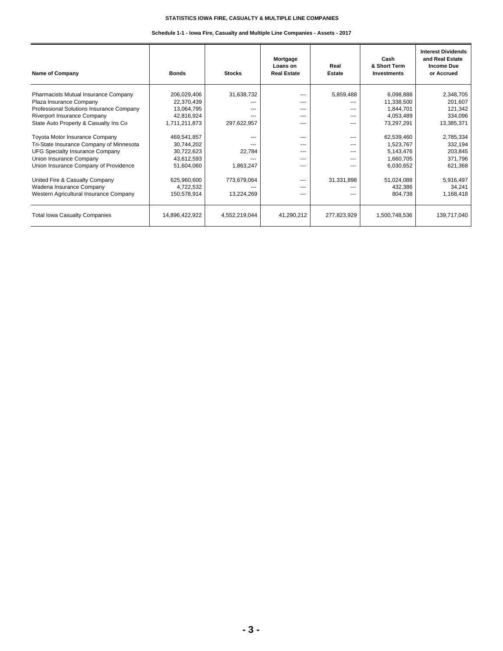#### **Schedule 1-1 - Iowa Fire, Casualty and Multiple Line Companies - Assets - 2017**

| <b>Name of Company</b>                   | <b>Bonds</b>   | <b>Stocks</b> | Mortgage<br>Loans on<br><b>Real Estate</b> | Real<br><b>Estate</b> | Cash<br>& Short Term<br>Investments | <b>Interest Dividends</b><br>and Real Estate<br><b>Income Due</b><br>or Accrued |
|------------------------------------------|----------------|---------------|--------------------------------------------|-----------------------|-------------------------------------|---------------------------------------------------------------------------------|
| Pharmacists Mutual Insurance Company     | 206,029,406    | 31,638,732    | ---                                        | 5,859,488             | 6,098,888                           | 2,348,705                                                                       |
| Plaza Insurance Company                  | 22,370,439     |               | $---$                                      |                       | 11,338,500                          | 201,607                                                                         |
| Professional Solutions Insurance Company | 13,064,795     | ---           | $---$                                      | $---$                 | 1,844,701                           | 121,342                                                                         |
| Riverport Insurance Company              | 42,816,924     | $- - -$       | $---$                                      | $---$                 | 4,053,489                           | 334,096                                                                         |
| State Auto Property & Casualty Ins Co    | 1,711,211,873  | 297,622,957   | $---$                                      | ---                   | 73,297,291                          | 13,385,371                                                                      |
| Toyota Motor Insurance Company           | 469,541,857    | ---           | $- - -$                                    | ---                   | 62,539,460                          | 2,785,334                                                                       |
| Tri-State Insurance Company of Minnesota | 30,744,202     |               | $---$                                      | ---                   | 1,523,767                           | 332,194                                                                         |
| UFG Specialty Insurance Company          | 30,722,623     | 22,784        | $- - -$                                    | ---                   | 5,143,476                           | 203,845                                                                         |
| Union Insurance Company                  | 43,612,593     |               | $---$                                      | $---$                 | 1,660,705                           | 371,796                                                                         |
| Union Insurance Company of Providence    | 51,604,060     | 1,863,247     | $---$                                      | ---                   | 6,030,652                           | 621,368                                                                         |
| United Fire & Casualty Company           | 625,960,600    | 773,679,064   | $---$                                      | 31,331,898            | 51,024,088                          | 5,916,497                                                                       |
| Wadena Insurance Company                 | 4,722,532      |               | $---$                                      | ---                   | 432,386                             | 34,241                                                                          |
| Western Agricultural Insurance Company   | 150,578,914    | 13,224,269    | $---$                                      | ---                   | 804,738                             | 1,168,418                                                                       |
| <b>Total Iowa Casualty Companies</b>     | 14,896,422,922 | 4,552,219,044 | 41,290,212                                 | 277,823,929           | 1,500,748,536                       | 139,717,040                                                                     |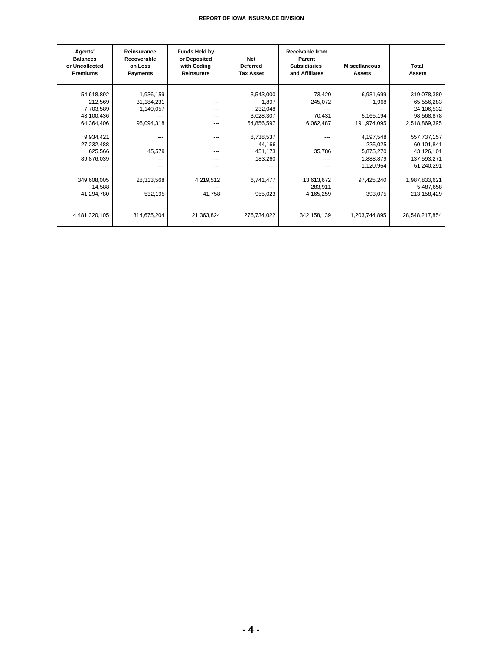| Agents'<br><b>Balances</b><br>or Uncollected<br><b>Premiums</b>                                                                   | Reinsurance<br>Recoverable<br>on Loss<br><b>Payments</b>                                                   | <b>Funds Held by</b><br>or Deposited<br>with Ceding<br><b>Reinsurers</b>          | <b>Net</b><br><b>Deferred</b><br><b>Tax Asset</b>                                                                  | <b>Receivable from</b><br>Parent<br><b>Subsidiaries</b><br>and Affiliates                    | <b>Miscellaneous</b><br><b>Assets</b>                                                                                       | Total<br><b>Assets</b>                                                                                                                                          |
|-----------------------------------------------------------------------------------------------------------------------------------|------------------------------------------------------------------------------------------------------------|-----------------------------------------------------------------------------------|--------------------------------------------------------------------------------------------------------------------|----------------------------------------------------------------------------------------------|-----------------------------------------------------------------------------------------------------------------------------|-----------------------------------------------------------------------------------------------------------------------------------------------------------------|
| 54,618,892<br>212,569<br>7,703,589<br>43,100,436<br>64,364,406<br>9,934,421<br>27,232,488<br>625,566<br>89,876,039<br>349,608,005 | 1,936,159<br>31,184,231<br>1,140,057<br>96,094,318<br>---<br>---<br>45,579<br>$- - -$<br>---<br>28,313,568 | ---<br>---<br>---<br>---<br>---<br>---<br>---<br>---<br>$---$<br>---<br>4,219,512 | 3,543,000<br>1,897<br>232,048<br>3,028,307<br>64,856,597<br>8,738,537<br>44,166<br>451,173<br>183,260<br>6,741,477 | 73,420<br>245,072<br>70,431<br>6,062,487<br>---<br>---<br>35,786<br>---<br>---<br>13,613,672 | 6,931,699<br>1,968<br>5,165,194<br>191,974,095<br>4,197,548<br>225,025<br>5,875,270<br>1,888,879<br>1,120,964<br>97,425,240 | 319,078,389<br>65,556,283<br>24,106,532<br>98,568,878<br>2,518,869,395<br>557,737,157<br>60,101,841<br>43,126,101<br>137,593,271<br>61,240,291<br>1,987,833,621 |
| 14,588<br>41,294,780                                                                                                              | 532,195                                                                                                    | 41,758                                                                            | 955,023                                                                                                            | 283,911<br>4,165,259                                                                         | 393,075                                                                                                                     | 5,487,658<br>213,158,429                                                                                                                                        |
| 4,481,320,105                                                                                                                     | 814,675,204                                                                                                | 21,363,824                                                                        | 276,734,022                                                                                                        | 342,158,139                                                                                  | 1,203,744,895                                                                                                               | 28,548,217,854                                                                                                                                                  |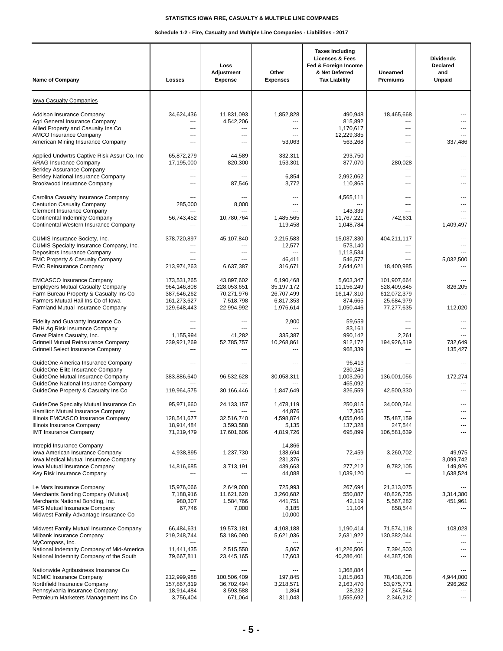#### **Schedule 1-2 - Fire, Casualty and Multiple Line Companies - Liabilities - 2017**

| <b>Name of Company</b>                                                                                                                                                                                                       | Losses                                                                  | Loss<br>Adjustment<br><b>Expense</b>                               | Other<br><b>Expenses</b>                                        | <b>Taxes Including</b><br><b>Licenses &amp; Fees</b><br>Fed & Foreign Income<br>& Net Deferred<br><b>Tax Liability</b> | Unearned<br><b>Premiums</b>                                           | <b>Dividends</b><br><b>Declared</b><br>and<br><b>Unpaid</b> |
|------------------------------------------------------------------------------------------------------------------------------------------------------------------------------------------------------------------------------|-------------------------------------------------------------------------|--------------------------------------------------------------------|-----------------------------------------------------------------|------------------------------------------------------------------------------------------------------------------------|-----------------------------------------------------------------------|-------------------------------------------------------------|
| <b>Iowa Casualty Companies</b>                                                                                                                                                                                               |                                                                         |                                                                    |                                                                 |                                                                                                                        |                                                                       |                                                             |
| Addison Insurance Company<br>Agri General Insurance Company<br>Allied Property and Casualty Ins Co<br><b>AMCO Insurance Company</b><br>American Mining Insurance Company                                                     | 34,624,436<br>---<br>---<br>---                                         | 11,831,093<br>4,542,206<br>---<br>$\overline{a}$<br>---            | 1,852,828<br>---<br>---<br>---<br>53,063                        | 490,948<br>815,892<br>1,170,617<br>12,229,385<br>563,268                                                               | 18,465,668<br>---<br>$\qquad \qquad \cdots$<br>$---$<br>---           | 337,486                                                     |
| Applied Undwrtrs Captive Risk Assur Co, Inc.<br><b>ARAG Insurance Company</b><br><b>Berkley Assurance Company</b><br>Berkley National Insurance Company<br>Brookwood Insurance Company                                       | 65,872,279<br>17,195,000<br>---<br>---                                  | 44,589<br>820,300<br>$\overline{a}$<br>---<br>87,546               | 332,311<br>153,301<br>$\overline{a}$<br>6,854<br>3,772          | 293.750<br>877,070<br>2,992,062<br>110,865                                                                             | $\sim$<br>280,028<br>$- - -$<br>$\overline{a}$<br>$\cdots$            |                                                             |
| Carolina Casualty Insurance Company<br><b>Centurion Casualty Company</b><br><b>Clermont Insurance Company</b><br>Continental Indemnity Company<br>Continental Western Insurance Company                                      | 285,000<br>---<br>56,743,452                                            | ---<br>8,000<br>---<br>10,780,764                                  | ---<br>---<br>---<br>1.485.565<br>119,458                       | 4,565,111<br>143,339<br>11,767,221<br>1,048,784                                                                        | $\qquad \qquad \cdots$<br>$---$<br>$\sim$<br>742,631                  | 1,409,497                                                   |
| CUMIS Insurance Society, Inc.<br>CUMIS Specialty Insurance Company, Inc.<br>Depositors Insurance Company<br><b>EMC Property &amp; Casualty Company</b><br><b>EMC Reinsurance Company</b>                                     | 378,720,897<br>213,974,263                                              | 45,107,840<br>---<br>---<br>6,637,387                              | 2,215,583<br>12,577<br>---<br>46,411<br>316,671                 | 15,037,330<br>573,140<br>1,113,534<br>546,577<br>2,644,621                                                             | 404,211,117<br>$\overline{a}$<br>---<br>18,400,985                    | 5,032,500                                                   |
| <b>EMCASCO Insurance Company</b><br><b>Employers Mutual Casualty Company</b><br>Farm Bureau Property & Casualty Ins Co<br>Farmers Mutual Hail Ins Co of Iowa<br>Farmland Mutual Insurance Company                            | 173,531,265<br>964,146,808<br>387,646,262<br>161,273,627<br>129,648,443 | 43,897,602<br>228,053,651<br>70,271,976<br>7,518,798<br>22,994,992 | 6,190,468<br>35,197,172<br>26,707,499<br>6,817,353<br>1,976,614 | 5.603.347<br>11,156,249<br>16,147,310<br>874,665<br>1,050,446                                                          | 101,907,664<br>528,409,845<br>612,072,379<br>25,684,979<br>77,277,635 | 826,205<br>112,020                                          |
| Fidelity and Guaranty Insurance Co<br>FMH Ag Risk Insurance Company<br>Great Plains Casualty, Inc.<br>Grinnell Mutual Reinsurance Company<br><b>Grinnell Select Insurance Company</b>                                        | 1,155,994<br>239,921,269                                                | ---<br>---<br>41,282<br>52,785,757<br>---                          | 2,900<br>335,387<br>10,268,861<br>---                           | 59,659<br>83,161<br>990,142<br>912,172<br>968,339                                                                      | $\overline{a}$<br>---<br>2,261<br>194,926,519                         | 732,649<br>135,427                                          |
| GuideOne America Insurance Company<br>GuideOne Elite Insurance Company<br>GuideOne Mutual Insurance Company<br>GuideOne National Insurance Company<br>GuideOne Property & Casualty Ins Co                                    | 383,886,640<br>119,964,575                                              | ---<br>---<br>96,532,628<br>30,166,446                             | ---<br>30,058,311<br>1,847,649                                  | 96,413<br>230.245<br>1,003,260<br>465,092<br>326,559                                                                   | $\cdots$<br>$\overline{a}$<br>136,001,056<br>42,500,330               | 172,274                                                     |
| GuideOne Specialty Mutual Insurance Co<br>Hamilton Mutual Insurance Company<br>Illinois EMCASCO Insurance Company<br>Illinois Insurance Company<br><b>IMT Insurance Company</b>                                              | 95,971,660<br>128,541,677<br>18,914,484<br>71,219,479                   | 24, 133, 157<br>32,516,740<br>3,593,588<br>17,601,606              | 1,478,119<br>44,876<br>4,598,874<br>5,135<br>4,819,726          | 250,815<br>17,365<br>4,055,046<br>137,328<br>695,899                                                                   | 34,000,264<br>75,487,159<br>247,544<br>106,581,639                    | ---<br>---                                                  |
| Intrepid Insurance Company<br>Iowa American Insurance Company<br>Iowa Medical Mutual Insurance Company<br>Iowa Mutual Insurance Company<br>Key Risk Insurance Company                                                        | 4,938,895<br>14,816,685                                                 | $- - -$<br>1,237,730<br>3,713,191                                  | 14,866<br>138,694<br>231,376<br>439,663<br>44,088               | ---<br>72,459<br>277,212<br>1,039,120                                                                                  | $\cdots$<br>3,260,702<br>9,782,105                                    | 49,975<br>3,099,742<br>149,926<br>1,638,524                 |
| Le Mars Insurance Company<br>Merchants Bonding Company (Mutual)<br>Merchants National Bonding, Inc.<br>MFS Mutual Insurance Company<br>Midwest Family Advantage Insurance Co                                                 | 15,976,066<br>7,188,916<br>980,307<br>67,746                            | 2,649,000<br>11,621,620<br>1,584,766<br>7,000                      | 725,993<br>3,260,682<br>441,751<br>8,185<br>10,000              | 267,694<br>550,887<br>42,119<br>11,104<br>---                                                                          | 21,313,075<br>40,826,735<br>5,567,282<br>858,544                      | $- - -$<br>3,314,380<br>451,961                             |
| Midwest Family Mutual Insurance Company<br>Milbank Insurance Company<br>MyCompass, Inc.<br>National Indemnity Company of Mid-America                                                                                         | 66,484,631<br>219,248,744<br>11,441,435                                 | 19,573,181<br>53,186,090<br>2,515,550                              | 4,108,188<br>5,621,036<br>$\overline{\phantom{a}}$<br>5,067     | 1,190,414<br>2,631,922<br>---<br>41,226,506                                                                            | 71,574,118<br>130,382,044<br>---<br>7,394,503                         | 108,023                                                     |
| National Indemnity Company of the South<br>Nationwide Agribusiness Insurance Co<br><b>NCMIC Insurance Company</b><br>Northfield Insurance Company<br>Pennsylvania Insurance Company<br>Petroleum Marketers Management Ins Co | 79,667,811<br>212,999,988<br>157,867,819<br>18,914,484<br>3,756,404     | 23,445,165<br>100,506,409<br>36,702,494<br>3,593,588<br>671,064    | 17,603<br>197,845<br>3,218,571<br>1,864<br>311,043              | 40,286,401<br>1,368,884<br>1,815,863<br>2,163,470<br>28,232<br>1,555,692                                               | 44,387,408<br>78,438,208<br>53,975,771<br>247,544<br>2,346,212        | 4,944,000<br>296,262<br>---<br>$\overline{\phantom{a}}$     |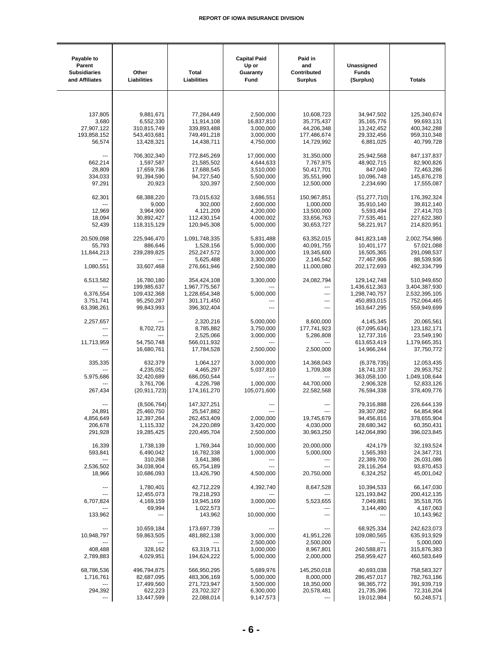| Payable to<br>Parent<br><b>Subsidiaries</b><br>and Affiliates | Other<br>Liabilities     | <b>Total</b><br>Liabilities | <b>Capital Paid</b><br>Up or<br>Guaranty<br>Fund | Paid in<br>and<br>Contributed<br><b>Surplus</b> | Unassigned<br><b>Funds</b><br>(Surplus) | <b>Totals</b>               |
|---------------------------------------------------------------|--------------------------|-----------------------------|--------------------------------------------------|-------------------------------------------------|-----------------------------------------|-----------------------------|
|                                                               |                          |                             |                                                  |                                                 |                                         |                             |
|                                                               |                          |                             |                                                  |                                                 |                                         |                             |
| 137,805                                                       | 9,881,671                | 77,284,449                  | 2,500,000                                        | 10,608,723                                      | 34,947,502                              | 125,340,674                 |
| 3,680<br>27,907,122                                           | 6,552,330<br>310,815,749 | 11,914,108<br>339,893,488   | 16,837,810<br>3,000,000                          | 35,775,437<br>44,206,348                        | 35, 165, 776<br>13,242,452              | 99,693,131<br>400,342,288   |
| 193,858,152                                                   | 543,403,681              | 749,491,218                 | 3,000,000                                        | 177,486,674                                     | 29,332,456                              | 959,310,348                 |
| 56,574                                                        | 13,428,321               | 14,438,711                  | 4,750,000                                        | 14,729,992                                      | 6,881,025                               | 40,799,728                  |
|                                                               |                          |                             |                                                  |                                                 |                                         |                             |
| 662,214                                                       | 706,302,340<br>1,597,587 | 772,845,269<br>21,585,502   | 17,000,000<br>4,644,633                          | 31,350,000<br>7,767,975                         | 25,942,568<br>48,902,715                | 847, 137, 837<br>82,900,826 |
| 28,809                                                        | 17,659,736               | 17,688,545                  | 3,510,000                                        | 50,417,701                                      | 847,040                                 | 72,463,286                  |
| 334,033                                                       | 91,394,590               | 94,727,540                  | 5,500,000                                        | 35,551,990                                      | 10,096,748                              | 145,876,278                 |
| 97,291                                                        | 20,923                   | 320,397                     | 2,500,000                                        | 12,500,000                                      | 2,234,690                               | 17,555,087                  |
| 62,301                                                        | 68,388,220               | 73,015,632                  | 3,686,551                                        | 150,967,851                                     | (51, 277, 710)                          | 176,392,324                 |
|                                                               | 9,000                    | 302,000                     | 2,600,000                                        | 1,000,000                                       | 35,910,140                              | 39,812,140                  |
| 12,969                                                        | 3,964,900                | 4,121,209                   | 4,200,000                                        | 13,500,000                                      | 5,593,494                               | 27,414,703                  |
| 18,094                                                        | 30,892,427               | 112,430,154                 | 4,000,002                                        | 33,656,763                                      | 77,535,461                              | 227,622,380                 |
| 52,439                                                        | 118,315,129              | 120,945,308                 | 5,000,000                                        | 30,653,727                                      | 58,221,917                              | 214,820,951                 |
| 20,509,098                                                    | 225,946,470              | 1,091,748,335               | 5,831,488                                        | 63,352,015                                      | 841.823.148                             | 2,002,754,986               |
| 55,793                                                        | 886,646                  | 1,528,156                   | 5,000,000                                        | 40,091,755                                      | 10,401,177                              | 57,021,088                  |
| 11,844,213                                                    | 239,289,825              | 252,247,572                 | 3,000,000                                        | 19,345,600                                      | 16,505,365                              | 291,098,537                 |
|                                                               | ---                      | 5,625,488                   | 3,300,000                                        | 2,146,542                                       | 77,467,906                              | 88,539,936                  |
| 1,080,551                                                     | 33,607,468               | 276,661,946                 | 2,500,080                                        | 11,000,080                                      | 202,172,693                             | 492,334,799                 |
| 6,513,582                                                     | 16,780,180               | 354,424,108                 | 3,300,000                                        | 24,082,794                                      | 129, 142, 748                           | 510,949,650                 |
|                                                               | 199,985,637              | 1,967,775,567               |                                                  | ---                                             | 1,436,612,363                           | 3,404,387,930               |
| 6,376,554                                                     | 109,432,368              | 1,228,654,348               | 5,000,000                                        | ---                                             | 1,298,740,757                           | 2,532,395,105               |
| 3,751,741<br>63,398,261                                       | 95,250,287<br>99,843,993 | 301,171,450<br>396,302,404  | ---                                              | ---<br>---                                      | 450,893,015<br>163,647,295              | 752,064,465<br>559,949,699  |
|                                                               |                          |                             |                                                  |                                                 |                                         |                             |
| 2,257,657                                                     |                          | 2,320,216                   | 5,000,000                                        | 8,600,000                                       | 4,145,345                               | 20,065,561                  |
| ---                                                           | 8,702,721                | 8,785,882                   | 3,750,000                                        | 177,741,923                                     | (67,095,634)                            | 123, 182, 171               |
| 11,713,959                                                    | 54,750,748               | 2,525,066<br>566,011,932    | 3,000,000<br>---                                 | 5,286,808                                       | 12,737,316<br>613,653,419               | 23,549,190<br>1,179,665,351 |
|                                                               | 16,680,761               | 17,784,528                  | 2,500,000                                        | 2,500,000                                       | 14,966,244                              | 37,750,772                  |
|                                                               |                          |                             |                                                  |                                                 |                                         |                             |
| 335,335                                                       | 632,379<br>4,235,052     | 1,064,127<br>4,465,297      | 3,000,000<br>5,037,810                           | 14,368,043<br>1,709,308                         | (6,378,735)<br>18,741,337               | 12,053,435<br>29,953,752    |
| 5,975,686                                                     | 32,420,689               | 686,050,544                 | ---                                              | $\overline{a}$                                  | 363,058,100                             | 1,049,108,644               |
|                                                               | 3,761,706                | 4,226,798                   | 1,000,000                                        | 44,700,000                                      | 2,906,328                               | 52,833,126                  |
| 267,434                                                       | (20, 911, 723)           | 174, 161, 270               | 105,071,600                                      | 22,582,568                                      | 76,594,338                              | 378,409,776                 |
|                                                               | (8,506,764)              | 147,327,251                 |                                                  |                                                 | 79,316,888                              | 226,644,139                 |
| 24,891                                                        | 25,460,750               | 25,547,882                  | ---                                              |                                                 | 39,307,082                              | 64,854,964                  |
| 4,856,649                                                     | 12,397,264               | 262,453,409                 | 2,000,000                                        | 19,745,679                                      | 94,456,816                              | 378,655,904                 |
| 206,678                                                       | 1,115,332                | 24,220,089                  | 3,420,000                                        | 4,030,000                                       | 28,680,342                              | 60,350,431                  |
| 291,928                                                       | 19,285,425               | 220,495,704                 | 2,500,000                                        | 30,963,250                                      | 142,064,890                             | 396,023,845                 |
| 16,339                                                        | 1,738,139                | 1,769,344                   | 10,000,000                                       | 20,000,000                                      | 424,179                                 | 32,193,524                  |
| 593,841                                                       | 6,490,042                | 16,782,338                  | 1,000,000                                        | 5,000,000                                       | 1,565,393                               | 24,347,731                  |
|                                                               | 310,268                  | 3,641,386                   |                                                  | ---                                             | 22,389,700                              | 26,031,086                  |
| 2,536,502<br>18,966                                           | 34,038,904<br>10,686,093 | 65,754,189<br>13,426,790    | ---<br>4,500,000                                 | ---<br>20,750,000                               | 28,116,264<br>6,324,252                 | 93,870,453<br>45,001,042    |
|                                                               |                          |                             |                                                  |                                                 |                                         |                             |
| ---                                                           | 1,780,401                | 42,712,229                  | 4,392,740                                        | 8,647,528                                       | 10,394,533                              | 66,147,030                  |
|                                                               | 12,455,073               | 79,218,293                  |                                                  |                                                 | 121,193,842                             | 200,412,135                 |
| 6,707,824                                                     | 4,169,159<br>69,994      | 19,945,169<br>1,022,573     | 3,000,000                                        | 5,523,655                                       | 7,049,881<br>3,144,490                  | 35,518,705<br>4,167,063     |
| 133,962                                                       | $\overline{a}$           | 143,962                     | 10,000,000                                       | ---                                             | ---                                     | 10,143,962                  |
|                                                               |                          |                             |                                                  |                                                 |                                         |                             |
| 10,948,797                                                    | 10,659,184<br>59,863,505 | 173,697,739<br>481,882,138  | 3,000,000                                        | 41,951,226                                      | 68,925,334<br>109,080,565               | 242,623,073<br>635,913,929  |
|                                                               |                          |                             | 2,500,000                                        | 2,500,000                                       |                                         | 5,000,000                   |
| 408,488                                                       | 328,162                  | 63,319,711                  | 3,000,000                                        | 8,967,801                                       | 240,588,871                             | 315,876,383                 |
| 2,789,883                                                     | 4,029,951                | 194,624,222                 | 5,000,000                                        | 2,000,000                                       | 258,959,427                             | 460,583,649                 |
| 68,786,536                                                    | 496,794,875              | 566,950,295                 | 5,689,976                                        | 145,250,018                                     | 40,693,038                              | 758,583,327                 |
| 1,716,761                                                     | 82,687,095               | 483,306,169                 | 5,000,000                                        | 8,000,000                                       | 286,457,017                             | 782,763,186                 |
|                                                               | 17,499,560               | 271,723,947                 | 3,500,000                                        | 18,350,000                                      | 98,365,772                              | 391,939,719                 |
| 294,392                                                       | 622,223                  | 23,702,327                  | 6,300,000                                        | 20,578,481                                      | 21,735,396                              | 72,316,204                  |
|                                                               | 13,447,599               | 22,088,014                  | 9,147,573                                        |                                                 | 19,012,984                              | 50,248,571                  |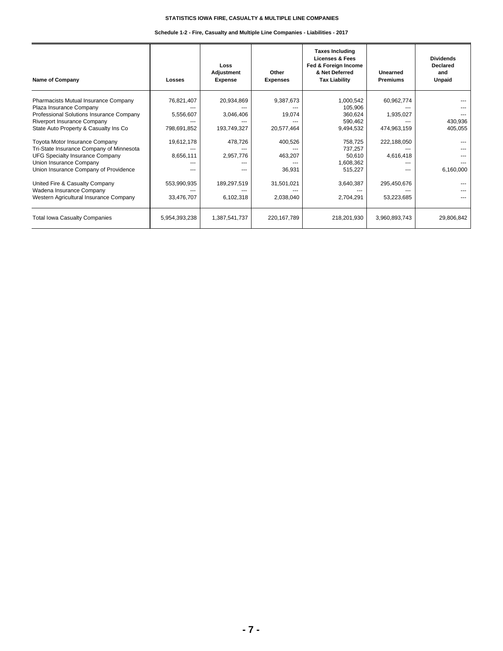#### **Schedule 1-2 - Fire, Casualty and Multiple Line Companies - Liabilities - 2017**

| <b>Name of Company</b>                                                                                                                                                                                                                                                                                                                                                                                            | Losses                                                                           | Loss<br>Adjustment<br><b>Expense</b>                                                            | Other<br><b>Expenses</b>                                                        | <b>Taxes Including</b><br><b>Licenses &amp; Fees</b><br>Fed & Foreign Income<br>& Net Deferred<br><b>Tax Liability</b>       | Unearned<br><b>Premiums</b>                                                              | <b>Dividends</b><br>Declared<br>and<br>Unpaid |
|-------------------------------------------------------------------------------------------------------------------------------------------------------------------------------------------------------------------------------------------------------------------------------------------------------------------------------------------------------------------------------------------------------------------|----------------------------------------------------------------------------------|-------------------------------------------------------------------------------------------------|---------------------------------------------------------------------------------|------------------------------------------------------------------------------------------------------------------------------|------------------------------------------------------------------------------------------|-----------------------------------------------|
| Pharmacists Mutual Insurance Company<br>Plaza Insurance Company<br>Professional Solutions Insurance Company<br>Riverport Insurance Company<br>State Auto Property & Casualty Ins Co<br>Toyota Motor Insurance Company<br>Tri-State Insurance Company of Minnesota<br><b>UFG Specialty Insurance Company</b><br>Union Insurance Company<br>Union Insurance Company of Providence<br>United Fire & Casualty Company | 76,821,407<br>5,556,607<br>798,691,852<br>19,612,178<br>8,656,111<br>553,990,935 | 20,934,869<br>3,046,406<br>193,749,327<br>478,726<br>2,957,776<br>---<br>$- - -$<br>189,297,519 | 9,387,673<br>19,074<br>20,577,464<br>400,526<br>463,207<br>36,931<br>31,501,021 | 1,000,542<br>105,906<br>360,624<br>590,462<br>9,494,532<br>758,725<br>737,257<br>50,610<br>1,608,362<br>515,227<br>3,640,387 | 60,962,774<br>1,935,027<br>474,963,159<br>222,188,050<br>4,616,418<br>---<br>295,450,676 | 430,936<br>405,055<br>6,160,000               |
| Wadena Insurance Company<br>Western Agricultural Insurance Company                                                                                                                                                                                                                                                                                                                                                | 33,476,707                                                                       | 6,102,318                                                                                       | 2,038,040                                                                       | 2,704,291                                                                                                                    | 53,223,685                                                                               |                                               |
| <b>Total Iowa Casualty Companies</b>                                                                                                                                                                                                                                                                                                                                                                              | 5,954,393,238                                                                    | 1,387,541,737                                                                                   | 220, 167, 789                                                                   | 218,201,930                                                                                                                  | 3,960,893,743                                                                            | 29,806,842                                    |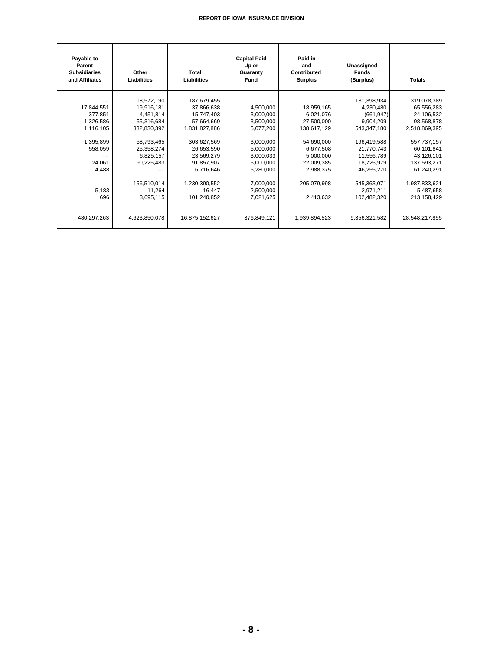| Payable to<br>Parent<br><b>Subsidiaries</b><br>and Affiliates                                                          | Other<br>Liabilities                                                                                                                                            | Total<br>Liabilities                                                                                                                                                                   | <b>Capital Paid</b><br>Up or<br>Guaranty<br><b>Fund</b>                                                                                                  | Paid in<br>and<br>Contributed<br><b>Surplus</b>                                                                                                     | Unassigned<br><b>Funds</b><br>(Surplus)                                                                                                                                              | <b>Totals</b>                                                                                                                                                                               |
|------------------------------------------------------------------------------------------------------------------------|-----------------------------------------------------------------------------------------------------------------------------------------------------------------|----------------------------------------------------------------------------------------------------------------------------------------------------------------------------------------|----------------------------------------------------------------------------------------------------------------------------------------------------------|-----------------------------------------------------------------------------------------------------------------------------------------------------|--------------------------------------------------------------------------------------------------------------------------------------------------------------------------------------|---------------------------------------------------------------------------------------------------------------------------------------------------------------------------------------------|
| 17,844,551<br>377.851<br>1,326,586<br>1,116,105<br>1,395,899<br>558,059<br>24.061<br>4,488<br>$\cdots$<br>5,183<br>696 | 18,572,190<br>19,916,181<br>4,451,814<br>55,316,684<br>332,830,392<br>58,793,465<br>25,358,274<br>6,825,157<br>90,225,483<br>156,510,014<br>11,264<br>3,695,115 | 187,679,455<br>37,866,638<br>15,747,403<br>57,664,669<br>1,831,827,886<br>303,627,569<br>26,653,590<br>23,569,279<br>91.857.907<br>6,716,646<br>1,230,390,552<br>16,447<br>101,240,852 | 4,500,000<br>3,000,000<br>3,500,000<br>5,077,200<br>3,000,000<br>5,000,000<br>3,000,033<br>5,000,000<br>5,280,000<br>7,000,000<br>2,500,000<br>7,021,625 | 18,959,165<br>6,021,076<br>27,500,000<br>138,617,129<br>54,690,000<br>6,677,508<br>5,000,000<br>22,009,385<br>2,988,375<br>205,079,998<br>2,413,632 | 131,398,934<br>4,230,480<br>(661, 947)<br>9,904,209<br>543,347,180<br>196,419,588<br>21,770,743<br>11,556,789<br>18,725,979<br>46,255,270<br>545,363,071<br>2,971,211<br>102,482,320 | 319,078,389<br>65,556,283<br>24,106,532<br>98,568,878<br>2,518,869,395<br>557,737,157<br>60,101,841<br>43,126,101<br>137,593,271<br>61,240,291<br>1,987,833,621<br>5,487,658<br>213,158,429 |
| 480,297,263                                                                                                            | 4,623,850,078                                                                                                                                                   | 16,875,152,627                                                                                                                                                                         | 376,849,121                                                                                                                                              | 1,939,894,523                                                                                                                                       | 9,356,321,582                                                                                                                                                                        | 28,548,217,855                                                                                                                                                                              |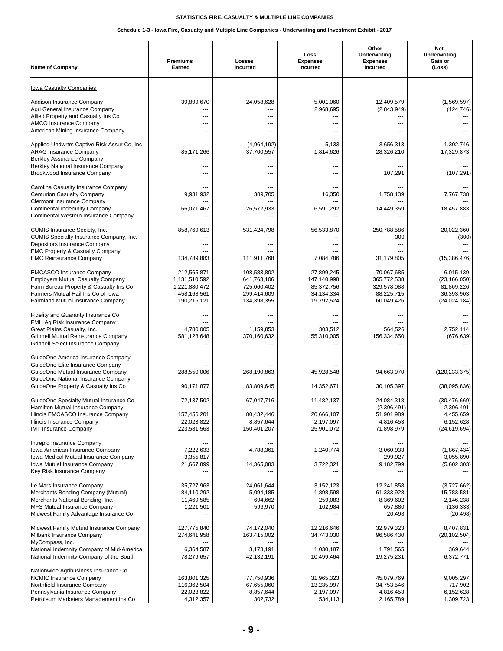#### **Schedule 1-3 - Iowa Fire, Casualty and Multiple Line Companies - Underwriting and Investment Exhibit - 2017**

| <b>Name of Company</b>                                                                                                                                                                            | <b>Premiums</b><br>Earned                                                   | Losses<br><b>Incurred</b>                                               | Loss<br><b>Expenses</b><br><b>Incurred</b>                          | Other<br><b>Underwriting</b><br><b>Expenses</b><br><b>Incurred</b>   | Net<br><b>Underwriting</b><br>Gain or<br>(Loss)                           |
|---------------------------------------------------------------------------------------------------------------------------------------------------------------------------------------------------|-----------------------------------------------------------------------------|-------------------------------------------------------------------------|---------------------------------------------------------------------|----------------------------------------------------------------------|---------------------------------------------------------------------------|
| <b>Iowa Casualty Companies</b>                                                                                                                                                                    |                                                                             |                                                                         |                                                                     |                                                                      |                                                                           |
| Addison Insurance Company<br>Agri General Insurance Company<br>Allied Property and Casualty Ins Co<br>AMCO Insurance Company                                                                      | 39,899,670<br>---<br>---<br>---                                             | 24,058,628<br>---<br>---<br>---                                         | 5,001,060<br>2,968,695<br>---<br>$- - -$                            | 12,409,579<br>(2,843,949)<br>---<br>$---$                            | (1,569,597)<br>(124, 746)                                                 |
| American Mining Insurance Company                                                                                                                                                                 | ---                                                                         | ---                                                                     | $---$                                                               | $--$                                                                 |                                                                           |
| Applied Undwrtrs Captive Risk Assur Co, Inc.<br><b>ARAG Insurance Company</b><br><b>Berkley Assurance Company</b>                                                                                 | ---<br>85,171,266<br>---                                                    | (4,964,192)<br>37,700,557<br>$\overline{a}$                             | 5,133<br>1,814,626<br>$\overline{a}$                                | 3,656,313<br>28,326,210                                              | 1,302,746<br>17,329,873                                                   |
| Berkley National Insurance Company<br>Brookwood Insurance Company                                                                                                                                 | ---<br>                                                                     | ---                                                                     | $\overline{a}$<br>$- - -$                                           | 107,291                                                              | (107, 291)                                                                |
| Carolina Casualty Insurance Company<br><b>Centurion Casualty Company</b><br><b>Clermont Insurance Company</b>                                                                                     | 9,931,932                                                                   | 389,705                                                                 | $---$<br>16,350<br>$\sim$                                           | 1,758,139                                                            | 7,767,738                                                                 |
| <b>Continental Indemnity Company</b><br>Continental Western Insurance Company                                                                                                                     | 66,071,467                                                                  | 26,572,933                                                              | 6,591,292<br>$\overline{a}$                                         | 14,449,359                                                           | 18,457,883                                                                |
| CUMIS Insurance Society, Inc.<br>CUMIS Specialty Insurance Company, Inc.                                                                                                                          | 858,769,613                                                                 | 531,424,798                                                             | 56,533,870                                                          | 250,788,586<br>300                                                   | 20,022,360<br>(300)                                                       |
| Depositors Insurance Company<br>EMC Property & Casualty Company                                                                                                                                   | $\overline{a}$<br>---                                                       | ---                                                                     | $- - -$                                                             |                                                                      |                                                                           |
| <b>EMC Reinsurance Company</b>                                                                                                                                                                    | 134,789,883                                                                 | 111,911,768                                                             | 7,084,786                                                           | 31,179,805                                                           | (15,386,476)                                                              |
| <b>EMCASCO Insurance Company</b><br><b>Employers Mutual Casualty Company</b><br>Farm Bureau Property & Casualty Ins Co<br>Farmers Mutual Hail Ins Co of Iowa<br>Farmland Mutual Insurance Company | 212,565,871<br>1,131,510,592<br>1,221,880,472<br>458,168,561<br>190,216,121 | 108,583,802<br>641,763,106<br>725,060,402<br>299,414,609<br>134,398,355 | 27,899,245<br>147,140,998<br>85,372,756<br>34,134,334<br>19,792,524 | 70,067,685<br>365,772,538<br>329,578,088<br>88,225,715<br>60,049,426 | 6,015,139<br>(23, 166, 050)<br>81,869,226<br>36,393,903<br>(24, 024, 184) |
| Fidelity and Guaranty Insurance Co                                                                                                                                                                |                                                                             |                                                                         |                                                                     |                                                                      |                                                                           |
| FMH Ag Risk Insurance Company<br>Great Plains Casualty, Inc.<br><b>Grinnell Mutual Reinsurance Company</b><br>Grinnell Select Insurance Company                                                   | ---<br>4,780,005<br>581,128,648                                             | ---<br>1,159,853<br>370,160,632<br>---                                  | $\overline{a}$<br>303,512<br>55,310,005<br>$\overline{a}$           | 564,526<br>156,334,650                                               | 2,752,114<br>(676, 639)                                                   |
| GuideOne America Insurance Company                                                                                                                                                                | $---$                                                                       | ---                                                                     | $---$                                                               | ---                                                                  |                                                                           |
| GuideOne Elite Insurance Company<br>GuideOne Mutual Insurance Company                                                                                                                             | 288,550,006                                                                 | 268,190,863                                                             | 45,928,548                                                          | 94,663,970                                                           | (120, 233, 375)                                                           |
| GuideOne National Insurance Company<br>GuideOne Property & Casualty Ins Co                                                                                                                        | 90,171,877                                                                  | 83,809,645                                                              | 14,352,671                                                          | 30,105,397                                                           | (38,095,836)                                                              |
| GuideOne Specialty Mutual Insurance Co<br>Hamilton Mutual Insurance Company                                                                                                                       | 72,137,502                                                                  | 67,047,716                                                              | 11,482,137                                                          | 24,084,318<br>(2,396,491)                                            | (30, 476, 669)<br>2,396,491                                               |
| Illinois EMCASCO Insurance Company                                                                                                                                                                | 157,456,201                                                                 | 80,432,446                                                              | 20,666,107                                                          | 51,901,989                                                           | 4,455,659                                                                 |
| Illinois Insurance Company<br><b>IMT Insurance Company</b>                                                                                                                                        | 22,023,822<br>223,581,563                                                   | 8,857,644<br>150,401,207                                                | 2,197,097<br>25,901,072                                             | 4,816,453<br>71,898,979                                              | 6,152,628<br>(24, 619, 694)                                               |
| Intrepid Insurance Company<br>Iowa American Insurance Company<br>Iowa Medical Mutual Insurance Company                                                                                            | 7,222,633<br>3,355,817                                                      | 4,788,361                                                               | 1,240,774                                                           | 3,060,933<br>299,927                                                 | (1,867,434)<br>3,055,890                                                  |
| Iowa Mutual Insurance Company<br>Key Risk Insurance Company                                                                                                                                       | 21,667,899                                                                  | 14,365,083                                                              | 3,722,321                                                           | 9,182,799                                                            | (5,602,303)                                                               |
| Le Mars Insurance Company<br>Merchants Bonding Company (Mutual)                                                                                                                                   | 35,727,963<br>84,110,292                                                    | 24,061,644<br>5,094,185                                                 | 3,152,123<br>1,898,598                                              | 12,241,858<br>61,333,928                                             | (3,727,662)<br>15,783,581                                                 |
| Merchants National Bonding, Inc.                                                                                                                                                                  | 11,469,585                                                                  | 694,662                                                                 | 259,083                                                             | 8,369,602                                                            | 2,146,238                                                                 |
| MFS Mutual Insurance Company<br>Midwest Family Advantage Insurance Co                                                                                                                             | 1,221,501                                                                   | 596,970                                                                 | 102,984                                                             | 657,880<br>20,498                                                    | (136, 333)<br>(20, 498)                                                   |
| Midwest Family Mutual Insurance Company<br>Milbank Insurance Company<br>MyCompass, Inc.                                                                                                           | 127,775,840<br>274,641,958                                                  | 74,172,040<br>163,415,002                                               | 12,216,646<br>34,743,030                                            | 32,979,323<br>96,586,430                                             | 8,407,831<br>(20, 102, 504)                                               |
| National Indemnity Company of Mid-America<br>National Indemnity Company of the South                                                                                                              | 6,364,587<br>78,279,657                                                     | 3,173,191<br>42,132,191                                                 | 1,030,187<br>10,499,464                                             | 1,791,565<br>19,275,231                                              | 369,644<br>6,372,771                                                      |
| Nationwide Agribusiness Insurance Co<br><b>NCMIC Insurance Company</b>                                                                                                                            |                                                                             |                                                                         |                                                                     |                                                                      |                                                                           |
| Northfield Insurance Company                                                                                                                                                                      | 163,801,325<br>116,362,504                                                  | 77,750,936<br>67,655,060                                                | 31,965,323<br>13,235,997                                            | 45,079,769<br>34,753,546                                             | 9,005,297<br>717,902                                                      |
| Pennsylvania Insurance Company                                                                                                                                                                    | 22,023,822                                                                  | 8,857,644                                                               | 2,197,097                                                           | 4,816,453                                                            | 6,152,628                                                                 |
| Petroleum Marketers Management Ins Co                                                                                                                                                             | 4,312,357                                                                   | 302,732                                                                 | 534,113                                                             | 2,165,789                                                            | 1,309,723                                                                 |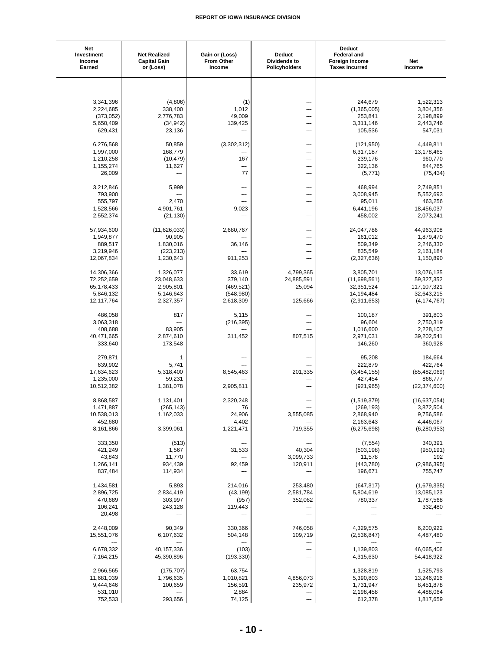| Net<br>Investment<br>Income<br>Earned | <b>Net Realized</b><br><b>Capital Gain</b><br>or (Loss) | Gain or (Loss)<br><b>From Other</b><br>Income | <b>Deduct</b><br>Dividends to<br>Policyholders | <b>Deduct</b><br><b>Federal and</b><br><b>Foreign Income</b><br><b>Taxes Incurred</b> | <b>Net</b><br>Income     |
|---------------------------------------|---------------------------------------------------------|-----------------------------------------------|------------------------------------------------|---------------------------------------------------------------------------------------|--------------------------|
|                                       |                                                         |                                               |                                                |                                                                                       |                          |
|                                       |                                                         |                                               |                                                |                                                                                       |                          |
| 3,341,396                             | (4,806)                                                 | (1)                                           | ---                                            | 244,679                                                                               | 1,522,313                |
| 2,224,685                             | 338,400                                                 | 1,012                                         |                                                | (1,365,005)                                                                           | 3,804,356                |
| (373,052)                             | 2,776,783                                               | 49,009                                        |                                                | 253,841                                                                               | 2,198,899                |
| 5,650,409                             | (34, 942)                                               | 139,425                                       | ---                                            | 3,311,146                                                                             | 2,443,746                |
| 629,431                               | 23,136                                                  |                                               | ---                                            | 105,536                                                                               | 547,031                  |
|                                       |                                                         |                                               |                                                |                                                                                       |                          |
| 6,276,568<br>1,997,000                | 50,859<br>168,779                                       | (3,302,312)<br>---                            | ---<br>---                                     | (121, 950)<br>6,317,187                                                               | 4,449,811<br>13,178,465  |
| 1,210,258                             | (10, 479)                                               | 167                                           | ---                                            | 239,176                                                                               | 960,770                  |
| 1,155,274                             | 11,627                                                  | ---                                           | ---                                            | 322,136                                                                               | 844,765                  |
| 26,009                                | ---                                                     | 77                                            | ---                                            | (5, 771)                                                                              | (75, 434)                |
|                                       |                                                         |                                               |                                                |                                                                                       |                          |
| 3,212,846                             | 5,999                                                   | ---                                           | ---                                            | 468,994                                                                               | 2,749,851                |
| 793,900<br>555,797                    | 2,470                                                   | ---<br>---                                    | ---<br>---                                     | 3,008,945<br>95,011                                                                   | 5,552,693<br>463,256     |
| 1,528,566                             | 4,901,761                                               | 9,023                                         |                                                | 6,441,196                                                                             | 18,456,037               |
| 2,552,374                             | (21, 130)                                               | $\overline{a}$                                | ---                                            | 458,002                                                                               | 2,073,241                |
|                                       |                                                         |                                               |                                                |                                                                                       |                          |
| 57,934,600                            | (11,626,033)                                            | 2,680,767                                     | ---                                            | 24,047,786                                                                            | 44,963,908               |
| 1,949,877                             | 90,905                                                  | ---                                           | ---                                            | 161,012                                                                               | 1,879,470                |
| 889,517                               | 1,830,016                                               | 36,146                                        | ---                                            | 509,349                                                                               | 2,246,330                |
| 3,219,946<br>12,067,834               | (223, 213)<br>1,230,643                                 | 911,253                                       | ---<br>---                                     | 835,549<br>(2,327,636)                                                                | 2,161,184<br>1,150,890   |
|                                       |                                                         |                                               |                                                |                                                                                       |                          |
| 14,306,366                            | 1,326,077                                               | 33,619                                        | 4,799,365                                      | 3,805,701                                                                             | 13,076,135               |
| 72,252,659                            | 23,048,633                                              | 379,140                                       | 24,885,591                                     | (11,698,561)                                                                          | 59,327,352               |
| 65,178,433                            | 2,905,801                                               | (469, 521)                                    | 25,094                                         | 32, 351, 524                                                                          | 117,107,321              |
| 5,846,132                             | 5,146,643                                               | (548,980)                                     | ---                                            | 14,194,484                                                                            | 32,643,215               |
| 12,117,764                            | 2,327,357                                               | 2,618,309                                     | 125,666                                        | (2,911,653)                                                                           | (4, 174, 767)            |
| 486,058                               | 817                                                     | 5,115                                         | ---                                            | 100,187                                                                               | 391,803                  |
| 3,063,318                             | ---                                                     | (216, 395)                                    | ---                                            | 96,604                                                                                | 2,750,319                |
| 408,688                               | 83,905                                                  |                                               | ---                                            | 1,016,600                                                                             | 2,228,107                |
| 40,471,665                            | 2,874,610                                               | 311,452                                       | 807,515                                        | 2,971,031                                                                             | 39,202,541               |
| 333,640                               | 173,548                                                 |                                               |                                                | 146,260                                                                               | 360,928                  |
| 279,871                               | 1                                                       | ---                                           | ---                                            | 95,208                                                                                | 184,664                  |
| 639,902                               | 5,741                                                   | $---$                                         | $\overline{a}$                                 | 222,879                                                                               | 422,764                  |
| 17,634,623                            | 5,318,400                                               | 8,545,463                                     | 201,335                                        | (3,454,155)                                                                           | (85, 482, 069)           |
| 1,235,000                             | 59,231                                                  |                                               | ---                                            | 427,454                                                                               | 866,777                  |
| 10,512,382                            | 1,381,078                                               | 2,905,811                                     | ---                                            | (921, 965)                                                                            | (22, 374, 600)           |
|                                       |                                                         |                                               |                                                |                                                                                       |                          |
| 8,868,587                             | 1,131,401                                               | 2,320,248                                     | ---                                            | (1,519,379)                                                                           | (16, 637, 054)           |
| 1,471,887<br>10,538,013               | (265, 143)<br>1,162,033                                 | 76<br>24,906                                  | 3,555,085                                      | (269, 193)<br>2,868,940                                                               | 3,872,504<br>9,756,586   |
| 452,680                               |                                                         | 4,402                                         |                                                | 2,163,643                                                                             | 4,446,067                |
| 8,161,866                             | 3,399,061                                               | 1,221,471                                     | 719,355                                        | (6,275,698)                                                                           | (6, 280, 953)            |
|                                       |                                                         |                                               |                                                |                                                                                       |                          |
| 333,350                               | (513)                                                   | $\hspace{1.5cm} \textbf{---}$                 |                                                | (7, 554)                                                                              | 340,391                  |
| 421,249                               | 1,567                                                   | 31,533                                        | 40,304                                         | (503, 198)                                                                            | (950, 191)               |
| 43,843<br>1,266,141                   | 11,770<br>934,439                                       | $\overline{\phantom{a}}$<br>92,459            | 3,099,733<br>120,911                           | 11,578<br>(443,780)                                                                   | 192<br>(2,986,395)       |
| 837,484                               | 114,934                                                 |                                               | ---                                            | 196,671                                                                               | 755,747                  |
|                                       |                                                         |                                               |                                                |                                                                                       |                          |
| 1,434,581                             | 5,893                                                   | 214,016                                       | 253,480                                        | (647, 317)                                                                            | (1,679,335)              |
| 2,896,725                             | 2,834,419                                               | (43, 199)                                     | 2,581,784                                      | 5,804,619                                                                             | 13,085,123               |
| 470,689                               | 303,997                                                 | (957)                                         | 352,062                                        | 780,337                                                                               | 1,787,568                |
| 106,241<br>20,498                     | 243,128<br>---                                          | 119,443<br>---                                | ---<br>$\overline{\phantom{a}}$                | ---<br>---                                                                            | 332,480                  |
|                                       |                                                         |                                               |                                                |                                                                                       |                          |
| 2,448,009                             | 90,349                                                  | 330,366                                       | 746,058                                        | 4,329,575                                                                             | 6,200,922                |
| 15,551,076                            | 6,107,632                                               | 504,148                                       | 109,719                                        | (2,536,847)                                                                           | 4,487,480                |
|                                       |                                                         |                                               | ---                                            |                                                                                       |                          |
| 6,678,332<br>7,164,215                | 40, 157, 336<br>45,390,896                              | (103)<br>(193, 330)                           | ---                                            | 1,139,803<br>4,315,630                                                                | 46,065,406<br>54,418,922 |
|                                       |                                                         |                                               |                                                |                                                                                       |                          |
| 2,966,565                             | (175, 707)                                              | 63,754                                        | $\overline{\phantom{a}}$                       | 1,328,819                                                                             | 1,525,793                |
| 11,681,039                            | 1,796,635                                               | 1,010,821                                     | 4,856,073                                      | 5,390,803                                                                             | 13,246,916               |
| 9,444,646                             | 100,659                                                 | 156,591                                       | 235,972                                        | 1,731,947                                                                             | 8,451,878                |
| 531,010                               | ---                                                     | 2,884                                         | ---                                            | 2,198,458                                                                             | 4,488,064                |
| 752,533                               | 293,656                                                 | 74,125                                        | $\overline{\phantom{a}}$                       | 612,378                                                                               | 1,817,659                |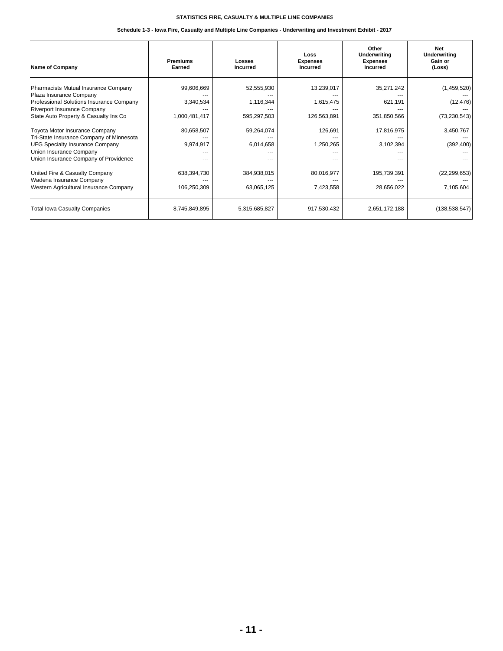#### **Schedule 1-3 - Iowa Fire, Casualty and Multiple Line Companies - Underwriting and Investment Exhibit - 2017**

| <b>Name of Company</b>                                                         | <b>Premiums</b><br>Earned | Losses<br><b>Incurred</b> | Loss<br><b>Expenses</b><br><b>Incurred</b> | Other<br>Underwriting<br><b>Expenses</b><br><b>Incurred</b> | <b>Net</b><br><b>Underwriting</b><br>Gain or<br>(Loss) |
|--------------------------------------------------------------------------------|---------------------------|---------------------------|--------------------------------------------|-------------------------------------------------------------|--------------------------------------------------------|
| Pharmacists Mutual Insurance Company<br>Plaza Insurance Company                | 99,606,669                | 52,555,930                | 13,239,017                                 | 35,271,242                                                  | (1,459,520)                                            |
| Professional Solutions Insurance Company<br><b>Riverport Insurance Company</b> | 3,340,534                 | 1,116,344                 | 1,615,475                                  | 621,191                                                     | (12, 476)                                              |
| State Auto Property & Casualty Ins Co                                          | 1,000,481,417             | 595,297,503               | 126,563,891                                | 351,850,566                                                 | (73, 230, 543)                                         |
| Toyota Motor Insurance Company<br>Tri-State Insurance Company of Minnesota     | 80,658,507                | 59,264,074                | 126,691                                    | 17,816,975                                                  | 3,450,767                                              |
| <b>UFG Specialty Insurance Company</b><br>Union Insurance Company              | 9,974,917                 | 6,014,658                 | 1,250,265                                  | 3,102,394                                                   | (392, 400)                                             |
| Union Insurance Company of Providence                                          |                           |                           |                                            |                                                             |                                                        |
| United Fire & Casualty Company<br>Wadena Insurance Company                     | 638,394,730               | 384,938,015               | 80,016,977                                 | 195,739,391                                                 | (22, 299, 653)                                         |
| Western Agricultural Insurance Company                                         | 106,250,309               | 63,065,125                | 7,423,558                                  | 28,656,022                                                  | 7,105,604                                              |
| <b>Total Iowa Casualty Companies</b>                                           | 8,745,849,895             | 5,315,685,827             | 917,530,432                                | 2,651,172,188                                               | (138, 538, 547)                                        |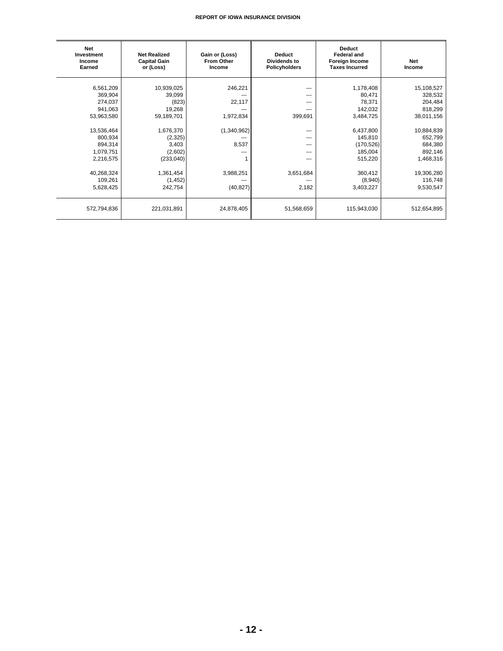| <b>Net</b><br>Investment<br>Income<br>Earned                                                                                                                 | <b>Net Realized</b><br><b>Capital Gain</b><br>or (Loss)                                                                                             | Gain or (Loss)<br><b>From Other</b><br>Income                                    | <b>Deduct</b><br><b>Dividends to</b><br><b>Policyholders</b>                                               | <b>Deduct</b><br><b>Federal and</b><br>Foreign Income<br><b>Taxes Incurred</b>                                                                       | <b>Net</b><br>Income                                                                                                                                        |
|--------------------------------------------------------------------------------------------------------------------------------------------------------------|-----------------------------------------------------------------------------------------------------------------------------------------------------|----------------------------------------------------------------------------------|------------------------------------------------------------------------------------------------------------|------------------------------------------------------------------------------------------------------------------------------------------------------|-------------------------------------------------------------------------------------------------------------------------------------------------------------|
| 6,561,209<br>369,904<br>274,037<br>941,063<br>53,963,580<br>13,536,464<br>800,934<br>894,314<br>1,079,751<br>2,216,575<br>40,268,324<br>109,261<br>5,628,425 | 10,939,025<br>39,099<br>(823)<br>19,268<br>59,189,701<br>1,676,370<br>(2, 325)<br>3,403<br>(2,602)<br>(233,040)<br>1,361,454<br>(1, 452)<br>242,754 | 246,221<br>22,117<br>1,972,834<br>(1,340,962)<br>8,537<br>3,988,251<br>(40, 827) | $---$<br>---<br>$---$<br>---<br>399,691<br>$---$<br>$--$<br>---<br>---<br>---<br>3,651,684<br>---<br>2,182 | 1,178,408<br>80,471<br>78,371<br>142,032<br>3,484,725<br>6,437,800<br>145,810<br>(170, 526)<br>185,004<br>515,220<br>360,412<br>(8,940)<br>3,403,227 | 15,108,527<br>328,532<br>204,484<br>818,299<br>38,011,156<br>10,884,839<br>652,799<br>684,380<br>892,146<br>1,468,316<br>19,306,280<br>116,748<br>9,530,547 |
| 572,794,836                                                                                                                                                  | 221,031,891                                                                                                                                         | 24,878,405                                                                       | 51,568,659                                                                                                 | 115,943,030                                                                                                                                          | 512,654,895                                                                                                                                                 |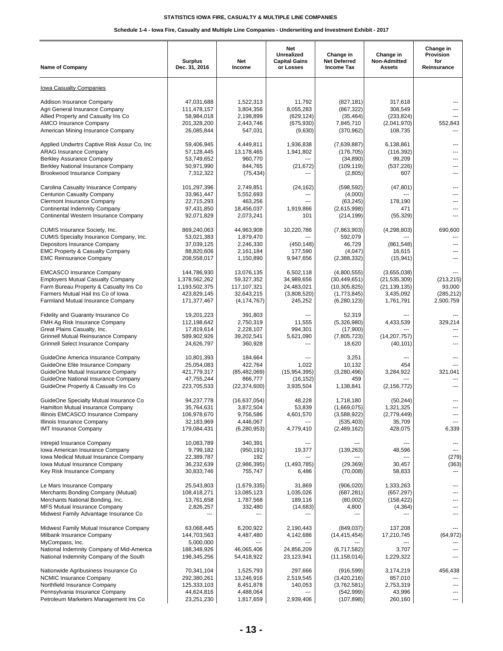#### **Schedule 1-4 - Iowa Fire, Casualty and Multiple Line Companies - Underwriting and Investment Exhibit - 2017**

| <b>Name of Company</b>                                                                                                                                                                                                       | <b>Surplus</b><br>Dec. 31, 2016                                                     | Net<br>Income                                                                | Net<br>Unrealized<br><b>Capital Gains</b><br>or Losses          | Change in<br><b>Net Deferred</b><br><b>Income Tax</b>                                  | Change in<br>Non-Admitted<br><b>Assets</b>                                | Change in<br>Provision<br>for<br>Reinsurance    |
|------------------------------------------------------------------------------------------------------------------------------------------------------------------------------------------------------------------------------|-------------------------------------------------------------------------------------|------------------------------------------------------------------------------|-----------------------------------------------------------------|----------------------------------------------------------------------------------------|---------------------------------------------------------------------------|-------------------------------------------------|
| Iowa Casualty Companies                                                                                                                                                                                                      |                                                                                     |                                                                              |                                                                 |                                                                                        |                                                                           |                                                 |
| Addison Insurance Company<br>Agri General Insurance Company<br>Allied Property and Casualty Ins Co<br>AMCO Insurance Company<br>American Mining Insurance Company                                                            | 47,031,688<br>111,478,157<br>58,984,018<br>201,328,200<br>26,085,844                | 1,522,313<br>3,804,356<br>2,198,899<br>2,443,746<br>547,031                  | 11,792<br>8,055,283<br>(629, 124)<br>(675, 930)<br>(9,630)      | (827, 181)<br>(867, 322)<br>(35, 464)<br>7,845,710<br>(370, 962)                       | 317,618<br>308,549<br>(233, 824)<br>(2,041,970)<br>108,735                | ---<br>---<br>---<br>552,843<br>---             |
| Applied Undwrtrs Captive Risk Assur Co, Inc.<br><b>ARAG Insurance Company</b><br><b>Berkley Assurance Company</b><br>Berkley National Insurance Company<br>Brookwood Insurance Company                                       | 59.406.945<br>57,128,445<br>53,749,652<br>50,971,990<br>7,312,322                   | 4,449,811<br>13,178,465<br>960,770<br>844,765<br>(75, 434)                   | 1,936,838<br>1,941,802<br>---<br>(21, 672)                      | (7,639,887)<br>(176, 705)<br>(34, 890)<br>(109, 119)<br>(2,805)                        | 6,138,861<br>(116, 392)<br>99.209<br>(537, 226)<br>607                    | ---<br>---<br>---<br>---<br>---                 |
| Carolina Casualty Insurance Company<br><b>Centurion Casualty Company</b><br>Clermont Insurance Company<br><b>Continental Indemnity Company</b><br>Continental Western Insurance Company                                      | 101,297,396<br>33,961,447<br>22,715,293<br>97,431,850<br>92,071,829                 | 2,749,851<br>5,552,693<br>463,256<br>18,456,037<br>2,073,241                 | (24, 162)<br>---<br>---<br>1,919,866<br>101                     | (598, 592)<br>(4,000)<br>(63, 245)<br>(2,615,998)<br>(214, 199)                        | (47, 801)<br>178,190<br>471<br>(55, 329)                                  | ---<br>---<br>---<br>---<br>---                 |
| CUMIS Insurance Society, Inc.<br>CUMIS Specialty Insurance Company, Inc.<br>Depositors Insurance Company<br><b>EMC Property &amp; Casualty Company</b><br><b>EMC Reinsurance Company</b>                                     | 869,240,063<br>53,021,383<br>37,039,125<br>88,820,606<br>208,558,017                | 44,963,908<br>1,879,470<br>2,246,330<br>2,161,184<br>1,150,890               | 10,220,786<br>(450, 148)<br>177,590<br>9,947,656                | (7,863,903)<br>592,079<br>46,729<br>(4,047)<br>(2,388,332)                             | (4, 298, 803)<br>(861, 548)<br>16,615<br>(15, 941)                        | 690,600<br>---<br>---<br>---<br>---             |
| <b>EMCASCO Insurance Company</b><br><b>Employers Mutual Casualty Company</b><br>Farm Bureau Property & Casualty Ins Co<br>Farmers Mutual Hail Ins Co of Iowa<br>Farmland Mutual Insurance Company                            | 144,786,930<br>1,378,562,262<br>1,193,502,375<br>423,829,145<br>171,377,467         | 13,076,135<br>59,327,352<br>117,107,321<br>32,643,215<br>(4, 174, 767)       | 6,502,118<br>34,989,656<br>24,483,021<br>(3,808,520)<br>245,252 | (4,800,555)<br>(30, 449, 651)<br>(10, 305, 825)<br>(1,773,845)<br>(6, 280, 123)        | (3,655,038)<br>(21, 535, 309)<br>(21, 139, 135)<br>3,435,092<br>1,761,791 | (213, 215)<br>93,000<br>(285, 212)<br>2,500,759 |
| Fidelity and Guaranty Insurance Co<br>FMH Ag Risk Insurance Company<br>Great Plains Casualty, Inc.<br>Grinnell Mutual Reinsurance Company<br>Grinnell Select Insurance Company                                               | 19,201,223<br>112,198,642<br>17,819,614<br>589,902,926<br>24,626,797                | 391,803<br>2,750,319<br>2,228,107<br>39,202,541<br>360,928                   | 11,555<br>994,301<br>5,621,090<br>---                           | 52,319<br>(5,326,980)<br>(17,900)<br>(7,805,723)<br>18,620                             | 4,433,539<br>(14, 207, 757)<br>(40, 101)                                  | 329,214<br>---<br>---                           |
| GuideOne America Insurance Company<br>GuideOne Elite Insurance Company<br>GuideOne Mutual Insurance Company<br>GuideOne National Insurance Company<br>GuideOne Property & Casualty Ins Co                                    | 10,801,393<br>25,054,083<br>421,779,317<br>47,755,244<br>223,705,533                | 184,664<br>422,764<br>(85, 482, 069)<br>866,777<br>(22,374,600)              | ---<br>1,022<br>(15, 954, 395)<br>(16, 152)<br>3,935,504        | 3,251<br>10,132<br>(3,280,496)<br>459<br>1,138,841                                     | ---<br>454<br>3,284,922<br>(2, 156, 772)                                  | ---<br>---<br>321,041<br>---<br>---             |
| GuideOne Specialty Mutual Insurance Co<br>Hamilton Mutual Insurance Company<br>Illinois EMCASCO Insurance Company<br>Illinois Insurance Company<br><b>IMT Insurance Company</b>                                              | 94,237,778<br>35,764,631<br>106,978,670<br>32,183,969<br>179,084,431                | (16, 637, 054)<br>3,872,504<br>9,756,586<br>4,446,067<br>(6, 280, 953)       | 48,228<br>53,839<br>4,601,570<br>$\sim$ $\sim$<br>4,779,410     | 1,718,180<br>(1,669,075)<br>(3,588,922)<br>(535, 403)<br>(2,489,162)                   | (50, 244)<br>1,321,325<br>(2,779,449)<br>35,709<br>428,075                | ---<br>$\sim$<br>6,339                          |
| Intrepid Insurance Company<br>Iowa American Insurance Company<br>Iowa Medical Mutual Insurance Company<br>Iowa Mutual Insurance Company<br>Key Risk Insurance Company                                                        | 10,083,789<br>9,799,182<br>22,389,787<br>36,232,639<br>30,833,746                   | 340,391<br>(950, 191)<br>192<br>(2,986,395)<br>755,747                       | ---<br>19,377<br>(1,493,785)<br>6,486                           | (139, 263)<br>(29, 369)<br>(70,008)                                                    | 48,596<br>30,457<br>58,833                                                | ---<br>(279)<br>(363)<br>---                    |
| Le Mars Insurance Company<br>Merchants Bonding Company (Mutual)<br>Merchants National Bonding, Inc.<br>MFS Mutual Insurance Company<br>Midwest Family Advantage Insurance Co                                                 | 25,543,803<br>108,418,271<br>13,761,658<br>2,826,257                                | (1,679,335)<br>13,085,123<br>1,787,568<br>332,480                            | 31,869<br>1,035,026<br>189,116<br>(14, 683)                     | (906, 020)<br>(687, 281)<br>(80,002)<br>4,800                                          | 1,333,263<br>(657, 297)<br>(158, 422)<br>(4, 364)                         | ---<br>---<br>---<br>---<br>---                 |
| Midwest Family Mutual Insurance Company<br>Milbank Insurance Company<br>MyCompass, Inc.<br>National Indemnity Company of Mid-America                                                                                         | 63,068,445<br>144,703,563<br>5,000,000<br>188,348,926                               | 6,200,922<br>4,487,480<br>46,065,406                                         | 2,190,443<br>4,142,686<br>24,856,209                            | (849, 037)<br>(14, 415, 454)<br>(6,717,582)                                            | 137,208<br>17,210,745<br>3,707                                            | (64, 972)<br>---                                |
| National Indemnity Company of the South<br>Nationwide Agribusiness Insurance Co<br><b>NCMIC Insurance Company</b><br>Northfield Insurance Company<br>Pennsylvania Insurance Company<br>Petroleum Marketers Management Ins Co | 198,345,256<br>70,341,104<br>292,380,261<br>125,333,103<br>44,624,816<br>23,251,230 | 54,418,922<br>1,525,793<br>13,246,916<br>8,451,878<br>4,488,064<br>1,817,659 | 23,123,941<br>297,666<br>2,519,545<br>140,053<br>2,939,406      | (11, 158, 014)<br>(916, 599)<br>(3,420,216)<br>(3,762,581)<br>(542, 999)<br>(107, 898) | 1,229,322<br>3,174,219<br>857,010<br>2,753,319<br>43,996<br>260,160       | 456,438<br>---<br>---<br>$\cdots$               |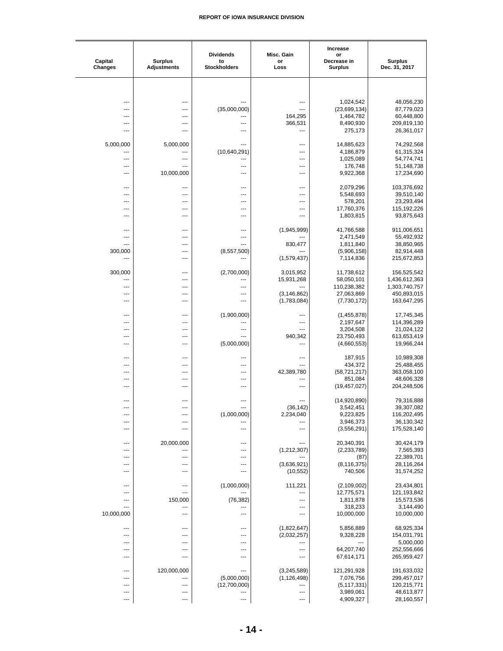| Capital<br><b>Changes</b> | <b>Surplus</b><br><b>Adjustments</b> | <b>Dividends</b><br>to<br><b>Stockholders</b> | Misc. Gain<br>or<br>Loss     | Increase<br>or<br>Decrease in<br>Surplus | <b>Surplus</b><br>Dec. 31, 2017 |
|---------------------------|--------------------------------------|-----------------------------------------------|------------------------------|------------------------------------------|---------------------------------|
|                           |                                      |                                               |                              |                                          |                                 |
|                           |                                      |                                               |                              |                                          |                                 |
|                           | ---                                  |                                               | ---                          | 1,024,542                                | 48,056,230                      |
|                           | ---                                  | (35,000,000)                                  |                              | (23,699,134)                             | 87,779,023                      |
|                           | ---<br>---                           | ---                                           | 164,295<br>366,531           | 1,464,782<br>8,490,930                   | 60,448,800<br>209,819,130       |
| ---                       | $\overline{a}$                       |                                               | ---                          | 275,173                                  | 26,361,017                      |
|                           |                                      |                                               |                              |                                          |                                 |
| 5,000,000                 | 5,000,000                            | ---<br>(10,640,291)                           | ---<br>---                   | 14,885,623<br>4,186,879                  | 74,292,568<br>61,315,324        |
|                           | ---                                  | ---                                           | ---                          | 1,025,089                                | 54,774,741                      |
|                           | ---                                  | ---                                           |                              | 176,748                                  | 51,148,738                      |
| ---                       | 10,000,000                           | ---                                           | ---                          | 9,922,368                                | 17,234,690                      |
| ---                       | ---                                  | ---                                           | ---                          | 2,079,296                                | 103,376,692                     |
| ---                       | ---                                  | ---                                           | ---                          | 5,548,693                                | 39,510,140                      |
| ---<br>---                | ---<br>---                           | ---<br>---                                    | ---<br>---                   | 578,201<br>17,760,376                    | 23,293,494<br>115,192,226       |
| ---                       | ---                                  | ---                                           | ---                          | 1,803,815                                | 93,875,643                      |
|                           |                                      |                                               |                              |                                          |                                 |
| ---<br>---                | ---<br>---                           | ---<br>---                                    | (1,945,999)                  | 41,766,588<br>2,471,549                  | 911,006,651<br>55,492,932       |
| ---                       | ---                                  | ---                                           | 830,477                      | 1,811,840                                | 38,850,965                      |
| 300,000                   | ---                                  | (8,557,500)                                   |                              | (5,906,158)                              | 82,914,448                      |
| ---                       | ---                                  |                                               | (1,579,437)                  | 7,114,836                                | 215,672,853                     |
| 300,000                   | $---$                                | (2,700,000)                                   | 3,015,952                    | 11,738,612                               | 156,525,542                     |
|                           | ---                                  |                                               | 15,931,268                   | 58,050,101                               | 1,436,612,363                   |
|                           | ---                                  | <br>---                                       |                              | 110,238,382                              | 1,303,740,757                   |
| ---                       | ---<br>---                           | ---                                           | (3, 146, 862)<br>(1,783,084) | 27,063,869<br>(7,730,172)                | 450,893,015<br>163,647,295      |
|                           |                                      |                                               |                              |                                          |                                 |
| ---                       | ---                                  | (1,900,000)                                   |                              | (1,455,878)                              | 17,745,345                      |
| ---<br>---                | ---<br>---                           | ---<br>---                                    | ---<br>---                   | 2,197,647<br>3,204,508                   | 114,396,289<br>21,024,122       |
| ---                       | ---                                  | ---                                           | 940,342                      | 23,750,493                               | 613,653,419                     |
|                           | ---                                  | (5,000,000)                                   | ---                          | (4,660,553)                              | 19,966,244                      |
| ---                       | ---                                  | ---                                           | ---                          | 187,915                                  | 10,989,308                      |
| ---                       | ---                                  | ---                                           | ---                          | 434,372                                  | 25,488,455                      |
| ---                       | ---                                  | ---                                           | 42,389,780                   | (58, 721, 217)                           | 363,058,100                     |
| ---<br>---                | ---<br>$---$                         | ---<br>---                                    | ---<br>---                   | 851,084<br>(19, 457, 027)                | 48,606,328<br>204,248,506       |
|                           |                                      |                                               |                              |                                          |                                 |
| ---                       | ---                                  | ---                                           |                              | (14,920,890)                             | 79,316,888                      |
| ---                       | ---                                  | (1,000,000)                                   | (36, 142)<br>2,234,040       | 3,542,451<br>9,223,825                   | 39,307,082<br>116,202,495       |
| ---                       | ---                                  |                                               |                              | 3,946,373                                | 36,130,342                      |
| ---                       | ---                                  | ---                                           | ---                          | (3,556,291)                              | 175,528,140                     |
| ---                       | 20,000,000                           | ---                                           | ---                          | 20,340,391                               | 30,424,179                      |
| ---                       | ---                                  | ---                                           | (1,212,307)                  | (2, 233, 789)                            | 7,565,393                       |
| ---                       | ---                                  | ---                                           |                              | (87)                                     | 22,389,701                      |
| ---<br>---                | ---<br>---                           | ---<br>---                                    | (3,636,921)<br>(10, 552)     | (8, 116, 375)<br>740,506                 | 28,116,264<br>31,574,252        |
|                           |                                      |                                               |                              |                                          |                                 |
| ---                       | ---                                  | (1,000,000)                                   | 111,221                      | (2,109,002)                              | 23,434,801                      |
| ---<br>---                | ---<br>150,000                       | (76, 382)                                     | ---<br>---                   | 12,775,571<br>1,811,878                  | 121,193,842<br>15,573,536       |
| ---                       | ---                                  | ---                                           | ---                          | 318,233                                  | 3,144,490                       |
| 10,000,000                | ---                                  | ---                                           | ---                          | 10,000,000                               | 10,000,000                      |
| ---                       | ---                                  | ---                                           | (1,822,647)                  | 5,856,889                                | 68,925,334                      |
|                           | ---                                  | ---                                           | (2,032,257)                  | 9,328,228                                | 154,031,791                     |
| ---                       | ---                                  | ---                                           | ---                          |                                          | 5,000,000                       |
| ---<br>---                | ---<br>---                           | ---<br>---                                    | ---<br>---                   | 64,207,740<br>67,614,171                 | 252,556,666<br>265,959,427      |
|                           |                                      |                                               |                              |                                          |                                 |
| ---                       | 120,000,000                          | ---                                           | (3,245,589)                  | 121,291,928                              | 191,633,032                     |
| ---                       | ---<br>---                           | (5,000,000)<br>(12,700,000)                   | (1, 126, 498)<br>---         | 7,076,756<br>(5, 117, 331)               | 299,457,017<br>120,215,771      |
| ---                       | ---                                  | ---                                           | ---                          | 3,989,061                                | 48,613,877                      |
|                           | ---                                  | ---                                           | ---                          | 4,909,327                                | 28,160,557                      |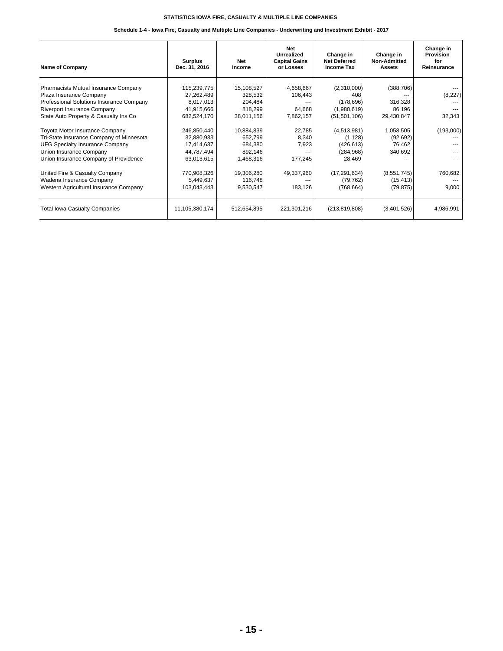#### **Schedule 1-4 - Iowa Fire, Casualty and Multiple Line Companies - Underwriting and Investment Exhibit - 2017**

| <b>Name of Company</b>                                                                                                                                                                   | <b>Surplus</b><br>Dec. 31, 2016                                     | Net<br>Income                                             | <b>Net</b><br>Unrealized<br><b>Capital Gains</b><br>or Losses | Change in<br><b>Net Deferred</b><br><b>Income Tax</b>             | Change in<br><b>Non-Admitted</b><br>Assets    | Change in<br>Provision<br>for<br>Reinsurance |
|------------------------------------------------------------------------------------------------------------------------------------------------------------------------------------------|---------------------------------------------------------------------|-----------------------------------------------------------|---------------------------------------------------------------|-------------------------------------------------------------------|-----------------------------------------------|----------------------------------------------|
| Pharmacists Mutual Insurance Company<br>Plaza Insurance Company<br>Professional Solutions Insurance Company<br>Riverport Insurance Company<br>State Auto Property & Casualty Ins Co      | 115,239,775<br>27,262,489<br>8,017,013<br>41,915,666<br>682,524,170 | 15,108,527<br>328,532<br>204,484<br>818,299<br>38,011,156 | 4,658,667<br>106,443<br>64,668<br>7,862,157                   | (2,310,000)<br>408<br>(178, 696)<br>(1,980,619)<br>(51, 501, 106) | (388, 706)<br>316,328<br>86,196<br>29,430,847 | (8,227)<br>32,343                            |
| Toyota Motor Insurance Company<br>Tri-State Insurance Company of Minnesota<br><b>UFG Specialty Insurance Company</b><br>Union Insurance Company<br>Union Insurance Company of Providence | 246,850,440<br>32,880,933<br>17,414,637<br>44,787,494<br>63,013,615 | 10,884,839<br>652,799<br>684,380<br>892,146<br>1,468,316  | 22,785<br>8,340<br>7,923<br>177,245                           | (4,513,981)<br>(1, 128)<br>(426, 613)<br>(284, 968)<br>28,469     | 1,058,505<br>(92, 692)<br>76,462<br>340,692   | (193,000)                                    |
| United Fire & Casualty Company<br>Wadena Insurance Company<br>Western Agricultural Insurance Company                                                                                     | 770,908,326<br>5,449,637<br>103,043,443                             | 19,306,280<br>116,748<br>9,530,547                        | 49,337,960<br>$- - -$<br>183,126                              | (17, 291, 634)<br>(79, 762)<br>(768, 664)                         | (8,551,745)<br>(15, 413)<br>(79, 875)         | 760,682<br>9,000                             |
| <b>Total Iowa Casualty Companies</b>                                                                                                                                                     | 11,105,380,174                                                      | 512,654,895                                               | 221,301,216                                                   | (213, 819, 808)                                                   | (3,401,526)                                   | 4,986,991                                    |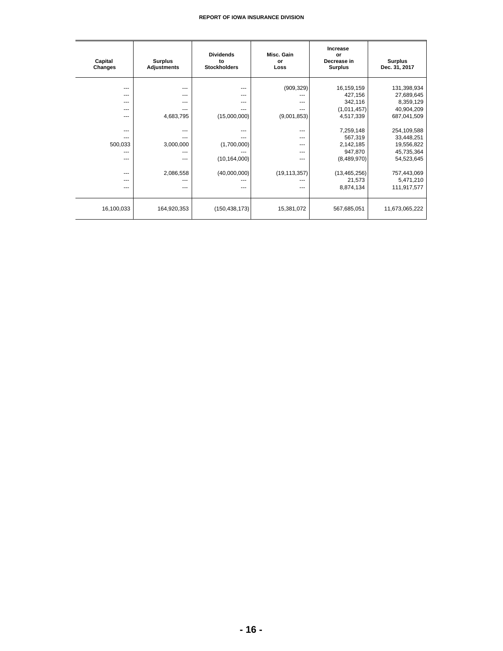| Capital<br>Changes | <b>Surplus</b><br><b>Adjustments</b> | <b>Dividends</b><br>to<br><b>Stockholders</b> | Misc. Gain<br>or<br>Loss | <b>Increase</b><br>or<br>Decrease in<br><b>Surplus</b> | <b>Surplus</b><br>Dec. 31, 2017 |
|--------------------|--------------------------------------|-----------------------------------------------|--------------------------|--------------------------------------------------------|---------------------------------|
| ---                | $---$                                | $- - -$                                       | (909, 329)               | 16,159,159                                             | 131,398,934                     |
| ---                | $---$                                | ---                                           | ---                      | 427,156                                                | 27,689,645                      |
| ---                | ---                                  | ---                                           | ---                      | 342,116                                                | 8,359,129                       |
| ---                |                                      | ---                                           | ---                      | (1,011,457)                                            | 40,904,209                      |
| ---                | 4,683,795                            | (15,000,000)                                  | (9,001,853)              | 4,517,339                                              | 687,041,509                     |
|                    |                                      |                                               |                          |                                                        |                                 |
| ---                | ---                                  | ---                                           | ---                      | 7,259,148                                              | 254,109,588                     |
| ---                |                                      |                                               | ---                      | 567,319                                                | 33,448,251                      |
| 500,033            | 3,000,000                            | (1,700,000)                                   | ---                      | 2,142,185                                              | 19,556,822                      |
|                    |                                      |                                               | ---                      | 947,870                                                | 45,735,364                      |
| ---                |                                      | (10, 164, 000)                                | ---                      | (8,489,970)                                            | 54,523,645                      |
|                    |                                      |                                               |                          |                                                        |                                 |
| ---                | 2,086,558                            | (40,000,000)                                  | (19, 113, 357)           | (13, 465, 256)                                         | 757,443,069                     |
| ---                |                                      |                                               |                          | 21,573                                                 | 5,471,210                       |
| ---                | ---                                  | ---                                           | ---                      | 8,874,134                                              | 111,917,577                     |
|                    |                                      |                                               |                          |                                                        |                                 |
| 16,100,033         | 164,920,353                          | (150, 438, 173)                               | 15,381,072               | 567,685,051                                            | 11,673,065,222                  |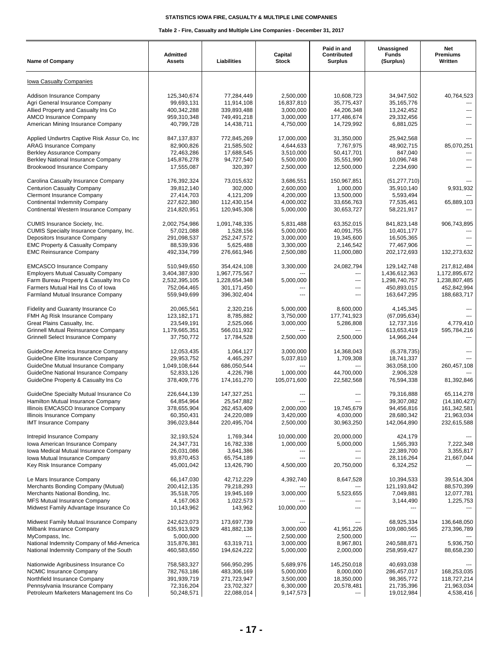| <b>Name of Company</b>                                                                                                                                                                            | <b>Admitted</b><br><b>Assets</b>                                            | Liabilities                                                                 | Capital<br><b>Stock</b>                                        | Paid in and<br>Contributed<br><b>Surplus</b>                       | Unassigned<br><b>Funds</b><br>(Surplus)                                     | Net<br><b>Premiums</b><br>Written                                           |
|---------------------------------------------------------------------------------------------------------------------------------------------------------------------------------------------------|-----------------------------------------------------------------------------|-----------------------------------------------------------------------------|----------------------------------------------------------------|--------------------------------------------------------------------|-----------------------------------------------------------------------------|-----------------------------------------------------------------------------|
| Iowa Casualty Companies                                                                                                                                                                           |                                                                             |                                                                             |                                                                |                                                                    |                                                                             |                                                                             |
| Addison Insurance Company<br>Agri General Insurance Company<br>Allied Property and Casualty Ins Co<br><b>AMCO</b> Insurance Company                                                               | 125,340,674<br>99,693,131<br>400,342,288<br>959,310,348                     | 77,284,449<br>11,914,108<br>339,893,488<br>749,491,218                      | 2,500,000<br>16,837,810<br>3,000,000<br>3,000,000              | 10,608,723<br>35,775,437<br>44,206,348<br>177,486,674              | 34,947,502<br>35, 165, 776<br>13,242,452<br>29,332,456                      | 40,764,523<br>---                                                           |
| American Mining Insurance Company                                                                                                                                                                 | 40,799,728                                                                  | 14,438,711                                                                  | 4,750,000                                                      | 14,729,992                                                         | 6,881,025                                                                   | ---                                                                         |
| Applied Undwrtrs Captive Risk Assur Co, Inc.<br><b>ARAG Insurance Company</b><br>Berkley Assurance Company<br><b>Berkley National Insurance Company</b><br>Brookwood Insurance Company            | 847,137,837<br>82,900,826<br>72,463,286<br>145,876,278<br>17,555,087        | 772,845,269<br>21,585,502<br>17,688,545<br>94,727,540<br>320,397            | 17,000,000<br>4,644,633<br>3,510,000<br>5,500,000<br>2,500,000 | 31,350,000<br>7,767,975<br>50,417,701<br>35,551,990<br>12,500,000  | 25,942,568<br>48,902,715<br>847.040<br>10,096,748<br>2,234,690              | 85,070,251<br>$\overline{a}$<br>$\overline{a}$                              |
| Carolina Casualty Insurance Company<br><b>Centurion Casualty Company</b><br><b>Clermont Insurance Company</b><br><b>Continental Indemnity Company</b><br>Continental Western Insurance Company    | 176,392,324<br>39,812,140<br>27,414,703<br>227,622,380<br>214,820,951       | 73,015,632<br>302,000<br>4,121,209<br>112,430,154<br>120,945,308            | 3,686,551<br>2,600,000<br>4,200,000<br>4,000,002<br>5,000,000  | 150,967,851<br>1,000,000<br>13,500,000<br>33,656,763<br>30,653,727 | (51, 277, 710)<br>35,910,140<br>5,593,494<br>77,535,461<br>58,221,917       | 9,931,932<br>65,889,103                                                     |
| CUMIS Insurance Society, Inc.<br>CUMIS Specialty Insurance Company, Inc.<br>Depositors Insurance Company<br><b>EMC Property &amp; Casualty Company</b><br><b>EMC Reinsurance Company</b>          | 2,002,754,986<br>57,021,088<br>291,098,537<br>88,539,936<br>492,334,799     | 1,091,748,335<br>1,528,156<br>252,247,572<br>5,625,488<br>276,661,946       | 5,831,488<br>5,000,000<br>3,000,000<br>3,300,000<br>2,500,080  | 63,352,015<br>40,091,755<br>19,345,600<br>2,146,542<br>11,000,080  | 841,823,148<br>10,401,177<br>16,505,365<br>77,467,906<br>202,172,693        | 906,743,895<br>132,273,632                                                  |
| <b>EMCASCO Insurance Company</b><br><b>Employers Mutual Casualty Company</b><br>Farm Bureau Property & Casualty Ins Co<br>Farmers Mutual Hail Ins Co of Iowa<br>Farmland Mutual Insurance Company | 510,949,650<br>3,404,387,930<br>2,532,395,105<br>752,064,465<br>559,949,699 | 354,424,108<br>1,967,775,567<br>1,228,654,348<br>301,171,450<br>396,302,404 | 3,300,000<br>5,000,000<br>---<br>---                           | 24,082,794<br>---<br>---<br>$\overline{a}$<br>---                  | 129,142,748<br>1,436,612,363<br>1,298,740,757<br>450,893,015<br>163,647,295 | 217,812,484<br>1,172,895,672<br>1,238,807,485<br>452,842,994<br>188,683,717 |
| Fidelity and Guaranty Insurance Co<br>FMH Ag Risk Insurance Company<br>Great Plains Casualty, Inc.<br>Grinnell Mutual Reinsurance Company<br><b>Grinnell Select Insurance Company</b>             | 20,065,561<br>123, 182, 171<br>23,549,191<br>1,179,665,351<br>37,750,772    | 2,320,216<br>8,785,882<br>2,525,066<br>566,011,932<br>17,784,528            | 5,000,000<br>3,750,000<br>3,000,000<br>2,500,000               | 8,600,000<br>177,741,923<br>5,286,808<br>2,500,000                 | 4,145,345<br>(67,095,634)<br>12,737,316<br>613,653,419<br>14,966,244        | 4,779,410<br>595,784,216                                                    |
| GuideOne America Insurance Company<br>GuideOne Elite Insurance Company<br>GuideOne Mutual Insurance Company<br>GuideOne National Insurance Company<br>GuideOne Property & Casualty Ins Co         | 12,053,435<br>29,953,752<br>1,049,108,644<br>52,833,126<br>378,409,776      | 1,064,127<br>4,465,297<br>686,050,544<br>4,226,798<br>174, 161, 270         | 3,000,000<br>5,037,810<br>---<br>1,000,000<br>105,071,600      | 14,368,043<br>1,709,308<br>44,700,000<br>22,582,568                | (6,378,735)<br>18,741,337<br>363,058,100<br>2,906,328<br>76,594,338         | 260,457,108<br>81,392,846                                                   |
| GuideOne Specialty Mutual Insurance Co<br>Hamilton Mutual Insurance Company<br>Illinois EMCASCO Insurance Company<br>Illinois Insurance Company<br><b>IMT Insurance Company</b>                   | 226,644,139<br>64,854,964<br>378,655,904<br>60,350,431<br>396,023,844       | 147,327,251<br>25,547,882<br>262,453,409<br>24,220,089<br>220,495,704       | ---<br>2,000,000<br>3,420,000<br>2,500,000                     | 19,745,679<br>4,030,000<br>30,963,250                              | 79,316,888<br>39,307,082<br>94,456,816<br>28,680,342<br>142,064,890         | 65,114,278<br>(14, 180, 427)<br>161,342,581<br>21,963,034<br>232,615,588    |
| Intrepid Insurance Company<br>Iowa American Insurance Company<br>Iowa Medical Mutual Insurance Company<br>Iowa Mutual Insurance Company<br>Key Risk Insurance Company                             | 32,193,524<br>24,347,731<br>26,031,086<br>93,870,453<br>45,001,042          | 1,769,344<br>16,782,338<br>3,641,386<br>65,754,189<br>13,426,790            | 10,000,000<br>1,000,000<br>---<br>4,500,000                    | 20,000,000<br>5,000,000<br>$- - -$<br>$\sim$<br>20,750,000         | 424,179<br>1,565,393<br>22,389,700<br>28,116,264<br>6,324,252               | 7,222,348<br>3,355,817<br>21,667,044                                        |
| Le Mars Insurance Company<br>Merchants Bonding Company (Mutual)<br>Merchants National Bonding, Inc.<br>MFS Mutual Insurance Company<br>Midwest Family Advantage Insurance Co                      | 66,147,030<br>200,412,135<br>35,518,705<br>4,167,063<br>10,143,962          | 42,712,229<br>79,218,293<br>19,945,169<br>1,022,573<br>143,962              | 4,392,740<br>3,000,000<br>10,000,000                           | 8,647,528<br>5,523,655<br>---                                      | 10,394,533<br>121,193,842<br>7,049,881<br>3,144,490                         | 39,514,304<br>88,570,399<br>12,077,781<br>1,225,753                         |
| Midwest Family Mutual Insurance Company<br>Milbank Insurance Company<br>MyCompass, Inc.<br>National Indemnity Company of Mid-America<br>National Indemnity Company of the South                   | 242,623,073<br>635,913,929<br>5,000,000<br>315,876,381<br>460,583,650       | 173,697,739<br>481,882,138<br>63,319,711<br>194,624,222                     | 3,000,000<br>2,500,000<br>3,000,000<br>5,000,000               | ---<br>41,951,226<br>2,500,000<br>8,967,801<br>2,000,000           | 68,925,334<br>109,080,565<br>240,588,871<br>258,959,427                     | 136,648,050<br>273,396,789<br>5,936,750<br>88,658,230                       |
| Nationwide Agribusiness Insurance Co<br><b>NCMIC Insurance Company</b><br>Northfield Insurance Company<br>Pennsylvania Insurance Company<br>Petroleum Marketers Management Ins Co                 | 758,583,327<br>782,763,186<br>391,939,719<br>72,316,204<br>50,248,571       | 566,950,295<br>483,306,169<br>271,723,947<br>23,702,327<br>22,088,014       | 5,689,976<br>5,000,000<br>3,500,000<br>6,300,000<br>9,147,573  | 145,250,018<br>8,000,000<br>18,350,000<br>20,578,481<br>---        | 40,693,038<br>286,457,017<br>98,365,772<br>21,735,396<br>19,012,984         | 168,253,035<br>118,727,214<br>21,963,034<br>4,538,416                       |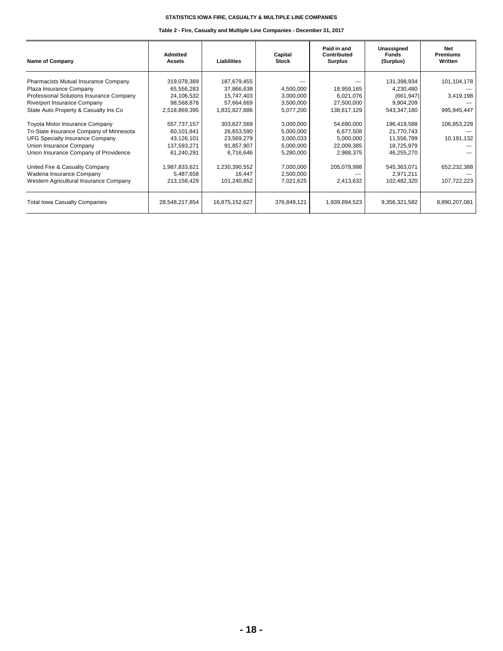| Name of Company                          | Admitted<br><b>Assets</b> | <b>Liabilities</b> | Capital<br><b>Stock</b> | Paid in and<br>Contributed<br><b>Surplus</b> | Unassigned<br><b>Funds</b><br>(Surplus) | <b>Net</b><br><b>Premiums</b><br>Written |
|------------------------------------------|---------------------------|--------------------|-------------------------|----------------------------------------------|-----------------------------------------|------------------------------------------|
| Pharmacists Mutual Insurance Company     | 319,078,389               | 187,679,455        |                         |                                              | 131,398,934                             | 101,104,178                              |
| Plaza Insurance Company                  | 65,556,283                | 37,866,638         | 4,500,000               | 18,959,165                                   | 4,230,480                               |                                          |
| Professional Solutions Insurance Company | 24,106,532                | 15,747,403         | 3,000,000               | 6,021,076                                    | (661, 947)                              | 3,419,198                                |
| Riverport Insurance Company              | 98,568,878                | 57,664,669         | 3,500,000               | 27,500,000                                   | 9,904,209                               |                                          |
| State Auto Property & Casualty Ins Co    | 2,518,869,395             | 1,831,827,886      | 5,077,200               | 138,617,129                                  | 543,347,180                             | 995,945,447                              |
| Toyota Motor Insurance Company           | 557,737,157               | 303,627,569        | 3,000,000               | 54,690,000                                   | 196,419,588                             | 106,853,228                              |
| Tri-State Insurance Company of Minnesota | 60,101,841                | 26,653,590         | 5,000,000               | 6,677,508                                    | 21,770,743                              |                                          |
| UFG Specialty Insurance Company          | 43,126,101                | 23,569,279         | 3,000,033               | 5,000,000                                    | 11,556,789                              | 10,191,132                               |
| Union Insurance Company                  | 137,593,271               | 91,857,907         | 5,000,000               | 22,009,385                                   | 18,725,979                              |                                          |
| Union Insurance Company of Providence    | 61,240,291                | 6,716,646          | 5,280,000               | 2,988,375                                    | 46,255,270                              |                                          |
| United Fire & Casualty Company           | 1,987,833,621             | 1,230,390,552      | 7,000,000               | 205,079,998                                  | 545,363,071                             | 652,232,388                              |
| Wadena Insurance Company                 | 5,487,658                 | 16.447             | 2,500,000               | ---                                          | 2,971,211                               |                                          |
| Western Agricultural Insurance Company   | 213,158,429               | 101,240,852        | 7,021,625               | 2,413,632                                    | 102,482,320                             | 107,722,223                              |
| <b>Total Iowa Casualty Companies</b>     | 28,548,217,854            | 16,875,152,627     | 376,849,121             | 1,939,894,523                                | 9,356,321,582                           | 8,890,207,081                            |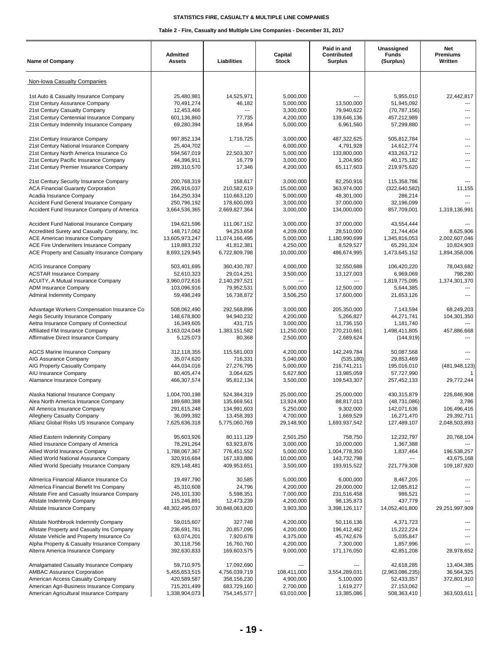| <b>Name of Company</b>                                                              | Admitted<br><b>Assets</b>  | Liabilities                  | Capital<br><b>Stock</b> | Paid in and<br>Contributed<br><b>Surplus</b> | Unassigned<br><b>Funds</b><br>(Surplus) | Net<br><b>Premiums</b><br>Written |
|-------------------------------------------------------------------------------------|----------------------------|------------------------------|-------------------------|----------------------------------------------|-----------------------------------------|-----------------------------------|
| Non-Iowa Casualty Companies                                                         |                            |                              |                         |                                              |                                         |                                   |
| 1st Auto & Casualty Insurance Company                                               | 25,480,981                 | 14,525,971                   | 5,000,000               |                                              | 5.955.010                               | 22,442,817                        |
| 21st Century Assurance Company                                                      | 70,491,274                 | 46,182                       | 5,000,000               | 13,500,000                                   | 51,945,092                              |                                   |
| 21st Century Casualty Company                                                       | 12,453,466                 | ---                          | 3,300,000               | 79,940,622                                   | (70, 787, 156)                          | ---                               |
| 21st Century Centennial Insurance Company                                           | 601,136,860                | 77,735                       | 4,200,000               | 139,646,136                                  | 457,212,989                             | ---                               |
| 21st Century Indemnity Insurance Company                                            | 69,280,394                 | 18,954                       | 5,000,000               | 6,961,560                                    | 57,299,880                              | $---$                             |
| 21st Century Insurance Company                                                      | 997,852,134                | 1,716,725                    | 3.000.000               | 487,322,625                                  | 505,812,784                             |                                   |
| 21st Century National Insurance Company                                             | 25,404,702                 |                              | 6,000,000               | 4,791,928                                    | 14,612,774                              | ---                               |
| 21st Century North America Insurance Co                                             | 594,567,019                | 22,503,307                   | 5,000,000               | 133,800,000                                  | 433,263,712                             | ---                               |
| 21st Century Pacific Insurance Company                                              | 44,396,911                 | 16,779                       | 3,000,000               | 1,204,950                                    | 40,175,182                              | ---                               |
| 21st Century Premier Insurance Company                                              | 289,310,570                | 17,346                       | 4,200,000               | 65,117,603                                   | 219,975,620                             |                                   |
| 21st Century Security Insurance Company                                             | 200,768,319                | 158,617                      | 3,000,000               | 82,250,916                                   | 115,358,786                             |                                   |
| <b>ACA Financial Guaranty Corporation</b>                                           | 266,916,037                | 210,582,619                  | 15,000,000              | 363,974,000                                  | (322, 640, 582)                         | 11,155                            |
| Acadia Insurance Company                                                            | 164,250,334                | 110,663,120                  | 5,000,000               | 48,301,000                                   | 286,214                                 |                                   |
| Accident Fund General Insurance Company                                             | 250,796,192                | 178,600,093                  | 3,000,000               | 37,000,000                                   | 32.196.099                              |                                   |
| Accident Fund Insurance Company of America                                          | 3,664,536,365              | 2,669,827,364                | 3,000,000               | 134,000,000                                  | 857,709,001                             | 1,319,136,991                     |
| Accident Fund National Insurance Company                                            | 194,621,596                | 111,067,152                  | 3,000,000               | 37,000,000                                   | 43,554,444                              |                                   |
| Accredited Surety and Casualty Company, Inc.                                        | 148,717,062                | 94.253.658                   | 4,209,000               | 28,510,000                                   | 21,744,404                              | 8,625,906                         |
| <b>ACE American Insurance Company</b>                                               | 13,605,973,247             | 11,074,166,495               | 5,000,000               | 1,180,990,699                                | 1,345,816,053                           | 2,002,607,046                     |
| ACE Fire Underwriters Insurance Company                                             | 119,883,232                | 41,812,381                   | 4,250,000               | 8,529,527                                    | 65,291,324                              | 10,824,903                        |
| ACE Property and Casualty Insurance Company                                         | 8,693,129,945              | 6,722,809,798                | 10,000,000              | 486,674,995                                  | 1,473,645,152                           | 1,894,358,006                     |
| <b>ACIG Insurance Company</b>                                                       | 503,401,695                | 360,430,787                  | 4,000,000               | 32,550,688                                   | 106,420,220                             | 78,043,682                        |
| <b>ACSTAR Insurance Company</b>                                                     | 52,610,323                 | 29,014,251                   | 3,500,000               | 13,127,003                                   | 6,969,069                               | 798,280                           |
| ACUITY, A Mutual Insurance Company                                                  | 3,960,072,616              | 2,140,297,521                | ---                     | ---                                          | 1,819,775,095                           | 1,374,301,370                     |
| ADM Insurance Company                                                               | 103,096,916                | 79,952,531                   | 5,000,000               | 12,500,000                                   | 5,644,385                               |                                   |
| <b>Admiral Indemnity Company</b>                                                    | 59,498,249                 | 16,738,872                   | 3,506,250               | 17,600,000                                   | 21,653,126                              | $\overline{a}$                    |
| Advantage Workers Compensation Insurance Co                                         | 508,062,490                | 292,568,896                  | 3,000,000               | 205,350,000                                  | 7,143,594                               | 68,249,203                        |
| Aegis Security Insurance Company                                                    | 148,678,800                | 94,940,232                   | 4,200,000               | 5,266,827                                    | 44,271,741                              | 104,301,350                       |
| Aetna Insurance Company of Connecticut                                              | 16,349,605                 | 431,715                      | 3,000,000               | 11,736,150                                   | 1,181,740                               |                                   |
| Affiliated FM Insurance Company                                                     | 3,163,024,048              | 1,383,151,582                | 11,250,000              | 270,210,661                                  | 1,498,411,805                           | 457,886,668                       |
| Affirmative Direct Insurance Company                                                | 5,125,073                  | 80,368                       | 2,500,000               | 2,689,624                                    | (144, 919)                              |                                   |
| <b>AGCS Marine Insurance Company</b>                                                | 312,118,355                | 115,581,003                  | 4,200,000               | 142,249,784                                  | 50,087,568                              |                                   |
| AIG Assurance Company                                                               | 35,074,620                 | 716,331                      | 5,040,000               | (535, 180)                                   | 29,853,469                              |                                   |
| AIG Property Casualty Company                                                       | 444,034,016                | 27,276,795                   | 5,000,000               | 216,741,211                                  | 195,016,010                             | (481, 948, 123)                   |
| AIU Insurance Company                                                               | 80.405.474                 | 3,064,625                    | 5,627,800               | 13,985,059                                   | 57,727,990                              |                                   |
| Alamance Insurance Company                                                          | 466,307,574                | 95,812,134                   | 3,500,000               | 109,543,307                                  | 257,452,133                             | 29,772,244                        |
| Alaska National Insurance Company                                                   | 1,004,700,198              | 524,384,319                  | 25,000,000              | 25,000,000                                   | 430,315,879                             | 226,846,908                       |
| Alea North America Insurance Company                                                | 189,680,388                | 135,669,561                  | 13,924,900              | 88,817,013                                   | (48, 731, 086)                          | 3,786                             |
| All America Insurance Company                                                       | 291,615,248                | 134,991,603                  | 5,250,000               | 9,302,000                                    | 142,071,636                             | 106,496,416                       |
| Allegheny Casualty Company                                                          | 36,099,392                 | 13,458,393                   | 4,700,000               | 1,669,529                                    | 16,271,470                              | 29,392,711                        |
| Allianz Global Risks US Insurance Company                                           | 7,625,636,318              | 5,775,060,769                | 29,148,900              | 1,693,937,542                                | 127,489,107                             | 2,048,503,893                     |
| Allied Eastern Indemnity Company                                                    | 95,603,926                 | 80,111,129                   | 2,501,250               | 758,750                                      | 12,232,797                              | 20,768,104                        |
| Allied Insurance Company of America                                                 | 78,291,264                 | 63,923,876                   | 3,000,000               | 10,000,000                                   | 1,367,388                               |                                   |
| Allied World Insurance Company                                                      | 1,788,067,367              | 776,451,552                  | 5,000,000               | 1,004,778,350                                | 1,837,464                               | 196,538,257                       |
| Allied World National Assurance Company<br>Allied World Specialty Insurance Company | 320,916,684<br>829,148,481 | 167, 183, 886<br>409,953,651 | 10,000,000<br>3,500,000 | 143,732,798<br>193,915,522                   | 221,779,308                             | 43,675,168<br>109,187,920         |
|                                                                                     |                            |                              |                         |                                              |                                         |                                   |
| Allmerica Financial Alliance Insurance Co                                           | 19,497,790                 | 30,585                       | 5,000,000               | 6,000,000                                    | 8,467,205                               |                                   |
| Allmerica Financial Benefit Ins Company                                             | 45,310,608                 | 24,796                       | 4,200,000               | 29,000,000<br>231,516,458                    | 12,085,812                              |                                   |
| Allstate Fire and Casualty Insurance Company<br>Allstate Indemnity Company          | 245,101,330<br>115,246,891 | 5,598,351<br>12,473,239      | 7,000,000<br>4,200,000  | 98,135,873                                   | 986,521<br>437,779                      |                                   |
| Allstate Insurance Company                                                          | 48,302,495,037             | 30,848,063,820               | 3,903,300               | 3,398,126,117                                | 14,052,401,800                          | 29,251,997,909                    |
|                                                                                     |                            |                              |                         |                                              |                                         |                                   |
| Allstate Northbrook Indemnity Company<br>Allstate Property and Casualty Ins Company | 59,015,607<br>236,691,781  | 327,748<br>20,857,095        | 4,200,000<br>4,200,000  | 50,116,136<br>196,412,462                    | 4,371,723<br>15,222,224                 |                                   |
| Allstate Vehicle and Property Insurance Co                                          | 63,074,201                 | 7,920,678                    | 4,375,000               | 45,742,676                                   | 5,035,847                               |                                   |
| Alpha Property & Casualty Insurance Company                                         | 30,118,756                 | 16,760,760                   | 4,200,000               | 7,300,000                                    | 1,857,996                               |                                   |
| Alterra America Insurance Company                                                   | 392,630,833                | 169,603,575                  | 9,000,000               | 171,176,050                                  | 42,851,208                              | 28,978,652                        |
| Amalgamated Casualty Insurance Company                                              | 59,710,975                 | 17,092,690                   | $\cdots$                | ---                                          | 42,618,285                              | 13,404,385                        |
| <b>AMBAC Assurance Corporation</b>                                                  | 5,455,653,515              | 4,756,039,719                | 108,411,000             | 3,554,289,031                                | (2,963,086,235)                         | 36,564,325                        |
| American Access Casualty Company                                                    | 420,589,587                | 358,156,230                  | 4,900,000               | 5,100,000                                    | 52,433,357                              | 372,801,910                       |
| American Agri-Business Insurance Company                                            | 715,201,499                | 683,729,160                  | 2,700,000               | 1,619,277                                    | 27,153,062                              |                                   |
| American Agricultural Insurance Company                                             | 1,338,904,073              | 754,145,577                  | 63,010,000              | 13,385,086                                   | 508,363,410                             | 363,503,611                       |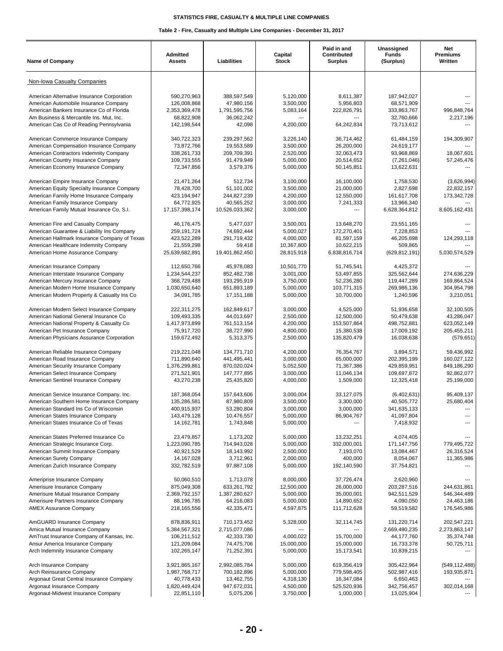| <b>Name of Company</b>                                                      | <b>Admitted</b><br><b>Assets</b> | Liabilities               | Capital<br><b>Stock</b> | Paid in and<br>Contributed<br><b>Surplus</b> | Unassigned<br><b>Funds</b><br>(Surplus) | Net<br>Premiums<br>Written |
|-----------------------------------------------------------------------------|----------------------------------|---------------------------|-------------------------|----------------------------------------------|-----------------------------------------|----------------------------|
| Non-Iowa Casualty Companies                                                 |                                  |                           |                         |                                              |                                         |                            |
| American Alternative Insurance Corporation                                  | 590,270,963                      | 388,597,549               | 5.120.000               | 8.611.387                                    | 187,942,027                             |                            |
| American Automobile Insurance Company                                       | 126,008,868                      | 47,980,156                | 3,500,000               | 5,956,803                                    | 68,571,909                              |                            |
| American Bankers Insurance Co of Florida                                    | 2,353,369,478                    | 1,791,595,756             | 5,083,164               | 222,826,791                                  | 333,863,767                             | 996,848,764                |
| Am Business & Mercantile Ins. Mut, Inc.                                     | 68,822,908                       | 36,062,242                | ---                     |                                              | 32,760,666                              | 2,217,196                  |
| American Cas Co of Reading Pennsylvania                                     | 142,198,544                      | 42,098                    | 4,200,000               | 64,242,834                                   | 73,713,612                              |                            |
| American Commerce Insurance Company                                         | 340,722,323                      | 239,297,562               | 3,226,140               | 36,714,462                                   | 61,484,159                              | 194,309,907                |
| American Compensation Insurance Company                                     | 73,872,766                       | 19,553,589                | 3,500,000               | 26,200,000                                   | 24,619,177                              |                            |
| American Contractors Indemnity Company                                      | 338,261,733                      | 209,709,391               | 2,520,000               | 32,063,473                                   | 93,968,869                              | 18.067.601                 |
| American Country Insurance Company<br>American Economy Insurance Company    | 109,733,555<br>72,347,856        | 91,479,949<br>3,579,376   | 5,000,000<br>5,000,000  | 20,514,652<br>50,145,851                     | (7,261,046)<br>13,622,631               | 57,245,476                 |
| American Empire Insurance Company                                           | 21,471,264                       | 512,734                   | 3,100,000               | 16,100,000                                   | 1,758,530                               | (3,626,994)                |
| American Equity Specialty Insurance Company                                 | 78,428,700                       | 51,101,002                | 3,500,000               | 21,000,000                                   | 2,827,698                               | 22,832,157                 |
| American Family Home Insurance Company                                      | 423,194,947                      | 244,827,239               | 4,200,000               | 12,550,000                                   | 161,617,708                             | 173,342,728                |
| American Family Insurance Company                                           | 64,772,925                       | 40,565,252                | 3,000,000               | 7,241,333                                    | 13,966,340                              |                            |
| American Family Mutual Insurance Co, S.I.                                   | 17, 157, 398, 174                | 10,526,033,362            | 3,000,000               | ---                                          | 6,628,364,812                           | 8,605,162,431              |
| American Fire and Casualty Company                                          | 46,176,475                       | 5,477,037                 | 3,500,001               | 13,648,270                                   | 23,551,165                              |                            |
| American Guarantee & Liability Ins Company                                  | 259,191,724                      | 74,692,444                | 5,000,027               | 172,270,401                                  | 7,228,853                               |                            |
| American Hallmark Insurance Company of Texas                                | 423,522,289                      | 291,719,432               | 4,000,000               | 81,597,159                                   | 46,205,698                              | 124,293,118                |
| American Healthcare Indemnity Company                                       | 21,559,298                       | 59,418                    | 10,367,800              | 10,622,215                                   | 509.865                                 |                            |
| American Home Assurance Company                                             | 25,639,682,891                   | 19,401,862,450            | 28,815,918              | 6,838,816,714                                | (629, 812, 191)                         | 5,030,574,529              |
| American Insurance Company                                                  | 112,650,766                      | 45,978,083                | 10,501,770              | 51,745,541                                   | 4,425,372                               |                            |
| American Interstate Insurance Company                                       | 1,234,544,237                    | 852,482,738               | 3,001,000               | 53,497,855                                   | 325,562,644                             | 274,636,229                |
| American Mercury Insurance Company                                          | 368,729,488                      | 193,295,919               | 3,750,000               | 52,236,280                                   | 119,447,289                             | 169,864,524                |
| American Modern Home Insurance Company                                      | 1,030,650,640                    | 651,893,189               | 5,000,000               | 103,771,315                                  | 269,986,136                             | 304,954,798                |
| American Modern Property & Casualty Ins Co                                  | 34,091,785                       | 17, 151, 188              | 5,000,000               | 10,700,000                                   | 1,240,596                               | 3,210,051                  |
| American Modern Select Insurance Company                                    | 222,311,275                      | 162,849,617               | 3,000,000               | 4,525,000                                    | 51,936,658                              | 32,100,505                 |
| American National General Insurance Co                                      | 109,493,335                      | 44,013,697                | 2,500,000               | 12,500,000                                   | 50,479,638                              | 43,286,047                 |
| American National Property & Casualty Co                                    | 1,417,973,899                    | 761,513,154               | 4,200,000               | 153,507,864                                  | 498,752,881                             | 623,052,149                |
| American Pet Insurance Company<br>American Physicians Assurance Corporation | 75,917,720<br>159,672,492        | 38,727,990<br>5,313,375   | 4,800,000<br>2,500,000  | 15,380,538<br>135,820,479                    | 17,009,192<br>16,038,638                | 205,455,211<br>(579, 651)  |
| American Reliable Insurance Company                                         | 219,221,048                      | 134,771,710               | 4,200,000               | 76,354,767                                   | 3,894,571                               | 59,436,992                 |
| American Road Insurance Company                                             | 711,890,640                      | 441,495,441               | 3,000,000               | 65,000,000                                   | 202,395,199                             | 160,027,122                |
| American Security Insurance Company                                         | 1,376,299,861                    | 870,020,024               | 5,052,500               | 71,367,386                                   | 429,859,951                             | 849,186,290                |
| American Select Insurance Company                                           | 271,521,901                      | 147,777,895               | 3,000,000               | 11,046,134                                   | 109,697,872                             | 92,862,077                 |
| American Sentinel Insurance Company                                         | 43,270,238                       | 25,435,820                | 4,000,000               | 1,509,000                                    | 12,325,418                              | 25,199,000                 |
| American Service Insurance Company, Inc.                                    | 187,368,054                      | 157,643,606               | 3,000,004               | 33,127,075                                   | (6,402,631)                             | 95,409,137                 |
| American Southern Home Insurance Company                                    | 135,286,581                      | 87,980,809                | 3,500,000               | 3,300,000                                    | 40,505,772                              | 25,680,404                 |
| American Standard Ins Co of Wisconsin                                       | 400,915,937                      | 53,280,804                | 3,000,000               | 3,000,000                                    | 341,635,133                             |                            |
| American States Insurance Company<br>American States Insurance Co of Texas  | 143,479,128<br>14, 162, 781      | 10,476,557<br>1,743,848   | 5,000,000<br>5,000,000  | 86,904,767<br>---                            | 41,097,804<br>7,418,932                 |                            |
|                                                                             |                                  |                           |                         |                                              |                                         |                            |
| American States Preferred Insurance Co                                      | 23,479,857                       | 1,173,202                 | 5,000,000               | 13,232,251                                   | 4,074,405                               |                            |
| American Strategic Insurance Corp.                                          | 1,223,090,785                    | 714,943,028               | 5,000,000               | 332,000,001<br>7,193,070                     | 171,147,756<br>13,084,467               | 779,495,722                |
| American Summit Insurance Company<br>American Surety Company                | 40,921,529<br>14, 167, 028       | 18,143,992<br>3,712,961   | 2,500,000<br>2,000,000  | 400,000                                      | 8,054,067                               | 26,316,524<br>11,365,986   |
| American Zurich Insurance Company                                           | 332,782,519                      | 97,887,108                | 5,000,000               | 192,140,590                                  | 37,754,821                              |                            |
| Ameriprise Insurance Company                                                | 50,060,510                       | 1,713,078                 | 8,000,000               | 37,726,474                                   | 2,620,960                               |                            |
| Amerisure Insurance Company                                                 | 875,049,308                      | 633,261,792               | 12,500,000              | 26,000,000                                   | 203,287,516                             | 244,631,861                |
| Amerisure Mutual Insurance Company                                          | 2,369,792,157                    | 1,387,280,627             | 5,000,000               | 35,000,001                                   | 942,511,529                             | 546,344,489                |
| Amerisure Partners Insurance Company                                        | 88,196,785                       | 64,216,083                | 5,000,000               | 14,890,652                                   | 4,090,050                               | 24,463,186                 |
| <b>AMEX Assurance Company</b>                                               | 218,165,556                      | 42,335,471                | 4,597,875               | 111,712,628                                  | 59,519,582                              | 176,545,986                |
| AmGUARD Insurance Company                                                   | 878,836,911                      | 710,173,452               | 5,328,000               | 32,114,745                                   | 131,220,714                             | 202,547,221                |
| Amica Mutual Insurance Company                                              | 5,384,567,321                    | 2,715,077,086             |                         | ---                                          | 2,669,490,235                           | 2,273,863,147              |
| AmTrust Insurance Company of Kansas, Inc.                                   | 106,211,512                      | 42,333,730                | 4,000,022               | 15,700,000                                   | 44,177,760                              | 35,374,748                 |
| Ansur America Insurance Company<br>Arch Indemnity Insurance Company         | 121,209,084<br>102,265,147       | 74,475,706<br>71,252,391  | 15,000,000<br>5,000,000 | 15,000,000<br>15,173,541                     | 16,733,378<br>10,839,215                | 50,725,711                 |
|                                                                             |                                  |                           |                         |                                              |                                         |                            |
| Arch Insurance Company                                                      | 3,921,865,167                    | 2,992,085,784             | 5,000,000               | 619,356,419                                  | 305,422,964                             | (549, 112, 488)            |
| Arch Reinsurance Company<br>Argonaut Great Central Insurance Company        | 1,987,768,717<br>40,778,433      | 700,182,896<br>13,462,755 | 5,000,000<br>4,318,130  | 779,598,405<br>16,347,084                    | 502,987,416<br>6,650,463                | 193,935,871                |
| Argonaut Insurance Company                                                  | 1,820,449,424                    | 947,672,031               | 4,500,000               | 525,520,936                                  | 342,756,457                             | 302,014,168                |
| Argonaut-Midwest Insurance Company                                          | 22,851,110                       | 5,075,206                 | 3,750,000               | 1,000,000                                    | 13,025,904                              |                            |
|                                                                             |                                  |                           |                         |                                              |                                         |                            |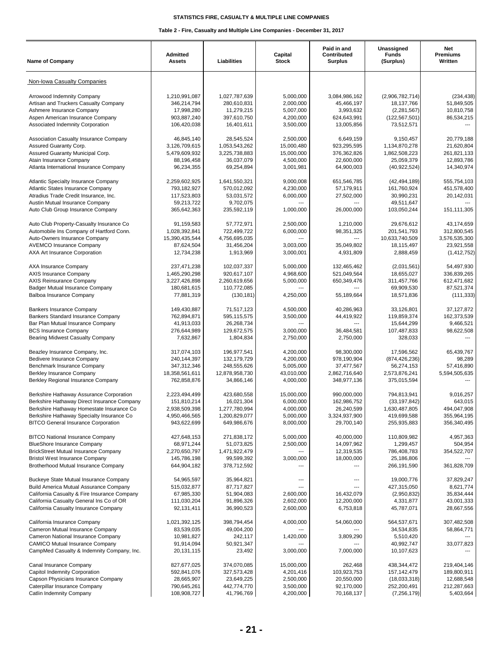| <b>Name of Company</b>                                                                 | Admitted<br><b>Assets</b>    | Liabilities                  | Capital<br><b>Stock</b> | Paid in and<br>Contributed<br><b>Surplus</b> | Unassigned<br><b>Funds</b><br>(Surplus) | Net<br>Premiums<br>Written |
|----------------------------------------------------------------------------------------|------------------------------|------------------------------|-------------------------|----------------------------------------------|-----------------------------------------|----------------------------|
| Non-Iowa Casualty Companies                                                            |                              |                              |                         |                                              |                                         |                            |
| Arrowood Indemnity Company                                                             | 1,210,991,087                | 1,027,787,639                | 5,000,000               | 3,084,986,162                                | (2,906,782,714)                         | (234, 438)                 |
| Artisan and Truckers Casualty Company                                                  | 346,214,794                  | 280,610,831                  | 2,000,000               | 45,466,197                                   | 18,137,766                              | 51,849,505                 |
| Ashmere Insurance Company                                                              | 17,998,280                   | 11,279,215                   | 5,007,000               | 3,993,632                                    | (2, 281, 567)                           | 10,810,758                 |
| Aspen American Insurance Company                                                       | 903,887,240                  | 397,610,750                  | 4,200,000               | 624,643,991                                  | (122, 567, 501)                         | 86,534,215                 |
| Associated Indemnity Corporation                                                       | 106,420,038                  | 16,401,611                   | 3,500,000               | 13,005,856                                   | 73,512,571                              |                            |
| Association Casualty Insurance Company                                                 | 46,845,140                   | 28,545,524                   | 2,500,000               | 6.649.159                                    | 9,150,457                               | 20,779,188                 |
| Assured Guaranty Corp.                                                                 | 3,126,709,615                | 1,053,543,262                | 15,000,480              | 923,295,595                                  | 1,134,870,278                           | 21,620,804                 |
| Assured Guaranty Municipal Corp.<br>Atain Insurance Company                            | 5,479,609,932                | 3,225,738,883                | 15,000,000              | 376,362,826<br>22,600,000                    | 1,862,508,223                           | 261,821,133                |
| Atlanta International Insurance Company                                                | 88,196,458<br>96,234,355     | 36,037,079<br>69,254,894     | 4,500,000<br>3,001,981  | 64,900,003                                   | 25,059,379<br>(40, 922, 524)            | 12,893,786<br>14,340,974   |
|                                                                                        |                              |                              |                         |                                              |                                         |                            |
| <b>Atlantic Specialty Insurance Company</b>                                            | 2,259,602,925                | 1,641,550,321                | 9,000,008               | 651,546,785                                  | (42, 494, 189)                          | 555,754,103                |
| Atlantic States Insurance Company<br>Atradius Trade Credit Insurance, Inc.             | 793,182,927<br>117,523,803   | 570,012,092<br>53,031,572    | 4,230,000<br>6,000,000  | 57,179,911<br>27,502,000                     | 161,760,924<br>30,990,231               | 451,578,400<br>20,142,031  |
| Austin Mutual Insurance Company                                                        | 59,213,722                   | 9,702,075                    |                         |                                              | 49,511,647                              |                            |
| Auto Club Group Insurance Company                                                      | 365,642,363                  | 235,592,119                  | 1,000,000               | 26,000,000                                   | 103,050,244                             | 151,111,305                |
| Auto Club Property-Casualty Insurance Co                                               | 91,159,583                   | 57,772,971                   | 2.500.000               | 1,210,000                                    | 29,676,612                              | 43,174,659                 |
| Automobile Ins Company of Hartford Conn.                                               | 1,028,392,841                | 722,499,722                  | 6,000,000               | 98,351,325                                   | 201,541,793                             | 312,800,545                |
| Auto-Owners Insurance Company                                                          | 15,390,435,544               | 4,756,695,035                | $\overline{a}$          | ---                                          | 10,633,740,509                          | 3,576,535,300              |
| <b>AVEMCO Insurance Company</b>                                                        | 87,624,504                   | 31,456,204                   | 3,003,000               | 35,049,802                                   | 18,115,497                              | 23,921,558                 |
| AXA Art Insurance Corporation                                                          | 12,734,238                   | 1,913,969                    | 3,000,001               | 4,931,809                                    | 2,888,459                               | (1, 412, 752)              |
| AXA Insurance Company                                                                  | 237,471,238                  | 102,037,337                  | 5,000,000               | 132,465,462                                  | (2,031,561)                             | 54,497,930                 |
| AXIS Insurance Company                                                                 | 1,465,290,298                | 920,617,107                  | 4,968,600               | 521,049,564                                  | 18,655,027                              | 336,839,265                |
| <b>AXIS Reinsurance Company</b>                                                        | 3,227,426,898                | 2,260,619,656                | 5,000,000               | 650,349,476                                  | 311,457,766                             | 612,471,682                |
| Badger Mutual Insurance Company                                                        | 180,681,615                  | 110,772,085                  | ---                     | ---                                          | 69,909,530                              | 87,521,374                 |
| Balboa Insurance Company                                                               | 77,881,319                   | (130, 181)                   | 4,250,000               | 55,189,664                                   | 18,571,836                              | (111, 333)                 |
| Bankers Insurance Company                                                              | 149,430,887                  | 71,517,123                   | 4,500,000               | 40,286,963                                   | 33,126,801                              | 37,127,872                 |
| Bankers Standard Insurance Company                                                     | 762,894,871                  | 595,115,575                  | 3,500,000               | 44,419,922                                   | 119,859,374                             | 162,373,539                |
| Bar Plan Mutual Insurance Company                                                      | 41,913,033                   | 26,268,734                   |                         |                                              | 15,644,299                              | 9,466,521                  |
| <b>BCS Insurance Company</b><br>Bearing Midwest Casualty Company                       | 276,644,989<br>7,632,867     | 129,672,575<br>1,804,834     | 3,000,000<br>2,750,000  | 36,484,581<br>2,750,000                      | 107,487,833<br>328,033                  | 98,622,508                 |
|                                                                                        |                              |                              |                         |                                              |                                         |                            |
| Beazley Insurance Company, Inc.                                                        | 317,074,103                  | 196,977,541                  | 4,200,000               | 98,300,000                                   | 17,596,562                              | 65,439,767                 |
| Bedivere Insurance Company<br>Benchmark Insurance Company                              | 240, 144, 397<br>347,312,346 | 132, 179, 729<br>248,555,626 | 4,200,000<br>5,005,000  | 978,190,904<br>37,477,567                    | (874, 426, 236)<br>56,274,153           | 98,289<br>57,416,890       |
| Berkley Insurance Company                                                              | 18,358,561,611               | 12,878,958,730               | 43,010,000              | 2,862,716,640                                | 2,573,876,241                           | 5,594,505,635              |
| Berkley Regional Insurance Company                                                     | 762,858,876                  | 34,866,146                   | 4,000,000               | 348,977,136                                  | 375,015,594                             |                            |
| Berkshire Hathaway Assurance Corporation                                               | 2,223,494,499                | 423,680,558                  | 15,000,000              | 990,000,000                                  | 794,813,941                             | 9,016,257                  |
| Berkshire Hathaway Direct Insurance Company                                            | 151,810,214                  | 16,021,304                   | 6,000,000               | 162,986,752                                  | (33, 197, 842)                          | 643,015                    |
| Berkshire Hathaway Homestate Insurance Co                                              | 2,938,509,398                | 1,277,780,994                | 4,000,000               | 26,240,599                                   | 1,630,487,805                           | 494,047,908                |
| Berkshire Hathaway Specialty Insurance Co                                              | 4,950,466,565                | 1,200,829,077                | 5,000,000               | 3,324,937,900                                | 419,699,588                             | 355,964,195                |
| <b>BITCO General Insurance Corporation</b>                                             | 943,622,699                  | 649,986,676                  | 8,000,000               | 29,700,140                                   | 255,935,883                             | 356,340,495                |
| <b>BITCO National Insurance Company</b>                                                | 427,648,153                  | 271,838,172                  | 5,000,000               | 40,000,000                                   | 110,809,982                             | 4,957,363                  |
| <b>BlueShore Insurance Company</b>                                                     | 68,971,244                   | 51,073,825                   | 2,500,000               | 14,097,962                                   | 1,299,457                               | 504,954                    |
| <b>BrickStreet Mutual Insurance Company</b>                                            | 2,270,650,797                | 1,471,922,479                |                         | 12,319,535                                   | 786,408,783                             | 354,522,707                |
| <b>Bristol West Insurance Company</b><br>Brotherhood Mutual Insurance Company          | 145,786,198<br>644,904,182   | 99,599,392<br>378,712,592    | 3,000,000               | 18,000,000<br>---                            | 25,186,806<br>266,191,590               | 361,828,709                |
|                                                                                        |                              |                              |                         |                                              |                                         |                            |
| Buckeye State Mutual Insurance Company                                                 | 54,965,597                   | 35,964,821                   | $---$                   | ---                                          | 19,000,776                              | 37,829,247                 |
| Build America Mutual Assurance Company<br>California Casualty & Fire Insurance Company | 515,032,877<br>67,985,330    | 87,717,827<br>51,904,083     |                         |                                              | 427,315,050                             | 8,621,774<br>35,834,444    |
| California Casualty General Ins Co of OR                                               | 111,030,204                  | 91,896,326                   | 2,600,000<br>2,602,000  | 16,432,079<br>12,200,000                     | (2,950,832)<br>4,331,877                | 43,001,333                 |
| California Casualty Insurance Company                                                  | 92,131,411                   | 36,990,523                   | 2,600,000               | 6,753,818                                    | 45,787,071                              | 28,667,556                 |
| California Insurance Company                                                           | 1,021,392,125                | 398,794,454                  | 4,000,000               | 54,060,000                                   | 564,537,671                             | 307,482,508                |
| Cameron Mutual Insurance Company                                                       | 83,539,035                   | 49,004,200                   |                         |                                              | 34,534,835                              | 58,864,771                 |
| Cameron National Insurance Company                                                     | 10,981,827                   | 242,117                      | 1,420,000               | 3,809,290                                    | 5,510,420                               |                            |
| <b>CAMICO Mutual Insurance Company</b>                                                 | 91,914,094                   | 50,921,347                   |                         |                                              | 40,992,747                              | 33,077,823                 |
| CampMed Casualty & Indemnity Company, Inc.                                             | 20,131,115                   | 23,492                       | 3,000,000               | 7,000,000                                    | 10,107,623                              |                            |
| Canal Insurance Company                                                                | 827,677,025                  | 374,070,085                  | 15,000,000              | 262,468                                      | 438,344,472                             | 219,404,146                |
| Capitol Indemnity Corporation                                                          | 592,841,076                  | 327,573,428                  | 4,201,416               | 103,923,753                                  | 157, 142, 479                           | 189,800,911                |
| Capson Physicians Insurance Company                                                    | 28,665,907                   | 23,649,225                   | 2,500,000               | 20,550,000                                   | (18,033,318)                            | 12,688,548                 |
| Caterpillar Insurance Company                                                          | 790,645,261                  | 442,774,770                  | 3,500,000               | 92,170,000                                   | 252,200,491                             | 212,287,663                |
| Catlin Indemnity Company                                                               | 108,908,727                  | 41,796,769                   | 4,200,000               | 70,168,137                                   | (7, 256, 179)                           | 5,403,664                  |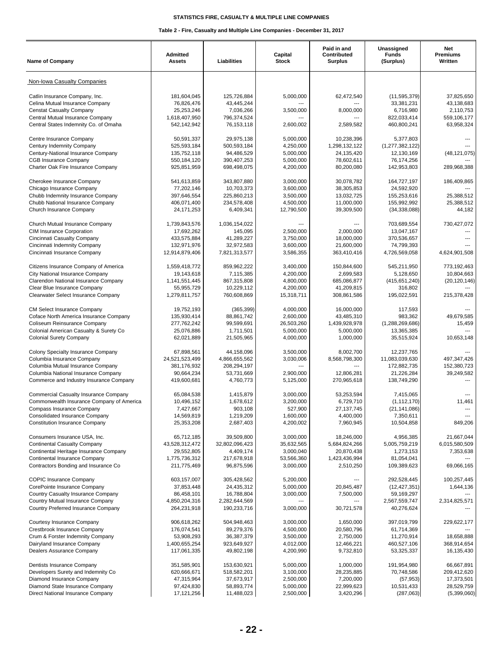| <b>Name of Company</b>                                                  | <b>Admitted</b><br><b>Assets</b> | Liabilities                | Capital<br><b>Stock</b> | Paid in and<br>Contributed<br><b>Surplus</b> | Unassigned<br><b>Funds</b><br>(Surplus) | <b>Net</b><br><b>Premiums</b><br>Written |
|-------------------------------------------------------------------------|----------------------------------|----------------------------|-------------------------|----------------------------------------------|-----------------------------------------|------------------------------------------|
| Non-Iowa Casualty Companies                                             |                                  |                            |                         |                                              |                                         |                                          |
| Catlin Insurance Company, Inc.                                          | 181,604,045                      | 125,726,884                | 5,000,000               | 62,472,540                                   | (11, 595, 379)                          | 37,825,650                               |
| Celina Mutual Insurance Company                                         | 76,826,476                       | 43,445,244                 | ---                     | ---                                          | 33,381,231                              | 43,138,683                               |
| <b>Censtat Casualty Company</b>                                         | 25,253,246                       | 7,036,266                  | 3,500,000               | 8,000,000                                    | 6,716,980                               | 2,110,753                                |
| Central Mutual Insurance Company                                        | 1,618,407,950                    | 796,374,524                |                         | ---                                          | 822,033,414                             | 559,106,177                              |
| Central States Indemnity Co. of Omaha                                   | 542,142,942                      | 76,153,118                 | 2,600,002               | 2,589,582                                    | 460,800,241                             | 63,958,324                               |
| Centre Insurance Company                                                | 50.591.337                       | 29,975,138                 | 5,000,000               | 10,238,396                                   | 5,377,803                               |                                          |
| Century Indemnity Company                                               | 525,593,184                      | 500,593,184                | 4,250,000               | 1,298,132,122                                | (1, 277, 382, 122)                      |                                          |
| Century-National Insurance Company<br><b>CGB Insurance Company</b>      | 135,752,118<br>550,184,120       | 94,486,529                 | 5,000,000<br>5,000,000  | 24,135,420<br>78,602,611                     | 12,130,169<br>76,174,256                | (48, 121, 075)                           |
| Charter Oak Fire Insurance Company                                      | 925,851,959                      | 390,407,253<br>698,498,075 | 4,200,000               | 80,200,080                                   | 142,953,803                             | 289,968,388                              |
|                                                                         |                                  |                            |                         |                                              |                                         |                                          |
| Cherokee Insurance Company                                              | 541,613,859                      | 343,807,880                | 3,000,000               | 30,078,782                                   | 164,727,197                             | 186,409,865                              |
| Chicago Insurance Company                                               | 77,202,146                       | 10,703,373                 | 3,600,000               | 38,305,853                                   | 24,592,920                              |                                          |
| Chubb Indemnity Insurance Company<br>Chubb National Insurance Company   | 397,646,554<br>406,071,400       | 225,860,213<br>234,578,408 | 3,500,000<br>4,500,000  | 13,032,725<br>11,000,000                     | 155,253,616<br>155,992,992              | 25,388,512<br>25,388,512                 |
| Church Insurance Company                                                | 24, 171, 253                     | 6,409,341                  | 12,790,500              | 39,309,500                                   | (34, 338, 088)                          | 44,182                                   |
|                                                                         |                                  |                            |                         |                                              |                                         |                                          |
| Church Mutual Insurance Company<br><b>CIM Insurance Corporation</b>     | 1,739,843,576<br>17,692,262      | 1,036,154,022<br>145,095   | 2,500,000               | $\overline{a}$<br>2.000.000                  | 703,689,554<br>13,047,167               | 730,427,072                              |
| Cincinnati Casualty Company                                             | 433,575,884                      | 41,289,227                 | 3,750,000               | 18,000,000                                   | 370,536,657                             |                                          |
| Cincinnati Indemnity Company                                            | 132,971,976                      | 32,972,583                 | 3,600,000               | 21,600,000                                   | 74,799,393                              |                                          |
| Cincinnati Insurance Company                                            | 12,914,879,406                   | 7,821,313,577              | 3,586,355               | 363,410,416                                  | 4,726,569,058                           | 4,624,901,508                            |
| Citizens Insurance Company of America                                   | 1,559,418,772                    |                            |                         | 150,844,600                                  |                                         |                                          |
| City National Insurance Company                                         | 19,143,618                       | 859,962,222<br>7,115,385   | 3,400,000<br>4,200,000  | 2,699,583                                    | 545,211,950<br>5,128,650                | 773,192,463<br>10,804,663                |
| Clarendon National Insurance Company                                    | 1,141,551,445                    | 867,315,808                | 4,800,000               | 685,086,877                                  | (415, 651, 240)                         | (20, 120, 146)                           |
| Clear Blue Insurance Company                                            | 55,955,729                       | 10,229,112                 | 4,200,000               | 41,209,815                                   | 316,802                                 |                                          |
| Clearwater Select Insurance Company                                     | 1,279,811,757                    | 760,608,869                | 15,318,711              | 308,861,586                                  | 195,022,591                             | 215,378,428                              |
| CM Select Insurance Company                                             | 19,752,193                       | (365, 399)                 | 4,000,000               | 16,000,000                                   | 117,593                                 |                                          |
| Coface North America Insurance Company                                  | 135,930,414                      | 88,861,742                 | 2,600,000               | 43,485,310                                   | 983,362                                 | 49,679,585                               |
| Coliseum Reinsurance Company                                            | 277,762,242                      | 99,599,691                 | 26,503,260              | 1,439,928,978                                | (1, 288, 269, 686)                      | 15,459                                   |
| Colonial American Casualty & Surety Co                                  | 25,076,886                       | 1,711,501                  | 5,000,000               | 5,000,000                                    | 13,365,385                              |                                          |
| <b>Colonial Surety Company</b>                                          | 62,021,889                       | 21,505,965                 | 4,000,000               | 1,000,000                                    | 35,515,924                              | 10,653,148                               |
| Colony Specialty Insurance Company                                      | 67,898,561                       | 44,158,096                 | 3,500,000               | 8,002,700                                    | 12,237,765                              |                                          |
| Columbia Insurance Company                                              | 24,521,523,499                   | 4,866,655,562              | 3,030,006               | 8,568,798,300                                | 11,083,039,630                          | 497,347,426                              |
| Columbia Mutual Insurance Company                                       | 381,176,932                      | 208,294,197                |                         |                                              | 172,882,735                             | 152,380,723                              |
| Columbia National Insurance Company                                     | 90,664,234                       | 53,731,669                 | 2.900.000               | 12,806,281                                   | 21,226,284                              | 39,249,582                               |
| Commerce and Industry Insurance Company                                 | 419,600,681                      | 4,760,773                  | 5,125,000               | 270,965,618                                  | 138,749,290                             |                                          |
| <b>Commercial Casualty Insurance Company</b>                            | 65,084,538                       | 1,415,879                  | 3,000,000               | 53,253,594                                   | 7,415,065                               |                                          |
| Commonwealth Insurance Company of America                               | 10,496,152                       | 1,678,612                  | 3,200,000               | 6,729,710                                    | (1, 112, 170)                           | 11,461                                   |
| Compass Insurance Company                                               | 7,427,667                        | 903,108                    | 527,900                 | 27,137,745                                   | (21, 141, 086)                          |                                          |
| Consolidated Insurance Company<br><b>Constitution Insurance Company</b> | 14,569,819<br>25,353,208         | 1,219,209<br>2,687,403     | 1,600,000<br>4,200,002  | 4,400,000<br>7,960,945                       | 7,350,611<br>10,504,858                 | 849,206                                  |
|                                                                         |                                  |                            |                         |                                              |                                         |                                          |
| Consumers Insurance USA, Inc.                                           | 65,712,185                       | 39,509,800                 | 3,000,000               | 18,246,000                                   | 4,956,385                               | 21,667,044                               |
| Continental Casualty Company                                            | 43,528,312,472                   | 32,802,096,423             | 35,632,565              | 5,684,824,266                                | 5,005,759,219                           | 6,015,580,509                            |
| Continental Heritage Insurance Company                                  | 29,552,805                       | 4,409,174<br>217,678,918   | 3,000,040               | 20,870,438                                   | 1,273,153                               | 7,353,638                                |
| Continental Insurance Company<br>Contractors Bonding and Insurance Co   | 1,775,736,312<br>211,775,469     | 96,875,596                 | 53,566,360<br>3,000,000 | 1,423,436,994<br>2,510,250                   | 81,054,041<br>109,389,623               | 69,066,165                               |
|                                                                         |                                  |                            |                         |                                              |                                         |                                          |
| <b>COPIC Insurance Company</b>                                          | 603,157,007                      | 305,428,562                | 5,200,000               | ---                                          | 292,528,445                             | 100,257,445                              |
| CorePointe Insurance Company<br>Country Casualty Insurance Company      | 37,853,448<br>86,458,101         | 24,435,312<br>16,788,804   | 5,000,000<br>3,000,000  | 20,845,487<br>7,500,000                      | (12, 427, 351)<br>59,169,297            | 1,644,136                                |
| Country Mutual Insurance Company                                        | 4,850,204,316                    | 2,282,644,569              |                         |                                              | 2,567,559,747                           | 2,314,825,571                            |
| Country Preferred Insurance Company                                     | 264,231,918                      | 190,233,716                | 3,000,000               | 30,721,578                                   | 40,276,624                              |                                          |
|                                                                         |                                  |                            |                         |                                              |                                         |                                          |
| Courtesy Insurance Company<br>Crestbrook Insurance Company              | 906,618,262<br>176,074,541       | 504,948,463<br>89,279,376  | 3,000,000<br>4,500,000  | 1,650,000<br>20,580,796                      | 397,019,799<br>61,714,369               | 229,622,177                              |
| Crum & Forster Indemnity Company                                        | 53,908,293                       | 36,387,379                 | 3,500,000               | 2,750,000                                    | 11,270,914                              | 18,658,888                               |
| Dairyland Insurance Company                                             | 1,400,655,254                    | 923,649,927                | 4,012,000               | 12,466,221                                   | 460,527,106                             | 368,914,654                              |
| Dealers Assurance Company                                               | 117,061,335                      | 49,802,198                 | 4,200,990               | 9,732,810                                    | 53,325,337                              | 16,135,430                               |
| Dentists Insurance Company                                              | 351,585,901                      | 153,630,921                | 5,000,000               | 1,000,000                                    | 191,954,980                             | 66,667,891                               |
| Developers Surety and Indemnity Co                                      | 620,666,671                      | 518,582,201                | 3,100,000               | 28,235,885                                   | 70,748,586                              | 209,412,620                              |
| Diamond Insurance Company                                               | 47,315,964                       | 37,673,917                 | 2,500,000               | 7,200,000                                    | (57, 953)                               | 17,373,501                               |
| Diamond State Insurance Company                                         | 97,424,830                       | 58,893,774                 | 5,000,000               | 22,999,623                                   | 10,531,433                              | 28,529,759                               |
| Direct National Insurance Company                                       | 17, 121, 256                     | 11,488,023                 | 2,500,000               | 3,420,296                                    | (287,063)                               | (5,399,060)                              |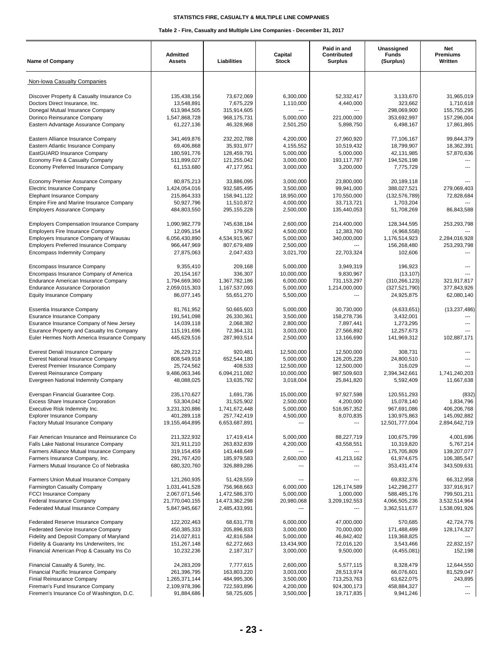| <b>Name of Company</b>                                                                  | <b>Admitted</b><br><b>Assets</b> | Liabilities                  | Capital<br><b>Stock</b> | Paid in and<br>Contributed<br>Surplus | Unassigned<br><b>Funds</b><br>(Surplus) | Net<br>Premiums<br>Written |
|-----------------------------------------------------------------------------------------|----------------------------------|------------------------------|-------------------------|---------------------------------------|-----------------------------------------|----------------------------|
| Non-Iowa Casualty Companies                                                             |                                  |                              |                         |                                       |                                         |                            |
| Discover Property & Casualty Insurance Co                                               | 135,438,156                      | 73,672,069                   | 6,300,000               | 52,332,417                            | 3,133,670                               | 31,965,019                 |
| Doctors Direct Insurance, Inc.                                                          | 13,548,891                       | 7,675,229                    | 1,110,000               | 4,440,000                             | 323,662                                 | 1,710,618                  |
| Donegal Mutual Insurance Company                                                        | 613,984,505                      | 315,914,605                  | $\overline{a}$          |                                       | 298,069,900                             | 155,755,295                |
| Dorinco Reinsurance Company                                                             | 1,547,868,728                    | 968, 175, 731                | 5,000,000               | 221,000,000                           | 353,692,997                             | 157,296,004                |
| Eastern Advantage Assurance Company                                                     | 61,227,136                       | 46,328,968                   | 2,501,250               | 5,898,750                             | 6,498,167                               | 17,861,865                 |
| Eastern Alliance Insurance Company                                                      | 341,469,876                      | 232, 202, 788                | 4,200,000               | 27,960,920                            | 77,106,167                              | 99,844,379                 |
| Eastern Atlantic Insurance Company                                                      | 69,406,868                       | 35,931,977                   | 4,155,552               | 10,519,432                            | 18,799,907                              | 18,362,391                 |
| EastGUARD Insurance Company<br>Economy Fire & Casualty Company                          | 180,591,776<br>511,899,027       | 128,459,791                  | 5,000,000<br>3,000,000  | 5,000,000<br>193,117,787              | 42,131,985<br>194,526,198               | 57,870,636                 |
| Economy Preferred Insurance Company                                                     | 61,153,680                       | 121,255,042<br>47, 177, 951  | 3,000,000               | 3,200,000                             | 7,775,729                               |                            |
| Economy Premier Assurance Company                                                       | 80,875,213                       | 33,886,095                   | 3,000,000               | 23,800,000                            | 20,189,118                              |                            |
| Electric Insurance Company                                                              | 1,424,054,016                    | 932,585,495                  | 3,500,000               | 99,941,000                            | 388,027,521                             | 279,069,403                |
| Elephant Insurance Company                                                              | 215,864,333                      | 158,941,122                  | 18,950,000              | 170,550,000                           | (132, 576, 789)                         | 72,828,684                 |
| Empire Fire and Marine Insurance Company                                                | 50,927,796                       | 11,510,872                   | 4,000,000               | 33,713,721                            | 1,703,204                               |                            |
| <b>Employers Assurance Company</b>                                                      | 484,803,550                      | 295, 155, 228                | 2,500,000               | 135,440,053                           | 51,708,269                              | 86,843,588                 |
| <b>Employers Compensation Insurance Company</b>                                         | 1,090,982,779                    | 745,638,184                  | 2,600,000               | 214,400,000                           | 128,344,595                             | 253,293,798                |
| <b>Employers Fire Insurance Company</b>                                                 | 12,095,154                       | 179,952                      | 4,500,000               | 12,383,760                            | (4,968,558)                             |                            |
| Employers Insurance Company of Wausau                                                   | 6,056,430,890                    | 4,534,915,967                | 5,000,000               | 340,000,000                           | 1,176,514,923                           | 2,284,016,928              |
| <b>Employers Preferred Insurance Company</b><br><b>Encompass Indemnity Company</b>      | 966,447,969<br>27,875,063        | 807,679,489<br>2,047,433     | 2,500,000<br>3,021,700  | 22,703,324                            | 156,268,480<br>102,606                  | 253,293,798                |
| Encompass Insurance Company                                                             | 9,355,410                        | 209,168                      | 5,000,000               | 3,949,319                             | 196,923                                 |                            |
| Encompass Insurance Company of America                                                  | 20, 154, 167                     | 336,307                      | 10,000,000              | 9.830.967                             | (13, 107)                               |                            |
| Endurance American Insurance Company                                                    | 1,794,669,360                    | 1,367,782,186                | 6,000,000               | 731,153,297                           | (310, 266, 123)                         | 321,917,817                |
| <b>Endurance Assurance Corporation</b>                                                  | 2,059,015,303                    | 1,167,537,093                | 5,000,000               | 1,214,000,000                         | (327, 521, 790)                         | 377,843,926                |
| <b>Equity Insurance Company</b>                                                         | 86,077,145                       | 55,651,270                   | 5,500,000               | ---                                   | 24,925,875                              | 62,080,140                 |
| Essentia Insurance Company                                                              | 81,761,952                       | 50,665,603                   | 5,000,000               | 30,730,000                            | (4,633,651)                             | (13, 237, 486)             |
| <b>Esurance Insurance Company</b>                                                       | 191,541,098                      | 26,330,361                   | 3,500,000               | 158,278,736                           | 3,432,001                               |                            |
| Esurance Insurance Company of New Jersey<br>Esurance Property and Casualty Ins Company  | 14,039,118<br>115,191,696        | 2,068,382                    | 2,800,000<br>3,003,000  | 7,897,441<br>27,566,892               | 1,273,295<br>12,257,673                 |                            |
| Euler Hermes North America Insurance Company                                            | 445,629,516                      | 72,364,131<br>287,993,514    | 2,500,000               | 13,166,690                            | 141,969,312                             | 102,887,171                |
| Everest Denali Insurance Company                                                        | 26,229,212                       | 920,481                      | 12,500,000              | 12,500,000                            | 308,731                                 |                            |
| Everest National Insurance Company                                                      | 808,549,918                      | 652,544,180                  | 5,000,000               | 126,205,228                           | 24,800,510                              |                            |
| Everest Premier Insurance Company                                                       | 25,724,562                       | 408,533                      | 12,500,000              | 12,500,000                            | 316,029                                 | $\overline{a}$             |
| <b>Everest Reinsurance Company</b>                                                      | 9,486,063,346                    | 6.094.211.082                | 10,000,000              | 987,509,603                           | 2,394,342,661                           | 1,741,240,203              |
| Evergreen National Indemnity Company                                                    | 48,088,025                       | 13,635,792                   | 3,018,004               | 25,841,820                            | 5,592,409                               | 11,667,638                 |
| Everspan Financial Guarantee Corp.                                                      | 235,170,627                      | 1,691,736                    | 15,000,000              | 97,927,598                            | 120,551,293                             | (832)                      |
| <b>Excess Share Insurance Corporation</b>                                               | 53,304,042                       | 31,525,902                   | 2.500.000               | 4,200,000                             | 15,078,140                              | 1,834,796                  |
| Executive Risk Indemnity Inc.<br><b>Explorer Insurance Company</b>                      | 3,231,320,886<br>401,289,118     | 1,741,672,448<br>257,742,419 | 5,000,000<br>4,500,000  | 516,957,352<br>8,070,835              | 967,691,086<br>130,975,863              | 406,206,768<br>145,092,882 |
| Factory Mutual Insurance Company                                                        | 19,155,464,895                   | 6,653,687,891                |                         | ---                                   | 12,501,777,004                          | 2,894,642,719              |
| Fair American Insurance and Reinsurance Co                                              | 211,322,932                      | 17,419,414                   | 5,000,000               | 88,227,719                            | 100,675,799                             | 4,001,696                  |
| Falls Lake National Insurance Company                                                   | 321,911,210                      | 263,832,839                  | 4,200,000               | 43,558,551                            | 10,319,820                              | 5,767,214                  |
| Farmers Alliance Mutual Insurance Company                                               | 319,154,459                      | 143,448,649                  |                         | ---                                   | 175,705,809                             | 139,207,077                |
| Farmers Insurance Company, Inc.<br>Farmers Mutual Insurance Co of Nebraska              | 291,767,420<br>680,320,760       | 185,979,583<br>326,889,286   | 2,600,000               | 41,213,162                            | 61,974,675<br>353,431,474               | 106,385,547<br>343,509,631 |
|                                                                                         |                                  |                              |                         |                                       |                                         |                            |
| Farmers Union Mutual Insurance Company                                                  | 121,260,935<br>1,031,441,528     | 51,428,559<br>756,968,663    | 6,000,000               | 126, 174, 589                         | 69,832,376<br>142,298,277               | 66,312,958<br>337,916,917  |
| Farmington Casualty Company<br><b>FCCI Insurance Company</b>                            | 2,067,071,546                    | 1,472,586,370                | 5,000,000               | 1,000,000                             | 588,485,176                             | 799,501,211                |
| Federal Insurance Company                                                               | 21,770,040,155                   | 14,473,362,298               | 20,980,068              | 3,209,192,553                         | 4,066,505,236                           | 3,532,514,964              |
| Federated Mutual Insurance Company                                                      | 5,847,945,667                    | 2,485,433,991                |                         |                                       | 3,362,511,677                           | 1,538,091,926              |
| Federated Reserve Insurance Company                                                     | 122,202,463                      | 68,631,778                   | 6,000,000               | 47,000,000                            | 570,685                                 | 42,724,776                 |
| Federated Service Insurance Company                                                     | 450,385,333                      | 205,896,833                  | 3,000,000               | 70,000,000                            | 171,488,499                             | 128, 174, 327              |
| Fidelity and Deposit Company of Maryland                                                | 214,027,811                      | 42,816,584                   | 5,000,000               | 46,842,402                            | 119,368,825                             |                            |
| Fidelity & Guaranty Ins Underwriters, Inc.<br>Financial American Prop & Casualty Ins Co | 151,267,148<br>10,232,236        | 62,272,663<br>2,187,317      | 13,434,900<br>3,000,000 | 72,016,120<br>9,500,000               | 3,543,466<br>(4,455,081)                | 22,832,157<br>152,198      |
|                                                                                         |                                  |                              |                         |                                       |                                         |                            |
| Financial Casualty & Surety, Inc.<br>Financial Pacific Insurance Company                | 24,283,209<br>261,396,795        | 7,777,615<br>163,803,220     | 2,600,000<br>3,003,000  | 5,577,115<br>28,513,974               | 8,328,479<br>66,076,601                 | 12,644,550<br>81,529,047   |
| Finial Reinsurance Company                                                              | 1,265,371,144                    | 484,995,306                  | 3,500,000               | 713,253,763                           | 63,622,075                              | 243,895                    |
| Fireman's Fund Insurance Company                                                        | 2,109,978,396                    | 722,593,896                  | 4,200,000               | 924,300,173                           | 458,884,327                             |                            |
| Firemen's Insurance Co of Washington, D.C.                                              | 91,884,686                       | 58,725,605                   | 3,500,000               | 19,717,835                            | 9,941,246                               |                            |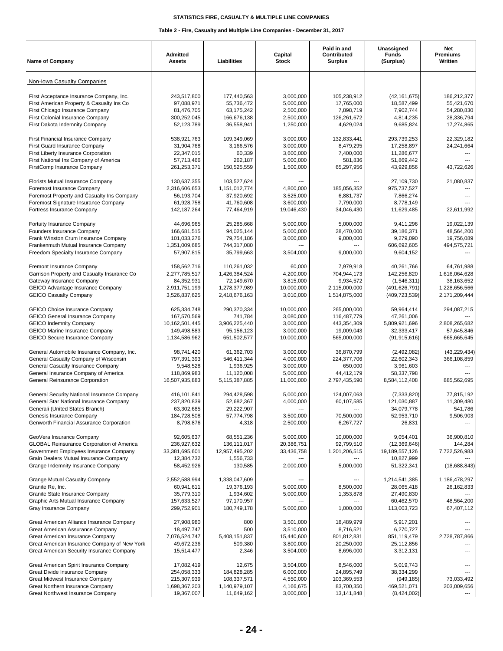| Non-Iowa Casualty Companies<br>First Acceptance Insurance Company, Inc.<br>243,517,800<br>177,440,563<br>3,000,000<br>(42, 161, 675)<br>186,212,377<br>105,238,912<br>First American Property & Casualty Ins Co<br>97,088,971<br>5,000,000<br>17,765,000<br>18,587,499<br>55,421,670<br>55,736,472<br>First Chicago Insurance Company<br>7,898,719<br>54,280,830<br>81,476,705<br>63,175,242<br>2,500,000<br>7,902,744<br>First Colonial Insurance Company<br>300,252,045<br>2,500,000<br>126,261,672<br>28,336,794<br>166,676,138<br>4,814,235<br>First Dakota Indemnity Company<br>17,274,865<br>52,123,789<br>36,558,941<br>1,250,000<br>4,629,024<br>9,685,824<br>538,921,763<br>22,329,182<br>First Financial Insurance Company<br>109,349,069<br>3.000.000<br>132.833.441<br>293.739.253<br>First Guard Insurance Company<br>31,904,768<br>3,000,000<br>8,479,295<br>17,258,897<br>24,241,664<br>3,166,576<br>22,347,015<br>60,339<br>3,600,000<br>7,400,000<br>11,286,677<br>First Liberty Insurance Corporation<br>First National Ins Company of America<br>5,000,000<br>581.836<br>51,869,442<br>57,713,466<br>262,187<br>1,500,000<br>65,297,956<br>43,929,856<br>FirstComp Insurance Company<br>261,253,371<br>150,525,559<br>43,722,626<br>Florists Mutual Insurance Company<br>130,637,355<br>103,527,624<br>27,109,730<br>21,080,837<br>975,737,527<br>Foremost Insurance Company<br>2,316,606,653<br>1,151,012,774<br>4,800,000<br>185,056,352<br>---<br>Foremost Property and Casualty Ins Company<br>56,193,704<br>37,920,692<br>3,525,000<br>7,866,274<br>6,881,737<br>---<br>Foremost Signature Insurance Company<br>61,928,758<br>41,760,608<br>3,600,000<br>7,790,000<br>8,778,149<br>Fortress Insurance Company<br>142, 187, 264<br>77,464,919<br>19,046,430<br>34,046,430<br>11,629,485<br>22,611,992<br>5,000,000<br>5,000,000<br>19,022,139<br>Fortuity Insurance Company<br>44,696,965<br>25,285,668<br>9.411.296<br>166,681,515<br>94,025,144<br>5,000,000<br>28,470,000<br>39,186,371<br>48,564,200<br>Founders Insurance Company<br>19,756,089<br>Frank Winston Crum Insurance Company<br>101,033,276<br>79,754,186<br>3,000,000<br>9,000,000<br>9,279,090<br>494,575,721<br>Frankenmuth Mutual Insurance Company<br>1,351,009,685<br>744,317,080<br>606,692,605<br>---<br>---<br>Freedom Specialty Insurance Company<br>9,604,152<br>57,907,815<br>35,799,663<br>3,504,000<br>9,000,000<br>Fremont Insurance Company<br>158,562,716<br>110,261,032<br>60,000<br>7,979,918<br>40,261,766<br>64,761,988<br>Garrison Property and Casualty Insurance Co<br>2,277,785,517<br>1,426,384,524<br>4,200,000<br>704,944,173<br>142,256,820<br>1,616,064,628<br>Gateway Insurance Company<br>84,352,931<br>72,149,670<br>3,815,000<br>9,934,572<br>(1,546,311)<br>38,163,652<br>GEICO Advantage Insurance Company<br>10,000,000<br>2,115,000,000<br>(491,626,791)<br>1,228,656,566<br>2,911,751,199<br>1,278,377,989<br><b>GEICO Casualty Company</b><br>3,526,837,625<br>3,010,000<br>1,514,875,000<br>2,171,209,444<br>2,418,676,163<br>(409, 723, 539)<br><b>GEICO Choice Insurance Company</b><br>625,334,748<br>290,370,334<br>10,000,000<br>265,000,000<br>59,964,414<br>294,087,215<br>741,784<br>3,080,000<br>47,261,006<br><b>GEICO General Insurance Company</b><br>167,570,569<br>116,487,779<br><b>GEICO Indemnity Company</b><br>10,162,501,445<br>3,906,225,440<br>3,000,000<br>443,354,309<br>5,809,921,696<br>2,808,265,682<br><b>GEICO Marine Insurance Company</b><br>149,498,583<br>95, 156, 123<br>3,000,000<br>19,009,043<br>32,333,417<br>57,645,846<br><b>GEICO Secure Insurance Company</b><br>1,134,586,962<br>651,502,577<br>10,000,000<br>565,000,000<br>(91, 915, 616)<br>665,665,645<br>General Automobile Insurance Company, Inc.<br>(43, 229, 434)<br>98,741,420<br>61,362,703<br>3,000,000<br>36,870,799<br>(2,492,082)<br>General Casualty Company of Wisconsin<br>4,000,000<br>797,391,393<br>546,411,344<br>224,377,706<br>22,602,343<br>366,108,859<br>General Casualty Insurance Company<br>9,548,528<br>1,936,925<br>3,000,000<br>650.000<br>3,961,603<br>---<br>General Insurance Company of America<br>118,869,983<br>5,000,000<br>44,412,179<br>58,337,798<br>11,120,008<br>General Reinsurance Corporation<br>16,507,935,883<br>5,115,387,885<br>11,000,000<br>2,797,435,590<br>8,584,112,408<br>885,562,695<br>General Security National Insurance Company<br>416,101,841<br>294,428,598<br>5,000,000<br>124,007,063<br>77,815,192<br>(7, 333, 820)<br>General Star National Insurance Company<br>237,820,839<br>4,000,000<br>121,030,887<br>11,309,480<br>52,682,367<br>60,107,585<br>Generali (United States Branch)<br>63,302,685<br>29,222,907<br>34,079,778<br>541,786<br>3,500,000<br>70,500,000<br>Genesis Insurance Company<br>184,728,508<br>57,774,798<br>52,953,710<br>9,506,903<br>Genworth Financial Assurance Corporation<br>8,798,876<br>4,318<br>2,500,000<br>6,267,727<br>26,831<br>9,054,401<br>36,900,810<br>GeoVera Insurance Company<br>92,605,637<br>68,551,236<br>5,000,000<br>10,000,000<br><b>GLOBAL Reinsurance Corporation of America</b><br>236,927,632<br>92,799,510<br>136, 111, 017<br>20,386,751<br>(12,369,646)<br>144,284<br>Government Employees Insurance Company<br>33,381,695,601<br>12,957,495,202<br>33,436,758<br>1,201,206,515<br>19,189,557,126<br>7,722,526,983<br>Grain Dealers Mutual Insurance Company<br>1,556,733<br>10,827,999<br>12,384,732<br>Grange Indemnity Insurance Company<br>58,452,926<br>130,585<br>2,000,000<br>5,000,000<br>51,322,341<br>(18,688,843)<br>Grange Mutual Casualty Company<br>2,552,588,994<br>1,338,047,609<br>1,214,541,385<br>1,186,478,297<br>---<br>Granite Re, Inc.<br>60,941,611<br>19,376,193<br>5,000,000<br>8,500,000<br>28,065,418<br>26,162,833<br>27,490,830<br>Granite State Insurance Company<br>35,779,310<br>1,934,602<br>5,000,000<br>1,353,878<br>Graphic Arts Mutual Insurance Company<br>157,633,527<br>97,170,957<br>60,462,570<br>48,564,200<br>$\overline{a}$<br>Gray Insurance Company<br>299,752,901<br>180,749,178<br>5,000,000<br>1,000,000<br>113,003,723<br>67,407,112<br>Great American Alliance Insurance Company<br>27,908,980<br>800<br>3,501,000<br>18,489,979<br>5,917,201<br>18,497,747<br>500<br>6,270,727<br>Great American Assurance Company<br>3,510,000<br>8,716,521<br>5,408,151,837<br>Great American Insurance Company<br>7,076,524,747<br>15,440,600<br>801,812,831<br>851,119,479<br>2,728,787,866<br>Great American Insurance Company of New York<br>49,672,236<br>509,380<br>3,800,000<br>20,250,000<br>25,112,856<br>Great American Security Insurance Company<br>15,514,477<br>2,346<br>3,504,000<br>8,696,000<br>3,312,131<br>Great American Spirit Insurance Company<br>17,082,419<br>12,675<br>3,504,000<br>8,546,000<br>5,019,743<br>254,058,333<br>184,828,285<br>38,334,299<br>Great Divide Insurance Company<br>6,000,000<br>24,895,749<br>215,307,939<br>108,337,571<br>4,550,000<br>103,369,553<br>Great Midwest Insurance Company<br>(949, 185)<br>73,033,492<br>1,698,367,203<br>1,140,979,107<br>4,166,675<br>83,700,350<br>469,521,071<br>Great Northern Insurance Company<br>203,009,656<br>Great Northwest Insurance Company<br>19,367,007<br>11,649,162<br>3,000,000<br>13,141,848<br>(8,424,002) | <b>Name of Company</b> | Admitted<br><b>Assets</b> | Liabilities | Capital<br><b>Stock</b> | Paid in and<br>Contributed<br><b>Surplus</b> | Unassigned<br><b>Funds</b><br>(Surplus) | Net<br><b>Premiums</b><br>Written |
|------------------------------------------------------------------------------------------------------------------------------------------------------------------------------------------------------------------------------------------------------------------------------------------------------------------------------------------------------------------------------------------------------------------------------------------------------------------------------------------------------------------------------------------------------------------------------------------------------------------------------------------------------------------------------------------------------------------------------------------------------------------------------------------------------------------------------------------------------------------------------------------------------------------------------------------------------------------------------------------------------------------------------------------------------------------------------------------------------------------------------------------------------------------------------------------------------------------------------------------------------------------------------------------------------------------------------------------------------------------------------------------------------------------------------------------------------------------------------------------------------------------------------------------------------------------------------------------------------------------------------------------------------------------------------------------------------------------------------------------------------------------------------------------------------------------------------------------------------------------------------------------------------------------------------------------------------------------------------------------------------------------------------------------------------------------------------------------------------------------------------------------------------------------------------------------------------------------------------------------------------------------------------------------------------------------------------------------------------------------------------------------------------------------------------------------------------------------------------------------------------------------------------------------------------------------------------------------------------------------------------------------------------------------------------------------------------------------------------------------------------------------------------------------------------------------------------------------------------------------------------------------------------------------------------------------------------------------------------------------------------------------------------------------------------------------------------------------------------------------------------------------------------------------------------------------------------------------------------------------------------------------------------------------------------------------------------------------------------------------------------------------------------------------------------------------------------------------------------------------------------------------------------------------------------------------------------------------------------------------------------------------------------------------------------------------------------------------------------------------------------------------------------------------------------------------------------------------------------------------------------------------------------------------------------------------------------------------------------------------------------------------------------------------------------------------------------------------------------------------------------------------------------------------------------------------------------------------------------------------------------------------------------------------------------------------------------------------------------------------------------------------------------------------------------------------------------------------------------------------------------------------------------------------------------------------------------------------------------------------------------------------------------------------------------------------------------------------------------------------------------------------------------------------------------------------------------------------------------------------------------------------------------------------------------------------------------------------------------------------------------------------------------------------------------------------------------------------------------------------------------------------------------------------------------------------------------------------------------------------------------------------------------------------------------------------------------------------------------------------------------------------------------------------------------------------------------------------------------------------------------------------------------------------------------------------------------------------------------------------------------------------------------------------------------------------------------------------------------------------------------------------------------------------------------------------------------------------------------------------------------------------------------------------------------------------------------------------------------------------------------------------------------------------------------------------------------------------------------------------------------------------------------------------------------------------------------------------------------------------------------------------------------------------------------------------------------------------------------------------------------------------------------------------------------------------------------------------------------------------------------------------------------------------------------------------------------------------------------------------------------------------------------------------------------------------------------------------------------------------------------------------------------------------------------------------------------------------------------------------------------------------------------------------------------------------------------------------------------------------------------------------------------------------------------------------------------------------------------------------------------------------------------------------------------------------------------------------------------------------------------------------------------------------------------------------|------------------------|---------------------------|-------------|-------------------------|----------------------------------------------|-----------------------------------------|-----------------------------------|
|                                                                                                                                                                                                                                                                                                                                                                                                                                                                                                                                                                                                                                                                                                                                                                                                                                                                                                                                                                                                                                                                                                                                                                                                                                                                                                                                                                                                                                                                                                                                                                                                                                                                                                                                                                                                                                                                                                                                                                                                                                                                                                                                                                                                                                                                                                                                                                                                                                                                                                                                                                                                                                                                                                                                                                                                                                                                                                                                                                                                                                                                                                                                                                                                                                                                                                                                                                                                                                                                                                                                                                                                                                                                                                                                                                                                                                                                                                                                                                                                                                                                                                                                                                                                                                                                                                                                                                                                                                                                                                                                                                                                                                                                                                                                                                                                                                                                                                                                                                                                                                                                                                                                                                                                                                                                                                                                                                                                                                                                                                                                                                                                                                                                                                                                                                                                                                                                                                                                                                                                                                                                                                                                                                                                                                                                                                                                                                                                                                                                                                                                                                                                                                                                                                                                                                                                                                                                                                                                                                                                                                                                                                                                                                                                                                                                                                                  |                        |                           |             |                         |                                              |                                         |                                   |
|                                                                                                                                                                                                                                                                                                                                                                                                                                                                                                                                                                                                                                                                                                                                                                                                                                                                                                                                                                                                                                                                                                                                                                                                                                                                                                                                                                                                                                                                                                                                                                                                                                                                                                                                                                                                                                                                                                                                                                                                                                                                                                                                                                                                                                                                                                                                                                                                                                                                                                                                                                                                                                                                                                                                                                                                                                                                                                                                                                                                                                                                                                                                                                                                                                                                                                                                                                                                                                                                                                                                                                                                                                                                                                                                                                                                                                                                                                                                                                                                                                                                                                                                                                                                                                                                                                                                                                                                                                                                                                                                                                                                                                                                                                                                                                                                                                                                                                                                                                                                                                                                                                                                                                                                                                                                                                                                                                                                                                                                                                                                                                                                                                                                                                                                                                                                                                                                                                                                                                                                                                                                                                                                                                                                                                                                                                                                                                                                                                                                                                                                                                                                                                                                                                                                                                                                                                                                                                                                                                                                                                                                                                                                                                                                                                                                                                                  |                        |                           |             |                         |                                              |                                         |                                   |
|                                                                                                                                                                                                                                                                                                                                                                                                                                                                                                                                                                                                                                                                                                                                                                                                                                                                                                                                                                                                                                                                                                                                                                                                                                                                                                                                                                                                                                                                                                                                                                                                                                                                                                                                                                                                                                                                                                                                                                                                                                                                                                                                                                                                                                                                                                                                                                                                                                                                                                                                                                                                                                                                                                                                                                                                                                                                                                                                                                                                                                                                                                                                                                                                                                                                                                                                                                                                                                                                                                                                                                                                                                                                                                                                                                                                                                                                                                                                                                                                                                                                                                                                                                                                                                                                                                                                                                                                                                                                                                                                                                                                                                                                                                                                                                                                                                                                                                                                                                                                                                                                                                                                                                                                                                                                                                                                                                                                                                                                                                                                                                                                                                                                                                                                                                                                                                                                                                                                                                                                                                                                                                                                                                                                                                                                                                                                                                                                                                                                                                                                                                                                                                                                                                                                                                                                                                                                                                                                                                                                                                                                                                                                                                                                                                                                                                                  |                        |                           |             |                         |                                              |                                         |                                   |
|                                                                                                                                                                                                                                                                                                                                                                                                                                                                                                                                                                                                                                                                                                                                                                                                                                                                                                                                                                                                                                                                                                                                                                                                                                                                                                                                                                                                                                                                                                                                                                                                                                                                                                                                                                                                                                                                                                                                                                                                                                                                                                                                                                                                                                                                                                                                                                                                                                                                                                                                                                                                                                                                                                                                                                                                                                                                                                                                                                                                                                                                                                                                                                                                                                                                                                                                                                                                                                                                                                                                                                                                                                                                                                                                                                                                                                                                                                                                                                                                                                                                                                                                                                                                                                                                                                                                                                                                                                                                                                                                                                                                                                                                                                                                                                                                                                                                                                                                                                                                                                                                                                                                                                                                                                                                                                                                                                                                                                                                                                                                                                                                                                                                                                                                                                                                                                                                                                                                                                                                                                                                                                                                                                                                                                                                                                                                                                                                                                                                                                                                                                                                                                                                                                                                                                                                                                                                                                                                                                                                                                                                                                                                                                                                                                                                                                                  |                        |                           |             |                         |                                              |                                         |                                   |
|                                                                                                                                                                                                                                                                                                                                                                                                                                                                                                                                                                                                                                                                                                                                                                                                                                                                                                                                                                                                                                                                                                                                                                                                                                                                                                                                                                                                                                                                                                                                                                                                                                                                                                                                                                                                                                                                                                                                                                                                                                                                                                                                                                                                                                                                                                                                                                                                                                                                                                                                                                                                                                                                                                                                                                                                                                                                                                                                                                                                                                                                                                                                                                                                                                                                                                                                                                                                                                                                                                                                                                                                                                                                                                                                                                                                                                                                                                                                                                                                                                                                                                                                                                                                                                                                                                                                                                                                                                                                                                                                                                                                                                                                                                                                                                                                                                                                                                                                                                                                                                                                                                                                                                                                                                                                                                                                                                                                                                                                                                                                                                                                                                                                                                                                                                                                                                                                                                                                                                                                                                                                                                                                                                                                                                                                                                                                                                                                                                                                                                                                                                                                                                                                                                                                                                                                                                                                                                                                                                                                                                                                                                                                                                                                                                                                                                                  |                        |                           |             |                         |                                              |                                         |                                   |
|                                                                                                                                                                                                                                                                                                                                                                                                                                                                                                                                                                                                                                                                                                                                                                                                                                                                                                                                                                                                                                                                                                                                                                                                                                                                                                                                                                                                                                                                                                                                                                                                                                                                                                                                                                                                                                                                                                                                                                                                                                                                                                                                                                                                                                                                                                                                                                                                                                                                                                                                                                                                                                                                                                                                                                                                                                                                                                                                                                                                                                                                                                                                                                                                                                                                                                                                                                                                                                                                                                                                                                                                                                                                                                                                                                                                                                                                                                                                                                                                                                                                                                                                                                                                                                                                                                                                                                                                                                                                                                                                                                                                                                                                                                                                                                                                                                                                                                                                                                                                                                                                                                                                                                                                                                                                                                                                                                                                                                                                                                                                                                                                                                                                                                                                                                                                                                                                                                                                                                                                                                                                                                                                                                                                                                                                                                                                                                                                                                                                                                                                                                                                                                                                                                                                                                                                                                                                                                                                                                                                                                                                                                                                                                                                                                                                                                                  |                        |                           |             |                         |                                              |                                         |                                   |
|                                                                                                                                                                                                                                                                                                                                                                                                                                                                                                                                                                                                                                                                                                                                                                                                                                                                                                                                                                                                                                                                                                                                                                                                                                                                                                                                                                                                                                                                                                                                                                                                                                                                                                                                                                                                                                                                                                                                                                                                                                                                                                                                                                                                                                                                                                                                                                                                                                                                                                                                                                                                                                                                                                                                                                                                                                                                                                                                                                                                                                                                                                                                                                                                                                                                                                                                                                                                                                                                                                                                                                                                                                                                                                                                                                                                                                                                                                                                                                                                                                                                                                                                                                                                                                                                                                                                                                                                                                                                                                                                                                                                                                                                                                                                                                                                                                                                                                                                                                                                                                                                                                                                                                                                                                                                                                                                                                                                                                                                                                                                                                                                                                                                                                                                                                                                                                                                                                                                                                                                                                                                                                                                                                                                                                                                                                                                                                                                                                                                                                                                                                                                                                                                                                                                                                                                                                                                                                                                                                                                                                                                                                                                                                                                                                                                                                                  |                        |                           |             |                         |                                              |                                         |                                   |
|                                                                                                                                                                                                                                                                                                                                                                                                                                                                                                                                                                                                                                                                                                                                                                                                                                                                                                                                                                                                                                                                                                                                                                                                                                                                                                                                                                                                                                                                                                                                                                                                                                                                                                                                                                                                                                                                                                                                                                                                                                                                                                                                                                                                                                                                                                                                                                                                                                                                                                                                                                                                                                                                                                                                                                                                                                                                                                                                                                                                                                                                                                                                                                                                                                                                                                                                                                                                                                                                                                                                                                                                                                                                                                                                                                                                                                                                                                                                                                                                                                                                                                                                                                                                                                                                                                                                                                                                                                                                                                                                                                                                                                                                                                                                                                                                                                                                                                                                                                                                                                                                                                                                                                                                                                                                                                                                                                                                                                                                                                                                                                                                                                                                                                                                                                                                                                                                                                                                                                                                                                                                                                                                                                                                                                                                                                                                                                                                                                                                                                                                                                                                                                                                                                                                                                                                                                                                                                                                                                                                                                                                                                                                                                                                                                                                                                                  |                        |                           |             |                         |                                              |                                         |                                   |
|                                                                                                                                                                                                                                                                                                                                                                                                                                                                                                                                                                                                                                                                                                                                                                                                                                                                                                                                                                                                                                                                                                                                                                                                                                                                                                                                                                                                                                                                                                                                                                                                                                                                                                                                                                                                                                                                                                                                                                                                                                                                                                                                                                                                                                                                                                                                                                                                                                                                                                                                                                                                                                                                                                                                                                                                                                                                                                                                                                                                                                                                                                                                                                                                                                                                                                                                                                                                                                                                                                                                                                                                                                                                                                                                                                                                                                                                                                                                                                                                                                                                                                                                                                                                                                                                                                                                                                                                                                                                                                                                                                                                                                                                                                                                                                                                                                                                                                                                                                                                                                                                                                                                                                                                                                                                                                                                                                                                                                                                                                                                                                                                                                                                                                                                                                                                                                                                                                                                                                                                                                                                                                                                                                                                                                                                                                                                                                                                                                                                                                                                                                                                                                                                                                                                                                                                                                                                                                                                                                                                                                                                                                                                                                                                                                                                                                                  |                        |                           |             |                         |                                              |                                         |                                   |
|                                                                                                                                                                                                                                                                                                                                                                                                                                                                                                                                                                                                                                                                                                                                                                                                                                                                                                                                                                                                                                                                                                                                                                                                                                                                                                                                                                                                                                                                                                                                                                                                                                                                                                                                                                                                                                                                                                                                                                                                                                                                                                                                                                                                                                                                                                                                                                                                                                                                                                                                                                                                                                                                                                                                                                                                                                                                                                                                                                                                                                                                                                                                                                                                                                                                                                                                                                                                                                                                                                                                                                                                                                                                                                                                                                                                                                                                                                                                                                                                                                                                                                                                                                                                                                                                                                                                                                                                                                                                                                                                                                                                                                                                                                                                                                                                                                                                                                                                                                                                                                                                                                                                                                                                                                                                                                                                                                                                                                                                                                                                                                                                                                                                                                                                                                                                                                                                                                                                                                                                                                                                                                                                                                                                                                                                                                                                                                                                                                                                                                                                                                                                                                                                                                                                                                                                                                                                                                                                                                                                                                                                                                                                                                                                                                                                                                                  |                        |                           |             |                         |                                              |                                         |                                   |
|                                                                                                                                                                                                                                                                                                                                                                                                                                                                                                                                                                                                                                                                                                                                                                                                                                                                                                                                                                                                                                                                                                                                                                                                                                                                                                                                                                                                                                                                                                                                                                                                                                                                                                                                                                                                                                                                                                                                                                                                                                                                                                                                                                                                                                                                                                                                                                                                                                                                                                                                                                                                                                                                                                                                                                                                                                                                                                                                                                                                                                                                                                                                                                                                                                                                                                                                                                                                                                                                                                                                                                                                                                                                                                                                                                                                                                                                                                                                                                                                                                                                                                                                                                                                                                                                                                                                                                                                                                                                                                                                                                                                                                                                                                                                                                                                                                                                                                                                                                                                                                                                                                                                                                                                                                                                                                                                                                                                                                                                                                                                                                                                                                                                                                                                                                                                                                                                                                                                                                                                                                                                                                                                                                                                                                                                                                                                                                                                                                                                                                                                                                                                                                                                                                                                                                                                                                                                                                                                                                                                                                                                                                                                                                                                                                                                                                                  |                        |                           |             |                         |                                              |                                         |                                   |
|                                                                                                                                                                                                                                                                                                                                                                                                                                                                                                                                                                                                                                                                                                                                                                                                                                                                                                                                                                                                                                                                                                                                                                                                                                                                                                                                                                                                                                                                                                                                                                                                                                                                                                                                                                                                                                                                                                                                                                                                                                                                                                                                                                                                                                                                                                                                                                                                                                                                                                                                                                                                                                                                                                                                                                                                                                                                                                                                                                                                                                                                                                                                                                                                                                                                                                                                                                                                                                                                                                                                                                                                                                                                                                                                                                                                                                                                                                                                                                                                                                                                                                                                                                                                                                                                                                                                                                                                                                                                                                                                                                                                                                                                                                                                                                                                                                                                                                                                                                                                                                                                                                                                                                                                                                                                                                                                                                                                                                                                                                                                                                                                                                                                                                                                                                                                                                                                                                                                                                                                                                                                                                                                                                                                                                                                                                                                                                                                                                                                                                                                                                                                                                                                                                                                                                                                                                                                                                                                                                                                                                                                                                                                                                                                                                                                                                                  |                        |                           |             |                         |                                              |                                         |                                   |
|                                                                                                                                                                                                                                                                                                                                                                                                                                                                                                                                                                                                                                                                                                                                                                                                                                                                                                                                                                                                                                                                                                                                                                                                                                                                                                                                                                                                                                                                                                                                                                                                                                                                                                                                                                                                                                                                                                                                                                                                                                                                                                                                                                                                                                                                                                                                                                                                                                                                                                                                                                                                                                                                                                                                                                                                                                                                                                                                                                                                                                                                                                                                                                                                                                                                                                                                                                                                                                                                                                                                                                                                                                                                                                                                                                                                                                                                                                                                                                                                                                                                                                                                                                                                                                                                                                                                                                                                                                                                                                                                                                                                                                                                                                                                                                                                                                                                                                                                                                                                                                                                                                                                                                                                                                                                                                                                                                                                                                                                                                                                                                                                                                                                                                                                                                                                                                                                                                                                                                                                                                                                                                                                                                                                                                                                                                                                                                                                                                                                                                                                                                                                                                                                                                                                                                                                                                                                                                                                                                                                                                                                                                                                                                                                                                                                                                                  |                        |                           |             |                         |                                              |                                         |                                   |
|                                                                                                                                                                                                                                                                                                                                                                                                                                                                                                                                                                                                                                                                                                                                                                                                                                                                                                                                                                                                                                                                                                                                                                                                                                                                                                                                                                                                                                                                                                                                                                                                                                                                                                                                                                                                                                                                                                                                                                                                                                                                                                                                                                                                                                                                                                                                                                                                                                                                                                                                                                                                                                                                                                                                                                                                                                                                                                                                                                                                                                                                                                                                                                                                                                                                                                                                                                                                                                                                                                                                                                                                                                                                                                                                                                                                                                                                                                                                                                                                                                                                                                                                                                                                                                                                                                                                                                                                                                                                                                                                                                                                                                                                                                                                                                                                                                                                                                                                                                                                                                                                                                                                                                                                                                                                                                                                                                                                                                                                                                                                                                                                                                                                                                                                                                                                                                                                                                                                                                                                                                                                                                                                                                                                                                                                                                                                                                                                                                                                                                                                                                                                                                                                                                                                                                                                                                                                                                                                                                                                                                                                                                                                                                                                                                                                                                                  |                        |                           |             |                         |                                              |                                         |                                   |
|                                                                                                                                                                                                                                                                                                                                                                                                                                                                                                                                                                                                                                                                                                                                                                                                                                                                                                                                                                                                                                                                                                                                                                                                                                                                                                                                                                                                                                                                                                                                                                                                                                                                                                                                                                                                                                                                                                                                                                                                                                                                                                                                                                                                                                                                                                                                                                                                                                                                                                                                                                                                                                                                                                                                                                                                                                                                                                                                                                                                                                                                                                                                                                                                                                                                                                                                                                                                                                                                                                                                                                                                                                                                                                                                                                                                                                                                                                                                                                                                                                                                                                                                                                                                                                                                                                                                                                                                                                                                                                                                                                                                                                                                                                                                                                                                                                                                                                                                                                                                                                                                                                                                                                                                                                                                                                                                                                                                                                                                                                                                                                                                                                                                                                                                                                                                                                                                                                                                                                                                                                                                                                                                                                                                                                                                                                                                                                                                                                                                                                                                                                                                                                                                                                                                                                                                                                                                                                                                                                                                                                                                                                                                                                                                                                                                                                                  |                        |                           |             |                         |                                              |                                         |                                   |
|                                                                                                                                                                                                                                                                                                                                                                                                                                                                                                                                                                                                                                                                                                                                                                                                                                                                                                                                                                                                                                                                                                                                                                                                                                                                                                                                                                                                                                                                                                                                                                                                                                                                                                                                                                                                                                                                                                                                                                                                                                                                                                                                                                                                                                                                                                                                                                                                                                                                                                                                                                                                                                                                                                                                                                                                                                                                                                                                                                                                                                                                                                                                                                                                                                                                                                                                                                                                                                                                                                                                                                                                                                                                                                                                                                                                                                                                                                                                                                                                                                                                                                                                                                                                                                                                                                                                                                                                                                                                                                                                                                                                                                                                                                                                                                                                                                                                                                                                                                                                                                                                                                                                                                                                                                                                                                                                                                                                                                                                                                                                                                                                                                                                                                                                                                                                                                                                                                                                                                                                                                                                                                                                                                                                                                                                                                                                                                                                                                                                                                                                                                                                                                                                                                                                                                                                                                                                                                                                                                                                                                                                                                                                                                                                                                                                                                                  |                        |                           |             |                         |                                              |                                         |                                   |
|                                                                                                                                                                                                                                                                                                                                                                                                                                                                                                                                                                                                                                                                                                                                                                                                                                                                                                                                                                                                                                                                                                                                                                                                                                                                                                                                                                                                                                                                                                                                                                                                                                                                                                                                                                                                                                                                                                                                                                                                                                                                                                                                                                                                                                                                                                                                                                                                                                                                                                                                                                                                                                                                                                                                                                                                                                                                                                                                                                                                                                                                                                                                                                                                                                                                                                                                                                                                                                                                                                                                                                                                                                                                                                                                                                                                                                                                                                                                                                                                                                                                                                                                                                                                                                                                                                                                                                                                                                                                                                                                                                                                                                                                                                                                                                                                                                                                                                                                                                                                                                                                                                                                                                                                                                                                                                                                                                                                                                                                                                                                                                                                                                                                                                                                                                                                                                                                                                                                                                                                                                                                                                                                                                                                                                                                                                                                                                                                                                                                                                                                                                                                                                                                                                                                                                                                                                                                                                                                                                                                                                                                                                                                                                                                                                                                                                                  |                        |                           |             |                         |                                              |                                         |                                   |
|                                                                                                                                                                                                                                                                                                                                                                                                                                                                                                                                                                                                                                                                                                                                                                                                                                                                                                                                                                                                                                                                                                                                                                                                                                                                                                                                                                                                                                                                                                                                                                                                                                                                                                                                                                                                                                                                                                                                                                                                                                                                                                                                                                                                                                                                                                                                                                                                                                                                                                                                                                                                                                                                                                                                                                                                                                                                                                                                                                                                                                                                                                                                                                                                                                                                                                                                                                                                                                                                                                                                                                                                                                                                                                                                                                                                                                                                                                                                                                                                                                                                                                                                                                                                                                                                                                                                                                                                                                                                                                                                                                                                                                                                                                                                                                                                                                                                                                                                                                                                                                                                                                                                                                                                                                                                                                                                                                                                                                                                                                                                                                                                                                                                                                                                                                                                                                                                                                                                                                                                                                                                                                                                                                                                                                                                                                                                                                                                                                                                                                                                                                                                                                                                                                                                                                                                                                                                                                                                                                                                                                                                                                                                                                                                                                                                                                                  |                        |                           |             |                         |                                              |                                         |                                   |
|                                                                                                                                                                                                                                                                                                                                                                                                                                                                                                                                                                                                                                                                                                                                                                                                                                                                                                                                                                                                                                                                                                                                                                                                                                                                                                                                                                                                                                                                                                                                                                                                                                                                                                                                                                                                                                                                                                                                                                                                                                                                                                                                                                                                                                                                                                                                                                                                                                                                                                                                                                                                                                                                                                                                                                                                                                                                                                                                                                                                                                                                                                                                                                                                                                                                                                                                                                                                                                                                                                                                                                                                                                                                                                                                                                                                                                                                                                                                                                                                                                                                                                                                                                                                                                                                                                                                                                                                                                                                                                                                                                                                                                                                                                                                                                                                                                                                                                                                                                                                                                                                                                                                                                                                                                                                                                                                                                                                                                                                                                                                                                                                                                                                                                                                                                                                                                                                                                                                                                                                                                                                                                                                                                                                                                                                                                                                                                                                                                                                                                                                                                                                                                                                                                                                                                                                                                                                                                                                                                                                                                                                                                                                                                                                                                                                                                                  |                        |                           |             |                         |                                              |                                         |                                   |
|                                                                                                                                                                                                                                                                                                                                                                                                                                                                                                                                                                                                                                                                                                                                                                                                                                                                                                                                                                                                                                                                                                                                                                                                                                                                                                                                                                                                                                                                                                                                                                                                                                                                                                                                                                                                                                                                                                                                                                                                                                                                                                                                                                                                                                                                                                                                                                                                                                                                                                                                                                                                                                                                                                                                                                                                                                                                                                                                                                                                                                                                                                                                                                                                                                                                                                                                                                                                                                                                                                                                                                                                                                                                                                                                                                                                                                                                                                                                                                                                                                                                                                                                                                                                                                                                                                                                                                                                                                                                                                                                                                                                                                                                                                                                                                                                                                                                                                                                                                                                                                                                                                                                                                                                                                                                                                                                                                                                                                                                                                                                                                                                                                                                                                                                                                                                                                                                                                                                                                                                                                                                                                                                                                                                                                                                                                                                                                                                                                                                                                                                                                                                                                                                                                                                                                                                                                                                                                                                                                                                                                                                                                                                                                                                                                                                                                                  |                        |                           |             |                         |                                              |                                         |                                   |
|                                                                                                                                                                                                                                                                                                                                                                                                                                                                                                                                                                                                                                                                                                                                                                                                                                                                                                                                                                                                                                                                                                                                                                                                                                                                                                                                                                                                                                                                                                                                                                                                                                                                                                                                                                                                                                                                                                                                                                                                                                                                                                                                                                                                                                                                                                                                                                                                                                                                                                                                                                                                                                                                                                                                                                                                                                                                                                                                                                                                                                                                                                                                                                                                                                                                                                                                                                                                                                                                                                                                                                                                                                                                                                                                                                                                                                                                                                                                                                                                                                                                                                                                                                                                                                                                                                                                                                                                                                                                                                                                                                                                                                                                                                                                                                                                                                                                                                                                                                                                                                                                                                                                                                                                                                                                                                                                                                                                                                                                                                                                                                                                                                                                                                                                                                                                                                                                                                                                                                                                                                                                                                                                                                                                                                                                                                                                                                                                                                                                                                                                                                                                                                                                                                                                                                                                                                                                                                                                                                                                                                                                                                                                                                                                                                                                                                                  |                        |                           |             |                         |                                              |                                         |                                   |
|                                                                                                                                                                                                                                                                                                                                                                                                                                                                                                                                                                                                                                                                                                                                                                                                                                                                                                                                                                                                                                                                                                                                                                                                                                                                                                                                                                                                                                                                                                                                                                                                                                                                                                                                                                                                                                                                                                                                                                                                                                                                                                                                                                                                                                                                                                                                                                                                                                                                                                                                                                                                                                                                                                                                                                                                                                                                                                                                                                                                                                                                                                                                                                                                                                                                                                                                                                                                                                                                                                                                                                                                                                                                                                                                                                                                                                                                                                                                                                                                                                                                                                                                                                                                                                                                                                                                                                                                                                                                                                                                                                                                                                                                                                                                                                                                                                                                                                                                                                                                                                                                                                                                                                                                                                                                                                                                                                                                                                                                                                                                                                                                                                                                                                                                                                                                                                                                                                                                                                                                                                                                                                                                                                                                                                                                                                                                                                                                                                                                                                                                                                                                                                                                                                                                                                                                                                                                                                                                                                                                                                                                                                                                                                                                                                                                                                                  |                        |                           |             |                         |                                              |                                         |                                   |
|                                                                                                                                                                                                                                                                                                                                                                                                                                                                                                                                                                                                                                                                                                                                                                                                                                                                                                                                                                                                                                                                                                                                                                                                                                                                                                                                                                                                                                                                                                                                                                                                                                                                                                                                                                                                                                                                                                                                                                                                                                                                                                                                                                                                                                                                                                                                                                                                                                                                                                                                                                                                                                                                                                                                                                                                                                                                                                                                                                                                                                                                                                                                                                                                                                                                                                                                                                                                                                                                                                                                                                                                                                                                                                                                                                                                                                                                                                                                                                                                                                                                                                                                                                                                                                                                                                                                                                                                                                                                                                                                                                                                                                                                                                                                                                                                                                                                                                                                                                                                                                                                                                                                                                                                                                                                                                                                                                                                                                                                                                                                                                                                                                                                                                                                                                                                                                                                                                                                                                                                                                                                                                                                                                                                                                                                                                                                                                                                                                                                                                                                                                                                                                                                                                                                                                                                                                                                                                                                                                                                                                                                                                                                                                                                                                                                                                                  |                        |                           |             |                         |                                              |                                         |                                   |
|                                                                                                                                                                                                                                                                                                                                                                                                                                                                                                                                                                                                                                                                                                                                                                                                                                                                                                                                                                                                                                                                                                                                                                                                                                                                                                                                                                                                                                                                                                                                                                                                                                                                                                                                                                                                                                                                                                                                                                                                                                                                                                                                                                                                                                                                                                                                                                                                                                                                                                                                                                                                                                                                                                                                                                                                                                                                                                                                                                                                                                                                                                                                                                                                                                                                                                                                                                                                                                                                                                                                                                                                                                                                                                                                                                                                                                                                                                                                                                                                                                                                                                                                                                                                                                                                                                                                                                                                                                                                                                                                                                                                                                                                                                                                                                                                                                                                                                                                                                                                                                                                                                                                                                                                                                                                                                                                                                                                                                                                                                                                                                                                                                                                                                                                                                                                                                                                                                                                                                                                                                                                                                                                                                                                                                                                                                                                                                                                                                                                                                                                                                                                                                                                                                                                                                                                                                                                                                                                                                                                                                                                                                                                                                                                                                                                                                                  |                        |                           |             |                         |                                              |                                         |                                   |
|                                                                                                                                                                                                                                                                                                                                                                                                                                                                                                                                                                                                                                                                                                                                                                                                                                                                                                                                                                                                                                                                                                                                                                                                                                                                                                                                                                                                                                                                                                                                                                                                                                                                                                                                                                                                                                                                                                                                                                                                                                                                                                                                                                                                                                                                                                                                                                                                                                                                                                                                                                                                                                                                                                                                                                                                                                                                                                                                                                                                                                                                                                                                                                                                                                                                                                                                                                                                                                                                                                                                                                                                                                                                                                                                                                                                                                                                                                                                                                                                                                                                                                                                                                                                                                                                                                                                                                                                                                                                                                                                                                                                                                                                                                                                                                                                                                                                                                                                                                                                                                                                                                                                                                                                                                                                                                                                                                                                                                                                                                                                                                                                                                                                                                                                                                                                                                                                                                                                                                                                                                                                                                                                                                                                                                                                                                                                                                                                                                                                                                                                                                                                                                                                                                                                                                                                                                                                                                                                                                                                                                                                                                                                                                                                                                                                                                                  |                        |                           |             |                         |                                              |                                         |                                   |
|                                                                                                                                                                                                                                                                                                                                                                                                                                                                                                                                                                                                                                                                                                                                                                                                                                                                                                                                                                                                                                                                                                                                                                                                                                                                                                                                                                                                                                                                                                                                                                                                                                                                                                                                                                                                                                                                                                                                                                                                                                                                                                                                                                                                                                                                                                                                                                                                                                                                                                                                                                                                                                                                                                                                                                                                                                                                                                                                                                                                                                                                                                                                                                                                                                                                                                                                                                                                                                                                                                                                                                                                                                                                                                                                                                                                                                                                                                                                                                                                                                                                                                                                                                                                                                                                                                                                                                                                                                                                                                                                                                                                                                                                                                                                                                                                                                                                                                                                                                                                                                                                                                                                                                                                                                                                                                                                                                                                                                                                                                                                                                                                                                                                                                                                                                                                                                                                                                                                                                                                                                                                                                                                                                                                                                                                                                                                                                                                                                                                                                                                                                                                                                                                                                                                                                                                                                                                                                                                                                                                                                                                                                                                                                                                                                                                                                                  |                        |                           |             |                         |                                              |                                         |                                   |
|                                                                                                                                                                                                                                                                                                                                                                                                                                                                                                                                                                                                                                                                                                                                                                                                                                                                                                                                                                                                                                                                                                                                                                                                                                                                                                                                                                                                                                                                                                                                                                                                                                                                                                                                                                                                                                                                                                                                                                                                                                                                                                                                                                                                                                                                                                                                                                                                                                                                                                                                                                                                                                                                                                                                                                                                                                                                                                                                                                                                                                                                                                                                                                                                                                                                                                                                                                                                                                                                                                                                                                                                                                                                                                                                                                                                                                                                                                                                                                                                                                                                                                                                                                                                                                                                                                                                                                                                                                                                                                                                                                                                                                                                                                                                                                                                                                                                                                                                                                                                                                                                                                                                                                                                                                                                                                                                                                                                                                                                                                                                                                                                                                                                                                                                                                                                                                                                                                                                                                                                                                                                                                                                                                                                                                                                                                                                                                                                                                                                                                                                                                                                                                                                                                                                                                                                                                                                                                                                                                                                                                                                                                                                                                                                                                                                                                                  |                        |                           |             |                         |                                              |                                         |                                   |
|                                                                                                                                                                                                                                                                                                                                                                                                                                                                                                                                                                                                                                                                                                                                                                                                                                                                                                                                                                                                                                                                                                                                                                                                                                                                                                                                                                                                                                                                                                                                                                                                                                                                                                                                                                                                                                                                                                                                                                                                                                                                                                                                                                                                                                                                                                                                                                                                                                                                                                                                                                                                                                                                                                                                                                                                                                                                                                                                                                                                                                                                                                                                                                                                                                                                                                                                                                                                                                                                                                                                                                                                                                                                                                                                                                                                                                                                                                                                                                                                                                                                                                                                                                                                                                                                                                                                                                                                                                                                                                                                                                                                                                                                                                                                                                                                                                                                                                                                                                                                                                                                                                                                                                                                                                                                                                                                                                                                                                                                                                                                                                                                                                                                                                                                                                                                                                                                                                                                                                                                                                                                                                                                                                                                                                                                                                                                                                                                                                                                                                                                                                                                                                                                                                                                                                                                                                                                                                                                                                                                                                                                                                                                                                                                                                                                                                                  |                        |                           |             |                         |                                              |                                         |                                   |
|                                                                                                                                                                                                                                                                                                                                                                                                                                                                                                                                                                                                                                                                                                                                                                                                                                                                                                                                                                                                                                                                                                                                                                                                                                                                                                                                                                                                                                                                                                                                                                                                                                                                                                                                                                                                                                                                                                                                                                                                                                                                                                                                                                                                                                                                                                                                                                                                                                                                                                                                                                                                                                                                                                                                                                                                                                                                                                                                                                                                                                                                                                                                                                                                                                                                                                                                                                                                                                                                                                                                                                                                                                                                                                                                                                                                                                                                                                                                                                                                                                                                                                                                                                                                                                                                                                                                                                                                                                                                                                                                                                                                                                                                                                                                                                                                                                                                                                                                                                                                                                                                                                                                                                                                                                                                                                                                                                                                                                                                                                                                                                                                                                                                                                                                                                                                                                                                                                                                                                                                                                                                                                                                                                                                                                                                                                                                                                                                                                                                                                                                                                                                                                                                                                                                                                                                                                                                                                                                                                                                                                                                                                                                                                                                                                                                                                                  |                        |                           |             |                         |                                              |                                         |                                   |
|                                                                                                                                                                                                                                                                                                                                                                                                                                                                                                                                                                                                                                                                                                                                                                                                                                                                                                                                                                                                                                                                                                                                                                                                                                                                                                                                                                                                                                                                                                                                                                                                                                                                                                                                                                                                                                                                                                                                                                                                                                                                                                                                                                                                                                                                                                                                                                                                                                                                                                                                                                                                                                                                                                                                                                                                                                                                                                                                                                                                                                                                                                                                                                                                                                                                                                                                                                                                                                                                                                                                                                                                                                                                                                                                                                                                                                                                                                                                                                                                                                                                                                                                                                                                                                                                                                                                                                                                                                                                                                                                                                                                                                                                                                                                                                                                                                                                                                                                                                                                                                                                                                                                                                                                                                                                                                                                                                                                                                                                                                                                                                                                                                                                                                                                                                                                                                                                                                                                                                                                                                                                                                                                                                                                                                                                                                                                                                                                                                                                                                                                                                                                                                                                                                                                                                                                                                                                                                                                                                                                                                                                                                                                                                                                                                                                                                                  |                        |                           |             |                         |                                              |                                         |                                   |
|                                                                                                                                                                                                                                                                                                                                                                                                                                                                                                                                                                                                                                                                                                                                                                                                                                                                                                                                                                                                                                                                                                                                                                                                                                                                                                                                                                                                                                                                                                                                                                                                                                                                                                                                                                                                                                                                                                                                                                                                                                                                                                                                                                                                                                                                                                                                                                                                                                                                                                                                                                                                                                                                                                                                                                                                                                                                                                                                                                                                                                                                                                                                                                                                                                                                                                                                                                                                                                                                                                                                                                                                                                                                                                                                                                                                                                                                                                                                                                                                                                                                                                                                                                                                                                                                                                                                                                                                                                                                                                                                                                                                                                                                                                                                                                                                                                                                                                                                                                                                                                                                                                                                                                                                                                                                                                                                                                                                                                                                                                                                                                                                                                                                                                                                                                                                                                                                                                                                                                                                                                                                                                                                                                                                                                                                                                                                                                                                                                                                                                                                                                                                                                                                                                                                                                                                                                                                                                                                                                                                                                                                                                                                                                                                                                                                                                                  |                        |                           |             |                         |                                              |                                         |                                   |
|                                                                                                                                                                                                                                                                                                                                                                                                                                                                                                                                                                                                                                                                                                                                                                                                                                                                                                                                                                                                                                                                                                                                                                                                                                                                                                                                                                                                                                                                                                                                                                                                                                                                                                                                                                                                                                                                                                                                                                                                                                                                                                                                                                                                                                                                                                                                                                                                                                                                                                                                                                                                                                                                                                                                                                                                                                                                                                                                                                                                                                                                                                                                                                                                                                                                                                                                                                                                                                                                                                                                                                                                                                                                                                                                                                                                                                                                                                                                                                                                                                                                                                                                                                                                                                                                                                                                                                                                                                                                                                                                                                                                                                                                                                                                                                                                                                                                                                                                                                                                                                                                                                                                                                                                                                                                                                                                                                                                                                                                                                                                                                                                                                                                                                                                                                                                                                                                                                                                                                                                                                                                                                                                                                                                                                                                                                                                                                                                                                                                                                                                                                                                                                                                                                                                                                                                                                                                                                                                                                                                                                                                                                                                                                                                                                                                                                                  |                        |                           |             |                         |                                              |                                         |                                   |
|                                                                                                                                                                                                                                                                                                                                                                                                                                                                                                                                                                                                                                                                                                                                                                                                                                                                                                                                                                                                                                                                                                                                                                                                                                                                                                                                                                                                                                                                                                                                                                                                                                                                                                                                                                                                                                                                                                                                                                                                                                                                                                                                                                                                                                                                                                                                                                                                                                                                                                                                                                                                                                                                                                                                                                                                                                                                                                                                                                                                                                                                                                                                                                                                                                                                                                                                                                                                                                                                                                                                                                                                                                                                                                                                                                                                                                                                                                                                                                                                                                                                                                                                                                                                                                                                                                                                                                                                                                                                                                                                                                                                                                                                                                                                                                                                                                                                                                                                                                                                                                                                                                                                                                                                                                                                                                                                                                                                                                                                                                                                                                                                                                                                                                                                                                                                                                                                                                                                                                                                                                                                                                                                                                                                                                                                                                                                                                                                                                                                                                                                                                                                                                                                                                                                                                                                                                                                                                                                                                                                                                                                                                                                                                                                                                                                                                                  |                        |                           |             |                         |                                              |                                         |                                   |
|                                                                                                                                                                                                                                                                                                                                                                                                                                                                                                                                                                                                                                                                                                                                                                                                                                                                                                                                                                                                                                                                                                                                                                                                                                                                                                                                                                                                                                                                                                                                                                                                                                                                                                                                                                                                                                                                                                                                                                                                                                                                                                                                                                                                                                                                                                                                                                                                                                                                                                                                                                                                                                                                                                                                                                                                                                                                                                                                                                                                                                                                                                                                                                                                                                                                                                                                                                                                                                                                                                                                                                                                                                                                                                                                                                                                                                                                                                                                                                                                                                                                                                                                                                                                                                                                                                                                                                                                                                                                                                                                                                                                                                                                                                                                                                                                                                                                                                                                                                                                                                                                                                                                                                                                                                                                                                                                                                                                                                                                                                                                                                                                                                                                                                                                                                                                                                                                                                                                                                                                                                                                                                                                                                                                                                                                                                                                                                                                                                                                                                                                                                                                                                                                                                                                                                                                                                                                                                                                                                                                                                                                                                                                                                                                                                                                                                                  |                        |                           |             |                         |                                              |                                         |                                   |
|                                                                                                                                                                                                                                                                                                                                                                                                                                                                                                                                                                                                                                                                                                                                                                                                                                                                                                                                                                                                                                                                                                                                                                                                                                                                                                                                                                                                                                                                                                                                                                                                                                                                                                                                                                                                                                                                                                                                                                                                                                                                                                                                                                                                                                                                                                                                                                                                                                                                                                                                                                                                                                                                                                                                                                                                                                                                                                                                                                                                                                                                                                                                                                                                                                                                                                                                                                                                                                                                                                                                                                                                                                                                                                                                                                                                                                                                                                                                                                                                                                                                                                                                                                                                                                                                                                                                                                                                                                                                                                                                                                                                                                                                                                                                                                                                                                                                                                                                                                                                                                                                                                                                                                                                                                                                                                                                                                                                                                                                                                                                                                                                                                                                                                                                                                                                                                                                                                                                                                                                                                                                                                                                                                                                                                                                                                                                                                                                                                                                                                                                                                                                                                                                                                                                                                                                                                                                                                                                                                                                                                                                                                                                                                                                                                                                                                                  |                        |                           |             |                         |                                              |                                         |                                   |
|                                                                                                                                                                                                                                                                                                                                                                                                                                                                                                                                                                                                                                                                                                                                                                                                                                                                                                                                                                                                                                                                                                                                                                                                                                                                                                                                                                                                                                                                                                                                                                                                                                                                                                                                                                                                                                                                                                                                                                                                                                                                                                                                                                                                                                                                                                                                                                                                                                                                                                                                                                                                                                                                                                                                                                                                                                                                                                                                                                                                                                                                                                                                                                                                                                                                                                                                                                                                                                                                                                                                                                                                                                                                                                                                                                                                                                                                                                                                                                                                                                                                                                                                                                                                                                                                                                                                                                                                                                                                                                                                                                                                                                                                                                                                                                                                                                                                                                                                                                                                                                                                                                                                                                                                                                                                                                                                                                                                                                                                                                                                                                                                                                                                                                                                                                                                                                                                                                                                                                                                                                                                                                                                                                                                                                                                                                                                                                                                                                                                                                                                                                                                                                                                                                                                                                                                                                                                                                                                                                                                                                                                                                                                                                                                                                                                                                                  |                        |                           |             |                         |                                              |                                         |                                   |
|                                                                                                                                                                                                                                                                                                                                                                                                                                                                                                                                                                                                                                                                                                                                                                                                                                                                                                                                                                                                                                                                                                                                                                                                                                                                                                                                                                                                                                                                                                                                                                                                                                                                                                                                                                                                                                                                                                                                                                                                                                                                                                                                                                                                                                                                                                                                                                                                                                                                                                                                                                                                                                                                                                                                                                                                                                                                                                                                                                                                                                                                                                                                                                                                                                                                                                                                                                                                                                                                                                                                                                                                                                                                                                                                                                                                                                                                                                                                                                                                                                                                                                                                                                                                                                                                                                                                                                                                                                                                                                                                                                                                                                                                                                                                                                                                                                                                                                                                                                                                                                                                                                                                                                                                                                                                                                                                                                                                                                                                                                                                                                                                                                                                                                                                                                                                                                                                                                                                                                                                                                                                                                                                                                                                                                                                                                                                                                                                                                                                                                                                                                                                                                                                                                                                                                                                                                                                                                                                                                                                                                                                                                                                                                                                                                                                                                                  |                        |                           |             |                         |                                              |                                         |                                   |
|                                                                                                                                                                                                                                                                                                                                                                                                                                                                                                                                                                                                                                                                                                                                                                                                                                                                                                                                                                                                                                                                                                                                                                                                                                                                                                                                                                                                                                                                                                                                                                                                                                                                                                                                                                                                                                                                                                                                                                                                                                                                                                                                                                                                                                                                                                                                                                                                                                                                                                                                                                                                                                                                                                                                                                                                                                                                                                                                                                                                                                                                                                                                                                                                                                                                                                                                                                                                                                                                                                                                                                                                                                                                                                                                                                                                                                                                                                                                                                                                                                                                                                                                                                                                                                                                                                                                                                                                                                                                                                                                                                                                                                                                                                                                                                                                                                                                                                                                                                                                                                                                                                                                                                                                                                                                                                                                                                                                                                                                                                                                                                                                                                                                                                                                                                                                                                                                                                                                                                                                                                                                                                                                                                                                                                                                                                                                                                                                                                                                                                                                                                                                                                                                                                                                                                                                                                                                                                                                                                                                                                                                                                                                                                                                                                                                                                                  |                        |                           |             |                         |                                              |                                         |                                   |
|                                                                                                                                                                                                                                                                                                                                                                                                                                                                                                                                                                                                                                                                                                                                                                                                                                                                                                                                                                                                                                                                                                                                                                                                                                                                                                                                                                                                                                                                                                                                                                                                                                                                                                                                                                                                                                                                                                                                                                                                                                                                                                                                                                                                                                                                                                                                                                                                                                                                                                                                                                                                                                                                                                                                                                                                                                                                                                                                                                                                                                                                                                                                                                                                                                                                                                                                                                                                                                                                                                                                                                                                                                                                                                                                                                                                                                                                                                                                                                                                                                                                                                                                                                                                                                                                                                                                                                                                                                                                                                                                                                                                                                                                                                                                                                                                                                                                                                                                                                                                                                                                                                                                                                                                                                                                                                                                                                                                                                                                                                                                                                                                                                                                                                                                                                                                                                                                                                                                                                                                                                                                                                                                                                                                                                                                                                                                                                                                                                                                                                                                                                                                                                                                                                                                                                                                                                                                                                                                                                                                                                                                                                                                                                                                                                                                                                                  |                        |                           |             |                         |                                              |                                         |                                   |
|                                                                                                                                                                                                                                                                                                                                                                                                                                                                                                                                                                                                                                                                                                                                                                                                                                                                                                                                                                                                                                                                                                                                                                                                                                                                                                                                                                                                                                                                                                                                                                                                                                                                                                                                                                                                                                                                                                                                                                                                                                                                                                                                                                                                                                                                                                                                                                                                                                                                                                                                                                                                                                                                                                                                                                                                                                                                                                                                                                                                                                                                                                                                                                                                                                                                                                                                                                                                                                                                                                                                                                                                                                                                                                                                                                                                                                                                                                                                                                                                                                                                                                                                                                                                                                                                                                                                                                                                                                                                                                                                                                                                                                                                                                                                                                                                                                                                                                                                                                                                                                                                                                                                                                                                                                                                                                                                                                                                                                                                                                                                                                                                                                                                                                                                                                                                                                                                                                                                                                                                                                                                                                                                                                                                                                                                                                                                                                                                                                                                                                                                                                                                                                                                                                                                                                                                                                                                                                                                                                                                                                                                                                                                                                                                                                                                                                                  |                        |                           |             |                         |                                              |                                         |                                   |
|                                                                                                                                                                                                                                                                                                                                                                                                                                                                                                                                                                                                                                                                                                                                                                                                                                                                                                                                                                                                                                                                                                                                                                                                                                                                                                                                                                                                                                                                                                                                                                                                                                                                                                                                                                                                                                                                                                                                                                                                                                                                                                                                                                                                                                                                                                                                                                                                                                                                                                                                                                                                                                                                                                                                                                                                                                                                                                                                                                                                                                                                                                                                                                                                                                                                                                                                                                                                                                                                                                                                                                                                                                                                                                                                                                                                                                                                                                                                                                                                                                                                                                                                                                                                                                                                                                                                                                                                                                                                                                                                                                                                                                                                                                                                                                                                                                                                                                                                                                                                                                                                                                                                                                                                                                                                                                                                                                                                                                                                                                                                                                                                                                                                                                                                                                                                                                                                                                                                                                                                                                                                                                                                                                                                                                                                                                                                                                                                                                                                                                                                                                                                                                                                                                                                                                                                                                                                                                                                                                                                                                                                                                                                                                                                                                                                                                                  |                        |                           |             |                         |                                              |                                         |                                   |
|                                                                                                                                                                                                                                                                                                                                                                                                                                                                                                                                                                                                                                                                                                                                                                                                                                                                                                                                                                                                                                                                                                                                                                                                                                                                                                                                                                                                                                                                                                                                                                                                                                                                                                                                                                                                                                                                                                                                                                                                                                                                                                                                                                                                                                                                                                                                                                                                                                                                                                                                                                                                                                                                                                                                                                                                                                                                                                                                                                                                                                                                                                                                                                                                                                                                                                                                                                                                                                                                                                                                                                                                                                                                                                                                                                                                                                                                                                                                                                                                                                                                                                                                                                                                                                                                                                                                                                                                                                                                                                                                                                                                                                                                                                                                                                                                                                                                                                                                                                                                                                                                                                                                                                                                                                                                                                                                                                                                                                                                                                                                                                                                                                                                                                                                                                                                                                                                                                                                                                                                                                                                                                                                                                                                                                                                                                                                                                                                                                                                                                                                                                                                                                                                                                                                                                                                                                                                                                                                                                                                                                                                                                                                                                                                                                                                                                                  |                        |                           |             |                         |                                              |                                         |                                   |
|                                                                                                                                                                                                                                                                                                                                                                                                                                                                                                                                                                                                                                                                                                                                                                                                                                                                                                                                                                                                                                                                                                                                                                                                                                                                                                                                                                                                                                                                                                                                                                                                                                                                                                                                                                                                                                                                                                                                                                                                                                                                                                                                                                                                                                                                                                                                                                                                                                                                                                                                                                                                                                                                                                                                                                                                                                                                                                                                                                                                                                                                                                                                                                                                                                                                                                                                                                                                                                                                                                                                                                                                                                                                                                                                                                                                                                                                                                                                                                                                                                                                                                                                                                                                                                                                                                                                                                                                                                                                                                                                                                                                                                                                                                                                                                                                                                                                                                                                                                                                                                                                                                                                                                                                                                                                                                                                                                                                                                                                                                                                                                                                                                                                                                                                                                                                                                                                                                                                                                                                                                                                                                                                                                                                                                                                                                                                                                                                                                                                                                                                                                                                                                                                                                                                                                                                                                                                                                                                                                                                                                                                                                                                                                                                                                                                                                                  |                        |                           |             |                         |                                              |                                         |                                   |
|                                                                                                                                                                                                                                                                                                                                                                                                                                                                                                                                                                                                                                                                                                                                                                                                                                                                                                                                                                                                                                                                                                                                                                                                                                                                                                                                                                                                                                                                                                                                                                                                                                                                                                                                                                                                                                                                                                                                                                                                                                                                                                                                                                                                                                                                                                                                                                                                                                                                                                                                                                                                                                                                                                                                                                                                                                                                                                                                                                                                                                                                                                                                                                                                                                                                                                                                                                                                                                                                                                                                                                                                                                                                                                                                                                                                                                                                                                                                                                                                                                                                                                                                                                                                                                                                                                                                                                                                                                                                                                                                                                                                                                                                                                                                                                                                                                                                                                                                                                                                                                                                                                                                                                                                                                                                                                                                                                                                                                                                                                                                                                                                                                                                                                                                                                                                                                                                                                                                                                                                                                                                                                                                                                                                                                                                                                                                                                                                                                                                                                                                                                                                                                                                                                                                                                                                                                                                                                                                                                                                                                                                                                                                                                                                                                                                                                                  |                        |                           |             |                         |                                              |                                         |                                   |
|                                                                                                                                                                                                                                                                                                                                                                                                                                                                                                                                                                                                                                                                                                                                                                                                                                                                                                                                                                                                                                                                                                                                                                                                                                                                                                                                                                                                                                                                                                                                                                                                                                                                                                                                                                                                                                                                                                                                                                                                                                                                                                                                                                                                                                                                                                                                                                                                                                                                                                                                                                                                                                                                                                                                                                                                                                                                                                                                                                                                                                                                                                                                                                                                                                                                                                                                                                                                                                                                                                                                                                                                                                                                                                                                                                                                                                                                                                                                                                                                                                                                                                                                                                                                                                                                                                                                                                                                                                                                                                                                                                                                                                                                                                                                                                                                                                                                                                                                                                                                                                                                                                                                                                                                                                                                                                                                                                                                                                                                                                                                                                                                                                                                                                                                                                                                                                                                                                                                                                                                                                                                                                                                                                                                                                                                                                                                                                                                                                                                                                                                                                                                                                                                                                                                                                                                                                                                                                                                                                                                                                                                                                                                                                                                                                                                                                                  |                        |                           |             |                         |                                              |                                         |                                   |
|                                                                                                                                                                                                                                                                                                                                                                                                                                                                                                                                                                                                                                                                                                                                                                                                                                                                                                                                                                                                                                                                                                                                                                                                                                                                                                                                                                                                                                                                                                                                                                                                                                                                                                                                                                                                                                                                                                                                                                                                                                                                                                                                                                                                                                                                                                                                                                                                                                                                                                                                                                                                                                                                                                                                                                                                                                                                                                                                                                                                                                                                                                                                                                                                                                                                                                                                                                                                                                                                                                                                                                                                                                                                                                                                                                                                                                                                                                                                                                                                                                                                                                                                                                                                                                                                                                                                                                                                                                                                                                                                                                                                                                                                                                                                                                                                                                                                                                                                                                                                                                                                                                                                                                                                                                                                                                                                                                                                                                                                                                                                                                                                                                                                                                                                                                                                                                                                                                                                                                                                                                                                                                                                                                                                                                                                                                                                                                                                                                                                                                                                                                                                                                                                                                                                                                                                                                                                                                                                                                                                                                                                                                                                                                                                                                                                                                                  |                        |                           |             |                         |                                              |                                         |                                   |
|                                                                                                                                                                                                                                                                                                                                                                                                                                                                                                                                                                                                                                                                                                                                                                                                                                                                                                                                                                                                                                                                                                                                                                                                                                                                                                                                                                                                                                                                                                                                                                                                                                                                                                                                                                                                                                                                                                                                                                                                                                                                                                                                                                                                                                                                                                                                                                                                                                                                                                                                                                                                                                                                                                                                                                                                                                                                                                                                                                                                                                                                                                                                                                                                                                                                                                                                                                                                                                                                                                                                                                                                                                                                                                                                                                                                                                                                                                                                                                                                                                                                                                                                                                                                                                                                                                                                                                                                                                                                                                                                                                                                                                                                                                                                                                                                                                                                                                                                                                                                                                                                                                                                                                                                                                                                                                                                                                                                                                                                                                                                                                                                                                                                                                                                                                                                                                                                                                                                                                                                                                                                                                                                                                                                                                                                                                                                                                                                                                                                                                                                                                                                                                                                                                                                                                                                                                                                                                                                                                                                                                                                                                                                                                                                                                                                                                                  |                        |                           |             |                         |                                              |                                         |                                   |
|                                                                                                                                                                                                                                                                                                                                                                                                                                                                                                                                                                                                                                                                                                                                                                                                                                                                                                                                                                                                                                                                                                                                                                                                                                                                                                                                                                                                                                                                                                                                                                                                                                                                                                                                                                                                                                                                                                                                                                                                                                                                                                                                                                                                                                                                                                                                                                                                                                                                                                                                                                                                                                                                                                                                                                                                                                                                                                                                                                                                                                                                                                                                                                                                                                                                                                                                                                                                                                                                                                                                                                                                                                                                                                                                                                                                                                                                                                                                                                                                                                                                                                                                                                                                                                                                                                                                                                                                                                                                                                                                                                                                                                                                                                                                                                                                                                                                                                                                                                                                                                                                                                                                                                                                                                                                                                                                                                                                                                                                                                                                                                                                                                                                                                                                                                                                                                                                                                                                                                                                                                                                                                                                                                                                                                                                                                                                                                                                                                                                                                                                                                                                                                                                                                                                                                                                                                                                                                                                                                                                                                                                                                                                                                                                                                                                                                                  |                        |                           |             |                         |                                              |                                         |                                   |
|                                                                                                                                                                                                                                                                                                                                                                                                                                                                                                                                                                                                                                                                                                                                                                                                                                                                                                                                                                                                                                                                                                                                                                                                                                                                                                                                                                                                                                                                                                                                                                                                                                                                                                                                                                                                                                                                                                                                                                                                                                                                                                                                                                                                                                                                                                                                                                                                                                                                                                                                                                                                                                                                                                                                                                                                                                                                                                                                                                                                                                                                                                                                                                                                                                                                                                                                                                                                                                                                                                                                                                                                                                                                                                                                                                                                                                                                                                                                                                                                                                                                                                                                                                                                                                                                                                                                                                                                                                                                                                                                                                                                                                                                                                                                                                                                                                                                                                                                                                                                                                                                                                                                                                                                                                                                                                                                                                                                                                                                                                                                                                                                                                                                                                                                                                                                                                                                                                                                                                                                                                                                                                                                                                                                                                                                                                                                                                                                                                                                                                                                                                                                                                                                                                                                                                                                                                                                                                                                                                                                                                                                                                                                                                                                                                                                                                                  |                        |                           |             |                         |                                              |                                         |                                   |
|                                                                                                                                                                                                                                                                                                                                                                                                                                                                                                                                                                                                                                                                                                                                                                                                                                                                                                                                                                                                                                                                                                                                                                                                                                                                                                                                                                                                                                                                                                                                                                                                                                                                                                                                                                                                                                                                                                                                                                                                                                                                                                                                                                                                                                                                                                                                                                                                                                                                                                                                                                                                                                                                                                                                                                                                                                                                                                                                                                                                                                                                                                                                                                                                                                                                                                                                                                                                                                                                                                                                                                                                                                                                                                                                                                                                                                                                                                                                                                                                                                                                                                                                                                                                                                                                                                                                                                                                                                                                                                                                                                                                                                                                                                                                                                                                                                                                                                                                                                                                                                                                                                                                                                                                                                                                                                                                                                                                                                                                                                                                                                                                                                                                                                                                                                                                                                                                                                                                                                                                                                                                                                                                                                                                                                                                                                                                                                                                                                                                                                                                                                                                                                                                                                                                                                                                                                                                                                                                                                                                                                                                                                                                                                                                                                                                                                                  |                        |                           |             |                         |                                              |                                         |                                   |
|                                                                                                                                                                                                                                                                                                                                                                                                                                                                                                                                                                                                                                                                                                                                                                                                                                                                                                                                                                                                                                                                                                                                                                                                                                                                                                                                                                                                                                                                                                                                                                                                                                                                                                                                                                                                                                                                                                                                                                                                                                                                                                                                                                                                                                                                                                                                                                                                                                                                                                                                                                                                                                                                                                                                                                                                                                                                                                                                                                                                                                                                                                                                                                                                                                                                                                                                                                                                                                                                                                                                                                                                                                                                                                                                                                                                                                                                                                                                                                                                                                                                                                                                                                                                                                                                                                                                                                                                                                                                                                                                                                                                                                                                                                                                                                                                                                                                                                                                                                                                                                                                                                                                                                                                                                                                                                                                                                                                                                                                                                                                                                                                                                                                                                                                                                                                                                                                                                                                                                                                                                                                                                                                                                                                                                                                                                                                                                                                                                                                                                                                                                                                                                                                                                                                                                                                                                                                                                                                                                                                                                                                                                                                                                                                                                                                                                                  |                        |                           |             |                         |                                              |                                         |                                   |
|                                                                                                                                                                                                                                                                                                                                                                                                                                                                                                                                                                                                                                                                                                                                                                                                                                                                                                                                                                                                                                                                                                                                                                                                                                                                                                                                                                                                                                                                                                                                                                                                                                                                                                                                                                                                                                                                                                                                                                                                                                                                                                                                                                                                                                                                                                                                                                                                                                                                                                                                                                                                                                                                                                                                                                                                                                                                                                                                                                                                                                                                                                                                                                                                                                                                                                                                                                                                                                                                                                                                                                                                                                                                                                                                                                                                                                                                                                                                                                                                                                                                                                                                                                                                                                                                                                                                                                                                                                                                                                                                                                                                                                                                                                                                                                                                                                                                                                                                                                                                                                                                                                                                                                                                                                                                                                                                                                                                                                                                                                                                                                                                                                                                                                                                                                                                                                                                                                                                                                                                                                                                                                                                                                                                                                                                                                                                                                                                                                                                                                                                                                                                                                                                                                                                                                                                                                                                                                                                                                                                                                                                                                                                                                                                                                                                                                                  |                        |                           |             |                         |                                              |                                         |                                   |
|                                                                                                                                                                                                                                                                                                                                                                                                                                                                                                                                                                                                                                                                                                                                                                                                                                                                                                                                                                                                                                                                                                                                                                                                                                                                                                                                                                                                                                                                                                                                                                                                                                                                                                                                                                                                                                                                                                                                                                                                                                                                                                                                                                                                                                                                                                                                                                                                                                                                                                                                                                                                                                                                                                                                                                                                                                                                                                                                                                                                                                                                                                                                                                                                                                                                                                                                                                                                                                                                                                                                                                                                                                                                                                                                                                                                                                                                                                                                                                                                                                                                                                                                                                                                                                                                                                                                                                                                                                                                                                                                                                                                                                                                                                                                                                                                                                                                                                                                                                                                                                                                                                                                                                                                                                                                                                                                                                                                                                                                                                                                                                                                                                                                                                                                                                                                                                                                                                                                                                                                                                                                                                                                                                                                                                                                                                                                                                                                                                                                                                                                                                                                                                                                                                                                                                                                                                                                                                                                                                                                                                                                                                                                                                                                                                                                                                                  |                        |                           |             |                         |                                              |                                         |                                   |
|                                                                                                                                                                                                                                                                                                                                                                                                                                                                                                                                                                                                                                                                                                                                                                                                                                                                                                                                                                                                                                                                                                                                                                                                                                                                                                                                                                                                                                                                                                                                                                                                                                                                                                                                                                                                                                                                                                                                                                                                                                                                                                                                                                                                                                                                                                                                                                                                                                                                                                                                                                                                                                                                                                                                                                                                                                                                                                                                                                                                                                                                                                                                                                                                                                                                                                                                                                                                                                                                                                                                                                                                                                                                                                                                                                                                                                                                                                                                                                                                                                                                                                                                                                                                                                                                                                                                                                                                                                                                                                                                                                                                                                                                                                                                                                                                                                                                                                                                                                                                                                                                                                                                                                                                                                                                                                                                                                                                                                                                                                                                                                                                                                                                                                                                                                                                                                                                                                                                                                                                                                                                                                                                                                                                                                                                                                                                                                                                                                                                                                                                                                                                                                                                                                                                                                                                                                                                                                                                                                                                                                                                                                                                                                                                                                                                                                                  |                        |                           |             |                         |                                              |                                         |                                   |
|                                                                                                                                                                                                                                                                                                                                                                                                                                                                                                                                                                                                                                                                                                                                                                                                                                                                                                                                                                                                                                                                                                                                                                                                                                                                                                                                                                                                                                                                                                                                                                                                                                                                                                                                                                                                                                                                                                                                                                                                                                                                                                                                                                                                                                                                                                                                                                                                                                                                                                                                                                                                                                                                                                                                                                                                                                                                                                                                                                                                                                                                                                                                                                                                                                                                                                                                                                                                                                                                                                                                                                                                                                                                                                                                                                                                                                                                                                                                                                                                                                                                                                                                                                                                                                                                                                                                                                                                                                                                                                                                                                                                                                                                                                                                                                                                                                                                                                                                                                                                                                                                                                                                                                                                                                                                                                                                                                                                                                                                                                                                                                                                                                                                                                                                                                                                                                                                                                                                                                                                                                                                                                                                                                                                                                                                                                                                                                                                                                                                                                                                                                                                                                                                                                                                                                                                                                                                                                                                                                                                                                                                                                                                                                                                                                                                                                                  |                        |                           |             |                         |                                              |                                         |                                   |
|                                                                                                                                                                                                                                                                                                                                                                                                                                                                                                                                                                                                                                                                                                                                                                                                                                                                                                                                                                                                                                                                                                                                                                                                                                                                                                                                                                                                                                                                                                                                                                                                                                                                                                                                                                                                                                                                                                                                                                                                                                                                                                                                                                                                                                                                                                                                                                                                                                                                                                                                                                                                                                                                                                                                                                                                                                                                                                                                                                                                                                                                                                                                                                                                                                                                                                                                                                                                                                                                                                                                                                                                                                                                                                                                                                                                                                                                                                                                                                                                                                                                                                                                                                                                                                                                                                                                                                                                                                                                                                                                                                                                                                                                                                                                                                                                                                                                                                                                                                                                                                                                                                                                                                                                                                                                                                                                                                                                                                                                                                                                                                                                                                                                                                                                                                                                                                                                                                                                                                                                                                                                                                                                                                                                                                                                                                                                                                                                                                                                                                                                                                                                                                                                                                                                                                                                                                                                                                                                                                                                                                                                                                                                                                                                                                                                                                                  |                        |                           |             |                         |                                              |                                         |                                   |
|                                                                                                                                                                                                                                                                                                                                                                                                                                                                                                                                                                                                                                                                                                                                                                                                                                                                                                                                                                                                                                                                                                                                                                                                                                                                                                                                                                                                                                                                                                                                                                                                                                                                                                                                                                                                                                                                                                                                                                                                                                                                                                                                                                                                                                                                                                                                                                                                                                                                                                                                                                                                                                                                                                                                                                                                                                                                                                                                                                                                                                                                                                                                                                                                                                                                                                                                                                                                                                                                                                                                                                                                                                                                                                                                                                                                                                                                                                                                                                                                                                                                                                                                                                                                                                                                                                                                                                                                                                                                                                                                                                                                                                                                                                                                                                                                                                                                                                                                                                                                                                                                                                                                                                                                                                                                                                                                                                                                                                                                                                                                                                                                                                                                                                                                                                                                                                                                                                                                                                                                                                                                                                                                                                                                                                                                                                                                                                                                                                                                                                                                                                                                                                                                                                                                                                                                                                                                                                                                                                                                                                                                                                                                                                                                                                                                                                                  |                        |                           |             |                         |                                              |                                         |                                   |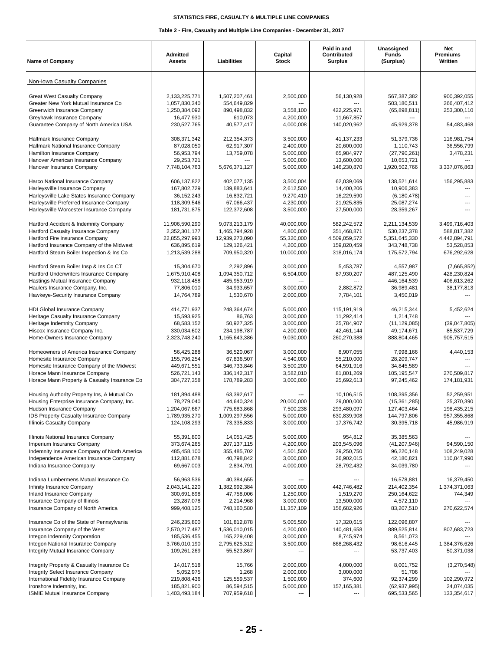| <b>Name of Company</b>                                                                 | Admitted<br><b>Assets</b>      | Liabilities                   | Capital<br><b>Stock</b> | Paid in and<br>Contributed<br><b>Surplus</b> | Unassigned<br><b>Funds</b><br>(Surplus) | Net<br><b>Premiums</b><br>Written |
|----------------------------------------------------------------------------------------|--------------------------------|-------------------------------|-------------------------|----------------------------------------------|-----------------------------------------|-----------------------------------|
| Non-Iowa Casualty Companies                                                            |                                |                               |                         |                                              |                                         |                                   |
| <b>Great West Casualty Company</b><br>Greater New York Mutual Insurance Co             | 2,133,225,771<br>1,057,830,340 | 1,507,207,461<br>554,649,829  | 2,500,000               | 56,130,928<br>---                            | 567,387,382<br>503,180,511              | 900,392,055<br>266,407,412        |
| Greenwich Insurance Company<br>Greyhawk Insurance Company                              | 1,250,384,092<br>16,477,930    | 890,498,832<br>610,073        | 3,558,100<br>4,200,000  | 422,225,971<br>11,667,857                    | (65,898,811)                            | 253,300,110                       |
| Guarantee Company of North America USA                                                 | 230,527,765                    | 40,577,417                    | 4,000,008               | 140,020,962                                  | 45,929,378                              | 54,483,468                        |
| Hallmark Insurance Company<br>Hallmark National Insurance Company                      | 308,371,342<br>87,028,050      | 212,354,373<br>62,917,307     | 3.500.000<br>2,400,000  | 41,137,233<br>20,600,000                     | 51,379,736<br>1.110.743                 | 116,981,754<br>36,556,799         |
| Hamilton Insurance Company                                                             | 56,953,794                     | 13,759,078                    | 5,000,000               | 65,984,977                                   | (27,790,261)                            | 3,478,231                         |
| Hanover American Insurance Company                                                     | 29,253,721                     | ---                           | 5,000,000               | 13,600,000                                   | 10,653,721                              |                                   |
| Hanover Insurance Company                                                              | 7,748,104,763                  | 5,676,371,127                 | 5,000,000               | 146,230,870                                  | 1,920,502,766                           | 3,337,076,863                     |
| Harco National Insurance Company                                                       | 606,137,822                    | 402,077,135                   | 3,500,004               | 62,039,069                                   | 138,521,614                             | 156,295,883                       |
| Harleysville Insurance Company                                                         | 167,802,729<br>36, 152, 243    | 139,883,641                   | 2,612,500<br>9,270,410  | 14,400,206                                   | 10,906,383                              | ---                               |
| Harleysville Lake States Insurance Company<br>Harleysville Preferred Insurance Company | 118,309,546                    | 16,832,721<br>67,066,437      | 4,230,000               | 16,229,590<br>21,925,835                     | (6, 180, 478)<br>25,087,274             | ---                               |
| Harleysville Worcester Insurance Company                                               | 181,731,875                    | 122,372,608                   | 3,500,000               | 27,500,000                                   | 28,359,267                              |                                   |
| Hartford Accident & Indemnity Company                                                  | 11,906,590,290                 | 9,073,213,179                 | 40,000,000              | 582,242,572                                  | 2,211,134,539                           | 3,499,716,403                     |
| Hartford Casualty Insurance Company                                                    | 2,352,301,177                  | 1.465.794.928                 | 4,800,000               | 351,468,871                                  | 530,237,378                             | 588,817,382                       |
| Hartford Fire Insurance Company<br>Hartford Insurance Company of the Midwest           | 22,855,297,993<br>636,895,619  | 12,939,273,090<br>129,126,421 | 55,320,000<br>4,200,000 | 4,509,059,572<br>159,820,459                 | 5,351,645,330<br>343,748,738            | 4,442,894,791<br>53,528,853       |
| Hartford Steam Boiler Inspection & Ins Co                                              | 1,213,539,288                  | 709,950,320                   | 10,000,000              | 318,016,174                                  | 175,572,794                             | 676,292,628                       |
| Hartford Steam Boiler Insp & Ins Co CT                                                 | 15,304,670                     | 2,292,896                     | 3,000,000               | 5,453,787                                    | 4,557,987                               | (7,665,852)                       |
| Hartford Underwriters Insurance Company                                                | 1,675,910,408                  | 1,094,350,712                 | 6,504,000               | 87,930,207                                   | 487,125,490                             | 428,230,824                       |
| Hastings Mutual Insurance Company                                                      | 932,118,458                    | 485,953,919                   | ---                     |                                              | 446,164,539                             | 406,613,262                       |
| Haulers Insurance Company, Inc.<br>Hawkeye-Security Insurance Company                  | 77,806,010<br>14,764,789       | 34,933,657<br>1,530,670       | 3,000,000<br>2,000,000  | 2,882,872<br>7,784,101                       | 36,989,481<br>3,450,019                 | 38,177,813                        |
| HDI Global Insurance Company                                                           | 414,771,937                    | 248,364,674                   | 5,000,000               | 115,191,919                                  | 46,215,344                              | 5,452,624                         |
| Heritage Casualty Insurance Company                                                    | 15,593,925                     | 86,763                        | 3,000,000               | 11,292,414                                   | 1,214,748                               |                                   |
| Heritage Indemnity Company                                                             | 68,583,152                     | 50,927,325                    | 3,000,000               | 25,784,907                                   | (11, 129, 085)                          | (39,047,805)                      |
| Hiscox Insurance Company Inc.<br>Home-Owners Insurance Company                         | 330,034,602<br>2,323,748,240   | 234,198,787<br>1,165,643,386  | 4,200,000<br>9,030,000  | 42,461,144<br>260,270,388                    | 49,174,671<br>888,804,465               | 85,537,729<br>905,757,515         |
| Homeowners of America Insurance Company                                                | 56,425,288                     | 36,520,067                    | 3,000,000               | 8,907,055                                    | 7,998,166                               | 4,440,153                         |
| Homesite Insurance Company                                                             | 155,796,254                    | 67,836,507                    | 4,540,000               | 55,210,000                                   | 28,209,747                              |                                   |
| Homesite Insurance Company of the Midwest                                              | 449,671,551                    | 346,733,846                   | 3,500,200               | 64,591,916                                   | 34,845,589                              |                                   |
| Horace Mann Insurance Company<br>Horace Mann Property & Casualty Insurance Co          | 526,721,143<br>304,727,358     | 336, 142, 317<br>178,789,283  | 3,582,010<br>3,000,000  | 81,801,269<br>25,692,613                     | 105,195,547<br>97,245,462               | 270,509,817<br>174,181,931        |
| Housing Authority Property Ins, A Mutual Co                                            | 181,894,488                    | 63,392,617                    |                         | 10,106,515                                   | 108,395,356                             | 52,259,951                        |
| Housing Enterprise Insurance Company, Inc.                                             | 78,279,040                     | 44,640,324                    | 20,000,000              | 29.000.000                                   | (15, 361, 285)                          | 25,370,390                        |
| Hudson Insurance Company                                                               | 1,204,067,667                  | 775,683,868                   | 7,500,238               | 293,480,097                                  | 127,403,464                             | 198,435,215                       |
| IDS Property Casualty Insurance Company<br>Illinois Casualty Company                   | 1,789,935,270<br>124,108,293   | 1,009,297,556<br>73,335,833   | 5,000,000<br>3,000,000  | 630,839,908<br>17,376,742                    | 144,797,806<br>30,395,718               | 957,355,868<br>45,986,919         |
| Illinois National Insurance Company                                                    | 55,391,800                     | 14,051,425                    | 5,000,000               | 954,812                                      | 35,385,563                              |                                   |
| Imperium Insurance Company                                                             | 373,674,265                    | 207, 137, 115                 | 4,200,000               | 203,545,096                                  | (41, 207, 946)                          | 94,590,150                        |
| Indemnity Insurance Company of North America                                           | 485,458,100                    | 355,485,702                   | 4,501,500               | 29,250,750                                   | 96,220,148                              | 108,249,028                       |
| Independence American Insurance Company<br>Indiana Insurance Company                   | 112,881,678<br>69,667,003      | 40,798,842<br>2,834,791       | 3,000,000<br>4,000,000  | 26,902,015<br>28,792,432                     | 42,180,821<br>34,039,780                | 110,847,990                       |
| Indiana Lumbermens Mutual Insurance Co                                                 | 56,963,536                     | 40,384,655                    |                         |                                              | 16,578,881                              | 16,379,450                        |
| Infinity Insurance Company                                                             | 2,043,141,220                  | 1,382,992,384                 | 3,000,000               | 442,746,482                                  | 214,402,354                             | 1,374,371,063                     |
| Inland Insurance Company                                                               | 300,691,898                    | 47,758,006                    | 1,250,000               | 1,519,270                                    | 250,164,622                             | 744,349                           |
| Insurance Company of Illinois                                                          | 23,287,078                     | 2,214,968                     | 3,000,000               | 13,500,000                                   | 4,572,110                               |                                   |
| Insurance Company of North America                                                     | 999,408,125                    | 748,160,580                   | 11,357,109              | 156,682,926                                  | 83,207,510                              | 270,622,574                       |
| Insurance Co of the State of Pennsylvania                                              | 246,235,800                    | 101,812,878                   | 5,005,500               | 17,320,615                                   | 122,096,807                             |                                   |
| Insurance Company of the West<br>Integon Indemnity Corporation                         | 2,570,217,487<br>185,536,455   | 1,536,010,015<br>165,229,408  | 4,200,000<br>3,000,000  | 140,481,658<br>8,745,974                     | 889,525,814<br>8,561,073                | 807,683,723                       |
| Integon National Insurance Company                                                     | 3,766,010,190                  | 2,795,625,312                 | 3,500,000               | 868,268,432                                  | 98,616,445                              | 1,384,376,626                     |
| Integrity Mutual Insurance Company                                                     | 109,261,269                    | 55,523,867                    |                         |                                              | 53,737,403                              | 50,371,038                        |
| Integrity Property & Casualty Insurance Co                                             | 14,017,518                     | 15,766                        | 2,000,000               | 4,000,000                                    | 8,001,752                               | (3,270,548)                       |
| Integrity Select Insurance Company                                                     | 5,052,975                      | 1,268                         | 2,000,000               | 3,000,000                                    | 51,706                                  |                                   |
| International Fidelity Insurance Company<br>Ironshore Indemnity, Inc.                  | 219,808,436<br>185,821,900     | 125,559,537<br>86,594,515     | 1,500,000<br>5,000,000  | 374,600<br>157, 165, 381                     | 92,374,299<br>(62, 937, 995)            | 102,290,972<br>24,074,035         |
| ISMIE Mutual Insurance Company                                                         | 1,403,493,184                  | 707,959,618                   | ---                     | ---                                          | 695,533,565                             | 133,354,617                       |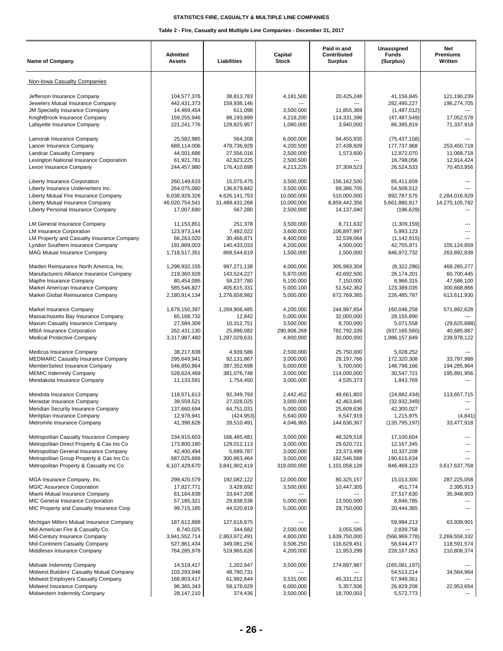| Non-Iowa Casualty Companies<br>Jefferson Insurance Company<br>104,577,376<br>38,813,783<br>4,181,500<br>20,425,248<br>41,156,845<br>121,190,239<br>442,431,373<br>282,495,227<br>196,274,705<br>Jewelers Mutual Insurance Company<br>159,936,146<br>$\overline{a}$<br><b>JM Specialty Insurance Comipany</b><br>14,469,454<br>611,098<br>3,500,000<br>11,855,369<br>(1,497,012)<br>KnightBrook Insurance Company<br>159,255,946<br>88,193,899<br>4,218,200<br>114,331,396<br>(47, 487, 549)<br>17,052,578<br>Lafayette Insurance Company<br>221,241,776<br>129,825,957<br>1,080,000<br>3,940,000<br>86,395,819<br>71,337,918<br>25,582,985<br>Lamorak Insurance Company<br>564,208<br>6,000,000<br>94,455,935<br>(75, 437, 158)<br>689,114,006<br>479,736,929<br>4,200,500<br>27,438,609<br>177,737,968<br>253,450,718<br>Lancer Insurance Company<br>44.501.686<br>27,556,016<br>2,500,000<br>11,068,718<br><b>Landcar Casualty Company</b><br>1,573,600<br>12,872,070<br>Lexington National Insurance Corporation<br>61,921,781<br>42,623,225<br>2,500,500<br>16,798,056<br>12,914,424<br>Lexon Insurance Company<br>244,457,980<br>176,410,698<br>4,213,226<br>37,309,523<br>26,524,533<br>70,453,956<br>Liberty Insurance Corporation<br>260,149,633<br>15,075,475<br>3,500,000<br>156,162,500<br>85,411,659<br>Liberty Insurance Underwriters Inc.<br>264,075,060<br>136,679,842<br>3,500,000<br>69,386,705<br>54,508,512<br>Liberty Mutual Fire Insurance Company<br>6,038,929,326<br>4,626,141,753<br>10,000,000<br>510,000,000<br>892,787,575<br>2,284,016,929<br>Liberty Mutual Insurance Company<br>46,020,754,541<br>31,489,431,268<br>10,000,000<br>8,859,442,356<br>5,661,880,917<br>14,275,105,782<br>Liberty Personal Insurance Company<br>17,007,690<br>567,280<br>2,500,000<br>14,137,040<br>(196, 629)<br><b>LM General Insurance Company</b><br>11,153,851<br>251,378<br>3,500,000<br>8,711,632<br>(1,309,159)<br><b>LM Insurance Corporation</b><br>123,973,144<br>7,482,022<br>3,600,000<br>106,897,997<br>5,993,123<br>LM Property and Casualty Insurance Company<br>66,263,020<br>30,466,871<br>4,400,000<br>32,539,064<br>(1, 142, 915)<br>191,889,003<br>42,755,971<br>Lyndon Southern Insurance Company<br>140,433,033<br>4,200,000<br>4.500.000<br>105,124,859<br>263,892,838<br><b>MAG Mutual Insurance Company</b><br>1,718,517,351<br>868,544,619<br>1,500,000<br>1,500,000<br>846,972,732<br>Maiden Reinsurance North America. Inc.<br>1,298,932,155<br>997,271,138<br>4.000.000<br>305,983,304<br>468,265,277<br>(8,322,286)<br>5,970,000<br>43,692,500<br>Manufacturers Alliance Insurance Company<br>219,360,928<br>143,524,227<br>26,174,201<br>60,700,445<br>80,454,095<br>5,100,000<br>7,150,000<br>47,586,100<br>Mapfre Insurance Company<br>59,237,780<br>8,966,315<br>Markel American Insurance Company<br>585,546,827<br>405,615,331<br>5,000,100<br>51,542,362<br>123,389,035<br>300,668,866<br>613,611,930<br>Markel Global Reinsurance Company<br>2,180,914,134<br>1,276,658,982<br>5,000,000<br>672,769,365<br>226,485,787<br>571,892,628<br>Markel Insurance Company<br>1,679,150,397<br>1,269,906,485<br>4,200,000<br>244,997,654<br>160,046,258<br>Massachusetts Bay Insurance Company<br>5,000,000<br>32,000,000<br>65,168,732<br>12,842<br>28,155,890<br>Maxum Casualty Insurance Company<br>3,500,000<br>8,700,000<br>27,584,309<br>10,312,751<br>5,071,558<br>(29, 625, 888)<br><b>MBIA Insurance Corporation</b><br>782,792,339<br>262,431,130<br>25,896,082<br>290,908,269<br>(837, 165, 560)<br>40,685,887<br>Medical Protective Company<br>3,317,987,480<br>30,000,000<br>239,978,122<br>1,297,029,631<br>4,800,000<br>1,986,157,849<br>Medicus Insurance Company<br>38,217,838<br>4,939,586<br>2,500,000<br>25,750,000<br>5,028,252<br>28,197,766<br><b>MEDMARC Casualty Insurance Company</b><br>295,649,941<br>92,131,867<br>3,000,000<br>172,320,308<br>33,797,988<br>546,850,864<br>5,000,000<br>5,700,000<br>148,798,166<br>194,285,964<br>MemberSelect Insurance Company<br>387, 352, 698<br><b>MEMIC Indemnity Company</b><br>528,624,469<br>381,076,748<br>3,000,000<br>114,000,000<br>195,891,956<br>30,547,721<br>Mendakota Insurance Company<br>11,133,591<br>1,754,450<br>3,000,000<br>4,535,373<br>1,843,769<br>Mendota Insurance Company<br>118,571,613<br>92,349,793<br>2,442,452<br>(24, 882, 434)<br>113,657,715<br>48,661,803<br>Merastar Insurance Company<br>39,559,521<br>27,028,025<br>3,000,000<br>42,463,845<br>(32, 932, 349)<br>137,660,694<br>64,751,031<br>5,000,000<br>25,609,636<br>42,300,027<br>Meridian Security Insurance Company<br>12,978,941<br>(424, 953)<br>6,547,919<br>Meritplan Insurance Company<br>5,640,000<br>1,215,975<br>(4, 841)<br>41,398,626<br>28,510,491<br>33,477,918<br>Metromile Insurance Company<br>4,046,965<br>144,636,367<br>(135, 795, 197)<br>Metropolitan Casualty Insurance Company<br>234,915,603<br>166,485,481<br>3,000,000<br>48,329,518<br>17,100,604<br>Metropolitan Direct Property & Cas Ins Co<br>3,000,000<br>173,800,180<br>129,012,113<br>29,620,721<br>12,167,345<br>Metropolitan General Insurance Company<br>5,689,787<br>3,000,000<br>10,337,208<br>42,400,494<br>23,373,499<br>Metropolitan Group Property & Cas Ins Co<br>687,025,666<br>3,000,000<br>300,863,464<br>192,546,568<br>190,615,634<br>Metropolitan Property & Casualty Ins Co<br>6,107,429,670<br>3,841,902,419<br>318,000,000<br>1,101,058,128<br>846,469,123<br>3,617,637,758<br>MGA Insurance Company, Inc.<br>299,420,579<br>192,082,122<br>12,000,000<br>80,325,157<br>15,013,300<br>287,225,058<br><b>MGIC Assurance Corporation</b><br>17,827,771<br>3,428,692<br>3,500,000<br>10,447,305<br>451,774<br>2,395,913<br>Miami Mutual Insurance Company<br>61,164,838<br>33,647,208<br>27,517,630<br>35,948,903<br>MIC General Insurance Corporation<br>57, 185, 321<br>29,838,536<br>5,000,000<br>13,500,000<br>8,846,785<br>MIC Property and Casualty Insurance Corp<br>99,715,185<br>44,520,819<br>5,000,000<br>29,750,000<br>20,444,365<br>Michigan Millers Mutual Insurance Company<br>187,612,888<br>127,618,675<br>59,994,213<br>63,939,901<br>Mid-American Fire & Casualty Co.<br>8,740,025<br>344,682<br>2,500,000<br>3,055,585<br>2,839,758<br>Mid-Century Insurance Company<br>3,941,552,714<br>2,863,972,491<br>4,800,000<br>1,639,750,000<br>(566, 969, 778)<br>2,269,558,332<br>Mid-Continent Casualty Company<br>527,861,434<br>349,081,256<br>3,506,250<br>116,629,451<br>58,644,477<br>118,591,574<br>Middlesex Insurance Company<br>764,285,978<br>519,965,626<br>4,200,000<br>11,953,299<br>228, 167, 053<br>210,808,374<br>Midvale Indemnity Company<br>14,519,417<br>1,202,647<br>3,500,000<br>174,897,967<br>(165,081,197)<br>103,293,948<br>48,780,731<br>Midwest Builders' Casualty Mutual Company<br>54,513,214<br>34,564,964<br>168,803,417<br>61,992,844<br>Midwest Employers Casualty Company<br>3,531,000<br>45,331,212<br>57,948,361<br>6,000,000<br>Midwest Insurance Company<br>96,365,343<br>58,178,629<br>5,357,506<br>26,829,208<br>22,953,654<br>Midwestern Indemnity Company<br>18,700,003<br>28,147,210<br>374,436<br>3,500,000<br>5,572,773 | <b>Name of Company</b> | Admitted<br><b>Assets</b> | Liabilities | Capital<br><b>Stock</b> | Paid in and<br>Contributed<br><b>Surplus</b> | Unassigned<br><b>Funds</b><br>(Surplus) | Net<br>Premiums<br>Written |
|------------------------------------------------------------------------------------------------------------------------------------------------------------------------------------------------------------------------------------------------------------------------------------------------------------------------------------------------------------------------------------------------------------------------------------------------------------------------------------------------------------------------------------------------------------------------------------------------------------------------------------------------------------------------------------------------------------------------------------------------------------------------------------------------------------------------------------------------------------------------------------------------------------------------------------------------------------------------------------------------------------------------------------------------------------------------------------------------------------------------------------------------------------------------------------------------------------------------------------------------------------------------------------------------------------------------------------------------------------------------------------------------------------------------------------------------------------------------------------------------------------------------------------------------------------------------------------------------------------------------------------------------------------------------------------------------------------------------------------------------------------------------------------------------------------------------------------------------------------------------------------------------------------------------------------------------------------------------------------------------------------------------------------------------------------------------------------------------------------------------------------------------------------------------------------------------------------------------------------------------------------------------------------------------------------------------------------------------------------------------------------------------------------------------------------------------------------------------------------------------------------------------------------------------------------------------------------------------------------------------------------------------------------------------------------------------------------------------------------------------------------------------------------------------------------------------------------------------------------------------------------------------------------------------------------------------------------------------------------------------------------------------------------------------------------------------------------------------------------------------------------------------------------------------------------------------------------------------------------------------------------------------------------------------------------------------------------------------------------------------------------------------------------------------------------------------------------------------------------------------------------------------------------------------------------------------------------------------------------------------------------------------------------------------------------------------------------------------------------------------------------------------------------------------------------------------------------------------------------------------------------------------------------------------------------------------------------------------------------------------------------------------------------------------------------------------------------------------------------------------------------------------------------------------------------------------------------------------------------------------------------------------------------------------------------------------------------------------------------------------------------------------------------------------------------------------------------------------------------------------------------------------------------------------------------------------------------------------------------------------------------------------------------------------------------------------------------------------------------------------------------------------------------------------------------------------------------------------------------------------------------------------------------------------------------------------------------------------------------------------------------------------------------------------------------------------------------------------------------------------------------------------------------------------------------------------------------------------------------------------------------------------------------------------------------------------------------------------------------------------------------------------------------------------------------------------------------------------------------------------------------------------------------------------------------------------------------------------------------------------------------------------------------------------------------------------------------------------------------------------------------------------------------------------------------------------------------------------------------------------------------------------------------------------------------------------------------------------------------------------------------------------------------------------------------------------------------------------------------------------------------------------------------------------------------------------------------------------------------------------------------------------------------------------------------------------------------------------------------------------------------------------------------------------------------------------------------------------------------------------------------------------------------------------------------------------------------------------------------------------------------------------------------------------------------------------------------------------------------------------------------------------------------------------------------------------------------------------------------------------------------------------------------------------------------------------------------------------------------------------------------------------------------------------------------------------------------------------------------------------------------------------------------------------------------------------|------------------------|---------------------------|-------------|-------------------------|----------------------------------------------|-----------------------------------------|----------------------------|
|                                                                                                                                                                                                                                                                                                                                                                                                                                                                                                                                                                                                                                                                                                                                                                                                                                                                                                                                                                                                                                                                                                                                                                                                                                                                                                                                                                                                                                                                                                                                                                                                                                                                                                                                                                                                                                                                                                                                                                                                                                                                                                                                                                                                                                                                                                                                                                                                                                                                                                                                                                                                                                                                                                                                                                                                                                                                                                                                                                                                                                                                                                                                                                                                                                                                                                                                                                                                                                                                                                                                                                                                                                                                                                                                                                                                                                                                                                                                                                                                                                                                                                                                                                                                                                                                                                                                                                                                                                                                                                                                                                                                                                                                                                                                                                                                                                                                                                                                                                                                                                                                                                                                                                                                                                                                                                                                                                                                                                                                                                                                                                                                                                                                                                                                                                                                                                                                                                                                                                                                                                                                                                                                                                                                                                                                                                                                                                                                                                                                                                                                                                                                                                                                                                                                                                                                                                                                                                                                                                                                                                                                                                                                                                                                |                        |                           |             |                         |                                              |                                         |                            |
|                                                                                                                                                                                                                                                                                                                                                                                                                                                                                                                                                                                                                                                                                                                                                                                                                                                                                                                                                                                                                                                                                                                                                                                                                                                                                                                                                                                                                                                                                                                                                                                                                                                                                                                                                                                                                                                                                                                                                                                                                                                                                                                                                                                                                                                                                                                                                                                                                                                                                                                                                                                                                                                                                                                                                                                                                                                                                                                                                                                                                                                                                                                                                                                                                                                                                                                                                                                                                                                                                                                                                                                                                                                                                                                                                                                                                                                                                                                                                                                                                                                                                                                                                                                                                                                                                                                                                                                                                                                                                                                                                                                                                                                                                                                                                                                                                                                                                                                                                                                                                                                                                                                                                                                                                                                                                                                                                                                                                                                                                                                                                                                                                                                                                                                                                                                                                                                                                                                                                                                                                                                                                                                                                                                                                                                                                                                                                                                                                                                                                                                                                                                                                                                                                                                                                                                                                                                                                                                                                                                                                                                                                                                                                                                                |                        |                           |             |                         |                                              |                                         |                            |
|                                                                                                                                                                                                                                                                                                                                                                                                                                                                                                                                                                                                                                                                                                                                                                                                                                                                                                                                                                                                                                                                                                                                                                                                                                                                                                                                                                                                                                                                                                                                                                                                                                                                                                                                                                                                                                                                                                                                                                                                                                                                                                                                                                                                                                                                                                                                                                                                                                                                                                                                                                                                                                                                                                                                                                                                                                                                                                                                                                                                                                                                                                                                                                                                                                                                                                                                                                                                                                                                                                                                                                                                                                                                                                                                                                                                                                                                                                                                                                                                                                                                                                                                                                                                                                                                                                                                                                                                                                                                                                                                                                                                                                                                                                                                                                                                                                                                                                                                                                                                                                                                                                                                                                                                                                                                                                                                                                                                                                                                                                                                                                                                                                                                                                                                                                                                                                                                                                                                                                                                                                                                                                                                                                                                                                                                                                                                                                                                                                                                                                                                                                                                                                                                                                                                                                                                                                                                                                                                                                                                                                                                                                                                                                                                |                        |                           |             |                         |                                              |                                         |                            |
|                                                                                                                                                                                                                                                                                                                                                                                                                                                                                                                                                                                                                                                                                                                                                                                                                                                                                                                                                                                                                                                                                                                                                                                                                                                                                                                                                                                                                                                                                                                                                                                                                                                                                                                                                                                                                                                                                                                                                                                                                                                                                                                                                                                                                                                                                                                                                                                                                                                                                                                                                                                                                                                                                                                                                                                                                                                                                                                                                                                                                                                                                                                                                                                                                                                                                                                                                                                                                                                                                                                                                                                                                                                                                                                                                                                                                                                                                                                                                                                                                                                                                                                                                                                                                                                                                                                                                                                                                                                                                                                                                                                                                                                                                                                                                                                                                                                                                                                                                                                                                                                                                                                                                                                                                                                                                                                                                                                                                                                                                                                                                                                                                                                                                                                                                                                                                                                                                                                                                                                                                                                                                                                                                                                                                                                                                                                                                                                                                                                                                                                                                                                                                                                                                                                                                                                                                                                                                                                                                                                                                                                                                                                                                                                                |                        |                           |             |                         |                                              |                                         |                            |
|                                                                                                                                                                                                                                                                                                                                                                                                                                                                                                                                                                                                                                                                                                                                                                                                                                                                                                                                                                                                                                                                                                                                                                                                                                                                                                                                                                                                                                                                                                                                                                                                                                                                                                                                                                                                                                                                                                                                                                                                                                                                                                                                                                                                                                                                                                                                                                                                                                                                                                                                                                                                                                                                                                                                                                                                                                                                                                                                                                                                                                                                                                                                                                                                                                                                                                                                                                                                                                                                                                                                                                                                                                                                                                                                                                                                                                                                                                                                                                                                                                                                                                                                                                                                                                                                                                                                                                                                                                                                                                                                                                                                                                                                                                                                                                                                                                                                                                                                                                                                                                                                                                                                                                                                                                                                                                                                                                                                                                                                                                                                                                                                                                                                                                                                                                                                                                                                                                                                                                                                                                                                                                                                                                                                                                                                                                                                                                                                                                                                                                                                                                                                                                                                                                                                                                                                                                                                                                                                                                                                                                                                                                                                                                                                |                        |                           |             |                         |                                              |                                         |                            |
|                                                                                                                                                                                                                                                                                                                                                                                                                                                                                                                                                                                                                                                                                                                                                                                                                                                                                                                                                                                                                                                                                                                                                                                                                                                                                                                                                                                                                                                                                                                                                                                                                                                                                                                                                                                                                                                                                                                                                                                                                                                                                                                                                                                                                                                                                                                                                                                                                                                                                                                                                                                                                                                                                                                                                                                                                                                                                                                                                                                                                                                                                                                                                                                                                                                                                                                                                                                                                                                                                                                                                                                                                                                                                                                                                                                                                                                                                                                                                                                                                                                                                                                                                                                                                                                                                                                                                                                                                                                                                                                                                                                                                                                                                                                                                                                                                                                                                                                                                                                                                                                                                                                                                                                                                                                                                                                                                                                                                                                                                                                                                                                                                                                                                                                                                                                                                                                                                                                                                                                                                                                                                                                                                                                                                                                                                                                                                                                                                                                                                                                                                                                                                                                                                                                                                                                                                                                                                                                                                                                                                                                                                                                                                                                                |                        |                           |             |                         |                                              |                                         |                            |
|                                                                                                                                                                                                                                                                                                                                                                                                                                                                                                                                                                                                                                                                                                                                                                                                                                                                                                                                                                                                                                                                                                                                                                                                                                                                                                                                                                                                                                                                                                                                                                                                                                                                                                                                                                                                                                                                                                                                                                                                                                                                                                                                                                                                                                                                                                                                                                                                                                                                                                                                                                                                                                                                                                                                                                                                                                                                                                                                                                                                                                                                                                                                                                                                                                                                                                                                                                                                                                                                                                                                                                                                                                                                                                                                                                                                                                                                                                                                                                                                                                                                                                                                                                                                                                                                                                                                                                                                                                                                                                                                                                                                                                                                                                                                                                                                                                                                                                                                                                                                                                                                                                                                                                                                                                                                                                                                                                                                                                                                                                                                                                                                                                                                                                                                                                                                                                                                                                                                                                                                                                                                                                                                                                                                                                                                                                                                                                                                                                                                                                                                                                                                                                                                                                                                                                                                                                                                                                                                                                                                                                                                                                                                                                                                |                        |                           |             |                         |                                              |                                         |                            |
|                                                                                                                                                                                                                                                                                                                                                                                                                                                                                                                                                                                                                                                                                                                                                                                                                                                                                                                                                                                                                                                                                                                                                                                                                                                                                                                                                                                                                                                                                                                                                                                                                                                                                                                                                                                                                                                                                                                                                                                                                                                                                                                                                                                                                                                                                                                                                                                                                                                                                                                                                                                                                                                                                                                                                                                                                                                                                                                                                                                                                                                                                                                                                                                                                                                                                                                                                                                                                                                                                                                                                                                                                                                                                                                                                                                                                                                                                                                                                                                                                                                                                                                                                                                                                                                                                                                                                                                                                                                                                                                                                                                                                                                                                                                                                                                                                                                                                                                                                                                                                                                                                                                                                                                                                                                                                                                                                                                                                                                                                                                                                                                                                                                                                                                                                                                                                                                                                                                                                                                                                                                                                                                                                                                                                                                                                                                                                                                                                                                                                                                                                                                                                                                                                                                                                                                                                                                                                                                                                                                                                                                                                                                                                                                                |                        |                           |             |                         |                                              |                                         |                            |
|                                                                                                                                                                                                                                                                                                                                                                                                                                                                                                                                                                                                                                                                                                                                                                                                                                                                                                                                                                                                                                                                                                                                                                                                                                                                                                                                                                                                                                                                                                                                                                                                                                                                                                                                                                                                                                                                                                                                                                                                                                                                                                                                                                                                                                                                                                                                                                                                                                                                                                                                                                                                                                                                                                                                                                                                                                                                                                                                                                                                                                                                                                                                                                                                                                                                                                                                                                                                                                                                                                                                                                                                                                                                                                                                                                                                                                                                                                                                                                                                                                                                                                                                                                                                                                                                                                                                                                                                                                                                                                                                                                                                                                                                                                                                                                                                                                                                                                                                                                                                                                                                                                                                                                                                                                                                                                                                                                                                                                                                                                                                                                                                                                                                                                                                                                                                                                                                                                                                                                                                                                                                                                                                                                                                                                                                                                                                                                                                                                                                                                                                                                                                                                                                                                                                                                                                                                                                                                                                                                                                                                                                                                                                                                                                |                        |                           |             |                         |                                              |                                         |                            |
|                                                                                                                                                                                                                                                                                                                                                                                                                                                                                                                                                                                                                                                                                                                                                                                                                                                                                                                                                                                                                                                                                                                                                                                                                                                                                                                                                                                                                                                                                                                                                                                                                                                                                                                                                                                                                                                                                                                                                                                                                                                                                                                                                                                                                                                                                                                                                                                                                                                                                                                                                                                                                                                                                                                                                                                                                                                                                                                                                                                                                                                                                                                                                                                                                                                                                                                                                                                                                                                                                                                                                                                                                                                                                                                                                                                                                                                                                                                                                                                                                                                                                                                                                                                                                                                                                                                                                                                                                                                                                                                                                                                                                                                                                                                                                                                                                                                                                                                                                                                                                                                                                                                                                                                                                                                                                                                                                                                                                                                                                                                                                                                                                                                                                                                                                                                                                                                                                                                                                                                                                                                                                                                                                                                                                                                                                                                                                                                                                                                                                                                                                                                                                                                                                                                                                                                                                                                                                                                                                                                                                                                                                                                                                                                                |                        |                           |             |                         |                                              |                                         |                            |
|                                                                                                                                                                                                                                                                                                                                                                                                                                                                                                                                                                                                                                                                                                                                                                                                                                                                                                                                                                                                                                                                                                                                                                                                                                                                                                                                                                                                                                                                                                                                                                                                                                                                                                                                                                                                                                                                                                                                                                                                                                                                                                                                                                                                                                                                                                                                                                                                                                                                                                                                                                                                                                                                                                                                                                                                                                                                                                                                                                                                                                                                                                                                                                                                                                                                                                                                                                                                                                                                                                                                                                                                                                                                                                                                                                                                                                                                                                                                                                                                                                                                                                                                                                                                                                                                                                                                                                                                                                                                                                                                                                                                                                                                                                                                                                                                                                                                                                                                                                                                                                                                                                                                                                                                                                                                                                                                                                                                                                                                                                                                                                                                                                                                                                                                                                                                                                                                                                                                                                                                                                                                                                                                                                                                                                                                                                                                                                                                                                                                                                                                                                                                                                                                                                                                                                                                                                                                                                                                                                                                                                                                                                                                                                                                |                        |                           |             |                         |                                              |                                         |                            |
|                                                                                                                                                                                                                                                                                                                                                                                                                                                                                                                                                                                                                                                                                                                                                                                                                                                                                                                                                                                                                                                                                                                                                                                                                                                                                                                                                                                                                                                                                                                                                                                                                                                                                                                                                                                                                                                                                                                                                                                                                                                                                                                                                                                                                                                                                                                                                                                                                                                                                                                                                                                                                                                                                                                                                                                                                                                                                                                                                                                                                                                                                                                                                                                                                                                                                                                                                                                                                                                                                                                                                                                                                                                                                                                                                                                                                                                                                                                                                                                                                                                                                                                                                                                                                                                                                                                                                                                                                                                                                                                                                                                                                                                                                                                                                                                                                                                                                                                                                                                                                                                                                                                                                                                                                                                                                                                                                                                                                                                                                                                                                                                                                                                                                                                                                                                                                                                                                                                                                                                                                                                                                                                                                                                                                                                                                                                                                                                                                                                                                                                                                                                                                                                                                                                                                                                                                                                                                                                                                                                                                                                                                                                                                                                                |                        |                           |             |                         |                                              |                                         |                            |
|                                                                                                                                                                                                                                                                                                                                                                                                                                                                                                                                                                                                                                                                                                                                                                                                                                                                                                                                                                                                                                                                                                                                                                                                                                                                                                                                                                                                                                                                                                                                                                                                                                                                                                                                                                                                                                                                                                                                                                                                                                                                                                                                                                                                                                                                                                                                                                                                                                                                                                                                                                                                                                                                                                                                                                                                                                                                                                                                                                                                                                                                                                                                                                                                                                                                                                                                                                                                                                                                                                                                                                                                                                                                                                                                                                                                                                                                                                                                                                                                                                                                                                                                                                                                                                                                                                                                                                                                                                                                                                                                                                                                                                                                                                                                                                                                                                                                                                                                                                                                                                                                                                                                                                                                                                                                                                                                                                                                                                                                                                                                                                                                                                                                                                                                                                                                                                                                                                                                                                                                                                                                                                                                                                                                                                                                                                                                                                                                                                                                                                                                                                                                                                                                                                                                                                                                                                                                                                                                                                                                                                                                                                                                                                                                |                        |                           |             |                         |                                              |                                         |                            |
|                                                                                                                                                                                                                                                                                                                                                                                                                                                                                                                                                                                                                                                                                                                                                                                                                                                                                                                                                                                                                                                                                                                                                                                                                                                                                                                                                                                                                                                                                                                                                                                                                                                                                                                                                                                                                                                                                                                                                                                                                                                                                                                                                                                                                                                                                                                                                                                                                                                                                                                                                                                                                                                                                                                                                                                                                                                                                                                                                                                                                                                                                                                                                                                                                                                                                                                                                                                                                                                                                                                                                                                                                                                                                                                                                                                                                                                                                                                                                                                                                                                                                                                                                                                                                                                                                                                                                                                                                                                                                                                                                                                                                                                                                                                                                                                                                                                                                                                                                                                                                                                                                                                                                                                                                                                                                                                                                                                                                                                                                                                                                                                                                                                                                                                                                                                                                                                                                                                                                                                                                                                                                                                                                                                                                                                                                                                                                                                                                                                                                                                                                                                                                                                                                                                                                                                                                                                                                                                                                                                                                                                                                                                                                                                                |                        |                           |             |                         |                                              |                                         |                            |
|                                                                                                                                                                                                                                                                                                                                                                                                                                                                                                                                                                                                                                                                                                                                                                                                                                                                                                                                                                                                                                                                                                                                                                                                                                                                                                                                                                                                                                                                                                                                                                                                                                                                                                                                                                                                                                                                                                                                                                                                                                                                                                                                                                                                                                                                                                                                                                                                                                                                                                                                                                                                                                                                                                                                                                                                                                                                                                                                                                                                                                                                                                                                                                                                                                                                                                                                                                                                                                                                                                                                                                                                                                                                                                                                                                                                                                                                                                                                                                                                                                                                                                                                                                                                                                                                                                                                                                                                                                                                                                                                                                                                                                                                                                                                                                                                                                                                                                                                                                                                                                                                                                                                                                                                                                                                                                                                                                                                                                                                                                                                                                                                                                                                                                                                                                                                                                                                                                                                                                                                                                                                                                                                                                                                                                                                                                                                                                                                                                                                                                                                                                                                                                                                                                                                                                                                                                                                                                                                                                                                                                                                                                                                                                                                |                        |                           |             |                         |                                              |                                         |                            |
|                                                                                                                                                                                                                                                                                                                                                                                                                                                                                                                                                                                                                                                                                                                                                                                                                                                                                                                                                                                                                                                                                                                                                                                                                                                                                                                                                                                                                                                                                                                                                                                                                                                                                                                                                                                                                                                                                                                                                                                                                                                                                                                                                                                                                                                                                                                                                                                                                                                                                                                                                                                                                                                                                                                                                                                                                                                                                                                                                                                                                                                                                                                                                                                                                                                                                                                                                                                                                                                                                                                                                                                                                                                                                                                                                                                                                                                                                                                                                                                                                                                                                                                                                                                                                                                                                                                                                                                                                                                                                                                                                                                                                                                                                                                                                                                                                                                                                                                                                                                                                                                                                                                                                                                                                                                                                                                                                                                                                                                                                                                                                                                                                                                                                                                                                                                                                                                                                                                                                                                                                                                                                                                                                                                                                                                                                                                                                                                                                                                                                                                                                                                                                                                                                                                                                                                                                                                                                                                                                                                                                                                                                                                                                                                                |                        |                           |             |                         |                                              |                                         |                            |
|                                                                                                                                                                                                                                                                                                                                                                                                                                                                                                                                                                                                                                                                                                                                                                                                                                                                                                                                                                                                                                                                                                                                                                                                                                                                                                                                                                                                                                                                                                                                                                                                                                                                                                                                                                                                                                                                                                                                                                                                                                                                                                                                                                                                                                                                                                                                                                                                                                                                                                                                                                                                                                                                                                                                                                                                                                                                                                                                                                                                                                                                                                                                                                                                                                                                                                                                                                                                                                                                                                                                                                                                                                                                                                                                                                                                                                                                                                                                                                                                                                                                                                                                                                                                                                                                                                                                                                                                                                                                                                                                                                                                                                                                                                                                                                                                                                                                                                                                                                                                                                                                                                                                                                                                                                                                                                                                                                                                                                                                                                                                                                                                                                                                                                                                                                                                                                                                                                                                                                                                                                                                                                                                                                                                                                                                                                                                                                                                                                                                                                                                                                                                                                                                                                                                                                                                                                                                                                                                                                                                                                                                                                                                                                                                |                        |                           |             |                         |                                              |                                         |                            |
|                                                                                                                                                                                                                                                                                                                                                                                                                                                                                                                                                                                                                                                                                                                                                                                                                                                                                                                                                                                                                                                                                                                                                                                                                                                                                                                                                                                                                                                                                                                                                                                                                                                                                                                                                                                                                                                                                                                                                                                                                                                                                                                                                                                                                                                                                                                                                                                                                                                                                                                                                                                                                                                                                                                                                                                                                                                                                                                                                                                                                                                                                                                                                                                                                                                                                                                                                                                                                                                                                                                                                                                                                                                                                                                                                                                                                                                                                                                                                                                                                                                                                                                                                                                                                                                                                                                                                                                                                                                                                                                                                                                                                                                                                                                                                                                                                                                                                                                                                                                                                                                                                                                                                                                                                                                                                                                                                                                                                                                                                                                                                                                                                                                                                                                                                                                                                                                                                                                                                                                                                                                                                                                                                                                                                                                                                                                                                                                                                                                                                                                                                                                                                                                                                                                                                                                                                                                                                                                                                                                                                                                                                                                                                                                                |                        |                           |             |                         |                                              |                                         |                            |
|                                                                                                                                                                                                                                                                                                                                                                                                                                                                                                                                                                                                                                                                                                                                                                                                                                                                                                                                                                                                                                                                                                                                                                                                                                                                                                                                                                                                                                                                                                                                                                                                                                                                                                                                                                                                                                                                                                                                                                                                                                                                                                                                                                                                                                                                                                                                                                                                                                                                                                                                                                                                                                                                                                                                                                                                                                                                                                                                                                                                                                                                                                                                                                                                                                                                                                                                                                                                                                                                                                                                                                                                                                                                                                                                                                                                                                                                                                                                                                                                                                                                                                                                                                                                                                                                                                                                                                                                                                                                                                                                                                                                                                                                                                                                                                                                                                                                                                                                                                                                                                                                                                                                                                                                                                                                                                                                                                                                                                                                                                                                                                                                                                                                                                                                                                                                                                                                                                                                                                                                                                                                                                                                                                                                                                                                                                                                                                                                                                                                                                                                                                                                                                                                                                                                                                                                                                                                                                                                                                                                                                                                                                                                                                                                |                        |                           |             |                         |                                              |                                         |                            |
|                                                                                                                                                                                                                                                                                                                                                                                                                                                                                                                                                                                                                                                                                                                                                                                                                                                                                                                                                                                                                                                                                                                                                                                                                                                                                                                                                                                                                                                                                                                                                                                                                                                                                                                                                                                                                                                                                                                                                                                                                                                                                                                                                                                                                                                                                                                                                                                                                                                                                                                                                                                                                                                                                                                                                                                                                                                                                                                                                                                                                                                                                                                                                                                                                                                                                                                                                                                                                                                                                                                                                                                                                                                                                                                                                                                                                                                                                                                                                                                                                                                                                                                                                                                                                                                                                                                                                                                                                                                                                                                                                                                                                                                                                                                                                                                                                                                                                                                                                                                                                                                                                                                                                                                                                                                                                                                                                                                                                                                                                                                                                                                                                                                                                                                                                                                                                                                                                                                                                                                                                                                                                                                                                                                                                                                                                                                                                                                                                                                                                                                                                                                                                                                                                                                                                                                                                                                                                                                                                                                                                                                                                                                                                                                                |                        |                           |             |                         |                                              |                                         |                            |
|                                                                                                                                                                                                                                                                                                                                                                                                                                                                                                                                                                                                                                                                                                                                                                                                                                                                                                                                                                                                                                                                                                                                                                                                                                                                                                                                                                                                                                                                                                                                                                                                                                                                                                                                                                                                                                                                                                                                                                                                                                                                                                                                                                                                                                                                                                                                                                                                                                                                                                                                                                                                                                                                                                                                                                                                                                                                                                                                                                                                                                                                                                                                                                                                                                                                                                                                                                                                                                                                                                                                                                                                                                                                                                                                                                                                                                                                                                                                                                                                                                                                                                                                                                                                                                                                                                                                                                                                                                                                                                                                                                                                                                                                                                                                                                                                                                                                                                                                                                                                                                                                                                                                                                                                                                                                                                                                                                                                                                                                                                                                                                                                                                                                                                                                                                                                                                                                                                                                                                                                                                                                                                                                                                                                                                                                                                                                                                                                                                                                                                                                                                                                                                                                                                                                                                                                                                                                                                                                                                                                                                                                                                                                                                                                |                        |                           |             |                         |                                              |                                         |                            |
|                                                                                                                                                                                                                                                                                                                                                                                                                                                                                                                                                                                                                                                                                                                                                                                                                                                                                                                                                                                                                                                                                                                                                                                                                                                                                                                                                                                                                                                                                                                                                                                                                                                                                                                                                                                                                                                                                                                                                                                                                                                                                                                                                                                                                                                                                                                                                                                                                                                                                                                                                                                                                                                                                                                                                                                                                                                                                                                                                                                                                                                                                                                                                                                                                                                                                                                                                                                                                                                                                                                                                                                                                                                                                                                                                                                                                                                                                                                                                                                                                                                                                                                                                                                                                                                                                                                                                                                                                                                                                                                                                                                                                                                                                                                                                                                                                                                                                                                                                                                                                                                                                                                                                                                                                                                                                                                                                                                                                                                                                                                                                                                                                                                                                                                                                                                                                                                                                                                                                                                                                                                                                                                                                                                                                                                                                                                                                                                                                                                                                                                                                                                                                                                                                                                                                                                                                                                                                                                                                                                                                                                                                                                                                                                                |                        |                           |             |                         |                                              |                                         |                            |
|                                                                                                                                                                                                                                                                                                                                                                                                                                                                                                                                                                                                                                                                                                                                                                                                                                                                                                                                                                                                                                                                                                                                                                                                                                                                                                                                                                                                                                                                                                                                                                                                                                                                                                                                                                                                                                                                                                                                                                                                                                                                                                                                                                                                                                                                                                                                                                                                                                                                                                                                                                                                                                                                                                                                                                                                                                                                                                                                                                                                                                                                                                                                                                                                                                                                                                                                                                                                                                                                                                                                                                                                                                                                                                                                                                                                                                                                                                                                                                                                                                                                                                                                                                                                                                                                                                                                                                                                                                                                                                                                                                                                                                                                                                                                                                                                                                                                                                                                                                                                                                                                                                                                                                                                                                                                                                                                                                                                                                                                                                                                                                                                                                                                                                                                                                                                                                                                                                                                                                                                                                                                                                                                                                                                                                                                                                                                                                                                                                                                                                                                                                                                                                                                                                                                                                                                                                                                                                                                                                                                                                                                                                                                                                                                |                        |                           |             |                         |                                              |                                         |                            |
|                                                                                                                                                                                                                                                                                                                                                                                                                                                                                                                                                                                                                                                                                                                                                                                                                                                                                                                                                                                                                                                                                                                                                                                                                                                                                                                                                                                                                                                                                                                                                                                                                                                                                                                                                                                                                                                                                                                                                                                                                                                                                                                                                                                                                                                                                                                                                                                                                                                                                                                                                                                                                                                                                                                                                                                                                                                                                                                                                                                                                                                                                                                                                                                                                                                                                                                                                                                                                                                                                                                                                                                                                                                                                                                                                                                                                                                                                                                                                                                                                                                                                                                                                                                                                                                                                                                                                                                                                                                                                                                                                                                                                                                                                                                                                                                                                                                                                                                                                                                                                                                                                                                                                                                                                                                                                                                                                                                                                                                                                                                                                                                                                                                                                                                                                                                                                                                                                                                                                                                                                                                                                                                                                                                                                                                                                                                                                                                                                                                                                                                                                                                                                                                                                                                                                                                                                                                                                                                                                                                                                                                                                                                                                                                                |                        |                           |             |                         |                                              |                                         |                            |
|                                                                                                                                                                                                                                                                                                                                                                                                                                                                                                                                                                                                                                                                                                                                                                                                                                                                                                                                                                                                                                                                                                                                                                                                                                                                                                                                                                                                                                                                                                                                                                                                                                                                                                                                                                                                                                                                                                                                                                                                                                                                                                                                                                                                                                                                                                                                                                                                                                                                                                                                                                                                                                                                                                                                                                                                                                                                                                                                                                                                                                                                                                                                                                                                                                                                                                                                                                                                                                                                                                                                                                                                                                                                                                                                                                                                                                                                                                                                                                                                                                                                                                                                                                                                                                                                                                                                                                                                                                                                                                                                                                                                                                                                                                                                                                                                                                                                                                                                                                                                                                                                                                                                                                                                                                                                                                                                                                                                                                                                                                                                                                                                                                                                                                                                                                                                                                                                                                                                                                                                                                                                                                                                                                                                                                                                                                                                                                                                                                                                                                                                                                                                                                                                                                                                                                                                                                                                                                                                                                                                                                                                                                                                                                                                |                        |                           |             |                         |                                              |                                         |                            |
|                                                                                                                                                                                                                                                                                                                                                                                                                                                                                                                                                                                                                                                                                                                                                                                                                                                                                                                                                                                                                                                                                                                                                                                                                                                                                                                                                                                                                                                                                                                                                                                                                                                                                                                                                                                                                                                                                                                                                                                                                                                                                                                                                                                                                                                                                                                                                                                                                                                                                                                                                                                                                                                                                                                                                                                                                                                                                                                                                                                                                                                                                                                                                                                                                                                                                                                                                                                                                                                                                                                                                                                                                                                                                                                                                                                                                                                                                                                                                                                                                                                                                                                                                                                                                                                                                                                                                                                                                                                                                                                                                                                                                                                                                                                                                                                                                                                                                                                                                                                                                                                                                                                                                                                                                                                                                                                                                                                                                                                                                                                                                                                                                                                                                                                                                                                                                                                                                                                                                                                                                                                                                                                                                                                                                                                                                                                                                                                                                                                                                                                                                                                                                                                                                                                                                                                                                                                                                                                                                                                                                                                                                                                                                                                                |                        |                           |             |                         |                                              |                                         |                            |
|                                                                                                                                                                                                                                                                                                                                                                                                                                                                                                                                                                                                                                                                                                                                                                                                                                                                                                                                                                                                                                                                                                                                                                                                                                                                                                                                                                                                                                                                                                                                                                                                                                                                                                                                                                                                                                                                                                                                                                                                                                                                                                                                                                                                                                                                                                                                                                                                                                                                                                                                                                                                                                                                                                                                                                                                                                                                                                                                                                                                                                                                                                                                                                                                                                                                                                                                                                                                                                                                                                                                                                                                                                                                                                                                                                                                                                                                                                                                                                                                                                                                                                                                                                                                                                                                                                                                                                                                                                                                                                                                                                                                                                                                                                                                                                                                                                                                                                                                                                                                                                                                                                                                                                                                                                                                                                                                                                                                                                                                                                                                                                                                                                                                                                                                                                                                                                                                                                                                                                                                                                                                                                                                                                                                                                                                                                                                                                                                                                                                                                                                                                                                                                                                                                                                                                                                                                                                                                                                                                                                                                                                                                                                                                                                |                        |                           |             |                         |                                              |                                         |                            |
|                                                                                                                                                                                                                                                                                                                                                                                                                                                                                                                                                                                                                                                                                                                                                                                                                                                                                                                                                                                                                                                                                                                                                                                                                                                                                                                                                                                                                                                                                                                                                                                                                                                                                                                                                                                                                                                                                                                                                                                                                                                                                                                                                                                                                                                                                                                                                                                                                                                                                                                                                                                                                                                                                                                                                                                                                                                                                                                                                                                                                                                                                                                                                                                                                                                                                                                                                                                                                                                                                                                                                                                                                                                                                                                                                                                                                                                                                                                                                                                                                                                                                                                                                                                                                                                                                                                                                                                                                                                                                                                                                                                                                                                                                                                                                                                                                                                                                                                                                                                                                                                                                                                                                                                                                                                                                                                                                                                                                                                                                                                                                                                                                                                                                                                                                                                                                                                                                                                                                                                                                                                                                                                                                                                                                                                                                                                                                                                                                                                                                                                                                                                                                                                                                                                                                                                                                                                                                                                                                                                                                                                                                                                                                                                                |                        |                           |             |                         |                                              |                                         |                            |
|                                                                                                                                                                                                                                                                                                                                                                                                                                                                                                                                                                                                                                                                                                                                                                                                                                                                                                                                                                                                                                                                                                                                                                                                                                                                                                                                                                                                                                                                                                                                                                                                                                                                                                                                                                                                                                                                                                                                                                                                                                                                                                                                                                                                                                                                                                                                                                                                                                                                                                                                                                                                                                                                                                                                                                                                                                                                                                                                                                                                                                                                                                                                                                                                                                                                                                                                                                                                                                                                                                                                                                                                                                                                                                                                                                                                                                                                                                                                                                                                                                                                                                                                                                                                                                                                                                                                                                                                                                                                                                                                                                                                                                                                                                                                                                                                                                                                                                                                                                                                                                                                                                                                                                                                                                                                                                                                                                                                                                                                                                                                                                                                                                                                                                                                                                                                                                                                                                                                                                                                                                                                                                                                                                                                                                                                                                                                                                                                                                                                                                                                                                                                                                                                                                                                                                                                                                                                                                                                                                                                                                                                                                                                                                                                |                        |                           |             |                         |                                              |                                         |                            |
|                                                                                                                                                                                                                                                                                                                                                                                                                                                                                                                                                                                                                                                                                                                                                                                                                                                                                                                                                                                                                                                                                                                                                                                                                                                                                                                                                                                                                                                                                                                                                                                                                                                                                                                                                                                                                                                                                                                                                                                                                                                                                                                                                                                                                                                                                                                                                                                                                                                                                                                                                                                                                                                                                                                                                                                                                                                                                                                                                                                                                                                                                                                                                                                                                                                                                                                                                                                                                                                                                                                                                                                                                                                                                                                                                                                                                                                                                                                                                                                                                                                                                                                                                                                                                                                                                                                                                                                                                                                                                                                                                                                                                                                                                                                                                                                                                                                                                                                                                                                                                                                                                                                                                                                                                                                                                                                                                                                                                                                                                                                                                                                                                                                                                                                                                                                                                                                                                                                                                                                                                                                                                                                                                                                                                                                                                                                                                                                                                                                                                                                                                                                                                                                                                                                                                                                                                                                                                                                                                                                                                                                                                                                                                                                                |                        |                           |             |                         |                                              |                                         |                            |
|                                                                                                                                                                                                                                                                                                                                                                                                                                                                                                                                                                                                                                                                                                                                                                                                                                                                                                                                                                                                                                                                                                                                                                                                                                                                                                                                                                                                                                                                                                                                                                                                                                                                                                                                                                                                                                                                                                                                                                                                                                                                                                                                                                                                                                                                                                                                                                                                                                                                                                                                                                                                                                                                                                                                                                                                                                                                                                                                                                                                                                                                                                                                                                                                                                                                                                                                                                                                                                                                                                                                                                                                                                                                                                                                                                                                                                                                                                                                                                                                                                                                                                                                                                                                                                                                                                                                                                                                                                                                                                                                                                                                                                                                                                                                                                                                                                                                                                                                                                                                                                                                                                                                                                                                                                                                                                                                                                                                                                                                                                                                                                                                                                                                                                                                                                                                                                                                                                                                                                                                                                                                                                                                                                                                                                                                                                                                                                                                                                                                                                                                                                                                                                                                                                                                                                                                                                                                                                                                                                                                                                                                                                                                                                                                |                        |                           |             |                         |                                              |                                         |                            |
|                                                                                                                                                                                                                                                                                                                                                                                                                                                                                                                                                                                                                                                                                                                                                                                                                                                                                                                                                                                                                                                                                                                                                                                                                                                                                                                                                                                                                                                                                                                                                                                                                                                                                                                                                                                                                                                                                                                                                                                                                                                                                                                                                                                                                                                                                                                                                                                                                                                                                                                                                                                                                                                                                                                                                                                                                                                                                                                                                                                                                                                                                                                                                                                                                                                                                                                                                                                                                                                                                                                                                                                                                                                                                                                                                                                                                                                                                                                                                                                                                                                                                                                                                                                                                                                                                                                                                                                                                                                                                                                                                                                                                                                                                                                                                                                                                                                                                                                                                                                                                                                                                                                                                                                                                                                                                                                                                                                                                                                                                                                                                                                                                                                                                                                                                                                                                                                                                                                                                                                                                                                                                                                                                                                                                                                                                                                                                                                                                                                                                                                                                                                                                                                                                                                                                                                                                                                                                                                                                                                                                                                                                                                                                                                                |                        |                           |             |                         |                                              |                                         |                            |
|                                                                                                                                                                                                                                                                                                                                                                                                                                                                                                                                                                                                                                                                                                                                                                                                                                                                                                                                                                                                                                                                                                                                                                                                                                                                                                                                                                                                                                                                                                                                                                                                                                                                                                                                                                                                                                                                                                                                                                                                                                                                                                                                                                                                                                                                                                                                                                                                                                                                                                                                                                                                                                                                                                                                                                                                                                                                                                                                                                                                                                                                                                                                                                                                                                                                                                                                                                                                                                                                                                                                                                                                                                                                                                                                                                                                                                                                                                                                                                                                                                                                                                                                                                                                                                                                                                                                                                                                                                                                                                                                                                                                                                                                                                                                                                                                                                                                                                                                                                                                                                                                                                                                                                                                                                                                                                                                                                                                                                                                                                                                                                                                                                                                                                                                                                                                                                                                                                                                                                                                                                                                                                                                                                                                                                                                                                                                                                                                                                                                                                                                                                                                                                                                                                                                                                                                                                                                                                                                                                                                                                                                                                                                                                                                |                        |                           |             |                         |                                              |                                         |                            |
|                                                                                                                                                                                                                                                                                                                                                                                                                                                                                                                                                                                                                                                                                                                                                                                                                                                                                                                                                                                                                                                                                                                                                                                                                                                                                                                                                                                                                                                                                                                                                                                                                                                                                                                                                                                                                                                                                                                                                                                                                                                                                                                                                                                                                                                                                                                                                                                                                                                                                                                                                                                                                                                                                                                                                                                                                                                                                                                                                                                                                                                                                                                                                                                                                                                                                                                                                                                                                                                                                                                                                                                                                                                                                                                                                                                                                                                                                                                                                                                                                                                                                                                                                                                                                                                                                                                                                                                                                                                                                                                                                                                                                                                                                                                                                                                                                                                                                                                                                                                                                                                                                                                                                                                                                                                                                                                                                                                                                                                                                                                                                                                                                                                                                                                                                                                                                                                                                                                                                                                                                                                                                                                                                                                                                                                                                                                                                                                                                                                                                                                                                                                                                                                                                                                                                                                                                                                                                                                                                                                                                                                                                                                                                                                                |                        |                           |             |                         |                                              |                                         |                            |
|                                                                                                                                                                                                                                                                                                                                                                                                                                                                                                                                                                                                                                                                                                                                                                                                                                                                                                                                                                                                                                                                                                                                                                                                                                                                                                                                                                                                                                                                                                                                                                                                                                                                                                                                                                                                                                                                                                                                                                                                                                                                                                                                                                                                                                                                                                                                                                                                                                                                                                                                                                                                                                                                                                                                                                                                                                                                                                                                                                                                                                                                                                                                                                                                                                                                                                                                                                                                                                                                                                                                                                                                                                                                                                                                                                                                                                                                                                                                                                                                                                                                                                                                                                                                                                                                                                                                                                                                                                                                                                                                                                                                                                                                                                                                                                                                                                                                                                                                                                                                                                                                                                                                                                                                                                                                                                                                                                                                                                                                                                                                                                                                                                                                                                                                                                                                                                                                                                                                                                                                                                                                                                                                                                                                                                                                                                                                                                                                                                                                                                                                                                                                                                                                                                                                                                                                                                                                                                                                                                                                                                                                                                                                                                                                |                        |                           |             |                         |                                              |                                         |                            |
|                                                                                                                                                                                                                                                                                                                                                                                                                                                                                                                                                                                                                                                                                                                                                                                                                                                                                                                                                                                                                                                                                                                                                                                                                                                                                                                                                                                                                                                                                                                                                                                                                                                                                                                                                                                                                                                                                                                                                                                                                                                                                                                                                                                                                                                                                                                                                                                                                                                                                                                                                                                                                                                                                                                                                                                                                                                                                                                                                                                                                                                                                                                                                                                                                                                                                                                                                                                                                                                                                                                                                                                                                                                                                                                                                                                                                                                                                                                                                                                                                                                                                                                                                                                                                                                                                                                                                                                                                                                                                                                                                                                                                                                                                                                                                                                                                                                                                                                                                                                                                                                                                                                                                                                                                                                                                                                                                                                                                                                                                                                                                                                                                                                                                                                                                                                                                                                                                                                                                                                                                                                                                                                                                                                                                                                                                                                                                                                                                                                                                                                                                                                                                                                                                                                                                                                                                                                                                                                                                                                                                                                                                                                                                                                                |                        |                           |             |                         |                                              |                                         |                            |
|                                                                                                                                                                                                                                                                                                                                                                                                                                                                                                                                                                                                                                                                                                                                                                                                                                                                                                                                                                                                                                                                                                                                                                                                                                                                                                                                                                                                                                                                                                                                                                                                                                                                                                                                                                                                                                                                                                                                                                                                                                                                                                                                                                                                                                                                                                                                                                                                                                                                                                                                                                                                                                                                                                                                                                                                                                                                                                                                                                                                                                                                                                                                                                                                                                                                                                                                                                                                                                                                                                                                                                                                                                                                                                                                                                                                                                                                                                                                                                                                                                                                                                                                                                                                                                                                                                                                                                                                                                                                                                                                                                                                                                                                                                                                                                                                                                                                                                                                                                                                                                                                                                                                                                                                                                                                                                                                                                                                                                                                                                                                                                                                                                                                                                                                                                                                                                                                                                                                                                                                                                                                                                                                                                                                                                                                                                                                                                                                                                                                                                                                                                                                                                                                                                                                                                                                                                                                                                                                                                                                                                                                                                                                                                                                |                        |                           |             |                         |                                              |                                         |                            |
|                                                                                                                                                                                                                                                                                                                                                                                                                                                                                                                                                                                                                                                                                                                                                                                                                                                                                                                                                                                                                                                                                                                                                                                                                                                                                                                                                                                                                                                                                                                                                                                                                                                                                                                                                                                                                                                                                                                                                                                                                                                                                                                                                                                                                                                                                                                                                                                                                                                                                                                                                                                                                                                                                                                                                                                                                                                                                                                                                                                                                                                                                                                                                                                                                                                                                                                                                                                                                                                                                                                                                                                                                                                                                                                                                                                                                                                                                                                                                                                                                                                                                                                                                                                                                                                                                                                                                                                                                                                                                                                                                                                                                                                                                                                                                                                                                                                                                                                                                                                                                                                                                                                                                                                                                                                                                                                                                                                                                                                                                                                                                                                                                                                                                                                                                                                                                                                                                                                                                                                                                                                                                                                                                                                                                                                                                                                                                                                                                                                                                                                                                                                                                                                                                                                                                                                                                                                                                                                                                                                                                                                                                                                                                                                                |                        |                           |             |                         |                                              |                                         |                            |
|                                                                                                                                                                                                                                                                                                                                                                                                                                                                                                                                                                                                                                                                                                                                                                                                                                                                                                                                                                                                                                                                                                                                                                                                                                                                                                                                                                                                                                                                                                                                                                                                                                                                                                                                                                                                                                                                                                                                                                                                                                                                                                                                                                                                                                                                                                                                                                                                                                                                                                                                                                                                                                                                                                                                                                                                                                                                                                                                                                                                                                                                                                                                                                                                                                                                                                                                                                                                                                                                                                                                                                                                                                                                                                                                                                                                                                                                                                                                                                                                                                                                                                                                                                                                                                                                                                                                                                                                                                                                                                                                                                                                                                                                                                                                                                                                                                                                                                                                                                                                                                                                                                                                                                                                                                                                                                                                                                                                                                                                                                                                                                                                                                                                                                                                                                                                                                                                                                                                                                                                                                                                                                                                                                                                                                                                                                                                                                                                                                                                                                                                                                                                                                                                                                                                                                                                                                                                                                                                                                                                                                                                                                                                                                                                |                        |                           |             |                         |                                              |                                         |                            |
|                                                                                                                                                                                                                                                                                                                                                                                                                                                                                                                                                                                                                                                                                                                                                                                                                                                                                                                                                                                                                                                                                                                                                                                                                                                                                                                                                                                                                                                                                                                                                                                                                                                                                                                                                                                                                                                                                                                                                                                                                                                                                                                                                                                                                                                                                                                                                                                                                                                                                                                                                                                                                                                                                                                                                                                                                                                                                                                                                                                                                                                                                                                                                                                                                                                                                                                                                                                                                                                                                                                                                                                                                                                                                                                                                                                                                                                                                                                                                                                                                                                                                                                                                                                                                                                                                                                                                                                                                                                                                                                                                                                                                                                                                                                                                                                                                                                                                                                                                                                                                                                                                                                                                                                                                                                                                                                                                                                                                                                                                                                                                                                                                                                                                                                                                                                                                                                                                                                                                                                                                                                                                                                                                                                                                                                                                                                                                                                                                                                                                                                                                                                                                                                                                                                                                                                                                                                                                                                                                                                                                                                                                                                                                                                                |                        |                           |             |                         |                                              |                                         |                            |
|                                                                                                                                                                                                                                                                                                                                                                                                                                                                                                                                                                                                                                                                                                                                                                                                                                                                                                                                                                                                                                                                                                                                                                                                                                                                                                                                                                                                                                                                                                                                                                                                                                                                                                                                                                                                                                                                                                                                                                                                                                                                                                                                                                                                                                                                                                                                                                                                                                                                                                                                                                                                                                                                                                                                                                                                                                                                                                                                                                                                                                                                                                                                                                                                                                                                                                                                                                                                                                                                                                                                                                                                                                                                                                                                                                                                                                                                                                                                                                                                                                                                                                                                                                                                                                                                                                                                                                                                                                                                                                                                                                                                                                                                                                                                                                                                                                                                                                                                                                                                                                                                                                                                                                                                                                                                                                                                                                                                                                                                                                                                                                                                                                                                                                                                                                                                                                                                                                                                                                                                                                                                                                                                                                                                                                                                                                                                                                                                                                                                                                                                                                                                                                                                                                                                                                                                                                                                                                                                                                                                                                                                                                                                                                                                |                        |                           |             |                         |                                              |                                         |                            |
|                                                                                                                                                                                                                                                                                                                                                                                                                                                                                                                                                                                                                                                                                                                                                                                                                                                                                                                                                                                                                                                                                                                                                                                                                                                                                                                                                                                                                                                                                                                                                                                                                                                                                                                                                                                                                                                                                                                                                                                                                                                                                                                                                                                                                                                                                                                                                                                                                                                                                                                                                                                                                                                                                                                                                                                                                                                                                                                                                                                                                                                                                                                                                                                                                                                                                                                                                                                                                                                                                                                                                                                                                                                                                                                                                                                                                                                                                                                                                                                                                                                                                                                                                                                                                                                                                                                                                                                                                                                                                                                                                                                                                                                                                                                                                                                                                                                                                                                                                                                                                                                                                                                                                                                                                                                                                                                                                                                                                                                                                                                                                                                                                                                                                                                                                                                                                                                                                                                                                                                                                                                                                                                                                                                                                                                                                                                                                                                                                                                                                                                                                                                                                                                                                                                                                                                                                                                                                                                                                                                                                                                                                                                                                                                                |                        |                           |             |                         |                                              |                                         |                            |
|                                                                                                                                                                                                                                                                                                                                                                                                                                                                                                                                                                                                                                                                                                                                                                                                                                                                                                                                                                                                                                                                                                                                                                                                                                                                                                                                                                                                                                                                                                                                                                                                                                                                                                                                                                                                                                                                                                                                                                                                                                                                                                                                                                                                                                                                                                                                                                                                                                                                                                                                                                                                                                                                                                                                                                                                                                                                                                                                                                                                                                                                                                                                                                                                                                                                                                                                                                                                                                                                                                                                                                                                                                                                                                                                                                                                                                                                                                                                                                                                                                                                                                                                                                                                                                                                                                                                                                                                                                                                                                                                                                                                                                                                                                                                                                                                                                                                                                                                                                                                                                                                                                                                                                                                                                                                                                                                                                                                                                                                                                                                                                                                                                                                                                                                                                                                                                                                                                                                                                                                                                                                                                                                                                                                                                                                                                                                                                                                                                                                                                                                                                                                                                                                                                                                                                                                                                                                                                                                                                                                                                                                                                                                                                                                |                        |                           |             |                         |                                              |                                         |                            |
|                                                                                                                                                                                                                                                                                                                                                                                                                                                                                                                                                                                                                                                                                                                                                                                                                                                                                                                                                                                                                                                                                                                                                                                                                                                                                                                                                                                                                                                                                                                                                                                                                                                                                                                                                                                                                                                                                                                                                                                                                                                                                                                                                                                                                                                                                                                                                                                                                                                                                                                                                                                                                                                                                                                                                                                                                                                                                                                                                                                                                                                                                                                                                                                                                                                                                                                                                                                                                                                                                                                                                                                                                                                                                                                                                                                                                                                                                                                                                                                                                                                                                                                                                                                                                                                                                                                                                                                                                                                                                                                                                                                                                                                                                                                                                                                                                                                                                                                                                                                                                                                                                                                                                                                                                                                                                                                                                                                                                                                                                                                                                                                                                                                                                                                                                                                                                                                                                                                                                                                                                                                                                                                                                                                                                                                                                                                                                                                                                                                                                                                                                                                                                                                                                                                                                                                                                                                                                                                                                                                                                                                                                                                                                                                                |                        |                           |             |                         |                                              |                                         |                            |
|                                                                                                                                                                                                                                                                                                                                                                                                                                                                                                                                                                                                                                                                                                                                                                                                                                                                                                                                                                                                                                                                                                                                                                                                                                                                                                                                                                                                                                                                                                                                                                                                                                                                                                                                                                                                                                                                                                                                                                                                                                                                                                                                                                                                                                                                                                                                                                                                                                                                                                                                                                                                                                                                                                                                                                                                                                                                                                                                                                                                                                                                                                                                                                                                                                                                                                                                                                                                                                                                                                                                                                                                                                                                                                                                                                                                                                                                                                                                                                                                                                                                                                                                                                                                                                                                                                                                                                                                                                                                                                                                                                                                                                                                                                                                                                                                                                                                                                                                                                                                                                                                                                                                                                                                                                                                                                                                                                                                                                                                                                                                                                                                                                                                                                                                                                                                                                                                                                                                                                                                                                                                                                                                                                                                                                                                                                                                                                                                                                                                                                                                                                                                                                                                                                                                                                                                                                                                                                                                                                                                                                                                                                                                                                                                |                        |                           |             |                         |                                              |                                         |                            |
|                                                                                                                                                                                                                                                                                                                                                                                                                                                                                                                                                                                                                                                                                                                                                                                                                                                                                                                                                                                                                                                                                                                                                                                                                                                                                                                                                                                                                                                                                                                                                                                                                                                                                                                                                                                                                                                                                                                                                                                                                                                                                                                                                                                                                                                                                                                                                                                                                                                                                                                                                                                                                                                                                                                                                                                                                                                                                                                                                                                                                                                                                                                                                                                                                                                                                                                                                                                                                                                                                                                                                                                                                                                                                                                                                                                                                                                                                                                                                                                                                                                                                                                                                                                                                                                                                                                                                                                                                                                                                                                                                                                                                                                                                                                                                                                                                                                                                                                                                                                                                                                                                                                                                                                                                                                                                                                                                                                                                                                                                                                                                                                                                                                                                                                                                                                                                                                                                                                                                                                                                                                                                                                                                                                                                                                                                                                                                                                                                                                                                                                                                                                                                                                                                                                                                                                                                                                                                                                                                                                                                                                                                                                                                                                                |                        |                           |             |                         |                                              |                                         |                            |
|                                                                                                                                                                                                                                                                                                                                                                                                                                                                                                                                                                                                                                                                                                                                                                                                                                                                                                                                                                                                                                                                                                                                                                                                                                                                                                                                                                                                                                                                                                                                                                                                                                                                                                                                                                                                                                                                                                                                                                                                                                                                                                                                                                                                                                                                                                                                                                                                                                                                                                                                                                                                                                                                                                                                                                                                                                                                                                                                                                                                                                                                                                                                                                                                                                                                                                                                                                                                                                                                                                                                                                                                                                                                                                                                                                                                                                                                                                                                                                                                                                                                                                                                                                                                                                                                                                                                                                                                                                                                                                                                                                                                                                                                                                                                                                                                                                                                                                                                                                                                                                                                                                                                                                                                                                                                                                                                                                                                                                                                                                                                                                                                                                                                                                                                                                                                                                                                                                                                                                                                                                                                                                                                                                                                                                                                                                                                                                                                                                                                                                                                                                                                                                                                                                                                                                                                                                                                                                                                                                                                                                                                                                                                                                                                |                        |                           |             |                         |                                              |                                         |                            |
|                                                                                                                                                                                                                                                                                                                                                                                                                                                                                                                                                                                                                                                                                                                                                                                                                                                                                                                                                                                                                                                                                                                                                                                                                                                                                                                                                                                                                                                                                                                                                                                                                                                                                                                                                                                                                                                                                                                                                                                                                                                                                                                                                                                                                                                                                                                                                                                                                                                                                                                                                                                                                                                                                                                                                                                                                                                                                                                                                                                                                                                                                                                                                                                                                                                                                                                                                                                                                                                                                                                                                                                                                                                                                                                                                                                                                                                                                                                                                                                                                                                                                                                                                                                                                                                                                                                                                                                                                                                                                                                                                                                                                                                                                                                                                                                                                                                                                                                                                                                                                                                                                                                                                                                                                                                                                                                                                                                                                                                                                                                                                                                                                                                                                                                                                                                                                                                                                                                                                                                                                                                                                                                                                                                                                                                                                                                                                                                                                                                                                                                                                                                                                                                                                                                                                                                                                                                                                                                                                                                                                                                                                                                                                                                                |                        |                           |             |                         |                                              |                                         |                            |
|                                                                                                                                                                                                                                                                                                                                                                                                                                                                                                                                                                                                                                                                                                                                                                                                                                                                                                                                                                                                                                                                                                                                                                                                                                                                                                                                                                                                                                                                                                                                                                                                                                                                                                                                                                                                                                                                                                                                                                                                                                                                                                                                                                                                                                                                                                                                                                                                                                                                                                                                                                                                                                                                                                                                                                                                                                                                                                                                                                                                                                                                                                                                                                                                                                                                                                                                                                                                                                                                                                                                                                                                                                                                                                                                                                                                                                                                                                                                                                                                                                                                                                                                                                                                                                                                                                                                                                                                                                                                                                                                                                                                                                                                                                                                                                                                                                                                                                                                                                                                                                                                                                                                                                                                                                                                                                                                                                                                                                                                                                                                                                                                                                                                                                                                                                                                                                                                                                                                                                                                                                                                                                                                                                                                                                                                                                                                                                                                                                                                                                                                                                                                                                                                                                                                                                                                                                                                                                                                                                                                                                                                                                                                                                                                |                        |                           |             |                         |                                              |                                         |                            |
|                                                                                                                                                                                                                                                                                                                                                                                                                                                                                                                                                                                                                                                                                                                                                                                                                                                                                                                                                                                                                                                                                                                                                                                                                                                                                                                                                                                                                                                                                                                                                                                                                                                                                                                                                                                                                                                                                                                                                                                                                                                                                                                                                                                                                                                                                                                                                                                                                                                                                                                                                                                                                                                                                                                                                                                                                                                                                                                                                                                                                                                                                                                                                                                                                                                                                                                                                                                                                                                                                                                                                                                                                                                                                                                                                                                                                                                                                                                                                                                                                                                                                                                                                                                                                                                                                                                                                                                                                                                                                                                                                                                                                                                                                                                                                                                                                                                                                                                                                                                                                                                                                                                                                                                                                                                                                                                                                                                                                                                                                                                                                                                                                                                                                                                                                                                                                                                                                                                                                                                                                                                                                                                                                                                                                                                                                                                                                                                                                                                                                                                                                                                                                                                                                                                                                                                                                                                                                                                                                                                                                                                                                                                                                                                                |                        |                           |             |                         |                                              |                                         |                            |
|                                                                                                                                                                                                                                                                                                                                                                                                                                                                                                                                                                                                                                                                                                                                                                                                                                                                                                                                                                                                                                                                                                                                                                                                                                                                                                                                                                                                                                                                                                                                                                                                                                                                                                                                                                                                                                                                                                                                                                                                                                                                                                                                                                                                                                                                                                                                                                                                                                                                                                                                                                                                                                                                                                                                                                                                                                                                                                                                                                                                                                                                                                                                                                                                                                                                                                                                                                                                                                                                                                                                                                                                                                                                                                                                                                                                                                                                                                                                                                                                                                                                                                                                                                                                                                                                                                                                                                                                                                                                                                                                                                                                                                                                                                                                                                                                                                                                                                                                                                                                                                                                                                                                                                                                                                                                                                                                                                                                                                                                                                                                                                                                                                                                                                                                                                                                                                                                                                                                                                                                                                                                                                                                                                                                                                                                                                                                                                                                                                                                                                                                                                                                                                                                                                                                                                                                                                                                                                                                                                                                                                                                                                                                                                                                |                        |                           |             |                         |                                              |                                         |                            |
|                                                                                                                                                                                                                                                                                                                                                                                                                                                                                                                                                                                                                                                                                                                                                                                                                                                                                                                                                                                                                                                                                                                                                                                                                                                                                                                                                                                                                                                                                                                                                                                                                                                                                                                                                                                                                                                                                                                                                                                                                                                                                                                                                                                                                                                                                                                                                                                                                                                                                                                                                                                                                                                                                                                                                                                                                                                                                                                                                                                                                                                                                                                                                                                                                                                                                                                                                                                                                                                                                                                                                                                                                                                                                                                                                                                                                                                                                                                                                                                                                                                                                                                                                                                                                                                                                                                                                                                                                                                                                                                                                                                                                                                                                                                                                                                                                                                                                                                                                                                                                                                                                                                                                                                                                                                                                                                                                                                                                                                                                                                                                                                                                                                                                                                                                                                                                                                                                                                                                                                                                                                                                                                                                                                                                                                                                                                                                                                                                                                                                                                                                                                                                                                                                                                                                                                                                                                                                                                                                                                                                                                                                                                                                                                                |                        |                           |             |                         |                                              |                                         |                            |
|                                                                                                                                                                                                                                                                                                                                                                                                                                                                                                                                                                                                                                                                                                                                                                                                                                                                                                                                                                                                                                                                                                                                                                                                                                                                                                                                                                                                                                                                                                                                                                                                                                                                                                                                                                                                                                                                                                                                                                                                                                                                                                                                                                                                                                                                                                                                                                                                                                                                                                                                                                                                                                                                                                                                                                                                                                                                                                                                                                                                                                                                                                                                                                                                                                                                                                                                                                                                                                                                                                                                                                                                                                                                                                                                                                                                                                                                                                                                                                                                                                                                                                                                                                                                                                                                                                                                                                                                                                                                                                                                                                                                                                                                                                                                                                                                                                                                                                                                                                                                                                                                                                                                                                                                                                                                                                                                                                                                                                                                                                                                                                                                                                                                                                                                                                                                                                                                                                                                                                                                                                                                                                                                                                                                                                                                                                                                                                                                                                                                                                                                                                                                                                                                                                                                                                                                                                                                                                                                                                                                                                                                                                                                                                                                |                        |                           |             |                         |                                              |                                         |                            |
|                                                                                                                                                                                                                                                                                                                                                                                                                                                                                                                                                                                                                                                                                                                                                                                                                                                                                                                                                                                                                                                                                                                                                                                                                                                                                                                                                                                                                                                                                                                                                                                                                                                                                                                                                                                                                                                                                                                                                                                                                                                                                                                                                                                                                                                                                                                                                                                                                                                                                                                                                                                                                                                                                                                                                                                                                                                                                                                                                                                                                                                                                                                                                                                                                                                                                                                                                                                                                                                                                                                                                                                                                                                                                                                                                                                                                                                                                                                                                                                                                                                                                                                                                                                                                                                                                                                                                                                                                                                                                                                                                                                                                                                                                                                                                                                                                                                                                                                                                                                                                                                                                                                                                                                                                                                                                                                                                                                                                                                                                                                                                                                                                                                                                                                                                                                                                                                                                                                                                                                                                                                                                                                                                                                                                                                                                                                                                                                                                                                                                                                                                                                                                                                                                                                                                                                                                                                                                                                                                                                                                                                                                                                                                                                                |                        |                           |             |                         |                                              |                                         |                            |
|                                                                                                                                                                                                                                                                                                                                                                                                                                                                                                                                                                                                                                                                                                                                                                                                                                                                                                                                                                                                                                                                                                                                                                                                                                                                                                                                                                                                                                                                                                                                                                                                                                                                                                                                                                                                                                                                                                                                                                                                                                                                                                                                                                                                                                                                                                                                                                                                                                                                                                                                                                                                                                                                                                                                                                                                                                                                                                                                                                                                                                                                                                                                                                                                                                                                                                                                                                                                                                                                                                                                                                                                                                                                                                                                                                                                                                                                                                                                                                                                                                                                                                                                                                                                                                                                                                                                                                                                                                                                                                                                                                                                                                                                                                                                                                                                                                                                                                                                                                                                                                                                                                                                                                                                                                                                                                                                                                                                                                                                                                                                                                                                                                                                                                                                                                                                                                                                                                                                                                                                                                                                                                                                                                                                                                                                                                                                                                                                                                                                                                                                                                                                                                                                                                                                                                                                                                                                                                                                                                                                                                                                                                                                                                                                |                        |                           |             |                         |                                              |                                         |                            |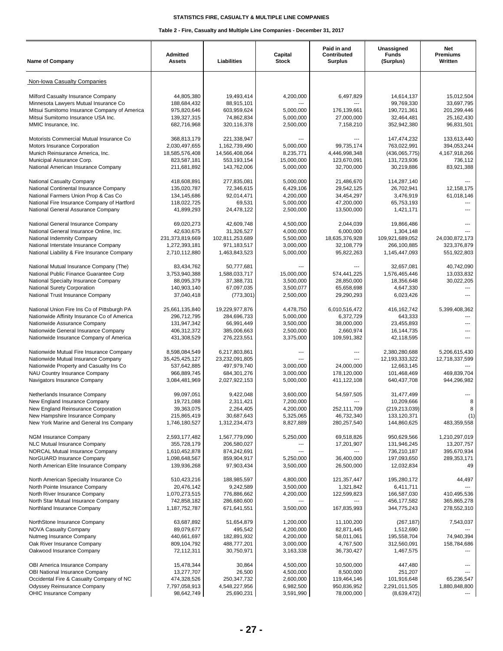| <b>Name of Company</b>                                                                                                                                                                                        | Admitted<br><b>Assets</b>                                                      | Liabilities                                                                    | Capital<br><b>Stock</b>                                       | Paid in and<br>Contributed<br><b>Surplus</b>                         | Unassigned<br><b>Funds</b><br>(Surplus)                                     | Net<br>Premiums<br>Written                                                                |
|---------------------------------------------------------------------------------------------------------------------------------------------------------------------------------------------------------------|--------------------------------------------------------------------------------|--------------------------------------------------------------------------------|---------------------------------------------------------------|----------------------------------------------------------------------|-----------------------------------------------------------------------------|-------------------------------------------------------------------------------------------|
| Non-Iowa Casualty Companies                                                                                                                                                                                   |                                                                                |                                                                                |                                                               |                                                                      |                                                                             |                                                                                           |
| Milford Casualty Insurance Company<br>Minnesota Lawyers Mutual Insurance Co<br>Mitsui Sumitomo Insurance Company of America<br>Mitsui Sumitomo Insurance USA Inc.<br>MMIC Insurance, Inc.                     | 44,805,380<br>188,684,432<br>975,820,646<br>139,327,315<br>682.716.968         | 19,493,414<br>88,915,101<br>603,959,624<br>74,862,834<br>320,116,378           | 4,200,000<br>5,000,000<br>5,000,000<br>2,500,000              | 6,497,829<br>---<br>176,139,661<br>27,000,000<br>7,158,210           | 14,614,137<br>99,769,330<br>190,721,361<br>32,464,481<br>352,942,380        | 15,012,504<br>33,697,795<br>201,299,446<br>25,162,430<br>96,831,501                       |
| Motorists Commercial Mutual Insurance Co<br>Motors Insurance Corporation<br>Munich Reinsurance America, Inc.<br>Municipal Assurance Corp.<br>National American Insurance Company                              | 368,813,179<br>2,030,497,655<br>18,585,576,408<br>823,587,181<br>211,681,892   | 221,338,947<br>1,162,739,490<br>14,566,408,064<br>553,193,154<br>143,762,006   | 5,000,000<br>8,235,771<br>15,000,000<br>5,000,000             | 99,735,174<br>4,446,998,348<br>123,670,091<br>32,700,000             | 147,474,232<br>763,022,991<br>(436,065,775)<br>131,723,936<br>30,219,886    | 133,613,440<br>394,053,244<br>4,167,918,266<br>736.112<br>83,921,388                      |
| National Casualty Company<br>National Continental Insurance Company<br>National Farmers Union Prop & Cas Co<br>National Fire Insurance Company of Hartford<br>National General Assurance Company              | 418,608,891<br>135,020,787<br>134,145,686<br>118,022,725<br>41,899,293         | 277,835,081<br>72,346,615<br>92,014,471<br>69,531<br>24,478,122                | 5,000,000<br>6,429,106<br>4,200,000<br>5,000,000<br>2,500,000 | 21,486,670<br>29,542,125<br>34,454,297<br>47,200,000<br>13,500,000   | 114,287,140<br>26,702,941<br>3,476,919<br>65,753,193<br>1,421,171           | 12,158,175<br>61,018,146<br>$\overline{a}$                                                |
| National General Insurance Company<br>National General Insurance Online, Inc.<br>National Indemnity Company<br>National Interstate Insurance Company<br>National Liability & Fire Insurance Company           | 69,020,273<br>42,630,675<br>231,373,819,669<br>1,272,393,181<br>2,710,112,880  | 42,609,748<br>31,326,527<br>102,811,253,689<br>971,183,517<br>1,463,843,523    | 4,500,000<br>4,000,000<br>5,500,000<br>3,000,000<br>5,000,000 | 2,044,039<br>6,000,000<br>18,635,376,928<br>32,108,779<br>95,822,263 | 19,866,486<br>1,304,148<br>109,921,689,052<br>266,100,885<br>1,145,447,093  | 24,030,872,173<br>323,376,879<br>551,922,803                                              |
| National Mutual Insurance Company (The)<br>National Public Finance Guarantee Corp<br>National Specialty Insurance Company<br>National Surety Corporation<br>National Trust Insurance Company                  | 83,434,762<br>3,753,940,388<br>88,095,379<br>140,903,140<br>37,040,418         | 50,777,681<br>1,588,033,717<br>37,388,731<br>67,097,035<br>(773, 301)          | 15,000,000<br>3,500,000<br>3,500,077<br>2,500,000             | 574,441,225<br>28,850,000<br>65,658,698<br>29,290,293                | 32,657,081<br>1,576,465,446<br>18,356,648<br>4,647,330<br>6,023,426         | 40,742,090<br>13,033,832<br>30,022,205                                                    |
| National Union Fire Ins Co of Pittsburgh PA<br>Nationwide Affinity Insurance Co of America<br>Nationwide Assurance Company<br>Nationwide General Insurance Company<br>Nationwide Insurance Company of America | 25,661,135,840<br>296,712,795<br>131,947,342<br>406,312,372<br>431,308,529     | 19,229,977,876<br>284,696,733<br>66,991,449<br>385,006,663<br>276,223,551      | 4,478,750<br>5,000,000<br>3,500,000<br>2,500,000<br>3,375,000 | 6,010,516,472<br>6,372,729<br>38,000,000<br>2,660,974<br>109,591,382 | 416, 162, 742<br>643,333<br>23,455,893<br>16,144,735<br>42,118,595          | 5,399,408,362<br>$---$<br>---<br>$\overline{a}$<br>$\overline{a}$                         |
| Nationwide Mutual Fire Insurance Company<br>Nationwide Mutual Insurance Company<br>Nationwide Property and Casualty Ins Co.<br>NAU Country Insurance Company<br>Navigators Insurance Company                  | 8,598,084,549<br>35,425,425,127<br>537,642,885<br>966,889,745<br>3,084,481,969 | 6,217,803,861<br>23.232.091.805<br>497,979,740<br>684,301,276<br>2,027,922,153 | $---$<br>---<br>3,000,000<br>3,000,000<br>5,000,000           | ---<br>---<br>24,000,000<br>178,120,000<br>411,122,108               | 2,380,280,688<br>12,193,333,322<br>12,663,145<br>101,468,469<br>640,437,708 | 5,206,615,430<br>12,718,337,599<br>$\overline{\phantom{a}}$<br>469,839,704<br>944,296,982 |
| Netherlands Insurance Company<br>New England Insurance Company<br>New England Reinsurance Corporation<br>New Hampshire Insurance Company<br>New York Marine and General Ins Company                           | 99.097.051<br>19,721,088<br>39,363,075<br>215,865,419<br>1,746,180,527         | 9,422,048<br>2,311,421<br>2,264,405<br>30,687,643<br>1,312,234,473             | 3,600,000<br>7,200,000<br>4,200,000<br>5,325,065<br>8,827,889 | 54,597,505<br>$---$<br>252,111,709<br>46,732,340<br>280,257,540      | 31,477,499<br>10,209,666<br>(219, 213, 039)<br>133,120,371<br>144,860,625   | 8<br>R<br>(1)<br>483,359,558                                                              |
| NGM Insurance Company<br>NLC Mutual Insurance Company<br><b>NORCAL Mutual Insurance Company</b><br>NorGUARD Insurance Company<br>North American Elite Insurance Company                                       | 2,593,177,482<br>355,728,179<br>1,610,452,878<br>1,098,648,567<br>139,936,268  | 1,567,779,090<br>206,580,027<br>874,242,691<br>859,904,917<br>97,903,434       | 5,250,000<br>5,250,000<br>3,500,000                           | 69,518,826<br>17,201,907<br>36,400,000<br>26,500,000                 | 950,629,566<br>131,946,245<br>736,210,187<br>197,093,650<br>12,032,834      | 1,210,297,019<br>13,207,757<br>395,670,934<br>289,353,171<br>49                           |
| North American Specialty Insurance Co<br>North Pointe Insurance Company<br>North River Insurance Company<br>North Star Mutual Insurance Company<br>Northland Insurance Company                                | 510,423,216<br>20,476,142<br>1,070,273,515<br>742,858,182<br>1,187,752,787     | 188,985,597<br>9,242,589<br>776,886,662<br>286,680,600<br>671,641,551          | 4,800,000<br>3,500,000<br>4,200,000<br>3,500,000              | 121,357,447<br>1,321,842<br>122,599,823<br>167,835,993               | 195,280,172<br>6,411,711<br>166,587,030<br>456, 177, 582<br>344,775,243     | 44,497<br>410,495,536<br>365,865,278<br>278,552,310                                       |
| NorthStone Insurance Company<br><b>NOVA Casualty Company</b><br>Nutmeg Insurance Company<br>Oak River Insurance Company<br>Oakwood Insurance Company                                                          | 63,687,892<br>89,079,677<br>440,661,697<br>809,104,792<br>72,112,311           | 51,654,879<br>495,542<br>182,891,932<br>488,777,201<br>30,750,971              | 1,200,000<br>4,200,000<br>4,200,000<br>3,000,000<br>3,163,338 | 11,100,200<br>82,871,445<br>58,011,061<br>4,767,500<br>36,730,427    | (267, 187)<br>1,512,690<br>195,558,704<br>312,560,091<br>1,467,575          | 7,543,037<br>74,940,394<br>158,784,686                                                    |
| OBI America Insurance Company<br>OBI National Insurance Company<br>Occidental Fire & Casualty Company of NC<br><b>Odyssey Reinsurance Company</b><br>OHIC Insurance Company                                   | 15,478,344<br>13,277,707<br>474,328,526<br>7,797,058,913<br>98,642,749         | 30,864<br>26,500<br>250, 347, 732<br>4,548,227,956<br>25,690,231               | 4,500,000<br>4,500,000<br>2,600,000<br>6,982,500<br>3,591,990 | 10,500,000<br>8,500,000<br>119,464,146<br>950,836,952<br>78,000,000  | 447,480<br>251,207<br>101,916,648<br>2,291,011,505<br>(8,639,472)           | 65,236,547<br>1,880,848,800                                                               |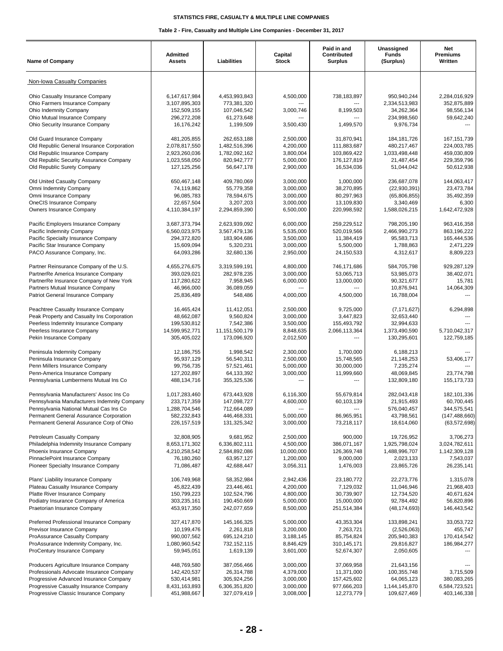| <b>Name of Company</b>                                                              | <b>Admitted</b><br><b>Assets</b> | Liabilities                      | Capital<br><b>Stock</b> | Paid in and<br>Contributed<br><b>Surplus</b> | Unassigned<br><b>Funds</b><br>(Surplus) | Net<br><b>Premiums</b><br>Written |
|-------------------------------------------------------------------------------------|----------------------------------|----------------------------------|-------------------------|----------------------------------------------|-----------------------------------------|-----------------------------------|
| Non-Iowa Casualty Companies                                                         |                                  |                                  |                         |                                              |                                         |                                   |
| Ohio Casualty Insurance Company<br>Ohio Farmers Insurance Company                   | 6,147,617,984<br>3,107,895,303   | 4,453,993,843<br>773,381,320     | 4,500,000               | 738,183,897                                  | 950,940,244<br>2,334,513,983            | 2,284,016,929<br>352,875,889      |
| Ohio Indemnity Company                                                              | 152,509,155                      | 107,046,542                      | 3,000,746               | 8,199,503                                    | 34,262,364                              | 98,556,134                        |
| Ohio Mutual Insurance Company                                                       | 296,272,208                      | 61,273,648                       |                         |                                              | 234,998,560                             | 59,642,240                        |
| Ohio Security Insurance Company                                                     | 16,176,242                       | 1,199,509                        | 3,500,430               | 1,499,570                                    | 9,976,734                               |                                   |
| Old Guard Insurance Company                                                         | 481,205,855                      | 262,653,188                      | 2.500.000               | 31,870,941                                   | 184, 181, 726                           | 167, 151, 739                     |
| Old Republic General Insurance Corporation<br>Old Republic Insurance Company        | 2,078,817,550<br>2,923,260,036   | 1,482,516,396<br>1,782,092,162   | 4,200,000<br>3,800,004  | 111,883,687<br>103,869,422                   | 480,217,467<br>1,033,498,448            | 224,003,785<br>459,030,809        |
| Old Republic Security Assurance Company                                             | 1,023,558,050                    | 820,942,777                      | 5,000,000               | 176,127,819                                  | 21,487,454                              | 229,359,796                       |
| Old Republic Surety Company                                                         | 127, 125, 256                    | 56,647,178                       | 2,900,000               | 16,534,036                                   | 51,044,042                              | 50,612,938                        |
| Old United Casualty Company                                                         | 650,467,148                      | 409,780,069                      | 3,000,000               | 1,000,000                                    | 236,687,078                             | 144,063,417                       |
| Omni Indemnity Company                                                              | 74,119,862                       | 55,779,358                       | 3,000,000               | 38,270,895                                   | (22, 930, 391)                          | 23,473,784                        |
| Omni Insurance Company<br><b>OneCIS Insurance Company</b>                           | 96,085,783<br>22,657,504         | 78,594,675                       | 3,000,000               | 80,297,963                                   | (65,806,855)                            | 35,492,359                        |
| Owners Insurance Company                                                            | 4,110,384,197                    | 3,207,203<br>2,294,859,390       | 3,000,000<br>6,500,000  | 13,109,830<br>220,998,592                    | 3,340,469<br>1,588,026,215              | 6,300<br>1,642,472,928            |
| Pacific Employers Insurance Company                                                 | 3,687,373,794                    | 2,623,939,092                    | 6,000,000               | 259,229,512                                  | 798,205,190                             | 963,416,358                       |
| Pacific Indemnity Company                                                           | 6,560,023,975                    | 3.567.479.136                    | 5,535,000               | 520,019,566                                  | 2,466,990,273                           | 863,196,222                       |
| Pacific Specialty Insurance Company                                                 | 294,372,820                      | 183,904,686                      | 3,500,000               | 11,384,419                                   | 95,583,713                              | 165,444,536                       |
| Pacific Star Insurance Company                                                      | 15,609,094                       | 5,320,231                        | 3,000,000               | 5,500,000                                    | 1,788,863                               | 2,471,229                         |
| PACO Assurance Company, Inc.                                                        | 64,093,286                       | 32,680,136                       | 2,950,000               | 24,150,533                                   | 4,312,617                               | 8,809,223                         |
| Partner Reinsurance Company of the U.S.                                             | 4,655,276,675                    | 3,319,599,191                    | 4,800,000               | 746,171,686                                  | 584,705,798                             | 929,287,129                       |
| PartnerRe America Insurance Company                                                 | 393,029,021                      | 282,978,235                      | 3,000,000               | 53,065,713                                   | 53,985,073                              | 38,402,071                        |
| PartnerRe Insurance Company of New York                                             | 117,280,622<br>46,966,000        | 7,958,945<br>36,089,059          | 6,000,000<br>---        | 13,000,000<br>---                            | 90,321,677                              | 15,781                            |
| Partners Mutual Insurance Company<br>Patriot General Insurance Company              | 25,836,489                       | 548,486                          | 4,000,000               | 4,500,000                                    | 10,876,941<br>16,788,004                | 14,064,309                        |
| Peachtree Casualty Insurance Company                                                | 16,465,424                       | 11,412,051                       | 2,500,000               | 9,725,000                                    | (7, 171, 627)                           | 6,294,898                         |
| Peak Property and Casualty Ins Corporation                                          | 48,662,087                       | 9,560,824                        | 3,000,000               | 3,447,823                                    | 32,653,440                              |                                   |
| Peerless Indemnity Insurance Company                                                | 199,530,812                      | 7,542,386                        | 3,500,000               | 155,493,792                                  | 32,994,633                              |                                   |
| Peerless Insurance Company<br>Pekin Insurance Company                               | 14,599,952,771<br>305,405,022    | 11, 151, 500, 179<br>173,096,920 | 8,848,635<br>2,012,500  | 2,066,113,364<br>---                         | 1,373,490,590<br>130,295,601            | 5,710,042,317<br>122,759,185      |
| Peninsula Indemnity Company                                                         | 12,186,755                       | 1,998,542                        | 2,300,000               | 1,700,000                                    | 6,188,213                               |                                   |
| Peninsula Insurance Company                                                         | 95,937,129                       | 56,540,311                       | 2,500,000               | 15,748,565                                   | 21,148,253                              | 53,406,177                        |
| Penn Millers Insurance Company                                                      | 99.756.735                       | 57,521,461                       | 5,000,000               | 30,000,000                                   | 7,235,274                               |                                   |
| Penn-America Insurance Company                                                      | 127,202,897                      | 64,133,392                       | 3,000,000               | 11,999,660                                   | 48,069,845                              | 23.774.798                        |
| Pennsylvania Lumbermens Mutual Ins Co                                               | 488,134,716                      | 355,325,536                      |                         |                                              | 132,809,180                             | 155, 173, 733                     |
| Pennsylvania Manufacturers' Assoc Ins Co                                            | 1,017,283,460                    | 673,443,928                      | 6,116,300               | 55,679,814                                   | 282,043,418                             | 182,101,336                       |
| Pennsylvania Manufacturers Indemnity Company                                        | 233,717,359                      | 147.098.727                      | 4,600,000               | 60,103,139                                   | 21,915,493                              | 60,700,445                        |
| Pennsylvania National Mutual Cas Ins Co                                             | 1,288,704,546                    | 712,664,089                      |                         | ---                                          | 576,040,457                             | 344,575,541                       |
| Permanent General Assurance Corporation<br>Permanent General Assurance Corp of Ohio | 582,232,843<br>226, 157, 519     | 446,468,331<br>131,325,342       | 5,000,000<br>3,000,000  | 86,965,951<br>73,218,117                     | 43,798,561<br>18,614,060                | (147, 488, 660)<br>(63, 572, 698) |
| Petroleum Casualty Company                                                          | 32,808,905                       | 9,681,952                        | 2,500,000               | 900,000                                      | 19,726,952                              | 3,706,273                         |
| Philadelphia Indemnity Insurance Company                                            | 8,653,171,302                    | 6,336,802,111                    | 4,500,000               | 386,071,167                                  | 1,925,798,024                           | 3,024,782,611                     |
| Phoenix Insurance Company                                                           | 4,210,258,542                    | 2,584,892,086                    | 10,000,000              | 126,369,748                                  | 1,488,996,707                           | 1,142,309,128                     |
| PinnaclePoint Insurance Company<br>Pioneer Specialty Insurance Company              | 76,180,260<br>71,086,487         | 63,957,127<br>42,688,447         | 1,200,000<br>3,056,311  | 9,000,000<br>1,476,003                       | 2,023,133<br>23,865,726                 | 7,543,037<br>26,235,141           |
| Plans' Liability Insurance Company                                                  | 106,749,968                      | 58,352,984                       | 2,942,436               | 23,180,772                                   | 22,273,776                              | 1,315,078                         |
| Plateau Casualty Insurance Company                                                  | 45,822,439                       | 23,446,461                       | 4,200,000               | 7,129,032                                    | 11,046,946                              | 21,968,403                        |
| Platte River Insurance Company                                                      | 150,799,223                      | 102,524,796                      | 4,800,000               | 30,739,907                                   | 12,734,520                              | 40,671,624                        |
| Podiatry Insurance Company of America                                               | 303,235,161                      | 190,450,669                      | 5,000,000               | 15,000,000                                   | 92,784,492                              | 56,820,896                        |
| Praetorian Insurance Company                                                        | 453,917,350                      | 242,077,659                      | 8,500,000               | 251,514,384                                  | (48, 174, 693)                          | 146,443,542                       |
| Preferred Professional Insurance Company                                            | 327,417,870                      | 145, 166, 325                    | 5,000,000               | 43,353,304                                   | 133,898,241                             | 33,053,722                        |
| Previsor Insurance Company                                                          | 10,199,476                       | 2,261,818                        | 3,200,000               | 7,263,721                                    | (2,526,063)                             | 455,747                           |
| ProAssurance Casualty Company<br>ProAssurance Indemnity Company, Inc.               | 990,007,562<br>1,080,960,542     | 695,124,210<br>732,152,115       | 3,188,145<br>8,846,429  | 85,754,824<br>310, 145, 171                  | 205,940,383<br>29,816,827               | 170,414,542<br>186,984,277        |
| ProCentury Insurance Company                                                        | 59,945,051                       | 1,619,139                        | 3,601,000               | 52,674,307                                   | 2,050,605                               |                                   |
| Producers Agriculture Insurance Company                                             | 448,769,580                      | 387,056,466                      | 3,000,000               | 37,069,958                                   | 21,643,156                              |                                   |
| Professionals Advocate Insurance Company                                            | 142,420,537                      | 26,314,788                       | 4,379,000               | 11,371,000                                   | 100,355,748                             | 3,715,509                         |
| Progressive Advanced Insurance Company                                              | 530,414,981                      | 305,924,256                      | 3,000,000               | 157,425,602                                  | 64,065,123                              | 380,083,265                       |
| Progressive Casualty Insurance Company                                              | 8,431,163,893                    | 6,306,351,820                    | 3,000,000               | 977,666,203                                  | 1,144,145,870                           | 6,584,723,521                     |
| Progressive Classic Insurance Company                                               | 451,988,667                      | 327,079,419                      | 3,008,000               | 12,273,779                                   | 109,627,469                             | 403,146,338                       |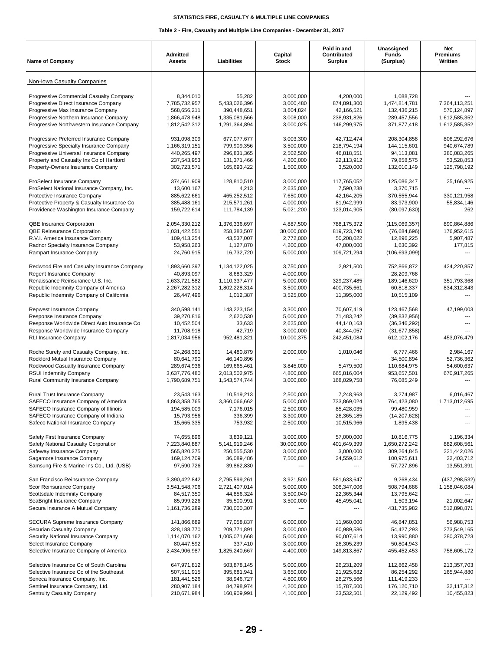| <b>Name of Company</b>                                                  | Admitted<br><b>Assets</b>      | Liabilities                    | Capital<br>Stock        | Paid in and<br>Contributed<br><b>Surplus</b> | Unassigned<br><b>Funds</b><br>(Surplus) | Net<br><b>Premiums</b><br>Written |
|-------------------------------------------------------------------------|--------------------------------|--------------------------------|-------------------------|----------------------------------------------|-----------------------------------------|-----------------------------------|
| Non-Iowa Casualty Companies                                             |                                |                                |                         |                                              |                                         |                                   |
| Progressive Commercial Casualty Company                                 | 8,344,010                      | 55,282                         | 3,000,000               | 4.200.000                                    | 1,088,728                               |                                   |
| Progressive Direct Insurance Company                                    | 7,785,732,957                  | 5,433,026,396                  | 3,000,480               | 874,891,300                                  | 1,474,814,781                           | 7,364,113,251                     |
| Progressive Max Insurance Company                                       | 568,656,211                    | 390,448,651                    | 3,604,824               | 42,166,521                                   | 132,436,215                             | 570,124,897                       |
| Progressive Northern Insurance Company                                  | 1,866,478,948                  | 1,335,081,566                  | 3,008,000               | 238,931,826                                  | 289,457,556                             | 1,612,585,352                     |
| Progressive Northwestern Insurance Company                              | 1,812,542,312                  | 1,291,364,894                  | 3,000,025               | 146,299,975                                  | 371,877,418                             | 1,612,585,352                     |
| Progressive Preferred Insurance Company                                 | 931,098,309                    | 677,077,677                    | 3,003,300               | 42,712,474                                   | 208,304,858                             | 806,292,676                       |
| Progressive Specialty Insurance Company                                 | 1,166,319,151                  | 799,909,356                    | 3,500,000               | 218,794,194                                  | 144,115,601                             | 940,674,789                       |
| Progressive Universal Insurance Company                                 | 440,265,497                    | 296,831,365                    | 2,502,500               | 46.818.551                                   | 94,113,081                              | 380,083,265                       |
| Property and Casualty Ins Co of Hartford                                | 237,543,953                    | 131,371,466                    | 4,200,000               | 22,113,912                                   | 79,858,575                              | 53,528,853                        |
| Property-Owners Insurance Company                                       | 302,723,571                    | 165,693,422                    | 1,500,000               | 3,520,000                                    | 132,010,149                             | 125,798,192                       |
| ProSelect Insurance Company                                             | 374,661,909                    | 128,810,510                    | 3,000,000               | 117,765,052                                  | 125,086,347                             | 25,166,925                        |
| ProSelect National Insurance Company, Inc.                              | 13,600,167                     | 4,213                          | 2,635,000               | 7,590,238                                    | 3,370,715                               | $---$                             |
| Protective Insurance Company                                            | 885,622,661                    | 465,252,512                    | 7,650,000               | 42,164,205                                   | 370,555,944                             | 330,121,958                       |
| Protective Property & Casualty Insurance Co                             | 385,488,161                    | 215,571,261                    | 4,000,000               | 81,942,999                                   | 83,973,900                              | 55,834,146                        |
| Providence Washington Insurance Company                                 | 159,722,614                    | 111,784,139                    | 5,021,200               | 123,014,905                                  | (80,097,630)                            | 262                               |
| QBE Insurance Corporation                                               | 2,054,330,212                  | 1,376,336,697                  | 4,887,500               | 788,175,372                                  | (115,069,357)                           | 890,864,886                       |
| <b>QBE Reinsurance Corporation</b>                                      | 1,031,422,551                  | 258,383,507                    | 30,000,000              | 819,723,740                                  | (76,684,696)                            | 176,952,615                       |
| R.V.I. America Insurance Company                                        | 109,413,254                    | 43,537,007                     | 2,772,000               | 50,208,022                                   | 12,896,225                              | 5,907,487                         |
| Radnor Specialty Insurance Company                                      | 53,958,263                     | 1,127,870                      | 4,200,000               | 47,000,000                                   | 1,630,392                               | 177,815                           |
| Rampart Insurance Company                                               | 24,760,915                     | 16,732,720                     | 5,000,000               | 109,721,294                                  | (106, 693, 099)                         |                                   |
| Redwood Fire and Casualty Insurance Company                             | 1,893,660,397                  | 1,134,122,025                  | 3,750,000               | 2,921,500                                    | 752,866,872                             | 424,220,857                       |
| Regent Insurance Company                                                | 40.893.097                     | 8,683,329                      | 4,000,000               |                                              | 28,209,768                              |                                   |
| Renaissance Reinsurance U.S. Inc.                                       | 1,633,721,582                  | 1,110,337,477                  | 5,000,000               | 329,237,485                                  | 189,146,620                             | 351,793,368                       |
| Republic Indemnity Company of America                                   | 2,267,282,312                  | 1,802,228,314                  | 3,500,000               | 400,735,661                                  | 60,818,337                              | 834,312,843                       |
| Republic Indemnity Company of California                                | 26,447,496                     | 1,012,387                      | 3,525,000               | 11,395,000                                   | 10,515,109                              |                                   |
| Repwest Insurance Company                                               | 340,598,141                    | 143,223,154                    | 3,300,000               | 70,607,419                                   | 123,467,568                             | 47,199,003                        |
| Response Insurance Company                                              | 39,270,816                     | 2,620,530                      | 5,000,000               | 71,483,242                                   | (39, 832, 956)                          |                                   |
| Response Worldwide Direct Auto Insurance Co                             | 10,452,504                     | 33,633                         | 2,625,000               | 44,140,163                                   | (36, 346, 292)                          |                                   |
| Response Worldwide Insurance Company<br><b>RLI Insurance Company</b>    | 11,708,918<br>1,817,034,956    | 42,719<br>952,481,321          | 3,000,000<br>10,000,375 | 40,344,057<br>242,451,084                    | (31, 677, 858)<br>612,102,176           | 453,076,479                       |
|                                                                         |                                |                                |                         |                                              |                                         |                                   |
| Roche Surety and Casualty Company, Inc.                                 | 24,268,391                     | 14,480,879                     | 2,000,000               | 1,010,046                                    | 6,777,466                               | 2,984,167                         |
| Rockford Mutual Insurance Company                                       | 80,641,790                     | 46,140,896                     | ---                     |                                              | 34,500,894                              | 52,736,362                        |
| Rockwood Casualty Insurance Company                                     | 289,674,936                    | 169,665,461                    | 3.845.000<br>4,800,000  | 5,479,500                                    | 110,684,975                             | 54,600,637<br>670,917,265         |
| <b>RSUI Indemnity Company</b><br>Rural Community Insurance Company      | 3,637,776,480<br>1,790,689,751 | 2,013,502,975<br>1,543,574,744 | 3,000,000               | 665,816,004<br>168,029,758                   | 953,657,501<br>76,085,249               |                                   |
|                                                                         |                                |                                |                         |                                              |                                         |                                   |
| Rural Trust Insurance Company                                           | 23,543,163                     | 10,519,213                     | 2,500,000               | 7.248.963                                    | 3,274,987                               | 6,016,467                         |
| SAFECO Insurance Company of America                                     | 4,863,358,765                  | 3,360,066,662                  | 5,000,000               | 733,869,024                                  | 764,423,080                             | 1,713,012,695                     |
| SAFECO Insurance Company of Illinois                                    | 194,585,009                    | 7,176,015                      | 2,500,000               | 85,428,035                                   | 99,480,959                              |                                   |
| SAFECO Insurance Company of Indiana                                     | 15,793,956<br>15,665,335       | 336,399<br>753,932             | 3,300,000<br>2,500,000  | 26,365,185                                   | (14, 207, 628)<br>1,895,438             |                                   |
| Safeco National Insurance Company                                       |                                |                                |                         | 10,515,966                                   |                                         |                                   |
| Safety First Insurance Company                                          | 74,655,896                     | 3,839,121                      | 3,000,000               | 57,000,000                                   | 10,816,775                              | 1,196,334                         |
| Safety National Casualty Corporation                                    | 7,223,840,887                  | 5,141,919,246                  | 30,000,000              | 401,649,399                                  | 1,650,272,242                           | 882,608,561                       |
| Safeway Insurance Company                                               | 565,820,375                    | 250,555,530                    | 3,000,000               | 3,000,000                                    | 309,264,845                             | 221,442,026                       |
| Sagamore Insurance Company<br>Samsung Fire & Marine Ins Co., Ltd. (USB) | 169, 124, 709<br>97,590,726    | 36,089,486<br>39,862,830       | 7,500,000               | 24,559,612                                   | 100,975,611<br>57,727,896               | 22,403,712<br>13,551,391          |
|                                                                         |                                |                                |                         |                                              |                                         |                                   |
| San Francisco Reinsurance Company                                       | 3,390,422,842                  | 2,795,599,261                  | 3,921,500               | 581,633,647                                  | 9,268,434                               | (437, 298, 532)                   |
| Scor Reinsurance Company                                                | 3,541,548,706                  | 2,721,407,014                  | 5,000,000               | 306,347,006                                  | 508,794,686                             | 1,158,046,084                     |
| Scottsdale Indemnity Company<br>SeaBright Insurance Company             | 84,517,350<br>85,999,226       | 44,856,324<br>35,500,991       | 3,500,040<br>3,500,000  | 22,365,344<br>45,495,041                     | 13,795,642<br>1,503,194                 | 21,002,647                        |
| Secura Insurance A Mutual Company                                       | 1,161,736,289                  | 730,000,307                    |                         |                                              | 431,735,982                             | 512,898,871                       |
|                                                                         |                                |                                |                         |                                              |                                         |                                   |
| SECURA Supreme Insurance Company<br>Securian Casualty Company           | 141,866,689<br>328,188,770     | 77,058,837<br>209,771,891      | 6,000,000<br>3,000,000  | 11,960,000<br>60,989,586                     | 46,847,851<br>54,427,293                | 56,988,753<br>273,549,165         |
| Security National Insurance Company                                     | 1,114,070,162                  | 1,005,071,668                  | 5,000,000               | 90,007,614                                   | 13,990,880                              | 280,378,723                       |
| Select Insurance Company                                                | 80,447,592                     | 337,410                        | 3,000,000               | 26,305,239                                   | 50,804,943                              |                                   |
| Selective Insurance Company of America                                  | 2,434,906,987                  | 1,825,240,667                  | 4,400,000               | 149,813,867                                  | 455,452,453                             | 758,605,172                       |
| Selective Insurance Co of South Carolina                                | 647,971,812                    | 503,878,145                    | 5,000,000               | 26,231,209                                   | 112,862,458                             | 213,357,703                       |
| Selective Insurance Co of the Southeast                                 | 507,511,915                    | 395,681,941                    | 3,650,000               | 21,925,682                                   | 86,254,292                              | 165,944,880                       |
| Seneca Insurance Company, Inc.                                          | 181,441,526                    | 38,946,727                     | 4,800,000               | 26,275,566                                   | 111,419,233                             |                                   |
| Sentinel Insurance Company, Ltd.                                        | 280,907,184                    | 84,798,974                     | 4,200,000               | 15,787,500                                   | 176,120,710                             | 32,117,312                        |
| Sentruity Casualty Company                                              | 210,671,984                    | 160,909,991                    | 4,100,000               | 23,532,501                                   | 22,129,492                              | 10,455,823                        |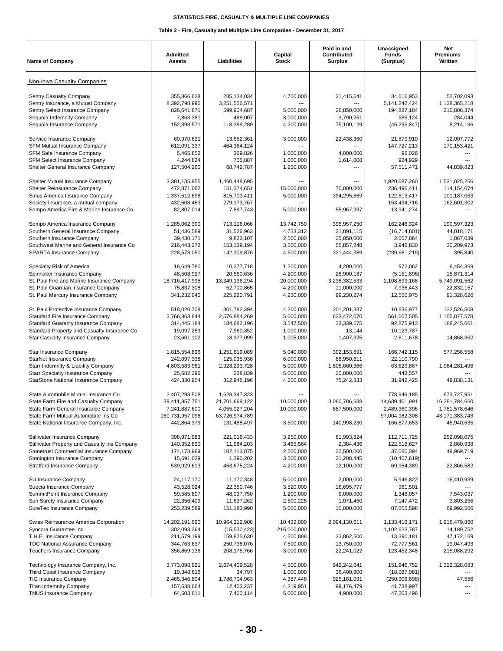| <b>Name of Company</b>                                                                                                                                                                                | <b>Admitted</b><br><b>Assets</b>                                                   | Liabilities                                                                       | Capital<br><b>Stock</b>                                          | Paid in and<br>Contributed<br><b>Surplus</b>                              | Unassigned<br><b>Funds</b><br>(Surplus)                                         | <b>Net</b><br>Premiums<br>Written                                              |
|-------------------------------------------------------------------------------------------------------------------------------------------------------------------------------------------------------|------------------------------------------------------------------------------------|-----------------------------------------------------------------------------------|------------------------------------------------------------------|---------------------------------------------------------------------------|---------------------------------------------------------------------------------|--------------------------------------------------------------------------------|
| Non-Iowa Casualty Companies                                                                                                                                                                           |                                                                                    |                                                                                   |                                                                  |                                                                           |                                                                                 |                                                                                |
| Sentry Casualty Company<br>Sentry Insurance, a Mutual Company<br>Sentry Select Insurance Company<br>Sequoia Indemnity Company<br>Sequoia Insurance Company                                            | 355,866,628<br>8,392,798,995<br>826,641,871<br>7,863,381<br>152,393,571            | 285.134.034<br>3,251,556,571<br>599,904,687<br>488,007<br>118,389,289             | 4,700,000<br>5,000,000<br>3,000,000<br>4,200,000                 | 31,415,641<br>26,850,000<br>3,790,251<br>75,100,129                       | 34,616,953<br>5, 141, 242, 424<br>194,887,184<br>585,124<br>(45, 295, 847)      | 52.702.093<br>1,138,365,218<br>210,808,374<br>284,044<br>8,214,136             |
|                                                                                                                                                                                                       |                                                                                    |                                                                                   |                                                                  |                                                                           |                                                                                 |                                                                                |
| Service Insurance Company<br><b>SFM Mutual Insurance Company</b><br>SFM Safe Insurance Company<br>SFM Select Insurance Company                                                                        | 60,970,631<br>612,091,337<br>5,465,852<br>4,244,824                                | 13,652,361<br>464,364,124<br>369,826<br>705,887                                   | 3,000,000<br>1,000,000<br>1,000,000                              | 22,438,360<br>4.000.000<br>1,614,008                                      | 21.879.910<br>147,727,213<br>96,026<br>924,929                                  | 12,007,772<br>170,153,421                                                      |
| Shelter General Insurance Company                                                                                                                                                                     | 127,504,260                                                                        | 68,742,787                                                                        | 1,250,000                                                        |                                                                           | 57,511,471                                                                      | 44,839,823                                                                     |
| Shelter Mutual Insurance Company<br>Shelter Reinsurance Company<br>Sirius America Insurance Company<br>Society Insurance, a mutual company                                                            | 3,381,135,955<br>472,871,062<br>1,337,512,698<br>432,608,483                       | 1,460,448,695<br>151,374,651<br>815,703,411<br>279,173,767                        | ---<br>15,000,000<br>5,000,000                                   | 70,000,000<br>394,295,869                                                 | 1,920,687,260<br>236,496,411<br>122,513,417<br>153,434,716                      | 1,531,025,256<br>114,154,074<br>101,187,063<br>162,601,302                     |
| Sompo America Fire & Marine Insurance Co                                                                                                                                                              | 82,807,014                                                                         | 7,897,743                                                                         | 5,000,000                                                        | 55,967,997                                                                | 13,941,274                                                                      |                                                                                |
| Sompo America Insurance Company<br>Southern General Insurance Company<br>Southern Insurance Company<br>Southwest Marine and General Insurance Co                                                      | 1,285,062,390<br>51,436,589<br>39,430,171<br>216,443,272                           | 713,116,066<br>31,526,963<br>9,823,107<br>153,139,194                             | 13.742.750<br>4,733,312<br>2,500,000<br>3,500,000                | 395.957.250<br>31,891,115<br>25,050,000<br>55.857.248                     | 162,246,324<br>(16, 714, 801)<br>2,057,064<br>3,946,830                         | 190,597,323<br>44,018,171<br>1,067,039<br>30,209,973                           |
| <b>SPARTA Insurance Company</b>                                                                                                                                                                       | 228,573,050                                                                        | 142,309,876                                                                       | 4.500.000                                                        | 321,444,389                                                               | (239, 681, 215)                                                                 | 395,840                                                                        |
| Specialty Risk of America<br>Spinnaker Insurance Company<br>St. Paul Fire and Marine Insurance Company<br>St. Paul Guardian Insurance Company                                                         | 16,649,780<br>48,508,927<br>18,716,417,995<br>75,837,308                           | 10,277,718<br>20,560,636<br>13,349,136,294<br>52,700,865                          | 1,200,000<br>4,200,000<br>20,000,000<br>4,200,000                | 4,200,000<br>28,900,187<br>3,238,382,533<br>11,000,000                    | 972,062<br>(5, 151, 896)<br>2,108,899,168<br>7,936,443                          | 6,454,369<br>15,871,314<br>5,749,091,562<br>22,832,157                         |
| St. Paul Mercury Insurance Company                                                                                                                                                                    | 341,232,040                                                                        | 225,220,791                                                                       | 4,230,000                                                        | 99,230,274                                                                | 12,550,975                                                                      | 91,328,626                                                                     |
| St. Paul Protective Insurance Company<br>Standard Fire Insurance Company<br><b>Standard Guaranty Insurance Company</b>                                                                                | 518,020,708<br>3,766,363,844<br>314,445,184                                        | 301,782,394<br>2,576,884,269<br>184,682,196                                       | 4,200,000<br>5,000,000<br>3,547,500                              | 201,201,337<br>623,472,070<br>33,339,575                                  | 10,836,977<br>561,007,505<br>92,875,913                                         | 132,526,508<br>1,105,077,578<br>188,245,661                                    |
| Standard Property and Casualty Insurance Co<br>Star Casualty Insurance Company                                                                                                                        | 19,097,283<br>23,601,102                                                           | 7,960,352<br>18,377,099                                                           | 1,000,000<br>1,005,000                                           | 13,144<br>1,407,325                                                       | 10,123,787<br>2,811,678                                                         | 14,868,362                                                                     |
| Star Insurance Company<br>StarNet Insurance Company<br>Starr Indemnity & Liability Company<br><b>Starr Specialty Insurance Company</b><br>StarStone National Insurance Company                        | 1,815,554,896<br>242,097,338<br>4,803,583,961<br>25,682,396<br>424,330,954         | 1,251,619,089<br>125,035,938<br>2,928,293,728<br>238.839<br>312,946,196           | 5,040,000<br>6,000,000<br>5,000,000<br>5,000,000<br>4,200,000    | 392,153,691<br>88,950,611<br>1,806,660,366<br>20,000,000<br>75,242,333    | 166,742,115<br>22,110,790<br>63,629,867<br>443,557<br>31,942,425                | 577,256,558<br>1,084,281,496<br>49,838,131                                     |
| State Automobile Mutual Insurance Co<br>State Farm Fire and Casualty Company<br>State Farm General Insurance Company<br>State Farm Mutual Automobile Ins Co<br>State National Insurance Company, Inc. | 2,407,293,508<br>39,411,857,751<br>7,241,887,600<br>160,731,957,096<br>442,864,379 | 1,628,347,323<br>21,701,669,122<br>4,055,027,204<br>63,726,974,789<br>131,488,497 | 10,000,000<br>10,000,000<br>3,500,000                            | 3,060,786,638<br>687,500,000<br>140,998,230                               | 778,946,185<br>14,639,401,991<br>2,489,360,396<br>97,004,982,308<br>166,877,653 | 673,727,951<br>16,281,784,660<br>1,781,578,646<br>43,171,383,743<br>45,940,635 |
| Stillwater Insurance Company<br>Stillwater Property and Casualty Ins Company<br>Stonetrust Commercial Insurance Company                                                                               | 398,971,983<br>140,352,830<br>174,173,969                                          | 221,016,433<br>11,984,203<br>102,113,875                                          | 3,250,000<br>3,465,564<br>2,500,000                              | 61,993,824<br>2,384,436<br>32,500,000                                     | 112,711,725<br>122,518,627<br>37,060,094                                        | 252,098,075<br>2,860,938<br>49,969,719                                         |
| Stonington Insurance Company<br>Stratford Insurance Company                                                                                                                                           | 15,691,029<br>539,929,613                                                          | 1,390,202<br>453,675,224                                                          | 3,500,000<br>4,200,000                                           | 21,208,445<br>12,100,000                                                  | (10, 407, 619)<br>69,954,389                                                    | 22,866,582                                                                     |
| SU Insurance Company<br>Suecia Insurance Company<br>SummitPoint Insurance Company                                                                                                                     | 24,117,170<br>43,528,024<br>59,585,807                                             | 11,170,348<br>22,350,746<br>48,037,750<br>11,637,262                              | 5,000,000<br>3,520,000<br>1,200,000                              | 2,000,000<br>16,695,777<br>9,000,000<br>1,071,450                         | 5,946,822<br>961,501<br>1,348,057<br>7,147,472                                  | 16,410,939<br>7,543,037                                                        |
| Sun Surety Insurance Company<br>SureTec Insurance Company                                                                                                                                             | 22,356,409<br>253,239,589                                                          | 151,183,990                                                                       | 2,500,225<br>5,000,000                                           | 10,000,000                                                                | 87,055,598                                                                      | 3,803,256<br>69,992,506                                                        |
| Swiss Reinsurance America Corporation<br>Syncora Guarantee Inc.<br>T.H.E. Insurance Company<br><b>TDC National Assurance Company</b><br><b>Teachers Insurance Company</b>                             | 14,202,191,690<br>1,302,093,364<br>211,579,199<br>344,763,637<br>356,869,136       | 10,964,212,908<br>(15, 530, 423)<br>159,825,630<br>250,736,076<br>208, 175, 766   | 10,432,000<br>215,000,000<br>4,500,888<br>7,500,000<br>3,000,000 | 2,094,130,611<br>$\overline{a}$<br>33,862,500<br>13,750,000<br>22,241,022 | 1,133,416,171<br>1,102,623,787<br>13,390,181<br>72,777,561<br>123,452,348       | 1,916,479,860<br>14,189,752<br>47,172,169<br>19,047,493<br>215,088,292         |
| Technology Insurance Company, Inc.<br>Third Coast Insurance Company<br><b>TIG Insurance Company</b><br><b>Titan Indemnity Company</b><br><b>TNUS Insurance Company</b>                                | 3,773,098,921<br>19,348,616<br>2,465,346,804<br>157,638,664<br>64,503,611          | 2,674,409,528<br>34,797<br>1,786,704,963<br>12,403,237<br>7,400,114               | 4,500,000<br>1,000,000<br>4,387,448<br>4,319,951<br>5,000,000    | 942,242,641<br>36,400,900<br>925,161,091<br>99,176,479<br>4,900,000       | 151,946,752<br>(18,087,081)<br>(250, 906, 698)<br>41,738,997<br>47,203,496      | 1,322,328,083<br>47,556                                                        |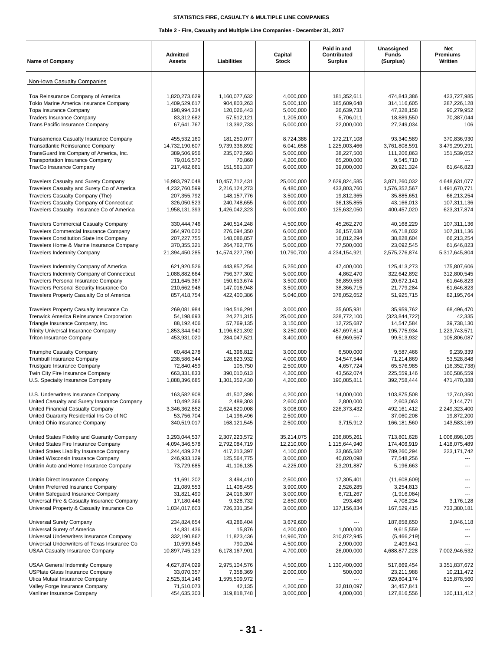| <b>Name of Company</b>                                                        | Admitted<br><b>Assets</b>    | Liabilities                  | Capital<br><b>Stock</b> | Paid in and<br>Contributed<br>Surplus | Unassigned<br><b>Funds</b><br>(Surplus) | Net<br>Premiums<br>Written   |
|-------------------------------------------------------------------------------|------------------------------|------------------------------|-------------------------|---------------------------------------|-----------------------------------------|------------------------------|
| Non-Iowa Casualty Companies                                                   |                              |                              |                         |                                       |                                         |                              |
| Toa Reinsurance Company of America                                            | 1,820,273,629                | 1,160,077,632                | 4,000,000               | 181,352,611                           | 474,843,386                             | 423,727,985                  |
| Tokio Marine America Insurance Company                                        | 1,409,529,617                | 904,803,263                  | 5,000,100               | 185,609,648                           | 314,116,605                             | 287,226,128                  |
| Topa Insurance Company                                                        | 198,994,334                  | 120,026,443                  | 5,000,000               | 26,639,733                            | 47,328,158                              | 90,279,952                   |
| <b>Traders Insurance Company</b>                                              | 83,312,682                   | 57,512,121                   | 1,205,000               | 5,706,011                             | 18,889,550                              | 70,387,044                   |
| Trans Pacific Insurance Company                                               | 67,641,767                   | 13,392,733                   | 5,000,000               | 22,000,000                            | 27,249,034                              | 106                          |
| Transamerica Casualty Insurance Company                                       | 455,532,160                  | 181,250,077                  | 8,724,386               | 172,217,108                           | 93,340,589                              | 370,836,930                  |
| Transatlantic Reinsurance Company                                             | 14,732,190,607               | 9,739,336,892                | 6,041,658               | 1,225,003,466                         | 3,761,808,591                           | 3,479,299,291                |
| TransGuard Ins Company of America, Inc.                                       | 389,506,956                  | 235,072,593                  | 5,000,000               | 38,227,500                            | 111,206,863                             | 151,539,052                  |
| <b>Transportation Insurance Company</b><br>TravCo Insurance Company           | 79,016,570<br>217,482,661    | 70,860<br>151,561,337        | 4,200,000<br>6,000,000  | 65,200,000<br>39,000,000              | 9,545,710<br>20,921,324                 | 61,646,823                   |
| <b>Travelers Casualty and Surety Company</b>                                  | 16,983,797,048               | 10,457,712,431               | 25,000,000              | 2,629,824,585                         | 3,871,260,032                           | 4,648,631,077                |
| Travelers Casualty and Surety Co of America                                   | 4,232,760,599                | 2,216,124,273                | 6,480,000               | 433,803,760                           | 1,576,352,567                           | 1,491,670,771                |
| Travelers Casualty Company (The)                                              | 207, 355, 792                | 148, 157, 776                | 3,500,000               | 19,812,365                            | 35,885,651                              | 66,213,254                   |
| Travelers Casualty Company of Connecticut                                     | 326,050,523                  | 240,748,655                  | 6,000,000               | 36,135,855                            | 43,166,013                              | 107,311,136                  |
| Travelers Casualty Insurance Co of America                                    | 1,958,131,393                | 1,426,042,323                | 6,000,000               | 125,632,050                           | 400,457,020                             | 623,317,874                  |
| <b>Travelers Commercial Casualty Company</b>                                  | 330,444,746                  | 240,514,248                  | 4,500,000               | 45,262,270                            | 40,168,229                              | 107,311,136                  |
| Travelers Commercial Insurance Company                                        | 364,970,020                  | 276,094,350                  | 6,000,000               | 36, 157, 638                          | 46,718,032                              | 107,311,136                  |
| <b>Travelers Constitution State Ins Company</b>                               | 207, 227, 755                | 148,086,857                  | 3,500,000               | 16,812,294                            | 38,828,604                              | 66,213,254                   |
| Travelers Home & Marine Insurance Company                                     | 370, 355, 321                | 264,762,776                  | 5,000,000               | 77,500,000                            | 23,092,545                              | 61,646,823                   |
| <b>Travelers Indemnity Company</b>                                            | 21,394,450,285               | 14,574,227,790               | 10,790,700              | 4,234,154,921                         | 2,575,276,874                           | 5,317,645,804                |
| Travelers Indemnity Company of America                                        | 621,920,526                  | 443,857,254                  | 5,250,000               | 47,400,000                            | 125,413,273                             | 175,807,606                  |
| Travelers Indemnity Company of Connecticut                                    | 1,088,882,664                | 756,377,302                  | 5,000,000               | 4,862,470                             | 322,642,892                             | 312,800,545                  |
| <b>Travelers Personal Insurance Company</b>                                   | 211,645,367                  | 150,613,674                  | 3,500,000               | 36,859,553                            | 20,672,141                              | 61,646,823                   |
| Travelers Personal Security Insurance Co                                      | 210,662,946                  | 147,016,948                  | 3,500,000               | 38,366,715                            | 21,779,284                              | 61,646,823                   |
| Travelers Property Casualty Co of America                                     | 857,418,754                  | 422,400,386                  | 5,040,000               | 378,052,652                           | 51,925,715                              | 82,195,764                   |
| Travelers Property Casualty Insurance Co                                      | 269,081,984                  | 194,516,291                  | 3,000,000               | 35,605,931                            | 35,959,762                              | 68,496,470                   |
| Trenwick America Reinsurance Corporation                                      | 54,198,693                   | 24,271,315                   | 25,000,000              | 328,772,100                           | (323, 844, 722)                         | 42,335                       |
| Triangle Insurance Company, Inc.                                              | 88,192,406                   | 57,769,135                   | 3,150,000               | 12,725,687                            | 14,547,584                              | 39,738,130                   |
| <b>Trinity Universal Insurance Company</b><br><b>Triton Insurance Company</b> | 1,853,344,940<br>453,931,020 | 1,196,621,392<br>284,047,521 | 3,250,000<br>3,400,000  | 457,697,614<br>66,969,567             | 195,775,934<br>99,513,932               | 1,223,743,571<br>105,806,087 |
|                                                                               |                              |                              |                         |                                       |                                         |                              |
| <b>Triumphe Casualty Company</b><br><b>Trumbull Insurance Company</b>         | 60,484,278<br>238,586,344    | 41,396,812<br>128,823,932    | 3,000,000<br>4,000,000  | 6,500,000<br>34,547,544               | 9,587,466<br>71,214,869                 | 9,239,339<br>53,528,848      |
| <b>Trustgard Insurance Company</b>                                            | 72,840,459                   | 105,750                      | 2,500,000               | 4,657,724                             | 65,576,985                              | (16, 352, 738)               |
| Twin City Fire Insurance Company                                              | 663,331,833                  | 390,010,613                  | 4,200,000               | 43,562,074                            | 225,559,146                             | 160,586,559                  |
| U.S. Specialty Insurance Company                                              | 1,888,396,685                | 1,301,352,430                | 4,200,000               | 190,085,811                           | 392,758,444                             | 471,470,388                  |
| U.S. Underwriters Insurance Company                                           | 163,582,908                  | 41,507,398                   | 4,200,000               | 14,000,000                            | 103,875,508                             | 12,740,350                   |
| United Casualty and Surety Insurance Company                                  | 10,492,366                   | 2,489,303                    | 2,600,000               | 2,800,000                             | 2,603,063                               | 2,144,771                    |
| United Financial Casualty Company                                             | 3,346,362,852                | 2,624,820,008                | 3,008,000               | 226,373,432                           | 492, 161, 412                           | 2,249,323,400                |
| United Guaranty Residential Ins Co of NC                                      | 53,756,704                   | 14,196,496                   | 2,500,000               |                                       | 37,060,208                              | 19,872,200                   |
| United Ohio Insurance Company                                                 | 340,519,017                  | 168, 121, 545                | 2,500,000               | 3,715,912                             | 166,181,560                             | 143,583,169                  |
| United States Fidelity and Guaranty Company                                   | 3,293,044,537                | 2,307,223,572                | 35,214,075              | 236,805,261                           | 713,801,628                             | 1,006,898,105                |
| United States Fire Insurance Company                                          | 4,094,346,578                | 2,792,084,719                | 12,210,000              | 1,115,644,940                         | 174,406,919                             | 1,418,075,489                |
| United States Liability Insurance Company                                     | 1,244,439,274                | 417,213,397                  | 4,100,000               | 33,865,582                            | 789,260,294                             | 223, 171, 742                |
| United Wisconsin Insurance Company<br>Unitrin Auto and Home Insurance Company | 246,933,129<br>73,729,685    | 125,564,775<br>41,106,135    | 3,000,000<br>4,225,000  | 40,820,098<br>23,201,887              | 77,548,256<br>5,196,663                 |                              |
|                                                                               |                              |                              |                         |                                       |                                         |                              |
| Unitrin Direct Insurance Company                                              | 11,691,202                   | 3,494,410                    | 2,500,000               | 17,305,401                            | (11,608,609)                            |                              |
| Unitrin Preferred Insurance Company<br>Unitrin Safeguard Insurance Company    | 21,089,553<br>31,821,490     | 11,408,455<br>24,016,307     | 3,900,000<br>3,000,000  | 2,526,285<br>6,721,267                | 3,254,813<br>(1,916,084)                |                              |
| Universal Fire & Casualty Insurance Company                                   | 17,180,446                   | 9,328,732                    | 2,850,000               | 293,480                               | 4,708,234                               | 3,176,128                    |
| Universal Property & Casualty Insurance Co                                    | 1,034,017,603                | 726,331,354                  | 3,000,000               | 137, 156, 834                         | 167,529,415                             | 733,380,181                  |
| Universal Surety Company                                                      | 234,824,654                  | 43,286,404                   | 3,679,600               |                                       | 187,858,650                             | 3,046,118                    |
| Universal Surety of America                                                   | 14,831,436                   | 15,876                       | 4,200,000               | 1,000,000                             | 9,615,559                               |                              |
| Universal Underwriters Insurance Company                                      | 332,190,862                  | 11,823,436                   | 14,960,700              | 310,872,945                           | (5,466,219)                             |                              |
| Universal Underwriters of Texas Insurance Co                                  | 10,599,845                   | 790,204                      | 4,500,000               | 2,900,000                             | 2,409,641                               |                              |
| <b>USAA Casualty Insurance Company</b>                                        | 10,897,745,129               | 6,178,167,901                | 4,700,000               | 26,000,000                            | 4,688,877,228                           | 7,002,946,532                |
| <b>USAA General Indemnity Company</b>                                         | 4,627,874,029                | 2,975,104,576                | 4,500,000               | 1,130,400,000                         | 517,869,454                             | 3,351,837,672                |
| <b>USPlate Glass Insurance Company</b>                                        | 33,070,357                   | 7,358,369                    | 2,000,000               | 500,000                               | 23,211,988                              | 10,211,472                   |
| Utica Mutual Insurance Company                                                | 2,525,314,146                | 1,595,509,972                | $\cdots$                | ---                                   | 929,804,174                             | 815,878,560                  |
| Valley Forge Insurance Company                                                | 71,510,073                   | 42,135                       | 4,200,000               | 32,810,097                            | 34,457,841                              |                              |
| Vanliner Insurance Company                                                    | 454,635,303                  | 319,818,748                  | 3,000,000               | 4,000,000                             | 127,816,556                             | 120,111,412                  |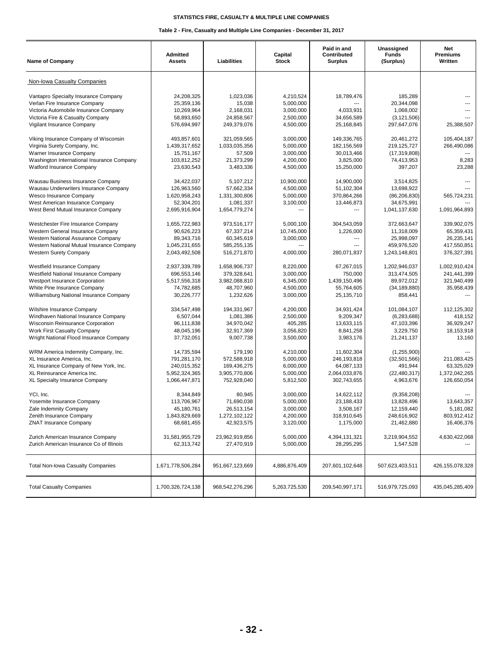| <b>Name of Company</b>                     | <b>Admitted</b><br><b>Assets</b> | Liabilities     | Capital<br><b>Stock</b>  | Paid in and<br>Contributed<br><b>Surplus</b> | Unassigned<br><b>Funds</b><br>(Surplus) | Net<br>Premiums<br>Written |
|--------------------------------------------|----------------------------------|-----------------|--------------------------|----------------------------------------------|-----------------------------------------|----------------------------|
| Non-Iowa Casualty Companies                |                                  |                 |                          |                                              |                                         |                            |
| Vantapro Specialty Insurance Company       | 24.208.325                       | 1,023,036       | 4,210,524                | 18,789,476                                   | 185.289                                 |                            |
| Verlan Fire Insurance Company              | 25,359,136                       | 15,038          | 5,000,000                | ---                                          | 20,344,098                              |                            |
| Victoria Automobile Insurance Company      | 10,269,964                       | 2,168,031       | 3,000,000                | 4,033,931                                    | 1,068,002                               | ---                        |
| Victoria Fire & Casualty Company           | 58,893,650                       | 24,858,567      | 2,500,000                | 34,656,589                                   | (3, 121, 506)                           |                            |
| Vigilant Insurance Company                 | 576,694,997                      | 249,379,076     | 4,500,000                | 25,168,845                                   | 297,647,076                             | 25,388,507                 |
| Viking Insurance Company of Wisconsin      | 493,857,601                      | 321,059,565     | 3,000,000                | 149,336,765                                  | 20,461,272                              | 105,404,187                |
| Virginia Surety Company, Inc.              | 1,439,317,652                    | 1,033,035,356   | 5,000,000                | 182,156,569                                  | 219.125.727                             | 266,490,086                |
| Warner Insurance Company                   | 15,751,167                       | 57,509          | 3,000,000                | 30,013,466                                   | (17, 319, 808)                          |                            |
| Washington International Insurance Company | 103,812,252                      | 21,373,299      | 4,200,000                | 3,825,000                                    | 74,413,953                              | 8,283                      |
| Watford Insurance Company                  | 23,630,543                       | 3,483,336       | 4,500,000                | 15,250,000                                   | 397,207                                 | 23,288                     |
| Wausau Business Insurance Company          | 34,422,037                       | 5,107,212       | 10,900,000               | 14,900,000                                   | 3,514,825                               |                            |
| Wausau Underwriters Insurance Company      | 126,963,560                      | 57,662,334      | 4,500,000                | 51,102,304                                   | 13,698,922                              |                            |
| Wesco Insurance Company                    | 1,620,958,243                    | 1,331,300,806   | 5,000,000                | 370,864,266                                  | (86, 206, 830)                          | 565,724,231                |
| West American Insurance Company            | 52,304,201                       | 1,081,337       | 3,100,000                | 13,446,873                                   | 34,675,991                              |                            |
| West Bend Mutual Insurance Company         | 2,695,916,904                    | 1,654,779,274   | $\overline{\phantom{a}}$ | ---                                          | 1,041,137,630                           | 1,091,964,893              |
| Westchester Fire Insurance Company         | 1,655,722,983                    | 973,516,177     | 5,000,100                | 304,543,059                                  | 372,663,647                             | 339.902.075                |
| Western General Insurance Company          | 90,626,223                       | 67,337,214      | 10,745,000               | 1,226,000                                    | 11,318,009                              | 65,359,431                 |
| Western National Assurance Company         | 89,343,716                       | 60,345,619      | 3,000,000                | $\overline{a}$                               | 25,998,097                              | 26,235,141                 |
| Western National Mutual Insurance Company  | 1,045,231,655                    | 585,255,135     |                          | $\overline{a}$                               | 459,976,520                             | 417,550,851                |
| <b>Western Surety Company</b>              | 2,043,492,508                    | 516,271,870     | 4,000,000                | 280.071.837                                  | 1,243,148,801                           | 376,327,391                |
| Westfield Insurance Company                | 2,937,339,789                    | 1,658,906,737   | 8,220,000                | 67,267,015                                   | 1,202,946,037                           | 1,002,910,424              |
| Westfield National Insurance Company       | 696,553,146                      | 379,328,641     | 3,000,000                | 750,000                                      | 313,474,505                             | 241,441,399                |
| <b>Westport Insurance Corporation</b>      | 5,517,556,318                    | 3,982,088,810   | 6,345,000                | 1,439,150,496                                | 89,972,012                              | 321,940,499                |
| White Pine Insurance Company               | 74,782,685                       | 48,707,960      | 4,500,000                | 55,764,605                                   | (34, 189, 880)                          | 35,958,439                 |
| Williamsburg National Insurance Company    | 30,226,777                       | 1,232,626       | 3,000,000                | 25,135,710                                   | 858,441                                 | ---                        |
| Wilshire Insurance Company                 | 334,547,498                      | 194,331,967     | 4,200,000                | 34,931,424                                   | 101,084,107                             | 112,125,302                |
| Windhaven National Insurance Company       | 6,507,044                        | 1,081,386       | 2,500,000                | 9,209,347                                    | (6, 283, 688)                           | 418,152                    |
| Wisconsin Reinsurance Corporation          | 96,111,838                       | 34,970,042      | 405,285                  | 13,633,115                                   | 47,103,396                              | 36,929,247                 |
| <b>Work First Casualty Company</b>         | 48,045,196                       | 32,917,369      | 3,056,820                | 8,841,258                                    | 3,229,750                               | 18,153,918                 |
| Wright National Flood Insurance Company    | 37,732,051                       | 9,007,738       | 3,500,000                | 3,983,176                                    | 21,241,137                              | 13,160                     |
| WRM America Indemnity Company, Inc.        | 14,735,594                       | 179,190         | 4,210,000                | 11,602,304                                   | (1,255,900)                             |                            |
| XL Insurance America, Inc.                 | 791,281,170                      | 572,588,918     | 5,000,000                | 246,193,818                                  | (32,501,566)                            | 211,083,425                |
| XL Insurance Company of New York, Inc.     | 240,015,352                      | 169,436,275     | 6,000,000                | 64,087,133                                   | 491,944                                 | 63,325,029                 |
| XL Reinsurance America Inc.                | 5,952,324,365                    | 3,905,770,806   | 5,000,000                | 2,064,033,876                                | (22, 480, 317)                          | 1,372,042,265              |
| XL Specialty Insurance Company             | 1,066,447,871                    | 752,928,040     | 5,812,500                | 302,743,655                                  | 4,963,676                               | 126,650,054                |
| YCI. Inc.                                  | 8,344,849                        | 80,945          | 3,000,000                | 14,622,112                                   | (9,358,208)                             |                            |
| Yosemite Insurance Company                 | 113,706,967                      | 71,690,038      | 5,000,000                | 23,188,433                                   | 13,828,496                              | 13,643,357                 |
| Zale Indemnity Company                     | 45,180,761                       | 26,513,154      | 3,000,000                | 3,508,167                                    | 12,159,440                              | 5,181,082                  |
| Zenith Insurance Company                   | 1,843,829,669                    | 1,272,102,122   | 4,200,000                | 318,910,645                                  | 248,616,902                             | 803,912,412                |
| <b>ZNAT Insurance Company</b>              | 68,681,455                       | 42,923,575      | 3,120,000                | 1,175,000                                    | 21,462,880                              | 16,406,376                 |
| Zurich American Insurance Company          | 31,581,955,729                   | 23,962,919,856  | 5,000,000                | 4,394,131,321                                | 3,219,904,552                           | 4,630,422,068              |
| Zurich American Insurance Co of Illinois   | 62,313,742                       | 27,470,919      | 5,000,000                | 28,295,295                                   | 1,547,528                               |                            |
| <b>Total Non-Iowa Casualty Companies</b>   | 1,671,778,506,284                | 951,667,123,669 | 4,886,876,409            | 207,601,102,648                              | 507,623,403,511                         | 426,155,078,328            |
| <b>Total Casualty Companies</b>            | 1,700,326,724,138                | 968,542,276,296 | 5,263,725,530            | 209,540,997,171                              | 516,979,725,093                         | 435,045,285,409            |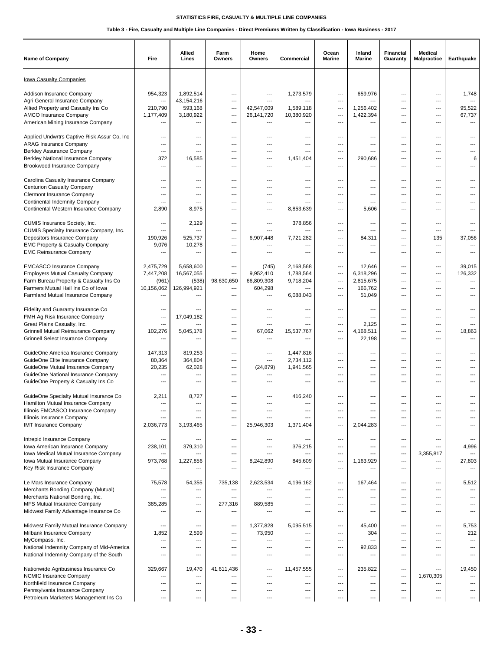| <b>Name of Company</b>                                                      | Fire                     | <b>Allied</b><br>Lines             | Farm<br>Owners    | Home<br>Owners      | Commercial         | Ocean<br><b>Marine</b>          | Inland<br>Marine | Financial<br>Guaranty | <b>Medical</b><br><b>Malpractice</b> | Earthquake   |
|-----------------------------------------------------------------------------|--------------------------|------------------------------------|-------------------|---------------------|--------------------|---------------------------------|------------------|-----------------------|--------------------------------------|--------------|
| lowa Casualty Companies                                                     |                          |                                    |                   |                     |                    |                                 |                  |                       |                                      |              |
| Addison Insurance Company                                                   | 954,323                  | 1,892,514                          | ---               | ---                 | 1,273,579          | ---                             | 659,976          | ---                   | ---                                  | 1,748        |
| Agri General Insurance Company                                              | ---                      | 43,154,216                         | ---               | ---                 | $---$              | ---                             | ---              | ---                   | ---                                  |              |
| Allied Property and Casualty Ins Co                                         | 210,790                  | 593,168                            | ---               | 42,547,009          | 1,589,118          | $\overline{a}$                  | 1,256,402        | $\overline{a}$        | $---$                                | 95,522       |
| AMCO Insurance Company<br>American Mining Insurance Company                 | 1,177,409<br>---         | 3,180,922<br>---                   | ---<br>---        | 26,141,720<br>---   | 10,380,920<br>---  | ---<br>---                      | 1,422,394<br>--- | ---<br>---            | ---<br>---                           | 67,737       |
|                                                                             |                          |                                    |                   |                     |                    |                                 |                  |                       |                                      |              |
| Applied Undwrtrs Captive Risk Assur Co, Inc                                 | ---                      | ---                                | ---               | ---                 | ---                | ---                             | ---              | ---                   | ---                                  |              |
| <b>ARAG Insurance Company</b>                                               | ---                      | ---                                | ⊷                 | ---                 | ---                | ---                             | ---              | ---                   | ---                                  |              |
| Berkley Assurance Company                                                   | ---                      | $\overline{a}$                     | ---               | ---                 | $---$              | ---                             | ---              | ---                   | $\overline{a}$                       |              |
| Berkley National Insurance Company                                          | 372<br>---               | 16,585<br>---                      | ---               | ---<br>---          | 1,451,404<br>$---$ | ---<br>---                      | 290,686<br>---   | ---<br>---            | ---<br>---                           | 6<br>---     |
| Brookwood Insurance Company                                                 |                          |                                    | ---               |                     |                    |                                 |                  |                       |                                      |              |
| Carolina Casualty Insurance Company                                         | ---                      | ---                                | ---               | ---                 | ---                | ---                             | ---              | ---                   | ---                                  |              |
| <b>Centurion Casualty Company</b>                                           | ---                      | ---                                |                   | ---                 |                    | ---                             | ---              | ---                   | ---                                  |              |
| Clermont Insurance Company                                                  | ---                      | ---                                | ---               | ---                 | $---$              | ---                             | ---              | ---                   | $---$                                |              |
| <b>Continental Indemnity Company</b>                                        | ---                      | ---                                | ---               | ---                 |                    | ---                             | ---              | ---                   | ---                                  |              |
| Continental Western Insurance Company                                       | 2,890                    | 8,975                              | ---               | ---                 | 8,853,639          | ---                             | 5,606            | ---                   | ---                                  |              |
| CUMIS Insurance Society, Inc.                                               | ---                      | 2,129                              | ---               | ---                 | 378,856            | ---                             | ---              | ---                   | ---                                  |              |
| CUMIS Specialty Insurance Company, Inc.                                     | $\overline{a}$           | ---                                | ---               | ---                 |                    | ---                             | ---              | ---                   | ---                                  |              |
| Depositors Insurance Company                                                | 190,926                  | 525,737                            | ---               | 6,907,448           | 7,721,282          | ---                             | 84,311           | ---                   | 135                                  | 37,056       |
| <b>EMC Property &amp; Casualty Company</b>                                  | 9,076                    | 10,278                             | $---$             | ---                 | ---                | $-$                             | ---              | ---                   | $\overline{a}$                       |              |
| <b>EMC Reinsurance Company</b>                                              | ---                      | ---                                | ---               | ---                 | ---                | ---                             | ---              | ---                   | ---                                  |              |
| <b>EMCASCO Insurance Company</b>                                            | 2,475,729                | 5,658,600                          | ---               | (745)               | 2,168,568          | ---                             | 12,646           | ---                   | ---                                  | 39,015       |
| <b>Employers Mutual Casualty Company</b>                                    | 7,447,208                | 16,567,055                         | ---               | 9,952,410           | 1,788,564          | ---                             | 6.318.296        | ---                   | ---                                  | 126,332      |
| Farm Bureau Property & Casualty Ins Co                                      | (961)                    | (538)                              | 98,630,650        | 66,809,308          | 9,718,204          | $\hspace{0.05cm} \ldots$        | 2,815,675        | ---                   | ---                                  |              |
| Farmers Mutual Hail Ins Co of Iowa                                          | 10,156,062               | 126,994,921                        | ---               | 604,298             | $---$              | $\overline{a}$                  | 166,762          | $---$                 | $---$                                |              |
| Farmland Mutual Insurance Company                                           | ---                      | ---                                | ---               | ---                 | 6,088,043          | ---                             | 51,049           | ---                   | ---                                  |              |
| Fidelity and Guaranty Insurance Co                                          | ---                      | ---                                | ---               | ---                 | ---                | ---                             | ---              | ---                   | ---                                  |              |
| FMH Ag Risk Insurance Company                                               | ---                      | 17,049,182                         | ---               | ---                 | ---                | ---                             | ---              | ---                   | ---                                  |              |
| Great Plains Casualty, Inc.                                                 | ---                      |                                    | ---               | ---                 |                    | ---                             | 2,125            | ---                   | ---                                  |              |
| Grinnell Mutual Reinsurance Company                                         | 102,276                  | 5,045,178                          | ---               | 67,062              | 15,537,767         | ---                             | 4,168,511        | ---                   | $---$                                | 18,863       |
| Grinnell Select Insurance Company                                           | ---                      | ---                                | ---               | ---                 |                    | ---                             | 22,198           | ---                   | ---                                  |              |
| GuideOne America Insurance Company                                          | 147,313                  | 819,253                            | ---               | ---                 | 1,447,816          | ---                             | ---              | ---                   | ---                                  |              |
| GuideOne Elite Insurance Company                                            | 80,364                   | 364,804                            | ---               | ---                 | 2,734,112          | ---                             | ---              | ---                   | ---                                  |              |
| GuideOne Mutual Insurance Company                                           | 20,235                   | 62,028                             | ---               | (24, 879)           | 1,941,565          | ---                             | ---              | ---                   | ---                                  |              |
| GuideOne National Insurance Company                                         | ---                      | ---                                | ---               | $---$               | ---                | ---                             | $---$            | ---                   | $---$                                |              |
| GuideOne Property & Casualty Ins Co                                         | ---                      | $---$                              | ---               | ---                 | ---                | ---                             | ---              | ---                   | ---                                  |              |
|                                                                             |                          |                                    |                   |                     |                    |                                 | ---              |                       | ---                                  |              |
| GuideOne Specialty Mutual Insurance Co<br>Hamilton Mutual Insurance Company | 2,211<br>---             | 8,727<br>---                       | ---<br>---        | ---<br>---          | 416,240<br>---     | ---<br>---                      | ---              | ---<br>---            | ---                                  |              |
| Illinois EMCASCO Insurance Company                                          |                          |                                    |                   |                     |                    | ---                             |                  |                       | ---                                  |              |
| Illinois Insurance Company                                                  | $---$                    | ---                                | ---               | ---                 | $---$              | ---                             | ---              | $\overline{a}$        | $---$                                |              |
| <b>IMT Insurance Company</b>                                                | 2,036,773                | 3,193,465                          | ---               | 25,946,303          | 1,371,404          | ---                             | 2,044,283        | $\overline{a}$        | $---$                                |              |
|                                                                             |                          |                                    |                   |                     |                    |                                 | ---              |                       |                                      |              |
| Intrepid Insurance Company<br>Iowa American Insurance Company               | ---<br>238,101           | 379,310                            | ---<br>---        | ---<br>---          | 376,215            | ---<br>---                      | ---              | ---<br>---            | ---<br>---                           | 4,996        |
| Iowa Medical Mutual Insurance Company                                       | ---                      |                                    | ---               | ---                 |                    | ---                             | ---              | ---                   | 3,355,817                            | $---$        |
| Iowa Mutual Insurance Company                                               | 973,768                  | 1,227,856                          | ---               | 8,242,890           | 845,609            | $\overline{\phantom{a}}$        | 1,163,929        | ---                   | ---                                  | 27,803       |
| Key Risk Insurance Company                                                  | ---                      | ---                                | ---               | ---                 | $---$              | $-$                             | ---              | $\overline{a}$        | $---$                                | $---$        |
|                                                                             |                          |                                    |                   |                     |                    |                                 |                  |                       |                                      |              |
| Le Mars Insurance Company<br>Merchants Bonding Company (Mutual)             | 75,578<br>---            | 54,355<br>$\hspace{0.05cm} \ldots$ | 735,138<br>---    | 2,623,534<br>---    | 4,196,162<br>---   | $\hspace{0.05cm} \ldots$<br>--- | 167,464<br>---   | ---<br>---            | $\overline{\phantom{a}}$<br>---      | 5,512        |
| Merchants National Bonding, Inc.                                            | ---                      | ---                                | ---               | ---                 | ---                | ---                             | ---              | ---                   | ---                                  |              |
| MFS Mutual Insurance Company                                                | 385,285                  | ---                                | 277,316           | 889,585             | ---                | ---                             | ---              | ---                   | ---                                  |              |
| Midwest Family Advantage Insurance Co                                       | ---                      | $---$                              | ---               | ---                 | $---$              | $-$                             | ---              | $\overline{a}$        | $---$                                |              |
|                                                                             |                          |                                    |                   |                     |                    |                                 |                  |                       |                                      |              |
| Midwest Family Mutual Insurance Company                                     | ---                      | ---<br>2,599                       | ---<br>---        | 1,377,828<br>73,950 | 5,095,515<br>---   | ---<br>---                      | 45,400<br>304    | ---<br>---            | ---<br>---                           | 5,753<br>212 |
| Milbank Insurance Company<br>MyCompass, Inc.                                | 1,852<br>---             | ---                                | ---               | ---                 | ---                | $\overline{\phantom{a}}$        | ---              | ---                   | ---                                  | $---$        |
| National Indemnity Company of Mid-America                                   | ---                      | ---                                | ⊷                 | ---                 |                    | ---                             | 92,833           | ---                   | ---                                  |              |
| National Indemnity Company of the South                                     | ---                      | $\sim$                             | ---               | ---                 | $---$              | $-$                             | ---              | $---$                 | $---$                                | $---$        |
|                                                                             |                          |                                    |                   |                     |                    |                                 |                  |                       |                                      |              |
| Nationwide Agribusiness Insurance Co<br>NCMIC Insurance Company             | 329,667<br>---           | 19,470<br>---                      | 41,611,436<br>--- | ---<br>---          | 11,457,555<br>---  | ---<br>---                      | 235,822<br>---   | ---<br>---            | ---<br>1,670,305                     | 19,450       |
| Northfield Insurance Company                                                | ---                      | ---                                | ---               | ---                 | ---                | $\overline{a}$                  | ---              | ---                   | ---                                  |              |
| Pennsylvania Insurance Company                                              | ---                      | ---                                | ---               | ---                 | ---                | ---                             | ---              | ---                   | ---                                  |              |
| Petroleum Marketers Management Ins Co                                       | $\hspace{0.05cm} \ldots$ | $\overline{\phantom{a}}$           | ---               | ---                 | ---                | $\overline{\phantom{a}}$        | ---              | ---                   | $\hspace{0.05cm} \ldots$             | ---          |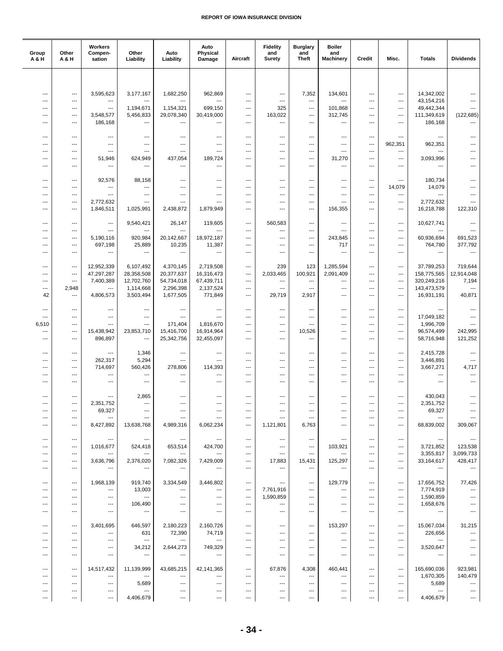| Group<br><b>A&amp;H</b>                              | Other<br>A & H                                     | Workers<br>Compen-<br>sation          | Other<br><b>Liability</b>                            | Auto<br><b>Liability</b>        | Auto<br>Physical<br>Damage               | Aircraft                          | <b>Fidelity</b><br>and<br><b>Surety</b> | <b>Burglary</b><br>and<br><b>Theft</b> | <b>Boiler</b><br>and<br><b>Machinery</b> | Credit                                             | Misc.                                              | <b>Totals</b>                          | <b>Dividends</b>                   |
|------------------------------------------------------|----------------------------------------------------|---------------------------------------|------------------------------------------------------|---------------------------------|------------------------------------------|-----------------------------------|-----------------------------------------|----------------------------------------|------------------------------------------|----------------------------------------------------|----------------------------------------------------|----------------------------------------|------------------------------------|
|                                                      |                                                    |                                       |                                                      |                                 |                                          |                                   |                                         |                                        |                                          |                                                    |                                                    |                                        |                                    |
|                                                      |                                                    |                                       |                                                      |                                 |                                          |                                   |                                         |                                        |                                          |                                                    |                                                    |                                        |                                    |
| $\overline{\phantom{a}}$<br>$\overline{a}$           | $\overline{\phantom{a}}$<br>$---$                  | 3,595,623<br>---                      | 3,177,167                                            | 1,682,250                       | 962,869<br>---                           | $---$<br>---                      | $---$<br>---                            | 7,352<br>$\overline{\phantom{a}}$      | 134,601<br>---                           | $\overline{\phantom{a}}$<br>---                    | ---<br>---                                         | 14,342,002<br>43,154,216               |                                    |
| $\overline{\phantom{a}}$                             | $\ldots$                                           | ---                                   | 1,194,671                                            | 1,154,321                       | 699,150                                  | ---                               | 325                                     | $\overline{\phantom{a}}$               | 101,868                                  | ---                                                | ---                                                | 49,442,344                             |                                    |
| $\overline{\phantom{a}}$                             | $\ldots$                                           | 3,548,577                             | 5,456,833                                            | 29,078,340                      | 30,419,000                               | $\hspace{0.05cm} \ldots$          | 163,022                                 | ---                                    | 312,745                                  | ---                                                | $\qquad \qquad \cdots$                             | 111,349,619                            | (122, 685)                         |
| $\overline{a}$                                       | $\overline{\phantom{a}}$                           | 186,168                               | ---                                                  | ---                             | ---                                      | $\overline{\phantom{a}}$          | $\overline{\phantom{a}}$                | $\overline{\phantom{a}}$               | ---                                      | ---                                                | ---                                                | 186,168                                |                                    |
| ---                                                  | $\overline{\phantom{a}}$                           | ---                                   | $\overline{a}$                                       | ---                             | ---                                      | $---$                             | $---$                                   | ---                                    | $---$                                    | ---                                                | ---                                                | $\overline{\phantom{a}}$               |                                    |
| ---                                                  | $\overline{\phantom{a}}$                           | ---                                   | ---                                                  | ---                             | ---                                      | ---                               | ---                                     | ---                                    | ---                                      | $---$                                              | 962,351                                            | 962,351                                |                                    |
| $\overline{\phantom{a}}$                             | ---                                                | ---                                   | $\overline{a}$                                       | ---                             | $\overline{\phantom{a}}$                 | ---                               | $\overline{\phantom{a}}$                | ---                                    | ---                                      | ---                                                | ---                                                | $\overline{\phantom{a}}$               |                                    |
| $\overline{a}$                                       | $\overline{\phantom{a}}$                           | 51,946                                | 624,949                                              | 437,054                         | 189,724                                  | $\overline{a}$                    | $---$                                   | $\cdots$                               | 31,270                                   | $\overline{a}$                                     | ---                                                | 3,093,996                              |                                    |
| ---                                                  | $\overline{\phantom{a}}$                           | ---                                   | $\overline{a}$                                       | ---                             | ---                                      | $---$                             | ---                                     | ---                                    | ---                                      | $\overline{a}$                                     | ---                                                | $\overline{\phantom{a}}$               | ---                                |
| $\overline{\phantom{a}}$                             | $\overline{\phantom{a}}$                           | 92,576                                | 88,158                                               | ---                             | $\overline{\phantom{a}}$                 | $---$                             | $---$                                   | $\overline{\phantom{a}}$               | $---$                                    | ---                                                | ---                                                | 180,734                                |                                    |
| ---                                                  | $---$                                              | ---                                   | $\overline{\phantom{a}}$                             | $\overline{\phantom{a}}$        | $---$                                    | $\overline{\phantom{a}}$          | $\overline{\phantom{a}}$                | ---                                    | $\overline{\phantom{a}}$                 | $---$                                              | 14,079                                             | 14,079                                 |                                    |
| $\overline{\phantom{a}}$                             | ---                                                | ---                                   | $\overline{\phantom{a}}$                             | ---                             | $\hspace{0.05cm} \ldots$                 | $\overline{\phantom{a}}$          | $\overline{\phantom{a}}$                | ---                                    | ---                                      | ---                                                | ---                                                | ---                                    |                                    |
| $\overline{a}$                                       | ---                                                | 2,772,632                             | $---$                                                | ---                             | ---                                      | $\overline{\phantom{a}}$          | $\overline{\phantom{a}}$                | $\overline{\phantom{a}}$               | $\overline{\phantom{a}}$                 | ---                                                | ---                                                | 2,772,632                              |                                    |
| $\overline{a}$                                       | $\qquad \qquad \cdots$                             | 1,846,511                             | 1,025,991                                            | 2,438,872                       | 1,879,949                                | ---                               | ---                                     | ---                                    | 156,355                                  | ---                                                | ---                                                | 16,218,788                             | 122,310                            |
| ---                                                  | $---$                                              | ---                                   | 9,540,421                                            | 26,147                          | 119,605                                  | $\overline{\phantom{a}}$          | 560,583                                 | $\overline{\phantom{a}}$               | $---$                                    | $\overline{a}$                                     | $\overline{\phantom{a}}$                           | 10,627,741                             |                                    |
| $\overline{\phantom{a}}$                             | $---$                                              | ---                                   | ---                                                  | ---                             | ---                                      | ---                               | $---$                                   | $---$                                  | $---$                                    | ---                                                | ---                                                | $\overline{\phantom{a}}$               |                                    |
| $\overline{a}$                                       | $\overline{\phantom{a}}$                           | 5,190,116                             | 920,984                                              | 20,142,667                      | 18,972,187                               | ---                               | ---                                     | $\overline{\phantom{a}}$               | 243,845                                  | ---                                                | ---                                                | 60,936,694                             | 691,523                            |
| $\overline{a}$                                       | $\overline{a}$                                     | 697,198                               | 25,889                                               | 10,235                          | 11,387                                   | $\overline{\phantom{a}}$          | ---                                     | $\overline{a}$                         | 717                                      | ---                                                | ---                                                | 764,780                                | 377,792                            |
| $\overline{\phantom{a}}$                             | $\qquad \qquad \cdots$                             | ---                                   | $\overline{\phantom{a}}$                             | ---                             | ---                                      | $\hspace{0.05cm} \ldots$          | $\qquad \qquad \cdots$                  | ---                                    | $\overline{\phantom{a}}$                 | ---                                                | ---                                                | ---                                    | $\ldots$                           |
| $---$                                                | $\overline{\phantom{a}}$                           | 12,952,339                            | 6,107,492                                            | 4,370,145                       | 2,719,508                                | ---                               | 239                                     | 123                                    | 1,285,594                                | $---$                                              | $\cdots$                                           | 37,789,253                             | 719,644                            |
| $---$                                                | $\overline{\phantom{a}}$                           | 47,297,287                            | 28,358,508                                           | 20,377,637                      | 16,316,473                               | $\overline{\phantom{a}}$          | 2,033,465                               | 100,921                                | 2,091,409                                | ---                                                | ---                                                | 158,775,565                            | 12,914,048                         |
| $\overline{\phantom{a}}$                             | $\ldots$                                           | 7,400,389                             | 12,702,760                                           | 54,734,018                      | 67,439,711                               | $\overline{\phantom{a}}$          | $\overline{\phantom{a}}$                | $\overline{\phantom{a}}$               | $\overline{\phantom{a}}$                 | ---                                                | ---                                                | 320,249,216                            | 7,194                              |
| $\qquad \qquad \cdots$                               | 2,948                                              | ---                                   | 1,114,668                                            | 2,296,398                       | 2,137,524                                | $\overline{\phantom{a}}$          | ---                                     | ---                                    | ---                                      | ---                                                | ---                                                | 143,473,579                            | ---                                |
| 42                                                   | ---                                                | 4,806,573                             | 3,503,494                                            | 1,677,505                       | 771,849                                  | ---                               | 29,719                                  | 2,917                                  | ---                                      | ---                                                | ---                                                | 16,931,191                             | 40,871                             |
| $\overline{\phantom{a}}$                             | $\overline{\phantom{a}}$                           | ---                                   | $---$                                                | $---$                           | $\hspace{0.05cm} \ldots$                 | $\overline{\phantom{a}}$          | $\overline{\phantom{a}}$                | $---$                                  | $\overline{\phantom{a}}$                 | ---                                                | ---                                                | $\overline{\phantom{a}}$               |                                    |
| $\overline{a}$                                       | $---$                                              | ---                                   | $\overline{\phantom{a}}$                             | $\overline{\phantom{a}}$        | ---                                      | ---                               | ---                                     | ---                                    | ---                                      | ---                                                | ---                                                | 17,049,182                             |                                    |
| 6,510                                                | $\overline{\phantom{a}}$                           | ---                                   | ---                                                  | 171,404                         | 1,816,670                                | $---$                             | $\overline{\phantom{a}}$                | ---                                    | $\overline{\phantom{a}}$                 | ---                                                | $\overline{\phantom{a}}$                           | 1,996,709                              |                                    |
| ---                                                  | ---                                                | 15,438,942                            | 23,853,710                                           | 15,416,700                      | 16,914,964                               | ---                               | ---                                     | 10,526                                 | ---                                      | ---                                                | ---                                                | 96,574,499                             | 242,995                            |
| $\overline{\phantom{a}}$                             | $\qquad \qquad \cdots$                             | 896,897                               | $\overline{\phantom{a}}$                             | 25,342,756                      | 32,455,097                               | $\hspace{0.05cm} \ldots$          | ---                                     | $\overline{\phantom{a}}$               | ---                                      | ---                                                | ---                                                | 58,716,948                             | 121,252                            |
| ---                                                  | $---$                                              | ---                                   | 1,346                                                | ---                             | ---                                      | $\overline{\phantom{a}}$          | $---$                                   | $---$                                  | $---$                                    | ---                                                | $\cdots$                                           | 2,415,728                              |                                    |
| ---                                                  | $\overline{\phantom{a}}$                           | 262,317                               | 5,294                                                | ---                             | $\overline{\phantom{a}}$                 | $\overline{\phantom{a}}$          | $---$                                   | $---$                                  | $---$                                    | $\overline{\phantom{a}}$                           | ---                                                | 3,446,891                              | $\cdots$                           |
| ---                                                  | $\overline{\phantom{a}}$                           | 714,697                               | 560,426                                              | 278,806                         | 114,393                                  | $---$                             | $\cdots$                                | ---                                    | $---$                                    | ---                                                | ---                                                | 3,667,271                              | 4,717                              |
| $\overline{\phantom{a}}$<br>$\overline{\phantom{a}}$ | ---<br>$\qquad \qquad \cdots$                      | ---<br>---                            | $\overline{\phantom{a}}$<br>$\overline{\phantom{a}}$ | $\overline{\phantom{a}}$<br>--- | ---<br>---                               | ---<br>$\hspace{0.05cm} \ldots$   | $\qquad \qquad \cdots$<br>---           | ---<br>---                             | $\overline{\phantom{a}}$<br>---          | ---<br>---                                         | ---<br>---                                         | ---<br>---                             |                                    |
|                                                      |                                                    |                                       |                                                      |                                 |                                          |                                   |                                         |                                        |                                          |                                                    |                                                    |                                        |                                    |
| $\overline{\phantom{a}}$                             | $---$                                              | ---                                   | 2,865                                                | ---                             | $\overline{\phantom{a}}$                 | $\hspace{0.05cm} \ldots$          | $---$                                   | ---                                    | $---$                                    | ---                                                | ---                                                | 430,043                                |                                    |
| $---$                                                | $---$                                              | 2,351,752                             | $---$                                                | $---$                           | $---$                                    | $---$                             | $---$                                   | $---$                                  | $---$                                    | $---$                                              | $---$                                              | 2,351,752                              |                                    |
| ---                                                  | ---                                                | 69,327                                |                                                      | $\overline{\phantom{a}}$        | $---$                                    |                                   |                                         |                                        |                                          | ---                                                |                                                    | 69,327                                 |                                    |
| $\overline{\phantom{a}}$<br>$\overline{\phantom{a}}$ | $\overline{\phantom{a}}$<br>$\qquad \qquad \cdots$ | $\overline{\phantom{a}}$<br>8,427,892 | 13,638,768                                           | ---<br>4,989,316                | 6,062,234                                | ---<br>$\overline{\phantom{a}}$   | ---<br>1,121,801                        | $\overline{\phantom{a}}$<br>6,763      | ---<br>---                               | ---<br>---                                         | ---<br>---                                         | $\overline{\phantom{a}}$<br>68,839,002 | 309,067                            |
|                                                      |                                                    |                                       |                                                      |                                 |                                          |                                   |                                         |                                        |                                          |                                                    |                                                    |                                        |                                    |
| $\qquad \qquad \cdots$                               | $\cdots$                                           | $\hspace{0.05cm} \cdots$              | $---$                                                | $- - -$                         | $\overline{\phantom{a}}$                 | $\overline{\phantom{a}}$          | $\qquad \qquad - -$                     | $---$                                  | $\overline{\phantom{a}}$                 | ---                                                | $\cdots$                                           | $\overline{\phantom{a}}$               | ---                                |
| $---$                                                | $\cdots$                                           | 1,016,677                             | 524,418                                              | 653,514                         | 424,700                                  | $\overline{\phantom{a}}$          | $---$                                   | $---$                                  | 103,921                                  | ---                                                | $\cdots$                                           | 3,721,852                              | 123,538                            |
| $---$<br>$\overline{\phantom{a}}$                    | $\overline{\phantom{a}}$<br>$\qquad \qquad \cdots$ | $\overline{\phantom{a}}$<br>3,636,796 | $---$<br>2,376,020                                   | $\sim$ $\sim$<br>7,082,326      | $\overline{\phantom{a}}$<br>7,429,009    | $---$<br>$\hspace{0.05cm} \ldots$ | $---$<br>17,883                         | $\overline{\phantom{a}}$<br>15,431     | ---<br>125,297                           | $\overline{\phantom{a}}$<br>$\qquad \qquad \cdots$ | $\overline{\phantom{a}}$<br>$\qquad \qquad \cdots$ | 3,355,817<br>33,164,617                | 3,099,733<br>428,417               |
| $\overline{\phantom{a}}$                             | $\qquad \qquad \cdots$                             | $\hspace{0.05cm} \ldots$              | $\cdots$                                             | $\overline{\phantom{a}}$        | $\cdots$                                 | $\hspace{0.05cm} \ldots$          | $\sim$                                  | $\overline{\phantom{a}}$               | $\overline{\phantom{a}}$                 | ---                                                | $\overline{\phantom{a}}$                           | $\hspace{0.05cm} \ldots$               | $\sim$                             |
|                                                      |                                                    |                                       |                                                      |                                 |                                          |                                   |                                         |                                        |                                          |                                                    |                                                    |                                        |                                    |
| $\hspace{0.05cm} \cdots$                             | ---                                                | 1,968,139                             | 919,740                                              | 3,334,549                       | 3,446,802                                | ---                               | $\overline{\phantom{a}}$                | $\scriptstyle\cdots$                   | 129,779                                  | ---                                                | $\hspace{0.05cm} \ldots$                           | 17,656,752                             | 77,426                             |
| $\overline{\phantom{a}}$                             | $---$                                              | $---$                                 | 13,003<br>$\sim$                                     | $\overline{\phantom{a}}$        | $---$                                    | $---$<br>$\overline{\phantom{a}}$ | 7,761,916                               | ---                                    | $---$<br>$---$                           | ---                                                | $\cdots$                                           | 7,774,919                              | ---                                |
| $---$<br>$---$                                       | $---$<br>$---$                                     | $\sim$<br>$\sim$                      | 106,490                                              | $\sim$ $\sim$<br>$\sim$ $\sim$  | $---$<br>$---$                           | $---$                             | 1,590,859<br>$\overline{\phantom{a}}$   | $---$<br>$---$                         | $---$                                    | $---$<br>$---$                                     | $\cdots$<br>$\overline{\phantom{a}}$               | 1,590,859<br>1,658,676                 |                                    |
| $\overline{\phantom{a}}$                             | $\qquad \qquad \cdots$                             | $\qquad \qquad -\qquad -$             | $\qquad \qquad \cdots$                               | $\cdots$                        | $\hspace{0.05cm} \ldots$                 | $\overline{\phantom{a}}$          | $\hspace{0.05cm} \ldots$                | $\overline{\phantom{a}}$               | $---$                                    | ---                                                | ---                                                | $\sim$                                 |                                    |
|                                                      |                                                    |                                       |                                                      |                                 |                                          |                                   |                                         |                                        |                                          |                                                    |                                                    |                                        |                                    |
| $\overline{\phantom{a}}$                             | $\overline{\phantom{a}}$                           | 3,401,695                             | 646,597                                              | 2,180,223                       | 2,160,726                                | ---                               | $\overline{\phantom{a}}$                | $\overline{\phantom{a}}$               | 153,297                                  | ---                                                | ---                                                | 15,067,034                             | 31,215                             |
| $---$<br>$---$                                       | $---$<br>$---$                                     | ---<br>$\sim$                         | 631<br>$\sim$                                        | 72,390<br>$\sim$ $\sim$         | 74,719<br>$\sim$                         | $\overline{\phantom{a}}$<br>$---$ | $---$<br>$---$                          | $---$<br>$---$                         | $---$<br>$---$                           | ---<br>---                                         | $\cdots$<br>$---$                                  | 226,656<br>$\overline{\phantom{a}}$    | $\qquad \qquad \cdots$<br>$\cdots$ |
| $---$                                                | $---$                                              | $\sim$                                | 34,212                                               | 2,644,273                       | 749,329                                  | $---$                             | $---$                                   | $---$                                  | $---$                                    | ---                                                | $\cdots$                                           | 3,520,647                              | $\overline{\phantom{a}}$           |
| $\qquad \qquad \cdots$                               | $\qquad \qquad \cdots$                             | $\hspace{0.05cm} \ldots$              | $\sim$                                               | $---$                           | $\overline{\phantom{a}}$                 | $\hspace{0.05cm} \ldots$          | $\qquad \qquad \cdots$                  | $\overline{\phantom{a}}$               | $\overline{\phantom{a}}$                 | ---                                                | ---                                                | $\overline{\phantom{a}}$               | $\hspace{0.05cm} \ldots$           |
|                                                      |                                                    |                                       |                                                      |                                 |                                          |                                   |                                         |                                        |                                          |                                                    |                                                    |                                        |                                    |
| $\hspace{0.05cm} \cdots$                             | $\cdots$<br>$---$                                  | 14,517,432<br>$\sim$                  | 11,139,999<br>$\overline{\phantom{a}}$               | 43,685,215<br>$---$             | 42, 141, 365<br>$\overline{\phantom{a}}$ | ---                               | 67,876<br>$---$                         | 4,308<br>$\overline{\phantom{a}}$      | 460,441<br>$---$                         | ---                                                | $\hspace{0.05cm} \ldots$<br>$---$                  | 165,690,036                            | 923,981                            |
| $---$<br>$\overline{\phantom{a}}$                    | $---$                                              | $\hspace{0.05cm} \ldots$              | 5,689                                                | $\sim$ $\sim$                   | $\overline{\phantom{a}}$                 | $---$<br>$\overline{\phantom{a}}$ | ---                                     | ---                                    | ---                                      | ---<br>---                                         | $\cdots$                                           | 1,670,305<br>5,689                     | 140,479<br>$\qquad \qquad \cdots$  |
| $\cdots$                                             | ---                                                | $\overline{\phantom{a}}$              | $\overline{\phantom{a}}$                             | $\scriptstyle\cdots$            | $\qquad \qquad \cdots$                   | ---                               | $---$                                   | ---                                    | $---$                                    | ---                                                | ---                                                | $\hspace{0.05cm} \ldots$               | $\overline{\phantom{a}}$           |
| $\qquad \qquad \cdots$                               | $\qquad \qquad \cdots$                             | $\overline{\phantom{a}}$              | 4,406,679                                            | $\cdots$                        | $\hspace{0.05cm} \ldots$                 | ---                               | $\qquad \qquad \cdots$                  | ---                                    | $\qquad \qquad \cdots$                   | ---                                                | ---                                                | 4,406,679                              |                                    |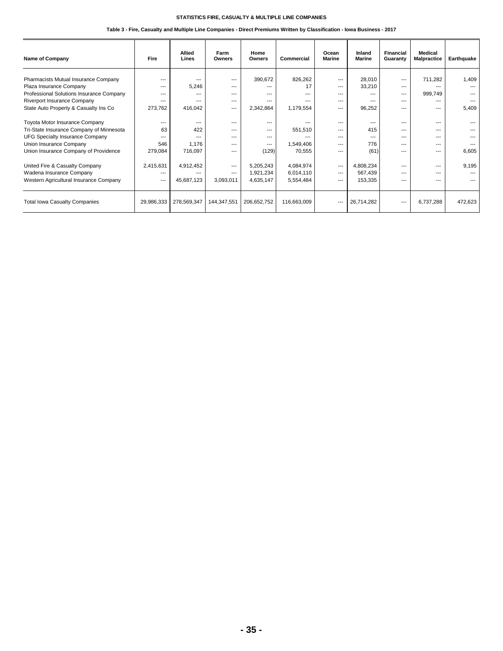| <b>Name of Company</b>                   | Fire       | <b>Allied</b><br>Lines | Farm<br>Owners | Home<br>Owners | Commercial  | Ocean<br><b>Marine</b> | Inland<br><b>Marine</b> | Financial<br>Guaranty | Medical<br><b>Malpractice</b> | Earthquake |
|------------------------------------------|------------|------------------------|----------------|----------------|-------------|------------------------|-------------------------|-----------------------|-------------------------------|------------|
| Pharmacists Mutual Insurance Company     | $---$      |                        | $---$          | 390,672        | 826,262     | $---$                  | 28,010                  | $---$                 | 711,282                       | 1,409      |
| Plaza Insurance Company                  | ---        | 5,246                  | $---$          | ---            | 17          | $---$                  | 33,210                  | $--$                  | ---                           |            |
| Professional Solutions Insurance Company | $---$      |                        | ---            | ---            | ---         | $- - -$                | ---                     | $---$                 | 999,749                       |            |
| Riverport Insurance Company              | $--$       | $---$                  | ---            | ---            | ---         | $--$                   | ---                     | $--$                  | ---                           |            |
| State Auto Property & Casualty Ins Co    | 273,762    | 416,042                | $---$          | 2,342,864      | 1,179,554   | $---$                  | 96,252                  | ---                   | ---                           | 5,409      |
| Toyota Motor Insurance Company           | $---$      |                        | $---$          | $---$          |             | $---$                  | ---                     | $---$                 | ---                           |            |
| Tri-State Insurance Company of Minnesota | 63         | 422                    | ---            | ---            | 551,510     | $---$                  | 415                     | ---                   | ---                           | ---        |
| <b>UFG Specialty Insurance Company</b>   | $---$      | $---$                  | ---            | ---            |             | $---$                  | $---$                   | ---                   | ---                           |            |
| Union Insurance Company                  | 546        | 1.176                  | ---            | ---            | 1,549,406   | $---$                  | 776                     | ---                   | ---                           |            |
| Union Insurance Company of Providence    | 279,084    | 716,097                | ---            | (129)          | 70,555      | $- - -$                | (61)                    | $\overline{a}$        | $---$                         | 6,605      |
| United Fire & Casualty Company           | 2,415,631  | 4,912,452              | $---$          | 5,205,243      | 4,084,974   | $---$                  | 4,808,234               | $--$                  | $---$                         | 9,195      |
| Wadena Insurance Company                 | ---        |                        | $---$          | 1,921,234      | 6,014,110   | $---$                  | 567,439                 | ---                   | ---                           |            |
| Western Agricultural Insurance Company   | $---$      | 45,687,123             | 3,093,011      | 4,635,147      | 5,554,484   | $---$                  | 153,335                 | ---                   | ---                           | ---        |
| <b>Total Iowa Casualty Companies</b>     | 29,986,333 | 278,569,347            | 144,347,551    | 206,652,752    | 116,663,009 | $---$                  | 26,714,282              | $---$                 | 6,737,288                     | 472,623    |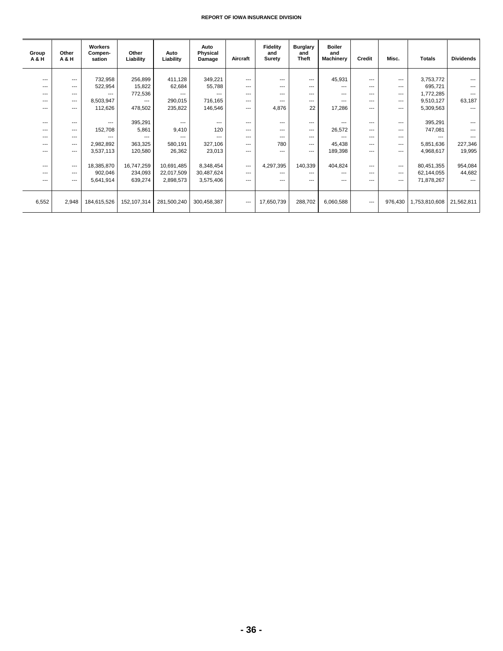| Group<br>A & H | Other<br><b>A&amp;H</b> | Workers<br>Compen-<br>sation | Other<br>Liability | Auto<br>Liability | Auto<br>Physical<br>Damage | Aircraft | <b>Fidelity</b><br>and<br>Surety | <b>Burglary</b><br>and<br><b>Theft</b> | <b>Boiler</b><br>and<br><b>Machinery</b> | Credit         | Misc.                    | <b>Totals</b> | <b>Dividends</b> |
|----------------|-------------------------|------------------------------|--------------------|-------------------|----------------------------|----------|----------------------------------|----------------------------------------|------------------------------------------|----------------|--------------------------|---------------|------------------|
|                |                         |                              |                    |                   |                            |          |                                  |                                        |                                          |                |                          |               |                  |
| $---$          | $---$                   | 732,958                      | 256,899            | 411,128           | 349,221                    | $---$    | $---$                            | $---$                                  | 45,931                                   | $---$          | $---$                    | 3,753,772     |                  |
| $---$          | $---$                   | 522,954                      | 15,822             | 62,684            | 55,788                     | $---$    | ---                              | $---$                                  | $---$                                    | $---$          | $---$                    | 695,721       | $---$            |
| ---            | $---$                   | $---$                        | 772,536            | $---$             | $---$                      | ---      | ---                              | ---                                    | $---$                                    | $---$          | $---$                    | 1,772,285     |                  |
| $---$          | $\cdots$                | 8,503,947                    | $---$              | 290,015           | 716,165                    | ---      | $---$                            | $---$                                  | $---$                                    | $---$          | $\overline{\phantom{a}}$ | 9,510,127     | 63,187           |
| $---$          | $---$                   | 112,626                      | 478,502            | 235,822           | 146,546                    | ---      | 4,876                            | 22                                     | 17,286                                   | $\overline{a}$ | $---$                    | 5,309,563     | $\overline{a}$   |
|                |                         |                              |                    |                   |                            |          |                                  |                                        |                                          |                |                          |               |                  |
| $---$          | $---$                   | $---$                        | 395,291            | $---$             | $---$                      | $---$    | $---$                            | $---$                                  | $---$                                    | $---$          | $---$                    | 395,291       |                  |
| $---$          | $---$                   | 152,708                      | 5,861              | 9,410             | 120                        | ---      | ---                              | $---$                                  | 26,572                                   | ---            | ---                      | 747,081       |                  |
| $---$          | $---$                   | ---                          | $---$              |                   | $---$                      | $---$    | $---$                            | $---$                                  | $---$                                    | $---$          | $---$                    | $---$         |                  |
| ---            | $---$                   | 2,982,892                    | 363,325            | 580,191           | 327,106                    | ---      | 780                              | $---$                                  | 45,438                                   | ---            | ---                      | 5,851,636     | 227,346          |
| ---            | $---$                   | 3,537,113                    | 120,580            | 26,362            | 23,013                     | ---      | $---$                            | $---$                                  | 189,398                                  | $---$          | ---                      | 4,968,617     | 19,995           |
|                |                         |                              |                    |                   |                            |          |                                  |                                        |                                          |                |                          |               |                  |
| $---$          | $---$                   | 18,385,870                   | 16,747,259         | 10,691,485        | 8,348,454                  | $---$    | 4,297,395                        | 140,339                                | 404,824                                  | $---$          | $---$                    | 80,451,355    | 954,084          |
|                |                         |                              |                    |                   |                            |          |                                  |                                        |                                          |                |                          |               |                  |
| $---$          | $---$                   | 902,046                      | 234,093            | 22,017,509        | 30,487,624                 | $---$    | $---$                            | $---$                                  | $---$                                    | $---$          | $---$                    | 62,144,055    | 44,682           |
| $---$          | $---$                   | 5,641,914                    | 639,274            | 2,898,573         | 3,575,406                  | $---$    | ---                              | ---                                    | ---                                      | ---            | ---                      | 71,878,267    |                  |
|                |                         |                              |                    |                   |                            |          |                                  |                                        |                                          |                |                          |               |                  |
| 6,552          | 2,948                   | 184,615,526                  | 152,107,314        | 281,500,240       | 300,458,387                | $\cdots$ | 17,650,739                       | 288,702                                | 6,060,588                                | $---$          | 976,430                  | 1,753,810,608 | 21,562,811       |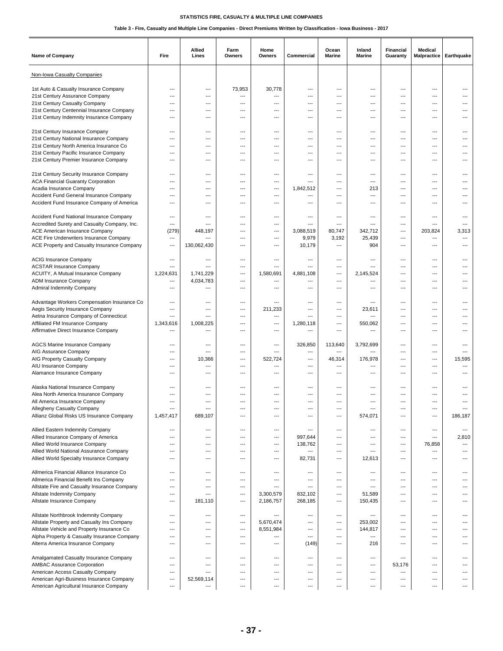| <b>Name of Company</b>                                                       | Fire                     | Allied<br>Lines          | Farm<br>Owners | Home<br>Owners  | Commercial         | Ocean<br><b>Marine</b> | Inland<br>Marine | Financial<br>Guaranty           | Medical<br><b>Malpractice</b> | Earthquake               |
|------------------------------------------------------------------------------|--------------------------|--------------------------|----------------|-----------------|--------------------|------------------------|------------------|---------------------------------|-------------------------------|--------------------------|
| Non-Iowa Casualty Companies                                                  |                          |                          |                |                 |                    |                        |                  |                                 |                               |                          |
| 1st Auto & Casualty Insurance Company                                        | ---                      | ---                      | 73,953         | 30,778          | ---                | ---                    | ---              | ---                             | ---                           | ---                      |
| 21st Century Assurance Company                                               | $\overline{\phantom{a}}$ | $---$                    | ---            | ---             | ---                | $---$                  | ---              | $---$                           | ---                           | ---                      |
| 21st Century Casualty Company                                                | ---                      | $---$                    | ---            | $\overline{a}$  | ---                | $---$                  | ---              | ---                             | ---                           | ---                      |
| 21st Century Centennial Insurance Company                                    | ---                      | ---                      | $\overline{a}$ | ---             | ---                | ---                    | ---              | $\overline{\phantom{a}}$        | ---                           | ---                      |
| 21st Century Indemnity Insurance Company                                     | ---                      | ---                      | ---            | ---             | ---                | ---                    | ---              | $\overline{a}$                  | ---                           |                          |
|                                                                              | ---                      | $---$                    | $---$          | ---             | ---                | $---$                  | ---              | ---                             | ---                           | ---                      |
| 21st Century Insurance Company<br>21st Century National Insurance Company    | ---                      | ---                      | ---            | ---             | ---                | ---                    | ---              | ---                             | ---                           | ---                      |
| 21st Century North America Insurance Co                                      | ---                      | ---                      | $\overline{a}$ | ---             | ---                | ---                    | ---              | $\overline{\phantom{a}}$        | ---                           |                          |
| 21st Century Pacific Insurance Company                                       | ---                      | ---                      | $---$          | ---             | ---                | $---$                  | ---              | ---                             | ---                           | ---                      |
| 21st Century Premier Insurance Company                                       | ---                      | $---$                    | ---            | ---             | ---                | $---$                  | ---              | $\overline{\phantom{a}}$        | ---                           | ---                      |
|                                                                              |                          |                          |                |                 |                    |                        |                  |                                 |                               |                          |
| 21st Century Security Insurance Company                                      | ---                      | ---                      | ---            | ---             | ---                | ---                    | ---              | $\overline{a}$                  | ---                           |                          |
| <b>ACA Financial Guaranty Corporation</b>                                    | ---                      | ---                      | ---            | ---             | ---                | ---                    | ---              | $---$                           | $---$                         | ---                      |
| Acadia Insurance Company                                                     | ---                      | ---                      | ---            | ---             | 1,842,512          | $---$                  | 213              | ---                             | $---$                         | ---                      |
| Accident Fund General Insurance Company                                      | ---                      | ---                      | ---            | ---             | ---                | ---                    | ---              | ---                             | $\overline{a}$                |                          |
| Accident Fund Insurance Company of America                                   | ---                      |                          | ---            | ---             | ---                | ---                    | ---              | ---                             | ---                           |                          |
| Accident Fund National Insurance Company                                     | ---                      | ---                      | ---            | ---             | ---                | $---$                  | ---              | $---$                           | $---$                         | ---                      |
| Accredited Surety and Casualty Company, Inc.                                 | ---                      | ---                      | $\overline{a}$ | $\overline{a}$  | ---                | $---$                  | ---              | $\overline{\phantom{a}}$        | $\overline{a}$                | ---                      |
| <b>ACE American Insurance Company</b>                                        | (279)                    | 448,197                  | ---            | ---             | 3,088,519          | 80,747                 | 342,712          | $\overline{\phantom{a}}$        | 203.824                       | 3,313                    |
| ACE Fire Underwriters Insurance Company                                      | ---                      |                          | ---            | ---             | 9,979              | 3,192                  | 25,439           | ---                             | ---                           | ---                      |
| ACE Property and Casualty Insurance Company                                  | ---                      | 130,062,430              | ---            | ---             | 10,179             | ---                    | 904              | $---$                           | $---$                         | ---                      |
|                                                                              |                          |                          |                |                 |                    |                        |                  |                                 |                               |                          |
| <b>ACIG Insurance Company</b>                                                | ---                      | ---                      | ---            | ---             | ---                | $\overline{a}$         | ---              | $\overline{a}$                  | $\overline{a}$                |                          |
| <b>ACSTAR Insurance Company</b>                                              | ---                      | ---                      | ---            | $\overline{a}$  | ---                | ---                    | ---              | $\overline{a}$                  | ---                           | ---                      |
| ACUITY, A Mutual Insurance Company                                           | 1,224,631                | 1,741,229                | ---            | 1,580,691       | 4,881,108          | ---                    | 2,145,524        | $---$                           | $---$                         | ---                      |
| ADM Insurance Company                                                        | ---<br>---               | 4,034,783<br>---         | $---$<br>---   | ---<br>---      | ---<br>---         | $---$<br>---           | ---<br>---       | ---<br>$\overline{\phantom{a}}$ | $---$<br>---                  | ---<br>---               |
| <b>Admiral Indemnity Company</b>                                             |                          |                          |                |                 |                    |                        |                  |                                 |                               |                          |
| Advantage Workers Compensation Insurance Co                                  | ---                      | ---                      | ---            | ---             | ---                | ---                    | ---              | ---                             | ---                           | ---                      |
| Aegis Security Insurance Company                                             | ---                      | ---                      | ---            | 211,233         | ---                | ---                    | 23,611           | ---                             | ---                           |                          |
| Aetna Insurance Company of Connecticut                                       | ---                      | ---                      | ---            | ---             | ---                | ---                    | ---              | ---                             | ---                           | ---                      |
| Affiliated FM Insurance Company                                              | 1,343,616                | 1,008,225                | $\overline{a}$ | ---             | 1,280,118          | $\overline{a}$         | 550,062          | $\overline{a}$                  | ---                           |                          |
| Affirmative Direct Insurance Company                                         | ---                      | ---                      | $---$          | ---             | ---                | ---                    | ---              | $---$                           | $---$                         | ---                      |
|                                                                              |                          |                          |                |                 |                    |                        |                  |                                 |                               |                          |
| <b>AGCS Marine Insurance Company</b>                                         | ---                      | ---                      | ---            | ---             | 326,850            | 113,640                | 3,792,699        | $\overline{a}$                  | ---                           | ---                      |
| AIG Assurance Company<br>AIG Property Casualty Company                       | ---<br>---               | ---<br>10,366            | ---<br>$---$   | ---<br>522.724  | ---<br>$---$       | ---<br>46,314          | 176.978          | $\overline{a}$<br>$---$         | ---<br>$---$                  | ---<br>15,595            |
| AIU Insurance Company                                                        | ---                      | ---                      | $---$          | ---             | ---                | ---                    | ---              | ---                             | ---                           | $\overline{\phantom{a}}$ |
| Alamance Insurance Company                                                   | ---                      | ---                      | ---            | ---             | ---                | ---                    | ---              | $\overline{\phantom{a}}$        | ---                           |                          |
|                                                                              |                          |                          |                |                 |                    |                        |                  |                                 |                               |                          |
| Alaska National Insurance Company                                            | ---                      | ---                      | ---            | ---             | ---                | ---                    | ---              | $\qquad \qquad -$               | ---                           |                          |
| Alea North America Insurance Company                                         | ---                      | ---                      | ---            | ---             | ---                | ---                    | ---              | ---                             | $---$                         | ---                      |
| All America Insurance Company                                                | $\overline{a}$           | $\overline{\phantom{a}}$ | ---            | ---             | ---                | $---$                  | ---              | $\overline{\phantom{a}}$        | $\overline{a}$                | ---                      |
| Allegheny Casualty Company                                                   |                          |                          |                |                 |                    |                        |                  |                                 |                               |                          |
| Allianz Global Risks US Insurance Company                                    | 1,457,417                | 689,107                  | ---            | ---             | ---                | ---                    | 574,071          | ---                             | ---                           | 186,187                  |
|                                                                              | ---                      | ---                      | ---            | ---             | ---                | ---                    | ---              | $\qquad \qquad -$               | $\overline{a}$                | $\overline{\phantom{a}}$ |
| Allied Eastern Indemnity Company<br>Allied Insurance Company of America      | ---                      | ---                      | $\overline{a}$ | ---             | 997,644            | $---$                  | ---              | $\overline{\phantom{a}}$        | ---                           | 2,810                    |
| Allied World Insurance Company                                               | ---                      | ---                      | ---            | ---             | 138,762            | ---                    | ---              | ---                             | 76,858                        | $\cdots$                 |
| Allied World National Assurance Company                                      | $\overline{\phantom{a}}$ | $\qquad \qquad -$        | ---            | $---$           | ---                | ---                    | ---              | $\qquad \qquad -$               | ---                           | ---                      |
| Allied World Specialty Insurance Company                                     | ---                      | $---$                    | $---$          | ---             | 82,731             | ---                    | 12,613           | $\qquad \qquad -$               | ---                           | ---                      |
|                                                                              |                          |                          |                |                 |                    |                        |                  |                                 |                               |                          |
| Allmerica Financial Alliance Insurance Co                                    | ---                      | ---                      | ---            | ---             | ---                | ---                    | ---              | ---                             | ---                           | ---                      |
| Allmerica Financial Benefit Ins Company                                      | ---                      | ---                      | ---            | ---             | ---                | ---                    | ---              | $\qquad \qquad -$               | ---                           | ---                      |
| Allstate Fire and Casualty Insurance Company                                 | ---                      | ---                      | ---            | ---             | ---                | ---                    | ---              | $\overline{\phantom{a}}$        | ---                           | ---                      |
| Allstate Indemnity Company<br>Allstate Insurance Company                     | ---                      | ---                      | $\overline{a}$ | 3,300,579       | 832,102<br>268,185 | ---                    | 51,589           | $\overline{a}$                  | ---                           | ---<br>---               |
|                                                                              | ---                      | 181,110                  | ---            | 2,186,757       |                    | ---                    | 150,435          | $\qquad \qquad \cdots$          | ---                           |                          |
| Allstate Northbrook Indemnity Company                                        | ---                      | ---                      | ---            | ---             | $\overline{a}$     | ---                    | ---              | $\overline{\phantom{a}}$        | $\overline{a}$                | ---                      |
| Allstate Property and Casualty Ins Company                                   | ---                      | ---                      | ---            | 5,670,474       | ---                | ---                    | 253,002          | ---                             | ---                           | ---                      |
| Allstate Vehicle and Property Insurance Co                                   | ---                      | ---                      | ---            | 8,551,984       | ---                | ---                    | 144,817          | ---                             | ---                           | ---                      |
| Alpha Property & Casualty Insurance Company                                  | ---                      | ---                      | ---            | ---             | ---                | ---                    | ---              | $\qquad \qquad -$               | ---                           | ---                      |
| Alterra America Insurance Company                                            | ---                      | $---$                    | $---$          | ---             | (149)              | $---$                  | 216              | $\qquad \qquad -$               | $---$                         | ---                      |
|                                                                              |                          |                          |                |                 |                    |                        |                  |                                 |                               |                          |
| Amalgamated Casualty Insurance Company                                       | ---                      | ---                      | ---            | ---             | ---                | ---                    | ---              | ---                             | ---                           | ---                      |
| <b>AMBAC Assurance Corporation</b>                                           | ---                      | ---                      | ---            | $\cdots$        | ---                | ---                    | ---              | 53,176                          | $\overline{\phantom{a}}$      | ---                      |
| American Access Casualty Company<br>American Agri-Business Insurance Company | ---<br>---               | ---<br>52,569,114        | ---<br>---     | ---<br>$\cdots$ | ---<br>---         | ---<br>---             | ---<br>---       | $\qquad \qquad -$<br>---        | ---<br>---                    | ---<br>---               |
| American Agricultural Insurance Company                                      | ---                      | ---                      | ---            | ---             | ---                | ---                    | ---              | ---                             | ---                           | ---                      |
|                                                                              |                          |                          |                |                 |                    |                        |                  |                                 |                               |                          |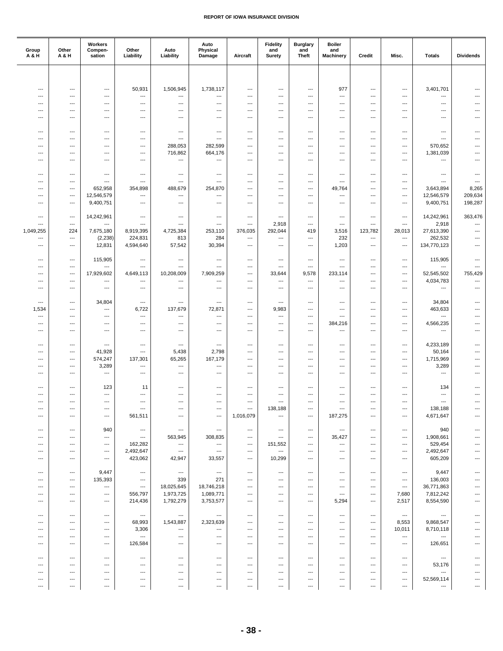| Group<br>A & H           | Other<br><b>A&amp;H</b>           | Workers<br>Compen-<br>sation                         | Other<br>Liability                  | Auto<br>Liability                                    | Auto<br>Physical<br>Damage          | Aircraft                        | <b>Fidelity</b><br>and<br><b>Surety</b> | <b>Burglary</b><br>and<br>Theft                      | <b>Boiler</b><br>and<br>Machinery | Credit                                               | Misc.                                | <b>Totals</b>                       | <b>Dividends</b>                                     |
|--------------------------|-----------------------------------|------------------------------------------------------|-------------------------------------|------------------------------------------------------|-------------------------------------|---------------------------------|-----------------------------------------|------------------------------------------------------|-----------------------------------|------------------------------------------------------|--------------------------------------|-------------------------------------|------------------------------------------------------|
|                          |                                   |                                                      |                                     |                                                      |                                     |                                 |                                         |                                                      |                                   |                                                      |                                      |                                     |                                                      |
|                          |                                   |                                                      |                                     |                                                      |                                     |                                 |                                         |                                                      |                                   |                                                      |                                      |                                     |                                                      |
| ---<br>---               | ---<br>$\overline{a}$             | ---<br>$\overline{\phantom{a}}$                      | 50,931<br>---                       | 1,506,945<br>---                                     | 1,738,117<br>---                    | ---<br>---                      | ---<br>---                              | ---<br>---                                           | 977<br>---                        | ---<br>---                                           | ---<br>---                           | 3,401,701<br>---                    | ---<br>---                                           |
| ---                      | ---                               | $---$                                                | ---                                 | ---                                                  | ---                                 | ---                             | ---                                     | ---                                                  | ---                               | $---$                                                | ---                                  | ---                                 | $---$                                                |
| ---                      | $\cdots$                          | $\hspace{0.05cm} \ldots$                             | $---$                               | $---$                                                | $---$                               | ---                             | ---                                     | ---                                                  | ---                               | $---$                                                | ---                                  | ---                                 | ---                                                  |
| ---                      | ---                               | $\hspace{0.05cm} \ldots$                             | ---                                 | ---                                                  | ---                                 | ---                             | ---                                     | ---                                                  | ---                               | $\hspace{0.05cm} \ldots$                             | ---                                  | ---                                 | $\qquad \qquad \cdots$                               |
|                          |                                   |                                                      |                                     |                                                      |                                     |                                 |                                         |                                                      |                                   |                                                      |                                      |                                     |                                                      |
| ---                      | ---                               | $---$                                                | $---$                               | $\overline{\phantom{a}}$                             | ---                                 | ---                             | ---                                     | ---                                                  | ---                               | $---$                                                | ---                                  | ---                                 | $---$                                                |
| ---<br>---               | $---$<br>$\overline{\phantom{a}}$ | $---$<br>$\overline{\phantom{a}}$                    | $---$<br>$\overline{\phantom{a}}$   | $\overline{\phantom{a}}$<br>288,053                  | ---<br>282,599                      | ---<br>---                      | ---<br>---                              | ---<br>---                                           | ---<br>---                        | $\overline{a}$<br>---                                | ---<br>---                           | $\overline{a}$<br>570,652           | $---$<br>---                                         |
| ---                      | ---                               | $\overline{a}$                                       | ---                                 | 716,862                                              | 664,176                             | ---                             | ---                                     | ---                                                  | ---                               | ---                                                  | ---                                  | 1,381,039                           | ---                                                  |
| ---                      | ---                               | $---$                                                | $---$                               | ---                                                  | ---                                 | $---$                           | ---                                     | ---                                                  | $\overline{a}$                    | $---$                                                | $---$                                | ---                                 | $---$                                                |
|                          |                                   |                                                      |                                     |                                                      |                                     |                                 |                                         |                                                      |                                   |                                                      |                                      |                                     |                                                      |
| ---                      | ---                               | $\hspace{0.05cm} \ldots$                             | $\hspace{0.05cm} \ldots$            | $\overline{\phantom{a}}$                             | ---                                 | ---                             | ---                                     | ---                                                  | ---                               | ---                                                  | ---                                  | ---                                 | $\qquad \qquad \cdots$                               |
| ---                      | ---                               | $\hspace{0.05cm} \ldots$                             | $\hspace{0.05cm} \ldots$            | ---                                                  | ---                                 | ---                             | ---                                     | ---                                                  | ---                               | ---                                                  | ---                                  | ---                                 | $\qquad \qquad \cdots$                               |
| ---<br>---               | $---$<br>$---$                    | 652,958<br>12,546,579                                | 354,898<br>$---$                    | 488,679<br>---                                       | 254,870<br>---                      | $---$<br>---                    | ---<br>---                              | $---$<br>---                                         | 49,764<br>---                     | $---$<br>---                                         | $---$<br>---                         | 3,643,894<br>12,546,579             | 8,265<br>209,634                                     |
| ---                      | $\overline{\phantom{a}}$          | 9,400,751                                            | $\hspace{0.05cm} \ldots$            | ---                                                  | ---                                 | ---                             | ---                                     | ---                                                  | ---                               | ---                                                  | $\overline{\phantom{a}}$             | 9,400,751                           | 198,287                                              |
|                          |                                   |                                                      |                                     |                                                      |                                     |                                 |                                         |                                                      |                                   |                                                      |                                      |                                     |                                                      |
| ---                      | $\overline{\phantom{a}}$          | 14,242,961                                           | $---$                               | $\hspace{0.05cm} \ldots$                             | ---                                 | ---                             | ---                                     | $---$                                                | ---                               | $---$                                                | ---                                  | 14,242,961                          | 363,476                                              |
| ---                      | ---                               | $\overline{\phantom{a}}$                             | $\overline{\phantom{a}}$            | $\overline{\phantom{a}}$                             | $\overline{\phantom{a}}$            | ---                             | 2,918                                   | $---$                                                | $\overline{\phantom{a}}$          | ---                                                  | $\overline{\phantom{a}}$             | 2,918                               | $\overline{\phantom{a}}$                             |
| 1,049,255                | 224                               | 7,675,180                                            | 8,919,395                           | 4,725,384                                            | 253,110                             | 376,035                         | 292,044                                 | 419                                                  | 3,516                             | 123,782                                              | 28,013                               | 27,613,390                          | $\overline{\phantom{a}}$                             |
| ---<br>---               | ---<br>---                        | (2, 238)<br>12,831                                   | 224,831<br>4,594,640                | 813<br>57,542                                        | 284<br>30,394                       | ---<br>---                      | ---<br>---                              | $\hspace{0.05cm} \ldots$<br>$\hspace{0.05cm} \ldots$ | 232<br>1,203                      | ---<br>---                                           | $\cdots$<br>---                      | 262,532<br>134,770,123              | $\overline{\phantom{a}}$<br>$\overline{\phantom{a}}$ |
|                          |                                   |                                                      |                                     |                                                      |                                     |                                 |                                         |                                                      |                                   |                                                      |                                      |                                     |                                                      |
| ---                      | $---$                             | 115,905                                              | $\hspace{0.05cm} \ldots$            | ---                                                  | ---                                 | ---                             | ---                                     | $---$                                                | ---                               | ---                                                  | $---$                                | 115,905                             | $---$                                                |
| ---                      | ---                               | $\hspace{0.05cm} \ldots$                             | ---                                 | ---                                                  | ---                                 | ---                             | ---                                     | ---                                                  | ---                               | ---                                                  | ---                                  | ---                                 | $\overline{\phantom{a}}$                             |
| ---                      | ---                               | 17,929,602                                           | 4,649,113                           | 10,208,009                                           | 7,909,259                           | ---                             | 33,644                                  | 9,578                                                | 233,114                           | ---                                                  | ---                                  | 52,545,502                          | 755,429                                              |
| ---                      | ---                               | $\cdots$                                             | $---$                               | ---                                                  | $\overline{\phantom{a}}$            | ---                             | ---                                     | ---                                                  | ---                               | $\qquad \qquad -\qquad$                              | ---                                  | 4,034,783                           | ---                                                  |
| $---$                    | ---                               | $\cdots$                                             | $---$                               | ---                                                  | $\qquad \qquad \cdots$              | $\overline{a}$                  | $---$                                   | $---$                                                | ---                               | $\qquad \qquad -\qquad$                              | ---                                  | $\overline{a}$                      | ---                                                  |
| ---                      | ---                               | 34,804                                               | $\hspace{0.05cm} \ldots$            | ---                                                  | ---                                 | ---                             | ---                                     | ---                                                  | ---                               | ---                                                  | ---                                  | 34,804                              | ---                                                  |
| 1,534                    | ---                               | $\cdots$                                             | 6,722                               | 137,679                                              | 72,871                              | ---                             | 9,983                                   | ---                                                  | $\overline{a}$                    | $\qquad \qquad -\qquad$                              | ---                                  | 463,633                             | $---$                                                |
| ---                      | $---$                             | $\hspace{0.05cm} \ldots$                             | $\overline{\phantom{a}}$            | $\overline{\phantom{a}}$                             | $\overline{\phantom{a}}$            | ---                             | $\overline{a}$                          | ---                                                  | ---                               | ---                                                  | ---                                  | ---                                 | ---                                                  |
| ---                      | $\overline{\phantom{a}}$          | $\overline{\phantom{a}}$                             | $\overline{\phantom{a}}$            | ---                                                  | ---                                 | ---                             | ---                                     | ---                                                  | 384,216                           | ---                                                  | ---                                  | 4,566,235                           | $\overline{a}$                                       |
| ---                      | ---                               | ---                                                  | $\overline{\phantom{a}}$            | ---                                                  | ---                                 | ---                             | ---                                     | ---                                                  | ---                               | ---                                                  | ---                                  | ---                                 | $\overline{a}$                                       |
| ---                      | ---                               | $\overline{\phantom{a}}$                             | $---$                               | $\overline{\phantom{a}}$                             | $\overline{\phantom{a}}$            | $\overline{a}$                  | ---                                     | $---$                                                | ---                               | $---$                                                | ---                                  | 4,233,189                           | ---                                                  |
| ---                      | ---                               | 41,928                                               | $\hspace{0.05cm} \ldots$            | 5,438                                                | 2,798                               | ---                             | ---                                     | ---                                                  | ---                               | ---                                                  | ---                                  | 50,164                              | $\overline{a}$                                       |
| ---                      | ---                               | 574,247                                              | 137,301                             | 65,265                                               | 167,179                             | ---                             | ---                                     | ---                                                  | ---                               | ---                                                  | ---                                  | 1,715,969                           | $\overline{\phantom{a}}$                             |
| ---                      | ---                               | 3,289                                                | $\overline{\phantom{a}}$            | $\qquad \qquad -\qquad$                              | ---                                 | ---                             | ---                                     | ---                                                  | ---                               | $---$                                                | $---$                                | 3,289                               | ---                                                  |
| ---                      | $---$                             | $---$                                                | $---$                               | $---$                                                | $---$                               | ---                             | ---                                     | ---                                                  | ---                               | $---$                                                | ---                                  | ---                                 | ---                                                  |
|                          |                                   |                                                      |                                     |                                                      |                                     |                                 |                                         |                                                      |                                   |                                                      |                                      |                                     |                                                      |
| ---<br>---               | ---<br>---                        | 123<br>$\cdots$                                      | 11<br>$---$                         | ---<br>---                                           | ---<br>---                          | ---<br>$---$                    | ---<br>---                              | ---<br>---                                           | ---<br>---                        | ---<br>$---$                                         | ---<br>---                           | 134<br>$\overline{a}$               | ---                                                  |
| ---                      | ---                               | $\cdots$                                             | $---$                               | $\qquad \qquad -\qquad$                              | ---                                 | $\overline{a}$                  | ---                                     | $---$                                                | ---                               | $---$                                                | ---                                  | $\overline{a}$                      | ---                                                  |
| $\overline{a}$           | $\overline{a}$                    | $\hspace{0.05cm} \ldots$                             | $\hspace{0.05cm} \ldots$            | $\overline{\phantom{a}}$                             | ---                                 | $\overline{a}$                  | 138,188                                 | $\overline{\phantom{a}}$                             | ---                               | $---$                                                | ---                                  | 138,188                             | ---                                                  |
| ---                      | ---                               | ---                                                  | 561,511                             | $\hspace{0.05cm} \ldots$                             | ---                                 | 1,016,079                       | ---                                     | $\hspace{0.05cm}\ldots$                              | 187,275                           | $\hspace{0.05cm} \ldots$                             | ---                                  | 4,671,647                           | ---                                                  |
|                          |                                   |                                                      |                                     |                                                      |                                     |                                 |                                         |                                                      |                                   |                                                      |                                      |                                     |                                                      |
| ---                      | ---                               | 940                                                  | $\hspace{0.05cm} \cdots$            | $\hspace{0.05cm} \ldots$                             | $\hspace{0.05cm} \ldots$            | $\overline{a}$                  | $\hspace{0.05cm} \ldots$                | $---$                                                | $\cdots$                          | $\overline{\phantom{a}}$                             | $---$                                | 940                                 | $---$                                                |
| ---<br>---               | ---<br>---                        | $\hspace{0.05cm} \ldots$<br>$\hspace{0.05cm} \ldots$ | $\hspace{0.05cm} \ldots$<br>162,282 | 563,945<br>$\hspace{0.05cm} \ldots$                  | 308,835<br>$\hspace{0.05cm} \ldots$ | $\overline{\phantom{a}}$<br>--- | $\overline{\phantom{a}}$<br>151,552     | $\overline{\phantom{a}}$<br>$\hspace{0.05cm} \ldots$ | 35,427<br>---                     | $\overline{\phantom{a}}$<br>---                      | ---<br>---                           | 1,908,661<br>529,454                | $---$                                                |
|                          | ---                               | $\hspace{0.05cm} \ldots$                             | 2,492,647                           | $\hspace{0.05cm} \cdots$                             | $\hspace{0.05cm} \ldots$            | ---                             | ---                                     | $\hspace{0.05cm} \ldots$                             | ---                               | ---                                                  | ---                                  | 2,492,647                           |                                                      |
| ---                      | $---$                             | $---$                                                | 423,062                             | 42,947                                               | 33,557                              | $\overline{\phantom{a}}$        | 10,299                                  | $---$                                                | ---                               | $---$                                                | $---$                                | 605,209                             | ---                                                  |
|                          |                                   |                                                      |                                     |                                                      |                                     |                                 |                                         |                                                      |                                   |                                                      |                                      |                                     |                                                      |
| $\qquad \qquad \cdots$   | $\hspace{0.05cm} \ldots$          | 9,447                                                | $\hspace{0.05cm} \ldots$            | $\hspace{0.05cm} \ldots$                             | $\hspace{0.05cm} \ldots$            | ---                             | $\hspace{0.05cm} \ldots$                | $\hspace{0.05cm} \ldots$                             | $\cdots$                          | $\hspace{0.05cm} \ldots$                             | $\cdots$                             | 9,447                               | ---                                                  |
| ---                      | ---                               | 135,393                                              | $\hspace{0.05cm} \ldots$            | 339                                                  | 271                                 | ---                             | ---                                     | $\overline{\phantom{a}}$                             | ---                               | $\hspace{0.05cm} \ldots$                             | ---                                  | 136,003                             |                                                      |
| ---<br>---               | ---<br>---                        | $\hspace{0.05cm} \cdots$<br>$---$                    | $\hspace{0.05cm} \cdots$<br>556,797 | 18,025,645<br>1,973,725                              | 18,746,218<br>1,089,771             | ---<br>$\overline{a}$           | ---<br>---                              | $---$<br>$\overline{\phantom{a}}$                    | ---<br>$\overline{\phantom{a}}$   | $---$<br>$\overline{\phantom{a}}$                    | ---<br>7,680                         | 36,771,863<br>7,812,242             | ---                                                  |
| ---                      | ---                               | $\hspace{0.05cm} \ldots$                             | 214,436                             | 1,792,279                                            | 3,753,577                           | ---                             | $\overline{\phantom{a}}$                | $\hspace{0.05cm} \ldots$                             | 5,294                             | $\hspace{0.05cm} \ldots$                             | 2,517                                | 8,554,590                           | ---                                                  |
|                          |                                   |                                                      |                                     |                                                      |                                     |                                 |                                         |                                                      |                                   |                                                      |                                      |                                     |                                                      |
| ---                      | $---$                             | $---$                                                | $\hspace{0.05cm} \ldots$            | $\hspace{0.05cm} \ldots$                             | $\hspace{0.05cm} \ldots$            | $\overline{a}$                  | ---                                     | $---$                                                | ---                               | $---$                                                | $\qquad \qquad \cdots$               | $\hspace{0.05cm} \ldots$            | ---                                                  |
| $\overline{\phantom{a}}$ | $\cdots$                          | $---$                                                | 68,993                              | 1,543,887                                            | 2,323,639                           | ---                             | ---                                     | $\overline{\phantom{a}}$                             | ---                               | $\hspace{0.05cm} \ldots$                             | 8,553                                | 9,868,547                           | ---                                                  |
| ---                      | ---                               | ---                                                  | 3,306                               | $\hspace{0.05cm} \ldots$                             | $\hspace{0.05cm} \ldots$            | ---                             | ---                                     | $\hspace{0.05cm} \ldots$                             | ---                               | $\hspace{0.05cm} \ldots$                             | 10,011                               | 8,710,118                           | ---                                                  |
| ---<br>---               | ---<br>---                        | ---<br>$\cdots$                                      | $\ldots$<br>126,584                 | $\hspace{0.05cm} \ldots$<br>$\hspace{0.05cm} \ldots$ | ---<br>---                          | ---<br>$\overline{a}$           | ---<br>---                              | $\hspace{0.05cm} \ldots$<br>$---$                    | ---<br>---                        | $\hspace{0.05cm} \ldots$<br>$\overline{\phantom{a}}$ | $\cdots$<br>$\overline{\phantom{a}}$ | $\hspace{0.05cm} \cdots$<br>126,651 | ---<br>---                                           |
|                          |                                   |                                                      |                                     |                                                      |                                     |                                 |                                         |                                                      |                                   |                                                      |                                      |                                     |                                                      |
| ---                      | ---                               | ---                                                  | $\hspace{0.05cm} \ldots$            | $\hspace{0.05cm} \ldots$                             | $\hspace{0.05cm} \ldots$            | ---                             | $\hspace{0.05cm} \ldots$                | ---                                                  | ---                               | ---                                                  | $\cdots$                             | $\hspace{0.05cm} \ldots$            | ---                                                  |
| ---                      | ---                               | ---                                                  | ---                                 | $\overline{\phantom{a}}$                             | ---                                 | ---                             | ---                                     | ---                                                  | ---                               | ---                                                  | ---                                  | 53,176                              |                                                      |
| ---                      | $---$                             | $\cdots$                                             | $---$                               | $\qquad \qquad -\qquad$                              | $---$                               | ---                             | ---                                     | $---$                                                | ---                               | $---$                                                | $---$                                | $\hspace{0.05cm} \ldots$            | ---                                                  |
| ---                      | $---$                             | $\cdots$                                             | $---$                               | $---$                                                | $---$                               | ---                             | $---$                                   | $\overline{\phantom{a}}$                             | ---                               | $\overline{\phantom{a}}$                             | $\cdots$                             | 52,569,114                          | ---                                                  |
| ---                      | ---                               | $---$                                                | $---$                               | $\hspace{0.05cm} \ldots$                             | ---                                 | ---                             | $\overline{\phantom{a}}$                | $\hspace{0.05cm} \ldots$                             | $\overline{\phantom{a}}$          | $\hspace{0.05cm} \ldots$                             | ---                                  | ---                                 | $\qquad \qquad \cdots$                               |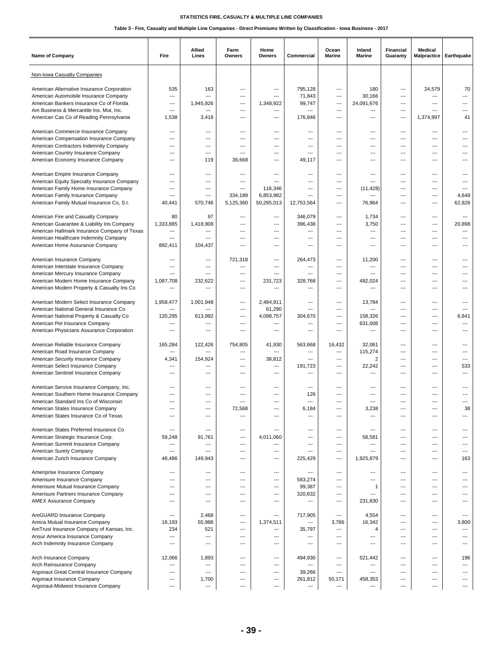| <b>Name of Company</b>                                                            | Fire                            | Allied<br>Lines       | Farm<br>Owners                  | Home<br>Owners | Commercial     | Ocean<br>Marine                        | Inland<br><b>Marine</b> | Financial<br>Guaranty           | Medical<br><b>Malpractice</b> | Earthquake |
|-----------------------------------------------------------------------------------|---------------------------------|-----------------------|---------------------------------|----------------|----------------|----------------------------------------|-------------------------|---------------------------------|-------------------------------|------------|
| Non-Iowa Casualty Companies                                                       |                                 |                       |                                 |                |                |                                        |                         |                                 |                               |            |
| American Alternative Insurance Corporation                                        | 535                             | 163                   | ---                             | ---            | 795,128        | ---                                    | 180                     | ---                             | 24,579                        | 70         |
| American Automobile Insurance Company                                             | ---                             | ---                   | $\overline{\phantom{a}}$        | ---            | 71,843         | $\qquad \qquad -$                      | 30,166                  | ---                             | ---                           | ---        |
| American Bankers Insurance Co of Florida                                          | ---                             | 1,945,926             | $---$                           | 1,348,922      | 99,747         | $---$                                  | 24,091,676              | ---                             | ---                           |            |
| Am Business & Mercantile Ins. Mut, Inc.                                           | ---                             | ---                   | $\overline{\phantom{a}}$        | ---            | ---            | $\overline{\phantom{a}}$               | ---                     | $\overline{\phantom{a}}$        | ---                           |            |
| American Cas Co of Reading Pennsylvania                                           | 1,538                           | 3,418                 | ---                             | ---            | 176,846        | ---                                    | ---                     | $\overline{\phantom{a}}$        | 1,374,997                     | 41         |
| American Commerce Insurance Company                                               | ---                             | ---                   | $---$                           | ---            | ---            | $\qquad \qquad \cdots$                 | ---                     | ---                             | ---                           |            |
| American Compensation Insurance Company                                           | ---                             | ---                   | $\overline{\phantom{a}}$        | ---            | $---$          | $---$                                  | ---                     | $\overline{\phantom{a}}$        | ---                           |            |
| American Contractors Indemnity Company                                            | ---                             | ---                   | ---                             | ---            | ---            | ---                                    | ---                     | $\overline{\phantom{a}}$        | ---                           |            |
| American Country Insurance Company                                                | ---                             | ---                   | $---$                           | ---            | ---            | $---$                                  | ---                     | ---                             | ---                           |            |
| American Economy Insurance Company                                                | ---                             | 119                   | 36,668                          | ---            | 49,117         | $---$                                  | ---                     | ---                             | ---                           |            |
|                                                                                   |                                 |                       |                                 |                |                |                                        |                         | $\overline{\phantom{a}}$        |                               |            |
| American Empire Insurance Company<br>American Equity Specialty Insurance Company  | ---<br>---                      | ---<br>$---$          | ---<br>$---$                    | ---            | ---<br>---     | ---<br>$---$                           | ---<br>---              | ---                             | ---<br>---                    |            |
| American Family Home Insurance Company                                            | ---                             | ---                   | $\overline{\phantom{a}}$        | 116,346        | ---            | $\qquad \qquad -$                      | (11, 428)               | $\overline{\phantom{a}}$        | ---                           | $---$      |
| American Family Insurance Company                                                 | ---                             | $\overline{a}$        | 334,189                         | 6,853,982      | ---            | $---$                                  | ---                     | ---                             | ---                           | 4,648      |
| American Family Mutual Insurance Co, S.I.                                         | 40,441                          | 570,746               | 5,125,360                       | 50,285,013     | 12,753,564     | ---                                    | 76,964                  | ---                             | ---                           | 62,826     |
|                                                                                   |                                 |                       |                                 |                |                |                                        |                         |                                 |                               |            |
| American Fire and Casualty Company                                                | 80                              | 97                    | $---$                           | ---            | 346,079        | $\qquad \qquad \cdots$                 | 1,734                   | ---                             | ---                           | ---        |
| American Guarantee & Liability Ins Company                                        | 1,333,885                       | 1,418,908             | ---                             | ---            | 396,438        | ---                                    | 3,750                   | $\overline{\phantom{a}}$        | ---                           | 20,898     |
| American Hallmark Insurance Company of Texas                                      | ---                             | ---                   | ---                             | ---            | ---            | ---                                    | ---                     | ---                             | ---                           | ---        |
| American Healthcare Indemnity Company<br>American Home Assurance Company          | ---<br>892,411                  | ---<br>104,437        | $\overline{\phantom{a}}$<br>--- | ---<br>---     | ---<br>---     | ---<br>$---$                           | ---<br>---              | ---<br>---                      | ---<br>---                    |            |
|                                                                                   |                                 |                       |                                 |                |                |                                        |                         |                                 |                               |            |
| American Insurance Company                                                        | ---                             | ---                   | 721,318                         | ---            | 264,473        | $\qquad \qquad -$                      | 11,200                  | $\overline{\phantom{a}}$        | ---                           |            |
| American Interstate Insurance Company                                             | ---                             | ---                   | ---                             | ---            | ---            | ---                                    | ---                     | ---                             | ---                           |            |
| American Mercury Insurance Company                                                | ---                             | ---                   | $---$                           | ---            | ---            | $---$                                  | ---                     | $---$                           | ---                           |            |
| American Modern Home Insurance Company                                            | 1,087,708                       | 232,622               | $---$                           | 231,723        | 328,768        | $---$                                  | 492,024                 | ---                             | ---                           | ---        |
| American Modern Property & Casualty Ins Co                                        | ---                             | ---                   | ---                             | ---            | ---            | ---                                    | ---                     | ---                             | ---                           |            |
| American Modern Select Insurance Company                                          | 1,958,477                       | 1,001,948             | $\qquad \qquad -$               | 2,484,911      | ---            | $\qquad \qquad -$                      | 13,784                  | ---                             | ---                           |            |
| American National General Insurance Co                                            | ---                             | ---                   | $---$                           | 61,290         | ---            | $\qquad \qquad \cdots$                 | $---$                   | $---$                           | ---                           | ---        |
| American National Property & Casualty Co                                          | 120,295                         | 613,992               | $\overline{\phantom{a}}$        | 4,098,757      | 304,670        | $\qquad \qquad \cdots$                 | 158,326                 | ---                             | ---                           | 6,841      |
| American Pet Insurance Company                                                    | ---                             | ---                   | $\overline{a}$                  | ---            | ---            | ---                                    | 631,008                 | ---                             | ---                           |            |
| American Physicians Assurance Corporation                                         | ---                             | ---                   | $---$                           | ---            | ---            | $---$                                  | ---                     | ---                             | ---                           | ---        |
| American Reliable Insurance Company                                               | 165,284                         | 122,426               | 754,805                         | 41,930         | 563,668        | 16,432                                 | 32,061                  | $\overline{\phantom{a}}$        | ---                           |            |
| American Road Insurance Company                                                   | ---                             | ---                   | ---                             | ---            | ---            | $\cdots$                               | 115,274                 | ---                             | ---                           |            |
| American Security Insurance Company                                               | 4,341                           | 154,924               | $---$                           | 38,812         | ---            | $---$                                  | $\overline{2}$          | ---                             | ---                           | $---$      |
| American Select Insurance Company                                                 | ---                             | ---                   | $\qquad \qquad \cdots$          | ---            | 191,723        | $\qquad \qquad \cdots$                 | 22,242                  | ---                             | $\overline{a}$                | 533        |
| American Sentinel Insurance Company                                               | ---                             | ---                   | ---                             | ---            | ---            | $---$                                  | ---                     | $\overline{\phantom{a}}$        | ---                           | ---        |
|                                                                                   |                                 |                       |                                 |                |                |                                        |                         |                                 |                               |            |
| American Service Insurance Company, Inc.                                          | ---                             | ---                   | $---$                           | ---            | $---$          | $---$                                  | ---                     | $---$                           | ---                           |            |
| American Southern Home Insurance Company<br>American Standard Ins Co of Wisconsin | $\overline{\phantom{a}}$<br>--- | ---<br>---            | $\overline{\phantom{a}}$        | ---<br>---     | 126<br>---     | $---$<br>---                           | ---<br>---              | ---<br>$\overline{\phantom{a}}$ | ---<br>---                    |            |
| American States Insurance Company                                                 |                                 | ---                   | 72,568                          | ---            | 6,184          | $\overline{\phantom{a}}$               | 3,238                   | ---                             |                               | 38         |
| American States Insurance Co of Texas                                             | ---                             | ---                   | $\overline{a}$                  | ---            | ---            | ---                                    | ---                     | ---                             | ---                           | ---        |
|                                                                                   |                                 |                       |                                 |                |                |                                        |                         |                                 |                               |            |
| American States Preferred Insurance Co                                            | ---                             | ---                   | $\qquad \qquad \cdots$          | ---            | ---            | $\qquad \qquad -$                      | ---                     | ---                             | ---                           | $---$      |
| American Strategic Insurance Corp.                                                | 59,248                          | 91,761                | ---                             | 4,011,060      | ---            | $\qquad \qquad -$                      | 58,581                  | ---                             | ---                           | ---        |
| American Summit Insurance Company                                                 | ---                             | ---                   | ---                             | ---            | ---            | ---                                    | ---                     | ---                             | ---                           |            |
| American Surety Company                                                           | ---                             | ---<br>149,943        | $---$<br>$\qquad \qquad \cdots$ | $---$<br>---   | ---            | $\qquad \qquad -$<br>$\qquad \qquad -$ | ---                     | ---<br>---                      | ---<br>---                    | ---<br>163 |
| American Zurich Insurance Company                                                 | 48,486                          |                       |                                 |                | 225,429        |                                        | 1,925,879               |                                 |                               |            |
| Ameriprise Insurance Company                                                      | ---                             | ---                   | ---                             | ---            | $\overline{a}$ | $\hspace{0.05cm} \ldots$               | ---                     | ---                             | ---                           | ---        |
| Amerisure Insurance Company                                                       | $---$                           | $---$                 | $---$                           | ---            | 583,274        | $---$                                  | ---                     | ---                             | ---                           | ---        |
| Amerisure Mutual Insurance Company                                                | $---$                           | ---                   | $\qquad \qquad \cdots$          | ---            | 99,387         | $\qquad \qquad \cdots$                 | $\mathbf{1}$            | ---                             | ---                           | ---        |
| Amerisure Partners Insurance Company                                              | ---                             | ---                   | $\overline{\phantom{a}}$        | ---            | 320,832        | $\qquad \qquad \cdots$                 | ---                     | ---                             | ---                           | ---        |
| <b>AMEX Assurance Company</b>                                                     | ---                             | ---                   | ---                             | ---            | ---            | ---                                    | 231,830                 | ---                             | ---                           |            |
| AmGUARD Insurance Company                                                         | $\overline{a}$                  | 2,468                 | $\qquad \qquad \cdots$          | ---            | 717,905        | $\overline{\phantom{a}}$               | 4,554                   | $\overline{\phantom{a}}$        | ---                           | $---$      |
| Amica Mutual Insurance Company                                                    | 18,193                          | 55,988                | ---                             | 1,374,511      | ---            | 3,786                                  | 16,342                  | $\overline{\phantom{a}}$        | ---                           | 3,800      |
| AmTrust Insurance Company of Kansas, Inc.                                         | 234                             | 521                   | $\overline{\phantom{a}}$        | ---            | 35,797         | ---                                    | 4                       | $\overline{\phantom{a}}$        | ---                           | ---        |
| Ansur America Insurance Company                                                   | ---                             | ---                   | $---$                           | ---            | ---            | $---$                                  | ---                     | ---                             | ---                           | ---        |
| Arch Indemnity Insurance Company                                                  | ---                             | $\overline{a}$        | $\qquad \qquad -$               | ---            | ---            | $\qquad \qquad -$                      | ---                     | $\overline{\phantom{a}}$        | ---                           | ---        |
|                                                                                   |                                 |                       |                                 |                |                |                                        |                         |                                 |                               |            |
| Arch Insurance Company                                                            | 12,066                          | 1,893                 | ---                             | ---            | 494,930<br>--- | $\hspace{0.05cm} \ldots$               | 521,442                 | ---                             | ---                           | 196        |
| Arch Reinsurance Company<br>Argonaut Great Central Insurance Company              | ---<br>---                      | ---<br>$\overline{a}$ | $---$<br>$---$                  | ---<br>---     | 39,266         | $---$<br>$\qquad \qquad -$             | ---<br>---              | ---<br>---                      | ---<br>$---$                  | ---<br>--- |
| Argonaut Insurance Company                                                        | ---                             | 1,700                 | ---                             | ---            | 261,812        | 50,171                                 | 458,353                 | ---                             | ---                           |            |
| Argonaut-Midwest Insurance Company                                                | $\overline{\phantom{a}}$        | ---                   | $\overline{\phantom{a}}$        | ---            | ---            | $\cdots$                               | ---                     | $\overline{\phantom{a}}$        | ---                           |            |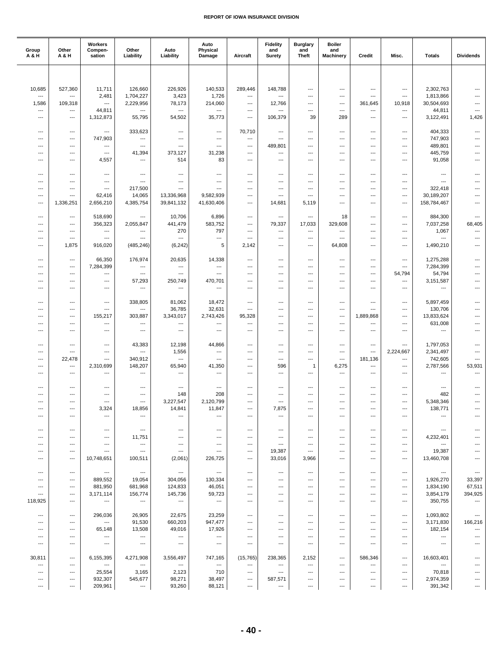| Group<br>A & H                     | Other<br>A & H                                       | Workers<br>Compen-<br>sation                         | Other<br>Liability                  | Auto<br>Liability                   | Auto<br>Physical<br>Damage                           | Aircraft                        | <b>Fidelity</b><br>and<br>Surety | <b>Burglary</b><br>and<br><b>Theft</b>               | <b>Boiler</b><br>and<br><b>Machinery</b> | Credit                                               | Misc.                                                | <b>Totals</b>            | <b>Dividends</b>                           |
|------------------------------------|------------------------------------------------------|------------------------------------------------------|-------------------------------------|-------------------------------------|------------------------------------------------------|---------------------------------|----------------------------------|------------------------------------------------------|------------------------------------------|------------------------------------------------------|------------------------------------------------------|--------------------------|--------------------------------------------|
|                                    |                                                      |                                                      |                                     |                                     |                                                      |                                 |                                  |                                                      |                                          |                                                      |                                                      |                          |                                            |
|                                    |                                                      |                                                      |                                     |                                     |                                                      |                                 |                                  |                                                      |                                          |                                                      |                                                      |                          |                                            |
| 10,685<br>$\overline{\phantom{a}}$ | 527,360<br>---                                       | 11,711<br>2,481                                      | 126,660<br>1,704,227                | 226,926<br>3,423                    | 140,533<br>1,726                                     | 289,446<br>---                  | 148,788<br>---                   | ---<br>$\overline{a}$                                | ---<br>---                               | ---<br>$---$                                         | $\overline{\phantom{a}}$<br>$\overline{\phantom{a}}$ | 2,302,763<br>1,813,866   | $\overline{\phantom{a}}$<br>$\overline{a}$ |
| 1,586                              | 109,318                                              | $---$                                                | 2,229,956                           | 78,173                              | 214,060                                              | $\hspace{0.05cm} \ldots$        | 12,766                           | ---                                                  | ---                                      | 361,645                                              | 10,918                                               | 30,504,693               |                                            |
| $\overline{\phantom{a}}$           | ---                                                  | 44,811                                               | ---                                 | ---                                 | $\hspace{0.05cm} \ldots$                             | ---                             | ---                              | ---                                                  | ---                                      | ---                                                  | ---                                                  | 44,811                   | ---                                        |
| ---                                | $---$                                                | 1,312,873                                            | 55,795                              | 54,502                              | 35,773                                               | $\cdots$                        | 106,379                          | 39                                                   | 289                                      | ---                                                  | ---                                                  | 3,122,491                | 1,426                                      |
| ---                                | ---                                                  | $\hspace{0.05cm} \ldots$                             | 333,623                             | ---                                 | $\hspace{0.05cm} \ldots$                             | 70,710                          | ---                              | ---                                                  | ---                                      | ---                                                  | ---                                                  | 404,333                  | ---                                        |
| ---                                | ---                                                  | 747,903                                              | ---                                 | ---                                 | $\hspace{0.05cm} \ldots$                             | ---                             | ---                              | ---                                                  | ---                                      | ---                                                  | ---                                                  | 747,903                  | ---                                        |
| ---                                | $---$                                                | $\hspace{0.05cm} \ldots$                             | $\overline{\phantom{a}}$            | ---                                 | $---$                                                | ---                             | 489,801                          | $\overline{\phantom{a}}$                             | ---                                      | ---                                                  | $---$                                                | 489,801                  | $---$                                      |
| ---<br>$\overline{\phantom{a}}$    | ---<br>$\overline{\phantom{a}}$                      | $---$<br>4,557                                       | 41,394<br>---                       | 373,127<br>514                      | 31,238<br>83                                         | ---<br>---                      | ---<br>---                       | $\overline{a}$<br>---                                | ---<br>$\overline{a}$                    | $---$<br>$---$                                       | $\overline{a}$<br>$\overline{a}$                     | 445,759<br>91,058        | $\overline{a}$                             |
|                                    |                                                      |                                                      |                                     |                                     |                                                      |                                 |                                  |                                                      |                                          |                                                      |                                                      |                          |                                            |
| $\overline{\phantom{a}}$           | $---$                                                | $\hspace{0.05cm} \ldots$                             | ---                                 | ---                                 | ---                                                  | ---                             | ---                              | ---                                                  | ---                                      | ---                                                  | ---                                                  | ---                      | $---$                                      |
| $---$<br>---                       | $---$<br>---                                         | $---$<br>$\hspace{0.05cm} \ldots$                    | $\overline{\phantom{a}}$<br>217,500 | $\overline{\phantom{a}}$<br>$---$   | $---$<br>$\overline{\phantom{a}}$                    | $\overline{\phantom{a}}$<br>--- | ---<br>---                       | ---<br>---                                           | ---<br>---                               | ---<br>---                                           | ---<br>---                                           | ---<br>322,418           | $\overline{\phantom{a}}$<br>---            |
| ---                                | $\overline{\phantom{a}}$                             | 62,416                                               | 14,065                              | 13,336,968                          | 9,582,939                                            | ---                             | ---                              | ---                                                  | ---                                      | ---                                                  | ---                                                  | 30,189,207               | $\overline{a}$                             |
| ---                                | 1,336,251                                            | 2,656,210                                            | 4,385,754                           | 39,841,132                          | 41,630,406                                           | ---                             | 14,681                           | 5,119                                                | ---                                      | $---$                                                | ---                                                  | 158,784,467              | $---$                                      |
| ---                                | ---                                                  | 518,690                                              | $\overline{a}$                      | 10,706                              | 6,896                                                | ---                             | ---                              | ---                                                  | 18                                       | ---                                                  | ---                                                  | 884,300                  | $\overline{\phantom{a}}$                   |
|                                    | ---                                                  | 356,323                                              | 2,055,847                           | 441,479                             | 583,752                                              | ---                             | 79,337                           | 17,033                                               | 329,608                                  | $---$                                                | ---                                                  | 7,037,258                | 68,405                                     |
| ---                                | ---                                                  | ---                                                  | ---                                 | 270                                 | 797                                                  | $\hspace{0.05cm} \ldots$        | ---                              | ---                                                  | ---                                      | ---                                                  | ---                                                  | 1,067                    | ---                                        |
| $---$                              | $---$                                                | $---$                                                | ---                                 | $\overline{\phantom{a}}$            | $---$                                                | $\cdots$                        | ---                              | ---<br>$\overline{\phantom{a}}$                      | ---                                      | ---<br>$\overline{\phantom{a}}$                      | $---$                                                | ---                      | ---<br>$\overline{\phantom{a}}$            |
| ---                                | 1,875                                                | 916,020                                              | (485, 246)                          | (6, 242)                            | 5                                                    | 2,142                           | ---                              |                                                      | 64,808                                   |                                                      | ---                                                  | 1,490,210                |                                            |
| $\overline{\phantom{a}}$           | ---                                                  | 66,350                                               | 176,974                             | 20,635                              | 14,338                                               | ---                             | ---                              | ---                                                  | ---                                      | ---                                                  | ---                                                  | 1,275,288                | ---                                        |
| $\overline{\phantom{a}}$           | $---$                                                | 7,284,399                                            | $\hspace{0.05cm} \ldots$            | ---                                 | ---                                                  | ---                             | ---                              | $---$                                                | $\overline{a}$                           | ---                                                  | $\overline{\phantom{a}}$                             | 7,284,399                |                                            |
| $\overline{\phantom{a}}$<br>---    | $---$<br>---                                         | $\overline{\phantom{a}}$<br>---                      | $\overline{\phantom{a}}$<br>57,293  | $\overline{\phantom{a}}$<br>250,749 | $\overline{\phantom{a}}$<br>470,701                  | ---<br>---                      | ---<br>---                       | $\overline{a}$<br>---                                | ---<br>$\overline{a}$                    | $\overline{\phantom{a}}$<br>---                      | 54,794<br>$\overline{a}$                             | 54,794<br>3,151,587      | ---                                        |
| ---                                | ---                                                  | ---                                                  | ---                                 | ---                                 | $\hspace{0.05cm} \ldots$                             | ---                             | ---                              | ---                                                  | ---                                      | ---                                                  | ---                                                  | ---                      | $\overline{a}$                             |
|                                    |                                                      |                                                      |                                     |                                     |                                                      |                                 |                                  |                                                      |                                          |                                                      |                                                      |                          |                                            |
| $---$<br>---                       | $---$<br>---                                         | $\hspace{0.05cm} \ldots$<br>$\hspace{0.05cm} \ldots$ | 338,805<br>---                      | 81,062<br>36,785                    | 18,472<br>32,631                                     | $\overline{\phantom{a}}$<br>--- | $---$<br>---                     | ---<br>---                                           | ---<br>---                               | ---<br>---                                           | ---<br>---                                           | 5,897,459<br>130,706     | ---<br>---                                 |
| ---                                | ---                                                  | 155,217                                              | 303,887                             | 3,343,017                           | 2,743,426                                            | 95,328                          | ---                              | ---                                                  | ---                                      | 1,889,868                                            | ---                                                  | 13,833,624               | ---                                        |
| ---                                | $---$                                                | $\hspace{0.05cm} \ldots$                             | ---                                 | ---                                 | ---                                                  | ---                             | ---                              | ---                                                  | ---                                      | $---$                                                | ---                                                  | 631,008                  | $\overline{a}$                             |
| ---                                | ---                                                  | $---$                                                | $\overline{\phantom{a}}$            | $\overline{\phantom{a}}$            | $\overline{\phantom{a}}$                             | ---                             | ---                              | ---                                                  | ---                                      | ---                                                  | $\overline{\phantom{a}}$                             | ---                      | ---                                        |
| $\overline{\phantom{a}}$           | $\overline{\phantom{a}}$                             | ---                                                  | 43,383                              | 12,198                              | 44,866                                               | ---                             | ---                              | ---                                                  | ---                                      | ---                                                  | ---                                                  | 1,797,053                | ---                                        |
| $\overline{\phantom{a}}$           | $---$                                                | $\hspace{0.05cm} \ldots$                             | $\overline{a}$                      | 1,556                               | ---                                                  | ---                             | ---                              | ---                                                  | ---                                      | ---                                                  | 2,224,667                                            | 2,341,497                | ---                                        |
| ---                                | 22,478                                               | $\overline{\phantom{a}}$                             | 340,912                             | ---                                 | $\overline{\phantom{a}}$                             | $\overline{\phantom{a}}$        | $\overline{a}$                   | $\overline{\phantom{a}}$                             | $\overline{\phantom{a}}$                 | 181,136                                              | $\overline{\phantom{a}}$                             | 742,605                  | $\overline{\phantom{a}}$                   |
| ---<br>$\overline{\phantom{a}}$    | ---<br>$\overline{\phantom{a}}$                      | 2,310,699<br>$\hspace{0.05cm} \ldots$                | 148,207<br>---                      | 65,940<br>---                       | 41,350<br>$\hspace{0.05cm} \ldots$                   | ---<br>---                      | 596<br>---                       | $\mathbf{1}$<br>---                                  | 6,275<br>---                             | ---<br>---                                           | ---<br>---                                           | 2,787,566<br>---         | 53,931<br>---                              |
|                                    |                                                      |                                                      |                                     |                                     |                                                      |                                 |                                  |                                                      |                                          |                                                      |                                                      |                          |                                            |
| $\overline{\phantom{a}}$           | $---$                                                | $---$                                                | $---$                               | ---                                 | $---$                                                | ---                             | ---                              | ---                                                  | ---                                      | ---                                                  | ---                                                  | $\overline{a}$           | $---$                                      |
| ---<br>---                         | $\overline{\phantom{a}}$<br>$\overline{\phantom{a}}$ | ---                                                  | ---<br>$\overline{a}$               | 148<br>3,227,547                    | 208<br>2,120,799                                     | ---                             | ---<br>$\overline{a}$            | ---<br>$\overline{a}$                                | ---<br>---                               | ---<br>$---$                                         | ---<br>$\overline{a}$                                | 482<br>5,348,346         | ---                                        |
|                                    |                                                      | ---<br>3,324                                         | 18,856                              | 14,841                              | 11,847                                               | ---<br>---                      | 7,875                            | ---                                                  |                                          | ---                                                  | ---                                                  | 138,771                  |                                            |
| ---                                | $---$                                                | ---                                                  | ---                                 | $\hspace{0.05cm} \ldots$            | $\hspace{0.05cm} \ldots$                             | ---                             | ---                              | ---                                                  | ---                                      | ---                                                  | ---                                                  | ---                      |                                            |
|                                    |                                                      |                                                      |                                     |                                     |                                                      |                                 |                                  |                                                      |                                          |                                                      |                                                      |                          |                                            |
| ---<br>---                         | ---<br>---                                           | ---<br>$\hspace{0.05cm} \ldots$                      | $\hspace{0.05cm} \ldots$<br>11,751  | ---<br>---                          | $\hspace{0.05cm} \ldots$<br>$\hspace{0.05cm} \ldots$ | $\hspace{0.05cm} \ldots$<br>--- | ---<br>---                       | $\hspace{0.05cm} \ldots$<br>$\hspace{0.05cm} \ldots$ | ---<br>---                               | $\hspace{0.05cm} \ldots$<br>$\hspace{0.05cm} \ldots$ | $\cdots$<br>---                                      | ---<br>4,232,401         |                                            |
| $---$                              | $---$                                                | $\hspace{0.05cm} \ldots$                             | ---                                 | ---                                 | $---$                                                | ---                             | $\overline{\phantom{a}}$         | $\overline{\phantom{a}}$                             | ---                                      | $\overline{\phantom{a}}$                             | ---                                                  | ---                      |                                            |
| $---$                              | $\hspace{0.05cm} \ldots$                             | $---$                                                | $\hspace{0.05cm} \ldots$            | $\overline{\phantom{a}}$            | $---$                                                | ---                             | 19,387                           | $\overline{\phantom{a}}$                             | ---                                      | $\overline{\phantom{a}}$                             | ---                                                  | 19,387                   |                                            |
| $\overline{\phantom{a}}$           | $\overline{\phantom{a}}$                             | 10,748,651                                           | 100,511                             | (2,061)                             | 226,725                                              | $\hspace{0.05cm} \ldots$        | 33,016                           | 3,966                                                | ---                                      | ---                                                  | ---                                                  | 13,460,708               |                                            |
| $\qquad \qquad -$                  | $\hspace{0.05cm} \ldots$                             | $\hspace{0.05cm} \ldots$                             | $\hspace{0.05cm} \cdots$            | $\hspace{0.05cm} \ldots$            | $\hspace{0.05cm} \ldots$                             | $\overline{\phantom{a}}$        | ---                              | $\overline{\phantom{a}}$                             | $---$                                    | $---$                                                | $---$                                                | $\hspace{0.05cm} \ldots$ | $\hspace{0.05cm} \cdots$                   |
| $---$                              | $---$                                                | 889,552                                              | 19,054                              | 304,056                             | 130,334                                              | $---$                           | $---$                            | ---                                                  | $---$                                    | ---                                                  | ---                                                  | 1,926,270                | 33,397                                     |
| ---                                | ---                                                  | 881,950                                              | 681,968                             | 124,833                             | 46,051                                               | $\hspace{0.05cm} \ldots$        | ---                              | $\hspace{0.05cm} \ldots$                             | ---                                      | $\hspace{0.05cm} \ldots$                             | $\cdots$                                             | 1,834,190                | 67,511                                     |
| ---<br>118,925                     | ---<br>$\hspace{0.05cm} \ldots$                      | 3,171,114<br>$\hspace{0.05cm} \cdots$                | 156,774<br>$\hspace{0.05cm} \ldots$ | 145,736<br>$\hspace{0.05cm} \ldots$ | 59,723<br>$\hspace{0.05cm} \cdots$                   | ---<br>---                      | ---<br>---                       | ---<br>$---$                                         | ---<br>$---$                             | ---<br>$---$                                         | ---<br>$---$                                         | 3,854,179<br>350,755     | 394,925<br>$\hspace{0.05cm} \ldots$        |
|                                    |                                                      |                                                      |                                     |                                     |                                                      |                                 |                                  |                                                      |                                          |                                                      |                                                      |                          |                                            |
| ---                                | $\hspace{0.05cm} \ldots$                             | 296,036                                              | 26,905                              | 22,675                              | 23,259                                               | ---                             | ---                              | $\overline{\phantom{a}}$                             | ---                                      | ---                                                  | ---                                                  | 1,093,802                | ---                                        |
| ---<br>---                         | ---<br>$\hspace{0.05cm} \ldots$                      | $\hspace{0.05cm} \ldots$<br>65,148                   | 91,530<br>13,508                    | 660,203<br>49,016                   | 947,477<br>17,926                                    | ---<br>$---$                    | ---<br>---                       | $\hspace{0.05cm} \ldots$<br>---                      | ---<br>---                               | $\hspace{0.05cm} \ldots$<br>---                      | ---<br>---                                           | 3,171,830<br>182,154     | 166,216<br>$\hspace{0.05cm} \ldots$        |
| $\cdots$                           | $---$                                                | $\hspace{0.05cm} \ldots$                             | $\hspace{0.05cm} \ldots$            | $\hspace{0.05cm} \ldots$            | $\hspace{0.05cm} \ldots$                             | $\overline{\phantom{a}}$        | ---                              | $\overline{\phantom{a}}$                             | ---                                      | $\overline{\phantom{a}}$                             | ---                                                  | ---                      | ---                                        |
| ---                                | ---                                                  | ---                                                  | $\hspace{0.05cm} \ldots$            | $\hspace{0.05cm} \ldots$            | $\hspace{0.05cm} \ldots$                             | $\hspace{0.05cm} \ldots$        | ---                              | $\hspace{0.05cm} \ldots$                             | ---                                      | $\hspace{0.05cm} \ldots$                             | ---                                                  | ---                      | $\qquad \qquad \cdots$                     |
| 30,811                             | $\hspace{0.05cm} \ldots$                             | 6,155,395                                            | 4,271,908                           | 3,556,497                           | 747,165                                              | (15, 765)                       | 238,365                          | 2,152                                                | ---                                      | 586,346                                              | ---                                                  | 16,603,401               |                                            |
| ---                                | $---$                                                | $\hspace{0.05cm} \ldots$                             | $\hspace{0.05cm} \ldots$            | $\hspace{0.05cm} \ldots$            | $\hspace{0.05cm} \ldots$                             | ---                             | $\overline{\phantom{a}}$         | $\overline{\phantom{a}}$                             | ---                                      | $---$                                                | $---$                                                | $\hspace{0.05cm} \ldots$ |                                            |
| ---                                | ---                                                  | 25,554                                               | 3,165                               | 2,123                               | 710                                                  | $\hspace{0.05cm} \ldots$        | ---                              | $\hspace{0.05cm} \ldots$                             | ---                                      | $\hspace{0.05cm} \ldots$                             | ---                                                  | 70,818                   |                                            |
| $\overline{\phantom{a}}$<br>---    | ---<br>---                                           | 932,307<br>209,961                                   | 545,677<br>---                      | 98,271<br>93,260                    | 38,497<br>88,121                                     | ---<br>---                      | 587,571<br>---                   | ---<br>---                                           | ---<br>---                               | ---<br>---                                           | ---<br>---                                           | 2,974,359<br>391,342     | ---                                        |
|                                    |                                                      |                                                      |                                     |                                     |                                                      |                                 |                                  |                                                      |                                          |                                                      |                                                      |                          |                                            |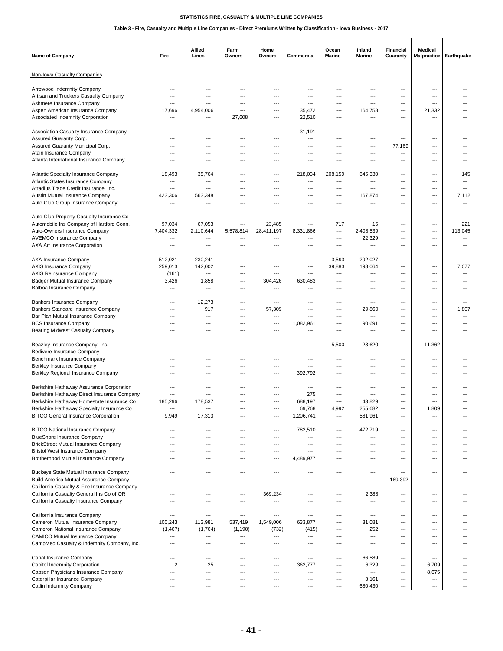| <b>Name of Company</b>                                                               | Fire                            | Allied<br>Lines           | Farm<br>Owners           | Home<br>Owners | Commercial       | Ocean<br>Marine | Inland<br>Marine | <b>Financial</b><br>Guaranty                         | <b>Medical</b>           | Malpractice   Earthquake |
|--------------------------------------------------------------------------------------|---------------------------------|---------------------------|--------------------------|----------------|------------------|-----------------|------------------|------------------------------------------------------|--------------------------|--------------------------|
| Non-Iowa Casualty Companies                                                          |                                 |                           |                          |                |                  |                 |                  |                                                      |                          |                          |
| Arrowood Indemnity Company                                                           | ---                             | ---                       | ---                      | ---            | ---              | ---             | ---              | ---                                                  | ---                      |                          |
| Artisan and Truckers Casualty Company                                                | ---                             | ---                       | ---                      | ---            | ---              | ---             | ---              | ---                                                  | ---                      | ---                      |
| Ashmere Insurance Company                                                            | ---                             | ---                       | ---                      | ---            | ---              | ---             | ---              | $---$                                                | $\overline{a}$           | ---                      |
| Aspen American Insurance Company                                                     | 17,696                          | 4,954,006                 | ---                      | ---            | 35,472           | ---             | 164,758          | $\overline{\phantom{a}}$                             | 21,332                   |                          |
| Associated Indemnity Corporation                                                     | ---                             | ---                       | 27,608                   | ---            | 22,510           | ---             | ---              | ---                                                  | ---                      |                          |
|                                                                                      |                                 |                           |                          |                |                  |                 |                  |                                                      |                          |                          |
| Association Casualty Insurance Company                                               | $---$                           | ---                       | ---                      | ---            | 31,191           | ---             | ---              | ---                                                  | ---                      | ---                      |
| Assured Guaranty Corp.                                                               | $\overline{a}$                  | ---                       | ---                      | ---            | ---              | ---             | ---              | $\overline{\phantom{a}}$                             | $\overline{a}$           | ---                      |
| Assured Guaranty Municipal Corp.                                                     | ---<br>---                      | ---<br>---                | ---<br>---               | ---<br>---     | ---<br>$---$     | ---<br>---      | ---<br>---       | 77,169<br>---                                        | ---<br>---               | ---                      |
| Atain Insurance Company<br>Atlanta International Insurance Company                   | ---                             | ---                       | ---                      | ---            | $---$            | ---             | ---              | $---$                                                | $---$                    |                          |
|                                                                                      |                                 |                           |                          |                |                  |                 |                  |                                                      |                          |                          |
| Atlantic Specialty Insurance Company                                                 | 18,493                          | 35,764                    | ---                      | ---            | 218,034          | 208,159         | 645,330          | ---                                                  | ---                      | 145                      |
| Atlantic States Insurance Company                                                    | ---                             | ---                       | ---                      | ---            | ---              | ---             | ---              | $---$                                                | $---$                    | ---                      |
| Atradius Trade Credit Insurance, Inc.                                                | $\overline{a}$                  | ---                       | ---                      | ---            | $\overline{a}$   | ---             | ---              | $\overline{\phantom{a}}$                             | ---                      | ---                      |
| Austin Mutual Insurance Company                                                      | 423,306                         | 563,348                   | ---                      | ---            | ---              | ---             | 167,874          | $\overline{\phantom{a}}$                             | ---                      | 7,112                    |
| Auto Club Group Insurance Company                                                    | ---                             | ---                       | ---                      | ---            | ---              | ---             | ---              | ---                                                  | ---                      | $\overline{\phantom{a}}$ |
|                                                                                      |                                 |                           |                          |                |                  |                 |                  |                                                      |                          |                          |
| Auto Club Property-Casualty Insurance Co                                             | ---                             | ---                       | ---                      | ---            | ---              | $---$           | ---              | $---$                                                | $---$                    | ---                      |
| Automobile Ins Company of Hartford Conn.                                             | 97,034                          | 67,053                    | ---                      | 23,485         | ---              | 717             | 15               | ---                                                  | ---                      | 221                      |
| Auto-Owners Insurance Company                                                        | 7,404,332                       | 2,110,644                 | 5,578,814                | 28,411,197     | 8.331.866        | ---             | 2,408,539        | ---                                                  | ---                      | 113,045                  |
| <b>AVEMCO Insurance Company</b>                                                      | ---                             | ---                       | ---                      | ---            | ---              | ---             | 22,329           | ---                                                  | ---                      | ---                      |
| AXA Art Insurance Corporation                                                        | ---                             | ---                       | ---                      | ---            | $---$            | ---             | ---              | $---$                                                | $---$                    | ---                      |
|                                                                                      |                                 |                           |                          |                |                  |                 |                  |                                                      |                          |                          |
| AXA Insurance Company                                                                | 512,021<br>259,013              | 230,241                   | ---                      | ---<br>---     | ---              | 3,593<br>39,883 | 292,027          | $\overline{\phantom{a}}$<br>$\overline{\phantom{a}}$ | ---<br>---               | ---<br>7,077             |
| AXIS Insurance Company<br>AXIS Reinsurance Company                                   | (161)                           | 142,002<br>$\overline{a}$ | ---<br>---               | ---            | ---<br>$---$     | ---             | 198,064<br>---   | $---$                                                | $---$                    | ---                      |
| Badger Mutual Insurance Company                                                      | 3,426                           | 1,858                     | ---                      | 304,426        | 630,483          | ---             | ---              | $---$                                                | $---$                    | ---                      |
| Balboa Insurance Company                                                             | ---                             | ---                       | ---                      | ---            | ---              | ---             | ---              | ---                                                  | ---                      |                          |
|                                                                                      |                                 |                           |                          |                |                  |                 |                  |                                                      |                          |                          |
| Bankers Insurance Company                                                            | $\overline{\phantom{a}}$        | 12,273                    | ---                      | ---            | ---              | ---             | ---              | ---                                                  | $\overline{\phantom{a}}$ | ---                      |
| Bankers Standard Insurance Company                                                   | $---$                           | 917                       | ---                      | 57,309         | $---$            | ---             | 29,860           | $---$                                                | $---$                    | 1,807                    |
| Bar Plan Mutual Insurance Company                                                    | ---                             | ---                       | ---                      | ---            | ---              | ---             | ---              | $\overline{\phantom{a}}$                             | ---                      | ---                      |
| <b>BCS Insurance Company</b>                                                         | ---                             | ---                       | ---                      | ---            | 1,082,961        | ---             | 90,691           | $\overline{\phantom{a}}$                             | ---                      |                          |
| Bearing Midwest Casualty Company                                                     | ---                             | ---                       | ---                      | ---            | ---              | ---             | ---              | $---$                                                | $---$                    | ---                      |
|                                                                                      |                                 |                           |                          |                |                  |                 |                  |                                                      |                          |                          |
| Beazley Insurance Company, Inc.                                                      | ---                             | ---                       | ---                      | ---            | $---$            | 5,500           | 28,620           | ---                                                  | 11,362                   | ---                      |
| Bedivere Insurance Company                                                           | ---                             | ---                       | ---                      | ---            | ---              | ---             | ---              | $\overline{\phantom{a}}$                             | ---                      |                          |
| Benchmark Insurance Company                                                          | ---                             | ---                       | ---                      | ---            | $---$            | ---             | ---              | $---$                                                | ---                      | ---                      |
| Berkley Insurance Company                                                            | ---                             | ---                       | ---                      | ---            | $---$            | ---             | ---              | ---                                                  | $---$                    | ---                      |
| Berkley Regional Insurance Company                                                   | $\overline{\phantom{a}}$        | ---                       | ---                      | ---            | 392,792          | ---             | ---              | $\overline{\phantom{a}}$                             | ---                      | ---                      |
| Berkshire Hathaway Assurance Corporation                                             | ---                             | ---                       | ---                      | ---            | $---$            | $\overline{a}$  | ---              | $---$                                                | $---$                    | ---                      |
| Berkshire Hathaway Direct Insurance Company                                          | $\overline{a}$                  | ---                       | $---$                    | ---            | 275              | ---             | ---              | ---                                                  | ---                      | ---                      |
| Berkshire Hathaway Homestate Insurance Co                                            | 185,296                         | 178,537                   | ---                      | ---            | 688,197          | ---             | 43,829           | $\overline{\phantom{a}}$                             | ---                      |                          |
| Berkshire Hathaway Specialty Insurance Co                                            |                                 |                           | ---                      | ---            | 69,768           | 4,992           | 255,682          | $\overline{\phantom{a}}$                             | 1,809                    |                          |
| <b>BITCO General Insurance Corporation</b>                                           | 9,949                           | 17,313                    | ---                      | ---            | 1,206,741        | ---             | 581,961          | $\overline{\phantom{a}}$                             | ---                      | ---                      |
|                                                                                      |                                 |                           |                          |                |                  |                 |                  |                                                      |                          |                          |
| <b>BITCO National Insurance Company</b>                                              | ---                             | ---                       | $---$                    | ---            | 782,510          | ---             | 472,719          | $\qquad \qquad -$                                    | $\overline{\phantom{a}}$ | ---                      |
| <b>BlueShore Insurance Company</b>                                                   | ---                             | ---                       | ---                      | ---            | ---              | ---             | ---              | $\overline{\phantom{a}}$                             | ---                      | ---<br>---               |
| <b>BrickStreet Mutual Insurance Company</b><br><b>Bristol West Insurance Company</b> | ---<br>$\overline{\phantom{a}}$ | ---<br>---                | ---<br>---               | ---<br>---     | ---<br>---       | ---<br>---      | ---<br>---       | ---<br>$\qquad \qquad -$                             | ---<br>---               | ---                      |
| Brotherhood Mutual Insurance Company                                                 | ---                             | ---                       | ---                      | ---            | 4,489,977        | ---             | ---              | ---                                                  | ---                      | ---                      |
|                                                                                      |                                 |                           |                          |                |                  |                 |                  |                                                      |                          |                          |
| Buckeye State Mutual Insurance Company                                               | ---                             | ---                       | ---                      | ---            | ---              | ---             | ---              | ---                                                  | ---                      | ---                      |
| Build America Mutual Assurance Company                                               | ---                             | ---                       | ---                      | ---            | $---$            | $---$           | ---              | 169,392                                              | $---$                    | ---                      |
| California Casualty & Fire Insurance Company                                         | ---                             | ---                       | $---$                    | ---            | ---              | $---$           | ---              | $\qquad \qquad -$                                    | $\cdots$                 | ---                      |
| California Casualty General Ins Co of OR                                             | ---                             | ---                       | ---                      | 369,234        | ---              | ---             | 2,388            | $---$                                                | ---                      | ---                      |
| California Casualty Insurance Company                                                | ---                             | ---                       | ---                      | ---            | ---              | ---             | ---              | ---                                                  | ---                      |                          |
|                                                                                      |                                 |                           |                          |                |                  |                 |                  |                                                      |                          |                          |
| California Insurance Company                                                         | $\overline{\phantom{a}}$        | ---                       | $\overline{\phantom{a}}$ | ---            | $\overline{a}$   | $---$           | ---              | $\qquad \qquad -$                                    | ---                      | ---                      |
| Cameron Mutual Insurance Company                                                     | 100,243                         | 113,981                   | 537,419                  | 1,549,006      | 633,877          | ---             | 31,081           | $\overline{\phantom{a}}$                             | ---                      | ---                      |
| Cameron National Insurance Company                                                   | (1, 467)                        | (1,764)                   | (1, 190)                 | (732)          | (415)            | ---             | 252              | $\overline{\phantom{a}}$                             | ---                      | ---                      |
| <b>CAMICO Mutual Insurance Company</b>                                               | ---                             | ---                       | ---                      | ---            | ---              | ---             | ---              | $---$                                                | ---                      | ---                      |
| CampMed Casualty & Indemnity Company, Inc.                                           | ---                             | $\overline{a}$            | $\overline{\phantom{a}}$ | ---            | $\overline{a}$   | $---$           | ---              | $\qquad \qquad -$                                    | $---$                    | ---                      |
|                                                                                      |                                 |                           |                          |                |                  |                 |                  |                                                      |                          |                          |
| Canal Insurance Company                                                              | ---                             | ---                       | ---<br>---               | ---<br>---     | ---              | ---<br>---      | 66,589           | ---<br>---                                           | ---                      | ---<br>---               |
| Capitol Indemnity Corporation<br>Capson Physicians Insurance Company                 | 2<br>---                        | 25<br>---                 | ---                      | ---            | 362,777<br>$---$ | $---$           | 6,329<br>---     | ---                                                  | 6,709<br>8,675           | ---                      |
| Caterpillar Insurance Company                                                        | ---                             | ---                       | ---                      | ---            | $---$            | ---             | 3,161            | ---                                                  | ---                      | ---                      |
| Catlin Indemnity Company                                                             | $\overline{a}$                  | $\overline{a}$            | $\overline{a}$           | ---            | ---              | ---             | 680,430          | $\overline{\phantom{a}}$                             | $\overline{a}$           | ---                      |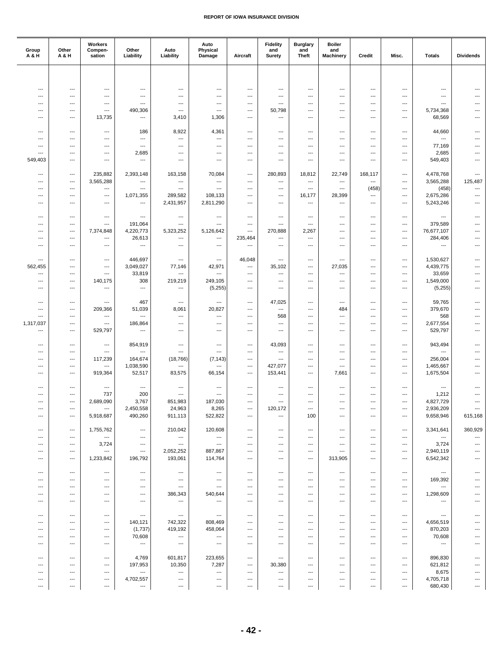| Group<br>A & H        | Other<br>A & H                | Workers<br>Compen-<br>sation                         | Other<br>Liability                    | Auto<br>Liability                                    | Auto<br>Physical<br>Damage                           | Aircraft                             | <b>Fidelity</b><br>and<br>Surety | <b>Burglary</b><br>and<br><b>Theft</b> | <b>Boiler</b><br>and<br><b>Machinery</b> | Credit                          | Misc.                    | <b>Totals</b>                       | <b>Dividends</b>                |
|-----------------------|-------------------------------|------------------------------------------------------|---------------------------------------|------------------------------------------------------|------------------------------------------------------|--------------------------------------|----------------------------------|----------------------------------------|------------------------------------------|---------------------------------|--------------------------|-------------------------------------|---------------------------------|
|                       |                               |                                                      |                                       |                                                      |                                                      |                                      |                                  |                                        |                                          |                                 |                          |                                     |                                 |
|                       |                               |                                                      |                                       |                                                      |                                                      |                                      |                                  |                                        |                                          |                                 |                          |                                     |                                 |
| ---                   | ---                           | ---                                                  | ---                                   | ---                                                  | ---                                                  | ---                                  | ---                              | ---                                    | ---                                      | ---                             | $---$                    | $\overline{a}$                      | $---$                           |
| ---<br>---            | ---<br>---                    | $\overline{\phantom{a}}$<br>$\hspace{0.05cm} \ldots$ | $\overline{\phantom{a}}$<br>---       | $---$<br>---                                         | ---<br>$\hspace{0.05cm} \ldots$                      | ---<br>---                           | ---<br>---                       | ---<br>---                             | ---<br>---                               | ---<br>---                      | ---<br>---               | ---<br>---                          |                                 |
| ---                   | $---$                         | $\cdots$                                             | 490,306                               | ---                                                  | ---                                                  | ---                                  | 50,798                           | ---                                    | ---                                      | ---                             | ---                      | 5,734,368                           | ---                             |
| ---                   | ---                           | 13,735                                               | $\hspace{0.05cm} \ldots$              | 3,410                                                | 1,306                                                | $\overline{\phantom{a}}$             | $\overline{a}$                   | ---                                    | ---                                      | $---$                           | ---                      | 68,569                              | $\overline{\phantom{a}}$        |
|                       |                               |                                                      |                                       |                                                      |                                                      |                                      |                                  |                                        |                                          |                                 |                          |                                     |                                 |
| ---                   | ---                           | $\hspace{0.05cm} \ldots$                             | 186                                   | 8,922                                                | 4,361                                                | ---                                  | ---                              | ---                                    | ---                                      | ---                             | ---                      | 44,660                              | ---                             |
| ---                   | ---                           | ---                                                  | $\hspace{0.05cm} \ldots$              | $\hspace{0.05cm} \ldots$                             | $\hspace{0.05cm} \ldots$                             | ---                                  | ---                              | ---                                    | ---                                      | ---                             | ---                      | ---                                 |                                 |
| ---<br>---            | $\cdots$<br>---               | $---$<br>$\overline{\phantom{a}}$                    | $\overline{a}$<br>2,685               | ---<br>---                                           | $---$<br>$\overline{\phantom{a}}$                    | ---<br>---                           | $---$<br>---                     | ---<br>---                             | ---<br>---                               | ---<br>---                      | ---<br>---               | 77,169<br>2,685                     | ---<br>---                      |
| 549,403               | ---                           | $\hspace{0.05cm} \ldots$                             | ---                                   | ---                                                  | $\hspace{0.05cm} \ldots$                             | ---                                  | ---                              | ---                                    | ---                                      | ---                             | ---                      | 549,403                             | ---                             |
|                       |                               |                                                      |                                       |                                                      |                                                      |                                      |                                  |                                        |                                          |                                 |                          |                                     |                                 |
| ---                   | $\cdots$                      | 235,882                                              | 2,393,148                             | 163,158                                              | 70,084                                               | $---$                                | 280,893                          | 18,812                                 | 22,749                                   | 168,117                         | ---                      | 4,478,768                           | $\overline{\phantom{a}}$        |
| ---                   | ---                           | 3,565,288                                            | $\hspace{0.05cm} \ldots$              | $\hspace{0.05cm} \ldots$                             | ---                                                  | $\hspace{0.05cm} \ldots$             | ---                              | ---                                    | ---                                      | ---                             | ---                      | 3,565,288                           | 125,487                         |
| ---<br>---            | ---<br>---                    | ---<br>---                                           | ---<br>1,071,355                      | $\hspace{0.05cm} \ldots$<br>289,582                  | $\hspace{0.05cm} \ldots$<br>108,133                  | ---<br>---                           | ---<br>---                       | ---<br>16,177                          | ---<br>28,399                            | (458)<br>$---$                  | ---<br>---               | (458)<br>2,675,286                  | ---<br>$\hspace{0.05cm} \ldots$ |
| ---                   | $\cdots$                      | $\hspace{0.05cm} \ldots$                             | $\overline{a}$                        | 2,431,957                                            | 2,811,290                                            | ---                                  | ---                              | $\overline{a}$                         | $\overline{\phantom{a}}$                 | ---                             | ---                      | 5,243,246                           | ---                             |
|                       |                               |                                                      |                                       |                                                      |                                                      |                                      |                                  |                                        |                                          |                                 |                          |                                     |                                 |
| ---                   | ---                           | ---                                                  | $\hspace{0.05cm} \ldots$              | $\hspace{0.05cm} \ldots$                             | $\hspace{0.05cm} \ldots$                             | ---                                  | ---                              | ---                                    | ---                                      | ---                             | ---                      | $\hspace{0.05cm} \ldots$            | ---                             |
| ---                   | $---$                         | $\cdots$                                             | 191,064                               | ---                                                  | $---$                                                | $\cdots$                             | ---                              | $---$                                  | $---$                                    | ---                             | $---$                    | 379,589                             | ---                             |
| $---$                 | ---                           | 7,374,848                                            | 4,220,773                             | 5,323,252                                            | 5,126,642                                            | $\overline{\phantom{a}}$             | 270,888                          | 2,267                                  | ---                                      | ---                             | $---$                    | 76,677,107                          | $---$                           |
| ---<br>---            | ---<br>---                    | $\cdots$                                             | 26,613<br>$\hspace{0.05cm} \ldots$    | ---<br>$\overline{\phantom{a}}$                      | $---$<br>---                                         | 235,464<br>$\hspace{0.05cm} \ldots$  | ---<br>---                       | $\overline{a}$<br>---                  | ---<br>---                               | ---<br>---                      | ---<br>---               | 284,406<br>$\hspace{0.05cm} \ldots$ | ---<br>---                      |
|                       |                               | $\hspace{0.05cm} \ldots$                             |                                       |                                                      |                                                      |                                      |                                  |                                        |                                          |                                 |                          |                                     |                                 |
| ---                   | ---                           | $\hspace{0.05cm} \ldots$                             | 446,697                               | $\overline{\phantom{a}}$                             | $\hspace{0.05cm} \ldots$                             | 46,048                               | ---                              | ---                                    | ---                                      | ---                             | ---                      | 1,530,627                           | $\overline{\phantom{a}}$        |
| 562,455               | $\cdots$                      | $\cdots$                                             | 3,049,027                             | 77,146                                               | 42,971                                               | $---$                                | 35,102                           | ---                                    | 27,035                                   | $---$                           | ---                      | 4,439,775                           | ---                             |
| ---                   | ---                           | $\overline{\phantom{a}}$                             | 33,819                                | $\hspace{0.05cm} \ldots$                             | $\hspace{0.05cm} \ldots$                             | ---                                  | ---                              | ---                                    | ---                                      | ---                             | ---                      | 33,659                              | ---                             |
| ---                   | ---                           | 140,175                                              | 308                                   | 219,219                                              | 249,105                                              | ---                                  | ---                              | ---                                    | ---                                      | ---                             | ---                      | 1,549,000                           | ---                             |
| $---$                 | ---                           | $\cdots$                                             | $---$                                 | ---                                                  | (5,255)                                              | ---                                  | ---                              | ---                                    | $---$                                    | ---                             | $---$                    | (5,255)                             | $---$                           |
| ---                   | ---                           | $\hspace{0.05cm} \ldots$                             | 467                                   | $\hspace{0.05cm} \ldots$                             | $\hspace{0.05cm} \ldots$                             | $\hspace{0.05cm} \ldots$             | 47,025                           | ---                                    | ---                                      | ---                             | ---                      | 59,765                              | ---                             |
| ---                   | ---                           | 209,366                                              | 51,039                                | 8,061                                                | 20,827                                               | ---                                  | ---                              | ---                                    | 484                                      | ---                             | ---                      | 379,670                             | ---                             |
| ---                   | ---                           | $\hspace{0.05cm} \ldots$                             | $\hspace{0.05cm} \ldots$              | $\hspace{0.05cm} \ldots$                             | $\hspace{0.05cm} \ldots$                             | ---                                  | 568                              | ---                                    | $\overline{\phantom{a}}$                 | $---$                           | ---                      | 568                                 | ---                             |
| 1,317,037             | $\cdots$                      | $\overline{\phantom{a}}$                             | 186,864                               | ---                                                  | $---$                                                | ---                                  | $\overline{a}$                   | $\overline{a}$                         | ---                                      | ---                             | $---$                    | 2,677,554                           | ---                             |
| ---                   | ---                           | 529,797                                              | $\hspace{0.05cm} \ldots$              | ---                                                  | $\overline{\phantom{a}}$                             | ---                                  | ---                              | ---                                    | ---                                      | ---                             | ---                      | 529,797                             | ---                             |
| ---                   | ---                           | $\hspace{0.05cm} \ldots$                             | 854,919                               | $\overline{\phantom{a}}$                             | ---                                                  | $\cdots$                             | 43,093                           | ---                                    | ---                                      | ---                             | ---                      | 943,494                             | $---$                           |
| ---                   | $\cdots$                      | $\cdots$                                             | $\overline{a}$                        | $\overline{\phantom{a}}$                             | $---$                                                | $---$                                | ---                              | ---                                    | ---                                      | ---                             | ---                      | $\overline{\phantom{a}}$            | ---                             |
| ---                   | ---                           | 117,239                                              | 164,674                               | (18, 766)                                            | (7, 143)                                             | $\hspace{0.05cm} \ldots$             | ---                              | ---                                    | ---                                      | ---                             | ---                      | 256,004                             | ---                             |
| ---                   | ---                           | ---                                                  | 1,038,590                             | $\hspace{0.05cm} \ldots$                             | $\hspace{0.05cm} \ldots$                             | ---                                  | 427,077                          | ---                                    | ---                                      | ---                             | ---                      | 1,465,667                           | ---                             |
| ---                   | ---                           | 919,364                                              | 52,517                                | 83,575                                               | 66,154                                               | $\cdots$                             | 153,441                          | ---                                    | 7,661                                    | ---                             | ---                      | 1,675,504                           | ---                             |
| ---                   | $---$                         | $\hspace{0.05cm} \ldots$                             | ---                                   | $\overline{\phantom{a}}$                             | $\overline{\phantom{a}}$                             | ---                                  | ---                              | ---                                    | ---                                      | $---$                           | ---                      | ---                                 | ---                             |
| ---                   | ---                           | 737                                                  | 200                                   | ---                                                  | $\hspace{0.05cm} \ldots$                             | ---                                  | ---                              | ---                                    | ---                                      | ---                             | ---                      | 1,212                               |                                 |
| $---$                 | ---                           | 2,689,090                                            | 3,767                                 | 851,983                                              | 187,030                                              | $\cdots$                             | ---                              | $---$                                  | ---                                      | $---$                           | $---$                    | 4,827,729                           | ---                             |
| ---                   | $\qquad \qquad \cdots$        | $\hspace{0.05cm} \ldots$                             | 2,450,558                             | 24,963                                               | 8,265                                                | ---                                  | 120,172                          | $\overline{\phantom{a}}$               | $\overline{\phantom{a}}$                 | $---$                           | $\hspace{0.05cm} \ldots$ | 2,936,209                           |                                 |
| $\overline{a}$        | $\overline{\phantom{a}}$      | 5,918,687                                            | 490,260                               | 911,113                                              | 522,822                                              | $---$                                | ---                              | 100                                    | ---                                      | ---                             | $\overline{\phantom{a}}$ | 9,658,946                           | 615,168                         |
|                       |                               |                                                      |                                       |                                                      |                                                      |                                      |                                  | $\overline{a}$                         |                                          |                                 |                          | 3,341,641                           | 360,929                         |
| ---<br>---            | ---<br>$\qquad \qquad \cdots$ | 1,755,762<br>$\hspace{0.05cm} \ldots$                | $\hspace{0.05cm} \ldots$<br>$---$     | 210,042<br>$\hspace{0.05cm} \cdots$                  | 120,608<br>---                                       | $\hspace{0.05cm} \ldots$<br>$---$    | ---<br>---                       | $\overline{\phantom{a}}$               | ---<br>$---$                             | ---<br>$\overline{\phantom{a}}$ | ---<br>---               | $\hspace{0.05cm} \ldots$            | ---                             |
| ---                   | $\qquad \qquad \cdots$        | 3,724                                                | $\overline{a}$                        | $\overline{\phantom{a}}$                             | $\hspace{0.05cm} \ldots$                             | ---                                  | ---                              | $\overline{\phantom{a}}$               | ---                                      | $---$                           | ---                      | 3,724                               | $\overline{\phantom{a}}$        |
| ---                   | ---                           | $\hspace{0.05cm} \ldots$                             | $\hspace{0.05cm} \ldots$              | 2,052,252                                            | 887,867                                              | ---                                  | ---                              | ---                                    | ---                                      | ---                             | ---                      | 2,940,119                           | ---                             |
| ---                   | ---                           | 1,233,842                                            | 196,792                               | 193,061                                              | 114,764                                              | ---                                  | ---                              | ---                                    | 313,905                                  | ---                             | ---                      | 6,542,342                           |                                 |
|                       |                               |                                                      |                                       |                                                      |                                                      |                                      |                                  |                                        |                                          |                                 |                          |                                     |                                 |
| ---<br>$\overline{a}$ | $\hspace{0.05cm} \ldots$      | $---$                                                | $---$                                 | $\hspace{0.05cm} \ldots$                             | $---$                                                | $---$                                | $\overline{\phantom{a}}$         | ---                                    | $\overline{\phantom{a}}$                 | ---                             | $---$                    | $\hspace{0.05cm} \ldots$            | $\overline{\phantom{a}}$        |
| ---                   | ---<br>---                    | $\hspace{0.05cm} \ldots$<br>$\hspace{0.05cm} \ldots$ | ---<br>---                            | $\hspace{0.05cm} \ldots$<br>$\hspace{0.05cm} \ldots$ | $\hspace{0.05cm} \ldots$<br>$\hspace{0.05cm} \ldots$ | ---<br>---                           | ---<br>---                       | ---<br>---                             | ---<br>---                               | ---<br>---                      | ---<br>---               | 169,392<br>---                      |                                 |
| ---                   | ---                           | $\cdots$                                             | $---$                                 | 386,343                                              | 540,644                                              | $---$                                | ---                              | $\overline{a}$                         | ---                                      | $---$                           | ---                      | 1,298,609                           |                                 |
| ---                   | $\cdots$                      | $\hspace{0.05cm} \ldots$                             | $---$                                 | $\hspace{0.05cm} \cdots$                             | $---$                                                | ---                                  | ---                              | $\overline{\phantom{a}}$               | $---$                                    | $\overline{\phantom{a}}$        | ---                      | $\overline{\phantom{a}}$            | ---                             |
|                       |                               |                                                      |                                       |                                                      |                                                      |                                      |                                  |                                        |                                          |                                 |                          |                                     |                                 |
| ---                   | $\overline{a}$                | $\hspace{0.05cm} \ldots$                             | $\hspace{0.05cm} \ldots$              | $\hspace{0.05cm} \ldots$                             | $\hspace{0.05cm} \ldots$                             | ---                                  | ---                              | $\overline{a}$                         | ---                                      | $---$                           | ---                      | ---                                 |                                 |
| $---$<br>---          | $---$<br>---                  | $---$<br>$\hspace{0.05cm} \ldots$                    | 140,121                               | 742,322<br>419,192                                   | 808,469<br>458,064                                   | $\overline{\phantom{a}}$<br>$---$    | $---$<br>---                     | $---$<br>$\overline{a}$                | $---$<br>---                             | $\overline{a}$<br>---           | $---$<br>---             | 4,656,519<br>870,203                | ---<br>---                      |
| ---                   | ---                           | $\hspace{0.05cm} \ldots$                             | (1,737)<br>70,608                     | $\hspace{0.05cm} \ldots$                             | $\hspace{0.05cm} \ldots$                             | $\hspace{0.05cm} \ldots$             | ---                              | ---                                    | ---                                      | ---                             | ---                      | 70,608                              | ---                             |
| ---                   | ---                           | $\hspace{0.05cm} \ldots$                             | $\hspace{0.05cm} \ldots$              | $\hspace{0.05cm} \cdots$                             | $\hspace{0.05cm} \ldots$                             | ---                                  | ---                              | ---                                    | ---                                      | ---                             | ---                      | ---                                 | ---                             |
|                       |                               |                                                      |                                       |                                                      |                                                      |                                      |                                  |                                        |                                          |                                 |                          |                                     |                                 |
| ---                   | $\qquad \qquad \cdots$        | $---$                                                | 4,769                                 | 601,817                                              | 223,655                                              | ---                                  | $\overline{\phantom{a}}$         | $\overline{\phantom{a}}$               | ---                                      | $---$                           | $---$                    | 896,830                             | ---                             |
| ---                   | ---                           | $\hspace{0.05cm} \ldots$                             | 197,953                               | 10,350                                               | 7,287                                                | $\hspace{0.05cm} \ldots$             | 30,380                           | ---                                    | ---                                      | ---                             | ---                      | 621,812                             |                                 |
| ---<br>---            | $\overline{a}$<br>---         | $\hspace{0.05cm} \ldots$<br>$\cdots$                 | $\hspace{0.05cm} \ldots$<br>4,702,557 | $\hspace{0.05cm} \ldots$<br>$\hspace{0.05cm} \ldots$ | ---<br>---                                           | $\hspace{0.05cm} \ldots$<br>$\cdots$ | ---<br>---                       | ---<br>---                             | ---<br>---                               | ---<br>---                      | ---<br>---               | 8,675<br>4,705,718                  | ---                             |
| $\cdots$              | ---                           | ---                                                  | $---$                                 | $\hspace{0.05cm} \ldots$                             | $\hspace{0.05cm} \ldots$                             | $\hspace{0.05cm} \ldots$             | ---                              | $\hspace{0.05cm} \ldots$               | $---$                                    | $\overline{\phantom{a}}$        | $\cdots$                 | 680,430                             | ---                             |
|                       |                               |                                                      |                                       |                                                      |                                                      |                                      |                                  |                                        |                                          |                                 |                          |                                     |                                 |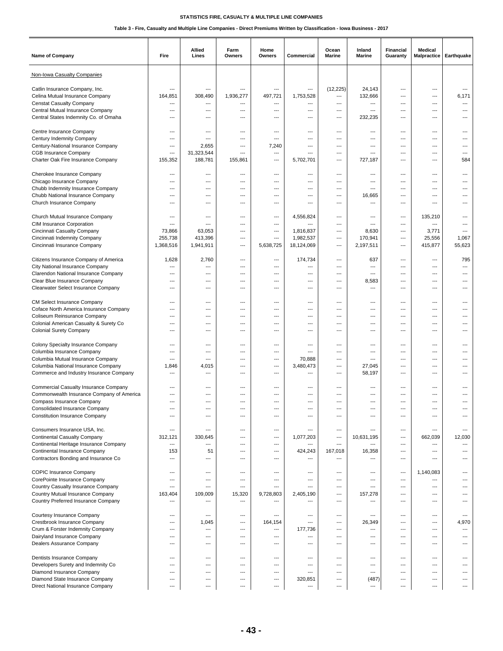| Name of Company                                                          | Fire                             | Allied<br>Lines                   | Farm<br>Owners                  | Home<br>Owners | Commercial                      | Ocean<br>Marine          | Inland<br>Marine | Financial<br>Guaranty                                | Medical<br>Malpractice   | Earthquake                      |
|--------------------------------------------------------------------------|----------------------------------|-----------------------------------|---------------------------------|----------------|---------------------------------|--------------------------|------------------|------------------------------------------------------|--------------------------|---------------------------------|
| Non-Iowa Casualty Companies                                              |                                  |                                   |                                 |                |                                 |                          |                  |                                                      |                          |                                 |
| Catlin Insurance Company, Inc.                                           | ---                              | $\overline{\phantom{a}}$          | ---                             | ---            | $\overline{\phantom{a}}$        | (12, 225)                | 24,143           | ---                                                  | ---                      | $\overline{\phantom{a}}$        |
| Celina Mutual Insurance Company                                          | 164.851                          | 308,490                           | 1,936,277                       | 497,721        | 1,753,528                       | ---                      | 132,666          | $\overline{\phantom{a}}$                             | $\overline{a}$           | 6,171                           |
| <b>Censtat Casualty Company</b>                                          | ---                              | ---                               | ---                             | ---            | ---                             | ---                      | ---              | ---                                                  | ---                      | ---                             |
| Central Mutual Insurance Company                                         | $---$                            | $---$                             | $\overline{\phantom{a}}$        | ---            | ---                             | $\qquad \qquad -$        | ---              | $---$                                                | ---                      | ---                             |
| Central States Indemnity Co. of Omaha                                    | $---$                            | ---                               | ---                             | ---            | $---$                           | $---$                    | 232,235          | ---                                                  | $---$                    | ---                             |
| Centre Insurance Company                                                 | ---                              | ---                               | ---                             | ---            | ---                             | ---                      | ---              | ---                                                  | ---                      |                                 |
| Century Indemnity Company                                                | ---                              | ---                               | ---                             | ---            | ---                             | ---                      | ---              | $---$                                                | ---                      | ---                             |
| Century-National Insurance Company                                       | ---                              | 2,655                             | ---                             | 7,240          | ---                             | ---                      | ---              | ---                                                  | $---$                    | ---                             |
| <b>CGB Insurance Company</b>                                             | $\overline{a}$                   | 31,323,544                        | ---                             | ---            | ---                             | ---                      | ---              | ---                                                  | ---                      | ---                             |
| Charter Oak Fire Insurance Company                                       | 155,352                          | 188,781                           | 155,861                         | ---            | 5,702,701                       | ---                      | 727,187          | $\overline{\phantom{a}}$                             | ---                      | 584                             |
| Cherokee Insurance Company                                               | ---                              | ---                               | ---                             | $\overline{a}$ | $\overline{\phantom{a}}$        | ---                      | ---              | ---                                                  | ---                      | ---                             |
| Chicago Insurance Company                                                | $\overline{a}$                   | ---                               | ---                             | ---            | ---                             | ---                      | ---              | ---                                                  | ---                      | ---                             |
| Chubb Indemnity Insurance Company                                        | ---                              | ---                               | ---                             | ---            | ---                             | ---                      | ---              | ---                                                  | ---                      |                                 |
| Chubb National Insurance Company                                         | ---                              | $---$                             | ---                             | ---            | $---$                           | $---$                    | 16,665           | $---$                                                | $---$                    | ---                             |
| Church Insurance Company                                                 | $---$                            | $---$                             | $\overline{\phantom{a}}$        | ---            | ---                             | ---                      | ---              | $---$                                                | $---$                    | ---                             |
|                                                                          |                                  |                                   |                                 |                |                                 |                          |                  |                                                      |                          |                                 |
| Church Mutual Insurance Company<br><b>CIM Insurance Corporation</b>      | ---<br>---                       | ---<br>$---$                      | ---<br>$\overline{\phantom{a}}$ | ---<br>---     | 4,556,824<br>---                | ---<br>$---$             | ---<br>$---$     | $\overline{\phantom{a}}$<br>$---$                    | 135,210<br>---           | ---<br>---                      |
| Cincinnati Casualty Company                                              | 73,866                           | 63,053                            | ---                             | ---            | 1,816,837                       | $---$                    | 8,630            | $---$                                                | 3,771                    | ---                             |
| Cincinnati Indemnity Company                                             | 255,738                          | 413,396                           | ---                             | $\overline{a}$ | 1,982,537                       | $\overline{\phantom{a}}$ | 170,941          | $\overline{\phantom{a}}$                             | 25,556                   | 1,067                           |
| Cincinnati Insurance Company                                             | 1,368,516                        | 1,941,911                         | $\overline{\phantom{a}}$        | 5,638,725      | 18,124,069                      | ---                      | 2,197,511        | $\overline{\phantom{a}}$                             | 415,877                  | 55,623                          |
|                                                                          |                                  |                                   |                                 |                |                                 |                          |                  |                                                      |                          |                                 |
| Citizens Insurance Company of America                                    | 1,628                            | 2,760                             | $\overline{\phantom{a}}$        | ---            | 174,734                         | $---$                    | 637              | $---$                                                | $---$                    | 795                             |
| City National Insurance Company<br>Clarendon National Insurance Company  | $\overline{a}$<br>$\overline{a}$ | ---<br>---                        | ---<br>---                      | ---<br>---     | ---<br>$\overline{\phantom{a}}$ | ---<br>---               | ---<br>---       | ---<br>$\overline{\phantom{a}}$                      | ---<br>$\overline{a}$    | $\overline{\phantom{a}}$<br>--- |
| Clear Blue Insurance Company                                             | ---                              | ---                               | ---                             |                | ---                             | ---                      | 8,583            | ---                                                  | ---                      |                                 |
| Clearwater Select Insurance Company                                      | ---                              | $---$                             | ---                             | ---            | ---                             | ---                      | ---              | $---$                                                | ---                      | ---                             |
|                                                                          |                                  |                                   |                                 |                |                                 |                          |                  |                                                      |                          |                                 |
| CM Select Insurance Company                                              | ---                              | ---                               | ---                             | ---            | ---                             | ---                      | ---              | $\overline{\phantom{a}}$                             | $\overline{a}$           |                                 |
| Coface North America Insurance Company                                   | $\overline{a}$                   | ---                               | ---                             | ---            | ---                             | ---                      | ---              | ---                                                  | ---                      |                                 |
| Coliseum Reinsurance Company                                             | ---                              | ---                               | $\overline{\phantom{a}}$<br>--- | ---            | $---$<br>$---$                  | $---$                    | $---$            | $---$                                                | $---$                    | ---                             |
| Colonial American Casualty & Surety Co<br><b>Colonial Surety Company</b> | ---<br>---                       | ---<br>---                        | ---                             | ---<br>---     | ---                             | ---<br>---               | ---<br>---       | ---<br>---                                           | ---<br>---               | ---                             |
|                                                                          |                                  |                                   |                                 |                |                                 |                          |                  |                                                      |                          |                                 |
| Colony Specialty Insurance Company                                       | $---$                            | ---                               | ---                             | ---            | ---                             | $---$                    | ---              | ---                                                  | $---$                    | ---                             |
| Columbia Insurance Company                                               | ---                              | ---                               | $\overline{\phantom{a}}$        | ---            | $\overline{\phantom{a}}$        | $---$                    | ---              | ---                                                  | $---$                    | ---                             |
| Columbia Mutual Insurance Company                                        | $\overline{a}$                   | ---                               | ---                             | ---            | 70,888                          | ---                      | ---              | ---                                                  | ---                      | ---                             |
| Columbia National Insurance Company                                      | 1,846                            | 4,015                             | ---<br>---                      | ---<br>---     | 3,480,473<br>$---$              | ---<br>---               | 27,045           | $\overline{\phantom{a}}$<br>$---$                    | $\overline{a}$<br>$---$  | ---                             |
| Commerce and Industry Insurance Company                                  | ---                              | ---                               |                                 |                |                                 |                          | 58,197           |                                                      |                          | ---                             |
| Commercial Casualty Insurance Company                                    | ---                              | ---                               | ---                             | ---            | $\overline{\phantom{a}}$        | ---                      | ---              | $\overline{\phantom{a}}$                             | $\overline{a}$           |                                 |
| Commonwealth Insurance Company of America                                | ---                              | ---                               | ---                             |                | ---                             | ---                      | ---              | ---                                                  | ---                      |                                 |
| Compass Insurance Company                                                | $---$                            | $---$                             | $\overline{\phantom{a}}$        | ---            | ---                             | ---                      | $---$            | ---                                                  | ---                      | ---                             |
| <b>Consolidated Insurance Company</b>                                    | ---                              | ---                               |                                 |                | ---                             | ---                      |                  | ---                                                  | ---                      | ---                             |
| <b>Constitution Insurance Company</b>                                    | ---                              | ---                               | ---                             | ---            | $---$                           | ---                      | ---              | ---                                                  | ---                      | ---                             |
| Consumers Insurance USA, Inc.                                            | ---                              | ---                               | ---                             | ---            | $\overline{a}$                  | ---                      | ---              | ---                                                  | ---                      | ---                             |
| <b>Continental Casualty Company</b>                                      | 312,121                          | 330,645                           | ---                             | ---            | 1,077,203                       | ---                      | 10,631,195       | $\qquad \qquad -$                                    | 662,039                  | 12,030                          |
| Continental Heritage Insurance Company                                   | $\overline{\phantom{a}}$         | ---                               | $\overline{\phantom{a}}$        | ---            | ---                             | $\overline{\phantom{a}}$ | ---              | ---                                                  | $\overline{a}$           | $\overline{\phantom{a}}$        |
| Continental Insurance Company                                            | 153                              | 51                                | ---                             | ---            | 424,243                         | 167,018                  | 16,358           | $\overline{\phantom{a}}$                             | $\overline{a}$           | ---                             |
| Contractors Bonding and Insurance Co                                     | ---                              | ---                               | ---                             | ---            | ---                             |                          | ---              | $\overline{\phantom{a}}$                             | ---                      | ---                             |
| <b>COPIC Insurance Company</b>                                           | $---$                            | $---$                             | $---$                           | $---$          | ---                             | $---$                    | ---              | ---                                                  | 1,140,083                | ---                             |
| CorePointe Insurance Company                                             | ---                              | ---                               | $\overline{\phantom{a}}$        | ---            | $\hspace{0.05cm} \ldots$        | ---                      | ---              | $\overline{\phantom{a}}$                             | ---                      | ---                             |
| Country Casualty Insurance Company                                       | ---                              | ---                               | ---                             | ---            | ---                             | ---                      | ---              | ---                                                  | $\overline{a}$           |                                 |
| Country Mutual Insurance Company                                         | 163,404                          | 109,009                           | 15,320                          | 9,728,803      | 2,405,190                       | ---                      | 157,278          | ---                                                  | ---                      | ---                             |
| Country Preferred Insurance Company                                      | $\overline{a}$                   | $\overline{\phantom{a}}$          | ---                             | ---            | $\overline{\phantom{a}}$        | ---                      | ---              | ---                                                  | ---                      |                                 |
|                                                                          |                                  |                                   |                                 |                |                                 |                          |                  |                                                      |                          |                                 |
| Courtesy Insurance Company                                               | $\overline{a}$<br>---            | ---                               | ---<br>---                      | ---            | $\hspace{0.05cm} \ldots$<br>--- | ---<br>$---$             | ---              | $\overline{\phantom{a}}$<br>$---$                    | ---<br>---               | ---<br>4,970                    |
| Crestbrook Insurance Company<br>Crum & Forster Indemnity Company         | ---                              | 1,045<br>$\overline{\phantom{a}}$ | ---                             | 164,154<br>--- | 177,736                         | $\qquad \qquad -$        | 26,349<br>---    | $\qquad \qquad -$                                    | $---$                    | $\cdots$                        |
| Dairyland Insurance Company                                              | ---                              | ---                               | ---                             | ---            | $\hspace{0.05cm} \ldots$        | ---                      | ---              | $\overline{\phantom{a}}$                             | ---                      | ---                             |
| Dealers Assurance Company                                                | ---                              | ---                               | ---                             | ---            | ---                             | ---                      | ---              | ---                                                  | ---                      | ---                             |
|                                                                          |                                  |                                   |                                 |                |                                 |                          |                  |                                                      |                          |                                 |
| Dentists Insurance Company                                               | $---$                            | $---$                             | $\overline{\phantom{a}}$        | ---            | ---                             | $---$                    | ---              | ---                                                  | $---$                    | ---                             |
| Developers Surety and Indemnity Co                                       | $\overline{a}$<br>---            | $\overline{\phantom{a}}$<br>---   | $\overline{\phantom{a}}$<br>--- | ---<br>---     | $\overline{\phantom{a}}$<br>--- | ---<br>---               | ---<br>---       | $\overline{\phantom{a}}$<br>$\overline{\phantom{a}}$ | $\overline{a}$<br>---    | ---<br>---                      |
| Diamond Insurance Company<br>Diamond State Insurance Company             | ---                              | $---$                             | ---                             | ---            | 320,851                         | ---                      | (487)            | $\qquad \qquad -$                                    | $\hspace{0.05cm} \ldots$ | ---                             |
| Direct National Insurance Company                                        | $---$                            | $---$                             | $\qquad \qquad -$               | ---            | $\overline{\phantom{a}}$        | $---$                    | ---              | $---$                                                | ---                      | ---                             |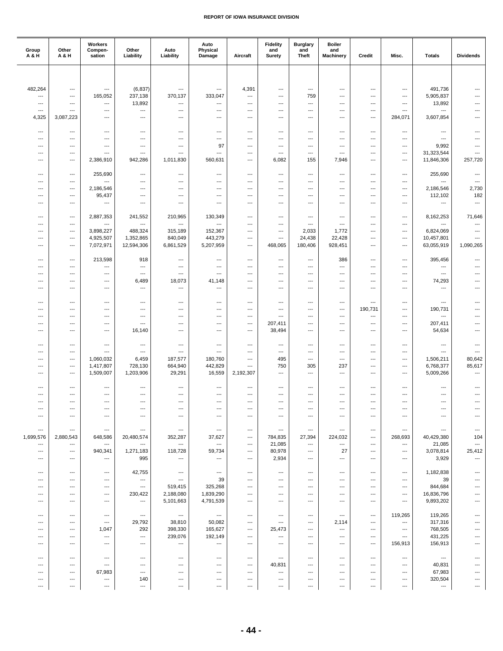| Group<br>A & H                        | Other<br>A & H                        | Workers<br>Compen-<br>sation               | Other<br>Liability       | Auto<br>Liability                   | Auto<br>Physical<br>Damage         | Aircraft                                             | <b>Fidelity</b><br>and<br>Surety    | <b>Burglary</b><br>and<br><b>Theft</b> | <b>Boiler</b><br>and<br><b>Machinery</b> | Credit                              | Misc.                         | <b>Totals</b>                         | <b>Dividends</b>                  |
|---------------------------------------|---------------------------------------|--------------------------------------------|--------------------------|-------------------------------------|------------------------------------|------------------------------------------------------|-------------------------------------|----------------------------------------|------------------------------------------|-------------------------------------|-------------------------------|---------------------------------------|-----------------------------------|
|                                       |                                       |                                            |                          |                                     |                                    |                                                      |                                     |                                        |                                          |                                     |                               |                                       |                                   |
|                                       |                                       |                                            |                          |                                     |                                    |                                                      |                                     |                                        |                                          |                                     |                               |                                       |                                   |
| 482,264                               | ---                                   | $\overline{a}$                             | (6, 837)                 | $\overline{\phantom{a}}$            | ---                                | 4,391                                                | ---                                 | $---$                                  | ---                                      | ---                                 | ---                           | 491,736                               | ---                               |
| ---                                   | ---                                   | 165,052                                    | 237,138<br>13,892        | 370,137                             | 333,047                            | ---                                                  | $\overline{\phantom{a}}$            | 759<br>$\overline{a}$                  | ---                                      | $\overline{\phantom{a}}$            | ---                           | 5,905,837<br>13,892                   | $\overline{\phantom{a}}$<br>---   |
| ---<br>$---$                          | ---<br>---                            | ---<br>---                                 | ---                      | ---<br>$---$                        | ---<br>---                         | ---<br>---                                           | ---<br>---                          | ---                                    | ---<br>---                               | $\overline{\phantom{a}}$<br>$---$   | ---<br>$---$                  | ---                                   | ---                               |
| 4,325                                 | 3,087,223                             | ---                                        | ---                      | $---$                               | ---                                | $\overline{\phantom{a}}$                             | ---                                 | $---$                                  | $---$                                    | ---                                 | 284,071                       | 3,607,854                             | $\overline{\phantom{a}}$          |
|                                       |                                       |                                            |                          |                                     |                                    |                                                      |                                     |                                        |                                          |                                     |                               |                                       |                                   |
| $\hspace{0.05cm} \ldots$              | $\overline{\phantom{a}}$              | ---                                        | ---                      | ---                                 | ---                                | ---                                                  | ---                                 | ---                                    | ---                                      | ---                                 | ---                           | ---                                   | ---                               |
| ---<br>---                            | ---<br>$\overline{a}$                 | ---<br>$---$                               | ---<br>---               | $---$<br>$---$                      | ---<br>97                          | ---<br>---                                           | ---<br>$---$                        | $---$<br>$---$                         | ---<br>$---$                             | $---$<br>$---$                      | $---$<br>---                  | $---$<br>9,992                        | ---<br>---                        |
| ---                                   | ---                                   | ---                                        | ---                      | $\overline{a}$                      | ---                                | ---                                                  | $\overline{\phantom{a}}$            | $\hspace{0.05cm} \ldots$               | $\overline{a}$                           | ---                                 | ---                           | 31,323,544                            | $\overline{\phantom{a}}$          |
| ---                                   | $\overline{\phantom{a}}$              | 2,386,910                                  | 942,286                  | 1,011,830                           | 560,631                            | ---                                                  | 6,082                               | 155                                    | 7,946                                    | ---                                 | ---                           | 11,846,306                            | 257,720                           |
|                                       |                                       |                                            |                          |                                     |                                    |                                                      |                                     |                                        |                                          |                                     |                               |                                       |                                   |
| $---$                                 | $---$                                 | 255,690                                    | ---                      | $---$                               | ---                                | ---                                                  | ---                                 | $---$                                  | ---                                      | $---$                               | ---                           | 255,690                               | $\overline{\phantom{a}}$          |
| ---<br>---                            | ---<br>---                            | ---<br>2,186,546                           | ---<br>---               | $\hspace{0.05cm} \ldots$<br>---     | ---<br>---                         | ---<br>---                                           | $\hspace{0.05cm} \ldots$<br>---     | $\hspace{0.05cm} \ldots$<br>---        | ---<br>---                               | $\hspace{0.05cm} \ldots$<br>---     | ---<br>---                    | ---<br>2,186,546                      | $\overline{\phantom{a}}$<br>2,730 |
| ---                                   | ---                                   | 95,437                                     | ---                      | $---$                               | ---                                | ---                                                  | ---                                 | $---$                                  | ---                                      | $---$                               | ---                           | 112,102                               | 182                               |
| $\overline{\phantom{a}}$              | $---$                                 | $\overline{a}$                             | ---                      | $---$                               | ---                                | ---                                                  | ---                                 | $---$                                  | ---                                      | $---$                               | $---$                         | ---                                   | ---                               |
|                                       |                                       |                                            |                          |                                     |                                    |                                                      |                                     |                                        |                                          |                                     |                               |                                       |                                   |
| $\overline{\phantom{a}}$              | ---                                   | 2,887,353                                  | 241,552                  | 210,965                             | 130,349                            | ---                                                  | $\hspace{0.05cm} \ldots$            | $\hspace{0.05cm} \ldots$               | $\cdots$                                 | $\hspace{0.05cm} \ldots$            | ---                           | 8,162,253                             | 71,646                            |
| $---$<br>$---$                        | ---<br>---                            | ---<br>3,898,227                           | ---<br>488,324           | $\overline{\phantom{a}}$<br>315,189 | $\overline{a}$<br>152,367          | ---<br>---                                           | ---<br>$---$                        | $---$<br>2,033                         | ---<br>1,772                             | $---$<br>$---$                      | $---$<br>---                  | ---<br>6,824,069                      | $\qquad \qquad -$<br>---          |
| $---$                                 | $---$                                 | 4,925,507                                  | 1,352,865                | 840,049                             | 443,279                            | $\overline{\phantom{a}}$                             | ---                                 | 24,438                                 | 22,428                                   | $---$                               | ---                           | 10,457,801                            | $\overline{\phantom{a}}$          |
| ---                                   | $\overline{\phantom{a}}$              | 7,072,971                                  | 12,594,306               | 6,861,529                           | 5,207,959                          | ---                                                  | 468,065                             | 180,406                                | 928,451                                  | $\hspace{0.05cm} \ldots$            | $\cdots$                      | 63,055,919                            | 1,090,265                         |
|                                       |                                       |                                            |                          |                                     |                                    |                                                      |                                     |                                        |                                          |                                     |                               |                                       |                                   |
| ---                                   | ---                                   | 213,598                                    | 918                      | $\overline{\phantom{a}}$            | ---                                | ---                                                  | $\overline{\phantom{a}}$            | $---$                                  | 386                                      | $---$                               | ---                           | 395,456                               | ---                               |
| ---<br>---                            | $---$<br>$\overline{\phantom{a}}$     | $\overline{a}$<br>$\overline{\phantom{a}}$ | $\overline{a}$<br>---    | $---$<br>$\overline{\phantom{a}}$   | ---<br>---                         | ---<br>---                                           | $---$<br>$\overline{\phantom{a}}$   | $---$<br>$\overline{\phantom{a}}$      | $\overline{\phantom{a}}$<br>---          | ---<br>$\overline{\phantom{a}}$     | ---<br>---                    | $\overline{\phantom{a}}$<br>---       | ---<br>$\overline{\phantom{a}}$   |
| ---                                   | ---                                   | ---                                        | 6,489                    | 18,073                              | 41,148                             | ---                                                  | $\overline{a}$                      | $\overline{\phantom{a}}$               | $\overline{a}$                           | $\overline{\phantom{a}}$            | $\overline{a}$                | 74,293                                | $\overline{a}$                    |
| ---                                   | ---                                   | ---                                        | ---                      | $---$                               | ---                                | ---                                                  | $---$                               | $\overline{\phantom{a}}$               | $---$                                    | $---$                               | $---$                         | ---                                   | $---$                             |
|                                       |                                       |                                            |                          |                                     |                                    |                                                      |                                     |                                        |                                          |                                     |                               |                                       |                                   |
| ---                                   | ---                                   | ---                                        | ---                      | $\overline{\phantom{a}}$            | ---                                | ---                                                  | $\hspace{0.05cm} \ldots$            | $\overline{\phantom{a}}$               | ---                                      | $\overline{\phantom{a}}$            | ---                           | ---                                   | ---                               |
| ---<br>$---$                          | ---<br>---                            | ---<br>---                                 | ---<br>---               | ---<br>$---$                        | ---<br>---                         | ---<br>$\overline{\phantom{a}}$                      | ---<br>---                          | $\hspace{0.05cm} \ldots$<br>$---$      | ---<br>$---$                             | 190,731<br>$\overline{\phantom{a}}$ | ---<br>---                    | 190,731<br>---                        | ---<br>---                        |
| ---                                   | $\overline{a}$                        | $---$                                      | ---                      | $---$                               | ---                                | $\overline{\phantom{a}}$                             | 207,411                             | $---$                                  | ---                                      | $---$                               | ---                           | 207,411                               | $\overline{\phantom{a}}$          |
| ---                                   | $\overline{\phantom{a}}$              | ---                                        | 16,140                   | $\hspace{0.05cm} \ldots$            | ---                                | ---                                                  | 38,494                              | $\hspace{0.05cm} \ldots$               | ---                                      | ---                                 | ---                           | 54,634                                | $\overline{\phantom{a}}$          |
|                                       |                                       |                                            |                          |                                     |                                    |                                                      |                                     |                                        |                                          |                                     |                               |                                       |                                   |
| $\overline{\phantom{a}}$              | $\overline{\phantom{a}}$              | ---                                        | $---$                    | $\hspace{0.05cm} \ldots$            | ---                                | $\hspace{0.05cm} \ldots$                             | ---                                 | $---$                                  | $---$                                    | $---$                               | ---                           | $\hspace{0.05cm} \ldots$              | ---                               |
| $---$<br>---                          | $---$<br>$\hspace{0.05cm} \ldots$     | $\overline{a}$<br>1,060,032                | $---$<br>6,459           | $---$<br>187,577                    | $\overline{a}$<br>180,760          | ---<br>---                                           | ---<br>495                          | $---$<br>$\hspace{0.05cm} \ldots$      | $---$<br>$\cdots$                        | $---$<br>$\hspace{0.05cm} \ldots$   | $---$<br>$\cdots$             | $\overline{\phantom{a}}$<br>1,506,211 | ---<br>80,642                     |
| ---                                   | ---                                   | 1,417,807                                  | 728,130                  | 664,940                             | 442,829                            | $\overline{a}$                                       | 750                                 | 305                                    | 237                                      | $\overline{\phantom{a}}$            | ---                           | 6,768,377                             | 85,617                            |
| ---                                   | ---                                   | 1,509,007                                  | 1,203,906                | 29,291                              | 16,559                             | 2,192,307                                            | $---$                               | $\overline{\phantom{a}}$               | $---$                                    | $---$                               | ---                           | 5,009,266                             | $\overline{\phantom{a}}$          |
|                                       |                                       |                                            |                          |                                     |                                    |                                                      |                                     |                                        |                                          |                                     |                               |                                       |                                   |
| ---<br>---                            | ---<br>---                            | ---<br>---                                 | ---<br>---               | $\overline{\phantom{a}}$<br>---     | ---<br>---                         | ---<br>---                                           | ---<br>---                          | ---<br>---                             | ---<br>---                               | $---$<br>$\overline{\phantom{a}}$   | ---<br>---                    | ---<br>---                            | ---<br>---                        |
| $---$                                 | ---                                   | ---                                        | $---$                    | $---$                               | ---                                | $---$                                                | ---                                 | $\overline{\phantom{a}}$               | ---                                      | $---$                               | ---                           | $---$                                 | $\qquad \qquad -$                 |
| ---                                   |                                       |                                            | ---                      | ---                                 | ---                                | ---                                                  | $---$                               | $---$                                  |                                          | $---$                               | $---$                         | ---                                   |                                   |
| $---$                                 | ---                                   | ---                                        | ---                      | $---$                               | ---                                | $\overline{\phantom{a}}$                             | ---                                 | $---$                                  | ---                                      | $\overline{\phantom{a}}$            | ---                           | $\overline{\phantom{a}}$              | $\overline{\phantom{a}}$          |
|                                       |                                       |                                            |                          |                                     |                                    |                                                      |                                     |                                        |                                          |                                     |                               | $\hspace{0.05cm} \ldots$              |                                   |
| $\hspace{0.05cm} \ldots$<br>1,699,576 | $\hspace{0.05cm} \ldots$<br>2,880,543 | ---<br>648,586                             | ---<br>20,480,574        | $\hspace{0.05cm} \ldots$<br>352,287 | $\hspace{0.05cm} \cdots$<br>37,627 | ---<br>$\hspace{0.05cm} \ldots$                      | $\hspace{0.05cm} \ldots$<br>784,835 | $\hspace{0.05cm} \ldots$<br>27,394     | $\cdots$<br>224,032                      | $\hspace{0.05cm} \ldots$<br>$---$   | $\cdots$<br>268,693           | 40,429,380                            | ---<br>104                        |
| $---$                                 | $\cdots$                              | $\hspace{0.05cm} \ldots$                   | $\overline{\phantom{a}}$ | $\hspace{0.05cm} \ldots$            | $\hspace{0.05cm} \ldots$           | $\overline{\phantom{a}}$                             | 21,085                              | $\overline{\phantom{a}}$               | $\overline{\phantom{a}}$                 | $---$                               | ---                           | 21,085                                | ---                               |
| $\overline{\phantom{a}}$              | $\hspace{0.05cm} \ldots$              | 940,341                                    | 1,271,183                | 118,728                             | 59,734                             | $\hspace{0.05cm} \ldots$                             | 80,978                              | $\hspace{0.05cm} \ldots$               | 27                                       | $\hspace{0.05cm} \ldots$            | ---                           | 3,078,814                             | 25,412                            |
| ---                                   | ---                                   | ---                                        | 995                      | $\hspace{0.05cm} \ldots$            | $\hspace{0.05cm} \ldots$           | ---                                                  | 2,934                               | $\hspace{0.05cm} \ldots$               | $\cdots$                                 | $\hspace{0.05cm} \ldots$            | ---                           | 3,929                                 | ---                               |
| $---$                                 | $---$                                 | $---$                                      | 42,755                   | $\hspace{0.05cm} \ldots$            | $\hspace{0.05cm} \ldots$           | ---                                                  | $---$                               | $\overline{\phantom{a}}$               | $\overline{\phantom{a}}$                 | $\overline{\phantom{a}}$            | $---$                         | 1,182,838                             | $\overline{\phantom{a}}$          |
| ---                                   | ---                                   | ---                                        | ---                      | $\hspace{0.05cm} \ldots$            | 39                                 | $\overline{\phantom{a}}$                             | ---                                 | $\overline{\phantom{a}}$               | ---                                      | $\overline{a}$                      | ---                           | 39                                    | ---                               |
| ---                                   | ---                                   | ---                                        | $\hspace{0.05cm} \ldots$ | 519,415                             | 325,268                            | ---                                                  | ---                                 | ---                                    | ---                                      | $\hspace{0.05cm} \ldots$            | ---                           | 844,684                               | ---                               |
| ---                                   | ---                                   | ---                                        | 230,422                  | 2,188,080                           | 1,839,290                          | $\hspace{0.05cm} \ldots$                             | $\overline{\phantom{a}}$            | $---$                                  | ---                                      | $---$                               | ---                           | 16,836,796                            |                                   |
| $---$                                 | $---$                                 | $\cdots$                                   | $---$                    | 5,101,663                           | 4,791,539                          | $\overline{\phantom{a}}$                             | $---$                               | $---$                                  | $---$                                    | $\hspace{0.05cm} \ldots$            | ---                           | 9,893,202                             | ---                               |
| $\overline{\phantom{a}}$              | $\overline{\phantom{a}}$              | ---                                        | $\hspace{0.05cm} \ldots$ | $\hspace{0.05cm} \cdots$            | $\hspace{0.05cm} \cdots$           | ---                                                  | ---                                 | ---                                    | $\hspace{0.05cm} \ldots$                 | $\hspace{0.05cm} \ldots$            | 119,265                       | 119,265                               | ---                               |
| $---$                                 | ---                                   | $---$                                      | 29,792                   | 38,810                              | 50,082                             | $\overline{\phantom{a}}$                             | $\hspace{0.05cm} \ldots$            | $---$                                  | 2,114                                    | $---$                               | $\cdots$                      | 317,316                               | ---                               |
| $---$                                 | $---$                                 | 1,047                                      | 292                      | 398,330                             | 165,627                            | $\overline{\phantom{a}}$                             | 25,473                              | $---$                                  | $\overline{\phantom{a}}$                 | $---$                               | $---$                         | 768,505                               | $---$                             |
| $\hspace{0.05cm} \ldots$              | $\overline{\phantom{a}}$              | $\hspace{0.05cm} \ldots$                   | $\hspace{0.05cm} \ldots$ | 239,076                             | 192,149                            | ---                                                  | $\hspace{0.05cm} \ldots$            | $\hspace{0.05cm} \ldots$               | $\cdots$                                 | $\hspace{0.05cm} \ldots$            | $\hspace{0.05cm} \ldots$      | 431,225                               | ---                               |
| ---                                   | $\overline{\phantom{a}}$              | ---                                        | ---                      | $\hspace{0.05cm} \ldots$            | $\hspace{0.05cm} \cdots$           | ---                                                  | $\hspace{0.05cm} \ldots$            | $\hspace{0.05cm} \ldots$               | ---                                      | $\hspace{0.05cm} \ldots$            | 156,913                       | 156,913                               | ---                               |
| $---$                                 | $---$                                 | ---                                        | $---$                    | $\hspace{0.05cm} \ldots$            | ---                                | $\overline{\phantom{a}}$                             | $---$                               | $---$                                  | ---                                      | $---$                               | $---$                         | $---$                                 | ---                               |
| ---                                   | ---                                   | $\hspace{0.05cm} \ldots$                   | ---                      | $\overline{\phantom{a}}$            | $\overline{\phantom{a}}$           | ---                                                  | 40,831                              | $\hspace{0.05cm} \ldots$               | ---                                      | $\overline{\phantom{a}}$            | ---                           | 40,831                                |                                   |
| ---                                   | $\overline{\phantom{a}}$              | 67,983                                     | ---                      | $\hspace{0.05cm} \ldots$            | ---                                | $\hspace{0.05cm} \ldots$                             | $\hspace{0.05cm} \ldots$            | $\hspace{0.05cm} \ldots$               | ---                                      | $\overline{a}$                      | ---                           | 67,983                                |                                   |
| ---                                   | $---$                                 | ---<br>---                                 | 140<br>---               | ---<br>$---$                        | ---<br>---                         | $\hspace{0.05cm} \ldots$<br>$\overline{\phantom{a}}$ | ---<br>$---$                        | ---<br>$\hspace{0.05cm} \ldots$        | ---<br>$\hspace{0.05cm} \ldots$          | $\overline{\phantom{a}}$            | ---<br>$\qquad \qquad \cdots$ | 320,504<br>$\hspace{0.05cm} \ldots$   | ---                               |
| $\hspace{0.05cm} \cdots$              | ---                                   |                                            |                          |                                     |                                    |                                                      |                                     |                                        |                                          | $\hspace{0.05cm} \cdots$            |                               |                                       | ---                               |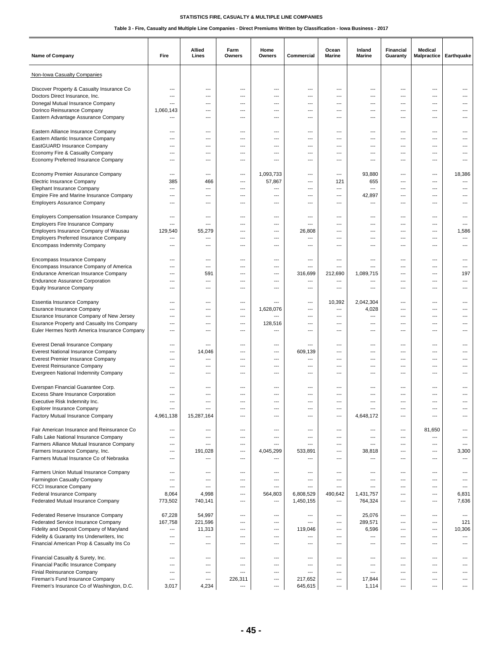| <b>Name of Company</b>                                                                 | Fire                     | Allied<br>Lines          | Farm<br>Owners | Home<br>Owners           | Commercial               | Ocean<br><b>Marine</b>   | Inland<br>Marine                | Financial<br>Guaranty | Medical<br><b>Malpractice</b>      | Earthquake               |
|----------------------------------------------------------------------------------------|--------------------------|--------------------------|----------------|--------------------------|--------------------------|--------------------------|---------------------------------|-----------------------|------------------------------------|--------------------------|
| Non-Iowa Casualty Companies                                                            |                          |                          |                |                          |                          |                          |                                 |                       |                                    |                          |
| Discover Property & Casualty Insurance Co                                              | ---                      | ---                      | ---            | $\overline{\phantom{a}}$ | ---                      | ---                      | $---$                           | ---                   | $\overline{\phantom{a}}$           | ---                      |
| Doctors Direct Insurance, Inc.                                                         | ---                      | $\overline{\phantom{a}}$ | ---            | ---                      | ---                      | ---                      | ---                             | ---                   | ---                                |                          |
| Donegal Mutual Insurance Company                                                       |                          | ---                      | ---            | ---                      | ---                      | ---                      | ---                             | ---                   | ---                                |                          |
| Dorinco Reinsurance Company                                                            | 1,060,143                | $\overline{a}$           | ---            | $\overline{a}$           | $\overline{a}$           | ---                      | ---                             | ---                   | $\overline{\phantom{a}}$           |                          |
| Eastern Advantage Assurance Company                                                    | $---$                    | ---                      | ---            | $---$                    | $---$                    | ---                      | $---$                           | ---                   | $---$                              | ---                      |
|                                                                                        |                          |                          |                |                          |                          |                          |                                 |                       |                                    |                          |
| Eastern Alliance Insurance Company                                                     | ---                      | ---                      | ---            | ---                      | ---                      | ---                      | ---                             | ---                   | ---                                | ---                      |
| Eastern Atlantic Insurance Company                                                     | ---                      | ---                      | ---            | ---                      | ---                      | ---                      | ---                             | ---                   | ---                                |                          |
| EastGUARD Insurance Company                                                            | $\overline{\phantom{a}}$ | $---$                    | ---            | ---                      | $---$                    | ---                      | $---$                           | ---                   | $---$                              |                          |
| Economy Fire & Casualty Company                                                        | ---                      | $---$                    | ---            | ---                      | $---$                    | ---                      | $---$                           | ---                   | $---$                              | ---                      |
| Economy Preferred Insurance Company                                                    | ---                      | ---                      | ---            | ---                      | ---                      | ---                      | ---                             | ---                   | ---                                |                          |
| Economy Premier Assurance Company                                                      | $---$                    | ---                      | ---            | 1,093,733                | ---                      | $---$                    | 93,880                          | ---                   | $---$                              | 18,386                   |
| Electric Insurance Company                                                             | 385                      | 466                      | ---            | 57,867                   | $---$                    | 121                      | 655                             | ---                   | $---$                              | $\overline{\phantom{a}}$ |
| Elephant Insurance Company                                                             | ---                      | ---                      | ---            | ---                      | $\overline{a}$           | ---                      | $\overline{\phantom{a}}$        | ---                   | $\overline{\phantom{a}}$           | ---                      |
| Empire Fire and Marine Insurance Company                                               | ---                      | ---                      | ---            | ---                      | $---$                    | ---                      | 42,897                          | ---                   | ---                                |                          |
| <b>Employers Assurance Company</b>                                                     | ---                      | ---                      | ---            | ---                      | $---$                    | ---                      | ---                             | ---                   | $---$                              |                          |
|                                                                                        |                          |                          |                |                          |                          |                          |                                 |                       |                                    |                          |
| <b>Employers Compensation Insurance Company</b>                                        | ---                      | ---                      | ---            | ---                      | ---                      | ---                      | $---$                           | ---                   | ---                                | ---                      |
| <b>Employers Fire Insurance Company</b>                                                | $\overline{a}$           | $\overline{\phantom{a}}$ | ---            | ---                      | $\overline{a}$           | ---                      | ---                             | ---                   | ---                                | ---                      |
| Employers Insurance Company of Wausau                                                  | 129.540                  | 55,279                   | ---            | ---                      | 26,808                   |                          | ---                             | ---                   | ---                                | 1,586                    |
| <b>Employers Preferred Insurance Company</b>                                           | ---                      | ---                      | ---            | ---                      | ---                      | ---                      | ---                             | ---                   | $---$                              | ---                      |
| Encompass Indemnity Company                                                            | ---                      | ---                      | ---            | $---$                    | $---$                    | ---                      | $---$                           | ---                   | $---$                              | ---                      |
|                                                                                        |                          |                          |                |                          |                          |                          |                                 |                       |                                    |                          |
| Encompass Insurance Company                                                            | ---                      | ---                      | ---            | ---                      | $\overline{a}$           | ---                      | ---                             | ---                   | $\overline{\phantom{a}}$           |                          |
| Encompass Insurance Company of America                                                 | $\overline{\phantom{a}}$ | $---$                    | ---            | $---$                    | $---$                    | ---                      | ---                             | ---                   | $---$                              | ---                      |
| Endurance American Insurance Company                                                   | ---                      | 591                      | ---            | $---$                    | 316,699                  | 212,690                  | 1,089,715                       | ---                   | ---                                | 197                      |
| <b>Endurance Assurance Corporation</b>                                                 | ---                      | ---                      | ---            | ---                      | ---                      | ---                      | ---                             | ---                   | ---                                | ---                      |
| <b>Equity Insurance Company</b>                                                        | ---                      | ---                      | ---            | ---                      | ---                      | ---                      | ---                             | ---                   | ---                                |                          |
|                                                                                        |                          |                          |                |                          |                          |                          |                                 |                       |                                    |                          |
| Essentia Insurance Company                                                             | $---$<br>---             | $---$<br>---             | ---<br>---     | $---$                    | ---<br>---               | 10,392<br>$\overline{a}$ | 2,042,304                       | ---<br>---            | $\hspace{0.05cm} \ldots$<br>---    | ---                      |
| Esurance Insurance Company                                                             | $\overline{a}$           | ---                      | ---            | 1,628,076<br>---         | $\overline{a}$           | ---                      | 4,028<br>---                    | ---                   | $\overline{\phantom{a}}$           | …                        |
| Esurance Insurance Company of New Jersey<br>Esurance Property and Casualty Ins Company | $\overline{\phantom{a}}$ | $---$                    | ---            | 128,516                  | $---$                    | ---                      | $---$                           | ---                   | $---$                              |                          |
| Euler Hermes North America Insurance Company                                           | $---$                    | $---$                    | ---            | ---                      | $---$                    | ---                      | $---$                           | ---                   | $---$                              | ---                      |
|                                                                                        |                          |                          |                |                          |                          |                          |                                 |                       |                                    |                          |
| Everest Denali Insurance Company                                                       | ---                      | ---                      |                | ---                      | ---                      |                          | ---                             | ---                   | ---                                |                          |
| <b>Everest National Insurance Company</b>                                              | ---                      | 14,046                   | ---            | ---                      | 609,139                  | ---                      | ---                             | ---                   | $---$                              | ---                      |
| Everest Premier Insurance Company                                                      | ---                      | $---$                    | ---            | $---$                    | $---$                    | ---                      | $---$                           | ---                   | $---$                              | ---                      |
| <b>Everest Reinsurance Company</b>                                                     | $\overline{\phantom{a}}$ | ---                      | ---            | ---                      | $\overline{a}$           | ---                      | $\overline{\phantom{a}}$        | ---                   | $\overline{\phantom{a}}$           | …                        |
| Evergreen National Indemnity Company                                                   | ---                      | ---                      | ---            | ---                      | ---                      | ---                      | ---                             | ---                   | ---                                |                          |
|                                                                                        |                          |                          |                |                          |                          |                          |                                 |                       |                                    |                          |
| Everspan Financial Guarantee Corp.                                                     | ---                      | $---$                    | $---$          | $---$                    | $---$                    | $---$                    | $---$                           | ---                   | ---                                |                          |
| Excess Share Insurance Corporation                                                     | ---                      | ---                      | ---            | ---                      | ---                      | ---                      | ---                             | ---                   | ---                                |                          |
| Executive Risk Indemnity Inc.                                                          | ---                      | ---                      | ---            | ---                      | ---                      | ---                      | ---                             | ---                   | ---                                |                          |
| <b>Explorer Insurance Company</b>                                                      | ---                      |                          |                |                          | ---                      | ---                      |                                 |                       | ---                                |                          |
| Factory Mutual Insurance Company                                                       | 4,961,138                | 15,287,164               | ---            | ---                      | $---$                    | ---                      | 4,648,172                       | ---                   | $---$                              | ---                      |
| Fair American Insurance and Reinsurance Co                                             |                          |                          |                |                          |                          |                          |                                 |                       |                                    |                          |
| Falls Lake National Insurance Company                                                  | $\cdots$<br>---          | ---<br>---               | ---<br>---     | ---<br>---               | ---<br>---               | ---<br>---               | $\hspace{0.05cm} \ldots$<br>--- | ---<br>---            | 81,650<br>$\hspace{0.05cm} \ldots$ | ---<br>---               |
| Farmers Alliance Mutual Insurance Company                                              | ---                      | ---                      | ---            | ---                      | $\overline{a}$           | ---                      | $---$                           | ---                   | $---$                              | $\overline{\phantom{a}}$ |
| Farmers Insurance Company, Inc.                                                        | ---                      | 191,028                  | ---            | 4,045,299                | 533,891                  | ---                      | 38,818                          | $\overline{a}$        | $\overline{\phantom{a}}$           | 3,300                    |
| Farmers Mutual Insurance Co of Nebraska                                                | $\overline{\phantom{a}}$ | $\overline{a}$           | ---            | $\overline{a}$           | $\overline{a}$           | ---                      | ---                             | ---                   | $\hspace{0.05cm} \ldots$           | $\cdots$                 |
|                                                                                        |                          |                          |                |                          |                          |                          |                                 |                       |                                    |                          |
| Farmers Union Mutual Insurance Company                                                 | ---                      | ---                      | ---            | ---                      | ---                      | ---                      | $---$                           | ---                   | $\hspace{0.05cm} \ldots$           | $---$                    |
| Farmington Casualty Company                                                            | ---                      | ---                      | ---            | ---                      | $\overline{\phantom{a}}$ | ---                      | $---$                           | ---                   | $---$                              | $---$                    |
| FCCI Insurance Company                                                                 | $\overline{a}$           | $\overline{\phantom{a}}$ | ---            | $\overline{a}$           | $\overline{a}$           | ---                      | ---                             | ---                   | $\hspace{0.05cm} \ldots$           | $\overline{\phantom{a}}$ |
| Federal Insurance Company                                                              | 8,064                    | 4,998                    | ---            | 564,803                  | 6,808,529                | 490,642                  | 1,431,757                       | ---                   | $\hspace{0.05cm} \ldots$           | 6,831                    |
| Federated Mutual Insurance Company                                                     | 773,502                  | 740,141                  | ---            | $\qquad \qquad \cdots$   | 1,450,155                | ---                      | 764,324                         | ---                   | $---$                              | 7,636                    |
|                                                                                        |                          |                          |                |                          |                          |                          |                                 |                       |                                    |                          |
| Federated Reserve Insurance Company                                                    | 67,228                   | 54,997                   | ---            | $\overline{\phantom{a}}$ | $\hspace{0.05cm} \ldots$ | ---                      | 25,076                          | $\overline{a}$        | $\hspace{0.05cm} \ldots$           | $\overline{\phantom{a}}$ |
| Federated Service Insurance Company                                                    | 167,758                  | 221,596                  | ---            | ---                      | $\overline{a}$           | ---                      | 289,571                         | ---                   | $\hspace{0.05cm} \ldots$           | 121                      |
| Fidelity and Deposit Company of Maryland                                               | $\cdots$                 | 11,313                   | ---            | $---$                    | 119,046                  | ---                      | 6,596                           | ---                   | $---$                              | 10,306                   |
| Fidelity & Guaranty Ins Underwriters, Inc.                                             | ---                      | ---                      | ---            | ---                      | $\overline{a}$           | ---                      | ---                             | ---                   | $---$                              | ---                      |
| Financial American Prop & Casualty Ins Co                                              | $\hspace{0.05cm} \ldots$ | ---                      | ---            | ---                      | $\hspace{0.05cm} \ldots$ | ---                      | $\hspace{0.05cm} \ldots$        | ---                   | $\hspace{0.05cm} \ldots$           | $\overline{\phantom{a}}$ |
|                                                                                        | ---                      | ---                      | ---            | $\overline{\phantom{a}}$ | ---                      | ---                      | $\hspace{0.05cm} \ldots$        | ---                   | $\hspace{0.05cm} \ldots$           | $---$                    |
| Financial Casualty & Surety, Inc.<br>Financial Pacific Insurance Company               | ---                      | ---                      | ---            | ---                      | $\overline{\phantom{a}}$ | ---                      | ---                             | ---                   | $---$                              | $\overline{a}$           |
| Finial Reinsurance Company                                                             | ---                      | ---                      | $\overline{a}$ | ---                      | $\overline{a}$           | ---                      | $\overline{\phantom{a}}$        | ---                   | $\hspace{0.05cm} \ldots$           | ---                      |
| Fireman's Fund Insurance Company                                                       | ---                      | ---                      | 226,311        | ---                      | 217,652                  | ---                      | 17,844                          | ---                   | $\hspace{0.05cm} \ldots$           | ---                      |
| Firemen's Insurance Co of Washington, D.C.                                             | 3,017                    | 4,234                    | ---            | $\hspace{1.5cm} \ldots$  | 645,615                  | ---                      | 1,114                           | ---                   | $\overline{\phantom{a}}$           | ---                      |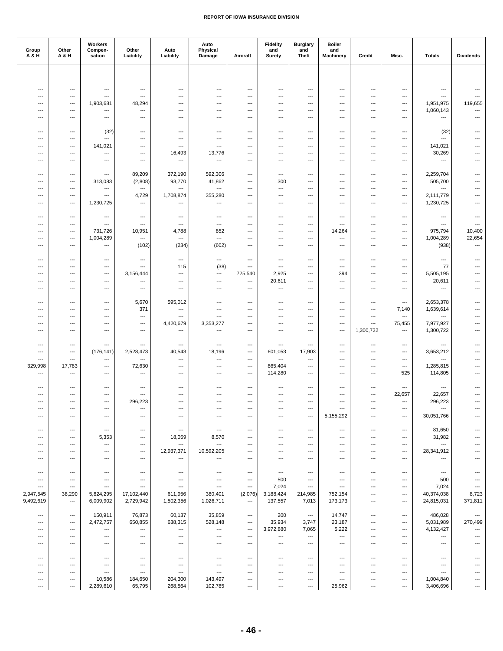| Group<br>A & H           | Other<br>A & H                     | Workers<br>Compen-<br>sation                         | Other<br>Liability                                   | Auto<br>Liability                                    | Auto<br>Physical<br>Damage                           | Aircraft                            | <b>Fidelity</b><br>and<br>Surety      | <b>Burglary</b><br>and<br><b>Theft</b>               | <b>Boiler</b><br>and<br><b>Machinery</b> | Credit                                               | Misc.                           | <b>Totals</b>            | <b>Dividends</b>                                     |
|--------------------------|------------------------------------|------------------------------------------------------|------------------------------------------------------|------------------------------------------------------|------------------------------------------------------|-------------------------------------|---------------------------------------|------------------------------------------------------|------------------------------------------|------------------------------------------------------|---------------------------------|--------------------------|------------------------------------------------------|
|                          |                                    |                                                      |                                                      |                                                      |                                                      |                                     |                                       |                                                      |                                          |                                                      |                                 |                          |                                                      |
| ---                      | $---$                              | $---$                                                | ---                                                  | ---                                                  | ---                                                  | $\overline{a}$                      | ---                                   | ---                                                  | ---                                      | $\overline{a}$                                       | ---                             | $\overline{a}$           | ---                                                  |
| ---                      | $\overline{\phantom{a}}$           | $\hspace{0.05cm} \ldots$                             | $\overline{\phantom{a}}$                             | ---                                                  | ---                                                  | ---                                 | ---                                   | $\overline{\phantom{a}}$                             | $\overline{\phantom{a}}$                 | $\overline{\phantom{a}}$                             | ---                             | ---                      | $\overline{\phantom{a}}$                             |
| ---                      | ---                                | 1,903,681                                            | 48,294                                               | ---                                                  | ---                                                  | ---                                 | ---                                   | ---                                                  | ---                                      | ---                                                  | ---                             | 1,951,975                | 119,655                                              |
| ---                      | ---                                | $---$                                                | $\hspace{0.05cm} \ldots$                             | ---                                                  | ---                                                  | ---                                 | ---                                   | ---                                                  | ---                                      | ---                                                  | ---                             | 1,060,143                | $\hspace{0.05cm} \ldots$                             |
| ---                      | $\cdots$                           | $\hspace{0.05cm} \ldots$                             | ---                                                  | ---                                                  | $---$                                                | $\overline{a}$                      | $---$                                 | ---                                                  | $---$                                    | $---$                                                | $---$                           | $\overline{a}$           | $---$                                                |
| ---                      | ---                                | (32)                                                 | $\hspace{0.05cm} \ldots$                             | ---                                                  | ---                                                  | ---                                 | ---                                   | ---                                                  | ---                                      | $\hspace{0.05cm} \ldots$                             | ---                             | (32)                     | ---                                                  |
| ---                      | ---                                | $\overline{\phantom{a}}$                             | ---                                                  | ---                                                  | ---                                                  | $---$                               | ---                                   | $---$                                                | $---$                                    | $---$                                                | ---                             | ---                      | ---                                                  |
| ---                      | $---$                              | 141,021                                              | $---$                                                | $\overline{\phantom{a}}$                             | ---                                                  | ---                                 | ---                                   | ---                                                  | ---                                      | $\overline{\phantom{a}}$                             | ---                             | 141,021                  | ---                                                  |
| ---<br>---               | ---<br>---                         | $\hspace{0.05cm} \ldots$<br>$\overline{\phantom{a}}$ | $\overline{\phantom{a}}$<br>---                      | 16,493<br>---                                        | 13,776<br>---                                        | ---<br>---                          | ---<br>---                            | ---<br>---                                           | ---<br>---                               | ---<br>---                                           | $\overline{\phantom{a}}$<br>--- | 30,269<br>---            | ---<br>---                                           |
|                          |                                    |                                                      |                                                      |                                                      |                                                      |                                     |                                       |                                                      |                                          |                                                      |                                 |                          |                                                      |
| $---$                    | $\cdots$                           | $\cdots$                                             | 89,209                                               | 372,190                                              | 592,306                                              | ---                                 | ---                                   | $---$                                                | $---$                                    | $---$                                                | ---                             | 2,259,704                | ---                                                  |
| ---<br>---               | ---<br>---                         | 313,083<br>---                                       | (2,808)<br>$\hspace{0.05cm} \ldots$                  | 93,770<br>$\hspace{0.05cm} \ldots$                   | 41,862<br>---                                        | ---<br>---                          | 300<br>---                            | $\hspace{0.05cm} \ldots$<br>---                      | ---<br>---                               | $\hspace{0.05cm} \ldots$<br>---                      | $\cdots$<br>---                 | 505,700<br>---           | ---<br>$\overline{\phantom{a}}$                      |
| ---                      | ---                                | $\cdots$                                             | 4,729                                                | 1,708,874                                            | 355,280                                              | $\overline{a}$                      | ---                                   | $---$                                                | ---                                      | $---$                                                | ---                             | 2,111,779                | ---                                                  |
| ---                      | $---$                              | 1,230,725                                            | $\overline{\phantom{a}}$                             | $\overline{\phantom{a}}$                             | $\overline{\phantom{a}}$                             | $\overline{a}$                      | ---                                   | ---                                                  | ---                                      | ---                                                  | ---                             | 1,230,725                | ---                                                  |
|                          |                                    |                                                      |                                                      |                                                      |                                                      |                                     |                                       |                                                      |                                          |                                                      |                                 |                          |                                                      |
| ---<br>---               | ---<br>---                         | $\hspace{0.05cm} \ldots$<br>$\cdots$                 | $\overline{\phantom{a}}$<br>$---$                    | ---<br>$\hspace{0.05cm} \ldots$                      | ---<br>---                                           | ---<br>---                          | ---<br>---                            | ---<br>---                                           | ---<br>---                               | $\overline{\phantom{a}}$<br>---                      | ---<br>---                      | ---<br>$---$             | ---<br>$\overline{\phantom{a}}$                      |
| ---                      | ---                                | 731,726                                              | 10,951                                               | 4,788                                                | 852                                                  | $\overline{a}$                      | ---                                   | ---                                                  | 14,264                                   | $---$                                                | ---                             | 975,794                  | 10,400                                               |
| ---                      | $\cdots$                           | 1,004,289                                            | $\overline{\phantom{a}}$                             | $---$                                                | $\overline{\phantom{a}}$                             | $\overline{a}$                      | $---$                                 | $---$                                                | ---                                      | $---$                                                | ---                             | 1,004,289                | 22,654                                               |
| ---                      | ---                                | ---                                                  | (102)                                                | (234)                                                | (602)                                                | ---                                 | ---                                   | $\hspace{0.05cm} \ldots$                             | ---                                      | $\hspace{0.05cm} \ldots$                             | $\cdots$                        | (938)                    | $\hspace{0.05cm} \ldots$                             |
| ---                      | ---                                | $\hspace{0.05cm} \ldots$                             | $\hspace{0.05cm} \ldots$                             | $\hspace{0.05cm} \ldots$                             | ---                                                  | ---                                 | $\overline{\phantom{a}}$              | ---                                                  | ---                                      | $---$                                                | ---                             | ---                      | $---$                                                |
| ---                      | $---$                              | $\hspace{0.05cm} \ldots$                             | ---                                                  | 115                                                  | (38)                                                 | ---                                 | $\overline{\phantom{a}}$              | $\overline{\phantom{a}}$                             | ---                                      | $\overline{a}$                                       | ---                             | 77                       | $---$                                                |
| ---                      | $\overline{\phantom{a}}$           | $\overline{\phantom{a}}$                             | 3,156,444                                            | ---                                                  | ---                                                  | 725,540                             | 2,925                                 | ---                                                  | 394                                      | $\overline{\phantom{a}}$                             | $\overline{\phantom{a}}$        | 5,505,195                | $\overline{a}$                                       |
| ---                      | ---                                | $\overline{\phantom{a}}$                             | ---                                                  | ---                                                  | ---                                                  | ---                                 | 20,611                                | ---                                                  | ---                                      | ---                                                  | ---                             | 20,611                   | ---                                                  |
| ---                      | ---                                | $---$                                                | $---$                                                | $---$                                                | ---                                                  | ---                                 | ---                                   | ---                                                  | ---                                      | $---$                                                | ---                             | ---                      | ---                                                  |
| ---                      | ---                                | $\hspace{0.05cm} \ldots$                             | 5,670                                                | 595,012                                              | ---                                                  | ---                                 | ---                                   | ---                                                  | ---                                      | $\hspace{0.05cm} \ldots$                             | $\cdots$                        | 2,653,378                | $\overline{\phantom{a}}$                             |
| ---                      | ---                                | $\hspace{0.05cm} \ldots$                             | 371                                                  | ---                                                  | ---                                                  | ---                                 | ---                                   | $\hspace{0.05cm} \ldots$                             | ---                                      | $\hspace{0.05cm} \ldots$                             | 7,140                           | 1,639,614                | $\overline{\phantom{a}}$                             |
| ---                      | $---$                              | $---$                                                | $\overline{\phantom{a}}$                             | $\overline{\phantom{a}}$                             | ---                                                  | $---$                               | ---                                   | $---$                                                | $---$                                    | $---$                                                | $\overline{\phantom{a}}$        | ---                      | $---$                                                |
| ---<br>---               | $---$<br>---                       | $\hspace{0.05cm} \ldots$<br>$\overline{\phantom{a}}$ | ---<br>$\hspace{0.05cm} \ldots$                      | 4,420,679<br>---                                     | 3,353,277<br>---                                     | $\overline{a}$<br>---               | $---$<br>---                          | $\overline{\phantom{a}}$<br>---                      | ---<br>$\overline{\phantom{a}}$          | $\overline{\phantom{a}}$<br>1,300,722                | 75,455<br>---                   | 7,977,927<br>1,300,722   | ---<br>$\overline{\phantom{a}}$                      |
|                          |                                    |                                                      |                                                      |                                                      |                                                      |                                     |                                       |                                                      |                                          |                                                      |                                 |                          |                                                      |
| ---                      | ---                                | $\hspace{0.05cm} \ldots$                             | $---$                                                | $\hspace{0.05cm} \ldots$                             | $---$                                                | $---$                               | ---                                   | $---$                                                | ---                                      | $---$                                                | $---$                           | $\overline{\phantom{a}}$ | ---                                                  |
| ---                      | ---                                | (176, 141)                                           | 2,528,473                                            | 40,543                                               | 18,196                                               | $\overline{a}$                      | 601,053                               | 17,903                                               | $---$                                    | $---$                                                | ---                             | 3,653,212                | ---                                                  |
| ---<br>329,998           | ---<br>17,783                      | ---<br>$\hspace{0.05cm} \ldots$                      | $\hspace{0.05cm} \ldots$<br>72,630                   | $\hspace{0.05cm} \ldots$<br>---                      | ---<br>---                                           | ---<br>---                          | ---<br>865,404                        | $\hspace{0.05cm} \ldots$<br>$\hspace{0.05cm} \ldots$ | ---<br>---                               | $\hspace{0.05cm} \ldots$<br>---                      | $\cdots$<br>---                 | ---<br>1,285,815         | $\qquad \qquad \cdots$<br>---                        |
| ---                      | ---                                | ---                                                  | $---$                                                | ---                                                  | ---                                                  | ---                                 | 114,280                               | $---$                                                | ---                                      | $---$                                                | 525                             | 114,805                  | $---$                                                |
|                          |                                    |                                                      |                                                      |                                                      |                                                      |                                     |                                       |                                                      |                                          |                                                      |                                 |                          |                                                      |
| $\overline{\phantom{a}}$ | $---$                              | $\overline{\phantom{a}}$                             | $\overline{\phantom{a}}$                             | ---                                                  | ---                                                  | ---                                 | ---                                   | $\overline{\phantom{a}}$                             | ---                                      | ---                                                  | $\cdots$                        | ---                      |                                                      |
| ---<br>---               | ---<br>$---$                       | $\overline{\phantom{a}}$<br>$\cdots$                 | $\hspace{0.05cm} \ldots$<br>296,223                  | ---<br>$\qquad \qquad -\qquad$                       | ---<br>---                                           | ---<br>$---$                        | ---<br>---                            | ---<br>$---$                                         | ---<br>$---$                             | ---<br>$---$                                         | 22,657<br>$---$                 | 22,657<br>296,223        | ---                                                  |
| ---                      | ---                                | $\cdots$                                             | $---$                                                | ---                                                  | ---                                                  | ---                                 | ---                                   | ---                                                  | ---                                      | ---                                                  | $\cdots$                        | ---                      |                                                      |
| $\overline{a}$           | $\overline{a}$                     | $\cdots$                                             | $\overline{\phantom{a}}$                             | $---$                                                | ---                                                  | $\overline{a}$                      | ---                                   | $\hspace{0.05cm} \ldots$                             | 5,155,292                                | $\overline{\phantom{a}}$                             | $\overline{\phantom{a}}$        | 30,051,766               | $\overline{a}$                                       |
|                          |                                    |                                                      |                                                      |                                                      |                                                      |                                     |                                       |                                                      |                                          |                                                      |                                 | 81,650                   | ---                                                  |
| ---<br>---               | ---<br>---                         | $\hspace{0.05cm} \ldots$<br>5,353                    | $\hspace{0.05cm} \ldots$<br>$---$                    | $\hspace{0.05cm} \ldots$<br>18,059                   | $\hspace{0.05cm} \cdots$<br>8,570                    | ---<br>---                          | ---<br>---                            | $\hspace{0.05cm} \ldots$<br>$---$                    | $\cdots$<br>---                          | $\hspace{0.05cm} \ldots$<br>$---$                    | ---<br>---                      | 31,982                   |                                                      |
| ---                      | ---                                | $\hspace{0.05cm} \ldots$                             | $---$                                                | $\hspace{0.05cm} \ldots$                             | $\hspace{0.05cm} \ldots$                             | $\overline{a}$                      | ---                                   | $\overline{\phantom{a}}$                             | ---                                      | ---                                                  | ---                             | $\overline{\phantom{a}}$ |                                                      |
| ---                      | ---                                | $\hspace{0.05cm} \ldots$                             | $\overline{\phantom{a}}$                             | 12,937,371                                           | 10,592,205                                           | ---                                 | $\overline{\phantom{a}}$              | $\overline{\phantom{a}}$                             | ---                                      | $\overline{\phantom{a}}$                             | $\overline{\phantom{a}}$        | 28,341,912               |                                                      |
| ---                      | ---                                | ---                                                  | $\hspace{0.05cm} \ldots$                             | $\hspace{0.05cm} \ldots$                             | ---                                                  | ---                                 | ---                                   | ---                                                  | ---                                      | ---                                                  | ---                             | ---                      |                                                      |
| ---                      | $---$                              | $---$                                                | $---$                                                | $---$                                                | $---$                                                | $---$                               | $\hspace{0.05cm} \ldots$              | $\overline{\phantom{a}}$                             | $---$                                    | $\overline{\phantom{a}}$                             | $---$                           | $\hspace{0.05cm} \ldots$ | ---                                                  |
| $\overline{a}$           | ---                                | ---                                                  | $\hspace{0.05cm} \ldots$                             | $\hspace{0.05cm} \ldots$                             | $\hspace{0.05cm} \ldots$                             | ---                                 | 500                                   | $\overline{\phantom{a}}$                             | $\cdots$                                 | ---                                                  | $\cdots$                        | 500                      |                                                      |
| ---                      | ---                                | ---                                                  | $\hspace{0.05cm} \ldots$                             | $\hspace{0.05cm} \ldots$                             | $\hspace{0.05cm} \ldots$                             | ---                                 | 7,024                                 | $\hspace{0.05cm} \ldots$                             | ---                                      | $\hspace{0.05cm} \ldots$                             | ---                             | 7,024                    | ---                                                  |
| 2,947,545<br>9,492,619   | 38,290<br>$\hspace{0.05cm} \ldots$ | 5,824,295<br>6,009,902                               | 17,102,440<br>2,729,942                              | 611,956<br>1,502,356                                 | 380,401<br>1,026,711                                 | (2,076)<br>$\hspace{0.05cm} \ldots$ | 3,188,424<br>137,557                  | 214,985<br>7,013                                     | 752,154<br>173,173                       | ---<br>$---$                                         | $---$<br>---                    | 40,374,038<br>24,815,031 | 8,723<br>371,811                                     |
|                          |                                    |                                                      |                                                      |                                                      |                                                      |                                     |                                       |                                                      |                                          |                                                      |                                 |                          |                                                      |
| ---                      | ---                                | 150,911                                              | 76,873                                               | 60,137                                               | 35,859                                               | ---                                 | 200                                   | $\hspace{0.05cm} \cdots$                             | 14,747                                   | ---                                                  | ---                             | 486,028                  | ---                                                  |
| ---                      | $\hspace{0.05cm} \ldots$           | 2,472,757                                            | 650,855                                              | 638,315                                              | 528,148                                              | $\overline{\phantom{a}}$            | 35,934                                | 3,747                                                | 23,187                                   | $\hspace{0.05cm} \ldots$                             | $---$                           | 5,031,989                | 270,499                                              |
| ---<br>---               | $---$<br>---                       | ---<br>---                                           | $\hspace{0.05cm} \ldots$<br>$\hspace{0.05cm} \ldots$ | $\hspace{0.05cm} \ldots$<br>$\hspace{0.05cm} \ldots$ | $\hspace{0.05cm} \ldots$<br>$\hspace{0.05cm} \ldots$ | $---$<br>---                        | 3,972,880<br>$\hspace{0.05cm} \ldots$ | 7,065<br>---                                         | 5,222<br>---                             | $\overline{\phantom{a}}$<br>$\hspace{0.05cm} \ldots$ | ---<br>$\cdots$                 | 4,132,427<br>---         | $\hspace{0.05cm} \ldots$<br>$\hspace{0.05cm} \ldots$ |
| ---                      | ---                                | ---                                                  | $\hspace{0.05cm} \ldots$                             | $\hspace{0.05cm} \ldots$                             | ---                                                  | ---                                 | $\hspace{0.05cm} \ldots$              | $\hspace{0.05cm} \ldots$                             | $\cdots$                                 | $\hspace{0.05cm} \ldots$                             | ---                             | ---                      |                                                      |
|                          |                                    |                                                      |                                                      |                                                      |                                                      |                                     |                                       |                                                      |                                          |                                                      |                                 |                          |                                                      |
| ---                      | $\cdots$                           | $\cdots$                                             | $\hspace{0.05cm} \ldots$                             | $---$                                                | $\hspace{0.05cm} \ldots$                             | $\overline{a}$                      | ---                                   | $\overline{\phantom{a}}$                             | ---                                      | $\overline{\phantom{a}}$                             | ---                             | ---                      |                                                      |
| ---<br>---               | ---<br>---                         | $\hspace{0.05cm} \ldots$<br>$\hspace{0.05cm} \ldots$ | $\hspace{0.05cm} \ldots$<br>$\hspace{0.05cm} \ldots$ | $\hspace{0.05cm} \ldots$<br>---                      | $\hspace{0.05cm} \ldots$<br>$\hspace{0.05cm} \ldots$ | ---<br>---                          | ---<br>---                            | $\overline{\phantom{a}}$<br>$\hspace{0.05cm} \ldots$ | ---<br>---                               | $\overline{\phantom{a}}$<br>---                      | $\overline{\phantom{a}}$<br>--- | ---<br>---               |                                                      |
| ---                      | ---                                | 10,586                                               | 184,650                                              | 204,300                                              | 143,497                                              | ---                                 | ---                                   | $\hspace{0.05cm} \ldots$                             | $---$                                    | $\overline{\phantom{a}}$                             | ---                             | 1,004,840                | ---                                                  |
| ---                      | ---                                | 2,289,610                                            | 65,795                                               | 268,564                                              | 102,785                                              | ---                                 | $\qquad \qquad \cdots$                | $\hspace{0.05cm} \ldots$                             | 25,962                                   | $\hspace{0.05cm} \ldots$                             | ---                             | 3,406,696                | ---                                                  |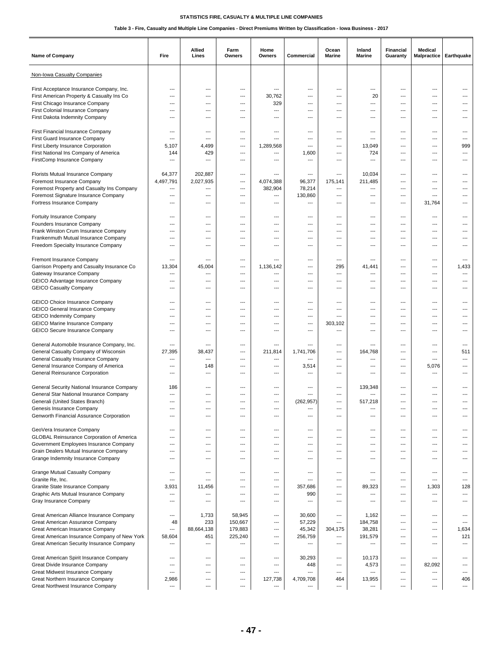| <b>Name of Company</b>                                                  | Fire                    | Allied<br>Lines                 | Farm<br>Owners                  | Home<br>Owners | Commercial                            | Ocean<br>Marine                     | Inland<br>Marine  | Financial<br>Guaranty             | Medical<br><b>Malpractice</b> | Earthquake                        |
|-------------------------------------------------------------------------|-------------------------|---------------------------------|---------------------------------|----------------|---------------------------------------|-------------------------------------|-------------------|-----------------------------------|-------------------------------|-----------------------------------|
| Non-Iowa Casualty Companies                                             |                         |                                 |                                 |                |                                       |                                     |                   |                                   |                               |                                   |
| First Acceptance Insurance Company, Inc.                                | ---                     | ---                             | ---                             | ---            | ---                                   | ---                                 | ---               | ---                               | ---                           |                                   |
| First American Property & Casualty Ins Co.                              | ---                     | ---                             | ---                             | 30,762         | ---                                   | ---                                 | 20                | $---$                             | $---$                         | ---                               |
| First Chicago Insurance Company                                         | ---                     | $---$                           | $\overline{\phantom{a}}$        | 329            | ---                                   | ---                                 | ---               | $---$                             | $---$                         | ---                               |
| First Colonial Insurance Company                                        | $\overline{a}$          | $\overline{\phantom{a}}$        | ---                             | ---            | $\overline{\phantom{a}}$              | ---                                 | ---               | $\overline{\phantom{a}}$          | $\overline{a}$                |                                   |
| First Dakota Indemnity Company                                          | ---                     | ---                             | ---                             | ---            | ---                                   | ---                                 | ---               | ---                               | ---                           |                                   |
|                                                                         |                         | ---                             |                                 |                | ---                                   |                                     | ---               |                                   |                               | ---                               |
| First Financial Insurance Company<br>First Guard Insurance Company      | $---$<br>$\overline{a}$ | $\overline{\phantom{a}}$        | ---<br>---                      | ---<br>---     | $\overline{\phantom{a}}$              | ---<br>---                          | ---               | $---$<br>$\overline{\phantom{a}}$ | $---$<br>---                  | ---                               |
| First Liberty Insurance Corporation                                     | 5,107                   | 4,499                           | ---                             | 1,289,568      | ---                                   | ---                                 | 13,049            | ---                               | ---                           | 999                               |
| First National Ins Company of America                                   | 144                     | 429                             | ---                             | ---            | 1,600                                 | ---                                 | 724               | $---$                             | ---                           | $\overline{\phantom{a}}$          |
| FirstComp Insurance Company                                             | ---                     | ---                             | ---                             | ---            | $\overline{\phantom{a}}$              | ---                                 | ---               | $\overline{\phantom{a}}$          | $---$                         | ---                               |
|                                                                         |                         |                                 |                                 |                |                                       |                                     |                   |                                   |                               |                                   |
| Florists Mutual Insurance Company                                       | 64,377                  | 202,887                         | ---                             |                | ---                                   | ---                                 | 10,034            | ---                               | ---                           |                                   |
| Foremost Insurance Company                                              | 4,497,791               | 2,027,935                       | ---                             | 4,074,388      | 96,377                                | 175,141                             | 211,485           | $---$                             | $---$                         | ---                               |
| Foremost Property and Casualty Ins Company                              | ---<br>$\overline{a}$   | $\overline{\phantom{a}}$<br>--- | ---<br>---                      | 382,904<br>--- | 78,214                                | ---<br>---                          | ---<br>---        | ---<br>---                        | ---<br>---                    | ---<br>---                        |
| Foremost Signature Insurance Company<br>Fortress Insurance Company      | ---                     | ---                             | ---                             | ---            | 130,860<br>---                        | ---                                 | ---               | ---                               | 31,764                        |                                   |
|                                                                         |                         |                                 |                                 |                |                                       |                                     |                   |                                   |                               |                                   |
| Fortuity Insurance Company                                              | ---                     | $---$                           | ---                             | ---            | ---                                   | ---                                 | ---               | $---$                             | $---$                         | ---                               |
| Founders Insurance Company                                              | ---                     | ---                             | ---                             | ---            | ---                                   | ---                                 | ---               | ---                               | ---                           |                                   |
| Frank Winston Crum Insurance Company                                    | ---                     | $---$                           | ---                             | ---            | ---                                   | ---                                 | ---               | ---                               | ---                           | ---                               |
| Frankenmuth Mutual Insurance Company                                    | ---                     | ---                             | ---                             | ---            | ---                                   | ---                                 | ---               | $\overline{\phantom{a}}$          | ---                           |                                   |
| Freedom Specialty Insurance Company                                     | ---                     | $---$                           | ---                             | ---            | ---                                   | ---                                 | ---               | $---$                             | $---$                         | ---                               |
| Fremont Insurance Company                                               | $\overline{a}$          | $\overline{\phantom{a}}$        | ---                             | ---            | ---                                   | ---                                 | ---               | ---                               | ---                           | ---                               |
| Garrison Property and Casualty Insurance Co                             | 13,304                  | 45,004                          | ---                             | 1,136,142      | ---                                   | 295                                 | 41,441            | ---                               | ---                           | 1,433                             |
| Gateway Insurance Company                                               | ---                     | ---                             | $\overline{\phantom{a}}$        | ---            | $---$                                 | $---$                               | ---               | $---$                             | $---$                         | ---                               |
| GEICO Advantage Insurance Company                                       | ---                     | $---$                           | $\overline{\phantom{a}}$        | ---            | ---                                   | ---                                 | ---               | $\overline{\phantom{a}}$          | $---$                         | ---                               |
| <b>GEICO Casualty Company</b>                                           | ---                     | ---                             | ---                             | ---            | ---                                   | ---                                 | ---               | ---                               | ---                           |                                   |
|                                                                         |                         |                                 |                                 |                |                                       |                                     |                   |                                   |                               |                                   |
| GEICO Choice Insurance Company                                          | ---                     | ---                             | ---                             | ---            | ---                                   | ---                                 | ---               | ---                               | ---                           | ---                               |
| GEICO General Insurance Company                                         | $---$<br>---            | $---$<br>---                    | ---<br>---                      | ---<br>---     | $---$<br>---                          | ---<br>$\overline{\phantom{a}}$     | ---<br>---        | $---$<br>$\overline{\phantom{a}}$ | $---$<br>---                  | ---<br>---                        |
| <b>GEICO Indemnity Company</b><br><b>GEICO Marine Insurance Company</b> | $\overline{a}$          | ---                             | ---                             | ---            | ---                                   | 303,102                             | ---               | ---                               | ---                           |                                   |
| GEICO Secure Insurance Company                                          | ---                     | $---$                           | ---                             | ---            | $---$                                 | ---                                 | ---               | $---$                             | $---$                         | ---                               |
|                                                                         |                         |                                 |                                 |                |                                       |                                     |                   |                                   |                               |                                   |
| General Automobile Insurance Company, Inc.                              | $\overline{a}$          | $\overline{\phantom{a}}$        | ---                             | ---            | ---                                   | ---                                 | ---               | ---                               | ---                           | $\overline{\phantom{a}}$          |
| General Casualty Company of Wisconsin                                   | 27,395                  | 38,437                          | ---                             | 211,814        | 1,741,706                             | ---                                 | 164,768           | ---                               | ---                           | 511                               |
| General Casualty Insurance Company                                      | ---                     | ---                             | ---                             | ---            | $\overline{\phantom{a}}$              | $---$                               | ---               | ---                               | ---                           | ---                               |
| General Insurance Company of America<br>General Reinsurance Corporation | $---$<br>---            | 148<br>---                      | $\overline{\phantom{a}}$<br>--- | ---<br>---     | 3,514<br>---                          | $---$<br>---                        | ---<br>---        | ---<br>---                        | 5,076<br>---                  | ---<br>---                        |
|                                                                         |                         |                                 |                                 |                |                                       |                                     |                   |                                   |                               |                                   |
| General Security National Insurance Company                             | 186                     | ---                             | ---                             | ---            | $---$                                 | $---$                               | 139.348           | $---$                             | $---$                         |                                   |
| General Star National Insurance Company                                 | $\overline{a}$          | ---                             | ---                             | ---            | ---                                   | ---                                 | ---               | ---                               | $---$                         | ---                               |
| Generali (United States Branch)                                         | $\overline{a}$          | ---                             | ---                             | ---            | (262, 957)                            | ---                                 | 517,218           | $\overline{\phantom{a}}$          | $\overline{a}$                |                                   |
| Genesis Insurance Company                                               | ---                     |                                 | ---                             |                | ---                                   | $---$                               | ---               |                                   | ---                           |                                   |
| Genworth Financial Assurance Corporation                                | $\overline{a}$          | ---                             | ---                             | ---            | ---                                   | ---                                 | ---               | ---                               | ---                           | ---                               |
| GeoVera Insurance Company                                               | $---$                   | ---                             | ---                             | $---$          | $---$                                 | ---                                 | ---               | $\qquad \qquad -$                 | $---$                         | ---                               |
| GLOBAL Reinsurance Corporation of America                               | ---                     | ---                             | ---                             | ---            | ---                                   | ---                                 | ---               | $\overline{\phantom{a}}$          | ---                           | ---                               |
| Government Employees Insurance Company                                  | ---                     | ---                             | ---                             | ---            | ---                                   | ---                                 | ---               | ---                               | ---                           | ---                               |
| Grain Dealers Mutual Insurance Company                                  | ---                     | ---                             | ---                             | ---            | ---                                   | $---$                               | ---               | $---$                             | $---$                         | ---                               |
| Grange Indemnity Insurance Company                                      | ---                     | $---$                           | ---                             | ---            | ---                                   | ---                                 | ---               | ---                               | $---$                         | ---                               |
| <b>Grange Mutual Casualty Company</b>                                   | ---                     | ---                             | ---                             | ---            | $\overline{\phantom{a}}$              | ---                                 | ---               | ---                               | ---                           | ---                               |
| Granite Re, Inc.                                                        | $---$                   | $---$                           | $---$                           | ---            | $---$                                 | $---$                               | ---               | $---$                             | ---                           | ---                               |
| Granite State Insurance Company                                         | 3,931                   | 11,456                          | ---                             | ---            | 357,686                               | ---                                 | 89,323            | ---                               | 1,303                         | 128                               |
| Graphic Arts Mutual Insurance Company                                   | ---                     | ---                             | ---                             | ---            | 990                                   | $\hspace{0.05cm} \ldots$            | ---               | $\overline{\phantom{a}}$          | ---                           | ---                               |
| Gray Insurance Company                                                  | ---                     | ---                             | ---                             | ---            | ---                                   | ---                                 | ---               | ---                               | ---                           |                                   |
|                                                                         |                         |                                 |                                 |                |                                       |                                     |                   |                                   |                               |                                   |
| Great American Alliance Insurance Company                               | ---                     | 1,733                           | 58,945                          | ---            | 30,600                                | ---                                 | 1,162             | ---                               | ---                           | $\qquad \qquad \cdots$            |
| Great American Assurance Company<br>Great American Insurance Company    | 48<br>---               | 233<br>88,664,138               | 150,667<br>179,883              | ---<br>---     | 57,229<br>45,342                      | $\overline{\phantom{a}}$<br>304,175 | 184,758<br>38,281 | ---<br>$\overline{\phantom{a}}$   | ---<br>---                    | $\overline{\phantom{a}}$<br>1,634 |
| Great American Insurance Company of New York                            | 58,604                  | 451                             | 225,240                         | ---            | 256,759                               | ---                                 | 191,579           | $---$                             | ---                           | 121                               |
| Great American Security Insurance Company                               | $\overline{a}$          | $\overline{\phantom{a}}$        | ---                             | ---            | $\overline{\phantom{a}}$              | ---                                 | ---               | ---                               | $---$                         | $\overline{\phantom{a}}$          |
|                                                                         |                         |                                 |                                 |                |                                       |                                     |                   |                                   |                               |                                   |
| Great American Spirit Insurance Company                                 | ---                     | ---                             | ---                             | ---            | 30,293                                | ---                                 | 10,173            | ---                               | ---                           | ---                               |
| Great Divide Insurance Company                                          | ---                     | ---                             | ---                             | ---            | 448                                   | $---$                               | 4,573             | ---                               | 82,092                        | ---                               |
| Great Midwest Insurance Company<br>Great Northern Insurance Company     | ---<br>2,986            | $---$<br>---                    | $\overline{\phantom{a}}$<br>--- | ---<br>127,738 | $\overline{\phantom{a}}$<br>4,709,708 | ---<br>464                          | ---               | $---$<br>---                      | $\overline{a}$<br>---         | $---$<br>406                      |
| Great Northwest Insurance Company                                       | ---                     | ---                             | ---                             | ---            | ---                                   | ---                                 | 13,955<br>---     | $\overline{\phantom{a}}$          | $\overline{a}$                | ---                               |
|                                                                         |                         |                                 |                                 |                |                                       |                                     |                   |                                   |                               |                                   |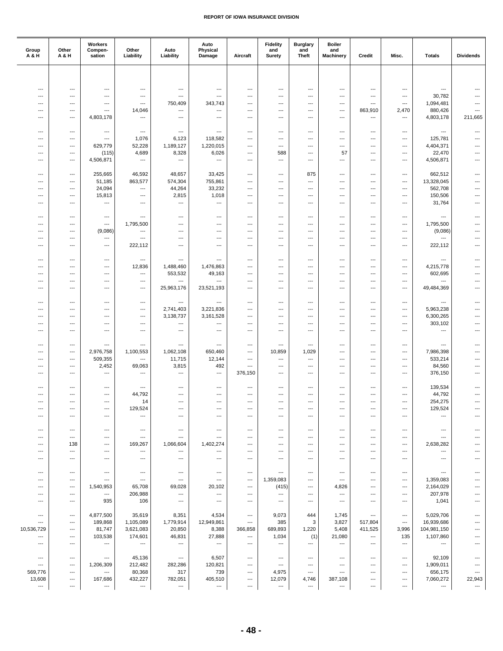| Group<br>A & H                                       | Other<br>A & H                  | Workers<br>Compen-<br>sation      | Other<br>Liability                  | Auto<br>Liability               | Auto<br>Physical<br>Damage                           | Aircraft                        | <b>Fidelity</b><br>and<br>Surety | <b>Burglary</b><br>and<br><b>Theft</b> | <b>Boiler</b><br>and<br><b>Machinery</b> | Credit                                               | Misc.                    | <b>Totals</b>                   | <b>Dividends</b>                           |
|------------------------------------------------------|---------------------------------|-----------------------------------|-------------------------------------|---------------------------------|------------------------------------------------------|---------------------------------|----------------------------------|----------------------------------------|------------------------------------------|------------------------------------------------------|--------------------------|---------------------------------|--------------------------------------------|
|                                                      |                                 |                                   |                                     |                                 |                                                      |                                 |                                  |                                        |                                          |                                                      |                          |                                 |                                            |
|                                                      |                                 |                                   |                                     |                                 |                                                      |                                 |                                  |                                        |                                          |                                                      |                          |                                 |                                            |
| ---                                                  | ---                             | ---                               | ---                                 | $---$                           | $\overline{\phantom{a}}$                             | ---                             | ---                              | ---                                    | ---                                      | ---                                                  | ---                      | $\overline{a}$                  | $---$                                      |
| $\overline{\phantom{a}}$                             | $---$                           | ---<br>$\overline{\phantom{a}}$   | $---$<br>$\overline{a}$             | $---$                           | ---                                                  | ---<br>---                      | ---                              | ---                                    | ---                                      | ---<br>$---$                                         | ---<br>$\overline{a}$    | 30,782                          | $---$                                      |
| ---<br>---                                           | ---<br>$\overline{\phantom{a}}$ | $\overline{a}$                    | 14,046                              | 750,409<br>---                  | 343,743<br>$\overline{\phantom{a}}$                  | ---                             | ---<br>---                       | ---<br>---                             | ---<br>---                               | 863,910                                              | 2,470                    | 1,094,481<br>880,426            | ---                                        |
| $\overline{\phantom{a}}$                             | ---                             | 4,803,178                         | $\overline{a}$                      | ---                             | ---                                                  | ---                             | ---                              | ---                                    | ---                                      | ---                                                  | ---                      | 4,803,178                       | 211,665                                    |
|                                                      |                                 |                                   |                                     |                                 |                                                      |                                 |                                  |                                        |                                          |                                                      |                          |                                 |                                            |
| $\overline{\phantom{a}}$                             | $\overline{\phantom{a}}$        | $\hspace{0.05cm} \ldots$          | $\hspace{0.05cm} \ldots$            | ---                             | $\hspace{0.05cm} \ldots$                             | ---                             | ---                              | ---                                    | ---                                      | ---                                                  | ---                      | ---                             | ---                                        |
| ---                                                  | ---                             | $\overline{\phantom{a}}$          | 1,076                               | 6,123                           | 118,582                                              | ---                             | ---                              | ---                                    | ---                                      | ---                                                  | ---                      | 125,781                         | ---                                        |
| ---                                                  | $---$                           | 629,779                           | 52,228                              | 1,189,127                       | 1,220,015                                            | ---                             | ---                              | ---                                    | ---                                      | ---                                                  | ---                      | 4,404,371                       | $---$                                      |
| $\overline{\phantom{a}}$                             | $---$                           | (115)                             | 4,689                               | 8,328                           | 6,026                                                | ---                             | 588                              | ---                                    | 57                                       | ---                                                  | ---                      | 22,470                          | ---                                        |
| $\overline{\phantom{a}}$                             | $\overline{\phantom{a}}$        | 4,506,871                         | $\hspace{0.05cm} \ldots$            | ---                             | $\hspace{0.05cm} \ldots$                             | ---                             | ---                              | ---                                    | ---                                      | $---$                                                | ---                      | 4,506,871                       | $\overline{a}$                             |
|                                                      |                                 |                                   |                                     |                                 |                                                      |                                 |                                  |                                        |                                          |                                                      |                          |                                 |                                            |
| $---$                                                | $---$                           | 255,665                           | 46,592                              | 48,657                          | 33,425                                               | ---                             | ---                              | 875                                    | ---                                      | ---                                                  | ---                      | 662,512                         | ---                                        |
| $\overline{\phantom{a}}$<br>$\overline{\phantom{a}}$ | $---$<br>---                    | 51,185<br>24,094                  | 863,577<br>$\hspace{0.05cm} \ldots$ | 574,304<br>44,264               | 755,861<br>33,232                                    | $\overline{\phantom{a}}$<br>--- | ---<br>---                       | $\overline{a}$<br>---                  | ---<br>---                               | ---<br>---                                           | ---<br>---               | 13,328,045<br>562,708           | $\overline{\phantom{a}}$<br>$\overline{a}$ |
| $\overline{\phantom{a}}$                             | ---                             | 15,813                            | ---                                 | 2,815                           | 1,018                                                | ---                             | ---                              | ---                                    | ---                                      | ---                                                  | ---                      | 150,506                         | $\cdots$                                   |
| $\overline{\phantom{a}}$                             | $---$                           | $\hspace{0.05cm} \ldots$          | $---$                               | ---                             | $\hspace{0.05cm} \ldots$                             | ---                             | ---                              | $---$                                  | $\overline{a}$                           | $---$                                                | $---$                    | 31,764                          | ---                                        |
|                                                      |                                 |                                   |                                     |                                 |                                                      |                                 |                                  |                                        |                                          |                                                      |                          |                                 |                                            |
| $\overline{\phantom{a}}$                             | $\overline{\phantom{a}}$        | ---                               | $\overline{a}$                      | ---                             | $\hspace{0.05cm} \ldots$                             | ---                             | ---                              | ---                                    | ---                                      | $---$                                                | ---                      | ---                             | $\overline{a}$                             |
|                                                      | $\overline{\phantom{a}}$        | ---                               | 1,795,500                           | $---$                           | $\overline{\phantom{a}}$                             | ---                             | ---                              | ---                                    | ---                                      | ---                                                  | ---                      | 1,795,500                       | ---                                        |
| ---                                                  | $\overline{\phantom{a}}$        | (9,086)                           | ---                                 | ---                             | $\overline{\phantom{a}}$                             | ---                             | ---                              | ---                                    | ---                                      | $---$                                                | ---                      | (9,086)                         | ---                                        |
| $---$                                                | ---                             | $\hspace{0.05cm} \ldots$          | ---                                 | ---                             | ---                                                  | ---                             | ---                              | ---                                    | ---                                      | ---                                                  | $---$                    | ---                             | ---                                        |
| $\overline{\phantom{a}}$                             | $---$                           | $\hspace{0.05cm} \ldots$          | 222,112                             | ---                             | $---$                                                | ---                             | ---                              | $---$                                  | $---$                                    | $---$                                                | $---$                    | 222,112                         | ---                                        |
|                                                      |                                 |                                   |                                     |                                 |                                                      |                                 |                                  |                                        |                                          |                                                      |                          |                                 |                                            |
| $\overline{\phantom{a}}$                             | ---                             | ---                               | ---                                 | ---                             | $\hspace{0.05cm} \ldots$                             | ---                             | ---                              | ---                                    | ---                                      | ---                                                  | ---                      | ---                             | ---                                        |
| $\overline{\phantom{a}}$                             | $---$                           | $---$                             | 12,836                              | 1,488,460                       | 1,476,863                                            | ---                             | ---                              | $---$                                  | ---                                      | $---$                                                | $---$                    | 4,215,778                       | ---                                        |
| $\overline{\phantom{a}}$<br>$\overline{\phantom{a}}$ | $---$<br>---                    | $---$<br>$\overline{\phantom{a}}$ | ---<br>---                          | 553,532<br>$---$                | 49,163<br>$\qquad \qquad \cdots$                     | ---<br>---                      | ---<br>---                       | ---<br>---                             | ---<br>$\overline{a}$                    | ---<br>---                                           | ---<br>---               | 602,695<br>---                  | ---                                        |
| ---                                                  | $\overline{\phantom{a}}$        | $\overline{\phantom{a}}$          | ---                                 | 25,963,176                      | 23,521,193                                           | ---                             | ---                              | ---                                    | ---                                      | ---                                                  | ---                      | 49,484,369                      | ---                                        |
|                                                      |                                 |                                   |                                     |                                 |                                                      |                                 |                                  |                                        |                                          |                                                      |                          |                                 |                                            |
| $\overline{\phantom{a}}$                             | $---$                           | $---$                             | $---$                               | ---                             | $\overline{\phantom{a}}$                             | ---                             | $---$                            | $---$                                  | ---                                      | $---$                                                | $---$                    | $\overline{a}$                  | $---$                                      |
| $\overline{\phantom{a}}$                             | ---                             | $\hspace{0.05cm} \ldots$          | ---                                 | 2,741,403                       | 3,221,836                                            | ---                             | ---                              | ---                                    | ---                                      | $\hspace{0.05cm} \ldots$                             | ---                      | 5,963,238                       | ---                                        |
| ---                                                  | $\overline{\phantom{a}}$        | $\overline{a}$                    | ---                                 | 3,138,737                       | 3,161,528                                            | ---                             | ---                              | ---                                    | ---                                      | ---                                                  | ---                      | 6,300,265                       | ---                                        |
| ---                                                  | ---                             | $---$                             | $---$                               | ---                             | ---                                                  | ---                             | ---                              | ---                                    | ---                                      | ---                                                  | $---$                    | 303,102                         | ---                                        |
| $\overline{\phantom{a}}$                             | $---$                           | ---                               | $---$                               | ---                             | ---                                                  | ---                             | ---                              | ---                                    | ---                                      | ---                                                  | ---                      | ---                             | ---                                        |
|                                                      |                                 |                                   |                                     |                                 |                                                      |                                 |                                  |                                        |                                          |                                                      |                          |                                 |                                            |
| ---                                                  | $\overline{\phantom{a}}$        | $\hspace{0.05cm} \ldots$          | ---                                 | ---                             | $\hspace{0.05cm} \ldots$                             | ---                             | ---                              | ---                                    | ---                                      | $---$                                                | ---                      | ---                             | ---                                        |
| $---$                                                | $---$                           | 2,976,758                         | 1,100,553<br>$---$                  | 1,062,108                       | 650,460                                              | ---<br>$\overline{\phantom{a}}$ | 10,859                           | 1,029<br>$\overline{a}$                | ---                                      | ---                                                  | ---                      | 7,986,398                       | ---                                        |
| $\overline{\phantom{a}}$<br>$\overline{\phantom{a}}$ | $---$<br>---                    | 509,355<br>2,452                  | 69,063                              | 11,715<br>3,815                 | 12,144<br>492                                        | ---                             | ---<br>---                       | ---                                    | ---<br>---                               | ---<br>---                                           | ---<br>---               | 533,214<br>84,560               | ---<br>---                                 |
| $\overline{\phantom{a}}$                             | ---                             | $\hspace{0.05cm} \ldots$          | ---                                 | ---                             | $\hspace{0.05cm} \ldots$                             | 376,150                         | ---                              | ---                                    | ---                                      | ---                                                  | ---                      | 376,150                         | $\overline{\phantom{a}}$                   |
|                                                      |                                 |                                   |                                     |                                 |                                                      |                                 |                                  |                                        |                                          |                                                      |                          |                                 |                                            |
| $\overline{\phantom{a}}$                             | $---$                           | $---$                             | ---                                 | $---$                           | $---$                                                | ---                             | ---                              | ---                                    | ---                                      | $---$                                                | ---                      | 139,534                         | $---$                                      |
| ---                                                  | ---                             | $\hspace{0.05cm} \ldots$          | 44,792                              | $---$                           | $\overline{\phantom{a}}$                             | ---                             | ---                              | ---                                    | ---                                      | $---$                                                | ---                      | 44,792                          | ---                                        |
| ---                                                  | $\overline{\phantom{a}}$        | $\hspace{0.05cm} \ldots$          | 14                                  | $---$                           | $\hspace{0.05cm} \ldots$                             | ---                             | ---                              | $\overline{a}$                         | ---                                      | $---$                                                | ---                      | 254,275                         | ---                                        |
|                                                      | ---                             | ---                               | 129,524                             | ---                             | ---                                                  |                                 | ---                              | ---                                    |                                          | ---                                                  | ---                      | 129,524                         |                                            |
| $---$                                                | $---$                           | $\cdots$                          | $---$                               | ---                             | $---$                                                | ---                             | ---                              | ---                                    | ---                                      | ---                                                  | ---                      | $\overline{a}$                  |                                            |
|                                                      |                                 |                                   |                                     |                                 |                                                      |                                 |                                  |                                        |                                          |                                                      |                          |                                 |                                            |
| ---<br>---                                           | ---<br>---                      | ---<br>$\hspace{0.05cm} \ldots$   | $\hspace{0.05cm} \ldots$<br>---     | $\hspace{0.05cm} \ldots$<br>--- | $\hspace{0.05cm} \ldots$<br>$\hspace{0.05cm} \ldots$ | $\hspace{0.05cm} \ldots$<br>--- | ---<br>---                       | $\hspace{0.05cm} \ldots$<br>---        | ---<br>---                               | $\hspace{0.05cm} \ldots$<br>$\hspace{0.05cm} \ldots$ | $\cdots$<br>---          | $\hspace{0.05cm} \ldots$<br>--- |                                            |
| $---$                                                | 138                             | $---$                             | 169,267                             | 1,066,604                       | 1,402,274                                            | ---                             | ---                              | ---                                    | ---                                      | ---                                                  | ---                      | 2,638,282                       |                                            |
| $---$                                                | $\overline{\phantom{a}}$        | $\hspace{0.05cm} \ldots$          | $\overline{\phantom{a}}$            | $\overline{\phantom{a}}$        | $\overline{\phantom{a}}$                             | ---                             | $---$                            | ---                                    | ---                                      | ---                                                  | ---                      | $\overline{\phantom{a}}$        |                                            |
| $\overline{\phantom{a}}$                             | ---                             | $\hspace{0.05cm} \ldots$          | $\hspace{0.05cm} \ldots$            | ---                             | $\hspace{0.05cm} \ldots$                             | ---                             | ---                              | $\overline{\phantom{a}}$               | ---                                      | $---$                                                | ---                      | ---                             |                                            |
|                                                      |                                 |                                   |                                     |                                 |                                                      |                                 |                                  |                                        |                                          |                                                      |                          |                                 |                                            |
| $\qquad \qquad -$                                    | $\hspace{0.05cm} \ldots$        | ---                               | $\hspace{0.05cm} \cdots$            | $\hspace{0.05cm} \ldots$        | $\hspace{0.05cm} \cdots$                             | ---                             | ---                              | $---$                                  | $---$                                    | $---$                                                | $---$                    | $\hspace{0.05cm} \ldots$        |                                            |
| $---$                                                | $---$                           | $\overline{\phantom{a}}$          | $\overline{\phantom{a}}$            | $\hspace{0.05cm} \ldots$        | $---$                                                | $---$                           | 1,359,083                        | ---                                    | $---$                                    | ---                                                  | ---                      | 1,359,083                       |                                            |
| ---                                                  | ---                             | 1,540,953                         | 65,708                              | 69,028                          | 20,102                                               | $\hspace{0.05cm} \ldots$        | (415)                            | $\hspace{0.05cm} \ldots$               | 4,826                                    | $\hspace{0.05cm} \ldots$                             | ---                      | 2,164,029                       | ---                                        |
| ---                                                  | ---                             | ---                               | 206,988                             | $\hspace{0.05cm} \ldots$        | $\hspace{0.05cm} \ldots$                             | ---                             | ---                              | ---                                    | ---                                      | ---                                                  | ---                      | 207,978                         |                                            |
| ---                                                  | $\hspace{0.05cm} \ldots$        | 935                               | 106                                 | $\hspace{0.05cm} \ldots$        | $\hspace{0.05cm} \ldots$                             | $---$                           | $\hspace{0.05cm} \ldots$         | $\overline{\phantom{a}}$               | $---$                                    | $---$                                                | $---$                    | 1,041                           |                                            |
| ---                                                  | $\hspace{0.05cm} \ldots$        | 4,877,500                         | 35,619                              | 8,351                           | 4,534                                                | $\hspace{0.05cm} \ldots$        | 9,073                            | 444                                    | 1,745                                    | $\hspace{0.05cm} \ldots$                             | ---                      | 5,029,706                       | ---                                        |
| ---                                                  | ---                             | 189,868                           | 1,105,089                           | 1,779,914                       | 12,949,861                                           | $\hspace{0.05cm} \ldots$        | 385                              | 3                                      | 3,827                                    | 517,804                                              | ---                      | 16,939,686                      |                                            |
| 10,536,729                                           | $\hspace{0.05cm} \ldots$        | 81,747                            | 3,621,083                           | 20,850                          | 8,388                                                | 366,858                         | 689,893                          | 1,220                                  | 5,408                                    | 411,525                                              | 3,996                    | 104,981,150                     |                                            |
| ---                                                  | $\hspace{0.05cm} \ldots$        | 103,538                           | 174,601                             | 46,831                          | 27,888                                               | $\hspace{0.05cm} \ldots$        | 1,034                            | (1)                                    | 21,080                                   | $\qquad \qquad \cdots$                               | 135                      | 1,107,860                       | ---                                        |
| $\qquad \qquad \cdots$                               | ---                             | $\hspace{0.05cm} \ldots$          | $\hspace{0.05cm} \ldots$            | $\hspace{0.05cm} \ldots$        | $\hspace{0.05cm} \ldots$                             | ---                             | ---                              | $\hspace{0.05cm} \ldots$               | ---                                      | $\hspace{0.05cm}\ldots$                              | $\hspace{0.05cm} \ldots$ | $\hspace{0.05cm} \ldots$        | $\overline{a}$                             |
|                                                      |                                 |                                   |                                     |                                 |                                                      |                                 |                                  |                                        |                                          |                                                      |                          |                                 |                                            |
| $\hspace{0.05cm} \ldots$                             | $---$                           | ---                               | 45,136                              | $\hspace{0.05cm} \ldots$        | 6,507                                                | $\cdots$                        | ---                              | $\overline{\phantom{a}}$               | $---$                                    | $---$                                                | $\qquad \qquad \cdots$   | 92,109                          |                                            |
| $\overline{\phantom{a}}$                             | $\hspace{0.05cm} \ldots$        | 1,206,309                         | 212,482                             | 282,286                         | 120,821                                              | ---                             | $\overline{\phantom{a}}$         | $\overline{\phantom{a}}$               | $---$                                    | $---$                                                | $---$                    | 1,909,011                       |                                            |
| 569,776                                              | ---                             | $\hspace{0.05cm} \ldots$          | 80,368                              | 317                             | 739                                                  | $\hspace{0.05cm} \ldots$        | 4,975                            | $\hspace{0.05cm} \ldots$               | ---                                      | $---$                                                | $\overline{\phantom{a}}$ | 656,175                         | $\overline{\phantom{a}}$                   |
| 13,608                                               | ---                             | 167,686                           | 432,227                             | 782,051                         | 405,510                                              | ---                             | 12,079                           | 4,746                                  | 387,108                                  | ---                                                  | ---                      | 7,060,272                       | 22,943                                     |
| ---                                                  | ---                             | ---                               | $\hspace{0.05cm} \ldots$            | ---                             | ---                                                  | ---                             | ---                              | ---                                    | ---                                      | ---                                                  | ---                      | ---                             | $\hspace{0.05cm} \cdots$                   |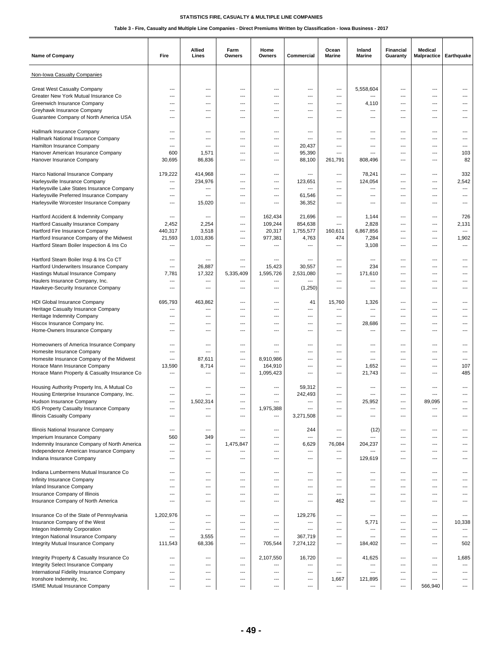| <b>Name of Company</b>                                          | Fire                     | Allied<br>Lines          | Farm<br>Owners           | Home<br>Owners | Commercial                      | Ocean<br>Marine          | Inland<br>Marine | Financial<br>Guaranty             | Medical<br><b>Malpractice</b> | Earthquake               |
|-----------------------------------------------------------------|--------------------------|--------------------------|--------------------------|----------------|---------------------------------|--------------------------|------------------|-----------------------------------|-------------------------------|--------------------------|
| Non-Iowa Casualty Companies                                     |                          |                          |                          |                |                                 |                          |                  |                                   |                               |                          |
| <b>Great West Casualty Company</b>                              | ---                      | ---                      | ---                      | ---            | ---                             | ---                      | 5,558,604        | ---                               | ---                           |                          |
| Greater New York Mutual Insurance Co                            | ---                      | ---                      | ---                      | ---            | $---$                           | ---                      | ---              | $---$                             | $---$                         | ---                      |
| Greenwich Insurance Company                                     | ---                      | $---$                    | $\overline{\phantom{a}}$ | ---            | ---                             | ---                      | 4,110            | ---                               | $---$                         | ---                      |
| Greyhawk Insurance Company                                      | $\overline{a}$           | $\overline{\phantom{a}}$ | ---                      | ---            | ---                             | ---                      | ---              | $\overline{\phantom{a}}$          | $\overline{a}$                |                          |
| Guarantee Company of North America USA                          | ---                      | ---                      | ---                      | ---            | ---                             | ---                      | ---              | ---                               | ---                           | ---                      |
|                                                                 |                          |                          |                          |                |                                 |                          |                  |                                   |                               |                          |
| Hallmark Insurance Company                                      | $---$                    | $---$                    | ---                      | ---            | ---                             | ---                      | ---              | $---$                             | ---                           | ---                      |
| Hallmark National Insurance Company                             | ---                      | $\overline{\phantom{a}}$ | ---                      | ---            | $\overline{\phantom{a}}$        | ---                      | ---              | $\overline{\phantom{a}}$          | ---                           | ---                      |
| Hamilton Insurance Company                                      | ---                      | ---                      | ---                      | ---            | 20,437                          | ---                      | ---              | ---                               | ---                           |                          |
| Hanover American Insurance Company<br>Hanover Insurance Company | 600<br>30,695            | 1,571<br>86,836          | ---<br>---               | ---<br>---     | 95,390<br>88,100                | ---<br>261,791           | ---<br>808,496   | $---$<br>$\overline{\phantom{a}}$ | ---<br>$---$                  | 103<br>82                |
|                                                                 |                          |                          |                          |                |                                 |                          |                  |                                   |                               |                          |
| Harco National Insurance Company                                | 179,222                  | 414,968                  | ---                      | ---            | $\overline{\phantom{a}}$        | ---                      | 78,241           | $\overline{\phantom{a}}$          | ---                           | 332                      |
| Harleysville Insurance Company                                  | ---                      | 234,976                  | ---                      | ---            | 123,651                         | $---$                    | 124,054          | $---$                             | ---                           | 2,542                    |
| Harleysville Lake States Insurance Company                      | $\overline{\phantom{a}}$ | ---                      | ---                      | $\overline{a}$ | $\overline{\phantom{a}}$        | ---                      | ---              | ---                               | ---                           | $\overline{\phantom{a}}$ |
| Harleysville Preferred Insurance Company                        | $\overline{\phantom{a}}$ | $\overline{\phantom{a}}$ | ---                      | ---            | 61,546                          | ---                      | ---              | ---                               | ---                           | ---                      |
| Harleysville Worcester Insurance Company                        | ---                      | 15,020                   | ---                      | ---            | 36,352                          | ---                      | ---              | ---                               | ---                           | ---                      |
|                                                                 |                          |                          |                          |                |                                 |                          |                  |                                   |                               |                          |
| Hartford Accident & Indemnity Company                           | ---                      | ---                      | ---                      | 162,434        | 21,696                          | ---                      | 1,144            | $---$                             | $---$                         | 726                      |
| Hartford Casualty Insurance Company                             | 2,452                    | 2,254                    | ---                      | 109,244        | 854,638                         | ---                      | 2,828            | $\overline{\phantom{a}}$          | ---                           | 2,131                    |
| Hartford Fire Insurance Company                                 | 440,317                  | 3,518                    | ---                      | 20,317         | 1,755,577                       | 160,611                  | 6,867,856        | ---                               | ---                           | ---                      |
| Hartford Insurance Company of the Midwest                       | 21,593                   | 1,031,836                | ---                      | 977,381        | 4,763                           | 474                      | 7,284            | $\overline{\phantom{a}}$          | ---                           | 1,902                    |
| Hartford Steam Boiler Inspection & Ins Co                       | ---                      | ---                      | ---                      | ---            | ---                             | ---                      | 3,108            | ---                               | $---$                         | ---                      |
|                                                                 |                          |                          |                          |                |                                 |                          |                  |                                   |                               |                          |
| Hartford Steam Boiler Insp & Ins Co CT                          | ---                      | $\overline{\phantom{a}}$ | ---                      | ---            | $\overline{\phantom{a}}$        | ---                      | ---              | ---                               | ---                           | ---                      |
| Hartford Underwriters Insurance Company                         | $\overline{a}$           | 26,887                   | ---                      | 15,423         | 30,557                          | ---                      | 234              | ---                               | ---                           | ---                      |
| Hastings Mutual Insurance Company                               | 7,781                    | 17,322                   | 5,335,409                | 1,595,726      | 2,531,080                       | $---$                    | 171,610          | $---$                             | $---$                         | ---                      |
| Haulers Insurance Company, Inc.                                 | ---                      | ---                      | ---                      | ---            | ---                             | ---                      | ---              | ---<br>$\overline{\phantom{a}}$   | $---$                         | ---                      |
| Hawkeye-Security Insurance Company                              | ---                      | ---                      | ---                      | ---            | (1,250)                         | ---                      | ---              |                                   | ---                           |                          |
| HDI Global Insurance Company                                    | 695,793                  | 463,862                  | ---                      | ---            | 41                              | 15,760                   | 1,326            | ---                               | ---                           | ---                      |
| Heritage Casualty Insurance Company                             | ---                      | ---                      | ---                      | ---            | ---                             | ---                      | ---              | $---$                             | $---$                         | ---                      |
| Heritage Indemnity Company                                      | $\overline{a}$           | $\overline{\phantom{a}}$ | ---                      | ---            | ---                             | $\overline{\phantom{a}}$ | ---              | $\overline{\phantom{a}}$          | $\overline{a}$                | ---                      |
| Hiscox Insurance Company Inc.                                   | $\overline{a}$           | ---                      | ---                      | ---            | ---                             | ---                      | 28,686           | ---                               | ---                           | ---                      |
| Home-Owners Insurance Company                                   | ---                      | $---$                    | $\overline{\phantom{a}}$ | ---            | $---$                           | ---                      | ---              | $---$                             | $---$                         | ---                      |
|                                                                 |                          |                          |                          |                |                                 |                          |                  |                                   |                               |                          |
| Homeowners of America Insurance Company                         | ---                      | ---                      | ---                      | ---            | ---                             | ---                      | ---              | ---                               | ---                           | ---                      |
| Homesite Insurance Company                                      | ---                      | $\overline{\phantom{a}}$ | ---                      | ---            | ---                             | ---                      | ---              | $\overline{\phantom{a}}$          | ---                           | ---                      |
| Homesite Insurance Company of the Midwest                       | ---                      | 87,611                   | ---                      | 8,910,986      | ---                             | $---$                    | ---              | ---                               | $---$                         | ---                      |
| Horace Mann Insurance Company                                   | 13,590                   | 8,714                    | ---                      | 164,910        | ---                             | $---$                    | 1,652            | ---                               | $---$                         | 107                      |
| Horace Mann Property & Casualty Insurance Co                    | ---                      | ---                      | ---                      | 1,095,423      | ---                             | ---                      | 21,743           | $\overline{\phantom{a}}$          | $---$                         | 485                      |
|                                                                 |                          |                          |                          |                |                                 |                          |                  |                                   |                               |                          |
| Housing Authority Property Ins, A Mutual Co                     | ---                      | ---                      | ---                      | ---            | 59,312                          | $---$                    | ---              | $---$                             | $---$                         | ---                      |
| Housing Enterprise Insurance Company, Inc.                      | ---                      | $\overline{\phantom{a}}$ | ---                      | ---            | 242,493                         | ---                      | ---              | ---                               | $\overline{a}$                | ---                      |
| Hudson Insurance Company                                        | $\overline{a}$           | 1,502,314                | ---                      | ---            | $\overline{\phantom{a}}$        | ---                      | 25,952           | $\overline{\phantom{a}}$          | 89,095                        | ---                      |
| <b>IDS Property Casualty Insurance Company</b>                  | ---<br>---               | ---<br>---               | ---                      | 1,975,388      |                                 | ---                      | ---              | ---                               | ---<br>---                    |                          |
| Illinois Casualty Company                                       |                          |                          | ---                      | ---            | 3,271,508                       |                          | ---              |                                   |                               | ---                      |
| Illinois National Insurance Company                             | ---                      | $---$                    | ---                      | $\overline{a}$ | 244                             | ---                      | (12)             | $\qquad \qquad -$                 | $---$                         | ---                      |
| Imperium Insurance Company                                      | 560                      | 349                      | ---                      | ---            | $\hspace{0.05cm} \ldots$        | ---                      | ---              | $\overline{\phantom{a}}$          | ---                           | ---                      |
| Indemnity Insurance Company of North America                    | ---                      | ---                      | 1,475,847                | ---            | 6,629                           | 76,084                   | 204,237          | ---                               | ---                           | ---                      |
| Independence American Insurance Company                         | ---                      | ---                      | ---                      | ---            | $\hspace{0.05cm} \ldots$        | ---                      | ---              | $---$                             | ---                           | ---                      |
| Indiana Insurance Company                                       | ---                      | ---                      | ---                      | ---            | $\overline{\phantom{a}}$        | ---                      | 129,619          | ---                               | $---$                         | ---                      |
|                                                                 |                          |                          |                          |                |                                 |                          |                  |                                   |                               |                          |
| Indiana Lumbermens Mutual Insurance Co                          | ---                      | ---                      | ---                      | ---            | ---                             | ---                      | ---              | ---                               | ---                           | ---                      |
| Infinity Insurance Company                                      | ---                      | $---$                    | ---                      | ---            | $---$                           | $---$                    | ---              | $---$                             | $---$                         | ---                      |
| Inland Insurance Company                                        | ---                      | ---                      | ---                      | ---            | $---$                           | $---$                    | ---              | $\qquad \qquad -$                 | $---$                         | ---                      |
| Insurance Company of Illinois                                   | ---                      | ---                      | ---                      | ---            | $\hspace{0.05cm} \ldots$        | ---                      | ---              | $\overline{\phantom{a}}$          | ---                           | ---                      |
| Insurance Company of North America                              | ---                      | ---                      | ---                      | ---            | ---                             | 462                      | ---              | ---                               | ---                           |                          |
|                                                                 |                          |                          |                          |                |                                 |                          |                  |                                   |                               | $---$                    |
| Insurance Co of the State of Pennsylvania                       | 1,202,976<br>---         | $---$                    | ---                      | $---$          | 129,276                         | ---                      | ---              | ---                               | ---                           |                          |
| Insurance Company of the West<br>Integon Indemnity Corporation  | $\overline{a}$           | ---<br>---               | ---<br>---               | ---<br>---     | ---<br>$\overline{\phantom{a}}$ | ---<br>---               | 5,771<br>---     | ---<br>$\overline{\phantom{a}}$   | ---<br>---                    | 10,338<br>---            |
| Integon National Insurance Company                              | ---                      | 3,555                    | ---                      | ---            | 367,719                         | ---                      | $---$            | $---$                             | ---                           | $---$                    |
| Integrity Mutual Insurance Company                              | 111,543                  | 68,336                   | ---                      | 705,544        | 7,274,122                       | ---                      | 184,402          | ---                               | ---                           | 502                      |
|                                                                 |                          |                          |                          |                |                                 |                          |                  |                                   |                               |                          |
| Integrity Property & Casualty Insurance Co                      | ---                      | ---                      | ---                      | 2,107,550      | 16,720                          | ---                      | 41,625           | ---                               | ---                           | 1,685                    |
| Integrity Select Insurance Company                              | ---                      | ---                      | ---                      | ---            | $\hspace{0.05cm} \ldots$        | ---                      | ---              | $---$                             | $---$                         | ---                      |
| International Fidelity Insurance Company                        | $---$                    | $---$                    | $\overline{\phantom{a}}$ | ---            | ---                             | ---                      | ---              | $---$                             | $---$                         | ---                      |
| Ironshore Indemnity, Inc.                                       | ---                      | ---                      | ---                      | ---            | $\overline{\phantom{a}}$        | 1,667                    | 121,895          | ---                               | ---                           | ---                      |
| ISMIE Mutual Insurance Company                                  | $\overline{a}$           | ---                      | ---                      | ---            | $\overline{\phantom{a}}$        | ---                      | ---              | $\overline{\phantom{a}}$          | 566,940                       | ---                      |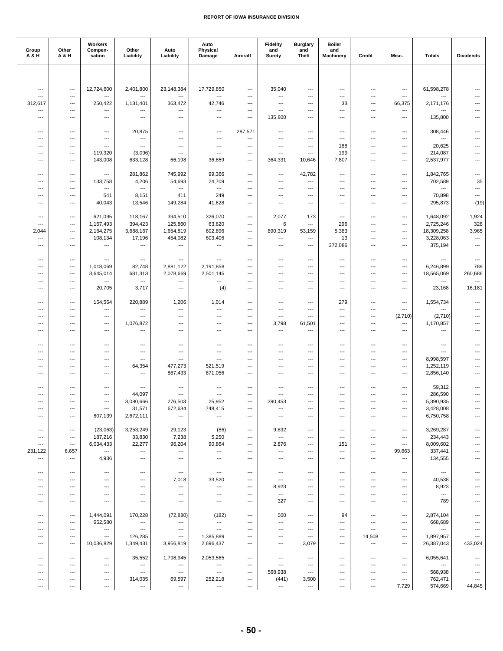| Group<br>A & H           | Other<br><b>A&amp;H</b>                         | Workers<br>Compen-<br>sation                         | Other<br>Liability                                   | Auto<br>Liability                                    | Auto<br>Physical<br>Damage            | Aircraft                        | <b>Fidelity</b><br>and<br>Surety  | <b>Burglary</b><br>and<br><b>Theft</b>               | <b>Boiler</b><br>and<br>Machinery | Credit                                               | Misc.                    | <b>Totals</b>                         | <b>Dividends</b>                           |
|--------------------------|-------------------------------------------------|------------------------------------------------------|------------------------------------------------------|------------------------------------------------------|---------------------------------------|---------------------------------|-----------------------------------|------------------------------------------------------|-----------------------------------|------------------------------------------------------|--------------------------|---------------------------------------|--------------------------------------------|
|                          |                                                 |                                                      |                                                      |                                                      |                                       |                                 |                                   |                                                      |                                   |                                                      |                          |                                       |                                            |
| ---                      | ---                                             | 12,724,600                                           | 2,401,800                                            | 23,148,384                                           | 17,729,850                            | ---                             | 35,040                            | ---                                                  | ---                               | ---                                                  | ---                      | 61,598,278                            |                                            |
| ---                      | ---                                             | $\overline{\phantom{a}}$                             | $\overline{a}$                                       | $\overline{a}$                                       | $\overline{a}$                        | ---                             | ---                               | ---                                                  | ---                               | $\qquad \qquad -\qquad$                              | $\overline{\phantom{a}}$ | ---                                   |                                            |
| 312,617<br>---           | $---$<br>---                                    | 250,422<br>$\hspace{0.05cm} \ldots$                  | 1,131,401<br>$\overline{a}$                          | 363,472<br>---                                       | 42,746<br>---                         | $\overline{a}$<br>---           | ---<br>$\overline{a}$             | $\overline{\phantom{a}}$<br>---                      | 33<br>---                         | ---<br>---                                           | 66,375<br>---            | 2,171,176<br>---                      |                                            |
| ---                      | $\overline{a}$                                  | $\overline{a}$                                       | ---                                                  | ---                                                  | ---                                   | ---                             | 135,800                           | ---                                                  | ---                               | ---                                                  | ---                      | 135,800                               |                                            |
| ---                      | $---$                                           | $\hspace{0.05cm} \ldots$                             | 20,875                                               | $\hspace{0.05cm} \ldots$                             | ---                                   | 287,571                         | ---                               | $---$                                                | ---                               | $---$                                                | ---                      | 308,446                               | ---                                        |
| ---<br>---               | ---<br>---                                      | $\hspace{0.05cm} \ldots$<br>$\hspace{0.05cm} \ldots$ | $\hspace{0.05cm} \ldots$<br>$\hspace{0.05cm} \ldots$ | $\overline{\phantom{a}}$<br>---                      | ---<br>---                            | ---<br>---                      | ---<br>---                        | ---<br>---                                           | ---<br>188                        | ---<br>---                                           | $\cdots$<br>---          | ---<br>20,625                         | $\overline{a}$                             |
| ---<br>---               | ---<br>$---$                                    | 119,320<br>143,008                                   | (3,096)<br>633,128                                   | $\overline{\phantom{a}}$<br>66,198                   | ---<br>36,859                         | ---<br>$\overline{a}$           | ---<br>364,331                    | $\overline{\phantom{a}}$<br>10,646                   | 199<br>7,807                      | ---<br>---                                           | ---<br>---               | 214,087<br>2,537,977                  | $\overline{a}$<br>---                      |
|                          |                                                 |                                                      |                                                      |                                                      |                                       |                                 |                                   |                                                      |                                   |                                                      |                          |                                       |                                            |
| ---<br>---               | ---<br>---                                      | $\hspace{0.05cm} \ldots$<br>133,758                  | 281,862<br>4,206                                     | 745,992<br>54,693                                    | 99,366<br>24,709                      | ---<br>---                      | ---<br>---                        | 42,782<br>---                                        | ---<br>---                        | ---<br>---                                           | ---<br>---               | 1,842,765<br>702,589                  | ---<br>35                                  |
| ---<br>---               | $---$<br>---                                    | $\hspace{0.05cm} \ldots$<br>541                      | $\overline{\phantom{a}}$<br>8,151                    | $\hspace{0.05cm} \ldots$<br>411                      | ---<br>249                            | ---<br>---                      | $---$<br>---                      | $---$<br>---                                         | $---$<br>---                      | ---<br>$\hspace{0.05cm} \ldots$                      | $---$<br>$\cdots$        | $\overline{a}$<br>70,898              | ---<br>$\hspace{0.05cm} \ldots$            |
| ---                      | ---                                             | 40,043                                               | 13,546                                               | 149,284                                              | 41,628                                | ---                             | ---                               | $\hspace{0.05cm} \ldots$                             | ---                               | ---                                                  | ---                      | 295,873                               | (19)                                       |
| $\overline{\phantom{a}}$ | ---                                             | 621,095                                              | 118,167                                              | 394,510                                              | 326,070                               | $\overline{a}$                  | 2,077                             | 173                                                  | ---                               | $\overline{\phantom{a}}$                             | ---                      | 1,648,092                             | 1,924                                      |
| ---                      | ---                                             | 1,167,493                                            | 394,423                                              | 125,860                                              | 63,620                                | ---                             | 6                                 | ---                                                  | 296                               | ---                                                  | $\overline{\phantom{a}}$ | 2,725,246                             | 328                                        |
| 2,044<br>---             | ---<br>---                                      | 2,164,275<br>108,134                                 | 3,688,167<br>17,196                                  | 1,654,819<br>454,082                                 | 602,896<br>603,406                    | ---<br>---                      | 890,319<br>---                    | 53,159<br>---                                        | 5,383<br>13                       | ---<br>---                                           | ---<br>---               | 18,309,258<br>3,228,063               | 3,965<br>$\hspace{0.05cm} \ldots$          |
| ---                      | ---                                             | $\hspace{0.05cm} \ldots$                             | $---$                                                | $\overline{\phantom{a}}$                             | ---                                   | ---                             | ---                               | ---                                                  | 372,086                           | $---$                                                | ---                      | 375,194                               | $---$                                      |
| ---                      | ---                                             | $\hspace{0.05cm} \ldots$                             | $\hspace{0.05cm} \ldots$                             | ---                                                  | ---                                   | ---                             | ---                               | $\overline{\phantom{a}}$                             | ---                               | $\hspace{0.05cm} \ldots$                             | $\cdots$                 | ---                                   | ---                                        |
| ---                      | ---                                             | 1,018,069                                            | 82,748                                               | 2,881,122                                            | 2,191,858                             | ---                             | ---                               | ---                                                  | ---                               | ---                                                  | ---                      | 6,246,899                             | 789                                        |
| ---<br>---               | ---<br>---                                      | 3,645,014<br>$\overline{\phantom{a}}$                | 681,313<br>$\hspace{0.05cm} \ldots$                  | 2,078,669<br>---                                     | 2,501,145<br>$\overline{a}$           | ---<br>---                      | ---<br>---                        | $---$<br>$\overline{\phantom{a}}$                    | ---<br>---                        | $---$<br>---                                         | ---<br>---               | 18,565,069<br>---                     | 260,686<br>---                             |
| ---                      | $\overline{\phantom{a}}$                        | 20,705                                               | 3,717                                                | ---                                                  | (4)                                   | ---                             | ---                               | ---                                                  | ---                               | ---                                                  | ---                      | 23,168                                | 16,181                                     |
| ---                      | ---                                             | 154,564                                              | 220,889                                              | 1,206                                                | 1,014                                 | ---                             | ---                               | ---                                                  | 279                               | ---                                                  | ---                      | 1,554,734                             | $\overline{\phantom{a}}$                   |
| ---<br>---               | ---<br>---                                      | $\overline{\phantom{a}}$<br>$\hspace{0.05cm} \ldots$ | $\overline{\phantom{a}}$<br>$\hspace{0.05cm} \ldots$ | $\overline{\phantom{a}}$<br>---                      | $\overline{\phantom{a}}$<br>---       | $\overline{a}$<br>---           | ---<br>---                        | ---<br>---                                           | ---<br>---                        | $---$<br>$\hspace{0.05cm} \ldots$                    | ---<br>(2,710)           | $\overline{a}$<br>(2,710)             | $\overline{\phantom{a}}$<br>$\overline{a}$ |
| ---                      | ---                                             | ---                                                  | 1,076,872                                            | ---                                                  | ---                                   | ---                             | 3,798                             | 61,501                                               | ---                               | $\hspace{0.05cm} \ldots$                             | ---                      | 1,170,857                             | $\overline{a}$                             |
| ---                      | ---                                             | $---$                                                | $---$                                                | ---                                                  | ---                                   | ---                             | ---                               | ---                                                  | $---$                             | $---$                                                | ---                      | ---                                   | $---$                                      |
| ---                      | $\overline{a}$                                  | $\overline{\phantom{a}}$                             | $\overline{\phantom{a}}$                             | $\overline{\phantom{a}}$                             | ---                                   | ---                             | ---                               | ---                                                  | ---                               | ---                                                  | ---                      | ---                                   |                                            |
| ---<br>---               | ---<br>---                                      | $\overline{\phantom{a}}$<br>---                      | ---<br>---                                           | $\overline{\phantom{a}}$<br>$\overline{\phantom{a}}$ | ---<br>---                            | ---<br>$\overline{a}$           | ---<br>---                        | ---<br>---                                           | ---<br>---                        | ---<br>---                                           | ---<br>---               | ---<br>8,998,597                      | ---                                        |
| ---                      | $---$                                           | $\hspace{0.05cm} \ldots$                             | 64,354                                               | 477,273                                              | 521,519                               | ---                             | $---$                             | ---                                                  | ---                               | ---                                                  | ---                      | 1,252,119                             | ---                                        |
| ---                      | ---                                             | $\hspace{0.05cm} \ldots$                             | $\hspace{0.05cm} \ldots$                             | 867,433                                              | 871,056                               | ---                             | ---                               | ---                                                  | ---                               | $\hspace{0.05cm} \ldots$                             | $\cdots$                 | 2,856,140                             | $\overline{\phantom{a}}$                   |
| ---                      | ---                                             | ---                                                  | ---                                                  | $\overline{\phantom{a}}$                             | ---                                   | ---                             | ---                               | ---                                                  | ---                               | ---                                                  | ---                      | 59,312                                | $---$                                      |
| ---<br>$\overline{a}$    | $---$<br>$\overline{a}$                         | $---$<br>$\overline{a}$                              | 44,097<br>3,080,666                                  | ---<br>276,503                                       | ---<br>25,952                         | ---<br>---                      | ---<br>390,453                    | $\overline{\phantom{a}}$<br>$\overline{\phantom{a}}$ | ---<br>---                        | $\overline{\phantom{a}}$<br>$\overline{\phantom{a}}$ | ---<br>---               | 286,590<br>5,390,935                  | ---                                        |
|                          | $\overline{a}$                                  | ---                                                  | 31,571                                               | 672,634                                              | 748,415                               | ---                             | ---                               | $\overline{\phantom{a}}$                             | ---                               | ---                                                  | ---                      | 3,428,008                             |                                            |
| ---                      | ---                                             | 807,139                                              | 2,672,111                                            | $\hspace{0.05cm} \ldots$                             | ---                                   | ---                             | ---                               | ---                                                  | ---                               | ---                                                  | ---                      | 6,750,758                             |                                            |
| ---                      | $\hspace{0.05cm} \ldots \hspace{0.05cm}$        | (23,063)                                             | 3,253,249                                            | 29,123                                               | (86)                                  | $\overline{a}$                  | 9,832                             | $---$                                                | ---                               | $---$                                                | $---$                    | 3,269,287                             | ---                                        |
| ---<br>---               | $\hspace{0.05cm} \ldots$<br>---                 | 187,216<br>6,034,433                                 | 33,830<br>22,277                                     | 7,238<br>96,204                                      | 5,250<br>90,864                       | $\overline{\phantom{a}}$<br>--- | $\hspace{0.05cm} \ldots$<br>2,876 | $\hspace{0.05cm} \ldots$<br>$\hspace{0.05cm} \ldots$ | $\cdots$<br>151                   | $\hspace{0.05cm} \ldots$<br>$\hspace{0.05cm} \ldots$ | $\cdots$<br>$\cdots$     | 234,443<br>8,009,602                  | $\overline{a}$                             |
| 231,122                  | 6,657                                           | $\hspace{0.05cm} \ldots$                             | $\hspace{0.05cm} \ldots$                             | $\hspace{0.05cm} \cdots$                             | $\hspace{0.05cm} \cdots$              | ---                             | ---                               | $---$                                                | ---                               | $---$                                                | 99,663                   | 337,441                               | ---                                        |
| ---                      | $\hspace{0.05cm} \ldots$                        | 4,936                                                | $---$                                                | $---$                                                | $---$                                 | $\overline{a}$                  | $---$                             | $\overline{\phantom{a}}$                             | ---                               | $\overline{\phantom{a}}$                             | $\overline{\phantom{a}}$ | 134,555                               |                                            |
| $\overline{\phantom{a}}$ | ---                                             | ---                                                  | $\hspace{0.05cm} \ldots$                             | $\hspace{0.05cm} \ldots$                             | $\hspace{0.05cm} \ldots$              | ---                             | $\hspace{0.05cm} \ldots$          | ---                                                  | ---                               | $\hspace{0.05cm} \ldots$                             | ---                      | $\hspace{0.05cm} \ldots$              |                                            |
| ---<br>---               | ---<br>$---$                                    | $\cdots$<br>$\hspace{0.05cm} \ldots \hspace{0.05cm}$ | $---$<br>$\hspace{0.05cm} \ldots$                    | 7,018<br>$\hspace{0.05cm} \ldots$                    | 33,520<br>$\hspace{0.05cm} \ldots$    | ---<br>---                      | $\hspace{0.05cm} \ldots$<br>8,923 | ---<br>$\overline{\phantom{a}}$                      | ---<br>$---$                      | $---$<br>$\overline{\phantom{a}}$                    | $---$<br>---             | 40,538<br>8,923                       | $---$                                      |
| ---                      | ---                                             | $\hspace{0.05cm} \ldots$                             | $\hspace{0.05cm} \ldots$                             | $\hspace{0.05cm} \ldots$                             | $\hspace{0.05cm} \ldots$              | ---                             | $\hspace{0.05cm} \ldots$          | $\hspace{0.05cm} \ldots$                             | ---                               | ---                                                  | $\cdots$                 | ---                                   | ---                                        |
| ---                      | ---                                             | ---                                                  | $\hspace{0.05cm} \ldots$                             | $\hspace{0.05cm} \ldots$                             | ---                                   | ---                             | 327                               | $\hspace{0.05cm} \ldots$                             | ---                               | $\hspace{0.05cm} \ldots$                             | $\cdots$                 | 789                                   | ---                                        |
| $---$<br>---             | $\hspace{0.05cm} \ldots \hspace{0.05cm}$<br>--- | 1,444,091<br>652,580                                 | 170,228<br>$\hspace{0.05cm} \ldots$                  | (72, 880)<br>$\hspace{0.05cm} \ldots$                | (182)<br>$\hspace{0.05cm} \ldots$     | $\overline{a}$<br>---           | 500<br>$\hspace{0.05cm} \ldots$   | $\overline{\phantom{a}}$<br>$\hspace{0.05cm} \ldots$ | 94<br>---                         | $\overline{\phantom{a}}$<br>---                      | ---<br>---               | 2,874,104<br>668,689                  | ---                                        |
|                          | ---                                             | $\hspace{0.05cm} \cdots$                             | $\hspace{0.05cm} \ldots$                             | $\hspace{0.05cm} \cdots$                             | $\hspace{0.05cm} \ldots$              | ---                             | ---                               | ---                                                  | ---                               | $\hspace{0.05cm} \ldots$                             | ---                      | ---                                   |                                            |
| ---                      | $---$                                           | $\hspace{0.05cm} \ldots$                             | 126,285                                              | $\hspace{0.05cm} \ldots$                             | 1,385,889                             | $\overline{a}$                  | $\overline{\phantom{a}}$          | $---$                                                | ---                               | 14,508                                               | ---                      | 1,897,957                             | ---                                        |
| ---                      | $---$                                           | 10,036,829                                           | 1,349,431                                            | 3,956,819                                            | 2,696,437                             | $\overline{a}$                  | $---$                             | 3,079                                                | ---                               | $\overline{\phantom{a}}$                             | ---                      | 26,387,043                            | 433,024                                    |
| ---<br>---               | ---<br>$---$                                    | ---<br>$\cdots$                                      | 35,552<br>$\hspace{0.05cm} \ldots$                   | 1,798,945<br>$\hspace{0.05cm} \cdots$                | 2,053,565<br>$\hspace{0.05cm} \cdots$ | ---<br>$\overline{a}$           | $\hspace{0.05cm} \ldots$<br>$---$ | $\hspace{0.05cm} \ldots$<br>$\overline{\phantom{a}}$ | ---<br>---                        | $\hspace{0.05cm} \ldots$<br>$---$                    | $\cdots$<br>---          | 6,055,641<br>$\hspace{0.05cm} \ldots$ |                                            |
| ---                      | $---$                                           | $\cdots$                                             | $\overline{\phantom{a}}$                             | $\hspace{0.05cm} \ldots$                             | $\hspace{0.05cm} \ldots$              | ---                             | 568,938                           | $\overline{\phantom{a}}$                             | ---                               | $\overline{\phantom{a}}$                             | $\overline{\phantom{a}}$ | 568,938                               |                                            |
| ---                      | ---                                             | $\hspace{0.05cm} \ldots$                             | 314,035                                              | 69,597                                               | 252,218                               | $\hspace{0.05cm} \ldots$        | (441)                             | 3,500                                                | ---                               | $\overline{\phantom{a}}$                             | $\cdots$                 | 762,471                               | ---                                        |
| $\cdots$                 | ---                                             | ---                                                  | $\overline{\phantom{a}}$                             | $\hspace{0.05cm} \ldots$                             | $\hspace{0.05cm} \ldots$              | ---                             | $\cdots$                          | $\hspace{0.05cm} \ldots$                             | $\cdots$                          | $\hspace{0.05cm} \ldots$                             | 7,729                    | 574,669                               | 44,845                                     |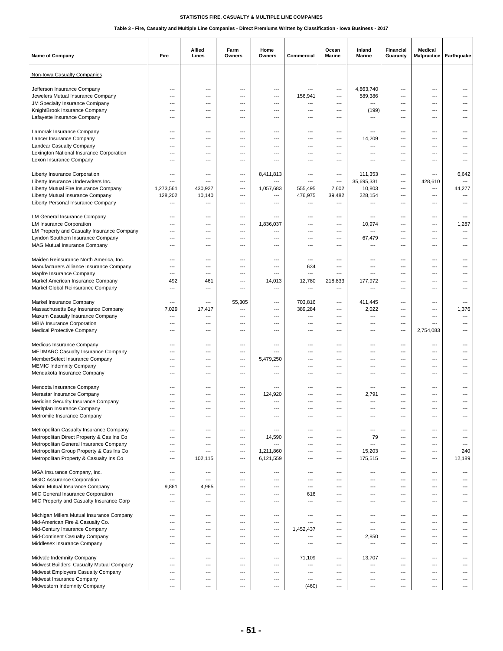| <b>Name of Company</b>                                                  | Fire                              | Allied<br>Lines                   | Farm<br>Owners                    | Home<br>Owners | Commercial                          | Ocean<br>Marine          | Inland<br>Marine                  | Financial<br>Guaranty | <b>Medical</b><br>Malpractice | Earthquake                        |
|-------------------------------------------------------------------------|-----------------------------------|-----------------------------------|-----------------------------------|----------------|-------------------------------------|--------------------------|-----------------------------------|-----------------------|-------------------------------|-----------------------------------|
| Non-Iowa Casualty Companies                                             |                                   |                                   |                                   |                |                                     |                          |                                   |                       |                               |                                   |
| Jefferson Insurance Company                                             | ---                               | ---                               | ---                               | ---            | ---                                 | ---                      | 4,863,740                         | ---                   | $\overline{\phantom{a}}$      |                                   |
| Jewelers Mutual Insurance Company                                       | ---                               | ---                               | ---                               | ---            | 156,941                             | ---                      | 589,386                           | ---                   | $---$                         |                                   |
| JM Specialty Insurance Comipany                                         | $---$                             | $---$                             | $\overline{\phantom{a}}$          | $---$          | ---                                 | $---$                    | $\overline{a}$                    | ---                   | $\overline{a}$                | $---$                             |
| KnightBrook Insurance Company                                           | ---                               | ---                               | ---                               | ---            | $\overline{\phantom{a}}$            | ---                      | (199)                             | ---                   | $\overline{a}$                |                                   |
| Lafayette Insurance Company                                             | ---                               | ---                               | ---                               | ---            | ---                                 | ---                      | ---                               |                       | ---                           |                                   |
|                                                                         |                                   |                                   |                                   |                |                                     |                          |                                   |                       |                               |                                   |
| Lamorak Insurance Company<br>Lancer Insurance Company                   | $---$<br>$\overline{a}$           | $---$<br>$\overline{\phantom{a}}$ | $\overline{\phantom{a}}$<br>---   | $---$<br>$---$ | $---$<br>$\overline{\phantom{a}}$   | $---$                    | ---                               | ---<br>---            | ---<br>---                    | $---$<br>---                      |
| Landcar Casualty Company                                                | $\overline{a}$                    | $\overline{a}$                    | ---                               | ---            | $\overline{\phantom{a}}$            | ---<br>---               | 14,209<br>$\overline{a}$          | ---                   | ---                           |                                   |
| Lexington National Insurance Corporation                                | $---$                             | $---$                             | $\overline{\phantom{a}}$          | $---$          | $---$                               | $---$                    | $---$                             | ---                   | $---$                         | ---                               |
| Lexon Insurance Company                                                 | $\overline{\phantom{a}}$          | $\overline{\phantom{a}}$          | $---$                             | ---            | ---                                 | $---$                    | $---$                             | $---$                 | $\overline{a}$                |                                   |
|                                                                         |                                   |                                   |                                   |                |                                     |                          |                                   |                       |                               |                                   |
| Liberty Insurance Corporation                                           | ---                               | ---                               | ---                               | 8,411,813      | $\overline{\phantom{a}}$            | ---                      | 111,353                           | ---                   | $\overline{\phantom{a}}$      | 6,642                             |
| Liberty Insurance Underwriters Inc.                                     | $\overline{\phantom{a}}$          | ---                               | ---                               | ---            | $---$                               | ---                      | 35,695,331                        | ---                   | 428,610                       | $\cdots$                          |
| Liberty Mutual Fire Insurance Company                                   | 1,273,561                         | 430,927                           | ---                               | 1,057,683      | 555,495                             | 7,602                    | 10,803                            | ---                   | ---                           | 44,277                            |
| Liberty Mutual Insurance Company                                        | 128,202                           | 10,140                            | ---                               | ---            | 476,975                             | 39,482                   | 228,154                           | ---                   | ---                           | ---                               |
| Liberty Personal Insurance Company                                      | ---                               | ---                               | ---                               | ---            | $\hspace{0.05cm} \ldots$            | ---                      | ---                               | ---                   | $\overline{\phantom{a}}$      | ---                               |
| LM General Insurance Company                                            | $---$                             | $---$                             | $\overline{\phantom{a}}$          | ---            | ---                                 | $---$                    | $---$                             | ---                   | $\overline{a}$                | $\overline{\phantom{a}}$          |
| <b>LM Insurance Corporation</b>                                         | ---                               | $\overline{\phantom{a}}$          | ---                               | 1,836,037      | $\overline{\phantom{a}}$            | ---                      | 10,974                            | ---                   | ---                           | 1,287                             |
| LM Property and Casualty Insurance Company                              | $\overline{a}$                    | ---                               | ---                               | ---            | $\overline{\phantom{a}}$            | ---                      | $\overline{a}$                    | ---                   | ---                           | ---                               |
| Lyndon Southern Insurance Company                                       | $\overline{a}$                    | $\overline{\phantom{a}}$          | ---                               | ---            | $---$                               | $\overline{\phantom{a}}$ | 67,479                            | ---                   | $\overline{a}$                | ---                               |
| MAG Mutual Insurance Company                                            | $---$                             | $---$                             | ---                               | ---            | $---$                               | $---$                    | $---$                             | ---                   | $---$                         | ---                               |
| Maiden Reinsurance North America, Inc.                                  | $\overline{\phantom{a}}$          | ---                               | ---                               | ---            | $\overline{a}$                      | ---                      | ---                               | ---                   | ---                           | ---                               |
| Manufacturers Alliance Insurance Company                                | ---                               | ---                               | ---                               | ---            | 634                                 | ---                      | ---                               | ---                   | $\overline{\phantom{a}}$      | ---                               |
| Mapfre Insurance Company                                                | $---$                             | ---                               | ---                               | ---            | $\overline{\phantom{a}}$            | ---                      | $---$                             | ---                   | $---$                         |                                   |
| Markel American Insurance Company                                       | 492                               | 461                               | ---                               | 14,013         | 12,780                              | 218,833                  | 177,972                           | ---                   | $\overline{a}$                | $---$                             |
| Markel Global Reinsurance Company                                       | $\overline{\phantom{a}}$          | ---                               | ---                               | ---            | $\overline{\phantom{a}}$            | ---                      | $\overline{a}$                    | ---                   | ---                           |                                   |
|                                                                         |                                   |                                   |                                   |                |                                     |                          |                                   |                       |                               |                                   |
| Markel Insurance Company                                                | $---$                             | ---                               | 55,305                            | ---            | 703,816                             | ---                      | 411,445                           | ---                   | ---                           | $---$                             |
| Massachusetts Bay Insurance Company<br>Maxum Casualty Insurance Company | 7,029<br>$\hspace{0.05cm} \ldots$ | 17,417<br>---                     | ---<br>---                        | ---<br>$---$   | 389,284<br>$\hspace{0.05cm} \ldots$ | $---$<br>---             | 2,022<br>$\overline{\phantom{a}}$ | ---<br>---            | $\cdots$<br>$\overline{a}$    | 1,376<br>$\hspace{0.05cm} \ldots$ |
| MBIA Insurance Corporation                                              | $\overline{a}$                    | $\overline{a}$                    | ---                               | ---            | $\overline{a}$                      | ---                      | ---                               | ---                   | $\overline{a}$                | ---                               |
| Medical Protective Company                                              | $---$                             | ---                               | $\overline{\phantom{a}}$          | ---            | $---$                               | ---                      | $---$                             | ---                   | 2,754,083                     | ---                               |
|                                                                         |                                   |                                   |                                   |                |                                     |                          |                                   |                       |                               |                                   |
| Medicus Insurance Company                                               | ---                               | $\overline{\phantom{a}}$          | ---                               | ---            | ---                                 | ---                      | $---$                             | ---                   | $\overline{a}$                | ---                               |
| MEDMARC Casualty Insurance Company                                      | ---                               | ---                               | ---                               | ---            | ---                                 | ---                      | ---                               | ---                   | $\overline{\phantom{a}}$      |                                   |
| MemberSelect Insurance Company                                          | $\overline{\phantom{a}}$          | ---                               | ---                               | 5,479,250      | $---$                               | ---                      | $---$                             | ---                   | ---                           | ---                               |
| <b>MEMIC Indemnity Company</b><br>Mendakota Insurance Company           | ---<br>$\overline{a}$             | ---<br>$\overline{a}$             | $\overline{\phantom{a}}$<br>---   | ---<br>---     | $---$<br>$\overline{\phantom{a}}$   | ---<br>---               | $---$<br>---                      | ---<br>---            | ---<br>---                    | ---<br>---                        |
|                                                                         |                                   |                                   |                                   |                |                                     |                          |                                   |                       |                               |                                   |
| Mendota Insurance Company                                               | $---$                             | $\overline{\phantom{a}}$          | ---                               | $---$          | $---$                               | $---$                    | $---$                             | ---                   | $---$                         |                                   |
| Merastar Insurance Company                                              | $\overline{\phantom{a}}$          | $\overline{\phantom{a}}$          | $\overline{\phantom{a}}$          | 124,920        | ---                                 | $---$                    | 2,791                             | ---                   | $\overline{a}$                |                                   |
| Meridian Security Insurance Company                                     | $\overline{\phantom{a}}$          | $\overline{\phantom{a}}$          | ---                               | ---            | $\overline{\phantom{a}}$            | ---                      | $\overline{a}$                    | ---                   | $\overline{a}$                |                                   |
| Meritplan Insurance Company                                             |                                   | ---                               | ---                               | ---            |                                     |                          | ---                               | ---                   |                               |                                   |
| Metromile Insurance Company                                             | $\overline{a}$                    | $\overline{a}$                    | ---                               | $---$          | ---                                 | ---                      | $\overline{a}$                    | ---                   | $\overline{a}$                | ---                               |
| Metropolitan Casualty Insurance Company                                 | $---$                             | $---$                             | $---$                             | $---$          | $\overline{a}$                      | $---$                    | $\cdots$                          | ---                   | $---$                         | $---$                             |
| Metropolitan Direct Property & Cas Ins Co                               | ---                               | ---                               | ---                               | 14,590         | $\overline{a}$                      | ---                      | 79                                | ---                   | ---                           | ---                               |
| Metropolitan General Insurance Company                                  | ---                               | ---                               | ---                               |                | $\hspace{0.05cm} \ldots$            | ---                      | ---                               | ---                   | ---                           | $\cdots$                          |
| Metropolitan Group Property & Cas Ins Co                                | $---$                             | ---                               | ---                               | 1,211,860      | $---$                               | ---                      | 15,203                            | ---                   | $---$                         | 240                               |
| Metropolitan Property & Casualty Ins Co                                 | $\hspace{0.05cm} \ldots$          | 102,115                           | ---                               | 6,121,559      | $---$                               | $---$                    | 175,515                           | ---                   | $\cdots$                      | 12,189                            |
| MGA Insurance Company, Inc.                                             | $\hspace{0.05cm} \ldots$          | ---                               | ---                               | ---            | $\hspace{0.05cm} \ldots$            | ---                      | $\overline{a}$                    | ---                   | ---                           | ---                               |
| <b>MGIC Assurance Corporation</b>                                       | $---$                             | $---$                             | $---$                             | ---            | $---$                               | $---$                    | ---                               | ---                   | $---$                         | $---$                             |
| Miami Mutual Insurance Company                                          | 9,861                             | 4,965                             | ---                               | ---            | $\overline{a}$                      | $---$                    | ---                               | ---                   | $\cdots$                      | ---                               |
| MIC General Insurance Corporation                                       | $\hspace{0.05cm} \ldots$          | $\qquad \qquad \cdots$            | ---                               | ---            | 616                                 | $\qquad \qquad \cdots$   | $\hspace{1.5cm} \ldots$           | $\overline{a}$        | ---                           | $\overline{\phantom{a}}$          |
| MIC Property and Casualty Insurance Corp                                | ---                               | ---                               | ---                               | ---            | $\hspace{0.05cm} \ldots$            | ---                      | $\overline{a}$                    | ---                   | ---                           | ---                               |
|                                                                         |                                   |                                   |                                   |                | $\overline{a}$                      |                          |                                   |                       |                               | $---$                             |
| Michigan Millers Mutual Insurance Company                               | $---$<br>---                      | $---$<br>---                      | $---$<br>$\overline{\phantom{a}}$ | $---$<br>---   | $\overline{\phantom{a}}$            | ---                      | ---<br>---                        | ---<br>---            | ---                           | ---                               |
| Mid-American Fire & Casualty Co.<br>Mid-Century Insurance Company       | ---                               | ---                               | ---                               | ---            | 1,452,437                           | ---<br>---               | ---                               | ---                   | ---<br>---                    |                                   |
| Mid-Continent Casualty Company                                          | $---$                             | ---                               | ---                               | ---            | $---$                               | ---                      | 2,850                             | ---                   | ---                           | ---                               |
| Middlesex Insurance Company                                             | $---$                             | ---                               | $---$                             | ---            | $---$                               | $---$                    | $\overline{\phantom{a}}$          | ---                   | $\cdots$                      | ---                               |
|                                                                         |                                   |                                   |                                   |                |                                     |                          |                                   |                       |                               |                                   |
| Midvale Indemnity Company                                               | ---                               | ---                               | ---                               | ---            | 71,109                              | ---                      | 13,707                            | ---                   | ---                           | ---                               |
| Midwest Builders' Casualty Mutual Company                               | $\overline{\phantom{a}}$          | $---$                             | $---$                             | $---$          | $\overline{\phantom{a}}$            | $---$                    | $\overline{a}$                    | ---                   | $---$                         | $---$                             |
| Midwest Employers Casualty Company<br>Midwest Insurance Company         | $---$<br>---                      | ---<br>---                        | $\overline{\phantom{a}}$<br>---   | ---<br>---     | $---$<br>$\overline{a}$             | ---<br>---               | ---<br>---                        | ---<br>---            | $\cdots$<br>---               | ---<br>---                        |
| Midwestern Indemnity Company                                            | $\overline{a}$                    | $\overline{\phantom{a}}$          | ---                               | $---$          | (460)                               | ---                      | $\overline{a}$                    | ---                   | $\overline{a}$                |                                   |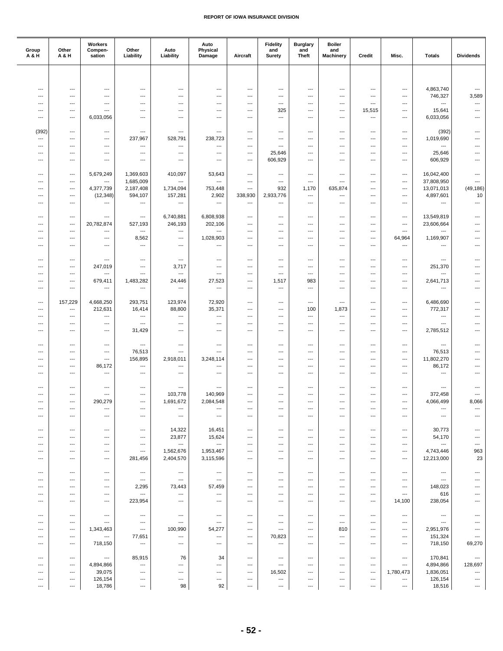| Group<br>A & H           | Other<br>A & H           | Workers<br>Compen-<br>sation                         | Other<br>Liability                                   | Auto<br>Liability                                    | Auto<br>Physical<br>Damage                           | Aircraft                         | <b>Fidelity</b><br>and<br>Surety | <b>Burglary</b><br>and<br><b>Theft</b> | <b>Boiler</b><br>and<br><b>Machinery</b> | Credit                                               | Misc.                             | <b>Totals</b>                                        | <b>Dividends</b>         |
|--------------------------|--------------------------|------------------------------------------------------|------------------------------------------------------|------------------------------------------------------|------------------------------------------------------|----------------------------------|----------------------------------|----------------------------------------|------------------------------------------|------------------------------------------------------|-----------------------------------|------------------------------------------------------|--------------------------|
|                          |                          |                                                      |                                                      |                                                      |                                                      |                                  |                                  |                                        |                                          |                                                      |                                   |                                                      |                          |
|                          |                          |                                                      |                                                      |                                                      |                                                      |                                  |                                  |                                        |                                          |                                                      |                                   |                                                      |                          |
| ---<br>---               | ---                      | ---<br>$\overline{\phantom{a}}$                      | ---<br>---                                           | ---<br>$---$                                         | ---<br>$\overline{\phantom{a}}$                      | $\overline{a}$<br>---            | ---<br>---                       | ---<br>$\overline{\phantom{a}}$        | ---                                      | $\overline{a}$<br>---                                | $---$<br>---                      | 4,863,740<br>746,327                                 | ---<br>3,589             |
| ---                      | ---<br>---               | $\hspace{0.05cm} \ldots$                             | ---                                                  | ---                                                  | ---                                                  | ---                              | ---                              | ---                                    | $\overline{\phantom{a}}$<br>---          | ---                                                  | ---                               | ---                                                  | ---                      |
| ---                      | $---$                    | $\cdots$                                             | ---                                                  | ---                                                  | $---$                                                | ---                              | 325                              | ---                                    | ---                                      | 15,515                                               | $---$                             | 15,641                                               | $---$                    |
| ---                      | ---                      | 6,033,056                                            | $\overline{a}$                                       | $---$                                                | $---$                                                | $\overline{a}$                   | $\overline{\phantom{a}}$         | $\overline{\phantom{a}}$               | ---                                      | ---                                                  | $---$                             | 6,033,056                                            | $\overline{\phantom{a}}$ |
|                          |                          |                                                      |                                                      |                                                      |                                                      |                                  |                                  |                                        |                                          |                                                      |                                   |                                                      |                          |
| (392)<br>$\overline{a}$  | ---<br>---               | $\hspace{0.05cm} \ldots$<br>$\cdots$                 | ---<br>237,967                                       | ---<br>528,791                                       | $\hspace{0.05cm} \ldots$<br>238,723                  | ---<br>---                       | ---<br>---                       | ---<br>---                             | $\qquad \qquad \cdots$<br>---            | ---<br>$---$                                         | $\hspace{0.05cm} \ldots$<br>$---$ | (392)<br>1,019,690                                   | ---<br>---               |
| ---                      | $\cdots$                 | $\hspace{0.05cm} \ldots$                             | ---                                                  | ---                                                  | $\hspace{0.05cm} \ldots$                             | ---                              | $\overline{\phantom{a}}$         | ---                                    | $---$                                    | $\overline{\phantom{a}}$                             | $\cdots$                          | $\qquad \qquad \cdots$                               | ---                      |
| ---                      | ---                      | $\hspace{0.05cm} \ldots$                             | $\hspace{0.05cm} \ldots$                             | ---                                                  | ---                                                  | ---                              | 25,646                           | ---                                    | ---                                      | ---                                                  | ---                               | 25,646                                               | ---                      |
| ---                      | ---                      | $\hspace{0.05cm} \ldots$                             | ---                                                  | ---                                                  | ---                                                  | ---                              | 606,929                          | ---                                    | ---                                      | ---                                                  | $\overline{a}$                    | 606,929                                              | ---                      |
| ---                      |                          |                                                      |                                                      |                                                      |                                                      | $\overline{a}$                   | ---                              | $\overline{\phantom{a}}$               | $---$                                    | $---$                                                | $---$                             |                                                      | $\overline{\phantom{a}}$ |
| ---                      | $\cdots$<br>---          | 5,679,249<br>---                                     | 1,369,603<br>1,685,009                               | 410,097<br>---                                       | 53,643<br>---                                        | $\overline{\phantom{a}}$         | $\hspace{0.05cm} \ldots$         | $\overline{\phantom{a}}$               | $\cdots$                                 | ---                                                  | $\overline{\phantom{a}}$          | 16,042,400<br>37,808,950                             | ---                      |
| ---                      | ---                      | 4,377,739                                            | 2,187,408                                            | 1,734,094                                            | 753,448                                              | ---                              | 932                              | 1,170                                  | 635,874                                  | ---                                                  | $\cdots$                          | 13,071,013                                           | (49, 186)                |
| ---                      | ---                      | (12, 348)                                            | 594,107                                              | 157,281                                              | 2,902                                                | 338,930                          | 2,933,776                        | ---                                    | ---                                      | ---                                                  | $---$                             | 4,897,601                                            | 10                       |
| ---                      | $\cdots$                 | $\hspace{0.05cm} \ldots$                             | $\overline{\phantom{a}}$                             | $\hspace{0.05cm} \ldots$                             | $\hspace{0.05cm} \ldots$                             | ---                              | $\overline{\phantom{a}}$         | $\overline{\phantom{a}}$               | ---                                      | $---$                                                | $---$                             | $\hspace{0.05cm} \ldots$                             | $\overline{\phantom{a}}$ |
| ---                      | ---                      | ---                                                  | $\hspace{0.05cm} \ldots$                             | 6,740,881                                            | 6,808,938                                            | ---                              | ---                              | ---                                    | $\cdots$                                 | ---                                                  | $\cdots$                          | 13,549,819                                           | $\overline{\phantom{a}}$ |
| ---                      | ---                      | 20,782,874                                           | 527,193                                              | 246,193                                              | 202,106                                              | ---                              | ---                              | ---                                    | ---                                      | ---                                                  | $---$                             | 23,606,664                                           | ---                      |
| $---$                    | $---$                    | $\cdots$                                             | $\overline{\phantom{a}}$                             | $\overline{\phantom{a}}$                             | $\overline{\phantom{a}}$                             | $\overline{a}$                   | ---                              | ---                                    | ---                                      | ---                                                  | $---$                             | $\overline{\phantom{a}}$                             | ---                      |
| ---                      | ---                      | $\hspace{0.05cm} \ldots$                             | 8,562                                                | ---                                                  | 1,028,903                                            | $\overline{a}$                   | ---                              | ---                                    | ---                                      | $---$                                                | 64,964                            | 1,169,907                                            | ---                      |
| ---                      | ---                      | $\hspace{0.05cm} \ldots$                             | $\hspace{0.05cm} \ldots$                             | ---                                                  | $\hspace{0.05cm} \ldots$                             | ---                              | $\hspace{0.05cm} \ldots$         | ---                                    | $\cdots$                                 | $\hspace{0.05cm} \ldots$                             | $\cdots$                          | $\hspace{0.05cm} \ldots$                             | $\overline{\phantom{a}}$ |
| ---                      | ---                      | $\hspace{0.05cm} \ldots$                             | ---                                                  | $\overline{\phantom{a}}$                             | $\hspace{0.05cm} \ldots$                             | ---                              | ---                              | ---                                    | ---                                      | ---                                                  | $\overline{\phantom{a}}$          | ---                                                  | ---                      |
| ---                      | ---                      | 247,019                                              | $---$                                                | 3,717                                                | $---$                                                | $\overline{a}$                   | ---                              | ---                                    | ---                                      | $---$                                                | ---                               | 251,370                                              | ---                      |
| ---                      | ---                      | ---                                                  | ---                                                  | ---                                                  | ---                                                  | ---                              | ---                              | ---                                    | ---                                      | ---                                                  | ---                               | $\hspace{0.05cm} \ldots$                             |                          |
| ---                      | ---                      | 679,411                                              | 1,483,282                                            | 24,446                                               | 27,523                                               | ---                              | 1,517                            | 983                                    | ---                                      | ---                                                  | $\cdots$                          | 2,641,713                                            |                          |
| ---                      | ---                      | $\cdots$                                             | $\hspace{0.05cm} \ldots$                             | $\hspace{0.05cm} \ldots$                             | $\hspace{0.05cm} \ldots$                             | ---                              | $\overline{\phantom{a}}$         | ---                                    | $---$                                    | ---                                                  | $---$                             | $---$                                                | $---$                    |
| ---                      | 157,229                  | 4,668,250                                            | 293,751                                              | 123,974                                              | 72,920                                               | ---                              | $\overline{\phantom{a}}$         | ---                                    | $\cdots$                                 | ---                                                  | $\cdots$                          | 6,486,690                                            | ---                      |
| ---                      | ---                      | 212,631                                              | 16,414                                               | 88,800                                               | 35,371                                               | ---                              | ---                              | 100                                    | 1,873                                    | ---                                                  | ---                               | 772,317                                              | ---                      |
| ---                      | $---$                    | ---                                                  | $\hspace{0.05cm} \ldots$                             | ---                                                  | $\hspace{0.05cm} \ldots$                             | $\overline{a}$                   | ---                              | $\overline{\phantom{a}}$               | $\cdots$                                 | $---$                                                | $---$                             | ---                                                  | ---                      |
| ---<br>$\overline{a}$    | $\cdots$<br>---          | $\cdots$<br>$\overline{\phantom{a}}$                 | $\overline{a}$<br>31,429                             | ---<br>---                                           | ---<br>---                                           | $\overline{a}$<br>$\overline{a}$ | ---<br>---                       | $\overline{\phantom{a}}$<br>---        | ---<br>---                               | $---$<br>$---$                                       | $---$<br>---                      | $\hspace{0.05cm} \ldots$                             | ---<br>---               |
|                          |                          |                                                      |                                                      |                                                      |                                                      |                                  |                                  |                                        |                                          |                                                      |                                   | 2,785,512                                            |                          |
| ---                      | ---                      | $\hspace{0.05cm} \ldots$                             | $\overline{\phantom{a}}$                             | ---                                                  | $\hspace{0.05cm} \ldots$                             | $\overline{a}$                   | ---                              | ---                                    | $---$                                    | ---                                                  | $---$                             | $---$                                                | $---$                    |
| ---                      | $\cdots$                 | $\hspace{0.05cm} \ldots$                             | 76,513                                               | ---                                                  | $---$                                                | $\overline{a}$                   | $---$                            | ---                                    | $---$                                    | ---                                                  | ---                               | 76,513                                               | ---                      |
| ---                      | ---                      | ---                                                  | 156,895                                              | 2,918,011                                            | 3,248,114                                            | ---                              | $\hspace{0.05cm} \ldots$         | ---                                    | $\cdots$                                 | ---                                                  | ---                               | 11,802,270                                           | ---                      |
| ---<br>---               | ---<br>---               | 86,172<br>$\hspace{0.05cm} \ldots$                   | $\hspace{0.05cm} \ldots$<br>$---$                    | ---<br>---                                           | $\hspace{0.05cm} \ldots$<br>$---$                    | ---<br>---                       | ---<br>---                       | ---<br>$\overline{\phantom{a}}$        | $\cdots$<br>---                          | ---<br>$---$                                         | $\cdots$<br>$---$                 | 86,172<br>---                                        | ---<br>---               |
|                          |                          |                                                      |                                                      |                                                      |                                                      |                                  |                                  |                                        |                                          |                                                      |                                   |                                                      |                          |
| ---                      | $---$                    | $\overline{\phantom{a}}$                             | ---                                                  | ---                                                  | $\hspace{0.05cm} \ldots$                             | $\overline{\phantom{a}}$         | ---                              | ---                                    | ---                                      | ---                                                  | ---                               | $\hspace{0.05cm} \ldots$                             |                          |
| ---                      | ---                      | $\hspace{0.05cm} \ldots$                             | ---                                                  | 103,778                                              | 140,969                                              | ---                              | ---                              | ---                                    | ---                                      | ---                                                  | ---                               | 372,458                                              | ---                      |
| ---<br>---               | $---$<br>---             | 290,279<br>---                                       | $---$<br>---                                         | 1,691,672<br>---                                     | 2,084,548<br>---                                     | ---<br>---                       | $---$<br>---                     | $---$<br>---                           | ---<br>---                               | $---$<br>$---$                                       | $---$<br>$\overline{\phantom{a}}$ | 4,066,499<br>$\hspace{0.05cm} \ldots$                | 8,066                    |
| $\overline{\phantom{a}}$ | ---                      | $\overline{\phantom{a}}$                             | $\overline{\phantom{a}}$                             | $\hspace{0.05cm} \ldots$                             | $\hspace{0.05cm} \ldots$                             | ---                              | ---                              | $\overline{\phantom{a}}$               | $---$                                    | ---                                                  | $---$                             | $\hspace{0.05cm} \ldots$                             | ---                      |
|                          |                          |                                                      |                                                      |                                                      |                                                      |                                  |                                  |                                        |                                          |                                                      |                                   |                                                      |                          |
| ---                      | ---                      | ---                                                  | ---                                                  | 14,322                                               | 16,451                                               | ---                              | ---                              | ---                                    | ---                                      | ---                                                  | ---                               | 30,773                                               | ---                      |
| ---                      | ---                      | $\hspace{0.05cm} \ldots$                             | $\overline{\phantom{a}}$                             | 23,877<br>$\hspace{0.05cm} \ldots$                   | 15,624<br>$\hspace{0.05cm} \ldots$                   | ---<br>$\overline{a}$            | ---                              | $---$<br>---                           | ---                                      | $\overline{\phantom{a}}$<br>$\overline{\phantom{a}}$ | $\overline{\phantom{a}}$          | 54,170<br>$\hspace{0.05cm} \ldots$                   | ---                      |
| ---<br>---               | $\cdots$<br>---          | $\hspace{0.05cm} \ldots$<br>$\hspace{0.05cm} \ldots$ | $\overline{\phantom{a}}$<br>$\hspace{0.05cm} \ldots$ | 1,562,676                                            | 1,953,467                                            | ---                              | $---$<br>---                     | $\overline{\phantom{a}}$               | $---$<br>---                             | $---$                                                | $\cdots$<br>---                   | 4,743,446                                            | ---<br>963               |
| ---                      | ---                      | $\hspace{0.05cm} \ldots$                             | 281,456                                              | 2,404,570                                            | 3,115,596                                            | ---                              | ---                              | ---                                    | ---                                      | ---                                                  | ---                               | 12,213,000                                           | 23                       |
|                          |                          |                                                      |                                                      |                                                      |                                                      |                                  |                                  |                                        |                                          |                                                      |                                   |                                                      |                          |
| $\overline{\phantom{a}}$ | $---$                    | $---$                                                | $\hspace{0.05cm} \ldots$                             | $\hspace{0.05cm} \ldots$                             | $\hspace{0.05cm} \ldots$                             | ---                              | $\overline{\phantom{a}}$         | $\overline{\phantom{a}}$               | $---$                                    | $\overline{\phantom{a}}$                             | $---$                             | $\hspace{0.05cm} \ldots$                             | $\overline{\phantom{a}}$ |
| ---<br>---               | ---<br>---               | ---<br>$\hspace{0.05cm} \ldots$                      | $\hspace{0.05cm} \ldots$<br>2,295                    | $\hspace{0.05cm} \ldots$<br>73,443                   | $\hspace{0.05cm} \ldots$<br>57,459                   | ---<br>---                       | $\overline{\phantom{a}}$<br>---  | ---<br>---                             | ---<br>---                               | ---<br>---                                           | $\cdots$<br>---                   | $\hspace{0.05cm} \ldots$<br>148,023                  |                          |
| ---                      | ---                      | $\hspace{0.05cm} \ldots$                             | ---                                                  | $\hspace{0.05cm} \cdots$                             | $\hspace{0.05cm} \cdots$                             | ---                              | ---                              | ---                                    | ---                                      | $\overline{\phantom{a}}$                             | $\qquad \qquad \cdots$            | 616                                                  |                          |
| $---$                    | $\hspace{0.05cm} \ldots$ | $\qquad \qquad \cdots$                               | 223,954                                              | $---$                                                | $\overline{\phantom{a}}$                             | ---                              | $---$                            | ---                                    | $---$                                    | ---                                                  | 14,100                            | 238,054                                              | ---                      |
|                          |                          |                                                      |                                                      |                                                      |                                                      |                                  |                                  |                                        |                                          |                                                      |                                   |                                                      |                          |
| ---<br>---               | ---<br>$---$             | ---<br>$\hspace{0.05cm} \ldots$                      | $\overline{\phantom{a}}$<br>$\hspace{0.05cm} \ldots$ | $\hspace{0.05cm} \cdots$<br>$\hspace{0.05cm} \ldots$ | $\hspace{0.05cm} \cdots$<br>$\hspace{0.05cm} \ldots$ | ---<br>$\overline{\phantom{a}}$  | ---<br>$\qquad \qquad \cdots$    | ---<br>$\overline{\phantom{a}}$        | ---<br>$---$                             | ---<br>$\overline{\phantom{a}}$                      | ---<br>$---$                      | $\hspace{0.05cm} \cdots$<br>$\hspace{0.05cm} \ldots$ | ---                      |
| ---                      | $---$                    | 1,343,463                                            | $\hspace{0.05cm} \ldots$                             | 100,990                                              | 54,277                                               | $\overline{\phantom{a}}$         | $---$                            | $\overline{\phantom{a}}$               | 810                                      | $\overline{\phantom{a}}$                             | $---$                             | 2,951,976                                            | ---                      |
| ---                      | ---                      | $\hspace{0.05cm} \ldots$                             | 77,651                                               | $\hspace{0.05cm} \ldots$                             | $\hspace{0.05cm} \ldots$                             | ---                              | 70,823                           | ---                                    | $\cdots$                                 | $\hspace{0.05cm} \ldots$                             | $\cdots$                          | 151,324                                              | $\hspace{0.05cm} \cdots$ |
| ---                      | ---                      | 718,150                                              | $\hspace{0.05cm} \ldots$                             | ---                                                  | ---                                                  | ---                              | ---                              | ---                                    | $\cdots$                                 | ---                                                  | $\cdots$                          | 718,150                                              | 69,270                   |
| ---                      | $---$                    | $---$                                                | 85,915                                               | 76                                                   | 34                                                   | ---                              | $\hspace{0.05cm} \ldots$         | $\overline{\phantom{a}}$               | $---$                                    | $\overline{\phantom{a}}$                             | $---$                             | 170,841                                              | $\hspace{0.05cm} \cdots$ |
| ---                      | ---                      | 4,894,866                                            | ---                                                  | $\hspace{0.05cm} \ldots$                             | $\hspace{0.05cm} \ldots$                             | ---                              | $\hspace{0.05cm} \ldots$         | ---                                    | ---                                      | ---                                                  | $\cdots$                          | 4,894,866                                            | 128,697                  |
| ---                      | ---                      | 39,075                                               | ---                                                  | $\hspace{0.05cm} \ldots$                             | $\hspace{0.05cm} \ldots$                             | ---                              | 16,502                           | ---                                    | ---                                      | ---                                                  | 1,780,473                         | 1,836,051                                            | ---                      |
| ---                      | ---                      | 126,154                                              | ---                                                  | ---                                                  | ---                                                  | ---                              | ---                              | $\hspace{0.05cm} \ldots$               | ---                                      | ---                                                  | ---                               | 126,154                                              | $\hspace{0.05cm} \cdots$ |
| ---                      | ---                      | 18,786                                               | ---                                                  | 98                                                   | 92                                                   | ---                              | ---                              | ---                                    | $\qquad \qquad \cdots$                   | ---                                                  | ---                               | 18,516                                               | $\hspace{0.05cm} \cdots$ |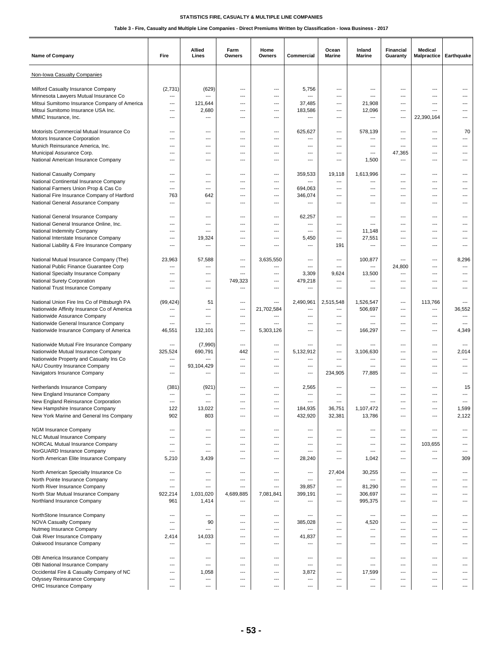| <b>Name of Company</b>                                                               | Fire                                       | Allied<br>Lines                 | Farm<br>Owners                  | Home<br>Owners | Commercial                                           | Ocean<br>Marine          | Inland<br>Marine | <b>Financial</b><br>Guaranty    | Medical<br><b>Malpractice</b> | Earthquake               |
|--------------------------------------------------------------------------------------|--------------------------------------------|---------------------------------|---------------------------------|----------------|------------------------------------------------------|--------------------------|------------------|---------------------------------|-------------------------------|--------------------------|
| Non-Iowa Casualty Companies                                                          |                                            |                                 |                                 |                |                                                      |                          |                  |                                 |                               |                          |
| Milford Casualty Insurance Company                                                   | (2,731)                                    | (629)                           | ---                             | ---            | 5,756                                                | ---                      | ---              | ---                             | ---                           |                          |
| Minnesota Lawyers Mutual Insurance Co                                                | ---                                        | ---                             | ---                             | ---            | ---                                                  | ---                      | ---              | $---$                           | $---$                         |                          |
| Mitsui Sumitomo Insurance Company of America                                         | ---                                        | 121,644                         | $\overline{\phantom{a}}$        | ---            | 37,485                                               | $---$                    | 21,908           | $---$                           | $---$                         | ---                      |
| Mitsui Sumitomo Insurance USA Inc.                                                   | $\overline{a}$                             | 2,680                           | ---                             | ---            | 183,586                                              | ---                      | 12,096           | $\overline{\phantom{a}}$        | ---                           |                          |
| MMIC Insurance, Inc.                                                                 | ---                                        | ---                             | ---                             | ---            | ---                                                  | ---                      | ---              | $\overline{\phantom{a}}$        | 22,390,164                    |                          |
| Motorists Commercial Mutual Insurance Co                                             | ---                                        | ---                             | ---                             | ---            | 625,627                                              | ---                      | 578,139          | ---                             | ---                           | 70                       |
| Motors Insurance Corporation                                                         | $\overline{a}$                             | $\overline{\phantom{a}}$        | ---                             | ---            | ---                                                  | ---                      | ---              | $\overline{\phantom{a}}$        | $\overline{a}$                | ---                      |
| Munich Reinsurance America, Inc.                                                     | ---                                        | ---                             | ---                             | ---            | ---                                                  | ---                      | ---              | ---                             | ---                           | ---                      |
| Municipal Assurance Corp.                                                            | ---                                        | ---                             | $\overline{\phantom{a}}$        | ---            | $---$                                                | ---                      | ---              | 47,365                          | ---                           | ---                      |
| National American Insurance Company                                                  | $---$                                      | $---$                           | ---                             | ---            | ---                                                  | ---                      | 1,500            | $\overline{\phantom{a}}$        | $---$                         | ---                      |
|                                                                                      |                                            |                                 |                                 |                |                                                      |                          |                  |                                 |                               |                          |
| National Casualty Company                                                            | ---<br>---                                 | ---<br>$---$                    | ---<br>---                      | ---<br>---     | 359,533<br>$\overline{\phantom{a}}$                  | 19,118<br>---            | 1,613,996<br>--- | ---<br>$---$                    | ---<br>---                    | ---                      |
| National Continental Insurance Company<br>National Farmers Union Prop & Cas Co       | $\overline{\phantom{a}}$                   | ---                             | ---                             | $\overline{a}$ | 694,063                                              | $\overline{\phantom{a}}$ | ---              | $\overline{\phantom{a}}$        | ---                           | ---                      |
| National Fire Insurance Company of Hartford                                          | 763                                        | 642                             | ---                             | ---            | 346,074                                              | ---                      | ---              | ---                             | ---                           | ---                      |
| National General Assurance Company                                                   | ---                                        | ---                             | ---                             | ---            | ---                                                  | ---                      | ---              | ---                             | ---                           | ---                      |
|                                                                                      |                                            |                                 |                                 |                |                                                      |                          |                  |                                 |                               |                          |
| National General Insurance Company                                                   | $---$                                      | $---$                           | ---                             | ---            | 62,257                                               | ---                      | ---              | $---$                           | $---$                         | ---                      |
| National General Insurance Online, Inc.                                              | ---                                        | ---                             | ---                             | ---            | $\overline{\phantom{a}}$                             | ---                      | ---              | $\overline{\phantom{a}}$        | ---                           |                          |
| National Indemnity Company                                                           | ---                                        | $\overline{\phantom{a}}$        | ---                             | ---            | ---                                                  | ---                      | 11,148           | ---                             | ---                           | ---                      |
| National Interstate Insurance Company<br>National Liability & Fire Insurance Company | ---<br>---                                 | 19,324<br>---                   | ---<br>---                      | ---<br>---     | 5,450<br>---                                         | ---<br>191               | 27,551<br>---    | $\overline{\phantom{a}}$<br>--- | ---<br>$---$                  | ---                      |
|                                                                                      |                                            |                                 |                                 |                |                                                      |                          |                  |                                 |                               |                          |
| National Mutual Insurance Company (The)                                              | 23,963                                     | 57,588                          | ---                             | 3,635,550      | $\overline{\phantom{a}}$                             | ---                      | 100.877          | ---                             | ---                           | 8,296                    |
| National Public Finance Guarantee Corp                                               | ---                                        | ---                             | ---                             | ---            | $\overline{\phantom{a}}$                             | ---                      | ---              | 24,800                          | ---                           | ---                      |
| National Specialty Insurance Company                                                 | $---$                                      | $---$                           | ---                             | ---            | 3,309                                                | 9,624                    | 13,500           | $\overline{\phantom{a}}$        | $---$                         | ---                      |
| National Surety Corporation                                                          | ---                                        | $---$                           | 749,323                         | ---            | 479,218                                              | ---                      | ---              | ---                             | $---$                         | ---                      |
| National Trust Insurance Company                                                     | $\overline{a}$                             | ---                             | ---                             | ---            | $\overline{\phantom{a}}$                             | ---                      | ---              | ---                             | ---                           |                          |
| National Union Fire Ins Co of Pittsburgh PA                                          | (99, 424)                                  | 51                              | ---                             | ---            | 2,490,961                                            | 2,515,548                | 1,526,547        | ---                             | 113,766                       |                          |
| Nationwide Affinity Insurance Co of America                                          | ---                                        | ---                             | ---                             | 21,702,584     | ---                                                  | ---                      | 506,697          | $---$                           | $\overline{a}$                | 36,552                   |
| Nationwide Assurance Company                                                         | $\overline{\phantom{a}}$                   | ---                             | ---                             | ---            | ---                                                  | $\overline{\phantom{a}}$ | ---              | $\overline{\phantom{a}}$        | ---                           | $\overline{\phantom{a}}$ |
| Nationwide General Insurance Company                                                 | $\overline{\phantom{a}}$                   | ---                             | ---                             | ---            | $\overline{\phantom{a}}$                             | ---                      | ---              | ---                             | ---                           | ---                      |
| Nationwide Insurance Company of America                                              | 46,551                                     | 132,101                         | ---                             | 5,303,126      | $---$                                                | $---$                    | 166,297          | $---$                           | $---$                         | 4,349                    |
| Nationwide Mutual Fire Insurance Company                                             | $\overline{\phantom{a}}$                   | (7,990)                         | $\overline{\phantom{a}}$        | ---            | ---                                                  | ---                      | ---              | ---                             | ---                           | $\overline{\phantom{a}}$ |
| Nationwide Mutual Insurance Company                                                  | 325,524                                    | 690,791                         | 442                             | ---            | 5,132,912                                            | ---                      | 3,106,630        | ---                             | ---                           | 2,014                    |
| Nationwide Property and Casualty Ins Co                                              | ---                                        |                                 | ---                             | ---            | ---                                                  | ---                      | ---              | ---                             | $---$                         | $---$                    |
| NAU Country Insurance Company                                                        | $\overline{\phantom{a}}$                   | 93,104,429                      | ---                             | ---            | ---                                                  | ---                      | ---              | ---                             | $---$                         | ---                      |
| Navigators Insurance Company                                                         | ---                                        | ---                             | ---                             | ---            | $\overline{\phantom{a}}$                             | 234,905                  | 77,885           | $\overline{\phantom{a}}$        | ---                           | ---                      |
|                                                                                      |                                            |                                 |                                 |                |                                                      |                          |                  |                                 |                               |                          |
| Netherlands Insurance Company                                                        | (381)                                      | (921)                           | ---                             | ---            | 2,565                                                | ---                      | ---              | $---$                           | $---$                         | 15                       |
| New England Insurance Company<br>New England Reinsurance Corporation                 | $\overline{\phantom{a}}$<br>$\overline{a}$ | $\overline{\phantom{a}}$<br>--- | ---<br>---                      | ---<br>---     | $\overline{\phantom{a}}$<br>$\overline{\phantom{a}}$ | ---<br>---               | ---<br>---       | ---<br>$\overline{\phantom{a}}$ | ---<br>---                    | ---                      |
| New Hampshire Insurance Company                                                      | 122                                        | 13,022                          | ---                             | ---            | 184,935                                              | 36,751                   | 1,107,472        | ---                             | ---                           | 1,599                    |
| New York Marine and General Ins Company                                              | 902                                        | 803                             | ---                             | ---            | 432,920                                              | 32,381                   | 13,786           | $\overline{\phantom{a}}$        | $\overline{a}$                | 2,122                    |
|                                                                                      |                                            |                                 |                                 |                |                                                      |                          |                  |                                 |                               |                          |
| NGM Insurance Company                                                                | ---                                        | $---$                           | ---                             | ---            | $\overline{a}$                                       | ---                      | ---              | $\qquad \qquad -$               | $---$                         | ---                      |
| NLC Mutual Insurance Company                                                         | ---                                        | ---                             | ---                             | ---            | ---                                                  | ---                      | ---              | $\overline{\phantom{a}}$        | $\overline{a}$                | ---                      |
| NORCAL Mutual Insurance Company                                                      | ---                                        | ---                             | ---                             | ---            | ---                                                  | ---                      | ---              | ---                             | 103,655                       | ---                      |
| NorGUARD Insurance Company<br>North American Elite Insurance Company                 | ---<br>5,210                               | ---<br>3,439                    | ---<br>---                      | ---<br>---     | $\overline{\phantom{a}}$<br>28,240                   | ---<br>---               | ---<br>1,042     | ---<br>---                      | ---<br>$\overline{a}$         | ---<br>309               |
|                                                                                      |                                            |                                 |                                 |                |                                                      |                          |                  |                                 |                               |                          |
| North American Specialty Insurance Co                                                | ---                                        | ---                             | ---                             | ---            | ---                                                  | 27,404                   | 30,255           | ---                             | ---                           | ---                      |
| North Pointe Insurance Company                                                       | ---                                        | ---                             | ---                             | ---            | $---$                                                | ---                      | ---              | $---$                           | $---$                         | ---                      |
| North River Insurance Company                                                        | $\overline{a}$                             | $\overline{\phantom{a}}$        | ---                             | ---            | 39,857                                               | $\qquad \qquad -$        | 81,290           | ---                             | ---                           | ---                      |
| North Star Mutual Insurance Company                                                  | 922,214                                    | 1,031,020                       | 4,689,885                       | 7,081,841      | 399,191                                              | ---                      | 306,697          | $\overline{\phantom{a}}$        | ---                           | ---                      |
| Northland Insurance Company                                                          | 961                                        | 1,414                           | ---                             |                | ---                                                  | ---                      | 995,375          | ---                             | ---                           |                          |
| NorthStone Insurance Company                                                         | ---                                        | ---                             | ---                             | $---$          | $\overline{\phantom{a}}$                             | ---                      | $\overline{a}$   | $\qquad \qquad -$               | ---                           | ---                      |
| <b>NOVA Casualty Company</b>                                                         | ---                                        | 90                              | ---                             | ---            | 385,028                                              | ---                      | 4,520            | $\overline{\phantom{a}}$        | ---                           | ---                      |
| Nutmeg Insurance Company                                                             | $\overline{a}$                             | $\overline{\phantom{a}}$        | ---                             | ---            | $\hspace{0.05cm}\ldots$                              | ---                      | ---              | $\overline{\phantom{a}}$        | ---                           | ---                      |
| Oak River Insurance Company                                                          | 2,414                                      | 14,033                          | ---                             | ---            | 41,837                                               | ---                      | ---              | $---$                           | ---                           | ---                      |
| Oakwood Insurance Company                                                            | $\overline{a}$                             | $\overline{\phantom{a}}$        | ---                             | ---            | $\overline{\phantom{a}}$                             | ---                      | ---              | $\overline{\phantom{a}}$        | ---                           | ---                      |
|                                                                                      |                                            |                                 |                                 |                |                                                      |                          |                  |                                 |                               |                          |
| OBI America Insurance Company                                                        | ---                                        | ---                             | ---                             | ---            | ---                                                  | ---                      | ---              | ---                             | ---                           | ---                      |
| OBI National Insurance Company                                                       | ---                                        | ---                             | ---                             | ---            | $\overline{\phantom{a}}$                             | $---$                    | ---              | $---$<br>---                    | $---$                         | ---<br>---               |
| Occidental Fire & Casualty Company of NC<br>Odyssey Reinsurance Company              | $---$<br>---                               | 1,058<br>---                    | $\overline{\phantom{a}}$<br>--- | ---<br>---     | 3,872<br>$\hspace{0.05cm} \ldots$                    | $---$<br>---             | 17,599<br>---    | $\overline{\phantom{a}}$        | $---$<br>---                  | ---                      |
| OHIC Insurance Company                                                               | $\overline{a}$                             | ---                             | ---                             | ---            | $\overline{\phantom{a}}$                             | $\overline{\phantom{a}}$ | ---              | ---                             | $\overline{a}$                | ---                      |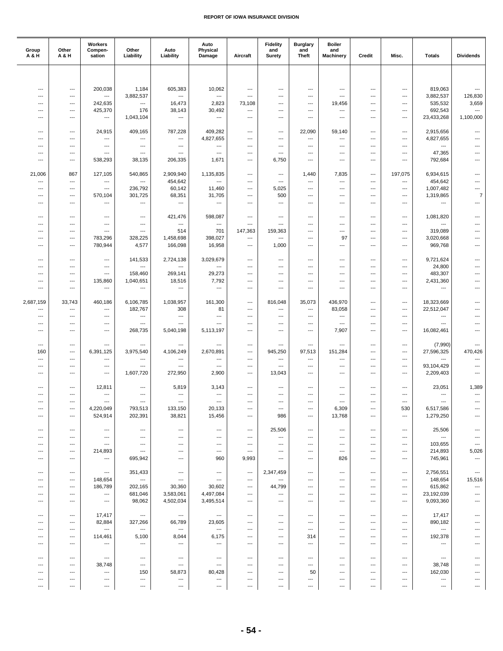| Group<br>A & H                  | Other<br><b>A&amp;H</b>           | Workers<br>Compen-<br>sation        | Other<br>Liability        | Auto<br>Liability                                    | Auto<br>Physical<br>Damage                         | Aircraft                                             | <b>Fidelity</b><br>and<br>Surety | <b>Burglary</b><br>and<br><b>Theft</b>               | <b>Boiler</b><br>and<br><b>Machinery</b> | Credit                                               | Misc.                                | <b>Totals</b>                      | <b>Dividends</b>                                   |
|---------------------------------|-----------------------------------|-------------------------------------|---------------------------|------------------------------------------------------|----------------------------------------------------|------------------------------------------------------|----------------------------------|------------------------------------------------------|------------------------------------------|------------------------------------------------------|--------------------------------------|------------------------------------|----------------------------------------------------|
|                                 |                                   |                                     |                           |                                                      |                                                    |                                                      |                                  |                                                      |                                          |                                                      |                                      |                                    |                                                    |
|                                 |                                   |                                     |                           |                                                      |                                                    |                                                      |                                  |                                                      |                                          |                                                      |                                      |                                    |                                                    |
| ---<br>---                      | ---<br>---                        | 200,038<br>---                      | 1,184<br>3,882,537        | 605,383<br>---                                       | 10,062<br>---                                      | ---<br>---                                           | ---<br>---                       | ---<br>---                                           | ---<br>---                               | $---$<br>---                                         | ---<br>$\overline{\phantom{a}}$      | 819,063<br>3,882,537               | ---<br>126,830                                     |
| ---                             | ---                               | 242,635                             | ---                       | 16,473                                               | 2,823                                              | 73,108                                               | ---                              | ---                                                  | 19,456                                   | ---                                                  | ---                                  | 535,532                            | 3,659                                              |
| ---                             | ---                               | 425,370                             | 176                       | 38,143                                               | 30,492                                             | ---                                                  | ---                              | ---                                                  | ---                                      | ---                                                  | $---$                                | 692,543                            | $\overline{\phantom{a}}$                           |
| ---                             | $---$                             | ---                                 | 1,043,104                 | $\overline{\phantom{a}}$                             | $\overline{\phantom{a}}$                           | $\overline{a}$                                       | ---                              | ---                                                  | ---                                      | $\overline{\phantom{a}}$                             | ---                                  | 23,433,268                         | 1,100,000                                          |
| ---                             | ---                               | 24,915                              | 409,165                   | 787,228                                              | 409,282                                            | ---                                                  | ---                              | 22,090                                               | 59,140                                   | ---                                                  | ---                                  | 2,915,656                          | ---                                                |
| ---                             | ---                               | ---                                 | ---                       | ---                                                  | 4,827,655                                          | ---                                                  | ---                              | $\overline{a}$                                       | ---                                      | $---$                                                | ---                                  | 4,827,655                          |                                                    |
| ---<br>---                      | ---<br>---                        | ---<br>$\overline{a}$               | ---<br>$\overline{a}$     | ---<br>$\overline{\phantom{a}}$                      | ---<br>---                                         | ---<br>---                                           | $---$<br>---                     | $\overline{\phantom{a}}$<br>$\overline{a}$           | ---<br>$\overline{\phantom{a}}$          | $---$<br>---                                         | $---$<br>---                         | $\overline{a}$<br>47,365           | ---                                                |
| ---                             | ---                               | 538,293                             | 38,135                    | 206,335                                              | 1,671                                              | ---                                                  | 6,750                            | ---                                                  | ---                                      | ---                                                  | ---                                  | 792,684                            | $\overline{a}$                                     |
| 21,006                          | 867                               | 127,105                             | 540,865                   | 2,909,940                                            | 1,135,835                                          | ---                                                  | $---$                            | 1,440                                                | 7,835                                    | $\overline{\phantom{a}}$                             | 197,075                              | 6,934,615                          | ---                                                |
| ---                             | ---                               | ---                                 | ---                       | 454,642                                              | ---                                                | ---                                                  | ---                              | ---                                                  | $\cdots$                                 | $\hspace{0.05cm} \ldots$                             | $\cdots$                             | 454,642                            | ---                                                |
| ---                             | ---                               | ---                                 | 236,792                   | 60,142                                               | 11,460                                             | ---                                                  | 5,025                            | ---                                                  | ---                                      | ---                                                  | ---                                  | 1,007,482                          | ---                                                |
| ---<br>---                      | ---<br>---                        | 570,104<br>$\overline{a}$           | 301,725<br>$\overline{a}$ | 68,351<br>$\hspace{0.05cm} \ldots$                   | 31,705<br>---                                      | ---<br>---                                           | 500<br>$\overline{\phantom{a}}$  | $---$<br>---                                         | ---<br>---                               | $---$<br>$---$                                       | $---$<br>---                         | 1,319,865<br>$\overline{a}$        | $\overline{7}$<br>$\overline{\phantom{a}}$         |
|                                 |                                   |                                     |                           |                                                      |                                                    |                                                      |                                  |                                                      |                                          |                                                      |                                      |                                    |                                                    |
| ---                             | ---                               | ---                                 | ---                       | 421,476                                              | 598,087                                            | ---                                                  | $\hspace{0.05cm} \ldots$         | ---                                                  | $\overline{\phantom{a}}$                 | ---                                                  | ---                                  | 1,081,820                          | $\overline{\phantom{a}}$                           |
| ---<br>---                      | ---<br>$---$                      | ---<br>---                          | ---<br>---                | $\qquad \qquad -\qquad$<br>514                       | $\overline{\phantom{a}}$<br>701                    | ---<br>147,363                                       | $---$<br>159,363                 | ---<br>$---$                                         | $---$<br>---                             | $---$<br>$---$                                       | $---$<br>$---$                       | $\overline{a}$<br>319,089          | ---<br>$---$                                       |
| ---                             | ---                               | 783,296                             | 328,225                   | 1,458,698                                            | 398,027                                            | $\overline{a}$                                       | $\overline{\phantom{a}}$         | $\overline{\phantom{a}}$                             | 97                                       | ---                                                  | ---                                  | 3,020,668                          | ---                                                |
| ---                             | $\hspace{0.05cm} \ldots$          | 780,944                             | 4,577                     | 166,098                                              | 16,958                                             | ---                                                  | 1,000                            | ---                                                  | ---                                      | $\hspace{0.05cm} \ldots$                             | ---                                  | 969,768                            | ---                                                |
| ---                             | ---                               | ---                                 | 141,533                   | 2,724,138                                            | 3,029,679                                          | ---                                                  | ---                              | ---                                                  | ---                                      | $---$                                                | $---$                                | 9,721,624                          | $---$                                              |
| ---                             | ---                               | ---                                 | ---                       | ---                                                  | ---                                                | $\overline{a}$                                       | ---                              | ---                                                  | ---                                      | ---                                                  | ---                                  | 24,800                             |                                                    |
| ---                             | ---                               | ---                                 | 158,460                   | 269,141                                              | 29,273                                             | ---                                                  | ---                              | $\overline{a}$                                       | $\overline{\phantom{a}}$                 | ---                                                  | ---                                  | 483,307                            | ---                                                |
| $\overline{a}$<br>---           | ---<br>---                        | 135,860<br>---                      | 1,040,651<br>---          | 18,516<br>$\hspace{0.05cm} \ldots$                   | 7,792<br>---                                       | ---<br>---                                           | ---<br>---                       | $\overline{\phantom{a}}$<br>---                      | $\overline{\phantom{a}}$<br>$---$        | $---$<br>$---$                                       | ---<br>$---$                         | 2,431,360<br>---                   | ---<br>$---$                                       |
|                                 |                                   |                                     |                           |                                                      |                                                    |                                                      |                                  |                                                      |                                          |                                                      |                                      |                                    |                                                    |
| 2,687,159                       | 33,743                            | 460,186                             | 6,106,785                 | 1,038,957                                            | 161,300                                            | ---                                                  | 816,048                          | 35,073                                               | 436,970                                  | ---                                                  | ---                                  | 18,323,669                         | ---                                                |
| ---<br>---                      | ---<br>---                        | ---<br>---                          | 182,767<br>---            | 308<br>$\hspace{0.05cm} \ldots$                      | 81<br>$\hspace{0.05cm} \ldots$                     | ---<br>---                                           | ---<br>---                       | ---<br>---                                           | 83,058<br>$\overline{\phantom{a}}$       | ---<br>$---$                                         | ---<br>$---$                         | 22,512,047<br>---                  | $\overline{a}$<br>---                              |
| ---                             | ---                               | ---                                 | ---                       | $\overline{\phantom{a}}$                             | $\overline{a}$                                     | ---                                                  | $---$                            | $\overline{\phantom{a}}$                             | ---                                      | $---$                                                | ---                                  | $\overline{a}$                     | ---                                                |
| ---                             | ---                               | ---                                 | 268,735                   | 5,040,198                                            | 5,113,197                                          | ---                                                  | ---                              | ---                                                  | 7,907                                    | ---                                                  | ---                                  | 16,082,461                         | $\overline{\phantom{a}}$                           |
| ---                             | ---                               | ---                                 | ---                       | $---$                                                | $---$                                              | ---                                                  | ---                              | ---                                                  | $---$                                    | $---$                                                | $---$                                | (7,990)                            | ---                                                |
| 160                             | ---                               | 6,391,125                           | 3,975,540                 | 4,106,249                                            | 2,670,891                                          | ---                                                  | 945,250                          | 97,513                                               | 151,284                                  | $---$                                                | ---                                  | 27,596,325                         | 470,426                                            |
| ---                             | ---                               | ---                                 | ---                       | $\hspace{0.05cm} \ldots$                             | ---                                                | ---                                                  | $\hspace{0.05cm} \ldots$         | ---                                                  | ---                                      | $\hspace{0.05cm} \ldots$                             | ---                                  | ---                                | $\hspace{0.05cm} \ldots$                           |
| ---<br>---                      | ---<br>---                        | ---<br>$\overline{\phantom{a}}$     | ---<br>1,607,720          | ---<br>272,950                                       | ---<br>2,900                                       | ---<br>---                                           | ---<br>13,043                    | ---<br>$---$                                         | ---<br>---                               | ---<br>$---$                                         | ---<br>---                           | 93,104,429<br>2,209,403            | ---<br>$---$                                       |
|                                 |                                   |                                     |                           |                                                      |                                                    |                                                      |                                  |                                                      |                                          |                                                      |                                      |                                    |                                                    |
| ---                             | ---                               | 12,811                              | ---                       | 5,819                                                | 3,143                                              | $\overline{\phantom{a}}$                             | ---                              | ---                                                  | $\overline{\phantom{a}}$                 | ---                                                  | ---                                  | 23,051                             | 1,389                                              |
| ---<br>$---$                    | ---<br>---                        | ---<br>---                          | ---<br>$---$              | $\hspace{0.05cm} \ldots$<br>$---$                    | ---<br>$---$                                       | ---<br>$---$                                         | ---<br>$---$                     | ---<br>$---$                                         | ---<br>$---$                             | ---<br>$---$                                         | ---<br>$---$                         | ---<br>$---$                       | $\qquad \qquad \cdots$<br>$\overline{\phantom{a}}$ |
| ---                             | $---$                             | 4,220,049                           | 793,513                   | 133,150                                              | 20,133                                             | ---                                                  | ---                              | ---                                                  | 6,309                                    | $\hspace{0.05cm} \ldots$                             | 530                                  | 6,517,586                          |                                                    |
| $\overline{a}$                  | $\overline{\phantom{a}}$          | 524,914                             | 202,391                   | 38,821                                               | 15,456                                             | $---$                                                | 986                              | $\overline{\phantom{a}}$                             | 13,768                                   | $---$                                                | $\overline{\phantom{a}}$             | 1,279,250                          | $\overline{a}$                                     |
| ---                             | ---                               | ---                                 | ---                       | ---                                                  | ---                                                | $\hspace{0.05cm} \ldots$                             | 25,506                           | $\hspace{0.05cm} \ldots$                             | ---                                      | $\hspace{0.05cm} \ldots$                             | $\cdots$                             | 25,506                             | ---                                                |
| ---                             | ---                               | ---                                 | ---                       | $---$                                                | $---$                                              | ---                                                  | $\hspace{0.05cm} \ldots$         | $\overline{\phantom{a}}$                             | $---$                                    | $---$                                                | $---$                                | ---                                | $---$                                              |
| ---<br>---                      | ---<br>---                        | $\overline{\phantom{a}}$<br>214,893 | ---<br>$\overline{a}$     | $\overline{\phantom{a}}$<br>---                      | ---<br>$\hspace{0.05cm} \ldots$                    | $\overline{\phantom{a}}$<br>$\hspace{0.05cm} \ldots$ | ---<br>$\overline{\phantom{a}}$  | $\overline{\phantom{a}}$<br>---                      | ---<br>---                               | $\overline{\phantom{a}}$<br>$\hspace{0.05cm} \ldots$ | ---<br>$\overline{\phantom{a}}$      | 103,655<br>214,893                 | ---<br>5,026                                       |
| ---                             | ---                               | ---                                 | 695,942                   | ---                                                  | 960                                                | 9,993                                                | $\hspace{0.05cm} \ldots$         | ---                                                  | 826                                      | $\hspace{0.05cm} \ldots$                             | $\overline{\phantom{a}}$             | 745,961                            | ---                                                |
|                                 |                                   |                                     |                           |                                                      |                                                    |                                                      |                                  |                                                      |                                          |                                                      |                                      |                                    |                                                    |
| $\overline{\phantom{a}}$<br>--- | $---$<br>---                      | ---<br>148,654                      | 351,433<br>---            | $\hspace{0.05cm} \ldots$<br>$\hspace{0.05cm} \ldots$ | $\overline{\phantom{a}}$<br>---                    | $\hspace{0.05cm} \ldots$<br>$\hspace{0.05cm} \cdots$ | 2,347,459<br>---                 | $\overline{\phantom{a}}$<br>$\overline{\phantom{a}}$ | $\overline{\phantom{a}}$<br>---          | $\overline{\phantom{a}}$<br>---                      | $\overline{\phantom{a}}$<br>$\cdots$ | 2,756,551<br>148,654               | $\hspace{0.05cm} \ldots$<br>15,516                 |
| ---                             | ---                               | 186,789                             | 202,165                   | 30,360                                               | 30,602                                             | $\hspace{0.05cm} \ldots$                             | 44,799                           | ---                                                  | ---                                      | ---                                                  | ---                                  | 615,862                            | ---                                                |
| ---                             | ---                               | ---                                 | 681,046                   | 3,583,061                                            | 4,497,084                                          | $\overline{\phantom{a}}$                             | $\hspace{0.05cm} \ldots$         | $\overline{\phantom{a}}$                             | ---                                      | $\overline{\phantom{a}}$                             | $---$                                | 23,192,039                         | ---                                                |
| $---$                           | $---$                             | $\hspace{0.05cm} \ldots$            | 98,062                    | 4,502,034                                            | 3,495,514                                          | ---                                                  | $---$                            | $\overline{\phantom{a}}$                             | ---                                      | $---$                                                | ---                                  | 9,093,360                          | $---$                                              |
| ---                             | ---                               | 17,417                              | $\hspace{0.05cm} \ldots$  | $\hspace{0.05cm} \ldots$                             | $\hspace{0.05cm} \ldots$                           | ---                                                  | $\hspace{0.05cm} \ldots$         | ---                                                  | ---                                      | $\overline{\phantom{a}}$                             | $\overline{\phantom{a}}$             | 17,417                             | ---                                                |
| ---                             | $\cdots$                          | 82,884                              | 327,266                   | 66,789                                               | 23,605                                             | $\overline{\phantom{a}}$                             | $---$                            | $---$                                                | $---$                                    | $---$                                                | $---$                                | 890,182                            | ---                                                |
| ---<br>---                      | $---$<br>$\hspace{0.05cm} \ldots$ | ---<br>114,461                      | $\overline{a}$<br>5,100   | $\hspace{0.05cm} \ldots$<br>8,044                    | $\hspace{0.05cm} \ldots$<br>6,175                  | $\overline{a}$<br>---                                | $---$<br>---                     | $\hspace{0.05cm} \ldots$<br>314                      | ---<br>---                               | $\overline{\phantom{a}}$<br>$\hspace{0.05cm} \ldots$ | ---<br>$\cdots$                      | $\qquad \qquad \cdots$<br>192,378  | ---<br>---                                         |
| ---                             | ---                               | ---                                 | ---                       | ---                                                  | ---                                                | ---                                                  | ---                              | $\overline{\phantom{a}}$                             | ---                                      | ---                                                  | ---                                  | ---                                |                                                    |
|                                 |                                   |                                     |                           |                                                      |                                                    |                                                      |                                  |                                                      |                                          |                                                      |                                      |                                    |                                                    |
| ---<br>---                      | $---$<br>---                      | $\hspace{0.05cm} \ldots$<br>38,748  | $---$<br>---              | $---$<br>$\hspace{0.05cm} \ldots$                    | $\qquad \qquad \cdots$<br>$\overline{\phantom{a}}$ | $\overline{\phantom{a}}$<br>---                      | $---$<br>---                     | $\overline{\phantom{a}}$<br>---                      | ---<br>$\overline{\phantom{a}}$          | $\overline{\phantom{a}}$<br>---                      | $---$<br>---                         | $\hspace{0.05cm} \ldots$<br>38,748 |                                                    |
| ---                             | ---                               | ---                                 | 150                       | 58,873                                               | 80,428                                             | ---                                                  | ---                              | 50                                                   | ---                                      | $\hspace{0.05cm} \ldots$                             | ---                                  | 162,030                            |                                                    |
| ---                             | ---                               | ---                                 | ---                       | $\hspace{0.05cm} \cdots$                             | ---                                                | ---                                                  | $\hspace{0.05cm} \ldots$         | $\hspace{0.05cm} \ldots$                             | ---                                      | $\overline{\phantom{a}}$                             | $---$                                | ---                                | ---                                                |
| $\hspace{0.05cm} \ldots$        | ---                               | $---$                               | $---$                     | $\hspace{0.05cm} \ldots$                             | ---                                                | $\hspace{0.05cm} \ldots$                             | ---                              | $\hspace{0.05cm} \ldots$                             | $---$                                    | $\hspace{0.05cm} \ldots$                             | $---$                                | $---$                              | ---                                                |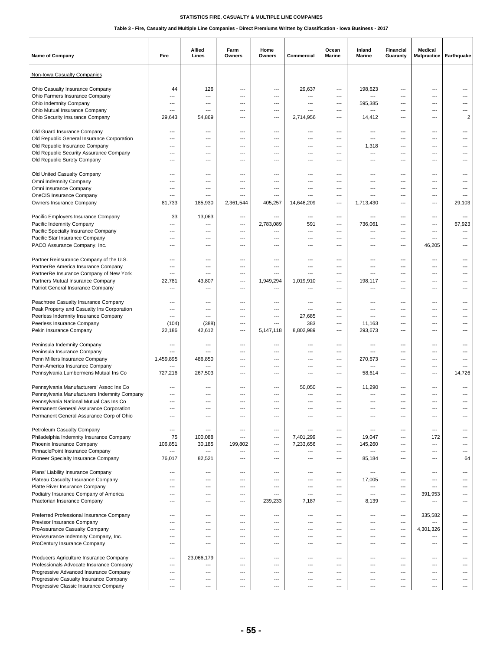| <b>Name of Company</b>                                                              | Fire                               | Allied<br>Lines                     | Farm<br>Owners | Home<br>Owners   | Commercial                  | Ocean<br><b>Marine</b> | Inland<br><b>Marine</b> | <b>Financial</b><br>Guaranty      | <b>Medical</b><br><b>Malpractice</b> | Earthquake     |
|-------------------------------------------------------------------------------------|------------------------------------|-------------------------------------|----------------|------------------|-----------------------------|------------------------|-------------------------|-----------------------------------|--------------------------------------|----------------|
| Non-Iowa Casualty Companies                                                         |                                    |                                     |                |                  |                             |                        |                         |                                   |                                      |                |
| Ohio Casualty Insurance Company                                                     | 44                                 | 126                                 | ---            | ---              | 29,637                      | ---                    | 198,623                 | ---                               | ---                                  | ---            |
| Ohio Farmers Insurance Company                                                      | ---                                | ---                                 | ---            | ---              | ---                         | ---                    | ---                     | ---                               | ---                                  |                |
| Ohio Indemnity Company                                                              | ---                                | ---                                 | ---            | ---              | ---                         | ---                    | 595,385                 | ---                               | ---                                  | ---            |
| Ohio Mutual Insurance Company                                                       | ---                                | ---                                 | ---<br>---     | ---<br>---       | $---$<br>2,714,956          | ---<br>---             | ---                     | ---<br>---                        | $---$<br>$---$                       | $\overline{2}$ |
| Ohio Security Insurance Company                                                     | 29,643                             | 54,869                              |                |                  |                             |                        | 14,412                  |                                   |                                      |                |
| Old Guard Insurance Company                                                         | ---                                | ---                                 | ---            | ---              | ---                         | ---                    | ---                     | $---$                             | ---                                  | ---            |
| Old Republic General Insurance Corporation                                          | $\overline{\phantom{a}}$           | ---                                 | ---            | ---              | $\overline{a}$              | ---                    | ---                     | $\overline{\phantom{a}}$          | ---                                  | ---            |
| Old Republic Insurance Company                                                      | $\overline{a}$                     | ---                                 | $\overline{a}$ | ---              | ---                         | ---                    | 1,318                   | $\overline{\phantom{a}}$          | ---                                  | ---            |
| Old Republic Security Assurance Company                                             | ---                                | ---                                 | ---            | ---              | ---                         | ---                    | ---                     | ---                               | ---                                  | ---            |
| Old Republic Surety Company                                                         | ---                                | ---                                 | ---            | ---              | $---$                       | ---                    | ---                     | $---$                             | $---$                                | ---            |
| Old United Casualty Company                                                         | ---                                | ---                                 | ---            | ---              | ---                         | ---                    | ---                     | $\overline{\phantom{a}}$          | ---                                  | ---            |
| Omni Indemnity Company                                                              | ---                                | ---                                 | ---            | ---              | ---                         | ---                    | ---                     | ---                               | ---                                  |                |
| Omni Insurance Company                                                              | ---                                | ---                                 | ---            | ---              | ---                         | ---                    | ---                     | $---$                             | $---$                                | ---            |
| OneCIS Insurance Company                                                            | $\overline{\phantom{a}}$           | ---                                 | ---            | ---              | $\overline{a}$              | ---                    | ---                     | ---                               | ---                                  | ---            |
| Owners Insurance Company                                                            | 81,733                             | 185,930                             | 2,361,544      | 405,257          | 14,646,209                  | ---                    | 1,713,430               | $\overline{\phantom{a}}$          | ---                                  | 29,103         |
| Pacific Employers Insurance Company                                                 | 33                                 | 13,063                              | ---            | ---              | ---                         | ---                    | ---                     | $---$                             | ---                                  | ---            |
| Pacific Indemnity Company                                                           | $\overline{a}$                     | $\overline{a}$                      | ---            | 2,783,089        | 591                         | ---                    | 736,061                 | ---                               | ---                                  | 67,923         |
| Pacific Specialty Insurance Company                                                 | ---                                | ---                                 | ---            | ---              | $\overline{a}$              | ---                    | ---                     | $---$                             | ---                                  | ---            |
| Pacific Star Insurance Company<br>PACO Assurance Company, Inc.                      | $\overline{\phantom{a}}$<br>---    | ---                                 | ---<br>---     | ---              | ---<br>---                  | ---<br>---             | ---<br>---              | $\overline{\phantom{a}}$<br>---   | $\overline{a}$<br>46,205             | ---            |
|                                                                                     |                                    |                                     |                |                  |                             |                        |                         |                                   |                                      |                |
| Partner Reinsurance Company of the U.S.                                             | $---$                              | ---                                 | ---            | ---              | $---$                       | ---                    | ---                     | $---$                             | ---                                  | ---            |
| PartnerRe America Insurance Company                                                 | ---                                | ---                                 | ---            | ---              | ---                         | ---                    | ---                     | $\overline{\phantom{a}}$          | $\overline{a}$                       | ---            |
| PartnerRe Insurance Company of New York                                             | $\overline{a}$                     | $\overline{a}$                      | ---            | ---              | $\overline{a}$              | ---                    | ---                     | $\overline{\phantom{a}}$          | ---                                  | ---            |
| Partners Mutual Insurance Company                                                   | 22,781<br>---                      | 43,807<br>$\overline{a}$            | ---            | 1,949,294<br>--- | 1,019,910<br>$\overline{a}$ | ---                    | 198,117<br>---          | $---$<br>---                      | $---$                                | ---<br>---     |
| Patriot General Insurance Company                                                   |                                    |                                     | ---            |                  |                             | ---                    |                         |                                   | $---$                                |                |
| Peachtree Casualty Insurance Company                                                | ---                                | ---                                 | ---            | ---              | $---$                       | ---                    | ---                     | ---                               | ---                                  |                |
| Peak Property and Casualty Ins Corporation                                          | ---                                | ---                                 | ---            | ---              | ---                         | ---                    | ---                     | $---$                             | $---$                                | ---            |
| Peerless Indemnity Insurance Company                                                | $\overline{\phantom{a}}$           | ---                                 | ---            | ---              | 27,685                      | $---$                  | ---                     | ---                               | $---$                                | ---            |
| Peerless Insurance Company                                                          | (104)                              | (388)                               | ---            | ---              | 383                         | ---                    | 11,163                  | $\overline{\phantom{a}}$          | ---                                  | ---            |
| Pekin Insurance Company                                                             | 22,186                             | 42,612                              | ---            | 5,147,118        | 8,802,989                   | ---                    | 293,673                 | ---                               | ---                                  | ---            |
| Peninsula Indemnity Company                                                         | ---                                | ---                                 | ---            | ---              | ---                         | ---                    | ---                     | ---                               | ---                                  | ---            |
| Peninsula Insurance Company                                                         | $\overline{a}$                     | ---                                 | ---            | ---              | ---                         | ---                    | ---                     | ---                               | ---                                  |                |
| Penn Millers Insurance Company                                                      | 1.459.895                          | 486,850                             | ---            | ---              | ---                         | ---                    | 270,673                 | ---                               | ---                                  |                |
| Penn-America Insurance Company<br>Pennsylvania Lumbermens Mutual Ins Co             | ---<br>727,216                     | $\overline{\phantom{a}}$<br>267,503 | ---<br>---     | ---<br>---       | ---<br>$---$                | ---<br>---             | ---<br>58,614           | $---$<br>$---$                    | $---$<br>$---$                       | ---<br>14,726  |
|                                                                                     |                                    |                                     |                |                  |                             |                        |                         |                                   |                                      |                |
| Pennsylvania Manufacturers' Assoc Ins Co                                            | ---                                | ---                                 | ---            | ---              | 50,050                      | ---                    | 11,290                  | ---                               | ---                                  |                |
| Pennsylvania Manufacturers Indemnity Company                                        | $\overline{\phantom{a}}$           | ---                                 | ---            | ---              | ---                         | ---                    | ---                     | $---$                             | ---                                  | ---            |
| Pennsylvania National Mutual Cas Ins Co                                             | ---                                | ---                                 | ---            | ---              | ---                         | $---$                  | ---                     | ---                               | ---                                  | ---            |
| Permanent General Assurance Corporation<br>Permanent General Assurance Corp of Ohio | ---<br>$\overline{a}$              | ---<br>---                          | ---<br>---     | ---              | ---<br>---                  | ---                    | ---<br>---              | ---<br>---                        | ---<br>$\overline{a}$                | ---            |
|                                                                                     |                                    |                                     |                |                  |                             |                        |                         |                                   |                                      |                |
| Petroleum Casualty Company                                                          | $---$                              | ---                                 | ---            | ---              | $---$                       | ---                    | ---                     | $\qquad \qquad -$                 | $---$                                | ---            |
| Philadelphia Indemnity Insurance Company                                            | 75                                 | 100,088                             | ---            | ---              | 7,401,299                   | $---$                  | 19,047                  | $\qquad \qquad -$                 | 172                                  | ---            |
| Phoenix Insurance Company                                                           | 106,851                            | 30,185                              | 199,802        | ---              | 7,233,656                   | ---                    | 145,260                 | $\qquad \qquad \cdots$            | $\hspace{0.05cm} \ldots$             | ---            |
| PinnaclePoint Insurance Company<br>Pioneer Specialty Insurance Company              | $\hspace{0.05cm} \ldots$<br>76,017 | ---<br>82,521                       | ---<br>---     | ---<br>---       | ---<br>---                  | ---<br>$---$           | ---<br>85,184           | ---<br>$\qquad \qquad -$          | ---<br>---                           | ---<br>64      |
|                                                                                     |                                    |                                     |                |                  |                             |                        |                         |                                   |                                      |                |
| Plans' Liability Insurance Company                                                  | $\overline{\phantom{a}}$           | ---                                 | ---            | ---              | ---                         | ---                    | ---                     | $\overline{\phantom{a}}$          | ---                                  | ---            |
| Plateau Casualty Insurance Company                                                  | $\overline{a}$                     | ---                                 | $\overline{a}$ | ---              | $\overline{a}$              | ---                    | 17,005                  | $\overline{\phantom{a}}$          | ---                                  | ---            |
| Platte River Insurance Company<br>Podiatry Insurance Company of America             | ---<br>$\overline{\phantom{a}}$    | ---<br>---                          | ---<br>---     | ---<br>---       | $---$<br>$\overline{a}$     | $---$<br>---           | ---<br>$\overline{a}$   | $---$<br>$\overline{\phantom{a}}$ | $---$<br>391,953                     | ---<br>---     |
| Praetorian Insurance Company                                                        | $\overline{\phantom{a}}$           | ---                                 | ---            | 239,233          | 7,187                       | ---                    | 8,139                   | $\overline{\phantom{a}}$          | ---                                  | ---            |
|                                                                                     |                                    |                                     |                |                  |                             |                        |                         |                                   |                                      |                |
| Preferred Professional Insurance Company                                            | ---                                | ---                                 | ---            | ---              | ---                         | $---$                  | ---                     | $\qquad \qquad -$                 | 335,582                              | ---            |
| Previsor Insurance Company                                                          | $---$                              | ---                                 | ---            | ---              | $---$                       | ---                    | ---                     | $\qquad \qquad -$                 | ---                                  | ---            |
| ProAssurance Casualty Company<br>ProAssurance Indemnity Company, Inc.               | $\overline{\phantom{a}}$<br>---    | ---<br>---                          | ---<br>---     | ---<br>---       | $\overline{a}$<br>---       | ---<br>---             | ---<br>---              | $\overline{\phantom{a}}$<br>---   | 4,301,326<br>---                     | ---<br>---     |
| ProCentury Insurance Company                                                        | ---                                | ---                                 | ---            | ---              | $---$                       | $---$                  | $---$                   | $---$                             | $---$                                | ---            |
|                                                                                     |                                    |                                     |                |                  |                             |                        |                         |                                   |                                      |                |
| Producers Agriculture Insurance Company                                             | ---                                | 23,066,179                          | ---            | ---              | ---                         | ---                    | ---                     | $\overline{\phantom{a}}$          | ---                                  | ---            |
| Professionals Advocate Insurance Company                                            | ---<br>---                         | ---<br>---                          | ---<br>---     | ---<br>---       | ---<br>$---$                | ---<br>---             | ---<br>---              | $\overline{\phantom{a}}$<br>$---$ | ---<br>---                           | ---            |
| Progressive Advanced Insurance Company<br>Progressive Casualty Insurance Company    | $---$                              | ---                                 | ---            | ---              | ---                         | $---$                  | ---                     | ---                               | $---$                                | ---            |
| Progressive Classic Insurance Company                                               | $---$                              | ---                                 | ---            | ---              | ---                         | ---                    | ---                     | $\qquad \qquad -$                 | ---                                  | ---            |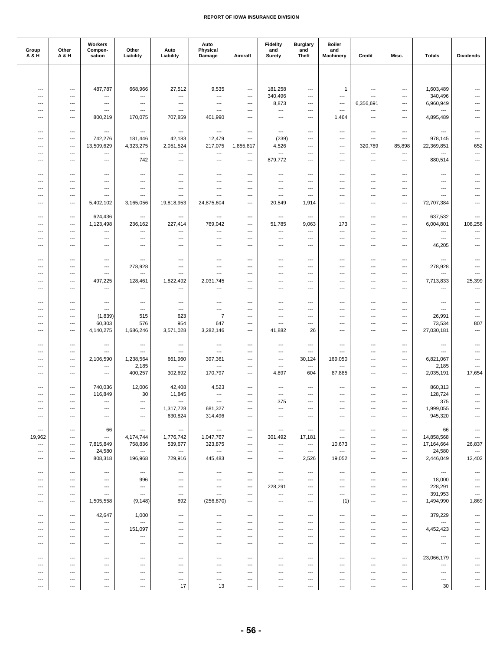| Group<br>A & H                  | Other<br>A & H                    | Workers<br>Compen-<br>sation               | Other<br>Liability                    | Auto<br>Liability        | Auto<br>Physical<br>Damage                           | Aircraft                         | <b>Fidelity</b><br>and<br>Surety    | <b>Burglary</b><br>and<br><b>Theft</b>     | <b>Boiler</b><br>and<br><b>Machinery</b> | Credit           | Misc.                    | <b>Totals</b>                         | <b>Dividends</b>         |
|---------------------------------|-----------------------------------|--------------------------------------------|---------------------------------------|--------------------------|------------------------------------------------------|----------------------------------|-------------------------------------|--------------------------------------------|------------------------------------------|------------------|--------------------------|---------------------------------------|--------------------------|
|                                 |                                   |                                            |                                       |                          |                                                      |                                  |                                     |                                            |                                          |                  |                          |                                       |                          |
|                                 |                                   |                                            |                                       |                          |                                                      |                                  |                                     |                                            |                                          |                  |                          |                                       |                          |
| $\overline{\phantom{a}}$        | ---                               | 487,787                                    | 668,966                               | 27,512                   | 9,535                                                | ---                              | 181,258                             | ---                                        | $\mathbf{1}$                             | ---              | ---                      | 1,603,489                             | ---                      |
| ---<br>---                      | $\overline{\phantom{a}}$<br>$---$ | ---<br>$\overline{\phantom{a}}$            | ---<br>$\hspace{0.05cm} \ldots$       | ---<br>---               | ---<br>$---$                                         | ---<br>---                       | 340,496<br>8,873                    | ---<br>---                                 | ---<br>---                               | ---<br>6,356,691 | ---<br>$---$             | 340,496<br>6,960,949                  | ---<br>---               |
| $---$                           | $\hspace{0.05cm} \ldots$          | $---$                                      | $---$                                 | ---                      | $---$                                                | ---                              | $\hspace{0.05cm} \ldots$            | ---                                        | ---                                      | ---              | $---$                    | $\overline{a}$                        | ---                      |
| ---                             | ---                               | 800,219                                    | 170,075                               | 707,859                  | 401,990                                              | ---                              | $\hspace{0.05cm} \ldots$            | ---                                        | 1,464                                    | ---              | ---                      | 4,895,489                             | ---                      |
|                                 |                                   |                                            |                                       |                          |                                                      |                                  |                                     |                                            |                                          |                  |                          |                                       |                          |
| ---                             | $---$                             | $\overline{\phantom{a}}$                   | $\hspace{0.05cm} \ldots$              | ---                      | $\hspace{0.05cm} \ldots$                             | ---                              | $\hspace{0.05cm} \ldots$            | ---                                        | ---                                      | ---              | $---$                    | $\hspace{0.05cm} \ldots$              | ---                      |
| ---                             | ---                               | 742,276                                    | 181,446                               | 42,183                   | 12,479                                               | $\overline{a}$                   | (239)                               | ---                                        | ---                                      | $---$            | ---                      | 978,145                               | ---                      |
| $\overline{\phantom{a}}$        | $\overline{\phantom{a}}$          | 13,509,629                                 | 4,323,275                             | 2,051,524                | 217,075                                              | 1,855,817                        | 4,526                               | ---                                        | $\overline{\phantom{a}}$                 | 320,789          | 85,898                   | 22,369,851                            | 652                      |
| $\overline{\phantom{a}}$        | ---                               | ---                                        | ---                                   | ---                      | $\hspace{0.05cm} \ldots$                             | ---                              | ---                                 | ---                                        | ---                                      | ---              | ---                      | ---                                   | ---                      |
| $\overline{\phantom{a}}$        | $---$                             | $---$                                      | 742                                   | ---                      | $---$                                                | ---                              | 879,772                             | ---                                        | ---                                      | ---              | $---$                    | 880,514                               | ---                      |
| ---                             | ---                               | ---                                        | $\hspace{0.05cm} \ldots$              | ---                      | $\hspace{0.05cm} \ldots$                             | ---                              | ---                                 | ---                                        | ---                                      | ---              | ---                      | ---                                   | ---                      |
| $\overline{\phantom{a}}$        | ---                               | ---                                        | ---                                   | ---                      | ---                                                  | ---                              | ---                                 | ---                                        | ---                                      | ---              | ---                      | ---                                   | ---                      |
| $\overline{\phantom{a}}$        | $---$                             | $---$                                      | $---$                                 | ---                      | $---$                                                | ---                              | ---                                 | ---                                        | ---                                      | ---              | ---                      | ---                                   | ---                      |
| $---$                           | $---$                             | ---                                        | $\overline{a}$                        | ---                      | ---                                                  | ---                              | ---                                 | ---                                        | $---$                                    | ---              | $---$                    | $\overline{a}$                        | ---                      |
| $\overline{\phantom{a}}$        | $\overline{\phantom{a}}$          | 5,402,102                                  | 3,165,056                             | 19,818,953               | 24,875,604                                           | ---                              | 20,549                              | 1,914                                      | $\overline{\phantom{a}}$                 | ---              | $\overline{\phantom{a}}$ | 72,707,384                            | ---                      |
|                                 |                                   |                                            |                                       |                          |                                                      |                                  |                                     |                                            |                                          |                  |                          |                                       |                          |
| ---                             | $\hspace{0.05cm} \ldots$          | 624,436                                    | $\hspace{0.05cm} \ldots$              | ---                      | $---$                                                | ---                              | $---$                               | ---                                        | $---$                                    | ---              | $---$                    | 637,532                               | ---                      |
| $---$<br>$---$                  | $---$<br>$---$                    | 1,123,498<br>$\overline{\phantom{a}}$      | 236,162<br>$\overline{a}$             | 227,414<br>$---$         | 769,042<br>$\overline{\phantom{a}}$                  | $\overline{a}$<br>$\overline{a}$ | 51,785<br>$---$                     | 9,063<br>$\overline{\phantom{a}}$          | 173<br>$\overline{\phantom{a}}$          | ---<br>---       | $\cdots$<br>$---$        | 6,004,801<br>$\overline{\phantom{a}}$ | 108,258<br>---           |
| ---                             | ---                               | $\hspace{0.05cm} \ldots$                   | $\hspace{0.05cm} \ldots$              | ---                      | ---                                                  | ---                              | $\overline{\phantom{a}}$            | ---                                        | ---                                      | ---              | $\cdots$                 | $\overline{\phantom{a}}$              | ---                      |
| $\overline{\phantom{a}}$        | ---                               | ---                                        | ---                                   | ---                      | ---                                                  | ---                              | ---                                 | ---                                        | ---                                      | ---              | ---                      | 46,205                                | ---                      |
|                                 |                                   |                                            |                                       |                          |                                                      |                                  |                                     |                                            |                                          |                  |                          |                                       |                          |
| $\overline{\phantom{a}}$        | $---$                             | $---$                                      | $\overline{a}$                        | $---$                    | $---$                                                | ---                              | ---                                 | ---                                        | $---$                                    | ---              | $\cdots$                 | $\overline{\phantom{a}}$              | $---$                    |
| $\overline{\phantom{a}}$        | $\overline{\phantom{a}}$          | $\hspace{0.05cm} \ldots$                   | 278,928                               | ---                      | ---                                                  | ---                              | ---                                 | ---                                        | $\overline{\phantom{a}}$                 | ---              | $\overline{\phantom{a}}$ | 278,928                               |                          |
| ---                             | ---                               | ---                                        | $\hspace{0.05cm} \ldots$              | ---                      | ---                                                  | ---                              | ---                                 | ---                                        | ---                                      | ---              | ---                      | ---                                   | ---                      |
| ---                             | $---$                             | 497,225                                    | 128,461                               | 1,822,492                | 2,031,745                                            | ---                              | $---$                               | ---                                        | ---                                      | ---              | $---$                    | 7,713,833                             | 25,399                   |
| $---$                           | $---$                             | $---$                                      | $\overline{a}$                        | ---                      | $---$                                                | $\overline{a}$                   | $---$                               | ---                                        | ---                                      | ---              | $---$                    | ---                                   | ---                      |
| $\overline{\phantom{a}}$        | ---                               | ---                                        | $\hspace{0.05cm} \ldots$              | ---                      | ---                                                  | ---                              | ---                                 | ---                                        | ---                                      | ---              | ---                      | ---                                   |                          |
| ---                             | $---$                             | $\overline{\phantom{a}}$                   | $\overline{\phantom{a}}$              | ---                      | $---$                                                | ---                              | ---                                 | ---                                        | ---                                      | ---              | $---$                    | $\overline{\phantom{a}}$              | $---$                    |
| $\overline{\phantom{a}}$        | $---$                             | (1,839)                                    | 515                                   | 623                      | $\overline{7}$                                       | ---                              | ---                                 | ---                                        | ---                                      | ---              | $---$                    | 26,991                                | $\overline{\phantom{a}}$ |
| $\overline{\phantom{a}}$        | $\overline{\phantom{a}}$          | 60,303                                     | 576                                   | 954                      | 647                                                  | $\overline{\phantom{a}}$         | ---                                 | ---                                        | $\overline{\phantom{a}}$                 | ---              | $\overline{\phantom{a}}$ | 73,534                                | 807                      |
| $\overline{\phantom{a}}$        | $\overline{\phantom{a}}$          | 4,140,275                                  | 1,686,246                             | 3,571,028                | 3,282,146                                            | ---                              | 41,882                              | 26                                         | ---                                      | ---              | ---                      | 27,030,181                            | ---                      |
|                                 |                                   |                                            |                                       |                          |                                                      |                                  |                                     |                                            |                                          |                  |                          |                                       |                          |
| $---$                           | $\hspace{0.05cm} \ldots$          | $---$                                      | $---$                                 | ---                      | $---$                                                | $\overline{a}$                   | $\hspace{0.05cm} \ldots$            | $\overline{a}$                             | $---$                                    | ---              | $\cdots$                 | $\overline{\phantom{a}}$              | ---                      |
| ---<br>$\overline{\phantom{a}}$ | ---<br>---                        | ---<br>2,106,590                           | $\hspace{0.05cm} \ldots$<br>1,238,564 | ---<br>661,960           | $\hspace{0.05cm} \ldots$<br>397,361                  | ---<br>---                       | ---<br>---                          | ---<br>30,124                              | ---<br>169,050                           | ---<br>---       | ---<br>---               | ---<br>6,821,067                      | ---<br>---               |
| $---$                           | $---$                             | $---$                                      | 2,185                                 | ---                      | $\overline{\phantom{a}}$                             | ---                              | $---$                               | $\overline{a}$                             | $\overline{\phantom{a}}$                 | ---              | $---$                    | 2,185                                 | ---                      |
| $---$                           | $\hspace{0.05cm} \ldots$          | $---$                                      | 400,257                               | 302,692                  | 170,797                                              | ---                              | 4,897                               | 604                                        | 87,885                                   | ---              | $\cdots$                 | 2,035,191                             | 17,654                   |
|                                 |                                   |                                            |                                       |                          |                                                      |                                  |                                     |                                            |                                          |                  |                          |                                       |                          |
| $\overline{\phantom{a}}$        | ---                               | 740,036                                    | 12,006                                | 42,408                   | 4,523                                                | $\overline{\phantom{a}}$         | ---                                 | ---                                        | ---                                      | ---              | $\overline{\phantom{a}}$ | 860,313                               | $\overline{\phantom{a}}$ |
| ---                             | $\hspace{0.05cm} \ldots$          | 116,849                                    | 30                                    | 11,845                   | $\hspace{0.05cm} \ldots$                             | ---                              | ---                                 | ---                                        | ---                                      | ---              | $---$                    | 128,724                               | ---                      |
| $\qquad \qquad -$               | $---$                             | $\overline{\phantom{a}}$                   | $---$                                 | $---$                    | $\overline{\phantom{a}}$                             | $\overline{a}$                   | 375                                 | $\overline{a}$                             | ---                                      | $---$            | $---$                    | 375                                   | $\overline{\phantom{a}}$ |
| $\qquad \qquad -$               | ---                               | ---                                        | $\hspace{0.05cm} \ldots$              | 1,317,728                | 681,327                                              | $\overline{a}$                   | ---                                 | $\overline{a}$                             | ---                                      | $---$            | $\overline{\phantom{a}}$ | 1,999,055                             |                          |
| $\qquad \qquad \cdots$          | $\overline{\phantom{a}}$          | ---                                        | $\hspace{0.05cm} \ldots$              | 630,824                  | 314,496                                              | ---                              | $\hspace{0.05cm} \ldots$            | ---                                        | ---                                      | ---              | $\cdots$                 | 945,320                               | ---                      |
| $\cdots$                        | $---$                             | 66                                         | $\hspace{0.05cm} \ldots$              | $---$                    | $\hspace{0.05cm} \ldots$                             | $\overline{\phantom{a}}$         | $\hspace{0.05cm} \ldots$            | $\overline{\phantom{a}}$                   | $---$                                    | ---              | $---$                    | 66                                    | ---                      |
| 19,962                          | $---$                             | $\hspace{0.05cm} \ldots$                   | 4,174,744                             | 1,776,742                | 1,047,767                                            | $\overline{\phantom{a}}$         | 301,492                             | 17,181                                     | $---$                                    | ---              | $---$                    | 14,858,568                            | $\overline{\phantom{a}}$ |
| ---                             | ---                               | 7,815,849                                  | 758,836                               | 539,677                  | 323,875                                              | ---                              | $\hspace{0.05cm} \ldots$            | $\hspace{0.05cm} \ldots$                   | 10,673                                   | ---              | $\overline{\phantom{a}}$ | 17,164,664                            | 26,837                   |
| ---                             | ---                               | 24,580                                     | $\hspace{0.05cm} \ldots$              | $\hspace{0.05cm} \cdots$ | $\hspace{0.05cm} \ldots$                             | ---                              | $\hspace{0.05cm} \ldots$            | $\hspace{0.05cm} \ldots$                   | $\cdots$                                 | ---              | $\overline{\phantom{a}}$ | 24,580                                | $\hspace{0.05cm} \cdots$ |
| $\qquad \qquad -$               | $\qquad \qquad \cdots$            | 808,318                                    | 196,968                               | 729,916                  | 445,483                                              | $---$                            | $---$                               | 2,526                                      | 19,052                                   | $---$            | $---$                    | 2,446,049                             | 12,402                   |
|                                 |                                   |                                            |                                       |                          |                                                      |                                  |                                     |                                            |                                          |                  |                          |                                       |                          |
| $\hspace{0.05cm} \ldots$        | ---                               | $\hspace{0.05cm} \ldots$                   | $\hspace{0.05cm} \ldots$              | ---                      | $\hspace{0.05cm} \ldots$                             | ---                              | $\hspace{0.05cm} \ldots$            | $\hspace{0.05cm} \ldots$                   | $\cdots$                                 | ---              | $\cdots$                 | $\hspace{0.05cm} \ldots$              | $\overline{\phantom{a}}$ |
| ---<br>---                      | $\overline{a}$<br>$---$           | $\overline{a}$<br>$\hspace{0.05cm} \ldots$ | 996<br>$\hspace{0.05cm} \ldots$       | ---<br>---               | $\overline{\phantom{a}}$<br>$\hspace{0.05cm} \ldots$ | ---<br>---                       | $\hspace{0.05cm} \ldots$<br>228,291 | $\overline{a}$<br>$\overline{\phantom{a}}$ | ---<br>$\hspace{0.05cm} \ldots$          | ---<br>$---$     | ---<br>$---$             | 18,000<br>228,291                     | $---$                    |
| $---$                           | $---$                             | $\cdots$                                   | $\hspace{0.05cm} \ldots$              | ---                      | $\overline{\phantom{a}}$                             | $\overline{a}$                   | $\overline{\phantom{a}}$            | $\overline{a}$                             | $---$                                    | $---$            | $\cdots$                 | 391,953                               | ---                      |
| ---                             | ---                               | 1,505,558                                  | (9, 148)                              | 892                      | (256, 870)                                           | ---                              | $\hspace{0.05cm} \ldots$            | $\hspace{0.05cm} \ldots$                   | (1)                                      | ---              | $\qquad \qquad \cdots$   | 1,494,990                             | 1,869                    |
|                                 |                                   |                                            |                                       |                          |                                                      |                                  |                                     |                                            |                                          |                  |                          |                                       |                          |
| $\qquad \qquad -$               | $---$                             | 42,647                                     | 1,000                                 | $---$                    | $---$                                                | ---                              | $---$                               | ---                                        | $---$                                    | ---              | $---$                    | 379,229                               | ---                      |
| $\qquad \qquad -$               | $---$                             | $\overline{\phantom{a}}$                   | $\hspace{0.05cm} \ldots$              | $\overline{\phantom{a}}$ | $---$                                                | ---                              | $---$                               | $\overline{\phantom{a}}$                   | $---$                                    | $---$            | $---$                    | $\overline{\phantom{a}}$              | $\overline{\phantom{a}}$ |
| ---                             | ---                               | $\hspace{0.05cm} \ldots$                   | 151,097                               | ---                      | $\hspace{0.05cm} \ldots$                             | ---                              | $\hspace{0.05cm} \ldots$            | ---                                        | ---                                      | ---              | $\qquad \qquad \cdots$   | 4,452,423                             |                          |
| ---<br>---                      | ---<br>$---$                      | ---<br>$---$                               | ---<br>$\hspace{0.05cm} \ldots$       | ---<br>---               | $\hspace{0.05cm} \ldots$<br>$---$                    | ---<br>---                       | ---<br>$---$                        | ---<br>$\overline{a}$                      | ---<br>$---$                             | ---<br>$---$     | $\cdots$<br>$---$        | ---<br>$\hspace{0.05cm} \ldots$       |                          |
|                                 |                                   |                                            |                                       |                          |                                                      |                                  |                                     |                                            |                                          |                  |                          |                                       |                          |
| ---                             | ---                               | $\hspace{0.05cm} \ldots$                   | $\hspace{0.05cm} \ldots$              | ---                      | $\hspace{0.05cm} \ldots$                             | ---                              | $\hspace{0.05cm} \ldots$            | ---                                        | ---                                      | ---              | $\qquad \qquad \cdots$   | 23,066,179                            | ---                      |
| ---                             | ---                               | ---                                        | ---                                   | ---                      | $\hspace{0.05cm} \ldots$                             | ---                              | ---                                 | ---                                        | ---                                      | ---              | ---                      | ---                                   |                          |
| $\qquad \qquad -$               | $---$                             | $---$                                      | $---$                                 | $---$                    | $---$                                                | $\overline{a}$                   | $---$                               | $---$                                      | ---                                      | $---$            | $---$                    | $\overline{\phantom{a}}$              |                          |
| $\qquad \qquad -$               | $---$                             | $---$                                      | $---$                                 | ---                      | $\overline{\phantom{a}}$                             | $\overline{a}$                   | $\qquad \qquad \cdots$              | $\overline{a}$                             | $---$                                    | $---$            | $---$                    | $\overline{\phantom{a}}$              | ---                      |
| $\cdots$                        | $---$                             | ---                                        | $\hspace{0.05cm} \ldots$              | 17                       | 13                                                   | ---                              | $---$                               | ---                                        | $\overline{\phantom{a}}$                 | ---              | $---$                    | 30                                    | $\overline{\phantom{a}}$ |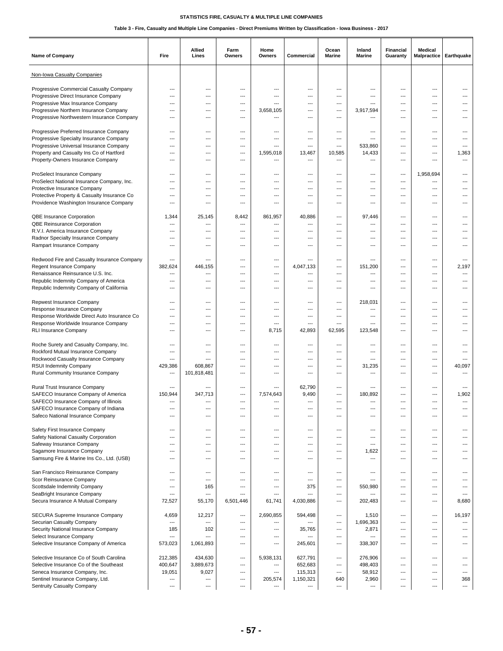| Name of Company                                                                    | Fire                     | Allied<br>Lines          | Farm<br>Owners                  | Home<br>Owners           | Commercial               | Ocean<br>Marine               | Inland<br>Marine   | Financial<br>Guaranty                       | Medical<br><b>Malpractice</b>        | Earthquake               |
|------------------------------------------------------------------------------------|--------------------------|--------------------------|---------------------------------|--------------------------|--------------------------|-------------------------------|--------------------|---------------------------------------------|--------------------------------------|--------------------------|
| Non-Iowa Casualty Companies                                                        |                          |                          |                                 |                          |                          |                               |                    |                                             |                                      |                          |
| Progressive Commercial Casualty Company                                            | ---                      | ---                      | ---                             | ---                      | ---                      | ---                           | ---                | ---                                         | ---                                  | ---                      |
| Progressive Direct Insurance Company                                               | $\overline{a}$           | $\overline{\phantom{a}}$ | ---                             | ---                      | ---                      | ---                           | ---                | $\overline{\phantom{a}}$                    | ---                                  |                          |
| Progressive Max Insurance Company                                                  | ---                      | $---$                    | ---                             | ---                      | ---                      | $---$                         | ---                | $---$                                       | ---                                  | ---                      |
| Progressive Northern Insurance Company                                             | ---                      | ---                      | ---                             | 3,658,105                | ---                      | ---                           | 3,917,594          | ---                                         | $---$                                | ---                      |
| Progressive Northwestern Insurance Company                                         | $\overline{a}$           | ---                      | ---                             | ---                      | ---                      | ---                           | ---                | $\overline{\phantom{a}}$                    | ---                                  | ---                      |
|                                                                                    |                          |                          |                                 | ---                      | $---$                    |                               | ---                | $---$                                       | $---$                                | ---                      |
| Progressive Preferred Insurance Company<br>Progressive Specialty Insurance Company | ---<br>---               | ---<br>$---$             | ---<br>$\overline{\phantom{a}}$ | ---                      | ---                      | ---<br>---                    | ---                | ---                                         | $---$                                | ---                      |
| Progressive Universal Insurance Company                                            | $\overline{a}$           | ---                      | ---                             | ---                      | $\overline{\phantom{a}}$ | ---                           | 533,860            | $\overline{\phantom{a}}$                    | $\overline{a}$                       |                          |
| Property and Casualty Ins Co of Hartford                                           | ---                      | ---                      | ---                             | 1,595,018                | 13,467                   | 10,585                        | 14,433             | ---                                         | ---                                  | 1,363                    |
| Property-Owners Insurance Company                                                  | ---                      | $---$                    | $\overline{\phantom{a}}$        | ---                      | ---                      | $---$                         | ---                | $---$                                       | ---                                  | ---                      |
|                                                                                    |                          |                          |                                 |                          |                          |                               |                    |                                             |                                      |                          |
| ProSelect Insurance Company                                                        | ---                      | ---                      | ---                             | ---                      | ---                      | ---                           | ---                | ---                                         | 1,958,694                            |                          |
| ProSelect National Insurance Company, Inc.                                         | ---                      | ---                      | ---                             | ---                      | ---                      | ---                           | ---                | ---                                         | ---                                  |                          |
| Protective Insurance Company                                                       | ---                      | ---                      | ---                             | ---                      | ---                      | ---                           | ---                | $---$                                       | ---                                  | ---                      |
| Protective Property & Casualty Insurance Co                                        | ---                      | $---$                    | ---                             | ---                      | ---                      | ---                           | ---                | ---                                         | ---                                  | ---                      |
| Providence Washington Insurance Company                                            | ---                      | ---                      | ---                             | ---                      | ---                      | ---                           | ---                | ---                                         | ---                                  | ---                      |
| QBE Insurance Corporation                                                          | 1,344                    | 25,145                   | 8,442                           | 861,957                  | 40,886                   | $---$                         | 97,446             | $---$                                       | ---                                  | ---                      |
| QBE Reinsurance Corporation                                                        | $\overline{a}$           | ---                      | ---                             | ---                      | $\overline{\phantom{a}}$ | $---$                         | ---                | $\overline{\phantom{a}}$                    | ---                                  | ---                      |
| R.V.I. America Insurance Company                                                   | ---                      | ---                      | ---                             | ---                      | ---                      | ---                           | ---                | ---                                         | ---                                  | ---                      |
| Radnor Specialty Insurance Company                                                 | $\overline{\phantom{a}}$ | ---                      | ---                             | ---                      | $\overline{\phantom{a}}$ | ---                           | ---                | $\overline{\phantom{a}}$                    | ---                                  | ---                      |
| Rampart Insurance Company                                                          | ---                      | ---                      | ---                             | ---                      | ---                      | ---                           | ---                | ---                                         | ---                                  |                          |
|                                                                                    |                          |                          |                                 |                          |                          |                               |                    |                                             |                                      |                          |
| Redwood Fire and Casualty Insurance Company                                        | ---                      | ---                      | $\overline{\phantom{a}}$        | ---                      | $\overline{\phantom{a}}$ | ---                           | ---                | ---                                         | ---                                  | $---$                    |
| Regent Insurance Company                                                           | 382,624                  | 446,155                  | ---                             | ---                      | 4,047,133                | ---                           | 151,200            | ---                                         | ---                                  | 2,197                    |
| Renaissance Reinsurance U.S. Inc.<br>Republic Indemnity Company of America         | $\overline{a}$<br>---    | ---<br>---               | ---<br>---                      | ---<br>---               | ---<br>---               | ---<br>$---$                  | ---<br>---         | ---<br>---                                  | ---<br>$---$                         | ---<br>---               |
| Republic Indemnity Company of California                                           | $---$                    | $---$                    | $\overline{\phantom{a}}$        | ---                      | ---                      | ---                           | ---                | ---                                         | $---$                                | ---                      |
|                                                                                    |                          |                          |                                 |                          |                          |                               |                    |                                             |                                      |                          |
| Repwest Insurance Company                                                          | ---                      | ---                      | ---                             | ---                      | ---                      | ---                           | 218,031            | ---                                         | ---                                  |                          |
| Response Insurance Company                                                         | $\overline{\phantom{a}}$ | $---$                    | ---                             | ---                      | $---$                    | ---                           | ---                | $---$                                       | $---$                                | ---                      |
| Response Worldwide Direct Auto Insurance Co                                        | $---$                    | $---$                    | $\overline{\phantom{a}}$        | ---                      | ---                      | ---                           | ---                | ---                                         | $---$                                | ---                      |
| Response Worldwide Insurance Company                                               | $\overline{a}$           | ---                      | ---                             | ---                      | $\overline{\phantom{a}}$ | ---                           | ---                | ---                                         | ---                                  |                          |
| <b>RLI Insurance Company</b>                                                       | ---                      | ---                      | ---                             | 8,715                    | 42,893                   | 62,595                        | 123,548            | ---                                         | ---                                  |                          |
| Roche Surety and Casualty Company, Inc.                                            | $---$                    | $---$                    | ---                             | ---                      | ---                      | ---                           | ---                | $---$                                       | $---$                                | ---                      |
| Rockford Mutual Insurance Company                                                  | ---                      | ---                      | ---                             | ---                      | $\overline{\phantom{a}}$ | ---                           | ---                | $\overline{\phantom{a}}$                    | ---                                  | ---                      |
| Rockwood Casualty Insurance Company                                                | $\overline{\phantom{a}}$ | ---                      | ---                             | ---                      | ---                      | ---                           | ---                | ---                                         | ---                                  | ---                      |
| RSUI Indemnity Company                                                             | 429,386                  | 608,867                  | $\overline{\phantom{a}}$        | ---                      | $---$                    | $---$                         | 31,235             | $---$                                       | $---$                                | 40,097                   |
| Rural Community Insurance Company                                                  | ---                      | 101,818,481              | ---                             | ---                      | ---                      | ---                           | ---                | ---                                         | $---$                                |                          |
|                                                                                    |                          |                          |                                 |                          |                          |                               |                    |                                             |                                      |                          |
| Rural Trust Insurance Company                                                      | ---                      | ---                      | ---                             |                          | 62,790                   | ---                           | ---                | ---                                         | ---                                  |                          |
| SAFECO Insurance Company of America<br>SAFECO Insurance Company of Illinois        | 150,944<br>---           | 347,713<br>---           | ---<br>$\overline{\phantom{a}}$ | 7,574,643<br>---         | 9,490<br>$\overline{a}$  | $---$<br>$---$                | 180,892<br>---     | ---<br>---                                  | ---<br>---                           | 1,902<br>---             |
| SAFECO Insurance Company of Indiana                                                |                          |                          |                                 |                          |                          |                               |                    |                                             |                                      |                          |
| Safeco National Insurance Company                                                  | ---                      | ---                      | ---                             | ---                      | $\hspace{0.05cm} \ldots$ | ---                           | ---                | ---                                         | ---                                  | ---                      |
|                                                                                    |                          |                          |                                 |                          |                          |                               |                    |                                             |                                      |                          |
| Safety First Insurance Company                                                     | ---                      | ---                      | ---                             | ---                      | $---$                    | ---                           | ---                | $\qquad \qquad -$                           | ---                                  | ---                      |
| Safety National Casualty Corporation                                               | $\overline{a}$           | ---                      | ---                             | ---                      | ---                      | $\overline{\phantom{a}}$      | ---                | $\overline{\phantom{a}}$                    | $\overline{a}$                       | ---                      |
| Safeway Insurance Company                                                          | ---                      | ---                      | ---                             | ---                      | ---                      | ---                           | ---                | $\overline{\phantom{a}}$                    | ---                                  | ---                      |
| Sagamore Insurance Company                                                         | ---                      | ---                      | ---                             | ---                      | $\hspace{0.05cm} \ldots$ | ---                           | 1,622              | $\overline{\phantom{a}}$                    | ---                                  | ---                      |
| Samsung Fire & Marine Ins Co., Ltd. (USB)                                          | ---                      | ---                      | ---                             | ---                      | $---$                    | ---                           | ---                | $---$                                       | ---                                  | ---                      |
| San Francisco Reinsurance Company                                                  | ---                      | $\overline{\phantom{a}}$ | $\hspace{0.05cm} \ldots$        | ---                      | $\hspace{0.05cm} \ldots$ | ---                           | ---                | ---                                         | ---                                  | ---                      |
| Scor Reinsurance Company                                                           | ---                      | ---                      | ---                             | ---                      | $\hspace{0.05cm} \ldots$ | ---                           | ---                | ---                                         | ---                                  | ---                      |
| Scottsdale Indemnity Company                                                       | ---                      | 165                      | ---                             | ---                      | 375                      | ---                           | 550,980            | $---$                                       | ---                                  | ---                      |
| SeaBright Insurance Company                                                        | $\overline{a}$           | $---$                    | ---                             | $\overline{a}$           | ---                      | ---                           | ---                | ---                                         | ---                                  | $\overline{\phantom{a}}$ |
| Secura Insurance A Mutual Company                                                  | 72,527                   | 55,170                   | 6,501,446                       | 61,741                   | 4,030,886                | ---                           | 202,483            | $\overline{\phantom{a}}$                    | ---                                  | 8,680                    |
|                                                                                    |                          |                          |                                 |                          |                          |                               |                    |                                             |                                      |                          |
| SECURA Supreme Insurance Company                                                   | 4,659                    | 12,217                   | $\qquad \qquad -$               | 2,690,855                | 594,498                  | ---                           | 1,510              | $\qquad \qquad -$                           | $\hspace{0.05cm} \ldots$             | 16,197                   |
| Securian Casualty Company<br>Security National Insurance Company                   | ---<br>185               | ---<br>102               | ---<br>$\qquad \qquad \cdots$   | ---<br>---               | ---<br>35,765            | ---<br>$\qquad \qquad \cdots$ | 1,696,363<br>2,871 | $\qquad \qquad -$<br>$\qquad \qquad \cdots$ | $\cdots$<br>$\hspace{0.05cm} \ldots$ | ---<br>---               |
| Select Insurance Company                                                           | ---                      | ---                      | ---                             | ---                      | $\hspace{0.05cm}\ldots$  | ---                           |                    | ---                                         | ---                                  | ---                      |
| Selective Insurance Company of America                                             | 573,023                  | 1,061,893                | ---                             | ---                      | 245,601                  | ---                           | 338,307            | $\qquad \qquad -$                           | ---                                  | ---                      |
|                                                                                    |                          |                          |                                 |                          |                          |                               |                    |                                             |                                      |                          |
| Selective Insurance Co of South Carolina                                           | 212,385                  | 434,630                  | ---                             | 5,938,131                | 627,791                  | ---                           | 276,906            | $\overline{\phantom{a}}$                    | ---                                  | ---                      |
| Selective Insurance Co of the Southeast                                            | 400,647                  | 3,889,673                | ---                             | ---                      | 652,683                  | ---                           | 498,403            | $\overline{\phantom{a}}$                    | ---                                  | ---                      |
| Seneca Insurance Company, Inc.                                                     | 19,051                   | 9,027                    | ---                             | ---                      | 115,313                  | $---$                         | 58,912             | $\qquad \qquad -$                           | ---                                  | $---$                    |
| Sentinel Insurance Company, Ltd.                                                   | ---                      | $\hspace{0.05cm} \ldots$ | ---                             | 205,574                  | 1,150,321                | 640                           | 2,960              | $\qquad \qquad -$                           | $---$                                | 368                      |
| Sentruity Casualty Company                                                         | ---                      | $---$                    | $\overline{\phantom{a}}$        | $\overline{\phantom{a}}$ | $\hspace{0.05cm} \ldots$ | $\overline{\phantom{a}}$      | ---                | $---$                                       | ---                                  | $\overline{\phantom{a}}$ |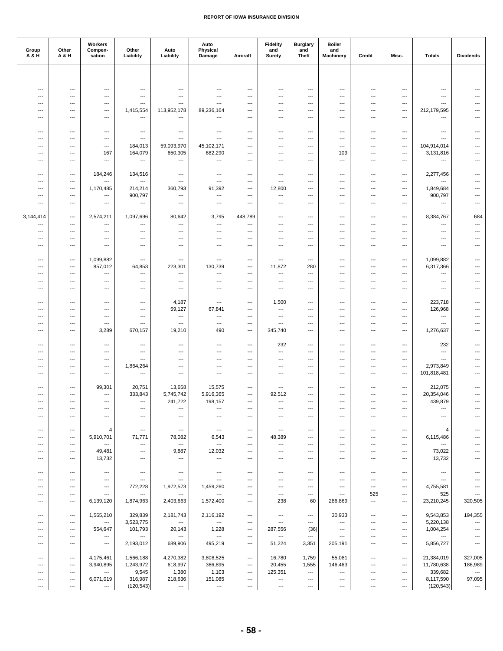| Group<br>A & H                                       | Other<br>A & H                                       | Workers<br>Compen-<br>sation                         | Other<br>Liability                | Auto<br>Liability                                    | Auto<br>Physical<br>Damage                           | Aircraft        | <b>Fidelity</b><br>and<br>Surety   | <b>Burglary</b><br>and<br><b>Theft</b> | <b>Boiler</b><br>and<br><b>Machinery</b> | Credit                         | Misc.                             | <b>Totals</b>                                        | <b>Dividends</b>                   |
|------------------------------------------------------|------------------------------------------------------|------------------------------------------------------|-----------------------------------|------------------------------------------------------|------------------------------------------------------|-----------------|------------------------------------|----------------------------------------|------------------------------------------|--------------------------------|-----------------------------------|------------------------------------------------------|------------------------------------|
|                                                      |                                                      |                                                      |                                   |                                                      |                                                      |                 |                                    |                                        |                                          |                                |                                   |                                                      |                                    |
|                                                      |                                                      |                                                      |                                   |                                                      |                                                      |                 |                                    |                                        |                                          |                                |                                   |                                                      |                                    |
| $\overline{\phantom{a}}$<br>---                      | $---$<br>$\overline{\phantom{a}}$                    | ---<br>$\overline{\phantom{a}}$                      | $\overline{a}$<br>---             | ---<br>$\overline{\phantom{a}}$                      | $\overline{\phantom{a}}$<br>$\hspace{0.05cm} \ldots$ | ---<br>---      | ---<br>---                         | ---<br>---                             | $---$<br>$\overline{\phantom{a}}$        | ---<br>---                     | $---$<br>---                      | $\overline{a}$<br>---                                | ---<br>---                         |
| $\overline{\phantom{a}}$                             | ---                                                  | ---                                                  | ---                               | ---                                                  | $\hspace{0.05cm} \ldots$                             | ---             | ---                                | ---                                    | ---                                      | ---                            | $\overline{\phantom{a}}$          | ---                                                  | ---                                |
| $---$                                                | ---                                                  | ---                                                  | 1,415,554                         | 113,952,178                                          | 89,236,164                                           | ---             | ---                                | ---                                    | ---                                      | ---                            | ---                               | 212,179,595                                          | ---                                |
| $---$                                                | $---$                                                | ---                                                  | ---                               | ---                                                  | $---$                                                | $\cdots$        | ---                                | ---                                    | $---$                                    | $\overline{a}$                 | $---$                             | $\overline{a}$                                       | ---                                |
| $\overline{\phantom{a}}$                             | $\hspace{0.05cm} \ldots$                             | ---                                                  | ---                               | ---                                                  | $\hspace{0.05cm} \ldots$                             | ---             | ---                                | ---                                    | ---                                      | ---                            | $\cdots$                          | ---                                                  | ---                                |
| $---$                                                | ---                                                  | $---$                                                | ---                               | $---$                                                | $---$                                                | $---$           | $\overline{\phantom{a}}$           | ---                                    | ---                                      | $---$                          | ---                               | $---$                                                | ---                                |
| $---$                                                | $---$                                                | ---                                                  | 184,013                           | 59,093,970                                           | 45,102,171                                           | $---$           | ---                                | ---                                    | ---                                      | ---                            | $---$                             | 104,914,014                                          | ---                                |
| $\overline{\phantom{a}}$                             | $\hspace{0.05cm} \ldots$                             | 167                                                  | 164,079                           | 650,305                                              | 682,290                                              | ---             | ---                                | ---                                    | 109                                      | ---                            | $\overline{\phantom{a}}$          | 3,131,816                                            | ---                                |
| ---                                                  | $\overline{\phantom{a}}$                             | ---                                                  | ---                               | $---$                                                | $\overline{\phantom{a}}$                             | ---             | ---                                | ---                                    | ---                                      | ---                            | ---                               | ---                                                  | ---                                |
| $---$                                                | $---$                                                | 184,246                                              | 134,516                           | ---                                                  | $\overline{\phantom{a}}$                             | $\cdots$        | ---                                | ---                                    | $---$                                    | $---$                          | $---$                             | 2,277,456                                            | $---$                              |
| $\overline{\phantom{a}}$                             | $\hspace{0.05cm} \ldots$                             | ---                                                  | ---                               | ---                                                  | $\ldots$                                             | ---             | ---                                | ---                                    | ---                                      | ---                            | $\cdots$                          | ---                                                  | ---                                |
| $\overline{\phantom{a}}$                             | $\hspace{0.05cm} \ldots$                             | 1,170,485                                            | 214,214                           | 360,793                                              | 91,392                                               | ---             | 12,800                             | ---                                    | ---                                      | ---                            | $\cdots$                          | 1,849,684                                            | ---                                |
| $---$                                                | $---$                                                | ---                                                  | 900,797                           | $\overline{\phantom{a}}$                             | $\hspace{0.05cm} \ldots$                             | ---             | ---                                | ---                                    | ---                                      | ---                            | ---                               | 900,797                                              | ---                                |
| $\overline{\phantom{a}}$                             | $---$                                                | ---                                                  | $\overline{a}$                    | ---                                                  | $---$                                                | ---             | ---                                | ---                                    | $---$                                    | ---                            | $---$                             | $\overline{a}$                                       | ---                                |
| 3,144,414                                            | $\hspace{0.05cm} \ldots$                             | 2,574,211                                            | 1,097,696                         | 80,642                                               | 3,795                                                | 448,789         | ---                                | ---                                    | ---                                      | ---                            | $\overline{\phantom{a}}$          | 8,384,767                                            | 684                                |
| $---$                                                | ---                                                  | ---                                                  | ---                               | ---                                                  | $\hspace{0.05cm} \ldots$                             | $---$           | ---                                | ---                                    | ---                                      | ---                            | $---$                             | ---                                                  | ---                                |
| $\cdots$                                             | $---$                                                | $---$                                                | ---                               | ---                                                  | $---$                                                | ---             | ---                                | ---                                    | ---                                      | ---                            | ---                               | ---                                                  | ---                                |
| $---$                                                | $---$                                                | $---$                                                | ---                               | $---$                                                | $\overline{\phantom{a}}$                             | $\cdots$        | ---                                | ---                                    | $---$                                    | ---                            | $---$                             | ---                                                  | $\qquad \qquad -$                  |
| $\overline{\phantom{a}}$                             | $\overline{\phantom{a}}$                             | ---                                                  | ---                               | ---                                                  | $\hspace{0.05cm} \ldots$                             | ---             | ---                                | ---                                    | ---                                      | ---                            | $\overline{\phantom{a}}$          | ---                                                  | $\qquad \qquad \cdots$             |
| $---$                                                | $---$                                                | 1,099,882                                            | ---                               | ---                                                  | $\hspace{0.05cm} \ldots$                             | ---             | ---                                | ---                                    | ---                                      | ---                            | $---$                             | 1,099,882                                            | ---                                |
| $\overline{\phantom{a}}$                             | $---$                                                | 857,012                                              | 64,853                            | 223,301                                              | 130,739                                              | ---             | 11,872                             | 280                                    | $---$                                    | ---                            | $---$                             | 6,317,366                                            | ---                                |
| $\overline{\phantom{a}}$                             | $\overline{\phantom{a}}$                             | ---                                                  | ---                               | $---$                                                | $\hspace{0.05cm} \ldots$                             | ---             | ---                                | ---                                    | ---                                      | ---                            | $---$                             | ---                                                  | ---                                |
| $\overline{\phantom{a}}$<br>$---$                    | $\hspace{0.05cm} \ldots$<br>$---$                    | ---<br>---                                           | ---<br>---                        | $---$<br>$\overline{\phantom{a}}$                    | $\hspace{0.05cm} \ldots$<br>$---$                    | ---<br>$---$    | ---<br>---                         | ---<br>---                             | ---<br>$---$                             | ---<br>---                     | $\overline{\phantom{a}}$<br>$---$ | ---<br>---                                           | ---<br>---                         |
|                                                      |                                                      |                                                      |                                   |                                                      |                                                      |                 |                                    |                                        |                                          |                                |                                   |                                                      |                                    |
| $\overline{\phantom{a}}$                             | $\hspace{0.05cm} \ldots$                             | $\overline{\phantom{a}}$                             | ---                               | 4,187                                                | $\hspace{0.05cm} \ldots$                             | ---             | 1,500                              | ---                                    | ---                                      | ---                            | ---                               | 223,718                                              | ---                                |
| ---                                                  | $\hspace{0.05cm} \ldots$                             | ---                                                  | ---                               | 59,127                                               | 67,841                                               | ---             | ---                                | ---                                    | ---                                      | ---                            | $\cdots$                          | 126,968                                              | ---                                |
| $---$                                                | $---$                                                | $---$                                                | ---<br>$\overline{a}$             | $\hspace{0.05cm} \ldots$<br>$\overline{\phantom{a}}$ | $\hspace{0.05cm} \ldots$                             | $---$           | ---                                | ---                                    | $---$                                    | ---                            | $---$                             | $\hspace{0.05cm} \ldots$<br>$\overline{a}$           | ---                                |
| $---$<br>$\overline{\phantom{a}}$                    | $---$<br>$\overline{\phantom{a}}$                    | ---<br>3,289                                         | 670,157                           | 19,210                                               | $---$<br>490                                         | $\cdots$<br>--- | ---<br>345,740                     | ---<br>---                             | $---$<br>$\overline{\phantom{a}}$        | ---<br>---                     | $---$<br>$\overline{\phantom{a}}$ | 1,276,637                                            | ---<br>---                         |
|                                                      |                                                      |                                                      |                                   |                                                      |                                                      |                 |                                    |                                        |                                          |                                |                                   |                                                      |                                    |
| $---$                                                | $\overline{\phantom{a}}$                             | $\overline{\phantom{a}}$                             | ---                               | ---                                                  | $\hspace{0.05cm} \ldots$                             | $---$           | 232                                | ---                                    | ---                                      | ---                            | ---                               | 232                                                  | ---                                |
| $---$                                                | $---$                                                | $---$                                                | ---                               | ---                                                  | $\overline{\phantom{a}}$                             | $\cdots$        | ---                                | ---                                    | $---$                                    | ---                            | $---$                             | $\overline{\phantom{a}}$                             | ---                                |
| $\overline{\phantom{a}}$<br>$\overline{\phantom{a}}$ | $\hspace{0.05cm} \ldots$<br>---                      | ---<br>---                                           | ---<br>1,864,264                  | ---<br>---                                           | $\hspace{0.05cm} \ldots$<br>$\overline{\phantom{a}}$ | ---<br>---      | ---<br>---                         | ---<br>---                             | ---<br>---                               | ---<br>---                     | $\cdots$<br>$\cdots$              | ---<br>2,973,849                                     | ---<br>---                         |
| $---$                                                | $---$                                                | $---$                                                | ---                               | ---                                                  | $---$                                                | ---             | ---                                | ---                                    | $---$                                    | ---                            | ---                               | 101,818,481                                          | ---                                |
|                                                      |                                                      |                                                      |                                   |                                                      |                                                      |                 |                                    |                                        |                                          |                                |                                   |                                                      |                                    |
| $\overline{\phantom{a}}$                             | $\overline{\phantom{a}}$                             | 99,301                                               | 20,751                            | 13,658                                               | 15,575                                               | ---             | ---                                | ---                                    | ---                                      | ---                            | ---                               | 212,075                                              | ---                                |
| $\overline{\phantom{a}}$<br>$\cdots$                 | $\hspace{0.05cm} \ldots$<br>$---$                    | ---<br>$---$                                         | 333,843<br>---                    | 5,745,742<br>241,722                                 | 5,916,365<br>198,157                                 | ---<br>$---$    | 92,512<br>$\overline{\phantom{a}}$ | ---<br>$---$                           | ---<br>$---$                             | ---<br>$---$                   | ---<br>$---$                      | 20,354,046<br>439,879                                | ---<br>$\qquad \qquad -$           |
| ---                                                  | $---$                                                | $\overline{\phantom{a}}$                             | ---                               | ---                                                  | $\hspace{0.05cm} \ldots$                             | ---             | ---                                | ---                                    | ---                                      | ---                            | ---                               | ---                                                  |                                    |
| $\cdots$                                             | $---$                                                | $\overline{\phantom{a}}$                             | $---$                             | ---                                                  | $---$                                                | ---             | ---                                | ---                                    | $---$                                    | $\overline{a}$                 | $---$                             | $\overline{\phantom{a}}$                             | ---                                |
|                                                      |                                                      |                                                      |                                   |                                                      |                                                      |                 |                                    |                                        |                                          |                                |                                   |                                                      |                                    |
| $\hspace{0.05cm} \ldots$<br>$---$                    | $\hspace{0.05cm} \ldots$<br>$---$                    | 4                                                    | $\hspace{0.05cm} \ldots$          | ---                                                  | $\hspace{0.05cm} \cdots$                             | $\cdots$        | $\hspace{0.05cm} \ldots$           | ---<br>$---$                           | ---<br>---                               | ---<br>$\qquad \qquad -\qquad$ | ---<br>---                        | 4                                                    |                                    |
| $---$                                                | $---$                                                | 5,910,701<br>$\overline{\phantom{a}}$                | 71,771<br>$\overline{a}$          | 78,082<br>$\hspace{0.05cm} \ldots$                   | 6,543<br>$\hspace{0.05cm} \ldots$                    | ---<br>---      | 48,389<br>$\overline{\phantom{a}}$ | ---                                    | $---$                                    | ---                            | $---$                             | 6,115,486<br>---                                     |                                    |
| ---                                                  | $\hspace{0.05cm} \ldots$                             | 49,481                                               | $\overline{\phantom{a}}$          | 9,887                                                | 12,032                                               | ---             | $\overline{\phantom{a}}$           | $\overline{\phantom{a}}$               | $\overline{\phantom{a}}$                 | $\overline{\phantom{a}}$       | ---                               | 73,022                                               |                                    |
| ---                                                  | $\hspace{0.05cm} \ldots$                             | 13,732                                               | ---                               | ---                                                  | $\hspace{0.05cm} \ldots$                             | ---             | ---                                | ---                                    | ---                                      | ---                            | $\overline{\phantom{a}}$          | 13,732                                               |                                    |
|                                                      |                                                      |                                                      |                                   |                                                      |                                                      |                 |                                    |                                        |                                          |                                |                                   |                                                      |                                    |
| $\cdots$<br>---                                      | $---$<br>$\hspace{0.05cm} \ldots$                    | $\overline{\phantom{a}}$<br>$\hspace{0.05cm} \ldots$ | $---$<br>$\hspace{0.05cm} \ldots$ | $\hspace{0.05cm} \ldots$<br>---                      | $---$<br>$\hspace{0.05cm} \ldots$                    | ---<br>---      | $---$<br>$\hspace{0.05cm} \ldots$  | $---$<br>---                           | $---$<br>---                             | $\qquad \qquad -\qquad$<br>--- | $---$<br>---                      | $\hspace{0.05cm} \ldots$<br>$\hspace{0.05cm} \ldots$ | $\overline{\phantom{a}}$           |
| $\hspace{0.05cm} \ldots$                             | $\hspace{0.05cm} \ldots$                             | ---                                                  | 772,228                           | 1,972,573                                            | 1,459,260                                            | ---             | $\overline{\phantom{a}}$           | ---                                    | ---                                      | ---                            | ---                               | 4,755,581                                            |                                    |
| $---$                                                | ---                                                  | $---$                                                | $\hspace{0.05cm} \ldots$          | $\hspace{0.05cm} \ldots$                             | $\hspace{0.05cm} \ldots$                             | ---             | $---$                              | $\overline{\phantom{a}}$               | ---                                      | 525                            | ---                               | 525                                                  | ---                                |
| $---$                                                | $---$                                                | 6,139,120                                            | 1,874,963                         | 2,403,663                                            | 1,572,400                                            | $\cdots$        | 238                                | 60                                     | 286,869                                  | $\qquad \qquad \cdots$         | $---$                             | 23,210,245                                           | 320,505                            |
| $\overline{\phantom{a}}$                             | $\hspace{0.05cm} \ldots$                             | 1,565,210                                            | 329,839                           | 2,181,743                                            | 2,116,192                                            | ---             | ---                                | $\hspace{0.05cm} \ldots$               | 30,933                                   | ---                            | ---                               | 9,543,853                                            | 194,355                            |
| $\cdots$                                             | $\hspace{0.05cm} \ldots$                             | $\overline{\phantom{a}}$                             | 3,523,775                         | $\hspace{0.05cm} \ldots$                             | $\hspace{0.05cm} \ldots$                             | $---$           | $\qquad \qquad \cdots$             | $---$                                  | $---$                                    | $\qquad \qquad -\qquad$        | $---$                             | 5,220,138                                            | ---                                |
| $\cdots$                                             | $---$                                                | 554,647                                              | 101,793                           | 20,143                                               | 1,228                                                | $---$           | 287,556                            | (36)                                   | $---$                                    | ---                            | $---$                             | 1,004,254                                            | ---                                |
| $\hspace{0.05cm} \ldots$                             | $\hspace{0.05cm} \ldots$                             | $\hspace{0.05cm} \ldots$                             | $\hspace{0.05cm} \ldots$          | $\hspace{0.05cm} \ldots$                             | $\hspace{0.05cm} \ldots$                             | ---             | $\hspace{0.05cm} \ldots$           | $\hspace{0.05cm} \ldots$               | ---                                      | ---                            | ---                               | $\hspace{0.05cm} \ldots$                             | ---                                |
| ---                                                  | ---                                                  | ---                                                  | 2,193,012                         | 689,906                                              | 495,219                                              | ---             | 51,224                             | 3,351                                  | 205,191                                  | ---                            | $\cdots$                          | 5,856,727                                            |                                    |
| $\cdots$                                             | $---$                                                | 4,175,461                                            | 1,566,188                         | 4,270,382                                            | 3,808,525                                            | $\cdots$        | 16,780                             | 1,759                                  | 55,081                                   | ---                            | $---$                             | 21,384,019                                           | 327,005                            |
| ---                                                  | $\overline{\phantom{a}}$                             | 3,940,895                                            | 1,243,972                         | 618,997                                              | 366,895                                              | ---             | 20,455                             | 1,555                                  | 146,463                                  | $\overline{\phantom{a}}$       | ---                               | 11,780,638                                           | 186,989                            |
| ---                                                  | $\hspace{0.05cm} \ldots$                             | ---                                                  | 9,545                             | 1,380                                                | 1,103                                                | ---             | 125,351                            | $\hspace{0.05cm} \ldots$               | $\cdots$                                 | ---                            | ---                               | 339,682                                              | $\hspace{0.05cm} \cdots$           |
| $\hspace{0.05cm} \ldots$<br>$\hspace{0.05cm} \ldots$ | $\hspace{0.05cm} \cdots$<br>$\hspace{0.05cm} \ldots$ | 6,071,019<br>---                                     | 316,987<br>(120, 543)             | 218,636<br>---                                       | 151,085<br>$\hspace{0.05cm} \cdots$                  | ---<br>---      | ---<br>$\qquad \qquad \cdots$      | $\hspace{0.05cm} \ldots$<br>---        | ---<br>---                               | ---<br>---                     | $---$<br>$\qquad \qquad \cdots$   | 8,117,590<br>(120, 543)                              | 97,095<br>$\hspace{0.05cm} \cdots$ |
|                                                      |                                                      |                                                      |                                   |                                                      |                                                      |                 |                                    |                                        |                                          |                                |                                   |                                                      |                                    |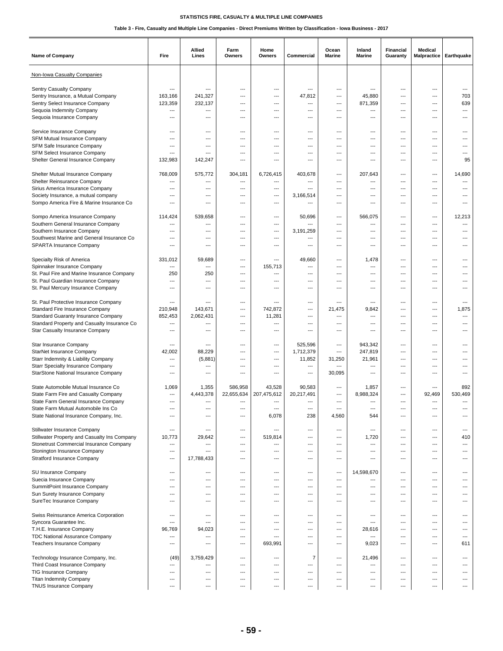| Name of Company                              | Fire                     | Allied<br>Lines          | Farm<br>Owners           | Home<br>Owners           | Commercial               | Ocean<br><b>Marine</b>   | Inland<br>Marine         | Financial<br>Guaranty | Medical<br>Malpractice   | Earthquake               |
|----------------------------------------------|--------------------------|--------------------------|--------------------------|--------------------------|--------------------------|--------------------------|--------------------------|-----------------------|--------------------------|--------------------------|
| Non-Iowa Casualty Companies                  |                          |                          |                          |                          |                          |                          |                          |                       |                          |                          |
| Sentry Casualty Company                      | $\overline{a}$           | ---                      | ---                      | ---                      | $\overline{\phantom{a}}$ | ---                      | $\overline{a}$           | ---                   | $\overline{\phantom{a}}$ | ---                      |
| Sentry Insurance, a Mutual Company           | 163,166                  | 241,327                  | ---                      | ---                      | 47,812                   | ---                      | 45,880                   | ---                   | $\overline{a}$           | 703                      |
| Sentry Select Insurance Company              | 123,359                  | 232,137                  | ---                      | ---                      | $---$                    | ---                      | 871,359                  | ---                   | $---$                    | 639                      |
| Sequoia Indemnity Company                    | $\overline{\phantom{a}}$ | $\overline{\phantom{a}}$ | ---                      | ---                      | $\overline{a}$           | ---                      | $\overline{a}$           | ---                   | ---                      | $\overline{\phantom{a}}$ |
| Sequoia Insurance Company                    | $\overline{a}$           | $\overline{\phantom{a}}$ | ---                      | ---                      | ---                      | ---                      | $\overline{a}$           | ---                   | ---                      | $\overline{\phantom{a}}$ |
|                                              |                          |                          |                          |                          |                          |                          |                          |                       |                          |                          |
| Service Insurance Company                    | $---$                    | ---                      | $\overline{\phantom{a}}$ | $---$                    | $---$                    | ---                      | $---$                    | ---                   | ---                      | $---$                    |
| SFM Mutual Insurance Company                 | $---$                    | $---$                    | $\overline{\phantom{a}}$ | ---                      | ---                      | $---$                    | $---$                    | ---                   | $\cdots$                 | ---                      |
| SFM Safe Insurance Company                   | ---                      | ---                      | ---                      | ---                      | $\overline{a}$           | ---                      | ---                      | ---                   | $\overline{a}$           | ---                      |
| <b>SFM Select Insurance Company</b>          | ---                      | ---                      | ---                      | ---                      | ---                      | ---                      | ---                      | ---                   | ---                      | ---                      |
| Shelter General Insurance Company            | 132,983                  | 142,247                  | ---                      | ---                      | $---$                    | $---$                    | $---$                    | ---                   | $---$                    | 95                       |
|                                              |                          |                          |                          |                          |                          |                          |                          |                       |                          |                          |
| Shelter Mutual Insurance Company             | 768,009                  | 575,772                  | 304,181                  | 6,726,415                | 403,678                  | ---                      | 207,643                  | ---                   | ---                      | 14,690                   |
| Shelter Reinsurance Company                  | ---                      | ---                      | ---                      | ---                      | $\overline{\phantom{a}}$ | ---                      | $\overline{a}$           | ---                   | $\overline{a}$           | ---                      |
| Sirius America Insurance Company             | $---$                    | $---$                    | $\overline{\phantom{a}}$ | $---$                    | $---$                    | $---$                    | $---$                    | ---                   | $---$                    | $---$                    |
| Society Insurance, a mutual company          | ---                      | ---                      | ---                      | ---                      | 3,166,514                | ---                      | $---$                    | ---                   | ---                      |                          |
| Sompo America Fire & Marine Insurance Co     | $\overline{\phantom{a}}$ | ---                      | ---                      | ---                      |                          | ---                      | ---                      | ---                   | $\overline{a}$           |                          |
| Sompo America Insurance Company              | 114,424                  | 539,658                  | ---                      | ---                      | 50,696                   | ---                      | 566,075                  | ---                   | ---                      | 12,213                   |
| Southern General Insurance Company           | ---                      | $\overline{\phantom{a}}$ | $\overline{\phantom{a}}$ | ---                      | ---                      | $---$                    | $\overline{a}$           | ---                   | $\cdots$                 | $\overline{\phantom{a}}$ |
| Southern Insurance Company                   | ---                      | $---$                    | ---                      | $---$                    | 3,191,259                | $---$                    | $---$                    | ---                   | $\cdots$                 | $---$                    |
| Southwest Marine and General Insurance Co    | ---                      | ---                      | ---                      | ---                      | $\hspace{0.05cm} \ldots$ | ---                      | $\overline{\phantom{a}}$ | ---                   | ---                      | ---                      |
| <b>SPARTA Insurance Company</b>              | ---                      | ---                      | ---                      | ---                      | ---                      | ---                      | ---                      | ---                   | $\overline{\phantom{a}}$ |                          |
|                                              |                          |                          |                          |                          |                          |                          |                          |                       |                          |                          |
| Specialty Risk of America                    | 331,012                  | 59,689                   | ---                      | $\overline{\phantom{a}}$ | 49,660                   | ---                      | 1,478                    | ---                   | ---                      | $---$                    |
| Spinnaker Insurance Company                  |                          | $\overline{a}$           | ---                      | 155,713                  | ---                      | ---                      | $\overline{a}$           | ---                   | ---                      | $\overline{a}$           |
| St. Paul Fire and Marine Insurance Company   | 250                      | 250                      | ---                      | ---                      | $---$                    | $\overline{\phantom{a}}$ | $\overline{a}$           | ---                   | $\overline{a}$           | ---                      |
| St. Paul Guardian Insurance Company          | $---$                    | ---                      | ---                      | ---                      | $---$                    | $---$                    | $---$                    | ---                   | $---$                    | ---                      |
| St. Paul Mercury Insurance Company           | ---                      | ---                      | $\overline{\phantom{a}}$ | ---                      | $---$                    | ---                      | $---$                    | ---                   | $\overline{a}$           | ---                      |
|                                              |                          |                          |                          |                          |                          |                          |                          |                       |                          |                          |
| St. Paul Protective Insurance Company        | ---                      | ---                      | ---                      | ---                      | ---                      | ---                      | ---                      | ---                   | $\overline{\phantom{a}}$ | ---                      |
| Standard Fire Insurance Company              | 210,948                  | 143,671                  | ---                      | 742,872                  | $---$                    | 21,475                   | 9,842                    | ---                   | ---                      | 1,875                    |
| Standard Guaranty Insurance Company          | 852,453                  | 2,062,431                | $\overline{\phantom{a}}$ | 11,281                   | $---$                    | $---$                    | $\overline{a}$           | ---                   | $\cdots$                 | $\overline{\phantom{a}}$ |
| Standard Property and Casualty Insurance Co  | $\overline{a}$           | ---                      | ---                      | ---                      | $\overline{\phantom{a}}$ | ---                      | ---                      | ---                   | $\overline{a}$           | ---                      |
| Star Casualty Insurance Company              | ---                      | ---                      | ---                      | ---                      | ---                      | ---                      | ---                      | ---                   | ---                      | ---                      |
|                                              |                          |                          |                          |                          |                          |                          |                          |                       |                          |                          |
| Star Insurance Company                       | ---                      | ---                      | ---                      | ---                      | 525,596                  | ---                      | 943,342                  | ---                   | $\cdots$                 | ---                      |
| StarNet Insurance Company                    | 42,002                   | 88,229                   | ---                      | ---                      | 1,712,379                | $\hspace{0.05cm} \ldots$ | 247,819                  | $\overline{a}$        | $\overline{a}$           | ---                      |
| Starr Indemnity & Liability Company          | ---                      | (5,881)                  | ---                      | ---                      | 11,852                   | 31,250                   | 21,961                   | ---                   | ---                      |                          |
| Starr Specialty Insurance Company            | $---$                    | ---                      | ---                      | ---                      | $\hspace{0.05cm} \ldots$ | $---$                    | ---                      | ---                   | ---                      | ---                      |
| StarStone National Insurance Company         | ---                      | ---                      | ---                      | ---                      | $\overline{a}$           | 30,095                   | ---                      | ---                   | $\overline{a}$           |                          |
| State Automobile Mutual Insurance Co         | 1,069                    | 1,355                    | 586,958                  | 43,528                   | 90,583                   | ---                      | 1,857                    | ---                   | ---                      | 892                      |
| State Farm Fire and Casualty Company         | ---                      | 4,443,378                | 22,655,634               | 207,475,612              | 20,217,491               | ---                      | 8,988,324                | ---                   | 92,469                   | 530,469                  |
| State Farm General Insurance Company         | ---                      | ---                      | ---                      | $\overline{\phantom{a}}$ | $---$                    | ---                      | ---                      | $---$                 | $\overline{a}$           | $\overline{\phantom{a}}$ |
| State Farm Mutual Automobile Ins Co          |                          |                          |                          |                          |                          |                          |                          |                       |                          |                          |
| State National Insurance Company, Inc.       | ---                      | ---                      | ---                      | 6,078                    | 238                      | 4,560                    | 544                      | ---                   | ---                      | ---                      |
|                                              |                          |                          |                          |                          |                          |                          |                          |                       |                          |                          |
| Stillwater Insurance Company                 | $---$                    | ---                      | ---                      | ---                      | $---$                    | ---                      | ---                      | ---                   | $---$                    | ---                      |
| Stillwater Property and Casualty Ins Company | 10,773                   | 29,642                   | ---                      | 519,814                  | $\overline{a}$           | ---                      | 1,720                    | ---                   | ---                      | 410                      |
| Stonetrust Commercial Insurance Company      | $\overline{\phantom{a}}$ | ---                      | ---                      | $\overline{a}$           | $\overline{a}$           | ---                      | $\overline{a}$           | ---                   | ---                      | $\cdots$                 |
| Stonington Insurance Company                 | $\overline{\phantom{a}}$ | $\overline{\phantom{a}}$ | ---                      | ---                      | $\overline{a}$           | $\overline{\phantom{a}}$ | $\overline{a}$           | ---                   | ---                      | ---                      |
| Stratford Insurance Company                  | $---$                    | 17,788,433               | ---                      | ---                      | $---$                    | $---$                    | $---$                    | ---                   | $---$                    | ---                      |
|                                              |                          |                          |                          |                          |                          |                          |                          |                       |                          |                          |
| SU Insurance Company                         | $\hspace{0.05cm} \ldots$ | ---                      | ---                      | $\overline{a}$           | $\overline{a}$           | ---                      | 14,598,670               | ---                   | ---                      | ---                      |
| Suecia Insurance Company                     | ---                      | ---                      | ---                      | ---                      | $\hspace{0.05cm} \ldots$ | ---                      | ---                      | ---                   | ---                      | $\overline{\phantom{a}}$ |
| SummitPoint Insurance Company                | $---$                    | ---                      | ---                      | ---                      | $---$                    | ---                      | ---                      | ---                   | ---                      | $---$                    |
| Sun Surety Insurance Company                 | $\hspace{0.05cm} \ldots$ | $---$                    | $---$                    | $---$                    | $---$                    | $---$                    | ---                      | ---                   | $\cdots$                 | ---                      |
| SureTec Insurance Company                    | ---                      | ---                      | ---                      | ---                      | $\overline{\phantom{a}}$ | ---                      | ---                      | ---                   | ---                      | ---                      |
| Swiss Reinsurance America Corporation        | $---$                    | ---                      | ---                      | ---                      | $---$                    | ---                      | ---                      | ---                   | $---$                    | ---                      |
| Syncora Guarantee Inc.                       | $\overline{\phantom{a}}$ | $\overline{\phantom{a}}$ | ---                      | ---                      | $---$                    | ---                      | ---                      | ---                   | $\hspace{0.05cm} \ldots$ | ---                      |
| T.H.E. Insurance Company                     | 96,769                   | 94,023                   | ---                      | ---                      | $\hspace{0.05cm} \ldots$ | ---                      | 28,616                   | ---                   | ---                      | $\overline{\phantom{a}}$ |
| TDC National Assurance Company               | ---                      | ---                      | ---                      | ---                      | $\overline{a}$           | ---                      | $\overline{a}$           | ---                   | ---                      | $\overline{\phantom{a}}$ |
| Teachers Insurance Company                   | $---$                    | ---                      | ---                      | 693,991                  | $---$                    | ---                      | 9,023                    | ---                   | ---                      | 611                      |
|                                              |                          |                          |                          |                          |                          |                          |                          |                       |                          |                          |
| Technology Insurance Company, Inc.           | (49)                     | 3,759,429                | ---                      | ---                      | $\overline{7}$           | ---                      | 21,496                   | ---                   | ---                      | ---                      |
| Third Coast Insurance Company                | ---                      | ---                      | ---                      | ---                      | ---                      | ---                      | $\overline{a}$           | ---                   | ---                      | ---                      |
| TIG Insurance Company                        | $---$                    | ---                      | ---                      | ---                      | $---$                    | ---                      | ---                      | ---                   | ---                      | ---                      |
| <b>Titan Indemnity Company</b>               | $---$                    | ---                      | $---$                    | ---                      | $---$                    | $---$                    | $---$                    | ---                   | $\hspace{0.05cm} \ldots$ | $---$                    |
| <b>TNUS Insurance Company</b>                | $\overline{\phantom{a}}$ | $\overline{\phantom{a}}$ | ---                      | ---                      | $\overline{a}$           | ---                      | $\overline{a}$           | ---                   | ---                      | ---                      |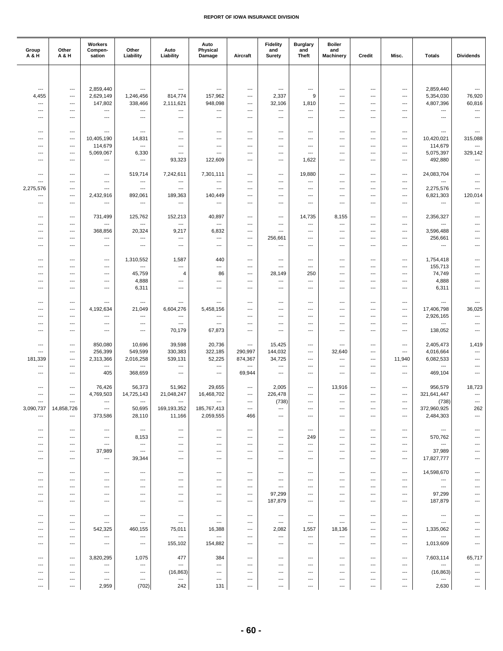| Group<br>A & H           | Other<br>A & H                    | Workers<br>Compen-<br>sation | Other<br>Liability                    | Auto<br>Liability                                    | Auto<br>Physical<br>Damage          | Aircraft                                             | <b>Fidelity</b><br>and<br><b>Surety</b>              | <b>Burglary</b><br>and<br><b>Theft</b>               | <b>Boiler</b><br>and<br><b>Machinery</b> | Credit                                             | Misc.                 | <b>Totals</b>                         | <b>Dividends</b>                                     |
|--------------------------|-----------------------------------|------------------------------|---------------------------------------|------------------------------------------------------|-------------------------------------|------------------------------------------------------|------------------------------------------------------|------------------------------------------------------|------------------------------------------|----------------------------------------------------|-----------------------|---------------------------------------|------------------------------------------------------|
|                          |                                   |                              |                                       |                                                      |                                     |                                                      |                                                      |                                                      |                                          |                                                    |                       |                                       |                                                      |
|                          |                                   |                              |                                       |                                                      |                                     |                                                      |                                                      |                                                      |                                          |                                                    |                       |                                       |                                                      |
| ---<br>4,455             | ---<br>---                        | 2,859,440<br>2,629,149       | $\overline{a}$<br>1,246,456           | $\hspace{0.05cm} \ldots$<br>814,774                  | $\overline{a}$<br>157,962           | $\overline{a}$<br>$\overline{a}$                     | $\overline{a}$<br>2,337                              | $\overline{\phantom{a}}$<br>9                        | ---<br>---                               | $---$<br>$\overline{\phantom{a}}$                  | ---<br>$\overline{a}$ | 2,859,440<br>5,354,030                | ---<br>76,920                                        |
| ---                      | ---                               | 147,802                      | 338,466                               | 2,111,621                                            | 948,098                             | ---                                                  | 32,106                                               | 1,810                                                | ---                                      | $---$                                              | ---                   | 4,807,396                             | 60,816                                               |
| ---<br>---               | ---<br>---                        | ---<br>---                   | ---<br>$---$                          | ---<br>$---$                                         | ---<br>---                          | ---<br>---                                           | ---<br>---                                           | ---<br>$\overline{\phantom{a}}$                      | ---<br>---                               | ---<br>$---$                                       | ---<br>---            | ---<br>---                            | $\overline{\phantom{a}}$<br>$\hspace{0.05cm} \ldots$ |
|                          |                                   |                              |                                       |                                                      |                                     |                                                      |                                                      |                                                      |                                          |                                                    |                       |                                       |                                                      |
| ---                      | ---                               | ---                          | $\hspace{0.05cm} \ldots$              | $\hspace{0.05cm} \ldots$                             | ---                                 | ---                                                  | ---                                                  | $\hspace{0.05cm} \ldots$                             | ---                                      | ---                                                | ---                   | ---                                   | ---                                                  |
| ---<br>---               | ---<br>---                        | 10,405,190<br>114,679        | 14,831<br>$\overline{\phantom{a}}$    | ---<br>$\overline{\phantom{a}}$                      | ---<br>---                          | ---<br>---                                           | ---<br>---                                           | $\overline{\phantom{a}}$<br>$\overline{\phantom{a}}$ | ---<br>---                               | $\overline{\phantom{a}}$<br>$---$                  | ---<br>---            | 10,420,021<br>114,679                 | 315,088<br>$\overline{\phantom{a}}$                  |
| ---                      | ---                               | 5,069,067                    | 6,330                                 | $---$                                                | ---                                 | $\overline{a}$                                       | ---                                                  | ---                                                  | $\overline{a}$                           | $\overline{\phantom{a}}$                           | ---                   | 5,075,397                             | 329,142                                              |
| ---                      | ---                               | ---                          | $\hspace{0.05cm} \ldots$              | 93,323                                               | 122,609                             | ---                                                  | ---                                                  | 1,622                                                | ---                                      | $\overline{\phantom{a}}$                           | ---                   | 492,880                               | ---                                                  |
| ---                      | ---                               | ---                          | 519,714                               | 7,242,611                                            | 7,301,111                           | ---                                                  | ---                                                  | 19,880                                               | ---                                      | ---                                                | ---                   | 24,083,704                            | ---                                                  |
| ---                      | ---                               | ---                          | $\overline{\phantom{a}}$              | $\overline{\phantom{a}}$                             | $\overline{\phantom{a}}$            | $\overline{a}$                                       | $---$                                                | ---                                                  | ---                                      | $\overline{\phantom{a}}$                           | ---                   | ---                                   | ---                                                  |
| 2,275,576<br>---         | ---<br>---                        | ---<br>2,432,916             | $\hspace{0.05cm} \ldots$<br>892,061   | ---<br>189,363                                       | ---<br>140,449                      | ---<br>---                                           | ---<br>---                                           | $\overline{\phantom{a}}$<br>$\hspace{0.05cm} \ldots$ | ---<br>---                               | ---<br>$\overline{\phantom{a}}$                    | ---<br>---            | 2,275,576<br>6,821,303                | $\overline{\phantom{a}}$<br>120,014                  |
| ---                      | ---                               | ---                          | $\overline{a}$                        | $\hspace{0.05cm} \ldots$                             | $\overline{\phantom{a}}$            | ---                                                  | ---                                                  | $\overline{\phantom{a}}$                             | ---                                      | $---$                                              | ---                   | ---                                   | ---                                                  |
| ---                      | $\overline{\phantom{a}}$          | 731,499                      | 125,762                               | 152,213                                              | 40,897                              | ---                                                  | ---                                                  | 14,735                                               | 8,155                                    | ---                                                | ---                   | 2,356,327                             | ---                                                  |
| ---                      | ---                               | ---                          | $\hspace{0.05cm} \ldots$              | ---                                                  | ---                                 | ---                                                  | ---                                                  | ---                                                  | ---                                      | ---                                                | ---                   | ---                                   | $\overline{a}$                                       |
| ---                      | ---                               | 368,856                      | 20,324                                | 9,217                                                | 6,832                               | ---                                                  | ---                                                  | ---                                                  | ---                                      | ---                                                | ---                   | 3,596,488                             | ---                                                  |
| ---<br>---               | ---<br>---                        | ---<br>$\cdots$              | $\overline{\phantom{a}}$<br>$---$     | $\overline{\phantom{a}}$<br>$---$                    | ---<br>---                          | ---<br>$\overline{\phantom{a}}$                      | 256,661<br>$\overline{\phantom{a}}$                  | ---<br>$\overline{\phantom{a}}$                      | ---<br>---                               | ---<br>$---$                                       | ---<br>---            | 256,661<br>---                        | ---<br>---                                           |
|                          |                                   |                              |                                       |                                                      |                                     |                                                      |                                                      |                                                      |                                          |                                                    |                       |                                       |                                                      |
| ---<br>---               | ---<br>$---$                      | ---<br>$---$                 | 1,310,552<br>$\hspace{0.05cm} \ldots$ | 1,587<br>---                                         | 440<br>---                          | ---<br>$\overline{a}$                                | ---<br>$\overline{a}$                                | ---<br>$\overline{\phantom{a}}$                      | ---<br>---                               | ---<br>$---$                                       | ---<br>---            | 1,754,418<br>155,713                  | $\overline{\phantom{a}}$<br>---                      |
| ---                      | ---                               | $---$                        | 45,759                                | $\overline{4}$                                       | 86                                  | $\overline{a}$                                       | 28,149                                               | 250                                                  | ---                                      | $\overline{\phantom{a}}$                           | ---                   | 74,749                                | $\overline{\phantom{a}}$                             |
| ---                      | ---                               | ---                          | 4,888                                 | ---                                                  | ---                                 | ---                                                  | ---                                                  | ---                                                  | ---                                      | $---$                                              | ---                   | 4,888                                 | ---                                                  |
| ---                      | $\overline{\phantom{a}}$          | ---                          | 6,311                                 | ---                                                  | ---                                 | ---                                                  | ---                                                  | ---                                                  | ---                                      | ---                                                | ---                   | 6,311                                 | ---                                                  |
| $\overline{\phantom{a}}$ | $---$                             | $\overline{a}$               | $---$                                 | $---$                                                | $\overline{a}$                      | ---                                                  | $---$                                                | ---                                                  | ---                                      | ---                                                | ---                   | ---                                   | ---                                                  |
| ---                      | ---                               | 4,192,634                    | 21,049                                | 6,604,276                                            | 5,458,156                           | ---                                                  | ---                                                  | ---<br>$\overline{\phantom{a}}$                      | ---                                      | ---<br>$\overline{\phantom{a}}$                    | ---                   | 17,406,798<br>2,926,165               | 36,025<br>$\hspace{0.05cm} \ldots$                   |
| ---<br>---               | ---<br>---                        | ---<br>---                   | $\hspace{0.05cm} \ldots$<br>$---$     | ---<br>$---$                                         | ---<br>---                          | ---<br>---                                           | ---<br>---                                           | $---$                                                | ---<br>---                               | $---$                                              | ---<br>---            | ---                                   | $\overline{\phantom{a}}$                             |
| ---                      | ---                               | ---                          | ---                                   | 70,179                                               | 67,873                              | $\overline{a}$                                       | $\overline{a}$                                       | $\overline{\phantom{a}}$                             | ---                                      | $\overline{\phantom{a}}$                           | ---                   | 138,052                               | $\overline{\phantom{a}}$                             |
| ---                      | $\overline{\phantom{a}}$          | 850,080                      | 10,696                                | 39,598                                               | 20,736                              | ---                                                  | 15,425                                               | ---                                                  | ---                                      | ---                                                | ---                   | 2,405,473                             | 1,419                                                |
| ---                      | ---                               | 256,399                      | 549,599                               | 330,383                                              | 322,185                             | 290,997                                              | 144,032                                              | ---                                                  | 32,640                                   | ---                                                | ---                   | 4,016,664                             | $\overline{\phantom{a}}$                             |
| 181,339                  | ---                               | 2,313,366                    | 2,016,258                             | 539,131                                              | 52,225<br>$\overline{\phantom{a}}$  | 874,367                                              | 34,725                                               | $\overline{\phantom{a}}$                             | $\overline{\phantom{a}}$                 | $\overline{\phantom{a}}$                           | 11,940                | 6,082,533                             | ---<br>$\overline{\phantom{a}}$                      |
| ---<br>---               | ---<br>---                        | ---<br>405                   | ---<br>368,659                        | $\hspace{0.05cm} \ldots$<br>$\hspace{0.05cm} \ldots$ | ---                                 | ---<br>69,944                                        | ---<br>---                                           | ---<br>---                                           | ---<br>---                               | ---<br>---                                         | ---<br>---            | ---<br>469,104                        | ---                                                  |
|                          |                                   |                              |                                       |                                                      |                                     |                                                      |                                                      |                                                      |                                          |                                                    |                       |                                       |                                                      |
| ---<br>---               | $---$<br>$\overline{\phantom{a}}$ | 76,426<br>4,769,503          | 56,373<br>14,725,143                  | 51,962<br>21,048,247                                 | 29,655<br>16,468,702                | $\overline{\phantom{a}}$<br>$\hspace{0.05cm} \ldots$ | 2,005<br>226,478                                     | $\overline{\phantom{a}}$<br>---                      | 13,916<br>---                            | ---<br>---                                         | ---<br>---            | 956,579<br>321,641,447                | 18,723<br>$\overline{\phantom{a}}$                   |
| ---                      | ---                               | ---                          | $\overline{a}$                        | $\hspace{0.05cm} \ldots$                             | ---                                 | $\hspace{0.05cm} \ldots$                             | (738)                                                | $\overline{\phantom{a}}$                             | ---                                      | $\overline{\phantom{a}}$                           | ---                   | (738)                                 | $\cdots$                                             |
| 3,090,737                | 14,858,726                        | ---                          | 50,695                                | 169,193,352                                          | 185,767,413<br>2,059,555            | ---                                                  | ---                                                  | ---                                                  | ---                                      | ---                                                | ---                   | 372,960,925                           | 262                                                  |
| ---                      | ---                               | 373,586                      | 28,110                                | 11,166                                               |                                     | 466                                                  | ---                                                  | $---$                                                | ---                                      | $---$                                              | ---                   | 2,484,303                             | $\hspace{0.05cm} \ldots$                             |
| ---                      | ---                               | ---                          | $\hspace{0.05cm} \ldots$              | $\hspace{0.05cm} \ldots$                             | $\hspace{0.05cm} \ldots$            | $\hspace{0.05cm} \ldots$                             | ---                                                  | $\hspace{0.05cm} \ldots$                             | ---                                      | $\hspace{0.05cm} \ldots$                           | $\cdots$              | $\hspace{0.05cm} \ldots$              | $\cdots$                                             |
| ---<br>---               | ---<br>$---$                      | ---<br>$---$                 | 8,153<br>$\hspace{0.05cm} \ldots$     | ---<br>$---$                                         | ---<br>---                          | ---<br>---                                           | ---<br>---                                           | 249<br>$\overline{\phantom{a}}$                      | ---<br>---                               | ---<br>$---$                                       | ---<br>$---$          | 570,762<br>$\hspace{0.05cm} \ldots$   | ---<br>---                                           |
| ---                      | $\cdots$                          | 37,989                       | $---$                                 | $---$                                                | $---$                               | ---                                                  | $---$                                                | $\overline{\phantom{a}}$                             | ---                                      | $---$                                              | ---                   | 37,989                                | ---                                                  |
| ---                      | ---                               | ---                          | 39,344                                | $\overline{\phantom{a}}$                             | ---                                 | $\overline{\phantom{a}}$                             | ---                                                  | ---                                                  | ---                                      | ---                                                | ---                   | 17,827,777                            | ---                                                  |
| ---                      | ---                               | $---$                        | $---$                                 | $\hspace{0.05cm} \ldots$                             | $\qquad \qquad \cdots$              | $---$                                                | $\hspace{0.05cm} \ldots$                             | $\overline{\phantom{a}}$                             | $---$                                    | $\hspace{0.05cm} \ldots$                           | $---$                 | 14,598,670                            | ---                                                  |
| ---                      | $\cdots$                          | $\hspace{0.05cm} \ldots$     | $\hspace{0.05cm} \ldots$              | $\hspace{0.05cm} \ldots$                             | $\hspace{0.05cm} \ldots$            | ---                                                  | $---$                                                | $---$                                                | $---$                                    | $---$                                              | ---                   | $---$                                 | ---                                                  |
| ---<br>---               | ---<br>---                        | ---<br>---                   | $\hspace{0.05cm} \ldots$<br>---       | $\hspace{0.05cm} \ldots$<br>---                      | $\hspace{0.05cm} \ldots$<br>---     | ---<br>---                                           | $\hspace{0.05cm} \ldots$<br>97,299                   | $\hspace{0.05cm} \ldots$<br>---                      | ---<br>---                               | $\hspace{0.05cm} \ldots$<br>---                    | ---<br>---            | $\hspace{0.05cm} \ldots$<br>97,299    | ---<br>---                                           |
| ---                      | ---                               | $---$                        | $---$                                 | $---$                                                | ---                                 | $\hspace{0.05cm} \ldots$                             | 187,879                                              | $---$                                                | ---                                      | $---$                                              | $---$                 | 187,879                               | ---                                                  |
|                          |                                   | ---                          | $\hspace{0.05cm} \ldots$              | $\hspace{0.05cm} \ldots$                             | $\hspace{0.05cm} \ldots$            | $\overline{\phantom{a}}$                             | $\hspace{0.05cm} \ldots$                             | $\hspace{0.05cm} \ldots$                             | ---                                      | $---$                                              | ---                   | $\hspace{0.05cm} \ldots$              | ---                                                  |
| ---<br>---               | ---<br>---                        | ---                          | $\hspace{0.05cm} \ldots$              | $\hspace{0.05cm} \ldots$                             | $\hspace{0.05cm} \ldots$            | ---                                                  | $\hspace{0.05cm} \ldots$                             | $\hspace{0.05cm} \ldots$                             | $\cdots$                                 | $\qquad \qquad \cdots$                             | ---                   | $\hspace{0.05cm} \ldots$              | ---                                                  |
| ---                      | ---                               | 542,325                      | 460,155                               | 75,011                                               | 16,388                              | $\overline{\phantom{a}}$                             | 2,082                                                | 1,557                                                | 18,136                                   | $\overline{\phantom{a}}$                           | $---$                 | 1,335,062                             | $---$                                                |
| ---<br>---               | ---<br>---                        | $---$<br>---                 | $---$<br>$\hspace{0.05cm} \ldots$     | $---$<br>155,102                                     | $\overline{\phantom{a}}$<br>154,882 | $\overline{a}$<br>$\hspace{0.05cm} \ldots$           | $\overline{\phantom{a}}$<br>$\hspace{0.05cm} \ldots$ | $\hspace{0.05cm} \ldots$<br>$\hspace{0.05cm} \ldots$ | $\overline{\phantom{a}}$<br>$\cdots$     | $\overline{\phantom{a}}$<br>$\qquad \qquad \cdots$ | ---<br>---            | $---$<br>1,013,609                    | ---<br>$\cdots$                                      |
|                          |                                   |                              |                                       |                                                      |                                     |                                                      |                                                      |                                                      |                                          |                                                    |                       |                                       |                                                      |
| ---                      | ---                               | 3,820,295                    | 1,075                                 | 477                                                  | 384                                 | $---$                                                | $\hspace{0.05cm} \ldots$                             | $---$                                                | $---$                                    | $---$                                              | $---$                 | 7,603,114                             | 65,717                                               |
| ---<br>---               | $---$<br>---                      | $---$<br>---                 | $---$<br>$\hspace{0.05cm} \ldots$     | $\hspace{0.05cm} \ldots$<br>(16, 863)                | ---<br>$\hspace{0.05cm} \ldots$     | $---$<br>$\overline{\phantom{a}}$                    | $\overline{\phantom{a}}$<br>---                      | $---$<br>---                                         | $---$<br>---                             | $---$<br>---                                       | $---$<br>---          | $\overline{\phantom{a}}$<br>(16, 863) | ---<br>---                                           |
| ---                      | $\overline{\phantom{a}}$          | ---                          | ---                                   | $\hspace{0.05cm} \ldots$                             | ---                                 | ---                                                  | ---                                                  | $\overline{\phantom{a}}$                             | ---                                      | $---$                                              | ---                   | $\hspace{0.05cm} \ldots$              | ---                                                  |
| ---                      | ---                               | 2,959                        | (702)                                 | 242                                                  | 131                                 | ---                                                  | ---                                                  | $\hspace{0.05cm} \ldots$                             | ---                                      | $\hspace{0.05cm} \ldots$                           | ---                   | 2,630                                 | ---                                                  |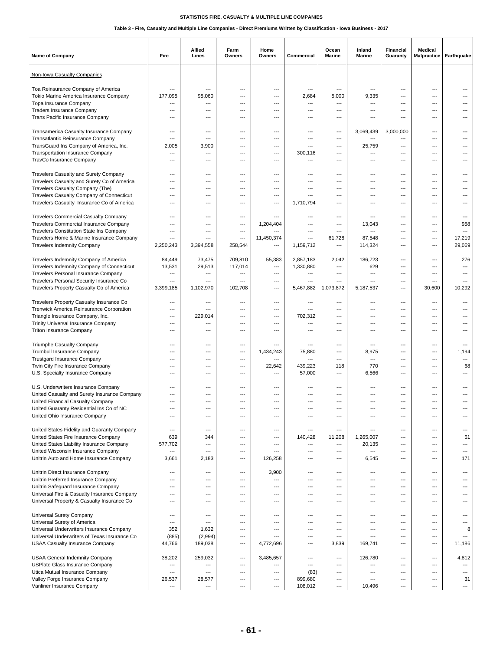| Non-Iowa Casualty Companies<br>Toa Reinsurance Company of America<br>$\hspace{0.05cm} \ldots$<br>---<br>---<br>---<br>---<br>---<br>---<br>---<br>---<br>---<br>Tokio Marine America Insurance Company<br>177,095<br>95,060<br>2,684<br>5,000<br>9,335<br>---<br>$---$<br>---<br>---<br>$\overline{a}$<br>Topa Insurance Company<br>$\overline{a}$<br>---<br>---<br>---<br>$---$<br>---<br>---<br>---<br>$---$<br>$---$<br><b>Traders Insurance Company</b><br>$\overline{\phantom{a}}$<br>$---$<br>$---$<br>---<br>---<br>$\overline{a}$<br>---<br>---<br>$---$<br>$---$<br>Trans Pacific Insurance Company<br>---<br>---<br>---<br>---<br>$\overline{a}$<br>---<br>---<br>---<br>---<br>---<br>Transamerica Casualty Insurance Company<br>3,069,439<br>3,000,000<br>---<br>$---$<br>---<br>$---$<br>---<br>---<br>$---$<br>$---$<br>Transatlantic Reinsurance Company<br>$\overline{a}$<br>$\overline{\phantom{a}}$<br>$---$<br>---<br>$---$<br>---<br>---<br>---<br>---<br>$---$<br>TransGuard Ins Company of America, Inc.<br>3,900<br>25,759<br>2,005<br>---<br>$\overline{\phantom{a}}$<br>$\overline{a}$<br>$\overline{a}$<br>---<br>$---$<br>---<br><b>Transportation Insurance Company</b><br>300,116<br>---<br>---<br>$\overline{\phantom{a}}$<br>---<br>---<br>---<br>$\overline{a}$<br>$\overline{a}$<br>---<br>TravCo Insurance Company<br>$\overline{\phantom{a}}$<br>$---$<br>---<br>$---$<br>---<br>$---$<br>---<br>---<br>$---$<br>---<br>Travelers Casualty and Surety Company<br>$\overline{\phantom{a}}$<br>---<br>---<br>---<br>$\overline{a}$<br>---<br>---<br>---<br>$\overline{\phantom{a}}$<br>$\overline{a}$<br>Travelers Casualty and Surety Co of America<br>---<br>---<br>---<br>---<br>---<br>---<br>Travelers Casualty Company (The)<br>---<br>---<br>---<br>$---$<br>---<br>$---$<br>---<br>---<br>$---$<br>---<br>Travelers Casualty Company of Connecticut<br>---<br>---<br>$---$<br>---<br>$\hspace{0.05cm} \ldots$<br>$---$<br>---<br>---<br>$---$<br>---<br>Travelers Casualty Insurance Co of America<br>1,710,794<br>---<br>---<br>---<br>$---$<br>---<br>---<br>---<br>---<br>---<br>Travelers Commercial Casualty Company<br>$---$<br>$---$<br>---<br>$---$<br>---<br>---<br>---<br>---<br>$---$<br>$---$<br>Travelers Commercial Insurance Company<br>13,043<br>958<br>1,204,404<br>---<br>---<br>$---$<br>$---$<br>$\overline{\phantom{a}}$<br>$---$<br>$\overline{a}$<br>Travelers Constitution State Ins Company<br>---<br>$\overline{\phantom{a}}$<br>$\overline{a}$<br>---<br>---<br>---<br>---<br>---<br>$---$<br>$\overline{a}$<br>61,728<br>87,548<br>17,219<br>Travelers Home & Marine Insurance Company<br>11,450,374<br>---<br>---<br>---<br>---<br>---<br>---<br>2,250,243<br>29,069<br><b>Travelers Indemnity Company</b><br>3,394,558<br>258,544<br>1,159,712<br>114,324<br>---<br>---<br>---<br>---<br>Travelers Indemnity Company of America<br>84,449<br>73,475<br>709,810<br>55,383<br>2,857,183<br>2,042<br>186,723<br>276<br>---<br>$---$<br>Travelers Indemnity Company of Connecticut<br>13,531<br>29,513<br>117,014<br>1,330,880<br>629<br>$\overline{\phantom{a}}$<br>$\overline{\phantom{a}}$<br>$\overline{\phantom{a}}$<br>---<br>---<br>Travelers Personal Insurance Company<br>---<br>---<br>---<br>$\overline{\phantom{a}}$<br>---<br>$\overline{\phantom{a}}$<br>---<br>$\overline{a}$<br>$\overline{a}$<br>---<br>Travelers Personal Security Insurance Co<br>$\overline{\phantom{a}}$<br>$---$<br>---<br>$---$<br>---<br>$---$<br>---<br>---<br>$---$<br>$---$<br>Travelers Property Casualty Co of America<br>3,399,185<br>1,102,970<br>102,708<br>10,292<br>5,467,882<br>1,073,872<br>5,187,537<br>30,600<br>$---$<br>---<br>Travelers Property Casualty Insurance Co<br>$\overline{\phantom{a}}$<br>---<br>---<br>---<br>---<br>---<br>---<br>---<br>---<br>Trenwick America Reinsurance Corporation<br>---<br>$---$<br>---<br>$\overline{a}$<br>$---$<br>---<br>---<br>---<br>$---$<br>---<br>Triangle Insurance Company, Inc.<br>229,014<br>702,312<br>---<br>---<br>$---$<br>---<br>---<br>---<br>$---$<br>$---$<br>Trinity Universal Insurance Company<br>---<br>---<br>---<br>$---$<br>---<br>---<br>---<br>---<br>---<br>---<br>Triton Insurance Company<br>---<br>---<br>---<br>---<br>---<br>$\overline{\phantom{a}}$<br>---<br>---<br>---<br>---<br>Triumphe Casualty Company<br>$---$<br>---<br>$---$<br>$---$<br>---<br>$\overline{\phantom{a}}$<br>---<br>---<br>$\overline{a}$<br>$---$<br><b>Trumbull Insurance Company</b><br>1,434,243<br>75,880<br>8,975<br>1,194<br>---<br>---<br>---<br>---<br>---<br>---<br><b>Trustgard Insurance Company</b><br>---<br>---<br>---<br>---<br>---<br>---<br>---<br>---<br>---<br>---<br>Twin City Fire Insurance Company<br>22,642<br>439,223<br>770<br>68<br>118<br>$---$<br>$---$<br>---<br>---<br>$---$<br>U.S. Specialty Insurance Company<br>57,000<br>6,566<br>$---$<br>---<br>---<br>---<br>$---$<br>---<br>---<br>$\overline{a}$<br>U.S. Underwriters Insurance Company<br>---<br>---<br>$---$<br>---<br>---<br>---<br>---<br>United Casualty and Surety Insurance Company<br>$---$<br>$---$<br>---<br>$---$<br>---<br>$\overline{\phantom{a}}$<br>---<br>---<br>$---$<br>---<br>United Financial Casualty Company<br>$---$<br>$---$<br>---<br>---<br>---<br>---<br>---<br>---<br>$\overline{\phantom{a}}$<br>$---$<br>United Guaranty Residential Ins Co of NC<br>---<br>---<br>---<br>$---$<br>---<br>---<br>---<br>---<br>$---$<br>United Ohio Insurance Company<br>---<br>---<br>$\overline{\phantom{a}}$<br>---<br>---<br>---<br>$\overline{a}$<br>$\overline{\phantom{a}}$<br>---<br>---<br>United States Fidelity and Guaranty Company<br>---<br>$---$<br>---<br>$---$<br>---<br>$\qquad \qquad -$<br>$---$<br>---<br>---<br>$\hspace{0.05cm} \ldots$<br>United States Fire Insurance Company<br>639<br>344<br>140,428<br>11,208<br>1,265,007<br>61<br>---<br>$---$<br>---<br>$\cdots$<br>United States Liability Insurance Company<br>577,702<br>20,135<br>$\overline{\phantom{a}}$<br>---<br>$\hspace{1.5cm} \ldots$<br>---<br>$\qquad \qquad \cdots$<br>---<br>$\qquad \qquad \cdots$<br>---<br>United Wisconsin Insurance Company<br>---<br>---<br>$\overline{\phantom{a}}$<br>---<br>$\overline{\phantom{a}}$<br>---<br>$\overline{a}$<br>$\cdots$<br>---<br>---<br>Unitrin Auto and Home Insurance Company<br>3,661<br>2,183<br>126,258<br>6,545<br>171<br>---<br>---<br>---<br>---<br>---<br>3,900<br>Unitrin Direct Insurance Company<br>---<br>---<br>---<br>---<br>---<br>---<br>---<br>---<br>---<br>Unitrin Preferred Insurance Company<br>$\overline{\phantom{a}}$<br>$\overline{a}$<br>$\overline{\phantom{a}}$<br>---<br>---<br>---<br>---<br>---<br>---<br>---<br>Unitrin Safeguard Insurance Company<br>---<br>---<br>---<br>$---$<br>---<br>$---$<br>---<br>---<br>$---$<br>---<br>Universal Fire & Casualty Insurance Company<br>$\overline{\phantom{a}}$<br>$\overline{\phantom{a}}$<br>$\overline{\phantom{a}}$<br>---<br>$\overline{\phantom{a}}$<br>---<br>$\qquad \qquad -$<br>---<br>---<br>---<br>Universal Property & Casualty Insurance Co<br>$\overline{a}$<br>$\overline{\phantom{a}}$<br>$\overline{\phantom{a}}$<br>---<br>$\overline{\phantom{a}}$<br>---<br>---<br>---<br>---<br>---<br>Universal Surety Company<br>---<br>---<br>---<br>$---$<br>---<br>$---$<br>$---$<br>---<br>$---$<br>---<br>Universal Surety of America<br>$\overline{\phantom{a}}$<br>$\overline{\phantom{a}}$<br>---<br>$---$<br>---<br>---<br>$\overline{a}$<br>---<br>---<br>---<br>Universal Underwriters Insurance Company<br>352<br>1,632<br>8<br>---<br>$\overline{\phantom{a}}$<br>---<br>$\overline{a}$<br>$\overline{a}$<br>---<br>---<br>(885)<br>(2,994)<br>Universal Underwriters of Texas Insurance Co<br>$\overline{\phantom{a}}$<br>$\overline{a}$<br>$\overline{\phantom{a}}$<br>---<br>---<br>$---$<br>---<br>---<br><b>USAA Casualty Insurance Company</b><br>44,766<br>189,038<br>3,839<br>169,741<br>11,186<br>4,772,696<br>---<br>---<br>---<br>---<br><b>USAA General Indemnity Company</b><br>38,202<br>259,032<br>3,485,657<br>126,780<br>4,812<br>---<br>---<br>$\overline{\phantom{a}}$<br>---<br>$\overline{a}$<br><b>USPlate Glass Insurance Company</b><br>---<br>---<br>---<br>$\qquad \qquad \cdots$<br>---<br>$\overline{\phantom{a}}$<br>---<br>---<br>$\overline{a}$<br>---<br>Utica Mutual Insurance Company<br>(83)<br>$\overline{\phantom{a}}$<br>$\overline{\phantom{a}}$<br>$\hspace{0.05cm} \ldots$<br>---<br>$---$<br>$\qquad \qquad -$<br>---<br>---<br>---<br>Valley Forge Insurance Company<br>26,537<br>28,577<br>899,680<br>31<br>$---$<br>---<br>$\overline{a}$<br>---<br>---<br>$---$<br>Vanliner Insurance Company<br>108,012<br>10,496<br>---<br>---<br>---<br>$\hspace{0.05cm} \ldots$<br>---<br>$\hspace{0.05cm} \ldots$<br>---<br>--- | Name of Company | Fire | Allied<br>Lines | Farm<br>Owners | Home<br>Owners | Commercial | Ocean<br>Marine | Inland<br>Marine | Financial<br>Guaranty | <b>Medical</b><br><b>Malpractice</b> | Earthquake |
|-------------------------------------------------------------------------------------------------------------------------------------------------------------------------------------------------------------------------------------------------------------------------------------------------------------------------------------------------------------------------------------------------------------------------------------------------------------------------------------------------------------------------------------------------------------------------------------------------------------------------------------------------------------------------------------------------------------------------------------------------------------------------------------------------------------------------------------------------------------------------------------------------------------------------------------------------------------------------------------------------------------------------------------------------------------------------------------------------------------------------------------------------------------------------------------------------------------------------------------------------------------------------------------------------------------------------------------------------------------------------------------------------------------------------------------------------------------------------------------------------------------------------------------------------------------------------------------------------------------------------------------------------------------------------------------------------------------------------------------------------------------------------------------------------------------------------------------------------------------------------------------------------------------------------------------------------------------------------------------------------------------------------------------------------------------------------------------------------------------------------------------------------------------------------------------------------------------------------------------------------------------------------------------------------------------------------------------------------------------------------------------------------------------------------------------------------------------------------------------------------------------------------------------------------------------------------------------------------------------------------------------------------------------------------------------------------------------------------------------------------------------------------------------------------------------------------------------------------------------------------------------------------------------------------------------------------------------------------------------------------------------------------------------------------------------------------------------------------------------------------------------------------------------------------------------------------------------------------------------------------------------------------------------------------------------------------------------------------------------------------------------------------------------------------------------------------------------------------------------------------------------------------------------------------------------------------------------------------------------------------------------------------------------------------------------------------------------------------------------------------------------------------------------------------------------------------------------------------------------------------------------------------------------------------------------------------------------------------------------------------------------------------------------------------------------------------------------------------------------------------------------------------------------------------------------------------------------------------------------------------------------------------------------------------------------------------------------------------------------------------------------------------------------------------------------------------------------------------------------------------------------------------------------------------------------------------------------------------------------------------------------------------------------------------------------------------------------------------------------------------------------------------------------------------------------------------------------------------------------------------------------------------------------------------------------------------------------------------------------------------------------------------------------------------------------------------------------------------------------------------------------------------------------------------------------------------------------------------------------------------------------------------------------------------------------------------------------------------------------------------------------------------------------------------------------------------------------------------------------------------------------------------------------------------------------------------------------------------------------------------------------------------------------------------------------------------------------------------------------------------------------------------------------------------------------------------------------------------------------------------------------------------------------------------------------------------------------------------------------------------------------------------------------------------------------------------------------------------------------------------------------------------------------------------------------------------------------------------------------------------------------------------------------------------------------------------------------------------------------------------------------------------------------------------------------------------------------------------------------------------------------------------------------------------------------------------------------------------------------------------------------------------------------------------------------------------------------------------------------------------------------------------------------------------------------------------------------------------------------------------------------------------------------------------------------------------------------------------------------------------------------------------------------------------------------------------------------------------------------------------------------------------------------------------------------------------------------------------------------------------------------------------------------------------------------------------------------------------------------------------------------------------------------------------------------------------------------------------------------------------------------------------------------------------------------------------------------------------------------------------------------------------------------------------------------------------------------------------------------------------------------------------------------------------------------------------------------------------------------------------------------------------------------------------------------------------------------------------------------------------------------------------------------------------------------------------------------------------------------------------------------------------------------------------------------------------------------------------------------------------------------------------------------------------------------------------------------------------------------------------------------------------------------------------------------------------------------------------------------------------------------------------------------------------------------------------------------------------------------------------------------------------------------------------------------------------------------------------------------------------------------------------------------------------------------------------------------------------------|-----------------|------|-----------------|----------------|----------------|------------|-----------------|------------------|-----------------------|--------------------------------------|------------|
|                                                                                                                                                                                                                                                                                                                                                                                                                                                                                                                                                                                                                                                                                                                                                                                                                                                                                                                                                                                                                                                                                                                                                                                                                                                                                                                                                                                                                                                                                                                                                                                                                                                                                                                                                                                                                                                                                                                                                                                                                                                                                                                                                                                                                                                                                                                                                                                                                                                                                                                                                                                                                                                                                                                                                                                                                                                                                                                                                                                                                                                                                                                                                                                                                                                                                                                                                                                                                                                                                                                                                                                                                                                                                                                                                                                                                                                                                                                                                                                                                                                                                                                                                                                                                                                                                                                                                                                                                                                                                                                                                                                                                                                                                                                                                                                                                                                                                                                                                                                                                                                                                                                                                                                                                                                                                                                                                                                                                                                                                                                                                                                                                                                                                                                                                                                                                                                                                                                                                                                                                                                                                                                                                                                                                                                                                                                                                                                                                                                                                                                                                                                                                                                                                                                                                                                                                                                                                                                                                                                                                                                                                                                                                                                                                                                                                                                                                                                                                                                                                                                                                                                                                                                                                                                                                                                                                                                                                                                                                                                                                                                                                                                                                                                                                                                                                                                                                                                                                                                                                                                                                                                                                                                                                                                                                                                                                                                       |                 |      |                 |                |                |            |                 |                  |                       |                                      |            |
|                                                                                                                                                                                                                                                                                                                                                                                                                                                                                                                                                                                                                                                                                                                                                                                                                                                                                                                                                                                                                                                                                                                                                                                                                                                                                                                                                                                                                                                                                                                                                                                                                                                                                                                                                                                                                                                                                                                                                                                                                                                                                                                                                                                                                                                                                                                                                                                                                                                                                                                                                                                                                                                                                                                                                                                                                                                                                                                                                                                                                                                                                                                                                                                                                                                                                                                                                                                                                                                                                                                                                                                                                                                                                                                                                                                                                                                                                                                                                                                                                                                                                                                                                                                                                                                                                                                                                                                                                                                                                                                                                                                                                                                                                                                                                                                                                                                                                                                                                                                                                                                                                                                                                                                                                                                                                                                                                                                                                                                                                                                                                                                                                                                                                                                                                                                                                                                                                                                                                                                                                                                                                                                                                                                                                                                                                                                                                                                                                                                                                                                                                                                                                                                                                                                                                                                                                                                                                                                                                                                                                                                                                                                                                                                                                                                                                                                                                                                                                                                                                                                                                                                                                                                                                                                                                                                                                                                                                                                                                                                                                                                                                                                                                                                                                                                                                                                                                                                                                                                                                                                                                                                                                                                                                                                                                                                                                                                       |                 |      |                 |                |                |            |                 |                  |                       |                                      |            |
|                                                                                                                                                                                                                                                                                                                                                                                                                                                                                                                                                                                                                                                                                                                                                                                                                                                                                                                                                                                                                                                                                                                                                                                                                                                                                                                                                                                                                                                                                                                                                                                                                                                                                                                                                                                                                                                                                                                                                                                                                                                                                                                                                                                                                                                                                                                                                                                                                                                                                                                                                                                                                                                                                                                                                                                                                                                                                                                                                                                                                                                                                                                                                                                                                                                                                                                                                                                                                                                                                                                                                                                                                                                                                                                                                                                                                                                                                                                                                                                                                                                                                                                                                                                                                                                                                                                                                                                                                                                                                                                                                                                                                                                                                                                                                                                                                                                                                                                                                                                                                                                                                                                                                                                                                                                                                                                                                                                                                                                                                                                                                                                                                                                                                                                                                                                                                                                                                                                                                                                                                                                                                                                                                                                                                                                                                                                                                                                                                                                                                                                                                                                                                                                                                                                                                                                                                                                                                                                                                                                                                                                                                                                                                                                                                                                                                                                                                                                                                                                                                                                                                                                                                                                                                                                                                                                                                                                                                                                                                                                                                                                                                                                                                                                                                                                                                                                                                                                                                                                                                                                                                                                                                                                                                                                                                                                                                                                       |                 |      |                 |                |                |            |                 |                  |                       |                                      |            |
|                                                                                                                                                                                                                                                                                                                                                                                                                                                                                                                                                                                                                                                                                                                                                                                                                                                                                                                                                                                                                                                                                                                                                                                                                                                                                                                                                                                                                                                                                                                                                                                                                                                                                                                                                                                                                                                                                                                                                                                                                                                                                                                                                                                                                                                                                                                                                                                                                                                                                                                                                                                                                                                                                                                                                                                                                                                                                                                                                                                                                                                                                                                                                                                                                                                                                                                                                                                                                                                                                                                                                                                                                                                                                                                                                                                                                                                                                                                                                                                                                                                                                                                                                                                                                                                                                                                                                                                                                                                                                                                                                                                                                                                                                                                                                                                                                                                                                                                                                                                                                                                                                                                                                                                                                                                                                                                                                                                                                                                                                                                                                                                                                                                                                                                                                                                                                                                                                                                                                                                                                                                                                                                                                                                                                                                                                                                                                                                                                                                                                                                                                                                                                                                                                                                                                                                                                                                                                                                                                                                                                                                                                                                                                                                                                                                                                                                                                                                                                                                                                                                                                                                                                                                                                                                                                                                                                                                                                                                                                                                                                                                                                                                                                                                                                                                                                                                                                                                                                                                                                                                                                                                                                                                                                                                                                                                                                                                       |                 |      |                 |                |                |            |                 |                  |                       |                                      |            |
|                                                                                                                                                                                                                                                                                                                                                                                                                                                                                                                                                                                                                                                                                                                                                                                                                                                                                                                                                                                                                                                                                                                                                                                                                                                                                                                                                                                                                                                                                                                                                                                                                                                                                                                                                                                                                                                                                                                                                                                                                                                                                                                                                                                                                                                                                                                                                                                                                                                                                                                                                                                                                                                                                                                                                                                                                                                                                                                                                                                                                                                                                                                                                                                                                                                                                                                                                                                                                                                                                                                                                                                                                                                                                                                                                                                                                                                                                                                                                                                                                                                                                                                                                                                                                                                                                                                                                                                                                                                                                                                                                                                                                                                                                                                                                                                                                                                                                                                                                                                                                                                                                                                                                                                                                                                                                                                                                                                                                                                                                                                                                                                                                                                                                                                                                                                                                                                                                                                                                                                                                                                                                                                                                                                                                                                                                                                                                                                                                                                                                                                                                                                                                                                                                                                                                                                                                                                                                                                                                                                                                                                                                                                                                                                                                                                                                                                                                                                                                                                                                                                                                                                                                                                                                                                                                                                                                                                                                                                                                                                                                                                                                                                                                                                                                                                                                                                                                                                                                                                                                                                                                                                                                                                                                                                                                                                                                                                       |                 |      |                 |                |                |            |                 |                  |                       |                                      |            |
|                                                                                                                                                                                                                                                                                                                                                                                                                                                                                                                                                                                                                                                                                                                                                                                                                                                                                                                                                                                                                                                                                                                                                                                                                                                                                                                                                                                                                                                                                                                                                                                                                                                                                                                                                                                                                                                                                                                                                                                                                                                                                                                                                                                                                                                                                                                                                                                                                                                                                                                                                                                                                                                                                                                                                                                                                                                                                                                                                                                                                                                                                                                                                                                                                                                                                                                                                                                                                                                                                                                                                                                                                                                                                                                                                                                                                                                                                                                                                                                                                                                                                                                                                                                                                                                                                                                                                                                                                                                                                                                                                                                                                                                                                                                                                                                                                                                                                                                                                                                                                                                                                                                                                                                                                                                                                                                                                                                                                                                                                                                                                                                                                                                                                                                                                                                                                                                                                                                                                                                                                                                                                                                                                                                                                                                                                                                                                                                                                                                                                                                                                                                                                                                                                                                                                                                                                                                                                                                                                                                                                                                                                                                                                                                                                                                                                                                                                                                                                                                                                                                                                                                                                                                                                                                                                                                                                                                                                                                                                                                                                                                                                                                                                                                                                                                                                                                                                                                                                                                                                                                                                                                                                                                                                                                                                                                                                                                       |                 |      |                 |                |                |            |                 |                  |                       |                                      |            |
|                                                                                                                                                                                                                                                                                                                                                                                                                                                                                                                                                                                                                                                                                                                                                                                                                                                                                                                                                                                                                                                                                                                                                                                                                                                                                                                                                                                                                                                                                                                                                                                                                                                                                                                                                                                                                                                                                                                                                                                                                                                                                                                                                                                                                                                                                                                                                                                                                                                                                                                                                                                                                                                                                                                                                                                                                                                                                                                                                                                                                                                                                                                                                                                                                                                                                                                                                                                                                                                                                                                                                                                                                                                                                                                                                                                                                                                                                                                                                                                                                                                                                                                                                                                                                                                                                                                                                                                                                                                                                                                                                                                                                                                                                                                                                                                                                                                                                                                                                                                                                                                                                                                                                                                                                                                                                                                                                                                                                                                                                                                                                                                                                                                                                                                                                                                                                                                                                                                                                                                                                                                                                                                                                                                                                                                                                                                                                                                                                                                                                                                                                                                                                                                                                                                                                                                                                                                                                                                                                                                                                                                                                                                                                                                                                                                                                                                                                                                                                                                                                                                                                                                                                                                                                                                                                                                                                                                                                                                                                                                                                                                                                                                                                                                                                                                                                                                                                                                                                                                                                                                                                                                                                                                                                                                                                                                                                                                       |                 |      |                 |                |                |            |                 |                  |                       |                                      |            |
|                                                                                                                                                                                                                                                                                                                                                                                                                                                                                                                                                                                                                                                                                                                                                                                                                                                                                                                                                                                                                                                                                                                                                                                                                                                                                                                                                                                                                                                                                                                                                                                                                                                                                                                                                                                                                                                                                                                                                                                                                                                                                                                                                                                                                                                                                                                                                                                                                                                                                                                                                                                                                                                                                                                                                                                                                                                                                                                                                                                                                                                                                                                                                                                                                                                                                                                                                                                                                                                                                                                                                                                                                                                                                                                                                                                                                                                                                                                                                                                                                                                                                                                                                                                                                                                                                                                                                                                                                                                                                                                                                                                                                                                                                                                                                                                                                                                                                                                                                                                                                                                                                                                                                                                                                                                                                                                                                                                                                                                                                                                                                                                                                                                                                                                                                                                                                                                                                                                                                                                                                                                                                                                                                                                                                                                                                                                                                                                                                                                                                                                                                                                                                                                                                                                                                                                                                                                                                                                                                                                                                                                                                                                                                                                                                                                                                                                                                                                                                                                                                                                                                                                                                                                                                                                                                                                                                                                                                                                                                                                                                                                                                                                                                                                                                                                                                                                                                                                                                                                                                                                                                                                                                                                                                                                                                                                                                                                       |                 |      |                 |                |                |            |                 |                  |                       |                                      |            |
|                                                                                                                                                                                                                                                                                                                                                                                                                                                                                                                                                                                                                                                                                                                                                                                                                                                                                                                                                                                                                                                                                                                                                                                                                                                                                                                                                                                                                                                                                                                                                                                                                                                                                                                                                                                                                                                                                                                                                                                                                                                                                                                                                                                                                                                                                                                                                                                                                                                                                                                                                                                                                                                                                                                                                                                                                                                                                                                                                                                                                                                                                                                                                                                                                                                                                                                                                                                                                                                                                                                                                                                                                                                                                                                                                                                                                                                                                                                                                                                                                                                                                                                                                                                                                                                                                                                                                                                                                                                                                                                                                                                                                                                                                                                                                                                                                                                                                                                                                                                                                                                                                                                                                                                                                                                                                                                                                                                                                                                                                                                                                                                                                                                                                                                                                                                                                                                                                                                                                                                                                                                                                                                                                                                                                                                                                                                                                                                                                                                                                                                                                                                                                                                                                                                                                                                                                                                                                                                                                                                                                                                                                                                                                                                                                                                                                                                                                                                                                                                                                                                                                                                                                                                                                                                                                                                                                                                                                                                                                                                                                                                                                                                                                                                                                                                                                                                                                                                                                                                                                                                                                                                                                                                                                                                                                                                                                                                       |                 |      |                 |                |                |            |                 |                  |                       |                                      |            |
|                                                                                                                                                                                                                                                                                                                                                                                                                                                                                                                                                                                                                                                                                                                                                                                                                                                                                                                                                                                                                                                                                                                                                                                                                                                                                                                                                                                                                                                                                                                                                                                                                                                                                                                                                                                                                                                                                                                                                                                                                                                                                                                                                                                                                                                                                                                                                                                                                                                                                                                                                                                                                                                                                                                                                                                                                                                                                                                                                                                                                                                                                                                                                                                                                                                                                                                                                                                                                                                                                                                                                                                                                                                                                                                                                                                                                                                                                                                                                                                                                                                                                                                                                                                                                                                                                                                                                                                                                                                                                                                                                                                                                                                                                                                                                                                                                                                                                                                                                                                                                                                                                                                                                                                                                                                                                                                                                                                                                                                                                                                                                                                                                                                                                                                                                                                                                                                                                                                                                                                                                                                                                                                                                                                                                                                                                                                                                                                                                                                                                                                                                                                                                                                                                                                                                                                                                                                                                                                                                                                                                                                                                                                                                                                                                                                                                                                                                                                                                                                                                                                                                                                                                                                                                                                                                                                                                                                                                                                                                                                                                                                                                                                                                                                                                                                                                                                                                                                                                                                                                                                                                                                                                                                                                                                                                                                                                                                       |                 |      |                 |                |                |            |                 |                  |                       |                                      |            |
|                                                                                                                                                                                                                                                                                                                                                                                                                                                                                                                                                                                                                                                                                                                                                                                                                                                                                                                                                                                                                                                                                                                                                                                                                                                                                                                                                                                                                                                                                                                                                                                                                                                                                                                                                                                                                                                                                                                                                                                                                                                                                                                                                                                                                                                                                                                                                                                                                                                                                                                                                                                                                                                                                                                                                                                                                                                                                                                                                                                                                                                                                                                                                                                                                                                                                                                                                                                                                                                                                                                                                                                                                                                                                                                                                                                                                                                                                                                                                                                                                                                                                                                                                                                                                                                                                                                                                                                                                                                                                                                                                                                                                                                                                                                                                                                                                                                                                                                                                                                                                                                                                                                                                                                                                                                                                                                                                                                                                                                                                                                                                                                                                                                                                                                                                                                                                                                                                                                                                                                                                                                                                                                                                                                                                                                                                                                                                                                                                                                                                                                                                                                                                                                                                                                                                                                                                                                                                                                                                                                                                                                                                                                                                                                                                                                                                                                                                                                                                                                                                                                                                                                                                                                                                                                                                                                                                                                                                                                                                                                                                                                                                                                                                                                                                                                                                                                                                                                                                                                                                                                                                                                                                                                                                                                                                                                                                                                       |                 |      |                 |                |                |            |                 |                  |                       |                                      |            |
|                                                                                                                                                                                                                                                                                                                                                                                                                                                                                                                                                                                                                                                                                                                                                                                                                                                                                                                                                                                                                                                                                                                                                                                                                                                                                                                                                                                                                                                                                                                                                                                                                                                                                                                                                                                                                                                                                                                                                                                                                                                                                                                                                                                                                                                                                                                                                                                                                                                                                                                                                                                                                                                                                                                                                                                                                                                                                                                                                                                                                                                                                                                                                                                                                                                                                                                                                                                                                                                                                                                                                                                                                                                                                                                                                                                                                                                                                                                                                                                                                                                                                                                                                                                                                                                                                                                                                                                                                                                                                                                                                                                                                                                                                                                                                                                                                                                                                                                                                                                                                                                                                                                                                                                                                                                                                                                                                                                                                                                                                                                                                                                                                                                                                                                                                                                                                                                                                                                                                                                                                                                                                                                                                                                                                                                                                                                                                                                                                                                                                                                                                                                                                                                                                                                                                                                                                                                                                                                                                                                                                                                                                                                                                                                                                                                                                                                                                                                                                                                                                                                                                                                                                                                                                                                                                                                                                                                                                                                                                                                                                                                                                                                                                                                                                                                                                                                                                                                                                                                                                                                                                                                                                                                                                                                                                                                                                                                       |                 |      |                 |                |                |            |                 |                  |                       |                                      |            |
|                                                                                                                                                                                                                                                                                                                                                                                                                                                                                                                                                                                                                                                                                                                                                                                                                                                                                                                                                                                                                                                                                                                                                                                                                                                                                                                                                                                                                                                                                                                                                                                                                                                                                                                                                                                                                                                                                                                                                                                                                                                                                                                                                                                                                                                                                                                                                                                                                                                                                                                                                                                                                                                                                                                                                                                                                                                                                                                                                                                                                                                                                                                                                                                                                                                                                                                                                                                                                                                                                                                                                                                                                                                                                                                                                                                                                                                                                                                                                                                                                                                                                                                                                                                                                                                                                                                                                                                                                                                                                                                                                                                                                                                                                                                                                                                                                                                                                                                                                                                                                                                                                                                                                                                                                                                                                                                                                                                                                                                                                                                                                                                                                                                                                                                                                                                                                                                                                                                                                                                                                                                                                                                                                                                                                                                                                                                                                                                                                                                                                                                                                                                                                                                                                                                                                                                                                                                                                                                                                                                                                                                                                                                                                                                                                                                                                                                                                                                                                                                                                                                                                                                                                                                                                                                                                                                                                                                                                                                                                                                                                                                                                                                                                                                                                                                                                                                                                                                                                                                                                                                                                                                                                                                                                                                                                                                                                                                       |                 |      |                 |                |                |            |                 |                  |                       |                                      |            |
|                                                                                                                                                                                                                                                                                                                                                                                                                                                                                                                                                                                                                                                                                                                                                                                                                                                                                                                                                                                                                                                                                                                                                                                                                                                                                                                                                                                                                                                                                                                                                                                                                                                                                                                                                                                                                                                                                                                                                                                                                                                                                                                                                                                                                                                                                                                                                                                                                                                                                                                                                                                                                                                                                                                                                                                                                                                                                                                                                                                                                                                                                                                                                                                                                                                                                                                                                                                                                                                                                                                                                                                                                                                                                                                                                                                                                                                                                                                                                                                                                                                                                                                                                                                                                                                                                                                                                                                                                                                                                                                                                                                                                                                                                                                                                                                                                                                                                                                                                                                                                                                                                                                                                                                                                                                                                                                                                                                                                                                                                                                                                                                                                                                                                                                                                                                                                                                                                                                                                                                                                                                                                                                                                                                                                                                                                                                                                                                                                                                                                                                                                                                                                                                                                                                                                                                                                                                                                                                                                                                                                                                                                                                                                                                                                                                                                                                                                                                                                                                                                                                                                                                                                                                                                                                                                                                                                                                                                                                                                                                                                                                                                                                                                                                                                                                                                                                                                                                                                                                                                                                                                                                                                                                                                                                                                                                                                                                       |                 |      |                 |                |                |            |                 |                  |                       |                                      |            |
|                                                                                                                                                                                                                                                                                                                                                                                                                                                                                                                                                                                                                                                                                                                                                                                                                                                                                                                                                                                                                                                                                                                                                                                                                                                                                                                                                                                                                                                                                                                                                                                                                                                                                                                                                                                                                                                                                                                                                                                                                                                                                                                                                                                                                                                                                                                                                                                                                                                                                                                                                                                                                                                                                                                                                                                                                                                                                                                                                                                                                                                                                                                                                                                                                                                                                                                                                                                                                                                                                                                                                                                                                                                                                                                                                                                                                                                                                                                                                                                                                                                                                                                                                                                                                                                                                                                                                                                                                                                                                                                                                                                                                                                                                                                                                                                                                                                                                                                                                                                                                                                                                                                                                                                                                                                                                                                                                                                                                                                                                                                                                                                                                                                                                                                                                                                                                                                                                                                                                                                                                                                                                                                                                                                                                                                                                                                                                                                                                                                                                                                                                                                                                                                                                                                                                                                                                                                                                                                                                                                                                                                                                                                                                                                                                                                                                                                                                                                                                                                                                                                                                                                                                                                                                                                                                                                                                                                                                                                                                                                                                                                                                                                                                                                                                                                                                                                                                                                                                                                                                                                                                                                                                                                                                                                                                                                                                                                       |                 |      |                 |                |                |            |                 |                  |                       |                                      |            |
|                                                                                                                                                                                                                                                                                                                                                                                                                                                                                                                                                                                                                                                                                                                                                                                                                                                                                                                                                                                                                                                                                                                                                                                                                                                                                                                                                                                                                                                                                                                                                                                                                                                                                                                                                                                                                                                                                                                                                                                                                                                                                                                                                                                                                                                                                                                                                                                                                                                                                                                                                                                                                                                                                                                                                                                                                                                                                                                                                                                                                                                                                                                                                                                                                                                                                                                                                                                                                                                                                                                                                                                                                                                                                                                                                                                                                                                                                                                                                                                                                                                                                                                                                                                                                                                                                                                                                                                                                                                                                                                                                                                                                                                                                                                                                                                                                                                                                                                                                                                                                                                                                                                                                                                                                                                                                                                                                                                                                                                                                                                                                                                                                                                                                                                                                                                                                                                                                                                                                                                                                                                                                                                                                                                                                                                                                                                                                                                                                                                                                                                                                                                                                                                                                                                                                                                                                                                                                                                                                                                                                                                                                                                                                                                                                                                                                                                                                                                                                                                                                                                                                                                                                                                                                                                                                                                                                                                                                                                                                                                                                                                                                                                                                                                                                                                                                                                                                                                                                                                                                                                                                                                                                                                                                                                                                                                                                                                       |                 |      |                 |                |                |            |                 |                  |                       |                                      |            |
|                                                                                                                                                                                                                                                                                                                                                                                                                                                                                                                                                                                                                                                                                                                                                                                                                                                                                                                                                                                                                                                                                                                                                                                                                                                                                                                                                                                                                                                                                                                                                                                                                                                                                                                                                                                                                                                                                                                                                                                                                                                                                                                                                                                                                                                                                                                                                                                                                                                                                                                                                                                                                                                                                                                                                                                                                                                                                                                                                                                                                                                                                                                                                                                                                                                                                                                                                                                                                                                                                                                                                                                                                                                                                                                                                                                                                                                                                                                                                                                                                                                                                                                                                                                                                                                                                                                                                                                                                                                                                                                                                                                                                                                                                                                                                                                                                                                                                                                                                                                                                                                                                                                                                                                                                                                                                                                                                                                                                                                                                                                                                                                                                                                                                                                                                                                                                                                                                                                                                                                                                                                                                                                                                                                                                                                                                                                                                                                                                                                                                                                                                                                                                                                                                                                                                                                                                                                                                                                                                                                                                                                                                                                                                                                                                                                                                                                                                                                                                                                                                                                                                                                                                                                                                                                                                                                                                                                                                                                                                                                                                                                                                                                                                                                                                                                                                                                                                                                                                                                                                                                                                                                                                                                                                                                                                                                                                                                       |                 |      |                 |                |                |            |                 |                  |                       |                                      |            |
|                                                                                                                                                                                                                                                                                                                                                                                                                                                                                                                                                                                                                                                                                                                                                                                                                                                                                                                                                                                                                                                                                                                                                                                                                                                                                                                                                                                                                                                                                                                                                                                                                                                                                                                                                                                                                                                                                                                                                                                                                                                                                                                                                                                                                                                                                                                                                                                                                                                                                                                                                                                                                                                                                                                                                                                                                                                                                                                                                                                                                                                                                                                                                                                                                                                                                                                                                                                                                                                                                                                                                                                                                                                                                                                                                                                                                                                                                                                                                                                                                                                                                                                                                                                                                                                                                                                                                                                                                                                                                                                                                                                                                                                                                                                                                                                                                                                                                                                                                                                                                                                                                                                                                                                                                                                                                                                                                                                                                                                                                                                                                                                                                                                                                                                                                                                                                                                                                                                                                                                                                                                                                                                                                                                                                                                                                                                                                                                                                                                                                                                                                                                                                                                                                                                                                                                                                                                                                                                                                                                                                                                                                                                                                                                                                                                                                                                                                                                                                                                                                                                                                                                                                                                                                                                                                                                                                                                                                                                                                                                                                                                                                                                                                                                                                                                                                                                                                                                                                                                                                                                                                                                                                                                                                                                                                                                                                                                       |                 |      |                 |                |                |            |                 |                  |                       |                                      |            |
|                                                                                                                                                                                                                                                                                                                                                                                                                                                                                                                                                                                                                                                                                                                                                                                                                                                                                                                                                                                                                                                                                                                                                                                                                                                                                                                                                                                                                                                                                                                                                                                                                                                                                                                                                                                                                                                                                                                                                                                                                                                                                                                                                                                                                                                                                                                                                                                                                                                                                                                                                                                                                                                                                                                                                                                                                                                                                                                                                                                                                                                                                                                                                                                                                                                                                                                                                                                                                                                                                                                                                                                                                                                                                                                                                                                                                                                                                                                                                                                                                                                                                                                                                                                                                                                                                                                                                                                                                                                                                                                                                                                                                                                                                                                                                                                                                                                                                                                                                                                                                                                                                                                                                                                                                                                                                                                                                                                                                                                                                                                                                                                                                                                                                                                                                                                                                                                                                                                                                                                                                                                                                                                                                                                                                                                                                                                                                                                                                                                                                                                                                                                                                                                                                                                                                                                                                                                                                                                                                                                                                                                                                                                                                                                                                                                                                                                                                                                                                                                                                                                                                                                                                                                                                                                                                                                                                                                                                                                                                                                                                                                                                                                                                                                                                                                                                                                                                                                                                                                                                                                                                                                                                                                                                                                                                                                                                                                       |                 |      |                 |                |                |            |                 |                  |                       |                                      |            |
|                                                                                                                                                                                                                                                                                                                                                                                                                                                                                                                                                                                                                                                                                                                                                                                                                                                                                                                                                                                                                                                                                                                                                                                                                                                                                                                                                                                                                                                                                                                                                                                                                                                                                                                                                                                                                                                                                                                                                                                                                                                                                                                                                                                                                                                                                                                                                                                                                                                                                                                                                                                                                                                                                                                                                                                                                                                                                                                                                                                                                                                                                                                                                                                                                                                                                                                                                                                                                                                                                                                                                                                                                                                                                                                                                                                                                                                                                                                                                                                                                                                                                                                                                                                                                                                                                                                                                                                                                                                                                                                                                                                                                                                                                                                                                                                                                                                                                                                                                                                                                                                                                                                                                                                                                                                                                                                                                                                                                                                                                                                                                                                                                                                                                                                                                                                                                                                                                                                                                                                                                                                                                                                                                                                                                                                                                                                                                                                                                                                                                                                                                                                                                                                                                                                                                                                                                                                                                                                                                                                                                                                                                                                                                                                                                                                                                                                                                                                                                                                                                                                                                                                                                                                                                                                                                                                                                                                                                                                                                                                                                                                                                                                                                                                                                                                                                                                                                                                                                                                                                                                                                                                                                                                                                                                                                                                                                                                       |                 |      |                 |                |                |            |                 |                  |                       |                                      |            |
|                                                                                                                                                                                                                                                                                                                                                                                                                                                                                                                                                                                                                                                                                                                                                                                                                                                                                                                                                                                                                                                                                                                                                                                                                                                                                                                                                                                                                                                                                                                                                                                                                                                                                                                                                                                                                                                                                                                                                                                                                                                                                                                                                                                                                                                                                                                                                                                                                                                                                                                                                                                                                                                                                                                                                                                                                                                                                                                                                                                                                                                                                                                                                                                                                                                                                                                                                                                                                                                                                                                                                                                                                                                                                                                                                                                                                                                                                                                                                                                                                                                                                                                                                                                                                                                                                                                                                                                                                                                                                                                                                                                                                                                                                                                                                                                                                                                                                                                                                                                                                                                                                                                                                                                                                                                                                                                                                                                                                                                                                                                                                                                                                                                                                                                                                                                                                                                                                                                                                                                                                                                                                                                                                                                                                                                                                                                                                                                                                                                                                                                                                                                                                                                                                                                                                                                                                                                                                                                                                                                                                                                                                                                                                                                                                                                                                                                                                                                                                                                                                                                                                                                                                                                                                                                                                                                                                                                                                                                                                                                                                                                                                                                                                                                                                                                                                                                                                                                                                                                                                                                                                                                                                                                                                                                                                                                                                                                       |                 |      |                 |                |                |            |                 |                  |                       |                                      |            |
|                                                                                                                                                                                                                                                                                                                                                                                                                                                                                                                                                                                                                                                                                                                                                                                                                                                                                                                                                                                                                                                                                                                                                                                                                                                                                                                                                                                                                                                                                                                                                                                                                                                                                                                                                                                                                                                                                                                                                                                                                                                                                                                                                                                                                                                                                                                                                                                                                                                                                                                                                                                                                                                                                                                                                                                                                                                                                                                                                                                                                                                                                                                                                                                                                                                                                                                                                                                                                                                                                                                                                                                                                                                                                                                                                                                                                                                                                                                                                                                                                                                                                                                                                                                                                                                                                                                                                                                                                                                                                                                                                                                                                                                                                                                                                                                                                                                                                                                                                                                                                                                                                                                                                                                                                                                                                                                                                                                                                                                                                                                                                                                                                                                                                                                                                                                                                                                                                                                                                                                                                                                                                                                                                                                                                                                                                                                                                                                                                                                                                                                                                                                                                                                                                                                                                                                                                                                                                                                                                                                                                                                                                                                                                                                                                                                                                                                                                                                                                                                                                                                                                                                                                                                                                                                                                                                                                                                                                                                                                                                                                                                                                                                                                                                                                                                                                                                                                                                                                                                                                                                                                                                                                                                                                                                                                                                                                                                       |                 |      |                 |                |                |            |                 |                  |                       |                                      |            |
|                                                                                                                                                                                                                                                                                                                                                                                                                                                                                                                                                                                                                                                                                                                                                                                                                                                                                                                                                                                                                                                                                                                                                                                                                                                                                                                                                                                                                                                                                                                                                                                                                                                                                                                                                                                                                                                                                                                                                                                                                                                                                                                                                                                                                                                                                                                                                                                                                                                                                                                                                                                                                                                                                                                                                                                                                                                                                                                                                                                                                                                                                                                                                                                                                                                                                                                                                                                                                                                                                                                                                                                                                                                                                                                                                                                                                                                                                                                                                                                                                                                                                                                                                                                                                                                                                                                                                                                                                                                                                                                                                                                                                                                                                                                                                                                                                                                                                                                                                                                                                                                                                                                                                                                                                                                                                                                                                                                                                                                                                                                                                                                                                                                                                                                                                                                                                                                                                                                                                                                                                                                                                                                                                                                                                                                                                                                                                                                                                                                                                                                                                                                                                                                                                                                                                                                                                                                                                                                                                                                                                                                                                                                                                                                                                                                                                                                                                                                                                                                                                                                                                                                                                                                                                                                                                                                                                                                                                                                                                                                                                                                                                                                                                                                                                                                                                                                                                                                                                                                                                                                                                                                                                                                                                                                                                                                                                                                       |                 |      |                 |                |                |            |                 |                  |                       |                                      |            |
|                                                                                                                                                                                                                                                                                                                                                                                                                                                                                                                                                                                                                                                                                                                                                                                                                                                                                                                                                                                                                                                                                                                                                                                                                                                                                                                                                                                                                                                                                                                                                                                                                                                                                                                                                                                                                                                                                                                                                                                                                                                                                                                                                                                                                                                                                                                                                                                                                                                                                                                                                                                                                                                                                                                                                                                                                                                                                                                                                                                                                                                                                                                                                                                                                                                                                                                                                                                                                                                                                                                                                                                                                                                                                                                                                                                                                                                                                                                                                                                                                                                                                                                                                                                                                                                                                                                                                                                                                                                                                                                                                                                                                                                                                                                                                                                                                                                                                                                                                                                                                                                                                                                                                                                                                                                                                                                                                                                                                                                                                                                                                                                                                                                                                                                                                                                                                                                                                                                                                                                                                                                                                                                                                                                                                                                                                                                                                                                                                                                                                                                                                                                                                                                                                                                                                                                                                                                                                                                                                                                                                                                                                                                                                                                                                                                                                                                                                                                                                                                                                                                                                                                                                                                                                                                                                                                                                                                                                                                                                                                                                                                                                                                                                                                                                                                                                                                                                                                                                                                                                                                                                                                                                                                                                                                                                                                                                                                       |                 |      |                 |                |                |            |                 |                  |                       |                                      |            |
|                                                                                                                                                                                                                                                                                                                                                                                                                                                                                                                                                                                                                                                                                                                                                                                                                                                                                                                                                                                                                                                                                                                                                                                                                                                                                                                                                                                                                                                                                                                                                                                                                                                                                                                                                                                                                                                                                                                                                                                                                                                                                                                                                                                                                                                                                                                                                                                                                                                                                                                                                                                                                                                                                                                                                                                                                                                                                                                                                                                                                                                                                                                                                                                                                                                                                                                                                                                                                                                                                                                                                                                                                                                                                                                                                                                                                                                                                                                                                                                                                                                                                                                                                                                                                                                                                                                                                                                                                                                                                                                                                                                                                                                                                                                                                                                                                                                                                                                                                                                                                                                                                                                                                                                                                                                                                                                                                                                                                                                                                                                                                                                                                                                                                                                                                                                                                                                                                                                                                                                                                                                                                                                                                                                                                                                                                                                                                                                                                                                                                                                                                                                                                                                                                                                                                                                                                                                                                                                                                                                                                                                                                                                                                                                                                                                                                                                                                                                                                                                                                                                                                                                                                                                                                                                                                                                                                                                                                                                                                                                                                                                                                                                                                                                                                                                                                                                                                                                                                                                                                                                                                                                                                                                                                                                                                                                                                                                       |                 |      |                 |                |                |            |                 |                  |                       |                                      |            |
|                                                                                                                                                                                                                                                                                                                                                                                                                                                                                                                                                                                                                                                                                                                                                                                                                                                                                                                                                                                                                                                                                                                                                                                                                                                                                                                                                                                                                                                                                                                                                                                                                                                                                                                                                                                                                                                                                                                                                                                                                                                                                                                                                                                                                                                                                                                                                                                                                                                                                                                                                                                                                                                                                                                                                                                                                                                                                                                                                                                                                                                                                                                                                                                                                                                                                                                                                                                                                                                                                                                                                                                                                                                                                                                                                                                                                                                                                                                                                                                                                                                                                                                                                                                                                                                                                                                                                                                                                                                                                                                                                                                                                                                                                                                                                                                                                                                                                                                                                                                                                                                                                                                                                                                                                                                                                                                                                                                                                                                                                                                                                                                                                                                                                                                                                                                                                                                                                                                                                                                                                                                                                                                                                                                                                                                                                                                                                                                                                                                                                                                                                                                                                                                                                                                                                                                                                                                                                                                                                                                                                                                                                                                                                                                                                                                                                                                                                                                                                                                                                                                                                                                                                                                                                                                                                                                                                                                                                                                                                                                                                                                                                                                                                                                                                                                                                                                                                                                                                                                                                                                                                                                                                                                                                                                                                                                                                                                       |                 |      |                 |                |                |            |                 |                  |                       |                                      |            |
|                                                                                                                                                                                                                                                                                                                                                                                                                                                                                                                                                                                                                                                                                                                                                                                                                                                                                                                                                                                                                                                                                                                                                                                                                                                                                                                                                                                                                                                                                                                                                                                                                                                                                                                                                                                                                                                                                                                                                                                                                                                                                                                                                                                                                                                                                                                                                                                                                                                                                                                                                                                                                                                                                                                                                                                                                                                                                                                                                                                                                                                                                                                                                                                                                                                                                                                                                                                                                                                                                                                                                                                                                                                                                                                                                                                                                                                                                                                                                                                                                                                                                                                                                                                                                                                                                                                                                                                                                                                                                                                                                                                                                                                                                                                                                                                                                                                                                                                                                                                                                                                                                                                                                                                                                                                                                                                                                                                                                                                                                                                                                                                                                                                                                                                                                                                                                                                                                                                                                                                                                                                                                                                                                                                                                                                                                                                                                                                                                                                                                                                                                                                                                                                                                                                                                                                                                                                                                                                                                                                                                                                                                                                                                                                                                                                                                                                                                                                                                                                                                                                                                                                                                                                                                                                                                                                                                                                                                                                                                                                                                                                                                                                                                                                                                                                                                                                                                                                                                                                                                                                                                                                                                                                                                                                                                                                                                                                       |                 |      |                 |                |                |            |                 |                  |                       |                                      |            |
|                                                                                                                                                                                                                                                                                                                                                                                                                                                                                                                                                                                                                                                                                                                                                                                                                                                                                                                                                                                                                                                                                                                                                                                                                                                                                                                                                                                                                                                                                                                                                                                                                                                                                                                                                                                                                                                                                                                                                                                                                                                                                                                                                                                                                                                                                                                                                                                                                                                                                                                                                                                                                                                                                                                                                                                                                                                                                                                                                                                                                                                                                                                                                                                                                                                                                                                                                                                                                                                                                                                                                                                                                                                                                                                                                                                                                                                                                                                                                                                                                                                                                                                                                                                                                                                                                                                                                                                                                                                                                                                                                                                                                                                                                                                                                                                                                                                                                                                                                                                                                                                                                                                                                                                                                                                                                                                                                                                                                                                                                                                                                                                                                                                                                                                                                                                                                                                                                                                                                                                                                                                                                                                                                                                                                                                                                                                                                                                                                                                                                                                                                                                                                                                                                                                                                                                                                                                                                                                                                                                                                                                                                                                                                                                                                                                                                                                                                                                                                                                                                                                                                                                                                                                                                                                                                                                                                                                                                                                                                                                                                                                                                                                                                                                                                                                                                                                                                                                                                                                                                                                                                                                                                                                                                                                                                                                                                                                       |                 |      |                 |                |                |            |                 |                  |                       |                                      |            |
|                                                                                                                                                                                                                                                                                                                                                                                                                                                                                                                                                                                                                                                                                                                                                                                                                                                                                                                                                                                                                                                                                                                                                                                                                                                                                                                                                                                                                                                                                                                                                                                                                                                                                                                                                                                                                                                                                                                                                                                                                                                                                                                                                                                                                                                                                                                                                                                                                                                                                                                                                                                                                                                                                                                                                                                                                                                                                                                                                                                                                                                                                                                                                                                                                                                                                                                                                                                                                                                                                                                                                                                                                                                                                                                                                                                                                                                                                                                                                                                                                                                                                                                                                                                                                                                                                                                                                                                                                                                                                                                                                                                                                                                                                                                                                                                                                                                                                                                                                                                                                                                                                                                                                                                                                                                                                                                                                                                                                                                                                                                                                                                                                                                                                                                                                                                                                                                                                                                                                                                                                                                                                                                                                                                                                                                                                                                                                                                                                                                                                                                                                                                                                                                                                                                                                                                                                                                                                                                                                                                                                                                                                                                                                                                                                                                                                                                                                                                                                                                                                                                                                                                                                                                                                                                                                                                                                                                                                                                                                                                                                                                                                                                                                                                                                                                                                                                                                                                                                                                                                                                                                                                                                                                                                                                                                                                                                                                       |                 |      |                 |                |                |            |                 |                  |                       |                                      |            |
|                                                                                                                                                                                                                                                                                                                                                                                                                                                                                                                                                                                                                                                                                                                                                                                                                                                                                                                                                                                                                                                                                                                                                                                                                                                                                                                                                                                                                                                                                                                                                                                                                                                                                                                                                                                                                                                                                                                                                                                                                                                                                                                                                                                                                                                                                                                                                                                                                                                                                                                                                                                                                                                                                                                                                                                                                                                                                                                                                                                                                                                                                                                                                                                                                                                                                                                                                                                                                                                                                                                                                                                                                                                                                                                                                                                                                                                                                                                                                                                                                                                                                                                                                                                                                                                                                                                                                                                                                                                                                                                                                                                                                                                                                                                                                                                                                                                                                                                                                                                                                                                                                                                                                                                                                                                                                                                                                                                                                                                                                                                                                                                                                                                                                                                                                                                                                                                                                                                                                                                                                                                                                                                                                                                                                                                                                                                                                                                                                                                                                                                                                                                                                                                                                                                                                                                                                                                                                                                                                                                                                                                                                                                                                                                                                                                                                                                                                                                                                                                                                                                                                                                                                                                                                                                                                                                                                                                                                                                                                                                                                                                                                                                                                                                                                                                                                                                                                                                                                                                                                                                                                                                                                                                                                                                                                                                                                                                       |                 |      |                 |                |                |            |                 |                  |                       |                                      |            |
|                                                                                                                                                                                                                                                                                                                                                                                                                                                                                                                                                                                                                                                                                                                                                                                                                                                                                                                                                                                                                                                                                                                                                                                                                                                                                                                                                                                                                                                                                                                                                                                                                                                                                                                                                                                                                                                                                                                                                                                                                                                                                                                                                                                                                                                                                                                                                                                                                                                                                                                                                                                                                                                                                                                                                                                                                                                                                                                                                                                                                                                                                                                                                                                                                                                                                                                                                                                                                                                                                                                                                                                                                                                                                                                                                                                                                                                                                                                                                                                                                                                                                                                                                                                                                                                                                                                                                                                                                                                                                                                                                                                                                                                                                                                                                                                                                                                                                                                                                                                                                                                                                                                                                                                                                                                                                                                                                                                                                                                                                                                                                                                                                                                                                                                                                                                                                                                                                                                                                                                                                                                                                                                                                                                                                                                                                                                                                                                                                                                                                                                                                                                                                                                                                                                                                                                                                                                                                                                                                                                                                                                                                                                                                                                                                                                                                                                                                                                                                                                                                                                                                                                                                                                                                                                                                                                                                                                                                                                                                                                                                                                                                                                                                                                                                                                                                                                                                                                                                                                                                                                                                                                                                                                                                                                                                                                                                                                       |                 |      |                 |                |                |            |                 |                  |                       |                                      |            |
|                                                                                                                                                                                                                                                                                                                                                                                                                                                                                                                                                                                                                                                                                                                                                                                                                                                                                                                                                                                                                                                                                                                                                                                                                                                                                                                                                                                                                                                                                                                                                                                                                                                                                                                                                                                                                                                                                                                                                                                                                                                                                                                                                                                                                                                                                                                                                                                                                                                                                                                                                                                                                                                                                                                                                                                                                                                                                                                                                                                                                                                                                                                                                                                                                                                                                                                                                                                                                                                                                                                                                                                                                                                                                                                                                                                                                                                                                                                                                                                                                                                                                                                                                                                                                                                                                                                                                                                                                                                                                                                                                                                                                                                                                                                                                                                                                                                                                                                                                                                                                                                                                                                                                                                                                                                                                                                                                                                                                                                                                                                                                                                                                                                                                                                                                                                                                                                                                                                                                                                                                                                                                                                                                                                                                                                                                                                                                                                                                                                                                                                                                                                                                                                                                                                                                                                                                                                                                                                                                                                                                                                                                                                                                                                                                                                                                                                                                                                                                                                                                                                                                                                                                                                                                                                                                                                                                                                                                                                                                                                                                                                                                                                                                                                                                                                                                                                                                                                                                                                                                                                                                                                                                                                                                                                                                                                                                                                       |                 |      |                 |                |                |            |                 |                  |                       |                                      |            |
|                                                                                                                                                                                                                                                                                                                                                                                                                                                                                                                                                                                                                                                                                                                                                                                                                                                                                                                                                                                                                                                                                                                                                                                                                                                                                                                                                                                                                                                                                                                                                                                                                                                                                                                                                                                                                                                                                                                                                                                                                                                                                                                                                                                                                                                                                                                                                                                                                                                                                                                                                                                                                                                                                                                                                                                                                                                                                                                                                                                                                                                                                                                                                                                                                                                                                                                                                                                                                                                                                                                                                                                                                                                                                                                                                                                                                                                                                                                                                                                                                                                                                                                                                                                                                                                                                                                                                                                                                                                                                                                                                                                                                                                                                                                                                                                                                                                                                                                                                                                                                                                                                                                                                                                                                                                                                                                                                                                                                                                                                                                                                                                                                                                                                                                                                                                                                                                                                                                                                                                                                                                                                                                                                                                                                                                                                                                                                                                                                                                                                                                                                                                                                                                                                                                                                                                                                                                                                                                                                                                                                                                                                                                                                                                                                                                                                                                                                                                                                                                                                                                                                                                                                                                                                                                                                                                                                                                                                                                                                                                                                                                                                                                                                                                                                                                                                                                                                                                                                                                                                                                                                                                                                                                                                                                                                                                                                                                       |                 |      |                 |                |                |            |                 |                  |                       |                                      |            |
|                                                                                                                                                                                                                                                                                                                                                                                                                                                                                                                                                                                                                                                                                                                                                                                                                                                                                                                                                                                                                                                                                                                                                                                                                                                                                                                                                                                                                                                                                                                                                                                                                                                                                                                                                                                                                                                                                                                                                                                                                                                                                                                                                                                                                                                                                                                                                                                                                                                                                                                                                                                                                                                                                                                                                                                                                                                                                                                                                                                                                                                                                                                                                                                                                                                                                                                                                                                                                                                                                                                                                                                                                                                                                                                                                                                                                                                                                                                                                                                                                                                                                                                                                                                                                                                                                                                                                                                                                                                                                                                                                                                                                                                                                                                                                                                                                                                                                                                                                                                                                                                                                                                                                                                                                                                                                                                                                                                                                                                                                                                                                                                                                                                                                                                                                                                                                                                                                                                                                                                                                                                                                                                                                                                                                                                                                                                                                                                                                                                                                                                                                                                                                                                                                                                                                                                                                                                                                                                                                                                                                                                                                                                                                                                                                                                                                                                                                                                                                                                                                                                                                                                                                                                                                                                                                                                                                                                                                                                                                                                                                                                                                                                                                                                                                                                                                                                                                                                                                                                                                                                                                                                                                                                                                                                                                                                                                                                       |                 |      |                 |                |                |            |                 |                  |                       |                                      |            |
|                                                                                                                                                                                                                                                                                                                                                                                                                                                                                                                                                                                                                                                                                                                                                                                                                                                                                                                                                                                                                                                                                                                                                                                                                                                                                                                                                                                                                                                                                                                                                                                                                                                                                                                                                                                                                                                                                                                                                                                                                                                                                                                                                                                                                                                                                                                                                                                                                                                                                                                                                                                                                                                                                                                                                                                                                                                                                                                                                                                                                                                                                                                                                                                                                                                                                                                                                                                                                                                                                                                                                                                                                                                                                                                                                                                                                                                                                                                                                                                                                                                                                                                                                                                                                                                                                                                                                                                                                                                                                                                                                                                                                                                                                                                                                                                                                                                                                                                                                                                                                                                                                                                                                                                                                                                                                                                                                                                                                                                                                                                                                                                                                                                                                                                                                                                                                                                                                                                                                                                                                                                                                                                                                                                                                                                                                                                                                                                                                                                                                                                                                                                                                                                                                                                                                                                                                                                                                                                                                                                                                                                                                                                                                                                                                                                                                                                                                                                                                                                                                                                                                                                                                                                                                                                                                                                                                                                                                                                                                                                                                                                                                                                                                                                                                                                                                                                                                                                                                                                                                                                                                                                                                                                                                                                                                                                                                                                       |                 |      |                 |                |                |            |                 |                  |                       |                                      |            |
|                                                                                                                                                                                                                                                                                                                                                                                                                                                                                                                                                                                                                                                                                                                                                                                                                                                                                                                                                                                                                                                                                                                                                                                                                                                                                                                                                                                                                                                                                                                                                                                                                                                                                                                                                                                                                                                                                                                                                                                                                                                                                                                                                                                                                                                                                                                                                                                                                                                                                                                                                                                                                                                                                                                                                                                                                                                                                                                                                                                                                                                                                                                                                                                                                                                                                                                                                                                                                                                                                                                                                                                                                                                                                                                                                                                                                                                                                                                                                                                                                                                                                                                                                                                                                                                                                                                                                                                                                                                                                                                                                                                                                                                                                                                                                                                                                                                                                                                                                                                                                                                                                                                                                                                                                                                                                                                                                                                                                                                                                                                                                                                                                                                                                                                                                                                                                                                                                                                                                                                                                                                                                                                                                                                                                                                                                                                                                                                                                                                                                                                                                                                                                                                                                                                                                                                                                                                                                                                                                                                                                                                                                                                                                                                                                                                                                                                                                                                                                                                                                                                                                                                                                                                                                                                                                                                                                                                                                                                                                                                                                                                                                                                                                                                                                                                                                                                                                                                                                                                                                                                                                                                                                                                                                                                                                                                                                                                       |                 |      |                 |                |                |            |                 |                  |                       |                                      |            |
|                                                                                                                                                                                                                                                                                                                                                                                                                                                                                                                                                                                                                                                                                                                                                                                                                                                                                                                                                                                                                                                                                                                                                                                                                                                                                                                                                                                                                                                                                                                                                                                                                                                                                                                                                                                                                                                                                                                                                                                                                                                                                                                                                                                                                                                                                                                                                                                                                                                                                                                                                                                                                                                                                                                                                                                                                                                                                                                                                                                                                                                                                                                                                                                                                                                                                                                                                                                                                                                                                                                                                                                                                                                                                                                                                                                                                                                                                                                                                                                                                                                                                                                                                                                                                                                                                                                                                                                                                                                                                                                                                                                                                                                                                                                                                                                                                                                                                                                                                                                                                                                                                                                                                                                                                                                                                                                                                                                                                                                                                                                                                                                                                                                                                                                                                                                                                                                                                                                                                                                                                                                                                                                                                                                                                                                                                                                                                                                                                                                                                                                                                                                                                                                                                                                                                                                                                                                                                                                                                                                                                                                                                                                                                                                                                                                                                                                                                                                                                                                                                                                                                                                                                                                                                                                                                                                                                                                                                                                                                                                                                                                                                                                                                                                                                                                                                                                                                                                                                                                                                                                                                                                                                                                                                                                                                                                                                                                       |                 |      |                 |                |                |            |                 |                  |                       |                                      |            |
|                                                                                                                                                                                                                                                                                                                                                                                                                                                                                                                                                                                                                                                                                                                                                                                                                                                                                                                                                                                                                                                                                                                                                                                                                                                                                                                                                                                                                                                                                                                                                                                                                                                                                                                                                                                                                                                                                                                                                                                                                                                                                                                                                                                                                                                                                                                                                                                                                                                                                                                                                                                                                                                                                                                                                                                                                                                                                                                                                                                                                                                                                                                                                                                                                                                                                                                                                                                                                                                                                                                                                                                                                                                                                                                                                                                                                                                                                                                                                                                                                                                                                                                                                                                                                                                                                                                                                                                                                                                                                                                                                                                                                                                                                                                                                                                                                                                                                                                                                                                                                                                                                                                                                                                                                                                                                                                                                                                                                                                                                                                                                                                                                                                                                                                                                                                                                                                                                                                                                                                                                                                                                                                                                                                                                                                                                                                                                                                                                                                                                                                                                                                                                                                                                                                                                                                                                                                                                                                                                                                                                                                                                                                                                                                                                                                                                                                                                                                                                                                                                                                                                                                                                                                                                                                                                                                                                                                                                                                                                                                                                                                                                                                                                                                                                                                                                                                                                                                                                                                                                                                                                                                                                                                                                                                                                                                                                                                       |                 |      |                 |                |                |            |                 |                  |                       |                                      |            |
|                                                                                                                                                                                                                                                                                                                                                                                                                                                                                                                                                                                                                                                                                                                                                                                                                                                                                                                                                                                                                                                                                                                                                                                                                                                                                                                                                                                                                                                                                                                                                                                                                                                                                                                                                                                                                                                                                                                                                                                                                                                                                                                                                                                                                                                                                                                                                                                                                                                                                                                                                                                                                                                                                                                                                                                                                                                                                                                                                                                                                                                                                                                                                                                                                                                                                                                                                                                                                                                                                                                                                                                                                                                                                                                                                                                                                                                                                                                                                                                                                                                                                                                                                                                                                                                                                                                                                                                                                                                                                                                                                                                                                                                                                                                                                                                                                                                                                                                                                                                                                                                                                                                                                                                                                                                                                                                                                                                                                                                                                                                                                                                                                                                                                                                                                                                                                                                                                                                                                                                                                                                                                                                                                                                                                                                                                                                                                                                                                                                                                                                                                                                                                                                                                                                                                                                                                                                                                                                                                                                                                                                                                                                                                                                                                                                                                                                                                                                                                                                                                                                                                                                                                                                                                                                                                                                                                                                                                                                                                                                                                                                                                                                                                                                                                                                                                                                                                                                                                                                                                                                                                                                                                                                                                                                                                                                                                                                       |                 |      |                 |                |                |            |                 |                  |                       |                                      |            |
|                                                                                                                                                                                                                                                                                                                                                                                                                                                                                                                                                                                                                                                                                                                                                                                                                                                                                                                                                                                                                                                                                                                                                                                                                                                                                                                                                                                                                                                                                                                                                                                                                                                                                                                                                                                                                                                                                                                                                                                                                                                                                                                                                                                                                                                                                                                                                                                                                                                                                                                                                                                                                                                                                                                                                                                                                                                                                                                                                                                                                                                                                                                                                                                                                                                                                                                                                                                                                                                                                                                                                                                                                                                                                                                                                                                                                                                                                                                                                                                                                                                                                                                                                                                                                                                                                                                                                                                                                                                                                                                                                                                                                                                                                                                                                                                                                                                                                                                                                                                                                                                                                                                                                                                                                                                                                                                                                                                                                                                                                                                                                                                                                                                                                                                                                                                                                                                                                                                                                                                                                                                                                                                                                                                                                                                                                                                                                                                                                                                                                                                                                                                                                                                                                                                                                                                                                                                                                                                                                                                                                                                                                                                                                                                                                                                                                                                                                                                                                                                                                                                                                                                                                                                                                                                                                                                                                                                                                                                                                                                                                                                                                                                                                                                                                                                                                                                                                                                                                                                                                                                                                                                                                                                                                                                                                                                                                                                       |                 |      |                 |                |                |            |                 |                  |                       |                                      |            |
|                                                                                                                                                                                                                                                                                                                                                                                                                                                                                                                                                                                                                                                                                                                                                                                                                                                                                                                                                                                                                                                                                                                                                                                                                                                                                                                                                                                                                                                                                                                                                                                                                                                                                                                                                                                                                                                                                                                                                                                                                                                                                                                                                                                                                                                                                                                                                                                                                                                                                                                                                                                                                                                                                                                                                                                                                                                                                                                                                                                                                                                                                                                                                                                                                                                                                                                                                                                                                                                                                                                                                                                                                                                                                                                                                                                                                                                                                                                                                                                                                                                                                                                                                                                                                                                                                                                                                                                                                                                                                                                                                                                                                                                                                                                                                                                                                                                                                                                                                                                                                                                                                                                                                                                                                                                                                                                                                                                                                                                                                                                                                                                                                                                                                                                                                                                                                                                                                                                                                                                                                                                                                                                                                                                                                                                                                                                                                                                                                                                                                                                                                                                                                                                                                                                                                                                                                                                                                                                                                                                                                                                                                                                                                                                                                                                                                                                                                                                                                                                                                                                                                                                                                                                                                                                                                                                                                                                                                                                                                                                                                                                                                                                                                                                                                                                                                                                                                                                                                                                                                                                                                                                                                                                                                                                                                                                                                                                       |                 |      |                 |                |                |            |                 |                  |                       |                                      |            |
|                                                                                                                                                                                                                                                                                                                                                                                                                                                                                                                                                                                                                                                                                                                                                                                                                                                                                                                                                                                                                                                                                                                                                                                                                                                                                                                                                                                                                                                                                                                                                                                                                                                                                                                                                                                                                                                                                                                                                                                                                                                                                                                                                                                                                                                                                                                                                                                                                                                                                                                                                                                                                                                                                                                                                                                                                                                                                                                                                                                                                                                                                                                                                                                                                                                                                                                                                                                                                                                                                                                                                                                                                                                                                                                                                                                                                                                                                                                                                                                                                                                                                                                                                                                                                                                                                                                                                                                                                                                                                                                                                                                                                                                                                                                                                                                                                                                                                                                                                                                                                                                                                                                                                                                                                                                                                                                                                                                                                                                                                                                                                                                                                                                                                                                                                                                                                                                                                                                                                                                                                                                                                                                                                                                                                                                                                                                                                                                                                                                                                                                                                                                                                                                                                                                                                                                                                                                                                                                                                                                                                                                                                                                                                                                                                                                                                                                                                                                                                                                                                                                                                                                                                                                                                                                                                                                                                                                                                                                                                                                                                                                                                                                                                                                                                                                                                                                                                                                                                                                                                                                                                                                                                                                                                                                                                                                                                                                       |                 |      |                 |                |                |            |                 |                  |                       |                                      |            |
|                                                                                                                                                                                                                                                                                                                                                                                                                                                                                                                                                                                                                                                                                                                                                                                                                                                                                                                                                                                                                                                                                                                                                                                                                                                                                                                                                                                                                                                                                                                                                                                                                                                                                                                                                                                                                                                                                                                                                                                                                                                                                                                                                                                                                                                                                                                                                                                                                                                                                                                                                                                                                                                                                                                                                                                                                                                                                                                                                                                                                                                                                                                                                                                                                                                                                                                                                                                                                                                                                                                                                                                                                                                                                                                                                                                                                                                                                                                                                                                                                                                                                                                                                                                                                                                                                                                                                                                                                                                                                                                                                                                                                                                                                                                                                                                                                                                                                                                                                                                                                                                                                                                                                                                                                                                                                                                                                                                                                                                                                                                                                                                                                                                                                                                                                                                                                                                                                                                                                                                                                                                                                                                                                                                                                                                                                                                                                                                                                                                                                                                                                                                                                                                                                                                                                                                                                                                                                                                                                                                                                                                                                                                                                                                                                                                                                                                                                                                                                                                                                                                                                                                                                                                                                                                                                                                                                                                                                                                                                                                                                                                                                                                                                                                                                                                                                                                                                                                                                                                                                                                                                                                                                                                                                                                                                                                                                                                       |                 |      |                 |                |                |            |                 |                  |                       |                                      |            |
|                                                                                                                                                                                                                                                                                                                                                                                                                                                                                                                                                                                                                                                                                                                                                                                                                                                                                                                                                                                                                                                                                                                                                                                                                                                                                                                                                                                                                                                                                                                                                                                                                                                                                                                                                                                                                                                                                                                                                                                                                                                                                                                                                                                                                                                                                                                                                                                                                                                                                                                                                                                                                                                                                                                                                                                                                                                                                                                                                                                                                                                                                                                                                                                                                                                                                                                                                                                                                                                                                                                                                                                                                                                                                                                                                                                                                                                                                                                                                                                                                                                                                                                                                                                                                                                                                                                                                                                                                                                                                                                                                                                                                                                                                                                                                                                                                                                                                                                                                                                                                                                                                                                                                                                                                                                                                                                                                                                                                                                                                                                                                                                                                                                                                                                                                                                                                                                                                                                                                                                                                                                                                                                                                                                                                                                                                                                                                                                                                                                                                                                                                                                                                                                                                                                                                                                                                                                                                                                                                                                                                                                                                                                                                                                                                                                                                                                                                                                                                                                                                                                                                                                                                                                                                                                                                                                                                                                                                                                                                                                                                                                                                                                                                                                                                                                                                                                                                                                                                                                                                                                                                                                                                                                                                                                                                                                                                                                       |                 |      |                 |                |                |            |                 |                  |                       |                                      |            |
|                                                                                                                                                                                                                                                                                                                                                                                                                                                                                                                                                                                                                                                                                                                                                                                                                                                                                                                                                                                                                                                                                                                                                                                                                                                                                                                                                                                                                                                                                                                                                                                                                                                                                                                                                                                                                                                                                                                                                                                                                                                                                                                                                                                                                                                                                                                                                                                                                                                                                                                                                                                                                                                                                                                                                                                                                                                                                                                                                                                                                                                                                                                                                                                                                                                                                                                                                                                                                                                                                                                                                                                                                                                                                                                                                                                                                                                                                                                                                                                                                                                                                                                                                                                                                                                                                                                                                                                                                                                                                                                                                                                                                                                                                                                                                                                                                                                                                                                                                                                                                                                                                                                                                                                                                                                                                                                                                                                                                                                                                                                                                                                                                                                                                                                                                                                                                                                                                                                                                                                                                                                                                                                                                                                                                                                                                                                                                                                                                                                                                                                                                                                                                                                                                                                                                                                                                                                                                                                                                                                                                                                                                                                                                                                                                                                                                                                                                                                                                                                                                                                                                                                                                                                                                                                                                                                                                                                                                                                                                                                                                                                                                                                                                                                                                                                                                                                                                                                                                                                                                                                                                                                                                                                                                                                                                                                                                                                       |                 |      |                 |                |                |            |                 |                  |                       |                                      |            |
|                                                                                                                                                                                                                                                                                                                                                                                                                                                                                                                                                                                                                                                                                                                                                                                                                                                                                                                                                                                                                                                                                                                                                                                                                                                                                                                                                                                                                                                                                                                                                                                                                                                                                                                                                                                                                                                                                                                                                                                                                                                                                                                                                                                                                                                                                                                                                                                                                                                                                                                                                                                                                                                                                                                                                                                                                                                                                                                                                                                                                                                                                                                                                                                                                                                                                                                                                                                                                                                                                                                                                                                                                                                                                                                                                                                                                                                                                                                                                                                                                                                                                                                                                                                                                                                                                                                                                                                                                                                                                                                                                                                                                                                                                                                                                                                                                                                                                                                                                                                                                                                                                                                                                                                                                                                                                                                                                                                                                                                                                                                                                                                                                                                                                                                                                                                                                                                                                                                                                                                                                                                                                                                                                                                                                                                                                                                                                                                                                                                                                                                                                                                                                                                                                                                                                                                                                                                                                                                                                                                                                                                                                                                                                                                                                                                                                                                                                                                                                                                                                                                                                                                                                                                                                                                                                                                                                                                                                                                                                                                                                                                                                                                                                                                                                                                                                                                                                                                                                                                                                                                                                                                                                                                                                                                                                                                                                                                       |                 |      |                 |                |                |            |                 |                  |                       |                                      |            |
|                                                                                                                                                                                                                                                                                                                                                                                                                                                                                                                                                                                                                                                                                                                                                                                                                                                                                                                                                                                                                                                                                                                                                                                                                                                                                                                                                                                                                                                                                                                                                                                                                                                                                                                                                                                                                                                                                                                                                                                                                                                                                                                                                                                                                                                                                                                                                                                                                                                                                                                                                                                                                                                                                                                                                                                                                                                                                                                                                                                                                                                                                                                                                                                                                                                                                                                                                                                                                                                                                                                                                                                                                                                                                                                                                                                                                                                                                                                                                                                                                                                                                                                                                                                                                                                                                                                                                                                                                                                                                                                                                                                                                                                                                                                                                                                                                                                                                                                                                                                                                                                                                                                                                                                                                                                                                                                                                                                                                                                                                                                                                                                                                                                                                                                                                                                                                                                                                                                                                                                                                                                                                                                                                                                                                                                                                                                                                                                                                                                                                                                                                                                                                                                                                                                                                                                                                                                                                                                                                                                                                                                                                                                                                                                                                                                                                                                                                                                                                                                                                                                                                                                                                                                                                                                                                                                                                                                                                                                                                                                                                                                                                                                                                                                                                                                                                                                                                                                                                                                                                                                                                                                                                                                                                                                                                                                                                                                       |                 |      |                 |                |                |            |                 |                  |                       |                                      |            |
|                                                                                                                                                                                                                                                                                                                                                                                                                                                                                                                                                                                                                                                                                                                                                                                                                                                                                                                                                                                                                                                                                                                                                                                                                                                                                                                                                                                                                                                                                                                                                                                                                                                                                                                                                                                                                                                                                                                                                                                                                                                                                                                                                                                                                                                                                                                                                                                                                                                                                                                                                                                                                                                                                                                                                                                                                                                                                                                                                                                                                                                                                                                                                                                                                                                                                                                                                                                                                                                                                                                                                                                                                                                                                                                                                                                                                                                                                                                                                                                                                                                                                                                                                                                                                                                                                                                                                                                                                                                                                                                                                                                                                                                                                                                                                                                                                                                                                                                                                                                                                                                                                                                                                                                                                                                                                                                                                                                                                                                                                                                                                                                                                                                                                                                                                                                                                                                                                                                                                                                                                                                                                                                                                                                                                                                                                                                                                                                                                                                                                                                                                                                                                                                                                                                                                                                                                                                                                                                                                                                                                                                                                                                                                                                                                                                                                                                                                                                                                                                                                                                                                                                                                                                                                                                                                                                                                                                                                                                                                                                                                                                                                                                                                                                                                                                                                                                                                                                                                                                                                                                                                                                                                                                                                                                                                                                                                                                       |                 |      |                 |                |                |            |                 |                  |                       |                                      |            |
|                                                                                                                                                                                                                                                                                                                                                                                                                                                                                                                                                                                                                                                                                                                                                                                                                                                                                                                                                                                                                                                                                                                                                                                                                                                                                                                                                                                                                                                                                                                                                                                                                                                                                                                                                                                                                                                                                                                                                                                                                                                                                                                                                                                                                                                                                                                                                                                                                                                                                                                                                                                                                                                                                                                                                                                                                                                                                                                                                                                                                                                                                                                                                                                                                                                                                                                                                                                                                                                                                                                                                                                                                                                                                                                                                                                                                                                                                                                                                                                                                                                                                                                                                                                                                                                                                                                                                                                                                                                                                                                                                                                                                                                                                                                                                                                                                                                                                                                                                                                                                                                                                                                                                                                                                                                                                                                                                                                                                                                                                                                                                                                                                                                                                                                                                                                                                                                                                                                                                                                                                                                                                                                                                                                                                                                                                                                                                                                                                                                                                                                                                                                                                                                                                                                                                                                                                                                                                                                                                                                                                                                                                                                                                                                                                                                                                                                                                                                                                                                                                                                                                                                                                                                                                                                                                                                                                                                                                                                                                                                                                                                                                                                                                                                                                                                                                                                                                                                                                                                                                                                                                                                                                                                                                                                                                                                                                                                       |                 |      |                 |                |                |            |                 |                  |                       |                                      |            |
|                                                                                                                                                                                                                                                                                                                                                                                                                                                                                                                                                                                                                                                                                                                                                                                                                                                                                                                                                                                                                                                                                                                                                                                                                                                                                                                                                                                                                                                                                                                                                                                                                                                                                                                                                                                                                                                                                                                                                                                                                                                                                                                                                                                                                                                                                                                                                                                                                                                                                                                                                                                                                                                                                                                                                                                                                                                                                                                                                                                                                                                                                                                                                                                                                                                                                                                                                                                                                                                                                                                                                                                                                                                                                                                                                                                                                                                                                                                                                                                                                                                                                                                                                                                                                                                                                                                                                                                                                                                                                                                                                                                                                                                                                                                                                                                                                                                                                                                                                                                                                                                                                                                                                                                                                                                                                                                                                                                                                                                                                                                                                                                                                                                                                                                                                                                                                                                                                                                                                                                                                                                                                                                                                                                                                                                                                                                                                                                                                                                                                                                                                                                                                                                                                                                                                                                                                                                                                                                                                                                                                                                                                                                                                                                                                                                                                                                                                                                                                                                                                                                                                                                                                                                                                                                                                                                                                                                                                                                                                                                                                                                                                                                                                                                                                                                                                                                                                                                                                                                                                                                                                                                                                                                                                                                                                                                                                                                       |                 |      |                 |                |                |            |                 |                  |                       |                                      |            |
|                                                                                                                                                                                                                                                                                                                                                                                                                                                                                                                                                                                                                                                                                                                                                                                                                                                                                                                                                                                                                                                                                                                                                                                                                                                                                                                                                                                                                                                                                                                                                                                                                                                                                                                                                                                                                                                                                                                                                                                                                                                                                                                                                                                                                                                                                                                                                                                                                                                                                                                                                                                                                                                                                                                                                                                                                                                                                                                                                                                                                                                                                                                                                                                                                                                                                                                                                                                                                                                                                                                                                                                                                                                                                                                                                                                                                                                                                                                                                                                                                                                                                                                                                                                                                                                                                                                                                                                                                                                                                                                                                                                                                                                                                                                                                                                                                                                                                                                                                                                                                                                                                                                                                                                                                                                                                                                                                                                                                                                                                                                                                                                                                                                                                                                                                                                                                                                                                                                                                                                                                                                                                                                                                                                                                                                                                                                                                                                                                                                                                                                                                                                                                                                                                                                                                                                                                                                                                                                                                                                                                                                                                                                                                                                                                                                                                                                                                                                                                                                                                                                                                                                                                                                                                                                                                                                                                                                                                                                                                                                                                                                                                                                                                                                                                                                                                                                                                                                                                                                                                                                                                                                                                                                                                                                                                                                                                                                       |                 |      |                 |                |                |            |                 |                  |                       |                                      |            |
|                                                                                                                                                                                                                                                                                                                                                                                                                                                                                                                                                                                                                                                                                                                                                                                                                                                                                                                                                                                                                                                                                                                                                                                                                                                                                                                                                                                                                                                                                                                                                                                                                                                                                                                                                                                                                                                                                                                                                                                                                                                                                                                                                                                                                                                                                                                                                                                                                                                                                                                                                                                                                                                                                                                                                                                                                                                                                                                                                                                                                                                                                                                                                                                                                                                                                                                                                                                                                                                                                                                                                                                                                                                                                                                                                                                                                                                                                                                                                                                                                                                                                                                                                                                                                                                                                                                                                                                                                                                                                                                                                                                                                                                                                                                                                                                                                                                                                                                                                                                                                                                                                                                                                                                                                                                                                                                                                                                                                                                                                                                                                                                                                                                                                                                                                                                                                                                                                                                                                                                                                                                                                                                                                                                                                                                                                                                                                                                                                                                                                                                                                                                                                                                                                                                                                                                                                                                                                                                                                                                                                                                                                                                                                                                                                                                                                                                                                                                                                                                                                                                                                                                                                                                                                                                                                                                                                                                                                                                                                                                                                                                                                                                                                                                                                                                                                                                                                                                                                                                                                                                                                                                                                                                                                                                                                                                                                                                       |                 |      |                 |                |                |            |                 |                  |                       |                                      |            |
|                                                                                                                                                                                                                                                                                                                                                                                                                                                                                                                                                                                                                                                                                                                                                                                                                                                                                                                                                                                                                                                                                                                                                                                                                                                                                                                                                                                                                                                                                                                                                                                                                                                                                                                                                                                                                                                                                                                                                                                                                                                                                                                                                                                                                                                                                                                                                                                                                                                                                                                                                                                                                                                                                                                                                                                                                                                                                                                                                                                                                                                                                                                                                                                                                                                                                                                                                                                                                                                                                                                                                                                                                                                                                                                                                                                                                                                                                                                                                                                                                                                                                                                                                                                                                                                                                                                                                                                                                                                                                                                                                                                                                                                                                                                                                                                                                                                                                                                                                                                                                                                                                                                                                                                                                                                                                                                                                                                                                                                                                                                                                                                                                                                                                                                                                                                                                                                                                                                                                                                                                                                                                                                                                                                                                                                                                                                                                                                                                                                                                                                                                                                                                                                                                                                                                                                                                                                                                                                                                                                                                                                                                                                                                                                                                                                                                                                                                                                                                                                                                                                                                                                                                                                                                                                                                                                                                                                                                                                                                                                                                                                                                                                                                                                                                                                                                                                                                                                                                                                                                                                                                                                                                                                                                                                                                                                                                                                       |                 |      |                 |                |                |            |                 |                  |                       |                                      |            |
|                                                                                                                                                                                                                                                                                                                                                                                                                                                                                                                                                                                                                                                                                                                                                                                                                                                                                                                                                                                                                                                                                                                                                                                                                                                                                                                                                                                                                                                                                                                                                                                                                                                                                                                                                                                                                                                                                                                                                                                                                                                                                                                                                                                                                                                                                                                                                                                                                                                                                                                                                                                                                                                                                                                                                                                                                                                                                                                                                                                                                                                                                                                                                                                                                                                                                                                                                                                                                                                                                                                                                                                                                                                                                                                                                                                                                                                                                                                                                                                                                                                                                                                                                                                                                                                                                                                                                                                                                                                                                                                                                                                                                                                                                                                                                                                                                                                                                                                                                                                                                                                                                                                                                                                                                                                                                                                                                                                                                                                                                                                                                                                                                                                                                                                                                                                                                                                                                                                                                                                                                                                                                                                                                                                                                                                                                                                                                                                                                                                                                                                                                                                                                                                                                                                                                                                                                                                                                                                                                                                                                                                                                                                                                                                                                                                                                                                                                                                                                                                                                                                                                                                                                                                                                                                                                                                                                                                                                                                                                                                                                                                                                                                                                                                                                                                                                                                                                                                                                                                                                                                                                                                                                                                                                                                                                                                                                                                       |                 |      |                 |                |                |            |                 |                  |                       |                                      |            |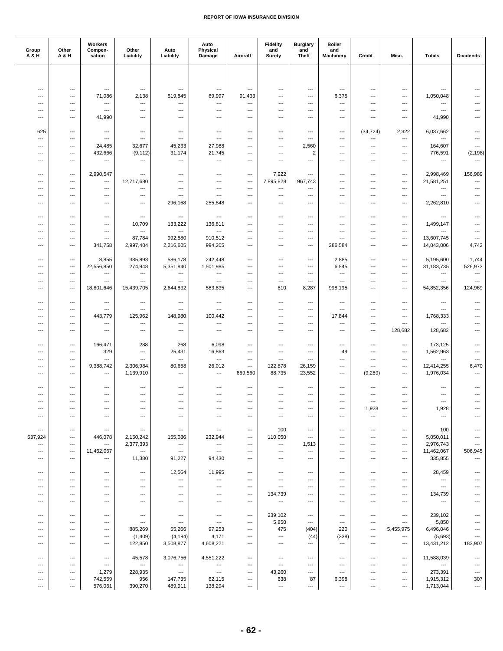| Group<br>A & H           | Other<br>A & H                                       | Workers<br>Compen-<br>sation    | Other<br>Liability                                   | Auto<br>Liability                                    | Auto<br>Physical<br>Damage                           | Aircraft                                             | <b>Fidelity</b><br>and<br><b>Surety</b>              | <b>Burglary</b><br>and<br><b>Theft</b>               | <b>Boiler</b><br>and<br><b>Machinery</b> | Credit                                               | Misc.                                | <b>Totals</b>                         | <b>Dividends</b>                                     |
|--------------------------|------------------------------------------------------|---------------------------------|------------------------------------------------------|------------------------------------------------------|------------------------------------------------------|------------------------------------------------------|------------------------------------------------------|------------------------------------------------------|------------------------------------------|------------------------------------------------------|--------------------------------------|---------------------------------------|------------------------------------------------------|
|                          |                                                      |                                 |                                                      |                                                      |                                                      |                                                      |                                                      |                                                      |                                          |                                                      |                                      |                                       |                                                      |
| ---                      | ---                                                  | $\cdots$                        | $\hspace{0.05cm} \ldots$                             | $\hspace{0.05cm} \ldots$                             | ---                                                  | $\overline{\phantom{a}}$                             | ---                                                  | $---$                                                | ---                                      | $---$                                                | ---                                  | $\hspace{0.05cm} \ldots$              | $---$                                                |
| ---                      | ---                                                  | 71,086                          | 2,138                                                | 519,845                                              | 69,997                                               | 91,433                                               | ---                                                  | $\overline{\phantom{a}}$                             | 6,375                                    | $\overline{\phantom{a}}$                             | ---                                  | 1,050,048                             | $\overline{\phantom{a}}$                             |
| ---                      | $\overline{\phantom{a}}$                             | ---                             | $\hspace{0.05cm} \ldots$                             | ---                                                  | ---                                                  | ---                                                  | ---                                                  | ---                                                  | ---                                      | $\overline{\phantom{a}}$                             | ---                                  | ---                                   |                                                      |
| ---<br>---               | ---<br>---                                           | ---<br>41,990                   | ---<br>$---$                                         | ---<br>$---$                                         | ---<br>$---$                                         | ---<br>---                                           | ---<br>---                                           | ---<br>$---$                                         | ---<br>---                               | ---<br>$---$                                         | ---<br>---                           | $\hspace{0.05cm} \ldots$<br>41,990    | $\overline{\phantom{a}}$<br>$---$                    |
|                          |                                                      |                                 |                                                      |                                                      |                                                      |                                                      |                                                      |                                                      |                                          |                                                      |                                      |                                       |                                                      |
| 625                      | ---                                                  | $\cdots$                        | $\hspace{0.05cm} \ldots$                             | $\hspace{0.05cm} \ldots$                             | $\hspace{0.05cm} \ldots$                             | ---                                                  | ---                                                  | $\hspace{0.05cm} \ldots$                             | ---                                      | (34, 724)                                            | 2,322                                | 6,037,662                             | $\overline{\phantom{a}}$                             |
| ---<br>---               | ---<br>---                                           | ---<br>24,485                   | $\hspace{0.05cm} \ldots$<br>32,677                   | $\hspace{0.05cm} \ldots$<br>45,233                   | $\hspace{0.05cm} \ldots$<br>27,988                   | ---<br>---                                           | ---<br>---                                           | $\hspace{0.05cm} \ldots$<br>2,560                    | ---<br>---                               | ---<br>$\overline{\phantom{a}}$                      | ---<br>---                           | ---<br>164,607                        | ---<br>$\overline{\phantom{a}}$                      |
| ---                      | ---                                                  | 432,666                         | (9, 112)                                             | 31,174                                               | 21,745                                               | $\overline{a}$                                       | $---$                                                | $\overline{2}$                                       | ---                                      | $\overline{\phantom{a}}$                             | ---                                  | 776,591                               | (2, 198)                                             |
| ---                      | ---                                                  | ---                             | $\hspace{0.05cm} \ldots$                             | $\hspace{0.05cm} \ldots$                             | ---                                                  | ---                                                  | ---                                                  | $\hspace{0.05cm} \ldots$                             | ---                                      | ---                                                  | ---                                  | ---                                   | ---                                                  |
| ---                      | ---                                                  | 2,990,547                       | $---$                                                | $\overline{\phantom{a}}$                             | $\hspace{0.05cm} \ldots$                             | ---                                                  | 7,922                                                | ---                                                  | ---                                      | $---$                                                | ---                                  | 2,998,469                             | 156,989                                              |
| ---                      | ---                                                  | ---                             | 12,717,680                                           | $---$                                                | $---$                                                | $\overline{\phantom{a}}$                             | 7,895,828                                            | 967,743                                              | ---                                      | $\overline{\phantom{a}}$                             | $\overline{\phantom{a}}$             | 21,581,251                            | $\overline{\phantom{a}}$                             |
| ---                      | ---                                                  | ---                             | $\hspace{0.05cm} \ldots$                             | $\hspace{0.05cm} \ldots$                             | $\hspace{0.05cm} \ldots$                             | ---                                                  | ---                                                  | ---                                                  | ---                                      | ---                                                  | ---                                  | $\hspace{0.05cm} \ldots$              | ---                                                  |
| ---<br>---               | ---<br>---                                           | ---<br>---                      | $\hspace{0.05cm} \ldots$<br>$---$                    | $\hspace{0.05cm} \ldots$<br>296,168                  | $\hspace{0.05cm} \ldots$<br>255,848                  | ---<br>---                                           | ---<br>$---$                                         | ---<br>$\overline{\phantom{a}}$                      | ---<br>---                               | $\overline{\phantom{a}}$<br>$---$                    | ---<br>---                           | ---<br>2,262,810                      | ---<br>$\overline{\phantom{a}}$                      |
|                          |                                                      |                                 |                                                      |                                                      |                                                      |                                                      |                                                      |                                                      |                                          |                                                      |                                      |                                       |                                                      |
| ---                      | $\overline{\phantom{a}}$                             | ---                             | $\hspace{0.05cm} \ldots$                             | $\hspace{0.05cm} \ldots$                             | ---                                                  | ---                                                  | ---                                                  | ---                                                  | ---                                      | ---                                                  | ---                                  | $\hspace{0.05cm} \ldots$              | $\overline{\phantom{a}}$                             |
| ---                      | ---<br>$\overline{\phantom{a}}$                      | ---<br>---                      | 10,709<br>$\hspace{0.05cm} \ldots$                   | 133,222<br>$\hspace{0.05cm} \ldots$                  | 136,811<br>---                                       | ---<br>---                                           | ---<br>---                                           | ---<br>---                                           | ---<br>---                               | $---$<br>---                                         | ---<br>---                           | 1,499,147<br>---                      | ---<br>---                                           |
| ---                      | ---                                                  | $---$                           | 87,784                                               | 992,580                                              | 910,512                                              | ---                                                  | ---                                                  | ---                                                  | ---                                      | ---                                                  | ---                                  | 13,607,745                            | $---$                                                |
| ---                      | ---                                                  | 341,758                         | 2,997,404                                            | 2,216,605                                            | 994,205                                              | ---                                                  | $---$                                                | $\overline{\phantom{a}}$                             | 286,584                                  | $\overline{\phantom{a}}$                             | ---                                  | 14,043,006                            | 4,742                                                |
| ---                      | ---                                                  | 8,855                           | 385,893                                              | 586,178                                              | 242,448                                              | ---                                                  | ---                                                  | ---                                                  | 2,885                                    | ---                                                  | ---                                  | 5,195,600                             | 1,744                                                |
| ---                      | ---                                                  | 22,556,850                      | 274,948                                              | 5,351,840                                            | 1,501,985                                            | ---                                                  | ---                                                  | $---$                                                | 6,545                                    | $---$                                                | ---                                  | 31,183,735                            | 526,973                                              |
| ---                      | ---                                                  | $---$                           | $\overline{\phantom{a}}$                             | $\hspace{0.05cm} \ldots$                             | $\hspace{0.05cm} \ldots$                             | ---                                                  | ---                                                  | $\overline{\phantom{a}}$                             | $\overline{\phantom{a}}$                 | $\overline{\phantom{a}}$                             | ---                                  | $\hspace{0.05cm} \ldots$              | $\hspace{0.05cm} \ldots$                             |
| ---<br>---               | $\overline{\phantom{a}}$<br>$\overline{\phantom{a}}$ | ---<br>18,801,646               | $\hspace{0.05cm} \ldots$<br>15,439,705               | $\hspace{0.05cm} \ldots$<br>2,644,832                | $\overline{\phantom{a}}$<br>583,835                  | ---<br>---                                           | ---<br>810                                           | ---<br>8,287                                         | ---<br>998,195                           | $\overline{\phantom{a}}$<br>---                      | ---<br>---                           | ---<br>54,852,356                     | $\overline{\phantom{a}}$<br>124,969                  |
|                          |                                                      |                                 |                                                      |                                                      |                                                      |                                                      |                                                      |                                                      |                                          |                                                      |                                      |                                       |                                                      |
| $---$                    | $\cdots$                                             | $\hspace{0.05cm} \ldots$        | $\hspace{0.05cm} \ldots$                             | $---$                                                | ---                                                  | ---                                                  | $\qquad \qquad \cdots$                               | $---$                                                | ---                                      | $---$                                                | ---                                  | $---$                                 | ---                                                  |
| ---<br>---               | ---<br>---                                           | ---<br>443,779                  | $\hspace{0.05cm} \ldots$<br>125,962                  | $\hspace{0.05cm} \ldots$<br>148,980                  | ---<br>100,442                                       | ---<br>---                                           | ---<br>---                                           | $\hspace{0.05cm} \ldots$<br>$\hspace{0.05cm} \ldots$ | ---<br>17,844                            | $\hspace{0.05cm} \ldots$<br>---                      | ---<br>---                           | $\hspace{0.05cm} \ldots$<br>1,768,333 | $\overline{\phantom{a}}$<br>$\overline{\phantom{a}}$ |
| ---                      | ---                                                  | ---                             | $\hspace{0.05cm} \ldots$                             | $\hspace{0.05cm} \cdots$                             | $\hspace{0.05cm} \ldots$                             | ---                                                  | ---                                                  | $---$                                                | ---                                      | $---$                                                | $---$                                | ---                                   | $\overline{\phantom{a}}$                             |
| ---                      | ---                                                  | ---                             | $\overline{\phantom{a}}$                             | $\overline{\phantom{a}}$                             | $\overline{\phantom{a}}$                             | $\overline{a}$                                       | ---                                                  | $\overline{\phantom{a}}$                             | $\overline{\phantom{a}}$                 | $\overline{\phantom{a}}$                             | 128,682                              | 128,682                               | $\overline{\phantom{a}}$                             |
| ---                      | ---                                                  | 166,471                         | 288                                                  | 268                                                  | 6,098                                                | ---                                                  | ---                                                  | ---                                                  | ---                                      | $\hspace{0.05cm} \ldots$                             | ---                                  | 173,125                               | ---                                                  |
| ---                      | ---                                                  | 329                             | $---$                                                | 25,431                                               | 16,863                                               | ---                                                  | $\hspace{0.05cm} \ldots$                             | $---$                                                | 49                                       | ---                                                  | ---                                  | 1,562,963                             | ---                                                  |
| ---                      | ---                                                  | ---                             | $\overline{\phantom{a}}$                             | $\hspace{0.05cm} \ldots$                             | ---                                                  | $\overline{\phantom{a}}$                             | $\hspace{0.05cm} \ldots$                             | $\overline{\phantom{a}}$                             | $\overline{\phantom{a}}$                 | $\overline{\phantom{a}}$                             | $\overline{\phantom{a}}$             | $\overline{\phantom{a}}$              | $\overline{\phantom{a}}$                             |
| ---<br>---               | ---<br>---                                           | 9,388,742<br>---                | 2,306,984<br>1,139,910                               | 80,658<br>$\hspace{0.05cm} \ldots$                   | 26,012<br>$\overline{\phantom{a}}$                   | ---<br>669,560                                       | 122,878<br>88,735                                    | 26,159<br>23,552                                     | ---<br>---                               | $\overline{\phantom{a}}$<br>(9, 289)                 | ---<br>---                           | 12,414,255<br>1,976,034               | 6,470<br>---                                         |
|                          |                                                      |                                 |                                                      |                                                      |                                                      |                                                      |                                                      |                                                      |                                          |                                                      |                                      |                                       |                                                      |
| ---                      | $\overline{a}$                                       | $---$                           | $\hspace{0.05cm} \ldots$                             | $---$                                                | ---                                                  | ---                                                  | $---$                                                | ---                                                  | $---$                                    | ---                                                  | $---$                                | $---$                                 | ---                                                  |
| ---<br>---               | $\overline{\phantom{a}}$<br>$\overline{a}$           | ---<br>---                      | $\overline{\phantom{a}}$<br>---                      | $\overline{\phantom{a}}$<br>---                      | ---<br>---                                           | ---<br>---                                           | ---<br>---                                           | ---<br>$\overline{\phantom{a}}$                      | ---<br>---                               | ---<br>$\overline{\phantom{a}}$                      | ---<br>---                           | ---<br>---                            | $\overline{a}$<br>---                                |
|                          |                                                      |                                 | ---                                                  | ---                                                  |                                                      |                                                      |                                                      |                                                      | ---                                      | 1,928                                                | ---                                  | 1,928                                 |                                                      |
| ---                      | ---                                                  | $---$                           | $---$                                                | $---$                                                | ---                                                  | ---                                                  | ---                                                  | $---$                                                | ---                                      | $\hspace{0.05cm} \ldots$                             | ---                                  | $\hspace{0.05cm} \ldots$              | ---                                                  |
| ---                      | ---                                                  | ---                             | $\hspace{0.05cm} \ldots$                             | $\hspace{0.05cm} \ldots$                             | $\hspace{0.05cm} \ldots$                             | $\hspace{0.05cm} \ldots$                             | 100                                                  | $\hspace{0.05cm} \ldots$                             | ---                                      | $\hspace{0.05cm} \ldots$                             | $\cdots$                             | 100                                   | ---                                                  |
| 537,924                  | ---                                                  | 446,078                         | 2,150,242                                            | 155,086                                              | 232,944                                              | ---                                                  | 110,050                                              | $\hspace{0.05cm} \ldots$                             | ---                                      | ---                                                  | ---                                  | 5,050,011                             | ---                                                  |
| $\overline{\phantom{a}}$ | ---                                                  | ---                             | 2,377,393                                            | $\hspace{0.05cm} \cdots$                             | $\hspace{0.05cm} \cdots$                             | ---                                                  | $\hspace{0.05cm} \cdots$                             | 1,513                                                | ---                                      | $---$                                                | ---                                  | 2,976,743                             | ---                                                  |
| ---<br>---               | $---$<br>---                                         | 11,462,067<br>---               | $\hspace{0.05cm} \ldots$<br>11,380                   | $\hspace{0.05cm} \ldots$<br>91,227                   | $\hspace{0.05cm} \ldots$<br>94,430                   | ---<br>---                                           | $---$<br>---                                         | $\overline{\phantom{a}}$<br>$\hspace{0.05cm} \ldots$ | $---$<br>---                             | ---<br>---                                           | ---<br>---                           | 11,462,067<br>335,855                 | 506,945                                              |
|                          |                                                      |                                 |                                                      |                                                      |                                                      |                                                      |                                                      |                                                      |                                          |                                                      |                                      |                                       |                                                      |
| ---                      | ---                                                  | $---$                           | $---$                                                | 12,564                                               | 11,995                                               | ---                                                  | $\hspace{0.05cm} \ldots$                             | $\overline{\phantom{a}}$                             | $---$                                    | $\hspace{0.05cm} \ldots$                             | ---                                  | 28,459                                | ---                                                  |
| ---<br>---               | $\cdots$<br>---                                      | $\hspace{0.05cm} \ldots$<br>--- | $\hspace{0.05cm} \ldots$<br>$\overline{\phantom{a}}$ | $---$<br>$\hspace{0.05cm} \ldots$                    | $\hspace{0.05cm} \ldots$<br>$\hspace{0.05cm} \ldots$ | ---<br>---                                           | $\overline{\phantom{a}}$<br>$\hspace{0.05cm} \ldots$ | $---$<br>$\hspace{0.05cm} \ldots$                    | $---$<br>---                             | $---$<br>$\hspace{0.05cm} \ldots$                    | $---$<br>---                         | $\hspace{0.05cm} \ldots$<br>$\ldots$  | ---<br>$\overline{a}$                                |
| ---                      | ---                                                  | ---                             | ---                                                  | ---                                                  | ---                                                  | ---                                                  | 134,739                                              | ---                                                  | ---                                      | ---                                                  | ---                                  | 134,739                               |                                                      |
| ---                      | ---                                                  | ---                             | $---$                                                | $\hspace{0.05cm} \ldots$                             | $---$                                                | $\overline{\phantom{a}}$                             | $\hspace{0.05cm} \cdots$                             | $---$                                                | ---                                      | $---$                                                | ---                                  | $\hspace{0.05cm} \cdots$              | ---                                                  |
| ---                      | ---                                                  | ---                             | $\qquad \qquad \cdots$                               | $\hspace{0.05cm} \ldots$                             | $\hspace{0.05cm} \ldots$                             | $\hspace{0.05cm} \ldots$                             | 239,102                                              | $\hspace{0.05cm} \ldots$                             | ---                                      | $\overline{\phantom{a}}$                             | ---                                  | 239,102                               | ---                                                  |
| ---                      | ---                                                  | ---                             | $\hspace{0.05cm} \ldots$                             | $\hspace{0.05cm} \ldots$                             | $\hspace{0.05cm} \cdots$                             | $\hspace{0.05cm} \ldots$                             | 5,850                                                | $\hspace{0.05cm} \ldots$                             | ---                                      | ---                                                  | ---                                  | 5,850                                 | ---                                                  |
| ---                      | ---                                                  | $---$                           | 885,269                                              | 55,266                                               | 97,253                                               | $\overline{\phantom{a}}$                             | 475                                                  | (404)                                                | 220                                      | $\overline{\phantom{a}}$                             | 5,455,975                            | 6,496,046                             | ---                                                  |
| ---<br>---               | ---<br>---                                           | $\hspace{0.05cm} \ldots$<br>--- | (1,409)<br>122,850                                   | (4, 194)<br>3,508,877                                | 4,171<br>4,608,221                                   | $\overline{\phantom{a}}$<br>$\hspace{0.05cm} \ldots$ | $\overline{\phantom{a}}$<br>$\hspace{0.05cm} \ldots$ | (44)<br>$\hspace{0.05cm} \ldots$                     | (338)<br>$\cdots$                        | $\overline{\phantom{a}}$<br>$\hspace{0.05cm} \ldots$ | $\overline{\phantom{a}}$<br>$\cdots$ | (5,693)<br>13,431,212                 | ---<br>183,907                                       |
|                          |                                                      |                                 |                                                      |                                                      |                                                      |                                                      |                                                      |                                                      |                                          |                                                      |                                      |                                       |                                                      |
| ---                      | ---                                                  | $\hspace{0.05cm} \cdots$        | 45,578                                               | 3,076,756                                            | 4,551,222                                            | $\overline{\phantom{a}}$                             | $\hspace{0.05cm} \ldots$                             | $---$                                                | ---                                      | $---$                                                | ---                                  | 11,588,039                            | ---                                                  |
| ---<br>---               | $---$<br>---                                         | $---$<br>1,279                  | $\hspace{0.05cm} \ldots$<br>228,935                  | $\hspace{0.05cm} \ldots$<br>$\hspace{0.05cm} \ldots$ | $\hspace{0.05cm} \ldots$<br>$\hspace{0.05cm} \ldots$ | ---<br>---                                           | $---$<br>43,260                                      | ---<br>$\hspace{0.05cm} \ldots$                      | $---$<br>---                             | ---<br>---                                           | $---$<br>---                         | $\hspace{0.05cm} \ldots$<br>273,391   | ---<br>---                                           |
| ---                      | ---                                                  | 742,559                         | 956                                                  | 147,735                                              | 62,115                                               | ---                                                  | 638                                                  | 87                                                   | 6,398                                    | ---                                                  | ---                                  | 1,915,312                             | 307                                                  |
| ---                      | ---                                                  | 576,061                         | 390,270                                              | 489,911                                              | 138,294                                              | ---                                                  | ---                                                  | ---                                                  | ---                                      | ---                                                  | ---                                  | 1,713,044                             | ---                                                  |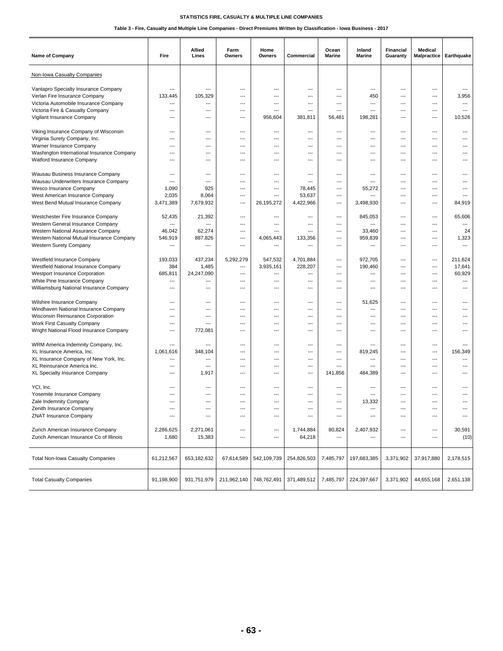| <b>Name of Company</b>                                    | Fire                     | Allied<br>Lines          | Farm<br>Owners           | Home<br>Owners | Commercial               | Ocean<br>Marine          | Inland<br>Marine | Financial<br>Guaranty | Medical<br>Malpractice | Earthquake               |
|-----------------------------------------------------------|--------------------------|--------------------------|--------------------------|----------------|--------------------------|--------------------------|------------------|-----------------------|------------------------|--------------------------|
| Non-Iowa Casualty Companies                               |                          |                          |                          |                |                          |                          |                  |                       |                        |                          |
| Vantapro Specialty Insurance Company                      | ---                      | ---                      | ---                      | ---            | $\overline{\phantom{a}}$ | ---                      | ---              | ---                   | ---                    | ---                      |
| Verlan Fire Insurance Company                             | 133,445                  | 105,329                  | ---                      | ---            | ---                      | $---$                    | 450              | ---                   | $\overline{a}$         | 3,956                    |
| Victoria Automobile Insurance Company                     | ---                      | ---                      | ---                      | ---            | ---                      | ---                      | $\overline{a}$   | ---                   | $\overline{a}$         | ---                      |
| Victoria Fire & Casualty Company                          | $\overline{a}$           | $\overline{a}$           | ---                      | ---            | $\overline{\phantom{a}}$ | $\overline{\phantom{a}}$ | ---              | ---                   | ---                    | $\overline{\phantom{a}}$ |
| Vigilant Insurance Company                                | $---$                    | $---$                    | ---                      | 956,604        | 381,811                  | 56,481                   | 198,281          | ---                   | $---$                  | 10,526                   |
| Viking Insurance Company of Wisconsin                     | ---                      | ---                      | ---                      | ---            | $\overline{a}$           | ---                      | ---              | ---                   | ---                    | ---                      |
| Virginia Surety Company, Inc.                             | $\overline{a}$           | $\overline{a}$           | ---                      | $---$          | $\overline{a}$           | ---                      | ---              | ---                   | $\overline{a}$         | ---                      |
| Warner Insurance Company                                  | $\overline{\phantom{a}}$ | $---$                    | ---                      | ---            | $---$                    | $---$                    | $---$            | ---                   | $---$                  | ---                      |
| Washington International Insurance Company                | $---$                    | $---$                    | $\overline{\phantom{a}}$ | ---            | ---                      | $---$                    | $---$            | ---                   | $\cdots$               | $---$                    |
| Watford Insurance Company                                 | ---                      | ---                      | ---                      | ---            | $\overline{\phantom{a}}$ | ---                      | ---              | ---                   | ---                    |                          |
| Wausau Business Insurance Company                         | $---$                    | ---                      | ---                      | ---            | $---$                    | ---                      | ---              | ---                   | ---                    |                          |
| Wausau Underwriters Insurance Company                     | ---                      | $---$                    | ---                      | ---            | $---$                    | $---$                    | $---$            | ---                   | $\overline{a}$         | ---                      |
| Wesco Insurance Company                                   | 1,090                    | 925                      | ---                      | ---            | 78,445                   | ---                      | 55,272           | $\overline{a}$        | ---                    | ---                      |
| West American Insurance Company                           | 2,035                    | 8,064                    | ---                      | $---$          | 53,637                   | ---                      | $\overline{a}$   | ---                   | $\overline{a}$         | ---                      |
| West Bend Mutual Insurance Company                        | 3,471,389                | 7,679,932                | ---                      | 26,195,272     | 4,422,966                | ---                      | 3,498,930        | ---                   | $---$                  | 84,919                   |
| Westchester Fire Insurance Company                        | 52,435                   | 21,392                   | ---                      | ---            | $\overline{\phantom{a}}$ | ---                      | 845,053          | ---                   | ---                    | 65,606                   |
| Western General Insurance Company                         | $\overline{\phantom{a}}$ | $\overline{a}$           | ---                      | $---$          | $\overline{\phantom{a}}$ | ---                      | ---              | ---                   | ---                    | ---                      |
| Western National Assurance Company                        | 46,042                   | 62,274                   | ---                      | $---$          | $---$                    | ---                      | 33,460           | ---                   | ---                    | 24                       |
| Western National Mutual Insurance Company                 | 546,919                  | 887,826                  | ---                      | 4,065,443      | 133,356                  | ---                      | 959,839          | ---                   | $---$                  | 1,323                    |
| Western Surety Company                                    | ---                      | ---                      | ---                      | $\overline{a}$ | $---$                    | $---$                    | ---              | ---                   | $\cdots$               | ---                      |
| Westfield Insurance Company                               | 193.033                  | 437,234                  | 5,292,279                | 547,532        | 4,701,884                | ---                      | 972,705          | ---                   | ---                    | 211,624                  |
| Westfield National Insurance Company                      | 384                      | 1,485                    | ---                      | 3,935,161      | 228,207                  | ---                      | 190,460          | ---                   | ---                    | 17,641                   |
| Westport Insurance Corporation                            | 685,811                  | 24,247,090               | ---                      | ---            | $\overline{a}$           | $---$                    | $\overline{a}$   | ---                   | ---                    | 60,929                   |
| White Pine Insurance Company                              | $\overline{a}$           | ---                      | ---                      | ---            | $\overline{\phantom{a}}$ | ---                      | ---              | ---                   | ---                    | $\overline{\phantom{a}}$ |
| Williamsburg National Insurance Company                   | $\overline{\phantom{a}}$ | $\overline{a}$           | ---                      | ---            | $\overline{a}$           | ---                      | ---              | ---                   | ---                    | ---                      |
| Wilshire Insurance Company                                | $---$                    | ---                      | $\overline{\phantom{a}}$ | ---            | $\overline{a}$           | ---                      | 51,625           | ---                   | ---                    | $---$                    |
| Windhaven National Insurance Company                      | $\overline{a}$           | $\overline{a}$           | ---                      | ---            | $\overline{\phantom{a}}$ | ---                      | $\overline{a}$   | ---                   | ---                    | ---                      |
| Wisconsin Reinsurance Corporation                         | $\overline{a}$           | ---                      | ---                      | ---            | $\overline{\phantom{a}}$ | ---                      | ---              | ---                   | ---                    | ---                      |
| Work First Casualty Company                               | $---$                    | $---$                    | ---                      | ---            | $---$                    | $---$                    | $---$            | ---                   | $---$                  |                          |
| Wright National Flood Insurance Company                   | $---$                    | 772,081                  | $\overline{\phantom{a}}$ | ---            | ---                      | $---$                    | $---$            | ---                   | $\overline{a}$         | $---$                    |
| WRM America Indemnity Company, Inc.                       | ---                      | ---                      | ---                      | ---            | ---                      | ---                      | ---              | ---                   | ---                    | ---                      |
| XL Insurance America, Inc.                                | 1,061,616                | 348,104                  | ---                      | ---            | $---$                    | ---                      | 819,245          | ---                   | ---                    | 156,349                  |
| XL Insurance Company of New York, Inc.                    | ---                      | ---                      | ---                      | ---            | $---$                    | $---$                    | ---              | ---                   | $\cdots$               | $\overline{\phantom{a}}$ |
| XL Reinsurance America Inc.                               | $\overline{\phantom{a}}$ | $\overline{\phantom{a}}$ | ---                      | ---            | $\overline{\phantom{a}}$ | ---                      | $\overline{a}$   | $\overline{a}$        | $\overline{a}$         | $\overline{a}$           |
| XL Specialty Insurance Company                            | $\overline{a}$           | 1,917                    | ---                      | ---            | $\overline{\phantom{a}}$ | 141.856                  | 484,389          | ---                   | $\overline{a}$         |                          |
| YCI, Inc.                                                 | $---$                    | $---$                    | ---                      | $---$          | $---$                    | ---                      | $---$            | ---                   | ---                    |                          |
| Yosemite Insurance Company                                | ---                      | ---                      | ---                      | ---            | ---                      | ---                      |                  | ---                   | $\overline{a}$         | ---                      |
| Zale Indemnity Company                                    | ---                      | ---                      | ---                      | ---            | ---                      | ---                      | 13,332           | ---                   | ---                    |                          |
|                                                           |                          |                          |                          |                |                          |                          |                  |                       |                        | ---                      |
| Zenith Insurance Company<br><b>ZNAT Insurance Company</b> | ---                      | ---                      | ---                      | ---            | $\overline{\phantom{a}}$ | ---                      | ---              | ---                   | ---                    | ---                      |
|                                                           |                          |                          |                          |                |                          |                          |                  |                       |                        |                          |
| Zurich American Insurance Company                         | 2,286,625                | 2,271,061                | ---                      | ---            | 1,744,884                | 80,824                   | 2,407,932        | ---                   | ---                    | 30,591                   |
| Zurich American Insurance Co of Illinois                  | 1,680                    | 15,383                   | ---                      | ---            | 64,218                   | ---                      | ---              | ---                   | ---                    | (10)                     |
|                                                           |                          |                          |                          |                |                          |                          |                  |                       |                        |                          |
| Total Non-Iowa Casualty Companies                         | 61,212,567               | 653, 182, 632            | 67,614,589               | 542,109,739    | 254,826,503              | 7,485,797                | 197,683,385      | 3,371,902             | 37,917,880             | 2,178,515                |
| <b>Total Casualty Companies</b>                           | 91,198,900               | 931,751,979              | 211,962,140              | 748,762,491    | 371,489,512              | 7,485,797                | 224,397,667      | 3,371,902             | 44,655,168             | 2,651,138                |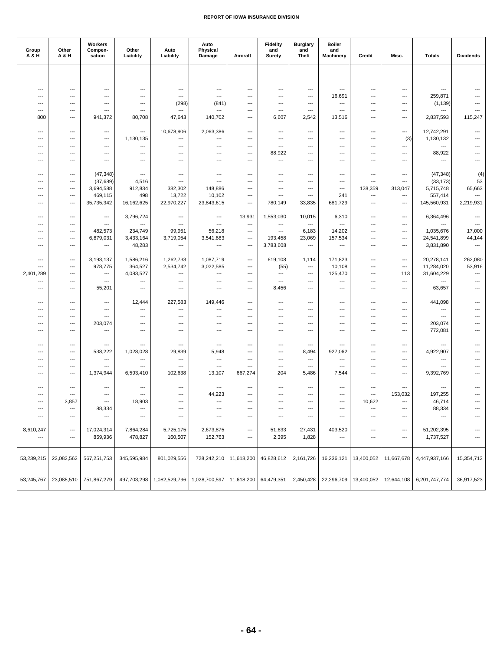| Group<br><b>A&amp;H</b> | Other<br>A & H           | Workers<br>Compen-<br>sation                         | Other<br>Liability                                   | Auto<br>Liability                                    | Auto<br>Physical<br>Damage                           | Aircraft                                             | <b>Fidelity</b><br>and<br>Surety   | <b>Burglary</b><br>and<br><b>Theft</b>               | <b>Boiler</b><br>and<br><b>Machinery</b>             | Credit                   | Misc.                           | <b>Totals</b>                                        | <b>Dividends</b>         |
|-------------------------|--------------------------|------------------------------------------------------|------------------------------------------------------|------------------------------------------------------|------------------------------------------------------|------------------------------------------------------|------------------------------------|------------------------------------------------------|------------------------------------------------------|--------------------------|---------------------------------|------------------------------------------------------|--------------------------|
|                         |                          |                                                      |                                                      |                                                      |                                                      |                                                      |                                    |                                                      |                                                      |                          |                                 |                                                      |                          |
|                         |                          |                                                      |                                                      |                                                      |                                                      |                                                      |                                    |                                                      |                                                      |                          |                                 |                                                      |                          |
| ---                     | ---                      | $\overline{\phantom{a}}$                             | $\hspace{0.05cm} \ldots$                             | ---                                                  | ---                                                  | ---                                                  | $\hspace{0.05cm} \ldots$           | ---                                                  | ---                                                  | ---                      | ---                             | ---                                                  |                          |
| ---                     | ---                      | $---$                                                | ---                                                  | $---$                                                | ---                                                  | ---                                                  | $---$                              | ---                                                  | 16,691                                               | $---$                    | ---                             | 259,871                                              |                          |
| $---$                   | ---<br>---               | $\overline{a}$<br>$\overline{a}$                     | ---                                                  | (298)                                                | (841)<br>---                                         | $\overline{\phantom{a}}$                             | $---$                              | $\overline{\phantom{a}}$<br>$\overline{\phantom{a}}$ | $\overline{\phantom{a}}$<br>$\overline{\phantom{a}}$ | $---$<br>$---$           | $---$                           | (1, 139)                                             |                          |
| ---<br>800              | ---                      | 941,372                                              | $\hspace{0.05cm} \ldots$<br>80,708                   | ---<br>47,643                                        | 140,702                                              | ---<br>---                                           | $\hspace{0.05cm} \ldots$<br>6,607  | 2,542                                                | 13,516                                               | ---                      | $\overline{\phantom{a}}$<br>--- | ---<br>2,837,593                                     | 115,247                  |
|                         |                          |                                                      |                                                      |                                                      |                                                      |                                                      |                                    |                                                      |                                                      |                          |                                 |                                                      |                          |
| $---$                   | $---$                    | $\overline{\phantom{a}}$                             | $\overline{\phantom{a}}$                             | 10,678,906                                           | 2,063,386                                            | $\overline{\phantom{a}}$                             | $---$                              | $---$                                                | $---$                                                | $---$                    | $---$                           | 12,742,291                                           | ---                      |
| ---                     | ---                      | ---                                                  | 1,130,135                                            | ---                                                  | ---                                                  | ---                                                  | $\hspace{0.05cm} \ldots$           | ---                                                  | $\overline{\phantom{a}}$                             | ---                      | (3)                             | 1,130,132                                            |                          |
| ---                     | ---                      | $\overline{\phantom{a}}$                             | ---                                                  | ---                                                  | ---                                                  | ---                                                  | $\hspace{0.05cm} \ldots$           | ---                                                  | ---                                                  | ---                      | $\cdots$                        | ---                                                  |                          |
| ---                     | ---                      | ---                                                  | $---$                                                | $\overline{\phantom{a}}$<br>$---$                    | ---                                                  | $\overline{\phantom{a}}$<br>$\overline{\phantom{a}}$ | 88,922<br>$\overline{\phantom{a}}$ | ---<br>---                                           | $---$                                                | $---$<br>---             | ---                             | 88,922                                               | ---                      |
| $---$                   | $---$                    | $---$                                                | $---$                                                |                                                      | $---$                                                |                                                      |                                    |                                                      | $---$                                                |                          | $---$                           | $\hspace{0.05cm} \ldots$                             |                          |
| ---                     | ---                      | (47, 348)                                            | $\hspace{0.05cm} \ldots$                             | ---                                                  | ---                                                  | ---                                                  | ---                                | ---                                                  | ---                                                  | $---$                    | ---                             | (47, 348)                                            | (4)                      |
| ---                     | $\hspace{0.05cm} \ldots$ | (37, 689)                                            | 4,516                                                | $\hspace{0.05cm} \ldots$                             | $\overline{\phantom{a}}$                             | $\overline{\phantom{a}}$                             | $---$                              | ---                                                  | $---$                                                | ---                      | ---                             | (33, 173)                                            | 53                       |
| $---$                   | $---$                    | 3,694,588                                            | 912,834                                              | 382,302                                              | 148,886                                              | $\overline{\phantom{a}}$                             | $---$                              | ---                                                  | $---$                                                | 128,359                  | 313,047                         | 5,715,748                                            | 65,663                   |
| ---                     | ---                      | 469,115                                              | 498                                                  | 13,722                                               | 10,102                                               | $\overline{\phantom{a}}$                             | $\hspace{0.05cm} \ldots$           | ---                                                  | 241                                                  | ---                      | $\cdots$                        | 557,414                                              | $\overline{\phantom{a}}$ |
| ---                     | ---                      | 35,735,342                                           | 16,162,625                                           | 22,970,227                                           | 23,843,615                                           | ---                                                  | 780,149                            | 33,835                                               | 681,729                                              | ---                      | $\cdots$                        | 145,560,931                                          | 2,219,931                |
| $---$                   | $\overline{\phantom{a}}$ | $---$                                                | 3,796,724                                            | $---$                                                | $\overline{\phantom{a}}$                             | 13,931                                               | 1,553,030                          | 10,015                                               | 6,310                                                | $\overline{\phantom{a}}$ | ---                             | 6,364,496                                            | $\overline{\phantom{a}}$ |
| ---                     | $\overline{a}$           | $\overline{\phantom{a}}$                             | $\hspace{0.05cm} \ldots$                             | $\hspace{0.05cm} \ldots$                             | $\overline{\phantom{a}}$                             | ---                                                  | $\hspace{0.05cm} \ldots$           | ---                                                  | $\overline{\phantom{a}}$                             | $---$                    | ---                             | ---                                                  | ---                      |
| ---                     | ---                      | 482,573                                              | 234,749                                              | 99,951                                               | 56,218                                               | $\overline{\phantom{a}}$                             | $\overline{\phantom{a}}$           | 6,183                                                | 14,202                                               | $---$                    | $\overline{\phantom{a}}$        | 1,035,676                                            | 17,000                   |
| ---                     | ---                      | 6,879,031                                            | 3,433,164                                            | 3,719,054                                            | 3,541,883                                            | ---                                                  | 193,458                            | 23,069                                               | 157,534                                              | $---$                    | $\overline{a}$                  | 24,541,899                                           | 44,144                   |
| $---$                   | $---$                    | ---                                                  | 48,283                                               | $\hspace{0.05cm} \ldots$                             | $\hspace{0.05cm} \ldots$                             | $---$                                                | 3,783,608                          | ---                                                  | $\hspace{0.05cm} \ldots$                             | $\overline{\phantom{a}}$ | ---                             | 3,831,890                                            | $\hspace{0.05cm} \ldots$ |
| ---                     | ---                      | 3,193,137                                            | 1,586,216                                            | 1,262,733                                            | 1,087,719                                            | $\overline{\phantom{a}}$                             | 619,108                            | 1,114                                                | 171,823                                              | ---                      | $\cdots$                        | 20,278,141                                           | 262,080                  |
| ---                     | ---                      | 978,775                                              | 364,527                                              | 2,534,742                                            | 3,022,585                                            | ---                                                  | (55)                               | $\hspace{0.05cm} \ldots$                             | 10,108                                               | ---                      | $\cdots$                        | 11,284,020                                           | 53,916                   |
| 2,401,289               | $\hspace{0.05cm} \ldots$ | ---                                                  | 4,083,527                                            | $\hspace{0.05cm} \ldots$                             | $\hspace{0.05cm} \ldots$                             | ---                                                  | $\hspace{0.05cm} \ldots$           | $\hspace{0.05cm} \ldots$                             | 125,470                                              | $---$                    | 113                             | 31,604,229                                           | $\overline{\phantom{a}}$ |
| ---                     | ---                      | $\overline{\phantom{a}}$                             | $\overline{\phantom{a}}$                             | ---                                                  | ---                                                  | $\overline{\phantom{a}}$                             | $\overline{\phantom{a}}$           | $\overline{\phantom{a}}$                             | $\overline{\phantom{a}}$                             | $---$                    | ---                             | ---                                                  | $\overline{\phantom{a}}$ |
| $---$                   | ---                      | 55,201                                               | $\hspace{0.05cm} \ldots$                             | $\hspace{0.05cm} \ldots$                             | $\overline{\phantom{a}}$                             | ---                                                  | 8,456                              | $\overline{\phantom{a}}$                             | $\overline{\phantom{a}}$                             | ---                      | $\overline{\phantom{a}}$        | 63,657                                               |                          |
|                         |                          |                                                      |                                                      |                                                      |                                                      |                                                      |                                    |                                                      |                                                      |                          |                                 |                                                      |                          |
| $---$<br>$---$          | $---$<br>---             | ---<br>---                                           | 12,444<br>$\hspace{0.05cm} \ldots$                   | 227,583<br>$---$                                     | 149,446<br>$\overline{\phantom{a}}$                  | ---<br>---                                           | $---$<br>$---$                     | ---<br>$\overline{\phantom{a}}$                      | $---$<br>$---$                                       | ---<br>$---$             | ---<br>$---$                    | 441,098<br>$\overline{\phantom{a}}$                  | ---<br>---               |
| ---                     | ---                      | ---                                                  | $\hspace{0.05cm} \ldots$                             | ---                                                  | ---                                                  | ---                                                  | $\hspace{0.05cm} \ldots$           | ---                                                  | $\hspace{0.05cm} \ldots$                             | ---                      | ---                             | ---                                                  |                          |
| ---                     | ---                      | 203,074                                              | $\hspace{0.05cm} \ldots$                             | ---                                                  | ---                                                  | ---                                                  | $\hspace{0.05cm} \ldots$           | ---                                                  | ---                                                  | ---                      | ---                             | 203,074                                              |                          |
| ---                     | $---$                    | $\overline{\phantom{a}}$                             | $---$                                                | $\overline{\phantom{a}}$                             | ---                                                  | ---                                                  | $---$                              | ---                                                  | $---$                                                | $---$                    | ---                             | 772,081                                              | ---                      |
|                         |                          |                                                      |                                                      |                                                      |                                                      |                                                      |                                    |                                                      |                                                      |                          |                                 |                                                      |                          |
| ---                     | ---                      | ---                                                  | $\overline{\phantom{a}}$                             | $\hspace{0.05cm} \ldots$                             | ---                                                  | ---                                                  | $\hspace{0.05cm} \ldots$           | $\overline{\phantom{a}}$                             | $\hspace{0.05cm} \ldots$                             | $---$                    | $\overline{\phantom{a}}$        | ---                                                  |                          |
| ---                     | ---                      | 538,222                                              | 1,028,028                                            | 29,839                                               | 5,948                                                | ---                                                  | $\overline{a}$                     | 8,494                                                | 927,062                                              | ---                      | ---                             | 4,922,907                                            |                          |
| $---$<br>$---$          | $---$<br>$---$           | $\hspace{0.05cm} \ldots$<br>$\overline{\phantom{a}}$ | $\overline{\phantom{a}}$<br>$\overline{\phantom{a}}$ | $\hspace{0.05cm} \ldots$<br>$\overline{\phantom{a}}$ | $\hspace{0.05cm} \ldots$<br>$\overline{\phantom{a}}$ | $\overline{\phantom{a}}$<br>---                      | $---$<br>$---$                     | $---$<br>$\overline{\phantom{a}}$                    | $\overline{\phantom{a}}$<br>$\overline{\phantom{a}}$ | ---<br>$---$             | ---<br>---                      | $\overline{\phantom{a}}$<br>$\overline{\phantom{a}}$ | ---                      |
| ---                     | ---                      | 1,374,944                                            | 6,593,410                                            | 102,638                                              | 13,107                                               | 667,274                                              | 204                                | 5,486                                                | 7,544                                                | ---                      | $\cdots$                        | 9,392,769                                            |                          |
|                         |                          |                                                      |                                                      |                                                      |                                                      |                                                      |                                    |                                                      |                                                      |                          |                                 |                                                      |                          |
| ---                     | ---                      | $---$                                                | $\overline{\phantom{a}}$                             | $\overline{\phantom{a}}$                             | $\overline{\phantom{a}}$                             | ---                                                  | $---$                              | ---                                                  | ---                                                  | ---                      | ---                             | ---                                                  |                          |
| $---$                   | ---                      | $---$                                                | ---                                                  | ---                                                  | 44,223                                               | $\overline{\phantom{a}}$                             | $---$                              | ---                                                  | $---$                                                | ---                      | 153,032                         | 197,255                                              |                          |
| ---                     | 3,857                    | $\overline{\phantom{a}}$                             | 18,903                                               | ---                                                  | ---                                                  | $\overline{\phantom{a}}$                             | $\overline{\phantom{a}}$           | ---                                                  | $\overline{\phantom{a}}$                             | 10,622                   | $\overline{\phantom{a}}$        | 46,714                                               |                          |
| ---<br>---              | ---<br>---               | 88,334                                               | $\hspace{0.05cm} \ldots$<br>$\hspace{0.05cm} \ldots$ | ---<br>---                                           | $\overline{\phantom{a}}$<br>---                      | ---<br>---                                           | $\hspace{0.05cm} \ldots$<br>---    | $\overline{\phantom{a}}$<br>---                      | ---<br>---                                           | ---<br>---               | ---<br>---                      | 88,334<br>---                                        |                          |
|                         |                          | ---                                                  |                                                      |                                                      |                                                      |                                                      |                                    |                                                      |                                                      |                          |                                 |                                                      |                          |
| 8,610,247               | $\qquad \qquad \cdots$   | 17,024,314                                           | 7,864,284                                            | 5,725,175                                            | 2,673,875                                            | ---                                                  | 51,633                             | 27,431                                               | 403,520                                              | ---                      | $\qquad \qquad \cdots$          | 51,202,395                                           | ---                      |
| $\cdots$                | ---                      | 859,936                                              | 478,827                                              | 160,507                                              | 152,763                                              | $\hspace{0.05cm} \ldots$                             | 2,395                              | 1,828                                                | $\hspace{0.05cm} \ldots$                             | ---                      | ---                             | 1,737,527                                            | ---                      |
|                         |                          |                                                      |                                                      |                                                      |                                                      |                                                      |                                    |                                                      |                                                      |                          |                                 |                                                      |                          |
|                         |                          |                                                      |                                                      |                                                      |                                                      |                                                      |                                    |                                                      |                                                      |                          |                                 |                                                      |                          |
| 53,239,215              | 23,082,562               | 567,251,753                                          | 345,595,984                                          | 801,029,556                                          | 728,242,210                                          | 11,618,200                                           | 46,828,612                         | 2,161,726                                            | 16,236,121                                           | 13,400,052               | 11,667,678                      | 4,447,937,166                                        | 15,354,712               |
|                         |                          |                                                      |                                                      |                                                      |                                                      |                                                      |                                    |                                                      |                                                      |                          |                                 |                                                      |                          |
| 53,245,767              | 23,085,510               | 751,867,279                                          | 497,703,298                                          | 1,082,529,796                                        | 1,028,700,597                                        | 11,618,200                                           | 64,479,351                         | 2,450,428                                            | 22,296,709                                           | 13,400,052               | 12,644,108                      | 6,201,747,774                                        | 36,917,523               |
|                         |                          |                                                      |                                                      |                                                      |                                                      |                                                      |                                    |                                                      |                                                      |                          |                                 |                                                      |                          |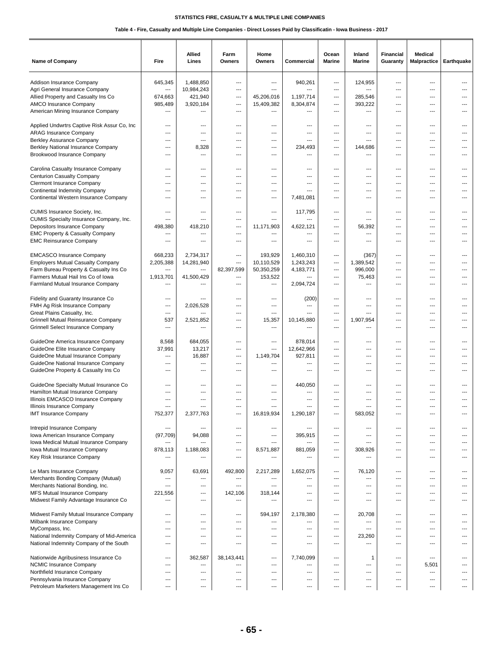| Name of Company                                                              | Fire                      | Allied<br>Lines         | Farm<br>Owners | Home<br>Owners    | Commercial                                           | Ocean<br><b>Marine</b>         | Inland<br>Marine              | Financial<br>Guaranty    | <b>Medical</b><br><b>Malpractice</b> | Earthquake |
|------------------------------------------------------------------------------|---------------------------|-------------------------|----------------|-------------------|------------------------------------------------------|--------------------------------|-------------------------------|--------------------------|--------------------------------------|------------|
| Addison Insurance Company                                                    | 645,345                   | 1.488.850               | ---            | ---               | 940,261                                              | $\qquad \qquad \cdots$         | 124,955                       | ---                      | ---                                  |            |
| Agri General Insurance Company                                               | $\overline{\phantom{a}}$  | 10,984,243              | ---            | ---               | $---$                                                | ---                            | ---                           | ---                      | ---                                  |            |
| Allied Property and Casualty Ins Co                                          | 674,663                   | 421,940                 | ---            | 45,206,016        | 1,197,714                                            | $---$                          | 285,546                       | ---                      | ---                                  |            |
| AMCO Insurance Company                                                       | 985,489                   | 3,920,184               | ---            | 15,409,382        | 8,304,874                                            | $---$                          | 393,222                       | ---                      | $---$                                |            |
| American Mining Insurance Company                                            | ---                       | ---                     | ---            | ---               | $\overline{a}$                                       | $---$                          | ---                           | $\overline{\phantom{a}}$ | ---                                  |            |
|                                                                              |                           |                         |                |                   |                                                      |                                |                               |                          |                                      |            |
| Applied Undwrtrs Captive Risk Assur Co, Inc.                                 | ---                       | ---                     | ---            | ---               | ---                                                  | ---                            | ---                           | ---                      | ---                                  |            |
| <b>ARAG Insurance Company</b><br>Berkley Assurance Company                   | ---<br>$---$              | ---<br>$---$            | ---<br>---     | ---<br>---        | $\overline{\phantom{a}}$<br>$---$                    | ---<br>$---$                   | ---<br>$---$                  | ---<br>---               | ---<br>$---$                         | ---        |
| <b>Berkley National Insurance Company</b>                                    | $---$                     | 8,328                   | ---            | ---               | 234,493                                              | $---$                          | 144,686                       | $\overline{\phantom{a}}$ | $---$                                |            |
| Brookwood Insurance Company                                                  | ---                       | ---                     | ---            | ---               | ---                                                  | ---                            | ---                           | $\overline{\phantom{a}}$ | ---                                  |            |
| Carolina Casualty Insurance Company                                          | ---                       | ---                     | ---            | ---               | ---                                                  | ---                            | ---                           | ---                      | ---                                  |            |
| <b>Centurion Casualty Company</b>                                            | ---                       | ---                     | ---            | ---               | $\overline{a}$                                       | ---                            | ---                           | ---                      | ---                                  |            |
| <b>Clermont Insurance Company</b><br><b>Continental Indemnity Company</b>    | ---<br>---                | ---<br>$---$            | ---<br>$---$   | ---<br>$---$      | ---<br>$\overline{a}$                                | ---<br>$---$                   | ---<br>---                    | ---<br>---               | ---<br>$---$                         | ---        |
| Continental Western Insurance Company                                        | ---                       | ---                     | ---            | ---               | 7,481,081                                            | ---                            | ---                           | ---                      | ---                                  |            |
|                                                                              |                           |                         |                |                   |                                                      |                                |                               |                          |                                      |            |
| CUMIS Insurance Society, Inc.                                                | ---                       | ---                     | ---            | ---               | 117.795                                              | ---                            | ---                           | ---                      | ---                                  |            |
| CUMIS Specialty Insurance Company, Inc.<br>Depositors Insurance Company      | ---                       | ---                     | ---            | ---               | ---                                                  | ---                            | ---                           | ---                      | ---                                  | ---        |
| EMC Property & Casualty Company                                              | 498,380<br>---            | 418,210<br>---          | ---<br>---     | 11,171,903<br>--- | 4,622,121<br>---                                     | ---<br>---                     | 56,392<br>---                 | ---<br>---               | ---<br>$---$                         | ---        |
| <b>EMC Reinsurance Company</b>                                               | $---$                     | $---$                   | $---$          | ---               | ---                                                  | $---$                          | ---                           | ---                      | $---$                                |            |
|                                                                              | 668,233                   |                         | ---            | 193,929           | 1,460,310                                            | ---                            |                               |                          | ---                                  |            |
| <b>EMCASCO Insurance Company</b><br><b>Employers Mutual Casualty Company</b> | 2,205,388                 | 2,734,317<br>14,281,940 | ---            | 10,110,529        | 1,243,243                                            | ---                            | (367)<br>1,389,542            | ---<br>---               | ---                                  |            |
| Farm Bureau Property & Casualty Ins Co                                       | ---                       | ---                     | 82,397,599     | 50,350,259        | 4,183,771                                            | $\qquad \qquad \cdots$         | 996,000                       | ---                      | ---                                  |            |
| Farmers Mutual Hail Ins Co of Iowa                                           | 1,913,701                 | 41,500,429              | ---            | 153,522           | $\overline{a}$                                       | $---$                          | 75,463                        | $---$                    | $---$                                |            |
| Farmland Mutual Insurance Company                                            | ---                       | ---                     | $---$          | ---               | 2,094,724                                            | $---$                          | $\overline{\phantom{a}}$      | ---                      | ---                                  |            |
| Fidelity and Guaranty Insurance Co                                           | ---                       | ---                     | ---            | ---               | (200)                                                | ---                            | ---                           | ---                      | ---                                  |            |
| FMH Ag Risk Insurance Company                                                | ---                       | 2,026,528               | ---            | ---               | $---$                                                | ---                            | ---                           | ---                      | ---                                  |            |
| Great Plains Casualty, Inc.                                                  | ---                       | ---                     | ---            | ---               | $\overline{a}$                                       | ---                            | ---                           | ---                      | ---                                  | ---        |
| Grinnell Mutual Reinsurance Company                                          | 537                       | 2,521,852               | $\overline{a}$ | 15,357            | 10,145,880                                           | $\overline{a}$                 | 1,907,954                     | $\sim$                   | $---$                                | ---        |
| <b>Grinnell Select Insurance Company</b>                                     | $\overline{a}$            | ---                     | $---$          | ---               | $---$                                                | $---$                          | $---$                         | $---$                    | $---$                                | ---        |
| GuideOne America Insurance Company                                           | 8,568                     | 684,055                 | ---            | ---               | 878,014                                              | ---                            | ---                           | ---                      | ---                                  |            |
| GuideOne Elite Insurance Company                                             | 37,991                    | 13,217                  | ---            | ---               | 12,642,966                                           | ---                            | ---                           | ---                      | ---                                  |            |
| GuideOne Mutual Insurance Company                                            | ---                       | 16,887                  | ---            | 1,149,704         | 927,811                                              | ---                            | $\overline{a}$                | $\overline{a}$           | ---                                  |            |
| GuideOne National Insurance Company                                          | ---                       | ---                     | ---            | ---               | $\overline{\phantom{a}}$                             | $\overline{\phantom{a}}$       | ---                           | ---                      | ---                                  |            |
| GuideOne Property & Casualty Ins Co                                          | $---$                     | $---$                   | $---$          | ---               | $\overline{a}$                                       | $---$                          | $---$                         | $\overline{a}$           | $---$                                |            |
| GuideOne Specialty Mutual Insurance Co                                       | ---                       | ---                     | ---            | $\overline{a}$    | 440,050                                              | ---                            | $\overline{a}$                | ---                      | ---                                  |            |
| Hamilton Mutual Insurance Company                                            | ---                       | ---                     | ---            | ---               | ---                                                  | ---                            | ---                           | ---                      | ---                                  |            |
| Illinois EMCASCO Insurance Company                                           | ---                       | ---                     | ---            | $\overline{a}$    | $---$                                                | $\overline{a}$                 | $\overline{a}$                | ---                      | ---                                  |            |
| Illinois Insurance Company                                                   | ---                       | ---                     | $\sim$         | ---               | $\overline{a}$                                       | ---                            | $\overline{a}$                | ---                      | $---$                                |            |
| <b>IMT Insurance Company</b>                                                 | 752,377                   | 2,377,763               | ---            | 16,819,934        | 1,290,187                                            | $---$                          | 583,052                       | $---$                    | $---$                                |            |
| Intrepid Insurance Company                                                   | ---                       | ---                     | ---            | ---               | $\overline{\phantom{a}}$                             | $\overline{\phantom{a}}$       | ---                           | ---                      | ---                                  |            |
| Iowa American Insurance Company                                              | (97, 709)                 | 94,088                  | ---            | ---               | 395,915                                              | ---                            | ---                           | ---                      | ---                                  |            |
| Iowa Medical Mutual Insurance Company                                        | ---                       | ---                     | ---            | ---               | $\cdots$                                             | $\overline{\phantom{a}}$       | ---                           | ---                      | ---                                  |            |
| Iowa Mutual Insurance Company                                                | 878,113<br>$\overline{a}$ | 1,188,083<br>---        | ---            | 8.571.887<br>---  | 881,059<br>$\overline{a}$                            | ---                            | 308,926                       | $\overline{a}$           | ---                                  | ---        |
| Key Risk Insurance Company                                                   |                           |                         | $---$          |                   |                                                      | $---$                          | $\overline{\phantom{a}}$      | $\overline{a}$           | $---$                                |            |
| Le Mars Insurance Company                                                    | 9,057                     | 63,691                  | 492,800        | 2,217,289         | 1,652,075                                            | $---$                          | 76,120                        | ---                      | $\sim$                               | ---        |
| Merchants Bonding Company (Mutual)                                           | ---                       | ---                     | ---            | ---               | ---                                                  | ---                            | ---                           | ---                      | ---                                  |            |
| Merchants National Bonding, Inc.<br>MFS Mutual Insurance Company             | ---<br>221,556            | ---<br>---              | ---<br>142,106 | ---<br>318,144    | $\overline{\phantom{a}}$<br>$\overline{\phantom{a}}$ | ---<br>---                     | ---<br>---                    | ---<br>---               | ---<br>$---$                         | ---        |
| Midwest Family Advantage Insurance Co                                        | $---$                     | $---$                   | $---$          | ---               | $---$                                                | $---$                          | $---$                         | $\sim$                   | $---$                                | ---        |
|                                                                              |                           |                         |                |                   |                                                      |                                |                               |                          |                                      |            |
| Midwest Family Mutual Insurance Company                                      | ---                       | ---                     | ---            | 594,197           | 2,178,380                                            | ---                            | 20,708                        | ---                      | $---$                                |            |
| Milbank Insurance Company                                                    | ---                       | ---                     | ---            | ---               | $---$                                                | $\overline{\phantom{a}}$       | $\overline{\phantom{a}}$      | ---                      | ---                                  |            |
| MyCompass, Inc.<br>National Indemnity Company of Mid-America                 | ---<br>---                | ---<br>---              | ---<br>---     | ---<br>---        | ---<br>$\overline{\phantom{a}}$                      | ---<br>---                     | ---<br>23,260                 | ---<br>---               | ---<br>---                           | ---        |
| National Indemnity Company of the South                                      | ---                       | ---                     | ---            | ---               | $\overline{a}$                                       | ---                            | $\overline{\phantom{a}}$      | ---                      | ---                                  |            |
|                                                                              |                           |                         |                |                   |                                                      |                                |                               |                          |                                      |            |
| Nationwide Agribusiness Insurance Co                                         | ---                       | 362,587                 | 38,143,441     | $---$             | 7,740,099                                            | $\overline{a}$                 | 1                             | $---$                    | $---$                                |            |
| <b>NCMIC Insurance Company</b>                                               | $\overline{a}$            | ---                     | ---            | $\overline{a}$    | ---                                                  | $---$                          | $\overline{a}$                | $---$                    | 5,501                                |            |
| Northfield Insurance Company                                                 | ---                       | ---                     | ---            | ---               | ---                                                  | ---                            | ---                           | ---                      | $\overline{\phantom{a}}$<br>---      |            |
| Pennsylvania Insurance Company<br>Petroleum Marketers Management Ins Co      | ---<br>---                | ---<br>---              | ---<br>---     | ---<br>---        | ---<br>$\qquad \qquad \cdots$                        | ---<br>$\qquad \qquad -\qquad$ | ---<br>$\qquad \qquad \cdots$ | ---<br>---               | $\hspace{0.05cm} \ldots$             | ---        |
|                                                                              |                           |                         |                |                   |                                                      |                                |                               |                          |                                      |            |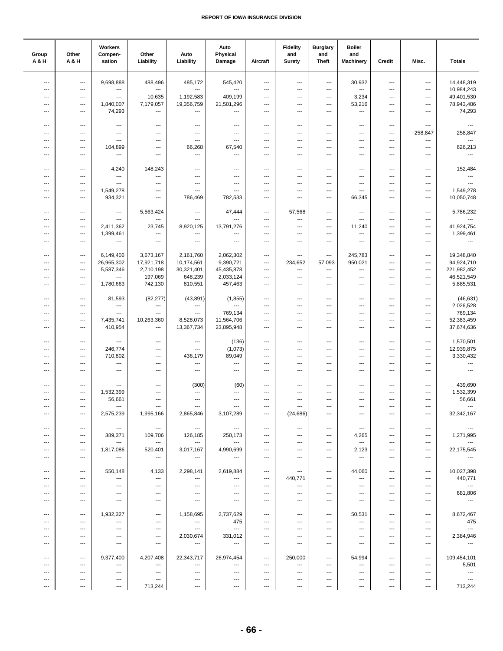| Group<br>A & H           | Other<br>A & H                    | Workers<br>Compen-<br>sation              | Other<br>Liability                  | Auto<br>Liability                  | Auto<br>Physical<br>Damage          | Aircraft                                           | <b>Fidelity</b><br>and<br><b>Surety</b> | <b>Burglary</b><br>and<br><b>Theft</b> | <b>Boiler</b><br>and<br><b>Machinery</b>           | Credit                   | Misc.                                                | <b>Totals</b>                       |
|--------------------------|-----------------------------------|-------------------------------------------|-------------------------------------|------------------------------------|-------------------------------------|----------------------------------------------------|-----------------------------------------|----------------------------------------|----------------------------------------------------|--------------------------|------------------------------------------------------|-------------------------------------|
| ---                      | $---$                             | 9,698,888                                 | 488,496                             | 485,172                            | 545,420                             | $\overline{\phantom{a}}$                           | ---                                     | $\overline{\phantom{a}}$               | 30,932                                             | ---                      | ---                                                  | 14,448,319                          |
| ---                      | ---                               | $\scriptstyle\cdots$                      | ---                                 | $\overline{\phantom{a}}$           | $\overline{\phantom{a}}$            | $\overline{\phantom{a}}$                           | ---                                     | $\overline{\phantom{a}}$               | ---                                                | ---                      | ---                                                  | 10,984,243                          |
| ---                      | ---                               | $\hspace{0.05cm} \ldots$                  | 10,635                              | 1,192,583                          | 409,199                             | $\overline{\phantom{a}}$                           | ---                                     | ---                                    | 3,234                                              | ---                      | ---                                                  | 49,401,530                          |
| ---                      | ---                               | 1,840,007                                 | 7,179,057                           | 19,356,759                         | 21,501,296                          | $\qquad \qquad \cdots$                             | ---                                     | ---                                    | 53,216                                             | ---                      | ---                                                  | 78,943,486                          |
| ---                      | ---                               | 74,293                                    | ---                                 | ---                                | ---                                 | $\overline{\phantom{a}}$                           | $---$                                   | ---                                    | $\qquad \qquad \cdots$                             | ---                      | ---                                                  | 74,293                              |
|                          |                                   |                                           |                                     |                                    |                                     |                                                    |                                         |                                        |                                                    |                          |                                                      |                                     |
| ---                      | ---                               | $\overline{\phantom{a}}$                  | $\overline{\phantom{a}}$            | ---                                | ---                                 | $---$                                              | ---                                     | ---                                    | ---                                                | ---                      | ---                                                  | ---                                 |
| ---                      | ---                               | $\scriptstyle\cdots$                      | ---                                 | ---                                | ---                                 | $\cdots$                                           | ---                                     | ---                                    | $\qquad \qquad \cdots$                             | $\overline{\phantom{a}}$ | 258,847                                              | 258,847                             |
| ---                      | ---                               | ---                                       | ---                                 | $\overline{\phantom{a}}$           | ---                                 | $\qquad \qquad \cdots$                             | ---                                     | ---                                    | ---                                                | ---                      | $\overline{\phantom{a}}$                             | $\overline{\phantom{a}}$            |
| ---<br>---               | ---<br>---                        | 104,899<br>$\scriptstyle\cdots$           | ---<br>---                          | 66,268<br>$\hspace{0.05cm} \ldots$ | 67,540<br>---                       | $\qquad \qquad \cdots$<br>$\overline{\phantom{a}}$ | ---<br>---                              | ---<br>---                             | $\overline{\phantom{a}}$<br>---                    | ---<br>---               | ---<br>---                                           | 626,213<br>$\overline{\phantom{a}}$ |
|                          |                                   |                                           |                                     |                                    |                                     |                                                    |                                         |                                        |                                                    |                          |                                                      |                                     |
| ---                      | ---                               | 4,240                                     | 148,243                             | ---                                | ---                                 | $\overline{\phantom{a}}$                           | ---                                     | ---                                    | ---                                                | ---                      | ---                                                  | 152,484                             |
| ---                      | ---                               | $\overline{\phantom{a}}$                  | ---                                 | $\overline{\phantom{a}}$           | ---                                 | $\overline{\phantom{a}}$                           | ---                                     | ---                                    | ---                                                | ---                      | ---                                                  | $\overline{\phantom{a}}$            |
| ---                      | ---                               | $\overline{\phantom{a}}$                  | ---                                 | $\overline{\phantom{a}}$           | ---                                 | $\overline{\phantom{a}}$                           | ---                                     | ---                                    | ---                                                | ---                      | ---                                                  | ---                                 |
| ---                      | ---                               | 1,549,278                                 | ---                                 | $\ldots$                           | ---                                 | $\overline{\phantom{a}}$                           | ---                                     | ---                                    | ---                                                | ---                      | ---                                                  | 1,549,278                           |
| $\overline{\phantom{a}}$ | ---                               | 934,321                                   | ---                                 | 786,469                            | 782,533                             | $\cdots$                                           | ---                                     | ---                                    | 66,345                                             | ---                      | ---                                                  | 10,050,748                          |
|                          |                                   |                                           |                                     |                                    |                                     |                                                    |                                         |                                        |                                                    |                          |                                                      |                                     |
| $\overline{\phantom{a}}$ | $---$                             | $\hspace{0.05cm} \ldots$                  | 5,563,424                           | $\ldots$                           | 47,444                              | $\qquad \qquad \cdots$                             | 57,568                                  | $\overline{\phantom{a}}$               | $\overline{\phantom{a}}$                           | ---                      | ---                                                  | 5,786,232                           |
| ---                      | ---                               | $\overline{\phantom{a}}$                  | ---                                 | $\ldots$                           | ---                                 | $\qquad \qquad \cdots$                             | ---                                     | ---                                    | ---                                                | ---                      | ---                                                  |                                     |
| ---                      | ---                               | 2,411,362                                 | 23,745                              | 8,920,125                          | 13,791,276                          | $\cdots$                                           | ---                                     | ---                                    | 11,240                                             | ---                      | ---                                                  | 41,924,754                          |
| ---                      | ---                               | 1,399,461                                 | ---                                 | $\hspace{0.05cm} \cdots$           | ---                                 | $\qquad \qquad \cdots$                             | ---                                     | ---                                    | ---                                                | ---                      | ---                                                  | 1,399,461                           |
| $\overline{\phantom{a}}$ | ---                               | $\scriptstyle\cdots$                      | ---                                 | $\hspace{0.05cm} \cdots$           | ---                                 | $\hspace{0.05cm} \cdots$                           | ---                                     | ---                                    | $\hspace{0.05cm} \ldots$                           | ---                      | ---                                                  | $\hspace{0.05cm} \ldots$            |
| ---                      | ---                               | 6,149,406                                 |                                     |                                    | 2,062,302                           | $\overline{\phantom{a}}$                           | ---                                     | ---                                    | 245,783                                            | ---                      | ---                                                  | 19,348,840                          |
| ---                      | ---                               | 26,965,302                                | 3,673,167<br>17,921,718             | 2,161,760<br>10,174,561            | 9,390,721                           | $\overline{\phantom{a}}$                           | 234,652                                 | 57,093                                 | 950,021                                            | ---                      | ---                                                  | 94,924,710                          |
| ---                      | ---                               | 5,587,346                                 | 2,710,198                           | 30,321,401                         | 45,435,878                          | $\overline{\phantom{a}}$                           | ---                                     | ---                                    | ---                                                | ---                      | ---                                                  | 221,982,452                         |
| ---                      | ---                               | $\hspace{0.05cm} \ldots$                  | 197,069                             | 648,239                            | 2,033,124                           | $\scriptstyle\cdots$                               | ---                                     | ---                                    | ---                                                | ---                      | ---                                                  | 46,521,549                          |
| ---                      | ---                               | 1,780,663                                 | 742,130                             | 810,551                            | 457,463                             | $\overline{\phantom{a}}$                           | ---                                     | ---                                    | ---                                                | ---                      | ---                                                  | 5,885,531                           |
|                          |                                   |                                           |                                     |                                    |                                     |                                                    |                                         |                                        |                                                    |                          |                                                      |                                     |
| $\overline{\phantom{a}}$ | ---                               | 81,593                                    | (82, 277)                           | (43, 891)                          | (1, 855)                            | $\qquad \qquad \cdots$                             | ---                                     | ---                                    | ---                                                | ---                      | ---                                                  | (46, 631)                           |
| $\overline{\phantom{a}}$ | ---                               | $\sim$                                    | ---                                 | $\overline{\phantom{a}}$           | ---                                 | $---$                                              | ---                                     | ---                                    | $\cdots$                                           | ---                      | $---$                                                | 2,026,528                           |
| ---                      | ---                               |                                           | ---                                 |                                    | 769,134                             | $\overline{\phantom{a}}$                           | ---                                     | ---                                    | ---                                                | ---                      | ---                                                  | 769,134                             |
| ---                      | ---                               | 7,435,741                                 | 10,263,360                          | 8,528,073                          | 11,564,706                          | ---                                                | $\overline{\phantom{a}}$                | ---                                    | ---                                                | ---                      | ---                                                  | 52,383,459                          |
| ---                      | ---                               | 410,954                                   | ---                                 | 13,367,734                         | 23,895,948                          | $\qquad \qquad \cdots$                             | ---                                     | ---                                    | ---                                                | ---                      | ---                                                  | 37,674,636                          |
|                          |                                   |                                           |                                     |                                    |                                     |                                                    |                                         |                                        |                                                    |                          |                                                      |                                     |
| ---                      | ---                               | $\overline{\phantom{a}}$                  | ---                                 | ---                                | (136)                               | $\qquad \qquad \cdots$                             | $---$                                   | ---                                    | ---                                                | ---                      | ---                                                  | 1,570,501                           |
| ---                      | ---                               | 246,774                                   | ---                                 | $\overline{\phantom{a}}$           | (1,073)                             | ---                                                | ---<br>---                              | ---<br>---                             | ---<br>---                                         | ---<br>---               | ---                                                  | 12,939,875                          |
| ---<br>---               | ---<br>---                        | 710,802<br>$---$                          | ---<br>---                          | 436,179<br>---                     | 89,049<br>---                       | $---$<br>$\overline{\phantom{a}}$                  | ---                                     | ---                                    | ---                                                | ---                      | ---<br>---                                           | 3,330,432<br>---                    |
| $\overline{\phantom{a}}$ | ---                               | $\hspace{0.05cm} \ldots$                  | $\qquad \qquad -\qquad$             | $\hspace{0.05cm} \ldots$           | ---                                 | $\qquad \qquad \cdots$                             | ---                                     | ---                                    | $\overline{\phantom{a}}$                           | ---                      | ---                                                  | $\sim$ $\sim$                       |
|                          |                                   |                                           |                                     |                                    |                                     |                                                    |                                         |                                        |                                                    |                          |                                                      |                                     |
| $\overline{\phantom{a}}$ | $\overline{\phantom{a}}$          | $\cdots$                                  | $\overline{\phantom{a}}$            | (300)                              | (60)                                | $\hspace{0.05cm} \cdots$                           | ---                                     | ---                                    | $\overline{\phantom{a}}$                           | ---                      | ---                                                  | 439,690                             |
| ---                      | ---                               | 1,532,399                                 | ---                                 | ---                                | ---                                 | $\overline{\phantom{a}}$                           | ---                                     | ---                                    | ---                                                | ---                      | ---                                                  | 1,532,399                           |
| $\overline{\phantom{a}}$ | ---                               | 56,661                                    | ---                                 | $\ldots$                           | ---                                 | $\cdots$                                           | ---                                     | $\qquad \qquad \cdots$                 | $\qquad \qquad \cdots$                             | $\overline{\phantom{a}}$ | $\cdots$                                             | 56,661                              |
|                          |                                   | $--$                                      | $--$                                |                                    |                                     |                                                    |                                         |                                        |                                                    |                          |                                                      |                                     |
| ---                      | ---                               | 2,575,239                                 | 1,995,166                           | 2,865,846                          | 3,107,289                           | $\cdots$                                           | (24, 686)                               | ---                                    | $\overline{\phantom{a}}$                           | ---                      | $\qquad \qquad \cdots$                               | 32,342,167                          |
|                          |                                   |                                           |                                     |                                    |                                     |                                                    |                                         |                                        |                                                    |                          |                                                      |                                     |
| ---                      | $\hspace{0.05cm} \ldots$          | $\sim$                                    | $\hspace{0.1em} \cdots$             | $\sim$ $\sim$                      | $\overline{\phantom{a}}$            | $\overline{\phantom{a}}$                           | $\overline{\phantom{a}}$                | ---                                    | $\hspace{0.05cm} \cdots$                           | ---                      | ---                                                  | $\overline{\phantom{a}}$            |
| ---                      | ---                               | 389,371                                   | 109,706                             | 126,185<br>$---$                   | 250,173<br>$\hspace{0.05cm} \cdots$ | $\overline{\phantom{a}}$                           | $---$                                   | $---$                                  | 4,265                                              | ---                      | ---                                                  | 1,271,995<br>$---$                  |
| ---                      | $---$<br>$\hspace{0.05cm} \ldots$ | $\hspace{0.05cm} \ldots$<br>1,817,086     | $\hspace{0.05cm} \ldots$<br>520,401 | 3,017,167                          | 4,990,699                           | $\overline{\phantom{a}}$<br>$\qquad \qquad \cdots$ | ---<br>---                              | ---<br>---                             | $\cdots$<br>2,123                                  | $---$<br>---             | $\overline{\phantom{a}}$<br>$\hspace{0.05cm} \ldots$ | 22,175,545                          |
|                          | $\overline{\phantom{a}}$          | $\sim$ $\sim$                             | $\sim$                              | $\hspace{0.05cm} \ldots$           |                                     | $\overline{\phantom{a}}$                           | $---$                                   | ---                                    | $\cdots$                                           | ---                      | ---                                                  | $\hspace{0.05cm} \cdots$            |
|                          |                                   |                                           |                                     |                                    |                                     |                                                    |                                         |                                        |                                                    |                          |                                                      |                                     |
| $\overline{\phantom{a}}$ | $\hspace{0.05cm} \ldots$          | 550,148                                   | 4,133                               | 2,298,141                          | 2,619,884                           | $\hspace{0.05cm} \cdots$                           | $\qquad \qquad \cdots$                  | $\qquad \qquad \cdots$                 | 44,060                                             | $---$                    | $\qquad \qquad \cdots$                               | 10,027,398                          |
| ---                      | $\cdots$                          | $\sim$ $\sim$                             | $\sim$ $\sim$                       | $\cdots$                           | $\hspace{0.05cm} \ldots$            | $\cdots$                                           | 440,771                                 | $---$                                  | $\cdots$                                           | $---$                    | $\overline{\phantom{a}}$                             | 440,771                             |
| ---                      | $---$                             | $\sim$ $\sim$                             | $---$                               | $---$                              | $\sim$                              | $\sim$ $\sim$                                      | $\hspace{0.05cm} \ldots$                | ---                                    | $\overline{\phantom{a}}$                           | $---$                    | $\overline{\phantom{a}}$                             | $\sim$                              |
| ---                      | $\cdots$                          | $\sim$ $\sim$                             | $\scriptstyle\cdots$                | $\cdots$                           | $\sim$                              | $\hspace{0.05cm} \ldots$                           | $\hspace{0.05cm} \ldots$                | $\qquad \qquad \cdots$                 | $\qquad \qquad \cdots$                             | $\qquad \qquad \cdots$   | $\hspace{0.05cm} \ldots$                             | 681,806                             |
|                          | ---                               | $\qquad \qquad -\qquad$                   | $\qquad \qquad \cdots$              | $\cdots$                           | $\hspace{0.05cm} \ldots$            | ---                                                | ---                                     | ---                                    | $\cdots$                                           |                          |                                                      | $\cdots$                            |
|                          |                                   |                                           |                                     |                                    |                                     |                                                    |                                         |                                        |                                                    |                          |                                                      |                                     |
| $\overline{\phantom{a}}$ | $---$                             | 1,932,327                                 | $---$                               | 1,158,695                          | 2,737,629                           | $\cdots$                                           | $---$                                   | $\overline{\phantom{a}}$               | 50,531                                             | $---$                    | $\hspace{0.05cm} \ldots$                             | 8,672,467                           |
|                          | $---$                             | $\overline{\phantom{a}}$                  | $---$                               | $\scriptstyle\cdots$               | 475                                 | $---$                                              | $---$                                   | $---$                                  | $\overline{\phantom{a}}$                           | $---$                    | $\cdots$                                             | 475                                 |
| ---<br>---               | $---$<br>---                      | $\sim$ $\sim$<br>$\hspace{0.05cm} \ldots$ | $\cdots$<br>$\scriptstyle\cdots$    | $\sim$ $\sim$<br>2,030,674         | $\sim$<br>331,012                   | $---$<br>$\qquad \qquad \cdots$                    | ---<br>---                              | ---<br>---                             | $\overline{\phantom{a}}$<br>$\qquad \qquad \cdots$ | $---$<br>---             | $\overline{\phantom{a}}$<br>$\hspace{0.05cm} \ldots$ | $\sim$ $-$<br>2,384,946             |
| ---                      | ---                               | $\hspace{0.05cm} \ldots$                  | $\hspace{0.05cm} \ldots$            | $\hspace{0.05cm} \ldots$           | $\hspace{0.05cm} \ldots$            | $\qquad \qquad \cdots$                             | $---$                                   | ---                                    | $\hspace{0.05cm} \ldots$                           | ---                      | $\cdots$                                             | $\sim$                              |
|                          |                                   |                                           |                                     |                                    |                                     |                                                    |                                         |                                        |                                                    |                          |                                                      |                                     |
| $\overline{\phantom{a}}$ | $---$                             | 9,377,400                                 | 4,207,408                           | 22,343,717                         | 26,974,454                          | $\cdots$                                           | 250,000                                 | $---$                                  | 54,994                                             | $---$                    | $\hspace{0.05cm} \ldots$                             | 109,454,101                         |
| ---                      | $\cdots$                          | $\sim$ $\sim$                             | $---$                               | $\cdots$                           | $\sim$                              | $\cdots$                                           | $---$                                   | $---$                                  | $\cdots$                                           | $---$                    | $\cdots$                                             | 5,501                               |
| ---                      | $\cdots$                          | $---$                                     | $---$                               | $\sim$ $\sim$                      | $\overline{\phantom{a}}$            | $\cdots$                                           | $\overline{\phantom{a}}$                | $---$                                  | $\cdots$                                           | $---$                    | $\overline{\phantom{a}}$                             | $\sim$ 1000 $\pm$                   |
| ---                      | ---                               | $\cdots$                                  | $\cdots$                            | $\cdots$                           | $\qquad \qquad \cdots$              | $\cdots$                                           | $---$                                   | ---                                    | $\qquad \qquad \cdots$                             | ---                      | ---                                                  | $\sim$                              |
| ---                      | $\qquad \qquad \cdots$            | $\cdots$                                  | 713,244                             | $\hspace{0.05cm} \ldots$           | $\cdots$                            | $\cdots$                                           | $\cdots$                                | $\qquad \qquad \cdots$                 | $\cdots$                                           | $\qquad \qquad \cdots$   | $\cdots$                                             | 713,244                             |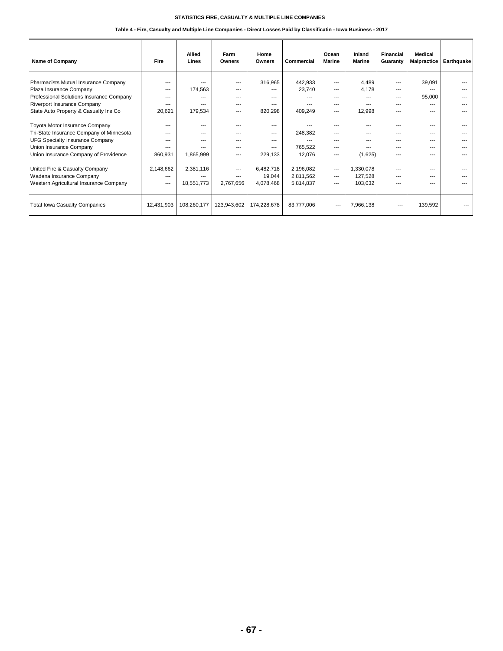| <b>Name of Company</b>                   | Fire       | Allied<br>Lines | Farm<br>Owners | Home<br>Owners | Commercial     | Ocean<br><b>Marine</b> | Inland<br><b>Marine</b> | Financial<br>Guaranty | <b>Medical</b><br><b>Malpractice</b> | Earthquake |
|------------------------------------------|------------|-----------------|----------------|----------------|----------------|------------------------|-------------------------|-----------------------|--------------------------------------|------------|
| Pharmacists Mutual Insurance Company     | ---        |                 | $\overline{a}$ | 316,965        | 442,933        | $- - -$                | 4,489                   | $- - -$               | 39,091                               | $- - -$    |
| Plaza Insurance Company                  | $---$      | 174,563         | $---$          | $---$          | 23,740         | $---$                  | 4,178                   | $---$                 | ---                                  | ---        |
| Professional Solutions Insurance Company | ---        | ---             | $---$          | $---$          |                | $- - -$                | $- - -$                 | $---$                 | 95,000                               | $- - -$    |
| Riverport Insurance Company              | ---        | ---             | $---$          | $- - -$        | $\overline{a}$ | $- - -$                | $---$                   | $---$                 | $- - -$                              | ---        |
| State Auto Property & Casualty Ins Co    | 20,621     | 179,534         | $---$          | 820,298        | 409,249        | $- - -$                | 12,998                  | $- - -$               | ---                                  |            |
|                                          |            |                 |                |                |                |                        |                         |                       |                                      |            |
| Toyota Motor Insurance Company           | ---        | ---             | $---$          | $---$          |                | $- - -$                | $- - -$                 | $---$                 | ---                                  |            |
| Tri-State Insurance Company of Minnesota | ---        | ---             | ---            | $---$          | 248,382        | $- - -$                | ---                     | $- - -$               | ---                                  |            |
| <b>UFG Specialty Insurance Company</b>   | ---        | ---             | $- - -$        | ---            | $- - -$        | $- - -$                | $- - -$                 | $- - -$               | ---                                  |            |
| Union Insurance Company                  | ---        |                 | $---$          | $---$          | 765,522        | $---$                  | ---                     | $\overline{a}$        | $\overline{a}$                       |            |
| Union Insurance Company of Providence    | 860,931    | 1,865,999       | $---$          | 229,133        | 12,076         | $---$                  | (1,625)                 | $- - -$               |                                      |            |
|                                          |            |                 |                |                |                |                        |                         |                       |                                      |            |
| United Fire & Casualty Company           | 2,148,662  | 2,381,116       | $---$          | 6,482,718      | 2,196,082      | $---$                  | 1,330,078               | $\overline{a}$        | ---                                  |            |
| Wadena Insurance Company                 | ---        |                 | $\overline{a}$ | 19,044         | 2,811,562      | $- - -$                | 127,528                 | $- - -$               | $\overline{a}$                       |            |
| Western Agricultural Insurance Company   | $---$      | 18,551,773      | 2,767,656      | 4,078,468      | 5,814,837      | $- - -$                | 103,032                 | $---$                 | ---                                  |            |
|                                          |            |                 |                |                |                |                        |                         |                       |                                      |            |
| <b>Total lowa Casualty Companies</b>     | 12,431,903 | 108,260,177     | 123,943,602    | 174,228,678    | 83,777,006     | $---$                  | 7,966,138               | $---$                 | 139,592                              | $- - -$    |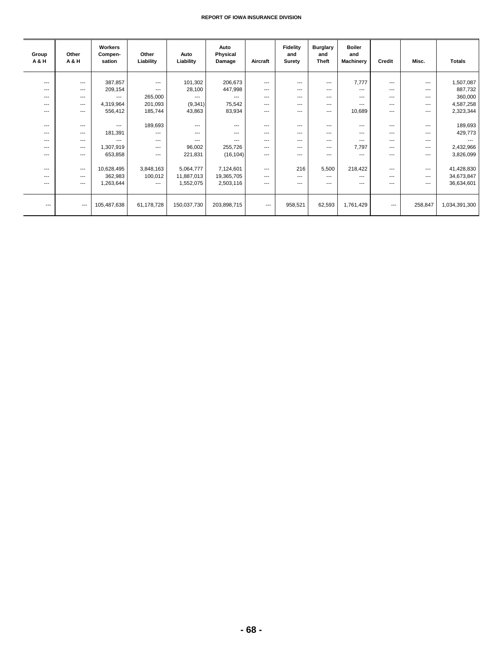| Group<br><b>A&amp;H</b>  | Other<br>A & H           | Workers<br>Compen-<br>sation | Other<br>Liability       | Auto<br>Liability | Auto<br>Physical<br>Damage | Aircraft | Fidelity<br>and<br>Surety | <b>Burglary</b><br>and<br>Theft | <b>Boiler</b><br>and<br><b>Machinery</b> | Credit                 | Misc.                    | <b>Totals</b> |
|--------------------------|--------------------------|------------------------------|--------------------------|-------------------|----------------------------|----------|---------------------------|---------------------------------|------------------------------------------|------------------------|--------------------------|---------------|
|                          |                          |                              |                          |                   |                            |          |                           |                                 |                                          |                        |                          |               |
| $---$                    | $\overline{\phantom{a}}$ | 387,857                      | $---$                    | 101,302           | 206,673                    | $---$    | $---$                     | ---                             | 7,777                                    | $---$                  | $\overline{\phantom{a}}$ | 1,507,087     |
| $---$                    | $---$                    | 209,154                      | $---$                    | 28,100            | 447,998                    | $---$    | $---$                     | $---$                           | $---$                                    | $---$                  | $---$                    | 887,732       |
| $--$                     | $\overline{\phantom{a}}$ | ---                          | 265,000                  | $---$             | $---$                      | $\cdots$ | $---$                     | ---                             | $---$                                    | $---$                  | ---                      | 360,000       |
| ---                      | $---$                    | 4,319,964                    | 201,093                  | (9, 341)          | 75,542                     | $---$    | $---$                     | $---$                           | $---$                                    | $---$                  | $---$                    | 4,587,258     |
| ---                      | $---$                    | 556,412                      | 185,744                  | 43,863            | 83,934                     | $---$    | $---$                     | ---                             | 10,689                                   | $---$                  | $---$                    | 2,323,344     |
|                          |                          |                              |                          |                   |                            |          |                           |                                 |                                          |                        |                          |               |
| $---$                    | $---$                    | $- - -$                      | 189,693                  | $---$             | $---$                      | $---$    | $---$                     | $---$                           | $---$                                    | $---$                  | $---$                    | 189,693       |
| $--$                     | $---$                    | 181,391                      | $---$                    | $---$             | $---$                      | $---$    | $---$                     | $---$                           | $---$                                    | $---$                  | $---$                    | 429,773       |
| $---$                    | $- - -$                  | $- - -$                      | $---$                    | $- - -$           | $- - -$                    | $- - -$  | $- - -$                   | $---$                           | $\overline{a}$                           | $---$                  | $---$                    |               |
| ---                      | $\overline{\phantom{a}}$ | 1,307,919                    | $---$                    | 96,002            | 255,726                    | $---$    | $---$                     | ---                             | 7,797                                    | $---$                  | ---                      | 2,432,966     |
| ---                      | $---$                    | 653,858                      | $\overline{\phantom{a}}$ | 221,831           | (16, 104)                  | $---$    | $---$                     | $---$                           | $---$                                    | $---$                  | $---$                    | 3,826,099     |
|                          |                          |                              |                          |                   |                            |          |                           |                                 |                                          |                        |                          |               |
| $---$                    | $\overline{\phantom{a}}$ | 10,628,495                   | 3,848,163                | 5,064,777         | 7,124,601                  | $\cdots$ | 216                       | 5,500                           | 218,422                                  | ---                    | ---                      | 41,428,830    |
| $---$                    | $---$                    | 362,983                      | 100,012                  | 11,887,013        | 19,365,705                 | $---$    | $---$                     | $---$                           | $---$                                    | $---$                  | $---$                    | 34,673,847    |
| ---                      | $\overline{\phantom{a}}$ | 1,263,644                    | $---$                    | 1,552,075         | 2,503,116                  | $\cdots$ | $---$                     | $---$                           | ---                                      | $\qquad \qquad \cdots$ | ---                      | 36,634,601    |
|                          |                          |                              |                          |                   |                            |          |                           |                                 |                                          |                        |                          |               |
|                          |                          |                              |                          |                   |                            |          |                           |                                 |                                          |                        |                          |               |
| $\overline{\phantom{a}}$ | $\hspace{0.05cm} \ldots$ | 105,487,638                  | 61,178,728               | 150,037,730       | 203,898,715                | $---$    | 958,521                   | 62,593                          | 1,761,429                                | $---$                  | 258,847                  | 1,034,391,300 |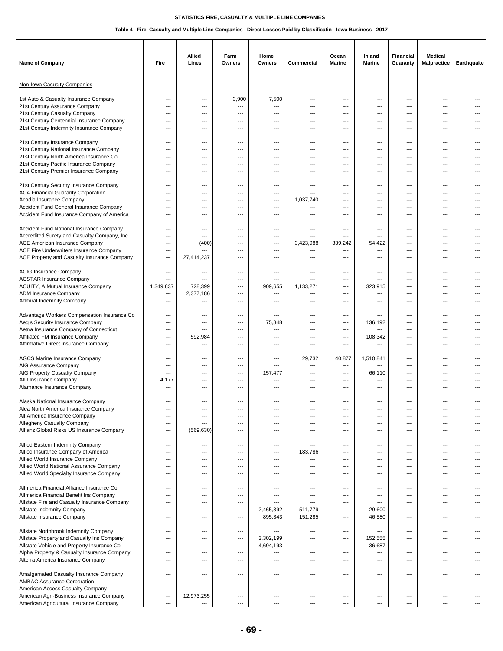| <b>Name of Company</b>                                                                                                                                      | Fire                                          | Allied<br>Lines                               | Farm<br><b>Owners</b>    | Home<br>Owners                                | Commercial                     | Ocean<br><b>Marine</b>   | Inland<br><b>Marine</b>                                            | <b>Financial</b><br>Guaranty | <b>Medical</b><br><b>Malpractice</b> | Earthquake               |
|-------------------------------------------------------------------------------------------------------------------------------------------------------------|-----------------------------------------------|-----------------------------------------------|--------------------------|-----------------------------------------------|--------------------------------|--------------------------|--------------------------------------------------------------------|------------------------------|--------------------------------------|--------------------------|
| Non-Iowa Casualty Companies                                                                                                                                 |                                               |                                               |                          |                                               |                                |                          |                                                                    |                              |                                      |                          |
| 1st Auto & Casualty Insurance Company                                                                                                                       | ---                                           | $---$                                         | 3,900                    | 7,500                                         | ---                            | ---                      | $---$                                                              | ---                          | ---                                  | $---$                    |
| 21st Century Assurance Company                                                                                                                              | ---                                           | ---                                           | ---                      | ---                                           | ---                            | ---                      | ---                                                                | ---                          | ---                                  | ---                      |
| 21st Century Casualty Company                                                                                                                               | ---                                           | ---                                           | ---                      | ---                                           | ---                            | ---                      | $\overline{\phantom{a}}$                                           | ---                          | ---                                  | $---$                    |
| 21st Century Centennial Insurance Company                                                                                                                   | ---                                           | ---                                           | ---                      | ---                                           | ---                            | ---                      | ---                                                                | ---                          | ---                                  | ---                      |
| 21st Century Indemnity Insurance Company                                                                                                                    | ---                                           | $---$                                         | ---                      | $-$                                           | ---                            | $\overline{a}$           | $\overline{\phantom{a}}$                                           | ---                          | $---$                                | $---$                    |
| 21st Century Insurance Company                                                                                                                              | $\overline{\phantom{a}}$                      | $\overline{\phantom{a}}$                      | $---$                    | ---                                           | ---                            | $---$                    | $\hspace{0.05cm} \ldots$                                           | ---                          | $\cdots$                             | ---                      |
| 21st Century National Insurance Company                                                                                                                     | ---                                           | ---                                           | ---                      | ---                                           | ---                            | ---                      | ---                                                                | ---                          | ---                                  | ---                      |
| 21st Century North America Insurance Co                                                                                                                     | ---                                           | ---                                           | ---                      | ---                                           | ---                            | ---                      | $\overline{\phantom{a}}$                                           | ---                          | ---                                  | ---                      |
| 21st Century Pacific Insurance Company                                                                                                                      | $\overline{\phantom{a}}$                      | ---                                           | ---                      | ---                                           | ---                            | ---                      | ---                                                                | ---                          | ---                                  | $---$                    |
| 21st Century Premier Insurance Company                                                                                                                      | ---                                           | $---$                                         | ---                      | ---                                           | ---                            | ---                      | $---$                                                              | ---                          | ---                                  |                          |
| 21st Century Security Insurance Company<br><b>ACA Financial Guaranty Corporation</b><br>Acadia Insurance Company<br>Accident Fund General Insurance Company | $\overline{\phantom{a}}$<br>---<br>---<br>--- | $\overline{\phantom{a}}$<br>---<br>---<br>--- | ---<br>---<br>---<br>--- | $\overline{\phantom{a}}$<br>---<br>---<br>--- | ---<br>---<br>1,037,740<br>--- | ---<br>---<br>---<br>--- | $\overline{\phantom{a}}$<br>---<br>---<br>$\overline{\phantom{a}}$ | ---<br>---<br>---<br>---     | $---$<br>---<br>---<br>---           | $---$<br>---             |
| Accident Fund Insurance Company of America                                                                                                                  | $\overline{a}$                                | $---$                                         | ---                      | $-$                                           | ---                            | $---$                    | $---$                                                              | ---                          | $---$                                | $---$                    |
| Accident Fund National Insurance Company                                                                                                                    | ---                                           | $---$                                         | ---                      | ---                                           | ---                            | ---                      | ---                                                                | ---                          | ---                                  | ---                      |
| Accredited Surety and Casualty Company, Inc.                                                                                                                | ---                                           | ---                                           | ---                      | ---                                           | ---                            | ---                      | $\overline{\phantom{a}}$                                           | ---                          | ---                                  | ---                      |
| ACE American Insurance Company                                                                                                                              | ---                                           | (400)                                         | ---                      | ---                                           | 3,423,988                      | 339,242                  | 54,422                                                             | ---                          | ---                                  | ---                      |
| ACE Fire Underwriters Insurance Company                                                                                                                     | ---                                           | ---                                           | ---                      | ---                                           | ---                            | ---                      | $\overline{\phantom{a}}$                                           | ---                          | ---                                  | ---                      |
| ACE Property and Casualty Insurance Company                                                                                                                 | $\qquad \qquad \cdots$                        | 27,414,237                                    | ---                      | ---                                           | ---                            | ---                      | $\overline{a}$                                                     | ---                          | ---                                  | $---$                    |
| <b>ACIG Insurance Company</b><br><b>ACSTAR Insurance Company</b><br>ACUITY, A Mutual Insurance Company                                                      | ---<br>---<br>1,349,837                       | ---<br>---<br>728,399                         | ---<br>---<br>---        | ---<br>---<br>909,655                         | ---<br>---<br>1,133,271        | ---<br>---<br>---        | $\overline{\phantom{a}}$<br>---<br>323,915                         | ---<br>---<br>---            | ---<br>$---$<br>---                  | ---<br>$---$             |
| ADM Insurance Company                                                                                                                                       | $\qquad \qquad \cdots$                        | 2,377,186                                     | ---                      | ---                                           | ---                            | ---                      | ---                                                                | ---                          | ---                                  | ---                      |
| <b>Admiral Indemnity Company</b>                                                                                                                            | ---                                           | ---                                           | ---                      | ---                                           | ---                            | ---                      | ---                                                                | ---                          | ---                                  | ---                      |
| Advantage Workers Compensation Insurance Co                                                                                                                 | ---                                           | $\overline{\phantom{a}}$                      | ---                      | ---                                           | ---                            | ---                      | $\overline{\phantom{a}}$                                           | ---                          | $\cdots$                             | $---$                    |
| Aegis Security Insurance Company                                                                                                                            | $\overline{\phantom{a}}$                      | ---                                           | ---                      | 75,848                                        | ---                            | ---                      | 136,192                                                            | ---                          | $---$                                | ---                      |
| Aetna Insurance Company of Connecticut                                                                                                                      | $\qquad \qquad \cdots$                        | ---                                           | ---                      | ---                                           | ---                            | ---                      | ---                                                                | ---                          | ---                                  | ---                      |
| Affiliated FM Insurance Company                                                                                                                             | ---                                           | 592,984                                       | ---                      | ---                                           | ---                            | ---                      | 108,342                                                            | ---                          | ---                                  | ---                      |
| Affirmative Direct Insurance Company                                                                                                                        | ---                                           | ---                                           | ---                      | ---                                           | ---                            | ---                      | ---                                                                | ---                          | ---                                  | ---                      |
| <b>AGCS Marine Insurance Company</b>                                                                                                                        | ---                                           | $\overline{\phantom{a}}$                      | $---$                    | ---                                           | 29,732                         | 40,877                   | 1,510,841                                                          | ---                          | $---$                                | $---$                    |
| AIG Assurance Company                                                                                                                                       | ---                                           | $- - -$                                       | ---                      | ---                                           | ---                            | ---                      | ---                                                                | $---$                        | $---$                                | $---$                    |
| AIG Property Casualty Company                                                                                                                               | ---                                           | ---                                           | ---                      | 157,477                                       | ---                            | ---                      | 66,110                                                             | ---                          | ---                                  | ---                      |
| AIU Insurance Company                                                                                                                                       | 4,177                                         | ---                                           | ---                      | ---                                           | ---                            | ---                      | ---                                                                | ---                          | ---                                  |                          |
| Alamance Insurance Company                                                                                                                                  | ---                                           | ---                                           | ---                      | ---                                           | ---                            | ---                      | $---$                                                              | ---                          | ---                                  |                          |
| Alaska National Insurance Company                                                                                                                           | ---                                           | $---$                                         | $---$                    | $\sim$                                        | $---$                          | $---$                    | $\overline{\phantom{a}}$                                           | ---                          | $---$                                | $---$                    |
| Alea North America Insurance Company                                                                                                                        | ---                                           | $---$                                         | ---                      | ---                                           | ---                            | ---                      | $---$                                                              | ---                          | $---$                                |                          |
| All America Insurance Company                                                                                                                               | ---                                           | ---                                           | ---                      | ---                                           | ---                            | ---                      | ---                                                                | ---                          | ---                                  |                          |
| Allegheny Casualty Company                                                                                                                                  | $\qquad \qquad \cdots$                        | ---                                           | ---                      | ---                                           | ---                            | ---                      | $\overline{\phantom{a}}$                                           | ---                          | ---                                  | ---                      |
| Allianz Global Risks US Insurance Company                                                                                                                   | $\qquad \qquad \cdots$                        | (569, 630)                                    | ---                      | $\overline{\phantom{a}}$                      | ---                            | ---                      | $\overline{\phantom{a}}$                                           | ---                          | ---                                  | ---                      |
| Allied Eastern Indemnity Company                                                                                                                            | ---                                           | $---$                                         | $---$                    | $\overline{\phantom{a}}$                      | ---                            | $---$                    | $\overline{\phantom{a}}$                                           | ---                          | $---$                                | $---$                    |
| Allied Insurance Company of America                                                                                                                         | ---                                           | $---$                                         | ---                      | ---                                           | 183,786                        | ---                      | $\overline{\phantom{a}}$                                           | ---                          | ---                                  | ---                      |
| Allied World Insurance Company                                                                                                                              | ---                                           | $---$                                         | $---$                    | ---                                           | ---                            | $---$                    | $\overline{\phantom{a}}$                                           | ---                          | ---                                  | ---                      |
| Allied World National Assurance Company                                                                                                                     | ---                                           | ---                                           | ---                      | ---                                           | ---                            | ---                      | $\overline{\phantom{a}}$                                           | ---                          | ---                                  | ---                      |
| Allied World Specialty Insurance Company                                                                                                                    | ---                                           | ---                                           | ---                      | ---                                           | ---                            | ---                      | $\overline{\phantom{a}}$                                           | ---                          | ---                                  | ---                      |
| Allmerica Financial Alliance Insurance Co                                                                                                                   | $\overline{\phantom{a}}$                      | $---$                                         | ---                      | $\overline{\phantom{a}}$                      | $---$                          | ---                      | $\overline{\phantom{a}}$                                           | ---                          | $\cdots$                             | $---$                    |
| Allmerica Financial Benefit Ins Company                                                                                                                     | ---                                           | $\overline{\phantom{a}}$                      | $---$                    | ---                                           | $---$                          | $---$                    | ---                                                                | ---                          | $---$                                | $\overline{\phantom{a}}$ |
| Allstate Fire and Casualty Insurance Company                                                                                                                | ---                                           | $\overline{\phantom{a}}$                      | ---                      | ---                                           | ---                            | $---$                    | $\hspace{0.05cm} \ldots$                                           | ---                          | $\cdots$                             | $\cdots$                 |
| Allstate Indemnity Company                                                                                                                                  | ---                                           | ---                                           | ---                      | 2,465,392                                     | 511,779                        | ---                      | 29,600                                                             | ---                          | $\cdots$                             | $\hspace{0.05cm} \ldots$ |
| Allstate Insurance Company                                                                                                                                  | $\qquad \qquad \cdots$                        | $\overline{\phantom{a}}$                      | ---                      | 895,343                                       | 151,285                        | ---                      | 46,580                                                             | ---                          | $\cdots$                             | $\overline{\phantom{a}}$ |
| Allstate Northbrook Indemnity Company                                                                                                                       | $\overline{\phantom{a}}$                      | $---$                                         | ---                      | ---                                           | ---                            | ---                      | $\overline{\phantom{a}}$                                           | ---                          | $\cdots$                             | $---$                    |
| Allstate Property and Casualty Ins Company                                                                                                                  | $---$                                         | $\overline{\phantom{a}}$                      | $---$                    | 3,302,199                                     | ---                            | $---$                    | 152,555                                                            | $---$                        | $---$                                | $---$                    |
| Allstate Vehicle and Property Insurance Co                                                                                                                  | ---                                           | $\overline{\phantom{a}}$                      | ---                      | 4,694,193                                     | ---                            | ---                      | 36,687                                                             | ---                          | $---$                                | ---                      |
| Alpha Property & Casualty Insurance Company                                                                                                                 | ---                                           | ---                                           | ---                      | ---                                           | ---                            | ---                      | ---                                                                | ---                          | ---                                  | ---                      |
| Alterra America Insurance Company                                                                                                                           | ---                                           | ---                                           | ---                      | ---                                           | ---                            | ---                      | $\overline{\phantom{a}}$                                           | ---                          | ---                                  | ---                      |
| Amalgamated Casualty Insurance Company                                                                                                                      | ---                                           | $\overline{\phantom{a}}$                      | $---$                    | $\overline{\phantom{a}}$                      | $---$                          | $---$                    | $\overline{\phantom{a}}$                                           | ---                          | $---$                                | $\overline{\phantom{a}}$ |
| <b>AMBAC Assurance Corporation</b>                                                                                                                          | $\overline{a}$                                | $---$                                         | $---$                    | $---$                                         | $---$                          | $---$                    | $\overline{\phantom{a}}$                                           | $---$                        | $---$                                | $---$                    |
| American Access Casualty Company                                                                                                                            | ---                                           | ---                                           | ---                      | $\overline{\phantom{a}}$                      | ---                            | ---                      | $\overline{\phantom{a}}$                                           | ---                          | $\cdots$                             | $\cdots$                 |
| American Agri-Business Insurance Company                                                                                                                    | $\overline{a}$                                | 12,973,255                                    | ---                      | $\overline{\phantom{a}}$                      | ---                            | ---                      | $\overline{\phantom{a}}$                                           | ---                          | $\cdots$                             | $\overline{\phantom{a}}$ |
| American Agricultural Insurance Company                                                                                                                     | ---                                           | ---                                           | ---                      | ---                                           | ---                            | ---                      | ---                                                                | ---                          | $\qquad \qquad \cdots$               | ---                      |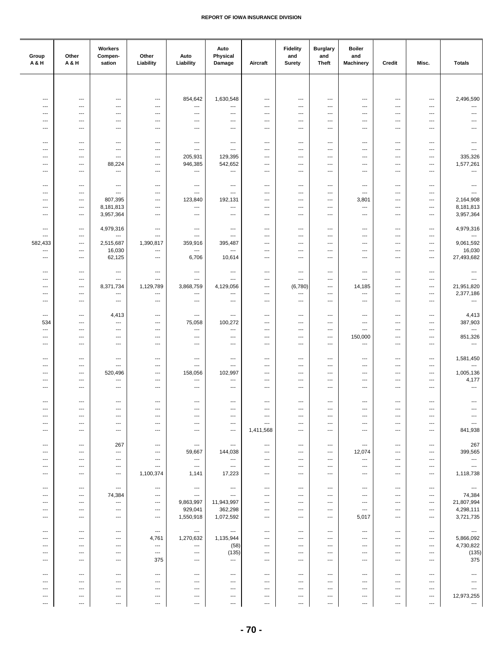| Group<br>A&H                                         | Other<br>A & H                                       | Workers<br>Compen-<br>sation                         | Other<br>Liability                             | Auto<br>Liability                                    | Auto<br>Physical<br>Damage                           | Aircraft                                             | <b>Fidelity</b><br>and<br><b>Surety</b>          | <b>Burglary</b><br>and<br><b>Theft</b> | <b>Boiler</b><br>and<br><b>Machinery</b>             | Credit                                               | Misc.                                            | <b>Totals</b>                       |
|------------------------------------------------------|------------------------------------------------------|------------------------------------------------------|------------------------------------------------|------------------------------------------------------|------------------------------------------------------|------------------------------------------------------|--------------------------------------------------|----------------------------------------|------------------------------------------------------|------------------------------------------------------|--------------------------------------------------|-------------------------------------|
|                                                      |                                                      |                                                      |                                                |                                                      |                                                      |                                                      |                                                  |                                        |                                                      |                                                      |                                                  |                                     |
| ---                                                  | $\qquad \qquad -\qquad$                              | $\overline{\phantom{a}}$                             | $\overline{\phantom{a}}$                       | 854,642                                              | 1,630,548                                            | $\overline{\phantom{a}}$                             | $\overline{\phantom{a}}$                         | ---                                    | ---                                                  | $\qquad \qquad \cdots$                               | $\qquad \qquad \cdots$                           | 2,496,590                           |
| ---                                                  | $\hspace{0.05cm} \ldots$                             | ---                                                  | ---                                            | $\cdots$                                             | ---                                                  | ---                                                  | $\overline{\phantom{a}}$                         | ---                                    | ---                                                  | $\overline{\phantom{a}}$                             | $\overline{\phantom{a}}$                         | ---                                 |
| $\overline{\phantom{a}}$<br>$\overline{\phantom{a}}$ | $\overline{\phantom{a}}$<br>$\overline{\phantom{a}}$ | ---<br>---                                           | ---<br>---                                     | ---<br>$\overline{\phantom{a}}$                      | $\overline{\phantom{a}}$<br>---                      | $\qquad \qquad \cdots$<br>$\qquad \qquad \cdots$     | ---<br>---                                       | ---<br>---                             | $\overline{\phantom{a}}$<br>---                      | $\overline{\phantom{a}}$<br>$\overline{\phantom{a}}$ | ---<br>---                                       | ---<br>---                          |
| $---$                                                | $---$                                                | $---$                                                | $---$                                          | $\overline{\phantom{a}}$                             | $---$                                                | $---$                                                | $---$                                            | $---$                                  | $\overline{\phantom{a}}$                             | $\overline{\phantom{a}}$                             | $---$                                            | $\overline{a}$                      |
|                                                      |                                                      |                                                      |                                                |                                                      |                                                      |                                                      |                                                  |                                        |                                                      |                                                      |                                                  |                                     |
| $\sim$<br>---                                        | $---$<br>$\overline{\phantom{a}}$                    | ---<br>$\overline{\phantom{a}}$                      | ---<br>---                                     | $\overline{\phantom{a}}$<br>$\cdots$                 | ---<br>---                                           | $---$<br>$\overline{\phantom{a}}$                    | ---<br>---                                       | ---<br>---                             | $---$<br>---                                         | $\overline{\phantom{a}}$<br>$\overline{\phantom{a}}$ | ---<br>$\overline{\phantom{a}}$                  | ---<br>---                          |
| ---                                                  | $\overline{\phantom{a}}$                             | $\overline{\phantom{a}}$                             | ---                                            | 205,931                                              | 129,395                                              | $\qquad \qquad \cdots$                               | ---                                              | ---                                    | ---                                                  | $\overline{\phantom{a}}$                             | ---                                              | 335,326                             |
| ---<br>$---$                                         | $\qquad \qquad -\qquad$<br>$---$                     | 88,224<br>$\overline{\phantom{a}}$                   | ---<br>---                                     | 946,385<br>$\cdots$                                  | 542,652<br>$\overline{\phantom{a}}$                  | $\qquad \qquad \cdots$<br>$---$                      | $\overline{\phantom{a}}$<br>$---$                | ---<br>$---$                           | ---<br>$---$                                         | $\overline{\phantom{a}}$<br>$---$                    | ---<br>---                                       | 1,577,261<br>$\qquad \qquad \cdots$ |
|                                                      |                                                      |                                                      |                                                |                                                      |                                                      |                                                      |                                                  |                                        |                                                      |                                                      |                                                  |                                     |
| ---<br>---                                           | $---$<br>---                                         | $\overline{\phantom{a}}$<br>---                      | ---<br>---                                     | $\overline{\phantom{a}}$<br>$\cdots$                 | $\overline{a}$<br>---                                | $\overline{\phantom{a}}$<br>---                      | ---<br>$\overline{\phantom{a}}$                  | ---<br>---                             | $\overline{\phantom{a}}$<br>---                      | $\overline{\phantom{a}}$<br>---                      | ---<br>---                                       | $\overline{\phantom{a}}$<br>---     |
| ---                                                  | $\qquad \qquad -\qquad$                              | 807,395                                              | $\qquad \qquad \cdots$                         | 123,840                                              | 192,131                                              | ---                                                  | ---                                              | ---                                    | 3,801                                                | $\ldots$                                             | $\qquad \qquad \cdots$                           | 2,164,908                           |
| ---<br>---                                           | $\qquad \qquad -\qquad$<br>$---$                     | 8,181,813<br>3,957,364                               | ---<br>---                                     | $\hspace{0.05cm} \ldots$<br>$\overline{\phantom{a}}$ | $\overline{\phantom{a}}$<br>$\qquad \qquad \cdots$   | $\qquad \qquad \cdots$<br>$\overline{\phantom{a}}$   | ---<br>---                                       | ---<br>---                             | ---<br>---                                           | $\qquad \qquad \cdots$<br>$\overline{\phantom{a}}$   | ---<br>---                                       | 8,181,813<br>3,957,364              |
|                                                      |                                                      |                                                      |                                                |                                                      |                                                      |                                                      |                                                  |                                        |                                                      |                                                      |                                                  |                                     |
| ---<br>---                                           | $\overline{\phantom{a}}$<br>$---$                    | 4,979,316<br>---                                     | $\overline{\phantom{a}}$<br>---                | $\overline{\phantom{a}}$<br>$\overline{\phantom{a}}$ | $\overline{a}$<br>---                                | $---$<br>$---$                                       | $\overline{\phantom{a}}$<br>---                  | ---<br>---                             | $---$<br>---                                         | $\overline{\phantom{a}}$<br>---                      | $---$<br>---                                     | 4,979,316<br>---                    |
| 582,433                                              | $\hspace{0.05cm} \ldots$                             | 2,515,687                                            | 1,390,817                                      | 359,916                                              | 395,487                                              | ---                                                  | ---                                              | ---                                    | ---                                                  | ---                                                  | ---                                              | 9,061,592                           |
| ---<br>---                                           | $\overline{\phantom{a}}$<br>$\overline{\phantom{a}}$ | 16,030<br>62,125                                     | ---<br>---                                     | $\hspace{0.05cm} \ldots$<br>6,706                    | $\overline{\phantom{a}}$<br>10,614                   | $\overline{\phantom{a}}$<br>$\overline{\phantom{a}}$ | ---<br>---                                       | ---<br>---                             | ---<br>---                                           | $\overline{\phantom{a}}$<br>$\overline{\phantom{a}}$ | ---<br>---                                       | 16,030<br>27,493,682                |
|                                                      |                                                      |                                                      |                                                |                                                      |                                                      |                                                      |                                                  |                                        |                                                      |                                                      |                                                  |                                     |
| $\overline{\phantom{a}}$<br>$\overline{\phantom{a}}$ | $\overline{\phantom{a}}$<br>$\overline{\phantom{a}}$ | $\overline{\phantom{a}}$<br>$\overline{\phantom{a}}$ | $\qquad \qquad \cdots$<br>---                  | $\hspace{0.05cm} \ldots$<br>$\overline{\phantom{a}}$ | $---$<br>---                                         | $\overline{\phantom{a}}$<br>$---$                    | $---$<br>---                                     | ---<br>$\overline{\phantom{a}}$        | $\overline{\phantom{a}}$<br>---                      | $\overline{\phantom{a}}$<br>$---$                    | $---$<br>---                                     | $\hspace{0.05cm} \ldots$<br>---     |
| ---                                                  | $\qquad \qquad -\qquad$                              | 8,371,734                                            | 1,129,789                                      | 3,868,759                                            | 4,129,056                                            | $\qquad \qquad \cdots$                               | (6,780)                                          | ---                                    | 14,185                                               | $\ldots$                                             | $\qquad \qquad \cdots$                           | 21,951,820                          |
| ---<br>---                                           | $\qquad \qquad -\qquad$<br>$\hspace{0.05cm} \ldots$  | $\qquad \qquad \cdots$<br>$\overline{\phantom{a}}$   | ---<br>$\qquad \qquad \cdots$                  | $\hspace{0.05cm} \ldots$<br>$\hspace{0.05cm} \ldots$ | ---<br>$\qquad \qquad \cdots$                        | $\qquad \qquad \cdots$<br>$\qquad \qquad \cdots$     | ---<br>---                                       | ---<br>---                             | $\hspace{0.05cm} \ldots$<br>$\overline{\phantom{a}}$ | $\overline{\phantom{a}}$<br>$\qquad \qquad \cdots$   | $\qquad \qquad \cdots$<br>$\qquad \qquad \cdots$ | 2,377,186<br>$\ldots$               |
|                                                      |                                                      |                                                      |                                                |                                                      |                                                      |                                                      |                                                  |                                        |                                                      |                                                      |                                                  |                                     |
| ---<br>534                                           | $---$<br>$\overline{\phantom{a}}$                    | 4,413<br>---                                         | ---<br>---                                     | $\overline{\phantom{a}}$<br>75,058                   | ---<br>100,272                                       | $---$<br>$\overline{\phantom{a}}$                    | ---<br>---                                       | ---<br>---                             | ---<br>---                                           | $\overline{a}$<br>$\overline{a}$                     | ---<br>---                                       | 4,413<br>387,903                    |
| ---                                                  | $\hspace{0.05cm} \ldots$                             | ---                                                  | ---                                            | $\hspace{0.05cm} \ldots$                             | ---                                                  | $\overline{\phantom{a}}$                             | ---                                              | ---                                    | ---                                                  | $\overline{\phantom{a}}$                             | ---                                              | ---                                 |
| ---<br>---                                           | $\qquad \qquad -\qquad$<br>$\hspace{0.05cm} \ldots$  | ---<br>---                                           | ---<br>$\overline{\phantom{a}}$                | $\cdots$<br>$\hspace{0.05cm} \ldots$                 | ---<br>---                                           | $\overline{\phantom{a}}$<br>---                      | ---<br>---                                       | ---<br>---                             | 150,000<br>---                                       | $\overline{\phantom{a}}$<br>$\overline{\phantom{a}}$ | ---<br>---                                       | 851,326<br>$\cdots$                 |
|                                                      |                                                      |                                                      |                                                |                                                      |                                                      |                                                      |                                                  |                                        |                                                      |                                                      |                                                  |                                     |
| ---<br>---                                           | $---$<br>$\overline{\phantom{a}}$                    | $\qquad \qquad \cdots$<br>---                        | ---<br>---                                     | $\qquad \qquad \cdots$<br>$\overline{\phantom{a}}$   | $\overline{\phantom{a}}$<br>$\overline{\phantom{a}}$ | $---$<br>$\overline{\phantom{a}}$                    | ---<br>---                                       | ---<br>---                             | $\overline{\phantom{a}}$<br>$\overline{\phantom{a}}$ | $---$<br>$---$                                       | ---<br>---                                       | 1,581,450<br>---                    |
| ---                                                  | $\qquad \qquad -\qquad$                              | 520,496                                              | ---                                            | 158,056                                              | 102,997                                              | ---                                                  | ---                                              | ---                                    | ---                                                  | $\ldots$                                             | $\qquad \qquad \cdots$                           | 1,005,136                           |
| ---<br>---                                           | $\qquad \qquad -\qquad$<br>$\overline{\phantom{a}}$  | ---<br>---                                           | ---<br>---                                     | $\cdots$<br>$\overline{\phantom{a}}$                 | $\overline{\phantom{a}}$<br>---                      | ---<br>$\qquad \qquad \cdots$                        | ---<br>---                                       | ---<br>---                             | ---<br>---                                           | $\ldots$<br>$\qquad \qquad \cdots$                   | $\qquad \qquad \cdots$<br>---                    | 4,177<br>---                        |
|                                                      |                                                      |                                                      |                                                |                                                      |                                                      |                                                      |                                                  |                                        |                                                      |                                                      |                                                  |                                     |
| $---$<br>$\overline{\phantom{a}}$                    | $---$<br>$---$                                       | $---$<br>$---$                                       | $---$<br>---                                   | $\hspace{0.05cm} \cdots$<br>$\overline{\phantom{a}}$ | $---$<br>$---$                                       | $\overline{\phantom{a}}$<br>$---$                    | ---<br>---                                       | ---<br>---                             | $---$                                                | $\qquad \qquad \cdots$<br>$\overline{\phantom{a}}$   | ---<br>---                                       | $\hspace{0.05cm} \ldots$            |
| $\overline{\phantom{a}}$                             | $---$                                                | ---                                                  | $---$                                          | $\overline{\phantom{a}}$                             | ---                                                  | $---$                                                | $\overline{\phantom{a}}$                         | ---                                    | ---                                                  | $---$                                                | ---                                              | $---$                               |
| ---<br>---                                           | $\hspace{0.05cm} \ldots$<br>$\qquad \qquad -\qquad$  | ---<br>$\qquad \qquad \cdots$                        | ---<br>$\qquad \qquad \cdots$                  | $\hspace{0.05cm} \ldots$<br>$\hspace{0.05cm} \ldots$ | ---<br>$\overline{\phantom{a}}$                      | $\qquad \qquad \cdots$<br>1,411,568                  | ---<br>---                                       | ---<br>---                             | ---<br>---                                           | $\qquad \qquad \cdots$<br>$\qquad \qquad \cdots$     | ---<br>$\qquad \qquad \cdots$                    | ---<br>841,938                      |
|                                                      |                                                      |                                                      |                                                |                                                      |                                                      |                                                      |                                                  | $\cdots$                               |                                                      | $---$                                                | $\cdots$                                         |                                     |
| $\overline{\phantom{a}}$<br>---                      | $\hspace{0.05cm} \ldots$<br>$---$                    | 267<br>$---$                                         | $\sim$<br>$\cdots$                             | $\sim$<br>59,667                                     | $\hspace{0.05cm} \ldots$<br>144,038                  | $\cdots$<br>$---$                                    | $\cdots$<br>$---$                                | $\overline{\phantom{a}}$               | $\overline{\phantom{a}}$<br>12,074                   | $---$                                                | $---$                                            | 267<br>399,565                      |
| $\overline{\phantom{a}}$                             | $---$                                                | $---$                                                | $\hspace{0.05cm} \ldots$                       | $\hspace{0.05cm} \ldots$                             | $\sim$                                               | $\cdots$                                             | ---                                              | $\cdots$                               | $\hspace{0.05cm} \ldots$                             | $\overline{\phantom{a}}$                             | $\cdots$                                         | $\ldots$<br>$\sim$                  |
| ---<br>---                                           | $\qquad \qquad \cdots$<br>$\qquad \qquad -\qquad$    | $\qquad \qquad \cdots$<br>$\scriptstyle\cdots$       | ---<br>1,100,374                               | $\hspace{0.05cm} \ldots$<br>1,141                    | $\sim$<br>17,223                                     | $\cdots$<br>---                                      | ---<br>$\qquad \qquad \cdots$                    | $\cdots$<br>---                        | $\hspace{0.05cm} \ldots$<br>$\hspace{0.05cm} \cdots$ | $\qquad \qquad \cdots$<br>$\qquad \qquad \cdots$     | $\cdots$<br>---                                  | 1,118,738                           |
| ---                                                  | $\hspace{0.05cm} \ldots$                             | $\hspace{0.05cm} \ldots$                             | $\qquad \qquad \cdots$                         | $\hspace{0.05cm} \ldots$                             | $\hspace{0.05cm} \ldots$                             | $---$                                                | ---                                              | $\hspace{0.05cm} \ldots$               | $\qquad \qquad \cdots$                               | $---$                                                | $\qquad \qquad \cdots$                           | $\hspace{0.05cm} \ldots$            |
| $\overline{\phantom{a}}$                             | $---$                                                | 74,384                                               | $\cdots$                                       | ---                                                  | $---$                                                | $\overline{\phantom{a}}$                             | ---                                              | ---                                    | ---                                                  | $\overline{\phantom{a}}$                             | $\overline{\phantom{a}}$                         | 74,384                              |
| $\overline{\phantom{a}}$<br>---                      | $---$<br>$\qquad \qquad -\qquad$                     | $\overline{\phantom{a}}$<br>$\qquad \qquad \cdots$   | $\cdots$<br>$\qquad \qquad \cdots$             | 9,863,997<br>929,041                                 | 11,943,997<br>362,298                                | $---$<br>$\qquad \qquad \cdots$                      | ---<br>---                                       | ---<br>---                             | $---$<br>$\hspace{0.05cm} \ldots$                    | $---$<br>---                                         | $\cdots$<br>$\qquad \qquad \cdots$               | 21,807,994<br>4,298,111             |
| ---                                                  | $\qquad \qquad -\qquad$                              | $\qquad \qquad \cdots$                               | $\qquad \qquad \cdots$                         | 1,550,918                                            | 1,072,592                                            | $\qquad \qquad \cdots$                               | ---                                              | ---                                    | 5,017                                                | $\qquad \qquad \cdots$                               | $\qquad \qquad \cdots$                           | 3,721,735                           |
| $\overline{\phantom{a}}$                             | $\hspace{0.05cm} \ldots$                             | $\qquad \qquad \cdots$                               | $\hspace{0.05cm} \cdots$                       | $\qquad \qquad \cdots$                               | $\qquad \qquad - -$                                  | $---$                                                | ---                                              | $\hspace{0.05cm} \ldots$               | $\overline{\phantom{a}}$                             | $\overline{\phantom{a}}$                             | $\overline{\phantom{a}}$                         | $\scriptstyle\cdots$                |
| ---                                                  | $\scriptstyle\cdots$                                 | $---$                                                | 4,761                                          | 1,270,632                                            | 1,135,944                                            | $---$                                                | ---                                              | $\cdots$                               | $\overline{\phantom{a}}$                             | $\overline{\phantom{a}}$                             | $---$                                            | 5,866,092                           |
| ---                                                  | $---$                                                | $---$                                                | $\qquad \qquad \cdots$<br>$\scriptstyle\cdots$ | $\hspace{0.05cm} \ldots$<br>$\hspace{0.05cm} \ldots$ | (58)                                                 | $---$                                                | ---                                              | ---                                    | $---$                                                | $---$<br>$\ldots$                                    | $\cdots$                                         | 4,730,822                           |
| $\cdots$<br>---                                      | $\qquad \qquad \cdots$<br>$\qquad \qquad \cdots$     | $\qquad \qquad \cdots$<br>$\qquad \qquad \cdots$     | 375                                            | $\hspace{0.05cm} \ldots$                             | (135)<br>$\hspace{0.05cm} \ldots$                    | $\cdots$<br>$\cdots$                                 | $\qquad \qquad \cdots$<br>$\qquad \qquad \cdots$ | $\cdots$<br>$\cdots$                   | $\hspace{0.05cm} \ldots$<br>$\cdots$                 | $\ldots$                                             | $\cdots$<br>$\qquad \qquad \cdots$               | (135)<br>375                        |
| ---                                                  | $---$                                                | $---$                                                | $\cdots$                                       | $\cdots$                                             | $---$                                                | $\cdots$                                             | $---$                                            | $\cdots$                               | $---$                                                | $\cdots$                                             | ---                                              | $\cdots$                            |
| ---                                                  | $---$                                                | $---$                                                | $\cdots$                                       | $\overline{\phantom{a}}$                             | $---$                                                | $\cdots$                                             | ---                                              | $\cdots$                               | $---$                                                | $---$                                                | ---                                              | $---$                               |
| $\overline{\phantom{a}}$<br>$\overline{\phantom{a}}$ | $\overline{\phantom{a}}$                             | $---$                                                | $---$<br>$---$                                 | $\overline{\phantom{a}}$<br>$\cdots$                 | $---$                                                | $---$                                                | $\overline{\phantom{a}}$<br>$---$                | $\overline{\phantom{a}}$               | ---                                                  | $---$                                                | $---$                                            | ---<br>12,973,255                   |
| $\cdots$                                             | $\qquad \qquad -$<br>$\qquad \qquad \cdots$          | ---<br>$\qquad \qquad \cdots$                        | $\qquad \qquad \cdots$                         | ---                                                  | ---<br>$\qquad \qquad \cdots$                        | $---$<br>$\cdots$                                    | $\cdots$                                         | ---<br>---                             | ---<br>---                                           | $---$<br>---                                         | $---$<br>---                                     | $\overline{\phantom{a}}$            |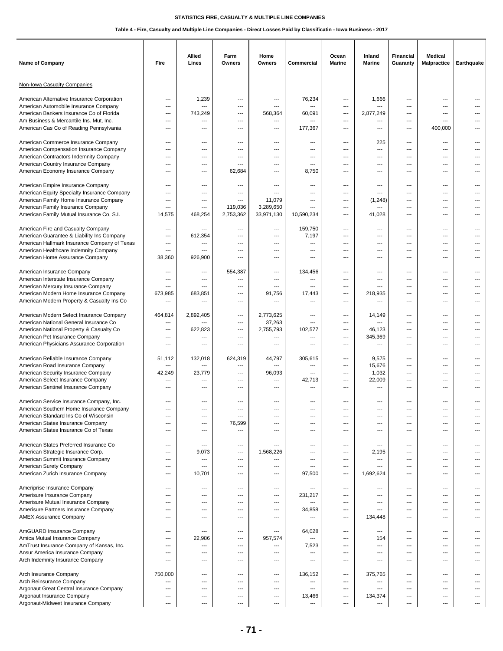| <b>Name of Company</b>                                                                                             | Fire              | Allied<br>Lines       | Farm<br><b>Owners</b> | Home<br>Owners                     | Commercial          | Ocean<br><b>Marine</b>   | Inland<br><b>Marine</b>  | <b>Financial</b><br>Guaranty           | <b>Medical</b><br><b>Malpractice</b>                             | Earthquake          |
|--------------------------------------------------------------------------------------------------------------------|-------------------|-----------------------|-----------------------|------------------------------------|---------------------|--------------------------|--------------------------|----------------------------------------|------------------------------------------------------------------|---------------------|
| Non-Iowa Casualty Companies                                                                                        |                   |                       |                       |                                    |                     |                          |                          |                                        |                                                                  |                     |
| American Alternative Insurance Corporation                                                                         | ---               | 1,239                 | ---                   | ---                                | 76,234              | ---                      | 1,666                    | ---                                    | $\overline{\phantom{a}}$                                         | ---                 |
| American Automobile Insurance Company                                                                              | ---               | ---                   | ---                   | ---                                | ---                 | ---                      | ---                      | ---                                    | ---                                                              |                     |
| American Bankers Insurance Co of Florida                                                                           | ---               | 743,249               | ---                   | 568,364                            | 60,091              | ---                      | 2,877,249                | ---                                    | $\overline{\phantom{a}}$                                         |                     |
| Am Business & Mercantile Ins. Mut. Inc.                                                                            | ---               | ---                   | ---                   | ---                                | ---                 | ---                      | ---                      | ---                                    | $\overline{\phantom{a}}$                                         | ---                 |
| American Cas Co of Reading Pennsylvania                                                                            | ---               | $---$                 | $---$                 | ---                                | 177,367             | ---                      | ---                      | $---$                                  | 400,000                                                          | ---                 |
| American Commerce Insurance Company                                                                                | ---               | ---                   | $---$                 | $---$                              | ---                 | ---                      | 225                      | $\overline{\phantom{a}}$               | $\cdots$                                                         | ---                 |
| American Compensation Insurance Company                                                                            | ---               | ---                   | ---                   | ---                                | ---                 | ---                      | ---                      | ---                                    | $\overline{\phantom{a}}$                                         | ---                 |
| American Contractors Indemnity Company<br>American Country Insurance Company<br>American Economy Insurance Company | ---<br>---<br>--- | ---<br>---<br>---     | ---<br>---<br>62,684  | ---<br>---<br>---                  | ---<br>---<br>8,750 | ---<br>---<br>$---$      | ---<br>---<br>---        | $---$<br>---<br>---                    | $---$<br>$\qquad \qquad \cdots$<br>$---$                         | ---<br>---          |
| American Empire Insurance Company                                                                                  | ---               | ---                   | ---                   | ---                                | ---                 | ---                      | ---                      | $\overline{\phantom{a}}$               | $\overline{\phantom{a}}$                                         | ---                 |
| American Equity Specialty Insurance Company                                                                        | ---               | ---                   | ---                   | ---                                | ---                 | ---                      | ---                      | ---                                    | $\overline{\phantom{a}}$                                         |                     |
| American Family Home Insurance Company                                                                             | ---               | ---                   | ---                   | 11,079                             | ---                 | ---                      | (1, 248)                 | ---                                    | $\overline{\phantom{a}}$                                         | ---                 |
| American Family Insurance Company                                                                                  | ---               | ---                   | 119,036               | 3,289,650                          | ---                 | ---                      | ---                      | ---                                    | $\overline{\phantom{a}}$                                         |                     |
| American Family Mutual Insurance Co, S.I.                                                                          | 14,575            | 468,254               | 2,753,362             | 33,971,130                         | 10,590,234          | $---$                    | 41,028                   | $---$                                  | $---$                                                            | $---$               |
| American Fire and Casualty Company                                                                                 | ---               | ---                   | $---$                 | ---                                | 159,750             | ---                      | ---                      | $\overline{\phantom{a}}$               | $\cdots$                                                         | ---                 |
| American Guarantee & Liability Ins Company                                                                         | ---               | 612,354               | ---                   | ---                                | 7,197               | ---                      | $\overline{a}$           | $\overline{\phantom{a}}$               | $\overline{\phantom{a}}$                                         | ---                 |
| American Hallmark Insurance Company of Texas                                                                       | ---               | ---                   | ---                   | ---                                | ---                 | ---                      | ---                      | ---                                    | $\overline{\phantom{a}}$                                         | ---                 |
| American Healthcare Indemnity Company                                                                              | ---               | ---                   | ---                   | ---                                | ---                 | ---                      | ---                      | ---                                    | $\overline{\phantom{a}}$                                         | ---                 |
| American Home Assurance Company                                                                                    | 38,360            | 926,900               | ---                   | ---                                | ---                 | ---                      | ---                      | ---                                    | $\overline{\phantom{a}}$                                         | ---                 |
| American Insurance Company                                                                                         | ---               | ---                   | 554,387               | ---                                | 134,456             | ---                      | $\overline{\phantom{a}}$ | ---                                    | $\overline{\phantom{a}}$                                         | ---                 |
| American Interstate Insurance Company                                                                              | ---               | ---                   | ---                   | ---                                | ---                 | ---                      | ---                      | $\overline{\phantom{a}}$               | $---$                                                            | ---                 |
| American Mercury Insurance Company                                                                                 | ---               | ---                   | ---                   | ---                                | ---                 | ---                      | ---                      | ---                                    | $\overline{a}$                                                   | ---                 |
| American Modern Home Insurance Company                                                                             | 673,985           | 683,851               | ---                   | 91,756                             | 17,443              | ---                      | 218,935                  | ---                                    | $---$                                                            |                     |
| American Modern Property & Casualty Ins Co                                                                         | ---               | ---                   | ---                   | ---                                | ---                 | ---                      | ---                      | ---                                    | $---$                                                            | ---                 |
| American Modern Select Insurance Company                                                                           | 464,814           | 2,892,405             | ---                   | 2,773,625                          | ---                 | ---                      | 14,149                   | $---$                                  | $\cdots$                                                         |                     |
| American National General Insurance Co                                                                             | ---               | ---                   | ---                   | 37,263                             | ---                 | ---                      | ---                      | $\overline{\phantom{a}}$               | $---$                                                            | ---                 |
| American National Property & Casualty Co                                                                           | ---               | 622,823               | ---                   | 2,755,793                          | 102,577             | $\hspace{0.05cm} \ldots$ | 46,123                   | $\hspace{0.05cm} \ldots$               | $\overline{\phantom{a}}$                                         | ---                 |
| American Pet Insurance Company                                                                                     | ---               | ---                   | ---                   | ---                                | ---                 | ---                      | 345,369                  | ---                                    | $---$                                                            | ---                 |
| American Physicians Assurance Corporation                                                                          | ---               | ---                   | ---                   | ---                                | ---                 | ---                      | ---                      | ---                                    | ---                                                              |                     |
| American Reliable Insurance Company                                                                                | 51,112            | 132,018               | 624,319               | 44,797                             | 305,615             | $---$                    | 9,575                    | $---$                                  | $---$                                                            | $---$               |
| American Road Insurance Company                                                                                    | ---               | ---                   | ---                   | ---                                | ---                 | ---                      | 15,676                   | $---$                                  | $---$                                                            |                     |
| American Security Insurance Company                                                                                | 42,249            | 23,779                | ---                   | 96,093                             | ---                 | ---                      | 1,032                    | ---                                    | $---$                                                            | ---                 |
| American Select Insurance Company                                                                                  | ---               | ---                   | ---                   | ---                                | 42,713              | ---                      | 22,009                   | ---                                    | $\overline{a}$                                                   |                     |
| American Sentinel Insurance Company                                                                                | ---               | ---                   | ---                   | ---                                | ---                 | ---                      | ---                      | ---                                    | ---                                                              |                     |
| American Service Insurance Company, Inc.                                                                           | ---               | $---$                 | $---$                 | $---$                              | ---                 | ---                      | $---$                    | $---$                                  | $---$                                                            |                     |
| American Southern Home Insurance Company                                                                           | ---               | ---                   | ---                   | ---                                | ---                 | ---                      | $---$                    | ---                                    | $---$                                                            | ---                 |
| American Standard Ins Co of Wisconsin                                                                              | ---               | ---                   | ---                   | ---                                | ---                 | ---                      | ---                      | $\overline{a}$                         | $\overline{\phantom{a}}$                                         |                     |
| American States Insurance Company                                                                                  | ---               | ---                   | 76,599                | ---                                | ---                 | ---                      | ---                      | ---                                    | $\overline{\phantom{a}}$                                         |                     |
| American States Insurance Co of Texas                                                                              | ---               | ---                   | ---                   | ---                                | ---                 | ---                      | ---                      | ---                                    | $\overline{\phantom{a}}$                                         | ---                 |
| American States Preferred Insurance Co<br>American Strategic Insurance Corp.<br>American Summit Insurance Company  | ---<br>---        | $---$<br>9,073<br>--- | $---$<br>---          | $\overline{a}$<br>1,568,226<br>--- | ---<br>---<br>---   | $---$<br>---             | $---$<br>2,195<br>---    | $---$<br>---                           | $---$<br>$\cdots$                                                | $---$<br>---<br>--- |
| American Surety Company<br>American Zurich Insurance Company                                                       | ---<br>---<br>--- | ---<br>10,701         | ---<br>---<br>---     | ---<br>---                         | ---<br>97,500       | ---<br>---<br>---        | ---<br>1,692,624         | $\overline{\phantom{a}}$<br>---<br>--- | $\cdots$<br>$\overline{\phantom{a}}$<br>$\overline{\phantom{a}}$ | ---                 |
| Ameriprise Insurance Company                                                                                       | ---               | ---                   | $\cdots$              | ---                                | ---                 | ---                      | $---$                    | $---$                                  | $\cdots$                                                         | ---                 |
| Amerisure Insurance Company                                                                                        | $---$             | $---$                 | ---                   | ---                                | 231,217             | $---$                    | $---$                    | $---$                                  | $\cdots$                                                         | $---$               |
| Amerisure Mutual Insurance Company                                                                                 | ---               | ---                   | ---                   | $\overline{\phantom{a}}$           | ---                 | ---                      | ---                      | $\overline{\phantom{a}}$               | $\cdots$                                                         | $---$               |
| Amerisure Partners Insurance Company                                                                               | ---               | ---                   | ---                   | ---                                | 34,858              | ---                      | ---                      | ---                                    | $\qquad \qquad \cdots$                                           | ---                 |
| <b>AMEX Assurance Company</b>                                                                                      | ---               | ---                   | ---                   | ---                                | ---                 | ---                      | 134,448                  | $---$                                  | $\overline{\phantom{a}}$                                         | ---                 |
| AmGUARD Insurance Company                                                                                          | ---               | ---                   | ---                   | ---                                | 64,028              | ---                      | $---$                    | $---$                                  | $\cdots$                                                         | ---                 |
| Amica Mutual Insurance Company                                                                                     | $---$             | 22,986                | ---                   | 957,574                            | $\overline{a}$      | $---$                    | 154                      | $---$                                  | $---$                                                            | $---$               |
| AmTrust Insurance Company of Kansas, Inc.                                                                          | ---               | ---                   | ---                   | ---                                | 7,523               | ---                      | ---                      | $\overline{\phantom{a}}$               | $\cdots$                                                         | $---$               |
| Ansur America Insurance Company                                                                                    | ---               | ---                   | ---                   | ---                                | ---                 | ---                      | ---                      | ---                                    | $\overline{\phantom{a}}$                                         | ---                 |
| Arch Indemnity Insurance Company                                                                                   | ---               | ---                   | ---                   | ---                                | ---                 | ---                      | ---                      | ---                                    | $\overline{\phantom{a}}$                                         | ---                 |
| Arch Insurance Company                                                                                             | 750,000           | $---$                 | $---$                 | ---                                | 136,152             | ---                      | 375,765                  | $---$                                  | $---$                                                            | $---$               |
| Arch Reinsurance Company                                                                                           | ---               | $---$                 | $---$                 | $---$                              | ---                 | $---$                    | $\overline{\phantom{a}}$ | $---$                                  | $---$                                                            | $---$               |
| Argonaut Great Central Insurance Company                                                                           | ---               | ---                   | ---                   | ---                                | $\overline{a}$      | ---                      | $\overline{a}$           | $---$                                  | $\cdots$                                                         | ---                 |
| Argonaut Insurance Company                                                                                         | $---$             | ---                   | ---                   | ---                                | 13,466              | ---                      | 134,374                  | $\overline{\phantom{a}}$               | $---$                                                            | ---                 |
| Argonaut-Midwest Insurance Company                                                                                 | ---               | ---                   | ---                   | ---                                | ---                 | ---                      | ---                      | ---                                    | $\overline{\phantom{a}}$                                         | ---                 |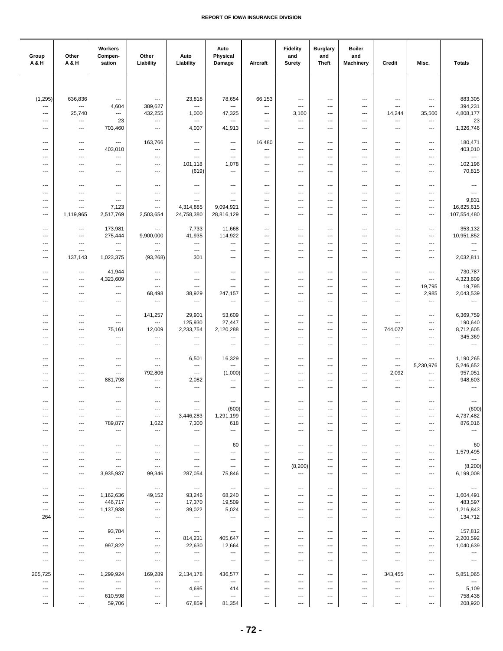| Group<br>A & H                    | Other<br><b>A&amp;H</b>         | Workers<br>Compen-<br>sation                         | Other<br>Liability                                 | Auto<br>Liability                                    | Auto<br>Physical<br>Damage                           | Aircraft                                           | <b>Fidelity</b><br>and<br><b>Surety</b> | <b>Burglary</b><br>and<br><b>Theft</b>               | <b>Boiler</b><br>and<br><b>Machinery</b>             | Credit                                             | Misc.                                                | <b>Totals</b>                       |
|-----------------------------------|---------------------------------|------------------------------------------------------|----------------------------------------------------|------------------------------------------------------|------------------------------------------------------|----------------------------------------------------|-----------------------------------------|------------------------------------------------------|------------------------------------------------------|----------------------------------------------------|------------------------------------------------------|-------------------------------------|
|                                   |                                 |                                                      |                                                    |                                                      |                                                      |                                                    |                                         |                                                      |                                                      |                                                    |                                                      |                                     |
|                                   |                                 |                                                      |                                                    |                                                      |                                                      |                                                    |                                         |                                                      |                                                      |                                                    |                                                      |                                     |
| (1, 295)<br>---                   | 636,836<br>$\scriptstyle\cdots$ | $\hspace{0.05cm} \ldots$<br>4,604                    | $\qquad \qquad \cdots$<br>389,627                  | 23,818<br>$\cdots$                                   | 78,654<br>$\hspace{0.05cm} \ldots$                   | 66,153<br>$\cdots$                                 | ---<br>---                              | ---<br>$\overline{\phantom{a}}$                      | $\hspace{0.05cm} \cdots$<br>$\hspace{0.05cm} \cdots$ | $\scriptstyle\cdots$<br>$\overline{\phantom{a}}$   | $\scriptstyle\cdots$<br>$\qquad \qquad \cdots$       | 883,305<br>394,231                  |
| $\cdots$                          | 25,740                          | ---                                                  | 432,255                                            | 1,000                                                | 47,325                                               | ---                                                | 3,160                                   | $---$                                                | $---$                                                | 14,244                                             | 35,500                                               | 4,808,177                           |
| $---$<br>$\hspace{0.05cm} \ldots$ | ---<br>---                      | 23<br>703,460                                        | $\ldots$<br>$\ldots$                               | $\cdots$<br>4,007                                    | $\ldots$<br>41,913                                   | $---$<br>$\cdots$                                  | ---<br>---                              | $---$<br>$\qquad \qquad \cdots$                      | $\overline{\phantom{a}}$<br>$\hspace{0.05cm} \ldots$ | $\overline{\phantom{a}}$<br>---                    | ---<br>$\cdots$                                      | 23<br>1,326,746                     |
|                                   |                                 |                                                      |                                                    |                                                      |                                                      |                                                    |                                         |                                                      |                                                      |                                                    |                                                      |                                     |
| $\overline{\phantom{a}}$<br>$---$ | ---<br>$\overline{\phantom{a}}$ | ---<br>403,010                                       | 163,766<br>$\overline{\phantom{a}}$                | ---<br>$\cdots$                                      | $\hspace{0.05cm} \ldots$<br>$\overline{\phantom{a}}$ | 16,480<br>---                                      | ---<br>$---$                            | $\hspace{0.05cm} \cdots$<br>$---$                    | $\hspace{0.05cm} \ldots$<br>$\overline{\phantom{a}}$ | ---<br>---                                         | $\scriptstyle\cdots$<br>$\overline{\phantom{a}}$     | 180,471<br>403,010                  |
| $---$                             | ---                             | ---                                                  | $\qquad \qquad \cdots$                             | $\overline{\phantom{a}}$                             | $\overline{\phantom{a}}$                             | $\cdots$                                           | ---                                     | $\overline{\phantom{a}}$                             | $\hspace{0.05cm} \cdots$                             | ---                                                | ---                                                  | $\hspace{0.05cm} \ldots$            |
| $---$<br>---                      | ---<br>---                      | $---$<br>---                                         | $\overline{\phantom{a}}$<br>$\qquad \qquad \cdots$ | 101,118<br>(619)                                     | 1,078<br>$\hspace{0.05cm} \ldots$                    | $\overline{\phantom{a}}$<br>$\qquad \qquad \cdots$ | ---<br>---                              | $\overline{\phantom{a}}$<br>---                      | ---<br>$---$                                         | ---<br>---                                         | $\overline{\phantom{a}}$<br>$---$                    | 102,196<br>70,815                   |
|                                   |                                 |                                                      |                                                    |                                                      |                                                      |                                                    |                                         |                                                      |                                                      |                                                    |                                                      |                                     |
| ---<br>$---$                      | ---<br>---                      | $\overline{\phantom{a}}$<br>$\overline{\phantom{a}}$ | $\qquad \qquad \cdots$<br>$\overline{\phantom{a}}$ | $\hspace{0.05cm} \ldots$<br>$\overline{\phantom{a}}$ | $\qquad \qquad \cdots$<br>$\overline{\phantom{a}}$   | $\qquad \qquad \cdots$<br>$\cdots$                 | ---<br>---                              | ---<br>$---$                                         | $\hspace{0.05cm} \ldots$<br>$---$                    | ---<br>$\overline{a}$                              | ---<br>$\overline{\phantom{a}}$                      | ---<br>$\sim$                       |
| $---$                             | ---                             | $\overline{\phantom{a}}$                             | $\overline{\phantom{a}}$                           | ---                                                  | $\overline{\phantom{a}}$                             | $\cdots$                                           | ---                                     | $\sim$                                               | $\overline{\phantom{a}}$                             | $\overline{a}$                                     | $\overline{\phantom{a}}$                             | 9,831                               |
| $---$<br>$\hspace{0.05cm} \ldots$ | ---<br>1,119,965                | 7,123<br>2,517,769                                   | $\overline{\phantom{a}}$<br>2,503,654              | 4,314,885<br>24,758,380                              | 9,094,921<br>28,816,129                              | ---<br>$\cdots$                                    | ---<br>---                              | $\overline{\phantom{a}}$<br>---                      | $\overline{\phantom{a}}$<br>$\cdots$                 | ---<br>---                                         | $---$<br>$\cdots$                                    | 16,825,615<br>107,554,480           |
|                                   |                                 |                                                      |                                                    |                                                      |                                                      |                                                    |                                         |                                                      |                                                      |                                                    |                                                      |                                     |
| $\hspace{0.05cm} \ldots$          | $\qquad \qquad \cdots$          | 173,981                                              | $\qquad \qquad \cdots$                             | 7,733                                                | 11,668                                               | $\qquad \qquad \cdots$                             | ---                                     | ---                                                  | $\hspace{0.05cm} \ldots$                             | ---                                                | ---                                                  | 353,132                             |
| ---<br>$\sim$                     | ---<br>---                      | 275,444<br>$\overline{\phantom{a}}$                  | 9,900,000<br>$\qquad \qquad \cdots$                | 41,935<br>$\sim$                                     | 114,922<br>$\overline{\phantom{a}}$                  | $\qquad \qquad \cdots$<br>---                      | ---<br>---                              | ---<br>$\overline{\phantom{a}}$                      | $\overline{\phantom{a}}$<br>---                      | ---<br>---                                         | ---<br>---                                           | 10,951,852<br>---                   |
| $\overline{\phantom{a}}$          | ---                             | $\overline{\phantom{a}}$                             | $\overline{\phantom{a}}$                           | $\cdots$                                             | $\overline{\phantom{a}}$                             | $---$                                              | ---                                     | $\overline{\phantom{a}}$                             | $---$                                                | ---                                                | ---                                                  | $\sim$                              |
| $\overline{\phantom{a}}$          | 137,143                         | 1,023,375                                            | (93, 268)                                          | 301                                                  | $\overline{\phantom{a}}$                             | ---                                                | ---                                     | $\overline{\phantom{a}}$                             | ---                                                  | ---                                                | $---$                                                | 2,032,811                           |
| ---                               | ---                             | 41,944                                               | $\qquad \qquad \cdots$                             | $\hspace{0.05cm} \ldots$                             | $\qquad \qquad \cdots$                               | $\qquad \qquad \cdots$                             | ---                                     | ---                                                  | $\overline{\phantom{a}}$                             | ---                                                | $\scriptstyle\cdots$                                 | 730,787                             |
| ---                               | ---                             | 4,323,609                                            | $\hspace{0.05cm} \cdots$                           | $\hspace{0.05cm} \cdots$                             | ---                                                  | ---                                                | ---                                     | ---                                                  | ---                                                  | ---                                                | $\qquad \qquad \cdots$                               | 4,323,609                           |
| $---$<br>$\overline{\phantom{a}}$ | ---<br>---                      | $\hspace{0.05cm} \ldots$<br>$\cdots$                 | $\hspace{0.05cm} \ldots$<br>68,498                 | $\hspace{0.05cm} \ldots$<br>38,929                   | $\hspace{0.05cm} \ldots$<br>247,157                  | $---$<br>$\cdots$                                  | ---<br>---                              | $\qquad \qquad -$<br>$\overline{\phantom{a}}$        | $\overline{\phantom{a}}$<br>$\overline{\phantom{a}}$ | $\qquad \qquad \cdots$<br>$\overline{\phantom{a}}$ | 19,795<br>2,985                                      | 19,795<br>2,043,539                 |
| $\overline{\phantom{a}}$          | ---                             | $\hspace{0.05cm} \ldots$                             | $\cdots$                                           | $\cdots$                                             | $\ldots$                                             | $\cdots$                                           | ---                                     | $\qquad \qquad -$                                    | $\hspace{0.05cm} \ldots$                             | $\overline{\phantom{a}}$                           | $\hspace{0.05cm} \ldots$                             | $\ldots$                            |
| $\overline{\phantom{a}}$          | ---                             | ---                                                  | 141,257                                            | 29,901                                               | 53,609                                               | ---                                                | ---                                     | ---                                                  | $\hspace{0.05cm} \cdots$                             | ---                                                | $\scriptstyle\cdots$                                 | 6,369,759                           |
| ---                               | ---                             | ---                                                  | ---                                                | 125,930                                              | 27,447                                               | $\qquad \qquad \cdots$                             | ---                                     | ---                                                  | $\overline{\phantom{a}}$                             | ---                                                | ---                                                  | 190,640                             |
| $---$                             | $\overline{\phantom{a}}$        | 75,161                                               | 12,009                                             | 2,233,754                                            | 2,120,288                                            | ---                                                | ---                                     | $\overline{\phantom{a}}$                             | $\qquad \qquad -\qquad -$                            | 744,077                                            | $\scriptstyle\cdots$                                 | 8,712,605                           |
| $---$<br>$\overline{\phantom{a}}$ | ---<br>---                      | ---<br>$\overline{\phantom{a}}$                      | $\ldots$<br>$\overline{\phantom{a}}$               | $\cdots$<br>$\overline{\phantom{a}}$                 | $\ldots$<br>$\overline{\phantom{a}}$                 | ---<br>$---$                                       | ---<br>---                              | $\overline{\phantom{a}}$<br>$\overline{\phantom{a}}$ | ---<br>$---$                                         | ---<br>$\overline{\phantom{a}}$                    | $\overline{\phantom{a}}$<br>$\overline{\phantom{a}}$ | 345,369<br>$\hspace{0.05cm} \ldots$ |
|                                   |                                 |                                                      |                                                    |                                                      |                                                      |                                                    |                                         |                                                      |                                                      |                                                    |                                                      |                                     |
| $\overline{\phantom{a}}$<br>---   | ---<br>---                      | ---<br>$\qquad \qquad -\qquad$                       | $\hspace{0.05cm} \ldots$<br>$\qquad \qquad \cdots$ | 6,501<br>$\sim$                                      | 16,329<br>$\overline{a}$                             | $\qquad \qquad \cdots$<br>$\qquad \qquad \cdots$   | ---<br>---                              | $\qquad \qquad \cdots$<br>$\qquad \qquad \cdots$     | $\overline{\phantom{a}}$<br>$\hspace{0.05cm} \ldots$ | $\qquad \qquad \cdots$<br>$\hspace{0.05cm} \ldots$ | $\cdots$<br>5,230,976                                | 1,190,265<br>5,246,652              |
| $---$                             | ---                             | $\cdots$                                             | 792,806                                            | $\overline{\phantom{a}}$                             | (1,000)                                              | $\cdots$                                           | ---                                     | $\overline{\phantom{a}}$                             | $\overline{\phantom{a}}$                             | 2,092                                              | $\hspace{0.05cm} \ldots$                             | 957,051                             |
| $---$                             | $\overline{\phantom{a}}$        | 881,798                                              | $\overline{\phantom{a}}$                           | 2,082                                                | $\hspace{0.05cm} \ldots$                             | $\cdots$                                           | ---                                     | $\qquad \qquad \cdots$                               | $\hspace{0.05cm} \ldots$                             | ---                                                | $\hspace{0.05cm} \ldots$                             | 948,603                             |
| $---$                             | ---                             | $---$                                                | $\overline{\phantom{a}}$                           | ---                                                  | $\overline{\phantom{a}}$                             | $\cdots$                                           | ---                                     | $\overline{\phantom{a}}$                             | $\overline{\phantom{a}}$                             | $\cdots$                                           | ---                                                  | $\sim$                              |
| $\hspace{0.05cm} \ldots$          | $\overline{\phantom{a}}$        | $\hspace{0.05cm} \ldots$                             | $\ldots$                                           | $\cdots$                                             | $\cdots$                                             | $\cdots$                                           | ---                                     | $\qquad \qquad \cdots$                               | $\hspace{0.05cm} \ldots$                             | ---                                                | ---                                                  | $\ldots$                            |
| ---<br>---                        | $\overline{\phantom{a}}$        |                                                      | $\hspace{0.05cm} \ldots$                           | $\hspace{0.05cm} \cdots$                             | (600)                                                |                                                    |                                         |                                                      | ---<br>---                                           | ---                                                | ---                                                  | (600)<br>4,737,482                  |
| ---                               | ---<br>---                      | $\qquad \qquad \cdots$<br>789,877                    | $\hspace{0.05cm} \ldots$<br>1,622                  | 3,446,283<br>7,300                                   | 1,291,199<br>618                                     | $\qquad \qquad \cdots$<br>$\cdots$                 | ---<br>---                              | ---<br>---                                           | ---                                                  | ---<br>---                                         | ---<br>---                                           | 876,016                             |
| $\overline{\phantom{a}}$          | ---                             | ---                                                  | $\overline{\phantom{a}}$                           | ---                                                  | $\overline{\phantom{a}}$                             | $---$                                              | ---                                     | $---$                                                | ---                                                  | ---                                                | $---$                                                | $\sim$                              |
| $\overline{\phantom{a}}$          | ---                             | $\hspace{0.05cm} \ldots$                             | $\qquad \qquad \cdots$                             | $\hspace{0.05cm} \ldots$                             | 60                                                   | $\qquad \qquad \cdots$                             | ---                                     | ---                                                  | ---                                                  | ---                                                | $\qquad \qquad \cdots$                               | 60                                  |
| ---                               | ---                             | ---                                                  | $\hspace{0.05cm} \ldots$                           | ---                                                  | ---                                                  | ---                                                | ---                                     | ---                                                  | ---                                                  | ---                                                | ---                                                  | 1,579,495                           |
| ---                               | ---                             | ---                                                  | $\qquad \qquad \cdots$                             | ---                                                  | $\qquad \qquad \cdots$                               | ---                                                | ---                                     | ---                                                  | ---                                                  | ---                                                | ---                                                  | $\sim$ $\sim$                       |
| ---<br>$\cdots$                   | ---<br>$\qquad \qquad -$        | $\cdots$<br>3,935,937                                | $\sim$<br>99,346                                   | $\qquad \qquad \cdots$<br>287,054                    | $\hspace{0.05cm} \ldots$<br>75,846                   | ---<br>$---$                                       | (8, 200)<br>---                         | $\hspace{0.05cm} \cdots$<br>$\sim$                   | ---<br>$\overline{\phantom{a}}$                      | ---<br>$---$                                       | $\hspace{0.05cm} \ldots$<br>$\qquad \qquad -$        | (8, 200)<br>6,199,008               |
|                                   |                                 |                                                      |                                                    |                                                      |                                                      |                                                    |                                         |                                                      |                                                      |                                                    |                                                      |                                     |
| $\qquad \qquad \cdots$<br>---     | $\hspace{0.05cm} \ldots$<br>--- | $\hspace{0.05cm} \ldots$<br>1,162,636                | $\sim$<br>49,152                                   | $\sim$<br>93,246                                     | $\sim$<br>68,240                                     | $\cdots$<br>$\qquad \qquad \cdots$                 | ---<br>---                              | $\hspace{0.05cm} \ldots$<br>---                      | $\hspace{0.05cm} \ldots$<br>---                      | $\qquad \qquad \cdots$<br>---                      | $\hspace{0.05cm} \ldots$<br>---                      | $\sim$<br>1,604,491                 |
| $\hspace{0.05cm} \cdots$          | ---                             | 446,717                                              | $\hspace{0.05cm} \cdots$                           | 17,370                                               | 19,509                                               | ---                                                | ---                                     | ---                                                  | ---                                                  | ---                                                | ---                                                  | 483,597                             |
| $\hspace{0.05cm} \cdots$          | ---                             | 1,137,938                                            | $\hspace{0.05cm} \ldots$                           | 39,022                                               | 5,024                                                | ---                                                | ---                                     | ---                                                  | ---                                                  | ---                                                | ---                                                  | 1,216,843                           |
| 264                               | ---                             | $\qquad \qquad \cdots$                               | $\hspace{0.05cm} \ldots$                           | $\hspace{0.05cm} \cdots$                             | $\hspace{0.05cm} \ldots$                             | ---                                                | ---                                     | ---                                                  | $\cdots$                                             | ---                                                | ---                                                  | 134,712                             |
| $\overline{\phantom{a}}$          | $\overline{\phantom{a}}$        | 93,784                                               | $\qquad \qquad \cdots$                             | $\cdots$                                             | $\sim$                                               | $\qquad \qquad \cdots$                             | ---                                     | $\qquad \qquad \cdots$                               | $\hspace{0.05cm} \ldots$                             | ---                                                | $\qquad \qquad \cdots$                               | 157,812                             |
| ---<br>---                        | $\overline{\phantom{a}}$<br>--- | $\scriptstyle\cdots$<br>997,822                      | $\qquad \qquad \cdots$<br>---                      | 814,231<br>22,630                                    | 405,647<br>12,664                                    | $\qquad \qquad \cdots$<br>---                      | ---                                     | ---<br>---                                           | ---<br>---                                           | ---<br>---                                         | ---<br>---                                           | 2,200,592<br>1,040,639              |
| $---$                             | $\overline{\phantom{a}}$        | $---$                                                | $\overline{\phantom{a}}$                           | $\cdots$                                             | $\cdots$                                             | $\cdots$                                           | ---                                     | $\qquad \qquad \cdots$                               | $\overline{\phantom{a}}$                             | $---$                                              | ---                                                  | $\sim$                              |
| ---                               | ---                             | $\overline{\phantom{a}}$                             | $\hspace{0.05cm} \ldots$                           | $\overline{\phantom{a}}$                             | $\hspace{0.05cm} \ldots \hspace{0.05cm}$             | $\cdots$                                           | ---                                     | $\sim$                                               | $\overline{\phantom{a}}$                             | ---                                                | ---                                                  | $\cdots$                            |
| 205,725                           | $\hspace{0.05cm} \ldots$        | 1,299,924                                            | 169,289                                            | 2,134,178                                            | 436,577                                              | $\cdots$                                           | ---                                     | $\qquad \qquad \cdots$                               | $\hspace{0.05cm} \ldots$                             | 343,455                                            | $\hspace{0.05cm} \ldots$                             | 5,851,065                           |
| $\ldots$                          | $\hspace{0.05cm} \ldots$        | $\cdots$                                             | $\ldots$                                           | $\cdots$                                             | $\hspace{0.05cm} \ldots$                             | $\cdots$                                           | ---                                     | $\qquad \qquad \cdots$                               | $\hspace{0.05cm} \ldots$                             | ---                                                | $\cdots$                                             | $\ldots$                            |
| $\hspace{0.05cm} \ldots$<br>---   | ---<br>---                      | $\sim$<br>610,598                                    | $\qquad \qquad \cdots$<br>$\overline{\phantom{a}}$ | 4,695<br>$\hspace{0.05cm} \ldots$                    | 414<br>$\sim$                                        | $\qquad \qquad \cdots$<br>---                      | ---<br>---                              | ---<br>---                                           | ---<br>$\hspace{0.05cm} \cdots$                      | $\qquad \qquad \cdots$<br>---                      | ---<br>---                                           | 5,109<br>758,438                    |
| $\hspace{0.05cm} \ldots$          | ---                             | 59,706                                               | $\hspace{0.05cm} \cdots$                           | 67,859                                               | 81,354                                               | ---                                                | ---                                     | ---                                                  | $\hspace{0.05cm} \cdots$                             | ---                                                | ---                                                  | 208,920                             |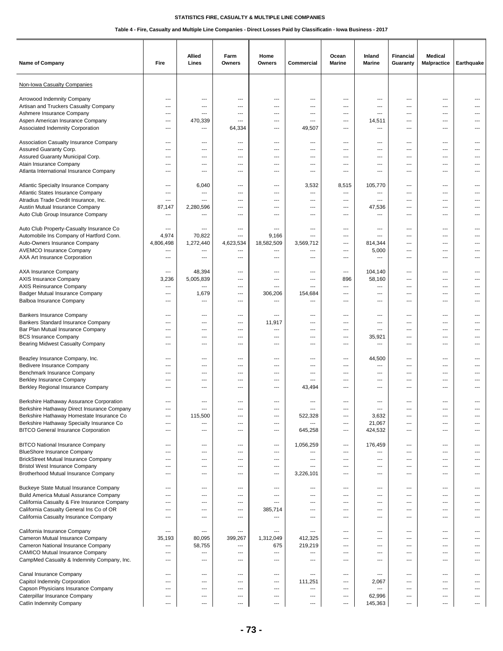| Name of Company                                                                                                                                                          | Fire                                                        | Allied<br>Lines                                             | Farm<br>Owners                     | Home<br>Owners                                       | Commercial                         | Ocean<br><b>Marine</b>          | Inland<br><b>Marine</b>                                     | <b>Financial</b><br>Guaranty                         | <b>Medical</b><br><b>Malpractice</b>       | Earthquake                 |
|--------------------------------------------------------------------------------------------------------------------------------------------------------------------------|-------------------------------------------------------------|-------------------------------------------------------------|------------------------------------|------------------------------------------------------|------------------------------------|---------------------------------|-------------------------------------------------------------|------------------------------------------------------|--------------------------------------------|----------------------------|
| Non-Iowa Casualty Companies                                                                                                                                              |                                                             |                                                             |                                    |                                                      |                                    |                                 |                                                             |                                                      |                                            |                            |
| Arrowood Indemnity Company<br>Artisan and Truckers Casualty Company<br>Ashmere Insurance Company<br>Aspen American Insurance Company<br>Associated Indemnity Corporation | ---<br>$---$<br>$---$<br>$---$<br>---                       | ---<br>---<br>---<br>470,339<br>---                         | ---<br>---<br>---<br>---<br>64,334 | ---<br>---<br>---<br>$\overline{\phantom{a}}$<br>--- | ---<br>---<br>---<br>---<br>49,507 | ---<br>---<br>---<br>---<br>--- | ---<br>---<br>---<br>14,511<br>---                          | ---<br>---<br>$\overline{\phantom{a}}$<br>---<br>--- | ---<br>---<br>---<br>$---$<br>---          | ---<br>$---$               |
| Association Casualty Insurance Company<br>Assured Guaranty Corp.<br>Assured Guaranty Municipal Corp.                                                                     | ---<br>$---$<br>$---$                                       | ---<br>---<br>$---$                                         | ---<br>---<br>$---$                | ---<br>---<br>$-$                                    | ---<br>---<br>$---$                | ---<br>---<br>$---$             | $\overline{\phantom{a}}$<br>---<br>$\overline{\phantom{a}}$ | ---<br>$\sim$<br>$---$                               | ---<br>---<br>$---$                        | ---<br>---                 |
| Atain Insurance Company<br>Atlanta International Insurance Company                                                                                                       | $\overline{\phantom{a}}$<br>$\qquad \qquad \cdots$          | ---<br>---                                                  | ---<br>---                         | ---<br>---                                           | ---<br>---                         | ---<br>---                      | $\overline{\phantom{a}}$<br>---                             | $\overline{\phantom{a}}$<br>---                      | $---$<br>---                               | ---<br>---                 |
| Atlantic Specialty Insurance Company<br>Atlantic States Insurance Company<br>Atradius Trade Credit Insurance, Inc.                                                       | ---<br>$---$<br>$\sim$                                      | 6,040<br>---<br>$\overline{a}$                              | ---<br>---<br>$---$                | ---<br>---<br>$-$<br>$---$                           | 3,532<br>---<br>$---$<br>---       | 8,515<br>---<br>---             | 105,770<br>---<br>$---$                                     | ---<br>$---$<br>$---$                                | ---<br>$---$<br>$---$                      | ---                        |
| Austin Mutual Insurance Company<br>Auto Club Group Insurance Company                                                                                                     | 87,147<br>$\overline{\phantom{a}}$                          | 2,280,596<br>---                                            | ---<br>---                         | ---                                                  | ---                                | $--$<br>---                     | 47,536<br>---                                               | $- - -$<br>---                                       | ---<br>---                                 |                            |
| Auto Club Property-Casualty Insurance Co<br>Automobile Ins Company of Hartford Conn.<br>Auto-Owners Insurance Company<br><b>AVEMCO Insurance Company</b>                 | $\overline{\phantom{a}}$<br>4,974<br>4,806,498<br>---       | ---<br>70,822<br>1,272,440<br>---                           | ---<br>---<br>4,623,534<br>---     | ---<br>9,166<br>18,582,509<br>---                    | ---<br>---<br>3,569,712<br>---     | ---<br>---<br>$---$<br>---      | ---<br>$\overline{a}$<br>814,344<br>5,000                   | ---<br>---<br>$---$<br>---                           | ---<br>$\overline{a}$<br>$---$<br>$\cdots$ | ---<br>---<br>$---$<br>--- |
| AXA Art Insurance Corporation                                                                                                                                            | ---                                                         | $\overline{a}$                                              | ---<br>---                         | ---<br>---                                           | ---                                | ---<br>---                      | ---                                                         | ---<br>---                                           | ---<br>---                                 | ---                        |
| AXA Insurance Company<br><b>AXIS Insurance Company</b><br><b>AXIS Reinsurance Company</b>                                                                                | $\qquad \qquad \cdots$<br>3,236<br>$\overline{\phantom{a}}$ | 48,394<br>5,005,839<br>$\overline{a}$                       | ---<br>$---$                       | ---<br>$\overline{a}$                                | ---<br>---<br>---                  | 896<br>$\overline{a}$           | 104,140<br>58,160<br>$\overline{a}$                         | ---<br>$---$                                         | ---<br>$---$                               | ---                        |
| Badger Mutual Insurance Company<br>Balboa Insurance Company                                                                                                              | $---$<br>$---$                                              | 1,679<br>---                                                | ---<br>---                         | 306,206<br>---                                       | 154,684<br>---                     | $\overline{a}$<br>$- - -$       | $\overline{a}$<br>$---$                                     | $- - -$<br>$- - -$                                   | ---<br>---                                 | ---<br>---                 |
| Bankers Insurance Company<br>Bankers Standard Insurance Company<br>Bar Plan Mutual Insurance Company                                                                     | ---<br>$\overline{\phantom{a}}$<br>$\sim$                   | ---<br>---<br>$\sim$                                        | ---<br>---<br>$---$                | ---<br>11,917<br>---                                 | ---<br>---<br>---                  | ---<br>---<br>$---$             | ---<br>---<br>$\overline{\phantom{a}}$                      | ---<br>---<br>$---$                                  | ---<br>---<br>$---$                        | ---<br>---                 |
| <b>BCS Insurance Company</b><br>Bearing Midwest Casualty Company                                                                                                         | $---$<br>$---$                                              | $---$<br>---                                                | ---<br>---                         | $\sim$<br>---                                        | ---<br>---                         | $---$<br>$---$                  | 35,921<br>---                                               | $---$<br>---                                         | $---$<br>$\cdots$                          | ---<br>---                 |
| Beazley Insurance Company, Inc.<br>Bedivere Insurance Company<br>Benchmark Insurance Company                                                                             | $\qquad \qquad \cdots$<br>---<br>$---$                      | ---<br>---<br>$---$                                         | ---<br>---<br>$---$                | ---<br>---<br>$\overline{a}$                         | ---<br>---<br>---                  | ---<br>---<br>$---$             | 44,500<br>---<br>$\overline{\phantom{a}}$                   | ---<br>---<br>$---$                                  | $\cdots$<br>---<br>$---$                   | ---<br>---                 |
| Berkley Insurance Company<br>Berkley Regional Insurance Company                                                                                                          | $---$<br>$---$                                              | $---$<br>$\overline{\phantom{a}}$                           | ---<br>---                         | $\overline{a}$<br>$\overline{\phantom{a}}$           | ---<br>43,494                      | ---<br>---                      | $---$<br>---                                                | $---$<br>---                                         | $---$<br>$---$                             |                            |
| Berkshire Hathaway Assurance Corporation<br>Berkshire Hathaway Direct Insurance Company<br>Berkshire Hathaway Homestate Insurance Co                                     | $---$<br>---                                                | ---<br>115,500                                              | ---<br>---                         | ---<br>---                                           | ---<br>---<br>522,328              | ---<br>---                      | ---<br>3,632                                                | $\overline{\phantom{a}}$<br>---                      | ---<br>---                                 | ---                        |
| Berkshire Hathaway Specialty Insurance Co<br><b>BITCO General Insurance Corporation</b>                                                                                  | $\overline{\phantom{a}}$<br>$---$                           | $\hspace{0.05cm} \ldots$<br>---                             | ---<br>---                         | $\overline{\phantom{a}}$<br>$---$                    | 645,258                            | $---$<br>$---$                  | 21,067<br>424,532                                           | $---$<br>$\overline{\phantom{a}}$                    | $\cdots$<br>---                            | $---$<br>---               |
| <b>BITCO National Insurance Company</b><br><b>BlueShore Insurance Company</b><br><b>BrickStreet Mutual Insurance Company</b>                                             | $\overline{\phantom{a}}$<br>$\overline{\phantom{a}}$        | ---<br>---                                                  | ---<br>---                         | $\hspace{0.05cm} \ldots$<br>$\hspace{0.05cm} \ldots$ | 1,056,259<br>---                   | ---<br>---                      | 176,459<br>$\qquad \qquad \cdots$                           | ---<br>---                                           | $\qquad \qquad \cdots$<br>$\cdots$         | ---<br>---                 |
| <b>Bristol West Insurance Company</b><br>Brotherhood Mutual Insurance Company                                                                                            | ---<br>$\overline{\phantom{a}}$<br>$---$                    | ---<br>$\overline{\phantom{a}}$<br>$\overline{\phantom{a}}$ | ---<br>---<br>$---$                | ---<br>$---$<br>---                                  | ---<br>---<br>3,226,101            | ---<br>---<br>---               | $\hspace{0.05cm} \ldots$<br>$---$<br>$---$                  | ---<br>---<br>$\overline{\phantom{a}}$               | ---<br>$\cdots$<br>$---$                   | ---<br>---                 |
| Buckeye State Mutual Insurance Company<br>Build America Mutual Assurance Company                                                                                         | $\qquad \qquad \cdots$<br>$\overline{\phantom{a}}$          | ---<br>---                                                  | ---<br>---                         | ---<br>---                                           | ---<br>---                         | ---<br>---                      | ---<br>---                                                  | ---<br>---                                           | ---<br>---                                 | ---<br>---                 |
| California Casualty & Fire Insurance Company<br>California Casualty General Ins Co of OR<br>California Casualty Insurance Company                                        | ---<br>$\overline{\phantom{a}}$<br>$---$                    | $\overline{\phantom{a}}$<br>---<br>$\sim$                   | ---<br>---<br>---                  | ---<br>385,714<br>---                                | ---<br>---<br>$---$                | ---<br>---<br>---               | $\hspace{0.05cm} \ldots$<br>$---$<br>$---$                  | ---<br>---<br>$---$                                  | $\cdots$<br>$\cdots$<br>$---$              | ---<br>---<br>$\cdots$     |
| California Insurance Company<br>Cameron Mutual Insurance Company<br>Cameron National Insurance Company                                                                   | $\qquad \qquad \cdots$<br>35,193                            | ---<br>80,095<br>58,755                                     | ---<br>399,267                     | $\hspace{0.05cm} \ldots$<br>1,312,049<br>675         | ---<br>412,325                     | ---<br>---                      | $\hspace{0.05cm} \ldots$<br>---<br>---                      | $\hspace{0.05cm} \ldots$<br>---                      | $\cdots$<br>$\overline{a}$                 | ---<br>---<br>---          |
| <b>CAMICO Mutual Insurance Company</b><br>CampMed Casualty & Indemnity Company, Inc.                                                                                     | ---<br>$---$<br>$---$                                       | ---<br>$---$                                                | ---<br>$---$<br>---                | ---<br>$\overline{a}$                                | 219,219<br>---<br>---              | ---<br>---<br>---               | $\overline{a}$<br>$\overline{\phantom{a}}$                  | ---<br>$---$<br>$---$                                | $\cdots$<br>$---$<br>$---$                 | $---$<br>$---$             |
| Canal Insurance Company<br>Capitol Indemnity Corporation                                                                                                                 | $\overline{\phantom{a}}$<br>$\overline{\phantom{a}}$        | ---<br>---                                                  | ---<br>---                         | ---<br>$\overline{\phantom{a}}$                      | ---<br>111,251                     | ---<br>---                      | ---<br>2,067                                                | ---<br>---                                           | ---<br>---                                 | ---<br>---                 |
| Capson Physicians Insurance Company<br>Caterpillar Insurance Company<br>Catlin Indemnity Company                                                                         | ---<br>$\qquad \qquad \cdots$<br>$\overline{\phantom{a}}$   | ---<br>---<br>$---$                                         | ---<br>---<br>$---$                | ---<br>$\overline{\phantom{a}}$<br>---               | ---<br>---<br>---                  | ---<br>---<br>$---$             | ---<br>62,996<br>145,363                                    | ---<br>---<br>$\overline{\phantom{a}}$               | ---<br>$\cdots$<br>$---$                   | ---<br>---<br>$---$        |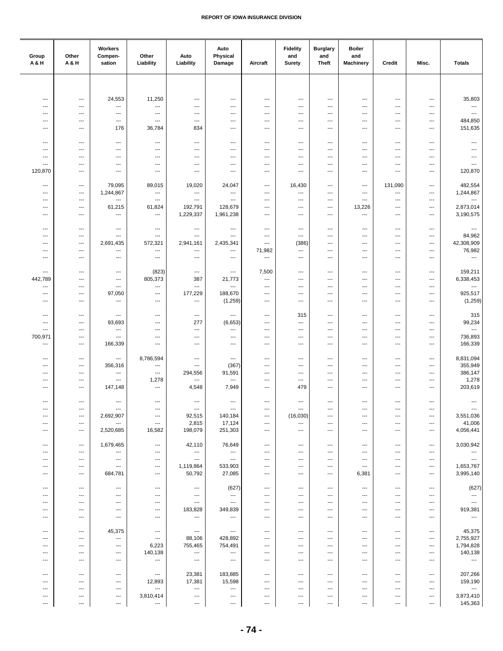| Group<br><b>A&amp;H</b>                              | Other<br>A & H                                   | Workers<br>Compen-<br>sation                         | Other<br>Liability                                   | Auto<br>Liability                                    | Auto<br>Physical<br>Damage          | Aircraft                                             | <b>Fidelity</b><br>and<br><b>Surety</b>              | <b>Burglary</b><br>and<br><b>Theft</b>               | <b>Boiler</b><br>and<br><b>Machinery</b>             | Credit                                               | Misc.                                                | <b>Totals</b>                             |
|------------------------------------------------------|--------------------------------------------------|------------------------------------------------------|------------------------------------------------------|------------------------------------------------------|-------------------------------------|------------------------------------------------------|------------------------------------------------------|------------------------------------------------------|------------------------------------------------------|------------------------------------------------------|------------------------------------------------------|-------------------------------------------|
|                                                      |                                                  |                                                      |                                                      |                                                      |                                     |                                                      |                                                      |                                                      |                                                      |                                                      |                                                      |                                           |
| $\overline{\phantom{a}}$                             | $\scriptstyle\cdots$                             | 24,553                                               | 11,250                                               | ---                                                  | $\overline{a}$                      | $\overline{\phantom{a}}$                             | $\overline{\phantom{a}}$                             | $\overline{\phantom{a}}$                             | $\overline{\phantom{a}}$                             | $\overline{\phantom{a}}$                             | $\qquad \qquad \cdots$                               | 35,803                                    |
| $\overline{\phantom{a}}$                             | $---$                                            | $\hspace{0.05cm} \ldots$                             | $\qquad \qquad \cdots$                               | ---                                                  | ---                                 | $\overline{\phantom{a}}$                             | ---                                                  | $\cdots$                                             | $\overline{\phantom{a}}$                             | $\overline{\phantom{a}}$                             | $\overline{\phantom{a}}$                             | ---                                       |
| $\overline{\phantom{a}}$<br>---                      | $\hspace{0.05cm} \ldots$<br>---                  | $\hspace{0.05cm} \ldots$<br>$\hspace{0.05cm} \ldots$ | $\hspace{0.05cm} \ldots$<br>$\ldots$                 | $\hspace{0.05cm} \ldots$<br>$\hspace{0.05cm} \ldots$ | ---<br>---                          | $\qquad \qquad \cdots$<br>$\qquad \qquad \cdots$     | ---<br>---                                           | $\cdots$<br>$\cdots$                                 | $\hspace{0.05cm} \ldots$<br>$\hspace{0.05cm} \ldots$ | ---<br>$\ldots$                                      | $\qquad \qquad \cdots$<br>$\qquad \qquad \cdots$     | $\overline{\phantom{a}}$<br>484,850       |
| ---                                                  | $\qquad \qquad -\qquad$                          | 176                                                  | 36,784                                               | 834                                                  | ---                                 | ---                                                  | ---                                                  | ---                                                  | $\hspace{0.05cm} \ldots$                             | $\qquad \qquad \cdots$                               | $\qquad \qquad \cdots$                               | 151,635                                   |
| $\overline{\phantom{a}}$                             | $\hspace{0.05cm} \ldots$                         | $\hspace{0.05cm} \ldots$                             | $\scriptstyle\cdots$                                 | $\hspace{0.05cm} \ldots$                             | ---                                 | $\overline{\phantom{a}}$                             | $---$                                                | $\cdots$                                             | $\overline{\phantom{a}}$                             | $\qquad \qquad \cdots$                               | $\hspace{0.05cm} \ldots$                             | $\hspace{0.05cm} \ldots$                  |
| ---<br>$\overline{\phantom{a}}$                      | $\overline{a}$<br>$\ddotsc$                      | $---$<br>$\overline{\phantom{a}}$                    | ---<br>---                                           | ---<br>---                                           | ---<br>---                          | $\overline{\phantom{a}}$<br>---                      | ---<br>---                                           | ---<br>$\overline{\phantom{a}}$                      | $\overline{\phantom{a}}$<br>$\overline{\phantom{a}}$ | $\overline{\phantom{a}}$<br>$\overline{\phantom{a}}$ | ---<br>---                                           | ---<br>$\overline{\phantom{a}}$           |
| $\overline{\phantom{a}}$                             | $\overline{\phantom{a}}$                         | $\cdots$                                             | ---                                                  | ---                                                  | ---                                 | ---                                                  | ---                                                  | ---                                                  | $\overline{\phantom{a}}$                             | ---                                                  | ---                                                  | ---                                       |
| 120,870                                              | ---                                              | $\hspace{0.05cm} \ldots$                             | ---                                                  | ---                                                  | ---                                 | ---                                                  | ---                                                  | ---                                                  | $\hspace{0.05cm} \ldots$                             | $\qquad \qquad \cdots$                               | ---                                                  | 120,870                                   |
| $\overline{\phantom{a}}$<br>$\overline{\phantom{a}}$ | $---$<br>$---$                                   | 79,095<br>1,244,867                                  | 89,015<br>$\hspace{0.05cm} \ldots$                   | 19,020<br>$\qquad \qquad \cdots$                     | 24,047<br>$\cdots$                  | $\overline{\phantom{a}}$<br>$---$                    | 16,430<br>$\overline{\phantom{a}}$                   | $\hspace{0.05cm} \ldots$<br>$\overline{\phantom{a}}$ | $\overline{\phantom{a}}$<br>$\overline{\phantom{a}}$ | 131,090<br>$\ldots$                                  | $\cdots$<br>$\qquad \qquad \cdots$                   | 482,554<br>1,244,867                      |
| $\overline{\phantom{a}}$                             | $---$                                            | $\hspace{0.05cm} \ldots$                             | $\overline{\phantom{a}}$                             | $\overline{\phantom{a}}$                             | ---                                 | $---$                                                | ---                                                  | $\cdots$                                             | $\overline{\phantom{a}}$                             | $\overline{\phantom{a}}$                             | $\overline{\phantom{a}}$                             | $\hspace{0.05cm} \ldots$                  |
| $\overline{\phantom{a}}$<br>---                      | $\qquad \qquad \cdots$<br>$\qquad \qquad \cdots$ | 61,215<br>$\scriptstyle\cdots$                       | 61,824<br>---                                        | 192,791<br>1,229,337                                 | 128,679<br>1,961,238                | $\overline{\phantom{a}}$<br>$\qquad \qquad \cdots$   | ---<br>---                                           | $\cdots$<br>$\cdots$                                 | 13,226<br>$\cdots$                                   | $\ldots$<br>$\qquad \qquad \cdots$                   | ---<br>$\qquad \qquad \cdots$                        | 2,873,014<br>3,190,575                    |
|                                                      |                                                  |                                                      |                                                      |                                                      |                                     |                                                      |                                                      |                                                      |                                                      |                                                      |                                                      |                                           |
| $\overline{\phantom{a}}$<br>---                      | $\overline{\phantom{a}}$<br>$---$                | $---$<br>$\overline{\phantom{a}}$                    | $---$<br>$\overline{\phantom{a}}$                    | $\cdots$<br>---                                      | $\overline{a}$<br>---               | $---$<br>$\overline{\phantom{a}}$                    | $\overline{\phantom{a}}$<br>$\overline{\phantom{a}}$ | $\overline{\phantom{a}}$<br>$\cdots$                 | $\overline{\phantom{a}}$<br>$\overline{\phantom{a}}$ | $\overline{\phantom{a}}$<br>$\overline{\phantom{a}}$ | $\overline{\phantom{a}}$<br>$\overline{\phantom{a}}$ | $\hspace{0.05cm} \ldots$<br>84,962        |
| $\overline{\phantom{a}}$<br>---                      | $---$<br>$---$                                   | 2,691,435<br>$\qquad \qquad \cdots$                  | 572,321<br>$\qquad \qquad \cdots$                    | 2,941,161<br>---                                     | 2,435,341<br>---                    | ---<br>71,982                                        | (386)<br>---                                         | ---<br>---                                           | $\overline{\phantom{a}}$<br>$\hspace{0.05cm} \ldots$ | ---<br>---                                           | $\overline{\phantom{a}}$<br>$\qquad \qquad \cdots$   | 42,308,909<br>76,982                      |
| $\overline{\phantom{a}}$                             | $\overline{\phantom{a}}$                         | $\hspace{0.05cm} \ldots$                             | $\qquad \qquad \cdots$                               | $\hspace{0.05cm} \ldots$                             | ---                                 | $\overline{\phantom{a}}$                             | ---                                                  | ---                                                  | $\hspace{0.05cm} \ldots$                             | $\overline{\phantom{a}}$                             | $\qquad \qquad \cdots$                               | $\sim$                                    |
| $\overline{\phantom{a}}$                             | $---$                                            | $\hspace{0.05cm} \cdots$                             | (823)                                                | $\overline{\phantom{a}}$                             | ---                                 | 7,500                                                | $\overline{\phantom{a}}$                             | $\cdots$                                             | $\overline{\phantom{a}}$                             | $\qquad \qquad \cdots$                               | $\hspace{0.05cm} \ldots$                             | 159,211                                   |
| 442,789                                              | $\overline{\phantom{a}}$                         | $\hspace{0.05cm} \cdots$                             | 805,373                                              | 387                                                  | 21,773                              | $\qquad \qquad \cdots$                               | ---                                                  | $\cdots$                                             | $\overline{\phantom{a}}$                             | $---$                                                | $\hspace{0.05cm} \ldots$                             | 6,338,453                                 |
| $\overline{\phantom{a}}$<br>---                      | $---$<br>$\qquad \qquad -\qquad$                 | $\overline{\phantom{a}}$<br>97,050                   | $\overline{\phantom{a}}$<br>---                      | ---<br>177,229                                       | $\overline{\phantom{a}}$<br>188,670 | $\overline{\phantom{a}}$<br>$\overline{\phantom{a}}$ | ---<br>---                                           | $\overline{\phantom{a}}$<br>---                      | $\overline{\phantom{a}}$<br>$\cdots$                 | $\overline{\phantom{a}}$<br>$\overline{\phantom{a}}$ | $\overline{\phantom{a}}$<br>$\qquad \qquad \cdots$   | $\ldots$<br>925,517                       |
| $\overline{\phantom{a}}$                             | $\qquad \qquad \cdots$                           | $\scriptstyle\cdots$                                 | $\ldots$                                             | ---                                                  | (1,259)                             | $\overline{\phantom{a}}$                             | $\overline{\phantom{a}}$                             | ---                                                  | $\cdots$                                             | $\ldots$                                             | ---                                                  | (1, 259)                                  |
| $\overline{\phantom{a}}$                             | $---$                                            | $\cdots$                                             | $\overline{\phantom{a}}$                             | $\hspace{0.05cm} \cdots$                             | $\overline{\phantom{a}}$            | $---$                                                | 315                                                  | $\cdots$                                             | $\overline{\phantom{a}}$                             | $\overline{\phantom{a}}$                             | $\overline{\phantom{a}}$                             | 315                                       |
| ---<br>---                                           | $---$<br>$\ddotsc$                               | 93,693<br>$---$                                      | $\overline{\phantom{a}}$<br>---                      | 277<br>$\overline{\phantom{a}}$                      | (6,653)<br>---                      | $\overline{\phantom{a}}$<br>$---$                    | $\overline{a}$<br>---                                | $---$<br>---                                         | $\overline{\phantom{a}}$<br>$\overline{\phantom{a}}$ | $\overline{\phantom{a}}$<br>---                      | $\overline{\phantom{a}}$<br>---                      | 99,234<br>$\sim$                          |
| 700,971                                              | $---$                                            | $---$                                                | ---                                                  | $\overline{\phantom{a}}$                             | ---                                 | $\overline{\phantom{a}}$                             | ---                                                  | ---                                                  | $\overline{\phantom{a}}$                             | ---                                                  | $\cdots$                                             | 736,893<br>166,339                        |
| ---                                                  | $\overline{\phantom{a}}$                         | 166,339                                              | $\qquad \qquad \cdots$                               | $\hspace{0.05cm} \ldots$                             | ---                                 | $\overline{\phantom{a}}$                             | ---                                                  | ---                                                  | $\hspace{0.05cm} \ldots$                             | $\overline{\phantom{a}}$                             | $\overline{\phantom{a}}$                             |                                           |
| ---<br>$\overline{\phantom{a}}$                      | ---<br>$\overline{\phantom{a}}$                  | $\scriptstyle\cdots$<br>356,316                      | 8,786,594<br>$\hspace{0.05cm} \ldots$                | ---<br>---                                           | $\qquad \qquad \cdots$<br>(367)     | ---<br>$---$                                         | ---<br>---                                           | ---<br>$\overline{\phantom{a}}$                      | $\hspace{0.05cm} \ldots$<br>$\overline{\phantom{a}}$ | ---<br>$\overline{\phantom{a}}$                      | $\qquad \qquad \cdots$<br>$\qquad \qquad \cdots$     | 8,831,094<br>355,949                      |
| ---                                                  | $---$                                            | $\overline{\phantom{a}}$                             | $\overline{\phantom{a}}$                             | 294,556                                              | 91,591                              | $---$                                                | ---                                                  | $\overline{\phantom{a}}$                             | $\overline{\phantom{a}}$                             | ---                                                  | $\overline{\phantom{a}}$                             | 386,147                                   |
| $\overline{\phantom{a}}$<br>---                      | $---$<br>$\qquad \qquad \cdots$                  | $\overline{\phantom{a}}$<br>147,148                  | 1,278<br>$\ldots$                                    | ---<br>4,548                                         | ---<br>7,949                        | $---$<br>$\overline{\phantom{a}}$                    | $\cdots$<br>479                                      | $\overline{\phantom{a}}$<br>$\cdots$                 | $\overline{\phantom{a}}$<br>$\hspace{0.05cm} \ldots$ | $\overline{\phantom{a}}$<br>$\overline{\phantom{a}}$ | $\overline{\phantom{a}}$<br>$\qquad \qquad \cdots$   | 1,278<br>203,619                          |
| $\overline{\phantom{a}}$                             | $\hspace{0.05cm} \ldots$                         | $\hspace{0.05cm} \ldots$                             | $\hspace{0.05cm} \cdots$                             | $\hspace{0.05cm} \ldots$                             | ---                                 | $\qquad \qquad \cdots$                               | $\qquad \qquad \cdots$                               | $\cdots$                                             | $\hspace{0.05cm} \ldots$                             | $\qquad \qquad \cdots$                               | $\qquad \qquad \cdots$                               | $\scriptstyle\cdots$                      |
| ---                                                  | $\hspace{0.05cm} \cdots$                         | $\hspace{0.05cm} \cdots$                             | $\hspace{0.05cm} \cdots$                             | $\hspace{0.05cm} \cdots$                             | $\scriptstyle\cdots$                | $\qquad \qquad \cdots$                               | $\hspace{0.05cm} \cdots$                             | ---                                                  | $\cdots$                                             | ---                                                  | $\hspace{0.05cm} \cdots$                             | $\sim$                                    |
| ---<br>---                                           | $---$<br>$---$                                   | 2,692,907<br>$\scriptstyle\cdots$                    | $\hspace{0.05cm} \ldots$<br>$\hspace{0.05cm} \ldots$ | 92,515<br>2,815                                      | 140,184<br>17,124                   | $\overline{\phantom{a}}$<br>$---$                    | (16,030)<br>---                                      | $\hspace{0.05cm} \ldots$<br>$\overline{\phantom{a}}$ | $\overline{\phantom{a}}$<br>$\hspace{0.05cm} \ldots$ | $\overline{\phantom{a}}$<br>---                      | $\cdots$<br>$\cdots$                                 | 3,551,036<br>41,006                       |
| ---                                                  | $\qquad \qquad \cdots$                           | 2,520,685                                            | 16,582                                               | 198,079                                              | 251,303                             | $\qquad \qquad \cdots$                               | $\qquad \qquad \cdots$                               | $\cdots$                                             | $\hspace{0.05cm} \ldots$                             | $\overline{\phantom{a}}$                             | $\hspace{0.05cm} \ldots$                             | 4,056,441                                 |
| ---                                                  | $\scriptstyle\cdots$                             | 1,679,465                                            | $\scriptstyle\cdots$                                 | 42,110                                               | 76,649                              | $\cdots$                                             | $\qquad \qquad \cdots$                               | $\cdots$                                             | $\hspace{0.05cm} \ldots$                             | $\qquad \qquad \cdots$                               | $\qquad \qquad \cdots$                               | 3,030,942                                 |
| ---<br>---                                           | $---$<br>$\overline{\phantom{a}}$                | $\hspace{0.05cm} \ldots$<br>$\hspace{0.05cm} \ldots$ | $\overline{\phantom{a}}$<br>$\qquad \qquad -$        | $\sim$<br>$\sim$                                     | $\sim$<br>$\sim$                    | $---$<br>$---$                                       | ---<br>---                                           | $\cdots$<br>$\cdots$                                 | $\overline{\phantom{a}}$<br>$\overline{\phantom{a}}$ | $---$<br>$\overline{\phantom{a}}$                    | $\overline{\phantom{a}}$<br>$\overline{\phantom{a}}$ | $\hspace{0.05cm} \ldots$<br>$\sim$ $\sim$ |
| $\overline{\phantom{a}}$<br>---                      | $---$<br>$\hspace{0.05cm} \ldots$                | $\sim$ $\sim$<br>684,781                             | $\cdots$<br>$\ldots$                                 | 1,119,864<br>50,792                                  | 533,903<br>27,085                   | $\overline{\phantom{a}}$<br>$\cdots$                 | ---<br>---                                           | $\cdots$<br>$\cdots$                                 | $\cdots$<br>6,381                                    | $\overline{\phantom{a}}$<br>$\ldots$                 | $\cdots$<br>$\qquad \qquad \cdots$                   | 1,653,767<br>3,995,140                    |
|                                                      |                                                  |                                                      |                                                      |                                                      |                                     |                                                      |                                                      |                                                      |                                                      |                                                      |                                                      |                                           |
| ---<br>---                                           | $\scriptstyle\cdots$<br>$\overline{\phantom{a}}$ | $\scriptstyle\cdots$<br>$\qquad \qquad \cdots$       | $\hspace{0.05cm} \cdots$<br>$\hspace{0.05cm} \cdots$ | $\hspace{0.05cm} \cdots$<br>$\hspace{0.05cm} \cdots$ | (627)<br>$\cdots$                   | ---<br>$\overline{\phantom{a}}$                      | ---<br>---                                           | ---<br>$\hspace{0.05cm} \ldots$                      | $\hspace{0.05cm} \ldots$<br>$\overline{\phantom{a}}$ | ---<br>$\overline{\phantom{a}}$                      | ---<br>$\hspace{0.05cm} \ldots$                      | (627)<br>$\sim$                           |
| ---                                                  | $\overline{\phantom{a}}$                         | ---                                                  | $\hspace{0.05cm} \cdots$                             | $\hspace{0.05cm} \cdots$                             | $\cdots$                            | $\overline{\phantom{a}}$                             | ---                                                  | $\hspace{0.05cm} \ldots$                             | $\hspace{0.05cm} \cdots$                             | $\overline{\phantom{a}}$                             | $\hspace{0.05cm} \ldots$                             | $\hspace{0.05cm} \ldots$                  |
| ---<br>---                                           | $---$<br>$\overline{\phantom{a}}$                | $---$<br>$\overline{\phantom{a}}$                    | $\cdots$<br>$\cdots$                                 | 183,828<br>$\overline{\phantom{a}}$                  | 349,839<br>$\cdots$                 | $---$<br>$---$                                       | ---<br>$---$                                         | $\cdots$<br>$\overline{\phantom{a}}$                 | $\overline{\phantom{a}}$<br>$\hspace{0.05cm} \ldots$ | ---<br>$---$                                         | $\cdots$<br>$\hspace{0.05cm} \ldots$                 | 919,381<br>$\cdots$                       |
| ---                                                  | $\qquad \qquad \cdots$                           | 45,375                                               | $\hspace{0.05cm} \ldots$                             | $\sim$                                               | $\sim$                              | $\cdots$                                             | ---                                                  | $\cdots$                                             | $\cdots$                                             | $\qquad \qquad \cdots$                               | $\qquad \qquad \cdots$                               | 45,375                                    |
| ---                                                  | $\hspace{0.05cm} \ldots$                         | $\hspace{0.05cm} \ldots$                             | $\hspace{0.05cm} \ldots$                             | 88,106                                               | 428,892                             | $\qquad \qquad \cdots$                               | ---                                                  | $\cdots$                                             | $\cdots$                                             | $\qquad \qquad \cdots$                               | $\cdots$                                             | 2,755,927                                 |
| ---<br>---                                           | $---$<br>$---$                                   | $---$<br>$\scriptstyle\cdots$                        | 6,223<br>140,138                                     | 755,465<br>$\cdots$                                  | 754,491<br>$\sim$ $\sim$            | $---$<br>$---$                                       | ---<br>---                                           | $\cdots$<br>$\overline{\phantom{a}}$                 | $\overline{\phantom{a}}$<br>$\overline{\phantom{a}}$ | $---$<br>$\overline{\phantom{a}}$                    | $\cdots$<br>$\overline{\phantom{a}}$                 | 1,794,828<br>140,138                      |
| $\overline{\phantom{a}}$                             | $---$                                            | $\overline{\phantom{a}}$                             | $\hspace{0.05cm} \ldots$                             | $\sim$                                               | $\sim$                              | $\overline{\phantom{a}}$                             | ---                                                  | $\cdots$                                             | $\overline{\phantom{a}}$                             | $\overline{\phantom{a}}$                             | $\overline{\phantom{a}}$                             | $\hspace{0.05cm} \ldots$                  |
| ---                                                  | $\hspace{0.05cm} \ldots$                         | $\scriptstyle\cdots$                                 | $\hspace{0.05cm} \cdots$                             | 23,381                                               | 183,885                             | ---                                                  | ---                                                  | ---                                                  | ---                                                  | ---                                                  | ---                                                  | 207,266                                   |
| ---<br>---                                           | $\hspace{0.05cm} \ldots$<br>---                  | $\scriptstyle\cdots$<br>$\qquad \qquad \cdots$       | 12,893<br>$\hspace{0.05cm} \ldots$                   | 17,381<br>$\cdots$                                   | 15,598<br>$\hspace{0.05cm} \ldots$  | $\qquad \qquad \cdots$<br>$\overline{\phantom{a}}$   | ---<br>---                                           | ---<br>$\hspace{0.05cm} \ldots$                      | $\hspace{0.05cm} \cdots$<br>$\overline{\phantom{a}}$ | ---<br>$\overline{\phantom{a}}$                      | ---<br>$\hspace{0.05cm} \ldots$                      | 159,190<br>$\hspace{0.05cm} \ldots$       |
| ---                                                  | ---                                              | $\hspace{0.05cm} \cdots$                             | 3,810,414                                            | $\hspace{0.05cm} \cdots$                             | $\scriptstyle\cdots$                | ---                                                  | ---                                                  | ---                                                  | $\hspace{0.05cm} \cdots$                             | ---                                                  | $\qquad \qquad \cdots$                               | 3,873,410                                 |
| $\cdots$                                             | $\overline{\phantom{a}}$                         | $\hspace{0.05cm} \ldots$                             | $\cdots$                                             | $\hspace{0.05cm} \ldots$                             | $\cdots$                            | $\cdots$                                             | $\cdots$                                             | $\cdots$                                             | $\hspace{0.05cm} \ldots$                             | $\ldots$                                             | $\cdots$                                             | 145,363                                   |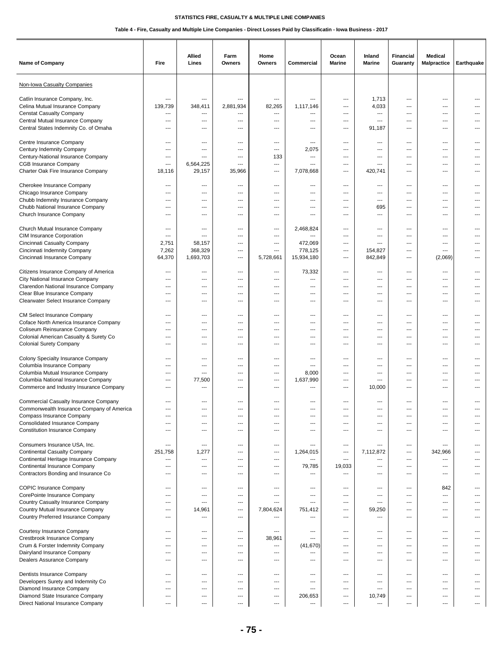| Name of Company                                                           | Fire                                                 | Allied<br>Lines          | Farm<br>Owners | Home<br>Owners                    | Commercial            | Ocean<br><b>Marine</b>   | Inland<br><b>Marine</b>           | <b>Financial</b><br>Guaranty    | <b>Medical</b><br><b>Malpractice</b> | Earthquake     |
|---------------------------------------------------------------------------|------------------------------------------------------|--------------------------|----------------|-----------------------------------|-----------------------|--------------------------|-----------------------------------|---------------------------------|--------------------------------------|----------------|
| Non-Iowa Casualty Companies                                               |                                                      |                          |                |                                   |                       |                          |                                   |                                 |                                      |                |
| Catlin Insurance Company, Inc.                                            | ---                                                  | ---                      |                | $\overline{\phantom{a}}$          | ---                   | ---                      | 1,713                             | ---                             | ---                                  |                |
| Celina Mutual Insurance Company                                           | 139,739                                              | 348,411                  | 2,881,934      | 82,265                            | 1,117,146             | ---                      | 4,033                             | $---$                           | ---                                  | ---            |
| <b>Censtat Casualty Company</b>                                           | $---$                                                | ---                      | ---            | ---                               | ---                   | $---$                    | ---                               | $\overline{\phantom{a}}$        | $\cdots$                             | ---            |
| Central Mutual Insurance Company<br>Central States Indemnity Co. of Omaha | $---$<br>$\overline{\phantom{a}}$                    | ---<br>---               | ---<br>---     | ---<br>---                        | ---<br>---            | $---$<br>---             | $\overline{a}$<br>91,187          | $\overline{\phantom{a}}$<br>--- | $---$<br>---                         | ---<br>---     |
|                                                                           |                                                      |                          |                |                                   |                       |                          |                                   |                                 |                                      |                |
| Centre Insurance Company                                                  | ---                                                  | ---                      | ---            | ---                               | ---                   | ---                      | ---                               | ---                             | ---                                  | ---            |
| Century Indemnity Company                                                 | $---$                                                | $---$                    | ---            | $\overline{a}$                    | 2,075                 | ---                      | $---$                             | $---$                           | $---$                                | ---            |
| Century-National Insurance Company                                        | $---$                                                | $---$                    | $---$          | 133                               | ---                   | $---$                    | $---$                             | $---$                           | $---$                                | $---$          |
| <b>CGB Insurance Company</b><br>Charter Oak Fire Insurance Company        | $\overline{\phantom{a}}$<br>18,116                   | 6,564,225<br>29,157      | ---<br>35,966  | $\overline{\phantom{a}}$<br>---   | ---<br>7,078,668      | $- - -$<br>---           | ---<br>420,741                    | $\sim$<br>---                   | ---<br>---                           | ---            |
|                                                                           |                                                      |                          |                |                                   |                       |                          |                                   |                                 |                                      |                |
| Cherokee Insurance Company                                                | ---                                                  | ---                      | ---            | ---                               | ---                   | ---                      | ---                               | ---                             | ---                                  | ---            |
| Chicago Insurance Company                                                 | $\sim$                                               | $---$                    | $---$          | $-$                               | $---$                 | $---$                    | $\overline{\phantom{a}}$          | $---$                           | $---$                                | $---$          |
| Chubb Indemnity Insurance Company                                         | $\sim$                                               | $---$                    | $---$          | $-$                               | $---$                 | ---                      | $---$                             | $---$                           | $---$                                | $---$          |
| Chubb National Insurance Company<br>Church Insurance Company              | $\overline{\phantom{a}}$<br>$\overline{\phantom{a}}$ | ---<br>---               | ---<br>---     | ---<br>---                        | ---<br>---            | ---<br>---               | 695<br>---                        | ---<br>---                      | $\overline{a}$<br>---                | ---<br>        |
|                                                                           |                                                      |                          |                |                                   |                       |                          |                                   |                                 |                                      |                |
| Church Mutual Insurance Company                                           | $\qquad \qquad \cdots$                               | ---                      | ---            | ---                               | 2,468,824             | ---                      | $\overline{a}$                    | ---                             | ---                                  | ---            |
| CIM Insurance Corporation                                                 | $\qquad \qquad \cdots$                               | ---                      | ---            | ---                               | ---                   | ---                      | ---                               | ---                             | ---                                  | ---            |
| Cincinnati Casualty Company                                               | 2,751                                                | 58,157                   | $---$          | $---$<br>$\overline{\phantom{a}}$ | 472,069               | $---$                    | $---$                             | $---$                           | $---$                                | $\overline{a}$ |
| Cincinnati Indemnity Company<br>Cincinnati Insurance Company              | 7,262<br>64,370                                      | 368,329<br>1,693,703     | ---<br>---     | 5,728,661                         | 778,125<br>15,934,180 | ---<br>---               | 154,827<br>842,849                | ---<br>---                      | ---<br>(2,069)                       | ---<br>---     |
|                                                                           |                                                      |                          |                |                                   |                       |                          |                                   |                                 |                                      |                |
| Citizens Insurance Company of America                                     | $\overline{\phantom{a}}$                             | ---                      | ---            | $\overline{\phantom{a}}$          | 73,332                | ---                      | ---                               | ---                             | $\overline{a}$                       | $---$          |
| City National Insurance Company                                           | ---                                                  | ---                      | ---            | ---                               | ---                   | ---                      | ---                               | ---                             | ---                                  | ---            |
| Clarendon National Insurance Company<br>Clear Blue Insurance Company      | $\sim$<br>$\overline{\phantom{a}}$                   | $---$<br>---             | $---$<br>---   | $-$<br>---                        | ---<br>---            | $---$<br>---             | $\overline{\phantom{a}}$<br>---   | $---$<br>---                    | $---$<br>$\cdots$                    | ---<br>---     |
| Clearwater Select Insurance Company                                       | $---$                                                | ---                      | ---            | ---                               | ---                   | ---                      | ---                               | ---                             | $\cdots$                             | $---$          |
|                                                                           |                                                      |                          |                |                                   |                       |                          |                                   |                                 |                                      |                |
| CM Select Insurance Company                                               | $\qquad \qquad \cdots$                               | ---                      | ---            | ---                               | ---                   | ---                      | ---                               | ---                             | $\cdots$                             | ---            |
| Coface North America Insurance Company                                    | ---                                                  | ---                      | ---            | ---                               | ---                   | ---                      | ---                               | ---                             | ---                                  | ---            |
| Coliseum Reinsurance Company<br>Colonial American Casualty & Surety Co    | $---$<br>$---$                                       | $\sim$<br>$---$          | $---$<br>---   | ---<br>---                        | ---<br>---            | $---$<br>---             | $\overline{\phantom{a}}$<br>$---$ | $---$<br>$---$                  | $---$<br>$---$                       | ---<br>---     |
| <b>Colonial Surety Company</b>                                            | $---$                                                | ---                      | $---$          | ---                               | ---                   | ---                      | $\overline{\phantom{a}}$          | ---                             | $---$                                | ---            |
|                                                                           |                                                      |                          |                |                                   |                       |                          |                                   |                                 |                                      |                |
| Colony Specialty Insurance Company                                        | ---                                                  | ---                      | ---            | ---                               | ---                   | ---                      | ---                               | ---                             | ---                                  | ---            |
| Columbia Insurance Company                                                | ---                                                  | ---<br>$---$             | ---<br>---     | ---                               | ---                   | ---                      | ---<br>$---$                      | ---<br>$---$                    | ---                                  | ---<br>$---$   |
| Columbia Mutual Insurance Company<br>Columbia National Insurance Company  | $---$<br>$---$                                       | 77,500                   | ---            | ---<br>---                        | 8,000<br>1,637,990    | ---<br>---               | $---$                             | ---                             | $\cdots$<br>$---$                    | ---            |
| Commerce and Industry Insurance Company                                   | $---$                                                | ---                      | ---            | $---$                             | ---                   | $\overline{\phantom{a}}$ | 10,000                            | $\overline{\phantom{a}}$        | $---$                                | ---            |
|                                                                           |                                                      |                          |                |                                   |                       |                          |                                   |                                 |                                      |                |
| <b>Commercial Casualty Insurance Company</b>                              | $\qquad \qquad \cdots$                               | ---                      | ---            | ---                               | ---                   | ---                      | ---                               | ---                             | ---                                  | ---            |
| Commonwealth Insurance Company of America<br>Compass Insurance Company    | ---                                                  | $---$<br>---             | ---<br>---     | ---<br>---                        | ---<br>---            | ---                      | $---$<br>---                      | ---<br>---                      | ---<br>---                           |                |
| <b>Consolidated Insurance Company</b>                                     | $---$                                                | $\sim$                   | ---            | ---                               | ---                   | ---                      | $---$                             | $---$                           | ---                                  |                |
| <b>Constitution Insurance Company</b>                                     | $\overline{\phantom{a}}$                             | $\overline{\phantom{a}}$ | ---            | ---                               | ---                   | ---                      | ---                               | $\overline{\phantom{a}}$        | $---$                                |                |
|                                                                           |                                                      |                          |                |                                   |                       |                          |                                   |                                 |                                      |                |
| Consumers Insurance USA, Inc.<br><b>Continental Casualty Company</b>      | $\overline{\phantom{a}}$<br>251,758                  | ---<br>1,277             | ---<br>---     | ---<br>---                        | ---<br>1,264,015      | ---<br>---               | ---<br>7,112,872                  | ---<br>---                      | ---<br>342,966                       | ---<br>---     |
| Continental Heritage Insurance Company                                    | ---                                                  | $\qquad \qquad \cdots$   | ---            | ---                               | ---                   | ---                      | ---                               | ---                             | $\cdots$                             |                |
| Continental Insurance Company                                             | $---$                                                | $---$                    | ---            | $---$                             | 79,785                | 19,033                   | $---$                             | $---$                           | $---$                                | $---$          |
| Contractors Bonding and Insurance Co                                      | $\overline{\phantom{a}}$                             | ---                      | $---$          | $\overline{\phantom{a}}$          | ---                   | ---                      | $\overline{\phantom{a}}$          | $\overline{\phantom{a}}$        | ---                                  | ---            |
|                                                                           |                                                      |                          |                |                                   |                       |                          |                                   |                                 |                                      |                |
| <b>COPIC Insurance Company</b><br>CorePointe Insurance Company            | $\qquad \qquad \cdots$<br>$\overline{\phantom{a}}$   | ---<br>---               | ---<br>---     | $\hspace{0.05cm} \ldots$<br>---   | ---<br>---            | ---<br>---               | ---<br>---                        | ---<br>---                      | 842<br>$\overline{a}$                | ---<br>---     |
| Country Casualty Insurance Company                                        | ---                                                  | ---                      | ---            | ---                               | ---                   | ---                      | $\overline{\phantom{a}}$          | ---                             | $\overline{a}$                       | ---            |
| Country Mutual Insurance Company                                          | $---$                                                | 14,961                   | $---$          | 7,804,624                         | 751,412               | $---$                    | 59,250                            | $---$                           | $---$                                |                |
| Country Preferred Insurance Company                                       | $\sim$                                               | $\overline{\phantom{a}}$ | $---$          | ---                               | ---                   | ---                      | $\cdots$                          | $---$                           | $---$                                | ---            |
| Courtesy Insurance Company                                                | ---                                                  | ---                      | ---            | $\overline{\phantom{a}}$          | ---                   | ---                      | ---                               | ---                             | ---                                  | ---            |
| Crestbrook Insurance Company                                              | $\overline{a}$                                       | ---                      | ---            | 38,961                            | ---                   | ---                      | ---                               | ---                             | ---                                  |                |
| Crum & Forster Indemnity Company                                          | ---                                                  | ---                      | ---            | $\overline{\phantom{a}}$          | (41, 670)             | ---                      | ---                               | ---                             | ---                                  | ---            |
| Dairyland Insurance Company                                               | $\sim$                                               | $\sim$                   | $---$          | $\overline{\phantom{a}}$          | ---                   | $---$                    | $\overline{\phantom{a}}$          | $---$                           | $---$                                | $---$          |
| Dealers Assurance Company                                                 | $\sim$                                               | $---$                    | $---$          | $-$                               | ---                   | $---$                    | $\overline{\phantom{a}}$          | $---$                           | $---$                                | $---$          |
| Dentists Insurance Company                                                | $\overline{\phantom{a}}$                             | ---                      | ---            | ---                               | ---                   | ---                      | ---                               | ---                             | $\overline{a}$                       | ---            |
| Developers Surety and Indemnity Co                                        | $\overline{\phantom{a}}$                             | ---                      | ---            | ---                               | ---                   | ---                      | ---                               | ---                             | $\overline{a}$                       | ---            |
| Diamond Insurance Company                                                 | $\overline{\phantom{a}}$                             | $\overline{a}$           | ---            | ---                               | ---                   | ---                      | $\overline{a}$                    | ---                             | $\overline{a}$                       |                |
| Diamond State Insurance Company                                           | $\qquad \qquad \cdots$                               | ---                      | ---            | $\hspace{0.05cm} \ldots$          | 206,653               | ---                      | 10,749                            | ---                             | ---                                  |                |
| Direct National Insurance Company                                         | $---$                                                | ---                      | ---            | ---                               | ---                   | ---                      | ---                               | $---$                           | $---$                                |                |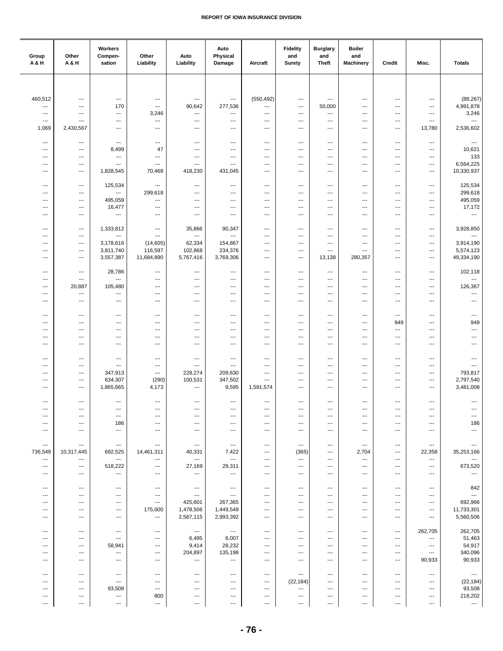| Group<br>A&H                        | Other<br>A & H                | Workers<br>Compen-<br>sation                         | Other<br>Liability                               | Auto<br>Liability                                     | Auto<br>Physical<br>Damage        | Aircraft                                             | <b>Fidelity</b><br>and<br><b>Surety</b>    | <b>Burglary</b><br>and<br><b>Theft</b>             | <b>Boiler</b><br>and<br><b>Machinery</b>             | Credit                                               | Misc.                              | <b>Totals</b>                       |
|-------------------------------------|-------------------------------|------------------------------------------------------|--------------------------------------------------|-------------------------------------------------------|-----------------------------------|------------------------------------------------------|--------------------------------------------|----------------------------------------------------|------------------------------------------------------|------------------------------------------------------|------------------------------------|-------------------------------------|
|                                     |                               |                                                      |                                                  |                                                       |                                   |                                                      |                                            |                                                    |                                                      |                                                      |                                    |                                     |
|                                     |                               | $\overline{\phantom{a}}$                             |                                                  | ---                                                   |                                   |                                                      |                                            | ---                                                | $\overline{\phantom{a}}$                             |                                                      |                                    |                                     |
| 460,512<br>---                      | ---<br>---                    | 170                                                  | $\qquad \qquad \cdots$<br>---                    | 90,642                                                | ---<br>277,536                    | (550, 492)<br>---                                    | $\ldots$<br>---                            | 50,000                                             | ---                                                  | $\cdots$<br>$\cdots$                                 | ---<br>---                         | (88, 267)<br>4,991,878              |
| ---<br>---                          | ---<br>---                    | $\scriptstyle\cdots$<br>$\hspace{0.05cm} \ldots$     | 3,246<br>---                                     | ---<br>---                                            | ---<br>---                        | ---<br>---                                           | ---<br>---                                 | ---<br>---                                         | ---<br>---                                           | ---<br>---                                           | ---<br>---                         | 3,246<br>$\overline{\phantom{a}}$   |
| 1,069                               | 2,430,567                     | $\overline{\phantom{a}}$                             | $\qquad \qquad \cdots$                           | $\overline{\phantom{a}}$                              | ---                               | $\overline{\phantom{a}}$                             | $\overline{\phantom{a}}$                   | $\hspace{0.05cm} \ldots$                           | $\overline{\phantom{a}}$                             | $\overline{\phantom{a}}$                             | 13,780                             | 2,536,602                           |
| ---                                 | ---                           | $\cdots$                                             | $\overline{\phantom{a}}$                         | ---                                                   | ---                               | ---                                                  | ---                                        | $\cdots$                                           | ---                                                  | $\overline{\phantom{a}}$                             | ---                                | $\scriptstyle\cdots$                |
| ---                                 | ---                           | 8,499                                                | 47                                               | ---                                                   | ---                               | ---                                                  | ---                                        | $\overline{\phantom{a}}$                           | ---                                                  | $\overline{\phantom{a}}$                             | ---                                | 10,621                              |
| ---<br>---                          | ---<br>---                    | ---<br>$\overline{\phantom{a}}$                      | ---<br>---                                       | $\overline{\phantom{a}}$<br>---                       | ---<br>---                        | ---<br>$\overline{\phantom{a}}$                      | $\overline{\phantom{a}}$<br>$\overline{a}$ | ---<br>$\overline{\phantom{a}}$                    | ---<br>$\overline{\phantom{a}}$                      | ---<br>$\cdots$                                      | ---<br>---                         | 133<br>6,564,225                    |
| $---$                               | ---                           | 1,828,545                                            | 70,468                                           | 418,230                                               | 431,045                           | $---$                                                | $---$                                      | $---$                                              | $---$                                                | $\overline{\phantom{a}}$                             | ---                                | 10,330,937                          |
| $\overline{\phantom{a}}$            | $---$                         | 125,534                                              | ---                                              | ---                                                   | ---                               | $---$                                                | ---                                        | $\cdots$                                           | $---$                                                | $---$                                                | ---                                | 125,534                             |
| ---                                 | ---                           | $\overline{\phantom{a}}$                             | 299,618                                          | ---                                                   | ---                               | $\qquad \qquad \cdots$                               | $\overline{\phantom{a}}$                   | $\qquad \qquad \cdots$                             | $\qquad \qquad \cdots$                               | $\cdots$                                             | ---                                | 299,618                             |
| ---<br>---                          | ---<br>---                    | 495,059<br>16,477                                    | ---<br>---                                       | ---<br>---                                            | ---<br>---                        | $\overline{\phantom{a}}$<br>$\overline{\phantom{a}}$ | ---<br>---                                 | $\qquad \qquad \cdots$<br>---                      | $\qquad \qquad \cdots$<br>---                        | $\cdots$<br>---                                      | ---<br>---                         | 495,059<br>17,172                   |
| ---                                 | ---                           | ---                                                  | ---                                              | ---                                                   | ---                               | $\overline{\phantom{a}}$                             | ---                                        | $\hspace{0.05cm} \ldots$                           | ---                                                  | $\qquad \qquad \cdots$                               | ---                                | $\overline{\phantom{a}}$            |
| $\overline{\phantom{a}}$            | ---                           | 1,333,812                                            | $\qquad \qquad \cdots$                           | 35,866                                                | 90,347                            | $\overline{\phantom{a}}$                             | ---                                        | $\overline{\phantom{a}}$                           | $---$                                                | $\overline{\phantom{a}}$                             | ---                                | 3,928,850                           |
| ---<br>---                          | ---<br>---                    | ---<br>3,178,616                                     | ---<br>(14, 605)                                 | ---<br>62,334                                         | ---<br>154,867                    | ---<br>$\overline{\phantom{a}}$                      | ---<br>$\overline{\phantom{a}}$            | ---<br>---                                         | ---<br>---                                           | $\overline{\phantom{a}}$<br>$\overline{\phantom{a}}$ | ---<br>---                         | ---<br>3,914,190                    |
| ---                                 | ---                           | 3,811,740                                            | 116,597                                          | 102,868                                               | 234,376                           | ---                                                  | ---                                        | $\qquad \qquad \cdots$                             | $\overline{\phantom{a}}$                             | ---                                                  | ---                                | 5,574,123                           |
| ---                                 | ---                           | 3,557,387                                            | 11,684,890                                       | 5,767,416                                             | 3,769,306                         | $\qquad \qquad \cdots$                               | $\overline{\phantom{a}}$                   | 13,138                                             | 280,357                                              | ---                                                  | ---                                | 49,334,190                          |
| $\overline{\phantom{a}}$            | $---$                         | 28,786                                               | $\overline{\phantom{a}}$                         | ---                                                   | ---                               | $\overline{\phantom{a}}$                             | $\overline{\phantom{a}}$                   | $\overline{\phantom{a}}$                           | $\overline{\phantom{a}}$                             | $---$                                                | $\overline{\phantom{a}}$           | 102,118                             |
| ---<br>---                          | ---<br>20,887                 | ---<br>105,480                                       | ---<br>---                                       | ---<br>---                                            | ---<br>---                        | $\overline{\phantom{a}}$<br>$\qquad \qquad \cdots$   | ---<br>$\overline{\phantom{a}}$            | $\overline{\phantom{a}}$<br>$\qquad \qquad \cdots$ | $\overline{\phantom{a}}$<br>---                      | $---$<br>$\cdots$                                    | ---<br>---                         | $\overline{\phantom{a}}$<br>126,367 |
| ---                                 | ---                           | ---                                                  | ---                                              | ---                                                   | ---                               | ---                                                  | ---                                        | ---                                                | ---                                                  | ---                                                  | ---                                | ---                                 |
| ---                                 | ---                           | $\hspace{0.05cm} \ldots$                             | ---                                              | ---                                                   | ---                               | $\overline{\phantom{a}}$                             | ---                                        | ---                                                | ---                                                  | ---                                                  | ---                                | ---                                 |
| $\overline{\phantom{a}}$            | ---                           | $---$                                                | ---                                              | ---                                                   | ---                               | ---                                                  | ---                                        | $\cdots$                                           | ---                                                  | $---$                                                | ---                                | $\hspace{0.05cm} \ldots$            |
| ---<br>---                          | ---<br>---                    | ---<br>$\hspace{0.05cm} \ldots$                      | ---<br>---                                       | ---<br>---                                            | ---<br>---                        | ---<br>---                                           | ---<br>$\overline{\phantom{a}}$            | ---<br>---                                         | ---<br>$\overline{\phantom{a}}$                      | 949<br>$\cdots$                                      | ---<br>---                         | 949<br>---                          |
| ---                                 | ---                           | $\hspace{0.05cm} \ldots$                             | ---                                              | $\overline{\phantom{a}}$                              | ---                               | ---                                                  | $\overline{\phantom{a}}$                   | ---                                                | ---                                                  | $\cdots$                                             | ---                                | ---                                 |
| ---                                 | ---                           | $\hspace{0.05cm} \ldots$                             | ---                                              | ---                                                   | ---                               | ---                                                  | $\overline{\phantom{a}}$                   | ---                                                | ---                                                  | ---                                                  | ---                                | ---                                 |
| ---                                 | ---                           | $\hspace{0.05cm} \ldots$                             | ---                                              | $\overline{\phantom{a}}$                              | $\cdots$                          | $---$                                                | ---                                        | $\cdots$                                           | $---$                                                | $\overline{\phantom{a}}$                             | ---                                | $\overline{a}$                      |
| ---<br>---                          | ---<br>---                    | $\overline{\phantom{a}}$<br>347,913                  | ---<br>---                                       | ---<br>228,274                                        | ---<br>209,630                    | $\cdots$<br>$\overline{\phantom{a}}$                 | ---<br>---                                 | $\overline{\phantom{a}}$<br>$\qquad \qquad \cdots$ | $\overline{\phantom{a}}$<br>$\qquad \qquad \cdots$   | $---$<br>$\cdots$                                    | ---<br>---                         | ---<br>793,817                      |
| ---                                 | ---                           | 634,307<br>1,865,665                                 | (290)                                            | 100,531<br>---                                        | 347,502<br>9,595                  | $\overline{\phantom{a}}$                             | ---                                        | $\qquad \qquad \cdots$                             | $\qquad \qquad \cdots$                               | ---                                                  | ---                                | 2,797,540                           |
| ---                                 | ---                           |                                                      | 4,173                                            |                                                       |                                   | 1,591,574                                            | ---                                        | ---                                                | ---                                                  | ---                                                  | ---                                | 3,481,008                           |
| $\overline{\phantom{a}}$            | ---                           | $\overline{\phantom{a}}$<br>$\overline{\phantom{a}}$ | $\overline{\phantom{a}}$<br>---                  | $\overline{\phantom{a}}$<br>---                       | ---                               | $---$<br>---                                         | $\overline{\phantom{a}}$                   | $\hspace{0.05cm} \ldots$                           | ---<br>---                                           | $\qquad \qquad \cdots$<br>$---$                      | ---<br>---                         | $\overline{\phantom{a}}$            |
| ---                                 | ---                           | $\overline{\phantom{a}}$                             | ---                                              | ---                                                   | ---                               | ---                                                  | ---                                        | $\overline{\phantom{a}}$                           | $\overline{\phantom{a}}$                             | ---                                                  | ---                                | ---                                 |
| ---<br>---                          | ---<br>---                    | 186<br>---                                           | ---<br>---                                       | ---<br>---                                            | ---<br>---                        | ---<br>---                                           | ---<br>---                                 | ---<br>---                                         | $\overline{\phantom{a}}$<br>$\overline{\phantom{a}}$ | ---<br>---                                           | ---<br>---                         | 186<br>---                          |
|                                     |                               |                                                      |                                                  |                                                       |                                   |                                                      |                                            |                                                    |                                                      |                                                      |                                    |                                     |
| $\hspace{0.05cm} \ldots$<br>736,549 | ---<br>10,317,445             | $\hspace{0.05cm} \ldots$<br>692,525                  | $\overline{\phantom{a}}$<br>14,461,311           | $---$<br>40,331                                       | $\sim$<br>7,422                   | $\sim$ $\sim$<br>$\overline{\phantom{a}}$            | $\cdots$<br>(365)                          | $\cdots$<br>$\cdots$                               | $\overline{\phantom{a}}$<br>2,704                    | $\cdots$<br>$\overline{\phantom{a}}$                 | $\overline{\phantom{a}}$<br>22,358 | $---$<br>35,253,166                 |
| $\overline{\phantom{a}}$            | ---                           | $\overline{\phantom{a}}$                             | $\ldots$                                         | $\hspace{0.05cm} \cdots$                              | $\overline{\phantom{a}}$          | $\overline{\phantom{a}}$                             | $\overline{\phantom{a}}$                   | $\cdots$                                           | ---                                                  | $\overline{\phantom{a}}$                             | $\hspace{0.05cm} \ldots$           | ---                                 |
| ---<br>---                          | $\qquad \qquad \cdots$<br>--- | 518,222<br>---                                       | ---<br>---                                       | 27,169<br>---                                         | 29,311<br>---                     | $\qquad \qquad \cdots$<br>---                        | ---<br>---                                 | $\qquad \qquad \cdots$<br>$\qquad \qquad \cdots$   | $\qquad \qquad \cdots$<br>$\qquad \qquad \cdots$     | ---<br>---                                           | ---<br>---                         | 673,520<br>---                      |
|                                     |                               |                                                      |                                                  |                                                       |                                   |                                                      |                                            |                                                    |                                                      |                                                      |                                    |                                     |
| $\overline{\phantom{a}}$<br>---     | ---<br>$---$                  | $\qquad \qquad \cdots$<br>$\overline{\phantom{a}}$   | ---<br>---                                       | $\qquad \qquad -\qquad -$<br>$\overline{\phantom{a}}$ | $\cdots$<br>---                   | $\overline{\phantom{a}}$<br>$---$                    | ---<br>---                                 | ---<br>$\overline{\phantom{a}}$                    | $---$<br>$\overline{\phantom{a}}$                    | ---<br>$---$                                         | ---<br>---                         | 842<br>---                          |
| ---                                 | $---$                         | $---$                                                | $\overline{\phantom{a}}$                         | 425,601                                               | 267,365                           | $---$                                                | $\overline{\phantom{a}}$                   | $\overline{\phantom{a}}$                           | $\overline{\phantom{a}}$                             | ---                                                  | $---$                              | 692,966                             |
| ---<br>---                          | ---<br>---                    | $\hspace{0.05cm} \ldots$<br>$\qquad \qquad -\qquad$  | 175,000<br>$\qquad \qquad \cdots$                | 1,478,506<br>2,567,115                                | 1,449,549<br>2,993,392            | ---<br>---                                           | ---<br>---                                 | ---<br>$\hspace{0.05cm} \ldots$                    | ---<br>$\overline{\phantom{a}}$                      | ---<br>---                                           | ---<br>$\qquad \qquad \cdots$      | 11,733,301<br>5,560,506             |
|                                     |                               |                                                      |                                                  |                                                       |                                   |                                                      |                                            |                                                    |                                                      |                                                      |                                    |                                     |
| ---<br>---                          | ---<br>---                    | $\hspace{0.05cm} \cdots$<br>$\hspace{0.05cm} \ldots$ | $---$<br>---                                     | $\sim$<br>6,495                                       | $\hspace{0.05cm} \ldots$<br>6,007 | $---$<br>$---$                                       | $---$<br>---                               | $\cdots$<br>$\cdots$                               | $---$<br>$---$                                       | $\qquad \qquad \cdots$<br>$---$                      | 262,705<br>$\cdots$                | 262,705<br>51,463                   |
| ---                                 | ---                           | 58,941                                               | ---                                              | 9,414                                                 | 28,232                            | $---$                                                | ---                                        | $\cdots$                                           | $---$                                                | $---$                                                | ---                                | 54,917                              |
| ---<br>---                          | ---<br>---                    | $\cdots$<br>$\hspace{0.05cm} \ldots$                 | $\qquad \qquad \cdots$<br>$\qquad \qquad \cdots$ | 204,897<br>---                                        | 135,198<br>---                    | $\qquad \qquad \cdots$<br>$\qquad \qquad \cdots$     | $\qquad \qquad \cdots$<br>---              | $\cdots$<br>$\qquad \qquad \cdots$                 | $\qquad \qquad \cdots$<br>$\overline{\phantom{a}}$   | $\cdots$<br>$\hspace{0.05cm} \ldots$                 | $\cdots$<br>90,933                 | 340,096<br>90,933                   |
| ---                                 | ---                           | $\hspace{0.05cm} \ldots$                             | $---$                                            | $\overline{\phantom{a}}$                              | $\cdots$                          | $\overline{\phantom{a}}$                             | $\qquad \qquad \cdots$                     | $\cdots$                                           | $---$                                                | $\cdots$                                             | $\cdots$                           | $\hspace{0.05cm} \cdots$            |
| ---                                 | ---                           | $\hspace{0.05cm} \ldots$                             | ---                                              | ---                                                   | ---                               | $\overline{\phantom{a}}$                             | (22, 184)                                  | $\cdots$                                           | $---$                                                | ---                                                  | ---                                | (22, 184)                           |
| ---<br>---                          | $---$<br>---                  | 93,508<br>$\hspace{0.05cm} \ldots$                   | ---<br>800                                       | $\overline{\phantom{a}}$<br>---                       | ---<br>---                        | $---$<br>$---$                                       | ---<br>---                                 | $\overline{\phantom{a}}$<br>$\cdots$               | $\overline{\phantom{a}}$<br>$\qquad \qquad \cdots$   | ---<br>---                                           | ---<br>---                         | 93,508<br>218,202                   |
| ---                                 | ---                           | ---                                                  | ---                                              | ---                                                   | ---                               | ---                                                  | $\qquad \qquad \cdots$                     | $\qquad \qquad \cdots$                             | $\qquad \qquad \cdots$                               | ---                                                  | ---                                | ---                                 |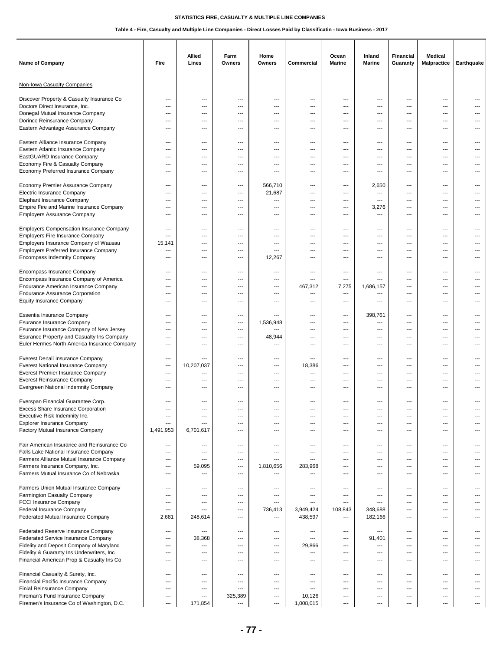| Name of Company                                                                                                                                                                       | Fire                                                 | Allied<br>Lines                                        | Farm<br>Owners                             | Home<br>Owners                             | Commercial                             | Ocean<br><b>Marine</b>          | Inland<br>Marine                                              | <b>Financial</b><br>Guaranty                    | <b>Medical</b><br><b>Malpractice</b> | Earthquake               |
|---------------------------------------------------------------------------------------------------------------------------------------------------------------------------------------|------------------------------------------------------|--------------------------------------------------------|--------------------------------------------|--------------------------------------------|----------------------------------------|---------------------------------|---------------------------------------------------------------|-------------------------------------------------|--------------------------------------|--------------------------|
| Non-Iowa Casualty Companies                                                                                                                                                           |                                                      |                                                        |                                            |                                            |                                        |                                 |                                                               |                                                 |                                      |                          |
| Discover Property & Casualty Insurance Co<br>Doctors Direct Insurance, Inc.<br>Donegal Mutual Insurance Company<br>Dorinco Reinsurance Company<br>Eastern Advantage Assurance Company | ---<br>$\overline{\phantom{a}}$<br>---<br>---<br>--- | $---$<br>$\overline{\phantom{a}}$<br>---<br>---<br>--- | $\overline{a}$<br>---<br>---<br>---<br>--- | $\overline{a}$<br>---<br>---<br>---<br>--- | ---<br>---<br>---<br>---<br>---        | ---<br>---<br>---<br>---<br>--- | $---$<br>---<br>---<br>---<br>---                             | ---<br>---<br>---<br>---<br>---                 | ---<br>---<br>---<br>---<br>---      | $---$<br>---             |
| Eastern Alliance Insurance Company                                                                                                                                                    | ---                                                  | $---$                                                  | ---                                        | ---                                        | ---                                    | ---                             | $\overline{\phantom{a}}$                                      | ---                                             | $\cdots$                             | $---$                    |
| Eastern Atlantic Insurance Company                                                                                                                                                    | $\overline{\phantom{a}}$                             | ---                                                    | ---                                        | ---                                        | ---                                    | ---                             | $\hspace{0.05cm} \ldots$                                      | ---                                             | $---$                                | ---                      |
| EastGUARD Insurance Company<br>Economy Fire & Casualty Company<br>Economy Preferred Insurance Company                                                                                 | ---<br>---<br>---                                    | $---$<br>---<br>---                                    | ---<br>---<br>---                          | ---<br>---<br>---                          | ---<br>---<br>---                      | ---<br>---<br>---               | $\overline{\phantom{a}}$<br>---<br>---                        | ---<br>---<br>---                               | ---<br>---<br>---                    | $---$<br>---             |
| Economy Premier Assurance Company<br>Electric Insurance Company<br><b>Elephant Insurance Company</b><br>Empire Fire and Marine Insurance Company                                      | ---<br>$---$<br>---<br>---                           | $\overline{\phantom{a}}$<br>$---$<br>$---$<br>---      | $---$<br>---<br>---<br>---                 | 566,710<br>21,687<br>---<br>---            | ---<br>---<br>---<br>---               | $---$<br>$---$<br>$---$<br>---  | 2,650<br>$\overline{\phantom{a}}$<br>$---$<br>3,276           | $\overline{a}$<br>$--$<br>$\overline{a}$<br>--- | $---$<br>$---$<br>---<br>---         | $---$<br>---             |
| <b>Employers Assurance Company</b>                                                                                                                                                    | ---                                                  | $---$                                                  | ---                                        | $\overline{a}$                             | ---                                    | ---                             | $\overline{\phantom{a}}$                                      | ---                                             | ---                                  | ---                      |
| <b>Employers Compensation Insurance Company</b>                                                                                                                                       | ---                                                  | $---$                                                  | $---$                                      | $-$                                        | ---                                    | $\overline{a}$                  | $\overline{\phantom{a}}$                                      | $\overline{a}$                                  | $---$                                | $---$                    |
| <b>Employers Fire Insurance Company</b>                                                                                                                                               | $\overline{a}$                                       | $---$                                                  | $---$                                      | $-$                                        | ---                                    | $---$                           | $\overline{\phantom{a}}$                                      | $\overline{a}$                                  | $---$                                | $---$                    |
| Employers Insurance Company of Wausau                                                                                                                                                 | 15,141                                               | ---                                                    | ---                                        | $\overline{\phantom{a}}$                   | ---                                    | ---                             | $\overline{\phantom{a}}$                                      | ---                                             | $---$                                | ---                      |
| <b>Employers Preferred Insurance Company</b>                                                                                                                                          | $\qquad \qquad \cdots$                               | ---                                                    | ---                                        | ---                                        | ---                                    | ---                             | $\overline{\phantom{a}}$                                      | ---                                             | ---                                  | ---                      |
| <b>Encompass Indemnity Company</b>                                                                                                                                                    | ---                                                  | ---                                                    | ---                                        | 12,267                                     | ---                                    | ---                             | $---$                                                         | ---                                             | ---                                  | ---                      |
| Encompass Insurance Company                                                                                                                                                           | ---                                                  | $---$                                                  | $---$                                      | $-$                                        | ---                                    | $\overline{a}$                  | $\overline{\phantom{a}}$                                      | $\overline{a}$                                  | $---$                                | $---$                    |
| Encompass Insurance Company of America                                                                                                                                                | ---                                                  | $---$                                                  | ---                                        | ---                                        | ---                                    | ---                             | $---$                                                         | $\overline{a}$                                  | ---                                  | $---$                    |
| Endurance American Insurance Company<br><b>Endurance Assurance Corporation</b><br><b>Equity Insurance Company</b>                                                                     | $---$<br>---<br>---                                  | $\overline{\phantom{a}}$<br>---<br>---                 | ---<br>---<br>---                          | ---<br>---<br>---                          | 467,312<br>---<br>---                  | 7,275<br>---<br>---             | 1,686,157<br>---<br>---                                       | ---<br>---<br>---                               | ---<br>---<br>---                    | $---$<br>---             |
| Essentia Insurance Company<br>Esurance Insurance Company<br>Esurance Insurance Company of New Jersey                                                                                  | ---<br>---<br>---                                    | ---<br>$\overline{\phantom{a}}$<br>$---$               | ---<br>---<br>---                          | 1,536,948<br>---                           | ---<br>---<br>---                      | ---<br>$---$<br>---             | 398,761<br>$---$<br>$\hspace{0.05cm} \ldots$                  | ---<br>---<br>---                               | ---<br>$---$<br>$\cdots$             | $---$<br>---             |
| Esurance Property and Casualty Ins Company                                                                                                                                            | ---                                                  | ---                                                    | ---                                        | 48,944                                     | ---                                    | ---                             | ---                                                           | ---                                             | $---$                                | ---                      |
| Euler Hermes North America Insurance Company                                                                                                                                          | ---                                                  | ---                                                    | ---                                        | ---                                        | ---                                    | ---                             | $\overline{\phantom{a}}$                                      | ---                                             | ---                                  | ---                      |
| Everest Denali Insurance Company                                                                                                                                                      | ---                                                  | ---                                                    | ---                                        | ---                                        | ---                                    | ---                             | $---$                                                         | ---                                             | ---                                  | ---                      |
| <b>Everest National Insurance Company</b><br>Everest Premier Insurance Company<br><b>Everest Reinsurance Company</b><br>Evergreen National Indemnity Company                          | $---$<br>---<br>---<br>---                           | 10,207,037<br>$---$<br>$---$<br>---                    | ---<br>---<br>---                          | $\sim$<br>---<br>---<br>---                | 18,386<br>---<br>---<br>---            | ---<br>$---$<br>$---$<br>---    | $---$<br>$\overline{\phantom{a}}$<br>$---$<br>---             | ---<br>$---$<br>---<br>---                      | $---$<br>---<br>$---$<br>---         | $---$<br>$---$           |
| Everspan Financial Guarantee Corp.                                                                                                                                                    | ---                                                  | ---                                                    | ---                                        | ---                                        | ---                                    | ---                             | ---                                                           | ---                                             | ---                                  |                          |
| <b>Excess Share Insurance Corporation</b>                                                                                                                                             | $\overline{a}$                                       | ---                                                    | ---                                        | $---$                                      | ---                                    | ---                             | $- - -$                                                       | ---                                             | $---$                                |                          |
| Executive Risk Indemnity Inc.<br><b>Explorer Insurance Company</b><br>Factory Mutual Insurance Company                                                                                | ---<br>---<br>1,491,953                              | $---$<br>---<br>6,701,617                              | ---<br>---<br>---                          | ---<br>$\overline{\phantom{a}}$<br>---     | ---<br>$\overline{\phantom{a}}$<br>--- | ---<br>---<br>---               | $---$<br>$\overline{\phantom{a}}$<br>$\overline{\phantom{a}}$ | ---<br>---<br>---                               | $---$<br>$\overline{a}$<br>---       | ---<br>---               |
| Fair American Insurance and Reinsurance Co.                                                                                                                                           | ---                                                  | ---                                                    | ---                                        | ---                                        | ---                                    | ---                             | $\hspace{0.05cm} \ldots$                                      | ---                                             | ---                                  | ---                      |
| Falls Lake National Insurance Company                                                                                                                                                 | ---                                                  | $---$                                                  | ---                                        | ---                                        | ---                                    | ---                             | $\overline{\phantom{a}}$                                      | ---                                             | $\cdots$                             | $---$                    |
| Farmers Alliance Mutual Insurance Company                                                                                                                                             | ---                                                  | $\overline{\phantom{a}}$                               | ---                                        | $\sim$                                     | ---                                    | $---$                           | $\overline{\phantom{a}}$                                      | ---                                             | $\cdots$                             | $---$                    |
| Farmers Insurance Company, Inc.                                                                                                                                                       | ---                                                  | 59,095                                                 | $---$                                      | 1,810,656                                  | 283,968                                | $---$                           | $\hspace{0.05cm} \ldots$                                      | ---                                             | $---$                                | ---                      |
| Farmers Mutual Insurance Co of Nebraska                                                                                                                                               | ---                                                  | ---                                                    | ---                                        | ---                                        | ---                                    | ---                             | ---                                                           | ---                                             | ---                                  | ---                      |
| Farmers Union Mutual Insurance Company                                                                                                                                                | ---                                                  | ---                                                    | ---                                        | ---                                        | ---                                    | ---                             | ---                                                           | ---                                             | $\overline{\phantom{a}}$             | ---                      |
| Farmington Casualty Company                                                                                                                                                           | ---                                                  | ---                                                    | ---                                        | ---                                        | ---                                    | ---                             | ---                                                           | ---                                             | ---                                  | ---                      |
| <b>FCCI Insurance Company</b>                                                                                                                                                         | ---                                                  | $\overline{\phantom{a}}$                               | $---$                                      | $\overline{\phantom{a}}$                   | $---$                                  | ---                             | $\overline{\phantom{a}}$                                      | ---                                             | $---$                                | $---$                    |
| Federal Insurance Company                                                                                                                                                             | ---                                                  | ---                                                    | ---                                        | 736,413                                    | 3,949,424                              | 108,843                         | 348,688                                                       | ---                                             | $---$                                | $\overline{\phantom{a}}$ |
| Federated Mutual Insurance Company                                                                                                                                                    | 2,681                                                | 248,614                                                | ---                                        | $\overline{\phantom{a}}$                   | 438,597                                | ---                             | 182,166                                                       | ---                                             | $\overline{a}$                       | $\overline{\phantom{a}}$ |
| Federated Reserve Insurance Company                                                                                                                                                   | ---                                                  | ---                                                    | ---                                        | ---                                        | ---                                    | ---                             | $\overline{\phantom{a}}$                                      | ---                                             | $\qquad \qquad \cdots$               | $\overline{\phantom{a}}$ |
| Federated Service Insurance Company                                                                                                                                                   | ---                                                  | 38,368                                                 | ---                                        | $\overline{\phantom{a}}$                   | $---$                                  | ---                             | 91,401                                                        | ---                                             | $\overline{a}$                       | $---$                    |
| Fidelity and Deposit Company of Maryland                                                                                                                                              | $---$                                                | $\overline{\phantom{a}}$                               | $---$                                      | $\overline{\phantom{a}}$                   | 29,866                                 | $---$                           | $\overline{\phantom{a}}$                                      | $---$                                           | $---$                                | $---$                    |
| Fidelity & Guaranty Ins Underwriters, Inc.                                                                                                                                            | ---                                                  | $---$                                                  | ---                                        | ---                                        | $---$                                  | ---                             | $\overline{\phantom{a}}$                                      | ---                                             | ---                                  | $---$                    |
| Financial American Prop & Casualty Ins Co                                                                                                                                             | ---                                                  | $---$                                                  | $---$                                      | ---                                        | ---                                    | $---$                           | $\overline{\phantom{a}}$                                      | ---                                             | $\cdots$                             | ---                      |
| Financial Casualty & Surety, Inc.                                                                                                                                                     | ---                                                  | ---                                                    | ---                                        | ---                                        | ---                                    | ---                             | $---$                                                         | ---                                             | ---                                  | ---                      |
| Financial Pacific Insurance Company                                                                                                                                                   | ---                                                  | ---                                                    | ---                                        | ---                                        | $\overline{\phantom{a}}$               | ---                             | $\overline{\phantom{a}}$                                      | ---                                             | ---                                  | ---                      |
| Finial Reinsurance Company                                                                                                                                                            | ---                                                  | $\overline{\phantom{a}}$                               | $---$                                      | $---$                                      | $---$                                  | $---$                           | $\overline{\phantom{a}}$                                      | ---                                             | $\cdots$                             | $\cdots$                 |
| Fireman's Fund Insurance Company                                                                                                                                                      | $\hspace{0.05cm} \ldots$                             | $---$                                                  | 325,389                                    | $---$                                      | 10,126                                 | ---                             | $\hspace{0.05cm} \cdots$                                      | ---                                             | $\cdots$                             | $---$                    |
| Firemen's Insurance Co of Washington, D.C.                                                                                                                                            | $\overline{\phantom{a}}$                             | 171,854                                                | $\hspace{0.05cm} \ldots$                   | $\overline{\phantom{a}}$                   | 1,008,015                              | ---                             | $---$                                                         | ---                                             | ---                                  | ---                      |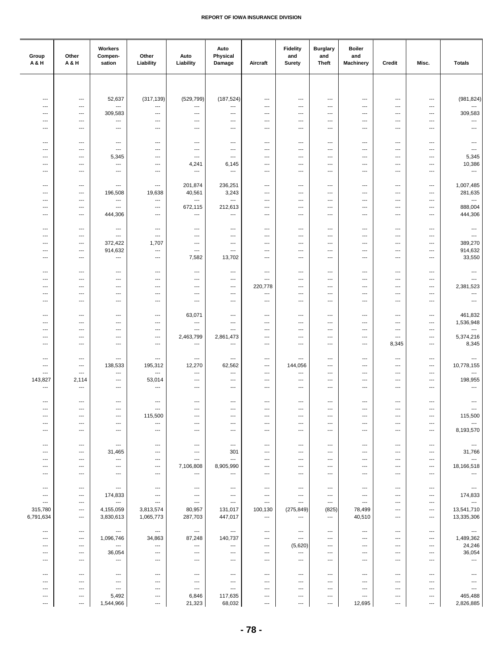| Group<br>A&H                                         | Other<br>A & H                                       | Workers<br>Compen-<br>sation                         | Other<br>Liability                                   | Auto<br>Liability                                    | Auto<br>Physical<br>Damage        | Aircraft                                             | <b>Fidelity</b><br>and<br><b>Surety</b> | <b>Burglary</b><br>and<br>Theft                      | <b>Boiler</b><br>and<br><b>Machinery</b> | Credit                                               | Misc.                  | <b>Totals</b>                      |
|------------------------------------------------------|------------------------------------------------------|------------------------------------------------------|------------------------------------------------------|------------------------------------------------------|-----------------------------------|------------------------------------------------------|-----------------------------------------|------------------------------------------------------|------------------------------------------|------------------------------------------------------|------------------------|------------------------------------|
|                                                      |                                                      |                                                      |                                                      |                                                      |                                   |                                                      |                                         |                                                      |                                          |                                                      |                        |                                    |
| $\overline{\phantom{a}}$                             | $\scriptstyle\cdots$                                 | 52,637                                               | (317, 139)                                           | (529, 799)                                           | (187, 524)                        | $\overline{\phantom{a}}$                             | ---                                     | ---                                                  | ---                                      | $\scriptstyle\cdots$                                 | ---                    | (981, 824)                         |
| $\sim$                                               | $---$                                                | ---                                                  | $\qquad \qquad \cdots$                               | $\hspace{0.05cm} \ldots$                             | ---                               | $\overline{\phantom{a}}$                             | ---                                     | ---                                                  | ---                                      | $\overline{\phantom{a}}$                             | ---                    | ---                                |
| ---                                                  | $---$                                                | 309,583                                              | $\overline{\phantom{a}}$                             | $\overline{\phantom{a}}$                             | $\overline{\phantom{a}}$          | ---                                                  | ---                                     | ---                                                  | ---                                      | $\overline{\phantom{a}}$                             | ---                    | 309,583                            |
| $\sim$<br>$\overline{\phantom{a}}$                   | $---$<br>$\hspace{0.05cm} \ldots$                    | $\ldots$<br>---                                      | ---<br>$\qquad \qquad \cdots$                        | ---<br>$\hspace{0.05cm} \ldots$                      | ---<br>$\overline{\phantom{a}}$   | $---$<br>$\overline{\phantom{a}}$                    | ---<br>---                              | ---<br>---                                           | ---<br>---                               | $\overline{\phantom{a}}$<br>$\overline{a}$           | ---<br>---             | ---<br>---                         |
|                                                      |                                                      |                                                      |                                                      |                                                      |                                   |                                                      |                                         |                                                      |                                          |                                                      |                        |                                    |
| $\overline{\phantom{a}}$                             | $\hspace{0.05cm} \ldots$                             | $\hspace{0.05cm} \ldots$                             | $\qquad \qquad \cdots$                               | $\hspace{0.05cm} \ldots$                             | $\overline{\phantom{a}}$          | $\overline{\phantom{a}}$                             | $\overline{\phantom{a}}$                | ---                                                  | ---                                      | $\qquad \qquad \cdots$                               | ---                    | $\hspace{0.05cm} \ldots$           |
| $---$<br>$---$                                       | $\overline{\phantom{a}}$<br>$---$                    | $---$<br>5,345                                       | $\overline{\phantom{a}}$<br>$\overline{\phantom{a}}$ | $\overline{\phantom{a}}$<br>$\cdots$                 | $---$<br>$\overline{\phantom{a}}$ | $---$<br>$---$                                       | ---<br>$---$                            | ---<br>---                                           | ---<br>$---$                             | $\overline{\phantom{a}}$<br>$\overline{\phantom{a}}$ | ---<br>---             | $---$<br>5,345                     |
| $\overline{\phantom{a}}$                             | $\overline{\phantom{a}}$                             | $\hspace{0.05cm} \ldots$                             | $\overline{\phantom{a}}$                             | 4,241                                                | 6,145                             | $---$                                                | ---                                     | ---                                                  | ---                                      | $\overline{\phantom{a}}$                             | ---                    | 10,386                             |
| $\overline{\phantom{a}}$                             | $\hspace{0.05cm} \ldots$                             | ---                                                  | $\qquad \qquad \cdots$                               | $\hspace{0.05cm} \ldots$                             | $\overline{\phantom{a}}$          | $\qquad \qquad \cdots$                               | ---                                     | ---                                                  | ---                                      | $\qquad \qquad \cdots$                               | ---                    | ---                                |
| $\overline{\phantom{a}}$                             | $\qquad \qquad \cdots$                               | $\hspace{0.05cm} \ldots$                             | $\qquad \qquad \cdots$                               | 201,874                                              | 236,251                           | ---                                                  | $\overline{\phantom{a}}$                | ---                                                  | ---                                      | $\qquad \qquad \cdots$                               | ---                    | 1,007,485                          |
| ---                                                  | $\qquad \qquad -\qquad$                              | 196,508                                              | 19,638                                               | 40,561                                               | 3,243                             | $\overline{\phantom{a}}$                             | ---                                     | ---                                                  | ---                                      | $\overline{a}$                                       | ---                    | 281,635                            |
| ---                                                  | $---$                                                | ---                                                  | ---                                                  | $\overline{\phantom{a}}$                             | $\overline{\phantom{a}}$          | $\overline{\phantom{a}}$                             | ---                                     | ---                                                  | ---                                      | $\overline{\phantom{a}}$                             | ---                    | $\overline{\phantom{a}}$           |
| $\sim$<br>$\overline{\phantom{a}}$                   | $---$<br>$\qquad \qquad \cdots$                      | $\overline{\phantom{a}}$<br>444,306                  | $\overline{\phantom{a}}$<br>$\qquad \qquad \cdots$   | 672,115<br>$\hspace{0.05cm} \ldots$                  | 212,613<br>---                    | $---$<br>$\qquad \qquad \cdots$                      | ---<br>$\overline{\phantom{a}}$         | ---<br>---                                           | ---<br>---                               | $\overline{\phantom{a}}$<br>---                      | ---<br>---             | 888,004<br>444,306                 |
|                                                      |                                                      |                                                      |                                                      |                                                      |                                   |                                                      |                                         |                                                      |                                          |                                                      |                        |                                    |
| $\overline{\phantom{a}}$                             | $\hspace{0.05cm} \ldots$                             | $\hspace{0.05cm} \ldots$                             | $\qquad \qquad \cdots$                               | $\hspace{0.05cm} \ldots$                             | $\qquad \qquad \cdots$            | $\qquad \qquad \cdots$                               | ---                                     | ---                                                  | ---                                      | $\overline{\phantom{a}}$                             | ---                    | $\hspace{0.05cm} \ldots$           |
| $\overline{\phantom{a}}$<br>$---$                    | $\hspace{0.05cm} \ldots$<br>$---$                    | ---<br>372,422                                       | $\overline{\phantom{a}}$<br>1,707                    | ---<br>$\cdots$                                      | ---<br>$---$                      | $\overline{\phantom{a}}$<br>$---$                    | ---<br>---                              | ---<br>$\overline{\phantom{a}}$                      | ---<br>---                               | $\overline{\phantom{a}}$<br>$\overline{a}$           | ---<br>---             | $\overline{a}$<br>389,270          |
| $\overline{\phantom{a}}$                             | $---$                                                | 914,632                                              | $\qquad \qquad \cdots$                               | $\cdots$                                             | $\overline{\phantom{a}}$          | $---$                                                | $\overline{\phantom{a}}$                | $\overline{\phantom{a}}$                             | ---                                      | $---$                                                | ---                    | 914,632                            |
| $\overline{\phantom{a}}$                             | $\overline{\phantom{a}}$                             | $---$                                                | $\overline{\phantom{a}}$                             | 7,582                                                | 13,702                            | $---$                                                | ---                                     | ---                                                  | ---                                      | $\overline{\phantom{a}}$                             | ---                    | 33,550                             |
|                                                      |                                                      |                                                      |                                                      |                                                      |                                   |                                                      |                                         |                                                      |                                          |                                                      |                        |                                    |
| $\overline{\phantom{a}}$<br>---                      | $\hspace{0.05cm} \cdots$<br>$\hspace{0.05cm} \ldots$ | ---<br>---                                           | $\qquad \qquad \cdots$<br>---                        | $\hspace{0.05cm} \ldots$<br>$\hspace{0.05cm} \ldots$ | $\overline{\phantom{a}}$<br>---   | ---<br>$\qquad \qquad \cdots$                        | ---<br>---                              | ---<br>---                                           | ---<br>---                               | $\qquad \qquad \cdots$<br>$\overline{\phantom{a}}$   | ---<br>---             | $\scriptstyle\cdots$<br>---        |
| $\overline{\phantom{a}}$                             | $\overline{\phantom{a}}$                             | $\overline{\phantom{a}}$                             | $\overline{\phantom{a}}$                             | $\overline{\phantom{a}}$                             | $\hspace{0.05cm} \cdots$          | 220,778                                              | ---                                     | ---                                                  | ---                                      | $---$                                                | ---                    | 2,381,523                          |
| $\sim$                                               | $---$                                                | $\overline{\phantom{a}}$                             | ---                                                  | $---$                                                | ---                               | $---$                                                | ---                                     | ---                                                  | ---                                      | $\overline{a}$                                       | ---                    | $\overline{\phantom{a}}$           |
| $\sim$                                               | $---$                                                | $\overline{\phantom{a}}$                             | $\overline{\phantom{a}}$                             | ---                                                  | $---$                             | $---$                                                | ---                                     | ---                                                  | ---                                      | $---$                                                | ---                    | $\overline{\phantom{a}}$           |
| $\overline{\phantom{a}}$                             | $\qquad \qquad \cdots$                               | ---                                                  | ---                                                  | 63,071                                               | $\overline{\phantom{a}}$          | $\overline{\phantom{a}}$                             | $\overline{\phantom{a}}$                | ---                                                  | ---                                      | $\overline{\phantom{a}}$                             | ---                    | 461,832                            |
| $\overline{\phantom{a}}$                             | $\cdots$                                             | $\overline{\phantom{a}}$                             | $\qquad \qquad \cdots$                               | $\hspace{0.05cm} \ldots$                             | $\hspace{0.05cm} \ldots$          | $\overline{\phantom{a}}$                             | ---                                     | $\overline{\phantom{a}}$                             | ---                                      | $\overline{\phantom{a}}$                             | ---                    | 1,536,948                          |
| $---$                                                | $\overline{\phantom{a}}$                             | $\overline{\phantom{a}}$                             | $\overline{\phantom{a}}$                             | $\cdots$                                             | $\overline{\phantom{a}}$          | $---$                                                | $---$                                   | $---$                                                | $---$                                    | $\overline{\phantom{a}}$                             | ---                    | $\overline{\phantom{a}}$           |
| $---$<br>$\overline{\phantom{a}}$                    | $---$<br>$\overline{\phantom{a}}$                    | $\cdots$<br>$\overline{\phantom{a}}$                 | $\cdots$<br>$\overline{\phantom{a}}$                 | 2,463,799<br>$\cdots$                                | 2,861,473<br>---                  | $\overline{\phantom{a}}$<br>$---$                    | $\cdots$<br>---                         | $\overline{\phantom{a}}$<br>---                      | ---<br>---                               | $\overline{\phantom{a}}$<br>8,345                    | ---<br>---             | 5,374,216<br>8,345                 |
|                                                      |                                                      |                                                      |                                                      |                                                      |                                   |                                                      |                                         |                                                      |                                          |                                                      |                        |                                    |
| $\overline{\phantom{a}}$                             | $\hspace{0.05cm} \ldots$                             | ---                                                  | $\qquad \qquad \cdots$                               | $\hspace{0.05cm} \ldots$                             | $\overline{\phantom{a}}$          | $\qquad \qquad \cdots$                               | ---                                     | ---                                                  | ---                                      | $\qquad \qquad \cdots$                               | ---                    | $\hspace{0.05cm} \ldots$           |
| $\overline{\phantom{a}}$<br>$\overline{\phantom{a}}$ | $\qquad \qquad \cdots$<br>$\hspace{0.05cm} \ldots$   | 138,533<br>---                                       | 195,312<br>$\ldots$                                  | 12,270<br>$\hspace{0.05cm} \ldots$                   | 62,562<br>$\qquad \qquad \cdots$  | $\overline{\phantom{a}}$<br>$\overline{\phantom{a}}$ | 144,056<br>---                          | ---<br>---                                           | ---<br>---                               | $\qquad \qquad \cdots$<br>$\overline{\phantom{a}}$   | ---<br>---             | 10,778,155<br>---                  |
| 143,827                                              | 2,114                                                | ---                                                  | 53,014                                               | $\overline{\phantom{a}}$                             | $\overline{\phantom{a}}$          | $\overline{\phantom{a}}$                             | ---                                     | ---                                                  | ---                                      | $---$                                                | ---                    | 198,955                            |
| ---                                                  | $---$                                                | $---$                                                | $\overline{\phantom{a}}$                             | $---$                                                | $---$                             | $---$                                                | $\overline{\phantom{a}}$                | $\overline{\phantom{a}}$                             | $\overline{\phantom{a}}$                 | $---$                                                | ---                    | $\overline{\phantom{a}}$           |
| $\overline{\phantom{a}}$                             | $\hspace{0.05cm} \ldots$                             | $\hspace{0.05cm} \ldots$                             | $\qquad \qquad \cdots$                               | $\hspace{0.05cm} \ldots$                             | $\overline{\phantom{a}}$          | $\qquad \qquad \cdots$                               | $\qquad \qquad \cdots$                  | ---                                                  | $\overline{\phantom{a}}$                 | $\qquad \qquad \cdots$                               | ---                    | $\hspace{0.05cm} \ldots$           |
|                                                      | ---                                                  | ---                                                  | $\hspace{0.05cm} \ldots$                             |                                                      | ---                               | ---                                                  | ---                                     | ---                                                  | ---                                      | ---                                                  | ---                    | $\hspace{0.05cm} \cdots$           |
| $\overline{\phantom{a}}$                             | $\qquad \qquad \cdots$                               | ---                                                  | 115,500                                              | $\hspace{0.05cm} \ldots$                             | ---                               | $\qquad \qquad \cdots$                               | ---                                     | ---                                                  | ---                                      | $\qquad \qquad \cdots$                               | ---                    | 115,500                            |
| $\overline{\phantom{a}}$<br>$\overline{\phantom{a}}$ | $\qquad \qquad \cdots$<br>$---$                      | $---$<br>$\cdots$                                    | $\hspace{0.05cm} \ldots$<br>$\overline{\phantom{a}}$ | $\qquad \qquad \cdots$<br>$\cdots$                   | $---$<br>$---$                    | $\cdots$<br>$---$                                    | $\cdots$<br>$\cdots$                    | $\overline{\phantom{a}}$<br>$\overline{\phantom{a}}$ | ---<br>$---$                             | $\cdots$<br>$\overline{\phantom{a}}$                 | ---<br>$\cdots$        | $\ldots$<br>8,193,570              |
|                                                      |                                                      |                                                      |                                                      |                                                      |                                   |                                                      |                                         |                                                      |                                          |                                                      |                        |                                    |
| $\cdots$                                             | $\hspace{0.05cm} \ldots$                             | $\hspace{0.05cm} \ldots$                             | $\qquad \qquad \cdots$                               | $\hspace{0.05cm} \ldots$                             | $\hspace{0.05cm} \ldots$          | $\cdots$                                             | $\qquad \qquad \cdots$                  | $\cdots$                                             | $\qquad \qquad \cdots$                   | $\qquad \qquad \cdots$                               | $\qquad \qquad \cdots$ | $\cdots$                           |
| ---                                                  | ---                                                  | 31,465                                               | ---                                                  | ---                                                  | 301                               | ---                                                  | ---                                     | ---                                                  | ---                                      | $\qquad \qquad \cdots$                               | ---                    | 31,766<br>$\hspace{0.05cm} \ldots$ |
| ---<br>---                                           | ---<br>$\qquad \qquad -\qquad$                       | $\hspace{0.05cm} \ldots$<br>$\hspace{0.05cm} \cdots$ | ---<br>$\cdots$                                      | $\hspace{0.05cm} \cdots$<br>7,106,808                | ---<br>8,905,990                  | ---<br>---                                           | ---<br>---                              | ---<br>$\hspace{0.05cm} \ldots$                      | ---<br>---                               | $\qquad \qquad \cdots$<br>$\hspace{0.05cm} \ldots$   | ---<br>---             | 18,166,518                         |
| $---$                                                | $\qquad \qquad \cdots$                               | $---$                                                | $\hspace{0.05cm} \ldots$                             | $\hspace{0.05cm} \ldots$                             | $\qquad \qquad \cdots$            | $---$                                                | $\overline{\phantom{a}}$                | $\overline{\phantom{a}}$                             | ---                                      | $\cdots$                                             | ---                    | $\overline{\phantom{a}}$           |
|                                                      |                                                      |                                                      |                                                      |                                                      |                                   |                                                      |                                         |                                                      |                                          |                                                      |                        |                                    |
| $\overline{\phantom{a}}$<br>$\hspace{0.05cm} \ldots$ | $\hspace{0.05cm} \ldots$<br>$\hspace{0.05cm} \ldots$ | $\hspace{0.05cm} \ldots$<br>174,833                  | $\hspace{0.05cm} \ldots$<br>$\qquad \qquad \cdots$   | $\hspace{0.05cm} \ldots$<br>$\hspace{0.05cm} \ldots$ | ---<br>---                        | $\qquad \qquad \cdots$<br>$\cdots$                   | ---<br>---                              | ---<br>$\cdots$                                      | ---<br>---                               | $\qquad \qquad \cdots$<br>$\qquad \qquad \cdots$     | ---<br>---             | $\scriptstyle\cdots$<br>174,833    |
| $\hspace{0.05cm} \ldots$                             | ---                                                  | $\hspace{0.05cm} \ldots$                             | $\qquad \qquad \cdots$                               | $\hspace{0.05cm} \ldots$                             | $\qquad \qquad \cdots$            | $\cdots$                                             | ---                                     | $\cdots$                                             | ---                                      | $\qquad \qquad \cdots$                               | ---                    | ---                                |
| 315,780                                              | $\hspace{0.05cm} \ldots$                             | 4,155,059                                            | 3,813,574                                            | 80,957                                               | 131,017                           | 100,130                                              | (275, 849)                              | (825)                                                | 78,499                                   | $\overline{a}$                                       | $\cdots$               | 13,541,710                         |
| 6,791,634                                            | $\overline{\phantom{a}}$                             | 3,830,613                                            | 1,065,773                                            | 287,703                                              | 447,017                           | $\cdots$                                             | $\cdots$                                | $\cdots$                                             | 40,510                                   | $\overline{a}$                                       | $\cdots$               | 13,335,306                         |
| $\hspace{0.05cm} \ldots$                             | $\hspace{0.05cm} \ldots$                             | $\hspace{0.05cm} \ldots$                             | $\hspace{0.05cm} \ldots$                             | $\hspace{0.05cm} \ldots$                             | $\cdots$                          | $\cdots$                                             | $\hspace{0.05cm} \ldots$                | ---                                                  | $\qquad \qquad \cdots$                   | $\qquad \qquad \cdots$                               | $\qquad \qquad \cdots$ | $\cdots$                           |
| $---$                                                | $\hspace{0.05cm} \ldots$                             | 1,096,746                                            | 34,863                                               | 87,248                                               | 140,737                           | $\cdots$                                             | $\hspace{0.05cm} \ldots$                | $\qquad \qquad \cdots$                               | ---                                      | $\ldots$                                             | $\qquad \qquad \cdots$ | 1,489,362                          |
| ---<br>$\overline{\phantom{a}}$                      | ---<br>$\qquad \qquad -\qquad$                       | $\scriptstyle\cdots$<br>36,054                       | ---<br>$\hspace{0.05cm} \cdots$                      | $\hspace{0.05cm} \cdots$<br>$\hspace{0.05cm} \ldots$ | ---<br>$\qquad \qquad \cdots$     | ---<br>$\overline{\phantom{a}}$                      | (5,620)<br>---                          | ---<br>$\hspace{0.05cm} \ldots$                      | ---<br>---                               | $\qquad \qquad \cdots$<br>$\hspace{0.05cm} \ldots$   | ---<br>---             | 24,246<br>36,054                   |
| ---                                                  | $\hspace{0.05cm} \ldots$                             | ---                                                  | $\hspace{0.05cm} \ldots$                             | $\qquad \qquad \cdots$                               | $\overline{\phantom{a}}$          | $---$                                                | ---                                     | $\hspace{0.05cm} \ldots$                             | ---                                      | $\cdots$                                             | ---                    | ---                                |
|                                                      |                                                      |                                                      |                                                      |                                                      |                                   |                                                      |                                         |                                                      |                                          |                                                      |                        |                                    |
| $\overline{\phantom{a}}$                             | $\hspace{0.05cm} \ldots$                             | $\hspace{0.05cm} \ldots$                             | $\qquad \qquad \cdots$                               | $\hspace{0.05cm} \ldots$                             | $\overline{\phantom{a}}$          | $\qquad \qquad \cdots$                               | $\qquad \qquad \cdots$                  | ---                                                  | ---                                      | $\qquad \qquad \cdots$                               | ---                    | $\overline{\phantom{a}}$           |
| $\overline{\phantom{a}}$<br>---                      | $\hspace{0.05cm} \ldots$<br>---                      | $\hspace{0.05cm} \ldots$<br>$\hspace{0.05cm} \ldots$ | $\overline{\phantom{a}}$<br>---                      | $\hspace{0.05cm} \ldots$<br>$\hspace{0.05cm} \cdots$ | ---<br>$\scriptstyle\cdots$       | $\overline{\phantom{a}}$<br>$\qquad \qquad \cdots$   | ---<br>---                              | ---<br>---                                           | ---<br>---                               | $\overline{\phantom{a}}$<br>$\qquad \qquad \cdots$   | ---<br>---             | $---$<br>$---$                     |
| ---                                                  | ---                                                  | 5,492                                                | ---                                                  | 6,846                                                | 117,635                           | ---                                                  | ---                                     | ---                                                  | ---                                      | ---                                                  | ---                    | 465,488                            |
| $\cdots$                                             | $\hspace{0.05cm} \ldots$                             | 1,544,966                                            | $\hspace{0.05cm} \ldots$                             | 21,323                                               | 68,032                            | $\scriptstyle\cdots$                                 | ---                                     | ---                                                  | 12,695                                   | $\ldots$                                             | ---                    | 2,826,885                          |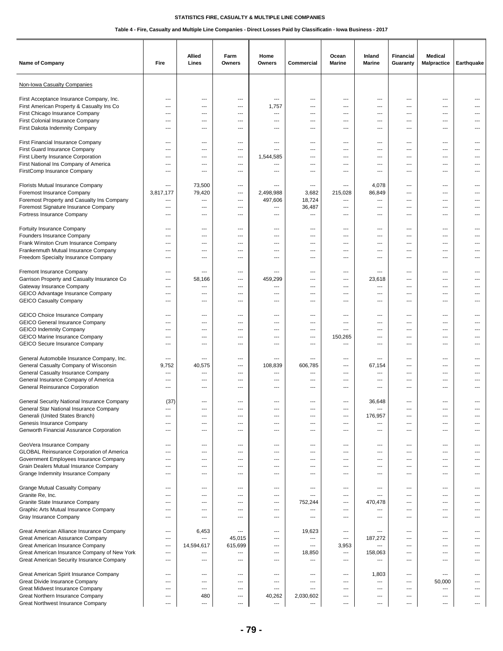| Name of Company                                                                                                                                                                                                | Fire                                                                                                                | Allied<br>Lines                                                           | Farm<br>Owners                         | Home<br>Owners                                                               | Commercial                                                   | Ocean<br><b>Marine</b>                                 | Inland<br><b>Marine</b>                                                                        | <b>Financial</b><br>Guaranty                                                                   | Medical<br><b>Malpractice</b>                                     | Earthquake                                           |
|----------------------------------------------------------------------------------------------------------------------------------------------------------------------------------------------------------------|---------------------------------------------------------------------------------------------------------------------|---------------------------------------------------------------------------|----------------------------------------|------------------------------------------------------------------------------|--------------------------------------------------------------|--------------------------------------------------------|------------------------------------------------------------------------------------------------|------------------------------------------------------------------------------------------------|-------------------------------------------------------------------|------------------------------------------------------|
| Non-Iowa Casualty Companies                                                                                                                                                                                    |                                                                                                                     |                                                                           |                                        |                                                                              |                                                              |                                                        |                                                                                                |                                                                                                |                                                                   |                                                      |
| First Acceptance Insurance Company, Inc.<br>First American Property & Casualty Ins Co<br>First Chicago Insurance Company<br>First Colonial Insurance Company<br>First Dakota Indemnity Company                 | $\overline{\phantom{a}}$<br>---<br>$\overline{\phantom{a}}$<br>---<br>$\sim$                                        | $---$<br>---<br>$\overline{a}$<br>---<br>$\sim$                           | ---<br>---<br>---<br>---<br>$---$      | ---<br>1,757<br>---<br>---<br>$-$                                            | ---<br>---<br>---<br>---<br>---                              | $\overline{a}$<br>---<br>---<br>---<br>$---$           | ---<br>---<br>---<br>---<br>$\overline{\phantom{a}}$                                           | ---<br>---<br>---<br>---<br>$---$                                                              | ---<br>---<br>---<br>---<br>$---$                                 | ---<br>---<br>$---$                                  |
| First Financial Insurance Company<br>First Guard Insurance Company<br>First Liberty Insurance Corporation<br>First National Ins Company of America<br>FirstComp Insurance Company                              | $---$<br>$\overline{\phantom{a}}$<br>$\overline{\phantom{a}}$<br>$\qquad \qquad \cdots$<br>$---$                    | ---<br>---<br>---<br>---<br>$---$                                         | ---<br>---<br>---<br>---<br>$---$      | ---<br>---<br>1,544,585<br>---<br>$\overline{a}$                             | ---<br>---<br>---<br>---<br>---                              | ---<br>---<br>---<br>---<br>$\overline{a}$             | $---$<br>---<br>---<br>---<br>$---$                                                            | ---<br>---<br>---<br>---<br>$---$                                                              | $---$<br>---<br>$\overline{a}$<br>$\overline{a}$<br>$---$         | ---<br>---<br>---<br>---<br>---                      |
| Florists Mutual Insurance Company<br>Foremost Insurance Company<br>Foremost Property and Casualty Ins Company<br>Foremost Signature Insurance Company<br>Fortress Insurance Company                            | $\overline{\phantom{a}}$<br>3,817,177<br>$---$<br>$\overline{\phantom{a}}$<br>$---$                                 | 73,500<br>79,420<br>---<br>---<br>$---$                                   | ---<br>---<br>---<br>---<br>---        | ---<br>2,498,988<br>497,606<br>---<br>$\overline{a}$                         | $\overline{\phantom{a}}$<br>3,682<br>18,724<br>36,487<br>--- | ---<br>215,028<br>---<br>---<br>---                    | 4,078<br>86,849<br>---<br>---<br>$---$                                                         | $\overline{\phantom{a}}$<br>---<br>---<br>---<br>$---$                                         | ---<br>---<br>---<br>---<br>$---$                                 | $\overline{a}$<br>---<br>---                         |
| Fortuity Insurance Company<br>Founders Insurance Company<br>Frank Winston Crum Insurance Company<br>Frankenmuth Mutual Insurance Company<br>Freedom Specialty Insurance Company                                | $\overline{\phantom{a}}$<br>$\overline{\phantom{a}}$<br>$\qquad \qquad \cdots$<br>$\qquad \qquad \cdots$<br>---     | $\overline{\phantom{a}}$<br>$\overline{\phantom{a}}$<br>---<br>---<br>--- | $---$<br>---<br>---<br>---<br>---      | ---<br>---<br>---<br>---<br>---                                              | ---<br>---<br>---<br>---<br>---                              | $---$<br>$---$<br>---<br>---                           | $\overline{\phantom{a}}$<br>$\overline{\phantom{a}}$<br>---<br>$\hspace{0.05cm} \ldots$<br>--- | $\overline{\phantom{a}}$<br>$\overline{\phantom{a}}$<br>---<br>---<br>---                      | $---$<br>$---$<br>---<br>---<br>---                               | ---<br>---<br>---<br>---                             |
| Fremont Insurance Company<br>Garrison Property and Casualty Insurance Co<br>Gateway Insurance Company<br>GEICO Advantage Insurance Company<br><b>GEICO Casualty Company</b>                                    | $\overline{\phantom{a}}$<br>$---$<br>---<br>---<br>---                                                              | ---<br>58,166<br>---<br>---<br>---                                        | $---$<br>---<br>---<br>---             | ---<br>459,299<br>---<br>---<br>---                                          | ---<br>---<br>---<br>---<br>---                              | $---$<br>---<br>---<br>---                             | ---<br>23,618<br>---<br>---<br>---                                                             | $\overline{\phantom{a}}$<br>---<br>---<br>---                                                  | ---<br>$---$<br>---<br>---<br>---                                 | $---$<br>---                                         |
| <b>GEICO Choice Insurance Company</b><br><b>GEICO General Insurance Company</b><br><b>GEICO Indemnity Company</b><br><b>GEICO Marine Insurance Company</b><br>GEICO Secure Insurance Company                   | $---$<br>$\overline{\phantom{a}}$<br>$\overline{\phantom{a}}$<br>$\overline{\phantom{a}}$<br>$\qquad \qquad \cdots$ | $\sim$<br>---<br>---<br>---<br>---                                        | $---$<br>---<br>---<br>---<br>---      | $-$<br>---<br>---<br>---<br>---                                              | ---<br>---<br>---<br>---<br>---                              | $---$<br>---<br>---<br>150,265<br>---                  | $\overline{\phantom{a}}$<br>---<br>---<br>---<br>---                                           | $---$<br>$\overline{\phantom{a}}$<br>---<br>---<br>---                                         | $---$<br>$---$<br>$\overline{a}$<br>---<br>---                    | ---<br>---<br>---<br>---<br>---                      |
| General Automobile Insurance Company, Inc.<br>General Casualty Company of Wisconsin<br>General Casualty Insurance Company<br>General Insurance Company of America<br>General Reinsurance Corporation           | $\overline{\phantom{a}}$<br>9,752<br>---<br>---<br>---                                                              | $---$<br>40,575<br>---<br>---<br>---                                      | $---$<br>---<br>---<br>---<br>---      | $\overline{a}$<br>108,839<br>---<br>---<br>---                               | ---<br>606,785<br>---<br>---<br>---                          | $---$<br>$- - -$<br>---<br>---<br>---                  | $---$<br>67,154<br>---<br>---<br>---                                                           | $---$<br>$\sim$<br>---<br>---<br>---                                                           | $---$<br>$---$<br>---<br>---<br>---                               | $---$<br>---                                         |
| General Security National Insurance Company<br>General Star National Insurance Company<br>Generali (United States Branch)<br>Genesis Insurance Company<br>Genworth Financial Assurance Corporation             | (37)<br>---<br>---<br>$\overline{\phantom{a}}$<br>---                                                               | $---$<br>$---$<br>---<br>---<br>---                                       | $---$<br>---<br>---<br>---<br>---      | $\sim$<br>---<br>---<br>---<br>---                                           | $---$<br>---<br>---<br>---<br>---                            | $---$<br>---<br>---<br>---<br>---                      | 36,648<br>176,957<br>---<br>---                                                                | ---<br>---<br>---<br>---<br>---                                                                | $---$<br>---<br>$---$<br>$\overline{a}$<br>$\overline{a}$         | ---<br>---                                           |
| GeoVera Insurance Company<br>GLOBAL Reinsurance Corporation of America<br>Government Employees Insurance Company<br>Grain Dealers Mutual Insurance Company<br>Grange Indemnity Insurance Company               | $\sim$<br>$---$<br>$---$<br>$\overline{\phantom{a}}$<br>---                                                         | $---$<br>$---$<br>---<br>---<br>---                                       | $---$<br>---<br>---<br>---<br>---      | $-$<br>---<br>---<br>---<br>---                                              | $---$<br>---<br>---<br>---<br>---                            | $---$<br>---<br>---<br>---<br>---                      | $\overline{\phantom{a}}$<br>---<br>---<br>---<br>---                                           | $---$<br>$\sim$<br>$---$<br>---<br>---                                                         | $---$<br>---<br>$\cdots$<br>---<br>---                            | $---$<br>---<br>---<br>---<br>---                    |
| <b>Grange Mutual Casualty Company</b><br>Granite Re, Inc.<br>Granite State Insurance Company<br>Graphic Arts Mutual Insurance Company<br>Gray Insurance Company                                                | $---$<br>$---$<br>$---$<br>$\qquad \qquad \cdots$<br>$\qquad \qquad \cdots$                                         | $---$<br>$---$<br>$\overline{\phantom{a}}$<br>---<br>---                  | ---<br>---<br>---<br>---<br>---        | ---<br>---<br>$---$<br>---<br>---                                            | ---<br>$---$<br>752,244<br>---<br>---                        | ---<br>$---$<br>$\overline{\phantom{a}}$<br>---<br>--- | $\overline{\phantom{a}}$<br>$---$<br>470,478<br>---<br>---                                     | $---$<br>$---$<br>$---$<br>---<br>---                                                          | $---$<br>$---$<br>$---$<br>$\overline{a}$<br>$\cdots$             | $---$<br>$---$<br>---<br>---<br>---                  |
| Great American Alliance Insurance Company<br>Great American Assurance Company<br>Great American Insurance Company<br>Great American Insurance Company of New York<br>Great American Security Insurance Company | $\overline{\phantom{a}}$<br>$---$<br>$---$<br>$\overline{\phantom{a}}$<br>$---$                                     | 6,453<br>---<br>14,594,617<br>---<br>---                                  | ---<br>45,015<br>615,699<br>---<br>--- | ---<br>$\sim$<br>$\overline{\phantom{a}}$<br>$\overline{\phantom{a}}$<br>--- | 19,623<br>---<br>$\overline{\phantom{a}}$<br>18,850<br>---   | ---<br>$---$<br>3,953<br>---<br>---                    | $---$<br>187,272<br>---<br>158,063<br>---                                                      | $---$<br>$---$<br>$\overline{\phantom{a}}$<br>---<br>---                                       | $\cdots$<br>$---$<br>$---$<br>---<br>---                          | $---$<br>---<br>---<br>---<br>---                    |
| Great American Spirit Insurance Company<br>Great Divide Insurance Company<br>Great Midwest Insurance Company<br>Great Northern Insurance Company<br>Great Northwest Insurance Company                          | $\overline{\phantom{a}}$<br>$---$<br>$\overline{\phantom{a}}$<br>$---$<br>$\qquad \qquad \cdots$                    | ---<br>---<br>$---$<br>480<br>$\qquad \qquad \cdots$                      | ---<br>---<br>---<br>---<br>---        | ---<br>---<br>---<br>40,262<br>---                                           | ---<br>$---$<br>---<br>2,030,602<br>---                      | ---<br>---<br>---<br>$---$<br>---                      | 1,803<br>---<br>$\overline{\phantom{a}}$<br>$\overline{\phantom{a}}$<br>$\qquad \qquad \cdots$ | ---<br>---<br>$\overline{\phantom{a}}$<br>$\overline{\phantom{a}}$<br>$\hspace{0.05cm} \ldots$ | $\cdots$<br>50,000<br>$\overline{\phantom{a}}$<br>---<br>$\cdots$ | $\overline{\phantom{a}}$<br>---<br>---<br>---<br>--- |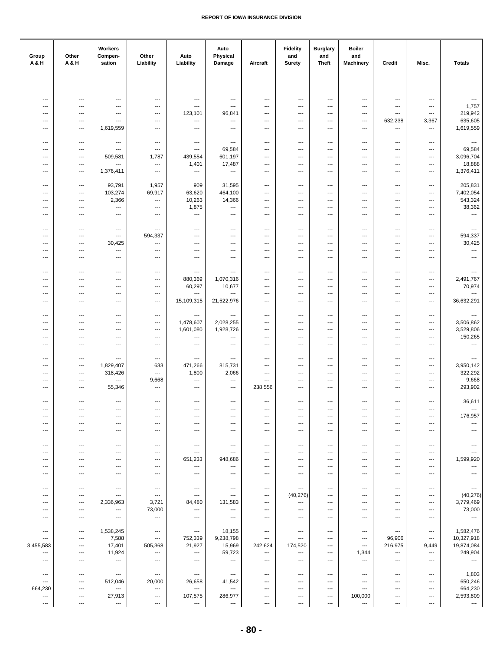| Group<br>A&H                          | Other<br>A & H                                       | Workers<br>Compen-<br>sation                       | Other<br>Liability                   | Auto<br>Liability                                    | Auto<br>Physical<br>Damage      | Aircraft                                             | <b>Fidelity</b><br>and<br><b>Surety</b>            | <b>Burglary</b><br>and<br><b>Theft</b>           | <b>Boiler</b><br>and<br><b>Machinery</b>             | Credit                                               | Misc.                                              | <b>Totals</b>                                        |
|---------------------------------------|------------------------------------------------------|----------------------------------------------------|--------------------------------------|------------------------------------------------------|---------------------------------|------------------------------------------------------|----------------------------------------------------|--------------------------------------------------|------------------------------------------------------|------------------------------------------------------|----------------------------------------------------|------------------------------------------------------|
|                                       |                                                      |                                                    |                                      |                                                      |                                 |                                                      |                                                    |                                                  |                                                      |                                                      |                                                    |                                                      |
|                                       |                                                      |                                                    |                                      |                                                      |                                 |                                                      |                                                    |                                                  |                                                      |                                                      |                                                    |                                                      |
| $\overline{\phantom{a}}$<br>---       | $\hspace{0.05cm} \ldots$<br>---                      | $\hspace{0.05cm} \ldots$<br>$---$                  | $\qquad \qquad \cdots$<br>---        | $\hspace{0.05cm} \cdots$<br>---                      | $\overline{\phantom{a}}$<br>--- | $\qquad \qquad -$<br>---                             | $\qquad \qquad \cdots$<br>---                      | $\cdots$<br>---                                  | $---$<br>$---$                                       | $\qquad \qquad \cdots$<br>$\hspace{0.05cm} \ldots$   | $\hspace{0.05cm} \ldots$<br>$\qquad \qquad \cdots$ | $\scriptstyle\cdots$<br>1,757                        |
| $\overline{\phantom{a}}$              | $\hspace{0.05cm} \ldots$                             | ---                                                | $\qquad \qquad \cdots$               | 123,101                                              | 96,841                          | $\overline{\phantom{a}}$                             | $\ldots$                                           | $\qquad \qquad \cdots$                           | ---                                                  | $\overline{\phantom{a}}$                             | ---                                                | 219,942                                              |
| $---$<br>$\overline{\phantom{a}}$     | $\hspace{0.05cm} \ldots$<br>---                      | ---<br>1,619,559                                   | $\qquad \qquad \cdots$<br>---        | $\cdots$<br>$\hspace{0.05cm} \cdots$                 | ---<br>---                      | $\qquad \qquad \cdots$<br>$\qquad \qquad \cdots$     | ---<br>---                                         | $\qquad \qquad \cdots$<br>$\qquad \qquad \cdots$ | $\hspace{0.05cm} \ldots$<br>$\hspace{0.05cm} \ldots$ | 632,238<br>$\overline{\phantom{a}}$                  | 3,367<br>$\hspace{0.05cm} \ldots$                  | 635,605<br>1,619,559                                 |
|                                       |                                                      |                                                    |                                      |                                                      |                                 |                                                      |                                                    |                                                  |                                                      |                                                      |                                                    |                                                      |
| ---                                   | $---$                                                | $\hspace{0.05cm} \ldots$                           | $\overline{\phantom{a}}$             | $---$                                                | $\qquad \qquad \cdots$          | $\cdots$                                             | $\overline{\phantom{a}}$                           | ---                                              | $---$                                                | $---$                                                | $\overline{\phantom{a}}$                           | $\sim$                                               |
| $\sim$<br>$\sim$                      | $---$<br>$---$                                       | $\overline{\phantom{a}}$<br>509,581                | ---<br>1,787                         | $\overline{\phantom{a}}$<br>439,554                  | 69,584<br>601,197               | ---<br>---                                           | ---<br>---                                         | ---<br>---                                       | ---<br>$---$                                         | $\overline{a}$<br>$\overline{a}$                     | ---<br>$\cdots$                                    | 69,584<br>3,096,704                                  |
| $\overline{\phantom{a}}$              | $---$                                                | ---                                                | $\ldots$                             | 1,401                                                | 17,487                          | $\qquad \qquad \cdots$                               | ---                                                | ---                                              | ---                                                  | $\overline{\phantom{a}}$                             | $\qquad \qquad \cdots$                             | 18,888                                               |
| ---                                   | ---                                                  | 1,376,411                                          | ---                                  | $\hspace{0.05cm} \cdots$                             | ---                             | $\qquad \qquad \cdots$                               | ---                                                | ---                                              | $\hspace{0.05cm} \ldots$                             | ---                                                  | $\overline{\phantom{a}}$                           | 1,376,411                                            |
| ---                                   | $\overline{\phantom{a}}$                             | 93,791                                             | 1,957                                | 909                                                  | 31,595                          | $\hspace{0.05cm} \ldots$                             | ---                                                | ---                                              | $---$                                                | $\overline{\phantom{a}}$                             | $\cdots$                                           | 205,831                                              |
| $\overline{\phantom{a}}$<br>---       | $\overline{\phantom{a}}$<br>$\overline{\phantom{a}}$ | 103,274<br>2,366                                   | 69,917<br>$\sim$                     | 63,620<br>10,263                                     | 464,100<br>14,366               | $\overline{\phantom{a}}$<br>$\overline{\phantom{a}}$ | ---<br>---                                         | $\overline{\phantom{a}}$<br>---                  | ---<br>---                                           | ---<br>$---$                                         | $---$<br>$---$                                     | 7,402,054<br>543,324                                 |
| $\overline{\phantom{a}}$              | $\scriptstyle\cdots$                                 | $\sim$                                             | $\ldots$                             | 1,875                                                | $\overline{a}$                  | ---                                                  | $\overline{\phantom{a}}$                           | ---                                              | ---                                                  | $\overline{\phantom{a}}$                             | $\ldots$                                           | 38,362                                               |
| ---                                   | $\overline{\phantom{a}}$                             | $\hspace{0.05cm} \ldots$                           | ---                                  | ---                                                  | ---                             | $\qquad \qquad \cdots$                               | ---                                                | ---                                              | $\hspace{0.05cm} \ldots$                             | $\qquad \qquad \cdots$                               | ---                                                | ---                                                  |
| $\overline{\phantom{a}}$              | $\overline{\phantom{a}}$                             | $\hspace{0.05cm} \ldots$                           | $\hspace{0.05cm} \cdots$             | $\overline{\phantom{a}}$                             | ---                             | $\overline{\phantom{a}}$                             | $\overline{\phantom{a}}$                           | ---                                              | $---$                                                | $\qquad \qquad \cdots$                               | $\hspace{0.05cm} \ldots$                           | $\hspace{0.05cm} \ldots$                             |
| $\overline{\phantom{a}}$              | $\overline{\phantom{a}}$                             | $\hspace{0.05cm} \ldots$                           | 594,337                              | $\overline{\phantom{a}}$                             | ---                             | $\overline{\phantom{a}}$                             | ---                                                | ---                                              | $\overline{\phantom{a}}$                             | $\qquad \qquad \cdots$                               | $\hspace{0.05cm} \ldots$                           | 594,337                                              |
| $\sim$<br>$\overline{\phantom{a}}$    | $---$<br>$\overline{\phantom{a}}$                    | 30,425<br>---                                      | $---$<br>$\overline{\phantom{a}}$    | $\overline{\phantom{a}}$<br>$\overline{\phantom{a}}$ | ---<br>$\overline{a}$           | ---<br>$\qquad \qquad \cdots$                        | ---<br>---                                         | ---<br>---                                       | $---$<br>---                                         | $\overline{a}$<br>$\qquad \qquad \cdots$             | $\overline{\phantom{a}}$<br>$\qquad \qquad \cdots$ | 30,425<br>---                                        |
| $\overline{\phantom{a}}$              | $\overline{\phantom{a}}$                             | $\hspace{0.05cm} \ldots$                           | $\overline{\phantom{a}}$             | $\overline{\phantom{a}}$                             | ---                             | $\qquad \qquad \cdots$                               | $\qquad \qquad \cdots$                             | ---                                              | ---                                                  | $\qquad \qquad \cdots$                               | $\qquad \qquad \cdots$                             | $\hspace{0.05cm} \ldots$                             |
|                                       |                                                      |                                                    |                                      |                                                      |                                 |                                                      |                                                    |                                                  |                                                      |                                                      |                                                    |                                                      |
| ---<br>---                            | $\overline{\phantom{a}}$<br>$---$                    | $---$<br>$\cdots$                                  | $\overline{\phantom{a}}$<br>$---$    | $\cdots$<br>880,369                                  | ---<br>1,070,316                | $\cdots$<br>$\cdots$                                 | $\overline{\phantom{a}}$<br>$---$                  | ---<br>---                                       | $---$<br>$---$                                       | $\cdots$<br>$\overline{a}$                           | $\hspace{0.05cm} \ldots$<br>$\cdots$               | $\hspace{0.05cm} \ldots$<br>2,491,767                |
| $\overline{\phantom{a}}$              | $\overline{\phantom{a}}$                             | $\overline{\phantom{a}}$                           | $\overline{\phantom{a}}$             | 60,297                                               | 10,677                          | $\qquad \qquad \cdots$                               | $\qquad \qquad \cdots$                             | $\overline{\phantom{a}}$                         | $\overline{\phantom{a}}$                             | $\overline{\phantom{a}}$                             | $\cdots$                                           | 70,974                                               |
| $---$<br>$\overline{\phantom{a}}$     | $\hspace{0.05cm} \ldots$<br>$\hspace{0.05cm} \ldots$ | $\hspace{0.05cm} \ldots$<br>$\qquad \qquad \cdots$ | ---<br>$\qquad \qquad \cdots$        | ---<br>15,109,315                                    | ---<br>21,522,976               | $\qquad \qquad \cdots$<br>$\qquad \qquad \cdots$     | ---<br>$\qquad \qquad \cdots$                      | $\qquad \qquad \cdots$<br>$\qquad \qquad \cdots$ | $\hspace{0.05cm} \ldots$<br>$\hspace{0.05cm} \ldots$ | $\overline{\phantom{a}}$<br>$\overline{\phantom{a}}$ | $\qquad \qquad \cdots$<br>$\qquad \qquad \cdots$   | ---<br>36,632,291                                    |
|                                       |                                                      |                                                    |                                      |                                                      |                                 |                                                      |                                                    |                                                  |                                                      |                                                      |                                                    |                                                      |
| ---                                   | ---                                                  | $---$                                              | $\overline{\phantom{a}}$             | $\overline{\phantom{a}}$                             | ---                             | $\hspace{0.05cm} \ldots$                             | $\overline{\phantom{a}}$                           | ---                                              | $---$                                                | $\overline{\phantom{a}}$                             | $\overline{\phantom{a}}$                           | $\sim$                                               |
| $\sim$<br>$\sim$                      | $---$<br>---                                         | $---$<br>---                                       | $---$<br>$---$                       | 1,478,607<br>1,601,080                               | 2,028,255<br>1,928,726          | ---<br>---                                           | $---$<br>---                                       | $---$<br>---                                     | $---$<br>$---$                                       | $\overline{a}$<br>---                                | $\cdots$<br>---                                    | 3,506,862<br>3,529,806                               |
| ---                                   | ---                                                  | ---                                                | $\overline{\phantom{a}}$             | ---                                                  | ---                             | ---                                                  | ---                                                | ---                                              | $\overline{\phantom{a}}$                             | ---                                                  | ---                                                | 150,265                                              |
| $\overline{\phantom{a}}$              | $\overline{\phantom{a}}$                             | $\hspace{0.05cm} \ldots$                           | $\qquad \qquad \cdots$               | $\overline{\phantom{a}}$                             | ---                             | $\qquad \qquad \cdots$                               | ---                                                | ---                                              | ---                                                  | $\qquad \qquad \cdots$                               | $\qquad \qquad \cdots$                             | $\ldots$                                             |
| ---                                   | ---                                                  | $\hspace{0.05cm} \ldots$                           | $\hspace{0.05cm} \cdots$             | ---                                                  | ---                             | ---                                                  | ---                                                | ---                                              | ---                                                  | ---                                                  | ---                                                | $\hspace{0.05cm} \ldots$                             |
| ---<br>---                            | $\overline{\phantom{a}}$<br>$---$                    | 1,829,407<br>318,426                               | 633<br>$\sim$                        | 471,266<br>1,800                                     | 815,731<br>2,066                | $\hspace{0.05cm} \ldots$<br>$\overline{\phantom{a}}$ | ---<br>---                                         | ---<br>---                                       | $---$<br>$\overline{\phantom{a}}$                    | $\qquad \qquad \cdots$<br>$---$                      | $\qquad \qquad \cdots$<br>$\overline{\phantom{a}}$ | 3,950,142<br>322,292                                 |
| ---                                   | $\overline{\phantom{a}}$                             | ---                                                | 9,668                                | $\overline{\phantom{a}}$                             | $\overline{\phantom{a}}$        | $\scriptstyle\cdots$                                 | $\overline{\phantom{a}}$                           | $\cdots$                                         | $\overline{\phantom{a}}$                             | $---$                                                | $\overline{\phantom{a}}$                           | 9,668                                                |
| $\overline{\phantom{a}}$              | $\qquad \qquad \cdots$                               | 55,346                                             | $\hspace{0.05cm} \ldots$             | $\cdots$                                             | $\ldots$                        | 238,556                                              | ---                                                | $\qquad \qquad \cdots$                           | $\hspace{0.05cm} \ldots$                             | $\overline{\phantom{a}}$                             | $\qquad \qquad \cdots$                             | 293,902                                              |
| $---$                                 | $\hspace{0.05cm} \ldots$                             | $\hspace{0.05cm} \ldots$                           | $\qquad \qquad \cdots$               | $\hspace{0.05cm} \ldots$                             | $\overline{\phantom{a}}$        | $\qquad \qquad \cdots$                               | $\qquad \qquad \cdots$                             | $\qquad \qquad \cdots$                           | $\overline{\phantom{a}}$                             | $\qquad \qquad \cdots$                               | $\qquad \qquad \cdots$                             | 36,611                                               |
| ---                                   | ---                                                  | ---                                                | ---                                  | $\overline{\phantom{a}}$                             | ---                             | ---                                                  | ---                                                | ---                                              | ---                                                  | $\qquad \qquad \cdots$                               | $\hspace{0.05cm} \cdots$                           | $\overline{\phantom{a}}$                             |
| ---<br>---                            | ---<br>$---$                                         | ---<br>$\cdots$                                    | ---<br>---                           | $---$<br>$\overline{\phantom{a}}$                    | ---<br>$---$                    | $\overline{\phantom{a}}$<br>$---$                    | ---<br>$\overline{\phantom{a}}$                    | ---<br>$---$                                     | $---$<br>$\overline{\phantom{a}}$                    | $\overline{\phantom{a}}$<br>$---$                    | $\cdots$<br>$\overline{\phantom{a}}$               | 176,957<br>---                                       |
| $\overline{\phantom{a}}$              | ---                                                  | ---                                                | ---                                  | $\overline{\phantom{a}}$                             | ---                             | $\overline{\phantom{a}}$                             | ---                                                | ---                                              | $\hspace{0.05cm} \ldots$                             | $\overline{\phantom{a}}$                             | $\overline{\phantom{a}}$                           | $\hspace{0.05cm} \ldots$                             |
|                                       |                                                      |                                                    |                                      |                                                      |                                 |                                                      |                                                    |                                                  |                                                      |                                                      |                                                    |                                                      |
| $---$<br>$\overline{\phantom{a}}$     | $\hspace{0.05cm} \ldots$<br>$---$                    | $\hspace{0.05cm} \ldots$<br>$---$                  | ---<br>---                           | $\hspace{0.05cm} \cdots$<br>$---$                    | ---<br>$\overline{\phantom{a}}$ | $\qquad \qquad \cdots$<br>$\cdots$                   | $\qquad \qquad \cdots$<br>$---$                    | $\qquad \qquad \cdots$<br>$---$                  | $\hspace{0.05cm} \ldots$<br>$---$                    | $\qquad \qquad \cdots$<br>$\cdots$                   | $\qquad \qquad \cdots$<br>$\overline{\phantom{a}}$ | $\hspace{0.05cm} \ldots$<br>$---$                    |
| $\overline{\phantom{a}}$              | $---$                                                | $---$                                              | $---$                                | 651,233                                              | 948,686                         | $\cdots$                                             | $\overline{\phantom{a}}$                           | $\cdots$                                         | $---$                                                | $\cdots$                                             | $\cdots$                                           | 1,599,920                                            |
| $\overline{\phantom{a}}$<br>$\cdots$  | $---$<br>$\hspace{0.05cm} \ldots$                    | $\cdots$<br>$\hspace{0.05cm} \ldots$               | $---$<br>$\qquad \qquad \cdots$      | $\overline{\phantom{a}}$<br>$\hspace{0.05cm} \cdots$ | ---<br>$\cdots$                 | $\cdots$<br>$\qquad \qquad \cdots$                   | $\overline{\phantom{a}}$<br>$\qquad \qquad \cdots$ | $---$<br>---                                     | $\overline{\phantom{a}}$<br>$\hspace{0.05cm} \ldots$ | ---<br>$\qquad \qquad \cdots$                        | $\hspace{0.05cm} \ldots$<br>$\qquad \qquad \cdots$ | $\hspace{0.05cm} \ldots$<br>$\hspace{0.05cm} \ldots$ |
|                                       |                                                      |                                                    |                                      |                                                      |                                 |                                                      |                                                    |                                                  |                                                      |                                                      |                                                    |                                                      |
| $\overline{\phantom{a}}$<br>---       | ---<br>$\overline{\phantom{a}}$                      | ---<br>$\overline{\phantom{a}}$                    | $\hspace{0.05cm} \cdots$<br>$\cdots$ | $\hspace{0.05cm} \cdots$<br>$\overline{\phantom{a}}$ | ---<br>---                      | $\qquad \qquad \cdots$<br>$\hspace{0.05cm} \ldots$   | $\hspace{0.05cm} \cdots$<br>(40, 276)              | ---<br>---                                       | $\overline{\phantom{a}}$<br>$---$                    | ---<br>$\overline{\phantom{a}}$                      | $\qquad \qquad \cdots$<br>$\cdots$                 | $\hspace{0.05cm} \ldots$<br>(40, 276)                |
| ---                                   | $\overline{\phantom{a}}$                             | 2,336,963                                          | 3,721                                | 84,480                                               | 131,583                         | $\hspace{0.05cm} \ldots$                             | $\qquad \qquad \cdots$                             | ---                                              | $---$                                                | ---                                                  | $\hspace{0.05cm} \ldots$                           | 3,779,469                                            |
| $\overline{\phantom{a}}$              | $---$                                                | ---                                                | 73,000                               | $\overline{\phantom{a}}$                             | ---                             | $\cdots$                                             | $\cdots$                                           | ---                                              | $---$                                                | ---                                                  | $\cdots$                                           | 73,000                                               |
| $\overline{\phantom{a}}$              | $---$                                                | $\overline{\phantom{a}}$                           | $\overline{\phantom{a}}$             | $\overline{\phantom{a}}$                             | ---                             | $\cdots$                                             | $\overline{\phantom{a}}$                           | ---                                              | $---$                                                | ---                                                  | ---                                                | $\sim$                                               |
| $\overline{\phantom{a}}$              | ---                                                  | 1,538,245                                          | ---                                  | $\hspace{0.05cm} \cdots$                             | 18,155                          | ---                                                  | ---                                                | ---                                              | ---                                                  | $\qquad \qquad \cdots$                               | ---                                                | 1,582,476                                            |
| $\hspace{0.05cm} \ldots$<br>3,455,583 | $\qquad \qquad \cdots$<br>$\hspace{0.05cm} \cdots$   | 7,588<br>17,401                                    | $\hspace{0.05cm} \ldots$<br>505,368  | 752,339<br>21,927                                    | 9,238,798<br>15,969             | $\scriptstyle\cdots$<br>242,624                      | $\qquad \qquad \cdots$<br>174,520                  | $\qquad \qquad \cdots$<br>---                    | $\hspace{0.05cm} \ldots$<br>---                      | 96,906<br>216,975                                    | $\qquad \qquad \cdots$<br>9,449                    | 10,327,918<br>19,874,084                             |
| ---                                   | $\overline{\phantom{a}}$                             | 11,924                                             | $\hspace{0.05cm} \ldots$             | $\hspace{0.05cm} \cdots$                             | 59,723                          | $\qquad \qquad \cdots$                               | $\qquad \qquad \cdots$                             | $\cdots$                                         | 1,344                                                | $\hspace{0.05cm} \ldots$                             | $\cdots$                                           | 249,904                                              |
| $\overline{\phantom{a}}$              | $---$                                                | $\hspace{0.05cm} \ldots$                           | $\overline{\phantom{a}}$             | $---$                                                | $\qquad \qquad \cdots$          | $\hspace{0.05cm} \ldots$                             | $\hspace{0.05cm} \ldots$                           | ---                                              | ---                                                  | $\cdots$                                             | $\overline{\phantom{a}}$                           | $\hspace{0.05cm} \ldots$                             |
| $\hspace{0.05cm} \ldots$              | $\hspace{0.05cm} \ldots$                             | $\hspace{0.05cm} \ldots$                           | $\hspace{0.05cm} \cdots$             | $\hspace{0.05cm} \ldots$                             | $\qquad \qquad \cdots$          | $\qquad \qquad \cdots$                               | ---                                                | $\qquad \qquad \cdots$                           | $\overline{\phantom{a}}$                             | $\qquad \qquad \cdots$                               | $\qquad \qquad \cdots$                             | 1,803                                                |
| ---                                   | $\qquad \qquad \cdots$                               | 512,046                                            | 20,000                               | 26,658                                               | 41,542                          | $\qquad \qquad \cdots$                               | $\qquad \qquad \cdots$                             | $\qquad \qquad \cdots$                           | $\overline{\phantom{a}}$                             | $\qquad \qquad \cdots$                               | $\qquad \qquad \cdots$                             | 650,246                                              |
| 664,230<br>$\ldots$                   | $\overline{\phantom{a}}$<br>$\overline{\phantom{a}}$ | ---<br>27,913                                      | ---<br>---                           | $\hspace{0.05cm} \cdots$<br>107,575                  | ---<br>286,977                  | $\cdots$<br>$\cdots$                                 | $\cdots$<br>$\hspace{0.05cm} \ldots$               | ---<br>---                                       | $---$<br>100,000                                     | ---<br>---                                           | $\cdots$<br>$\cdots$                               | 664,230<br>2,593,809                                 |
| ---                                   | $\hspace{0.05cm} \cdots$                             | ---                                                | ---                                  | $\hspace{0.05cm} \cdots$                             | ---                             | $\qquad \qquad \cdots$                               | $\hspace{0.05cm} \cdots$                           | ---                                              | ---                                                  | ---                                                  | $\hspace{0.05cm} \cdots$                           | $\hspace{0.05cm} \ldots$                             |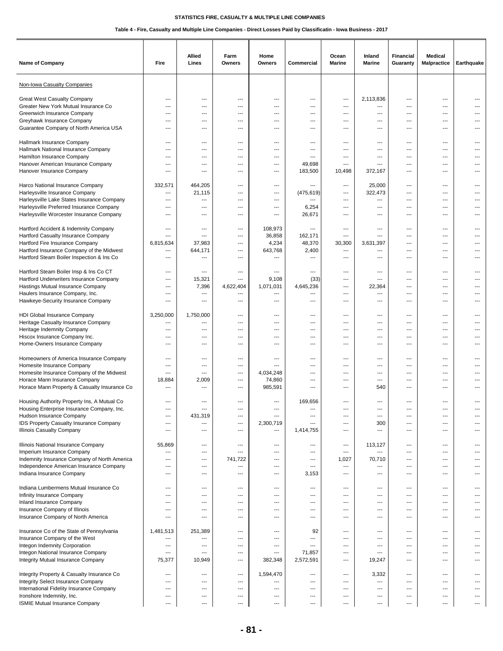| <b>Name of Company</b>                                                                                                                                                                                   | Fire                                                                                                            | Allied<br>Lines                                    | Farm<br>Owners                                                          | Home<br>Owners                                                              | Commercial                                    | Ocean<br><b>Marine</b>                     | Inland<br><b>Marine</b>                                                                   | <b>Financial</b><br>Guaranty                                                | <b>Medical</b><br>Malpractice                                   | Earthquake                               |
|----------------------------------------------------------------------------------------------------------------------------------------------------------------------------------------------------------|-----------------------------------------------------------------------------------------------------------------|----------------------------------------------------|-------------------------------------------------------------------------|-----------------------------------------------------------------------------|-----------------------------------------------|--------------------------------------------|-------------------------------------------------------------------------------------------|-----------------------------------------------------------------------------|-----------------------------------------------------------------|------------------------------------------|
| Non-Iowa Casualty Companies                                                                                                                                                                              |                                                                                                                 |                                                    |                                                                         |                                                                             |                                               |                                            |                                                                                           |                                                                             |                                                                 |                                          |
| <b>Great West Casualty Company</b>                                                                                                                                                                       | ---                                                                                                             | ---                                                | ---                                                                     | ---                                                                         | ---                                           | ---                                        | 2,113,836                                                                                 | $\overline{\phantom{a}}$                                                    | ---                                                             | ---                                      |
| Greater New York Mutual Insurance Co                                                                                                                                                                     | $---$                                                                                                           | $---$                                              | $---$                                                                   | ---                                                                         | ---                                           | ---                                        | ---                                                                                       | $---$                                                                       | $---$                                                           | ---                                      |
| Greenwich Insurance Company                                                                                                                                                                              | $---$                                                                                                           | ---                                                | ---                                                                     | ---                                                                         | ---                                           | $---$                                      | ---                                                                                       | $\overline{\phantom{a}}$                                                    | $\cdots$                                                        | ---                                      |
| Greyhawk Insurance Company                                                                                                                                                                               | $---$                                                                                                           | ---                                                | ---                                                                     | ---                                                                         | ---                                           | $---$                                      | ---                                                                                       | $\overline{\phantom{a}}$                                                    | $\cdots$                                                        | $---$                                    |
| Guarantee Company of North America USA                                                                                                                                                                   | $\overline{\phantom{a}}$                                                                                        | ---                                                | ---                                                                     | ---                                                                         | ---                                           | ---                                        | ---                                                                                       | ---                                                                         | ---                                                             | ---                                      |
| Hallmark Insurance Company                                                                                                                                                                               | ---                                                                                                             | ---                                                | ---                                                                     | ---                                                                         | ---                                           | ---                                        | ---                                                                                       | ---                                                                         | ---                                                             | ---                                      |
| Hallmark National Insurance Company                                                                                                                                                                      | $---$                                                                                                           | $---$                                              | ---                                                                     | ---                                                                         | ---                                           | $\overline{a}$                             | $---$                                                                                     | $---$                                                                       | ---                                                             |                                          |
| Hamilton Insurance Company                                                                                                                                                                               | ---                                                                                                             | $---$                                              | ---                                                                     | $\overline{a}$                                                              | ---                                           | ---                                        | $---$                                                                                     | $---$                                                                       | $---$                                                           |                                          |
| Hanover American Insurance Company                                                                                                                                                                       | $---$                                                                                                           | $\overline{\phantom{a}}$                           | ---                                                                     | ---                                                                         | 49,698                                        | ---                                        | ---                                                                                       | ---                                                                         | $---$                                                           | ---                                      |
| Hanover Insurance Company                                                                                                                                                                                | ---                                                                                                             | ---                                                | ---                                                                     | ---                                                                         | 183,500                                       | 10,498                                     | 372,167                                                                                   | ---                                                                         | ---                                                             |                                          |
| Harco National Insurance Company<br>Harleysville Insurance Company<br>Harleysville Lake States Insurance Company<br>Harleysville Preferred Insurance Company<br>Harleysville Worcester Insurance Company | 332,571<br>$---$<br>$---$<br>$---$<br>$\qquad \qquad \cdots$                                                    | 464,205<br>21,115<br>---<br>---<br>---             | ---<br>---<br>$---$<br>---<br>---                                       | ---<br>---<br>$---$<br>$\overline{\phantom{a}}$<br>$\overline{\phantom{a}}$ | ---<br>(475, 619)<br>$---$<br>6,254<br>26,671 | ---<br>---<br>$---$<br>$---$<br>---        | 25,000<br>322,473<br>---<br>---<br>---                                                    | $\overline{\phantom{a}}$<br>---<br>$---$<br>$\overline{\phantom{a}}$<br>--- | ---<br>---<br>$---$<br>$---$<br>$\cdots$                        | ---<br>---<br>---<br>---                 |
| Hartford Accident & Indemnity Company<br>Hartford Casualty Insurance Company<br>Hartford Fire Insurance Company                                                                                          | ---<br>---<br>6,815,634                                                                                         | ---<br>$\overline{a}$<br>37,983                    | ---<br>---<br>$---$                                                     | 108,973<br>36,858<br>4,234                                                  | ---<br>162,171<br>48,370                      | ---<br>---<br>30,300                       | ---<br>---<br>3,631,397                                                                   | ---<br>---<br>$---$                                                         | ---<br>---<br>$---$                                             | ---<br>---                               |
| Hartford Insurance Company of the Midwest                                                                                                                                                                | $\overline{\phantom{a}}$                                                                                        | 644,171                                            | ---                                                                     | 643,768                                                                     | 2,400                                         | ---                                        | ---                                                                                       | $- - -$                                                                     | ---                                                             | ---                                      |
| Hartford Steam Boiler Inspection & Ins Co                                                                                                                                                                | $---$                                                                                                           | $\overline{a}$                                     | $---$                                                                   | ---                                                                         | ---                                           | ---                                        | $---$                                                                                     | $- - -$                                                                     | $---$                                                           |                                          |
| Hartford Steam Boiler Insp & Ins Co CT                                                                                                                                                                   | ---                                                                                                             | ---                                                | ---                                                                     | ---                                                                         | ---                                           | ---                                        | ---                                                                                       | ---                                                                         | ---                                                             | ---                                      |
| Hartford Underwriters Insurance Company                                                                                                                                                                  | $\overline{\phantom{a}}$                                                                                        | 15,321                                             | ---                                                                     | 9,108                                                                       | (33)                                          | ---                                        | $\overline{a}$                                                                            | ---                                                                         | ---                                                             | ---                                      |
| Hastings Mutual Insurance Company                                                                                                                                                                        | $---$                                                                                                           | 7,396                                              | 4,622,404                                                               | 1,071,031                                                                   | 4,645,236                                     | $---$                                      | 22,364                                                                                    | $---$                                                                       | $---$                                                           | ---                                      |
| Haulers Insurance Company, Inc.                                                                                                                                                                          | $---$                                                                                                           | ---                                                | ---                                                                     | ---                                                                         | ---                                           | $---$                                      | ---                                                                                       | ---                                                                         | $\cdots$                                                        | ---                                      |
| Hawkeye-Security Insurance Company                                                                                                                                                                       | $\overline{\phantom{a}}$                                                                                        | ---                                                | ---                                                                     | ---                                                                         | ---                                           | ---                                        | $\overline{a}$                                                                            | ---                                                                         | ---                                                             | ---                                      |
| HDI Global Insurance Company                                                                                                                                                                             | 3,250,000                                                                                                       | 1,750,000                                          | ---                                                                     | ---                                                                         | ---                                           | ---                                        | $---$                                                                                     | ---                                                                         | ---                                                             | ---                                      |
| Heritage Casualty Insurance Company                                                                                                                                                                      | ---                                                                                                             | ---                                                | ---                                                                     | ---                                                                         | ---                                           | ---                                        | $\overline{a}$                                                                            | ---                                                                         | ---                                                             |                                          |
| Heritage Indemnity Company                                                                                                                                                                               | $\sim$                                                                                                          | $---$                                              | $---$                                                                   | $-$                                                                         | ---                                           | ---                                        | $---$                                                                                     | $---$                                                                       | $---$                                                           |                                          |
| Hiscox Insurance Company Inc.                                                                                                                                                                            | $---$                                                                                                           | $---$                                              | $---$                                                                   | $-$                                                                         | $---$                                         | $---$                                      | $---$                                                                                     | $---$                                                                       | $---$                                                           | ---                                      |
| Home-Owners Insurance Company                                                                                                                                                                            | $---$                                                                                                           | $---$                                              | ---                                                                     | ---                                                                         | ---                                           | ---                                        | $---$                                                                                     | $\sim$                                                                      | ---                                                             | ---                                      |
| Homeowners of America Insurance Company                                                                                                                                                                  | $\overline{\phantom{a}}$                                                                                        | ---                                                | ---                                                                     | ---                                                                         | ---                                           | ---                                        | ---                                                                                       | ---                                                                         | ---                                                             | ---                                      |
| Homesite Insurance Company                                                                                                                                                                               | ---                                                                                                             | ---                                                | ---                                                                     | ---                                                                         | ---                                           | ---                                        | ---                                                                                       | ---                                                                         | ---                                                             | ---                                      |
| Homesite Insurance Company of the Midwest                                                                                                                                                                | $\overline{\phantom{a}}$                                                                                        | $\sim$                                             | $---$                                                                   | 4,034,248                                                                   | ---                                           | $---$                                      | $\overline{\phantom{a}}$                                                                  | $---$                                                                       | $---$                                                           | ---                                      |
| Horace Mann Insurance Company                                                                                                                                                                            | 18,884                                                                                                          | 2,009                                              | ---                                                                     | 74,860                                                                      | ---                                           | $---$                                      | $---$                                                                                     | $---$                                                                       | $---$                                                           | $---$                                    |
| Horace Mann Property & Casualty Insurance Co                                                                                                                                                             | $\overline{\phantom{a}}$                                                                                        | ---                                                | ---                                                                     | 985,591                                                                     | ---                                           | ---                                        | 540                                                                                       | ---                                                                         | ---                                                             | ---                                      |
| Housing Authority Property Ins, A Mutual Co<br>Housing Enterprise Insurance Company, Inc.<br>Hudson Insurance Company<br>IDS Property Casualty Insurance Company<br><b>Illinois Casualty Company</b>     | $\overline{\phantom{a}}$<br>---<br>$---$<br>$---$                                                               | ---<br>431,319<br>---<br>---                       | ---<br>---<br>---<br>---                                                | ---<br>---<br>2,300,719<br>---                                              | 169,656<br>---<br>---<br>1,414,755            | ---<br>---<br>$---$<br>$---$               | ---<br>$\hspace{0.05cm} \ldots$<br>300<br>$\overline{\phantom{a}}$                        | ---<br>---<br>$---$<br>$\overline{\phantom{a}}$                             | ---<br>---<br>---<br>$\cdots$                                   | ---<br>---                               |
| Illinois National Insurance Company                                                                                                                                                                      | 55,869                                                                                                          | ---                                                | ---                                                                     | $\overline{\phantom{a}}$                                                    | ---                                           | ---                                        | 113,127                                                                                   | $\overline{\phantom{a}}$                                                    | ---                                                             | ---                                      |
| Imperium Insurance Company                                                                                                                                                                               | ---                                                                                                             | $\overline{\phantom{a}}$                           | ---                                                                     | ---                                                                         | ---                                           | ---                                        | ---                                                                                       | ---                                                                         | $\cdots$                                                        | ---                                      |
| Indemnity Insurance Company of North America<br>Independence American Insurance Company<br>Indiana Insurance Company                                                                                     | ---<br>$---$<br>$---$                                                                                           | ---<br>---<br>$\overline{\phantom{a}}$             | 741,722<br>$\qquad \qquad \cdots$<br>---                                | ---<br>---<br>$\overline{\phantom{a}}$                                      | ---<br>$\overline{\phantom{a}}$<br>3,153      | 1,027<br>$\hspace{0.05cm} \cdots$<br>$---$ | 70,710<br>$\qquad \qquad \cdots$<br>---                                                   | ---<br>---<br>$\overline{\phantom{a}}$                                      | ---<br>$\cdots$<br>$---$                                        | ---<br>---                               |
| Indiana Lumbermens Mutual Insurance Co<br>Infinity Insurance Company<br>Inland Insurance Company<br>Insurance Company of Illinois                                                                        | $\overline{\phantom{a}}$<br>---<br>---<br>$\overline{\phantom{a}}$                                              | ---<br>---<br>---<br>---                           | ---<br>---<br>---<br>---                                                | ---<br>---<br>---<br>$---$                                                  | ---<br>---<br>---<br>---                      | ---<br>---<br>---<br>---                   | $\hspace{0.05cm} \ldots$<br>$\hspace{0.05cm} \ldots$<br>$\hspace{0.05cm} \ldots$<br>$---$ | $\overline{\phantom{a}}$<br>---<br>---<br>---                               | ---<br>$\cdots$<br>$\overline{\phantom{a}}$<br>$\cdots$         | ---<br>---<br>---                        |
| Insurance Company of North America                                                                                                                                                                       | $---$                                                                                                           | $---$                                              | ---                                                                     | $-$                                                                         | $---$                                         | ---                                        | ---                                                                                       | $---$                                                                       | $\cdots$                                                        | $---$                                    |
| Insurance Co of the State of Pennsylvania                                                                                                                                                                | 1,481,513                                                                                                       | 251,389                                            | ---                                                                     | ---                                                                         | 92                                            | ---                                        | ---                                                                                       | ---                                                                         | $\overline{a}$                                                  | ---                                      |
| Insurance Company of the West<br>Integon Indemnity Corporation<br>Integon National Insurance Company<br>Integrity Mutual Insurance Company                                                               | ---<br>---<br>$---$<br>75,377                                                                                   | ---<br>---<br>---<br>10,949                        | ---<br>---<br>---<br>---                                                | ---<br>---<br>$---$<br>382,348                                              | ---<br>---<br>71,857<br>2,572,591             | ---<br>---<br>---<br>---                   | ---<br>$\hspace{0.05cm} \ldots$<br>---<br>19,247                                          | ---<br>---<br>---<br>---                                                    | ---<br>$\cdots$<br>$\cdots$<br>$---$                            | ---<br>$\overline{\phantom{a}}$<br>$---$ |
| Integrity Property & Casualty Insurance Co<br>Integrity Select Insurance Company<br>International Fidelity Insurance Company<br>Ironshore Indemnity, Inc.<br>ISMIE Mutual Insurance Company              | $\qquad \qquad \cdots$<br>$\overline{\phantom{a}}$<br>$\qquad \qquad \cdots$<br>---<br>$\overline{\phantom{a}}$ | ---<br>---<br>$\qquad \qquad \cdots$<br>---<br>--- | $\overline{\phantom{a}}$<br>---<br>---<br>---<br>$\qquad \qquad \cdots$ | 1,594,470<br>---<br>---<br>---<br>---                                       | ---<br>---<br>---<br>---<br>---               | ---<br>---<br>---<br>---<br>$---$          | 3,332<br>---<br>---<br>---<br>---                                                         | $\hspace{0.05cm} \ldots$<br>---<br>---<br>---<br>$\overline{\phantom{a}}$   | $\cdots$<br>$\overline{a}$<br>$\cdots$<br>---<br>$\overline{a}$ | ---<br>---<br>---                        |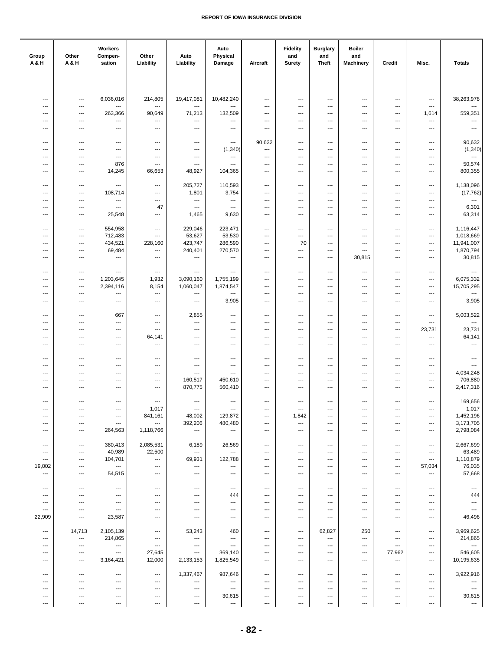| Group<br>A&H                       | Other<br>A & H                                       | Workers<br>Compen-<br>sation                         | Other<br>Liability                 | Auto<br>Liability                                    | Auto<br>Physical<br>Damage          | Aircraft                                           | <b>Fidelity</b><br>and<br><b>Surety</b>          | <b>Burglary</b><br>and<br><b>Theft</b> | <b>Boiler</b><br>and<br><b>Machinery</b> | Credit                                               | Misc.                                | <b>Totals</b>                   |
|------------------------------------|------------------------------------------------------|------------------------------------------------------|------------------------------------|------------------------------------------------------|-------------------------------------|----------------------------------------------------|--------------------------------------------------|----------------------------------------|------------------------------------------|------------------------------------------------------|--------------------------------------|---------------------------------|
|                                    |                                                      |                                                      |                                    |                                                      |                                     |                                                    |                                                  |                                        |                                          |                                                      |                                      |                                 |
| ---                                | ---                                                  | 6,036,016                                            | 214,805                            | 19,417,081                                           | 10,482,240                          | $\qquad \qquad \cdots$                             | $\qquad \qquad \cdots$                           | ---                                    | $\overline{\phantom{a}}$                 | $\ldots$                                             | ---                                  | 38,263,978                      |
| ---                                | $\overline{\phantom{a}}$                             | ---                                                  | $\overline{\phantom{a}}$           | ---                                                  | ---                                 | ---                                                | ---                                              | ---                                    | ---                                      | ---                                                  | ---                                  | ---                             |
| $\overline{a}$<br>$\overline{a}$   | $---$<br>$---$                                       | 263,366<br>---                                       | 90,649<br>---                      | 71,213<br>$\overline{\phantom{a}}$                   | 132,509<br>---                      | $---$<br>$---$                                     | $---$<br>$---$                                   | $---$<br>$---$                         | $---$<br>$---$                           | $\overline{\phantom{a}}$<br>$\overline{\phantom{a}}$ | 1,614<br>---                         | 559,351<br>---                  |
| ---                                | $\overline{\phantom{a}}$                             | ---                                                  | ---                                | $\overline{\phantom{a}}$                             | $\overline{a}$                      | $---$                                              | ---                                              | $\overline{\phantom{a}}$               | ---                                      | ---                                                  | ---                                  | $\overline{\phantom{a}}$        |
| ---                                | $\qquad \qquad -\qquad$                              | ---                                                  | ---                                | $\hspace{0.05cm} \ldots$                             | $\overline{\phantom{a}}$            | 90,632                                             | $\overline{\phantom{a}}$                         | ---                                    | ---                                      | $\overline{\phantom{a}}$                             | ---                                  | 90,632                          |
| ---<br>⊷                           | $\overline{\phantom{a}}$<br>$\overline{\phantom{a}}$ | ---<br>$\overline{\phantom{a}}$                      | ---<br>$\overline{\phantom{a}}$    | $\hspace{0.05cm} \ldots$<br>$\hspace{0.05cm} \ldots$ | (1, 340)<br>---                     | ---<br>$\qquad \qquad \cdots$                      | $\overline{\phantom{a}}$<br>---                  | ---<br>---                             | ---<br>---                               | $\overline{\phantom{a}}$<br>---                      | ---<br>---                           | (1, 340)<br>---                 |
| ---                                | $---$                                                | 876                                                  | ---                                | $\overline{\phantom{a}}$                             | $---$                               | $\overline{\phantom{a}}$                           | ---                                              | ---                                    | $\overline{\phantom{a}}$                 | $\overline{\phantom{a}}$                             | ---                                  | 50,574                          |
| $\overline{\phantom{a}}$           | $---$                                                | 14,245                                               | 66,653                             | 48,927                                               | 104,365                             | $\overline{\phantom{a}}$                           | ---                                              | ---                                    | ---                                      | $\overline{\phantom{a}}$                             | ---                                  | 800,355                         |
| ---<br>---                         | $\qquad \qquad -\qquad$<br>$\qquad \qquad -\qquad$   | ---<br>108,714                                       | ---<br>---                         | 205,727<br>1,801                                     | 110,593<br>3,754                    | $\qquad \qquad \cdots$<br>$\overline{\phantom{a}}$ | ---<br>---                                       | ---<br>---                             | ---<br>---                               | $\qquad \qquad \cdots$<br>---                        | $\qquad \qquad \cdots$<br>---        | 1,138,096<br>(17, 762)          |
| ---                                | ---                                                  | ---                                                  | ---                                | ---                                                  | ---                                 | $\overline{\phantom{a}}$                           | ---                                              | ---                                    | ---                                      | $\overline{\phantom{a}}$                             | ---                                  | ---                             |
| ---<br>$\overline{\phantom{a}}$    | $---$<br>$---$                                       | $\overline{\phantom{a}}$<br>25,548                   | 47<br>$\overline{\phantom{a}}$     | $\overline{\phantom{a}}$<br>1,465                    | $\qquad \qquad \cdots$<br>9,630     | $\overline{\phantom{a}}$<br>$---$                  | ---<br>---                                       | ---<br>---                             | ---<br>---                               | $\overline{\phantom{a}}$<br>$\overline{a}$           | ---<br>---                           | 6,301<br>63,314                 |
|                                    |                                                      |                                                      |                                    |                                                      |                                     |                                                    |                                                  |                                        |                                          |                                                      |                                      |                                 |
| ---<br>---                         | $\qquad \qquad -\qquad$<br>$\qquad \qquad -\qquad$   | 554,958<br>712,483                                   | ---<br>---                         | 229,046<br>53,627                                    | 223,471<br>53,530                   | $\qquad \qquad \cdots$<br>$\qquad \qquad \cdots$   | ---<br>$\overline{\phantom{a}}$                  | ---<br>---                             | ---<br>---                               | $\overline{\phantom{a}}$<br>$\overline{a}$           | ---<br>---                           | 1,116,447<br>1,018,669          |
| ---                                | $\overline{\phantom{a}}$                             | 434,521                                              | 228,160                            | 423,747                                              | 286,590                             | $\qquad \qquad \cdots$                             | 70                                               | ---                                    | ---                                      | $\overline{\phantom{a}}$                             | ---                                  | 11,941,007                      |
| $---$<br>---                       | $---$<br>$---$                                       | 69,484<br>---                                        | $\cdots$<br>$\cdots$               | 240,401<br>$\hspace{0.05cm} \ldots$                  | 270,570<br>$\overline{\phantom{a}}$ | $---$<br>$---$                                     | $---$<br>---                                     | ---<br>$\cdots$                        | ---<br>30,815                            | $---$<br>$\overline{\phantom{a}}$                    | ---<br>$---$                         | 1,870,794<br>30,815             |
| ---                                | $\hspace{0.05cm} \ldots$                             | ---                                                  | ---                                | $\hspace{0.05cm} \ldots$                             | $\overline{\phantom{a}}$            | $\qquad \qquad \cdots$                             | ---                                              | ---                                    | $\hspace{0.05cm} \ldots$                 | $\qquad \qquad \cdots$                               | $\qquad \qquad \cdots$               | ---                             |
| ---                                | $\qquad \qquad -\qquad$                              | 1,203,645                                            | 1,932                              | 3,090,160                                            | 1,755,199                           | $\qquad \qquad \cdots$                             | ---                                              | ---                                    | ---                                      | $\overline{\phantom{a}}$                             | $\qquad \qquad \cdots$               | 6,075,332                       |
| ---<br>$---$                       | $\qquad \qquad -\qquad$<br>$---$                     | 2,394,116<br>---                                     | 8,154<br>$\overline{\phantom{a}}$  | 1,060,047<br>$\overline{\phantom{a}}$                | 1,874,547<br>---                    | $\qquad \qquad \cdots$<br>$\overline{\phantom{a}}$ | ---<br>$---$                                     | ---<br>$---$                           | ---<br>$---$                             | $\qquad \qquad \cdots$<br>$---$                      | $\qquad \qquad \cdots$<br>$---$      | 15,705,295<br>---               |
| $---$                              | $---$                                                | $\overline{\phantom{a}}$                             | $\overline{\phantom{a}}$           | $\cdots$                                             | 3,905                               | $---$                                              | $---$                                            | ---                                    | $\overline{\phantom{a}}$                 | $\overline{\phantom{a}}$                             | ---                                  | 3,905                           |
| ---                                | $\qquad \qquad -\qquad$                              | 667                                                  | ---                                | 2,855                                                | $\overline{a}$                      | $\overline{\phantom{a}}$                           | ---                                              | ---                                    | ---                                      | $\overline{\phantom{a}}$                             | ---                                  | 5,003,522                       |
| ---<br>⊷                           | $\hspace{0.05cm} \ldots$<br>---                      | $\overline{\phantom{a}}$<br>---                      | ---<br>---                         | ---<br>$\hspace{0.05cm} \ldots$                      | ---<br>---                          | $\overline{\phantom{a}}$<br>---                    | ---<br>---                                       | ---<br>---                             | ---<br>---                               | $\overline{\phantom{a}}$<br>$\overline{\phantom{a}}$ | $\overline{\phantom{a}}$<br>23,731   | ---<br>23,731                   |
| ---<br>---                         | $\qquad \qquad -\qquad$<br>$---$                     | ---<br>$---$                                         | 64,141<br>---                      | $\hspace{0.05cm} \ldots$<br>$\cdots$                 | ---<br>$\overline{\phantom{a}}$     | $\overline{\phantom{a}}$<br>$---$                  | $\overline{\phantom{a}}$<br>---                  | ---<br>---                             | ---<br>---                               | $\overline{\phantom{a}}$<br>$---$                    | ---<br>---                           | 64,141<br>---                   |
|                                    |                                                      |                                                      |                                    |                                                      |                                     |                                                    |                                                  |                                        |                                          |                                                      |                                      |                                 |
| ---<br>---                         | $---$<br>$\hspace{0.05cm} \ldots$                    | ---<br>---                                           | ---<br>---                         | $\overline{\phantom{a}}$<br>$\cdots$                 | ---<br>---                          | $---$<br>$\qquad \qquad \cdots$                    | ---<br>---                                       | ---<br>---                             | ---<br>---                               | $\overline{\phantom{a}}$<br>---                      | ---<br>---                           | $\overline{\phantom{a}}$<br>--- |
| ---<br>---                         | ---<br>---                                           | ---<br>---                                           | ---<br>---                         | $\overline{\phantom{a}}$<br>160,517                  | ---<br>450,610                      | $\qquad \qquad \cdots$<br>$\qquad \qquad \cdots$   | ---<br>---                                       | ---<br>---                             | ---<br>---                               | $\qquad \qquad \cdots$<br>$\qquad \qquad \cdots$     | ---<br>---                           | 4,034,248<br>706,880            |
| ---                                | $---$                                                | ---                                                  | ---                                | 870,775                                              | 560,410                             | $\overline{\phantom{a}}$                           | ---                                              | ---                                    | ---                                      | $---$                                                | ---                                  | 2,417,316                       |
| $---$                              | $---$                                                | ---                                                  | ---                                | $\overline{\phantom{a}}$                             | ---                                 | $---$                                              | ---                                              | ---                                    | $---$                                    | $\overline{\phantom{a}}$                             | $---$                                | 169,656                         |
| ---                                | $\qquad \qquad -\qquad$                              | ---                                                  | 1,017                              | $\hspace{0.05cm} \ldots$                             | $\hspace{0.05cm} \ldots$            | $\qquad \qquad \cdots$                             | $\qquad \qquad \cdots$                           | ---                                    | ---                                      | $\overline{\phantom{a}}$                             | $\qquad \qquad \cdots$               | 1,017                           |
| $\hspace{0.05cm} \ldots$<br>---    | $\qquad \qquad -\qquad$<br>$\qquad \qquad -\qquad$   | $\qquad \qquad \cdots$<br>$\qquad \qquad \cdots$     | 841,161<br>---                     | 48,002<br>392,206                                    | 129,872<br>480,480                  | $\qquad \qquad \cdots$<br>$\qquad \qquad \cdots$   | 1,842<br>---                                     | ---<br>---                             | ---<br>---                               | $\overline{\phantom{a}}$<br>$\qquad \qquad \cdots$   | $\qquad \qquad \cdots$<br>---        | 1,452,196<br>3,173,705          |
| $\overline{\phantom{a}}$           | $---$                                                | 264,563                                              | 1,118,766                          | $\sim$                                               | $\overline{\phantom{a}}$            | $\cdots$                                           | ---                                              | $\cdots$                               | $\overline{\phantom{a}}$                 | $\overline{\phantom{a}}$                             | $---$                                | 2,798,084                       |
| $\overline{\phantom{a}}$           | $\qquad \qquad -\qquad -$                            | 380,413                                              | 2,085,531                          | 6,189                                                | 26,569                              | $\cdots$                                           | ---                                              | $\overline{\phantom{a}}$               | $\overline{\phantom{a}}$                 | $\overline{\phantom{a}}$                             | $\qquad \qquad \cdots$               | 2,667,699                       |
| ---<br>$\ldots$                    | $\qquad \qquad \cdots$<br>$\qquad \qquad \cdots$     | 40,989<br>104,701                                    | 22,500<br>$\cdots$                 | $\hspace{0.05cm} \ldots$<br>69,931                   | $\overline{a}$<br>122,788           | $\qquad \qquad \cdots$<br>$\qquad \qquad \cdots$   | $\qquad \qquad \cdots$<br>$\qquad \qquad \cdots$ | ---<br>$\cdots$                        | ---<br>$\hspace{0.05cm} \ldots$          | $\qquad \qquad \cdots$<br>$\qquad \qquad \cdots$     | $\cdots$<br>$\hspace{0.05cm} \ldots$ | 63,489<br>1,110,879             |
| 19,002<br>$\ldots$                 | $\hspace{0.05cm} \ldots$<br>$\hspace{0.05cm} \ldots$ | $\hspace{0.05cm}\ldots$<br>54,515                    | ---<br>$\qquad \qquad \cdots$      | ---<br>$\sim$                                        | ---<br>$\hspace{0.05cm} \ldots$     | ---<br>$---$                                       | ---<br>---                                       | ---<br>$\cdots$                        | ---<br>$---$                             | $\qquad \qquad \cdots$<br>$\overline{\phantom{a}}$   | 57,034<br>$\hspace{0.05cm} \ldots$   | 76,035<br>57,668                |
|                                    |                                                      |                                                      |                                    |                                                      |                                     |                                                    |                                                  |                                        |                                          |                                                      |                                      |                                 |
| $---$<br>---                       | $\overline{\phantom{a}}$<br>$\qquad \qquad -\qquad$  | $---$<br>$\qquad \qquad \cdots$                      | $\cdots$<br>---                    | $\overline{\phantom{a}}$<br>$\cdots$                 | $---$<br>444                        | $\overline{\phantom{a}}$<br>$\qquad \qquad \cdots$ | ---<br>---                                       | ---<br>---                             | ---<br>---                               | $\overline{\phantom{a}}$<br>$\ldots$                 | $\overline{\phantom{a}}$<br>---      | $\sim$<br>444                   |
| ---                                | $\hspace{0.05cm} \ldots$                             | $\hspace{0.05cm} \ldots$                             | ---                                | $\hspace{0.05cm} \ldots$                             | ---                                 | $\qquad \qquad \cdots$                             | ---                                              | ---                                    | ---                                      | $\overline{\phantom{a}}$                             | ---                                  | $\hspace{0.05cm} \ldots$        |
| $\hspace{0.05cm} \ldots$<br>22,909 | ---<br>$\hspace{0.05cm} \ldots$                      | $\qquad \qquad \cdots$<br>23,587                     | ---<br>---                         | $\hspace{0.05cm} \ldots$<br>$\hspace{0.05cm} \ldots$ | ---<br>---                          | $\qquad \qquad \cdots$<br>$\qquad \qquad \cdots$   | ---<br>---                                       | ---<br>---                             | ---<br>---                               | $\qquad \qquad \cdots$<br>$\qquad \qquad \cdots$     | ---<br>---                           | $\scriptstyle\cdots$<br>46,496  |
| $\overline{\phantom{a}}$           | 14,713                                               | 2,105,139                                            | $\hspace{0.05cm} \ldots$           | 53,243                                               | 460                                 | $---$                                              | ---                                              | 62,827                                 | 250                                      | $\overline{\phantom{a}}$                             | $\cdots$                             | 3,969,625                       |
| $\overline{\phantom{a}}$           | $\cdots$                                             | 214,865                                              | ---                                | $\overline{\phantom{a}}$                             | $\sim$ $\sim$                       | $\overline{\phantom{a}}$                           | ---                                              | ---                                    | ---                                      | $\overline{\phantom{a}}$                             | $\overline{\phantom{a}}$             | 214,865                         |
| ---<br>---                         | $\hspace{0.05cm} \ldots$<br>$\qquad \qquad \cdots$   | $\hspace{0.05cm} \ldots$<br>$\hspace{0.05cm} \ldots$ | $\hspace{0.05cm} \ldots$<br>27,645 | $\hspace{0.05cm} \ldots$<br>$\hspace{0.05cm} \ldots$ | $\overline{\phantom{a}}$<br>369,140 | ---<br>$\qquad \qquad \cdots$                      | ---<br>$\qquad \qquad \cdots$                    | ---<br>---                             | ---<br>---                               | $\overline{\phantom{a}}$<br>77,962                   | $\qquad \qquad \cdots$<br>---        | $\sim$<br>546,605               |
| ---                                | $\qquad \qquad \cdots$                               | 3,164,421                                            | 12,000                             | 2,133,153                                            | 1,825,549                           | $\cdots$                                           | ---                                              | ---                                    | ---                                      | $\sim$                                               | ---                                  | 10,195,635                      |
| $\overline{\phantom{a}}$           | $---$                                                | $---$                                                | $\qquad \qquad -$                  | 1,337,467                                            | 987,646                             | $---$                                              | ---                                              | $---$                                  | ---                                      | $\overline{\phantom{a}}$                             | $---$                                | 3,922,916                       |
| $\overline{\phantom{a}}$<br>---    | $\overline{\phantom{a}}$<br>$\hspace{0.05cm} \ldots$ | $---$<br>---                                         | $---$<br>---                       | $\hspace{0.05cm} \ldots$<br>$\hspace{0.05cm} \ldots$ | $\qquad \qquad \cdots$<br>$\sim$    | $---$<br>$\qquad \qquad \cdots$                    | $\overline{\phantom{a}}$<br>---                  | $\overline{\phantom{a}}$<br>---        | ---<br>---                               | $---$<br>$\overline{\phantom{a}}$                    | $---$<br>---                         | ---<br>$\hspace{0.05cm} \ldots$ |
| ---<br>---                         | $\overline{\phantom{a}}$<br>---                      | ---<br>---                                           | ---<br>---                         | $\hspace{0.05cm} \cdots$<br>---                      | 30,615<br>---                       | $\overline{\phantom{a}}$<br>$\scriptstyle\cdots$   | ---<br>---                                       | ---<br>---                             | ---<br>---                               | $\qquad \qquad \cdots$<br>---                        | ---<br>---                           | 30,615<br>---                   |
|                                    |                                                      |                                                      |                                    |                                                      |                                     |                                                    |                                                  |                                        |                                          |                                                      |                                      |                                 |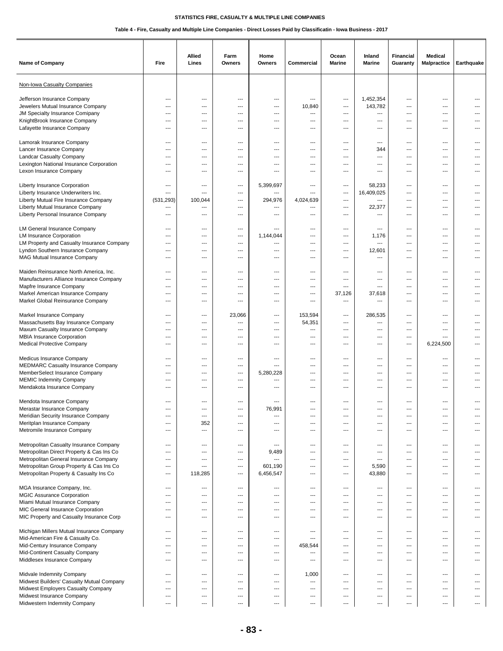| Name of Company                                                                                                                                                                                                       | Fire                                                                      | Allied<br>Lines                                                                                | Farm<br>Owners                                                            | Home<br>Owners                                                                  | Commercial                                           | Ocean<br><b>Marine</b>                                             | Inland<br><b>Marine</b>                                                                                             | <b>Financial</b><br>Guaranty                          | <b>Medical</b><br><b>Malpractice</b> | Earthquake                                        |
|-----------------------------------------------------------------------------------------------------------------------------------------------------------------------------------------------------------------------|---------------------------------------------------------------------------|------------------------------------------------------------------------------------------------|---------------------------------------------------------------------------|---------------------------------------------------------------------------------|------------------------------------------------------|--------------------------------------------------------------------|---------------------------------------------------------------------------------------------------------------------|-------------------------------------------------------|--------------------------------------|---------------------------------------------------|
| Non-Iowa Casualty Companies                                                                                                                                                                                           |                                                                           |                                                                                                |                                                                           |                                                                                 |                                                      |                                                                    |                                                                                                                     |                                                       |                                      |                                                   |
| Jefferson Insurance Company<br>Jewelers Mutual Insurance Company<br>JM Specialty Insurance Comipany<br>KnightBrook Insurance Company<br>Lafayette Insurance Company                                                   | ---<br>---<br>$\overline{\phantom{a}}$<br>$\overline{\phantom{a}}$<br>--- | ---<br>$\overline{\phantom{a}}$<br>$---$<br>$\overline{\phantom{a}}$<br>---                    | ---<br>---<br>---<br>$---$<br>---                                         | ---<br>$---$<br>$---$<br>$\overline{\phantom{a}}$<br>---                        | ---<br>10,840<br>---<br>---<br>---                   | ---<br>---<br>$\overline{\phantom{a}}$<br>$---$<br>---             | 1,452,354<br>143,782<br>$\overline{\phantom{a}}$<br>$\overline{\phantom{a}}$<br>$---$                               | ---<br>---<br>---<br>---<br>---                       | ---<br>---<br>---<br>---<br>---      | $---$<br>$---$<br>$\overline{\phantom{a}}$<br>--- |
| Lamorak Insurance Company                                                                                                                                                                                             | ---                                                                       | ---                                                                                            | ---                                                                       | ---                                                                             | ---                                                  | ---                                                                | $\cdots$                                                                                                            | ---                                                   | ---                                  | ---                                               |
| Lancer Insurance Company                                                                                                                                                                                              | ---                                                                       | ---                                                                                            | ---                                                                       | $---$                                                                           | ---                                                  | ---                                                                | 344                                                                                                                 | ---                                                   | ---                                  | $---$                                             |
| Landcar Casualty Company                                                                                                                                                                                              | ---                                                                       | $---$                                                                                          | $---$                                                                     | $\overline{\phantom{a}}$                                                        | $---$                                                | $-$                                                                | $\overline{\phantom{a}}$                                                                                            | $---$                                                 | $---$                                | $---$                                             |
| Lexington National Insurance Corporation                                                                                                                                                                              | $---$                                                                     | $\overline{\phantom{a}}$                                                                       | $---$                                                                     | $\overline{\phantom{a}}$                                                        | $---$                                                | $---$                                                              | $\hspace{0.05cm} \ldots$                                                                                            | ---                                                   | ---                                  | $---$                                             |
| Lexon Insurance Company                                                                                                                                                                                               | ---                                                                       | ---                                                                                            | ---                                                                       | ---                                                                             | ---                                                  | ---                                                                | $---$                                                                                                               | ---                                                   | ---                                  | ---                                               |
| Liberty Insurance Corporation<br>Liberty Insurance Underwriters Inc.<br>Liberty Mutual Fire Insurance Company<br>Liberty Mutual Insurance Company<br>Liberty Personal Insurance Company                               | ---<br>---<br>(531, 293)<br>---<br>---                                    | ---<br>$---$<br>100,044<br>---<br>---                                                          | ---<br>$---$<br>$---$<br>$---$<br>---                                     | 5,399,697<br>---<br>294,976<br>---<br>---                                       | ---<br>$\overline{a}$<br>4,024,639<br>---<br>---     | ---<br>---<br>$---$<br>---<br>---                                  | 58,233<br>16,409,025<br>$\overline{\phantom{a}}$<br>22,377<br>---                                                   | ---<br>---<br>---<br>---<br>---                       | ---<br>---<br>---<br>---<br>---      | $---$<br>$---$<br>$---$<br>---                    |
| LM General Insurance Company                                                                                                                                                                                          | ---                                                                       | ---                                                                                            | ---                                                                       | ---                                                                             | ---                                                  | ---                                                                | ---                                                                                                                 | ---                                                   | ---                                  | ---                                               |
| <b>LM Insurance Corporation</b>                                                                                                                                                                                       | $\overline{a}$                                                            | $\overline{a}$                                                                                 | ---                                                                       | 1,144,044                                                                       | ---                                                  | ---                                                                | 1,176                                                                                                               | ---                                                   | ---                                  | ---                                               |
| LM Property and Casualty Insurance Company                                                                                                                                                                            | $---$                                                                     | $---$                                                                                          | $---$                                                                     | $\overline{\phantom{a}}$                                                        | $---$                                                | $-$                                                                | $\overline{\phantom{a}}$                                                                                            | ---                                                   | $---$                                | $---$                                             |
| Lyndon Southern Insurance Company                                                                                                                                                                                     | ---                                                                       | ---                                                                                            | ---                                                                       | ---                                                                             | ---                                                  | $---$                                                              | 12,601                                                                                                              | ---                                                   | ---                                  | ---                                               |
| MAG Mutual Insurance Company                                                                                                                                                                                          | ---                                                                       | $\overline{a}$                                                                                 | ---                                                                       | ---                                                                             | ---                                                  | $---$                                                              | ---                                                                                                                 | ---                                                   | ---                                  | $---$                                             |
| Maiden Reinsurance North America, Inc.                                                                                                                                                                                | ---                                                                       | $\overline{a}$                                                                                 | ---                                                                       | ---                                                                             | ---                                                  | ---                                                                | $---$                                                                                                               | ---                                                   | ---                                  | $---$                                             |
| Manufacturers Alliance Insurance Company                                                                                                                                                                              | ---                                                                       | $\overline{a}$                                                                                 | ---                                                                       | ---                                                                             | ---                                                  | ---                                                                | $\overline{\phantom{a}}$                                                                                            | ---                                                   | ---                                  | ---                                               |
| Mapfre Insurance Company                                                                                                                                                                                              | $---$                                                                     | $---$                                                                                          | $---$                                                                     | $\overline{\phantom{a}}$                                                        | $---$                                                | $\sim$                                                             | $\overline{\phantom{a}}$                                                                                            | $\overline{a}$                                        | $---$                                | $---$                                             |
| Markel American Insurance Company                                                                                                                                                                                     | $---$                                                                     | $---$                                                                                          | $---$                                                                     | $---$                                                                           | $---$                                                | 37,126                                                             | 37,618                                                                                                              | $\overline{a}$                                        | ---                                  | $---$                                             |
| Markel Global Reinsurance Company                                                                                                                                                                                     | $---$                                                                     | $---$                                                                                          | ---                                                                       | $---$                                                                           | ---                                                  | ---                                                                | ---                                                                                                                 | ---                                                   | ---                                  | $---$                                             |
| Markel Insurance Company                                                                                                                                                                                              | ---                                                                       | ---                                                                                            | 23,066                                                                    | ---                                                                             | 153,594                                              | ---                                                                | 286,535                                                                                                             | ---                                                   | ---                                  | $---$                                             |
| Massachusetts Bay Insurance Company                                                                                                                                                                                   | ---                                                                       | ---                                                                                            | ---                                                                       | $---$                                                                           | 54,351                                               | ---                                                                | ---                                                                                                                 | ---                                                   | ---                                  | ---                                               |
| Maxum Casualty Insurance Company                                                                                                                                                                                      | $\sim$                                                                    | $---$                                                                                          | $---$                                                                     | $\overline{\phantom{a}}$                                                        | $\overline{\phantom{a}}$                             | $---$                                                              | $\overline{\phantom{a}}$                                                                                            | $\overline{a}$                                        | $---$                                | $---$                                             |
| MBIA Insurance Corporation                                                                                                                                                                                            | ---                                                                       | $---$                                                                                          | $---$                                                                     | $\overline{\phantom{a}}$                                                        | $---$                                                | $---$                                                              | $\overline{\phantom{a}}$                                                                                            | ---                                                   | $---$                                | ---                                               |
| <b>Medical Protective Company</b>                                                                                                                                                                                     | $\overline{\phantom{a}}$                                                  | $---$                                                                                          | $\overline{\phantom{a}}$                                                  | $---$                                                                           | ---                                                  | ---                                                                | $---$                                                                                                               | ---                                                   | 6,224,500                            | $---$                                             |
| Medicus Insurance Company<br><b>MEDMARC Casualty Insurance Company</b><br>MemberSelect Insurance Company<br><b>MEMIC Indemnity Company</b><br>Mendakota Insurance Company                                             | ---<br>---<br>$---$<br>---<br>$\overline{\phantom{a}}$                    | ---<br>$\overline{a}$<br>$\overline{\phantom{a}}$<br>$---$<br>$\overline{\phantom{a}}$         | $\qquad \qquad \cdots$<br>---<br>$---$<br>$---$<br>$---$                  | $\overline{\phantom{a}}$<br>---<br>5,280,228<br>---<br>$\overline{\phantom{a}}$ | ---<br>---<br>---<br>---<br>---                      | $\hspace{0.05cm} \ldots$<br>---<br>$---$<br>---<br>---             | $\overline{\phantom{a}}$<br>---<br>$\overline{\phantom{a}}$<br>$\overline{\phantom{a}}$<br>$\overline{\phantom{a}}$ | ---<br>---<br>$\overline{a}$<br>$\overline{a}$<br>--- | ---<br>---<br>$---$<br>$---$<br>---  | ---<br>$---$<br>$---$                             |
| Mendota Insurance Company<br>Merastar Insurance Company<br>Meridian Security Insurance Company<br>Meritplan Insurance Company<br>Metromile Insurance Company                                                          | ---<br>---<br>$---$<br>---                                                | ---<br>---<br>352<br>---                                                                       | $\overline{\phantom{a}}$<br>---<br>---<br>$---$<br>$---$                  | $---$<br>76.991<br>---<br>$---$<br>$---$                                        | ---<br>---<br>---<br>$\overline{\phantom{a}}$<br>--- | ---<br>---<br>$\overline{\phantom{a}}$<br>$\overline{\phantom{a}}$ | $---$<br>---<br>$\hspace{0.05cm} \cdots$<br>$\hspace{0.05cm} \ldots$                                                | ---<br>---<br>---<br>---                              | ---<br>---<br>---<br>---             | ---<br>$---$<br>$\cdots$                          |
| Metropolitan Casualty Insurance Company<br>Metropolitan Direct Property & Cas Ins Co<br>Metropolitan General Insurance Company<br>Metropolitan Group Property & Cas Ins Co<br>Metropolitan Property & Casualty Ins Co | ---<br>---<br>---<br>$\overline{\phantom{a}}$<br>$\overline{\phantom{a}}$ | $\qquad \qquad \cdots$<br>$\hspace{0.05cm} \ldots$<br>$\qquad \qquad \cdots$<br>---<br>118,285 | $\qquad \qquad \cdots$<br>---<br>---<br>$\overline{\phantom{a}}$<br>$---$ | $\hspace{0.05cm} \ldots$<br>9,489<br>---<br>601,190<br>6,456,547                | ---<br>---<br>---<br>---<br>---                      | ---<br>---<br>---<br>$---$<br>$\overline{\phantom{a}}$             | $\hspace{0.05cm} \ldots$<br>$\hspace{0.05cm} \ldots$<br>$\hspace{0.05cm} \ldots$<br>5,590<br>43,880                 | ---<br>---<br>---<br>---<br>---                       | ---<br>---<br>---<br>---<br>---      | $\cdots$<br>$\cdots$<br>$---$<br>---              |
| MGA Insurance Company, Inc.                                                                                                                                                                                           | ---                                                                       | $\qquad \qquad \cdots$                                                                         | $\overline{\phantom{a}}$                                                  | $\overline{\phantom{a}}$                                                        | ---                                                  | ---                                                                | $\overline{\phantom{a}}$                                                                                            | ---                                                   | ---                                  | ---                                               |
| MGIC Assurance Corporation                                                                                                                                                                                            | ---                                                                       | ---                                                                                            | $\overline{\phantom{a}}$                                                  | $\overline{\phantom{a}}$                                                        | ---                                                  | ---                                                                | ---                                                                                                                 | ---                                                   | ---                                  | ---                                               |
| Miami Mutual Insurance Company                                                                                                                                                                                        | ---                                                                       | $\qquad \qquad \cdots$                                                                         | $\qquad \qquad \cdots$                                                    | $\overline{\phantom{a}}$                                                        | ---                                                  | ---                                                                | $\hspace{0.05cm} \ldots$                                                                                            | ---                                                   | ---                                  | ---                                               |
| MIC General Insurance Corporation                                                                                                                                                                                     | ---                                                                       | $\overline{\phantom{a}}$                                                                       | $---$                                                                     | $\hspace{0.05cm} \ldots$                                                        | ---                                                  | $---$                                                              | $\overline{\phantom{a}}$                                                                                            | ---                                                   | ---                                  | ---                                               |
| MIC Property and Casualty Insurance Corp                                                                                                                                                                              | $---$                                                                     | $\overline{\phantom{a}}$                                                                       | $---$                                                                     | $\hspace{0.05cm} \ldots$                                                        | ---                                                  | $---$                                                              | $\overline{\phantom{a}}$                                                                                            | ---                                                   | ---                                  | $\cdots$                                          |
| Michigan Millers Mutual Insurance Company                                                                                                                                                                             | $\qquad \qquad \cdots$                                                    | $\hspace{0.05cm} \ldots$                                                                       | $\qquad \qquad \cdots$                                                    | $\hspace{0.05cm} \ldots$                                                        | ---                                                  | $\hspace{0.05cm} \ldots$                                           | $\hspace{0.05cm} \ldots$                                                                                            | ---                                                   | ---                                  | $\cdots$                                          |
| Mid-American Fire & Casualty Co.                                                                                                                                                                                      | ---                                                                       | ---                                                                                            | ---                                                                       | $\overline{\phantom{a}}$                                                        | ---                                                  | ---                                                                | $\overline{\phantom{a}}$                                                                                            | ---                                                   | ---                                  | $\overline{\phantom{a}}$                          |
| Mid-Century Insurance Company                                                                                                                                                                                         | ---                                                                       | ---                                                                                            | ---                                                                       | $\hspace{0.05cm} \ldots$                                                        | 458,544                                              | $\hspace{0.05cm} \ldots$                                           | $\hspace{0.05cm} \ldots$                                                                                            | ---                                                   | ---                                  | $\overline{\phantom{a}}$                          |
| Mid-Continent Casualty Company                                                                                                                                                                                        | ---                                                                       | $---$                                                                                          | $---$                                                                     | $---$                                                                           | ---                                                  | $---$                                                              | $\overline{\phantom{a}}$                                                                                            | $---$                                                 | $---$                                | $---$                                             |
| Middlesex Insurance Company                                                                                                                                                                                           | ---                                                                       | $\overline{\phantom{a}}$                                                                       | $---$                                                                     | $\overline{\phantom{a}}$                                                        | ---                                                  | $---$                                                              | $\overline{\phantom{a}}$                                                                                            | ---                                                   | ---                                  | $---$                                             |
| Midvale Indemnity Company                                                                                                                                                                                             | ---                                                                       | ---                                                                                            | $\overline{\phantom{a}}$                                                  | $---$                                                                           | 1,000                                                | $\overline{\phantom{a}}$                                           | $\overline{\phantom{a}}$                                                                                            | ---                                                   | ---                                  | ---                                               |
| Midwest Builders' Casualty Mutual Company                                                                                                                                                                             | ---                                                                       | ---                                                                                            | ---                                                                       | ---                                                                             | ---                                                  | ---                                                                | $\overline{\phantom{a}}$                                                                                            | ---                                                   | ---                                  | ---                                               |
| Midwest Employers Casualty Company                                                                                                                                                                                    | ---                                                                       | $\overline{\phantom{a}}$                                                                       | ---                                                                       | $\overline{\phantom{a}}$                                                        | $\qquad \qquad \cdots$                               | $\overline{\phantom{a}}$                                           | $\overline{\phantom{a}}$                                                                                            | ---                                                   | ---                                  | ---                                               |
| Midwest Insurance Company                                                                                                                                                                                             | ---                                                                       | ---                                                                                            | $\qquad \qquad \cdots$                                                    | $\overline{\phantom{a}}$                                                        | $\overline{\phantom{a}}$                             | $\hspace{0.05cm} \ldots$                                           | $\hspace{0.05cm} \ldots$                                                                                            | ---                                                   | ---                                  | $\cdots$                                          |
| Midwestern Indemnity Company                                                                                                                                                                                          | $\cdots$                                                                  | $---$                                                                                          | $\overline{\phantom{a}}$                                                  | $\overline{\phantom{a}}$                                                        | $\overline{\phantom{a}}$                             | ---                                                                | $\overline{\phantom{a}}$                                                                                            | ---                                                   | ---                                  | $---$                                             |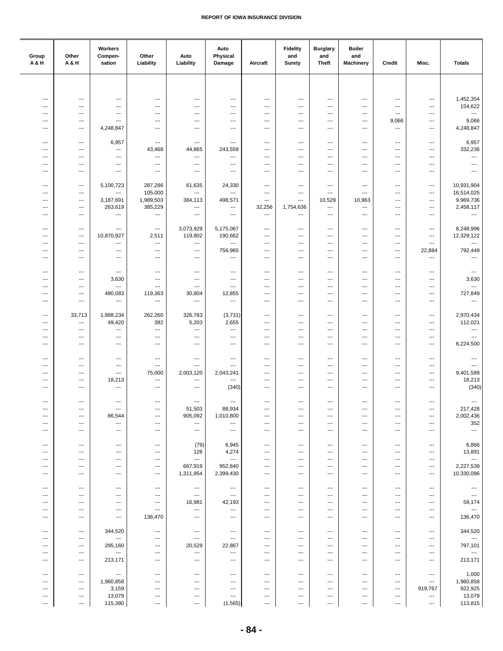| Group<br>A&H                    | Other<br>A & H                                       | Workers<br>Compen-<br>sation                         | Other<br>Liability                                   | Auto<br>Liability                                    | Auto<br>Physical<br>Damage         | Aircraft                           | <b>Fidelity</b><br>and<br><b>Surety</b> | <b>Burglary</b><br>and<br><b>Theft</b> | <b>Boiler</b><br>and<br><b>Machinery</b>             | Credit                                               | Misc.                                                | <b>Totals</b>                        |
|---------------------------------|------------------------------------------------------|------------------------------------------------------|------------------------------------------------------|------------------------------------------------------|------------------------------------|------------------------------------|-----------------------------------------|----------------------------------------|------------------------------------------------------|------------------------------------------------------|------------------------------------------------------|--------------------------------------|
|                                 |                                                      |                                                      |                                                      |                                                      |                                    |                                    |                                         |                                        |                                                      |                                                      |                                                      |                                      |
|                                 |                                                      |                                                      |                                                      |                                                      |                                    |                                    |                                         |                                        |                                                      |                                                      |                                                      |                                      |
| $\overline{\phantom{a}}$<br>--- | $\overline{\phantom{a}}$<br>---                      | $\qquad \qquad \cdots$<br>$\hspace{0.05cm} \ldots$   | $\overline{\phantom{a}}$<br>---                      | $\overline{\phantom{a}}$<br>$\hspace{0.05cm} \ldots$ | ---<br>---                         | $\qquad \qquad \cdots$<br>---      | $\qquad \qquad \cdots$<br>---           | $\cdots$<br>---                        | $\overline{\phantom{a}}$<br>$\hspace{0.05cm} \ldots$ | $\qquad \qquad \cdots$<br>$\ldots$                   | $\hspace{0.05cm} \ldots$<br>$\qquad \qquad \cdots$   | 1,452,354<br>154,622                 |
| ---<br>---                      | ---<br>---                                           | $\hspace{0.05cm} \ldots$<br>---                      | ---<br>---                                           | ---<br>---                                           | ---<br>---                         | ---<br>---                         | ---<br>---                              | ---<br>---                             | $\hspace{0.05cm} \ldots$<br>$\hspace{0.05cm} \ldots$ | ---<br>9,066                                         | $\qquad \qquad \cdots$<br>$\qquad \qquad \cdots$     | $\hspace{0.05cm} \ldots$<br>9,066    |
| ---                             | $---$                                                | 4,248,847                                            | ---                                                  | $---$                                                | ---                                | $---$                              | $---$                                   | $\cdots$                               | $\overline{\phantom{a}}$                             | $\ldots$                                             | $\cdots$                                             | 4,248,847                            |
| $\sim$                          | $---$                                                | 6,957                                                | $\overline{\phantom{a}}$                             | ---                                                  | ---                                | ---                                | ---                                     | ---                                    | $\overline{\phantom{a}}$                             | $\overline{a}$                                       | $\overline{\phantom{a}}$                             | 6,957                                |
| ---                             | $\overline{a}$                                       | $\scriptstyle\cdots$                                 | 43,468                                               | 44,865                                               | 243,559                            | ---                                | ---                                     | ---                                    | ---                                                  | ---                                                  | ---                                                  | 332,236                              |
| ---<br>---                      | $\overline{\phantom{a}}$<br>$\overline{\phantom{a}}$ | $\cdots$<br>$\hspace{0.05cm} \ldots$                 | ---<br>$\qquad \qquad \cdots$                        | ---<br>$\hspace{0.05cm} \ldots$                      | ---<br>---                         | ---<br>$\overline{\phantom{a}}$    | ---<br>---                              | ---<br>---                             | $\overline{\phantom{a}}$<br>$\overline{\phantom{a}}$ | ---<br>$\overline{\phantom{a}}$                      | ---<br>---                                           | $\hspace{0.05cm} \ldots$<br>---      |
| ---                             | $---$                                                | $\qquad \qquad \cdots$                               | $\hspace{0.05cm} \ldots$                             | ---                                                  | $\cdots$                           | $---$                              | ---                                     | $\cdots$                               | $\overline{\phantom{a}}$                             | ---                                                  | ---                                                  | $---$                                |
| $\overline{\phantom{a}}$        | $---$                                                | 5,100,723                                            | 287,286                                              | 61,635                                               | 24,330                             | $---$                              | $---$                                   | $\cdots$                               | $\overline{\phantom{a}}$                             | ---                                                  | $\cdots$                                             | 10,931,904                           |
| ---                             | $\qquad \qquad \cdots$                               | $\cdots$                                             | 105,000                                              | ---                                                  | ---                                | $\overline{\phantom{a}}$           | $\overline{\phantom{a}}$                | ---                                    | $\cdots$                                             | $\overline{\phantom{a}}$                             | ---                                                  | 16,514,025                           |
| ---<br>---                      | $\qquad \qquad \cdots$<br>$\qquad \qquad \cdots$     | 3,187,691<br>263,619                                 | 1,989,503<br>385,229                                 | 384,113<br>---                                       | 498,571<br>---                     | $\overline{\phantom{a}}$<br>32,256 | ---<br>1,754,636                        | 10,529<br>---                          | 10,963<br>$\overline{\phantom{a}}$                   | $\overline{\phantom{a}}$<br>$\qquad \qquad \cdots$   | $\qquad \qquad \cdots$<br>$\qquad \qquad \cdots$     | 9,969,736<br>2,458,117               |
| ---                             | $---$                                                | $\overline{\phantom{a}}$                             | $\overline{\phantom{a}}$                             | $\overline{\phantom{a}}$                             | ---                                | $\overline{\phantom{a}}$           | ---                                     | $\overline{\phantom{a}}$               | $\overline{\phantom{a}}$                             | $\overline{\phantom{a}}$                             | $\overline{\phantom{a}}$                             | $\overline{\phantom{a}}$             |
| ---                             | $\overline{a}$                                       | $---$                                                | $\cdots$                                             | 3,073,929                                            | 5,175,067                          | ---                                | ---                                     | ---                                    | $\overline{\phantom{a}}$                             | $\overline{\phantom{a}}$                             | $\overline{\phantom{a}}$                             | 8,248,996                            |
| ---                             | $\sim$                                               | 10,870,927                                           | 2,511                                                | 119,802                                              | 190,662                            | ---                                | ---                                     | ---                                    | $\overline{\phantom{a}}$                             | ---                                                  | $\overline{\phantom{a}}$                             | 12,329,122                           |
| ---<br>---                      | $\overline{\phantom{a}}$<br>$\overline{\phantom{a}}$ | $\cdots$<br>$\qquad \qquad \cdots$                   | $\ldots$<br>---                                      | ---<br>---                                           | ---<br>756,965                     | ---<br>---                         | ---<br>---                              | ---<br>---                             | ---<br>---                                           | $\overline{\phantom{a}}$<br>---                      | $\ldots$<br>22,884                                   | ---<br>792,449                       |
| ---                             | ---                                                  | ---                                                  | $\hspace{0.05cm} \cdots$                             | $\hspace{0.05cm} \ldots$                             | ---                                | ---                                | ---                                     | ---                                    | $\overline{\phantom{a}}$                             | $\overline{\phantom{a}}$                             | ---                                                  | $\hspace{0.05cm} \ldots$             |
| $\overline{\phantom{a}}$        | $---$                                                | $\overline{\phantom{a}}$                             | $\cdots$                                             | ---                                                  | $\overline{a}$                     | $\overline{\phantom{a}}$           | $\overline{\phantom{a}}$                | $\overline{\phantom{a}}$               | $\overline{\phantom{a}}$                             | $---$                                                | $\overline{\phantom{a}}$                             | $\hspace{0.05cm} \ldots$             |
| $\overline{\phantom{a}}$        | $---$                                                | 3,630                                                | $\overline{\phantom{a}}$                             | ---                                                  | ---                                | $\overline{\phantom{a}}$           | ---                                     | $\cdots$                               | $\overline{\phantom{a}}$                             | $\overline{a}$                                       | $\overline{\phantom{a}}$                             | 3,630                                |
| ---<br>---                      | $\hspace{0.05cm} \ldots$<br>$\qquad \qquad \cdots$   | $\hspace{0.05cm} \ldots$<br>490,083                  | $\ldots$<br>119,363                                  | ---<br>30,804                                        | ---<br>12,855                      | ---<br>---                         | ---<br>---                              | ---<br>---                             | $\cdots$<br>$---$                                    | ---<br>$\qquad \qquad \cdots$                        | $\ldots$<br>$\overline{a}$                           | $\overline{\phantom{a}}$<br>727,849  |
| ---                             | $\hspace{0.05cm} \ldots$                             | $\hspace{0.05cm} \ldots$                             | $\hspace{0.05cm} \cdots$                             | ---                                                  | ---                                | $\qquad \qquad \cdots$             | ---                                     | ---                                    | $\overline{\phantom{a}}$                             | $\qquad \qquad \cdots$                               | $\qquad \qquad \cdots$                               | $\overline{\phantom{a}}$             |
| $\overline{\phantom{a}}$        | 33,713                                               | 1,888,234                                            | 262,260                                              | 326,763                                              | (3,731)                            | ---                                | ---                                     | ---                                    | $\hspace{0.05cm} \ldots$                             | ---                                                  | $\overline{\phantom{a}}$                             | 2,970,434                            |
| $\overline{\phantom{a}}$        | $\overline{\phantom{a}}$                             | 49,420                                               | 392                                                  | 5,203                                                | 2,655                              | ---                                | ---                                     | ---                                    | $\overline{\phantom{a}}$                             | ---                                                  | $\cdots$                                             | 112,021                              |
| ---<br>---                      | $\overline{\phantom{a}}$<br>$\overline{\phantom{a}}$ | $\hspace{0.05cm} \ldots$<br>$\hspace{0.05cm} \ldots$ | $\ldots$<br>---                                      | ---<br>---                                           | ---<br>---                         | ---<br>---                         | ---<br>---                              | ---<br>---                             | $\overline{\phantom{a}}$<br>$\overline{\phantom{a}}$ | ---<br>---                                           | $\overline{\phantom{a}}$<br>$\qquad \qquad \cdots$   | ---<br>$\hspace{0.05cm} \ldots$      |
| ---                             | ---                                                  | $\qquad \qquad \cdots$                               | $\qquad \qquad \cdots$                               | $\hspace{0.05cm} \ldots$                             | ---                                | ---                                | ---                                     | ---                                    | $\hspace{0.05cm} \ldots$                             | ---                                                  | ---                                                  | 6,224,500                            |
| $\overline{\phantom{a}}$        | $---$                                                |                                                      |                                                      |                                                      | $\cdots$                           | $---$                              | $---$                                   | $\cdots$                               | $\overline{\phantom{a}}$                             | $---$                                                | $\overline{\phantom{a}}$                             |                                      |
| ---                             | $\overline{\phantom{a}}$                             | $\hspace{0.05cm} \ldots$<br>$\overline{\phantom{a}}$ | $\hspace{0.05cm} \ldots$<br>$---$                    | ---<br>---                                           | ---                                | $\cdots$                           | ---                                     | ---                                    | $\overline{\phantom{a}}$                             | ---                                                  | $\overline{\phantom{a}}$                             | $\cdots$<br>$\overline{\phantom{a}}$ |
| ---                             | $\qquad \qquad -\qquad$                              | $\cdots$                                             | 75,000                                               | 2,003,120                                            | 2,043,241                          | ---                                | ---                                     | ---                                    | $\overline{\phantom{a}}$                             | $\overline{\phantom{a}}$                             | $\qquad \qquad \cdots$                               | 9,401,589                            |
| ---<br>---                      | $\qquad \qquad \cdots$<br>---                        | 18,213<br>---                                        | $\ldots$<br>$\qquad \qquad \cdots$                   | ---<br>---                                           | ---<br>(340)                       | $\overline{\phantom{a}}$<br>---    | ---<br>---                              | $\cdots$<br>---                        | $\hspace{0.05cm} \ldots$<br>$\overline{\phantom{a}}$ | $\overline{\phantom{a}}$<br>---                      | $\qquad \qquad \cdots$<br>---                        | 18,213<br>(340)                      |
|                                 |                                                      |                                                      |                                                      |                                                      |                                    |                                    |                                         |                                        |                                                      |                                                      |                                                      |                                      |
| $\ddotsc$<br>---                | $\hspace{0.05cm} \ldots$<br>$\qquad \qquad -$        | $\hspace{0.05cm} \ldots$<br>$\hspace{0.05cm} \ldots$ | $\overline{\phantom{a}}$<br>$\overline{\phantom{a}}$ | $\overline{\phantom{a}}$<br>51,503                   | $\cdots$<br>88,934                 | $\overline{\phantom{a}}$<br>---    | $\overline{\phantom{a}}$<br>---         | $\hspace{0.05cm} \ldots$<br>$---$      | $\overline{\phantom{a}}$<br>---                      | $\overline{\phantom{a}}$<br>$\overline{\phantom{a}}$ | $\hspace{0.05cm} \ldots$<br>---                      | $\hspace{0.05cm} \ldots$<br>217,428  |
| ---                             | $\overline{\phantom{a}}$                             | 86,544                                               | $\hspace{0.05cm} \ldots$                             | 905,092                                              | 1,010,800                          | $\overline{\phantom{a}}$           | ---                                     | ---                                    | $\hspace{0.05cm} \cdots$                             | ---                                                  | $\hspace{0.05cm} \ldots$                             | 2,002,436                            |
| ---<br>---                      | $\overline{\phantom{a}}$<br>---                      | $\hspace{0.05cm} \cdots$<br>$\hspace{0.05cm} \ldots$ | ---<br>---                                           | ---<br>$\hspace{0.05cm} \ldots$                      | ---<br>$\cdots$                    | ---<br>$\qquad \qquad \cdots$      | ---<br>---                              | ---<br>$\cdots$                        | $\hspace{0.05cm} \ldots$<br>$\hspace{0.05cm} \ldots$ | $\overline{\phantom{a}}$<br>---                      | $\hspace{0.05cm} \ldots$<br>$\qquad \qquad \cdots$   | 352<br>$\cdots$                      |
|                                 |                                                      |                                                      |                                                      |                                                      |                                    |                                    |                                         |                                        |                                                      |                                                      |                                                      |                                      |
| $\overline{\phantom{a}}$<br>--- | $\qquad \qquad -\qquad -$<br>$---$                   | $\hspace{0.05cm} \ldots$<br>$\cdots$                 | $\qquad \qquad \cdots$<br>$\overline{\phantom{a}}$   | (79)<br>128                                          | 6,945<br>4,274                     | $\cdots$<br>$---$                  | $\cdots$<br>---                         | $\cdots$<br>$\cdots$                   | $\overline{\phantom{a}}$<br>$\overline{\phantom{a}}$ | $\overline{\phantom{a}}$<br>$---$                    | $\qquad \qquad \cdots$<br>$\overline{\phantom{a}}$   | 6,866<br>13,891                      |
| ---                             | $\overline{\phantom{a}}$                             | $---$                                                | $\qquad \qquad \cdots$                               | $\overline{\phantom{a}}$                             | $\sim$                             | $\overline{\phantom{a}}$           | ---                                     | $\overline{\phantom{a}}$               | $\cdots$                                             | $\overline{\phantom{a}}$                             | $\qquad \qquad \cdots$                               | $\hspace{0.05cm} \ldots$             |
| ---                             | $\qquad \qquad -\qquad$                              | $\hspace{0.05cm} \ldots$                             | $\qquad \qquad \cdots$                               | 667,919<br>1,311,954                                 | 952,840<br>2,399,430               | $\qquad \qquad \cdots$             | ---                                     | $\cdots$                               | $\hspace{0.05cm} \ldots$                             | $\qquad \qquad \cdots$                               | $\qquad \qquad \cdots$                               | 2,227,539<br>10,330,096              |
| ---                             | $\hspace{0.05cm} \ldots$                             | $\scriptstyle\cdots$                                 | ---                                                  |                                                      |                                    | ---                                | ---                                     | ---                                    | $\hspace{0.05cm} \cdots$                             | $\overline{\phantom{a}}$                             | ---                                                  |                                      |
| ---                             | $\hspace{0.05cm} \cdots$                             | $\hspace{0.05cm} \cdots$                             | $\hspace{0.05cm} \cdots$                             | $\hspace{0.05cm} \cdots$                             | ---                                | $\qquad \qquad \cdots$             | ---<br>---                              | ---                                    | $\qquad \qquad \cdots$                               | $\hspace{0.05cm} \cdots$                             | $\hspace{0.05cm} \cdots$                             | $\hspace{0.05cm} \ldots$             |
| ---<br>---                      | $---$<br>$---$                                       | $\overline{\phantom{a}}$<br>$\overline{\phantom{a}}$ | $\overline{\phantom{a}}$<br>$\cdots$                 | $\cdots$<br>16,981                                   | ---<br>42,193                      | $---$<br>$---$                     | $---$                                   | $\cdots$<br>$\overline{\phantom{a}}$   | $\overline{\phantom{a}}$<br>$\overline{\phantom{a}}$ | ---<br>$---$                                         | $\overline{\phantom{a}}$<br>$\hspace{0.05cm} \ldots$ | $\sim$<br>59,174                     |
| ---                             | $\hspace{0.05cm} \ldots$                             | $\hspace{0.05cm} \ldots$                             | $\ldots$                                             | ---                                                  | ---                                | ---                                | ---                                     | ---                                    | $\hspace{0.05cm} \ldots$                             | ---                                                  | $\qquad \qquad \cdots$                               | $\sim$                               |
| ---                             | $\qquad \qquad \cdots$                               | $\hspace{0.05cm} \ldots$                             | 136,470                                              | $\hspace{0.05cm} \ldots$                             | $\qquad \qquad \cdots$             | $\qquad \qquad \cdots$             | ---                                     | $\cdots$                               | $\hspace{0.05cm} \ldots$                             | $\overline{\phantom{a}}$                             | $\qquad \qquad \cdots$                               | 136,470                              |
| $\overline{\phantom{a}}$        | $\qquad \qquad -\qquad -$                            | 344,520                                              | $\hspace{0.05cm} \ldots$                             | $\hspace{0.05cm} \cdots$                             | $\qquad \qquad \cdots$             | $\overline{\phantom{a}}$           | $---$                                   | $\overline{\phantom{a}}$               | $\overline{\phantom{a}}$                             | $---$                                                | $\hspace{0.05cm} \ldots$                             | 344,520                              |
| ---<br>---                      | $\hspace{0.05cm} \ldots$<br>$\overline{\phantom{a}}$ | $\hspace{0.05cm} \ldots$<br>295,160                  | $\hspace{0.05cm} \ldots$<br>$\hspace{0.05cm} \ldots$ | $\hspace{0.05cm} \cdots$<br>20,529                   | $\hspace{0.05cm} \ldots$<br>22,867 | $\sim$ $\sim$<br>$---$             | ---<br>---                              | $\cdots$<br>$\overline{\phantom{a}}$   | $\overline{\phantom{a}}$<br>$\overline{\phantom{a}}$ | $\overline{\phantom{a}}$<br>---                      | $\qquad \qquad \cdots$<br>$\hspace{0.05cm} \ldots$   | $\hspace{0.05cm} \ldots$<br>797,101  |
| ---                             | $\hspace{0.05cm} \ldots$                             | ---                                                  | $\qquad \qquad \cdots$                               | $\qquad \qquad \cdots$                               | $\cdots$                           | $\qquad \qquad \cdots$             | ---                                     | $\cdots$                               | $\hspace{0.05cm} \ldots$                             | $\qquad \qquad \cdots$                               | $\qquad \qquad \cdots$                               | $\hspace{0.05cm} \ldots$             |
| ---                             | $\qquad \qquad -\qquad$                              | 213,171                                              | $\qquad \qquad \cdots$                               | $\hspace{0.05cm} \ldots$                             | $\qquad \qquad \cdots$             | $\qquad \qquad \cdots$             | ---                                     | $\hspace{0.05cm} \ldots$               | $\hspace{0.05cm} \ldots$                             | $\qquad \qquad \cdots$                               | $\qquad \qquad \cdots$                               | 213,171                              |
| ---                             | $\hspace{0.05cm} \cdots$                             | $\hspace{0.05cm} \ldots$                             | $\hspace{0.05cm} \cdots$                             | $\overline{\phantom{a}}$                             | $\overline{\phantom{a}}$           | $\overline{\phantom{a}}$           | ---                                     | $\hspace{0.05cm} \ldots$               | $\overline{\phantom{a}}$                             | $\overline{\phantom{a}}$                             | ---                                                  | 1,000                                |
| ---<br>---                      | $\hspace{0.05cm} \cdots$<br>$---$                    | 1,960,858<br>3,159                                   | ---<br>---                                           | $\overline{\phantom{a}}$<br>---                      | $\overline{\phantom{a}}$<br>---    | $\overline{\phantom{a}}$<br>$---$  | ---<br>---                              | $\hspace{0.05cm} \ldots$<br>---        | $\cdots$<br>$\overline{\phantom{a}}$                 | $\overline{\phantom{a}}$<br>$\qquad \qquad \cdots$   | $\scriptstyle\cdots$<br>919,767                      | 1,960,858<br>922,925                 |
| ---                             | $\overline{\phantom{a}}$                             | 13,079                                               | ---                                                  | ---                                                  | $\qquad \qquad \cdots$             | ---                                | ---                                     | $\cdots$                               | $\cdots$                                             | $\overline{\phantom{a}}$                             | $\qquad \qquad \cdots$                               | 13,079                               |
| ---                             | ---                                                  | 115,380                                              | ---                                                  | ---                                                  | (1, 565)                           | ---                                | ---                                     | ---                                    | ---                                                  | $\hspace{0.05cm} \ldots$                             | $\hspace{0.05cm} \ldots$                             | 113,815                              |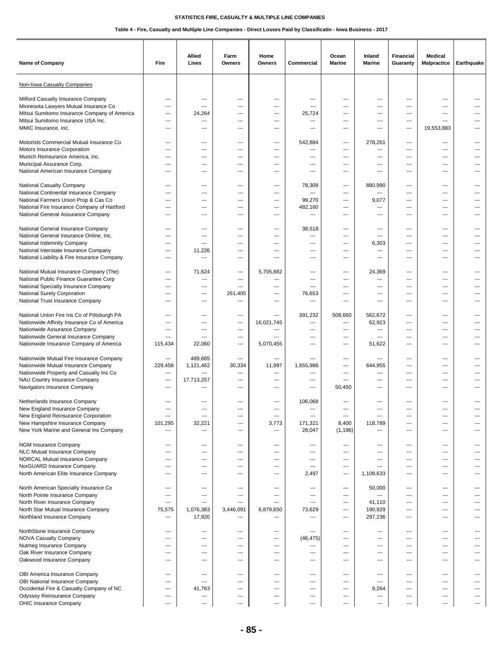| Name of Company                                                                                                   | Fire                                                        | Allied<br>Lines                          | Farm<br>Owners                   | Home<br>Owners                         | Commercial                               | Ocean<br><b>Marine</b>                 | Inland<br><b>Marine</b>                      | <b>Financial</b><br>Guaranty             | <b>Medical</b><br>Malpractice | Earthquake |
|-------------------------------------------------------------------------------------------------------------------|-------------------------------------------------------------|------------------------------------------|----------------------------------|----------------------------------------|------------------------------------------|----------------------------------------|----------------------------------------------|------------------------------------------|-------------------------------|------------|
| Non-Iowa Casualty Companies                                                                                       |                                                             |                                          |                                  |                                        |                                          |                                        |                                              |                                          |                               |            |
| Milford Casualty Insurance Company                                                                                | ---                                                         | ---                                      | ---                              | ---                                    | ---                                      | ---                                    | ---                                          | ---                                      | ---                           |            |
| Minnesota Lawyers Mutual Insurance Co                                                                             | $\overline{\phantom{a}}$                                    | $---$                                    | ---                              | ---                                    | ---                                      | ---                                    | ---                                          | ---                                      | ---                           |            |
| Mitsui Sumitomo Insurance Company of America                                                                      | $---$                                                       | 24,264                                   | $---$                            | ---                                    | 25,724                                   | ---                                    | ---                                          | $\overline{\phantom{a}}$                 | ---                           |            |
| Mitsui Sumitomo Insurance USA Inc.                                                                                | $\overline{\phantom{a}}$                                    | ---                                      | ---                              | $\overline{\phantom{a}}$               | ---                                      | ---                                    | $\overline{\phantom{a}}$                     | $\overline{\phantom{a}}$                 | ---                           | ---        |
| MMIC Insurance, Inc.                                                                                              | ---                                                         | ---                                      | ---                              | ---                                    | ---                                      | ---                                    | ---                                          | ---                                      | 19,553,883                    |            |
| Motorists Commercial Mutual Insurance Co                                                                          | $\overline{\phantom{a}}$                                    | ---                                      | ---                              | ---                                    | 542,884                                  | ---                                    | 278,261                                      | $\overline{\phantom{a}}$                 | ---                           | ---        |
| Motors Insurance Corporation                                                                                      | $---$                                                       | ---                                      | ---                              | ---                                    | ---                                      | ---                                    | ---                                          | $---$                                    | $\cdots$                      |            |
| Munich Reinsurance America, Inc.                                                                                  | $---$                                                       | $---$                                    | $---$                            | $-$                                    | $---$                                    | $---$                                  | $\overline{\phantom{a}}$                     | $---$                                    | $---$                         | ---        |
| Municipal Assurance Corp.                                                                                         | $\overline{\phantom{a}}$                                    | $\overline{\phantom{a}}$                 | ---                              | ---                                    | ---                                      | $---$                                  | ---                                          | $\overline{\phantom{a}}$                 | $---$                         | ---        |
| National American Insurance Company                                                                               | $\qquad \qquad \cdots$                                      | ---                                      | ---                              | ---                                    | ---                                      | ---                                    | ---                                          | ---                                      | ---                           | ---        |
| National Casualty Company                                                                                         | ---                                                         | ---                                      | ---                              | ---                                    | 78,309                                   | ---                                    | 880,990                                      | $\overline{\phantom{a}}$                 | ---                           |            |
| National Continental Insurance Company                                                                            | ---                                                         | $---$                                    | ---                              | $-$                                    | ---                                      | $---$                                  | $\hspace{0.05cm} \ldots$                     | $---$                                    | $---$                         |            |
| National Farmers Union Prop & Cas Co                                                                              | $---$                                                       | $---$                                    | $---$                            | $\sim$                                 | 99,270                                   | $---$                                  | 9,077                                        | $---$                                    | $---$                         | ---        |
| National Fire Insurance Company of Hartford                                                                       | $---$                                                       | $---$                                    | ---                              | ---                                    | 482,160                                  | ---                                    | ---                                          | $- - -$                                  | ---                           |            |
| National General Assurance Company                                                                                | ---                                                         | ---                                      | ---                              | ---                                    | ---                                      | ---                                    | ---                                          | ---                                      | ---                           |            |
| National General Insurance Company                                                                                | ---                                                         | ---                                      | ---                              | ---                                    | 38,518                                   | ---                                    | ---                                          | $\overline{\phantom{a}}$                 | ---                           | ---        |
| National General Insurance Online, Inc.                                                                           | $\overline{\phantom{a}}$                                    | $\overline{a}$                           | ---                              | ---                                    | ---                                      | ---                                    | ---                                          | ---                                      | $---$                         | $---$      |
| National Indemnity Company                                                                                        | $\sim$                                                      | $---$                                    | ---                              | $\sim$                                 | $---$                                    | $---$                                  | 6,303                                        | $---$                                    | $---$                         | $---$      |
| National Interstate Insurance Company                                                                             | $\overline{\phantom{a}}$                                    | 11,226                                   | ---                              | $\overline{\phantom{a}}$               | ---                                      | ---                                    | ---                                          | ---                                      | $\cdots$                      | $---$      |
| National Liability & Fire Insurance Company                                                                       | $\overline{\phantom{a}}$                                    | $\overline{a}$                           | ---                              | $\overline{a}$                         | ---                                      | ---                                    | $\overline{a}$                               | ---                                      | ---                           | ---        |
| National Mutual Insurance Company (The)                                                                           | $\qquad \qquad \cdots$                                      | 71,624                                   | ---                              | 5,705,882                              | ---                                      | ---                                    | 24,369                                       | ---                                      | ---                           | ---        |
| National Public Finance Guarantee Corp                                                                            | $\qquad \qquad \cdots$                                      | ---                                      | ---                              | ---                                    | ---                                      | ---                                    | ---                                          | ---                                      | ---                           |            |
| National Specialty Insurance Company<br>National Surety Corporation<br>National Trust Insurance Company           | $\sim$<br>$---$<br>$---$                                    | $\overline{a}$<br>$---$<br>$---$         | $\overline{a}$<br>261,405<br>--- | $-$<br>---<br>$-$                      | ---<br>76,653<br>---                     | $---$<br>$- - -$<br>---                | $\overline{a}$<br>$---$<br>$---$             | $---$<br>$- - -$<br>$- - -$              | $---$<br>---<br>---           | ---<br>--- |
| National Union Fire Ins Co of Pittsburgh PA                                                                       | $\overline{a}$                                              | ---                                      | ---                              | ---                                    | 391,232                                  | 508,660                                | 562,672                                      | ---                                      | ---                           | ---        |
| Nationwide Affinity Insurance Co of America                                                                       | $---$                                                       | ---                                      | ---                              | 16,021,745                             | ---                                      | ---                                    | 62,923                                       | ---                                      | ---                           |            |
| Nationwide Assurance Company                                                                                      | $---$                                                       | $---$                                    | $---$                            | ---                                    | $---$                                    | $---$                                  | ---                                          | $---$                                    | $---$                         | ---        |
| Nationwide General Insurance Company                                                                              | $\sim$                                                      | $---$                                    | $---$                            | $\overline{a}$                         | ---                                      | $---$                                  | $---$                                        | $---$                                    | $---$                         | ---        |
| Nationwide Insurance Company of America                                                                           | 115,434                                                     | 22,060                                   | $\overline{\phantom{a}}$         | 5,070,455                              | ---                                      | ---                                    | 51,622                                       | ---                                      | $\cdots$                      | ---        |
| Nationwide Mutual Fire Insurance Company                                                                          | $\qquad \qquad \cdots$                                      | 489,685                                  | $\overline{\phantom{a}}$         | $\overline{\phantom{a}}$               | ---                                      | ---                                    | ---                                          | ---                                      | $\cdots$                      | ---        |
| Nationwide Mutual Insurance Company                                                                               | 229,458                                                     | 1,121,462                                | 30,334                           | 11,997                                 | 1,655,986                                | ---                                    | 644,955                                      | ---                                      | ---                           |            |
| Nationwide Property and Casualty Ins Co                                                                           | $\qquad \qquad \cdots$                                      | ---                                      | ---                              | ---                                    | ---                                      | $---$                                  | ---                                          | $---$                                    | $---$                         | ---        |
| NAU Country Insurance Company                                                                                     | $---$                                                       | 17,713,257                               | ---                              | $\sim$                                 | ---                                      | $---$                                  | $---$                                        | $---$                                    | $---$                         |            |
| Navigators Insurance Company                                                                                      | $---$                                                       | ---                                      | $---$                            | $---$                                  | ---                                      | 50,450                                 | ---                                          | ---                                      | $---$                         |            |
| Netherlands Insurance Company<br>New England Insurance Company                                                    | ---                                                         | ---                                      | ---                              | ---                                    | 106,068<br>---                           | ---                                    | ---                                          | ---                                      | ---                           | ---        |
| New England Reinsurance Corporation<br>New Hampshire Insurance Company<br>New York Marine and General Ins Company | ---<br>101,295<br>---                                       | ---<br>32,221<br>---                     | ---<br>---<br>$---$              | ---<br>3,773<br>$---$                  | ---<br>171,321<br>28,047                 | ---<br>8,400<br>(1, 196)               | ---<br>118,789<br>---                        | ---<br>$---$<br>$\overline{\phantom{a}}$ | ---<br>$\cdots$<br>$\cdots$   | ---<br>--- |
| NGM Insurance Company                                                                                             | $\overline{\phantom{a}}$                                    | $\overline{\phantom{a}}$                 | ---                              | ---                                    | ---                                      | ---                                    | $\overline{\phantom{a}}$                     | ---                                      | $\cdots$                      | ---        |
| NLC Mutual Insurance Company                                                                                      | $\overline{\phantom{a}}$                                    | $\overline{\phantom{a}}$                 | ---                              | ---                                    | ---                                      | ---                                    | $\hspace{0.05cm} \ldots$                     | ---                                      | $\cdots$                      | ---        |
| NORCAL Mutual Insurance Company<br>NorGUARD Insurance Company<br>North American Elite Insurance Company           | ---<br>$\overline{\phantom{a}}$<br>$\overline{\phantom{a}}$ | $\overline{\phantom{a}}$<br>$---$<br>--- | ---<br>---<br>$---$              | ---<br>---<br>$\overline{\phantom{a}}$ | ---<br>$\overline{\phantom{a}}$<br>2,497 | ---<br>---<br>$\overline{\phantom{a}}$ | $\hspace{0.05cm} \ldots$<br>---<br>1,108,633 | ---<br>---<br>$\overline{\phantom{a}}$   | ---<br>$\cdots$<br>$---$      | ---<br>--- |
| North American Specialty Insurance Co                                                                             | $\qquad \qquad \cdots$                                      | ---                                      | ---                              | ---                                    | ---                                      | ---                                    | 50,000                                       | ---                                      | ---                           | ---        |
| North Pointe Insurance Company                                                                                    | $\overline{\phantom{a}}$                                    | ---                                      | ---                              | ---                                    | $\overline{a}$                           | ---                                    | ---                                          | ---                                      | ---                           | ---        |
| North River Insurance Company<br>North Star Mutual Insurance Company<br>Northland Insurance Company               | $\qquad \qquad \cdots$<br>75,575<br>$\qquad \qquad \cdots$  | ---<br>1,076,383<br>17,920               | ---<br>3,446,091<br>---          | ---<br>6,879,650<br>$---$              | ---<br>73,629<br>---                     | ---<br>---<br>$---$                    | 41,110<br>190,929<br>297,236                 | ---<br>---<br>$---$                      | $\cdots$<br>$\cdots$<br>$---$ | ---<br>--- |
| NorthStone Insurance Company                                                                                      | $\qquad \qquad \cdots$                                      | ---                                      | $\overline{\phantom{a}}$         | $\hspace{0.05cm} \ldots$               | ---                                      | $---$                                  | ---                                          | $\hspace{0.05cm} \ldots$                 | $\cdots$                      | ---        |
| NOVA Casualty Company                                                                                             | $\overline{\phantom{a}}$                                    | ---                                      | ---                              | $\hspace{0.05cm} \ldots$               | (46, 475)                                | ---                                    | ---                                          | ---                                      | $\overline{a}$                | ---        |
| Nutmeg Insurance Company                                                                                          | ---                                                         | $\overline{\phantom{a}}$                 | ---                              | $\hspace{0.05cm} \ldots$               | ---                                      | ---                                    | ---                                          | ---                                      | $\cdots$                      | ---        |
| Oak River Insurance Company                                                                                       | $---$                                                       | $---$                                    | $---$                            | $-$                                    | ---                                      | $---$                                  | $\overline{a}$                               | $---$                                    | $---$                         | $---$      |
| Oakwood Insurance Company                                                                                         | $\sim$                                                      | $\sim$                                   | $---$                            | $-$                                    | $---$                                    | ---                                    | $\overline{\phantom{a}}$                     | $---$                                    | $---$                         | $---$      |
| OBI America Insurance Company                                                                                     | $\overline{\phantom{a}}$                                    | ---                                      | ---                              | ---                                    | ---                                      | ---                                    | ---                                          | ---                                      | ---                           | ---        |
| OBI National Insurance Company                                                                                    | $\overline{\phantom{a}}$                                    | ---                                      | ---                              | ---                                    | ---                                      | ---                                    | ---                                          | ---                                      | ---                           | ---        |
| Occidental Fire & Casualty Company of NC                                                                          | $\qquad \qquad \cdots$                                      | 41,763                                   | ---                              | ---                                    | ---                                      | ---                                    | 9,264                                        | ---                                      | ---                           | ---        |
| Odyssey Reinsurance Company                                                                                       | $\qquad \qquad \cdots$                                      | ---                                      | ---                              | $\hspace{0.05cm} \ldots$               | ---                                      | ---                                    | ---                                          | ---                                      | $\cdots$                      | ---        |
| OHIC Insurance Company                                                                                            | $\overline{\phantom{a}}$                                    | ---                                      | ---                              | ---                                    | ---                                      | $---$                                  | ---                                          | $\overline{\phantom{a}}$                 | $\overline{a}$                | $---$      |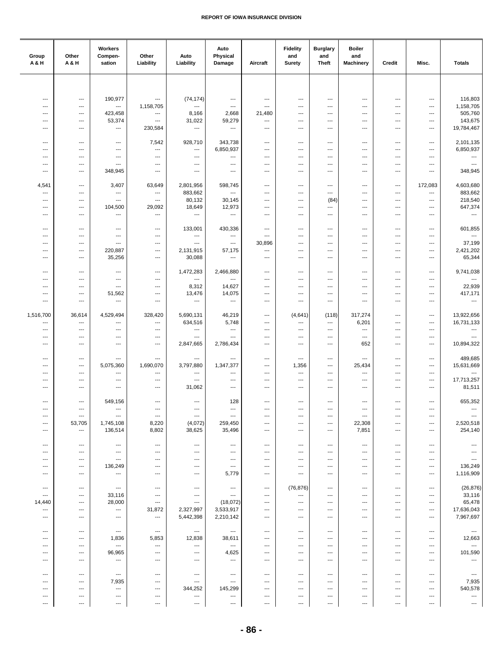| Group<br><b>A&amp;H</b>                              | Other<br>A & H                                     | Workers<br>Compen-<br>sation                         | Other<br>Liability                                   | Auto<br>Liability                                  | Auto<br>Physical<br>Damage                         | Aircraft                 | <b>Fidelity</b><br>and<br><b>Surety</b> | <b>Burglary</b><br>and<br>Theft   | <b>Boiler</b><br>and<br><b>Machinery</b> | Credit                     | Misc.                    | <b>Totals</b>                                        |
|------------------------------------------------------|----------------------------------------------------|------------------------------------------------------|------------------------------------------------------|----------------------------------------------------|----------------------------------------------------|--------------------------|-----------------------------------------|-----------------------------------|------------------------------------------|----------------------------|--------------------------|------------------------------------------------------|
|                                                      |                                                    |                                                      |                                                      |                                                    |                                                    |                          |                                         |                                   |                                          |                            |                          |                                                      |
|                                                      |                                                    |                                                      |                                                      |                                                    |                                                    |                          |                                         |                                   |                                          | ---                        |                          | 116,803                                              |
| $\overline{\phantom{a}}$<br>---                      | $\cdots$<br>---                                    | 190,977<br>$\overline{\phantom{a}}$                  | $\ldots$<br>1,158,705                                | (74, 174)<br>---                                   | $\cdots$<br>$\cdots$                               | ---<br>---               | $\overline{\phantom{a}}$<br>---         | ---<br>---                        | ---<br>---                               | ---                        | ---<br>---               | 1,158,705                                            |
| ---                                                  | $\cdots$                                           | 423,458                                              | $\hspace{0.05cm} \ldots$                             | 8,166                                              | 2,668                                              | 21,480                   | ---                                     | ---                               | ---                                      | ---                        | ---                      | 505,760                                              |
| ---<br>$\overline{\phantom{a}}$                      | $---$<br>$---$                                     | 53,374<br>$\cdots$                                   | $\qquad \qquad \cdots$<br>230,584                    | 31,022<br>---                                      | 59,279<br>$\hspace{0.05cm} \ldots$                 | $\cdots$<br>---          | ---<br>---                              | ---<br>$---$                      | ---<br>---                               | ---<br>---                 | ---<br>---               | 143,675<br>19,784,467                                |
|                                                      |                                                    |                                                      |                                                      |                                                    |                                                    |                          |                                         |                                   |                                          |                            |                          |                                                      |
| ---<br>---                                           | $\scriptstyle\cdots$<br>---                        | $\qquad \qquad -\qquad$<br>---                       | 7,542<br>---                                         | 928,710<br>---                                     | 343,738<br>6,850,937                               | $\cdots$<br>---          | ---<br>---                              | ---<br>---                        | $\hspace{0.05cm} \ldots$<br>---          | ---<br>---                 | ---<br>---               | 2,101,135<br>6,850,937                               |
| ---                                                  | ---                                                | ---                                                  | ---                                                  | ---                                                | $\hspace{0.05cm} \ldots$                           | ---                      | ---                                     | ---                               | ---                                      | ---                        | ---                      | $\hspace{0.05cm} \ldots$                             |
| $---$                                                | ---                                                | ---                                                  | $---$                                                | $---$                                              | $---$                                              | $---$                    | ---                                     | ---                               | ---                                      | $\overline{a}$             | $\overline{a}$           | ---                                                  |
| $\overline{\phantom{a}}$                             | $\overline{\phantom{a}}$                           | 348,945                                              | ---                                                  | ---                                                | $\overline{\phantom{a}}$                           | ---                      | ---                                     | ---                               | ---                                      | ---                        | ---                      | 348,945                                              |
| 4,541                                                | ---                                                | 3,407                                                | 63,649                                               | 2,801,956                                          | 598,745                                            | ---                      | ---                                     | ---                               | ---                                      | ---                        | 172,083                  | 4,603,680                                            |
| ---<br>---                                           | $\qquad \qquad \cdots$<br>---                      | ---<br>---                                           | ---<br>$\hspace{0.05cm} \cdots$                      | 883,662<br>80,132                                  | $\ldots$<br>30,145                                 | ---<br>---               | ---<br>---                              | ---<br>(84)                       | ---<br>---                               | ---<br>---                 | ---<br>---               | 883,662<br>218,540                                   |
| ---                                                  | $\hspace{0.05cm} \ldots$                           | 104,500                                              | 29,092                                               | 18,649                                             | 12,973                                             | ---                      | ---                                     | ---                               | ---                                      | ---                        | $\overline{\phantom{a}}$ | 647,374                                              |
| ---                                                  | ---                                                | ---                                                  | $\ldots$                                             | ---                                                | $\overline{\phantom{a}}$                           | ---                      | ---                                     | ---                               | ---                                      | ---                        | ---                      | $\overline{\phantom{a}}$                             |
| ---                                                  | $\scriptstyle\cdots$                               | $\qquad \qquad -\qquad$                              | $\qquad \qquad \cdots$                               | 133,001                                            | 430,336                                            | ---                      | ---                                     | ---                               | ---                                      | ---                        | ---                      | 601,855                                              |
| ---                                                  | ---                                                | ---                                                  | ---                                                  | $\overline{\phantom{a}}$                           | $\ldots$                                           | ---                      | ---                                     | ---                               | ---                                      | ---                        | ---                      | $\overline{\phantom{a}}$                             |
| ---                                                  | ---                                                | ---                                                  | ---                                                  | ---                                                | $\overline{\phantom{a}}$                           | 30,896                   | ---                                     | ---                               | ---                                      | ---                        | ---                      | 37,199                                               |
| ---<br>---                                           | $\qquad \qquad -\qquad$<br>$---$                   | 220,887<br>35,256                                    | $\qquad \qquad \cdots$<br>---                        | 2,131,915<br>30,088                                | 57,175<br>$\cdots$                                 | $\cdots$<br>$\cdots$     | ---<br>---                              | ---<br>---                        | $---$<br>---                             | ---<br>---                 | ---<br>---               | 2,421,202<br>65,344                                  |
|                                                      |                                                    |                                                      |                                                      |                                                    |                                                    |                          |                                         |                                   |                                          |                            |                          |                                                      |
| ---<br>---                                           | $\qquad \qquad \cdots$<br>---                      | $\overline{\phantom{a}}$<br>$\overline{\phantom{a}}$ | $\overline{\phantom{a}}$<br>---                      | 1,472,283<br>---                                   | 2,466,880<br>$\sim$ - $\sim$                       | ---<br>---               | ---<br>---                              | ---<br>---                        | ---<br>---                               | ---<br>---                 | ---<br>---               | 9,741,038<br>---                                     |
| ---                                                  | $\hspace{0.05cm} \ldots$                           | $\overline{\phantom{a}}$                             | ---                                                  | 8,312                                              | 14,627                                             | ---                      | ---                                     | ---                               | ---                                      | ---                        | ---                      | 22,939                                               |
| $---$                                                | $---$                                              | 51,562                                               | ---                                                  | 13,476                                             | 14,075                                             | $\cdots$                 | ---                                     | ---                               | $---$                                    | $---$                      | ---                      | 417,171                                              |
| $---$                                                | $---$                                              | $\overline{\phantom{a}}$                             | $\overline{\phantom{a}}$                             | $\sim$                                             | $\sim$                                             | $\overline{\phantom{a}}$ | ---                                     | $\overline{\phantom{a}}$          | $\overline{\phantom{a}}$                 | $\overline{\phantom{a}}$   | ---                      | $\sim$                                               |
| 1,516,700                                            | 36,614                                             | 4,529,494                                            | 328,420                                              | 5,690,131                                          | 46,219                                             | ---                      | (4,641)                                 | (118)                             | 317,274                                  | ---                        | ---                      | 13,922,656                                           |
| ---<br>---                                           | $\cdots$<br>---                                    | ---<br>---                                           | $\overline{\phantom{a}}$<br>---                      | 634,516<br>---                                     | 5,748<br>$\hspace{0.05cm} \ldots$                  | ---<br>---               | ---<br>---                              | ---<br>---                        | 6,201<br>---                             | ---<br>---                 | ---<br>---               | 16,731,133<br>$\hspace{0.05cm} \ldots$               |
| ---                                                  | ---                                                | ---                                                  | ---                                                  | $\qquad \qquad \cdots$                             | $\overline{\phantom{a}}$                           | ---                      | ---                                     | ---                               | ---                                      | ---                        | ---                      | $\overline{\phantom{a}}$                             |
| ---                                                  | $---$                                              | ---                                                  | $\overline{\phantom{a}}$                             | 2,847,665                                          | 2,786,434                                          | $\cdots$                 | ---                                     | ---                               | 652                                      | $---$                      | ---                      | 10,894,322                                           |
| ---                                                  | $\overline{\phantom{a}}$                           | ---                                                  | ---                                                  | ---                                                | $---$                                              | ---                      | ---                                     | ---                               | ---                                      | ---                        | ---                      | 489,685                                              |
| ---                                                  | ---                                                | 5,075,360                                            | 1,690,070                                            | 3,797,880                                          | 1,347,377                                          | ---                      | 1,356                                   | ---                               | 25,434                                   | ---                        | ---                      | 15,631,669                                           |
| ---<br>---                                           | ---<br>---                                         | ---<br>---                                           | ---<br>---                                           | ---<br>$\hspace{0.05cm} \ldots$                    | ---<br>---                                         | ---<br>---               | ---<br>---                              | ---<br>---                        | ---<br>---                               | ---<br>---                 | ---<br>---               | $\hspace{0.05cm} \ldots$<br>17,713,257               |
| ---                                                  | $\qquad \qquad -\qquad$                            | $\overline{\phantom{a}}$                             | $\overline{\phantom{a}}$                             | 31,062                                             | $\overline{\phantom{a}}$                           | $\cdots$                 | ---                                     | ---                               | ---                                      | ---                        | ---                      | 81,511                                               |
| ---                                                  | $\overline{\phantom{a}}$                           | 549,156                                              | $\overline{\phantom{a}}$                             | ---                                                | 128                                                | $\cdots$                 | ---                                     | ---                               | ---                                      | ---                        | ---                      | 655,352                                              |
| ---                                                  | $\qquad \qquad \cdots$                             | $\qquad \qquad \cdots$                               | $\qquad \qquad \cdots$                               | ---                                                | $\qquad \qquad \cdots$                             | ---                      | ---                                     | ---                               | $\qquad \qquad \cdots$                   | ---                        | ---                      | ---                                                  |
| ---                                                  | ---                                                | ---                                                  | $\ldots$                                             | ---                                                | $\overline{\phantom{a}}$                           | ---                      | ---                                     | ---                               | ---                                      | ---                        | ---                      | ---                                                  |
| ---<br>---                                           | 53,705<br>$\overline{\phantom{a}}$                 | 1,745,108<br>136,514                                 | 8,220<br>8,802                                       | (4,072)<br>38,625                                  | 259,450<br>35,496                                  | $\cdots$<br>$\cdots$     | ---<br>---                              | ---<br>---                        | 22,308<br>7,851                          | ---<br>$\overline{a}$      | ---<br>---               | 2,520,518<br>254,140                                 |
|                                                      |                                                    |                                                      |                                                      |                                                    |                                                    |                          |                                         |                                   |                                          |                            |                          |                                                      |
| $\overline{\phantom{a}}$<br>---                      | $---$<br>---                                       | $\overline{\phantom{a}}$<br>$\hspace{0.05cm} \ldots$ | $---$<br>---                                         | ---<br>$\hspace{0.05cm} \ldots$                    | $\overline{\phantom{a}}$<br>$\qquad \qquad \cdots$ | $\cdots$<br>---          | ---<br>---                              | ---<br>---                        | $---$<br>---                             | ---<br>---                 | ---<br>---               | $\hspace{0.05cm} \ldots$<br>$\overline{\phantom{a}}$ |
| ---                                                  | $\qquad \qquad \cdots$                             | $\qquad \qquad \cdots$                               | ---                                                  | $\hspace{0.05cm} \ldots$                           | $\qquad \qquad \cdots$                             | ---                      | ---                                     | ---                               | $\hspace{0.05cm} \ldots$                 | ---                        | ---                      | $\scriptstyle\cdots$                                 |
| ---                                                  | ---                                                | 136,249                                              | ---                                                  | $\qquad \qquad \cdots$                             | $\qquad \qquad \cdots$                             | ---                      | ---                                     | ---                               | ---                                      | ---                        | ---                      | 136,249                                              |
| ---                                                  | $\cdots$                                           | $\overline{\phantom{a}}$                             | $\overline{\phantom{a}}$                             | $\cdots$                                           | 5,779                                              | $\overline{\phantom{a}}$ | ---                                     | $\overline{\phantom{a}}$          | $---$                                    | $---$                      | ---                      | 1,116,909                                            |
| $---$                                                | $\cdots$                                           | $\sim$ $\sim$                                        | $\overline{\phantom{a}}$                             | $\cdots$                                           | $\hspace{0.05cm} \ldots$                           | $\cdots$                 | (76, 876)                               | $\overline{\phantom{a}}$          | ---                                      | $\overline{a}$             | $\overline{\phantom{a}}$ | (26, 876)                                            |
| ---<br>14,440                                        | $\hspace{0.05cm} \ldots$<br>$\qquad \qquad \cdots$ | 33,116<br>28,000                                     | $\qquad \qquad \cdots$<br>$\hspace{0.05cm} \ldots$   | $\qquad \qquad \cdots$<br>$\hspace{0.05cm} \ldots$ | $\ldots$<br>(18,072)                               | ---<br>---               | ---<br>---                              | ---<br>---                        | ---<br>$\qquad \qquad \cdots$            | ---<br>---                 | ---<br>$\cdots$          | 33,116<br>65,478                                     |
| ---                                                  | ---                                                | $\scriptstyle\cdots$                                 | 31,872                                               | 2,327,997                                          | 3,533,917                                          | ---                      | ---                                     | ---                               | ---                                      | ---                        | ---                      | 17,636,043                                           |
| ---                                                  | ---                                                | ---                                                  | ---                                                  | 5,442,398                                          | 2,210,142                                          | ---                      | ---                                     | ---                               | ---                                      | ---                        | ---                      | 7,967,697                                            |
| ---                                                  | ---                                                | $\cdots$                                             | $---$                                                | $\cdots$                                           | $\overline{\phantom{a}}$                           | $\overline{a}$           | ---                                     | ---                               | $---$                                    | ---                        | ---                      | $\scriptstyle\cdots$                                 |
| $\overline{\phantom{a}}$                             | $\cdots$                                           | 1,836                                                | 5,853                                                | 12,838                                             | 38,611                                             | $\overline{a}$           | ---                                     | ---                               | ---                                      | ---                        | ---                      | 12,663                                               |
| ---<br>---                                           | ---<br>---                                         | $\hspace{0.05cm} \ldots$<br>96,965                   | ---<br>---                                           | ---<br>$\qquad \qquad \cdots$                      | $\hspace{0.05cm} \ldots$<br>4,625                  | ---<br>---               | ---<br>---                              | ---<br>---                        | ---<br>---                               | ---<br>---                 | ---<br>---               | $\sim$<br>101,590                                    |
| ---                                                  | $\qquad \qquad \cdots$                             | ---                                                  | ---                                                  | $\qquad \qquad \cdots$                             | $\hspace{0.05cm} \ldots$                           | $\overline{a}$           | ---                                     | ---                               | ---                                      | ---                        | ---                      | ---                                                  |
|                                                      |                                                    |                                                      |                                                      |                                                    |                                                    |                          |                                         |                                   |                                          |                            |                          |                                                      |
| $\overline{\phantom{a}}$<br>$\overline{\phantom{a}}$ | $\overline{\phantom{a}}$<br>$---$                  | $\qquad \qquad \cdots$<br>7,935                      | $\hspace{0.05cm} \ldots$<br>$\overline{\phantom{a}}$ | $\overline{\phantom{a}}$<br>$\cdots$               | $\overline{\phantom{a}}$<br>$\ldots$               | $\cdots$<br>$\cdots$     | ---<br>---                              | $---$<br>$\overline{\phantom{a}}$ | $\overline{\phantom{a}}$<br>$---$        | $\cdots$<br>$\overline{a}$ | ---<br>---               | $\overline{\phantom{a}}$<br>7,935                    |
| ---                                                  | ---                                                | $\cdots$                                             | $\qquad \qquad \cdots$                               | 344,252                                            | 145,299                                            | ---                      | ---                                     | ---                               | ---                                      | ---                        | ---                      | 540,578                                              |
| ---                                                  | $\qquad \qquad \cdots$                             | $\qquad \qquad \cdots$                               | $\qquad \qquad \cdots$                               | ---                                                | $\hspace{0.05cm} \ldots$                           | ---                      | ---                                     | ---                               | $\qquad \qquad \cdots$                   | ---                        | ---                      | $\overline{\phantom{a}}$                             |
| ---                                                  | ---                                                | $\cdots$                                             | ---                                                  | $\overline{\phantom{a}}$                           | $\ldots$                                           | ---                      | ---                                     | ---                               | ---                                      | ---                        | ---                      | $\sim$                                               |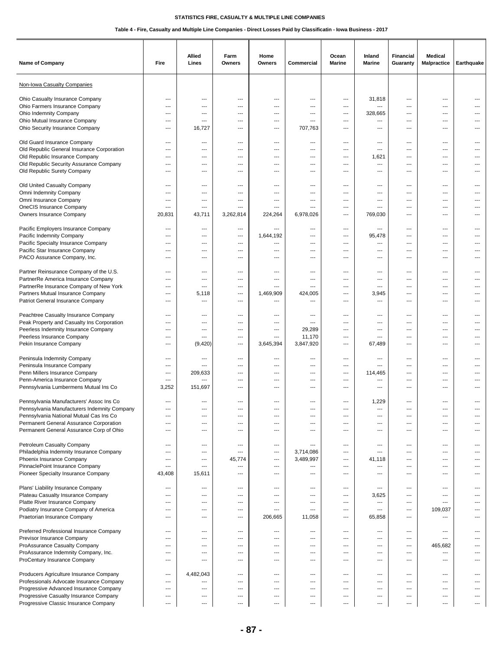| Name of Company                                                                                                                     | Fire                                      | Allied<br>Lines          | Farm<br>Owners                            | Home<br>Owners                         | Commercial                | Ocean<br><b>Marine</b>   | Inland<br><b>Marine</b>                 | Financial<br>Guaranty                  | <b>Medical</b><br><b>Malpractice</b> | Earthquake     |
|-------------------------------------------------------------------------------------------------------------------------------------|-------------------------------------------|--------------------------|-------------------------------------------|----------------------------------------|---------------------------|--------------------------|-----------------------------------------|----------------------------------------|--------------------------------------|----------------|
| Non-Iowa Casualty Companies                                                                                                         |                                           |                          |                                           |                                        |                           |                          |                                         |                                        |                                      |                |
| Ohio Casualty Insurance Company                                                                                                     | ---                                       | ---                      | ---                                       | ---                                    | ---                       | ---                      | 31,818                                  | ---                                    | ---                                  | ---            |
| Ohio Farmers Insurance Company                                                                                                      | $---$                                     | ---                      | ---                                       | ---                                    | ---                       | ---                      | $\hspace{0.05cm} \ldots$                | ---                                    | ---                                  |                |
| Ohio Indemnity Company                                                                                                              | $---$                                     | ---                      | $---$                                     | ---                                    | ---                       | $\overline{\phantom{a}}$ | 328,665                                 | $\overline{\phantom{a}}$               | ---                                  |                |
| Ohio Mutual Insurance Company                                                                                                       | $\overline{\phantom{a}}$                  | ---                      | ---                                       | $\overline{\phantom{a}}$               | ---                       | $---$                    | ---                                     | ---                                    | $---$                                | $---$          |
| Ohio Security Insurance Company                                                                                                     | $---$                                     | 16,727                   | ---                                       | ---                                    | 707,763                   | ---                      | ---                                     | ---                                    | ---                                  |                |
| Old Guard Insurance Company<br>Old Republic General Insurance Corporation<br>Old Republic Insurance Company                         | ---<br>$---$<br>$---$                     | ---<br>---<br>$\sim$     | ---<br>---<br>$---$                       | ---<br>---<br>$\sim$                   | ---<br>---<br>$---$       | ---<br>---<br>---        | ---<br>---<br>1,621                     | ---<br>$\sim$<br>---                   | ---<br>---<br>$---$                  | ---<br>$---$   |
| Old Republic Security Assurance Company                                                                                             | $---$                                     | ---                      | ---                                       | ---                                    | ---                       | $---$                    | ---                                     | $\overline{\phantom{a}}$               | $---$                                | ---            |
| Old Republic Surety Company                                                                                                         | $\qquad \qquad \cdots$                    | ---                      | ---                                       | ---                                    | ---                       | ---                      | ---                                     | ---                                    | ---                                  | ---            |
| Old United Casualty Company                                                                                                         | ---                                       | ---                      | ---                                       | ---                                    | ---                       | ---                      | ---                                     | ---                                    | ---                                  |                |
| Omni Indemnity Company                                                                                                              | ---                                       | $---$                    | ---                                       | $\overline{a}$                         | ---                       | ---                      | $---$                                   | $---$                                  | $---$                                |                |
| Omni Insurance Company<br>OneCIS Insurance Company<br>Owners Insurance Company                                                      | $---$<br>---<br>20,831                    | $---$<br>$---$<br>43,711 | ---<br>---<br>3,262,814                   | $\overline{a}$<br>---<br>224,264       | $---$<br>---<br>6,978,026 | ---<br>---<br>---        | $---$<br>$\overline{a}$<br>769,030      | $---$<br>$---$<br>---                  | $---$<br>---<br>---                  | ---<br>---     |
| Pacific Employers Insurance Company                                                                                                 | ---                                       | ---                      | ---                                       | ---                                    | ---                       | ---                      | ---                                     | $\overline{\phantom{a}}$               | ---                                  | ---            |
| Pacific Indemnity Company                                                                                                           | $\overline{\phantom{a}}$                  | $\overline{a}$           | ---                                       | 1,644,192                              | ---                       | ---                      | 95,478                                  | ---                                    | $\overline{a}$                       | $---$          |
| Pacific Specialty Insurance Company                                                                                                 | $\sim$                                    | $---$                    | $---$                                     | $\overline{a}$                         | $---$                     | ---                      | $---$                                   | $---$                                  | $---$                                | $---$          |
| Pacific Star Insurance Company                                                                                                      | $\overline{\phantom{a}}$                  | ---                      | ---                                       | ---                                    | ---                       | ---                      | ---                                     | ---                                    | $\cdots$                             | ---            |
| PACO Assurance Company, Inc.                                                                                                        | $\overline{\phantom{a}}$                  | ---                      | ---                                       | $\overline{a}$                         | ---                       | ---                      | ---                                     | ---                                    | $\cdots$                             | $---$          |
| Partner Reinsurance Company of the U.S.                                                                                             | ---                                       | ---                      | ---                                       | ---                                    | ---                       | ---                      | ---                                     | ---                                    | ---                                  | ---            |
| PartnerRe America Insurance Company                                                                                                 | $\overline{\phantom{a}}$                  | ---                      | ---                                       | ---                                    | ---                       | ---                      | ---                                     | ---                                    | ---                                  | ---            |
| PartnerRe Insurance Company of New York                                                                                             | $\sim$                                    | $\overline{a}$           | $---$                                     | ---                                    | ---                       | ---                      | $\overline{a}$                          | $---$                                  | $---$                                | $\overline{a}$ |
| Partners Mutual Insurance Company                                                                                                   | $---$                                     | 5,118                    | ---                                       | 1,469,909                              | 424,005                   | ---                      | 3,945                                   | $\sim$                                 | ---                                  | ---            |
| Patriot General Insurance Company                                                                                                   | $---$                                     | ---                      | ---                                       | ---                                    | ---                       | ---                      | ---                                     | ---                                    | ---                                  | ---            |
| Peachtree Casualty Insurance Company                                                                                                | ---                                       | ---                      | $---$                                     | ---                                    | ---                       | ---                      | ---                                     | ---                                    | $\overline{a}$                       | ---            |
| Peak Property and Casualty Ins Corporation                                                                                          | ---                                       | ---                      | ---                                       | ---                                    | ---                       | ---                      | ---                                     | ---                                    | ---                                  | ---            |
| Peerless Indemnity Insurance Company                                                                                                | $---$                                     | $\sim$                   | $---$                                     | $\sim$                                 | 29,289                    | $---$                    | $\overline{\phantom{a}}$                | $---$                                  | $---$                                | $---$          |
| Peerless Insurance Company                                                                                                          | $---$                                     | $---$                    | ---                                       | $\sim$                                 | 11,170                    | ---                      | $---$                                   | $---$                                  | $---$                                | $---$          |
| Pekin Insurance Company                                                                                                             | $---$                                     | (9, 420)                 | ---                                       | 3,645,394                              | 3,847,920                 | ---                      | 67,489                                  | ---                                    | $\cdots$                             | ---            |
| Peninsula Indemnity Company                                                                                                         | $\qquad \qquad \cdots$                    | ---                      | ---                                       | ---                                    | ---                       | ---                      | ---                                     | ---                                    | $\cdots$                             | ---            |
| Peninsula Insurance Company                                                                                                         | ---                                       | ---                      | ---                                       | ---                                    | ---                       | ---                      | ---                                     | ---                                    | ---                                  | ---            |
| Penn Millers Insurance Company                                                                                                      | $\overline{\phantom{a}}$                  | 209,633                  | $---$                                     | $\sim$                                 | $---$                     | $---$                    | 114,465                                 | $---$                                  | $---$                                |                |
| Penn-America Insurance Company                                                                                                      | $\overline{\phantom{a}}$                  | ---                      | ---                                       | ---                                    | $---$                     | ---                      | ---                                     | $---$                                  | $---$                                |                |
| Pennsylvania Lumbermens Mutual Ins Co                                                                                               | 3,252                                     | 151,697                  | ---                                       | $---$                                  | ---                       | ---                      | ---                                     | ---                                    | $---$                                | ---            |
| Pennsylvania Manufacturers' Assoc Ins Co<br>Pennsylvania Manufacturers Indemnity Company<br>Pennsylvania National Mutual Cas Ins Co | $---$                                     | ---                      | ---<br>---                                | ---<br>---                             | ---<br>---                | ---<br>---               | 1,229<br>---                            | ---<br>---                             | ---                                  | ---            |
| Permanent General Assurance Corporation                                                                                             | $\overline{\phantom{a}}$                  | ---                      | ---                                       | ---                                    | $---$                     | ---                      | $\overline{\phantom{a}}$                | $---$                                  | $---$                                | $---$          |
| Permanent General Assurance Corp of Ohio                                                                                            | $---$                                     | ---                      | $---$                                     | $\overline{\phantom{a}}$               | ---                       | $---$                    | $---$                                   | $\overline{\phantom{a}}$               | $\cdots$                             | ---            |
| Petroleum Casualty Company                                                                                                          | $\overline{\phantom{a}}$                  | $\qquad \qquad \cdots$   | ---                                       | ---                                    | ---                       | ---                      | $\hspace{0.05cm} \ldots$                | ---                                    | $\qquad \qquad \cdots$               | ---            |
| Philadelphia Indemnity Insurance Company                                                                                            | $\overline{\phantom{a}}$                  | ---                      | ---                                       | $\hspace{0.05cm} \ldots$               | 3,714,086                 | ---                      | $\hspace{0.05cm} \ldots$                | ---                                    | ---                                  | ---            |
| Phoenix Insurance Company<br>PinnaclePoint Insurance Company<br>Pioneer Specialty Insurance Company                                 | ---<br>$\overline{\phantom{a}}$<br>43,408 | ---<br>---<br>15,611     | 45,774<br>$\qquad \qquad \cdots$<br>$---$ | ---<br>---<br>$\overline{\phantom{a}}$ | 3,489,997<br>---<br>---   | ---<br>---<br>---        | 41,118<br>$\qquad \qquad \cdots$<br>--- | ---<br>---<br>$\overline{\phantom{a}}$ | ---<br>$\cdots$<br>$---$             | $---$<br>---   |
| Plans' Liability Insurance Company                                                                                                  | $\qquad \qquad \cdots$                    | ---                      | ---                                       | ---                                    | ---                       | ---                      | ---                                     | ---                                    | ---                                  | ---            |
| Plateau Casualty Insurance Company                                                                                                  | ---                                       | ---                      | ---                                       | ---                                    | ---                       | ---                      | 3,625                                   | ---                                    | ---                                  | ---            |
| Platte River Insurance Company                                                                                                      | $\qquad \qquad \cdots$                    | $\overline{\phantom{a}}$ | ---                                       | ---                                    | ---                       | ---                      | $\qquad \qquad \cdots$                  | $\overline{\phantom{a}}$               | $\overline{a}$                       | ---            |
| Podiatry Insurance Company of America                                                                                               | $---$                                     | ---                      | ---                                       | $---$                                  | $---$                     | ---                      | $---$                                   | $---$                                  | 109,037                              | ---            |
| Praetorian Insurance Company                                                                                                        | $---$                                     | $\sim$                   | ---                                       | 206,665                                | 11,058                    | $---$                    | 65,858                                  | $---$                                  | $\overline{a}$                       | $---$          |
| Preferred Professional Insurance Company                                                                                            | $\qquad \qquad \cdots$                    | $\overline{\phantom{a}}$ | $\overline{\phantom{a}}$                  | ---                                    | ---                       | ---                      | ---                                     | $\hspace{0.05cm} \ldots$               | $\cdots$                             | ---            |
| Previsor Insurance Company                                                                                                          | $\overline{\phantom{a}}$                  | ---                      | ---                                       | ---                                    | ---                       | ---                      | ---                                     | ---                                    | ---                                  | ---            |
| ProAssurance Casualty Company                                                                                                       | ---                                       | ---                      | ---                                       | ---                                    | ---                       | ---                      | $\cdots$                                | ---                                    | 465,682                              | ---            |
| ProAssurance Indemnity Company, Inc.                                                                                                | $---$                                     | $---$                    | ---                                       | $---$                                  | ---                       | ---                      | $---$                                   | $---$                                  | $\overline{\phantom{a}}$             | ---            |
| ProCentury Insurance Company                                                                                                        | $---$                                     | $---$                    | ---                                       | $---$                                  | $---$                     | ---                      | $\overline{\phantom{a}}$                | $---$                                  | $---$                                | $---$          |
| Producers Agriculture Insurance Company                                                                                             | $\qquad \qquad \cdots$                    | 4,482,043                | ---                                       | ---                                    | ---                       | ---                      | ---                                     | ---                                    | ---                                  | ---            |
| Professionals Advocate Insurance Company                                                                                            | $\overline{\phantom{a}}$                  | ---                      | ---                                       | ---                                    | ---                       | ---                      | ---                                     | ---                                    | ---                                  | ---            |
| Progressive Advanced Insurance Company                                                                                              | $\qquad \qquad \cdots$                    | ---                      | ---                                       | ---                                    | ---                       | ---                      | ---                                     | ---                                    | $\cdots$                             | ---            |
| Progressive Casualty Insurance Company                                                                                              | $\qquad \qquad \cdots$                    | ---                      | ---                                       | $\hspace{0.05cm} \ldots$               | ---                       | ---                      | $\hspace{0.05cm} \ldots$                | ---                                    | $\cdots$                             | ---            |
| Progressive Classic Insurance Company                                                                                               | $\overline{\phantom{a}}$                  | $---$                    | ---                                       | ---                                    | ---                       | $---$                    | $---$                                   | $\overline{\phantom{a}}$               | ---                                  | $---$          |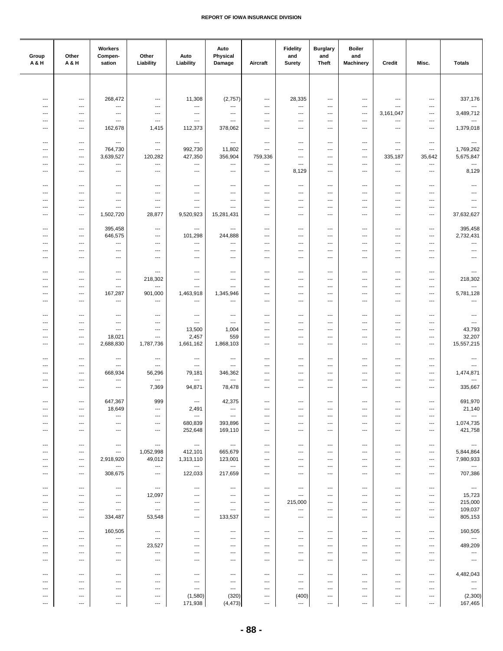| Group<br><b>A&amp;H</b>         | Other<br>A & H                                       | Workers<br>Compen-<br>sation                         | Other<br>Liability                               | Auto<br>Liability               | Auto<br>Physical<br>Damage                         | Aircraft                                         | <b>Fidelity</b><br>and<br><b>Surety</b> | <b>Burglary</b><br>and<br>Theft                      | <b>Boiler</b><br>and<br><b>Machinery</b>             | Credit                                               | Misc.                                                | <b>Totals</b>                                        |
|---------------------------------|------------------------------------------------------|------------------------------------------------------|--------------------------------------------------|---------------------------------|----------------------------------------------------|--------------------------------------------------|-----------------------------------------|------------------------------------------------------|------------------------------------------------------|------------------------------------------------------|------------------------------------------------------|------------------------------------------------------|
|                                 |                                                      |                                                      |                                                  |                                 |                                                    |                                                  |                                         |                                                      |                                                      |                                                      |                                                      |                                                      |
| $\overline{\phantom{a}}$        | $\overline{\phantom{a}}$                             | 268,472                                              | $\overline{\phantom{a}}$                         | 11,308                          | (2,757)                                            | $\hspace{0.05cm} \ldots$                         | 28,335                                  | $\qquad \qquad \cdots$                               | $\overline{\phantom{a}}$                             | $\qquad \qquad \cdots$                               | $\cdots$                                             | 337,176                                              |
| $\overline{\phantom{a}}$        | $---$                                                | $\hspace{0.05cm} \ldots$                             | ---                                              | ---                             | ---                                                | $---$                                            | $\ldots$                                | $\overline{\phantom{a}}$                             | ---                                                  | $\cdots$                                             | $---$                                                | $\hspace{0.05cm} \ldots$                             |
| $\overline{\phantom{a}}$<br>--- | $\qquad \qquad \cdots$<br>---                        | $\scriptstyle\cdots$<br>$\hspace{0.05cm} \ldots$     | $\qquad \qquad \cdots$<br>$\qquad \qquad \cdots$ | ---<br>---                      | ---<br>---                                         | $\qquad \qquad \cdots$<br>---                    | $\overline{\phantom{a}}$<br>---         | $\qquad \qquad \cdots$<br>$\qquad \qquad \cdots$     | $\overline{\phantom{a}}$<br>$\overline{\phantom{a}}$ | 3,161,047<br>---                                     | $\cdots$<br>$\qquad \qquad \cdots$                   | 3,489,712<br>$\hspace{0.05cm} \ldots$                |
| ---                             | $\qquad \qquad -\qquad$                              | 162,678                                              | 1,415                                            | 112,373                         | 378,062                                            | ---                                              | ---                                     | $\qquad \qquad \cdots$                               | $\overline{\phantom{a}}$                             | ---                                                  | $\qquad \qquad \cdots$                               | 1,379,018                                            |
| $\overline{\phantom{a}}$        | $---$                                                | $---$                                                | $\hspace{0.05cm} \ldots$                         | $\overline{\phantom{a}}$        | $---$                                              | $\overline{\phantom{a}}$                         | $\overline{\phantom{a}}$                | $\overline{\phantom{a}}$                             | $---$                                                | $\overline{\phantom{a}}$                             | $\qquad \qquad \cdots$                               | $\overline{\phantom{a}}$                             |
| ---                             | $\overline{\phantom{a}}$                             | 764,730                                              | $\overline{\phantom{a}}$                         | 992,730                         | 11,802                                             | $\cdots$                                         | ---                                     | ---                                                  | ---                                                  | $---$                                                | $---$                                                | 1,769,262                                            |
| ---<br>---                      | $\overline{\phantom{a}}$<br>$\overline{\phantom{a}}$ | 3,639,527<br>$\hspace{0.05cm} \ldots$                | 120,282<br>---                                   | 427,350<br>---                  | 356,904<br>---                                     | 759,336<br>---                                   | ---<br>$\overline{\phantom{a}}$         | $\overline{\phantom{a}}$<br>$\qquad \qquad \cdots$   | $---$<br>$\overline{\phantom{a}}$                    | 335,187<br>---                                       | 35,642<br>$\ldots$                                   | 5,675,847<br>$\overline{\phantom{a}}$                |
| ---                             | ---                                                  | $\qquad \qquad \cdots$                               | ---                                              | ---                             | ---                                                | ---                                              | 8,129                                   | $\qquad \qquad \cdots$                               | ---                                                  | ---                                                  | $\qquad \qquad \cdots$                               | 8,129                                                |
| $\overline{\phantom{a}}$        | ---                                                  | $\hspace{0.05cm} \ldots$                             | $\overline{\phantom{a}}$                         | ---                             | $\cdots$                                           | $---$                                            | $\overline{\phantom{a}}$                | $\overline{\phantom{a}}$                             | $---$                                                | $---$                                                | $\overline{\phantom{a}}$                             | $\hspace{0.05cm} \ldots$                             |
| $\overline{\phantom{a}}$        | ---                                                  | $\overline{\phantom{a}}$                             | $\overline{\phantom{a}}$                         | $\overline{\phantom{a}}$        | $\overline{\phantom{a}}$                           | $\cdots$                                         | $---$                                   | $\overline{\phantom{a}}$                             | $\overline{\phantom{a}}$                             | $\cdots$                                             | $---$                                                | $\overline{\phantom{a}}$                             |
| ---<br>---                      | ---<br>$\hspace{0.05cm} \ldots$                      | $\overline{\phantom{a}}$<br>---                      | ---<br>$\overline{\phantom{a}}$                  | ---<br>---                      | $\overline{\phantom{a}}$<br>---                    | $\overline{\phantom{a}}$<br>---                  | ---<br>---                              | $\overline{\phantom{a}}$<br>$\ldots$                 | ---<br>---                                           | $\cdots$<br>---                                      | ---<br>$\ldots$                                      | $\overline{\phantom{a}}$<br>---                      |
| ---                             | ---                                                  | 1,502,720                                            | 28,877                                           | 9,520,923                       | 15,281,431                                         | ---                                              | ---                                     | $\qquad \qquad \cdots$                               | ---                                                  | ---                                                  | ---                                                  | 37,632,627                                           |
| ---                             | $\overline{\phantom{a}}$                             | 395,458                                              | $\overline{\phantom{a}}$                         | $\qquad \qquad \cdots$          | $\qquad \qquad \cdots$                             | $\overline{\phantom{a}}$                         | $\overline{\phantom{a}}$                | $\hspace{0.05cm} \ldots$                             | $\overline{\phantom{a}}$                             | ---                                                  | $\overline{\phantom{a}}$                             | 395,458                                              |
| ---                             | $\overline{\phantom{a}}$                             | 646,575                                              | ---                                              | 101,298                         | 244,888                                            | ---                                              | ---                                     | $\hspace{0.05cm} \ldots$                             | $---$                                                | ---                                                  | $\qquad \qquad \cdots$                               | 2,732,431                                            |
| ---                             | $---$                                                | $\overline{\phantom{a}}$                             | ---                                              | ---                             | $\overline{\phantom{a}}$                           | $---$                                            | ---                                     | $\overline{\phantom{a}}$                             | $---$                                                | ---                                                  | $\overline{\phantom{a}}$                             | $\overline{\phantom{a}}$                             |
| ---<br>---                      | $\overline{\phantom{a}}$<br>$\overline{\phantom{a}}$ | $\hspace{0.05cm} \ldots$<br>$\hspace{0.05cm} \ldots$ | ---<br>---                                       | ---<br>---                      | $\qquad \qquad \cdots$<br>$\overline{\phantom{a}}$ | ---<br>---                                       | ---<br>$\qquad \qquad \cdots$           | $\qquad \qquad \cdots$<br>$\qquad \qquad \cdots$     | ---<br>$\overline{\phantom{a}}$                      | ---<br>---                                           | $\qquad \qquad \cdots$<br>$\qquad \qquad \cdots$     | ---<br>$---$                                         |
|                                 |                                                      |                                                      |                                                  |                                 |                                                    |                                                  |                                         |                                                      |                                                      |                                                      |                                                      |                                                      |
| $\overline{\phantom{a}}$<br>--- | $---$<br>$---$                                       | $\qquad \qquad \cdots$<br>$\qquad \qquad -\qquad$    | $\overline{\phantom{a}}$<br>218,302              | ---<br>---                      | $\cdots$<br>---                                    | $\cdots$<br>$---$                                | $---$<br>---                            | $\cdots$<br>$\overline{\phantom{a}}$                 | $\overline{\phantom{a}}$<br>$---$                    | $\overline{\phantom{a}}$<br>---                      | $\overline{\phantom{a}}$<br>$---$                    | $\hspace{0.05cm} \ldots$<br>218,302                  |
| $\overline{\phantom{a}}$        | $---$                                                | $\hspace{0.05cm} \ldots$                             | ---                                              | ---                             | $\overline{\phantom{a}}$                           | $---$                                            | $\overline{\phantom{a}}$                | $\overline{\phantom{a}}$                             | ---                                                  | $\overline{\phantom{a}}$                             | $\qquad \qquad \cdots$                               | ---                                                  |
| ---<br>$\ddotsc$                | $\overline{\phantom{a}}$<br>---                      | 167,287<br>$\hspace{0.05cm} \ldots$                  | 901,000<br>$\ldots$                              | 1,463,918<br>---                | 1,345,946<br>$\ldots$                              | $\qquad \qquad \cdots$<br>$\qquad \qquad \cdots$ | ---<br>$\qquad \qquad \cdots$           | $\qquad \qquad \cdots$<br>$\qquad \qquad \cdots$     | ---<br>$\overline{\phantom{a}}$                      | ---<br>---                                           | $\qquad \qquad \cdots$<br>$\qquad \qquad \cdots$     | 5,781,128<br>$\overline{\phantom{a}}$                |
|                                 |                                                      |                                                      |                                                  |                                 |                                                    |                                                  |                                         |                                                      |                                                      |                                                      |                                                      |                                                      |
| $\ddotsc$                       | ---                                                  | $\hspace{0.05cm} \ldots$                             | $\overline{\phantom{a}}$                         | $\overline{\phantom{a}}$        | $\cdots$                                           | $---$                                            | $---$<br>---                            | $\overline{\phantom{a}}$                             | $---$                                                | ---                                                  | $\overline{\phantom{a}}$                             | $\overline{\phantom{a}}$<br>$\overline{\phantom{a}}$ |
| ---<br>---                      | ---<br>$\overline{\phantom{a}}$                      | $---$<br>$---$                                       | ---<br>---                                       | ---<br>13,500                   | $\overline{\phantom{a}}$<br>1,004                  | ---<br>---                                       | ---                                     | $\overline{\phantom{a}}$<br>$\overline{\phantom{a}}$ | $\overline{\phantom{a}}$<br>$---$                    | ---<br>---                                           | $\overline{\phantom{a}}$<br>$\overline{\phantom{a}}$ | 43,793                                               |
| ---                             | $---$                                                | 18,021                                               | ---                                              | 2,457                           | 559                                                | $\overline{\phantom{a}}$                         | ---                                     | $\overline{\phantom{a}}$                             | ---                                                  | ---                                                  | $\overline{\phantom{a}}$                             | 32,207                                               |
| ---                             | $\overline{\phantom{a}}$                             | 2,688,830                                            | 1,787,736                                        | 1,661,162                       | 1,868,103                                          | ---                                              | $\qquad \qquad \cdots$                  | $\qquad \qquad \cdots$                               | ---                                                  | ---                                                  | $\qquad \qquad \cdots$                               | 15,557,215                                           |
| ---                             | ---                                                  | $\hspace{0.05cm} \cdots$                             | $\overline{\phantom{a}}$                         | ---                             | $\qquad \qquad \cdots$                             | ---                                              | ---                                     | $\qquad \qquad \cdots$                               | ---                                                  | ---                                                  | $\overline{\phantom{a}}$                             | $\hspace{0.05cm} \ldots$                             |
| ---<br>---                      | ---<br>$---$                                         | $\hspace{0.05cm} \ldots$<br>668,934                  | $\overline{\phantom{a}}$<br>56,296               | ---<br>79,181                   | $\cdots$<br>346,362                                | $---$<br>$\overline{\phantom{a}}$                | $\qquad \qquad \cdots$<br>---           | $\overline{\phantom{a}}$<br>$\overline{\phantom{a}}$ | $---$<br>---                                         | $\overline{\phantom{a}}$<br>$---$                    | $\overline{\phantom{a}}$<br>$\overline{\phantom{a}}$ | $\qquad \qquad -$<br>1,474,871                       |
| $\overline{\phantom{a}}$        | ---                                                  | $---$                                                | $\overline{\phantom{a}}$                         | ---                             | ---                                                | $\overline{\phantom{a}}$                         | $\overline{\phantom{a}}$                | $\overline{\phantom{a}}$                             | ---                                                  | $\overline{\phantom{a}}$                             | $\overline{\phantom{a}}$                             | $\overline{\phantom{a}}$                             |
| ---                             | $\qquad \qquad -\qquad$                              | $\scriptstyle\cdots$                                 | 7,369                                            | 94,871                          | 78,478                                             | $\qquad \qquad \cdots$                           | ---                                     | $\qquad \qquad \cdots$                               | ---                                                  | ---                                                  | $\qquad \qquad \cdots$                               | 335,667                                              |
| $\overline{\phantom{a}}$        | $\qquad \qquad \cdots$                               | 647,367                                              | 999                                              | $\hspace{0.05cm} \ldots$        | 42,375                                             | $\qquad \qquad \cdots$                           | $\qquad \qquad \cdots$                  | $\qquad \qquad \cdots$                               | ---                                                  | $\qquad \qquad \cdots$                               | $\qquad \qquad \cdots$                               | 691,970                                              |
| ---<br>---                      | $\hspace{0.05cm} \ldots$<br>---                      | 18,649<br>---                                        | $\hspace{0.05cm} \cdots$<br>---                  | 2,491<br>$\sim$                 | $\hspace{0.05cm} \ldots$<br>$\cdots$               | ---<br>---                                       | ---<br>---                              | $\hspace{0.05cm} \cdots$<br>$\hspace{0.05cm} \ldots$ | $\overline{\phantom{a}}$<br>---                      | ---<br>---                                           | $\cdots$<br>$\hspace{0.05cm} \ldots$                 | 21,140<br>$\hspace{0.05cm} \ldots$                   |
| ---                             | $---$                                                | $\overline{\phantom{a}}$                             | $\cdots$                                         | 680,839                         | 393,896                                            | ---                                              | ---                                     | $\cdots$                                             | $\overline{\phantom{a}}$                             | $\overline{\phantom{a}}$                             | $\qquad \qquad -$                                    | 1,074,735                                            |
| ---                             | $\overline{\phantom{a}}$                             | $\qquad \qquad \cdots$                               | $\overline{\phantom{a}}$                         | 252,648                         | 169,110                                            | ---                                              | $\qquad \qquad \cdots$                  | $\hspace{0.05cm} \ldots$                             | $\overline{\phantom{a}}$                             | ---                                                  | $\qquad \qquad \cdots$                               | 421,758                                              |
| ---                             | ---                                                  | $\hspace{0.05cm} \ldots$                             | $\hspace{0.05cm} \cdots$                         | $\hspace{0.05cm} \ldots$        | $\scriptstyle\cdots$                               | $\qquad \qquad \cdots$                           | $\qquad \qquad \cdots$                  | $\qquad \qquad \cdots$                               | $\hspace{0.05cm} \ldots$                             | $\qquad \qquad \cdots$                               | $\scriptstyle\cdots$                                 | $\scriptstyle\cdots$                                 |
| ---                             | $---$                                                | $\hspace{0.05cm} \ldots$                             | 1,052,998                                        | 412,101                         | 665,679                                            | $\cdots$                                         | ---                                     | $\cdots$                                             | $---$                                                | $\cdots$                                             | $\qquad \qquad \cdots$                               | 5,844,864                                            |
| ---<br>$\overline{\phantom{a}}$ | $\qquad \qquad -\qquad -$<br>$---$                   | 2,918,920<br>---                                     | 49,012<br>$\cdots$                               | 1,313,110<br>---                | 123,001<br>$\overline{\phantom{a}}$                | $\cdots$<br>$---$                                | $\qquad \qquad \cdots$<br>---           | $\cdots$<br>$\overline{\phantom{a}}$                 | $\overline{\phantom{a}}$<br>$---$                    | $\overline{\phantom{a}}$<br>$---$                    | $\qquad \qquad \cdots$<br>$\overline{\phantom{a}}$   | 7,980,933<br>$\overline{\phantom{a}}$                |
| $\overline{\phantom{a}}$        | $\hspace{0.05cm} \ldots$                             | 308,675                                              | $\hspace{0.05cm} \ldots$                         | 122,033                         | 217,659                                            | $\qquad \qquad \cdots$                           | $\qquad \qquad \cdots$                  | $\cdots$                                             | $\hspace{0.05cm} \ldots$                             | $\qquad \qquad \cdots$                               | $\scriptstyle\cdots$                                 | 707,386                                              |
| $\overline{\phantom{a}}$        | $\hspace{0.05cm} \cdots$                             | $\hspace{0.05cm} \ldots$                             | $\scriptstyle\cdots$                             | ---                             | ---                                                | $\qquad \qquad \cdots$                           | $\hspace{0.05cm} \cdots$                | $\hspace{0.05cm} \cdots$                             | $\hspace{0.05cm} \cdots$                             | ---                                                  | $\hspace{0.05cm} \cdots$                             | $\sim$                                               |
| ---                             | $---$                                                | $\qquad \qquad -\qquad$                              | 12,097                                           | $\hspace{0.05cm} \ldots$        | $\cdots$                                           | $\hspace{0.05cm} \ldots$                         | $\qquad \qquad \cdots$                  | $\overline{\phantom{a}}$                             | $\overline{\phantom{a}}$                             | $\overline{\phantom{a}}$                             | $\qquad \qquad \cdots$                               | 15,723                                               |
| ---<br>---                      | $\overline{\phantom{a}}$<br>---                      | $\hspace{0.05cm} \cdots$<br>$\overline{\phantom{a}}$ | ---<br>$\overline{\phantom{a}}$                  | $\overline{\phantom{a}}$<br>--- | ---<br>$\overline{\phantom{a}}$                    | ---<br>$\overline{\phantom{a}}$                  | 215,000<br>---                          | $\hspace{0.05cm} \ldots$<br>$\overline{\phantom{a}}$ | $\cdots$<br>---                                      | ---<br>---                                           | $\hspace{0.05cm} \cdots$<br>$---$                    | 215,000<br>109,037                                   |
| $\overline{\phantom{a}}$        | $---$                                                | 334,487                                              | 53,548                                           | ---                             | 133,537                                            | $---$                                            | $\overline{\phantom{a}}$                | $\overline{\phantom{a}}$                             | $\overline{\phantom{a}}$                             | ---                                                  | $\overline{\phantom{a}}$                             | 805,153                                              |
| ---                             | $\hspace{0.05cm} \ldots$                             | 160,505                                              | $\hspace{0.05cm} \cdots$                         | ---                             | ---                                                | ---                                              | ---                                     | $\hspace{0.05cm} \cdots$                             | ---                                                  | ---                                                  | ---                                                  | 160,505                                              |
| ---                             | ---                                                  | $\hspace{0.05cm} \cdots$                             | $\qquad \qquad \cdots$                           | ---                             | ---                                                | $\qquad \qquad \cdots$                           | ---                                     | $\qquad \qquad \cdots$                               | $\qquad \qquad \cdots$                               | $\qquad \qquad \cdots$                               | $\hspace{0.05cm} \cdots$                             | $\ldots$                                             |
| ---<br>---                      | $\overline{\phantom{a}}$<br>---                      | $\hspace{0.05cm} \cdots$<br>$\qquad \qquad \cdots$   | 23,527<br>$\hspace{0.05cm} \ldots$               | ---<br>---                      | ---<br>$\cdots$                                    | $\overline{\phantom{a}}$<br>$\cdots$             | ---<br>$\qquad \qquad \cdots$           | $\hspace{0.05cm} \ldots$<br>$\cdots$                 | $\overline{\phantom{a}}$<br>$\overline{\phantom{a}}$ | $\overline{\phantom{a}}$<br>$\overline{\phantom{a}}$ | $\hspace{0.05cm} \ldots$<br>$\hspace{0.05cm} \ldots$ | 489,209<br>$\hspace{0.05cm} \cdots$                  |
| ---                             | $---$                                                | $\overline{\phantom{a}}$                             | $---$                                            | ---                             | $\cdots$                                           | $\cdots$                                         | $---$                                   | $\hspace{0.05cm} \ldots$                             | $\overline{\phantom{a}}$                             | $---$                                                | $\qquad \qquad -$                                    | $\cdots$                                             |
|                                 |                                                      |                                                      |                                                  |                                 |                                                    |                                                  |                                         |                                                      |                                                      |                                                      |                                                      |                                                      |
| ---<br>---                      | $\qquad \qquad -\qquad$<br>---                       | $\hspace{0.05cm} \ldots$<br>$\hspace{0.05cm} \ldots$ | $\qquad \qquad \cdots$<br>$\qquad \qquad \cdots$ | ---<br>---                      | ---<br>$\cdots$                                    | ---<br>---                                       | $\qquad \qquad \cdots$<br>---           | $\qquad \qquad \cdots$<br>$\qquad \qquad \cdots$     | $\hspace{0.05cm} \ldots$<br>$\qquad \qquad \cdots$   | ---<br>$\qquad \qquad \cdots$                        | $\qquad \qquad \cdots$<br>$\hspace{0.05cm} \cdots$   | 4,482,043<br>$\hspace{0.05cm} \ldots$                |
| ---                             | ---                                                  | $\qquad \qquad \cdots$                               | ---                                              | ---                             | $---$                                              | $\hspace{0.05cm} \ldots$                         | $\qquad \qquad \cdots$                  | $\overline{\phantom{a}}$                             | $\overline{\phantom{a}}$                             | ---                                                  | $\hspace{0.05cm} \ldots$                             | $\sim$                                               |
| ⊷<br>---                        | $\overline{\phantom{a}}$<br>$\hspace{0.05cm} \ldots$ | $\overline{\phantom{a}}$<br>$\scriptstyle\cdots$     | ---<br>$\qquad \qquad \cdots$                    | (1,580)<br>171,938              | (320)<br>(4, 473)                                  | ---<br>---                                       | (400)<br>$\hspace{0.05cm} \ldots$       | $\hspace{0.05cm} \cdots$<br>---                      | $\hspace{0.05cm} \cdots$<br>$\hspace{0.05cm} \cdots$ | ---<br>---                                           | $\qquad \qquad \cdots$<br>$\scriptstyle\cdots$       | (2,300)<br>167,465                                   |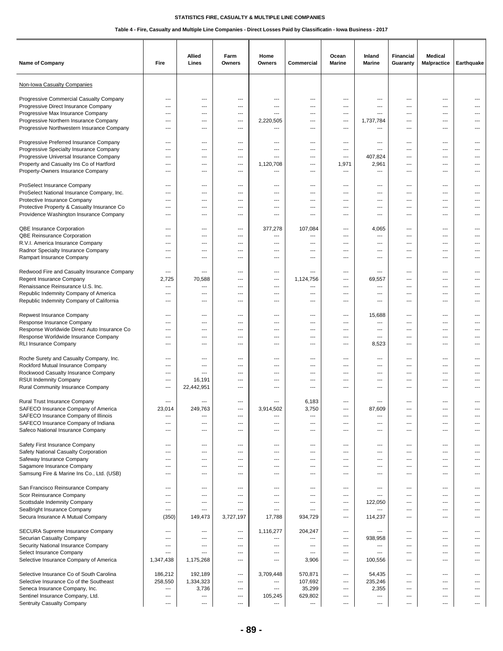| Name of Company                                                                                                                                                                                                | Fire                                                                          | <b>Allied</b><br>Lines                                                    | Farm<br>Owners                                         | Home<br>Owners                                                 | Commercial                                       | Ocean<br><b>Marine</b>                                 | Inland<br><b>Marine</b>                                       | <b>Financial</b><br>Guaranty                                                | <b>Medical</b><br><b>Malpractice</b>                                         | Earthquake                        |
|----------------------------------------------------------------------------------------------------------------------------------------------------------------------------------------------------------------|-------------------------------------------------------------------------------|---------------------------------------------------------------------------|--------------------------------------------------------|----------------------------------------------------------------|--------------------------------------------------|--------------------------------------------------------|---------------------------------------------------------------|-----------------------------------------------------------------------------|------------------------------------------------------------------------------|-----------------------------------|
| Non-Iowa Casualty Companies                                                                                                                                                                                    |                                                                               |                                                                           |                                                        |                                                                |                                                  |                                                        |                                                               |                                                                             |                                                                              |                                   |
| Progressive Commercial Casualty Company<br>Progressive Direct Insurance Company<br>Progressive Max Insurance Company<br>Progressive Northern Insurance Company<br>Progressive Northwestern Insurance Company   | ---<br>---<br>---<br>$---$<br>---                                             | ---<br>$---$<br>$---$<br>$\overline{\phantom{a}}$<br>---                  | ---<br>---<br>---<br>---<br>---                        | ---<br>---<br>---<br>2,220,505<br>---                          | ---<br>---<br>---<br>---<br>---                  | ---<br>---<br>---<br>$\overline{\phantom{a}}$<br>---   | ---<br>---<br>---<br>1,737,784<br>---                         | ---<br>---<br>$\overline{\phantom{a}}$<br>$\overline{\phantom{a}}$<br>---   | ---<br>---<br>$---$<br>$---$<br>---                                          | ---<br>$---$                      |
| Progressive Preferred Insurance Company<br>Progressive Specialty Insurance Company<br>Progressive Universal Insurance Company<br>Property and Casualty Ins Co of Hartford<br>Property-Owners Insurance Company | ---<br>---<br>$---$<br>$\overline{\phantom{a}}$<br>---                        | ---<br>$---$<br>$-$<br>---<br>---                                         | ---<br>---<br>---<br>---<br>---                        | ---<br>---<br>1,120,708<br>---                                 | ---<br>---<br>$---$<br>$---$<br>---              | ---<br>---<br>---<br>1,971<br>---                      | ---<br>$---$<br>407,824<br>2,961<br>---                       | ---<br>$-$<br>$---$<br>$\overline{\phantom{a}}$<br>---                      | ---<br>$\cdots$<br>$---$<br>$---$<br>---                                     | ---<br>---<br>---<br>---          |
| ProSelect Insurance Company<br>ProSelect National Insurance Company, Inc.<br>Protective Insurance Company<br>Protective Property & Casualty Insurance Co<br>Providence Washington Insurance Company            | ---<br>---<br>$---$<br>---<br>---                                             | ---<br>$---$<br>$---$<br>$---$<br>---                                     | ---<br>---<br>---<br>---<br>---                        | ---<br>---<br>---<br>$---$<br>---                              | ---<br>---<br>---<br>---<br>---                  | ---<br>---<br>---<br>---<br>---                        | ---<br>$---$<br>$---$<br>$---$<br>---                         | ---<br>---<br>$-$<br>$- - -$<br>---                                         | ---<br>$---$<br>$---$<br>$---$<br>---                                        | ---                               |
| QBE Insurance Corporation<br>QBE Reinsurance Corporation<br>R.V.I. America Insurance Company<br>Radnor Specialty Insurance Company<br>Rampart Insurance Company                                                | ---<br>---<br>$---$<br>---<br>---                                             | ---<br>---<br>$---$<br>---<br>$---$                                       | ---<br>---<br>---<br>---<br>---                        | 377,278<br>---<br>$---$<br>---<br>---                          | 107,084<br>---<br>$---$<br>---<br>$\overline{a}$ | ---<br>---<br>---<br>---<br>---                        | 4,065<br>---<br>$---$<br>---<br>$---$                         | ---<br>---<br>$---$<br>---<br>---                                           | ---<br>$---$<br>$---$<br>$---$<br>$\cdots$                                   | ---<br>---<br>$---$<br>---<br>--- |
| Redwood Fire and Casualty Insurance Company<br>Regent Insurance Company<br>Renaissance Reinsurance U.S. Inc.<br>Republic Indemnity Company of America<br>Republic Indemnity Company of California              | ---<br>2,725<br>---<br>---<br>---                                             | ---<br>70,588<br>---<br>$---$<br>---                                      | ---<br>---<br>---<br>---<br>---                        | ---<br>---<br>---<br>---<br>$---$                              | ---<br>1,124,756<br>$\overline{a}$<br>---<br>--- | ---<br>---<br>$---$<br>$---$<br>---                    | ---<br>69,557<br>$\overline{a}$<br>$---$<br>$---$             | ---<br>---<br>$---$<br>$- - -$<br>$\overline{\phantom{a}}$                  | ---<br>---<br>$---$<br>---<br>---                                            | ---<br>---<br>---                 |
| Repwest Insurance Company<br>Response Insurance Company<br>Response Worldwide Direct Auto Insurance Co<br>Response Worldwide Insurance Company<br><b>RLI Insurance Company</b>                                 | ---<br>---<br>$---$<br>$---$<br>---                                           | ---<br>---<br>$---$<br>$---$<br>---                                       | ---<br>---<br>---<br>---<br>---                        | ---<br>---<br>$---$<br>$\overline{a}$<br>---                   | ---<br>---<br>$---$<br>---<br>---                | ---<br>---<br>$---$<br>---<br>---                      | 15,688<br>---<br>$\sim$<br>$---$<br>8,523                     | ---<br>---<br>$---$<br>$-$<br>$---$                                         | ---<br>---<br>$---$<br>$---$<br>$\cdots$                                     | ---<br>---<br>---<br>---<br>---   |
| Roche Surety and Casualty Company, Inc.<br>Rockford Mutual Insurance Company<br>Rockwood Casualty Insurance Company<br>RSUI Indemnity Company<br>Rural Community Insurance Company                             | ---<br>---<br>---<br>---<br>---                                               | ---<br>---<br>$---$<br>16,191<br>22,442,951                               | ---<br>---<br>---<br>---<br>---                        | ---<br>---<br>---<br>---<br>---                                | ---<br>---<br>---<br>---<br>---                  | ---<br>---<br>$---$<br>$---$<br>---                    | ---<br>---<br>$---$<br>$---$<br>$---$                         | $\hspace{0.05cm} \ldots$<br>---<br>$-$<br>---<br>$\overline{\phantom{a}}$   | $\qquad \qquad \cdots$<br>---<br>$---$<br>$---$<br>$---$                     | ---<br>---<br>---                 |
| Rural Trust Insurance Company<br>SAFECO Insurance Company of America<br>SAFECO Insurance Company of Illinois<br>SAFECO Insurance Company of Indiana<br>Safeco National Insurance Company                       | ---<br>23.014<br>---<br>---<br>---                                            | 249.763<br>---<br>$---$<br>$---$                                          | ---<br>---<br>---<br>---                               | ---<br>3.914.502<br>---<br>---<br>---                          | 6,183<br>3.750<br>---<br>$---$<br>---            | ---<br>---<br>$---$<br>$---$                           | 87.609<br>---<br>$\overline{\phantom{a}}$<br>---              | ---<br>---<br>$---$<br>$\overline{\phantom{a}}$                             | ---<br>---<br>$\cdots$<br>$\cdots$                                           | ---<br>---<br>---                 |
| Safety First Insurance Company<br>Safety National Casualty Corporation<br>Safeway Insurance Company<br>Sagamore Insurance Company<br>Samsung Fire & Marine Ins Co., Ltd. (USB)                                 | ---<br>---<br>---<br>---<br>---                                               | $\qquad \qquad \cdots$<br>$\qquad \qquad \cdots$<br>---<br>$---$<br>$---$ | ---<br>---<br>---<br>---<br>---                        | ---<br>---<br>---<br>---<br>---                                | ---<br>---<br>---<br>---<br>---                  | ---<br>---<br>---<br>---<br>---                        | ---<br>---<br>---<br>$\overline{\phantom{a}}$<br>---          | $\overline{\phantom{a}}$<br>---<br>---<br>$---$<br>$\overline{\phantom{a}}$ | $\qquad \qquad \cdots$<br>$\qquad \qquad \cdots$<br>---<br>$\cdots$<br>$---$ | $---$<br>---<br>---<br>---        |
| San Francisco Reinsurance Company<br>Scor Reinsurance Company<br>Scottsdale Indemnity Company<br>SeaBright Insurance Company<br>Secura Insurance A Mutual Company                                              | ---<br>---<br>---<br>$---$<br>(350)                                           | ---<br>---<br>---<br>$---$<br>149,473                                     | ---<br>---<br>---<br>---<br>3,727,197                  | ---<br>---<br>---<br>---<br>17,788                             | ---<br>---<br>---<br>$---$<br>934,729            | ---<br>---<br>---<br>$---$<br>$---$                    | ---<br>---<br>122,050<br>---<br>114,237                       | ---<br>---<br>---<br>$---$<br>$---$                                         | ---<br>---<br>$\qquad \qquad \cdots$<br>$\cdots$<br>$\cdots$                 | ---<br>---<br>$---$<br>---        |
| SECURA Supreme Insurance Company<br>Securian Casualty Company<br>Security National Insurance Company<br>Select Insurance Company<br>Selective Insurance Company of America                                     | ---<br>---<br>---<br>---<br>1,347,438                                         | $\overline{\phantom{a}}$<br>---<br>---<br>$---$<br>1,175,268              | $\hspace{0.05cm} \ldots$<br>---<br>---<br>$---$<br>--- | 1,116,277<br>---<br>---<br>$---$<br>$---$                      | 204,247<br>---<br>---<br>$---$<br>3,906          | $\qquad \qquad \cdots$<br>---<br>---<br>$---$<br>$---$ | ---<br>938,958<br>---<br>$---$<br>100,556                     | $\hspace{0.05cm} \ldots$<br>---<br>---<br>$---$<br>$-$                      | $\qquad \qquad \cdots$<br>$\overline{a}$<br>---<br>$\cdots$<br>$---$         | ---<br>---<br>---<br>---          |
| Selective Insurance Co of South Carolina<br>Selective Insurance Co of the Southeast<br>Seneca Insurance Company, Inc.<br>Sentinel Insurance Company, Ltd.<br>Sentruity Casualty Company                        | 186,212<br>258,550<br>$\qquad \qquad \cdots$<br>$\qquad \qquad \cdots$<br>--- | 192,189<br>1,334,323<br>3,736<br>---<br>$\overline{\phantom{a}}$          | $\overline{\phantom{a}}$<br>---<br>---<br>---<br>---   | 3,709,448<br>---<br>---<br>105,245<br>$\hspace{0.05cm} \ldots$ | 570,871<br>107,692<br>35,299<br>629,802<br>---   | $---$<br>---<br>---<br>---<br>---                      | 54,435<br>235,246<br>2,355<br>---<br>$\overline{\phantom{a}}$ | ---<br>---<br>---<br>---<br>$\overline{\phantom{a}}$                        | ---<br>---<br>$\qquad \qquad \cdots$<br>$\qquad \qquad \cdots$<br>---        | ---<br>---<br>---<br>$---$        |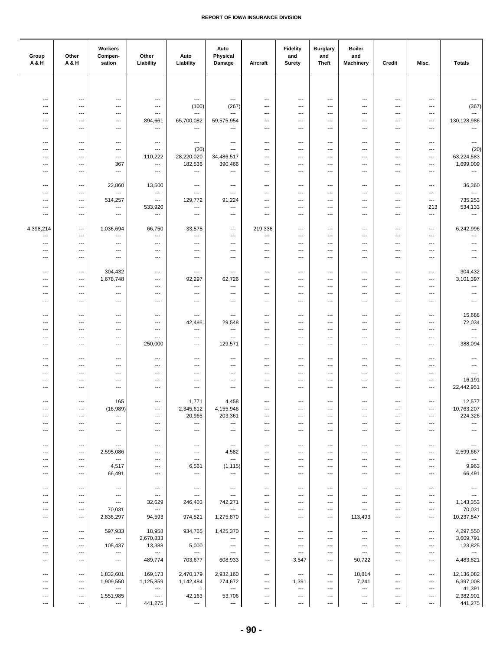| Group<br>A & H                                       | Other<br>A & H                  | Workers<br>Compen-<br>sation       | Other<br>Liability                  | Auto<br>Liability               | Auto<br>Physical<br>Damage             | Aircraft                           | <b>Fidelity</b><br>and<br><b>Surety</b>              | <b>Burglary</b><br>and<br>Theft | <b>Boiler</b><br>and<br><b>Machinery</b>             | Credit                                   | Misc.                                              | <b>Totals</b>                                        |
|------------------------------------------------------|---------------------------------|------------------------------------|-------------------------------------|---------------------------------|----------------------------------------|------------------------------------|------------------------------------------------------|---------------------------------|------------------------------------------------------|------------------------------------------|----------------------------------------------------|------------------------------------------------------|
|                                                      |                                 |                                    |                                     |                                 |                                        |                                    |                                                      |                                 |                                                      |                                          |                                                    |                                                      |
| $\overline{\phantom{a}}$                             | ---                             | ---                                | $\qquad \qquad \cdots$              | ---                             | $\qquad \qquad \cdots$                 | ---                                | ---                                                  | ---                             | ---                                                  | ---                                      | $\overline{\phantom{a}}$                           | $\hspace{0.05cm} \ldots$                             |
| $---$                                                | ---                             | $---$                              | ---                                 | (100)                           | (267)                                  | ---                                | ---                                                  | ---                             | ---                                                  | $\overline{a}$                           | $\overline{\phantom{a}}$                           | (367)                                                |
| $---$<br>$---$                                       | ---<br>$\overline{a}$           | ---<br>---                         | ---<br>894,661                      | ---<br>65,700,082               | $\overline{\phantom{a}}$<br>59,575,954 | ---<br>---                         | ---<br>---                                           | ---<br>---                      | ---<br>---                                           | ---<br>---                               | ---<br>$\overline{\phantom{a}}$                    | ---<br>130,128,986                                   |
| $\overline{\phantom{a}}$                             | ---                             | $\overline{\phantom{a}}$           | $\qquad \qquad \cdots$              | ---                             | $\overline{\phantom{a}}$               | ---                                | ---                                                  | ---                             | ---                                                  | ---                                      | $\overline{\phantom{a}}$                           | ---                                                  |
| $\overline{\phantom{a}}$                             | ---                             | ---                                | $\overline{\phantom{a}}$            | $\overline{\phantom{a}}$        | $\overline{\phantom{a}}$               | ---                                | ---                                                  | ---                             | ---                                                  | ---                                      | ---                                                | $\scriptstyle\cdots$                                 |
| $---$                                                | $---$                           | $---$                              | ---                                 | (20)                            | $\overline{\phantom{a}}$               | $\overline{a}$                     | ---                                                  | ---                             | $---$                                                | ---                                      | $\overline{\phantom{a}}$                           | (20)                                                 |
| $---$<br>$---$                                       | $---$<br>---                    | $---$<br>367                       | 110,222<br>$\overline{\phantom{a}}$ | 28,220,020<br>182,536           | 34,486,517<br>390,466                  | $\cdots$<br>$\overline{a}$         | ---<br>---                                           | $---$<br>---                    | $---$<br>---                                         | ---<br>$---$                             | $---$<br>$\overline{\phantom{a}}$                  | 63,224,583<br>1,699,009                              |
| $\overline{\phantom{a}}$                             | $\hspace{0.05cm} \ldots$        | ---                                | $\overline{\phantom{a}}$            | $\hspace{0.05cm} \ldots$        | $\overline{\phantom{a}}$               | $\qquad \qquad \cdots$             | ---                                                  | ---                             | ---                                                  | $\qquad \qquad \cdots$                   | $\qquad \qquad \cdots$                             | $\hspace{0.05cm} \ldots$                             |
|                                                      |                                 | 22,860                             |                                     |                                 |                                        |                                    |                                                      |                                 |                                                      |                                          |                                                    |                                                      |
| $\hspace{0.05cm} \ldots$<br>$---$                    | ---<br>---                      | $\hspace{0.05cm} \ldots$           | 13,500<br>$\ldots$                  | ---<br>$\hspace{0.05cm} \ldots$ | $\qquad \qquad \cdots$<br>$---$        | ---<br>$\cdots$                    | $\overline{\phantom{a}}$<br>$---$                    | ---<br>---                      | $\hspace{0.05cm} \ldots$<br>$---$                    | ---<br>$\cdots$                          | ---<br>$\qquad \qquad \cdots$                      | 36,360<br>$\overline{\phantom{a}}$                   |
| $\sim$                                               | $---$                           | 514,257                            | ---                                 | 129,772                         | 91,224                                 | $\overline{a}$                     | $---$                                                | $---$                           | $---$                                                | $\overline{a}$                           | $\overline{\phantom{a}}$                           | 735,253                                              |
| $\overline{\phantom{a}}$<br>$\hspace{0.05cm} \ldots$ | $--$<br>---                     | ---<br>$---$                       | 533,920<br>$\ldots$                 | ---<br>---                      | $---$<br>$\qquad \qquad \cdots$        | ---<br>---                         | ---<br>$\overline{\phantom{a}}$                      | $\overline{\phantom{a}}$<br>--- | ---<br>---                                           | $\overline{a}$<br>$\qquad \qquad \cdots$ | 213<br>$\ldots$                                    | 534,133<br>$\hspace{0.05cm} \ldots$                  |
|                                                      |                                 |                                    |                                     |                                 |                                        |                                    |                                                      |                                 |                                                      |                                          |                                                    |                                                      |
| 4,398,214<br>$\hspace{0.05cm} \ldots$                | ---<br>---                      | 1,036,694<br>---                   | 66,750<br>---                       | 33,575<br>---                   | $\qquad \qquad \cdots$<br>---          | 219,336<br>---                     | $\overline{\phantom{a}}$<br>$\overline{\phantom{a}}$ | ---<br>---                      | $\hspace{0.05cm} \ldots$<br>$\hspace{0.05cm} \ldots$ | $\qquad \qquad \cdots$<br>---            | $\qquad \qquad \cdots$<br>---                      | 6,242,996<br>---                                     |
| $\overline{\phantom{a}}$                             | ---                             | $\overline{\phantom{a}}$           | $\overline{\phantom{a}}$            | ---                             | $---$                                  | $---$                              | ---                                                  | $---$                           | $---$                                                | $\cdots$                                 | $\overline{\phantom{a}}$                           | $\overline{\phantom{a}}$                             |
| $\overline{\phantom{a}}$<br>$\overline{\phantom{a}}$ | ---<br>---                      | ---<br>---                         | ---<br>---                          | ---<br>$---$                    | $---$<br>$---$                         | $\cdots$<br>$\cdots$               | ---<br>---                                           | ---<br>---                      | $---$<br>---                                         | ---<br>---                               | ---<br>$---$                                       | $---$<br>$---$                                       |
|                                                      |                                 |                                    |                                     |                                 |                                        |                                    |                                                      |                                 |                                                      |                                          |                                                    |                                                      |
| $\hspace{0.05cm} \ldots$<br>$\hspace{0.05cm} \ldots$ | ---<br>$\qquad \qquad -\qquad$  | 304,432<br>1,678,748               | ---<br>---                          | ---<br>92,297                   | $\qquad \qquad \cdots$<br>62,726       | $\qquad \qquad \cdots$<br>---      | $\overline{\phantom{a}}$<br>$\overline{\phantom{a}}$ | ---<br>---                      | $\hspace{0.05cm} \ldots$<br>$\hspace{0.05cm} \ldots$ | ---<br>$\qquad \qquad \cdots$            | $\qquad \qquad \cdots$<br>$\qquad \qquad \cdots$   | 304,432<br>3,101,397                                 |
| $\sim$                                               | $---$                           | $\hspace{0.05cm} \ldots$           | ---                                 | $\overline{\phantom{a}}$        | $---$                                  | $---$                              | $---$                                                | ---                             | $---$                                                | ---                                      | $---$                                              | $\hspace{0.05cm} \ldots$                             |
| $\overline{\phantom{a}}$                             | ---                             | ---                                | $\overline{\phantom{a}}$            | ---                             | $\overline{\phantom{a}}$               | ---                                | ---                                                  | ---                             | ---                                                  | ---                                      | ---                                                | $\overline{\phantom{a}}$<br>$---$                    |
| $\overline{\phantom{a}}$                             | $---$                           | ---                                | $\overline{\phantom{a}}$            | ---                             | $---$                                  | ---                                | ---                                                  | $\overline{\phantom{a}}$        | $\overline{\phantom{a}}$                             | ---                                      | $\overline{\phantom{a}}$                           |                                                      |
| $\hspace{0.05cm} \ldots$<br>---                      | ---<br>$\overline{a}$           | $\overline{\phantom{a}}$<br>---    | ---                                 | ---                             | $\qquad \qquad \cdots$                 | ---                                | $\overline{\phantom{a}}$                             | ---                             | $\hspace{0.05cm} \ldots$<br>---                      | ---                                      | $\overline{\phantom{a}}$                           | 15,688                                               |
| $---$                                                | $---$                           | ---                                | ---<br>---                          | 42,486<br>$---$                 | 29,548<br>$\overline{\phantom{a}}$     | ---<br>$---$                       | $\overline{\phantom{a}}$<br>$---$                    | ---<br>$---$                    | $---$                                                | $\qquad \qquad \cdots$<br>$\cdots$       | $\qquad \qquad \cdots$<br>$---$                    | 72,034<br>$\hspace{0.05cm} \ldots$                   |
| $---$                                                | ---                             | $\overline{\phantom{a}}$           | $\overline{\phantom{a}}$            | $---$                           | $\overline{\phantom{a}}$               | $\cdots$                           | ---                                                  | $\cdots$                        | $---$                                                | $\cdots$                                 | $\overline{\phantom{a}}$                           | $\hspace{0.05cm} \ldots$                             |
| $\overline{\phantom{a}}$                             | $---$                           | $---$                              | 250,000                             | $\overline{\phantom{a}}$        | 129,571                                | $\cdots$                           | $\overline{\phantom{a}}$                             | $---$                           | ---                                                  | ---                                      | $---$                                              | 388,094                                              |
| $\overline{\phantom{a}}$                             | ---                             | $\overline{\phantom{a}}$           | ---                                 | $\hspace{0.05cm} \ldots$        | $\qquad \qquad \cdots$                 | $\qquad \qquad \cdots$             | ---                                                  | ---                             | $\qquad \qquad \cdots$                               | $\qquad \qquad \cdots$                   | $\qquad \qquad \cdots$                             | $\hspace{0.05cm} \ldots$                             |
| ---<br>$\sim$                                        | ---<br>$---$                    | $\overline{\phantom{a}}$<br>$---$  | ---<br>---                          | ---<br>$---$                    | $\qquad \qquad \cdots$<br>$---$        | ---<br>$---$                       | ---<br>$---$                                         | ---<br>$---$                    | $\hspace{0.05cm} \ldots$<br>$---$                    | $\qquad \qquad \cdots$<br>$\overline{a}$ | $\qquad \qquad \cdots$<br>---                      | $\hspace{0.05cm} \ldots$<br>$\overline{\phantom{a}}$ |
| $---$                                                | $---$                           | ---                                | ---                                 | ---                             | $---$                                  | $---$                              | $---$                                                | ---                             | $---$                                                | ---                                      | $---$                                              | 16,191                                               |
| $\overline{\phantom{a}}$                             | $--$                            | ---                                | $\overline{\phantom{a}}$            | ---                             | $---$                                  | ---                                | $---$                                                | $---$                           | $\overline{\phantom{a}}$                             | $---$                                    | $\overline{\phantom{a}}$                           | 22,442,951                                           |
| $\hspace{0.05cm} \ldots$                             | $\overline{\phantom{a}}$        | 165                                | $\qquad \qquad \cdots$              | 1,771                           | 4,458                                  | ---                                | $\qquad \qquad \cdots$                               | ---                             | ---                                                  | $\qquad \qquad \cdots$                   | $\qquad \qquad \cdots$                             | 12,577                                               |
| ---<br>$\hspace{0.05cm} \ldots$                      | ---<br>$\qquad \qquad -\qquad$  | (16,989)<br>---                    | ---<br>---                          | 2,345,612<br>20,965             | 4,155,946<br>203,361                   | ---<br>$\qquad \qquad \cdots$      | ---<br>---                                           | ---<br>---                      | ---<br>$\qquad \qquad \cdots$                        | ---<br>$\qquad \qquad \cdots$            | ---<br>---                                         | 10,763,207<br>224,326                                |
| $\qquad \qquad \cdots$                               | ---                             | $\overline{\phantom{a}}$           | $\overline{\phantom{a}}$            | ---                             | $\cdots$                               | $\cdots$                           | $\hspace{0.05cm} \ldots$                             | $\cdots$                        | $---$                                                | $\hspace{0.05cm} \ldots$                 | $\overline{\phantom{a}}$                           | $\hspace{0.05cm} \ldots$                             |
| $\overline{\phantom{a}}$                             | ---                             | ---                                | $\overline{\phantom{a}}$            | ---                             | $\overline{\phantom{a}}$               | $\cdots$                           | $\cdots$                                             | $\overline{\phantom{a}}$        | ---                                                  | $\qquad \qquad -$                        | $\overline{\phantom{a}}$                           | $\sim$ $\sim$                                        |
| $\hspace{0.05cm} \ldots$                             | $\hspace{0.05cm} \ldots$        | ---                                | $\qquad \qquad \cdots$              | ---                             | $\cdots$                               | ---                                | $\qquad \qquad \cdots$                               | $\cdots$                        | $\qquad \qquad \cdots$                               | ---                                      | $\qquad \qquad \cdots$                             | ---                                                  |
| ---                                                  | $\qquad \qquad -\qquad$         | 2,595,086                          | ---                                 | ---                             | 4,582                                  | $\qquad \qquad \cdots$             | ---                                                  | ---                             | ---                                                  | $\qquad \qquad \cdots$                   | $\qquad \qquad \cdots$                             | 2,599,667                                            |
| $\cdots$<br>$\overline{\phantom{a}}$                 | ---<br>$\overline{\phantom{a}}$ | ---<br>4,517                       | ---<br>---                          | $\qquad \qquad \cdots$<br>6,561 | $\hspace{0.05cm} \ldots$<br>(1, 115)   | $\qquad \qquad \cdots$<br>$\cdots$ | ---<br>---                                           | ---<br>---                      | $\qquad \qquad \cdots$<br>$---$                      | ---<br>$\overline{\phantom{a}}$          | $\qquad \qquad \cdots$<br>---                      | $\hspace{0.05cm} \ldots$<br>9,963                    |
| $\overline{\phantom{a}}$                             | $---$                           | 66,491                             | $\overline{\phantom{a}}$            | ---                             | $\qquad \qquad \cdots$                 | $\cdots$                           | $\overline{\phantom{a}}$                             | $---$                           | ---                                                  | ---                                      | $\overline{\phantom{a}}$                           | 66,491                                               |
| $\hspace{0.05cm} \ldots$                             | $\hspace{0.05cm} \ldots$        | $\overline{\phantom{a}}$           | $\hspace{0.05cm} \cdots$            | $\hspace{0.05cm} \ldots$        | $\qquad \qquad \cdots$                 | $\qquad \qquad \cdots$             | $\overline{\phantom{a}}$                             | ---                             | $\hspace{0.05cm} \ldots$                             | $\qquad \qquad \cdots$                   | $\qquad \qquad \cdots$                             | $\scriptstyle\cdots$                                 |
| $\hspace{0.05cm} \ldots$                             | $\hspace{0.05cm} \ldots$        | $\hspace{0.05cm} \ldots$           | $\hspace{0.05cm} \cdots$            | ---                             | $\overline{\phantom{a}}$               | $\qquad \qquad \cdots$             | ---                                                  | ---                             | $\qquad \qquad \cdots$                               | $\qquad \qquad \cdots$                   | $\qquad \qquad \cdots$                             | $\hspace{0.05cm} \cdots$                             |
| $\hspace{0.05cm} \ldots$<br>$\qquad \qquad \cdots$   | ---<br>$\overline{\phantom{a}}$ | $\hspace{0.05cm} \ldots$<br>70,031 | 32,629<br>$\scriptstyle\cdots$      | 246,403<br>---                  | 742,271<br>---                         | ---<br>$\cdots$                    | ---<br>---                                           | ---<br>$\hspace{0.05cm} \ldots$ | ---<br>---                                           | ---<br>$\qquad \qquad \cdots$            | $\qquad \qquad \cdots$<br>$\overline{\phantom{a}}$ | 1,143,353<br>70,031                                  |
| $\overline{\phantom{a}}$                             | $\overline{\phantom{a}}$        | 2,836,297                          | 94,593                              | 974,521                         | 1,275,870                              | $\cdots$                           | ---                                                  | $\cdots$                        | 113,493                                              | $\hspace{0.05cm} \ldots$                 | $\overline{\phantom{a}}$                           | 10,237,847                                           |
| $\hspace{0.05cm} \ldots$                             | $\hspace{0.05cm} \ldots$        | 597,933                            | 18,958                              | 934,765                         | 1,425,370                              | ---                                | ---                                                  | $\cdots$                        | $\qquad \qquad \cdots$                               | $\ldots$                                 | ---                                                | 4,297,550                                            |
| $\hspace{0.05cm} \ldots$                             | $\qquad \qquad -\qquad$         | $\hspace{0.05cm} \ldots$           | 2,670,833                           | ---                             | $\overline{\phantom{a}}$               | $\qquad \qquad \cdots$             | ---                                                  | ---                             | $\qquad \qquad \cdots$                               | $\qquad \qquad \cdots$                   | ---                                                | 3,609,791                                            |
| $\hspace{0.05cm} \ldots$<br>$\overline{\phantom{a}}$ | ---<br>---                      | 105,437<br>---                     | 13,388<br>$\hspace{0.05cm} \cdots$  | 5,000<br>---                    | ---<br>$\scriptstyle\cdots$            | ---<br>$\cdots$                    | ---<br>---                                           | ---<br>---                      | $\hspace{0.05cm} \ldots$<br>---                      | ---<br>$\overline{\phantom{a}}$          | $\qquad \qquad \cdots$<br>---                      | 123,825<br>$\hspace{0.05cm} \cdots$                  |
| $\overline{\phantom{a}}$                             | $\overline{\phantom{a}}$        | $\scriptstyle\cdots$               | 489,774                             | 703,677                         | 608,933                                | $\cdots$                           | 3,547                                                | ---                             | 50,722                                               | $\overline{\phantom{a}}$                 | ---                                                | 4,483,821                                            |
| $\hspace{0.05cm} \ldots$                             | $\qquad \qquad -\qquad$         | 1,832,601                          | 169,173                             | 2,470,179                       | 2,932,160                              | $\qquad \qquad \cdots$             | $\overline{\phantom{a}}$                             | $\cdots$                        | 18,814                                               | $\ldots$                                 | ---                                                | 12,136,082                                           |
| $\hspace{0.05cm} \ldots$                             | $\overline{\phantom{a}}$        | 1,909,550                          | 1,125,859                           | 1,142,484                       | 274,672                                | $\qquad \qquad \cdots$             | 1,391                                                | ---                             | 7,241                                                | $\qquad \qquad \cdots$                   | $\qquad \qquad \cdots$                             | 6,397,008                                            |
| ---                                                  | ---                             | ---<br>1,551,985                   | $\hspace{0.05cm} \cdots$            | $\mathbf{1}$<br>42,163          | ---<br>53,706                          | ---                                | ---                                                  | ---                             | $\qquad \qquad \cdots$                               | ---                                      | ---                                                | 41,391<br>2,382,901                                  |
| ---<br>$\hspace{0.05cm} \ldots$                      | ---<br>$\scriptstyle\cdots$     | $\cdots$                           | $\hspace{0.05cm} \cdots$<br>441,275 | ---                             | ---                                    | ---<br>---                         | ---<br>---                                           | ---<br>$\hspace{0.05cm} \ldots$ | ---<br>---                                           | ---<br>$\hspace{0.05cm} \ldots$          | ---<br>---                                         | 441,275                                              |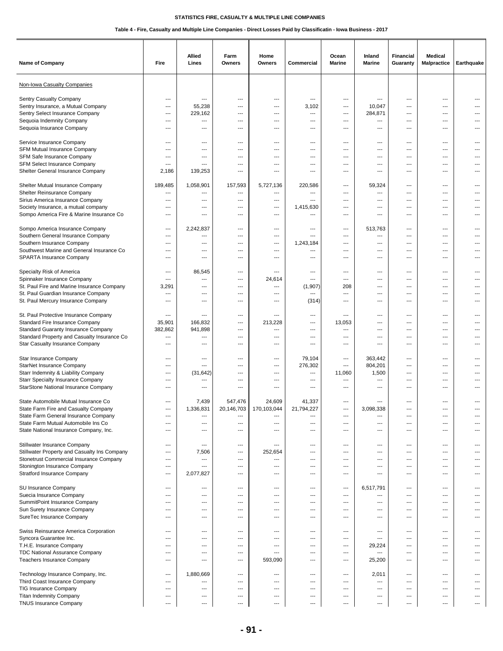| Name of Company                                                                                                                                                                                       | Fire                                                                                                                | Allied<br>Lines                                                                 | Farm<br>Owners                               | Home<br>Owners                                        | Commercial                                | Ocean<br><b>Marine</b>                        | Inland<br><b>Marine</b>                                                       | Financial<br>Guaranty                                                       | Medical<br>Malpractice                                            | Earthquake                                   |
|-------------------------------------------------------------------------------------------------------------------------------------------------------------------------------------------------------|---------------------------------------------------------------------------------------------------------------------|---------------------------------------------------------------------------------|----------------------------------------------|-------------------------------------------------------|-------------------------------------------|-----------------------------------------------|-------------------------------------------------------------------------------|-----------------------------------------------------------------------------|-------------------------------------------------------------------|----------------------------------------------|
| Non-Iowa Casualty Companies                                                                                                                                                                           |                                                                                                                     |                                                                                 |                                              |                                                       |                                           |                                               |                                                                               |                                                                             |                                                                   |                                              |
| Sentry Casualty Company<br>Sentry Insurance, a Mutual Company<br>Sentry Select Insurance Company<br>Sequoia Indemnity Company<br>Sequoia Insurance Company                                            | $---$<br>$\overline{\phantom{a}}$<br>$\qquad \qquad \cdots$<br>$\qquad \qquad \cdots$<br>$\sim$                     | $\overline{a}$<br>55,238<br>229,162<br>---<br>$\overline{a}$                    | ---<br>---<br>---<br>---<br>$---$            | ---<br>---<br>---<br>---<br>$-$                       | ---<br>3,102<br>---<br>---<br>---         | ---<br>---<br>---<br>---<br>$---$             | $\overline{a}$<br>10,047<br>284,871<br>---<br>$\overline{a}$                  | ---<br>---<br>---<br>---<br>$---$                                           | $\overline{a}$<br>$\overline{a}$<br>---<br>---<br>$---$           | ---<br>---<br>---<br>---                     |
| Service Insurance Company<br>SFM Mutual Insurance Company<br>SFM Safe Insurance Company<br>SFM Select Insurance Company<br>Shelter General Insurance Company                                          | $---$<br>---<br>---<br>$\overline{\phantom{a}}$<br>2,186                                                            | ---<br>---<br>---<br>$\overline{a}$<br>139,253                                  | ---<br>---<br>---<br>---<br>---              | ---<br>---<br>---<br>---<br>$\sim$                    | ---<br>---<br>---<br>---<br>---           | ---<br>---<br>---<br>---<br>$---$             | ---<br>---<br>---<br>---<br>$\overline{\phantom{a}}$                          | $\overline{a}$<br>---<br>---<br>---<br>$---$                                | ---<br>---<br>---<br>---<br>$---$                                 | ---<br>---<br>---<br>$---$                   |
| Shelter Mutual Insurance Company<br>Shelter Reinsurance Company<br>Sirius America Insurance Company<br>Society Insurance, a mutual company<br>Sompo America Fire & Marine Insurance Co                | 189,485<br>$\ldots$<br>$\overline{\phantom{a}}$<br>---<br>$---$                                                     | 1,058,901<br>---<br>---<br>---<br>$---$                                         | 157,593<br>---<br>---<br>---<br>$---$        | 5,727,136<br>---<br>---<br>---<br>$-$                 | 220,586<br>---<br>---<br>1,415,630<br>--- | ---<br>---<br>---<br>---<br>---               | 59,324<br>---<br>---<br>$\overline{a}$<br>$---$                               | ---<br>---<br>---<br>---<br>$---$                                           | $\overline{a}$<br>---<br>$\overline{a}$<br>---<br>$---$           | ---<br>---<br>---<br>---                     |
| Sompo America Insurance Company<br>Southern General Insurance Company<br>Southern Insurance Company<br>Southwest Marine and General Insurance Co<br>SPARTA Insurance Company                          | $---$<br>$---$<br>---<br>$\qquad \qquad \cdots$<br>---                                                              | 2,242,837<br>---<br>---<br>---<br>---                                           | ---<br>---<br>---<br>---<br>---              | ---<br>---<br>---<br>---<br>---                       | ---<br>---<br>1,243,184<br>---<br>---     | $\overline{\phantom{a}}$<br>---<br>---<br>--- | 513,763<br>---<br>---<br>---<br>---                                           | $\overline{\phantom{a}}$<br>---<br>---<br>---<br>---                        | $---$<br>---<br>---<br>---<br>---                                 | ---<br>---<br>---<br>---                     |
| Specialty Risk of America<br>Spinnaker Insurance Company<br>St. Paul Fire and Marine Insurance Company<br>St. Paul Guardian Insurance Company<br>St. Paul Mercury Insurance Company                   | $---$<br>$---$<br>3,291<br>---<br>---                                                                               | 86,545<br>$\overline{\phantom{a}}$<br>---<br>$\overline{\phantom{a}}$<br>---    | ---<br>---<br>---<br>---<br>---              | ---<br>24,614<br>---<br>---<br>---                    | ---<br>---<br>(1, 907)<br>---<br>(314)    | $---$<br>---<br>208<br>---<br>---             | ---<br>---<br>---<br>$\hspace{0.05cm} \ldots$<br>---                          | $\overline{\phantom{a}}$<br>---<br>---<br>---<br>---                        | $\cdots$<br>$\cdots$<br>---<br>---<br>---                         | ---<br>---<br>---<br>---                     |
| St. Paul Protective Insurance Company<br>Standard Fire Insurance Company<br>Standard Guaranty Insurance Company<br>Standard Property and Casualty Insurance Co<br>Star Casualty Insurance Company     | $\overline{\phantom{a}}$<br>35,901<br>382,862<br>---<br>---                                                         | ---<br>166,832<br>941,898<br>---<br>---                                         | ---<br>---<br>---<br>---<br>---              | $-$<br>213,228<br>---<br>---<br>---                   | ---<br>---<br>---<br>---<br>---           | ---<br>13,053<br>---<br>---<br>---            | $---$<br>$\overline{\phantom{a}}$<br>---<br>---<br>---                        | $---$<br>---<br>---<br>---<br>---                                           | $---$<br>$---$<br>---<br>---<br>---                               | ---<br>---                                   |
| Star Insurance Company<br>StarNet Insurance Company<br>Starr Indemnity & Liability Company<br><b>Starr Specialty Insurance Company</b><br>StarStone National Insurance Company                        | $---$<br>$---$<br>$\qquad \qquad \cdots$<br>$\overline{\phantom{a}}$<br>---                                         | $\overline{\phantom{a}}$<br>---<br>(31, 642)<br>---<br>---                      | $---$<br>---<br>---<br>---<br>---            | $---$<br>---<br>---<br>---<br>---                     | 79,104<br>276,302<br>---<br>---<br>---    | $---$<br>$---$<br>11,060<br>---<br>---        | 363,442<br>804,201<br>1,500<br>---<br>---                                     | $---$<br>$\overline{\phantom{a}}$<br>---<br>---<br>---                      | $---$<br>$---$<br>$\overline{a}$<br>---<br>---                    | $---$<br>---<br>---                          |
| State Automobile Mutual Insurance Co<br>State Farm Fire and Casualty Company<br>State Farm General Insurance Company<br>State Farm Mutual Automobile Ins Co<br>State National Insurance Company, Inc. | $---$<br>---<br>$\overline{\phantom{a}}$<br>---                                                                     | 7,439<br>1,336,831<br>$---$<br>---<br>---                                       | 547,476<br>20,146,703<br>$---$<br>---<br>--- | 24,609<br>170,103,044<br>$\overline{a}$<br>---<br>--- | 41,337<br>21.794.227<br>---<br>---<br>--- | ---<br>---<br>---<br>---                      | 3.098.338<br>---<br>---<br>---                                                | $---$<br>$\sim$<br>---<br>---                                               | $---$<br>$---$<br>---<br>---                                      | ---<br>---                                   |
| Stillwater Insurance Company<br>Stillwater Property and Casualty Ins Company<br>Stonetrust Commercial Insurance Company<br>Stonington Insurance Company<br><b>Stratford Insurance Company</b>         | $---$<br>$\overline{\phantom{a}}$<br>$\overline{\phantom{a}}$<br>$\qquad \qquad \cdots$<br>$\qquad \qquad \cdots$   | $---$<br>7,506<br>$\overline{\phantom{a}}$<br>---<br>2,077,827                  | $---$<br>---<br>---<br>---<br>---            | ---<br>252,654<br>---<br>---<br>---                   | $---$<br>---<br>---<br>---<br>---         | $---$<br>---<br>---<br>---<br>---             | $\overline{\phantom{a}}$<br>---<br>---<br>---<br>$\overline{a}$               | $---$<br>---<br>---<br>---<br>---                                           | $---$<br>$\cdots$<br>$\cdots$<br>$\overline{a}$<br>$\overline{a}$ | $---$<br>---<br>$---$<br>---<br>---          |
| SU Insurance Company<br>Suecia Insurance Company<br>SummitPoint Insurance Company<br>Sun Surety Insurance Company<br>SureTec Insurance Company                                                        | $\sim$<br>$---$<br>$---$<br>---<br>$\overline{\phantom{a}}$                                                         | $---$<br>$---$<br>---<br>---<br>---                                             | $---$<br>---<br>---<br>---<br>---            | $---$<br>$---$<br>---<br>---<br>---                   | $---$<br>$---$<br>---<br>---<br>---       | $---$<br>$---$<br>$---$<br>---<br>---         | 6,517,791<br>---<br>---<br>---<br>---                                         | $---$<br>$---$<br>$---$<br>---<br>---                                       | $---$<br>$---$<br>$\cdots$<br>---<br>---                          | $---$<br>$---$<br>---<br>---<br>---          |
| Swiss Reinsurance America Corporation<br>Syncora Guarantee Inc.<br>T.H.E. Insurance Company<br>TDC National Assurance Company<br>Teachers Insurance Company                                           | $---$<br>$---$<br>$---$<br>$\overline{\phantom{a}}$<br>$\qquad \qquad \cdots$                                       | $---$<br>---<br>$\overline{\phantom{a}}$<br>---<br>---                          | ---<br>---<br>---<br>---<br>---              | $---$<br>---<br>---<br>---<br>593,090                 | $---$<br>$---$<br>---<br>---<br>---       | ---<br>---<br>---<br>---<br>---               | $---$<br>---<br>29,224<br>---<br>25,200                                       | $---$<br>$---$<br>---<br>---<br>---                                         | $---$<br>$---$<br>$\cdots$<br>---<br>$\cdots$                     | $\overline{a}$<br>$---$<br>---<br>---<br>--- |
| Technology Insurance Company, Inc.<br>Third Coast Insurance Company<br>TIG Insurance Company<br><b>Titan Indemnity Company</b><br><b>TNUS Insurance Company</b>                                       | $\overline{\phantom{a}}$<br>$---$<br>$\overline{\phantom{a}}$<br>$\overline{\phantom{a}}$<br>$\qquad \qquad \cdots$ | 1,880,669<br>---<br>$\overline{\phantom{a}}$<br>---<br>$\overline{\phantom{a}}$ | ---<br>---<br>$---$<br>---<br>---            | ---<br>$\overline{a}$<br>---<br>---<br>---            | ---<br>---<br>---<br>---<br>---           | ---<br>---<br>---<br>---<br>---               | 2,011<br>---<br>$---$<br>$\overline{\phantom{a}}$<br>$\hspace{0.05cm} \ldots$ | ---<br>$---$<br>$\overline{\phantom{a}}$<br>$\overline{\phantom{a}}$<br>--- | $\cdots$<br>$---$<br>$---$<br>$---$<br>$\cdots$                   | $---$<br>$---$                               |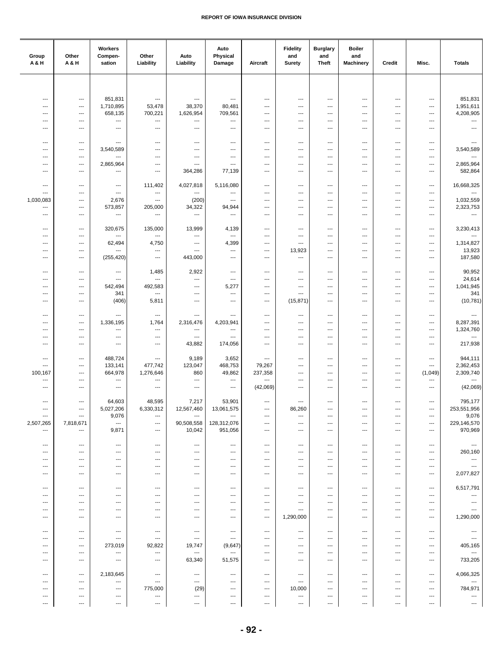| Group<br>A & H                      | Other<br>A & H                                     | Workers<br>Compen-<br>sation        | Other<br>Liability                  | Auto<br>Liability                                    | Auto<br>Physical<br>Damage          | Aircraft                         | <b>Fidelity</b><br>and<br>Surety | <b>Burglary</b><br>and<br><b>Theft</b>               | <b>Boiler</b><br>and<br><b>Machinery</b> | Credit                                               | Misc.                                                | <b>Totals</b>                       |
|-------------------------------------|----------------------------------------------------|-------------------------------------|-------------------------------------|------------------------------------------------------|-------------------------------------|----------------------------------|----------------------------------|------------------------------------------------------|------------------------------------------|------------------------------------------------------|------------------------------------------------------|-------------------------------------|
|                                     |                                                    |                                     |                                     |                                                      |                                     |                                  |                                  |                                                      |                                          |                                                      |                                                      |                                     |
|                                     |                                                    |                                     |                                     |                                                      |                                     |                                  |                                  |                                                      |                                          |                                                      |                                                      | 851,831                             |
| ---<br>$\overline{\phantom{a}}$     | $\qquad \qquad \cdots$<br>$---$                    | 851,831<br>1,710,895                | ---<br>53,478                       | ---<br>38,370                                        | $\qquad \qquad \cdots$<br>80,481    | $\qquad \qquad \cdots$<br>---    | ---<br>---                       | ---<br>---                                           | ---<br>---                               | $\qquad \qquad \cdots$<br>---                        | $\qquad \qquad \cdots$<br>---                        | 1,951,611                           |
| ---                                 | ---                                                | 658,135<br>$\overline{\phantom{a}}$ | 700,221<br>$\overline{\phantom{a}}$ | 1,626,954<br>---                                     | 709,561<br>$\overline{\phantom{a}}$ | ---<br>---                       | ---<br>---                       | ---<br>---                                           | ---<br>---                               | $\overline{\phantom{a}}$<br>$\overline{\phantom{a}}$ | ---                                                  | 4,208,905<br>---                    |
| ---<br>---                          | ---<br>---                                         | $\hspace{0.05cm} \ldots$            | ---                                 | ---                                                  | $\overline{\phantom{a}}$            | ---                              | ---                              | ---                                                  | ---                                      | $---$                                                | ---<br>---                                           | $\overline{\phantom{a}}$            |
|                                     |                                                    |                                     |                                     |                                                      |                                     |                                  |                                  |                                                      |                                          |                                                      |                                                      |                                     |
| $\sim$<br>$\overline{\phantom{a}}$  | $\hspace{0.05cm} \ldots$<br>---                    | ---<br>3,540,589                    | ---<br>---                          | $\overline{\phantom{a}}$<br>$\overline{\phantom{a}}$ | $\overline{\phantom{a}}$<br>$---$   | $\overline{a}$<br>---            | ---<br>---                       | ---<br>---                                           | ---<br>---                               | $\overline{\phantom{a}}$<br>$\overline{a}$           | ---<br>---                                           | ---<br>3,540,589                    |
| $\overline{\phantom{a}}$            | ---<br>$\overline{\phantom{a}}$                    | $---$<br>2,865,964                  | ---                                 | $---$<br>---                                         | $---$<br>$\overline{\phantom{a}}$   | ---<br>---                       | ---<br>---                       | ---<br>---                                           | ---<br>---                               | ---<br>$\overline{\phantom{a}}$                      | ---                                                  | ---<br>2,865,964                    |
| ---<br>---                          | $\qquad \qquad -\qquad$                            | $\qquad \qquad -\qquad$             | ---<br>---                          | 364,286                                              | 77,139                              | $\overline{a}$                   | ---                              | ---                                                  | ---                                      | $\overline{\phantom{a}}$                             | $\overline{\phantom{a}}$<br>$\overline{\phantom{a}}$ | 582,864                             |
| $\overline{\phantom{a}}$            | $---$                                              | $---$                               | 111,402                             | 4,027,818                                            | 5,116,080                           | $\overline{a}$                   | $\cdots$                         | ---                                                  | $---$                                    | $\overline{\phantom{a}}$                             | ---                                                  | 16,668,325                          |
| ---                                 | $\overline{\phantom{a}}$                           | ---                                 | ---                                 | ---                                                  | $\overline{\phantom{a}}$            | ---                              | ---                              | $\overline{\phantom{a}}$                             | ---                                      | $\cdots$                                             | $\overline{\phantom{a}}$                             |                                     |
| 1,030,083<br>---                    | ---<br>---                                         | 2,676<br>573,857                    | ---<br>205,000                      | (200)<br>34,322                                      | ---<br>94,944                       | ---<br>---                       | ---<br>---                       | ---<br>---                                           | ---<br>$\overline{\phantom{a}}$          | $---$<br>$\overline{\phantom{a}}$                    | ---<br>$\qquad \qquad \cdots$                        | 1,032,559<br>2,323,753              |
| ---                                 | ---                                                | ---                                 | ---                                 | $\overline{\phantom{a}}$                             | $\sim$                              | ---                              | ---                              | ---                                                  | ---                                      | $\overline{\phantom{a}}$                             | ---                                                  | $\hspace{0.05cm} \ldots$            |
| $\sim$                              | $\overline{\phantom{a}}$                           | 320,675                             | 135,000                             | 13,999                                               | 4,139                               | $\overline{a}$                   | $\overline{a}$                   | ---                                                  | $---$                                    | $\overline{a}$                                       | $\overline{\phantom{a}}$                             | 3,230,413                           |
| $---$                               | $---$                                              | $\overline{\phantom{a}}$            | ---                                 | ---                                                  | $\overline{\phantom{a}}$            | $---$                            | ---                              | ---                                                  | ---                                      | $---$                                                | $\overline{\phantom{a}}$                             | $\sim$                              |
| $\overline{\phantom{a}}$<br>---     | ---<br>$\qquad \qquad -\qquad$                     | 62,494<br>---                       | 4,750<br>---                        | ---<br>---                                           | 4,399<br>---                        | ---<br>---                       | ---<br>13,923                    | ---<br>---                                           | ---<br>---                               | $---$<br>$\overline{a}$                              | ---<br>$\qquad \qquad \cdots$                        | 1,314,827<br>13,923                 |
| ---                                 | $\qquad \qquad -\qquad$                            | (255, 420)                          | $\qquad \qquad \cdots$              | 443,000                                              | $\overline{\phantom{a}}$            | ---                              | ---                              | ---                                                  | ---                                      | $\qquad \qquad \cdots$                               | $\qquad \qquad \cdots$                               | 187,580                             |
| $\overline{\phantom{a}}$            | $---$                                              | $\cdots$                            | 1,485                               | 2,922                                                | $\qquad \qquad \cdots$              | $\overline{a}$                   | ---                              | $\overline{\phantom{a}}$                             | $\overline{\phantom{a}}$                 | $\overline{\phantom{a}}$                             | $\qquad \qquad \cdots$                               | 90,952                              |
| $---$                               | $---$                                              | $\overline{\phantom{a}}$            | $\overline{\phantom{a}}$            | ---                                                  | $---$                               | $---$                            | ---                              | ---                                                  | $---$                                    | $---$                                                | $\cdots$                                             | 24,614                              |
| ---<br>---                          | ---<br>$\qquad \qquad \cdots$                      | 542,494<br>341                      | 492,583<br>$\overline{\phantom{a}}$ | $\overline{\phantom{a}}$<br>---                      | 5,277<br>$\overline{\phantom{a}}$   | ---<br>---                       | ---<br>---                       | $---$<br>---                                         | ---<br>---                               | ---<br>$\overline{\phantom{a}}$                      | $\overline{\phantom{a}}$<br>---                      | 1,041,945<br>341                    |
| ---                                 | $\qquad \qquad \cdots$                             | (406)                               | 5,811                               | $\hspace{0.05cm} \ldots$                             | $\overline{\phantom{a}}$            | ---                              | (15, 871)                        | $\qquad \qquad \cdots$                               | ---                                      | $\overline{\phantom{a}}$                             | ---                                                  | (10, 781)                           |
| ---                                 |                                                    | ---                                 |                                     |                                                      | $\overline{\phantom{a}}$            | $\overline{a}$                   | ---                              |                                                      |                                          | $\overline{\phantom{a}}$                             |                                                      | $\sim$                              |
| $---$                               | $\hspace{0.05cm} \ldots$<br>---                    | 1,336,195                           | ---<br>1,764                        | $\qquad \qquad \cdots$<br>2,316,476                  | 4,203,941                           | ---                              | ---                              | ---<br>---                                           | ---<br>---                               | $\overline{a}$                                       | ---<br>---                                           | 8,287,391                           |
| $\overline{\phantom{a}}$            | ---                                                | $---$                               | $---$                               | $\overline{\phantom{a}}$                             | $---$                               | ---                              | ---                              | ---                                                  | ---                                      | ---                                                  | ---                                                  | 1,324,760                           |
| ---<br>---                          | ---<br>$\qquad \qquad -\qquad$                     | $---$<br>$\overline{\phantom{a}}$   | ---<br>---                          | ---<br>43,882                                        | ---<br>174,056                      | ---<br>---                       | ---<br>---                       | ---<br>---                                           | ---<br>---                               | $\cdots$<br>$---$                                    | ---<br>$\overline{\phantom{a}}$                      | ---<br>217,938                      |
|                                     |                                                    |                                     |                                     |                                                      |                                     |                                  |                                  |                                                      |                                          |                                                      |                                                      | 944,111                             |
| ---<br>---                          | $\overline{\phantom{a}}$<br>$\qquad \qquad \cdots$ | 488,724<br>133,141                  | ---<br>477,742                      | 9,189<br>123,047                                     | 3,652<br>468,753                    | $\qquad \qquad \cdots$<br>79,267 | ---<br>---                       | ---<br>$\overline{\phantom{a}}$                      | ---<br>---                               | $\qquad \qquad \cdots$<br>$\overline{\phantom{a}}$   | ---<br>---                                           | 2,362,453                           |
| 100,167<br>$\overline{\phantom{a}}$ | ---<br>$\overline{\phantom{a}}$                    | 664,978<br>$---$                    | 1,276,646<br>---                    | 860<br>$\overline{\phantom{a}}$                      | 49,862<br>$\overline{\phantom{a}}$  | 237,358<br>---                   | ---<br>---                       | $\overline{\phantom{a}}$<br>$\overline{\phantom{a}}$ | ---<br>---                               | $---$<br>$\cdots$                                    | (1,049)                                              | 2,309,740<br>---                    |
| ---                                 | ---                                                | $\cdots$                            | ---                                 | ---                                                  | $\hspace{0.05cm} \ldots$            | (42,069)                         | ---                              | ---                                                  | ---                                      | $\overline{\phantom{a}}$                             | $\hspace{0.05cm} \ldots$<br>---                      | (42,069)                            |
| $\overline{\phantom{a}}$            | $\qquad \qquad -\qquad$                            | 64,603                              | 48,595                              | 7,217                                                | 53,901                              | ---                              | ---                              | ---                                                  | ---                                      | $\ldots$                                             | ---                                                  | 795,177                             |
| ---                                 | ---                                                | 5,027,206                           | 6,330,312                           | 12,567,460                                           | 13,061,575                          | $\cdots$                         | 86,260                           | ---                                                  | ---                                      | $\overline{\phantom{a}}$                             | $\qquad \qquad \cdots$                               | 253,551,956                         |
| ---<br>2,507,265                    | $\qquad \qquad \cdots$<br>7,818,671                | 9,076<br>$\cdots$                   | ---<br>$\qquad \qquad \cdots$       | $\overline{\phantom{a}}$<br>90,508,558               | ---<br>128,312,076                  | $\cdots$<br>$---$                | ---<br>---                       | ---<br>---                                           | $---$<br>---                             | $\cdots$<br>---                                      | $\hspace{0.05cm} \ldots$<br>$\cdots$                 | 9,076<br>229,146,570                |
| ---                                 | $\cdots$                                           | 9,871                               | ---                                 | 10,042                                               | 951,056                             | ---                              | ---                              | ---                                                  | ---                                      | $\qquad \qquad \cdots$                               | $\qquad \qquad \cdots$                               | 970,969                             |
| ---                                 | $\qquad \qquad \cdots$                             | $\hspace{0.05cm} \ldots$            | ---                                 | $\qquad \qquad \cdots$                               | $\cdots$                            | $\overline{a}$                   | ---                              | ---                                                  | ---                                      | $\overline{\phantom{a}}$                             | $\qquad \qquad \cdots$                               | $\hspace{0.05cm} \ldots$            |
| $---$                               | $---$                                              | $---$                               | ---                                 | $---$                                                | ---                                 | $---$                            | $---$                            | $\overline{\phantom{a}}$                             | $---$                                    | $---$                                                | $\cdots$                                             | 260,160                             |
| ---<br>---                          | $---$<br>$---$                                     | $---$<br>$---$                      | ---<br>---                          | $\overline{\phantom{a}}$<br>$---$                    | $---$<br>$---$                      | $\cdots$<br>$\cdots$             | ---<br>---                       | $\overline{\phantom{a}}$<br>$\overline{\phantom{a}}$ | $\overline{\phantom{a}}$<br>---          | $\overline{\phantom{a}}$<br>---                      | $\overline{\phantom{a}}$<br>$\overline{\phantom{a}}$ | ---<br>$\overline{\phantom{a}}$     |
| ---                                 | $\qquad \qquad \cdots$                             | $\qquad \qquad \cdots$              | ---                                 | $\hspace{0.05cm} \ldots$                             | $\hspace{0.05cm} \ldots$            | $\qquad \qquad \cdots$           | ---                              | $\qquad \qquad \cdots$                               | $\qquad \qquad \cdots$                   | $\ldots$                                             | $\cdots$                                             | 2,077,827                           |
| ---                                 | ---                                                | ---                                 | ---                                 | $\qquad \qquad \cdots$                               | $\hspace{0.05cm} \ldots$            | $\qquad \qquad \cdots$           | ---                              | ---                                                  | $\qquad \qquad \cdots$                   | $\qquad \qquad \cdots$                               | $\qquad \qquad \cdots$                               | 6,517,791                           |
| ---                                 | $---$                                              | $---$                               | $---$                               | $---$                                                | $---$                               | $---$                            | $---$                            | $---$                                                | $---$                                    | $---$                                                | $---$                                                | ---                                 |
| ---<br>---                          | $---$<br>---                                       | $---$<br>$---$                      | ---<br>---                          | $---$<br>$---$                                       | ---<br>---                          | $---$<br>---                     | $---$<br>---                     | $---$<br>---                                         | $---$<br>---                             | $---$<br>$\overline{\phantom{a}}$                    | $---$<br>---                                         | $\overline{\phantom{a}}$<br>---     |
| ---                                 | $---$                                              | $---$                               | ---                                 | $---$                                                | $\overline{\phantom{a}}$            | $\cdots$                         | 1,290,000                        | $---$                                                | ---                                      | $\cdots$                                             | $\cdots$                                             | 1,290,000                           |
| ---                                 | ---                                                | $\hspace{0.05cm} \cdots$            | ---                                 | ---                                                  | $\qquad \qquad \cdots$              | ---                              | ---                              | ---                                                  | ---                                      | ---                                                  | ---                                                  | $\scriptstyle\cdots$                |
| ⊷                                   | ---                                                | $\hspace{0.05cm} \ldots$            | ---                                 | $\qquad \qquad \cdots$                               | $\cdots$                            | ---                              | ---                              | ---                                                  | ---                                      | $\qquad \qquad \cdots$                               | ---                                                  | ---                                 |
| ---<br>$\overline{\phantom{a}}$     | $---$<br>$---$                                     | 273,019<br>---                      | 92,822<br>$\hspace{0.05cm} \ldots$  | 19,747<br>---                                        | (9,647)<br>$\overline{\phantom{a}}$ | $\cdots$<br>$\overline{a}$       | ---<br>---                       | $---$<br>$\overline{\phantom{a}}$                    | $---$<br>$\overline{\phantom{a}}$        | $---$<br>$---$                                       | $\cdots$<br>$\overline{\phantom{a}}$                 | 405,165<br>$\overline{\phantom{a}}$ |
| ---                                 | $\cdots$                                           | $\overline{\phantom{a}}$            | ---                                 | 63,340                                               | 51,575                              | $\overline{a}$                   | ---                              | $---$                                                | ---                                      | $\overline{\phantom{a}}$                             | $\cdots$                                             | 733,205                             |
| ---                                 | ---                                                | 2,183,645                           | $\scriptstyle\cdots$                | $\qquad \qquad \cdots$                               | ---                                 | ---                              | ---                              | ---                                                  | ---                                      | ---                                                  | ---                                                  | 4,066,325                           |
| ---                                 | ---                                                | ---                                 | ---                                 | $\qquad \qquad \cdots$                               | ---                                 | $\qquad \qquad \cdots$           | ---                              | ---                                                  | ---                                      | $\qquad \qquad \cdots$                               | $\qquad \qquad \cdots$                               | ---                                 |
| ---<br>---                          | $---$<br>---                                       | $\hspace{0.05cm} \ldots$<br>---     | 775,000<br>---                      | (29)<br>---                                          | ---<br>---                          | $\cdots$<br>$\cdots$             | 10,000<br>---                    | ---<br>---                                           | ---<br>---                               | $\cdots$<br>---                                      | $\cdots$<br>---                                      | 784,971<br>---                      |
| ---                                 | ---                                                | ---                                 | ---                                 | ---                                                  | ---                                 | ---                              | ---                              | ---                                                  | ---                                      | $---$                                                | ---                                                  | ---                                 |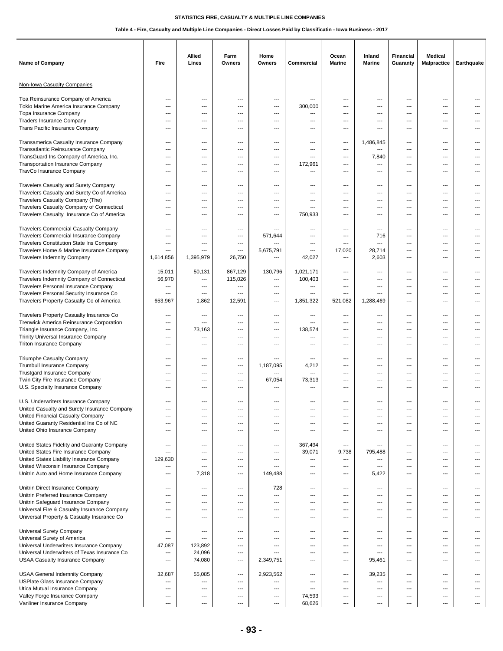| Name of Company                                                               | Fire                            | Allied<br>Lines                 | Farm<br><b>Owners</b> | Home<br>Owners           | Commercial               | Ocean<br><b>Marine</b>   | Inland<br><b>Marine</b>  | Financial<br>Guaranty    | Medical<br><b>Malpractice</b>    | Earthquake     |
|-------------------------------------------------------------------------------|---------------------------------|---------------------------------|-----------------------|--------------------------|--------------------------|--------------------------|--------------------------|--------------------------|----------------------------------|----------------|
| Non-Iowa Casualty Companies                                                   |                                 |                                 |                       |                          |                          |                          |                          |                          |                                  |                |
| Toa Reinsurance Company of America                                            | $\overline{\phantom{a}}$        | $---$                           | $\overline{a}$        | ---                      | ---                      | ---                      | $---$                    | ---                      | ---                              |                |
| Tokio Marine America Insurance Company                                        | ---                             | ---                             | ---                   | ---                      | 300,000                  | ---                      | ---                      | ---                      | ---                              |                |
| Topa Insurance Company                                                        | $\overline{\phantom{a}}$        | $\overline{a}$                  | ---                   | ---                      | ---                      | ---                      | ---                      | ---                      | ---                              |                |
| <b>Traders Insurance Company</b>                                              | ---                             | ---                             | ---                   | ---                      | ---                      | ---                      | ---                      | ---                      | ---                              | ---            |
| Trans Pacific Insurance Company                                               | $\sim$                          | $\sim$                          | $---$                 | ---                      | $---$                    | $---$                    | $---$                    | $---$                    | $---$                            | $---$          |
| Transamerica Casualty Insurance Company                                       | $---$                           | ---                             | ---                   | ---                      | $\overline{a}$           | ---                      | 1,486,845                | ---                      | $---$                            | ---            |
| Transatlantic Reinsurance Company                                             | $\overline{\phantom{a}}$        | ---                             | ---                   | ---                      | ---                      | ---                      | ---                      | ---                      | ---                              |                |
| TransGuard Ins Company of America, Inc.                                       | $\overline{\phantom{a}}$        | ---                             | ---                   | ---                      | ---                      | ---                      | 7,840                    | ---                      | ---                              | ---            |
| <b>Transportation Insurance Company</b>                                       | $\qquad \qquad \cdots$          | ---                             | ---                   | ---                      | 172,961                  | ---                      | ---                      | ---                      | $\overline{a}$                   |                |
| TravCo Insurance Company                                                      | $\sim$                          | $---$                           | ---                   | ---                      | ---                      | ---                      | $\overline{\phantom{a}}$ | $---$                    | $---$                            | ---            |
| Travelers Casualty and Surety Company                                         | $\overline{\phantom{a}}$        | ---                             | $---$                 | ---                      | ---                      | ---                      | ---                      | ---                      | ---                              | ---            |
| Travelers Casualty and Surety Co of America                                   | ---                             | ---                             | ---                   | ---                      | ---                      | ---                      | ---                      | ---                      | ---                              |                |
| Travelers Casualty Company (The)                                              | $\overline{\phantom{a}}$        | ---                             | ---                   | ---                      | ---                      | ---                      | ---                      | ---                      | ---                              | ---            |
| Travelers Casualty Company of Connecticut                                     | $\qquad \qquad \cdots$          | ---                             | ---                   | ---                      | ---                      | ---                      | ---                      | ---                      | ---                              |                |
| Travelers Casualty Insurance Co of America                                    | $---$                           | $---$                           | ---                   | $\overline{a}$           | 750,933                  | ---                      | $---$                    | $---$                    | $---$                            | ---            |
| <b>Travelers Commercial Casualty Company</b>                                  | $\overline{\phantom{a}}$        | $\overline{\phantom{a}}$        | $---$                 | ---                      | ---                      | $---$                    | $\overline{\phantom{a}}$ | $\overline{\phantom{a}}$ | $---$                            | ---            |
| Travelers Commercial Insurance Company                                        | $---$                           | $\overline{\phantom{a}}$        | ---                   | 571,644                  | ---                      | $---$                    | 716                      | $\overline{\phantom{a}}$ | $---$                            | ---            |
| Travelers Constitution State Ins Company                                      | ---                             | ---                             | ---                   |                          | ---                      | ---                      | ---                      | ---                      | ---                              | ---            |
| Travelers Home & Marine Insurance Company                                     | ---                             | ---                             | ---                   | 5,675,791                | ---                      | 17,020                   | 28,714                   | ---                      | ---                              | ---            |
| <b>Travelers Indemnity Company</b>                                            | 1,614,856                       | 1,395,979                       | 26,750                | ---                      | 42,027                   | ---                      | 2,603                    | ---                      | ---                              |                |
| Travelers Indemnity Company of America                                        | 15,011                          | 50,131                          | 867,129               | 130,796                  | 1,021,171                | ---                      | $---$                    | $\overline{\phantom{a}}$ | $---$                            | $---$          |
| Travelers Indemnity Company of Connecticut                                    | 56,970                          | ---                             | 115,026               | $\overline{\phantom{a}}$ | 100,403                  | ---                      | $\overline{\phantom{a}}$ | ---                      | $---$                            | ---            |
| Travelers Personal Insurance Company                                          | ---                             | ---                             | ---                   | ---                      | ---                      | ---                      | ---                      | ---                      | ---                              |                |
| Travelers Personal Security Insurance Co                                      | $\qquad \qquad \cdots$          | ---                             | ---                   | ---                      | ---                      | ---                      | ---                      |                          | ---                              |                |
| Travelers Property Casualty Co of America                                     | 653,967                         | 1,862                           | 12,591                | ---                      | 1,851,322                | 521,082                  | 1,288,469                | ---                      | ---                              |                |
| Travelers Property Casualty Insurance Co                                      | $\sim$                          | $---$                           | $---$                 | $---$                    | ---                      | $---$                    | $---$                    | $---$                    | $---$                            | $---$          |
| Trenwick America Reinsurance Corporation                                      | $\overline{\phantom{a}}$        | ---                             | ---                   | ---                      | ---                      | ---                      | ---                      | $\overline{\phantom{a}}$ | $---$                            | ---            |
| Triangle Insurance Company, Inc.                                              | $\overline{\phantom{a}}$        | 73,163                          | ---                   | ---                      | 138,574                  | ---                      | ---                      | ---                      | $\overline{a}$                   | ---            |
| Trinity Universal Insurance Company                                           | $\overline{\phantom{a}}$        | ---                             | ---                   | ---                      | ---                      | ---                      | ---                      | ---                      | ---                              |                |
| Triton Insurance Company                                                      | ---                             | ---                             | ---                   | ---                      | ---                      | ---                      | ---                      | ---                      | ---                              |                |
| Triumphe Casualty Company                                                     | $\sim$                          | $---$                           | $---$                 | ---                      | ---                      | $---$                    | $---$                    | $---$                    | $---$                            | $---$          |
| <b>Trumbull Insurance Company</b>                                             | $- - -$                         | $---$                           | ---                   | 1,187,095                | 4,212                    | ---                      | $---$                    | $\sim$                   | $---$                            |                |
| <b>Trustgard Insurance Company</b>                                            | ---                             | ---                             | ---                   | ---                      | ---                      | ---                      | ---                      | ---                      | ---                              | ---            |
| Twin City Fire Insurance Company                                              | $\overline{a}$                  | ---                             | ---                   | 67,054                   | 73,313                   | ---                      | ---                      | ---                      | ---                              |                |
| U.S. Specialty Insurance Company                                              | ---                             | $---$                           | ---                   |                          | ---                      | ---                      | ---                      | ---                      | ---                              |                |
| U.S. Underwriters Insurance Company                                           | $---$                           | $---$                           | $---$                 | $-$                      | $---$                    | ---                      | $---$                    | ---                      | $---$                            |                |
| United Casualty and Surety Insurance Company                                  | ---                             | $---$                           | ---                   | ---                      | ---                      | ---                      | $---$                    | ---                      | ---                              |                |
| United Financial Casualty Company                                             | ---                             | ---                             | ---                   | ---                      | ---                      | ---                      | ---                      | ---                      | ---                              |                |
| United Guaranty Residential Ins Co of NC<br>United Ohio Insurance Company     | $\overline{\phantom{a}}$<br>--- | ---<br>---                      | ---<br>---            | ---<br>---               | ---<br>---               | ---<br>---               | ---<br>---               | ---<br>---               | $\overline{a}$<br>$\overline{a}$ | ---<br>---     |
|                                                                               |                                 |                                 |                       |                          |                          |                          |                          |                          |                                  |                |
| United States Fidelity and Guaranty Company                                   | $---$                           | $---$                           | $---$                 | $---$                    | 367,494                  | ---                      | $---$                    | $---$                    | $---$                            | $---$          |
| United States Fire Insurance Company                                          | $---$                           | $---$                           | ---                   | ---                      | 39,071                   | 9,738                    | 795,488                  | ---                      | ---                              | $\overline{a}$ |
| United States Liability Insurance Company                                     | 129,630                         | ---                             | ---                   | ---                      | ---                      | ---                      | ---                      | ---                      | $\cdots$                         | ---            |
| United Wisconsin Insurance Company<br>Unitrin Auto and Home Insurance Company | ---<br>$\overline{\phantom{a}}$ | ---<br>7,318                    | ---<br>---            | ---<br>149,488           | ---<br>---               | ---<br>---               | ---<br>5,422             | ---<br>---               | ---<br>$\overline{a}$            | ---<br>---     |
|                                                                               |                                 |                                 |                       |                          |                          |                          |                          |                          | $---$                            | $---$          |
| Unitrin Direct Insurance Company<br>Unitrin Preferred Insurance Company       | $---$<br>$---$                  | $\overline{\phantom{a}}$<br>--- | ---<br>---            | 728<br>---               | ---<br>---               | ---<br>---               | $---$<br>---             | $---$<br>$---$           | $\cdots$                         | $---$          |
| Unitrin Safeguard Insurance Company                                           | $---$                           | $---$                           | ---                   | ---                      | ---                      | ---                      | ---                      | $---$                    | $---$                            | ---            |
| Universal Fire & Casualty Insurance Company                                   | $\qquad \qquad \cdots$          | ---                             | ---                   | ---                      | ---                      | ---                      | ---                      | ---                      | ---                              | ---            |
| Universal Property & Casualty Insurance Co                                    | $\qquad \qquad \cdots$          | ---                             | ---                   | ---                      | ---                      | ---                      | ---                      | ---                      | ---                              | ---            |
| Universal Surety Company                                                      | $\overline{\phantom{a}}$        | ---                             | ---                   | ---                      | ---                      | ---                      | $---$                    | ---                      | $\cdots$                         | $---$          |
| Universal Surety of America                                                   | $\overline{\phantom{a}}$        | $\overline{a}$                  | ---                   | $\sim$                   | ---                      | $---$                    | $---$                    | $---$                    | $---$                            | ---            |
| Universal Underwriters Insurance Company                                      | 47,087                          | 123,892                         | $---$                 | $\overline{\phantom{a}}$ | ---                      | $---$                    | ---                      | $\overline{\phantom{a}}$ | $---$                            | ---            |
| Universal Underwriters of Texas Insurance Co                                  | $\qquad \qquad \cdots$          | 24,096                          | ---                   | ---                      | ---                      | ---                      | ---                      | ---                      | ---                              | ---            |
| <b>USAA Casualty Insurance Company</b>                                        | $\overline{\phantom{a}}$        | 74,080                          | ---                   | 2,349,751                | ---                      | ---                      | 95,461                   | ---                      | ---                              | ---            |
| <b>USAA General Indemnity Company</b>                                         | 32,687                          | 55,085                          | ---                   | 2,923,562                | ---                      | ---                      | 39,235                   | ---                      | $\cdots$                         | $\cdots$       |
| <b>USPlate Glass Insurance Company</b>                                        | $\hspace{0.05cm} \ldots$        | ---                             | ---                   | ---                      | ---                      | ---                      | $\qquad \qquad \cdots$   | ---                      | $\cdots$                         | ---            |
| Utica Mutual Insurance Company                                                | $---$                           | ---                             | $---$                 | ---                      | $\overline{\phantom{a}}$ | $---$                    | ---                      | $\overline{\phantom{a}}$ | $---$                            | ---            |
| Valley Forge Insurance Company                                                | $---$                           | ---                             | ---                   | $---$                    | 74,593                   | $---$                    | $---$                    | $---$                    | $---$                            | ---            |
| Vanliner Insurance Company                                                    | $\qquad \qquad \cdots$          | ---                             | ---                   | $\hspace{0.05cm} \ldots$ | 68,626                   | $\overline{\phantom{a}}$ | $\qquad \qquad \cdots$   | $\hspace{0.05cm} \ldots$ | $\cdots$                         | ---            |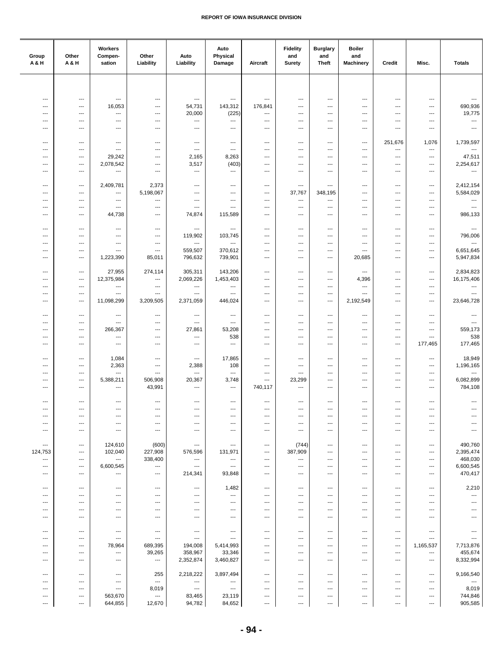| ---<br>$\cdots$<br>$\hspace{0.05cm} \ldots$<br>---<br>---<br>---<br>---<br>---<br>---<br>---<br>$\overline{\phantom{a}}$<br>$\qquad \qquad \cdots$<br>---<br>690,936<br>16,053<br>54,731<br>143,312<br>176,841<br>$\overline{a}$<br>$---$<br>---<br>---<br>---<br>---<br>$---$<br>---<br>19,775<br>20,000<br>(225)<br>$\qquad \qquad \cdots$<br>$\qquad \qquad \cdots$<br>---<br>---<br>---<br>---<br>---<br>$\overline{\phantom{a}}$<br>$\overline{\phantom{a}}$<br>$---$<br>$\hspace{0.05cm} \ldots$<br>---<br>$\overline{\phantom{a}}$<br>---<br>$\overline{\phantom{a}}$<br>---<br>---<br>---<br>---<br>---<br>---<br>---<br>$\overline{\phantom{a}}$<br>$\hspace{0.05cm} \ldots$<br>---<br>---<br>$\hspace{0.05cm} \ldots$<br>$\qquad \qquad \cdots$<br>$\qquad \qquad \cdots$<br>$\overline{\phantom{a}}$<br>---<br>---<br>---<br>---<br>---<br>---<br>251,676<br>1,076<br>1,739,597<br>---<br>$\scriptstyle\cdots$<br>---<br>---<br>$\qquad \qquad \cdots$<br>$\overline{\phantom{a}}$<br>---<br>---<br>---<br>---<br>---<br>$\cdots$<br>$\overline{\phantom{a}}$<br>$---$<br>$\hspace{0.05cm} \ldots$<br>$---$<br>$\overline{\phantom{a}}$<br>---<br>$\overline{\phantom{a}}$<br>$\overline{\phantom{a}}$<br>---<br>$\cdots$<br>$\cdots$<br>47,511<br>29,242<br>2,165<br>8,263<br>$\overline{\phantom{a}}$<br>$\cdots$<br>---<br>$---$<br>$\cdots$<br>$\cdots$<br>---<br>$\cdots$<br>$---$<br>2,254,617<br>(403)<br>2,078,542<br>3,517<br>$\overline{\phantom{a}}$<br>---<br>$\overline{\phantom{a}}$<br>---<br>$\overline{\phantom{a}}$<br>$\overline{\phantom{a}}$<br>$\overline{\phantom{a}}$<br>$\overline{\phantom{a}}$<br>---<br>---<br>$\cdots$<br>$\ldots$<br>---<br>---<br>$\qquad \qquad \cdots$<br>$\qquad \qquad \cdots$<br>---<br>$\qquad \qquad \cdots$<br>---<br>$\qquad \qquad \cdots$<br>---<br>---<br>2,412,154<br>2,409,781<br>2,373<br>---<br>---<br>$\scriptstyle\cdots$<br>---<br>$\overline{\phantom{a}}$<br>---<br>$\qquad \qquad \cdots$<br>---<br>---<br>---<br>5,584,029<br>5,198,067<br>37,767<br>348,195<br>---<br>---<br>---<br>$\hspace{0.05cm} \cdots$<br>$\qquad \qquad \cdots$<br>$\hspace{0.05cm} \ldots$<br>---<br>$---$<br>---<br>$\cdots$<br>---<br>---<br>---<br>$\overline{\phantom{a}}$<br>---<br>$---$<br>$\hspace{0.05cm} \ldots$<br>$\hspace{0.05cm} \cdots$<br>$\overline{\phantom{a}}$<br>$\cdots$<br>---<br>---<br>$\sim$<br>$---$<br>$---$<br>$\overline{\phantom{a}}$<br>---<br>---<br>$---$<br>$\cdots$<br>$\cdots$<br>---<br>---<br>---<br>$\overline{\phantom{a}}$<br>986,133<br>44,738<br>74,874<br>115,589<br>---<br>---<br>---<br>---<br>$\qquad \qquad \cdots$<br>---<br>---<br>---<br>$\overline{\phantom{a}}$<br>$\hspace{0.05cm} \ldots$<br>---<br>$\qquad \qquad \cdots$<br>---<br>$\qquad \qquad \cdots$<br>$\hspace{0.05cm} \ldots$<br>$\hspace{0.05cm} \ldots$<br>$\qquad \qquad \cdots$<br>---<br>$\qquad \qquad \cdots$<br>$\hspace{0.05cm} \ldots$<br>$\overline{\phantom{a}}$<br>---<br>796,006<br>119,902<br>103,745<br>---<br>---<br>---<br>$\overline{\phantom{a}}$<br>---<br>---<br>---<br>$\overline{\phantom{a}}$<br>$\overline{\phantom{a}}$<br>---<br>$\ldots$<br>---<br>$\overline{\phantom{a}}$<br>---<br>$\overline{\phantom{a}}$<br>$\overline{\phantom{a}}$<br>$\hspace{0.05cm} \ldots$<br>$\cdots$<br>---<br>$\overline{\phantom{a}}$<br>$---$<br>---<br>---<br>6,651,645<br>559,507<br>370,612<br>$\cdots$<br>$---$<br>$\qquad \qquad -$<br>$\cdots$<br>---<br>$---$<br>---<br>$\overline{\phantom{a}}$<br>$\overline{\phantom{a}}$<br>$---$<br>5,947,834<br>796,632<br>739,901<br>1,223,390<br>85,011<br>20,685<br>$\overline{\phantom{a}}$<br>$---$<br>$\hspace{0.05cm} \ldots$<br>---<br>$---$<br>$\overline{\phantom{a}}$<br>$\hspace{0.05cm} \ldots$<br>27,955<br>2,834,823<br>274,114<br>305,311<br>143,206<br>$\scriptstyle\cdots$<br>$\qquad \qquad \cdots$<br>---<br>---<br>$\hspace{0.05cm} \ldots$<br>$\qquad \qquad \cdots$<br>---<br>---<br>12,375,984<br>2,069,226<br>1,453,403<br>16,175,406<br>4,396<br>---<br>$\hspace{0.05cm} \ldots$<br>$\qquad \qquad \cdots$<br>$\overline{\phantom{a}}$<br>---<br>$\qquad \qquad \cdots$<br>$\qquad \qquad \cdots$<br>---<br>---<br>$\cdots$<br>$\cdots$<br>$\hspace{0.05cm} \ldots$<br>---<br>$---$<br>---<br>$---$<br>$---$<br>$\cdots$<br>$\cdots$<br>$---$<br>$\cdots$<br>---<br>$\overline{\phantom{a}}$<br>---<br>$---$<br>---<br>---<br>---<br>$\overline{\phantom{a}}$<br>$\overline{\phantom{a}}$<br>---<br>---<br>---<br>$\overline{\phantom{a}}$<br>11,098,299<br>23,646,728<br>3,209,505<br>2,371,059<br>446,024<br>2,192,549<br>$\overline{\phantom{a}}$<br>$\overline{\phantom{a}}$<br>$\cdots$<br>---<br>---<br>$---$<br>$\overline{\phantom{a}}$<br>---<br>---<br>$\scriptstyle\cdots$<br>---<br>---<br>---<br>---<br>$\qquad \qquad \cdots$<br>---<br>---<br>---<br>---<br>---<br>---<br>---<br>---<br>$\hspace{0.05cm} \ldots$<br>$\qquad \qquad \cdots$<br>$\qquad \qquad \cdots$<br>$\overline{\phantom{a}}$<br>---<br>---<br>$\overline{\phantom{a}}$<br>$\overline{\phantom{a}}$<br>---<br>---<br>559,173<br>266,367<br>27,861<br>53,208<br>---<br>$---$<br>---<br>$\cdots$<br>---<br>---<br>---<br>$---$<br>---<br>538<br>538<br>$\sim$ $\sim$<br>---<br>$\qquad \qquad \cdots$<br>$\overline{\phantom{a}}$<br>$\overline{\phantom{a}}$<br>$\qquad \qquad \cdots$<br>---<br>$---$<br>$\hspace{0.05cm} \ldots$<br>---<br>$\overline{\phantom{a}}$<br>177,465<br>$\overline{\phantom{a}}$<br>177,465<br>$\overline{\phantom{a}}$<br>$\overline{\phantom{a}}$<br>$\overline{\phantom{a}}$<br>$\overline{\phantom{a}}$<br>---<br>---<br>---<br>$\overline{\phantom{a}}$<br>---<br>$\cdots$<br>18,949<br>1,084<br>17,865<br>$\cdots$<br>$\hspace{0.05cm} \ldots$<br>---<br>$\qquad \qquad \cdots$<br>---<br>$\qquad \qquad \cdots$<br>---<br>$\qquad \qquad \cdots$<br>$\qquad \qquad \cdots$<br>---<br>1,196,165<br>2,363<br>2,388<br>108<br>---<br>---<br>$\qquad \qquad \cdots$<br>$\overline{\phantom{a}}$<br>---<br>---<br>$\qquad \qquad \cdots$<br>---<br>---<br>---<br>---<br>$\hspace{0.05cm} \ldots$<br>---<br>$\qquad \qquad \cdots$<br>$\qquad \qquad \cdots$<br>---<br>$\overline{\phantom{a}}$<br>---<br>---<br>---<br>---<br>---<br>6,082,899<br>5,388,211<br>506,908<br>20,367<br>3,748<br>23,299<br>$\qquad \qquad \cdots$<br>---<br>---<br>---<br>---<br>$---$<br>---<br>784,108<br>43,991<br>740,117<br>$\overline{\phantom{a}}$<br>$\hspace{0.05cm} \ldots$<br>$\hspace{0.05cm} \ldots$<br>$\hspace{0.05cm} \ldots$<br>$---$<br>---<br>$\overline{\phantom{a}}$<br>$\overline{\phantom{a}}$<br>---<br>$---$<br>$\overline{\phantom{a}}$<br>---<br>---<br>$\qquad \qquad \cdots$<br>$\hspace{0.05cm} \ldots$<br>$\qquad \qquad \cdots$<br>$\qquad \qquad \cdots$<br>$\qquad \qquad \cdots$<br>---<br>---<br>$\qquad \qquad \cdots$<br>$\overline{\phantom{a}}$<br>$\qquad \qquad \cdots$<br>---<br>---<br>---<br>---<br>---<br>---<br>---<br>---<br>---<br>---<br>---<br>---<br>---<br>---<br>---<br>---<br>$\hspace{0.05cm} \ldots$<br>$\qquad \qquad \cdots$<br>$\overline{\phantom{a}}$<br>---<br>---<br>---<br>$\qquad \qquad \cdots$<br>---<br>---<br>---<br>$---$<br>$---$<br>$\cdots$<br>$---$<br>$\cdots$<br>$\cdots$<br>$\cdots$<br>$\cdots$<br>$---$<br>$---$<br>---<br>$---$<br>$\overline{a}$<br>$---$<br>---<br>$\cdots$<br>$---$<br>---<br>$\cdots$<br>$\cdots$<br>$\overline{\phantom{a}}$<br>$---$<br>$---$<br>---<br>$\overline{\phantom{a}}$<br>490,760<br>124,610<br>(600)<br>(744)<br>$\hspace{0.05cm} \ldots$<br>$\hspace{0.05cm} \ldots$<br>$\hspace{0.05cm} \ldots$<br>$\hspace{0.05cm} \ldots$<br>$\qquad \qquad \cdots$<br>$\cdots$<br>$\qquad \qquad \cdots$<br>$\qquad \qquad \cdots$<br>$\qquad \qquad \cdots$<br>2,395,474<br>124,753<br>102,040<br>227,908<br>576,596<br>131,971<br>387,909<br>---<br>$\qquad \qquad \cdots$<br>---<br>---<br>---<br>$\qquad \qquad \cdots$<br>468,030<br>338,400<br>---<br>---<br>---<br>---<br>---<br>$\qquad \qquad \cdots$<br>---<br>---<br>---<br>---<br>---<br>6,600,545<br>6,600,545<br>$\hspace{0.05cm} \ldots$<br>---<br>$\hspace{0.05cm} \ldots$<br>$\overline{a}$<br>---<br>$---$<br>$\cdots$<br>$\cdots$<br>---<br>$---$<br>---<br>214,341<br>470,417<br>93,848<br>---<br>---<br>$\cdots$<br>---<br>$\cdots$<br>---<br>---<br>---<br>---<br>---<br>1,482<br>2,210<br>---<br>---<br>$\hspace{0.05cm} \ldots$<br>$\qquad \qquad \cdots$<br>$\overline{\phantom{a}}$<br>---<br>$\overline{a}$<br>$\overline{\phantom{a}}$<br>---<br>$\overline{\phantom{a}}$<br>---<br>---<br>---<br>---<br>---<br>$\hspace{0.05cm} \ldots$<br>$\qquad \qquad \cdots$<br>$\overline{\phantom{a}}$<br>---<br>$\qquad \qquad \cdots$<br>---<br>---<br>---<br>---<br>---<br>---<br>---<br>---<br>---<br>---<br>$\overline{\phantom{a}}$<br>---<br>---<br>---<br>---<br>---<br>---<br>---<br>$---$<br>---<br>$\hspace{0.05cm} \ldots$<br>$\overline{\phantom{a}}$<br>$\qquad \qquad \cdots$<br>$\cdots$<br>---<br>$\cdots$<br>---<br>$---$<br>---<br>$---$<br>---<br>$---$<br>$---$<br>---<br>$\hspace{0.05cm} \cdots$<br>$\hspace{0.05cm} \ldots$<br>$\cdots$<br>---<br>$\cdots$<br>---<br>$---$<br>---<br>$---$<br>---<br>---<br>---<br>---<br>$\qquad \qquad \cdots$<br>$\hspace{0.05cm} \ldots$<br>$\hspace{0.05cm} \ldots$<br>$\qquad \qquad \cdots$<br>---<br>$\qquad \qquad \cdots$<br>---<br>$\qquad \qquad \cdots$<br>$\qquad \qquad \cdots$<br>$\hspace{0.05cm} \ldots$<br>$\hspace{0.05cm} \ldots$<br>$\cdots$<br>$\hspace{0.05cm} \ldots$<br>---<br>---<br>---<br>---<br>$\qquad \qquad \cdots$<br>---<br>$\qquad \qquad \cdots$<br>---<br>$\qquad \qquad \cdots$<br>78,964<br>689,395<br>194,008<br>5,414,993<br>1,165,537<br>7,713,876<br>---<br>---<br>---<br>---<br>---<br>$\qquad \qquad \cdots$<br>---<br>39,265<br>358,967<br>455,674<br>33,346<br>$\scriptstyle\cdots$<br>$\qquad \qquad \cdots$<br>---<br>$---$<br>$\cdots$<br>---<br>$\cdots$<br>---<br>$---$<br>2,352,874<br>3,460,827<br>8,332,994<br>$\cdots$<br>---<br>$---$<br>$---$<br>$\cdots$<br>$---$<br>$\cdots$<br>$---$<br>$---$<br>$---$<br>255<br>2,218,222<br>3,897,494<br>9,166,540<br>---<br>$\qquad \qquad \cdots$<br>$\qquad \qquad \cdots$<br>---<br>---<br>$\overline{\phantom{a}}$<br>$\overline{\phantom{a}}$<br>---<br>---<br>$\ldots$<br>---<br>---<br>$\qquad \qquad \cdots$<br>---<br>---<br>$\hspace{0.05cm} \ldots$<br>---<br>---<br>$\overline{\phantom{a}}$<br>---<br>---<br>---<br>8,019<br>8,019<br>$\cdots$<br>$\cdots$<br>---<br>$\hspace{0.05cm} \ldots$<br>$\qquad \qquad \cdots$<br>---<br>---<br>---<br>$\overline{\phantom{a}}$<br>---<br>---<br>744,846<br>563,670<br>83,465<br>23,119<br>---<br>---<br>---<br>---<br>---<br>---<br>---<br>---<br>---<br>905,585<br>644,855<br>12,670<br>94,782<br>84,652<br>$\overline{\phantom{a}}$<br>---<br>---<br>$\hspace{0.05cm} \ldots$<br>$\hspace{0.05cm} \ldots$<br>$\cdots$<br>$\cdots$<br>$\scriptstyle\cdots$ | Group<br><b>A&amp;H</b> | Other<br>A & H | Workers<br>Compen-<br>sation | Other<br>Liability | Auto<br>Liability | Auto<br>Physical<br>Damage | Aircraft | <b>Fidelity</b><br>and<br><b>Surety</b> | <b>Burglary</b><br>and<br><b>Theft</b> | <b>Boiler</b><br>and<br><b>Machinery</b> | Credit | Misc. | <b>Totals</b> |
|--------------------------------------------------------------------------------------------------------------------------------------------------------------------------------------------------------------------------------------------------------------------------------------------------------------------------------------------------------------------------------------------------------------------------------------------------------------------------------------------------------------------------------------------------------------------------------------------------------------------------------------------------------------------------------------------------------------------------------------------------------------------------------------------------------------------------------------------------------------------------------------------------------------------------------------------------------------------------------------------------------------------------------------------------------------------------------------------------------------------------------------------------------------------------------------------------------------------------------------------------------------------------------------------------------------------------------------------------------------------------------------------------------------------------------------------------------------------------------------------------------------------------------------------------------------------------------------------------------------------------------------------------------------------------------------------------------------------------------------------------------------------------------------------------------------------------------------------------------------------------------------------------------------------------------------------------------------------------------------------------------------------------------------------------------------------------------------------------------------------------------------------------------------------------------------------------------------------------------------------------------------------------------------------------------------------------------------------------------------------------------------------------------------------------------------------------------------------------------------------------------------------------------------------------------------------------------------------------------------------------------------------------------------------------------------------------------------------------------------------------------------------------------------------------------------------------------------------------------------------------------------------------------------------------------------------------------------------------------------------------------------------------------------------------------------------------------------------------------------------------------------------------------------------------------------------------------------------------------------------------------------------------------------------------------------------------------------------------------------------------------------------------------------------------------------------------------------------------------------------------------------------------------------------------------------------------------------------------------------------------------------------------------------------------------------------------------------------------------------------------------------------------------------------------------------------------------------------------------------------------------------------------------------------------------------------------------------------------------------------------------------------------------------------------------------------------------------------------------------------------------------------------------------------------------------------------------------------------------------------------------------------------------------------------------------------------------------------------------------------------------------------------------------------------------------------------------------------------------------------------------------------------------------------------------------------------------------------------------------------------------------------------------------------------------------------------------------------------------------------------------------------------------------------------------------------------------------------------------------------------------------------------------------------------------------------------------------------------------------------------------------------------------------------------------------------------------------------------------------------------------------------------------------------------------------------------------------------------------------------------------------------------------------------------------------------------------------------------------------------------------------------------------------------------------------------------------------------------------------------------------------------------------------------------------------------------------------------------------------------------------------------------------------------------------------------------------------------------------------------------------------------------------------------------------------------------------------------------------------------------------------------------------------------------------------------------------------------------------------------------------------------------------------------------------------------------------------------------------------------------------------------------------------------------------------------------------------------------------------------------------------------------------------------------------------------------------------------------------------------------------------------------------------------------------------------------------------------------------------------------------------------------------------------------------------------------------------------------------------------------------------------------------------------------------------------------------------------------------------------------------------------------------------------------------------------------------------------------------------------------------------------------------------------------------------------------------------------------------------------------------------------------------------------------------------------------------------------------------------------------------------------------------------------------------------------------------------------------------------------------------------------------------------------------------------------------------------------------------------------------------------------------------------------------------------------------------------------------------------------------------------------------------------------------------------------------------------------------------------------------------------------------------------------------------------------------------------------------------------------------------------------------------------------------------------------------------------------------------------------------------------------------------------------------------------------------------------------------------------------------------------------------------------------------------------------------------------------------------------------------------------------------------------------------------------------------------------------------------------------------------------------------------------------------------------------------------------------------------------------------------------------------------------------------------------------------------------------------------------------------------------------------------------------------------------------------------------------------------------------------------------------------------------------------------------------------------------------------------------------------------------------------------------------------------------------------------------------------------------------------------------------------------------------------------------------------------------------------------------------------------------------------------------------------------------------------------------------------------------------------------------------------------------------------------------------------------------------------------------------------------------------------------------------------------------------------------------------------------------------------------------------------------------------------------------------------------------------------------------------------------------------------------------------------------------------------------------------------------------------------------------------------------------------------------------------------------------------------------------------------------------------------------------------------------------------------------------------------------------------------------------------------------------------------------------------------------------------------------------------------------------------------------------------------------------------------------------------------------------------------------------------------------------------------------------------------------------------------------------------------------------------------------------------------------------------------------------------------------------------------------------------------------------------------------------------------------------------------------------------------------------------------------------------------------------------------------------------------------------------------------------------------------------------------------------------------------------------------------------------------------------------------------------------------------------------------------------------------------------------------------------------------------------------|-------------------------|----------------|------------------------------|--------------------|-------------------|----------------------------|----------|-----------------------------------------|----------------------------------------|------------------------------------------|--------|-------|---------------|
|                                                                                                                                                                                                                                                                                                                                                                                                                                                                                                                                                                                                                                                                                                                                                                                                                                                                                                                                                                                                                                                                                                                                                                                                                                                                                                                                                                                                                                                                                                                                                                                                                                                                                                                                                                                                                                                                                                                                                                                                                                                                                                                                                                                                                                                                                                                                                                                                                                                                                                                                                                                                                                                                                                                                                                                                                                                                                                                                                                                                                                                                                                                                                                                                                                                                                                                                                                                                                                                                                                                                                                                                                                                                                                                                                                                                                                                                                                                                                                                                                                                                                                                                                                                                                                                                                                                                                                                                                                                                                                                                                                                                                                                                                                                                                                                                                                                                                                                                                                                                                                                                                                                                                                                                                                                                                                                                                                                                                                                                                                                                                                                                                                                                                                                                                                                                                                                                                                                                                                                                                                                                                                                                                                                                                                                                                                                                                                                                                                                                                                                                                                                                                                                                                                                                                                                                                                                                                                                                                                                                                                                                                                                                                                                                                                                                                                                                                                                                                                                                                                                                                                                                                                                                                                                                                                                                                                                                                                                                                                                                                                                                                                                                                                                                                                                                                                                                                                                                                                                                                                                                                                                                                                                                                                                                                                                                                                                                                                                                                                                                                                                                                                                                                                                                                                                                                                                                                                                                                                                                                                                                                                                                                                                                                                                                                                                                                                                                                                                                                                                                                                                                                                                                                                                                                                                                                                                                                                                                                                                                                                                                                                                                                                                                                                                                                                                                                                                                                                                    |                         |                |                              |                    |                   |                            |          |                                         |                                        |                                          |        |       |               |
|                                                                                                                                                                                                                                                                                                                                                                                                                                                                                                                                                                                                                                                                                                                                                                                                                                                                                                                                                                                                                                                                                                                                                                                                                                                                                                                                                                                                                                                                                                                                                                                                                                                                                                                                                                                                                                                                                                                                                                                                                                                                                                                                                                                                                                                                                                                                                                                                                                                                                                                                                                                                                                                                                                                                                                                                                                                                                                                                                                                                                                                                                                                                                                                                                                                                                                                                                                                                                                                                                                                                                                                                                                                                                                                                                                                                                                                                                                                                                                                                                                                                                                                                                                                                                                                                                                                                                                                                                                                                                                                                                                                                                                                                                                                                                                                                                                                                                                                                                                                                                                                                                                                                                                                                                                                                                                                                                                                                                                                                                                                                                                                                                                                                                                                                                                                                                                                                                                                                                                                                                                                                                                                                                                                                                                                                                                                                                                                                                                                                                                                                                                                                                                                                                                                                                                                                                                                                                                                                                                                                                                                                                                                                                                                                                                                                                                                                                                                                                                                                                                                                                                                                                                                                                                                                                                                                                                                                                                                                                                                                                                                                                                                                                                                                                                                                                                                                                                                                                                                                                                                                                                                                                                                                                                                                                                                                                                                                                                                                                                                                                                                                                                                                                                                                                                                                                                                                                                                                                                                                                                                                                                                                                                                                                                                                                                                                                                                                                                                                                                                                                                                                                                                                                                                                                                                                                                                                                                                                                                                                                                                                                                                                                                                                                                                                                                                                                                                                                                                    |                         |                |                              |                    |                   |                            |          |                                         |                                        |                                          |        |       |               |
|                                                                                                                                                                                                                                                                                                                                                                                                                                                                                                                                                                                                                                                                                                                                                                                                                                                                                                                                                                                                                                                                                                                                                                                                                                                                                                                                                                                                                                                                                                                                                                                                                                                                                                                                                                                                                                                                                                                                                                                                                                                                                                                                                                                                                                                                                                                                                                                                                                                                                                                                                                                                                                                                                                                                                                                                                                                                                                                                                                                                                                                                                                                                                                                                                                                                                                                                                                                                                                                                                                                                                                                                                                                                                                                                                                                                                                                                                                                                                                                                                                                                                                                                                                                                                                                                                                                                                                                                                                                                                                                                                                                                                                                                                                                                                                                                                                                                                                                                                                                                                                                                                                                                                                                                                                                                                                                                                                                                                                                                                                                                                                                                                                                                                                                                                                                                                                                                                                                                                                                                                                                                                                                                                                                                                                                                                                                                                                                                                                                                                                                                                                                                                                                                                                                                                                                                                                                                                                                                                                                                                                                                                                                                                                                                                                                                                                                                                                                                                                                                                                                                                                                                                                                                                                                                                                                                                                                                                                                                                                                                                                                                                                                                                                                                                                                                                                                                                                                                                                                                                                                                                                                                                                                                                                                                                                                                                                                                                                                                                                                                                                                                                                                                                                                                                                                                                                                                                                                                                                                                                                                                                                                                                                                                                                                                                                                                                                                                                                                                                                                                                                                                                                                                                                                                                                                                                                                                                                                                                                                                                                                                                                                                                                                                                                                                                                                                                                                                                                                    |                         |                |                              |                    |                   |                            |          |                                         |                                        |                                          |        |       |               |
|                                                                                                                                                                                                                                                                                                                                                                                                                                                                                                                                                                                                                                                                                                                                                                                                                                                                                                                                                                                                                                                                                                                                                                                                                                                                                                                                                                                                                                                                                                                                                                                                                                                                                                                                                                                                                                                                                                                                                                                                                                                                                                                                                                                                                                                                                                                                                                                                                                                                                                                                                                                                                                                                                                                                                                                                                                                                                                                                                                                                                                                                                                                                                                                                                                                                                                                                                                                                                                                                                                                                                                                                                                                                                                                                                                                                                                                                                                                                                                                                                                                                                                                                                                                                                                                                                                                                                                                                                                                                                                                                                                                                                                                                                                                                                                                                                                                                                                                                                                                                                                                                                                                                                                                                                                                                                                                                                                                                                                                                                                                                                                                                                                                                                                                                                                                                                                                                                                                                                                                                                                                                                                                                                                                                                                                                                                                                                                                                                                                                                                                                                                                                                                                                                                                                                                                                                                                                                                                                                                                                                                                                                                                                                                                                                                                                                                                                                                                                                                                                                                                                                                                                                                                                                                                                                                                                                                                                                                                                                                                                                                                                                                                                                                                                                                                                                                                                                                                                                                                                                                                                                                                                                                                                                                                                                                                                                                                                                                                                                                                                                                                                                                                                                                                                                                                                                                                                                                                                                                                                                                                                                                                                                                                                                                                                                                                                                                                                                                                                                                                                                                                                                                                                                                                                                                                                                                                                                                                                                                                                                                                                                                                                                                                                                                                                                                                                                                                                                                                    |                         |                |                              |                    |                   |                            |          |                                         |                                        |                                          |        |       |               |
|                                                                                                                                                                                                                                                                                                                                                                                                                                                                                                                                                                                                                                                                                                                                                                                                                                                                                                                                                                                                                                                                                                                                                                                                                                                                                                                                                                                                                                                                                                                                                                                                                                                                                                                                                                                                                                                                                                                                                                                                                                                                                                                                                                                                                                                                                                                                                                                                                                                                                                                                                                                                                                                                                                                                                                                                                                                                                                                                                                                                                                                                                                                                                                                                                                                                                                                                                                                                                                                                                                                                                                                                                                                                                                                                                                                                                                                                                                                                                                                                                                                                                                                                                                                                                                                                                                                                                                                                                                                                                                                                                                                                                                                                                                                                                                                                                                                                                                                                                                                                                                                                                                                                                                                                                                                                                                                                                                                                                                                                                                                                                                                                                                                                                                                                                                                                                                                                                                                                                                                                                                                                                                                                                                                                                                                                                                                                                                                                                                                                                                                                                                                                                                                                                                                                                                                                                                                                                                                                                                                                                                                                                                                                                                                                                                                                                                                                                                                                                                                                                                                                                                                                                                                                                                                                                                                                                                                                                                                                                                                                                                                                                                                                                                                                                                                                                                                                                                                                                                                                                                                                                                                                                                                                                                                                                                                                                                                                                                                                                                                                                                                                                                                                                                                                                                                                                                                                                                                                                                                                                                                                                                                                                                                                                                                                                                                                                                                                                                                                                                                                                                                                                                                                                                                                                                                                                                                                                                                                                                                                                                                                                                                                                                                                                                                                                                                                                                                                                                                    |                         |                |                              |                    |                   |                            |          |                                         |                                        |                                          |        |       |               |
|                                                                                                                                                                                                                                                                                                                                                                                                                                                                                                                                                                                                                                                                                                                                                                                                                                                                                                                                                                                                                                                                                                                                                                                                                                                                                                                                                                                                                                                                                                                                                                                                                                                                                                                                                                                                                                                                                                                                                                                                                                                                                                                                                                                                                                                                                                                                                                                                                                                                                                                                                                                                                                                                                                                                                                                                                                                                                                                                                                                                                                                                                                                                                                                                                                                                                                                                                                                                                                                                                                                                                                                                                                                                                                                                                                                                                                                                                                                                                                                                                                                                                                                                                                                                                                                                                                                                                                                                                                                                                                                                                                                                                                                                                                                                                                                                                                                                                                                                                                                                                                                                                                                                                                                                                                                                                                                                                                                                                                                                                                                                                                                                                                                                                                                                                                                                                                                                                                                                                                                                                                                                                                                                                                                                                                                                                                                                                                                                                                                                                                                                                                                                                                                                                                                                                                                                                                                                                                                                                                                                                                                                                                                                                                                                                                                                                                                                                                                                                                                                                                                                                                                                                                                                                                                                                                                                                                                                                                                                                                                                                                                                                                                                                                                                                                                                                                                                                                                                                                                                                                                                                                                                                                                                                                                                                                                                                                                                                                                                                                                                                                                                                                                                                                                                                                                                                                                                                                                                                                                                                                                                                                                                                                                                                                                                                                                                                                                                                                                                                                                                                                                                                                                                                                                                                                                                                                                                                                                                                                                                                                                                                                                                                                                                                                                                                                                                                                                                                                                    |                         |                |                              |                    |                   |                            |          |                                         |                                        |                                          |        |       |               |
|                                                                                                                                                                                                                                                                                                                                                                                                                                                                                                                                                                                                                                                                                                                                                                                                                                                                                                                                                                                                                                                                                                                                                                                                                                                                                                                                                                                                                                                                                                                                                                                                                                                                                                                                                                                                                                                                                                                                                                                                                                                                                                                                                                                                                                                                                                                                                                                                                                                                                                                                                                                                                                                                                                                                                                                                                                                                                                                                                                                                                                                                                                                                                                                                                                                                                                                                                                                                                                                                                                                                                                                                                                                                                                                                                                                                                                                                                                                                                                                                                                                                                                                                                                                                                                                                                                                                                                                                                                                                                                                                                                                                                                                                                                                                                                                                                                                                                                                                                                                                                                                                                                                                                                                                                                                                                                                                                                                                                                                                                                                                                                                                                                                                                                                                                                                                                                                                                                                                                                                                                                                                                                                                                                                                                                                                                                                                                                                                                                                                                                                                                                                                                                                                                                                                                                                                                                                                                                                                                                                                                                                                                                                                                                                                                                                                                                                                                                                                                                                                                                                                                                                                                                                                                                                                                                                                                                                                                                                                                                                                                                                                                                                                                                                                                                                                                                                                                                                                                                                                                                                                                                                                                                                                                                                                                                                                                                                                                                                                                                                                                                                                                                                                                                                                                                                                                                                                                                                                                                                                                                                                                                                                                                                                                                                                                                                                                                                                                                                                                                                                                                                                                                                                                                                                                                                                                                                                                                                                                                                                                                                                                                                                                                                                                                                                                                                                                                                                                                                    |                         |                |                              |                    |                   |                            |          |                                         |                                        |                                          |        |       |               |
|                                                                                                                                                                                                                                                                                                                                                                                                                                                                                                                                                                                                                                                                                                                                                                                                                                                                                                                                                                                                                                                                                                                                                                                                                                                                                                                                                                                                                                                                                                                                                                                                                                                                                                                                                                                                                                                                                                                                                                                                                                                                                                                                                                                                                                                                                                                                                                                                                                                                                                                                                                                                                                                                                                                                                                                                                                                                                                                                                                                                                                                                                                                                                                                                                                                                                                                                                                                                                                                                                                                                                                                                                                                                                                                                                                                                                                                                                                                                                                                                                                                                                                                                                                                                                                                                                                                                                                                                                                                                                                                                                                                                                                                                                                                                                                                                                                                                                                                                                                                                                                                                                                                                                                                                                                                                                                                                                                                                                                                                                                                                                                                                                                                                                                                                                                                                                                                                                                                                                                                                                                                                                                                                                                                                                                                                                                                                                                                                                                                                                                                                                                                                                                                                                                                                                                                                                                                                                                                                                                                                                                                                                                                                                                                                                                                                                                                                                                                                                                                                                                                                                                                                                                                                                                                                                                                                                                                                                                                                                                                                                                                                                                                                                                                                                                                                                                                                                                                                                                                                                                                                                                                                                                                                                                                                                                                                                                                                                                                                                                                                                                                                                                                                                                                                                                                                                                                                                                                                                                                                                                                                                                                                                                                                                                                                                                                                                                                                                                                                                                                                                                                                                                                                                                                                                                                                                                                                                                                                                                                                                                                                                                                                                                                                                                                                                                                                                                                                                                                    |                         |                |                              |                    |                   |                            |          |                                         |                                        |                                          |        |       |               |
|                                                                                                                                                                                                                                                                                                                                                                                                                                                                                                                                                                                                                                                                                                                                                                                                                                                                                                                                                                                                                                                                                                                                                                                                                                                                                                                                                                                                                                                                                                                                                                                                                                                                                                                                                                                                                                                                                                                                                                                                                                                                                                                                                                                                                                                                                                                                                                                                                                                                                                                                                                                                                                                                                                                                                                                                                                                                                                                                                                                                                                                                                                                                                                                                                                                                                                                                                                                                                                                                                                                                                                                                                                                                                                                                                                                                                                                                                                                                                                                                                                                                                                                                                                                                                                                                                                                                                                                                                                                                                                                                                                                                                                                                                                                                                                                                                                                                                                                                                                                                                                                                                                                                                                                                                                                                                                                                                                                                                                                                                                                                                                                                                                                                                                                                                                                                                                                                                                                                                                                                                                                                                                                                                                                                                                                                                                                                                                                                                                                                                                                                                                                                                                                                                                                                                                                                                                                                                                                                                                                                                                                                                                                                                                                                                                                                                                                                                                                                                                                                                                                                                                                                                                                                                                                                                                                                                                                                                                                                                                                                                                                                                                                                                                                                                                                                                                                                                                                                                                                                                                                                                                                                                                                                                                                                                                                                                                                                                                                                                                                                                                                                                                                                                                                                                                                                                                                                                                                                                                                                                                                                                                                                                                                                                                                                                                                                                                                                                                                                                                                                                                                                                                                                                                                                                                                                                                                                                                                                                                                                                                                                                                                                                                                                                                                                                                                                                                                                                                                    |                         |                |                              |                    |                   |                            |          |                                         |                                        |                                          |        |       |               |
|                                                                                                                                                                                                                                                                                                                                                                                                                                                                                                                                                                                                                                                                                                                                                                                                                                                                                                                                                                                                                                                                                                                                                                                                                                                                                                                                                                                                                                                                                                                                                                                                                                                                                                                                                                                                                                                                                                                                                                                                                                                                                                                                                                                                                                                                                                                                                                                                                                                                                                                                                                                                                                                                                                                                                                                                                                                                                                                                                                                                                                                                                                                                                                                                                                                                                                                                                                                                                                                                                                                                                                                                                                                                                                                                                                                                                                                                                                                                                                                                                                                                                                                                                                                                                                                                                                                                                                                                                                                                                                                                                                                                                                                                                                                                                                                                                                                                                                                                                                                                                                                                                                                                                                                                                                                                                                                                                                                                                                                                                                                                                                                                                                                                                                                                                                                                                                                                                                                                                                                                                                                                                                                                                                                                                                                                                                                                                                                                                                                                                                                                                                                                                                                                                                                                                                                                                                                                                                                                                                                                                                                                                                                                                                                                                                                                                                                                                                                                                                                                                                                                                                                                                                                                                                                                                                                                                                                                                                                                                                                                                                                                                                                                                                                                                                                                                                                                                                                                                                                                                                                                                                                                                                                                                                                                                                                                                                                                                                                                                                                                                                                                                                                                                                                                                                                                                                                                                                                                                                                                                                                                                                                                                                                                                                                                                                                                                                                                                                                                                                                                                                                                                                                                                                                                                                                                                                                                                                                                                                                                                                                                                                                                                                                                                                                                                                                                                                                                                                                    |                         |                |                              |                    |                   |                            |          |                                         |                                        |                                          |        |       |               |
|                                                                                                                                                                                                                                                                                                                                                                                                                                                                                                                                                                                                                                                                                                                                                                                                                                                                                                                                                                                                                                                                                                                                                                                                                                                                                                                                                                                                                                                                                                                                                                                                                                                                                                                                                                                                                                                                                                                                                                                                                                                                                                                                                                                                                                                                                                                                                                                                                                                                                                                                                                                                                                                                                                                                                                                                                                                                                                                                                                                                                                                                                                                                                                                                                                                                                                                                                                                                                                                                                                                                                                                                                                                                                                                                                                                                                                                                                                                                                                                                                                                                                                                                                                                                                                                                                                                                                                                                                                                                                                                                                                                                                                                                                                                                                                                                                                                                                                                                                                                                                                                                                                                                                                                                                                                                                                                                                                                                                                                                                                                                                                                                                                                                                                                                                                                                                                                                                                                                                                                                                                                                                                                                                                                                                                                                                                                                                                                                                                                                                                                                                                                                                                                                                                                                                                                                                                                                                                                                                                                                                                                                                                                                                                                                                                                                                                                                                                                                                                                                                                                                                                                                                                                                                                                                                                                                                                                                                                                                                                                                                                                                                                                                                                                                                                                                                                                                                                                                                                                                                                                                                                                                                                                                                                                                                                                                                                                                                                                                                                                                                                                                                                                                                                                                                                                                                                                                                                                                                                                                                                                                                                                                                                                                                                                                                                                                                                                                                                                                                                                                                                                                                                                                                                                                                                                                                                                                                                                                                                                                                                                                                                                                                                                                                                                                                                                                                                                                                                                    |                         |                |                              |                    |                   |                            |          |                                         |                                        |                                          |        |       |               |
|                                                                                                                                                                                                                                                                                                                                                                                                                                                                                                                                                                                                                                                                                                                                                                                                                                                                                                                                                                                                                                                                                                                                                                                                                                                                                                                                                                                                                                                                                                                                                                                                                                                                                                                                                                                                                                                                                                                                                                                                                                                                                                                                                                                                                                                                                                                                                                                                                                                                                                                                                                                                                                                                                                                                                                                                                                                                                                                                                                                                                                                                                                                                                                                                                                                                                                                                                                                                                                                                                                                                                                                                                                                                                                                                                                                                                                                                                                                                                                                                                                                                                                                                                                                                                                                                                                                                                                                                                                                                                                                                                                                                                                                                                                                                                                                                                                                                                                                                                                                                                                                                                                                                                                                                                                                                                                                                                                                                                                                                                                                                                                                                                                                                                                                                                                                                                                                                                                                                                                                                                                                                                                                                                                                                                                                                                                                                                                                                                                                                                                                                                                                                                                                                                                                                                                                                                                                                                                                                                                                                                                                                                                                                                                                                                                                                                                                                                                                                                                                                                                                                                                                                                                                                                                                                                                                                                                                                                                                                                                                                                                                                                                                                                                                                                                                                                                                                                                                                                                                                                                                                                                                                                                                                                                                                                                                                                                                                                                                                                                                                                                                                                                                                                                                                                                                                                                                                                                                                                                                                                                                                                                                                                                                                                                                                                                                                                                                                                                                                                                                                                                                                                                                                                                                                                                                                                                                                                                                                                                                                                                                                                                                                                                                                                                                                                                                                                                                                                                                    |                         |                |                              |                    |                   |                            |          |                                         |                                        |                                          |        |       |               |
|                                                                                                                                                                                                                                                                                                                                                                                                                                                                                                                                                                                                                                                                                                                                                                                                                                                                                                                                                                                                                                                                                                                                                                                                                                                                                                                                                                                                                                                                                                                                                                                                                                                                                                                                                                                                                                                                                                                                                                                                                                                                                                                                                                                                                                                                                                                                                                                                                                                                                                                                                                                                                                                                                                                                                                                                                                                                                                                                                                                                                                                                                                                                                                                                                                                                                                                                                                                                                                                                                                                                                                                                                                                                                                                                                                                                                                                                                                                                                                                                                                                                                                                                                                                                                                                                                                                                                                                                                                                                                                                                                                                                                                                                                                                                                                                                                                                                                                                                                                                                                                                                                                                                                                                                                                                                                                                                                                                                                                                                                                                                                                                                                                                                                                                                                                                                                                                                                                                                                                                                                                                                                                                                                                                                                                                                                                                                                                                                                                                                                                                                                                                                                                                                                                                                                                                                                                                                                                                                                                                                                                                                                                                                                                                                                                                                                                                                                                                                                                                                                                                                                                                                                                                                                                                                                                                                                                                                                                                                                                                                                                                                                                                                                                                                                                                                                                                                                                                                                                                                                                                                                                                                                                                                                                                                                                                                                                                                                                                                                                                                                                                                                                                                                                                                                                                                                                                                                                                                                                                                                                                                                                                                                                                                                                                                                                                                                                                                                                                                                                                                                                                                                                                                                                                                                                                                                                                                                                                                                                                                                                                                                                                                                                                                                                                                                                                                                                                                                                                    |                         |                |                              |                    |                   |                            |          |                                         |                                        |                                          |        |       |               |
|                                                                                                                                                                                                                                                                                                                                                                                                                                                                                                                                                                                                                                                                                                                                                                                                                                                                                                                                                                                                                                                                                                                                                                                                                                                                                                                                                                                                                                                                                                                                                                                                                                                                                                                                                                                                                                                                                                                                                                                                                                                                                                                                                                                                                                                                                                                                                                                                                                                                                                                                                                                                                                                                                                                                                                                                                                                                                                                                                                                                                                                                                                                                                                                                                                                                                                                                                                                                                                                                                                                                                                                                                                                                                                                                                                                                                                                                                                                                                                                                                                                                                                                                                                                                                                                                                                                                                                                                                                                                                                                                                                                                                                                                                                                                                                                                                                                                                                                                                                                                                                                                                                                                                                                                                                                                                                                                                                                                                                                                                                                                                                                                                                                                                                                                                                                                                                                                                                                                                                                                                                                                                                                                                                                                                                                                                                                                                                                                                                                                                                                                                                                                                                                                                                                                                                                                                                                                                                                                                                                                                                                                                                                                                                                                                                                                                                                                                                                                                                                                                                                                                                                                                                                                                                                                                                                                                                                                                                                                                                                                                                                                                                                                                                                                                                                                                                                                                                                                                                                                                                                                                                                                                                                                                                                                                                                                                                                                                                                                                                                                                                                                                                                                                                                                                                                                                                                                                                                                                                                                                                                                                                                                                                                                                                                                                                                                                                                                                                                                                                                                                                                                                                                                                                                                                                                                                                                                                                                                                                                                                                                                                                                                                                                                                                                                                                                                                                                                                                                    |                         |                |                              |                    |                   |                            |          |                                         |                                        |                                          |        |       |               |
|                                                                                                                                                                                                                                                                                                                                                                                                                                                                                                                                                                                                                                                                                                                                                                                                                                                                                                                                                                                                                                                                                                                                                                                                                                                                                                                                                                                                                                                                                                                                                                                                                                                                                                                                                                                                                                                                                                                                                                                                                                                                                                                                                                                                                                                                                                                                                                                                                                                                                                                                                                                                                                                                                                                                                                                                                                                                                                                                                                                                                                                                                                                                                                                                                                                                                                                                                                                                                                                                                                                                                                                                                                                                                                                                                                                                                                                                                                                                                                                                                                                                                                                                                                                                                                                                                                                                                                                                                                                                                                                                                                                                                                                                                                                                                                                                                                                                                                                                                                                                                                                                                                                                                                                                                                                                                                                                                                                                                                                                                                                                                                                                                                                                                                                                                                                                                                                                                                                                                                                                                                                                                                                                                                                                                                                                                                                                                                                                                                                                                                                                                                                                                                                                                                                                                                                                                                                                                                                                                                                                                                                                                                                                                                                                                                                                                                                                                                                                                                                                                                                                                                                                                                                                                                                                                                                                                                                                                                                                                                                                                                                                                                                                                                                                                                                                                                                                                                                                                                                                                                                                                                                                                                                                                                                                                                                                                                                                                                                                                                                                                                                                                                                                                                                                                                                                                                                                                                                                                                                                                                                                                                                                                                                                                                                                                                                                                                                                                                                                                                                                                                                                                                                                                                                                                                                                                                                                                                                                                                                                                                                                                                                                                                                                                                                                                                                                                                                                                                                    |                         |                |                              |                    |                   |                            |          |                                         |                                        |                                          |        |       |               |
|                                                                                                                                                                                                                                                                                                                                                                                                                                                                                                                                                                                                                                                                                                                                                                                                                                                                                                                                                                                                                                                                                                                                                                                                                                                                                                                                                                                                                                                                                                                                                                                                                                                                                                                                                                                                                                                                                                                                                                                                                                                                                                                                                                                                                                                                                                                                                                                                                                                                                                                                                                                                                                                                                                                                                                                                                                                                                                                                                                                                                                                                                                                                                                                                                                                                                                                                                                                                                                                                                                                                                                                                                                                                                                                                                                                                                                                                                                                                                                                                                                                                                                                                                                                                                                                                                                                                                                                                                                                                                                                                                                                                                                                                                                                                                                                                                                                                                                                                                                                                                                                                                                                                                                                                                                                                                                                                                                                                                                                                                                                                                                                                                                                                                                                                                                                                                                                                                                                                                                                                                                                                                                                                                                                                                                                                                                                                                                                                                                                                                                                                                                                                                                                                                                                                                                                                                                                                                                                                                                                                                                                                                                                                                                                                                                                                                                                                                                                                                                                                                                                                                                                                                                                                                                                                                                                                                                                                                                                                                                                                                                                                                                                                                                                                                                                                                                                                                                                                                                                                                                                                                                                                                                                                                                                                                                                                                                                                                                                                                                                                                                                                                                                                                                                                                                                                                                                                                                                                                                                                                                                                                                                                                                                                                                                                                                                                                                                                                                                                                                                                                                                                                                                                                                                                                                                                                                                                                                                                                                                                                                                                                                                                                                                                                                                                                                                                                                                                                                                    |                         |                |                              |                    |                   |                            |          |                                         |                                        |                                          |        |       |               |
|                                                                                                                                                                                                                                                                                                                                                                                                                                                                                                                                                                                                                                                                                                                                                                                                                                                                                                                                                                                                                                                                                                                                                                                                                                                                                                                                                                                                                                                                                                                                                                                                                                                                                                                                                                                                                                                                                                                                                                                                                                                                                                                                                                                                                                                                                                                                                                                                                                                                                                                                                                                                                                                                                                                                                                                                                                                                                                                                                                                                                                                                                                                                                                                                                                                                                                                                                                                                                                                                                                                                                                                                                                                                                                                                                                                                                                                                                                                                                                                                                                                                                                                                                                                                                                                                                                                                                                                                                                                                                                                                                                                                                                                                                                                                                                                                                                                                                                                                                                                                                                                                                                                                                                                                                                                                                                                                                                                                                                                                                                                                                                                                                                                                                                                                                                                                                                                                                                                                                                                                                                                                                                                                                                                                                                                                                                                                                                                                                                                                                                                                                                                                                                                                                                                                                                                                                                                                                                                                                                                                                                                                                                                                                                                                                                                                                                                                                                                                                                                                                                                                                                                                                                                                                                                                                                                                                                                                                                                                                                                                                                                                                                                                                                                                                                                                                                                                                                                                                                                                                                                                                                                                                                                                                                                                                                                                                                                                                                                                                                                                                                                                                                                                                                                                                                                                                                                                                                                                                                                                                                                                                                                                                                                                                                                                                                                                                                                                                                                                                                                                                                                                                                                                                                                                                                                                                                                                                                                                                                                                                                                                                                                                                                                                                                                                                                                                                                                                                                                    |                         |                |                              |                    |                   |                            |          |                                         |                                        |                                          |        |       |               |
|                                                                                                                                                                                                                                                                                                                                                                                                                                                                                                                                                                                                                                                                                                                                                                                                                                                                                                                                                                                                                                                                                                                                                                                                                                                                                                                                                                                                                                                                                                                                                                                                                                                                                                                                                                                                                                                                                                                                                                                                                                                                                                                                                                                                                                                                                                                                                                                                                                                                                                                                                                                                                                                                                                                                                                                                                                                                                                                                                                                                                                                                                                                                                                                                                                                                                                                                                                                                                                                                                                                                                                                                                                                                                                                                                                                                                                                                                                                                                                                                                                                                                                                                                                                                                                                                                                                                                                                                                                                                                                                                                                                                                                                                                                                                                                                                                                                                                                                                                                                                                                                                                                                                                                                                                                                                                                                                                                                                                                                                                                                                                                                                                                                                                                                                                                                                                                                                                                                                                                                                                                                                                                                                                                                                                                                                                                                                                                                                                                                                                                                                                                                                                                                                                                                                                                                                                                                                                                                                                                                                                                                                                                                                                                                                                                                                                                                                                                                                                                                                                                                                                                                                                                                                                                                                                                                                                                                                                                                                                                                                                                                                                                                                                                                                                                                                                                                                                                                                                                                                                                                                                                                                                                                                                                                                                                                                                                                                                                                                                                                                                                                                                                                                                                                                                                                                                                                                                                                                                                                                                                                                                                                                                                                                                                                                                                                                                                                                                                                                                                                                                                                                                                                                                                                                                                                                                                                                                                                                                                                                                                                                                                                                                                                                                                                                                                                                                                                                                                                    |                         |                |                              |                    |                   |                            |          |                                         |                                        |                                          |        |       |               |
|                                                                                                                                                                                                                                                                                                                                                                                                                                                                                                                                                                                                                                                                                                                                                                                                                                                                                                                                                                                                                                                                                                                                                                                                                                                                                                                                                                                                                                                                                                                                                                                                                                                                                                                                                                                                                                                                                                                                                                                                                                                                                                                                                                                                                                                                                                                                                                                                                                                                                                                                                                                                                                                                                                                                                                                                                                                                                                                                                                                                                                                                                                                                                                                                                                                                                                                                                                                                                                                                                                                                                                                                                                                                                                                                                                                                                                                                                                                                                                                                                                                                                                                                                                                                                                                                                                                                                                                                                                                                                                                                                                                                                                                                                                                                                                                                                                                                                                                                                                                                                                                                                                                                                                                                                                                                                                                                                                                                                                                                                                                                                                                                                                                                                                                                                                                                                                                                                                                                                                                                                                                                                                                                                                                                                                                                                                                                                                                                                                                                                                                                                                                                                                                                                                                                                                                                                                                                                                                                                                                                                                                                                                                                                                                                                                                                                                                                                                                                                                                                                                                                                                                                                                                                                                                                                                                                                                                                                                                                                                                                                                                                                                                                                                                                                                                                                                                                                                                                                                                                                                                                                                                                                                                                                                                                                                                                                                                                                                                                                                                                                                                                                                                                                                                                                                                                                                                                                                                                                                                                                                                                                                                                                                                                                                                                                                                                                                                                                                                                                                                                                                                                                                                                                                                                                                                                                                                                                                                                                                                                                                                                                                                                                                                                                                                                                                                                                                                                                                                    |                         |                |                              |                    |                   |                            |          |                                         |                                        |                                          |        |       |               |
|                                                                                                                                                                                                                                                                                                                                                                                                                                                                                                                                                                                                                                                                                                                                                                                                                                                                                                                                                                                                                                                                                                                                                                                                                                                                                                                                                                                                                                                                                                                                                                                                                                                                                                                                                                                                                                                                                                                                                                                                                                                                                                                                                                                                                                                                                                                                                                                                                                                                                                                                                                                                                                                                                                                                                                                                                                                                                                                                                                                                                                                                                                                                                                                                                                                                                                                                                                                                                                                                                                                                                                                                                                                                                                                                                                                                                                                                                                                                                                                                                                                                                                                                                                                                                                                                                                                                                                                                                                                                                                                                                                                                                                                                                                                                                                                                                                                                                                                                                                                                                                                                                                                                                                                                                                                                                                                                                                                                                                                                                                                                                                                                                                                                                                                                                                                                                                                                                                                                                                                                                                                                                                                                                                                                                                                                                                                                                                                                                                                                                                                                                                                                                                                                                                                                                                                                                                                                                                                                                                                                                                                                                                                                                                                                                                                                                                                                                                                                                                                                                                                                                                                                                                                                                                                                                                                                                                                                                                                                                                                                                                                                                                                                                                                                                                                                                                                                                                                                                                                                                                                                                                                                                                                                                                                                                                                                                                                                                                                                                                                                                                                                                                                                                                                                                                                                                                                                                                                                                                                                                                                                                                                                                                                                                                                                                                                                                                                                                                                                                                                                                                                                                                                                                                                                                                                                                                                                                                                                                                                                                                                                                                                                                                                                                                                                                                                                                                                                                                                    |                         |                |                              |                    |                   |                            |          |                                         |                                        |                                          |        |       |               |
|                                                                                                                                                                                                                                                                                                                                                                                                                                                                                                                                                                                                                                                                                                                                                                                                                                                                                                                                                                                                                                                                                                                                                                                                                                                                                                                                                                                                                                                                                                                                                                                                                                                                                                                                                                                                                                                                                                                                                                                                                                                                                                                                                                                                                                                                                                                                                                                                                                                                                                                                                                                                                                                                                                                                                                                                                                                                                                                                                                                                                                                                                                                                                                                                                                                                                                                                                                                                                                                                                                                                                                                                                                                                                                                                                                                                                                                                                                                                                                                                                                                                                                                                                                                                                                                                                                                                                                                                                                                                                                                                                                                                                                                                                                                                                                                                                                                                                                                                                                                                                                                                                                                                                                                                                                                                                                                                                                                                                                                                                                                                                                                                                                                                                                                                                                                                                                                                                                                                                                                                                                                                                                                                                                                                                                                                                                                                                                                                                                                                                                                                                                                                                                                                                                                                                                                                                                                                                                                                                                                                                                                                                                                                                                                                                                                                                                                                                                                                                                                                                                                                                                                                                                                                                                                                                                                                                                                                                                                                                                                                                                                                                                                                                                                                                                                                                                                                                                                                                                                                                                                                                                                                                                                                                                                                                                                                                                                                                                                                                                                                                                                                                                                                                                                                                                                                                                                                                                                                                                                                                                                                                                                                                                                                                                                                                                                                                                                                                                                                                                                                                                                                                                                                                                                                                                                                                                                                                                                                                                                                                                                                                                                                                                                                                                                                                                                                                                                                                                                    |                         |                |                              |                    |                   |                            |          |                                         |                                        |                                          |        |       |               |
|                                                                                                                                                                                                                                                                                                                                                                                                                                                                                                                                                                                                                                                                                                                                                                                                                                                                                                                                                                                                                                                                                                                                                                                                                                                                                                                                                                                                                                                                                                                                                                                                                                                                                                                                                                                                                                                                                                                                                                                                                                                                                                                                                                                                                                                                                                                                                                                                                                                                                                                                                                                                                                                                                                                                                                                                                                                                                                                                                                                                                                                                                                                                                                                                                                                                                                                                                                                                                                                                                                                                                                                                                                                                                                                                                                                                                                                                                                                                                                                                                                                                                                                                                                                                                                                                                                                                                                                                                                                                                                                                                                                                                                                                                                                                                                                                                                                                                                                                                                                                                                                                                                                                                                                                                                                                                                                                                                                                                                                                                                                                                                                                                                                                                                                                                                                                                                                                                                                                                                                                                                                                                                                                                                                                                                                                                                                                                                                                                                                                                                                                                                                                                                                                                                                                                                                                                                                                                                                                                                                                                                                                                                                                                                                                                                                                                                                                                                                                                                                                                                                                                                                                                                                                                                                                                                                                                                                                                                                                                                                                                                                                                                                                                                                                                                                                                                                                                                                                                                                                                                                                                                                                                                                                                                                                                                                                                                                                                                                                                                                                                                                                                                                                                                                                                                                                                                                                                                                                                                                                                                                                                                                                                                                                                                                                                                                                                                                                                                                                                                                                                                                                                                                                                                                                                                                                                                                                                                                                                                                                                                                                                                                                                                                                                                                                                                                                                                                                                                                    |                         |                |                              |                    |                   |                            |          |                                         |                                        |                                          |        |       |               |
|                                                                                                                                                                                                                                                                                                                                                                                                                                                                                                                                                                                                                                                                                                                                                                                                                                                                                                                                                                                                                                                                                                                                                                                                                                                                                                                                                                                                                                                                                                                                                                                                                                                                                                                                                                                                                                                                                                                                                                                                                                                                                                                                                                                                                                                                                                                                                                                                                                                                                                                                                                                                                                                                                                                                                                                                                                                                                                                                                                                                                                                                                                                                                                                                                                                                                                                                                                                                                                                                                                                                                                                                                                                                                                                                                                                                                                                                                                                                                                                                                                                                                                                                                                                                                                                                                                                                                                                                                                                                                                                                                                                                                                                                                                                                                                                                                                                                                                                                                                                                                                                                                                                                                                                                                                                                                                                                                                                                                                                                                                                                                                                                                                                                                                                                                                                                                                                                                                                                                                                                                                                                                                                                                                                                                                                                                                                                                                                                                                                                                                                                                                                                                                                                                                                                                                                                                                                                                                                                                                                                                                                                                                                                                                                                                                                                                                                                                                                                                                                                                                                                                                                                                                                                                                                                                                                                                                                                                                                                                                                                                                                                                                                                                                                                                                                                                                                                                                                                                                                                                                                                                                                                                                                                                                                                                                                                                                                                                                                                                                                                                                                                                                                                                                                                                                                                                                                                                                                                                                                                                                                                                                                                                                                                                                                                                                                                                                                                                                                                                                                                                                                                                                                                                                                                                                                                                                                                                                                                                                                                                                                                                                                                                                                                                                                                                                                                                                                                                                                    |                         |                |                              |                    |                   |                            |          |                                         |                                        |                                          |        |       |               |
|                                                                                                                                                                                                                                                                                                                                                                                                                                                                                                                                                                                                                                                                                                                                                                                                                                                                                                                                                                                                                                                                                                                                                                                                                                                                                                                                                                                                                                                                                                                                                                                                                                                                                                                                                                                                                                                                                                                                                                                                                                                                                                                                                                                                                                                                                                                                                                                                                                                                                                                                                                                                                                                                                                                                                                                                                                                                                                                                                                                                                                                                                                                                                                                                                                                                                                                                                                                                                                                                                                                                                                                                                                                                                                                                                                                                                                                                                                                                                                                                                                                                                                                                                                                                                                                                                                                                                                                                                                                                                                                                                                                                                                                                                                                                                                                                                                                                                                                                                                                                                                                                                                                                                                                                                                                                                                                                                                                                                                                                                                                                                                                                                                                                                                                                                                                                                                                                                                                                                                                                                                                                                                                                                                                                                                                                                                                                                                                                                                                                                                                                                                                                                                                                                                                                                                                                                                                                                                                                                                                                                                                                                                                                                                                                                                                                                                                                                                                                                                                                                                                                                                                                                                                                                                                                                                                                                                                                                                                                                                                                                                                                                                                                                                                                                                                                                                                                                                                                                                                                                                                                                                                                                                                                                                                                                                                                                                                                                                                                                                                                                                                                                                                                                                                                                                                                                                                                                                                                                                                                                                                                                                                                                                                                                                                                                                                                                                                                                                                                                                                                                                                                                                                                                                                                                                                                                                                                                                                                                                                                                                                                                                                                                                                                                                                                                                                                                                                                                                                    |                         |                |                              |                    |                   |                            |          |                                         |                                        |                                          |        |       |               |
|                                                                                                                                                                                                                                                                                                                                                                                                                                                                                                                                                                                                                                                                                                                                                                                                                                                                                                                                                                                                                                                                                                                                                                                                                                                                                                                                                                                                                                                                                                                                                                                                                                                                                                                                                                                                                                                                                                                                                                                                                                                                                                                                                                                                                                                                                                                                                                                                                                                                                                                                                                                                                                                                                                                                                                                                                                                                                                                                                                                                                                                                                                                                                                                                                                                                                                                                                                                                                                                                                                                                                                                                                                                                                                                                                                                                                                                                                                                                                                                                                                                                                                                                                                                                                                                                                                                                                                                                                                                                                                                                                                                                                                                                                                                                                                                                                                                                                                                                                                                                                                                                                                                                                                                                                                                                                                                                                                                                                                                                                                                                                                                                                                                                                                                                                                                                                                                                                                                                                                                                                                                                                                                                                                                                                                                                                                                                                                                                                                                                                                                                                                                                                                                                                                                                                                                                                                                                                                                                                                                                                                                                                                                                                                                                                                                                                                                                                                                                                                                                                                                                                                                                                                                                                                                                                                                                                                                                                                                                                                                                                                                                                                                                                                                                                                                                                                                                                                                                                                                                                                                                                                                                                                                                                                                                                                                                                                                                                                                                                                                                                                                                                                                                                                                                                                                                                                                                                                                                                                                                                                                                                                                                                                                                                                                                                                                                                                                                                                                                                                                                                                                                                                                                                                                                                                                                                                                                                                                                                                                                                                                                                                                                                                                                                                                                                                                                                                                                                                                    |                         |                |                              |                    |                   |                            |          |                                         |                                        |                                          |        |       |               |
|                                                                                                                                                                                                                                                                                                                                                                                                                                                                                                                                                                                                                                                                                                                                                                                                                                                                                                                                                                                                                                                                                                                                                                                                                                                                                                                                                                                                                                                                                                                                                                                                                                                                                                                                                                                                                                                                                                                                                                                                                                                                                                                                                                                                                                                                                                                                                                                                                                                                                                                                                                                                                                                                                                                                                                                                                                                                                                                                                                                                                                                                                                                                                                                                                                                                                                                                                                                                                                                                                                                                                                                                                                                                                                                                                                                                                                                                                                                                                                                                                                                                                                                                                                                                                                                                                                                                                                                                                                                                                                                                                                                                                                                                                                                                                                                                                                                                                                                                                                                                                                                                                                                                                                                                                                                                                                                                                                                                                                                                                                                                                                                                                                                                                                                                                                                                                                                                                                                                                                                                                                                                                                                                                                                                                                                                                                                                                                                                                                                                                                                                                                                                                                                                                                                                                                                                                                                                                                                                                                                                                                                                                                                                                                                                                                                                                                                                                                                                                                                                                                                                                                                                                                                                                                                                                                                                                                                                                                                                                                                                                                                                                                                                                                                                                                                                                                                                                                                                                                                                                                                                                                                                                                                                                                                                                                                                                                                                                                                                                                                                                                                                                                                                                                                                                                                                                                                                                                                                                                                                                                                                                                                                                                                                                                                                                                                                                                                                                                                                                                                                                                                                                                                                                                                                                                                                                                                                                                                                                                                                                                                                                                                                                                                                                                                                                                                                                                                                                                                    |                         |                |                              |                    |                   |                            |          |                                         |                                        |                                          |        |       |               |
|                                                                                                                                                                                                                                                                                                                                                                                                                                                                                                                                                                                                                                                                                                                                                                                                                                                                                                                                                                                                                                                                                                                                                                                                                                                                                                                                                                                                                                                                                                                                                                                                                                                                                                                                                                                                                                                                                                                                                                                                                                                                                                                                                                                                                                                                                                                                                                                                                                                                                                                                                                                                                                                                                                                                                                                                                                                                                                                                                                                                                                                                                                                                                                                                                                                                                                                                                                                                                                                                                                                                                                                                                                                                                                                                                                                                                                                                                                                                                                                                                                                                                                                                                                                                                                                                                                                                                                                                                                                                                                                                                                                                                                                                                                                                                                                                                                                                                                                                                                                                                                                                                                                                                                                                                                                                                                                                                                                                                                                                                                                                                                                                                                                                                                                                                                                                                                                                                                                                                                                                                                                                                                                                                                                                                                                                                                                                                                                                                                                                                                                                                                                                                                                                                                                                                                                                                                                                                                                                                                                                                                                                                                                                                                                                                                                                                                                                                                                                                                                                                                                                                                                                                                                                                                                                                                                                                                                                                                                                                                                                                                                                                                                                                                                                                                                                                                                                                                                                                                                                                                                                                                                                                                                                                                                                                                                                                                                                                                                                                                                                                                                                                                                                                                                                                                                                                                                                                                                                                                                                                                                                                                                                                                                                                                                                                                                                                                                                                                                                                                                                                                                                                                                                                                                                                                                                                                                                                                                                                                                                                                                                                                                                                                                                                                                                                                                                                                                                                                                    |                         |                |                              |                    |                   |                            |          |                                         |                                        |                                          |        |       |               |
|                                                                                                                                                                                                                                                                                                                                                                                                                                                                                                                                                                                                                                                                                                                                                                                                                                                                                                                                                                                                                                                                                                                                                                                                                                                                                                                                                                                                                                                                                                                                                                                                                                                                                                                                                                                                                                                                                                                                                                                                                                                                                                                                                                                                                                                                                                                                                                                                                                                                                                                                                                                                                                                                                                                                                                                                                                                                                                                                                                                                                                                                                                                                                                                                                                                                                                                                                                                                                                                                                                                                                                                                                                                                                                                                                                                                                                                                                                                                                                                                                                                                                                                                                                                                                                                                                                                                                                                                                                                                                                                                                                                                                                                                                                                                                                                                                                                                                                                                                                                                                                                                                                                                                                                                                                                                                                                                                                                                                                                                                                                                                                                                                                                                                                                                                                                                                                                                                                                                                                                                                                                                                                                                                                                                                                                                                                                                                                                                                                                                                                                                                                                                                                                                                                                                                                                                                                                                                                                                                                                                                                                                                                                                                                                                                                                                                                                                                                                                                                                                                                                                                                                                                                                                                                                                                                                                                                                                                                                                                                                                                                                                                                                                                                                                                                                                                                                                                                                                                                                                                                                                                                                                                                                                                                                                                                                                                                                                                                                                                                                                                                                                                                                                                                                                                                                                                                                                                                                                                                                                                                                                                                                                                                                                                                                                                                                                                                                                                                                                                                                                                                                                                                                                                                                                                                                                                                                                                                                                                                                                                                                                                                                                                                                                                                                                                                                                                                                                                                                    |                         |                |                              |                    |                   |                            |          |                                         |                                        |                                          |        |       |               |
|                                                                                                                                                                                                                                                                                                                                                                                                                                                                                                                                                                                                                                                                                                                                                                                                                                                                                                                                                                                                                                                                                                                                                                                                                                                                                                                                                                                                                                                                                                                                                                                                                                                                                                                                                                                                                                                                                                                                                                                                                                                                                                                                                                                                                                                                                                                                                                                                                                                                                                                                                                                                                                                                                                                                                                                                                                                                                                                                                                                                                                                                                                                                                                                                                                                                                                                                                                                                                                                                                                                                                                                                                                                                                                                                                                                                                                                                                                                                                                                                                                                                                                                                                                                                                                                                                                                                                                                                                                                                                                                                                                                                                                                                                                                                                                                                                                                                                                                                                                                                                                                                                                                                                                                                                                                                                                                                                                                                                                                                                                                                                                                                                                                                                                                                                                                                                                                                                                                                                                                                                                                                                                                                                                                                                                                                                                                                                                                                                                                                                                                                                                                                                                                                                                                                                                                                                                                                                                                                                                                                                                                                                                                                                                                                                                                                                                                                                                                                                                                                                                                                                                                                                                                                                                                                                                                                                                                                                                                                                                                                                                                                                                                                                                                                                                                                                                                                                                                                                                                                                                                                                                                                                                                                                                                                                                                                                                                                                                                                                                                                                                                                                                                                                                                                                                                                                                                                                                                                                                                                                                                                                                                                                                                                                                                                                                                                                                                                                                                                                                                                                                                                                                                                                                                                                                                                                                                                                                                                                                                                                                                                                                                                                                                                                                                                                                                                                                                                                                                    |                         |                |                              |                    |                   |                            |          |                                         |                                        |                                          |        |       |               |
|                                                                                                                                                                                                                                                                                                                                                                                                                                                                                                                                                                                                                                                                                                                                                                                                                                                                                                                                                                                                                                                                                                                                                                                                                                                                                                                                                                                                                                                                                                                                                                                                                                                                                                                                                                                                                                                                                                                                                                                                                                                                                                                                                                                                                                                                                                                                                                                                                                                                                                                                                                                                                                                                                                                                                                                                                                                                                                                                                                                                                                                                                                                                                                                                                                                                                                                                                                                                                                                                                                                                                                                                                                                                                                                                                                                                                                                                                                                                                                                                                                                                                                                                                                                                                                                                                                                                                                                                                                                                                                                                                                                                                                                                                                                                                                                                                                                                                                                                                                                                                                                                                                                                                                                                                                                                                                                                                                                                                                                                                                                                                                                                                                                                                                                                                                                                                                                                                                                                                                                                                                                                                                                                                                                                                                                                                                                                                                                                                                                                                                                                                                                                                                                                                                                                                                                                                                                                                                                                                                                                                                                                                                                                                                                                                                                                                                                                                                                                                                                                                                                                                                                                                                                                                                                                                                                                                                                                                                                                                                                                                                                                                                                                                                                                                                                                                                                                                                                                                                                                                                                                                                                                                                                                                                                                                                                                                                                                                                                                                                                                                                                                                                                                                                                                                                                                                                                                                                                                                                                                                                                                                                                                                                                                                                                                                                                                                                                                                                                                                                                                                                                                                                                                                                                                                                                                                                                                                                                                                                                                                                                                                                                                                                                                                                                                                                                                                                                                                                                    |                         |                |                              |                    |                   |                            |          |                                         |                                        |                                          |        |       |               |
|                                                                                                                                                                                                                                                                                                                                                                                                                                                                                                                                                                                                                                                                                                                                                                                                                                                                                                                                                                                                                                                                                                                                                                                                                                                                                                                                                                                                                                                                                                                                                                                                                                                                                                                                                                                                                                                                                                                                                                                                                                                                                                                                                                                                                                                                                                                                                                                                                                                                                                                                                                                                                                                                                                                                                                                                                                                                                                                                                                                                                                                                                                                                                                                                                                                                                                                                                                                                                                                                                                                                                                                                                                                                                                                                                                                                                                                                                                                                                                                                                                                                                                                                                                                                                                                                                                                                                                                                                                                                                                                                                                                                                                                                                                                                                                                                                                                                                                                                                                                                                                                                                                                                                                                                                                                                                                                                                                                                                                                                                                                                                                                                                                                                                                                                                                                                                                                                                                                                                                                                                                                                                                                                                                                                                                                                                                                                                                                                                                                                                                                                                                                                                                                                                                                                                                                                                                                                                                                                                                                                                                                                                                                                                                                                                                                                                                                                                                                                                                                                                                                                                                                                                                                                                                                                                                                                                                                                                                                                                                                                                                                                                                                                                                                                                                                                                                                                                                                                                                                                                                                                                                                                                                                                                                                                                                                                                                                                                                                                                                                                                                                                                                                                                                                                                                                                                                                                                                                                                                                                                                                                                                                                                                                                                                                                                                                                                                                                                                                                                                                                                                                                                                                                                                                                                                                                                                                                                                                                                                                                                                                                                                                                                                                                                                                                                                                                                                                                                                                    |                         |                |                              |                    |                   |                            |          |                                         |                                        |                                          |        |       |               |
|                                                                                                                                                                                                                                                                                                                                                                                                                                                                                                                                                                                                                                                                                                                                                                                                                                                                                                                                                                                                                                                                                                                                                                                                                                                                                                                                                                                                                                                                                                                                                                                                                                                                                                                                                                                                                                                                                                                                                                                                                                                                                                                                                                                                                                                                                                                                                                                                                                                                                                                                                                                                                                                                                                                                                                                                                                                                                                                                                                                                                                                                                                                                                                                                                                                                                                                                                                                                                                                                                                                                                                                                                                                                                                                                                                                                                                                                                                                                                                                                                                                                                                                                                                                                                                                                                                                                                                                                                                                                                                                                                                                                                                                                                                                                                                                                                                                                                                                                                                                                                                                                                                                                                                                                                                                                                                                                                                                                                                                                                                                                                                                                                                                                                                                                                                                                                                                                                                                                                                                                                                                                                                                                                                                                                                                                                                                                                                                                                                                                                                                                                                                                                                                                                                                                                                                                                                                                                                                                                                                                                                                                                                                                                                                                                                                                                                                                                                                                                                                                                                                                                                                                                                                                                                                                                                                                                                                                                                                                                                                                                                                                                                                                                                                                                                                                                                                                                                                                                                                                                                                                                                                                                                                                                                                                                                                                                                                                                                                                                                                                                                                                                                                                                                                                                                                                                                                                                                                                                                                                                                                                                                                                                                                                                                                                                                                                                                                                                                                                                                                                                                                                                                                                                                                                                                                                                                                                                                                                                                                                                                                                                                                                                                                                                                                                                                                                                                                                                                                    |                         |                |                              |                    |                   |                            |          |                                         |                                        |                                          |        |       |               |
|                                                                                                                                                                                                                                                                                                                                                                                                                                                                                                                                                                                                                                                                                                                                                                                                                                                                                                                                                                                                                                                                                                                                                                                                                                                                                                                                                                                                                                                                                                                                                                                                                                                                                                                                                                                                                                                                                                                                                                                                                                                                                                                                                                                                                                                                                                                                                                                                                                                                                                                                                                                                                                                                                                                                                                                                                                                                                                                                                                                                                                                                                                                                                                                                                                                                                                                                                                                                                                                                                                                                                                                                                                                                                                                                                                                                                                                                                                                                                                                                                                                                                                                                                                                                                                                                                                                                                                                                                                                                                                                                                                                                                                                                                                                                                                                                                                                                                                                                                                                                                                                                                                                                                                                                                                                                                                                                                                                                                                                                                                                                                                                                                                                                                                                                                                                                                                                                                                                                                                                                                                                                                                                                                                                                                                                                                                                                                                                                                                                                                                                                                                                                                                                                                                                                                                                                                                                                                                                                                                                                                                                                                                                                                                                                                                                                                                                                                                                                                                                                                                                                                                                                                                                                                                                                                                                                                                                                                                                                                                                                                                                                                                                                                                                                                                                                                                                                                                                                                                                                                                                                                                                                                                                                                                                                                                                                                                                                                                                                                                                                                                                                                                                                                                                                                                                                                                                                                                                                                                                                                                                                                                                                                                                                                                                                                                                                                                                                                                                                                                                                                                                                                                                                                                                                                                                                                                                                                                                                                                                                                                                                                                                                                                                                                                                                                                                                                                                                                                                    |                         |                |                              |                    |                   |                            |          |                                         |                                        |                                          |        |       |               |
|                                                                                                                                                                                                                                                                                                                                                                                                                                                                                                                                                                                                                                                                                                                                                                                                                                                                                                                                                                                                                                                                                                                                                                                                                                                                                                                                                                                                                                                                                                                                                                                                                                                                                                                                                                                                                                                                                                                                                                                                                                                                                                                                                                                                                                                                                                                                                                                                                                                                                                                                                                                                                                                                                                                                                                                                                                                                                                                                                                                                                                                                                                                                                                                                                                                                                                                                                                                                                                                                                                                                                                                                                                                                                                                                                                                                                                                                                                                                                                                                                                                                                                                                                                                                                                                                                                                                                                                                                                                                                                                                                                                                                                                                                                                                                                                                                                                                                                                                                                                                                                                                                                                                                                                                                                                                                                                                                                                                                                                                                                                                                                                                                                                                                                                                                                                                                                                                                                                                                                                                                                                                                                                                                                                                                                                                                                                                                                                                                                                                                                                                                                                                                                                                                                                                                                                                                                                                                                                                                                                                                                                                                                                                                                                                                                                                                                                                                                                                                                                                                                                                                                                                                                                                                                                                                                                                                                                                                                                                                                                                                                                                                                                                                                                                                                                                                                                                                                                                                                                                                                                                                                                                                                                                                                                                                                                                                                                                                                                                                                                                                                                                                                                                                                                                                                                                                                                                                                                                                                                                                                                                                                                                                                                                                                                                                                                                                                                                                                                                                                                                                                                                                                                                                                                                                                                                                                                                                                                                                                                                                                                                                                                                                                                                                                                                                                                                                                                                                                                    |                         |                |                              |                    |                   |                            |          |                                         |                                        |                                          |        |       |               |
|                                                                                                                                                                                                                                                                                                                                                                                                                                                                                                                                                                                                                                                                                                                                                                                                                                                                                                                                                                                                                                                                                                                                                                                                                                                                                                                                                                                                                                                                                                                                                                                                                                                                                                                                                                                                                                                                                                                                                                                                                                                                                                                                                                                                                                                                                                                                                                                                                                                                                                                                                                                                                                                                                                                                                                                                                                                                                                                                                                                                                                                                                                                                                                                                                                                                                                                                                                                                                                                                                                                                                                                                                                                                                                                                                                                                                                                                                                                                                                                                                                                                                                                                                                                                                                                                                                                                                                                                                                                                                                                                                                                                                                                                                                                                                                                                                                                                                                                                                                                                                                                                                                                                                                                                                                                                                                                                                                                                                                                                                                                                                                                                                                                                                                                                                                                                                                                                                                                                                                                                                                                                                                                                                                                                                                                                                                                                                                                                                                                                                                                                                                                                                                                                                                                                                                                                                                                                                                                                                                                                                                                                                                                                                                                                                                                                                                                                                                                                                                                                                                                                                                                                                                                                                                                                                                                                                                                                                                                                                                                                                                                                                                                                                                                                                                                                                                                                                                                                                                                                                                                                                                                                                                                                                                                                                                                                                                                                                                                                                                                                                                                                                                                                                                                                                                                                                                                                                                                                                                                                                                                                                                                                                                                                                                                                                                                                                                                                                                                                                                                                                                                                                                                                                                                                                                                                                                                                                                                                                                                                                                                                                                                                                                                                                                                                                                                                                                                                                                                    |                         |                |                              |                    |                   |                            |          |                                         |                                        |                                          |        |       |               |
|                                                                                                                                                                                                                                                                                                                                                                                                                                                                                                                                                                                                                                                                                                                                                                                                                                                                                                                                                                                                                                                                                                                                                                                                                                                                                                                                                                                                                                                                                                                                                                                                                                                                                                                                                                                                                                                                                                                                                                                                                                                                                                                                                                                                                                                                                                                                                                                                                                                                                                                                                                                                                                                                                                                                                                                                                                                                                                                                                                                                                                                                                                                                                                                                                                                                                                                                                                                                                                                                                                                                                                                                                                                                                                                                                                                                                                                                                                                                                                                                                                                                                                                                                                                                                                                                                                                                                                                                                                                                                                                                                                                                                                                                                                                                                                                                                                                                                                                                                                                                                                                                                                                                                                                                                                                                                                                                                                                                                                                                                                                                                                                                                                                                                                                                                                                                                                                                                                                                                                                                                                                                                                                                                                                                                                                                                                                                                                                                                                                                                                                                                                                                                                                                                                                                                                                                                                                                                                                                                                                                                                                                                                                                                                                                                                                                                                                                                                                                                                                                                                                                                                                                                                                                                                                                                                                                                                                                                                                                                                                                                                                                                                                                                                                                                                                                                                                                                                                                                                                                                                                                                                                                                                                                                                                                                                                                                                                                                                                                                                                                                                                                                                                                                                                                                                                                                                                                                                                                                                                                                                                                                                                                                                                                                                                                                                                                                                                                                                                                                                                                                                                                                                                                                                                                                                                                                                                                                                                                                                                                                                                                                                                                                                                                                                                                                                                                                                                                                                                    |                         |                |                              |                    |                   |                            |          |                                         |                                        |                                          |        |       |               |
|                                                                                                                                                                                                                                                                                                                                                                                                                                                                                                                                                                                                                                                                                                                                                                                                                                                                                                                                                                                                                                                                                                                                                                                                                                                                                                                                                                                                                                                                                                                                                                                                                                                                                                                                                                                                                                                                                                                                                                                                                                                                                                                                                                                                                                                                                                                                                                                                                                                                                                                                                                                                                                                                                                                                                                                                                                                                                                                                                                                                                                                                                                                                                                                                                                                                                                                                                                                                                                                                                                                                                                                                                                                                                                                                                                                                                                                                                                                                                                                                                                                                                                                                                                                                                                                                                                                                                                                                                                                                                                                                                                                                                                                                                                                                                                                                                                                                                                                                                                                                                                                                                                                                                                                                                                                                                                                                                                                                                                                                                                                                                                                                                                                                                                                                                                                                                                                                                                                                                                                                                                                                                                                                                                                                                                                                                                                                                                                                                                                                                                                                                                                                                                                                                                                                                                                                                                                                                                                                                                                                                                                                                                                                                                                                                                                                                                                                                                                                                                                                                                                                                                                                                                                                                                                                                                                                                                                                                                                                                                                                                                                                                                                                                                                                                                                                                                                                                                                                                                                                                                                                                                                                                                                                                                                                                                                                                                                                                                                                                                                                                                                                                                                                                                                                                                                                                                                                                                                                                                                                                                                                                                                                                                                                                                                                                                                                                                                                                                                                                                                                                                                                                                                                                                                                                                                                                                                                                                                                                                                                                                                                                                                                                                                                                                                                                                                                                                                                                                                    |                         |                |                              |                    |                   |                            |          |                                         |                                        |                                          |        |       |               |
|                                                                                                                                                                                                                                                                                                                                                                                                                                                                                                                                                                                                                                                                                                                                                                                                                                                                                                                                                                                                                                                                                                                                                                                                                                                                                                                                                                                                                                                                                                                                                                                                                                                                                                                                                                                                                                                                                                                                                                                                                                                                                                                                                                                                                                                                                                                                                                                                                                                                                                                                                                                                                                                                                                                                                                                                                                                                                                                                                                                                                                                                                                                                                                                                                                                                                                                                                                                                                                                                                                                                                                                                                                                                                                                                                                                                                                                                                                                                                                                                                                                                                                                                                                                                                                                                                                                                                                                                                                                                                                                                                                                                                                                                                                                                                                                                                                                                                                                                                                                                                                                                                                                                                                                                                                                                                                                                                                                                                                                                                                                                                                                                                                                                                                                                                                                                                                                                                                                                                                                                                                                                                                                                                                                                                                                                                                                                                                                                                                                                                                                                                                                                                                                                                                                                                                                                                                                                                                                                                                                                                                                                                                                                                                                                                                                                                                                                                                                                                                                                                                                                                                                                                                                                                                                                                                                                                                                                                                                                                                                                                                                                                                                                                                                                                                                                                                                                                                                                                                                                                                                                                                                                                                                                                                                                                                                                                                                                                                                                                                                                                                                                                                                                                                                                                                                                                                                                                                                                                                                                                                                                                                                                                                                                                                                                                                                                                                                                                                                                                                                                                                                                                                                                                                                                                                                                                                                                                                                                                                                                                                                                                                                                                                                                                                                                                                                                                                                                                                                    |                         |                |                              |                    |                   |                            |          |                                         |                                        |                                          |        |       |               |
|                                                                                                                                                                                                                                                                                                                                                                                                                                                                                                                                                                                                                                                                                                                                                                                                                                                                                                                                                                                                                                                                                                                                                                                                                                                                                                                                                                                                                                                                                                                                                                                                                                                                                                                                                                                                                                                                                                                                                                                                                                                                                                                                                                                                                                                                                                                                                                                                                                                                                                                                                                                                                                                                                                                                                                                                                                                                                                                                                                                                                                                                                                                                                                                                                                                                                                                                                                                                                                                                                                                                                                                                                                                                                                                                                                                                                                                                                                                                                                                                                                                                                                                                                                                                                                                                                                                                                                                                                                                                                                                                                                                                                                                                                                                                                                                                                                                                                                                                                                                                                                                                                                                                                                                                                                                                                                                                                                                                                                                                                                                                                                                                                                                                                                                                                                                                                                                                                                                                                                                                                                                                                                                                                                                                                                                                                                                                                                                                                                                                                                                                                                                                                                                                                                                                                                                                                                                                                                                                                                                                                                                                                                                                                                                                                                                                                                                                                                                                                                                                                                                                                                                                                                                                                                                                                                                                                                                                                                                                                                                                                                                                                                                                                                                                                                                                                                                                                                                                                                                                                                                                                                                                                                                                                                                                                                                                                                                                                                                                                                                                                                                                                                                                                                                                                                                                                                                                                                                                                                                                                                                                                                                                                                                                                                                                                                                                                                                                                                                                                                                                                                                                                                                                                                                                                                                                                                                                                                                                                                                                                                                                                                                                                                                                                                                                                                                                                                                                                                                    |                         |                |                              |                    |                   |                            |          |                                         |                                        |                                          |        |       |               |
|                                                                                                                                                                                                                                                                                                                                                                                                                                                                                                                                                                                                                                                                                                                                                                                                                                                                                                                                                                                                                                                                                                                                                                                                                                                                                                                                                                                                                                                                                                                                                                                                                                                                                                                                                                                                                                                                                                                                                                                                                                                                                                                                                                                                                                                                                                                                                                                                                                                                                                                                                                                                                                                                                                                                                                                                                                                                                                                                                                                                                                                                                                                                                                                                                                                                                                                                                                                                                                                                                                                                                                                                                                                                                                                                                                                                                                                                                                                                                                                                                                                                                                                                                                                                                                                                                                                                                                                                                                                                                                                                                                                                                                                                                                                                                                                                                                                                                                                                                                                                                                                                                                                                                                                                                                                                                                                                                                                                                                                                                                                                                                                                                                                                                                                                                                                                                                                                                                                                                                                                                                                                                                                                                                                                                                                                                                                                                                                                                                                                                                                                                                                                                                                                                                                                                                                                                                                                                                                                                                                                                                                                                                                                                                                                                                                                                                                                                                                                                                                                                                                                                                                                                                                                                                                                                                                                                                                                                                                                                                                                                                                                                                                                                                                                                                                                                                                                                                                                                                                                                                                                                                                                                                                                                                                                                                                                                                                                                                                                                                                                                                                                                                                                                                                                                                                                                                                                                                                                                                                                                                                                                                                                                                                                                                                                                                                                                                                                                                                                                                                                                                                                                                                                                                                                                                                                                                                                                                                                                                                                                                                                                                                                                                                                                                                                                                                                                                                                                                                    |                         |                |                              |                    |                   |                            |          |                                         |                                        |                                          |        |       |               |
|                                                                                                                                                                                                                                                                                                                                                                                                                                                                                                                                                                                                                                                                                                                                                                                                                                                                                                                                                                                                                                                                                                                                                                                                                                                                                                                                                                                                                                                                                                                                                                                                                                                                                                                                                                                                                                                                                                                                                                                                                                                                                                                                                                                                                                                                                                                                                                                                                                                                                                                                                                                                                                                                                                                                                                                                                                                                                                                                                                                                                                                                                                                                                                                                                                                                                                                                                                                                                                                                                                                                                                                                                                                                                                                                                                                                                                                                                                                                                                                                                                                                                                                                                                                                                                                                                                                                                                                                                                                                                                                                                                                                                                                                                                                                                                                                                                                                                                                                                                                                                                                                                                                                                                                                                                                                                                                                                                                                                                                                                                                                                                                                                                                                                                                                                                                                                                                                                                                                                                                                                                                                                                                                                                                                                                                                                                                                                                                                                                                                                                                                                                                                                                                                                                                                                                                                                                                                                                                                                                                                                                                                                                                                                                                                                                                                                                                                                                                                                                                                                                                                                                                                                                                                                                                                                                                                                                                                                                                                                                                                                                                                                                                                                                                                                                                                                                                                                                                                                                                                                                                                                                                                                                                                                                                                                                                                                                                                                                                                                                                                                                                                                                                                                                                                                                                                                                                                                                                                                                                                                                                                                                                                                                                                                                                                                                                                                                                                                                                                                                                                                                                                                                                                                                                                                                                                                                                                                                                                                                                                                                                                                                                                                                                                                                                                                                                                                                                                                                                    |                         |                |                              |                    |                   |                            |          |                                         |                                        |                                          |        |       |               |
|                                                                                                                                                                                                                                                                                                                                                                                                                                                                                                                                                                                                                                                                                                                                                                                                                                                                                                                                                                                                                                                                                                                                                                                                                                                                                                                                                                                                                                                                                                                                                                                                                                                                                                                                                                                                                                                                                                                                                                                                                                                                                                                                                                                                                                                                                                                                                                                                                                                                                                                                                                                                                                                                                                                                                                                                                                                                                                                                                                                                                                                                                                                                                                                                                                                                                                                                                                                                                                                                                                                                                                                                                                                                                                                                                                                                                                                                                                                                                                                                                                                                                                                                                                                                                                                                                                                                                                                                                                                                                                                                                                                                                                                                                                                                                                                                                                                                                                                                                                                                                                                                                                                                                                                                                                                                                                                                                                                                                                                                                                                                                                                                                                                                                                                                                                                                                                                                                                                                                                                                                                                                                                                                                                                                                                                                                                                                                                                                                                                                                                                                                                                                                                                                                                                                                                                                                                                                                                                                                                                                                                                                                                                                                                                                                                                                                                                                                                                                                                                                                                                                                                                                                                                                                                                                                                                                                                                                                                                                                                                                                                                                                                                                                                                                                                                                                                                                                                                                                                                                                                                                                                                                                                                                                                                                                                                                                                                                                                                                                                                                                                                                                                                                                                                                                                                                                                                                                                                                                                                                                                                                                                                                                                                                                                                                                                                                                                                                                                                                                                                                                                                                                                                                                                                                                                                                                                                                                                                                                                                                                                                                                                                                                                                                                                                                                                                                                                                                                                                    |                         |                |                              |                    |                   |                            |          |                                         |                                        |                                          |        |       |               |
|                                                                                                                                                                                                                                                                                                                                                                                                                                                                                                                                                                                                                                                                                                                                                                                                                                                                                                                                                                                                                                                                                                                                                                                                                                                                                                                                                                                                                                                                                                                                                                                                                                                                                                                                                                                                                                                                                                                                                                                                                                                                                                                                                                                                                                                                                                                                                                                                                                                                                                                                                                                                                                                                                                                                                                                                                                                                                                                                                                                                                                                                                                                                                                                                                                                                                                                                                                                                                                                                                                                                                                                                                                                                                                                                                                                                                                                                                                                                                                                                                                                                                                                                                                                                                                                                                                                                                                                                                                                                                                                                                                                                                                                                                                                                                                                                                                                                                                                                                                                                                                                                                                                                                                                                                                                                                                                                                                                                                                                                                                                                                                                                                                                                                                                                                                                                                                                                                                                                                                                                                                                                                                                                                                                                                                                                                                                                                                                                                                                                                                                                                                                                                                                                                                                                                                                                                                                                                                                                                                                                                                                                                                                                                                                                                                                                                                                                                                                                                                                                                                                                                                                                                                                                                                                                                                                                                                                                                                                                                                                                                                                                                                                                                                                                                                                                                                                                                                                                                                                                                                                                                                                                                                                                                                                                                                                                                                                                                                                                                                                                                                                                                                                                                                                                                                                                                                                                                                                                                                                                                                                                                                                                                                                                                                                                                                                                                                                                                                                                                                                                                                                                                                                                                                                                                                                                                                                                                                                                                                                                                                                                                                                                                                                                                                                                                                                                                                                                                                                    |                         |                |                              |                    |                   |                            |          |                                         |                                        |                                          |        |       |               |
|                                                                                                                                                                                                                                                                                                                                                                                                                                                                                                                                                                                                                                                                                                                                                                                                                                                                                                                                                                                                                                                                                                                                                                                                                                                                                                                                                                                                                                                                                                                                                                                                                                                                                                                                                                                                                                                                                                                                                                                                                                                                                                                                                                                                                                                                                                                                                                                                                                                                                                                                                                                                                                                                                                                                                                                                                                                                                                                                                                                                                                                                                                                                                                                                                                                                                                                                                                                                                                                                                                                                                                                                                                                                                                                                                                                                                                                                                                                                                                                                                                                                                                                                                                                                                                                                                                                                                                                                                                                                                                                                                                                                                                                                                                                                                                                                                                                                                                                                                                                                                                                                                                                                                                                                                                                                                                                                                                                                                                                                                                                                                                                                                                                                                                                                                                                                                                                                                                                                                                                                                                                                                                                                                                                                                                                                                                                                                                                                                                                                                                                                                                                                                                                                                                                                                                                                                                                                                                                                                                                                                                                                                                                                                                                                                                                                                                                                                                                                                                                                                                                                                                                                                                                                                                                                                                                                                                                                                                                                                                                                                                                                                                                                                                                                                                                                                                                                                                                                                                                                                                                                                                                                                                                                                                                                                                                                                                                                                                                                                                                                                                                                                                                                                                                                                                                                                                                                                                                                                                                                                                                                                                                                                                                                                                                                                                                                                                                                                                                                                                                                                                                                                                                                                                                                                                                                                                                                                                                                                                                                                                                                                                                                                                                                                                                                                                                                                                                                                                                    |                         |                |                              |                    |                   |                            |          |                                         |                                        |                                          |        |       |               |
|                                                                                                                                                                                                                                                                                                                                                                                                                                                                                                                                                                                                                                                                                                                                                                                                                                                                                                                                                                                                                                                                                                                                                                                                                                                                                                                                                                                                                                                                                                                                                                                                                                                                                                                                                                                                                                                                                                                                                                                                                                                                                                                                                                                                                                                                                                                                                                                                                                                                                                                                                                                                                                                                                                                                                                                                                                                                                                                                                                                                                                                                                                                                                                                                                                                                                                                                                                                                                                                                                                                                                                                                                                                                                                                                                                                                                                                                                                                                                                                                                                                                                                                                                                                                                                                                                                                                                                                                                                                                                                                                                                                                                                                                                                                                                                                                                                                                                                                                                                                                                                                                                                                                                                                                                                                                                                                                                                                                                                                                                                                                                                                                                                                                                                                                                                                                                                                                                                                                                                                                                                                                                                                                                                                                                                                                                                                                                                                                                                                                                                                                                                                                                                                                                                                                                                                                                                                                                                                                                                                                                                                                                                                                                                                                                                                                                                                                                                                                                                                                                                                                                                                                                                                                                                                                                                                                                                                                                                                                                                                                                                                                                                                                                                                                                                                                                                                                                                                                                                                                                                                                                                                                                                                                                                                                                                                                                                                                                                                                                                                                                                                                                                                                                                                                                                                                                                                                                                                                                                                                                                                                                                                                                                                                                                                                                                                                                                                                                                                                                                                                                                                                                                                                                                                                                                                                                                                                                                                                                                                                                                                                                                                                                                                                                                                                                                                                                                                                                                                    |                         |                |                              |                    |                   |                            |          |                                         |                                        |                                          |        |       |               |
|                                                                                                                                                                                                                                                                                                                                                                                                                                                                                                                                                                                                                                                                                                                                                                                                                                                                                                                                                                                                                                                                                                                                                                                                                                                                                                                                                                                                                                                                                                                                                                                                                                                                                                                                                                                                                                                                                                                                                                                                                                                                                                                                                                                                                                                                                                                                                                                                                                                                                                                                                                                                                                                                                                                                                                                                                                                                                                                                                                                                                                                                                                                                                                                                                                                                                                                                                                                                                                                                                                                                                                                                                                                                                                                                                                                                                                                                                                                                                                                                                                                                                                                                                                                                                                                                                                                                                                                                                                                                                                                                                                                                                                                                                                                                                                                                                                                                                                                                                                                                                                                                                                                                                                                                                                                                                                                                                                                                                                                                                                                                                                                                                                                                                                                                                                                                                                                                                                                                                                                                                                                                                                                                                                                                                                                                                                                                                                                                                                                                                                                                                                                                                                                                                                                                                                                                                                                                                                                                                                                                                                                                                                                                                                                                                                                                                                                                                                                                                                                                                                                                                                                                                                                                                                                                                                                                                                                                                                                                                                                                                                                                                                                                                                                                                                                                                                                                                                                                                                                                                                                                                                                                                                                                                                                                                                                                                                                                                                                                                                                                                                                                                                                                                                                                                                                                                                                                                                                                                                                                                                                                                                                                                                                                                                                                                                                                                                                                                                                                                                                                                                                                                                                                                                                                                                                                                                                                                                                                                                                                                                                                                                                                                                                                                                                                                                                                                                                                                                                    |                         |                |                              |                    |                   |                            |          |                                         |                                        |                                          |        |       |               |
|                                                                                                                                                                                                                                                                                                                                                                                                                                                                                                                                                                                                                                                                                                                                                                                                                                                                                                                                                                                                                                                                                                                                                                                                                                                                                                                                                                                                                                                                                                                                                                                                                                                                                                                                                                                                                                                                                                                                                                                                                                                                                                                                                                                                                                                                                                                                                                                                                                                                                                                                                                                                                                                                                                                                                                                                                                                                                                                                                                                                                                                                                                                                                                                                                                                                                                                                                                                                                                                                                                                                                                                                                                                                                                                                                                                                                                                                                                                                                                                                                                                                                                                                                                                                                                                                                                                                                                                                                                                                                                                                                                                                                                                                                                                                                                                                                                                                                                                                                                                                                                                                                                                                                                                                                                                                                                                                                                                                                                                                                                                                                                                                                                                                                                                                                                                                                                                                                                                                                                                                                                                                                                                                                                                                                                                                                                                                                                                                                                                                                                                                                                                                                                                                                                                                                                                                                                                                                                                                                                                                                                                                                                                                                                                                                                                                                                                                                                                                                                                                                                                                                                                                                                                                                                                                                                                                                                                                                                                                                                                                                                                                                                                                                                                                                                                                                                                                                                                                                                                                                                                                                                                                                                                                                                                                                                                                                                                                                                                                                                                                                                                                                                                                                                                                                                                                                                                                                                                                                                                                                                                                                                                                                                                                                                                                                                                                                                                                                                                                                                                                                                                                                                                                                                                                                                                                                                                                                                                                                                                                                                                                                                                                                                                                                                                                                                                                                                                                                                                    |                         |                |                              |                    |                   |                            |          |                                         |                                        |                                          |        |       |               |
|                                                                                                                                                                                                                                                                                                                                                                                                                                                                                                                                                                                                                                                                                                                                                                                                                                                                                                                                                                                                                                                                                                                                                                                                                                                                                                                                                                                                                                                                                                                                                                                                                                                                                                                                                                                                                                                                                                                                                                                                                                                                                                                                                                                                                                                                                                                                                                                                                                                                                                                                                                                                                                                                                                                                                                                                                                                                                                                                                                                                                                                                                                                                                                                                                                                                                                                                                                                                                                                                                                                                                                                                                                                                                                                                                                                                                                                                                                                                                                                                                                                                                                                                                                                                                                                                                                                                                                                                                                                                                                                                                                                                                                                                                                                                                                                                                                                                                                                                                                                                                                                                                                                                                                                                                                                                                                                                                                                                                                                                                                                                                                                                                                                                                                                                                                                                                                                                                                                                                                                                                                                                                                                                                                                                                                                                                                                                                                                                                                                                                                                                                                                                                                                                                                                                                                                                                                                                                                                                                                                                                                                                                                                                                                                                                                                                                                                                                                                                                                                                                                                                                                                                                                                                                                                                                                                                                                                                                                                                                                                                                                                                                                                                                                                                                                                                                                                                                                                                                                                                                                                                                                                                                                                                                                                                                                                                                                                                                                                                                                                                                                                                                                                                                                                                                                                                                                                                                                                                                                                                                                                                                                                                                                                                                                                                                                                                                                                                                                                                                                                                                                                                                                                                                                                                                                                                                                                                                                                                                                                                                                                                                                                                                                                                                                                                                                                                                                                                                                                    |                         |                |                              |                    |                   |                            |          |                                         |                                        |                                          |        |       |               |
|                                                                                                                                                                                                                                                                                                                                                                                                                                                                                                                                                                                                                                                                                                                                                                                                                                                                                                                                                                                                                                                                                                                                                                                                                                                                                                                                                                                                                                                                                                                                                                                                                                                                                                                                                                                                                                                                                                                                                                                                                                                                                                                                                                                                                                                                                                                                                                                                                                                                                                                                                                                                                                                                                                                                                                                                                                                                                                                                                                                                                                                                                                                                                                                                                                                                                                                                                                                                                                                                                                                                                                                                                                                                                                                                                                                                                                                                                                                                                                                                                                                                                                                                                                                                                                                                                                                                                                                                                                                                                                                                                                                                                                                                                                                                                                                                                                                                                                                                                                                                                                                                                                                                                                                                                                                                                                                                                                                                                                                                                                                                                                                                                                                                                                                                                                                                                                                                                                                                                                                                                                                                                                                                                                                                                                                                                                                                                                                                                                                                                                                                                                                                                                                                                                                                                                                                                                                                                                                                                                                                                                                                                                                                                                                                                                                                                                                                                                                                                                                                                                                                                                                                                                                                                                                                                                                                                                                                                                                                                                                                                                                                                                                                                                                                                                                                                                                                                                                                                                                                                                                                                                                                                                                                                                                                                                                                                                                                                                                                                                                                                                                                                                                                                                                                                                                                                                                                                                                                                                                                                                                                                                                                                                                                                                                                                                                                                                                                                                                                                                                                                                                                                                                                                                                                                                                                                                                                                                                                                                                                                                                                                                                                                                                                                                                                                                                                                                                                                                                    |                         |                |                              |                    |                   |                            |          |                                         |                                        |                                          |        |       |               |
|                                                                                                                                                                                                                                                                                                                                                                                                                                                                                                                                                                                                                                                                                                                                                                                                                                                                                                                                                                                                                                                                                                                                                                                                                                                                                                                                                                                                                                                                                                                                                                                                                                                                                                                                                                                                                                                                                                                                                                                                                                                                                                                                                                                                                                                                                                                                                                                                                                                                                                                                                                                                                                                                                                                                                                                                                                                                                                                                                                                                                                                                                                                                                                                                                                                                                                                                                                                                                                                                                                                                                                                                                                                                                                                                                                                                                                                                                                                                                                                                                                                                                                                                                                                                                                                                                                                                                                                                                                                                                                                                                                                                                                                                                                                                                                                                                                                                                                                                                                                                                                                                                                                                                                                                                                                                                                                                                                                                                                                                                                                                                                                                                                                                                                                                                                                                                                                                                                                                                                                                                                                                                                                                                                                                                                                                                                                                                                                                                                                                                                                                                                                                                                                                                                                                                                                                                                                                                                                                                                                                                                                                                                                                                                                                                                                                                                                                                                                                                                                                                                                                                                                                                                                                                                                                                                                                                                                                                                                                                                                                                                                                                                                                                                                                                                                                                                                                                                                                                                                                                                                                                                                                                                                                                                                                                                                                                                                                                                                                                                                                                                                                                                                                                                                                                                                                                                                                                                                                                                                                                                                                                                                                                                                                                                                                                                                                                                                                                                                                                                                                                                                                                                                                                                                                                                                                                                                                                                                                                                                                                                                                                                                                                                                                                                                                                                                                                                                                                                                    |                         |                |                              |                    |                   |                            |          |                                         |                                        |                                          |        |       |               |
|                                                                                                                                                                                                                                                                                                                                                                                                                                                                                                                                                                                                                                                                                                                                                                                                                                                                                                                                                                                                                                                                                                                                                                                                                                                                                                                                                                                                                                                                                                                                                                                                                                                                                                                                                                                                                                                                                                                                                                                                                                                                                                                                                                                                                                                                                                                                                                                                                                                                                                                                                                                                                                                                                                                                                                                                                                                                                                                                                                                                                                                                                                                                                                                                                                                                                                                                                                                                                                                                                                                                                                                                                                                                                                                                                                                                                                                                                                                                                                                                                                                                                                                                                                                                                                                                                                                                                                                                                                                                                                                                                                                                                                                                                                                                                                                                                                                                                                                                                                                                                                                                                                                                                                                                                                                                                                                                                                                                                                                                                                                                                                                                                                                                                                                                                                                                                                                                                                                                                                                                                                                                                                                                                                                                                                                                                                                                                                                                                                                                                                                                                                                                                                                                                                                                                                                                                                                                                                                                                                                                                                                                                                                                                                                                                                                                                                                                                                                                                                                                                                                                                                                                                                                                                                                                                                                                                                                                                                                                                                                                                                                                                                                                                                                                                                                                                                                                                                                                                                                                                                                                                                                                                                                                                                                                                                                                                                                                                                                                                                                                                                                                                                                                                                                                                                                                                                                                                                                                                                                                                                                                                                                                                                                                                                                                                                                                                                                                                                                                                                                                                                                                                                                                                                                                                                                                                                                                                                                                                                                                                                                                                                                                                                                                                                                                                                                                                                                                                                                    |                         |                |                              |                    |                   |                            |          |                                         |                                        |                                          |        |       |               |
|                                                                                                                                                                                                                                                                                                                                                                                                                                                                                                                                                                                                                                                                                                                                                                                                                                                                                                                                                                                                                                                                                                                                                                                                                                                                                                                                                                                                                                                                                                                                                                                                                                                                                                                                                                                                                                                                                                                                                                                                                                                                                                                                                                                                                                                                                                                                                                                                                                                                                                                                                                                                                                                                                                                                                                                                                                                                                                                                                                                                                                                                                                                                                                                                                                                                                                                                                                                                                                                                                                                                                                                                                                                                                                                                                                                                                                                                                                                                                                                                                                                                                                                                                                                                                                                                                                                                                                                                                                                                                                                                                                                                                                                                                                                                                                                                                                                                                                                                                                                                                                                                                                                                                                                                                                                                                                                                                                                                                                                                                                                                                                                                                                                                                                                                                                                                                                                                                                                                                                                                                                                                                                                                                                                                                                                                                                                                                                                                                                                                                                                                                                                                                                                                                                                                                                                                                                                                                                                                                                                                                                                                                                                                                                                                                                                                                                                                                                                                                                                                                                                                                                                                                                                                                                                                                                                                                                                                                                                                                                                                                                                                                                                                                                                                                                                                                                                                                                                                                                                                                                                                                                                                                                                                                                                                                                                                                                                                                                                                                                                                                                                                                                                                                                                                                                                                                                                                                                                                                                                                                                                                                                                                                                                                                                                                                                                                                                                                                                                                                                                                                                                                                                                                                                                                                                                                                                                                                                                                                                                                                                                                                                                                                                                                                                                                                                                                                                                                                                                    |                         |                |                              |                    |                   |                            |          |                                         |                                        |                                          |        |       |               |
|                                                                                                                                                                                                                                                                                                                                                                                                                                                                                                                                                                                                                                                                                                                                                                                                                                                                                                                                                                                                                                                                                                                                                                                                                                                                                                                                                                                                                                                                                                                                                                                                                                                                                                                                                                                                                                                                                                                                                                                                                                                                                                                                                                                                                                                                                                                                                                                                                                                                                                                                                                                                                                                                                                                                                                                                                                                                                                                                                                                                                                                                                                                                                                                                                                                                                                                                                                                                                                                                                                                                                                                                                                                                                                                                                                                                                                                                                                                                                                                                                                                                                                                                                                                                                                                                                                                                                                                                                                                                                                                                                                                                                                                                                                                                                                                                                                                                                                                                                                                                                                                                                                                                                                                                                                                                                                                                                                                                                                                                                                                                                                                                                                                                                                                                                                                                                                                                                                                                                                                                                                                                                                                                                                                                                                                                                                                                                                                                                                                                                                                                                                                                                                                                                                                                                                                                                                                                                                                                                                                                                                                                                                                                                                                                                                                                                                                                                                                                                                                                                                                                                                                                                                                                                                                                                                                                                                                                                                                                                                                                                                                                                                                                                                                                                                                                                                                                                                                                                                                                                                                                                                                                                                                                                                                                                                                                                                                                                                                                                                                                                                                                                                                                                                                                                                                                                                                                                                                                                                                                                                                                                                                                                                                                                                                                                                                                                                                                                                                                                                                                                                                                                                                                                                                                                                                                                                                                                                                                                                                                                                                                                                                                                                                                                                                                                                                                                                                                                                                    |                         |                |                              |                    |                   |                            |          |                                         |                                        |                                          |        |       |               |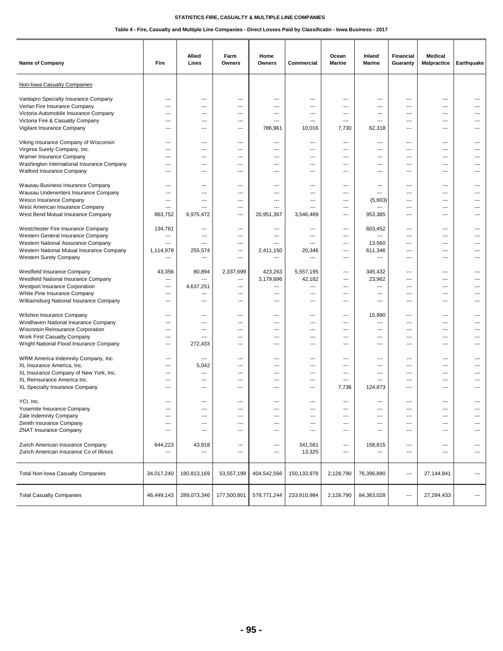| Name of Company                                                               | Fire           | Allied<br>Lines | Farm<br><b>Owners</b> | Home<br>Owners | Commercial  | Ocean<br><b>Marine</b>   | Inland<br><b>Marine</b> | <b>Financial</b><br>Guaranty | Medical<br><b>Malpractice</b> | Earthquake |
|-------------------------------------------------------------------------------|----------------|-----------------|-----------------------|----------------|-------------|--------------------------|-------------------------|------------------------------|-------------------------------|------------|
| Non-Iowa Casualty Companies                                                   |                |                 |                       |                |             |                          |                         |                              |                               |            |
| Vantapro Specialty Insurance Company                                          | ---            | ---             | ---                   | ---            | ---         | ---                      | ---                     | $\overline{\phantom{a}}$     | ---                           | ---        |
| Verlan Fire Insurance Company                                                 | ---            | ---             | ---                   | ---            | ---         | ---                      | ---                     | ---                          | ---                           | ---        |
| Victoria Automobile Insurance Company                                         | ---            | ---             | ---                   | ---            | ---         | ---                      | ---                     | $\overline{\phantom{a}}$     | ---                           | ---        |
| Victoria Fire & Casualty Company                                              | ---            | ---             | ---                   | ---            | ---         | ---                      | ---                     | ---                          | ---                           |            |
| Vigilant Insurance Company                                                    | $---$          | $\overline{a}$  | ---                   | 786,961        | 10,016      | 7,730                    | 62,318                  | $\overline{\phantom{a}}$     | ---                           | ---        |
| Viking Insurance Company of Wisconsin                                         | ---            | ---             | ---                   | ---            | ---         | $\cdots$                 | ---                     | $\hspace{0.05cm} \ldots$     | $---$                         | ---        |
| Virginia Surety Company, Inc.                                                 | ---            | ---             | ---                   | ---            | ---         | ---                      | ---                     | $---$                        | ---                           | ---        |
| Warner Insurance Company                                                      | ---            | ---             | ---                   | ---            | ---         | $\overline{\phantom{a}}$ | ---                     | $\cdots$                     | ---                           | ---        |
| Washington International Insurance Company                                    | ---            | ---             | ---                   | ---            | ---         | ---                      | ---                     | $---$                        | ---                           | ---        |
| Watford Insurance Company                                                     | ---            | $---$           | ---                   | ---            | $---$       | $---$                    | ---                     | $---$                        | ---                           | ---        |
| Wausau Business Insurance Company                                             | ---            | ---             | ---                   | ---            | ---         | $---$                    | ---                     | $\hspace{0.05cm} \ldots$     | ---                           | ---        |
| Wausau Underwriters Insurance Company                                         | ---            | ---             | ---                   | ---            | ---         | ---                      | ---                     | ---                          | ---                           | ---        |
| Wesco Insurance Company                                                       | ---            | ---             | ---                   | ---            | ---         | ---                      | (5,603)                 | $\overline{\phantom{a}}$     | ---                           | ---        |
| West American Insurance Company                                               | ---            | ---             | ---                   | ---            | ---         | ---                      |                         | $\overline{\phantom{a}}$     | ---                           | ---        |
| West Bend Mutual Insurance Company                                            | 863,752        | 6,975,472       | $---$                 | 20,951,367     | 3,546,489   | $\overline{a}$           | 953,385                 | $\overline{\phantom{a}}$     | $---$                         | ---        |
| Westchester Fire Insurance Company                                            | 134,781        | $---$           | ---                   | ---            | ---         | ---                      | 603,452                 | $\overline{\phantom{a}}$     | ---                           | ---        |
| Western General Insurance Company                                             | ---            | ---             | ---                   | ---            | ---         | $---$                    | ---                     | $\overline{\phantom{a}}$     | ---                           | ---        |
| Western National Assurance Company                                            | ---            | ---             | ---                   | ---            | ---         | ---                      | 13,560                  | $\overline{\phantom{a}}$     | ---                           | ---        |
| Western National Mutual Insurance Company                                     | 1,114,978      | 255,574         | ---                   | 2,411,150      | 20,346      | $\hspace{0.05cm} \ldots$ | 611,346                 | $\overline{\phantom{a}}$     | ---                           | ---        |
| <b>Western Surety Company</b>                                                 | ---            | ---             | ---                   | ---            | ---         | $\hspace{0.05cm} \ldots$ | ---                     | $\overline{\phantom{a}}$     | ---                           | ---        |
| Westfield Insurance Company                                                   | 43,356         | 80,894          | 2,337,699             | 423,263        | 5,557,195   | $---$                    | 345,432                 | $\overline{\phantom{a}}$     | ---                           | ---        |
| Westfield National Insurance Company                                          | ---            | ---             | ---                   | 3,179,696      | 42,182      | $---$                    | 23,962                  | $\hspace{0.05cm} \ldots$     | ---                           | ---        |
| Westport Insurance Corporation                                                | ---            | 4,637,251       | ---                   | ---            | ---         | ---                      | ---                     | ---                          | ---                           | ---        |
| White Pine Insurance Company                                                  | ---            | ---             | ---                   | ---            | ---         | ---                      | ---                     | $---$                        | ---                           | ---        |
| Williamsburg National Insurance Company                                       | ---            | ---             | ---                   | ---            | ---         | ---                      | ---                     | $\overline{\phantom{a}}$     | ---                           | ---        |
| Wilshire Insurance Company                                                    | ---            | ---             | ---                   | ---            | ---         | $\overline{\phantom{a}}$ | 15,990                  | $\overline{\phantom{a}}$     | ---                           | $---$      |
| Windhaven National Insurance Company                                          | ---            | ---             | ---                   | ---            | $---$       | $---$                    | ---                     | $\hspace{0.05cm} \ldots$     | $---$                         | ---        |
| Wisconsin Reinsurance Corporation                                             | ---            | ---             | ---                   | ---            | ---         | ---                      | ---                     | $\hspace{0.05cm} \ldots$     | ---                           | ---        |
| Work First Casualty Company                                                   | ---            | ---             | ---                   | ---            | ---         | ---                      | ---                     | $---$                        | ---                           | ---        |
| Wright National Flood Insurance Company                                       | ---            | 272,433         | ---                   | ---            | ---         | ---                      | ---                     | ---                          | ---                           | ---        |
| WRM America Indemnity Company, Inc.                                           | $---$          | $---$           | $---$                 | $---$          | $---$       | $---$                    | $\overline{a}$          | $\overline{\phantom{a}}$     | ---                           | ---        |
| XL Insurance America, Inc.                                                    | ---            | 5,042           | $---$                 | ---            | $---$       | $---$                    | ---                     | ---                          | ---                           | ---        |
| XL Insurance Company of New York, Inc.                                        | ---            | ---             | ---                   | ---            | ---         | ---                      | ---                     | ---                          | ---                           | ---        |
| XL Reinsurance America Inc.                                                   | ---            | ---             | ---                   | ---            | ---         | ---                      | ---                     | ---                          | ---                           |            |
| XL Specialty Insurance Company                                                | ---            | ---             | ---                   | ---            | ---         | 7,736                    | 124,873                 | $---$                        | ---                           |            |
| YCI, Inc.                                                                     | ---            | $\overline{a}$  | $---$                 | $---$          | $---$       | $---$                    | $---$                   | $\overline{\phantom{a}}$     | $---$                         | ---        |
| Yosemite Insurance Company                                                    | ---            | ---             | ---                   | ---            | ---         | $---$                    | ---                     | $---$                        | ---                           |            |
| Zale Indemnity Company                                                        | ---            | ---             | ---                   | ---            | ---         | ---                      | ---                     | $---$                        | ---                           | ---        |
| Zenith Insurance Company                                                      | ---            | ---             | ---                   | ---            | ---         | $\qquad \qquad \cdots$   | ---                     | $\overline{\phantom{a}}$     | ---                           | ---        |
| <b>ZNAT Insurance Company</b>                                                 | ---            | ---             | ---                   | ---            | ---         | $\hspace{0.05cm} \ldots$ | ---                     | ---                          | ---                           | ---        |
|                                                                               |                |                 | $\cdots$              | ---            |             |                          |                         | $\overline{\phantom{a}}$     |                               | ---        |
| Zurich American Insurance Company<br>Zurich American Insurance Co of Illinois | 644,223<br>--- | 43,918<br>---   | ---                   | ---            | 341,581     | ---<br>$---$             | 158,815<br>---          | $\overline{\phantom{a}}$     | ---<br>---                    | ---        |
|                                                                               |                |                 |                       |                | 13,325      |                          |                         |                              |                               |            |
| <b>Total Non-Iowa Casualty Companies</b>                                      | 34,017,240     | 180,813,169     | 53,557,199            | 404,542,566    | 150,133,978 | 2,128,790                | 76,396,890              | $\hspace{0.05cm} \ldots$     | 27,144,841                    | ---        |
| <b>Total Casualty Companies</b>                                               | 46,449,143     | 289,073,346     | 177,500,801           | 578,771,244    | 233,910,984 | 2,128,790                | 84,363,028              | $\hspace{0.05cm} \cdots$     | 27,284,433                    | ---        |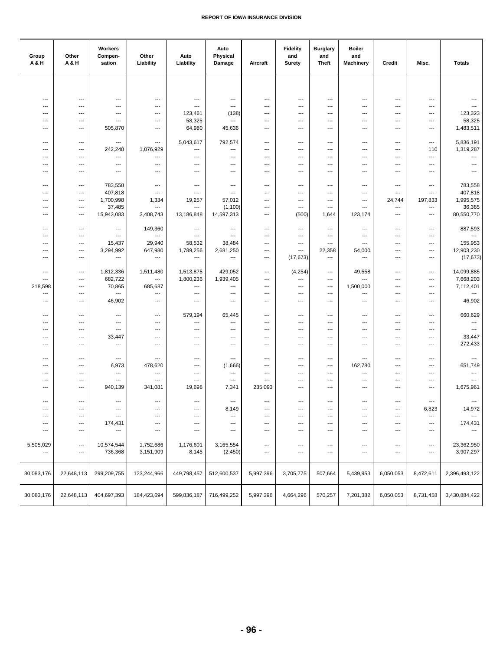| ---<br>$\overline{\phantom{a}}$<br>---<br>---<br>$\overline{\phantom{a}}$<br>$\overline{\phantom{a}}$<br>---<br>---<br>---<br>---<br>$\hspace{0.05cm} \ldots$<br>---<br>---<br>---<br>---<br>---<br>$\overline{a}$<br>$\cdots$<br>$\overline{a}$<br>---<br>---<br>---<br>---<br>---<br>---<br>---<br>123,461<br>(138)<br>123,323<br>$---$<br>---<br>---<br>---<br>---<br>---<br>---<br>---<br>---<br>---<br>58,325<br>58,325<br>$---$<br>$\overline{a}$<br>$\overline{a}$<br>$---$<br>---<br>---<br>$---$<br>---<br>---<br>---<br>$---$<br>1,483,511<br>505,870<br>64,980<br>45,636<br>---<br>---<br>---<br>---<br>---<br>---<br>---<br>$\overline{\phantom{a}}$<br>---<br>792,574<br>5,836,191<br>5,043,617<br>---<br>---<br>$\qquad \qquad -\qquad$<br>$\qquad \qquad -\qquad$<br>---<br>---<br>---<br>---<br>$\overline{a}$<br>$\qquad \qquad \cdots$<br>1,319,287<br>242,248<br>1,076,929<br>$\sim$<br>110<br>---<br>$---$<br>$\overline{a}$<br>$\overline{a}$<br>---<br>---<br>---<br>---<br>$\overline{\phantom{a}}$<br>$---$<br>---<br>---<br>---<br>---<br>---<br>---<br>---<br>---<br>$\overline{a}$<br>---<br>---<br>$\overline{\phantom{a}}$<br>$\overline{a}$<br>$\overline{a}$<br>$---$<br>---<br>$-$<br>$\overline{\phantom{a}}$<br>$---$<br>---<br>$---$<br>$\overline{a}$<br>$\overline{\phantom{a}}$<br>$\sim$<br>---<br>---<br>---<br>---<br>---<br>$---$<br>$---$<br>---<br>---<br>$---$<br>---<br>---<br>$\overline{\phantom{a}}$<br>783,558<br>783,558<br>$\overline{\phantom{a}}$<br>$\qquad \qquad -\qquad$<br>---<br>$\hspace{0.05cm} \ldots$<br>$\qquad \qquad \cdots$<br>---<br>---<br>---<br>---<br>$\qquad \qquad \cdots$<br>---<br>407,818<br>407,818<br>$\overline{\phantom{a}}$<br>---<br>---<br>$\ldots$<br>---<br>$\qquad \qquad -\qquad$<br>---<br>---<br>---<br>---<br>---<br>1,995,575<br>1,700,998<br>1,334<br>19,257<br>57,012<br>24,744<br>197,833<br>$\overline{\phantom{a}}$<br>---<br>---<br>---<br>---<br>---<br>36,385<br>37,485<br>(1, 100)<br>---<br>---<br>$\overline{a}$<br>---<br>$---$<br>$\overline{a}$<br>---<br>---<br>$---$<br>$---$<br>80,550,770<br>15,943,083<br>3,408,743<br>13,186,848<br>14,597,313<br>(500)<br>1,644<br>123,174<br>$---$<br>---<br>$\overline{a}$<br>---<br>$\overline{\phantom{a}}$<br>887,593<br>149,360<br>$\qquad \qquad -\qquad$<br>$\qquad \qquad \cdots$<br>$\qquad \qquad \cdots$<br>$\overline{\phantom{a}}$<br>---<br>---<br>$\qquad \qquad \cdots$<br>---<br>$\overline{\phantom{a}}$<br>---<br>---<br>---<br>$---$<br>---<br>$\overline{a}$<br>$\overline{\phantom{a}}$<br>---<br>---<br>---<br>---<br>$\overline{a}$<br>---<br>---<br>---<br>29,940<br>155,953<br>15,437<br>58,532<br>38,484<br>$\overline{\phantom{a}}$<br>---<br>---<br>$\qquad \qquad \cdots$<br>---<br>$\qquad \qquad \cdots$<br>---<br>---<br>12,903,230<br>3,294,992<br>647,980<br>1,789,256<br>2,681,250<br>22,358<br>54,000<br>---<br>$---$<br>---<br>$---$<br>$---$<br>$\cdots$<br>(17, 673)<br>(17, 673)<br>$---$<br>$\cdots$<br>---<br>$\overline{\phantom{a}}$<br>$\hspace{0.05cm} \ldots$<br>---<br>$---$<br>$\overline{\phantom{a}}$<br>$---$<br>$---$<br>$\cdots$<br>14,099,885<br>1,812,336<br>1,511,480<br>1,513,875<br>429,052<br>(4, 254)<br>49,558<br>$---$<br>---<br>$\qquad \qquad \cdots$<br>---<br>$\qquad \qquad \cdots$<br>$\qquad \qquad \cdots$<br>682,722<br>1,800,236<br>1,939,405<br>7,668,203<br>---<br>---<br>---<br>$---$<br>---<br>$\qquad \qquad -\qquad$<br>---<br>---<br>---<br>70,865<br>7,112,401<br>218,598<br>685,687<br>1,500,000<br>---<br>---<br>---<br>---<br>---<br>---<br>---<br>---<br>$\overline{\phantom{a}}$<br>---<br>---<br>---<br>$---$<br>$\overline{\phantom{a}}$<br>---<br>---<br>---<br>---<br>---<br>---<br>---<br>46,902<br>46,902<br>---<br>$\hspace{0.05cm} \ldots$<br>$\qquad \qquad \cdots$<br>---<br>$\overline{a}$<br>---<br>$\cdots$<br>$\cdots$<br>---<br>---<br>$\cdots$<br>660,629<br>579,194<br>65,445<br>$---$<br>---<br>---<br>---<br>---<br>---<br>---<br>---<br>---<br>---<br>$\overline{\phantom{a}}$<br>---<br>---<br>---<br>---<br>---<br>$\cdots$<br>---<br>---<br>---<br>---<br>---<br>---<br>$\sim$<br>$\hspace{0.05cm} \ldots$<br>$\hspace{0.05cm} \ldots$<br>---<br>---<br>---<br>---<br>---<br>---<br>---<br>⊷<br>---<br>---<br>33,447<br>33,447<br>$\overline{\phantom{a}}$<br>---<br>$\hspace{0.05cm} \ldots$<br>---<br>---<br>---<br>---<br>---<br>$\overline{\phantom{a}}$<br>$\overline{\phantom{a}}$<br>---<br>272,433<br>---<br>---<br>---<br>---<br>$---$<br>$---$<br>$---$<br>---<br>---<br>---<br>---<br>---<br>---<br>$---$<br>---<br>$\hspace{0.05cm} \ldots$<br>---<br>---<br>---<br>---<br>$---$<br>---<br>$---$<br>---<br>$\overline{\phantom{a}}$<br>478,620<br>(1,666)<br>162,780<br>651,749<br>6,973<br>---<br>---<br>---<br>$---$<br>---<br>---<br>---<br>---<br>---<br>---<br>$\cdots$<br>---<br>---<br>---<br>$\overline{\phantom{a}}$<br>$\qquad \qquad \cdots$<br>---<br>---<br>---<br>---<br>---<br>$\overline{\phantom{a}}$<br>---<br>$\overline{\phantom{a}}$<br>---<br>---<br>---<br>---<br>---<br>---<br>---<br>---<br>---<br>---<br>940,139<br>341,081<br>19,698<br>235,093<br>1,675,961<br>7,341<br>$---$<br>---<br>---<br>---<br>$\overline{a}$<br>$---$<br>---<br>---<br>$\overline{a}$<br>$\sim$<br>---<br>---<br>---<br>$\overline{\phantom{a}}$<br>$---$<br>---<br>---<br>---<br>---<br>---<br>---<br>---<br>$\qquad \qquad -\qquad$<br>---<br>8,149<br>---<br>---<br>---<br>---<br>$\qquad \qquad \cdots$<br>6,823<br>14,972<br>$\qquad \qquad \cdots$<br>---<br>---<br>---<br>---<br>$\hspace{0.05cm} \ldots$<br>---<br>$\hspace{0.05cm} \ldots$<br>---<br>---<br>---<br>---<br>$\qquad \qquad \cdots$<br>---<br>174,431<br>174,431<br>---<br>---<br>---<br>---<br>---<br>---<br>---<br>⊷<br>---<br>---<br>---<br>$\overline{\phantom{a}}$<br>---<br>$---$<br>---<br>$---$<br>$\overline{\phantom{a}}$<br>$\cdots$<br>---<br>---<br>---<br>$\hspace{0.05cm} \ldots$<br>---<br>$---$<br>23,362,950<br>5,505,029<br>10,574,544<br>1,752,686<br>1,176,601<br>3,165,554<br>---<br>$\hspace{0.05cm} \ldots$<br>$\cdots$<br>---<br>$\cdots$<br>$\qquad \qquad \cdots$<br>---<br>3,151,909<br>8,145<br>(2, 450)<br>3,907,297<br>736,368<br>$\qquad \qquad \cdots$<br>$\qquad \qquad \cdots$<br>---<br>$---$<br>---<br>---<br>---<br>$\hspace{0.05cm} \ldots$<br>123,244,966<br>5,997,396<br>507,664<br>30,083,176<br>22,648,113<br>299,209,755<br>449,798,457<br>512,600,537<br>3,705,775<br>5,439,953<br>6,050,053<br>8,472,611<br>2,396,493,122<br>5,997,396<br>570,257<br>6,050,053<br>30,083,176<br>22,648,113<br>404,697,393<br>184,423,694<br>599,836,187<br>716,499,252<br>4,664,296<br>7,201,382<br>8,731,458<br>3,430,884,422 | Group<br>A & H | Other<br>A & H | Workers<br>Compen-<br>sation | Other<br>Liability | Auto<br>Liability | Auto<br>Physical<br>Damage | Aircraft | <b>Fidelity</b><br>and<br><b>Surety</b> | <b>Burglary</b><br>and<br><b>Theft</b> | <b>Boiler</b><br>and<br><b>Machinery</b> | Credit | Misc. | <b>Totals</b> |
|---------------------------------------------------------------------------------------------------------------------------------------------------------------------------------------------------------------------------------------------------------------------------------------------------------------------------------------------------------------------------------------------------------------------------------------------------------------------------------------------------------------------------------------------------------------------------------------------------------------------------------------------------------------------------------------------------------------------------------------------------------------------------------------------------------------------------------------------------------------------------------------------------------------------------------------------------------------------------------------------------------------------------------------------------------------------------------------------------------------------------------------------------------------------------------------------------------------------------------------------------------------------------------------------------------------------------------------------------------------------------------------------------------------------------------------------------------------------------------------------------------------------------------------------------------------------------------------------------------------------------------------------------------------------------------------------------------------------------------------------------------------------------------------------------------------------------------------------------------------------------------------------------------------------------------------------------------------------------------------------------------------------------------------------------------------------------------------------------------------------------------------------------------------------------------------------------------------------------------------------------------------------------------------------------------------------------------------------------------------------------------------------------------------------------------------------------------------------------------------------------------------------------------------------------------------------------------------------------------------------------------------------------------------------------------------------------------------------------------------------------------------------------------------------------------------------------------------------------------------------------------------------------------------------------------------------------------------------------------------------------------------------------------------------------------------------------------------------------------------------------------------------------------------------------------------------------------------------------------------------------------------------------------------------------------------------------------------------------------------------------------------------------------------------------------------------------------------------------------------------------------------------------------------------------------------------------------------------------------------------------------------------------------------------------------------------------------------------------------------------------------------------------------------------------------------------------------------------------------------------------------------------------------------------------------------------------------------------------------------------------------------------------------------------------------------------------------------------------------------------------------------------------------------------------------------------------------------------------------------------------------------------------------------------------------------------------------------------------------------------------------------------------------------------------------------------------------------------------------------------------------------------------------------------------------------------------------------------------------------------------------------------------------------------------------------------------------------------------------------------------------------------------------------------------------------------------------------------------------------------------------------------------------------------------------------------------------------------------------------------------------------------------------------------------------------------------------------------------------------------------------------------------------------------------------------------------------------------------------------------------------------------------------------------------------------------------------------------------------------------------------------------------------------------------------------------------------------------------------------------------------------------------------------------------------------------------------------------------------------------------------------------------------------------------------------------------------------------------------------------------------------------------------------------------------------------------------------------------------------------------------------------------------------------------------------------------------------------------------------------------------------------------------------------------------------------------------------------------------------------------------------------------------------------------------------------------------------------------------------------------------------------------------------------------------------------------------------------------------------------------------------------------------------------------------------------------------------------------------------------------------------------------------------------------------------------------------------------------------------------------------------------------------------------------------------------------------------------|----------------|----------------|------------------------------|--------------------|-------------------|----------------------------|----------|-----------------------------------------|----------------------------------------|------------------------------------------|--------|-------|---------------|
|                                                                                                                                                                                                                                                                                                                                                                                                                                                                                                                                                                                                                                                                                                                                                                                                                                                                                                                                                                                                                                                                                                                                                                                                                                                                                                                                                                                                                                                                                                                                                                                                                                                                                                                                                                                                                                                                                                                                                                                                                                                                                                                                                                                                                                                                                                                                                                                                                                                                                                                                                                                                                                                                                                                                                                                                                                                                                                                                                                                                                                                                                                                                                                                                                                                                                                                                                                                                                                                                                                                                                                                                                                                                                                                                                                                                                                                                                                                                                                                                                                                                                                                                                                                                                                                                                                                                                                                                                                                                                                                                                                                                                                                                                                                                                                                                                                                                                                                                                                                                                                                                                                                                                                                                                                                                                                                                                                                                                                                                                                                                                                                                                                                                                                                                                                                                                                                                                                                                                                                                                                                                                                                                                                                                                                                                                                                                                                                                                                                                                                                                                                                                                                                                                                                     |                |                |                              |                    |                   |                            |          |                                         |                                        |                                          |        |       |               |
|                                                                                                                                                                                                                                                                                                                                                                                                                                                                                                                                                                                                                                                                                                                                                                                                                                                                                                                                                                                                                                                                                                                                                                                                                                                                                                                                                                                                                                                                                                                                                                                                                                                                                                                                                                                                                                                                                                                                                                                                                                                                                                                                                                                                                                                                                                                                                                                                                                                                                                                                                                                                                                                                                                                                                                                                                                                                                                                                                                                                                                                                                                                                                                                                                                                                                                                                                                                                                                                                                                                                                                                                                                                                                                                                                                                                                                                                                                                                                                                                                                                                                                                                                                                                                                                                                                                                                                                                                                                                                                                                                                                                                                                                                                                                                                                                                                                                                                                                                                                                                                                                                                                                                                                                                                                                                                                                                                                                                                                                                                                                                                                                                                                                                                                                                                                                                                                                                                                                                                                                                                                                                                                                                                                                                                                                                                                                                                                                                                                                                                                                                                                                                                                                                                                     |                |                |                              |                    |                   |                            |          |                                         |                                        |                                          |        |       |               |
|                                                                                                                                                                                                                                                                                                                                                                                                                                                                                                                                                                                                                                                                                                                                                                                                                                                                                                                                                                                                                                                                                                                                                                                                                                                                                                                                                                                                                                                                                                                                                                                                                                                                                                                                                                                                                                                                                                                                                                                                                                                                                                                                                                                                                                                                                                                                                                                                                                                                                                                                                                                                                                                                                                                                                                                                                                                                                                                                                                                                                                                                                                                                                                                                                                                                                                                                                                                                                                                                                                                                                                                                                                                                                                                                                                                                                                                                                                                                                                                                                                                                                                                                                                                                                                                                                                                                                                                                                                                                                                                                                                                                                                                                                                                                                                                                                                                                                                                                                                                                                                                                                                                                                                                                                                                                                                                                                                                                                                                                                                                                                                                                                                                                                                                                                                                                                                                                                                                                                                                                                                                                                                                                                                                                                                                                                                                                                                                                                                                                                                                                                                                                                                                                                                                     |                |                |                              |                    |                   |                            |          |                                         |                                        |                                          |        |       |               |
|                                                                                                                                                                                                                                                                                                                                                                                                                                                                                                                                                                                                                                                                                                                                                                                                                                                                                                                                                                                                                                                                                                                                                                                                                                                                                                                                                                                                                                                                                                                                                                                                                                                                                                                                                                                                                                                                                                                                                                                                                                                                                                                                                                                                                                                                                                                                                                                                                                                                                                                                                                                                                                                                                                                                                                                                                                                                                                                                                                                                                                                                                                                                                                                                                                                                                                                                                                                                                                                                                                                                                                                                                                                                                                                                                                                                                                                                                                                                                                                                                                                                                                                                                                                                                                                                                                                                                                                                                                                                                                                                                                                                                                                                                                                                                                                                                                                                                                                                                                                                                                                                                                                                                                                                                                                                                                                                                                                                                                                                                                                                                                                                                                                                                                                                                                                                                                                                                                                                                                                                                                                                                                                                                                                                                                                                                                                                                                                                                                                                                                                                                                                                                                                                                                                     |                |                |                              |                    |                   |                            |          |                                         |                                        |                                          |        |       |               |
|                                                                                                                                                                                                                                                                                                                                                                                                                                                                                                                                                                                                                                                                                                                                                                                                                                                                                                                                                                                                                                                                                                                                                                                                                                                                                                                                                                                                                                                                                                                                                                                                                                                                                                                                                                                                                                                                                                                                                                                                                                                                                                                                                                                                                                                                                                                                                                                                                                                                                                                                                                                                                                                                                                                                                                                                                                                                                                                                                                                                                                                                                                                                                                                                                                                                                                                                                                                                                                                                                                                                                                                                                                                                                                                                                                                                                                                                                                                                                                                                                                                                                                                                                                                                                                                                                                                                                                                                                                                                                                                                                                                                                                                                                                                                                                                                                                                                                                                                                                                                                                                                                                                                                                                                                                                                                                                                                                                                                                                                                                                                                                                                                                                                                                                                                                                                                                                                                                                                                                                                                                                                                                                                                                                                                                                                                                                                                                                                                                                                                                                                                                                                                                                                                                                     |                |                |                              |                    |                   |                            |          |                                         |                                        |                                          |        |       |               |
|                                                                                                                                                                                                                                                                                                                                                                                                                                                                                                                                                                                                                                                                                                                                                                                                                                                                                                                                                                                                                                                                                                                                                                                                                                                                                                                                                                                                                                                                                                                                                                                                                                                                                                                                                                                                                                                                                                                                                                                                                                                                                                                                                                                                                                                                                                                                                                                                                                                                                                                                                                                                                                                                                                                                                                                                                                                                                                                                                                                                                                                                                                                                                                                                                                                                                                                                                                                                                                                                                                                                                                                                                                                                                                                                                                                                                                                                                                                                                                                                                                                                                                                                                                                                                                                                                                                                                                                                                                                                                                                                                                                                                                                                                                                                                                                                                                                                                                                                                                                                                                                                                                                                                                                                                                                                                                                                                                                                                                                                                                                                                                                                                                                                                                                                                                                                                                                                                                                                                                                                                                                                                                                                                                                                                                                                                                                                                                                                                                                                                                                                                                                                                                                                                                                     |                |                |                              |                    |                   |                            |          |                                         |                                        |                                          |        |       |               |
|                                                                                                                                                                                                                                                                                                                                                                                                                                                                                                                                                                                                                                                                                                                                                                                                                                                                                                                                                                                                                                                                                                                                                                                                                                                                                                                                                                                                                                                                                                                                                                                                                                                                                                                                                                                                                                                                                                                                                                                                                                                                                                                                                                                                                                                                                                                                                                                                                                                                                                                                                                                                                                                                                                                                                                                                                                                                                                                                                                                                                                                                                                                                                                                                                                                                                                                                                                                                                                                                                                                                                                                                                                                                                                                                                                                                                                                                                                                                                                                                                                                                                                                                                                                                                                                                                                                                                                                                                                                                                                                                                                                                                                                                                                                                                                                                                                                                                                                                                                                                                                                                                                                                                                                                                                                                                                                                                                                                                                                                                                                                                                                                                                                                                                                                                                                                                                                                                                                                                                                                                                                                                                                                                                                                                                                                                                                                                                                                                                                                                                                                                                                                                                                                                                                     |                |                |                              |                    |                   |                            |          |                                         |                                        |                                          |        |       |               |
|                                                                                                                                                                                                                                                                                                                                                                                                                                                                                                                                                                                                                                                                                                                                                                                                                                                                                                                                                                                                                                                                                                                                                                                                                                                                                                                                                                                                                                                                                                                                                                                                                                                                                                                                                                                                                                                                                                                                                                                                                                                                                                                                                                                                                                                                                                                                                                                                                                                                                                                                                                                                                                                                                                                                                                                                                                                                                                                                                                                                                                                                                                                                                                                                                                                                                                                                                                                                                                                                                                                                                                                                                                                                                                                                                                                                                                                                                                                                                                                                                                                                                                                                                                                                                                                                                                                                                                                                                                                                                                                                                                                                                                                                                                                                                                                                                                                                                                                                                                                                                                                                                                                                                                                                                                                                                                                                                                                                                                                                                                                                                                                                                                                                                                                                                                                                                                                                                                                                                                                                                                                                                                                                                                                                                                                                                                                                                                                                                                                                                                                                                                                                                                                                                                                     |                |                |                              |                    |                   |                            |          |                                         |                                        |                                          |        |       |               |
|                                                                                                                                                                                                                                                                                                                                                                                                                                                                                                                                                                                                                                                                                                                                                                                                                                                                                                                                                                                                                                                                                                                                                                                                                                                                                                                                                                                                                                                                                                                                                                                                                                                                                                                                                                                                                                                                                                                                                                                                                                                                                                                                                                                                                                                                                                                                                                                                                                                                                                                                                                                                                                                                                                                                                                                                                                                                                                                                                                                                                                                                                                                                                                                                                                                                                                                                                                                                                                                                                                                                                                                                                                                                                                                                                                                                                                                                                                                                                                                                                                                                                                                                                                                                                                                                                                                                                                                                                                                                                                                                                                                                                                                                                                                                                                                                                                                                                                                                                                                                                                                                                                                                                                                                                                                                                                                                                                                                                                                                                                                                                                                                                                                                                                                                                                                                                                                                                                                                                                                                                                                                                                                                                                                                                                                                                                                                                                                                                                                                                                                                                                                                                                                                                                                     |                |                |                              |                    |                   |                            |          |                                         |                                        |                                          |        |       |               |
|                                                                                                                                                                                                                                                                                                                                                                                                                                                                                                                                                                                                                                                                                                                                                                                                                                                                                                                                                                                                                                                                                                                                                                                                                                                                                                                                                                                                                                                                                                                                                                                                                                                                                                                                                                                                                                                                                                                                                                                                                                                                                                                                                                                                                                                                                                                                                                                                                                                                                                                                                                                                                                                                                                                                                                                                                                                                                                                                                                                                                                                                                                                                                                                                                                                                                                                                                                                                                                                                                                                                                                                                                                                                                                                                                                                                                                                                                                                                                                                                                                                                                                                                                                                                                                                                                                                                                                                                                                                                                                                                                                                                                                                                                                                                                                                                                                                                                                                                                                                                                                                                                                                                                                                                                                                                                                                                                                                                                                                                                                                                                                                                                                                                                                                                                                                                                                                                                                                                                                                                                                                                                                                                                                                                                                                                                                                                                                                                                                                                                                                                                                                                                                                                                                                     |                |                |                              |                    |                   |                            |          |                                         |                                        |                                          |        |       |               |
|                                                                                                                                                                                                                                                                                                                                                                                                                                                                                                                                                                                                                                                                                                                                                                                                                                                                                                                                                                                                                                                                                                                                                                                                                                                                                                                                                                                                                                                                                                                                                                                                                                                                                                                                                                                                                                                                                                                                                                                                                                                                                                                                                                                                                                                                                                                                                                                                                                                                                                                                                                                                                                                                                                                                                                                                                                                                                                                                                                                                                                                                                                                                                                                                                                                                                                                                                                                                                                                                                                                                                                                                                                                                                                                                                                                                                                                                                                                                                                                                                                                                                                                                                                                                                                                                                                                                                                                                                                                                                                                                                                                                                                                                                                                                                                                                                                                                                                                                                                                                                                                                                                                                                                                                                                                                                                                                                                                                                                                                                                                                                                                                                                                                                                                                                                                                                                                                                                                                                                                                                                                                                                                                                                                                                                                                                                                                                                                                                                                                                                                                                                                                                                                                                                                     |                |                |                              |                    |                   |                            |          |                                         |                                        |                                          |        |       |               |
|                                                                                                                                                                                                                                                                                                                                                                                                                                                                                                                                                                                                                                                                                                                                                                                                                                                                                                                                                                                                                                                                                                                                                                                                                                                                                                                                                                                                                                                                                                                                                                                                                                                                                                                                                                                                                                                                                                                                                                                                                                                                                                                                                                                                                                                                                                                                                                                                                                                                                                                                                                                                                                                                                                                                                                                                                                                                                                                                                                                                                                                                                                                                                                                                                                                                                                                                                                                                                                                                                                                                                                                                                                                                                                                                                                                                                                                                                                                                                                                                                                                                                                                                                                                                                                                                                                                                                                                                                                                                                                                                                                                                                                                                                                                                                                                                                                                                                                                                                                                                                                                                                                                                                                                                                                                                                                                                                                                                                                                                                                                                                                                                                                                                                                                                                                                                                                                                                                                                                                                                                                                                                                                                                                                                                                                                                                                                                                                                                                                                                                                                                                                                                                                                                                                     |                |                |                              |                    |                   |                            |          |                                         |                                        |                                          |        |       |               |
|                                                                                                                                                                                                                                                                                                                                                                                                                                                                                                                                                                                                                                                                                                                                                                                                                                                                                                                                                                                                                                                                                                                                                                                                                                                                                                                                                                                                                                                                                                                                                                                                                                                                                                                                                                                                                                                                                                                                                                                                                                                                                                                                                                                                                                                                                                                                                                                                                                                                                                                                                                                                                                                                                                                                                                                                                                                                                                                                                                                                                                                                                                                                                                                                                                                                                                                                                                                                                                                                                                                                                                                                                                                                                                                                                                                                                                                                                                                                                                                                                                                                                                                                                                                                                                                                                                                                                                                                                                                                                                                                                                                                                                                                                                                                                                                                                                                                                                                                                                                                                                                                                                                                                                                                                                                                                                                                                                                                                                                                                                                                                                                                                                                                                                                                                                                                                                                                                                                                                                                                                                                                                                                                                                                                                                                                                                                                                                                                                                                                                                                                                                                                                                                                                                                     |                |                |                              |                    |                   |                            |          |                                         |                                        |                                          |        |       |               |
|                                                                                                                                                                                                                                                                                                                                                                                                                                                                                                                                                                                                                                                                                                                                                                                                                                                                                                                                                                                                                                                                                                                                                                                                                                                                                                                                                                                                                                                                                                                                                                                                                                                                                                                                                                                                                                                                                                                                                                                                                                                                                                                                                                                                                                                                                                                                                                                                                                                                                                                                                                                                                                                                                                                                                                                                                                                                                                                                                                                                                                                                                                                                                                                                                                                                                                                                                                                                                                                                                                                                                                                                                                                                                                                                                                                                                                                                                                                                                                                                                                                                                                                                                                                                                                                                                                                                                                                                                                                                                                                                                                                                                                                                                                                                                                                                                                                                                                                                                                                                                                                                                                                                                                                                                                                                                                                                                                                                                                                                                                                                                                                                                                                                                                                                                                                                                                                                                                                                                                                                                                                                                                                                                                                                                                                                                                                                                                                                                                                                                                                                                                                                                                                                                                                     |                |                |                              |                    |                   |                            |          |                                         |                                        |                                          |        |       |               |
|                                                                                                                                                                                                                                                                                                                                                                                                                                                                                                                                                                                                                                                                                                                                                                                                                                                                                                                                                                                                                                                                                                                                                                                                                                                                                                                                                                                                                                                                                                                                                                                                                                                                                                                                                                                                                                                                                                                                                                                                                                                                                                                                                                                                                                                                                                                                                                                                                                                                                                                                                                                                                                                                                                                                                                                                                                                                                                                                                                                                                                                                                                                                                                                                                                                                                                                                                                                                                                                                                                                                                                                                                                                                                                                                                                                                                                                                                                                                                                                                                                                                                                                                                                                                                                                                                                                                                                                                                                                                                                                                                                                                                                                                                                                                                                                                                                                                                                                                                                                                                                                                                                                                                                                                                                                                                                                                                                                                                                                                                                                                                                                                                                                                                                                                                                                                                                                                                                                                                                                                                                                                                                                                                                                                                                                                                                                                                                                                                                                                                                                                                                                                                                                                                                                     |                |                |                              |                    |                   |                            |          |                                         |                                        |                                          |        |       |               |
|                                                                                                                                                                                                                                                                                                                                                                                                                                                                                                                                                                                                                                                                                                                                                                                                                                                                                                                                                                                                                                                                                                                                                                                                                                                                                                                                                                                                                                                                                                                                                                                                                                                                                                                                                                                                                                                                                                                                                                                                                                                                                                                                                                                                                                                                                                                                                                                                                                                                                                                                                                                                                                                                                                                                                                                                                                                                                                                                                                                                                                                                                                                                                                                                                                                                                                                                                                                                                                                                                                                                                                                                                                                                                                                                                                                                                                                                                                                                                                                                                                                                                                                                                                                                                                                                                                                                                                                                                                                                                                                                                                                                                                                                                                                                                                                                                                                                                                                                                                                                                                                                                                                                                                                                                                                                                                                                                                                                                                                                                                                                                                                                                                                                                                                                                                                                                                                                                                                                                                                                                                                                                                                                                                                                                                                                                                                                                                                                                                                                                                                                                                                                                                                                                                                     |                |                |                              |                    |                   |                            |          |                                         |                                        |                                          |        |       |               |
|                                                                                                                                                                                                                                                                                                                                                                                                                                                                                                                                                                                                                                                                                                                                                                                                                                                                                                                                                                                                                                                                                                                                                                                                                                                                                                                                                                                                                                                                                                                                                                                                                                                                                                                                                                                                                                                                                                                                                                                                                                                                                                                                                                                                                                                                                                                                                                                                                                                                                                                                                                                                                                                                                                                                                                                                                                                                                                                                                                                                                                                                                                                                                                                                                                                                                                                                                                                                                                                                                                                                                                                                                                                                                                                                                                                                                                                                                                                                                                                                                                                                                                                                                                                                                                                                                                                                                                                                                                                                                                                                                                                                                                                                                                                                                                                                                                                                                                                                                                                                                                                                                                                                                                                                                                                                                                                                                                                                                                                                                                                                                                                                                                                                                                                                                                                                                                                                                                                                                                                                                                                                                                                                                                                                                                                                                                                                                                                                                                                                                                                                                                                                                                                                                                                     |                |                |                              |                    |                   |                            |          |                                         |                                        |                                          |        |       |               |
|                                                                                                                                                                                                                                                                                                                                                                                                                                                                                                                                                                                                                                                                                                                                                                                                                                                                                                                                                                                                                                                                                                                                                                                                                                                                                                                                                                                                                                                                                                                                                                                                                                                                                                                                                                                                                                                                                                                                                                                                                                                                                                                                                                                                                                                                                                                                                                                                                                                                                                                                                                                                                                                                                                                                                                                                                                                                                                                                                                                                                                                                                                                                                                                                                                                                                                                                                                                                                                                                                                                                                                                                                                                                                                                                                                                                                                                                                                                                                                                                                                                                                                                                                                                                                                                                                                                                                                                                                                                                                                                                                                                                                                                                                                                                                                                                                                                                                                                                                                                                                                                                                                                                                                                                                                                                                                                                                                                                                                                                                                                                                                                                                                                                                                                                                                                                                                                                                                                                                                                                                                                                                                                                                                                                                                                                                                                                                                                                                                                                                                                                                                                                                                                                                                                     |                |                |                              |                    |                   |                            |          |                                         |                                        |                                          |        |       |               |
|                                                                                                                                                                                                                                                                                                                                                                                                                                                                                                                                                                                                                                                                                                                                                                                                                                                                                                                                                                                                                                                                                                                                                                                                                                                                                                                                                                                                                                                                                                                                                                                                                                                                                                                                                                                                                                                                                                                                                                                                                                                                                                                                                                                                                                                                                                                                                                                                                                                                                                                                                                                                                                                                                                                                                                                                                                                                                                                                                                                                                                                                                                                                                                                                                                                                                                                                                                                                                                                                                                                                                                                                                                                                                                                                                                                                                                                                                                                                                                                                                                                                                                                                                                                                                                                                                                                                                                                                                                                                                                                                                                                                                                                                                                                                                                                                                                                                                                                                                                                                                                                                                                                                                                                                                                                                                                                                                                                                                                                                                                                                                                                                                                                                                                                                                                                                                                                                                                                                                                                                                                                                                                                                                                                                                                                                                                                                                                                                                                                                                                                                                                                                                                                                                                                     |                |                |                              |                    |                   |                            |          |                                         |                                        |                                          |        |       |               |
|                                                                                                                                                                                                                                                                                                                                                                                                                                                                                                                                                                                                                                                                                                                                                                                                                                                                                                                                                                                                                                                                                                                                                                                                                                                                                                                                                                                                                                                                                                                                                                                                                                                                                                                                                                                                                                                                                                                                                                                                                                                                                                                                                                                                                                                                                                                                                                                                                                                                                                                                                                                                                                                                                                                                                                                                                                                                                                                                                                                                                                                                                                                                                                                                                                                                                                                                                                                                                                                                                                                                                                                                                                                                                                                                                                                                                                                                                                                                                                                                                                                                                                                                                                                                                                                                                                                                                                                                                                                                                                                                                                                                                                                                                                                                                                                                                                                                                                                                                                                                                                                                                                                                                                                                                                                                                                                                                                                                                                                                                                                                                                                                                                                                                                                                                                                                                                                                                                                                                                                                                                                                                                                                                                                                                                                                                                                                                                                                                                                                                                                                                                                                                                                                                                                     |                |                |                              |                    |                   |                            |          |                                         |                                        |                                          |        |       |               |
|                                                                                                                                                                                                                                                                                                                                                                                                                                                                                                                                                                                                                                                                                                                                                                                                                                                                                                                                                                                                                                                                                                                                                                                                                                                                                                                                                                                                                                                                                                                                                                                                                                                                                                                                                                                                                                                                                                                                                                                                                                                                                                                                                                                                                                                                                                                                                                                                                                                                                                                                                                                                                                                                                                                                                                                                                                                                                                                                                                                                                                                                                                                                                                                                                                                                                                                                                                                                                                                                                                                                                                                                                                                                                                                                                                                                                                                                                                                                                                                                                                                                                                                                                                                                                                                                                                                                                                                                                                                                                                                                                                                                                                                                                                                                                                                                                                                                                                                                                                                                                                                                                                                                                                                                                                                                                                                                                                                                                                                                                                                                                                                                                                                                                                                                                                                                                                                                                                                                                                                                                                                                                                                                                                                                                                                                                                                                                                                                                                                                                                                                                                                                                                                                                                                     |                |                |                              |                    |                   |                            |          |                                         |                                        |                                          |        |       |               |
|                                                                                                                                                                                                                                                                                                                                                                                                                                                                                                                                                                                                                                                                                                                                                                                                                                                                                                                                                                                                                                                                                                                                                                                                                                                                                                                                                                                                                                                                                                                                                                                                                                                                                                                                                                                                                                                                                                                                                                                                                                                                                                                                                                                                                                                                                                                                                                                                                                                                                                                                                                                                                                                                                                                                                                                                                                                                                                                                                                                                                                                                                                                                                                                                                                                                                                                                                                                                                                                                                                                                                                                                                                                                                                                                                                                                                                                                                                                                                                                                                                                                                                                                                                                                                                                                                                                                                                                                                                                                                                                                                                                                                                                                                                                                                                                                                                                                                                                                                                                                                                                                                                                                                                                                                                                                                                                                                                                                                                                                                                                                                                                                                                                                                                                                                                                                                                                                                                                                                                                                                                                                                                                                                                                                                                                                                                                                                                                                                                                                                                                                                                                                                                                                                                                     |                |                |                              |                    |                   |                            |          |                                         |                                        |                                          |        |       |               |
|                                                                                                                                                                                                                                                                                                                                                                                                                                                                                                                                                                                                                                                                                                                                                                                                                                                                                                                                                                                                                                                                                                                                                                                                                                                                                                                                                                                                                                                                                                                                                                                                                                                                                                                                                                                                                                                                                                                                                                                                                                                                                                                                                                                                                                                                                                                                                                                                                                                                                                                                                                                                                                                                                                                                                                                                                                                                                                                                                                                                                                                                                                                                                                                                                                                                                                                                                                                                                                                                                                                                                                                                                                                                                                                                                                                                                                                                                                                                                                                                                                                                                                                                                                                                                                                                                                                                                                                                                                                                                                                                                                                                                                                                                                                                                                                                                                                                                                                                                                                                                                                                                                                                                                                                                                                                                                                                                                                                                                                                                                                                                                                                                                                                                                                                                                                                                                                                                                                                                                                                                                                                                                                                                                                                                                                                                                                                                                                                                                                                                                                                                                                                                                                                                                                     |                |                |                              |                    |                   |                            |          |                                         |                                        |                                          |        |       |               |
|                                                                                                                                                                                                                                                                                                                                                                                                                                                                                                                                                                                                                                                                                                                                                                                                                                                                                                                                                                                                                                                                                                                                                                                                                                                                                                                                                                                                                                                                                                                                                                                                                                                                                                                                                                                                                                                                                                                                                                                                                                                                                                                                                                                                                                                                                                                                                                                                                                                                                                                                                                                                                                                                                                                                                                                                                                                                                                                                                                                                                                                                                                                                                                                                                                                                                                                                                                                                                                                                                                                                                                                                                                                                                                                                                                                                                                                                                                                                                                                                                                                                                                                                                                                                                                                                                                                                                                                                                                                                                                                                                                                                                                                                                                                                                                                                                                                                                                                                                                                                                                                                                                                                                                                                                                                                                                                                                                                                                                                                                                                                                                                                                                                                                                                                                                                                                                                                                                                                                                                                                                                                                                                                                                                                                                                                                                                                                                                                                                                                                                                                                                                                                                                                                                                     |                |                |                              |                    |                   |                            |          |                                         |                                        |                                          |        |       |               |
|                                                                                                                                                                                                                                                                                                                                                                                                                                                                                                                                                                                                                                                                                                                                                                                                                                                                                                                                                                                                                                                                                                                                                                                                                                                                                                                                                                                                                                                                                                                                                                                                                                                                                                                                                                                                                                                                                                                                                                                                                                                                                                                                                                                                                                                                                                                                                                                                                                                                                                                                                                                                                                                                                                                                                                                                                                                                                                                                                                                                                                                                                                                                                                                                                                                                                                                                                                                                                                                                                                                                                                                                                                                                                                                                                                                                                                                                                                                                                                                                                                                                                                                                                                                                                                                                                                                                                                                                                                                                                                                                                                                                                                                                                                                                                                                                                                                                                                                                                                                                                                                                                                                                                                                                                                                                                                                                                                                                                                                                                                                                                                                                                                                                                                                                                                                                                                                                                                                                                                                                                                                                                                                                                                                                                                                                                                                                                                                                                                                                                                                                                                                                                                                                                                                     |                |                |                              |                    |                   |                            |          |                                         |                                        |                                          |        |       |               |
|                                                                                                                                                                                                                                                                                                                                                                                                                                                                                                                                                                                                                                                                                                                                                                                                                                                                                                                                                                                                                                                                                                                                                                                                                                                                                                                                                                                                                                                                                                                                                                                                                                                                                                                                                                                                                                                                                                                                                                                                                                                                                                                                                                                                                                                                                                                                                                                                                                                                                                                                                                                                                                                                                                                                                                                                                                                                                                                                                                                                                                                                                                                                                                                                                                                                                                                                                                                                                                                                                                                                                                                                                                                                                                                                                                                                                                                                                                                                                                                                                                                                                                                                                                                                                                                                                                                                                                                                                                                                                                                                                                                                                                                                                                                                                                                                                                                                                                                                                                                                                                                                                                                                                                                                                                                                                                                                                                                                                                                                                                                                                                                                                                                                                                                                                                                                                                                                                                                                                                                                                                                                                                                                                                                                                                                                                                                                                                                                                                                                                                                                                                                                                                                                                                                     |                |                |                              |                    |                   |                            |          |                                         |                                        |                                          |        |       |               |
|                                                                                                                                                                                                                                                                                                                                                                                                                                                                                                                                                                                                                                                                                                                                                                                                                                                                                                                                                                                                                                                                                                                                                                                                                                                                                                                                                                                                                                                                                                                                                                                                                                                                                                                                                                                                                                                                                                                                                                                                                                                                                                                                                                                                                                                                                                                                                                                                                                                                                                                                                                                                                                                                                                                                                                                                                                                                                                                                                                                                                                                                                                                                                                                                                                                                                                                                                                                                                                                                                                                                                                                                                                                                                                                                                                                                                                                                                                                                                                                                                                                                                                                                                                                                                                                                                                                                                                                                                                                                                                                                                                                                                                                                                                                                                                                                                                                                                                                                                                                                                                                                                                                                                                                                                                                                                                                                                                                                                                                                                                                                                                                                                                                                                                                                                                                                                                                                                                                                                                                                                                                                                                                                                                                                                                                                                                                                                                                                                                                                                                                                                                                                                                                                                                                     |                |                |                              |                    |                   |                            |          |                                         |                                        |                                          |        |       |               |
|                                                                                                                                                                                                                                                                                                                                                                                                                                                                                                                                                                                                                                                                                                                                                                                                                                                                                                                                                                                                                                                                                                                                                                                                                                                                                                                                                                                                                                                                                                                                                                                                                                                                                                                                                                                                                                                                                                                                                                                                                                                                                                                                                                                                                                                                                                                                                                                                                                                                                                                                                                                                                                                                                                                                                                                                                                                                                                                                                                                                                                                                                                                                                                                                                                                                                                                                                                                                                                                                                                                                                                                                                                                                                                                                                                                                                                                                                                                                                                                                                                                                                                                                                                                                                                                                                                                                                                                                                                                                                                                                                                                                                                                                                                                                                                                                                                                                                                                                                                                                                                                                                                                                                                                                                                                                                                                                                                                                                                                                                                                                                                                                                                                                                                                                                                                                                                                                                                                                                                                                                                                                                                                                                                                                                                                                                                                                                                                                                                                                                                                                                                                                                                                                                                                     |                |                |                              |                    |                   |                            |          |                                         |                                        |                                          |        |       |               |
|                                                                                                                                                                                                                                                                                                                                                                                                                                                                                                                                                                                                                                                                                                                                                                                                                                                                                                                                                                                                                                                                                                                                                                                                                                                                                                                                                                                                                                                                                                                                                                                                                                                                                                                                                                                                                                                                                                                                                                                                                                                                                                                                                                                                                                                                                                                                                                                                                                                                                                                                                                                                                                                                                                                                                                                                                                                                                                                                                                                                                                                                                                                                                                                                                                                                                                                                                                                                                                                                                                                                                                                                                                                                                                                                                                                                                                                                                                                                                                                                                                                                                                                                                                                                                                                                                                                                                                                                                                                                                                                                                                                                                                                                                                                                                                                                                                                                                                                                                                                                                                                                                                                                                                                                                                                                                                                                                                                                                                                                                                                                                                                                                                                                                                                                                                                                                                                                                                                                                                                                                                                                                                                                                                                                                                                                                                                                                                                                                                                                                                                                                                                                                                                                                                                     |                |                |                              |                    |                   |                            |          |                                         |                                        |                                          |        |       |               |
|                                                                                                                                                                                                                                                                                                                                                                                                                                                                                                                                                                                                                                                                                                                                                                                                                                                                                                                                                                                                                                                                                                                                                                                                                                                                                                                                                                                                                                                                                                                                                                                                                                                                                                                                                                                                                                                                                                                                                                                                                                                                                                                                                                                                                                                                                                                                                                                                                                                                                                                                                                                                                                                                                                                                                                                                                                                                                                                                                                                                                                                                                                                                                                                                                                                                                                                                                                                                                                                                                                                                                                                                                                                                                                                                                                                                                                                                                                                                                                                                                                                                                                                                                                                                                                                                                                                                                                                                                                                                                                                                                                                                                                                                                                                                                                                                                                                                                                                                                                                                                                                                                                                                                                                                                                                                                                                                                                                                                                                                                                                                                                                                                                                                                                                                                                                                                                                                                                                                                                                                                                                                                                                                                                                                                                                                                                                                                                                                                                                                                                                                                                                                                                                                                                                     |                |                |                              |                    |                   |                            |          |                                         |                                        |                                          |        |       |               |
|                                                                                                                                                                                                                                                                                                                                                                                                                                                                                                                                                                                                                                                                                                                                                                                                                                                                                                                                                                                                                                                                                                                                                                                                                                                                                                                                                                                                                                                                                                                                                                                                                                                                                                                                                                                                                                                                                                                                                                                                                                                                                                                                                                                                                                                                                                                                                                                                                                                                                                                                                                                                                                                                                                                                                                                                                                                                                                                                                                                                                                                                                                                                                                                                                                                                                                                                                                                                                                                                                                                                                                                                                                                                                                                                                                                                                                                                                                                                                                                                                                                                                                                                                                                                                                                                                                                                                                                                                                                                                                                                                                                                                                                                                                                                                                                                                                                                                                                                                                                                                                                                                                                                                                                                                                                                                                                                                                                                                                                                                                                                                                                                                                                                                                                                                                                                                                                                                                                                                                                                                                                                                                                                                                                                                                                                                                                                                                                                                                                                                                                                                                                                                                                                                                                     |                |                |                              |                    |                   |                            |          |                                         |                                        |                                          |        |       |               |
|                                                                                                                                                                                                                                                                                                                                                                                                                                                                                                                                                                                                                                                                                                                                                                                                                                                                                                                                                                                                                                                                                                                                                                                                                                                                                                                                                                                                                                                                                                                                                                                                                                                                                                                                                                                                                                                                                                                                                                                                                                                                                                                                                                                                                                                                                                                                                                                                                                                                                                                                                                                                                                                                                                                                                                                                                                                                                                                                                                                                                                                                                                                                                                                                                                                                                                                                                                                                                                                                                                                                                                                                                                                                                                                                                                                                                                                                                                                                                                                                                                                                                                                                                                                                                                                                                                                                                                                                                                                                                                                                                                                                                                                                                                                                                                                                                                                                                                                                                                                                                                                                                                                                                                                                                                                                                                                                                                                                                                                                                                                                                                                                                                                                                                                                                                                                                                                                                                                                                                                                                                                                                                                                                                                                                                                                                                                                                                                                                                                                                                                                                                                                                                                                                                                     |                |                |                              |                    |                   |                            |          |                                         |                                        |                                          |        |       |               |
|                                                                                                                                                                                                                                                                                                                                                                                                                                                                                                                                                                                                                                                                                                                                                                                                                                                                                                                                                                                                                                                                                                                                                                                                                                                                                                                                                                                                                                                                                                                                                                                                                                                                                                                                                                                                                                                                                                                                                                                                                                                                                                                                                                                                                                                                                                                                                                                                                                                                                                                                                                                                                                                                                                                                                                                                                                                                                                                                                                                                                                                                                                                                                                                                                                                                                                                                                                                                                                                                                                                                                                                                                                                                                                                                                                                                                                                                                                                                                                                                                                                                                                                                                                                                                                                                                                                                                                                                                                                                                                                                                                                                                                                                                                                                                                                                                                                                                                                                                                                                                                                                                                                                                                                                                                                                                                                                                                                                                                                                                                                                                                                                                                                                                                                                                                                                                                                                                                                                                                                                                                                                                                                                                                                                                                                                                                                                                                                                                                                                                                                                                                                                                                                                                                                     |                |                |                              |                    |                   |                            |          |                                         |                                        |                                          |        |       |               |
|                                                                                                                                                                                                                                                                                                                                                                                                                                                                                                                                                                                                                                                                                                                                                                                                                                                                                                                                                                                                                                                                                                                                                                                                                                                                                                                                                                                                                                                                                                                                                                                                                                                                                                                                                                                                                                                                                                                                                                                                                                                                                                                                                                                                                                                                                                                                                                                                                                                                                                                                                                                                                                                                                                                                                                                                                                                                                                                                                                                                                                                                                                                                                                                                                                                                                                                                                                                                                                                                                                                                                                                                                                                                                                                                                                                                                                                                                                                                                                                                                                                                                                                                                                                                                                                                                                                                                                                                                                                                                                                                                                                                                                                                                                                                                                                                                                                                                                                                                                                                                                                                                                                                                                                                                                                                                                                                                                                                                                                                                                                                                                                                                                                                                                                                                                                                                                                                                                                                                                                                                                                                                                                                                                                                                                                                                                                                                                                                                                                                                                                                                                                                                                                                                                                     |                |                |                              |                    |                   |                            |          |                                         |                                        |                                          |        |       |               |
|                                                                                                                                                                                                                                                                                                                                                                                                                                                                                                                                                                                                                                                                                                                                                                                                                                                                                                                                                                                                                                                                                                                                                                                                                                                                                                                                                                                                                                                                                                                                                                                                                                                                                                                                                                                                                                                                                                                                                                                                                                                                                                                                                                                                                                                                                                                                                                                                                                                                                                                                                                                                                                                                                                                                                                                                                                                                                                                                                                                                                                                                                                                                                                                                                                                                                                                                                                                                                                                                                                                                                                                                                                                                                                                                                                                                                                                                                                                                                                                                                                                                                                                                                                                                                                                                                                                                                                                                                                                                                                                                                                                                                                                                                                                                                                                                                                                                                                                                                                                                                                                                                                                                                                                                                                                                                                                                                                                                                                                                                                                                                                                                                                                                                                                                                                                                                                                                                                                                                                                                                                                                                                                                                                                                                                                                                                                                                                                                                                                                                                                                                                                                                                                                                                                     |                |                |                              |                    |                   |                            |          |                                         |                                        |                                          |        |       |               |
|                                                                                                                                                                                                                                                                                                                                                                                                                                                                                                                                                                                                                                                                                                                                                                                                                                                                                                                                                                                                                                                                                                                                                                                                                                                                                                                                                                                                                                                                                                                                                                                                                                                                                                                                                                                                                                                                                                                                                                                                                                                                                                                                                                                                                                                                                                                                                                                                                                                                                                                                                                                                                                                                                                                                                                                                                                                                                                                                                                                                                                                                                                                                                                                                                                                                                                                                                                                                                                                                                                                                                                                                                                                                                                                                                                                                                                                                                                                                                                                                                                                                                                                                                                                                                                                                                                                                                                                                                                                                                                                                                                                                                                                                                                                                                                                                                                                                                                                                                                                                                                                                                                                                                                                                                                                                                                                                                                                                                                                                                                                                                                                                                                                                                                                                                                                                                                                                                                                                                                                                                                                                                                                                                                                                                                                                                                                                                                                                                                                                                                                                                                                                                                                                                                                     |                |                |                              |                    |                   |                            |          |                                         |                                        |                                          |        |       |               |
|                                                                                                                                                                                                                                                                                                                                                                                                                                                                                                                                                                                                                                                                                                                                                                                                                                                                                                                                                                                                                                                                                                                                                                                                                                                                                                                                                                                                                                                                                                                                                                                                                                                                                                                                                                                                                                                                                                                                                                                                                                                                                                                                                                                                                                                                                                                                                                                                                                                                                                                                                                                                                                                                                                                                                                                                                                                                                                                                                                                                                                                                                                                                                                                                                                                                                                                                                                                                                                                                                                                                                                                                                                                                                                                                                                                                                                                                                                                                                                                                                                                                                                                                                                                                                                                                                                                                                                                                                                                                                                                                                                                                                                                                                                                                                                                                                                                                                                                                                                                                                                                                                                                                                                                                                                                                                                                                                                                                                                                                                                                                                                                                                                                                                                                                                                                                                                                                                                                                                                                                                                                                                                                                                                                                                                                                                                                                                                                                                                                                                                                                                                                                                                                                                                                     |                |                |                              |                    |                   |                            |          |                                         |                                        |                                          |        |       |               |
|                                                                                                                                                                                                                                                                                                                                                                                                                                                                                                                                                                                                                                                                                                                                                                                                                                                                                                                                                                                                                                                                                                                                                                                                                                                                                                                                                                                                                                                                                                                                                                                                                                                                                                                                                                                                                                                                                                                                                                                                                                                                                                                                                                                                                                                                                                                                                                                                                                                                                                                                                                                                                                                                                                                                                                                                                                                                                                                                                                                                                                                                                                                                                                                                                                                                                                                                                                                                                                                                                                                                                                                                                                                                                                                                                                                                                                                                                                                                                                                                                                                                                                                                                                                                                                                                                                                                                                                                                                                                                                                                                                                                                                                                                                                                                                                                                                                                                                                                                                                                                                                                                                                                                                                                                                                                                                                                                                                                                                                                                                                                                                                                                                                                                                                                                                                                                                                                                                                                                                                                                                                                                                                                                                                                                                                                                                                                                                                                                                                                                                                                                                                                                                                                                                                     |                |                |                              |                    |                   |                            |          |                                         |                                        |                                          |        |       |               |
|                                                                                                                                                                                                                                                                                                                                                                                                                                                                                                                                                                                                                                                                                                                                                                                                                                                                                                                                                                                                                                                                                                                                                                                                                                                                                                                                                                                                                                                                                                                                                                                                                                                                                                                                                                                                                                                                                                                                                                                                                                                                                                                                                                                                                                                                                                                                                                                                                                                                                                                                                                                                                                                                                                                                                                                                                                                                                                                                                                                                                                                                                                                                                                                                                                                                                                                                                                                                                                                                                                                                                                                                                                                                                                                                                                                                                                                                                                                                                                                                                                                                                                                                                                                                                                                                                                                                                                                                                                                                                                                                                                                                                                                                                                                                                                                                                                                                                                                                                                                                                                                                                                                                                                                                                                                                                                                                                                                                                                                                                                                                                                                                                                                                                                                                                                                                                                                                                                                                                                                                                                                                                                                                                                                                                                                                                                                                                                                                                                                                                                                                                                                                                                                                                                                     |                |                |                              |                    |                   |                            |          |                                         |                                        |                                          |        |       |               |
|                                                                                                                                                                                                                                                                                                                                                                                                                                                                                                                                                                                                                                                                                                                                                                                                                                                                                                                                                                                                                                                                                                                                                                                                                                                                                                                                                                                                                                                                                                                                                                                                                                                                                                                                                                                                                                                                                                                                                                                                                                                                                                                                                                                                                                                                                                                                                                                                                                                                                                                                                                                                                                                                                                                                                                                                                                                                                                                                                                                                                                                                                                                                                                                                                                                                                                                                                                                                                                                                                                                                                                                                                                                                                                                                                                                                                                                                                                                                                                                                                                                                                                                                                                                                                                                                                                                                                                                                                                                                                                                                                                                                                                                                                                                                                                                                                                                                                                                                                                                                                                                                                                                                                                                                                                                                                                                                                                                                                                                                                                                                                                                                                                                                                                                                                                                                                                                                                                                                                                                                                                                                                                                                                                                                                                                                                                                                                                                                                                                                                                                                                                                                                                                                                                                     |                |                |                              |                    |                   |                            |          |                                         |                                        |                                          |        |       |               |
|                                                                                                                                                                                                                                                                                                                                                                                                                                                                                                                                                                                                                                                                                                                                                                                                                                                                                                                                                                                                                                                                                                                                                                                                                                                                                                                                                                                                                                                                                                                                                                                                                                                                                                                                                                                                                                                                                                                                                                                                                                                                                                                                                                                                                                                                                                                                                                                                                                                                                                                                                                                                                                                                                                                                                                                                                                                                                                                                                                                                                                                                                                                                                                                                                                                                                                                                                                                                                                                                                                                                                                                                                                                                                                                                                                                                                                                                                                                                                                                                                                                                                                                                                                                                                                                                                                                                                                                                                                                                                                                                                                                                                                                                                                                                                                                                                                                                                                                                                                                                                                                                                                                                                                                                                                                                                                                                                                                                                                                                                                                                                                                                                                                                                                                                                                                                                                                                                                                                                                                                                                                                                                                                                                                                                                                                                                                                                                                                                                                                                                                                                                                                                                                                                                                     |                |                |                              |                    |                   |                            |          |                                         |                                        |                                          |        |       |               |
|                                                                                                                                                                                                                                                                                                                                                                                                                                                                                                                                                                                                                                                                                                                                                                                                                                                                                                                                                                                                                                                                                                                                                                                                                                                                                                                                                                                                                                                                                                                                                                                                                                                                                                                                                                                                                                                                                                                                                                                                                                                                                                                                                                                                                                                                                                                                                                                                                                                                                                                                                                                                                                                                                                                                                                                                                                                                                                                                                                                                                                                                                                                                                                                                                                                                                                                                                                                                                                                                                                                                                                                                                                                                                                                                                                                                                                                                                                                                                                                                                                                                                                                                                                                                                                                                                                                                                                                                                                                                                                                                                                                                                                                                                                                                                                                                                                                                                                                                                                                                                                                                                                                                                                                                                                                                                                                                                                                                                                                                                                                                                                                                                                                                                                                                                                                                                                                                                                                                                                                                                                                                                                                                                                                                                                                                                                                                                                                                                                                                                                                                                                                                                                                                                                                     |                |                |                              |                    |                   |                            |          |                                         |                                        |                                          |        |       |               |
|                                                                                                                                                                                                                                                                                                                                                                                                                                                                                                                                                                                                                                                                                                                                                                                                                                                                                                                                                                                                                                                                                                                                                                                                                                                                                                                                                                                                                                                                                                                                                                                                                                                                                                                                                                                                                                                                                                                                                                                                                                                                                                                                                                                                                                                                                                                                                                                                                                                                                                                                                                                                                                                                                                                                                                                                                                                                                                                                                                                                                                                                                                                                                                                                                                                                                                                                                                                                                                                                                                                                                                                                                                                                                                                                                                                                                                                                                                                                                                                                                                                                                                                                                                                                                                                                                                                                                                                                                                                                                                                                                                                                                                                                                                                                                                                                                                                                                                                                                                                                                                                                                                                                                                                                                                                                                                                                                                                                                                                                                                                                                                                                                                                                                                                                                                                                                                                                                                                                                                                                                                                                                                                                                                                                                                                                                                                                                                                                                                                                                                                                                                                                                                                                                                                     |                |                |                              |                    |                   |                            |          |                                         |                                        |                                          |        |       |               |
|                                                                                                                                                                                                                                                                                                                                                                                                                                                                                                                                                                                                                                                                                                                                                                                                                                                                                                                                                                                                                                                                                                                                                                                                                                                                                                                                                                                                                                                                                                                                                                                                                                                                                                                                                                                                                                                                                                                                                                                                                                                                                                                                                                                                                                                                                                                                                                                                                                                                                                                                                                                                                                                                                                                                                                                                                                                                                                                                                                                                                                                                                                                                                                                                                                                                                                                                                                                                                                                                                                                                                                                                                                                                                                                                                                                                                                                                                                                                                                                                                                                                                                                                                                                                                                                                                                                                                                                                                                                                                                                                                                                                                                                                                                                                                                                                                                                                                                                                                                                                                                                                                                                                                                                                                                                                                                                                                                                                                                                                                                                                                                                                                                                                                                                                                                                                                                                                                                                                                                                                                                                                                                                                                                                                                                                                                                                                                                                                                                                                                                                                                                                                                                                                                                                     |                |                |                              |                    |                   |                            |          |                                         |                                        |                                          |        |       |               |
|                                                                                                                                                                                                                                                                                                                                                                                                                                                                                                                                                                                                                                                                                                                                                                                                                                                                                                                                                                                                                                                                                                                                                                                                                                                                                                                                                                                                                                                                                                                                                                                                                                                                                                                                                                                                                                                                                                                                                                                                                                                                                                                                                                                                                                                                                                                                                                                                                                                                                                                                                                                                                                                                                                                                                                                                                                                                                                                                                                                                                                                                                                                                                                                                                                                                                                                                                                                                                                                                                                                                                                                                                                                                                                                                                                                                                                                                                                                                                                                                                                                                                                                                                                                                                                                                                                                                                                                                                                                                                                                                                                                                                                                                                                                                                                                                                                                                                                                                                                                                                                                                                                                                                                                                                                                                                                                                                                                                                                                                                                                                                                                                                                                                                                                                                                                                                                                                                                                                                                                                                                                                                                                                                                                                                                                                                                                                                                                                                                                                                                                                                                                                                                                                                                                     |                |                |                              |                    |                   |                            |          |                                         |                                        |                                          |        |       |               |
|                                                                                                                                                                                                                                                                                                                                                                                                                                                                                                                                                                                                                                                                                                                                                                                                                                                                                                                                                                                                                                                                                                                                                                                                                                                                                                                                                                                                                                                                                                                                                                                                                                                                                                                                                                                                                                                                                                                                                                                                                                                                                                                                                                                                                                                                                                                                                                                                                                                                                                                                                                                                                                                                                                                                                                                                                                                                                                                                                                                                                                                                                                                                                                                                                                                                                                                                                                                                                                                                                                                                                                                                                                                                                                                                                                                                                                                                                                                                                                                                                                                                                                                                                                                                                                                                                                                                                                                                                                                                                                                                                                                                                                                                                                                                                                                                                                                                                                                                                                                                                                                                                                                                                                                                                                                                                                                                                                                                                                                                                                                                                                                                                                                                                                                                                                                                                                                                                                                                                                                                                                                                                                                                                                                                                                                                                                                                                                                                                                                                                                                                                                                                                                                                                                                     |                |                |                              |                    |                   |                            |          |                                         |                                        |                                          |        |       |               |
|                                                                                                                                                                                                                                                                                                                                                                                                                                                                                                                                                                                                                                                                                                                                                                                                                                                                                                                                                                                                                                                                                                                                                                                                                                                                                                                                                                                                                                                                                                                                                                                                                                                                                                                                                                                                                                                                                                                                                                                                                                                                                                                                                                                                                                                                                                                                                                                                                                                                                                                                                                                                                                                                                                                                                                                                                                                                                                                                                                                                                                                                                                                                                                                                                                                                                                                                                                                                                                                                                                                                                                                                                                                                                                                                                                                                                                                                                                                                                                                                                                                                                                                                                                                                                                                                                                                                                                                                                                                                                                                                                                                                                                                                                                                                                                                                                                                                                                                                                                                                                                                                                                                                                                                                                                                                                                                                                                                                                                                                                                                                                                                                                                                                                                                                                                                                                                                                                                                                                                                                                                                                                                                                                                                                                                                                                                                                                                                                                                                                                                                                                                                                                                                                                                                     |                |                |                              |                    |                   |                            |          |                                         |                                        |                                          |        |       |               |
|                                                                                                                                                                                                                                                                                                                                                                                                                                                                                                                                                                                                                                                                                                                                                                                                                                                                                                                                                                                                                                                                                                                                                                                                                                                                                                                                                                                                                                                                                                                                                                                                                                                                                                                                                                                                                                                                                                                                                                                                                                                                                                                                                                                                                                                                                                                                                                                                                                                                                                                                                                                                                                                                                                                                                                                                                                                                                                                                                                                                                                                                                                                                                                                                                                                                                                                                                                                                                                                                                                                                                                                                                                                                                                                                                                                                                                                                                                                                                                                                                                                                                                                                                                                                                                                                                                                                                                                                                                                                                                                                                                                                                                                                                                                                                                                                                                                                                                                                                                                                                                                                                                                                                                                                                                                                                                                                                                                                                                                                                                                                                                                                                                                                                                                                                                                                                                                                                                                                                                                                                                                                                                                                                                                                                                                                                                                                                                                                                                                                                                                                                                                                                                                                                                                     |                |                |                              |                    |                   |                            |          |                                         |                                        |                                          |        |       |               |
|                                                                                                                                                                                                                                                                                                                                                                                                                                                                                                                                                                                                                                                                                                                                                                                                                                                                                                                                                                                                                                                                                                                                                                                                                                                                                                                                                                                                                                                                                                                                                                                                                                                                                                                                                                                                                                                                                                                                                                                                                                                                                                                                                                                                                                                                                                                                                                                                                                                                                                                                                                                                                                                                                                                                                                                                                                                                                                                                                                                                                                                                                                                                                                                                                                                                                                                                                                                                                                                                                                                                                                                                                                                                                                                                                                                                                                                                                                                                                                                                                                                                                                                                                                                                                                                                                                                                                                                                                                                                                                                                                                                                                                                                                                                                                                                                                                                                                                                                                                                                                                                                                                                                                                                                                                                                                                                                                                                                                                                                                                                                                                                                                                                                                                                                                                                                                                                                                                                                                                                                                                                                                                                                                                                                                                                                                                                                                                                                                                                                                                                                                                                                                                                                                                                     |                |                |                              |                    |                   |                            |          |                                         |                                        |                                          |        |       |               |
|                                                                                                                                                                                                                                                                                                                                                                                                                                                                                                                                                                                                                                                                                                                                                                                                                                                                                                                                                                                                                                                                                                                                                                                                                                                                                                                                                                                                                                                                                                                                                                                                                                                                                                                                                                                                                                                                                                                                                                                                                                                                                                                                                                                                                                                                                                                                                                                                                                                                                                                                                                                                                                                                                                                                                                                                                                                                                                                                                                                                                                                                                                                                                                                                                                                                                                                                                                                                                                                                                                                                                                                                                                                                                                                                                                                                                                                                                                                                                                                                                                                                                                                                                                                                                                                                                                                                                                                                                                                                                                                                                                                                                                                                                                                                                                                                                                                                                                                                                                                                                                                                                                                                                                                                                                                                                                                                                                                                                                                                                                                                                                                                                                                                                                                                                                                                                                                                                                                                                                                                                                                                                                                                                                                                                                                                                                                                                                                                                                                                                                                                                                                                                                                                                                                     |                |                |                              |                    |                   |                            |          |                                         |                                        |                                          |        |       |               |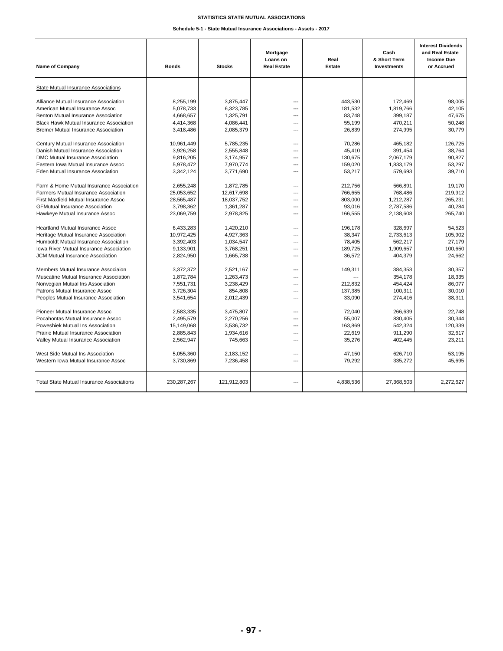#### **STATISTICS STATE MUTUAL ASSOCIATIONS**

**Schedule 5-1 - State Mutual Insurance Associations - Assets - 2017**

| <b>Name of Company</b>                           | <b>Bonds</b>  | <b>Stocks</b> | Mortgage<br>Loans on<br><b>Real Estate</b> | Real<br><b>Estate</b> | Cash<br>& Short Term<br>Investments | <b>Interest Dividends</b><br>and Real Estate<br><b>Income Due</b><br>or Accrued |
|--------------------------------------------------|---------------|---------------|--------------------------------------------|-----------------------|-------------------------------------|---------------------------------------------------------------------------------|
| <b>State Mutual Insurance Associations</b>       |               |               |                                            |                       |                                     |                                                                                 |
| Alliance Mutual Insurance Association            | 8,255,199     | 3,875,447     | $---$                                      | 443,530               | 172,469                             | 98,005                                                                          |
| American Mutual Insurance Assoc                  | 5,078,733     | 6,323,785     | ---                                        | 181,532               | 1,819,766                           | 42,105                                                                          |
| Benton Mutual Insurance Association              | 4,668,657     | 1,325,791     | ---                                        | 83,748                | 399,187                             | 47,675                                                                          |
| <b>Black Hawk Mutual Insurance Association</b>   | 4,414,368     | 4,086,441     | ---                                        | 55,199                | 470,211                             | 50,248                                                                          |
| <b>Bremer Mutual Insurance Association</b>       | 3,418,486     | 2,085,379     | ---                                        | 26,839                | 274,995                             | 30,779                                                                          |
| Century Mutual Insurance Association             | 10,961,449    | 5.785.235     | ---                                        | 70.286                | 465.182                             | 126.725                                                                         |
| Danish Mutual Insurance Association              | 3.926.258     | 2.555.848     | ---                                        | 45.410                | 391.454                             | 38.764                                                                          |
| DMC Mutual Insurance Association                 | 9.816.205     | 3,174,957     | ---                                        | 130,675               | 2.067.179                           | 90.827                                                                          |
| Eastern Iowa Mutual Insurance Assoc              | 5,978,472     | 7,970,774     | ---                                        | 159,020               | 1,833,179                           | 53.297                                                                          |
| Eden Mutual Insurance Association                | 3,342,124     | 3,771,690     | ---                                        | 53,217                | 579,693                             | 39.710                                                                          |
| Farm & Home Mutual Insurance Association         | 2.655.248     | 1.872.785     | ---                                        | 212,756               | 566.891                             | 19.170                                                                          |
| <b>Farmers Mutual Insurance Association</b>      | 25,053,652    | 12,617,698    | $- - -$                                    | 766,655               | 768,486                             | 219,912                                                                         |
| First Maxfield Mutual Insurance Assoc            | 28,565,487    | 18,037,752    | ---                                        | 803,000               | 1,212,287                           | 265,231                                                                         |
| <b>GFMutual Insurance Association</b>            | 3,798,362     | 1,361,287     | $---$                                      | 93,016                | 2,787,586                           | 40,284                                                                          |
| Hawkeye Mutual Insurance Assoc                   | 23,069,759    | 2,978,825     | ---                                        | 166,555               | 2,138,608                           | 265,740                                                                         |
| <b>Heartland Mutual Insurance Assoc</b>          | 6,433,283     | 1,420,210     | $\overline{a}$                             | 196,178               | 328,697                             | 54,523                                                                          |
| Heritage Mutual Insurance Association            | 10,972,425    | 4,927,363     | $\overline{a}$                             | 38,347                | 2,733,613                           | 105,902                                                                         |
| Humboldt Mutual Insurance Association            | 3,392,403     | 1,034,547     | ---                                        | 78,405                | 562,217                             | 27,179                                                                          |
| <b>Iowa River Mutual Insurance Association</b>   | 9,133,901     | 3,768,251     | ---                                        | 189,725               | 1,909,657                           | 100,650                                                                         |
| JCM Mutual Insurance Association                 | 2,824,950     | 1,665,738     | ---                                        | 36,572                | 404,379                             | 24,662                                                                          |
| Members Mutual Insurance Associaion              | 3,372,372     | 2,521,167     | ---                                        | 149,311               | 384,353                             | 30,357                                                                          |
| Muscatine Mutual Insurance Association           | 1,872,784     | 1,263,473     | ---                                        |                       | 354,178                             | 18,335                                                                          |
| Norwegian Mutual Ins Association                 | 7.551.731     | 3.238.429     | ---                                        | 212.832               | 454,424                             | 86.077                                                                          |
| Patrons Mutual Insurance Assoc                   | 3.726.304     | 854.808       | ---                                        | 137,385               | 100.311                             | 30.010                                                                          |
| Peoples Mutual Insurance Association             | 3,541,654     | 2,012,439     | ---                                        | 33,090                | 274,416                             | 38,311                                                                          |
| Pioneer Mutual Insurance Assoc                   | 2.583.335     | 3.475.807     | ---                                        | 72,040                | 266.639                             | 22.748                                                                          |
| Pocahontas Mutual Insurance Assoc                | 2,495,579     | 2,270,256     | ---                                        | 55,007                | 830,405                             | 30,344                                                                          |
| Poweshiek Mutual Ins Association                 | 15,149,068    | 3,536,732     | ---                                        | 163,869               | 542,324                             | 120,339                                                                         |
| Prairie Mutual Insurance Association             | 2,885,843     | 1,934,616     | ---                                        | 22,619                | 911,290                             | 32,617                                                                          |
| Valley Mutual Insurance Association              | 2,562,947     | 745,663       | ---                                        | 35,276                | 402,445                             | 23,211                                                                          |
| West Side Mutual Ins Association                 | 5,055,360     | 2,183,152     | $\overline{a}$                             | 47,150                | 626,710                             | 53,195                                                                          |
| Western Iowa Mutual Insurance Assoc              | 3,730,869     | 7,236,458     | $\overline{a}$                             | 79,292                | 335,272                             | 45,695                                                                          |
| <b>Total State Mutual Insurance Associations</b> | 230, 287, 267 | 121,912,803   |                                            | 4,838,536             | 27,368,503                          | 2,272,627                                                                       |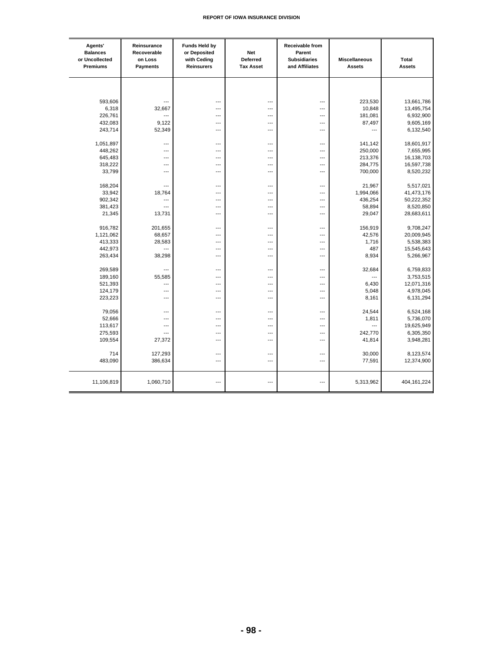| Agents'<br><b>Balances</b><br>or Uncollected<br>Premiums | Reinsurance<br>Recoverable<br>on Loss<br>Payments | <b>Funds Held by</b><br>or Deposited<br>with Ceding<br>Reinsurers | Net<br>Deferred<br><b>Tax Asset</b> | Receivable from<br>Parent<br><b>Subsidiaries</b><br>and Affiliates | <b>Miscellaneous</b><br><b>Assets</b> | <b>Total</b><br><b>Assets</b> |
|----------------------------------------------------------|---------------------------------------------------|-------------------------------------------------------------------|-------------------------------------|--------------------------------------------------------------------|---------------------------------------|-------------------------------|
|                                                          |                                                   |                                                                   |                                     |                                                                    |                                       |                               |
| 593,606                                                  | ---                                               | ---                                                               | ---                                 | ---                                                                | 223,530                               | 13,661,786                    |
| 6,318                                                    | 32,667                                            | ---                                                               | ---                                 | ---                                                                | 10,848                                | 13,495,754                    |
| 226,761                                                  | ---                                               | ---                                                               | ---                                 | ---                                                                | 181,081                               | 6,932,900                     |
| 432,083                                                  | 9,122                                             | ---                                                               | ---                                 | ---                                                                | 87,497                                | 9,605,169                     |
| 243,714                                                  | 52,349                                            | ---                                                               | ---                                 | ---                                                                | ---                                   | 6,132,540                     |
| 1,051,897                                                | ---                                               | ---                                                               | ---                                 | ---                                                                | 141,142                               | 18,601,917                    |
| 448,262                                                  | ---                                               | ---                                                               | ---                                 | ---                                                                | 250,000                               | 7,655,995                     |
| 645,483                                                  | ---                                               | ---                                                               | ---                                 | ---                                                                | 213,376                               | 16,138,703                    |
| 318,222                                                  | ---                                               | ---                                                               | ---                                 | ---                                                                | 284,775                               | 16,597,738                    |
| 33,799                                                   | ---                                               | ---                                                               | ---                                 | $\overline{a}$                                                     | 700,000                               | 8,520,232                     |
| 168,204                                                  | ---                                               | ---                                                               | ---                                 | ---                                                                | 21,967                                | 5,517,021                     |
| 33,942                                                   | 18,764                                            | $\overline{a}$                                                    | ---                                 | $---$                                                              | 1,994,066                             | 41,473,176                    |
| 902,342                                                  | ---                                               | $\overline{a}$                                                    | ---                                 | $\overline{a}$                                                     | 436,254                               | 50,222,352                    |
| 381,423                                                  | $\overline{a}$                                    | $\overline{a}$                                                    | ---                                 | $---$                                                              | 58,894                                | 8,520,850                     |
| 21,345                                                   | 13,731                                            | $\overline{a}$                                                    | $\overline{a}$                      | $---$                                                              | 29,047                                | 28,683,611                    |
| 916,782                                                  | 201,655                                           | ---                                                               | $\overline{a}$                      | $\overline{a}$                                                     | 156,919                               | 9,708,247                     |
| 1,121,062                                                | 68,657                                            | $\overline{a}$                                                    | ---                                 | ---                                                                | 42,576                                | 20,009,945                    |
| 413,333                                                  | 28,583                                            | ---                                                               | ---                                 | ---                                                                | 1,716                                 | 5,538,383                     |
| 442,973                                                  | ---                                               | ---                                                               | ---                                 | ---                                                                | 487                                   | 15,545,643                    |
| 263,434                                                  | 38,298                                            | $\overline{a}$                                                    | ---                                 | $\overline{a}$                                                     | 8,934                                 | 5,266,967                     |
| 269,589                                                  | ---                                               | ---                                                               | ---                                 | ---                                                                | 32,684                                | 6,759,833                     |
| 189,160                                                  | 55,585                                            | ---                                                               | …                                   | ---                                                                | ---                                   | 3,753,515                     |
| 521,393                                                  | ---                                               | ---                                                               | ---                                 | ---                                                                | 6,430                                 | 12,071,316                    |
| 124,179                                                  | ---                                               | $\overline{a}$                                                    | ---                                 | $\overline{a}$                                                     | 5,048                                 | 4,978,045                     |
| 223,223                                                  | ---                                               | $\overline{a}$                                                    | ---                                 | $---$                                                              | 8,161                                 | 6,131,294                     |
| 79,056                                                   | ---                                               | $\overline{a}$                                                    | ---                                 | $---$                                                              | 24,544                                | 6,524,168                     |
| 52,666                                                   | ---                                               | ---                                                               | ---                                 | ---                                                                | 1,811                                 | 5,736,070                     |
| 113,617                                                  | ---                                               | ---                                                               | ---                                 | ---                                                                | $\overline{a}$                        | 19,625,949                    |
| 275,593                                                  | ---                                               | ---                                                               | ---                                 | ---                                                                | 242,770                               | 6,305,350                     |
| 109,554                                                  | 27,372                                            | ---                                                               | ---                                 | $\overline{a}$                                                     | 41,814                                | 3,948,281                     |
| 714                                                      | 127,293                                           | $\overline{a}$                                                    | $\overline{a}$                      | $\overline{a}$                                                     | 30,000                                | 8,123,574                     |
| 483,090                                                  | 386,634                                           | ---                                                               | ---                                 | ---                                                                | 77,591                                | 12,374,900                    |
| 11,106,819                                               | 1,060,710                                         | $\overline{a}$                                                    | ---                                 | $\overline{a}$                                                     | 5,313,962                             | 404, 161, 224                 |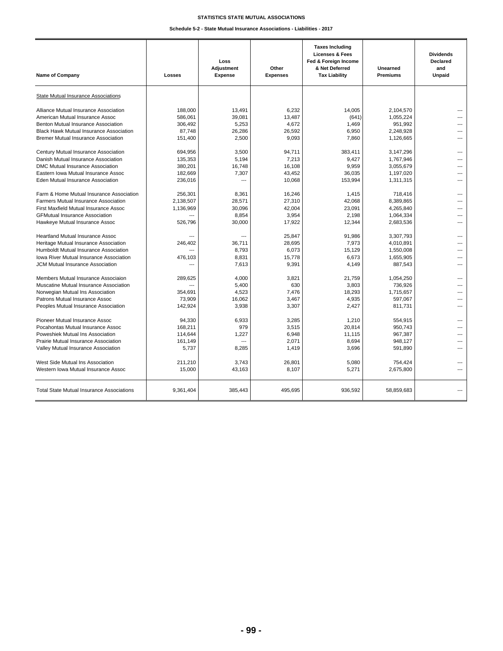#### **STATISTICS STATE MUTUAL ASSOCIATIONS**

**Schedule 5-2 - State Mutual Insurance Associations - Liabilities - 2017**

| <b>Name of Company</b>                                                                                                                                                                                   | Losses                                      | Loss<br>Adjustment<br><b>Expense</b>     | Other<br><b>Expenses</b>                     | <b>Taxes Including</b><br><b>Licenses &amp; Fees</b><br>Fed & Foreign Income<br>& Net Deferred<br><b>Tax Liability</b> | Unearned<br><b>Premiums</b>                                 | <b>Dividends</b><br><b>Declared</b><br>and<br>Unpaid |
|----------------------------------------------------------------------------------------------------------------------------------------------------------------------------------------------------------|---------------------------------------------|------------------------------------------|----------------------------------------------|------------------------------------------------------------------------------------------------------------------------|-------------------------------------------------------------|------------------------------------------------------|
| State Mutual Insurance Associations                                                                                                                                                                      |                                             |                                          |                                              |                                                                                                                        |                                                             |                                                      |
| Alliance Mutual Insurance Association                                                                                                                                                                    | 188,000                                     | 13,491                                   | 6,232                                        | 14,005                                                                                                                 | 2,104,570                                                   | ---                                                  |
| American Mutual Insurance Assoc                                                                                                                                                                          | 586,061                                     | 39,081                                   | 13,487                                       | (641)                                                                                                                  | 1,055,224                                                   | ---                                                  |
| Benton Mutual Insurance Association                                                                                                                                                                      | 306,492                                     | 5,253                                    | 4,672                                        | 1,469                                                                                                                  | 951,992                                                     | ---                                                  |
| <b>Black Hawk Mutual Insurance Association</b>                                                                                                                                                           | 87,748                                      | 26,286                                   | 26,592                                       | 6,950                                                                                                                  | 2,248,928                                                   | ---                                                  |
| <b>Bremer Mutual Insurance Association</b>                                                                                                                                                               | 151,400                                     | 2,500                                    | 9,093                                        | 7,860                                                                                                                  | 1,126,665                                                   | ---                                                  |
| Century Mutual Insurance Association                                                                                                                                                                     | 694,956                                     | 3,500                                    | 94,711                                       | 383,411                                                                                                                | 3,147,296                                                   | $\sim$                                               |
| Danish Mutual Insurance Association                                                                                                                                                                      | 135,353                                     | 5.194                                    | 7,213                                        | 9,427                                                                                                                  | 1,767,946                                                   | ---                                                  |
| DMC Mutual Insurance Association                                                                                                                                                                         | 380,201                                     | 16,748                                   | 16,108                                       | 9,959                                                                                                                  | 3,055,679                                                   | ---                                                  |
| Eastern Iowa Mutual Insurance Assoc                                                                                                                                                                      | 182,669                                     | 7,307                                    | 43,452                                       | 36,035                                                                                                                 | 1,197,020                                                   | ---                                                  |
| Eden Mutual Insurance Association                                                                                                                                                                        | 236,016                                     | ---                                      | 10,068                                       | 153,994                                                                                                                | 1,311,315                                                   | ---                                                  |
| Farm & Home Mutual Insurance Association                                                                                                                                                                 | 256.301                                     | 8,361                                    | 16.246                                       | 1,415                                                                                                                  | 718,416                                                     | ---                                                  |
| <b>Farmers Mutual Insurance Association</b>                                                                                                                                                              | 2,138,507                                   | 28,571                                   | 27,310                                       | 42,068                                                                                                                 | 8,389,865                                                   | ---                                                  |
| First Maxfield Mutual Insurance Assoc                                                                                                                                                                    | 1,136,969                                   | 30,096                                   | 42,004                                       | 23,091                                                                                                                 | 4,265,840                                                   | ---                                                  |
| <b>GFMutual Insurance Association</b>                                                                                                                                                                    | $\overline{a}$                              | 8,854                                    | 3,954                                        | 2,198                                                                                                                  | 1,064,334                                                   | ---                                                  |
| Hawkeye Mutual Insurance Assoc                                                                                                                                                                           | 526,796                                     | 30,000                                   | 17,922                                       | 12,344                                                                                                                 | 2,683,536                                                   | ---                                                  |
| <b>Heartland Mutual Insurance Assoc</b><br>Heritage Mutual Insurance Association<br>Humboldt Mutual Insurance Association<br>Iowa River Mutual Insurance Association<br>JCM Mutual Insurance Association | $\overline{a}$<br>246,402<br>476,103<br>--- | ---<br>36,711<br>8,793<br>8,831<br>7,613 | 25.847<br>28,695<br>6.073<br>15,778<br>9,391 | 91.986<br>7,973<br>15,129<br>6,673<br>4,149                                                                            | 3.307.793<br>4,010,891<br>1,550,008<br>1,655,905<br>887,543 | ---<br>---<br>$\overline{a}$<br>---<br>---           |
| Members Mutual Insurance Associaion                                                                                                                                                                      | 289,625                                     | 4,000                                    | 3,821                                        | 21,759                                                                                                                 | 1,054,250                                                   | ---                                                  |
| Muscatine Mutual Insurance Association                                                                                                                                                                   | $\sim$                                      | 5,400                                    | 630                                          | 3,803                                                                                                                  | 736,926                                                     | ---                                                  |
| Norwegian Mutual Ins Association                                                                                                                                                                         | 354,691                                     | 4,523                                    | 7,476                                        | 18,293                                                                                                                 | 1,715,657                                                   | ---                                                  |
| Patrons Mutual Insurance Assoc                                                                                                                                                                           | 73.909                                      | 16,062                                   | 3,467                                        | 4,935                                                                                                                  | 597,067                                                     | ---                                                  |
| Peoples Mutual Insurance Association                                                                                                                                                                     | 142,924                                     | 3,938                                    | 3,307                                        | 2,427                                                                                                                  | 811,731                                                     | ---                                                  |
| Pioneer Mutual Insurance Assoc                                                                                                                                                                           | 94,330                                      | 6,933                                    | 3,285                                        | 1,210                                                                                                                  | 554,915                                                     | ---                                                  |
| Pocahontas Mutual Insurance Assoc                                                                                                                                                                        | 168,211                                     | 979                                      | 3,515                                        | 20.814                                                                                                                 | 950.743                                                     | ---                                                  |
| Poweshiek Mutual Ins Association                                                                                                                                                                         | 114,644                                     | 1,227                                    | 6,948                                        | 11,115                                                                                                                 | 967,387                                                     | ---                                                  |
| Prairie Mutual Insurance Association                                                                                                                                                                     | 161,149                                     | ---                                      | 2.071                                        | 8,694                                                                                                                  | 948.127                                                     | $\overline{a}$                                       |
| Valley Mutual Insurance Association                                                                                                                                                                      | 5,737                                       | 8,285                                    | 1,419                                        | 3,696                                                                                                                  | 591,890                                                     | ---                                                  |
| West Side Mutual Ins Association                                                                                                                                                                         | 211,210                                     | 3,743                                    | 26,801                                       | 5,080                                                                                                                  | 754,424                                                     | ---                                                  |
| Western Iowa Mutual Insurance Assoc                                                                                                                                                                      | 15,000                                      | 43,163                                   | 8,107                                        | 5,271                                                                                                                  | 2,675,800                                                   | ---                                                  |
| <b>Total State Mutual Insurance Associations</b>                                                                                                                                                         | 9,361,404                                   | 385,443                                  | 495,695                                      | 936,592                                                                                                                | 58,859,683                                                  | ---                                                  |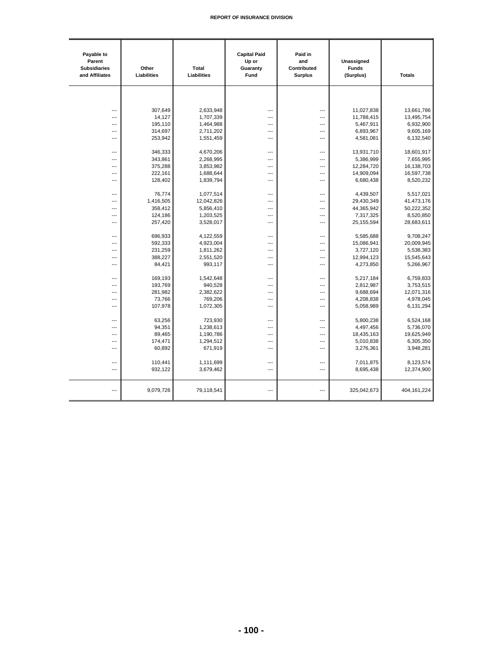| Payable to<br>Parent<br><b>Subsidiaries</b><br>and Affiliates | Other<br>Liabilities | Total<br>Liabilities | <b>Capital Paid</b><br>Up or<br>Guaranty<br>Fund | Paid in<br>and<br>Contributed<br><b>Surplus</b> | Unassigned<br><b>Funds</b><br>(Surplus) | <b>Totals</b> |
|---------------------------------------------------------------|----------------------|----------------------|--------------------------------------------------|-------------------------------------------------|-----------------------------------------|---------------|
|                                                               |                      |                      |                                                  |                                                 |                                         |               |
|                                                               |                      |                      |                                                  |                                                 |                                         |               |
| ---                                                           | 307.649              | 2,633,948            | ---                                              | ---                                             | 11,027,838                              | 13,661,786    |
| $\overline{a}$                                                | 14,127               | 1,707,339            | ---                                              | ---                                             | 11,788,415                              | 13,495,754    |
| $---$                                                         | 195,110              | 1,464,988            | ---                                              | ---                                             | 5,467,911                               | 6,932,900     |
| $\overline{a}$                                                | 314,697              | 2,711,202            | ---                                              | ---                                             | 6,893,967                               | 9,605,169     |
| ---                                                           | 253,942              | 1,551,459            | ---                                              | ---                                             | 4,581,081                               | 6,132,540     |
| $\overline{a}$                                                | 346,333              | 4,670,206            | ---                                              | ---                                             | 13,931,710                              | 18,601,917    |
| $---$                                                         | 343,861              | 2,268,995            | ---                                              | ---                                             | 5,386,999                               | 7,655,995     |
| ---                                                           | 375,288              | 3,853,982            | ---                                              | ---                                             | 12,284,720                              | 16,138,703    |
| ---                                                           | 222,161              | 1,688,644            | ---                                              | ---                                             | 14,909,094                              | 16,597,738    |
| ---                                                           | 128,402              | 1,839,794            | ---                                              | ---                                             | 6,680,438                               | 8,520,232     |
| ---                                                           | 76,774               | 1,077,514            | ---                                              | ---                                             | 4,439,507                               | 5,517,021     |
| $\overline{a}$                                                | 1,416,505            | 12,042,826           | ---                                              | ---                                             | 29,430,349                              | 41,473,176    |
| ---                                                           | 358,412              | 5,856,410            | ---                                              | ---                                             | 44,365,942                              | 50,222,352    |
| ---                                                           | 124,186              | 1,203,525            | ---                                              | ---                                             | 7,317,325                               | 8,520,850     |
| $\overline{a}$                                                | 257,420              | 3,528,017            | ---                                              | $\overline{a}$                                  | 25, 155, 594                            | 28,683,611    |
| ---                                                           | 696,933              | 4,122,559            | ---                                              | ---                                             | 5,585,688                               | 9,708,247     |
| ---                                                           | 592,333              | 4,923,004            | ---                                              | $\overline{a}$                                  | 15,086,941                              | 20,009,945    |
| $---$                                                         | 231,259              | 1,811,262            | ---                                              | ---                                             | 3,727,120                               | 5,538,383     |
| $\overline{a}$                                                | 388,227              | 2,551,520            | ---                                              | ---                                             | 12,994,123                              | 15,545,643    |
| ---                                                           | 84,421               | 993,117              | ---                                              | ---                                             | 4,273,850                               | 5,266,967     |
|                                                               |                      |                      |                                                  |                                                 |                                         |               |
| $\overline{a}$                                                | 169,193              | 1,542,648            | ---                                              | ---                                             | 5,217,184                               | 6,759,833     |
| $---$                                                         | 193,769              | 940,528              | ---                                              | $\overline{a}$                                  | 2,812,987                               | 3,753,515     |
| ---                                                           | 281,982              | 2,382,622            | ---                                              | ---                                             | 9,688,694                               | 12,071,316    |
| ---                                                           | 73,766               | 769,206              | ---                                              | ---                                             | 4,208,838                               | 4,978,045     |
| $\overline{a}$                                                | 107,978              | 1,072,305            | ---                                              | ---                                             | 5,058,989                               | 6,131,294     |
| ---                                                           | 63,256               | 723,930              | ---                                              | ---                                             | 5,800,238                               | 6,524,168     |
| $\overline{a}$                                                | 94,351               | 1,238,613            | ---                                              | ---                                             | 4,497,456                               | 5,736,070     |
| ---                                                           | 89,465               | 1,190,786            | ---                                              | ---                                             | 18,435,163                              | 19,625,949    |
| $\overline{\phantom{a}}$                                      | 174,471              | 1,294,512            | ---                                              | ---                                             | 5,010,838                               | 6,305,350     |
| $\overline{a}$                                                | 60,892               | 671,919              | ---                                              | ---                                             | 3,276,361                               | 3,948,281     |
| ---                                                           | 110,441              | 1,111,699            | ---                                              | ---                                             | 7,011,875                               | 8,123,574     |
| $\overline{a}$                                                | 932,122              | 3,679,462            | ---                                              | ---                                             | 8,695,438                               | 12,374,900    |
|                                                               |                      |                      |                                                  |                                                 |                                         |               |
| $\overline{a}$                                                | 9,079,726            | 79,118,541           | ---                                              | ---                                             | 325,042,673                             | 404, 161, 224 |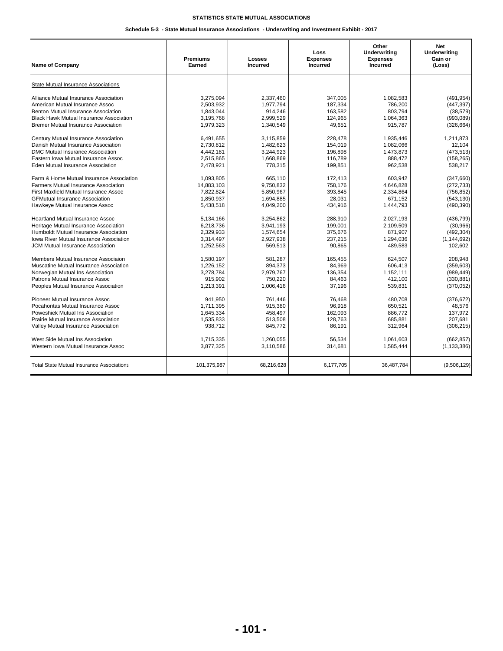## **Schedule 5-3 - State Mutual Insurance Associations - Underwriting and Investment Exhibit - 2017**

| Name of Company                                  | <b>Premiums</b><br>Earned | Losses<br><b>Incurred</b> | Loss<br><b>Expenses</b><br><b>Incurred</b> | Other<br><b>Underwriting</b><br><b>Expenses</b><br><b>Incurred</b> | <b>Net</b><br><b>Underwriting</b><br>Gain or<br>(Loss) |
|--------------------------------------------------|---------------------------|---------------------------|--------------------------------------------|--------------------------------------------------------------------|--------------------------------------------------------|
| State Mutual Insurance Associations              |                           |                           |                                            |                                                                    |                                                        |
| Alliance Mutual Insurance Association            | 3.275.094                 | 2,337,460                 | 347,005                                    | 1.082.583                                                          | (491, 954)                                             |
| American Mutual Insurance Assoc                  | 2,503,932                 | 1,977,794                 | 187,334                                    | 786,200                                                            | (447, 397)                                             |
| Benton Mutual Insurance Association              | 1,843,044                 | 914,246                   | 163,582                                    | 803,794                                                            | (38, 579)                                              |
| <b>Black Hawk Mutual Insurance Association</b>   | 3,195,768                 | 2,999,529                 | 124,965                                    | 1,064,363                                                          | (993,089)                                              |
| <b>Bremer Mutual Insurance Association</b>       | 1,979,323                 | 1,340,549                 | 49,651                                     | 915,787                                                            | (326, 664)                                             |
| Century Mutual Insurance Association             | 6,491,655                 | 3,115,859                 | 228,478                                    | 1,935,446                                                          | 1,211,873                                              |
| Danish Mutual Insurance Association              | 2,730,812                 | 1,482,623                 | 154,019                                    | 1,082,066                                                          | 12,104                                                 |
| DMC Mutual Insurance Association                 | 4,442,181                 | 3,244,923                 | 196,898                                    | 1,473,873                                                          | (473, 513)                                             |
| Eastern Iowa Mutual Insurance Assoc              | 2,515,865                 | 1,668,869                 | 116,789                                    | 888,472                                                            | (158, 265)                                             |
| Eden Mutual Insurance Association                | 2,478,921                 | 778,315                   | 199,851                                    | 962,538                                                            | 538,217                                                |
| Farm & Home Mutual Insurance Association         | 1.093.805                 | 665.110                   | 172,413                                    | 603.942                                                            | (347,660)                                              |
| <b>Farmers Mutual Insurance Association</b>      | 14,883,103                | 9,750,832                 | 758,176                                    | 4,646,828                                                          | (272, 733)                                             |
| First Maxfield Mutual Insurance Assoc            | 7,822,824                 | 5,850,967                 | 393,845                                    | 2,334,864                                                          | (756, 852)                                             |
| <b>GFMutual Insurance Association</b>            | 1,850,937                 | 1,694,885                 | 28,031                                     | 671,152                                                            | (543, 130)                                             |
| Hawkeye Mutual Insurance Assoc                   | 5,438,518                 | 4,049,200                 | 434,916                                    | 1,444,793                                                          | (490, 390)                                             |
| <b>Heartland Mutual Insurance Assoc</b>          | 5,134,166                 | 3,254,862                 | 288,910                                    | 2,027,193                                                          | (436, 799)                                             |
| Heritage Mutual Insurance Association            | 6,218,736                 | 3,941,193                 | 199,001                                    | 2,109,509                                                          | (30, 966)                                              |
| Humboldt Mutual Insurance Association            | 2,329,933                 | 1,574,654                 | 375,676                                    | 871,907                                                            | (492, 304)                                             |
| <b>Iowa River Mutual Insurance Association</b>   | 3,314,497                 | 2,927,938                 | 237,215                                    | 1,294,036                                                          | (1, 144, 692)                                          |
| <b>JCM Mutual Insurance Association</b>          | 1,252,563                 | 569,513                   | 90,865                                     | 489,583                                                            | 102,602                                                |
| Members Mutual Insurance Associaion              | 1.580.197                 | 581.287                   | 165,455                                    | 624.507                                                            | 208.948                                                |
| Muscatine Mutual Insurance Association           | 1,226,152                 | 894,373                   | 84,969                                     | 606,413                                                            | (359, 603)                                             |
| Norwegian Mutual Ins Association                 | 3,278,784                 | 2,979,767                 | 136,354                                    | 1,152,111                                                          | (989, 449)                                             |
| Patrons Mutual Insurance Assoc                   | 915,902                   | 750,220                   | 84,463                                     | 412,100                                                            | (330, 881)                                             |
| Peoples Mutual Insurance Association             | 1,213,391                 | 1,006,416                 | 37,196                                     | 539,831                                                            | (370, 052)                                             |
| Pioneer Mutual Insurance Assoc                   | 941,950                   | 761,446                   | 76,468                                     | 480,708                                                            | (376, 672)                                             |
| Pocahontas Mutual Insurance Assoc                | 1,711,395                 | 915,380                   | 96,918                                     | 650,521                                                            | 48,576                                                 |
| Poweshiek Mutual Ins Association                 | 1,645,334                 | 458,497                   | 162,093                                    | 886,772                                                            | 137,972                                                |
| Prairie Mutual Insurance Association             | 1,535,833                 | 513,508                   | 128,763                                    | 685,881                                                            | 207.681                                                |
| Valley Mutual Insurance Association              | 938,712                   | 845,772                   | 86,191                                     | 312,964                                                            | (306, 215)                                             |
| West Side Mutual Ins Association                 | 1,715,335                 | 1,260,055                 | 56,534                                     | 1,061,603                                                          | (662, 857)                                             |
| Western Iowa Mutual Insurance Assoc              | 3,877,325                 | 3,110,586                 | 314,681                                    | 1,585,444                                                          | (1, 133, 386)                                          |
|                                                  |                           |                           |                                            |                                                                    |                                                        |
| <b>Total State Mutual Insurance Associations</b> | 101,375,987               | 68,216,628                | 6,177,705                                  | 36,487,784                                                         | (9,506,129)                                            |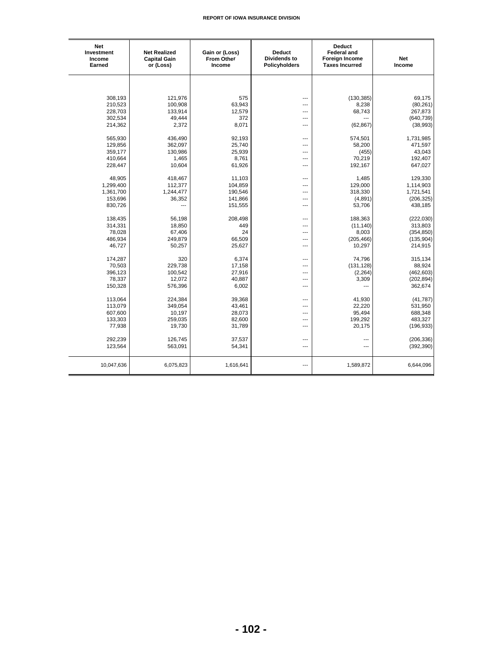| Net<br>Investment<br>Income<br>Earned | <b>Net Realized</b><br><b>Capital Gain</b><br>or (Loss) | Gain or (Loss)<br><b>From Other</b><br>Income | <b>Deduct</b><br><b>Dividends to</b><br>Policyholders | <b>Deduct</b><br><b>Federal and</b><br><b>Foreign Income</b><br><b>Taxes Incurred</b> | <b>Net</b><br>Income |
|---------------------------------------|---------------------------------------------------------|-----------------------------------------------|-------------------------------------------------------|---------------------------------------------------------------------------------------|----------------------|
|                                       |                                                         |                                               |                                                       |                                                                                       |                      |
| 308,193                               | 121,976                                                 | 575                                           | ---                                                   | (130, 385)                                                                            | 69,175               |
| 210,523                               | 100,908                                                 | 63,943                                        | ---                                                   | 8,238                                                                                 | (80, 261)            |
| 228,703                               | 133,914                                                 | 12,579                                        | ---                                                   | 68,743                                                                                | 267,873              |
| 302,534                               | 49,444                                                  | 372                                           | ---                                                   | $\overline{a}$                                                                        | (640, 739)           |
| 214,362                               | 2,372                                                   | 8,071                                         | ---                                                   | (62, 867)                                                                             | (38,993)             |
| 565.930                               | 436,490                                                 | 92,193                                        | ---                                                   | 574,501                                                                               | 1,731,985            |
| 129,856                               | 362,097                                                 | 25,740                                        | ---                                                   | 58,200                                                                                | 471,597              |
| 359,177                               | 130,986                                                 | 25,939                                        | ---                                                   | (455)                                                                                 | 43,043               |
| 410,664                               | 1,465                                                   | 8,761                                         | ---                                                   | 70,219                                                                                | 192,407              |
| 228,447                               | 10,604                                                  | 61,926                                        | ---                                                   | 192,167                                                                               | 647,027              |
| 48,905                                | 418,467                                                 | 11,103                                        | ---                                                   | 1,485                                                                                 | 129,330              |
| 1,299,400                             | 112,377                                                 | 104,859                                       | $\overline{a}$                                        | 129,000                                                                               | 1,114,903            |
| 1,361,700                             | 1,244,477                                               | 190,546                                       | $\overline{a}$                                        | 318,330                                                                               | 1,721,541            |
| 153,696                               | 36,352                                                  | 141,866                                       | $\overline{a}$                                        | (4,891)                                                                               | (206, 325)           |
| 830,726                               | $\overline{a}$                                          | 151,555                                       | ---                                                   | 53,706                                                                                | 438,185              |
| 138,435                               | 56,198                                                  | 208.498                                       | ---                                                   | 188,363                                                                               | (222, 030)           |
| 314,331                               | 18,850                                                  | 449                                           | ---                                                   | (11, 140)                                                                             | 313,803              |
| 78,028                                | 67,406                                                  | 24                                            | ---                                                   | 8,003                                                                                 | (354, 850)           |
| 486,934                               | 249,879                                                 | 66,509                                        | ---                                                   | (205, 466)                                                                            | (135, 904)           |
| 46,727                                | 50,257                                                  | 25,627                                        | ---                                                   | 10,297                                                                                | 214,915              |
| 174,287                               | 320                                                     | 6,374                                         | ---                                                   | 74,796                                                                                | 315,134              |
| 70,503                                | 229,738                                                 | 17,158                                        | ---                                                   | (131, 128)                                                                            | 88,924               |
| 396,123                               | 100,542                                                 | 27,916                                        | ---                                                   | (2, 264)                                                                              | (462, 603)           |
| 78,337                                | 12,072                                                  | 40,887                                        | ---                                                   | 3,309                                                                                 | (202, 894)           |
| 150,328                               | 576,396                                                 | 6,002                                         | ---                                                   | $\overline{a}$                                                                        | 362,674              |
| 113,064                               | 224,384                                                 | 39,368                                        | ---                                                   | 41,930                                                                                | (41, 787)            |
| 113,079                               | 349,054                                                 | 43,461                                        | ---                                                   | 22,220                                                                                | 531,950              |
| 607,600                               | 10,197                                                  | 28,073                                        | ---                                                   | 95,494                                                                                | 688,348              |
| 133,303                               | 259,035                                                 | 82,600                                        | ---                                                   | 199,292                                                                               | 483,327              |
| 77,938                                | 19,730                                                  | 31,789                                        | ---                                                   | 20,175                                                                                | (196, 933)           |
| 292,239                               | 126,745                                                 | 37,537                                        | ---                                                   | ---                                                                                   | (206, 336)           |
| 123,564                               | 563,091                                                 | 54,341                                        | $\overline{a}$                                        | $\overline{a}$                                                                        | (392, 390)           |
| 10,047,636                            | 6,075,823                                               | 1,616,641                                     | ---                                                   | 1,589,872                                                                             | 6,644,096            |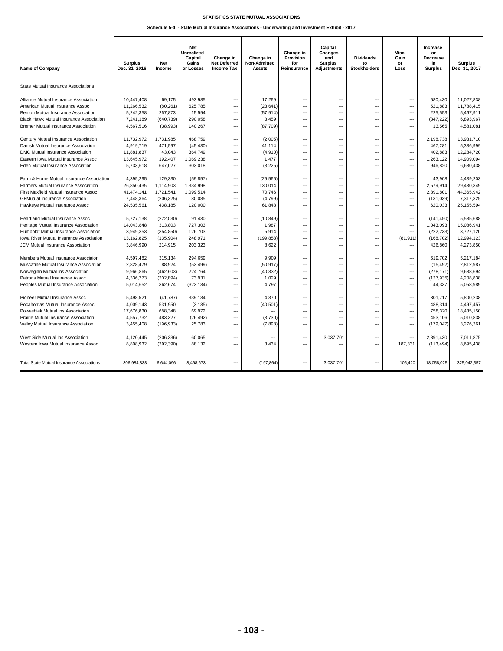**Schedule 5-4 - State Mutual Insurance Associations - Underwriting and Investment Exhibit - 2017**

| <b>Name of Company</b>                           | <b>Surplus</b><br>Dec. 31, 2016 | <b>Net</b><br>Income | <b>Net</b><br><b>Unrealized</b><br>Capital<br>Gains<br>or Losses | Change in<br>Net Deferred<br><b>Income Tax</b> | Change in<br>Non-Admitted<br><b>Assets</b> | Change in<br>Provision<br>for<br>Reinsurance | Capital<br><b>Changes</b><br>and<br><b>Surplus</b><br><b>Adjustments</b> | <b>Dividends</b><br>to<br><b>Stockholders</b> | Misc.<br>Gain<br>or<br>Loss | Increase<br>or<br><b>Decrease</b><br>in<br><b>Surplus</b> | <b>Surplus</b><br>Dec. 31, 2017 |
|--------------------------------------------------|---------------------------------|----------------------|------------------------------------------------------------------|------------------------------------------------|--------------------------------------------|----------------------------------------------|--------------------------------------------------------------------------|-----------------------------------------------|-----------------------------|-----------------------------------------------------------|---------------------------------|
| State Mutual Insurance Associations              |                                 |                      |                                                                  |                                                |                                            |                                              |                                                                          |                                               |                             |                                                           |                                 |
|                                                  |                                 |                      |                                                                  |                                                |                                            |                                              |                                                                          |                                               |                             |                                                           |                                 |
| Alliance Mutual Insurance Association            | 10,447,408                      | 69,175               | 493,985                                                          | Щ.                                             | 17,269                                     |                                              |                                                                          | ---                                           | $\sim$                      | 580,430                                                   | 11.027.838                      |
| American Mutual Insurance Assoc                  | 11,266,532                      | (80, 261)            | 625,785                                                          | ---<br>ш.                                      | (23, 641)                                  | ---<br>                                      | ---<br>---                                                               | ---<br>                                       | ---<br>$\overline{a}$       | 521,883                                                   | 11,788,415                      |
| Benton Mutual Insurance Association              | 5,242,358                       | 267,873              | 15,594                                                           |                                                | (57, 914)                                  |                                              |                                                                          |                                               |                             | 225,553                                                   | 5,467,911                       |
| <b>Black Hawk Mutual Insurance Association</b>   | 7,241,189                       | (640, 739)           | 290,058                                                          | ---                                            | 3,459                                      | ---                                          | ---                                                                      | ---                                           | $\sim$                      | (347, 222)                                                | 6,893,967                       |
| <b>Bremer Mutual Insurance Association</b>       | 4,567,516                       | (38, 993)            | 140,267                                                          | $\cdots$                                       | (87,709)                                   | ---                                          | $\overline{a}$                                                           | $\overline{a}$                                | $\sim$                      | 13,565                                                    | 4,581,081                       |
| Century Mutual Insurance Association             | 11,732,972                      | 1.731.985            | 468.759                                                          | ---                                            | (2,005)                                    | ---                                          | ---                                                                      | ---                                           | ---                         | 2.198.738                                                 | 13.931.710                      |
| Danish Mutual Insurance Association              | 4,919,719                       | 471,597              | (45, 430)                                                        | ---                                            | 41,114                                     | ---                                          | $\overline{a}$                                                           | ---                                           | $\sim$                      | 467,281                                                   | 5,386,999                       |
| DMC Mutual Insurance Association                 | 11,881,837                      | 43,043               | 364,749                                                          | ---                                            | (4,910)                                    | …                                            | ---                                                                      | ---                                           | ---                         | 402,883                                                   | 12,284,720                      |
| Eastern Iowa Mutual Insurance Assoc              | 13,645,972                      | 192,407              | 1,069,238                                                        | $\sim$                                         | 1,477                                      | ---                                          | $\overline{a}$                                                           | $\overline{a}$                                | $\overline{a}$              | 1,263,122                                                 | 14,909,094                      |
| Eden Mutual Insurance Association                | 5,733,618                       | 647,027              | 303,018                                                          | ---                                            | (3, 225)                                   | ---                                          | ---                                                                      | ---                                           | ---                         | 946,820                                                   | 6,680,438                       |
| Farm & Home Mutual Insurance Association         | 4,395,295                       | 129,330              | (59, 857)                                                        | ---                                            | (25, 565)                                  | ---                                          | ---                                                                      | ---                                           | ---                         | 43,908                                                    | 4,439,203                       |
| Farmers Mutual Insurance Association             | 26,850,435                      | 1,114,903            | 1,334,998                                                        | ---                                            | 130,014                                    | ---                                          |                                                                          | ---                                           | $\overline{a}$              | 2,579,914                                                 | 29,430,349                      |
| First Maxfield Mutual Insurance Assoc            | 41,474,141                      | 1,721,541            | 1,099,514                                                        | $\sim$                                         | 70,746                                     | $\overline{\phantom{a}}$                     | $\sim$                                                                   | $\sim$                                        | $\sim$                      | 2,891,801                                                 | 44,365,942                      |
| <b>GFMutual Insurance Association</b>            | 7,448,364                       | (206, 325)           | 80,085                                                           | ---                                            | (4, 799)                                   | ---                                          | $\sim$                                                                   | ---                                           | $\sim$                      | (131, 039)                                                | 7,317,325                       |
| Hawkeye Mutual Insurance Assoc                   | 24,535,561                      | 438,185              | 120,000                                                          | $\sim$                                         | 61,848                                     | ---                                          | $\overline{a}$                                                           | $\overline{a}$                                | $\overline{a}$              | 620,033                                                   | 25,155,594                      |
| Heartland Mutual Insurance Assoc                 | 5,727,138                       | (222, 030)           | 91,430                                                           | $\sim$                                         | (10, 849)                                  | ---                                          | ---                                                                      | ---                                           | $\overline{a}$              | (141, 450)                                                | 5,585,688                       |
| Heritage Mutual Insurance Association            | 14,043,848                      | 313,803              | 727,303                                                          | ---                                            | 1,987                                      | ---                                          | $\sim$                                                                   | ---                                           | $\overline{a}$              | 1,043,093                                                 | 15,086,941                      |
| Humboldt Mutual Insurance Association            | 3,949,353                       | (354, 850)           | 126,703                                                          | ---                                            | 5,914                                      | ---                                          | ---                                                                      | ---                                           | $\overline{a}$              | (222, 233)                                                | 3,727,120                       |
| Iowa River Mutual Insurance Association          | 13,162,825                      | (135, 904)           | 248,971                                                          | ---                                            | (199, 858)                                 | ---                                          | $\sim$                                                                   | ---                                           | (81, 911)                   | (168, 702)                                                | 12,994,123                      |
| JCM Mutual Insurance Association                 | 3,846,990                       | 214,915              | 203,323                                                          | ---                                            | 8,622                                      | ---                                          | ---                                                                      | ---                                           | $\overline{a}$              | 426,860                                                   | 4,273,850                       |
|                                                  |                                 |                      |                                                                  |                                                |                                            |                                              |                                                                          |                                               |                             |                                                           |                                 |
| Members Mutual Insurance Associaion              | 4,597,482                       | 315,134              | 294,659                                                          | ---                                            | 9,909                                      | ---                                          | ---                                                                      | ---                                           | $\overline{\phantom{a}}$    | 619,702                                                   | 5,217,184                       |
| Muscatine Mutual Insurance Association           | 2,828,479                       | 88,924               | (53, 499)                                                        | ---                                            | (50, 917)                                  | …                                            | ---                                                                      | ---                                           | $\overline{\phantom{a}}$    | (15, 492)                                                 | 2,812,987                       |
| Norwegian Mutual Ins Association                 | 9,966,865                       | (462, 603)           | 224,764                                                          | ---                                            | (40, 332)                                  | ---                                          | ---                                                                      | ---                                           | $\overline{\phantom{a}}$    | (278, 171)                                                | 9,688,694                       |
| Patrons Mutual Insurance Assoc                   | 4,336,773                       | (202, 894)           | 73,931                                                           | ---                                            | 1,029                                      | ---                                          | ---                                                                      | ---                                           | $\sim$                      | (127, 935)                                                | 4,208,838                       |
| Peoples Mutual Insurance Association             | 5,014,652                       | 362,674              | (323, 134)                                                       | $\sim$                                         | 4,797                                      | ---                                          | ---                                                                      | ---                                           | $\overline{\phantom{a}}$    | 44,337                                                    | 5,058,989                       |
| Pioneer Mutual Insurance Assoc                   | 5,498,521                       | (41,787)             | 339,134                                                          | $\sim$                                         | 4,370                                      | ---                                          | ---                                                                      | ---                                           | $\overline{a}$              | 301.717                                                   | 5.800.238                       |
| Pocahontas Mutual Insurance Assoc                | 4,009,143                       | 531,950              | (3, 135)                                                         | ---                                            | (40, 501)                                  | …                                            | ---                                                                      | ---                                           | $\sim$                      | 488,314                                                   | 4,497,457                       |
| Poweshiek Mutual Ins Association                 | 17,676,830                      | 688,348              | 69,972                                                           | ---                                            | $\overline{a}$                             | ---                                          | ---                                                                      | $\overline{a}$                                | $\sim$                      | 758.320                                                   | 18,435,150                      |
| Prairie Mutual Insurance Association             | 4,557,732                       | 483,327              | (26, 492)                                                        | ---                                            | (3,730)                                    | ---                                          | ---                                                                      | ---                                           | $\overline{a}$              | 453,106                                                   | 5,010,838                       |
| Valley Mutual Insurance Association              | 3,455,408                       | (196, 933)           | 25,783                                                           | ---                                            | (7,898)                                    | ---                                          | ---                                                                      | ---                                           | ---                         | (179, 047)                                                | 3,276,361                       |
| West Side Mutual Ins Association                 | 4,120,445                       | (206, 336)           | 60,065                                                           | ---                                            | ---                                        | ---                                          | 3,037,701                                                                | ---                                           | ---                         | 2,891,430                                                 | 7,011,875                       |
| Western Iowa Mutual Insurance Assoc              | 8,808,932                       | (392, 390)           | 88,132                                                           | $\sim$                                         | 3,434                                      | ---                                          |                                                                          | ---                                           | 187,331                     | (113, 494)                                                | 8,695,438                       |
| <b>Total State Mutual Insurance Associations</b> | 306,984,333                     | 6,644,096            | 8,468,673                                                        | ---                                            | (197, 864)                                 | ---                                          | 3,037,701                                                                | ---                                           | 105,420                     | 18,058,025                                                | 325,042,357                     |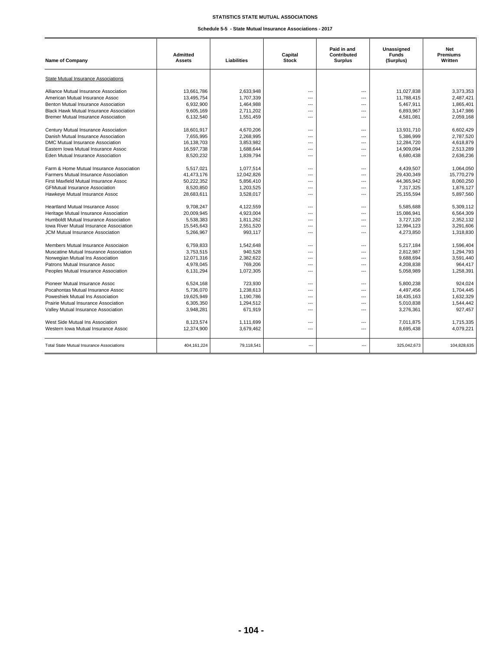## **Schedule 5-5 - State Mutual Insurance Associations - 2017**

| Name of Company                                  | <b>Admitted</b><br><b>Assets</b> | Liabilities | Capital<br><b>Stock</b>  | Paid in and<br>Contributed<br><b>Surplus</b> | Unassigned<br><b>Funds</b><br>(Surplus) | <b>Net</b><br><b>Premiums</b><br>Written |
|--------------------------------------------------|----------------------------------|-------------|--------------------------|----------------------------------------------|-----------------------------------------|------------------------------------------|
| State Mutual Insurance Associations              |                                  |             |                          |                                              |                                         |                                          |
| Alliance Mutual Insurance Association            | 13,661,786                       | 2,633,948   | ---                      | $\overline{\phantom{a}}$                     | 11,027,838                              | 3,373,353                                |
| American Mutual Insurance Assoc                  | 13,495,754                       | 1,707,339   | $\overline{a}$           | $\overline{a}$                               | 11,788,415                              | 2,487,421                                |
| Benton Mutual Insurance Association              | 6,932,900                        | 1,464,988   | $\overline{a}$           | $\overline{a}$                               | 5,467,911                               | 1,865,401                                |
| <b>Black Hawk Mutual Insurance Association</b>   | 9,605,169                        | 2,711,202   | ---                      | ---                                          | 6,893,967                               | 3,147,986                                |
| <b>Bremer Mutual Insurance Association</b>       | 6,132,540                        | 1,551,459   | ---                      | $\overline{\phantom{a}}$                     | 4,581,081                               | 2,059,168                                |
| Century Mutual Insurance Association             | 18.601.917                       | 4.670.206   | $\overline{a}$           | $\overline{\phantom{a}}$                     | 13.931.710                              | 6,602,429                                |
| Danish Mutual Insurance Association              | 7.655.995                        | 2.268.995   | $\overline{a}$           | $\overline{a}$                               | 5.386.999                               | 2,787,520                                |
| <b>DMC Mutual Insurance Association</b>          | 16,138,703                       | 3,853,982   | $\overline{a}$           | $\overline{a}$                               | 12,284,720                              | 4,618,879                                |
| Eastern Iowa Mutual Insurance Assoc              | 16,597,738                       | 1,688,644   | $\overline{a}$           | $\overline{a}$                               | 14,909,094                              | 2,513,289                                |
| Eden Mutual Insurance Association                | 8,520,232                        | 1,839,794   | $\overline{a}$           | $\overline{a}$                               | 6,680,438                               | 2,636,236                                |
| Farm & Home Mutual Insurance Association         | 5,517,021                        | 1,077,514   | ---                      | $\overline{\phantom{a}}$                     | 4,439,507                               | 1,064,050                                |
| <b>Farmers Mutual Insurance Association</b>      | 41,473,176                       | 12,042,826  | $\overline{a}$           | $\overline{a}$                               | 29,430,349                              | 15,770,279                               |
| First Maxfield Mutual Insurance Assoc            | 50,222,352                       | 5.856.410   | $\overline{a}$           | $\overline{a}$                               | 44,365,942                              | 8.060.250                                |
| <b>GFMutual Insurance Association</b>            | 8,520,850                        | 1,203,525   | $\overline{a}$           | $\overline{a}$                               | 7,317,325                               | 1,876,127                                |
| Hawkeye Mutual Insurance Assoc                   | 28,683,611                       | 3,528,017   | ---                      | $\overline{a}$                               | 25,155,594                              | 5,897,560                                |
| <b>Heartland Mutual Insurance Assoc</b>          | 9,708,247                        | 4,122,559   | $---$                    | $\overline{a}$                               | 5,585,688                               | 5,309,112                                |
| Heritage Mutual Insurance Association            | 20,009,945                       | 4,923,004   | ---                      | $\overline{a}$                               | 15,086,941                              | 6,564,309                                |
| Humboldt Mutual Insurance Association            | 5,538,383                        | 1,811,262   | $---$                    | $\overline{a}$                               | 3,727,120                               | 2,352,132                                |
| Iowa River Mutual Insurance Association          | 15,545,643                       | 2.551.520   | $\overline{a}$           | $\overline{a}$                               | 12.994.123                              | 3.291.606                                |
| <b>JCM Mutual Insurance Association</b>          | 5.266.967                        | 993.117     | ---                      | $\overline{a}$                               | 4.273.850                               | 1,318,830                                |
| Members Mutual Insurance Associaion              | 6,759,833                        | 1,542,648   | $\overline{a}$           | $\overline{a}$                               | 5,217,184                               | 1,596,404                                |
| Muscatine Mutual Insurance Association           | 3,753,515                        | 940,528     | ---                      | $\overline{\phantom{a}}$                     | 2,812,987                               | 1,294,793                                |
| Norwegian Mutual Ins Association                 | 12,071,316                       | 2,382,622   | ---                      | $\overline{\phantom{a}}$                     | 9,688,694                               | 3,591,440                                |
| Patrons Mutual Insurance Assoc                   | 4,978,045                        | 769,206     | ---                      | $\overline{a}$                               | 4,208,838                               | 964,417                                  |
| Peoples Mutual Insurance Association             | 6,131,294                        | 1.072.305   | $\overline{a}$           | $\overline{\phantom{a}}$                     | 5,058,989                               | 1,258,391                                |
| Pioneer Mutual Insurance Assoc                   | 6,524,168                        | 723,930     | $\overline{\phantom{a}}$ | $\hspace{0.05cm} \ldots$                     | 5,800,238                               | 924,024                                  |
| Pocahontas Mutual Insurance Assoc                | 5,736,070                        | 1,238,613   | $---$                    | $\overline{a}$                               | 4,497,456                               | 1,704,445                                |
| Poweshiek Mutual Ins Association                 | 19,625,949                       | 1,190,786   | $---$                    | $\overline{a}$                               | 18,435,163                              | 1,632,329                                |
| Prairie Mutual Insurance Association             | 6,305,350                        | 1,294,512   | ---                      | ---                                          | 5,010,838                               | 1,544,442                                |
| Valley Mutual Insurance Association              | 3,948,281                        | 671,919     | $\overline{a}$           | $\overline{a}$                               | 3,276,361                               | 927,457                                  |
| West Side Mutual Ins Association                 | 8,123,574                        | 1,111,699   | $\overline{a}$           | $\overline{a}$                               | 7.011.875                               | 1.715.335                                |
| Western Iowa Mutual Insurance Assoc              | 12,374,900                       | 3,679,462   | $\overline{a}$           | $\overline{a}$                               | 8,695,438                               | 4,079,221                                |
| <b>Total State Mutual Insurance Associations</b> | 404, 161, 224                    | 79,118,541  | ---                      |                                              | 325,042,673                             | 104,828,635                              |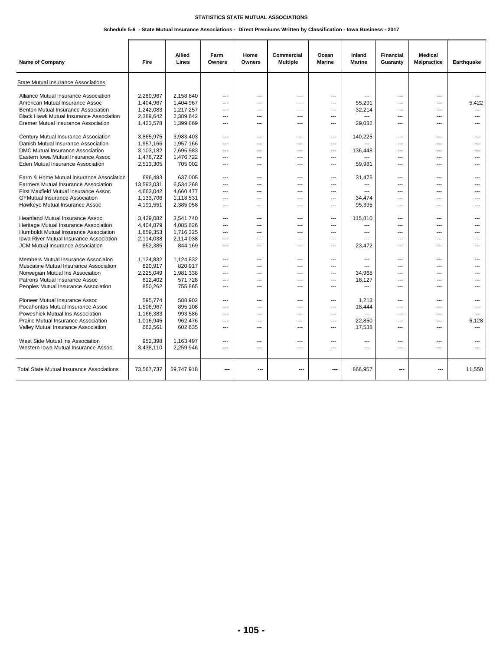## **Schedule 5-6 - State Mutual Insurance Associations - Direct Premiums Written by Classification - Iowa Business - 2017**

| Name of Company                                  | Fire       | Allied<br>Lines | Farm<br>Owners           | Home<br>Owners | <b>Commercial</b><br><b>Multiple</b> | Ocean<br><b>Marine</b> | Inland<br><b>Marine</b>  | <b>Financial</b><br>Guaranty | <b>Medical</b><br>Malpractice | Earthquake     |
|--------------------------------------------------|------------|-----------------|--------------------------|----------------|--------------------------------------|------------------------|--------------------------|------------------------------|-------------------------------|----------------|
| <b>State Mutual Insurance Associations</b>       |            |                 |                          |                |                                      |                        |                          |                              |                               |                |
| Alliance Mutual Insurance Association            | 2.280.967  | 2.158.840       | $---$                    | ---            | ---                                  | ---                    |                          | $\overline{a}$               | $\overline{\phantom{a}}$      | $\overline{a}$ |
| American Mutual Insurance Assoc                  | 1,404,967  | 1,404,967       | $\overline{a}$           | ---            | ---                                  | ---                    | 55,291                   | $\overline{a}$               | $\overline{a}$                | 5,422          |
| Benton Mutual Insurance Association              | 1,242,083  | 1,217,257       | $\overline{a}$           | ---            | ---                                  | ---                    | 32,214                   | ---                          | $\overline{a}$                | ---            |
| <b>Black Hawk Mutual Insurance Association</b>   | 2,389,642  | 2,389,642       | $\overline{\phantom{a}}$ | ---            | ---                                  | ---                    | ---                      | ---                          | ---                           | ---            |
| <b>Bremer Mutual Insurance Association</b>       | 1,423,578  | 1,399,869       | ---                      | ---            | ---                                  | ---                    | 29.032                   | ---                          | $\overline{a}$                |                |
| Century Mutual Insurance Association             | 3.865.975  | 3,983,403       | ---                      | ---            | ---                                  | ---                    | 140.225                  | ---                          | $---$                         |                |
| Danish Mutual Insurance Association              | 1,957,166  | 1,957,166       | ---                      | ---            | ---                                  | ---                    |                          | ---                          | $---$                         |                |
| <b>DMC Mutual Insurance Association</b>          | 3,103,182  | 2,696,983       | $---$                    | ---            | ---                                  | ---                    | 136,448                  | $---$                        | $\overline{a}$                |                |
| Eastern Iowa Mutual Insurance Assoc              | 1,476,722  | 1,476,722       | $---$                    | ---            | ---                                  | ---                    |                          | ---                          | $---$                         |                |
| Eden Mutual Insurance Association                | 2,513,305  | 705,002         | $---$                    | ---            | ---                                  | ---                    | 59,981                   | $\overline{a}$               | $---$                         |                |
| Farm & Home Mutual Insurance Association         | 696,483    | 637,005         | $---$                    | ---            | ---                                  | ---                    | 31,475                   | $\overline{a}$               | $---$                         |                |
| Farmers Mutual Insurance Association             | 13,593,031 | 6,534,268       | $\overline{a}$           | ---            | ---                                  | ---                    |                          | $\overline{a}$               | $\overline{a}$                |                |
| First Maxfield Mutual Insurance Assoc            | 4,663,042  | 4,660,477       | $---$                    | ---            | ---                                  | ---                    |                          | $\overline{a}$               | $---$                         |                |
| <b>GFMutual Insurance Association</b>            | 1,133,706  | 1,118,531       | $---$                    | ---            | ---                                  | ---                    | 34,474                   | $\overline{a}$               | $---$                         |                |
| Hawkeye Mutual Insurance Assoc                   | 4,191,551  | 2,385,058       | $\overline{a}$           | ---            | ---                                  | ---                    | 95,395                   | $\overline{a}$               | $---$                         |                |
| Heartland Mutual Insurance Assoc                 | 3,429,082  | 3,541,740       | $---$                    | ---            | ---                                  | ---                    | 115.810                  | $\overline{a}$               | $---$                         |                |
| Heritage Mutual Insurance Association            | 4,404,879  | 4,085,626       | $\overline{a}$           | ---            | ---                                  | ---                    | ---                      | $\overline{a}$               | $---$                         |                |
| Humboldt Mutual Insurance Association            | 1,859,353  | 1,716,325       | $---$                    | ---            | ---                                  | ---                    | $\sim$                   | ---                          | $---$                         |                |
| Iowa River Mutual Insurance Association          | 2,114,038  | 2,114,038       | $\overline{a}$           | ---            | ---                                  | ---                    |                          | ---                          | $\overline{a}$                |                |
| JCM Mutual Insurance Association                 | 852,385    | 844,169         | $---$                    | ---            | ---                                  | ---                    | 23,472                   | $\overline{a}$               | $\overline{a}$                |                |
| Members Mutual Insurance Associaion              | 1,124,832  | 1,124,832       | $---$                    | $---$          | ---                                  | ---                    | $-$                      | $\overline{a}$               | $---$                         | ---            |
| Muscatine Mutual Insurance Association           | 820,917    | 820,917         | $- - -$                  | ---            | $\sim$                               | ---                    |                          | $\sim$                       | $-$                           |                |
| Norwegian Mutual Ins Association                 | 2,225,049  | 1,981,338       | $---$                    | ---            | ---                                  | ---                    | 34,968                   | ---                          | $---$                         |                |
| Patrons Mutual Insurance Assoc                   | 612,402    | 571,728         | $---$                    | ---            | ---                                  | ---                    | 18,127                   | ---                          | $---$                         | ---            |
| Peoples Mutual Insurance Association             | 850,262    | 755,865         | $---$                    | ---            | ---                                  | ---                    | $\overline{a}$           | $\overline{a}$               | $---$                         | ---            |
| Pioneer Mutual Insurance Assoc                   | 595.774    | 588.902         | $\overline{\phantom{a}}$ | ---            | ---                                  | ---                    | 1,213                    | ---                          | ---                           |                |
| Pocahontas Mutual Insurance Assoc                | 1.506.967  | 895.108         | $\overline{\phantom{a}}$ | ---            | ---                                  | ---                    | 18,444                   | ---                          | ---                           |                |
| Poweshiek Mutual Ins Association                 | 1,166,383  | 993,586         | $---$                    | ---            | ---                                  | ---                    |                          | $\overline{a}$               | $---$                         |                |
| Prairie Mutual Insurance Association             | 1,016,945  | 962,476         | $---$                    | ---            | ---                                  | ---                    | 22,850                   | ---                          | $---$                         | 6,128          |
| Valley Mutual Insurance Association              | 662,561    | 602,635         | $---$                    | ---            | ---                                  | ---                    | 17,538                   | ---                          | $---$                         |                |
| West Side Mutual Ins Association                 | 952,398    | 1,163,497       | $---$                    | $---$          | ---                                  | ---                    | $\overline{a}$           | $---$                        | $\overline{a}$                |                |
| Western Iowa Mutual Insurance Assoc              | 3,438,110  | 2,259,946       | $\overline{a}$           | ---            | ---                                  | ---                    | $\overline{\phantom{a}}$ | $\overline{a}$               | $\overline{\phantom{a}}$      |                |
| <b>Total State Mutual Insurance Associations</b> | 73,567,737 | 59,747,918      | $\overline{a}$           | $\sim$         | $\overline{a}$                       | $\overline{a}$         | 866,957                  | $\overline{a}$               | $---$                         | 11,550         |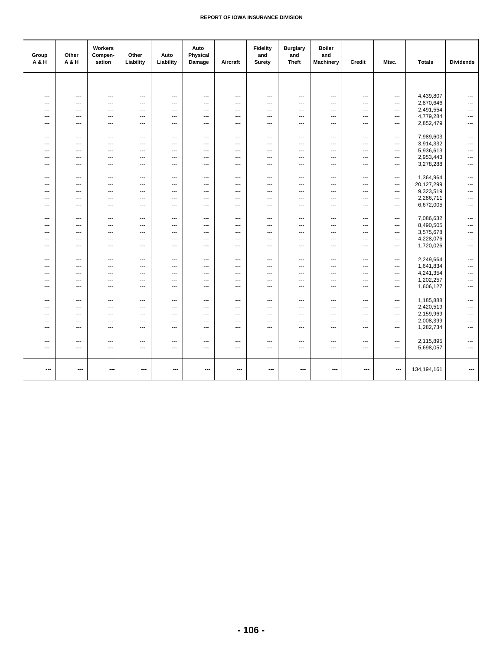| Group<br>A & H                  | Other<br>A & H           | Workers<br>Compen-<br>sation | Other<br>Liability | Auto<br>Liability        | Auto<br>Physical<br>Damage                           | Aircraft       | <b>Fidelity</b><br>and<br>Surety | <b>Burglary</b><br>and<br><b>Theft</b>               | <b>Boiler</b><br>and<br><b>Machinery</b> | Credit     | Misc.                    | <b>Totals</b>          | <b>Dividends</b>         |
|---------------------------------|--------------------------|------------------------------|--------------------|--------------------------|------------------------------------------------------|----------------|----------------------------------|------------------------------------------------------|------------------------------------------|------------|--------------------------|------------------------|--------------------------|
|                                 |                          |                              |                    |                          |                                                      |                |                                  |                                                      |                                          |            |                          |                        |                          |
| ---                             | ---                      | ---                          | ---                | ---                      | $\hspace{0.05cm} \ldots$                             | ---            | ---                              | $\qquad \qquad \cdots$                               | $\qquad \qquad \cdots$                   | ---        | ---                      | 4,439,807              | $\cdots$                 |
| $\overline{a}$                  | ---                      | $\overline{a}$               | ---                | $\overline{\phantom{a}}$ | $---$                                                | $\overline{a}$ | ---                              | $---$                                                | $\cdots$                                 | ---        | $---$                    | 2,870,646              | $\overline{a}$           |
| ---                             | $\hspace{0.05cm} \ldots$ | ---                          | ---                | ---                      | $\hspace{0.05cm} \cdots$                             | ---            | ---                              | $\hspace{0.05cm} \cdots$                             | $\cdots$                                 | ---        | ---                      | 2,491,554              | ---                      |
| $---$                           | $---$                    | $-$                          | ---                | ---                      | $\sim$                                               | $---$          | ---                              | $---$                                                | $\cdots$                                 | ---        | ---                      | 4,779,284              | ---                      |
| $\sim$                          | $\overline{a}$           | $\overline{\phantom{a}}$     | $\overline{a}$     | $\sim$                   | $---$                                                | $---$          | $---$                            | $---$                                                | $---$                                    | $---$      | $---$                    | 2,852,479              | $\overline{a}$           |
|                                 |                          |                              |                    |                          |                                                      |                |                                  |                                                      |                                          |            |                          |                        |                          |
| $\ddotsc$                       | $---$                    | $\overline{\phantom{a}}$     | ---                | ---                      | $---$                                                | $---$          | ---                              | $---$                                                | $---$                                    | $---$      | $---$                    | 7,989,603              | $\cdots$                 |
| $---$                           | $---$                    | $-$                          | $\overline{a}$     | $\overline{a}$           | $\sim$                                               | $---$          | $\sim$                           | $\sim$                                               | $---$                                    | $---$      | $---$                    | 3,914,332              | $\overline{a}$           |
| $---$                           | $---$                    | $---$                        | $\overline{a}$     | ---                      | $\sim$                                               | $---$          | ---                              | $---$                                                | $---$                                    | $---$      | $---$                    | 5,936,613              | $\overline{a}$           |
| $---$                           | ---                      | ---                          | ---                | $\overline{a}$           | $\overline{\phantom{a}}$                             | ---            | ---                              | $\overline{a}$                                       | $\overline{a}$                           | ---        | ---                      | 2,953,443              | ---                      |
| $\sim$                          | ---                      | $\overline{\phantom{a}}$     | $\overline{a}$     | ---                      | $\overline{\phantom{a}}$                             | $---$          | ---                              | $---$                                                | ---                                      | $---$      | $---$                    | 3,278,288              | $\overline{\phantom{a}}$ |
|                                 |                          |                              |                    |                          |                                                      |                |                                  |                                                      |                                          |            |                          |                        |                          |
| $---$                           | $\overline{a}$           | $\sim$                       | $\overline{a}$     | $\overline{a}$           | $\sim$                                               | $---$          | $\sim$                           | $---$                                                | $---$                                    | $---$      | $---$                    | 1,364,964              | $\overline{\phantom{a}}$ |
| $---$                           | $\overline{a}$           | $\overline{\phantom{a}}$     | $\overline{a}$     | $\overline{a}$           | $\sim$                                               | $\overline{a}$ | $\overline{a}$                   | $\sim$                                               | $\overline{a}$                           | $---$      | $\overline{a}$           | 20,127,299             | $\overline{a}$           |
| $---$                           | ---                      | ---                          | ---                | ---                      | $---$                                                | ---            | ---                              | $\sim$                                               | ---                                      | ---        | ---                      | 9,323,519              | ---                      |
| ---                             | $\cdots$                 | ---                          | ---                | ---                      | $\overline{\phantom{a}}$                             | ---            | ---                              | $\overline{\phantom{a}}$                             | $\cdots$                                 | ---        | ---                      | 2,286,711              | $\cdots$                 |
| ---                             | $\cdots$                 | $\overline{\phantom{a}}$     | ---                | ---                      | $\overline{\phantom{a}}$                             | ---            | ---                              | $\overline{\phantom{a}}$                             | $\cdots$                                 | ---        | ---                      | 6,672,005              | $\cdots$                 |
|                                 |                          |                              |                    |                          |                                                      |                |                                  |                                                      |                                          |            |                          |                        |                          |
| ---                             | $\overline{\phantom{a}}$ | ---                          | ---                | ---                      | ---                                                  | ---            | ---                              | $\overline{\phantom{a}}$                             | $\cdots$                                 | ---        | ---                      | 7,086,632              | ---                      |
| ---                             | $\cdots$                 | ---                          | ---                | ---                      | $\hspace{0.05cm} \cdots$                             | ---            | ---                              | $\overline{\phantom{a}}$                             | $\cdots$                                 | ---        | ---                      | 8,490,505              | $\cdots$                 |
| ---<br>$\overline{\phantom{a}}$ | ---<br>$\cdots$          | ---<br>---                   | ---<br>---         | ---<br>$\cdots$          | $\hspace{0.05cm} \cdots$<br>$\hspace{0.05cm} \cdots$ | ---<br>---     | ---<br>---                       | $\overline{\phantom{a}}$<br>$\overline{\phantom{a}}$ | $\qquad \qquad \cdots$<br>$\cdots$       | ---<br>--- | ---<br>---               | 3,575,678<br>4,228,076 | ---<br>$\cdots$          |
| ---                             | $\cdots$                 | ---                          | ---                | ---                      | $\overline{\phantom{a}}$                             | ---            | ---                              | $\overline{\phantom{a}}$                             | $\cdots$                                 | ---        | ---                      | 1,720,026              | $\cdots$                 |
|                                 |                          |                              |                    |                          |                                                      |                |                                  |                                                      |                                          |            |                          |                        |                          |
| ---                             | $\cdots$                 | ---                          | ---                | ---                      | $\overline{\phantom{a}}$                             | ---            | ---                              | $\overline{\phantom{a}}$                             | $\cdots$                                 | ---        | ---                      | 2,249,664              | ---                      |
| $\overline{\phantom{a}}$        | $\cdots$                 | ---                          | ---                | ---                      | $\hspace{0.05cm} \cdots$                             | ---            | ---                              | $---$                                                | $\cdots$                                 | ---        | ---                      | 1,641,834              | ---                      |
| ---                             | ---                      | ---                          | ---                | ---                      | $\overline{\phantom{a}}$                             | $\overline{a}$ | ---                              | $\overline{\phantom{a}}$                             | $\cdots$                                 | ---        | ---                      | 4,241,354              | $\cdots$                 |
| $\hspace{0.05cm} \ldots$        | $\qquad \qquad \cdots$   | $\overline{\phantom{a}}$     | ---                | $\overline{\phantom{a}}$ | $\hspace{0.05cm} \ldots$                             | ---            | ---                              | $\scriptstyle\cdots$                                 | ---                                      | $\cdots$   | ---                      | 1,202,257              | ---                      |
| $\overline{\phantom{a}}$        | $\hspace{0.05cm} \cdots$ | $\overline{\phantom{a}}$     | ---                | ---                      | $\hspace{0.05cm}\ldots$                              | ---            | ---                              | $\hspace{0.05cm} \cdots$                             | $\cdots$                                 | ---        | ---                      | 1,606,127              | $\hspace{0.05cm} \cdots$ |
|                                 |                          |                              |                    |                          |                                                      |                |                                  |                                                      |                                          |            |                          |                        |                          |
| $---$                           | $\overline{a}$           | $\overline{\phantom{a}}$     | $---$              | $\sim$                   | $---$                                                | $---$          | $---$                            | $---$                                                | $---$                                    | $---$      | $---$                    | 1,185,888              | $\hspace{0.05cm} \cdots$ |
| $---$                           | ---                      | $\overline{\phantom{a}}$     | ---                | $\overline{\phantom{a}}$ | $\overline{\phantom{a}}$                             | ---            | ---                              | $---$                                                | ---                                      | $\cdots$   | ---                      | 2,420,519              | $\overline{\phantom{a}}$ |
| $\sim$                          | $---$                    | $\overline{\phantom{a}}$     | $\overline{a}$     | $\overline{a}$           | $---$                                                | $---$          | $\sim$                           | $---$                                                | $---$                                    | $---$      | $---$                    | 2,159,969              | $\overline{\phantom{a}}$ |
| $---$                           | $\sim$                   | $\overline{\phantom{a}}$     | $\overline{a}$     | $\overline{\phantom{a}}$ | $---$                                                | $---$          | $\overline{a}$                   | $---$                                                | $\overline{a}$                           | $---$      | $\overline{a}$           | 2,008,399              | $\sim$ $\sim$            |
| $---$                           | $---$                    | $\overline{\phantom{a}}$     | $---$              | $\overline{a}$           | $---$                                                | $---$          | $---$                            | $---$                                                | $---$                                    | $---$      | $---$                    | 1,282,734              | $---$                    |
|                                 |                          |                              |                    |                          |                                                      |                |                                  |                                                      |                                          |            |                          |                        |                          |
| $---$                           | $---$                    | $\overline{\phantom{a}}$     | ---                | ---                      | $\overline{\phantom{a}}$                             | $\cdots$       | ---                              | $---$                                                | ---                                      | $\cdots$   | ---                      | 2,115,895              | $\hspace{0.05cm} \ldots$ |
| $\overline{\phantom{a}}$        | $\overline{\phantom{a}}$ | $\hspace{0.05cm} \cdots$     | ---                | $\overline{\phantom{a}}$ | $\hspace{0.05cm} \cdots$                             | ---            | ---                              | $---$                                                | $\cdots$                                 | $---$      | $\qquad \qquad \cdots$   | 5,698,057              | $\hspace{0.05cm} \cdots$ |
| $\cdots$                        | $---$                    | $- - -$                      | ---                | $\overline{\phantom{a}}$ | $\overline{\phantom{a}}$                             | ---            | $- - -$                          | $--$                                                 | $\cdots$                                 | ---        | $\overline{\phantom{a}}$ | 134,194,161            | $\cdots$                 |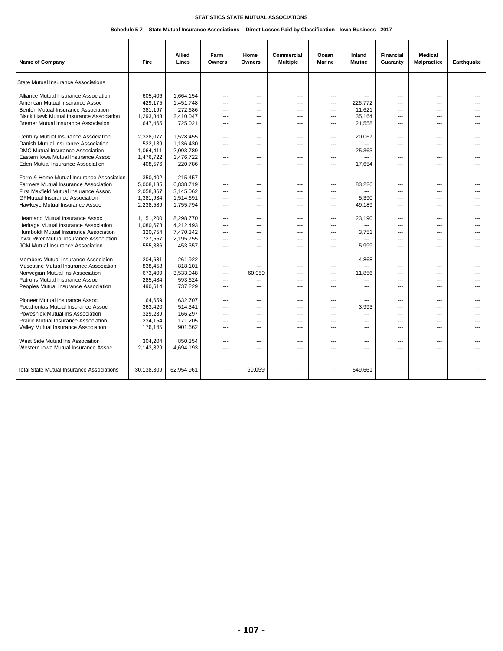## **Schedule 5-7 - State Mutual Insurance Associations - Direct Losses Paid by Classification - Iowa Business - 2017**

| Name of Company                                  | Fire       | Allied<br>Lines | Farm<br>Owners | Home<br>Owners | Commercial<br><b>Multiple</b> | Ocean<br><b>Marine</b> | Inland<br><b>Marine</b> | <b>Financial</b><br>Guaranty | <b>Medical</b><br>Malpractice | Earthquake     |
|--------------------------------------------------|------------|-----------------|----------------|----------------|-------------------------------|------------------------|-------------------------|------------------------------|-------------------------------|----------------|
| <b>State Mutual Insurance Associations</b>       |            |                 |                |                |                               |                        |                         |                              |                               |                |
| Alliance Mutual Insurance Association            | 605,406    | 1,664,154       | $---$          | ---            | ---                           | ---                    |                         | $---$                        | $\overline{a}$                |                |
| American Mutual Insurance Assoc                  | 429,175    | 1,451,748       | $\overline{a}$ | $---$          | $\overline{a}$                | ---                    | 226,772                 | $\overline{a}$               | $\overline{\phantom{a}}$      |                |
| Benton Mutual Insurance Association              | 381,197    | 272,686         | $---$          | ---            | ---                           | ---                    | 11,621                  | $---$                        | $---$                         |                |
| <b>Black Hawk Mutual Insurance Association</b>   | 1,293,843  | 2,410,047       | $---$          | ---            | ---                           | ---                    | 35,164                  | ---                          | $---$                         |                |
| <b>Bremer Mutual Insurance Association</b>       | 647,465    | 725,021         | $---$          | ---            | ---                           | ---                    | 21,558                  | $\overline{a}$               | $---$                         | ---            |
| Century Mutual Insurance Association             | 2,328,077  | 1,528,455       | $---$          | $---$          | ---                           | ---                    | 20,067                  | $\overline{a}$               | $---$                         | $\overline{a}$ |
| Danish Mutual Insurance Association              | 522,139    | 1,136,430       | $---$          | ---            | ---                           | ---                    |                         | $\overline{a}$               | $---$                         |                |
| DMC Mutual Insurance Association                 | 1,064,411  | 2,093,789       | $---$          | ---            | ---                           | ---                    | 25,363                  | $---$                        | $---$                         |                |
| Eastern Iowa Mutual Insurance Assoc              | 1,476,722  | 1,476,722       | $---$          | $---$          | ---                           | ---                    |                         | $\overline{a}$               | $---$                         | ---            |
| Eden Mutual Insurance Association                | 408,576    | 220,786         | $\sim$         | ---            | ---                           | ---                    | 17,654                  | $\sim$                       | $\sim$                        |                |
| Farm & Home Mutual Insurance Association         | 350,402    | 215,457         | $\cdots$       | ---            | ---                           | ---                    |                         | $---$                        | $\overline{a}$                |                |
| Farmers Mutual Insurance Association             | 5,008,135  | 6,838,719       | $---$          | ---            | ---                           | ---                    | 83,226                  | $---$                        | $\overline{a}$                |                |
| First Maxfield Mutual Insurance Assoc            | 2,058,367  | 3,145,062       | $---$          | ---            | ---                           | ---                    |                         | $---$                        | $\sim$                        |                |
| <b>GFMutual Insurance Association</b>            | 1,381,934  | 1,514,691       | $---$          | ---            | ---                           | ---                    | 5,390                   | $---$                        | $\sim$                        |                |
| Hawkeye Mutual Insurance Assoc                   | 2,238,589  | 1,755,794       | $---$          | ---            | ---                           | ---                    | 49,189                  | $---$                        | $---$                         |                |
| <b>Heartland Mutual Insurance Assoc</b>          | 1,151,200  | 8,298,770       | $---$          | $---$          | ---                           | ---                    | 23,190                  | $---$                        | $\overline{a}$                |                |
| Heritage Mutual Insurance Association            | 1,080,678  | 4,212,493       | $---$          | ---            | ---                           | ---                    |                         | $---$                        | $\sim$                        |                |
| Humboldt Mutual Insurance Association            | 320,754    | 7,470,342       | $---$          | ---            | ---                           | ---                    | 3,751                   | ---                          | $---$                         |                |
| Iowa River Mutual Insurance Association          | 727,557    | 2,195,755       | $---$          | $---$          | ---                           | ---                    |                         | $\overline{a}$               | $\sim$                        |                |
| JCM Mutual Insurance Association                 | 555,386    | 453,357         | $---$          | ---            | ---                           | ---                    | 5,999                   | $---$                        | $---$                         |                |
| Members Mutual Insurance Associaion              | 204,681    | 261,922         | ---            | ---            | ---                           | ---                    | 4,868                   | ---                          | $---$                         | ---            |
| Muscatine Mutual Insurance Association           | 838,458    | 818,101         | ---            | ---            | ---                           | ---                    |                         | ---                          | ---                           |                |
| Norwegian Mutual Ins Association                 | 673,409    | 3,533,048       | $---$          | 60,059         | ---                           | ---                    | 11,856                  | $---$                        | $---$                         | ---            |
| Patrons Mutual Insurance Assoc                   | 285,484    | 593,624         | $---$          | ---            | ---                           | ---                    | $\overline{a}$          | $---$                        | $\overline{a}$                |                |
| Peoples Mutual Insurance Association             | 490,614    | 737,229         | $---$          | ---            | ---                           |                        | $---$                   | ---                          | $---$                         |                |
| Pioneer Mutual Insurance Assoc                   | 64,659     | 632,707         | $---$          | $---$          | ---                           | ---                    | $\sim$                  | $---$                        | $---$                         | ---            |
| Pocahontas Mutual Insurance Assoc                | 363,420    | 514,341         | $---$          | ---            | ---                           | ---                    | 3,993                   | $---$                        | $\overline{a}$                |                |
| Poweshiek Mutual Ins Association                 | 329,239    | 166,297         | $\cdots$       | ---            | ---                           | ---                    | ---                     | ---                          | $\overline{\phantom{a}}$      |                |
| Prairie Mutual Insurance Association             | 234,154    | 171,205         | ---            | ---            | ---                           | ---                    | $---$                   | ---                          | $---$                         |                |
| Valley Mutual Insurance Association              | 176,145    | 901,662         | $---$          | ---            | ---                           | ---                    | $\sim$                  | $---$                        | $\overline{a}$                | ---            |
| West Side Mutual Ins Association                 | 304,204    | 850,354         | $\cdots$       | ---            | ---                           | ---                    | ---                     | ---                          | $\overline{a}$                |                |
| Western Iowa Mutual Insurance Assoc              | 2,143,829  | 4,694,193       | ---            | ---            | ---                           | ---                    | ---                     | ---                          | $\overline{\phantom{a}}$      |                |
| <b>Total State Mutual Insurance Associations</b> | 30,138,309 | 62,954,961      | $-$            | 60,059         | $\sim$                        | $\overline{a}$         | 549,661                 | $\overline{a}$               | $\overline{a}$                |                |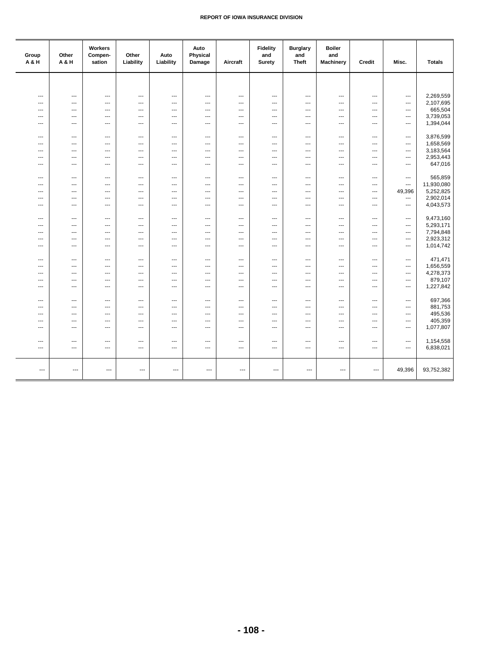| Group<br>A & H           | Other<br>A&H             | Workers<br>Compen-<br>sation     | Other<br>Liability       | Auto<br>Liability                          | Auto<br>Physical<br>Damage      | Aircraft                        | <b>Fidelity</b><br>and<br><b>Surety</b> | <b>Burglary</b><br>and<br><b>Theft</b> | <b>Boiler</b><br>and<br>Machinery | Credit                   | Misc.                                                | <b>Totals</b>        |
|--------------------------|--------------------------|----------------------------------|--------------------------|--------------------------------------------|---------------------------------|---------------------------------|-----------------------------------------|----------------------------------------|-----------------------------------|--------------------------|------------------------------------------------------|----------------------|
|                          |                          |                                  |                          |                                            |                                 |                                 |                                         |                                        |                                   |                          |                                                      |                      |
|                          |                          |                                  |                          |                                            |                                 |                                 |                                         |                                        |                                   |                          |                                                      |                      |
| ---                      | ---                      | ---                              | ---                      | $\overline{\phantom{a}}$                   | $---$                           | $\overline{\phantom{a}}$        | $\overline{\phantom{a}}$                | ---                                    | ---                               | ---                      | $\overline{\phantom{a}}$                             | 2,269,559            |
| ---                      | ---                      | ---                              | ---                      | $\overline{\phantom{a}}$                   | ---                             | ---                             | ---                                     | ---                                    | ---                               | ---                      | $\overline{\phantom{a}}$                             | 2,107,695<br>665,504 |
| ---<br>---               | ---<br>---               | ---<br>---                       | ---<br>---               | $\cdots$<br>$\cdots$                       | ---<br>---                      | ---<br>---                      | ---<br>---                              | ---<br>---                             | ---<br>---                        | ---<br>---               | $\qquad \qquad \cdots$<br>$\overline{\phantom{a}}$   | 3,739,053            |
| ---                      | ---                      | ---                              | $\overline{\phantom{a}}$ | $\cdots$                                   | ---                             | ---                             | ---                                     | ---                                    | ---                               | ---                      | $\overline{\phantom{a}}$                             | 1,394,044            |
|                          |                          |                                  |                          |                                            |                                 |                                 |                                         |                                        |                                   |                          |                                                      |                      |
| ---                      | ---                      | $\hspace{0.05cm} \ldots$         | $\overline{\phantom{a}}$ | $\qquad \qquad \cdots$                     | $\qquad \qquad \cdots$          | $\overline{\phantom{a}}$        | ---                                     | ---                                    | ---                               | $\overline{\phantom{a}}$ | $\qquad \qquad \cdots$                               | 3,876,599            |
| ---                      | $---$                    | $\sim$                           | $\overline{a}$           | $\overline{a}$                             | $---$                           | ---                             | $---$                                   | ---                                    | $---$                             | ---                      | $-$                                                  | 1,658,569            |
| ---                      | $---$                    | $\overline{a}$                   | $\overline{a}$           | $\overline{a}$                             | $---$                           | ---                             | $---$                                   | $\overline{a}$                         | $---$                             | ---                      | $\hspace{0.05cm} \ldots$                             | 3,183,564            |
| ---                      | $---$                    | $\overline{a}$                   | $\overline{a}$           | $\overline{a}$                             | $\overline{a}$                  | ---                             | $---$                                   | $\overline{a}$                         | $---$                             | ---                      | $\overline{\phantom{a}}$                             | 2,953,443            |
| ---                      | ---                      | ---                              | ---                      | $\cdots$                                   | $\overline{\phantom{a}}$        | ---                             | ---                                     | ---                                    | ---                               | ---                      | $\overline{\phantom{a}}$                             | 647,016              |
| ---                      | ---                      | ---                              | ---                      | ---                                        | $---$                           | ---                             | ---                                     | ---                                    | ---                               | ---                      | $\hspace{0.05cm} \ldots$                             | 565,859              |
| ---                      | $\overline{a}$           | $\overline{a}$                   | $\overline{a}$           | $\overline{a}$                             | $---$                           | $\overline{a}$                  | $\overline{a}$                          | $\overline{a}$                         | $\overline{a}$                    | $\overline{a}$           | ---                                                  | 11,930,080           |
| ---                      | $\overline{a}$           | $\overline{a}$                   | $\overline{a}$           | $\overline{a}$                             | $---$                           | $\overline{a}$                  | $\overline{a}$                          | $\overline{a}$                         | $\overline{a}$                    | $\overline{a}$           | 49,396                                               | 5,252,825            |
| ---                      | $\overline{a}$           | $\overline{a}$                   | $\overline{a}$           | $\overline{a}$                             | $\overline{a}$                  | $\overline{a}$                  | $\overline{a}$                          | $\overline{a}$                         | $\overline{a}$                    | ---                      | $\overline{\phantom{a}}$                             | 2,902,014            |
| ---                      | $---$                    | $---$                            | $---$                    | $\overline{a}$                             | $---$                           | $\overline{\phantom{a}}$        | $\sim$                                  | $\overline{a}$                         | $---$                             | ---                      | $\hspace{0.05cm} \ldots$                             | 4,043,573            |
|                          |                          |                                  |                          |                                            |                                 |                                 |                                         |                                        |                                   |                          |                                                      |                      |
| ---                      | $\overline{a}$           | ---                              | $\overline{a}$           | $\overline{\phantom{a}}$                   | ---                             | ---                             | $\overline{\phantom{a}}$                | ---                                    | ---                               | ---                      | $\overline{\phantom{a}}$                             | 9,473,160            |
| ---                      | ---                      | ---                              | ---                      | $\cdots$                                   | $\overline{\phantom{a}}$        | ---                             | ---                                     | ---                                    | ---                               | ---                      | $\overline{\phantom{a}}$                             | 5,293,171            |
| ---                      | ---                      | ---                              | ---                      | $\cdots$                                   | $\overline{\phantom{a}}$        | ---                             | ---                                     | ---                                    | ---                               | ---                      | $\overline{\phantom{a}}$                             | 7,794,848            |
| ---                      | ---                      | $\overline{a}$<br>$\overline{a}$ | ---<br>$\overline{a}$    | $\overline{\phantom{a}}$<br>$\overline{a}$ | ---                             | ---                             | ---<br>$-$                              | ---                                    | $\overline{a}$                    | ---<br>---               | $\overline{\phantom{a}}$<br>$-$                      | 2,923,312            |
| ---                      | $---$                    |                                  |                          |                                            | $---$                           | $\overline{a}$                  |                                         | ---                                    | $---$                             |                          |                                                      | 1,014,742            |
| ---                      | $\overline{\phantom{a}}$ | ---                              | ---                      | $\cdots$                                   | $\overline{\phantom{a}}$        | $\overline{\phantom{a}}$        | $\overline{\phantom{a}}$                | ---                                    | ---                               | ---                      | $\hspace{0.05cm} \ldots$                             | 471,471              |
| ---                      | ---                      | ---                              | ---                      | $\overline{\phantom{a}}$                   | ---                             | ---                             | ---                                     | ---                                    | ---                               | ---                      | $\overline{\phantom{a}}$                             | 1,656,559            |
| ---                      | ---                      | ---                              | ---                      | $\cdots$                                   | $\overline{\phantom{a}}$        | ---                             | ---                                     | ---                                    | ---                               | ---                      | $\overline{\phantom{a}}$                             | 4,278,373            |
| ---                      | ---                      | ---                              | ---                      | $\overline{\phantom{a}}$                   | ---                             | ---                             | $\overline{\phantom{a}}$                | ---                                    | ---                               | ---                      | $\overline{\phantom{a}}$                             | 879,107              |
| ---                      | ---                      | ---                              | ---                      | $\cdots$                                   | ---                             | ---                             | ---                                     | ---                                    | ---                               | ---                      | $\overline{\phantom{a}}$                             | 1,227,842            |
|                          |                          |                                  |                          |                                            |                                 |                                 |                                         |                                        |                                   |                          |                                                      |                      |
| ---<br>---               | ---<br>---               | ---<br>$\overline{a}$            | ---<br>$\overline{a}$    | $\cdots$<br>---                            | $\overline{\phantom{a}}$<br>--- | $\overline{\phantom{a}}$<br>--- | ---<br>$\overline{\phantom{a}}$         | ---<br>---                             | ---<br>---                        | ---<br>---               | $\hspace{0.05cm} \ldots$                             | 697,366<br>881,753   |
| ---                      | ---                      | ---                              | ---                      | $\qquad \qquad \cdots$                     | ---                             | ---                             | ---                                     | ---                                    | ---                               | $\overline{\phantom{a}}$ | $\hspace{0.05cm} \ldots$<br>$\overline{\phantom{a}}$ | 495,536              |
| $---$                    | ---                      | $\overline{a}$                   | $\sim$                   | ---                                        | $---$                           | ---                             | $---$                                   | ---                                    | $---$                             | $\overline{a}$           | $\qquad \qquad \cdots$                               | 405,359              |
| $\sim$                   | $---$                    | $\overline{a}$                   | $\overline{a}$           | $\overline{a}$                             | $---$                           | $\overline{a}$                  | $\overline{a}$                          | $\overline{a}$                         | $-$                               | $\overline{a}$           | $---$                                                | 1,077,807            |
|                          |                          |                                  |                          |                                            |                                 |                                 |                                         |                                        |                                   |                          |                                                      |                      |
| ---                      | ---                      | $\hspace{0.05cm} \ldots$         | ---                      | $\qquad \qquad \cdots$                     | ---                             | ---                             | ---                                     | ---                                    | ---                               | $\overline{\phantom{a}}$ | $\qquad \qquad \cdots$                               | 1,154,558            |
| $\overline{\phantom{a}}$ | ---                      | $\overline{a}$                   | ---                      | ---                                        | $\overline{\phantom{a}}$        | $\hspace{0.05cm} \cdots$        | $\overline{\phantom{a}}$                | ---                                    | ---                               | ---                      | $\hspace{0.05cm} \ldots$                             | 6,838,021            |
|                          |                          |                                  |                          |                                            |                                 |                                 |                                         |                                        |                                   |                          |                                                      |                      |
| ---                      | $\hspace{0.05cm} \ldots$ | ---                              | ---                      | $---$                                      | ---                             | $\overline{\phantom{a}}$        | ---                                     | $\overline{\phantom{a}}$               | ---                               | ---                      | 49,396                                               | 93,752,382           |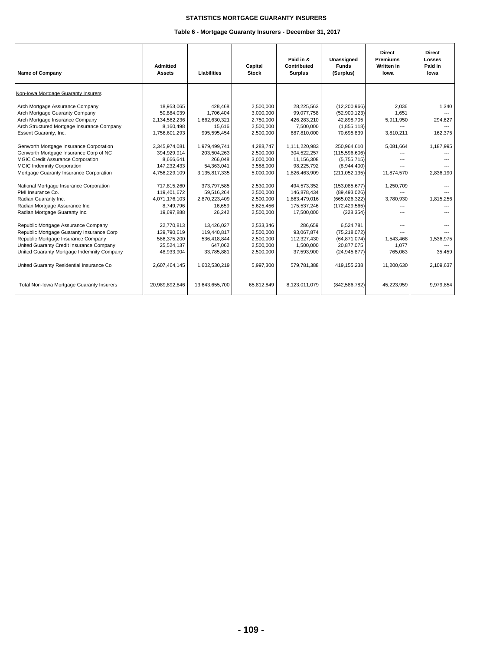## **STATISTICS MORTGAGE GUARANTY INSURERS**

## **Table 6 - Mortgage Guaranty Insurers - December 31, 2017**

| <b>Name of Company</b>                                                                                                                                                                                                                                        | <b>Admitted</b><br><b>Assets</b>                                                      | Liabilities                                                                        | Capital<br><b>Stock</b>                                                    | Paid in &<br>Contributed<br><b>Surplus</b>                                     | Unassigned<br><b>Funds</b><br>(Surplus)                                                        | <b>Direct</b><br><b>Premiums</b><br><b>Written in</b><br>lowa | <b>Direct</b><br>Losses<br>Paid in<br>lowa  |
|---------------------------------------------------------------------------------------------------------------------------------------------------------------------------------------------------------------------------------------------------------------|---------------------------------------------------------------------------------------|------------------------------------------------------------------------------------|----------------------------------------------------------------------------|--------------------------------------------------------------------------------|------------------------------------------------------------------------------------------------|---------------------------------------------------------------|---------------------------------------------|
| Non-Iowa Mortgage Guaranty Insurers                                                                                                                                                                                                                           |                                                                                       |                                                                                    |                                                                            |                                                                                |                                                                                                |                                                               |                                             |
| Arch Mortgage Assurance Company<br>Arch Mortgage Guaranty Company<br>Arch Mortgage Insurance Company<br>Arch Structured Mortgage Insurance Company<br>Essent Guaranty, Inc.                                                                                   | 18,953,065<br>50,884,039<br>2.134.562.236<br>8,160,498<br>1,756,601,293               | 428,468<br>1,706,404<br>1,662,630,321<br>15,616<br>995,595,454                     | 2,500,000<br>3,000,000<br>2.750.000<br>2,500,000<br>2,500,000              | 28,225,563<br>99,077,758<br>426,283,210<br>7,500,000<br>687,810,000            | (12,200,966)<br>(52,900,123)<br>42.898.705<br>(1,855,118)<br>70,695,839                        | 2,036<br>1,651<br>5,911,950<br>---<br>3,810,211               | 1,340<br>$---$<br>294,627<br>---<br>162,375 |
| Genworth Mortgage Insurance Corporation<br>Genworth Mortgage Insurance Corp of NC<br><b>MGIC Credit Assurance Corporation</b><br><b>MGIC Indemnity Corporation</b><br>Mortgage Guaranty Insurance Corporation                                                 | 3,345,974,081<br>394.929.914<br>8.666.641<br>147,232,433<br>4,756,229,109             | 1,979,499,741<br>203,504,263<br>266.048<br>54.363.041<br>3,135,817,335             | 4,288,747<br>2.500.000<br>3,000,000<br>3,588,000<br>5,000,000              | 1,111,220,983<br>304.522.257<br>11,156,308<br>98,225,792<br>1,826,463,909      | 250,964,610<br>(115, 596, 606)<br>(5,755,715)<br>(8,944,400)<br>(211, 052, 135)                | 5,081,664<br>---<br>11,874,570                                | 1,187,995<br>$---$<br>2.836.190             |
| National Mortgage Insurance Corporation<br>PMI Insurance Co.<br>Radian Guaranty Inc.<br>Radian Mortgage Assurance Inc.<br>Radian Mortgage Guaranty Inc.                                                                                                       | 717.815.260<br>119,401,672<br>4,071,176,103<br>8,749,796<br>19,697,888                | 373,797,585<br>59,516,264<br>2,870,223,409<br>16.659<br>26,242                     | 2.530.000<br>2,500,000<br>2,500,000<br>5,625,456<br>2,500,000              | 494,573,352<br>146,878,434<br>1,863,479,016<br>175,537,246<br>17,500,000       | (153,085,677)<br>(89, 493, 026)<br>(665, 026, 322)<br>(172, 429, 565)<br>(328, 354)            | 1,250,709<br>3,780,930                                        | 1,815,256                                   |
| Republic Mortgage Assurance Company<br>Republic Mortgage Guaranty Insurance Corp<br>Republic Mortgage Insurance Company<br>United Guaranty Credit Insurance Company<br>United Guaranty Mortgage Indemnity Company<br>United Guaranty Residential Insurance Co | 22,770,813<br>139,790,619<br>586,375,200<br>25,524,137<br>48,933,904<br>2,607,464,145 | 13,426,027<br>119,440,817<br>536,418,844<br>647,062<br>33,785,881<br>1,602,530,219 | 2,533,346<br>2,500,000<br>2,500,000<br>2,500,000<br>2,500,000<br>5,997,300 | 286,659<br>93,067,874<br>112,327,430<br>1,500,000<br>37,593,900<br>579,781,388 | 6,524,781<br>(75, 218, 072)<br>(64, 871, 074)<br>20,877,075<br>(24, 945, 877)<br>419, 155, 238 | 1,543,468<br>1,077<br>765,063<br>11,200,630                   | 1,536,975<br>35,459<br>2,109,637            |
| Total Non-Iowa Mortgage Guaranty Insurers                                                                                                                                                                                                                     | 20,989,892,846                                                                        | 13,643,655,700                                                                     | 65,812,849                                                                 | 8,123,011,079                                                                  | (842, 586, 782)                                                                                | 45,223,959                                                    | 9,979,854                                   |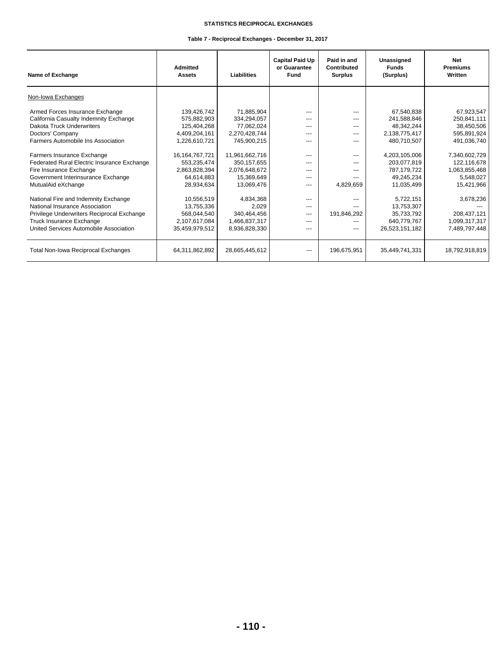## **STATISTICS RECIPROCAL EXCHANGES**

## **Table 7 - Reciprocal Exchanges - December 31, 2017**

| Name of Exchange                            | <b>Admitted</b><br><b>Assets</b> | Liabilities    | <b>Capital Paid Up</b><br>or Guarantee<br>Fund | Paid in and<br>Contributed<br><b>Surplus</b> | Unassigned<br><b>Funds</b><br>(Surplus) | <b>Net</b><br><b>Premiums</b><br>Written |
|---------------------------------------------|----------------------------------|----------------|------------------------------------------------|----------------------------------------------|-----------------------------------------|------------------------------------------|
| Non-Iowa Exchanges                          |                                  |                |                                                |                                              |                                         |                                          |
| Armed Forces Insurance Exchange             | 139,426,742                      | 71.885.904     | $---$                                          | $---$                                        | 67.540.838                              | 67,923,547                               |
| California Casualty Indemnity Exchange      | 575,882,903                      | 334,294,057    | $---$                                          | $---$                                        | 241,588,846                             | 250,841,111                              |
| Dakota Truck Underwriters                   | 125,404,268                      | 77,062,024     | $- - -$                                        | ---                                          | 48,342,244                              | 38,450,506                               |
| Doctors' Company                            | 4,409,204,161                    | 2,270,428,744  | $---$                                          | $---$                                        | 2,138,775,417                           | 595,891,924                              |
| Farmers Automobile Ins Association          | 1,226,610,721                    | 745,900,215    | ---                                            | ---                                          | 480,710,507                             | 491,036,740                              |
| Farmers Insurance Exchange                  | 16, 164, 767, 721                | 11,961,662,716 | ---                                            | ---                                          | 4,203,105,006                           | 7,340,602,729                            |
| Federated Rural Electric Insurance Exchange | 553,235,474                      | 350, 157, 655  | $- - -$                                        | $---$                                        | 203.077.819                             | 122,116,678                              |
| Fire Insurance Exchange                     | 2,863,828,394                    | 2,076,648,672  | ---                                            | ---                                          | 787,179,722                             | 1,063,855,468                            |
| Government Interinsurance Exchange          | 64,614,883                       | 15,369,649     | ---                                            | $---$                                        | 49,245,234                              | 5,548,027                                |
| MutualAid eXchange                          | 28,934,634                       | 13,069,476     | ---                                            | 4,829,659                                    | 11,035,499                              | 15,421,966                               |
| National Fire and Indemnity Exchange        | 10,556,519                       | 4.834.368      | $---$                                          | $---$                                        | 5,722,151                               | 3,678,236                                |
| National Insurance Association              | 13,755,336                       | 2.029          | $---$                                          | $---$                                        | 13.753.307                              |                                          |
| Privilege Underwriters Reciprocal Exchange  | 568,044,540                      | 340,464,456    | ---                                            | 191,846,292                                  | 35,733,792                              | 208,437,121                              |
| Truck Insurance Exchange                    | 2,107,617,084                    | 1,466,837,317  | $- - -$                                        | ---                                          | 640,779,767                             | 1,099,317,317                            |
| United Services Automobile Association      | 35.459.979.512                   | 8,936,828,330  | ---                                            | ---                                          | 26,523,151,182                          | 7,489,797,448                            |
| <b>Total Non-Iowa Reciprocal Exchanges</b>  | 64,311,862,892                   | 28,665,445,612 | ---                                            | 196,675,951                                  | 35,449,741,331                          | 18,792,918,819                           |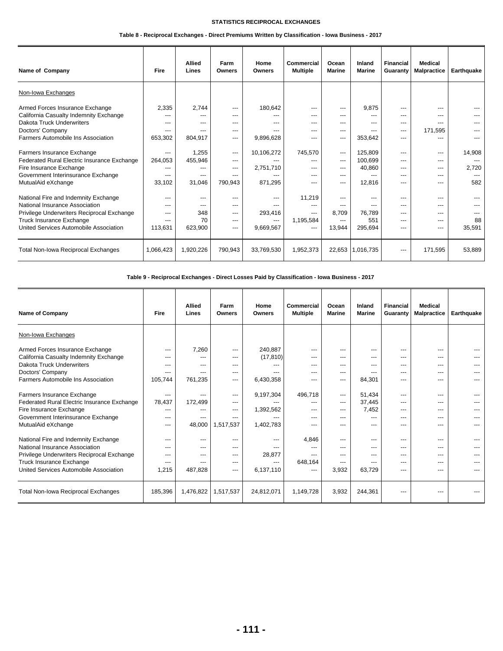## **STATISTICS RECIPROCAL EXCHANGES**

## **Table 8 - Reciprocal Exchanges - Direct Premiums Written by Classification - Iowa Business - 2017**

| Name of Company                             | <b>Fire</b> | <b>Allied</b><br>Lines | Farm<br><b>Owners</b> | Home<br>Owners | Commercial<br><b>Multiple</b> | Ocean<br><b>Marine</b> | Inland<br><b>Marine</b> | <b>Financial</b><br>Guaranty | <b>Medical</b><br><b>Malpractice</b> | Earthquake |
|---------------------------------------------|-------------|------------------------|-----------------------|----------------|-------------------------------|------------------------|-------------------------|------------------------------|--------------------------------------|------------|
| Non-Iowa Exchanges                          |             |                        |                       |                |                               |                        |                         |                              |                                      |            |
| Armed Forces Insurance Exchange             | 2,335       | 2,744                  | $--$                  | 180,642        | ---                           | ---                    | 9.875                   |                              |                                      |            |
| California Casualty Indemnity Exchange      | ---         |                        | $---$                 | $---$          | ---                           | ---                    | ---                     | ---                          |                                      |            |
| Dakota Truck Underwriters                   | $---$       | $---$                  | $---$                 | $---$          | $---$                         | ---                    | ---                     | $---$                        | $---$                                |            |
| Doctors' Company                            | ---         | ---                    | $---$                 | ---            | ---                           | ---                    | ---                     | ---                          | 171,595                              |            |
| Farmers Automobile Ins Association          | 653,302     | 804,917                | $---$                 | 9,896,628      | ---                           | $---$                  | 353,642                 | $---$                        |                                      |            |
| Farmers Insurance Exchange                  | ---         | 1,255                  | $--$                  | 10,106,272     | 745.570                       | $---$                  | 125.809                 | $---$                        | $---$                                | 14,908     |
| Federated Rural Electric Insurance Exchange | 264,053     | 455,946                | $---$                 |                | ---                           | $---$                  | 100.699                 | ---                          | ---                                  |            |
| Fire Insurance Exchange                     | ---         | ---                    | $- - -$               | 2,751,710      | ---                           | ---                    | 40.860                  | ---                          | $---$                                | 2.720      |
| Government Interinsurance Exchange          | ---         | ---                    | $---$                 |                | ---                           | $---$                  | ---                     | ---                          | $---$                                |            |
| MutualAid eXchange                          | 33.102      | 31,046                 | 790.943               | 871,295        | ---                           | ---                    | 12,816                  | $---$                        | $---$                                | 582        |
| National Fire and Indemnity Exchange        | $---$       | $---$                  | $---$                 | $---$          | 11,219                        | $---$                  | $---$                   | ---                          | $---$                                |            |
| National Insurance Association              | $---$       | $---$                  | $---$                 | $---$          | $---$                         | $---$                  | ---                     | $---$                        | $---$                                |            |
| Privilege Underwriters Reciprocal Exchange  | ---         | 348                    | $---$                 | 293,416        | ---                           | 8.709                  | 76.789                  | $---$                        | ---                                  |            |
| Truck Insurance Exchange                    | ---         | 70                     | $---$                 | $---$          | 1,195,584                     | $---$                  | 551                     | $---$                        | $---$                                | 88         |
| United Services Automobile Association      | 113,631     | 623.900                | $--$                  | 9,669,567      | ---                           | 13,944                 | 295,694                 | ---                          | ---                                  | 35,591     |
| <b>Total Non-Iowa Reciprocal Exchanges</b>  | 1,066,423   | 1,920,226              | 790,943               | 33,769,530     | 1,952,373                     |                        | 22,653 1,016,735        | ---                          | 171,595                              | 53,889     |

**Table 9 - Reciprocal Exchanges - Direct Losses Paid by Classification - Iowa Business - 2017**

| <b>Name of Company</b>                      | Fire    | <b>Allied</b><br>Lines | Farm<br>Owners | Home<br><b>Owners</b> | <b>Commercial</b><br><b>Multiple</b> | Ocean<br><b>Marine</b> | Inland<br><b>Marine</b> | <b>Financial</b><br>Guaranty | <b>Medical</b><br><b>Malpractice</b> | Earthquake |
|---------------------------------------------|---------|------------------------|----------------|-----------------------|--------------------------------------|------------------------|-------------------------|------------------------------|--------------------------------------|------------|
| Non-Iowa Exchanges                          |         |                        |                |                       |                                      |                        |                         |                              |                                      |            |
| Armed Forces Insurance Exchange             | ---     | 7,260                  | $--$           | 240,887               | ---                                  | ---                    | ---                     | $---$                        | ---                                  |            |
| California Casualty Indemnity Exchange      | ---     | $---$                  | $- - -$        | (17, 810)             | ---                                  | ---                    | ---                     | $---$                        |                                      |            |
| Dakota Truck Underwriters                   | ---     | $---$                  | $---$          | ---                   | $---$                                | ---                    | ---                     | $---$                        | ---                                  |            |
| Doctors' Company                            | ---     | $---$                  | $---$          |                       | $---$                                | $---$                  | $---$                   | $---$                        | ---                                  |            |
| Farmers Automobile Ins Association          | 105.744 | 761,235                | $---$          | 6,430,358             | ---                                  | ---                    | 84,301                  | ---                          | ---                                  |            |
| Farmers Insurance Exchange                  | ---     | ---                    | $---$          | 9,197,304             | 496.718                              | ---                    | 51,434                  | $---$                        | ---                                  |            |
| Federated Rural Electric Insurance Exchange | 78,437  | 172,499                | $---$          |                       | ---                                  | ---                    | 37,445                  | $---$                        | ---                                  |            |
| Fire Insurance Exchange                     | ---     | ---                    | $---$          | 1,392,562             | ---                                  | ---                    | 7,452                   | $---$                        | ---                                  |            |
| Government Interinsurance Exchange          | ---     | $---$                  | ---            |                       | $---$                                | ---                    | $---$                   | ---                          |                                      |            |
| MutualAid eXchange                          | ---     | 48,000                 | 1,517,537      | 1,402,783             | ---                                  | ---                    | ---                     | ---                          |                                      |            |
| National Fire and Indemnity Exchange        | $---$   | $---$                  | $---$          | $---$                 | 4.846                                | $---$                  | $---$                   | $---$                        | $---$                                |            |
| National Insurance Association              | ---     | ---                    | $---$          |                       | ---                                  | ---                    | ---                     | $---$                        | ---                                  |            |
| Privilege Underwriters Reciprocal Exchange  | $---$   | ---                    | $---$          | 28,877                |                                      | ---                    | $---$                   | $---$                        | ---                                  |            |
| Truck Insurance Exchange                    | ---     |                        | $---$          | $---$                 | 648.164                              | ---                    | ---                     | $---$                        | ---                                  |            |
| United Services Automobile Association      | 1,215   | 487,828                | $---$          | 6,137,110             | ---                                  | 3,932                  | 63.729                  | $---$                        | ---                                  |            |
| <b>Total Non-Iowa Reciprocal Exchanges</b>  | 185,396 | 1,476,822              | 1,517,537      | 24,812,071            | 1.149.728                            | 3,932                  | 244,361                 | ---                          |                                      |            |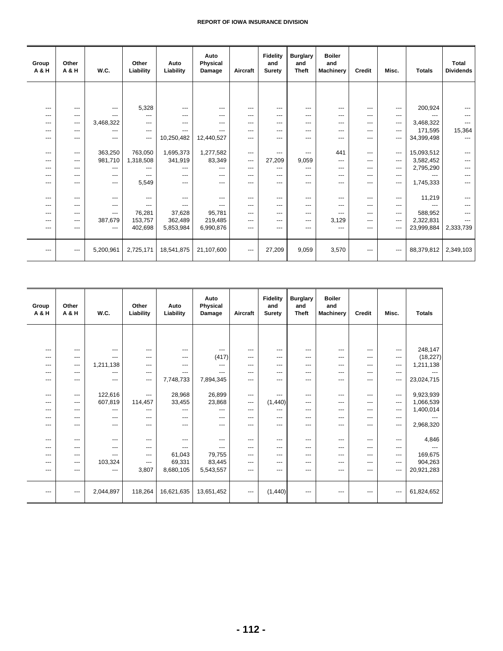| Group<br>A & H | Other<br>A & H    | W.C.      | Other<br>Liability     | Auto<br>Liability | Auto<br><b>Physical</b><br>Damage | Aircraft               | <b>Fidelity</b><br>and<br>Surety | <b>Burglary</b><br>and<br><b>Theft</b> | <b>Boiler</b><br>and<br><b>Machinery</b> | <b>Credit</b> | Misc.                    | <b>Totals</b> | <b>Total</b><br><b>Dividends</b> |
|----------------|-------------------|-----------|------------------------|-------------------|-----------------------------------|------------------------|----------------------------------|----------------------------------------|------------------------------------------|---------------|--------------------------|---------------|----------------------------------|
|                |                   |           |                        |                   |                                   |                        |                                  |                                        |                                          |               |                          |               |                                  |
| ---            | ---               | $---$     | 5,328                  | $---$             | $---$                             | $---$                  | ---                              | ---                                    | ---                                      | ---           | ---                      | 200,924       |                                  |
| $---$          | $---$             | ---       | $---$                  | $---$             | $---$                             | $---$                  | ---                              | ---                                    | ---                                      | ---           | ---                      | ---           | $---$                            |
| ---            | ---               | 3,468,322 | ---                    | ---               | $---$                             | $---$                  | $---$                            | ---                                    | ---                                      | ---           | ---                      | 3,468,322     |                                  |
| ---            | ---               | ---       | $\qquad \qquad \cdots$ | $---$             |                                   | $---$                  | ---                              | ---                                    | ---                                      | ---           | ---                      | 171,595       | 15,364                           |
| ---            | $---$             | $---$     | $---$                  | 10,250,482        | 12,440,527                        | $---$                  | ---                              | ---                                    | ---                                      | ---           | ---                      | 34,399,498    | $---$                            |
| ---            | ---               | 363,250   | 763,050                | 1,695,373         | 1,277,582                         | $---$                  | ---                              | ---                                    | 441                                      | ---           | $\hspace{0.05cm} \ldots$ | 15,093,512    |                                  |
| ---            | $---$             | 981,710   | 1,318,508              | 341,919           | 83,349                            | $---$                  | 27,209                           | 9,059                                  | $---$                                    | ---           | ---                      | 3,582,452     |                                  |
| ---            | ---               | $---$     | ---                    | ---               | ---                               | $---$                  | ---                              | ---                                    | ---                                      | ---           | ---                      | 2,795,290     |                                  |
| ---            | $---$             | $---$     | ---                    | ---               | $---$                             | $---$                  | ---                              | ---                                    | ---                                      | ---           | ---                      |               |                                  |
| ---            | $---$             | $---$     | 5,549                  | $---$             | $---$                             | ---                    | ---                              | ---                                    | $---$                                    | ---           | ---                      | 1,745,333     | ---                              |
| $---$          | ---               | $---$     | ---                    | $---$             | $---$                             | $---$                  | ---                              | ---                                    | ---                                      | ---           | ---                      | 11,219        |                                  |
| ---            | ---               | $---$     | ---                    | ---               |                                   | $---$                  | ---                              | ---                                    | ---                                      | ---           | ---                      | ---           |                                  |
| ---            | ---               | $---$     | 76,281                 | 37,628            | 95,781                            | $---$                  | ---                              | ---                                    | ---                                      | ---           | ---                      | 588,952       |                                  |
| ---            | ---               | 387.679   | 153,757                | 362,489           | 219.485                           | $---$                  | ---                              | ---                                    | 3,129                                    | ---           | ---                      | 2,322,831     |                                  |
| ---            | $---$             | $---$     | 402,698                | 5,853,984         | 6,990,876                         | $---$                  | ---                              | ---                                    | ---                                      | ---           | ---                      | 23,999,884    | 2,333,739                        |
|                |                   |           |                        |                   |                                   |                        |                                  |                                        |                                          |               |                          |               |                                  |
| $---$          | $\qquad \qquad -$ | 5,200,961 | 2,725,171              | 18,541,875        | 21,107,600                        | $\qquad \qquad \cdots$ | 27,209                           | 9,059                                  | 3,570                                    | ---           | $\hspace{0.05cm} \ldots$ | 88,379,812    | 2,349,103                        |

| Group<br>A & H                                                   | Other<br>A & H                                                 | W.C.                                                                     | Other<br>Liability                                                  | Auto<br>Liability                                                 | Auto<br>Physical<br>Damage                                      | Aircraft                                                       | <b>Fidelity</b><br>and<br><b>Suretv</b>                                | <b>Burglary</b><br>and<br><b>Theft</b>                 | <b>Boiler</b><br>and<br><b>Machinery</b>                               | Credit                                                             | Misc.                                                  | <b>Totals</b>                                                        |
|------------------------------------------------------------------|----------------------------------------------------------------|--------------------------------------------------------------------------|---------------------------------------------------------------------|-------------------------------------------------------------------|-----------------------------------------------------------------|----------------------------------------------------------------|------------------------------------------------------------------------|--------------------------------------------------------|------------------------------------------------------------------------|--------------------------------------------------------------------|--------------------------------------------------------|----------------------------------------------------------------------|
|                                                                  |                                                                |                                                                          |                                                                     |                                                                   |                                                                 |                                                                |                                                                        |                                                        |                                                                        |                                                                    |                                                        |                                                                      |
| $---$                                                            | ---                                                            | $---$                                                                    | $---$                                                               | $\qquad \qquad \cdots$                                            | ---                                                             | ---                                                            | $---$                                                                  | ---                                                    | $\qquad \qquad -$                                                      | $---$                                                              | $---$                                                  | 248,147                                                              |
| $---$                                                            | ---                                                            | $---$                                                                    | $---$                                                               | $---$                                                             | (417)                                                           | ---                                                            | $---$                                                                  | ---                                                    | $---$                                                                  | $---$                                                              | ---                                                    | (18, 227)                                                            |
| $---$                                                            | ---                                                            | 1,211,138                                                                | $---$                                                               | $---$                                                             | ---                                                             | $---$                                                          | $---$                                                                  | $---$                                                  | $---$                                                                  | $---$                                                              | ---                                                    | 1,211,138                                                            |
| $---$                                                            | ---                                                            | $---$                                                                    | $---$                                                               | ---                                                               | ---                                                             | ---                                                            | $---$                                                                  | ---                                                    | $---$                                                                  | $---$                                                              | ---                                                    |                                                                      |
| $---$                                                            | $---$                                                          | $---$                                                                    | $---$                                                               | 7,748,733                                                         | 7,894,345                                                       | ---                                                            | $---$                                                                  | $---$                                                  | $---$                                                                  | $---$                                                              | ---                                                    | 23,024,715                                                           |
| $---$<br>---<br>$---$<br>$---$<br>---<br>$---$<br>$---$<br>$---$ | $---$<br>---<br>$---$<br>---<br>$---$<br>$---$<br>$---$<br>--- | 122,616<br>607,819<br>$---$<br>$---$<br>$---$<br>$---$<br>$---$<br>$---$ | $---$<br>114,457<br>---<br>$---$<br>---<br>$-- -$<br>$---$<br>$---$ | 28,968<br>33,455<br>---<br>$---$<br>$---$<br>---<br>---<br>61,043 | 26,899<br>23,868<br>---<br>---<br>---<br>$---$<br>---<br>79,755 | $---$<br>---<br>$---$<br>$---$<br>---<br>$---$<br>---<br>$---$ | $---$<br>(1,440)<br>$---$<br>$---$<br>$---$<br>$---$<br>$---$<br>$---$ | ---<br>---<br>---<br>---<br>---<br>---<br>---<br>$---$ | $---$<br>$---$<br>$---$<br>$---$<br>$---$<br>$---$<br>$---$<br>$- - -$ | $---$<br>$---$<br>$---$<br>$---$<br>---<br>$---$<br>$---$<br>$---$ | $---$<br>---<br>---<br>---<br>---<br>---<br>---<br>--- | 9,923,939<br>1,066,539<br>1,400,014<br>2,968,320<br>4,846<br>169,675 |
| $---$                                                            | ---                                                            | 103,324                                                                  | $---$                                                               | 69,331                                                            | 83,445                                                          | ---                                                            | $---$                                                                  | ---                                                    | $---$                                                                  | $---$                                                              | ---                                                    | 904,263                                                              |
| $---$                                                            | ---                                                            | $---$                                                                    | 3,807                                                               | 8,680,105                                                         | 5,543,557                                                       | ---                                                            | $---$                                                                  | ---                                                    | $---$                                                                  | $---$                                                              | $---$                                                  | 20,921,283                                                           |
| $\qquad \qquad \cdots$                                           | $---$                                                          | 2,044,897                                                                | 118,264                                                             | 16,621,635                                                        | 13,651,452                                                      | $\qquad \qquad \cdots$                                         | (1,440)                                                                | $---$                                                  | ---                                                                    | ---                                                                | ---                                                    | 61,824,652                                                           |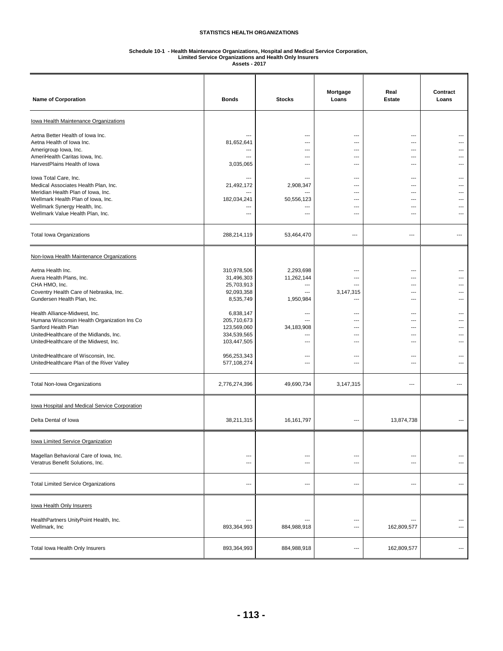# **Schedule 10-1 - Health Maintenance Organizations, Hospital and Medical Service Corporation, Limited Service Organizations and Health Only Insurers**

**Assets - 2017**

| <b>Name of Corporation</b>                                                                                                                                                                                                                                                                                                                                                                                                                                                                             | <b>Bonds</b>                                                                                                                                                                               | <b>Stocks</b>                                                                                                                                                            | Mortgage<br>Loans                                                                       | Real<br><b>Estate</b>                                                                     | Contract<br>Loans                             |
|--------------------------------------------------------------------------------------------------------------------------------------------------------------------------------------------------------------------------------------------------------------------------------------------------------------------------------------------------------------------------------------------------------------------------------------------------------------------------------------------------------|--------------------------------------------------------------------------------------------------------------------------------------------------------------------------------------------|--------------------------------------------------------------------------------------------------------------------------------------------------------------------------|-----------------------------------------------------------------------------------------|-------------------------------------------------------------------------------------------|-----------------------------------------------|
| <b>lowa Health Maintenance Organizations</b>                                                                                                                                                                                                                                                                                                                                                                                                                                                           |                                                                                                                                                                                            |                                                                                                                                                                          |                                                                                         |                                                                                           |                                               |
| Aetna Better Health of Iowa Inc.<br>Aetna Health of Iowa Inc.<br>Amerigroup Iowa, Inc.<br>AmeriHealth Caritas Iowa, Inc.<br>HarvestPlains Health of Iowa                                                                                                                                                                                                                                                                                                                                               | 81,652,641<br>---<br>3,035,065                                                                                                                                                             | ---<br>$---$<br>---<br>---<br>$\overline{a}$                                                                                                                             | ---<br>---<br>---<br>---<br>---                                                         | ---<br>$---$<br>---<br>---<br>---                                                         | ---<br>---                                    |
| lowa Total Care, Inc.<br>Medical Associates Health Plan, Inc.<br>Meridian Health Plan of Iowa, Inc.<br>Wellmark Health Plan of Iowa, Inc.<br>Wellmark Synergy Health, Inc.<br>Wellmark Value Health Plan, Inc.                                                                                                                                                                                                                                                                                         | ---<br>21,492,172<br>182,034,241<br>---<br>---                                                                                                                                             | $\overline{\phantom{a}}$<br>2,908,347<br>50,556,123<br>$\overline{\phantom{a}}$<br>---                                                                                   | $---$<br>---<br>---<br>---<br>---<br>---                                                | $---$<br>---<br>---<br>$---$<br>---<br>---                                                | ---<br>---<br>---                             |
| <b>Total Iowa Organizations</b>                                                                                                                                                                                                                                                                                                                                                                                                                                                                        | 288,214,119                                                                                                                                                                                | 53,464,470                                                                                                                                                               | $\overline{\phantom{a}}$                                                                | ---                                                                                       | ---                                           |
| Non-Iowa Health Maintenance Organizations                                                                                                                                                                                                                                                                                                                                                                                                                                                              |                                                                                                                                                                                            |                                                                                                                                                                          |                                                                                         |                                                                                           |                                               |
| Aetna Health Inc.<br>Avera Health Plans, Inc.<br>CHA HMO, Inc.<br>Coventry Health Care of Nebraska, Inc.<br>Gundersen Health Plan, Inc.<br>Health Alliance-Midwest, Inc.<br>Humana Wisconsin Health Organization Ins Co<br>Sanford Health Plan<br>UnitedHealthcare of the Midlands, Inc.<br>UnitedHealthcare of the Midwest, Inc.<br>UnitedHealthcare of Wisconsin, Inc.<br>UnitedHealthcare Plan of the River Valley<br>Total Non-Iowa Organizations<br>lowa Hospital and Medical Service Corporation | 310,978,506<br>31,496,303<br>25,703,913<br>92,093,358<br>8,535,749<br>6,838,147<br>205,710,673<br>123,569,060<br>334,539,565<br>103,447,505<br>956,253,343<br>577,108,274<br>2,776,274,396 | 2,293,698<br>11,262,144<br>---<br>$---$<br>1,950,984<br>---<br>$---$<br>34,183,908<br>$\overline{\phantom{a}}$<br>---<br>$---$<br>$\overline{\phantom{a}}$<br>49,690,734 | ---<br>3,147,315<br>---<br>---<br>---<br>---<br>---<br>---<br>$---$<br>---<br>3,147,315 | ---<br>---<br>---<br>---<br>---<br>---<br>$---$<br>---<br>---<br>---<br>---<br>---<br>--- | ---<br>---<br>---<br>---<br>---<br>---<br>--- |
| Delta Dental of Iowa                                                                                                                                                                                                                                                                                                                                                                                                                                                                                   | 38,211,315                                                                                                                                                                                 | 16,161,797                                                                                                                                                               | ---                                                                                     | 13,874,738                                                                                |                                               |
| lowa Limited Service Organization<br>Magellan Behavioral Care of Iowa, Inc.<br>Veratrus Benefit Solutions, Inc.                                                                                                                                                                                                                                                                                                                                                                                        | $---$<br>---                                                                                                                                                                               | $\overline{\phantom{a}}$<br>---                                                                                                                                          | ---<br>---                                                                              | ---<br>$\overline{\phantom{a}}$                                                           | ---                                           |
| <b>Total Limited Service Organizations</b>                                                                                                                                                                                                                                                                                                                                                                                                                                                             | $\overline{\phantom{a}}$                                                                                                                                                                   | ---                                                                                                                                                                      | $---$                                                                                   | $\overline{\phantom{a}}$                                                                  | ---                                           |
| lowa Health Only Insurers<br>HealthPartners UnityPoint Health, Inc.<br>Wellmark, Inc                                                                                                                                                                                                                                                                                                                                                                                                                   | $---$<br>893,364,993                                                                                                                                                                       | ---<br>884,988,918                                                                                                                                                       | ---<br>---                                                                              | $\overline{\phantom{a}}$<br>162,809,577                                                   | ---<br>---                                    |
| Total Iowa Health Only Insurers                                                                                                                                                                                                                                                                                                                                                                                                                                                                        | 893,364,993                                                                                                                                                                                | 884,988,918                                                                                                                                                              | ---                                                                                     | 162,809,577                                                                               | ---                                           |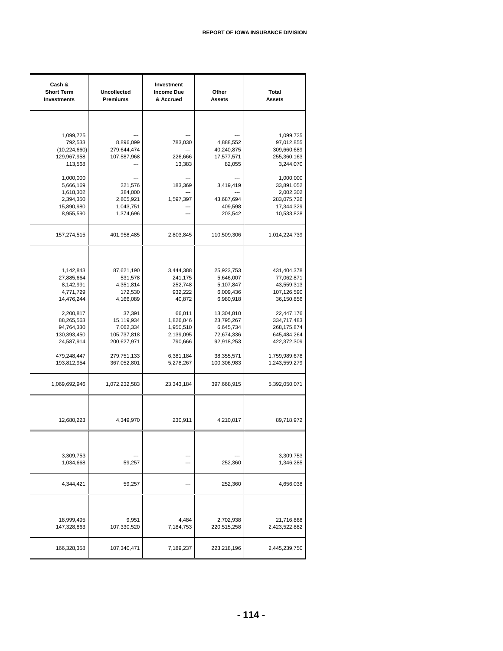| Cash &<br><b>Short Term</b><br><b>Investments</b> | <b>Uncollected</b><br><b>Premiums</b> | Investment<br><b>Income Due</b><br>& Accrued | Other<br><b>Assets</b>   | Total<br><b>Assets</b>     |
|---------------------------------------------------|---------------------------------------|----------------------------------------------|--------------------------|----------------------------|
|                                                   |                                       |                                              |                          |                            |
|                                                   |                                       |                                              |                          |                            |
| 1,099,725                                         |                                       |                                              |                          | 1,099,725                  |
| 792,533                                           | 8,896,099                             | 783,030                                      | 4,888,552                | 97,012,855                 |
| (10, 224, 660)<br>129,967,958                     | 279,644,474<br>107,587,968            | 226,666                                      | 40,240,875<br>17,577,571 | 309,660,689<br>255,360,163 |
| 113,568                                           |                                       | 13,383                                       | 82,055                   | 3,244,070                  |
| 1,000,000                                         |                                       | $\overline{a}$                               |                          | 1,000,000                  |
| 5,666,169                                         | 221,576                               | 183,369                                      | 3,419,419                | 33,891,052                 |
| 1,618,302                                         | 384,000                               | ---                                          |                          | 2,002,302                  |
| 2,394,350                                         | 2,805,921                             | 1,597,397                                    | 43,687,694               | 283,075,726                |
| 15,890,980                                        | 1,043,751                             | ---                                          | 409,598                  | 17,344,329                 |
| 8,955,590                                         | 1,374,696                             |                                              | 203,542                  | 10,533,828                 |
| 157,274,515                                       | 401,958,485                           | 2,803,845                                    | 110,509,306              | 1,014,224,739              |
|                                                   |                                       |                                              |                          |                            |
|                                                   |                                       |                                              |                          |                            |
| 1,142,843                                         | 87,621,190                            | 3,444,388                                    | 25,923,753               | 431,404,378                |
| 27,885,664                                        | 531,578                               | 241,175<br>252,748                           | 5,646,007<br>5,107,847   | 77,062,871<br>43,559,313   |
| 8,142,991<br>4,771,729                            | 4,351,814<br>172,530                  | 932,222                                      | 6,009,436                | 107,126,590                |
| 14,476,244                                        | 4,166,089                             | 40,872                                       | 6,980,918                | 36,150,856                 |
|                                                   |                                       |                                              |                          |                            |
| 2,200,817                                         | 37,391                                | 66,011                                       | 13,304,810               | 22,447,176                 |
| 88,265,563                                        | 15,119,934                            | 1,826,046                                    | 23,795,267               | 334,717,483                |
| 94,764,330                                        | 7,062,334                             | 1,950,510                                    | 6,645,734                | 268,175,874                |
| 130,393,450                                       | 105,737,818                           | 2,139,095                                    | 72,674,336               | 645,484,264                |
| 24,587,914                                        | 200,627,971                           | 790,666                                      | 92,918,253               | 422,372,309                |
| 479,248,447                                       | 279,751,133                           | 6,381,184                                    | 38,355,571               | 1,759,989,678              |
| 193,812,954                                       | 367,052,801                           | 5,278,267                                    | 100,306,983              | 1,243,559,279              |
| 1,069,692,946                                     | 1,072,232,583                         | 23,343,184                                   | 397,668,915              | 5,392,050,071              |
|                                                   |                                       |                                              |                          |                            |
|                                                   |                                       |                                              |                          |                            |
| 12,680,223                                        | 4,349,970                             | 230,911                                      | 4,210,017                | 89,718,972                 |
|                                                   |                                       |                                              |                          |                            |
|                                                   |                                       |                                              |                          |                            |
| 3,309,753                                         |                                       | ---                                          |                          | 3,309,753                  |
| 1,034,668                                         | 59,257                                | ---                                          | 252,360                  | 1,346,285                  |
| 4,344,421                                         | 59,257                                | ---                                          | 252,360                  | 4,656,038                  |
|                                                   |                                       |                                              |                          |                            |
|                                                   |                                       |                                              |                          |                            |
| 18,999,495                                        | 9,951                                 | 4,484                                        | 2,702,938                | 21,716,868                 |
| 147,328,863                                       | 107,330,520                           | 7,184,753                                    | 220,515,258              | 2,423,522,882              |
| 166,328,358                                       | 107,340,471                           | 7,189,237                                    | 223,218,196              | 2,445,239,750              |
|                                                   |                                       |                                              |                          |                            |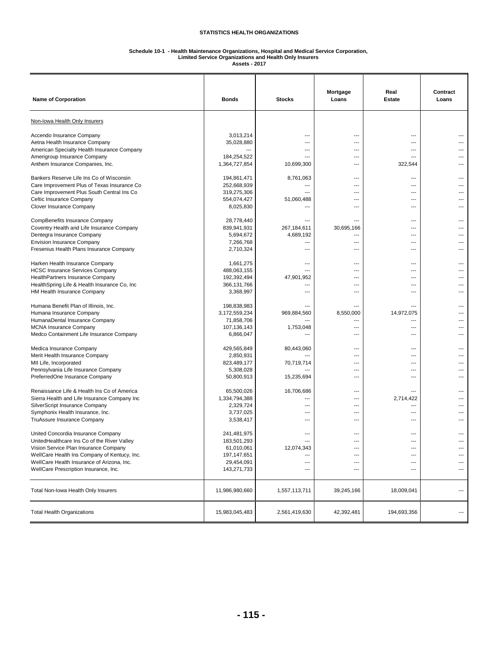## **Schedule 10-1 - Health Maintenance Organizations, Hospital and Medical Service Corporation, Limited Service Organizations and Health Only Insurers**

**Assets - 2017**

| <b>Name of Corporation</b>                                                        | <b>Bonds</b>               | <b>Stocks</b>            | Mortgage<br>Loans | Real<br><b>Estate</b>            | Contract<br>Loans |
|-----------------------------------------------------------------------------------|----------------------------|--------------------------|-------------------|----------------------------------|-------------------|
| Non-Iowa Health Only Insurers                                                     |                            |                          |                   |                                  |                   |
| Accendo Insurance Company                                                         | 3,013,214                  |                          | ---               | ---                              |                   |
| Aetna Health Insurance Company                                                    | 35,028,880                 | ---                      | ---               | $\overline{a}$                   |                   |
| American Specialty Health Insurance Company                                       | 184,254,522                | $---$<br>$---$           | ---<br>---        | $\overline{a}$<br>$---$          |                   |
| Amerigroup Insurance Company<br>Anthem Insurance Companies, Inc.                  | 1,364,727,854              | 10,699,300               | ---               | 322,544                          |                   |
| Bankers Reserve Life Ins Co of Wisconsin                                          | 194,861,471                | 8,761,063                | $---$             | $\overline{\phantom{a}}$         |                   |
| Care Improvement Plus of Texas Insurance Co                                       | 252,668,939                | ---                      | ---               | $\overline{a}$                   |                   |
| Care Improvement Plus South Central Ins Co                                        | 319,275,306                |                          |                   | ---                              |                   |
| Celtic Insurance Company                                                          | 554,074,427                | 51,060,488               | ---               | $\overline{a}$                   |                   |
| Clover Insurance Company                                                          | 8,025,830                  | $\overline{a}$           | $---$             | $\overline{a}$                   |                   |
| CompBenefits Insurance Company                                                    | 28,778,440                 |                          | ---               | ---                              |                   |
| Coventry Health and Life Insurance Company                                        | 839,941,931                | 267,184,611              | 30,695,166        | $\overline{a}$                   |                   |
| Dentegra Insurance Company<br><b>Envision Insurance Company</b>                   | 5,694,672                  | 4,689,192<br>---         | $---$<br>---      | $---$<br>---                     |                   |
| Fresenius Health Plans Insurance Company                                          | 7,266,768<br>2,710,324     | ---                      | ---               | ---                              |                   |
|                                                                                   |                            |                          |                   |                                  |                   |
| Harken Health Insurance Company<br><b>HCSC Insurance Services Company</b>         | 1,661,275<br>488,063,155   | $---$<br>$---$           | $---$<br>---      | $\overline{a}$<br>$\overline{a}$ |                   |
| HealthPartners Insurance Company                                                  | 192,392,494                | 47,901,952               | ---               | ---                              |                   |
| HealthSpring Life & Health Insurance Co, Inc                                      | 366,131,766                | ---                      | ---               | ---                              |                   |
| HM Health Insurance Company                                                       | 3,368,997                  | ---                      | ---               | $\overline{a}$                   |                   |
| Humana Benefit Plan of Illinois, Inc.                                             | 198,838,983                | ---                      | $---$             | ---                              |                   |
| Humana Insurance Company                                                          | 3,172,559,234              | 969,884,560              | 8,550,000         | 14,972,075                       |                   |
| HumanaDental Insurance Company                                                    | 71,858,706                 | ---                      | ---               | $\overline{a}$                   |                   |
| <b>MCNA Insurance Company</b>                                                     | 107,136,143                | 1,753,048                | ---               | $\overline{a}$                   |                   |
| Medco Containment Life Insurance Company                                          | 6,866,047                  | ---                      | ---               | $---$                            |                   |
| Medica Insurance Company                                                          | 429,565,849                | 80,443,060               | ---               | ---                              |                   |
| Merit Health Insurance Company                                                    | 2,850,931                  |                          | ---               | $---$                            |                   |
| MII Life, Incorporated                                                            | 823,489,177                | 70,719,714               | ---               | $---$                            |                   |
| Pennsylvania Life Insurance Company<br>PreferredOne Insurance Company             | 5,308,028<br>50,800,913    | 15,235,694               | ---<br>---        | ---<br>---                       |                   |
|                                                                                   |                            |                          |                   |                                  |                   |
| Renaissance Life & Health Ins Co of America                                       | 65,500,026                 | 16,706,686               | ---               |                                  |                   |
| Sierra Health and Life Insurance Company Inc                                      | 1,334,794,388              | ---                      | ---               | 2,714,422                        |                   |
| SilverScript Insurance Company<br>Symphonix Health Insurance, Inc.                | 2,329,724<br>3,737,025     | ---<br>$---$             | ---<br>---        | ---<br>$\overline{a}$            |                   |
| TruAssure Insurance Company                                                       | 3,538,417                  | ---                      | ---               | $\overline{a}$                   |                   |
|                                                                                   |                            |                          |                   |                                  |                   |
| United Concordia Insurance Company<br>UnitedHealthcare Ins Co of the River Valley | 241,481,975<br>183,501,293 | ---<br>$---$             | ---<br>---        | ---<br>$\overline{a}$            |                   |
| Vision Service Plan Insurance Company                                             | 61,010,061                 | 12,074,343               | ---               | ---                              | ---               |
| WellCare Health Ins Company of Kentucy, Inc.                                      | 197,147,651                | $\overline{\phantom{a}}$ | ---               | ---                              | ---               |
| WellCare Health Insurance of Arizona, Inc.                                        | 29,454,091                 | ---                      | ---               | ---                              | ---               |
| WellCare Prescription Insurance, Inc.                                             | 143,271,733                | ---                      | ---               | ---                              | ---               |
| Total Non-Iowa Health Only Insurers                                               | 11,986,980,660             | 1,557,113,711            | 39,245,166        | 18,009,041                       | ---               |
| <b>Total Health Organizations</b>                                                 | 15,983,045,483             | 2,561,419,630            | 42,392,481        | 194,693,356                      | ---               |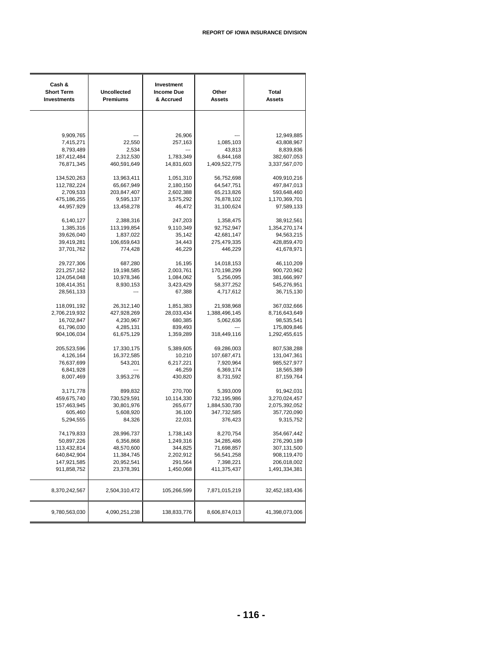| Cash &<br><b>Short Term</b><br><b>Investments</b> | <b>Uncollected</b><br>Premiums | Investment<br><b>Income Due</b><br>& Accrued | Other<br><b>Assets</b> | <b>Total</b><br><b>Assets</b> |
|---------------------------------------------------|--------------------------------|----------------------------------------------|------------------------|-------------------------------|
|                                                   |                                |                                              |                        |                               |
| 9,909,765                                         |                                | 26,906                                       |                        | 12,949,885                    |
| 7,415,271                                         | 22,550                         | 257,163                                      | 1,085,103              | 43,808,967                    |
| 8,793,489                                         | 2,534                          |                                              | 43,813                 | 8,839,836                     |
| 187,412,484                                       | 2,312,530                      | 1,783,349                                    | 6,844,168              | 382,607,053                   |
| 76,871,345                                        | 460,591,649                    | 14,831,603                                   | 1,409,522,775          | 3,337,567,070                 |
| 134,520,263                                       | 13,963,411                     | 1,051,310                                    | 56,752,698             | 409,910,216                   |
| 112,782,224                                       | 65,667,949                     | 2,180,150                                    | 64,547,751             | 497,847,013                   |
| 2,709,533                                         | 203,847,407                    | 2,602,388                                    | 65,213,826             | 593,648,460                   |
| 475,186,255                                       | 9,595,137                      | 3,575,292                                    | 76,878,102             | 1,170,369,701                 |
| 44,957,929                                        | 13,458,278                     | 46,472                                       | 31,100,624             | 97,589,133                    |
| 6,140,127                                         | 2,388,316                      | 247,203                                      | 1,358,475              | 38,912,561                    |
| 1,385,316                                         | 113,199,854                    | 9,110,349                                    | 92,752,947             | 1,354,270,174                 |
| 39,626,040                                        | 1,837,022                      | 35,142                                       | 42,681,147             | 94,563,215                    |
| 39,419,281                                        | 106,659,643                    | 34,443                                       | 275,479,335            | 428,859,470                   |
| 37,701,762                                        | 774,428                        | 46,229                                       | 446,229                | 41,678,971                    |
| 29,727,306                                        | 687,280                        | 16,195                                       | 14,018,153             | 46,110,209                    |
| 221, 257, 162                                     | 19,198,585                     | 2,003,761                                    | 170,198,299            | 900,720,962                   |
| 124,054,048                                       | 10,978,346                     | 1,084,062                                    | 5,256,095              | 381,666,997                   |
| 108,414,351                                       | 8,930,153                      | 3,423,429                                    | 58,377,252             | 545,276,951                   |
| 28,561,133                                        |                                | 67,388                                       | 4,717,612              | 36,715,130                    |
| 118,091,192                                       | 26,312,140                     | 1,851,383                                    | 21,938,968             | 367,032,666                   |
| 2,706,219,932                                     | 427,928,269                    | 28,033,434                                   | 1,388,496,145          | 8,716,643,649                 |
| 16,702,847                                        | 4,230,967                      | 680,385                                      | 5,062,636              | 98,535,541                    |
| 61,796,030                                        | 4,285,131                      | 839,493                                      |                        | 175,809,846                   |
| 904,106,034                                       | 61,675,129                     | 1,359,289                                    | 318,449,116            | 1,292,455,615                 |
| 205,523,596                                       | 17,330,175                     | 5,389,605                                    | 69,286,003             | 807,538,288                   |
| 4,126,164                                         | 16,372,585                     | 10,210                                       | 107,687,471            | 131,047,361                   |
| 76,637,699                                        | 543,201                        | 6,217,221                                    | 7,920,964              | 985,527,977                   |
| 6,841,928                                         |                                | 46,259                                       | 6,369,174              | 18,565,389                    |
| 8,007,469                                         | 3,953,276                      | 430,820                                      | 8,731,592              | 87,159,764                    |
| 3,171,778                                         | 899,832                        | 270,700                                      | 5,393,009              | 91,942,031                    |
| 459,675,740                                       | 730,529,591                    | 10,114,330                                   | 732,195,986            | 3,270,024,457                 |
| 157,463,945                                       | 30,801,976                     | 265,677                                      | 1,884,530,730          | 2,075,392,052                 |
| 605,460                                           | 5,608,920                      | 36,100                                       | 347,732,585            | 357,720,090                   |
| 5,294,555                                         | 84,326                         | 22,031                                       | 376,423                | 9,315,752                     |
| 74,179,833                                        | 28,996,737                     | 1,738,143                                    | 8,270,754              | 354,667,442                   |
| 50,897,226                                        | 6,356,868                      | 1,249,316                                    | 34,285,486             | 276,290,189                   |
| 113,432,814                                       | 48,570,600                     | 344,825                                      | 71,698,857             | 307,131,500                   |
| 640,842,904                                       | 11,384,745                     | 2,202,912                                    | 56,541,258             | 908,119,470                   |
| 147,921,585                                       | 20,952,541                     | 291,564                                      | 7,398,221              | 206,018,002                   |
| 911,858,752                                       | 23,378,391                     | 1,450,068                                    | 411,375,437            | 1,491,334,381                 |
| 8,370,242,567                                     | 2,504,310,472                  | 105,266,599                                  | 7,871,015,219          | 32,452,183,436                |
| 9,780,563,030                                     | 4,090,251,238                  | 138,833,776                                  | 8,606,874,013          | 41,398,073,006                |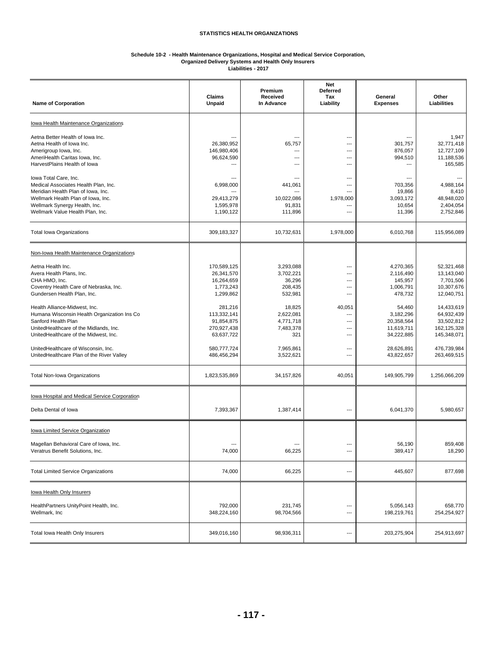#### **Schedule 10-2 - Health Maintenance Organizations, Hospital and Medical Service Corporation, Organized Delivery Systems and Health Only Insurers**

**Liabilities - 2017**

| <b>Name of Corporation</b>                                                                                                                                                                                              | Claims<br><b>Unpaid</b>                                                                     | Premium<br>Received<br>In Advance                                             | <b>Net</b><br><b>Deferred</b><br>Tax<br>Liability                 | General<br><b>Expenses</b>                                                       | Other<br>Liabilities                                                                          |
|-------------------------------------------------------------------------------------------------------------------------------------------------------------------------------------------------------------------------|---------------------------------------------------------------------------------------------|-------------------------------------------------------------------------------|-------------------------------------------------------------------|----------------------------------------------------------------------------------|-----------------------------------------------------------------------------------------------|
| Iowa Health Maintenance Organizations                                                                                                                                                                                   |                                                                                             |                                                                               |                                                                   |                                                                                  |                                                                                               |
| Aetna Better Health of Iowa Inc.<br>Aetna Health of Iowa Inc.<br>Amerigroup Iowa, Inc.<br>AmeriHealth Caritas Iowa, Inc.<br>HarvestPlains Health of Iowa                                                                | 26,380,952<br>146,980,406<br>96,624,590                                                     | 65,757<br>---<br>---<br>---                                                   | ---<br>$---$<br>---<br>---                                        | 301,757<br>876,057<br>994,510<br>---                                             | 1,947<br>32,771,418<br>12,727,109<br>11,188,536<br>165,585                                    |
| Iowa Total Care, Inc.<br>Medical Associates Health Plan, Inc.<br>Meridian Health Plan of Iowa, Inc.<br>Wellmark Health Plan of Iowa, Inc.<br>Wellmark Synergy Health, Inc.<br>Wellmark Value Health Plan, Inc.          | 6,998,000<br>29,413,279<br>1,595,978<br>1,190,122                                           | ---<br>441,061<br>10,022,086<br>91,831<br>111,896                             | ---<br>---<br>---<br>1,978,000<br>---<br>$\overline{\phantom{a}}$ | ---<br>703,356<br>19,866<br>3,093,172<br>10,654<br>11,396                        | ---<br>4.988.164<br>8,410<br>48,948,020<br>2,404,054<br>2,752,846                             |
| <b>Total Iowa Organizations</b>                                                                                                                                                                                         | 309,183,327                                                                                 | 10,732,631                                                                    | 1,978,000                                                         | 6,010,768                                                                        | 115,956,089                                                                                   |
| Non-Iowa Health Maintenance Organizations                                                                                                                                                                               |                                                                                             |                                                                               |                                                                   |                                                                                  |                                                                                               |
| Aetna Health Inc.<br>Avera Health Plans, Inc.<br>CHA HMO. Inc.<br>Coventry Health Care of Nebraska, Inc.<br>Gundersen Health Plan, Inc.<br>Health Alliance-Midwest, Inc.<br>Humana Wisconsin Health Organization Ins Co | 170,589,125<br>26,341,570<br>16,264,659<br>1,773,243<br>1,299,862<br>281,216<br>113,332,141 | 3,293,088<br>3,702,221<br>36,296<br>208,435<br>532,981<br>18,825<br>2,622,081 | ---<br>---<br>---<br>$---$<br>---<br>40,051<br>$\overline{a}$     | 4,270,365<br>2,116,490<br>145,957<br>1,006,791<br>478,732<br>54,460<br>3,182,296 | 52,321,468<br>13,143,040<br>7,701,506<br>10,307,676<br>12,040,751<br>14,433,619<br>64,932,439 |
| Sanford Health Plan<br>UnitedHealthcare of the Midlands, Inc.<br>UnitedHealthcare of the Midwest, Inc.                                                                                                                  | 91,854,875<br>270,927,438<br>63,637,722                                                     | 4,771,718<br>7,483,378<br>321                                                 | ---<br>---<br>---                                                 | 20,358,564<br>11,619,711<br>34,222,885                                           | 33,502,812<br>162,125,328<br>145,348,071                                                      |
| UnitedHealthcare of Wisconsin, Inc.<br>UnitedHealthcare Plan of the River Valley                                                                                                                                        | 580,777,724<br>486,456,294                                                                  | 7,965,861<br>3,522,621                                                        | ---<br>$\overline{\phantom{a}}$                                   | 28,626,891<br>43,822,657                                                         | 476,739,984<br>263,469,515                                                                    |
| <b>Total Non-Iowa Organizations</b>                                                                                                                                                                                     | 1,823,535,869                                                                               | 34, 157, 826                                                                  | 40,051                                                            | 149,905,799                                                                      | 1,256,066,209                                                                                 |
| lowa Hospital and Medical Service Corporation                                                                                                                                                                           |                                                                                             |                                                                               |                                                                   |                                                                                  |                                                                                               |
| Delta Dental of Iowa                                                                                                                                                                                                    | 7,393,367                                                                                   | 1,387,414                                                                     | ---                                                               | 6,041,370                                                                        | 5,980,657                                                                                     |
| lowa Limited Service Organization                                                                                                                                                                                       |                                                                                             |                                                                               |                                                                   |                                                                                  |                                                                                               |
| Magellan Behavioral Care of Iowa, Inc.<br>Veratrus Benefit Solutions, Inc.                                                                                                                                              | $---$<br>74,000                                                                             | $\overline{\phantom{a}}$<br>66,225                                            | $---$<br>---                                                      | 56,190<br>389,417                                                                | 859,408<br>18,290                                                                             |
| <b>Total Limited Service Organizations</b>                                                                                                                                                                              | 74,000                                                                                      | 66,225                                                                        | ---                                                               | 445,607                                                                          | 877,698                                                                                       |
| Iowa Health Only Insurers                                                                                                                                                                                               |                                                                                             |                                                                               |                                                                   |                                                                                  |                                                                                               |
| HealthPartners UnityPoint Health, Inc.<br>Wellmark, Inc                                                                                                                                                                 | 792,000<br>348,224,160                                                                      | 231,745<br>98,704,566                                                         | ---<br>---                                                        | 5,056,143<br>198,219,761                                                         | 658,770<br>254,254,927                                                                        |
| Total Iowa Health Only Insurers                                                                                                                                                                                         | 349,016,160                                                                                 | 98,936,311                                                                    | ---                                                               | 203,275,904                                                                      | 254,913,697                                                                                   |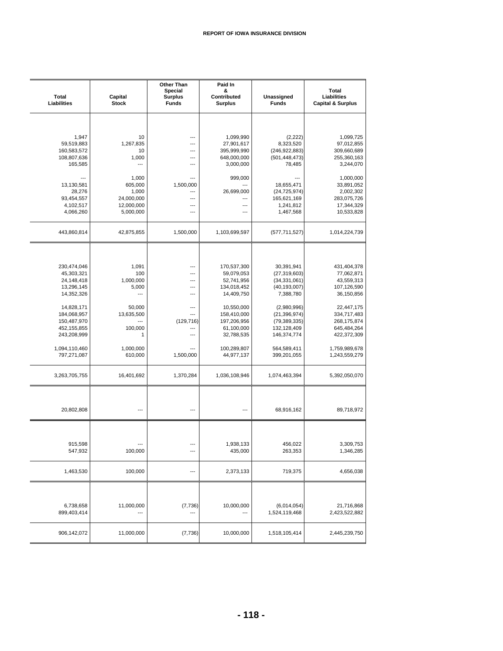| Total<br>Liabilities                                                                                                                                                                           | Capital<br><b>Stock</b>                                                                                                            | <b>Other Than</b><br><b>Special</b><br><b>Surplus</b><br><b>Funds</b>                                      | Paid In<br>&<br>Contributed<br><b>Surplus</b>                                                                                                                                              | Unassigned<br><b>Funds</b>                                                                                                                                                                                    | <b>Total</b><br>Liabilities<br><b>Capital &amp; Surplus</b>                                                                                                                                       |
|------------------------------------------------------------------------------------------------------------------------------------------------------------------------------------------------|------------------------------------------------------------------------------------------------------------------------------------|------------------------------------------------------------------------------------------------------------|--------------------------------------------------------------------------------------------------------------------------------------------------------------------------------------------|---------------------------------------------------------------------------------------------------------------------------------------------------------------------------------------------------------------|---------------------------------------------------------------------------------------------------------------------------------------------------------------------------------------------------|
| 1,947<br>59,519,883<br>160,583,572<br>108,807,636<br>165,585<br>13,130,581<br>28,276<br>93,454,557<br>4,102,517                                                                                | 10<br>1,267,835<br>10<br>1,000<br>$\overline{a}$<br>1,000<br>605,000<br>1,000<br>24,000,000<br>12,000,000                          | ---<br>---<br>---<br>$---$<br>---<br>1,500,000<br>---<br>---<br>---                                        | 1,099,990<br>27,901,617<br>395,999,990<br>648,000,000<br>3,000,000<br>999,000<br>26,699,000<br>---<br>---                                                                                  | (2, 222)<br>8,323,520<br>(246, 922, 883)<br>(501, 448, 473)<br>78,485<br>18,655,471<br>(24, 725, 974)<br>165,621,169<br>1,241,812                                                                             | 1,099,725<br>97,012,855<br>309,660,689<br>255,360,163<br>3,244,070<br>1,000,000<br>33,891,052<br>2,002,302<br>283,075,726<br>17,344,329                                                           |
| 4,066,260<br>443,860,814                                                                                                                                                                       | 5,000,000<br>42,875,855                                                                                                            | ---<br>1,500,000                                                                                           | ---<br>1,103,699,597                                                                                                                                                                       | 1,467,568<br>(577, 711, 527)                                                                                                                                                                                  | 10,533,828<br>1,014,224,739                                                                                                                                                                       |
| 230,474,046<br>45,303,321<br>24,148,418<br>13,296,145<br>14,352,326<br>14,828,171<br>184,068,957<br>150,487,970<br>452,155,855<br>243,208,999<br>1,094,110,460<br>797,271,087<br>3,263,705,755 | 1,091<br>100<br>1,000,000<br>5,000<br>$\overline{a}$<br>50,000<br>13,635,500<br>100,000<br>1<br>1,000,000<br>610,000<br>16,401,692 | ---<br>---<br>---<br>---<br>---<br>---<br>---<br>(129, 716)<br>---<br>---<br>---<br>1,500,000<br>1,370,284 | 170,537,300<br>59,079,053<br>52,741,956<br>134,018,452<br>14,409,750<br>10,550,000<br>158,410,000<br>197,206,956<br>61,100,000<br>32,788,535<br>100,289,807<br>44,977,137<br>1,036,108,946 | 30,391,941<br>(27, 319, 603)<br>(34, 331, 061)<br>(40, 193, 007)<br>7,388,780<br>(2,980,996)<br>(21, 396, 974)<br>(79, 389, 335)<br>132,128,409<br>146,374,774<br>564,589,411<br>399,201,055<br>1,074,463,394 | 431,404,378<br>77,062,871<br>43,559,313<br>107,126,590<br>36,150,856<br>22,447,175<br>334,717,483<br>268,175,874<br>645,484,264<br>422,372,309<br>1,759,989,678<br>1,243,559,279<br>5,392,050,070 |
| 20,802,808                                                                                                                                                                                     | $---$                                                                                                                              | ---                                                                                                        | ---                                                                                                                                                                                        | 68,916,162                                                                                                                                                                                                    | 89,718,972                                                                                                                                                                                        |
| 915,598<br>547,932                                                                                                                                                                             | 100,000                                                                                                                            | $---$                                                                                                      | 1,938,133<br>435,000                                                                                                                                                                       | 456,022<br>263,353                                                                                                                                                                                            | 3,309,753<br>1,346,285                                                                                                                                                                            |
| 1,463,530                                                                                                                                                                                      | 100,000                                                                                                                            | ---                                                                                                        | 2,373,133                                                                                                                                                                                  | 719,375                                                                                                                                                                                                       | 4,656,038                                                                                                                                                                                         |
| 6,738,658<br>899,403,414                                                                                                                                                                       | 11,000,000                                                                                                                         | (7, 736)                                                                                                   | 10,000,000                                                                                                                                                                                 | (6,014,054)<br>1,524,119,468                                                                                                                                                                                  | 21,716,868<br>2,423,522,882                                                                                                                                                                       |
| 906,142,072                                                                                                                                                                                    | 11,000,000                                                                                                                         | (7, 736)                                                                                                   | 10,000,000                                                                                                                                                                                 | 1,518,105,414                                                                                                                                                                                                 | 2,445,239,750                                                                                                                                                                                     |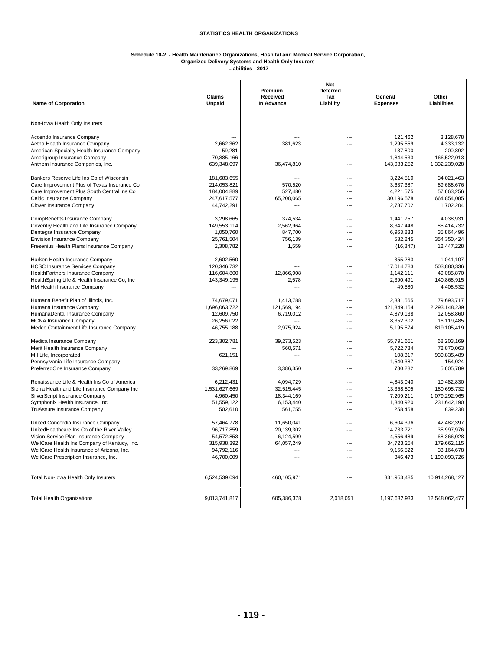#### **Schedule 10-2 - Health Maintenance Organizations, Hospital and Medical Service Corporation, Organized Delivery Systems and Health Only Insurers**

**Liabilities - 2017**

| <b>Name of Corporation</b>                                             | Claims<br><b>Unpaid</b>    | Premium<br>Received<br>In Advance | Net<br><b>Deferred</b><br>Tax<br>Liability | General<br><b>Expenses</b> | Other<br><b>Liabilities</b> |
|------------------------------------------------------------------------|----------------------------|-----------------------------------|--------------------------------------------|----------------------------|-----------------------------|
| Non-Iowa Health Only Insurers                                          |                            |                                   |                                            |                            |                             |
|                                                                        |                            |                                   |                                            |                            |                             |
| Accendo Insurance Company                                              |                            |                                   |                                            | 121,462                    | 3,128,678                   |
| Aetna Health Insurance Company                                         | 2,662,362                  | 381,623                           | ---                                        | 1,295,559                  | 4,333,132                   |
| American Specialty Health Insurance Company                            | 59,281                     | ---                               | ---                                        | 137,800                    | 200,892<br>166,522,013      |
| Amerigroup Insurance Company<br>Anthem Insurance Companies, Inc.       | 70,885,166<br>639,348,097  | 36,474,810                        |                                            | 1,844,533<br>143,083,252   | 1,332,239,028               |
|                                                                        |                            |                                   |                                            |                            |                             |
| Bankers Reserve Life Ins Co of Wisconsin                               | 181,683,655                |                                   | ---                                        | 3,224,510                  | 34,021,463                  |
| Care Improvement Plus of Texas Insurance Co                            | 214,053,821                | 570,520                           |                                            | 3,637,387                  | 89,688,676                  |
| Care Improvement Plus South Central Ins Co<br>Celtic Insurance Company | 184,004,889<br>247,617,577 | 527,480<br>65,200,065             |                                            | 4,221,575<br>30,196,578    | 57,663,256<br>664,854,085   |
| Clover Insurance Company                                               | 44,742,291                 | ---                               | ---                                        | 2,787,702                  | 1,702,204                   |
|                                                                        |                            |                                   |                                            |                            |                             |
| CompBenefits Insurance Company                                         | 3,298,665                  | 374,534                           | ---                                        | 1,441,757                  | 4,038,931                   |
| Coventry Health and Life Insurance Company                             | 149,553,114                | 2,562,964                         | ---                                        | 8,347,448                  | 85.414.732                  |
| Dentegra Insurance Company                                             | 1,050,760                  | 847,700                           | ---                                        | 6,963,833                  | 35,864,496                  |
| <b>Envision Insurance Company</b>                                      | 25,761,504                 | 756,139                           | ---                                        | 532,245                    | 354.350.424                 |
| Fresenius Health Plans Insurance Company                               | 2,308,782                  | 1,559                             | ---                                        | (16, 847)                  | 12,447,228                  |
| Harken Health Insurance Company                                        | 2,602,560                  | ---                               | ---                                        | 355,283                    | 1,041,107                   |
| <b>HCSC Insurance Services Company</b>                                 | 120,346,732                |                                   | ---                                        | 17,014,783                 | 503,880,336                 |
| HealthPartners Insurance Company                                       | 116,604,800                | 12.866.908                        | ---                                        | 1,142,111                  | 49,085,870                  |
| HealthSpring Life & Health Insurance Co, Inc.                          | 143,349,195                | 2,578                             | ---                                        | 2.390.491                  | 140.868.915                 |
| HM Health Insurance Company                                            | ---                        | ---                               |                                            | 49,580                     | 4,408,532                   |
| Humana Benefit Plan of Illinois, Inc.                                  | 74,679,071                 | 1,413,788                         | ---                                        | 2,331,565                  | 79,693,717                  |
| Humana Insurance Company                                               | 1,696,063,722              | 121,569,194                       |                                            | 421,349,154                | 2,293,148,239               |
| HumanaDental Insurance Company                                         | 12,609,750                 | 6,719,012                         |                                            | 4,879,138                  | 12,058,860                  |
| <b>MCNA Insurance Company</b>                                          | 26,256,022                 |                                   | ---                                        | 8,352,302                  | 16,119,485                  |
| Medco Containment Life Insurance Company                               | 46,755,188                 | 2,975,924                         | ---                                        | 5,195,574                  | 819,105,419                 |
| Medica Insurance Company                                               | 223,302,781                | 39,273,523                        |                                            | 55,791,651                 | 68,203,169                  |
| Merit Health Insurance Company                                         |                            | 560,571                           | ---                                        | 5,722,784                  | 72,870,063                  |
| MII Life, Incorporated                                                 | 621,151                    | ---                               | ---                                        | 108,317                    | 939,835,489                 |
| Pennsylvania Life Insurance Company                                    |                            | ---                               | ---                                        | 1,540,387                  | 154,024                     |
| PreferredOne Insurance Company                                         | 33,269,869                 | 3,386,350                         | ---                                        | 780,282                    | 5,605,789                   |
| Renaissance Life & Health Ins Co of America                            | 6,212,431                  | 4,094,729                         | ---                                        | 4,843,040                  | 10,482,830                  |
| Sierra Health and Life Insurance Company Inc                           | 1,531,627,669              | 32,515,445                        | ---                                        | 13,358,805                 | 180,695,732                 |
| SilverScript Insurance Company                                         | 4,960,450                  | 18,344,169                        | ---                                        | 7,209,211                  | 1,079,292,965               |
| Symphonix Health Insurance, Inc.                                       | 51,559,122                 | 6,153,440                         |                                            | 1,340,920                  | 231,642,190                 |
| TruAssure Insurance Company                                            | 502,610                    | 561,755                           | ---                                        | 258,458                    | 839,238                     |
| United Concordia Insurance Company                                     | 57,464,778                 | 11,650,041                        | ---                                        | 6,604,396                  | 42,482,397                  |
| UnitedHealthcare Ins Co of the River Valley                            | 96,717,859                 | 20,139,302                        |                                            | 14,733,721                 | 35,997,976                  |
| Vision Service Plan Insurance Company                                  | 54,572,853                 | 6,124,599                         | ---                                        | 4,556,489                  | 68,366,028                  |
| WellCare Health Ins Company of Kentucy, Inc.                           | 315,938,392                | 64,057,249                        | ---                                        | 34,723,254                 | 179,662,115                 |
| WellCare Health Insurance of Arizona, Inc.                             | 94,792,116                 | ---                               | ---                                        | 9,156,522                  | 33,164,678                  |
| WellCare Prescription Insurance, Inc.                                  | 46,700,009                 | ---                               | ---                                        | 346,473                    | 1,199,093,726               |
| Total Non-Iowa Health Only Insurers                                    | 6,524,539,094              | 460,105,971                       | ---                                        | 831,953,485                | 10,914,268,127              |
| <b>Total Health Organizations</b>                                      | 9,013,741,817              | 605,386,378                       | 2,018,051                                  | 1,197,632,933              | 12,548,062,477              |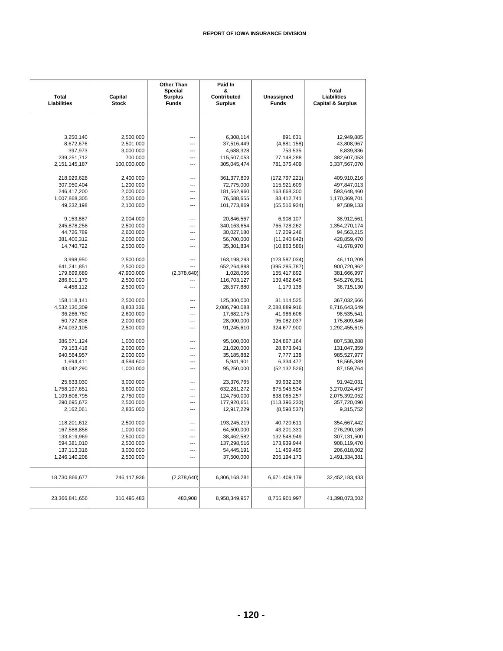| <b>Total</b><br>Liabilities | Capital<br><b>Stock</b> | Other Than<br><b>Special</b><br><b>Surplus</b><br><b>Funds</b> | Paid In<br>&<br>Contributed<br><b>Surplus</b> | Unassigned<br><b>Funds</b> | <b>Total</b><br>Liabilities<br><b>Capital &amp; Surplus</b> |
|-----------------------------|-------------------------|----------------------------------------------------------------|-----------------------------------------------|----------------------------|-------------------------------------------------------------|
|                             |                         |                                                                |                                               |                            |                                                             |
| 3,250,140                   | 2,500,000               | ---                                                            | 6,308,114                                     | 891,631                    | 12,949,885                                                  |
| 8,672,676                   | 2,501,000               | ---                                                            | 37,516,449                                    | (4,881,158)                | 43,808,967                                                  |
| 397,973                     | 3,000,000               | ---                                                            | 4,688,328                                     | 753,535                    | 8,839,836                                                   |
| 239,251,712                 | 700,000                 | ---                                                            | 115,507,053                                   | 27,148,288                 | 382,607,053                                                 |
| 2,151,145,187               | 100,000,000             | ---                                                            | 305,045,474                                   | 781,376,409                | 3,337,567,070                                               |
| 218,929,628                 | 2,400,000               | ---                                                            | 361,377,809                                   | (172, 797, 221)            | 409,910,216                                                 |
| 307,950,404                 | 1,200,000               | ---                                                            | 72,775,000                                    | 115,921,609                | 497,847,013                                                 |
| 246,417,200                 | 2,000,000               | $\overline{a}$                                                 | 181,562,960                                   | 163,668,300                | 593,648,460                                                 |
| 1,007,868,305               | 2,500,000               | ---                                                            | 76,588,655                                    | 83,412,741                 | 1,170,369,701                                               |
| 49,232,198                  | 2,100,000               |                                                                | 101,773,869                                   | (55, 516, 934)             | 97,589,133                                                  |
| 9,153,887                   | 2,004,000               | ---                                                            | 20,846,567                                    | 6,908,107                  | 38,912,561                                                  |
| 245,878,258                 | 2,500,000               | ---                                                            | 340,163,654                                   | 765,728,262                | 1,354,270,174                                               |
| 44,726,789                  | 2,600,000               | ---                                                            | 30,027,180                                    | 17,209,246                 | 94,563,215                                                  |
| 381,400,312                 | 2,000,000               | ---                                                            | 56,700,000                                    | (11, 240, 842)             | 428,859,470                                                 |
| 14,740,722                  | 2,500,000               | ---                                                            | 35,301,834                                    | (10,863,586)               | 41,678,970                                                  |
| 3,998,950                   | 2,500,000               | ---                                                            | 163,198,293                                   | (123, 587, 034)            | 46,110,209                                                  |
| 641,241,851                 | 2,500,000               | ---                                                            | 652,264,898                                   | (395, 285, 787)            | 900,720,962                                                 |
| 179,699,689                 | 47,900,000              | (2,378,640)                                                    | 1,028,056                                     | 155,417,892                | 381,666,997                                                 |
| 286,611,179                 | 2,500,000               | ---                                                            | 116,703,127                                   | 139,462,645                | 545,276,951                                                 |
| 4,458,112                   | 2,500,000               | ---                                                            | 28,577,880                                    | 1,179,138                  | 36,715,130                                                  |
| 158,118,141                 | 2,500,000               | ---                                                            | 125,300,000                                   | 81,114,525                 | 367,032,666                                                 |
| 4,532,130,309               | 8,833,336               |                                                                | 2,086,790,088                                 | 2,088,889,916              | 8,716,643,649                                               |
| 36,266,760                  | 2,600,000               | ---                                                            | 17,682,175                                    | 41,986,606                 | 98,535,541                                                  |
| 50,727,808                  | 2,000,000               | $\overline{a}$                                                 | 28,000,000                                    | 95,082,037                 | 175,809,846                                                 |
| 874,032,105                 | 2,500,000               | ---                                                            | 91,245,610                                    | 324,677,900                | 1,292,455,615                                               |
| 386,571,124                 | 1,000,000               | ---                                                            | 95,100,000                                    | 324,867,164                | 807,538,288                                                 |
| 79,153,418                  | 2,000,000               | ---                                                            | 21,020,000                                    | 28,873,941                 | 131,047,359                                                 |
| 940,564,957                 | 2,000,000               | ---                                                            | 35,185,882                                    | 7,777,138                  | 985,527,977                                                 |
| 1,694,411                   | 4,594,600               | ---                                                            | 5,941,901                                     | 6,334,477                  | 18,565,389                                                  |
| 43,042,290                  | 1,000,000               | ---                                                            | 95,250,000                                    | (52, 132, 526)             | 87,159,764                                                  |
| 25,633,030                  | 3,000,000               | ---                                                            | 23,376,765                                    | 39,932,236                 | 91,942,031                                                  |
| 1,758,197,651               | 3,600,000               |                                                                | 632,281,272                                   | 875,945,534                | 3,270,024,457                                               |
| 1,109,806,795               | 2,750,000               | $\sim$                                                         | 124,750,000                                   | 838,085,257                | 2,075,392,052                                               |
| 290,695,672                 | 2,500,000               | ---                                                            | 177,920,651                                   | (113, 396, 233)            | 357,720,090                                                 |
| 2,162,061                   | 2,835,000               | ---                                                            | 12,917,229                                    | (8,598,537)                | 9,315,752                                                   |
| 118,201,612                 | 2,500,000               | ---                                                            | 193,245,219                                   | 40,720,611                 | 354,667,442                                                 |
| 167,588,858                 | 1,000,000               | $\overline{a}$                                                 | 64,500,000                                    | 43,201,331                 | 276,290,189                                                 |
| 133,619,969                 | 2,500,000               |                                                                | 38,462,582                                    | 132,548,949                | 307,131,500                                                 |
| 594,381,010                 | 2,500,000               | ---                                                            | 137,298,516                                   | 173,939,944                | 908,119,470                                                 |
| 137, 113, 316               | 3,000,000               | ---                                                            | 54,445,191                                    | 11,459,495                 | 206,018,002                                                 |
| 1,246,140,208               | 2,500,000               | ---                                                            | 37,500,000                                    | 205, 194, 173              | 1,491,334,381                                               |
| 18,730,866,677              | 246,117,936             | (2,378,640)                                                    | 6,806,168,281                                 | 6,671,409,179              | 32,452,183,433                                              |
| 23,366,841,656              | 316,495,483             | 483,908                                                        | 8,958,349,957                                 | 8,755,901,997              | 41,398,073,002                                              |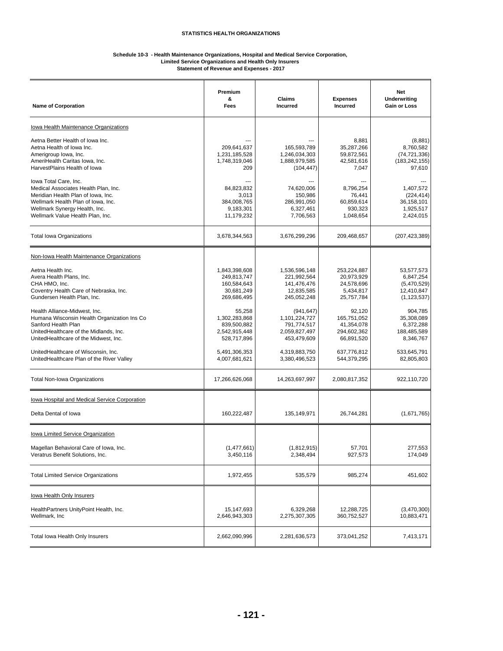#### **Schedule 10-3 - Health Maintenance Organizations, Hospital and Medical Service Corporation, Limited Service Organizations and Health Only Insurers**

**Statement of Revenue and Expenses - 2017**

| <b>Name of Corporation</b>                                                                                                                                                                                     | Premium<br>&<br>Fees                                                     | Claims<br><b>Incurred</b>                                                  | <b>Expenses</b><br>Incurred                                        | <b>Net</b><br><b>Underwriting</b><br><b>Gain or Loss</b>              |
|----------------------------------------------------------------------------------------------------------------------------------------------------------------------------------------------------------------|--------------------------------------------------------------------------|----------------------------------------------------------------------------|--------------------------------------------------------------------|-----------------------------------------------------------------------|
| Iowa Health Maintenance Organizations                                                                                                                                                                          |                                                                          |                                                                            |                                                                    |                                                                       |
| Aetna Better Health of Iowa Inc.<br>Aetna Health of Iowa Inc.<br>Amerigroup Iowa, Inc.<br>AmeriHealth Caritas Iowa, Inc.<br>HarvestPlains Health of Iowa                                                       | 209,641,637<br>1,231,185,528<br>1,748,319,046<br>209                     | 165,593,789<br>1,246,034,303<br>1,888,979,585<br>(104, 447)                | 8,881<br>35,287,266<br>59,872,561<br>42,581,616<br>7,047           | (8,881)<br>8,760,582<br>(74, 721, 336)<br>(183, 242, 155)<br>97,610   |
| lowa Total Care, Inc.<br>Medical Associates Health Plan, Inc.<br>Meridian Health Plan of Iowa, Inc.<br>Wellmark Health Plan of Iowa, Inc.<br>Wellmark Synergy Health, Inc.<br>Wellmark Value Health Plan, Inc. | 84,823,832<br>3,013<br>384,008,765<br>9,183,301<br>11,179,232            | 74,620,006<br>150,986<br>286,991,050<br>6,327,461<br>7,706,563             | 8,796,254<br>76,441<br>60,859,614<br>930,323<br>1,048,654          | 1,407,572<br>(224, 414)<br>36,158,101<br>1,925,517<br>2,424,015       |
| <b>Total Iowa Organizations</b>                                                                                                                                                                                | 3,678,344,563                                                            | 3,676,299,296                                                              | 209,468,657                                                        | (207, 423, 389)                                                       |
| Non-Iowa Health Maintenance Organizations                                                                                                                                                                      |                                                                          |                                                                            |                                                                    |                                                                       |
| Aetna Health Inc.<br>Avera Health Plans, Inc.<br>CHA HMO. Inc.<br>Coventry Health Care of Nebraska, Inc.<br>Gundersen Health Plan, Inc.                                                                        | 1,843,398,608<br>249,813,747<br>160,584,643<br>30,681,249<br>269,686,495 | 1,536,596,148<br>221,992,564<br>141,476,476<br>12,835,585<br>245,052,248   | 253,224,887<br>20,973,929<br>24,578,696<br>5,434,817<br>25,757,784 | 53,577,573<br>6,847,254<br>(5,470,529)<br>12,410,847<br>(1, 123, 537) |
| Health Alliance-Midwest, Inc.<br>Humana Wisconsin Health Organization Ins Co<br>Sanford Health Plan<br>UnitedHealthcare of the Midlands, Inc.<br>UnitedHealthcare of the Midwest, Inc.                         | 55,258<br>1,302,283,868<br>839,500,882<br>2,542,915,448<br>528,717,896   | (941, 647)<br>1,101,224,727<br>791,774,517<br>2,059,827,497<br>453,479,609 | 92.120<br>165,751,052<br>41,354,078<br>294,602,362<br>66,891,520   | 904,785<br>35,308,089<br>6,372,288<br>188,485,589<br>8,346,767        |
| UnitedHealthcare of Wisconsin, Inc.<br>UnitedHealthcare Plan of the River Valley                                                                                                                               | 5,491,306,353<br>4,007,681,621                                           | 4,319,883,750<br>3,380,496,523                                             | 637,776,812<br>544,379,295                                         | 533,645,791<br>82,805,803                                             |
| <b>Total Non-Iowa Organizations</b>                                                                                                                                                                            | 17,266,626,068                                                           | 14,263,697,997                                                             | 2,080,817,352                                                      | 922,110,720                                                           |
| <b>Iowa Hospital and Medical Service Corporation</b><br>Delta Dental of Iowa                                                                                                                                   | 160,222,487                                                              | 135,149,971                                                                | 26,744,281                                                         | (1,671,765)                                                           |
| Iowa Limited Service Organization                                                                                                                                                                              |                                                                          |                                                                            |                                                                    |                                                                       |
| Magellan Behavioral Care of Iowa, Inc.<br>Veratrus Benefit Solutions, Inc.                                                                                                                                     | (1,477,661)<br>3,450,116                                                 | (1,812,915)<br>2,348,494                                                   | 57,701<br>927,573                                                  | 277,553<br>174,049                                                    |
| <b>Total Limited Service Organizations</b>                                                                                                                                                                     | 1,972,455                                                                | 535,579                                                                    | 985,274                                                            | 451,602                                                               |
| lowa Health Only Insurers                                                                                                                                                                                      |                                                                          |                                                                            |                                                                    |                                                                       |
| HealthPartners UnityPoint Health, Inc.<br>Wellmark, Inc                                                                                                                                                        | 15,147,693<br>2,646,943,303                                              | 6,329,268<br>2,275,307,305                                                 | 12,288,725<br>360,752,527                                          | (3,470,300)<br>10,883,471                                             |
| Total lowa Health Only Insurers                                                                                                                                                                                | 2,662,090,996                                                            | 2,281,636,573                                                              | 373,041,252                                                        | 7,413,171                                                             |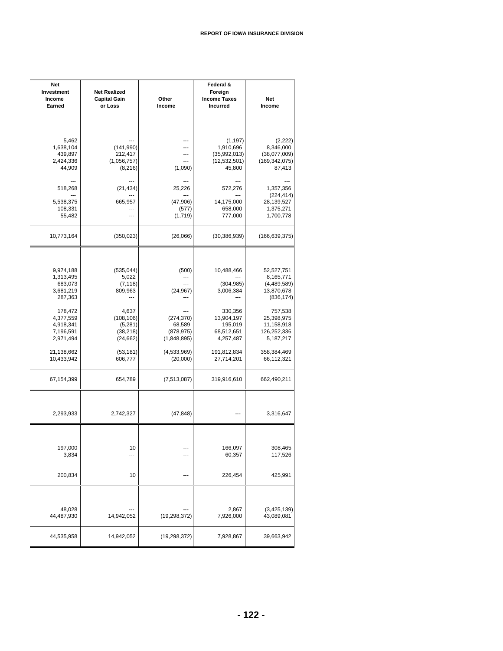| Net<br>Investment<br>Income<br>Earned                                                                                                                              | <b>Net Realized</b><br><b>Capital Gain</b><br>or Loss                                                                                            | Other<br>Income                                                                                                          | Federal &<br>Foreign<br><b>Income Taxes</b><br><b>Incurred</b>                                                                                          | Net<br>Income                                                                                                                                                                     |
|--------------------------------------------------------------------------------------------------------------------------------------------------------------------|--------------------------------------------------------------------------------------------------------------------------------------------------|--------------------------------------------------------------------------------------------------------------------------|---------------------------------------------------------------------------------------------------------------------------------------------------------|-----------------------------------------------------------------------------------------------------------------------------------------------------------------------------------|
| 5,462<br>1,638,104<br>439,897<br>2,424,336<br>44,909                                                                                                               | (141, 990)<br>212,417<br>(1,056,757)<br>(8,216)                                                                                                  | $---$<br>---<br>---<br>---<br>(1,090)                                                                                    | (1, 197)<br>1,910,696<br>(35,992,013)<br>(12, 532, 501)<br>45,800                                                                                       | (2,222)<br>8,346,000<br>(38,077,009)<br>(169, 342, 075)<br>87,413                                                                                                                 |
| 518,268<br>5,538,375<br>108,331<br>55,482                                                                                                                          | (21, 434)<br>665,957<br>---<br>---                                                                                                               | 25,226<br>(47,906)<br>(577)<br>(1,719)                                                                                   | 572,276<br>14,175,000<br>658,000<br>777,000                                                                                                             | 1,357,356<br>(224, 414)<br>28,139,527<br>1,375,271<br>1,700,778                                                                                                                   |
| 10,773,164                                                                                                                                                         | (350, 023)                                                                                                                                       | (26,066)                                                                                                                 | (30, 386, 939)                                                                                                                                          | (166, 639, 375)                                                                                                                                                                   |
| 9,974,188<br>1,313,495<br>683,073<br>3,681,219<br>287,363<br>178,472<br>4,377,559<br>4,918,341<br>7,196,591<br>2,971,494<br>21,138,662<br>10,433,942<br>67,154,399 | (535, 044)<br>5,022<br>(7, 118)<br>809,963<br>---<br>4,637<br>(108, 106)<br>(5,281)<br>(38, 218)<br>(24, 662)<br>(53, 181)<br>606,777<br>654,789 | (500)<br>---<br>(24, 967)<br>(274, 370)<br>68,589<br>(878, 975)<br>(1,848,895)<br>(4,533,969)<br>(20,000)<br>(7,513,087) | 10,488,466<br>---<br>(304, 985)<br>3,006,384<br>330,356<br>13,904,197<br>195,019<br>68,512,651<br>4,257,487<br>191,812,834<br>27,714,201<br>319,916,610 | 52,527,751<br>8,165,771<br>(4,489,589)<br>13,870,678<br>(836, 174)<br>757,538<br>25,398,975<br>11,158,918<br>126,252,336<br>5,187,217<br>358,384,469<br>66,112,321<br>662,490,211 |
| 2,293,933                                                                                                                                                          | 2,742,327                                                                                                                                        | (47, 848)                                                                                                                | ---                                                                                                                                                     | 3,316,647                                                                                                                                                                         |
| 197,000<br>3,834                                                                                                                                                   | 10<br>---                                                                                                                                        | ---                                                                                                                      | 166,097<br>60,357                                                                                                                                       | 308,465<br>117,526                                                                                                                                                                |
| 200,834                                                                                                                                                            | 10                                                                                                                                               | ---                                                                                                                      | 226,454                                                                                                                                                 | 425,991                                                                                                                                                                           |
| 48,028<br>44,487,930                                                                                                                                               | 14,942,052                                                                                                                                       | (19, 298, 372)                                                                                                           | 2,867<br>7,926,000                                                                                                                                      | (3,425,139)<br>43,089,081                                                                                                                                                         |
| 44,535,958                                                                                                                                                         | 14,942,052                                                                                                                                       | (19, 298, 372)                                                                                                           | 7,928,867                                                                                                                                               | 39,663,942                                                                                                                                                                        |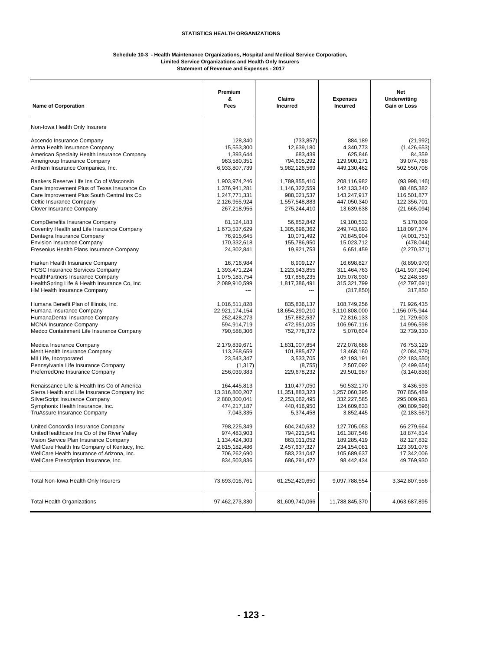#### **Schedule 10-3 - Health Maintenance Organizations, Hospital and Medical Service Corporation, Limited Service Organizations and Health Only Insurers**

**Statement of Revenue and Expenses - 2017**

| <b>Name of Corporation</b>                                                                                                                                                                    | Premium<br>&<br>Fees                                          | <b>Claims</b><br><b>Incurred</b>                           | <b>Expenses</b><br><b>Incurred</b>                                    | <b>Net</b><br><b>Underwriting</b><br><b>Gain or Loss</b>                |
|-----------------------------------------------------------------------------------------------------------------------------------------------------------------------------------------------|---------------------------------------------------------------|------------------------------------------------------------|-----------------------------------------------------------------------|-------------------------------------------------------------------------|
| Non-Iowa Health Only Insurers                                                                                                                                                                 |                                                               |                                                            |                                                                       |                                                                         |
| Accendo Insurance Company                                                                                                                                                                     | 128,340                                                       | (733, 857)                                                 | 884.189                                                               | (21, 992)                                                               |
| Aetna Health Insurance Company                                                                                                                                                                | 15,553,300                                                    | 12,639,180                                                 | 4,340,773                                                             | (1,426,653)                                                             |
| American Specialty Health Insurance Company                                                                                                                                                   | 1,393,644                                                     | 683,439                                                    | 625,846                                                               | 84,359                                                                  |
| Amerigroup Insurance Company                                                                                                                                                                  | 963,580,351                                                   | 794,605,292                                                | 129,900,271                                                           | 39,074,788                                                              |
| Anthem Insurance Companies, Inc.                                                                                                                                                              | 6,933,807,739                                                 | 5,982,126,569                                              | 449,130,462                                                           | 502,550,708                                                             |
| Bankers Reserve Life Ins Co of Wisconsin                                                                                                                                                      | 1,903,974,246                                                 | 1,789,855,410                                              | 208,116,982                                                           | (93,998,146)                                                            |
| Care Improvement Plus of Texas Insurance Co                                                                                                                                                   | 1,376,941,281                                                 | 1,146,322,559                                              | 142,133,340                                                           | 88,485,382                                                              |
| Care Improvement Plus South Central Ins Co                                                                                                                                                    | 1,247,771,331                                                 | 988,021,537                                                | 143,247,917                                                           | 116.501.877                                                             |
| Celtic Insurance Company                                                                                                                                                                      | 2,126,955,924                                                 | 1,557,548,883                                              | 447,050,340                                                           | 122,356,701                                                             |
| Clover Insurance Company                                                                                                                                                                      | 267,218,955                                                   | 275,244,410                                                | 13,639,638                                                            | (21,665,094)                                                            |
| CompBenefits Insurance Company                                                                                                                                                                | 81,124,183                                                    | 56,852,842                                                 | 19,100,532                                                            | 5,170,809                                                               |
| Coventry Health and Life Insurance Company                                                                                                                                                    | 1,673,537,629                                                 | 1,305,696,362                                              | 249,743,893                                                           | 118,097,374                                                             |
| Dentegra Insurance Company                                                                                                                                                                    | 76,915,645                                                    | 10,071,492                                                 | 70,845,904                                                            | (4,001,751)                                                             |
| <b>Envision Insurance Company</b>                                                                                                                                                             | 170,332,618                                                   | 155,786,950                                                | 15,023,712                                                            | (478, 044)                                                              |
| Fresenius Health Plans Insurance Company                                                                                                                                                      | 24,302,841                                                    | 19,921,753                                                 | 6,651,459                                                             | (2, 270, 371)                                                           |
| Harken Health Insurance Company<br><b>HCSC Insurance Services Company</b><br>HealthPartners Insurance Company<br>HealthSpring Life & Health Insurance Co, Inc.<br>HM Health Insurance Company | 16,716,984<br>1,393,471,224<br>1,075,183,754<br>2,089,910,599 | 8,909,127<br>1,223,943,855<br>917,856,235<br>1,817,386,491 | 16,698,827<br>311,464,763<br>105,078,930<br>315,321,799<br>(317, 850) | (8,890,970)<br>(141, 937, 394)<br>52,248,589<br>(42,797,691)<br>317,850 |
| Humana Benefit Plan of Illinois, Inc.                                                                                                                                                         | 1.016.511.828                                                 | 835.836.137                                                | 108,749,256                                                           | 71,926,435                                                              |
| Humana Insurance Company                                                                                                                                                                      | 22,921,174,154                                                | 18,654,290,210                                             | 3,110,808,000                                                         | 1,156,075,944                                                           |
| HumanaDental Insurance Company                                                                                                                                                                | 252,428,273                                                   | 157,882,537                                                | 72,816,133                                                            | 21,729,603                                                              |
| <b>MCNA Insurance Company</b>                                                                                                                                                                 | 594,914,719                                                   | 472,951,005                                                | 106,967,116                                                           | 14,996,598                                                              |
| Medco Containment Life Insurance Company                                                                                                                                                      | 790,588,306                                                   | 752,778,372                                                | 5,070,604                                                             | 32,739,330                                                              |
| Medica Insurance Company                                                                                                                                                                      | 2,179,839,671                                                 | 1,831,007,854                                              | 272,078,688                                                           | 76.753.129                                                              |
| Merit Health Insurance Company                                                                                                                                                                | 113,268,659                                                   | 101,885,477                                                | 13,468,160                                                            | (2,084,978)                                                             |
| MII Life, Incorporated                                                                                                                                                                        | 23,543,347                                                    | 3,533,705                                                  | 42,193,191                                                            | (22, 183, 550)                                                          |
| Pennsylvania Life Insurance Company                                                                                                                                                           | (1, 317)                                                      | (8,755)                                                    | 2,507,092                                                             | (2, 499, 654)                                                           |
| PreferredOne Insurance Company                                                                                                                                                                | 256,039,383                                                   | 229,678,232                                                | 29,501,987                                                            | (3, 140, 836)                                                           |
| Renaissance Life & Health Ins Co of America                                                                                                                                                   | 164,445,813                                                   | 110,477,050                                                | 50,532,170                                                            | 3,436,593                                                               |
| Sierra Health and Life Insurance Company Inc                                                                                                                                                  | 13,316,800,207                                                | 11,351,883,323                                             | 1,257,060,395                                                         | 707,856,489                                                             |
| SilverScript Insurance Company                                                                                                                                                                | 2,880,300,041                                                 | 2,253,062,495                                              | 332,227,585                                                           | 295,009,961                                                             |
| Symphonix Health Insurance, Inc.                                                                                                                                                              | 474,217,187                                                   | 440,416,950                                                | 124,609,833                                                           | (90, 809, 596)                                                          |
| TruAssure Insurance Company                                                                                                                                                                   | 7,043,335                                                     | 5,374,458                                                  | 3,852,445                                                             | (2, 183, 567)                                                           |
| United Concordia Insurance Company                                                                                                                                                            | 798,225,349                                                   | 604,240,632                                                | 127,705,053                                                           | 66,279,664                                                              |
| UnitedHealthcare Ins Co of the River Valley                                                                                                                                                   | 974,483,903                                                   | 794,221,541                                                | 161,387,548                                                           | 18,874,814                                                              |
| Vision Service Plan Insurance Company                                                                                                                                                         | 1,134,424,303                                                 | 863,011,052                                                | 189,285,419                                                           | 82,127,832                                                              |
| WellCare Health Ins Company of Kentucy, Inc.                                                                                                                                                  | 2,815,182,486                                                 | 2,457,637,327                                              | 234,154,081                                                           | 123,391,078                                                             |
| WellCare Health Insurance of Arizona, Inc.                                                                                                                                                    | 706,262,690                                                   | 583,231,047                                                | 105,689,637                                                           | 17,342,006                                                              |
| WellCare Prescription Insurance, Inc.                                                                                                                                                         | 834,503,836                                                   | 686,291,472                                                | 98,442,434                                                            | 49,769,930                                                              |
| Total Non-Iowa Health Only Insurers                                                                                                                                                           | 73,693,016,761                                                | 61,252,420,650                                             | 9,097,788,554                                                         | 3,342,807,556                                                           |
| <b>Total Health Organizations</b>                                                                                                                                                             | 97,462,273,330                                                | 81,609,740,066                                             | 11,788,845,370                                                        | 4,063,687,895                                                           |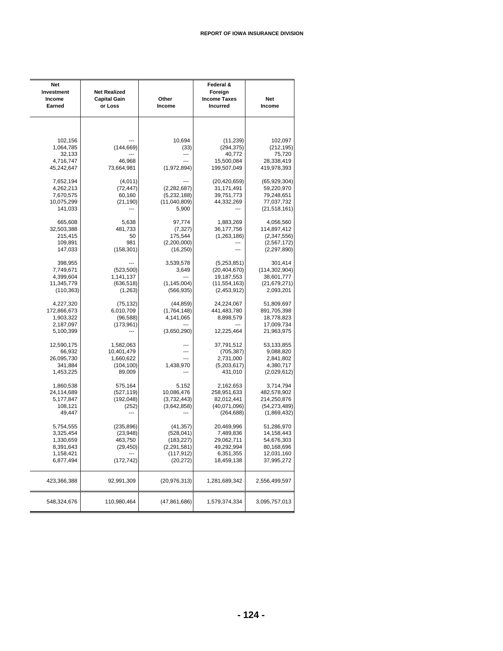| Net<br>Investment<br>Income<br>Earned | <b>Net Realized</b><br><b>Capital Gain</b><br>or Loss | Other<br>Income | Federal &<br>Foreign<br><b>Income Taxes</b><br>Incurred | Net<br>Income   |
|---------------------------------------|-------------------------------------------------------|-----------------|---------------------------------------------------------|-----------------|
|                                       |                                                       |                 |                                                         |                 |
| 102,156                               |                                                       | 10,694          | (11, 239)                                               | 102,097         |
| 1,064,785                             | (144, 669)                                            | (33)            | (294, 375)                                              | (212, 195)      |
| 32,133                                |                                                       | ---             | 40,772                                                  | 75,720          |
| 4,716,747                             | 46,968                                                |                 | 15,500,084                                              | 28,338,419      |
| 45,242,647                            | 73,664,981                                            | (1,972,894)     | 199,507,049                                             | 419,978,393     |
| 7,652,194                             | (4,011)                                               |                 | (20, 420, 659)                                          | (65, 929, 304)  |
| 4,262,213                             | (72, 447)                                             | (2,282,687)     | 31,171,491                                              | 59,220,970      |
| 7,670,575                             | 60,160                                                | (5,232,188)     | 39,751,773                                              | 79,248,651      |
| 10,075,299                            | (21, 190)                                             | (11,040,809)    | 44,332,269                                              | 77,037,732      |
| 141,033                               |                                                       | 5,900           |                                                         | (21, 518, 161)  |
| 665,608                               | 5,638                                                 | 97,774          | 1,883,269                                               | 4,056,560       |
| 32,503,388                            | 481,733                                               | (7, 327)        | 36, 177, 756                                            | 114,897,412     |
| 215,415                               | 50                                                    | 175,544         | (1, 263, 186)                                           | (2,347,556)     |
| 109,891                               | 981                                                   | (2,200,000)     | ---                                                     | (2, 567, 172)   |
| 147,033                               | (158, 301)                                            | (16, 250)       |                                                         | (2, 297, 890)   |
| 398,955                               |                                                       | 3,539,578       | (5,253,851)                                             | 301,414         |
| 7,749,671                             | (523, 500)                                            | 3,649           | (20, 404, 670)                                          | (114, 302, 904) |
| 4,399,604                             | 1,141,137                                             | ---             | 19,187,553                                              | 38,601,777      |
| 11,345,779                            | (636, 518)                                            | (1, 145, 004)   | (11, 554, 163)                                          | (21, 679, 271)  |
| (110, 363)                            | (1,263)                                               | (566, 935)      | (2,453,912)                                             | 2,093,201       |
| 4,227,320                             | (75, 132)                                             | (44, 859)       | 24,224,067                                              | 51,809,697      |
| 172,866,673                           | 6,010,709                                             | (1,764,148)     | 441,483,780                                             | 891,705,398     |
| 1,903,322                             | (96, 588)                                             | 4,141,065       | 8,898,579                                               | 18,778,823      |
| 2,187,097                             | (173, 961)                                            |                 |                                                         | 17,009,734      |
| 5,100,399                             |                                                       | (3,650,290)     | 12,225,464                                              | 21,963,975      |
| 12,590,175                            | 1,582,063                                             |                 | 37,791,512                                              | 53,133,855      |
| 66,932                                | 10,401,479                                            | ---             | (705, 387)                                              | 9,088,820       |
| 26,095,730                            | 1,660,622                                             | ---             | 2,731,000                                               | 2,841,802       |
| 341,884                               | (104, 100)                                            | 1,438,970       | (5,203,617)                                             | 4,380,717       |
| 1,453,225                             | 89,009                                                |                 | 431,010                                                 | (2,029,612)     |
| 1,860,538                             | 575,164                                               | 5,152           | 2,162,653                                               | 3,714,794       |
| 24,114,689                            | (527, 119)                                            | 10,086,476      | 258,951,633                                             | 482,578,902     |
| 5,177,847                             | (192, 048)                                            | (3,732,443)     | 82,012,441                                              | 214,250,876     |
| 108,121                               | (252)                                                 | (3,642,858)     | (40,071,096)                                            | (54, 273, 489)  |
| 49,447                                |                                                       |                 | (264, 688)                                              | (1,869,432)     |
| 5,754,555                             | (235, 896)                                            | (41, 357)       | 20,469,996                                              | 51,286,970      |
| 3,325,454                             | (23, 948)                                             | (528, 041)      | 7,489,836                                               | 14,158,443      |
| 1,330,659                             | 463,750                                               | (183, 227)      | 29,062,711                                              | 54,676,303      |
| 8,391,643                             | (29, 450)                                             | (2, 291, 581)   | 49,292,994                                              | 80,168,696      |
| 1,158,421                             | ---                                                   | (117, 912)      | 6,351,355                                               | 12,031,160      |
| 6,877,494                             | (172, 742)                                            | (20, 272)       | 18,459,138                                              | 37,995,272      |
| 423,366,388                           | 92,991,309                                            | (20, 976, 313)  | 1,281,689,342                                           | 2,556,499,597   |
| 548,324,676                           | 110,980,464                                           | (47, 861, 686)  | 1,579,374,334                                           | 3,095,757,013   |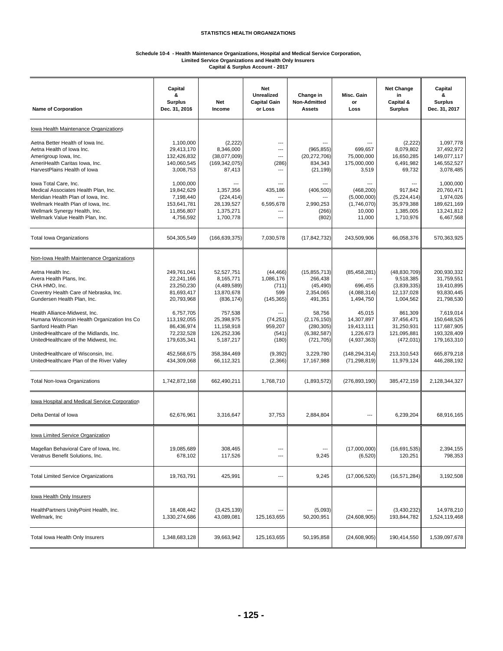#### **Schedule 10-4 - Health Maintenance Organizations, Hospital and Medical Service Corporation, Limited Service Organizations and Health Only Insurers Capital & Surplus Account - 2017**

| <b>Name of Corporation</b>                                                                                                                                                                                                                                                                                                                                                                                                                                                                                                                                  | Capital<br>&<br><b>Surplus</b><br>Dec. 31, 2016                                                                                                                                           | <b>Net</b><br>Income                                                                                                                                                              | <b>Net</b><br><b>Unrealized</b><br><b>Capital Gain</b><br>or Loss                                                                  | Change in<br>Non-Admitted<br><b>Assets</b>                                                                                                                                       | Misc. Gain<br>or<br>Loss                                                                                                                                                        | <b>Net Change</b><br>in<br>Capital &<br><b>Surplus</b>                                                                                                                                | Capital<br>&<br><b>Surplus</b><br>Dec. 31, 2017                                                                                                                                             |
|-------------------------------------------------------------------------------------------------------------------------------------------------------------------------------------------------------------------------------------------------------------------------------------------------------------------------------------------------------------------------------------------------------------------------------------------------------------------------------------------------------------------------------------------------------------|-------------------------------------------------------------------------------------------------------------------------------------------------------------------------------------------|-----------------------------------------------------------------------------------------------------------------------------------------------------------------------------------|------------------------------------------------------------------------------------------------------------------------------------|----------------------------------------------------------------------------------------------------------------------------------------------------------------------------------|---------------------------------------------------------------------------------------------------------------------------------------------------------------------------------|---------------------------------------------------------------------------------------------------------------------------------------------------------------------------------------|---------------------------------------------------------------------------------------------------------------------------------------------------------------------------------------------|
| Iowa Health Maintenance Organizations                                                                                                                                                                                                                                                                                                                                                                                                                                                                                                                       |                                                                                                                                                                                           |                                                                                                                                                                                   |                                                                                                                                    |                                                                                                                                                                                  |                                                                                                                                                                                 |                                                                                                                                                                                       |                                                                                                                                                                                             |
| Aetna Better Health of Iowa Inc.<br>Aetna Health of Iowa Inc.<br>Amerigroup Iowa, Inc.<br>AmeriHealth Caritas Iowa, Inc.<br>HarvestPlains Health of Iowa                                                                                                                                                                                                                                                                                                                                                                                                    | 1,100,000<br>29,413,170<br>132,426,832<br>140,060,545<br>3,008,753                                                                                                                        | (2, 222)<br>8,346,000<br>(38,077,009)<br>(169, 342, 075)<br>87,413                                                                                                                | ---<br>---<br>---<br>(286)<br>---                                                                                                  | (965, 855)<br>(20, 272, 706)<br>834,343<br>(21, 199)                                                                                                                             | 699,657<br>75,000,000<br>175,000,000<br>3,519                                                                                                                                   | (2,222)<br>8,079,802<br>16,650,285<br>6,491,982<br>69,732                                                                                                                             | 1,097,778<br>37,492,972<br>149,077,117<br>146,552,527<br>3,078,485                                                                                                                          |
| lowa Total Care, Inc.<br>Medical Associates Health Plan, Inc.<br>Meridian Health Plan of Iowa, Inc.<br>Wellmark Health Plan of Iowa, Inc.<br>Wellmark Synergy Health, Inc.<br>Wellmark Value Health Plan, Inc.                                                                                                                                                                                                                                                                                                                                              | 1,000,000<br>19,842,629<br>7,198,440<br>153,641,781<br>11,856,807<br>4,756,592                                                                                                            | 1.357.356<br>(224, 414)<br>28,139,527<br>1,375,271<br>1,700,778                                                                                                                   | 435,186<br>$---$<br>6,595,678<br>---<br>---                                                                                        | (406, 500)<br>2,990,253<br>(266)<br>(802)                                                                                                                                        | (468, 200)<br>(5,000,000)<br>(1,746,070)<br>10,000<br>11,000                                                                                                                    | 917,842<br>(5,224,414)<br>35,979,388<br>1,385,005<br>1,710,976                                                                                                                        | 1,000,000<br>20,760,471<br>1,974,026<br>189,621,169<br>13,241,812<br>6,467,568                                                                                                              |
| <b>Total Iowa Organizations</b>                                                                                                                                                                                                                                                                                                                                                                                                                                                                                                                             | 504,305,549                                                                                                                                                                               | (166, 639, 375)                                                                                                                                                                   | 7,030,578                                                                                                                          | (17, 842, 732)                                                                                                                                                                   | 243,509,906                                                                                                                                                                     | 66,058,376                                                                                                                                                                            | 570,363,925                                                                                                                                                                                 |
| Non-Iowa Health Maintenance Organizations<br>Aetna Health Inc.<br>Avera Health Plans, Inc.<br>CHA HMO, Inc.<br>Coventry Health Care of Nebraska, Inc.<br>Gundersen Health Plan, Inc.<br>Health Alliance-Midwest, Inc.<br>Humana Wisconsin Health Organization Ins Co.<br>Sanford Health Plan<br>UnitedHealthcare of the Midlands, Inc.<br>UnitedHealthcare of the Midwest, Inc.<br>UnitedHealthcare of Wisconsin, Inc.<br>UnitedHealthcare Plan of the River Valley<br><b>Total Non-Iowa Organizations</b><br>Iowa Hospital and Medical Service Corporation | 249,761,041<br>22,241,166<br>23,250,230<br>81,693,417<br>20,793,968<br>6,757,705<br>113,192,055<br>86,436,974<br>72,232,528<br>179,635,341<br>452,568,675<br>434,309,068<br>1,742,872,168 | 52,527,751<br>8,165,771<br>(4,489,589)<br>13,870,678<br>(836, 174)<br>757.538<br>25,398,975<br>11,158,918<br>126,252,336<br>5,187,217<br>358,384,469<br>66,112,321<br>662,490,211 | (44, 466)<br>1,086,176<br>(711)<br>599<br>(145, 365)<br>(74, 251)<br>959,207<br>(541)<br>(180)<br>(9, 392)<br>(2,366)<br>1,768,710 | (15, 855, 713)<br>266,438<br>(45, 490)<br>2,354,065<br>491,351<br>58,756<br>(2, 176, 150)<br>(280, 305)<br>(6, 382, 587)<br>(721, 705)<br>3,229,780<br>17,167,988<br>(1,893,572) | (85, 458, 281)<br>696,455<br>(4,088,314)<br>1,494,750<br>45,015<br>14,307,897<br>19,413,111<br>1,226,673<br>(4,937,363)<br>(148, 294, 314)<br>(71, 298, 819)<br>(276, 893, 190) | (48, 830, 709)<br>9.518.385<br>(3,839,335)<br>12,137,028<br>1,004,562<br>861.309<br>37,456,471<br>31,250,931<br>121,095,881<br>(472, 031)<br>213,310,543<br>11,979,124<br>385,472,159 | 200,930,332<br>31,759,551<br>19,410,895<br>93,830,445<br>21,798,530<br>7,619,014<br>150,648,526<br>117,687,905<br>193,328,409<br>179,163,310<br>665,879,218<br>446,288,192<br>2,128,344,327 |
| Delta Dental of Iowa                                                                                                                                                                                                                                                                                                                                                                                                                                                                                                                                        | 62,676,961                                                                                                                                                                                | 3,316,647                                                                                                                                                                         | 37,753                                                                                                                             | 2,884,804                                                                                                                                                                        | ---                                                                                                                                                                             | 6,239,204                                                                                                                                                                             | 68,916,165                                                                                                                                                                                  |
| Iowa Limited Service Organization<br>Magellan Behavioral Care of Iowa, Inc.<br>Veratrus Benefit Solutions, Inc.                                                                                                                                                                                                                                                                                                                                                                                                                                             | 19,085,689<br>678,102                                                                                                                                                                     | 308,465<br>117,526                                                                                                                                                                | ---<br>---                                                                                                                         | ---<br>9,245                                                                                                                                                                     | (17,000,000)<br>(6, 520)                                                                                                                                                        | (16,691,535)<br>120,251                                                                                                                                                               | 2,394,155<br>798,353                                                                                                                                                                        |
| <b>Total Limited Service Organizations</b>                                                                                                                                                                                                                                                                                                                                                                                                                                                                                                                  | 19,763,791                                                                                                                                                                                | 425,991                                                                                                                                                                           | ---                                                                                                                                | 9,245                                                                                                                                                                            | (17,006,520)                                                                                                                                                                    | (16, 571, 284)                                                                                                                                                                        | 3,192,508                                                                                                                                                                                   |
| lowa Health Only Insurers<br>HealthPartners UnityPoint Health, Inc.<br>Wellmark, Inc                                                                                                                                                                                                                                                                                                                                                                                                                                                                        | 18,408,442<br>1,330,274,686                                                                                                                                                               | (3,425,139)<br>43,089,081                                                                                                                                                         | $---$<br>125, 163, 655                                                                                                             | (5,093)<br>50,200,951                                                                                                                                                            | ---<br>(24,608,905)                                                                                                                                                             | (3,430,232)<br>193,844,782                                                                                                                                                            | 14,978,210<br>1,524,119,468                                                                                                                                                                 |
| Total lowa Health Only Insurers                                                                                                                                                                                                                                                                                                                                                                                                                                                                                                                             | 1,348,683,128                                                                                                                                                                             | 39,663,942                                                                                                                                                                        | 125, 163, 655                                                                                                                      | 50,195,858                                                                                                                                                                       | (24, 608, 905)                                                                                                                                                                  | 190,414,550                                                                                                                                                                           | 1,539,097,678                                                                                                                                                                               |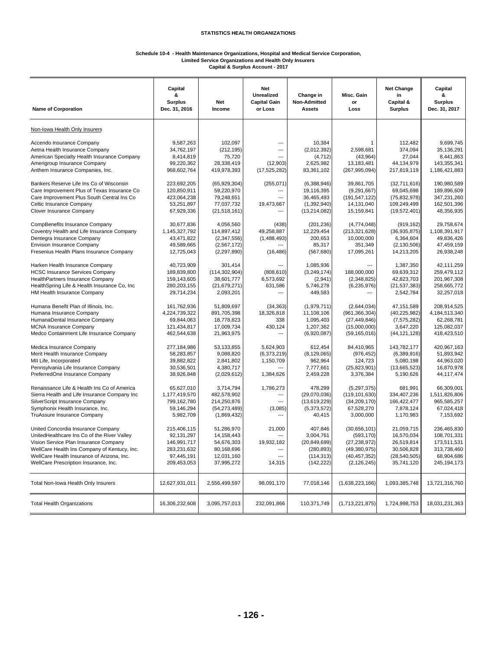#### **Schedule 10-4 - Health Maintenance Organizations, Hospital and Medical Service Corporation, Limited Service Organizations and Health Only Insurers Capital & Surplus Account - 2017**

| <b>Name of Corporation</b>                                                                                                                                                                    | Capital<br>&<br><b>Surplus</b><br>Dec. 31, 2016                       | Net<br>Income                                                           | Net<br>Unrealized<br><b>Capital Gain</b><br>or Loss | Change in<br>Non-Admitted<br><b>Assets</b>                    | Misc. Gain<br>or<br>Loss                                           | <b>Net Change</b><br>in<br>Capital &<br><b>Surplus</b>               | Capital<br>&<br><b>Surplus</b><br>Dec. 31, 2017                       |
|-----------------------------------------------------------------------------------------------------------------------------------------------------------------------------------------------|-----------------------------------------------------------------------|-------------------------------------------------------------------------|-----------------------------------------------------|---------------------------------------------------------------|--------------------------------------------------------------------|----------------------------------------------------------------------|-----------------------------------------------------------------------|
| Non-Iowa Health Only Insurers                                                                                                                                                                 |                                                                       |                                                                         |                                                     |                                                               |                                                                    |                                                                      |                                                                       |
| Accendo Insurance Company                                                                                                                                                                     | 9,587,263                                                             | 102,097                                                                 | ---                                                 | 10,384                                                        | -1                                                                 | 112,482                                                              | 9,699,745                                                             |
| Aetna Health Insurance Company                                                                                                                                                                | 34,762,197                                                            | (212, 195)                                                              | ---                                                 | (2,012,392)                                                   | 2,598,681                                                          | 374,094                                                              | 35, 136, 291                                                          |
| American Specialty Health Insurance Company                                                                                                                                                   | 8,414,819                                                             | 75,720                                                                  | ---                                                 | (4, 712)                                                      | (43,964)                                                           | 27,044                                                               | 8,441,863                                                             |
| Amerigroup Insurance Company                                                                                                                                                                  | 99,220,362                                                            | 28,338,419                                                              | (12,903)                                            | 2,625,982                                                     | 13,183,481                                                         | 44,134,979                                                           | 143,355,341                                                           |
| Anthem Insurance Companies, Inc.                                                                                                                                                              | 968,602,764                                                           | 419,978,393                                                             | (17, 525, 282)                                      | 83,361,102                                                    | (267, 995, 094)                                                    | 217,819,119                                                          | 1,186,421,883                                                         |
| Bankers Reserve Life Ins Co of Wisconsin                                                                                                                                                      | 223,692,205                                                           | (65, 929, 304)                                                          | (255, 071)                                          | (6,388,946)                                                   | 39,861,705                                                         | (32,711,616)                                                         | 190,980,589                                                           |
| Care Improvement Plus of Texas Insurance Co                                                                                                                                                   | 120,850,911                                                           | 59,220,970                                                              | ---                                                 | 19,116,395                                                    | (9, 291, 667)                                                      | 69,045,698                                                           | 189,896,609                                                           |
| Care Improvement Plus South Central Ins Co                                                                                                                                                    | 423,064,238                                                           | 79,248,651                                                              | ---                                                 | 36,465,493                                                    | (191, 547, 122)                                                    | (75, 832, 978)                                                       | 347,231,260                                                           |
| Celtic Insurance Company                                                                                                                                                                      | 53,251,897                                                            | 77,037,732                                                              | 19,473,667                                          | (1,392,940)                                                   | 14,131,040                                                         | 109,249,499                                                          | 162,501,396                                                           |
| Clover Insurance Company                                                                                                                                                                      | 67,929,336                                                            | (21, 518, 161)                                                          | ---                                                 | (13, 214, 082)                                                | 15,159,841                                                         | (19, 572, 401)                                                       | 48,356,935                                                            |
| CompBenefits Insurance Company                                                                                                                                                                | 30,677,836                                                            | 4,056,560                                                               | (438)                                               | (201, 236)                                                    | (4,774,048)                                                        | (919, 162)                                                           | 29,758,674                                                            |
| Coventry Health and Life Insurance Company                                                                                                                                                    | 1,145,327,792                                                         | 114,897,412                                                             | 49,258,887                                          | 12,229,454                                                    | (213, 321, 628)                                                    | (36, 935, 875)                                                       | 1,108,391,917                                                         |
| Dentegra Insurance Company                                                                                                                                                                    | 43,471,822                                                            | (2,347,556)                                                             | (1,488,493)                                         | 200,653                                                       | 10,000,000                                                         | 6,364,604                                                            | 49,836,426                                                            |
| <b>Envision Insurance Company</b>                                                                                                                                                             | 49,589,665                                                            | (2,567,172)                                                             | ---                                                 | 85,317                                                        | 351.349                                                            | (2, 130, 506)                                                        | 47,459,159                                                            |
| Fresenius Health Plans Insurance Company                                                                                                                                                      | 12,725,043                                                            | (2, 297, 890)                                                           | (16, 486)                                           | (567, 680)                                                    | 17,095,261                                                         | 14,213,205                                                           | 26,938,248                                                            |
| Harken Health Insurance Company<br><b>HCSC Insurance Services Company</b><br>HealthPartners Insurance Company<br>HealthSpring Life & Health Insurance Co, Inc.<br>HM Health Insurance Company | 40,723,909<br>189,839,800<br>159,143,605<br>280,203,155<br>29,714,234 | 301,414<br>(114, 302, 904)<br>38,601,777<br>(21, 679, 271)<br>2,093,201 | (808, 610)<br>6,573,692<br>631,586<br>---           | 1,085,936<br>(3, 249, 174)<br>(2,941)<br>5,746,278<br>449,583 | 188,000,000<br>(2,348,825)<br>(6,235,976)<br>---                   | 1,387,350<br>69,639,312<br>42,823,703<br>(21, 537, 383)<br>2,542,784 | 42,111,259<br>259,479,112<br>201,967,308<br>258,665,772<br>32,257,018 |
| Humana Benefit Plan of Illinois, Inc.                                                                                                                                                         | 161,762,936                                                           | 51,809,697                                                              | (34, 363)                                           | (1,979,711)                                                   | (2,644,034)                                                        | 47, 151, 589                                                         | 208,914,525                                                           |
| Humana Insurance Company                                                                                                                                                                      | 4,224,739,322                                                         | 891,705,398                                                             | 18,326,818                                          | 11,108,106                                                    | (961, 366, 304)                                                    | (40, 225, 982)                                                       | 4,184,513,340                                                         |
| HumanaDental Insurance Company                                                                                                                                                                | 69,844,063                                                            | 18,778,823                                                              | 338                                                 | 1,095,403                                                     | (27, 449, 846)                                                     | (7, 575, 282)                                                        | 62,268,781                                                            |
| <b>MCNA Insurance Company</b>                                                                                                                                                                 | 121,434,817                                                           | 17,009,734                                                              | 430,124                                             | 1,207,362                                                     | (15,000,000)                                                       | 3,647,220                                                            | 125,082,037                                                           |
| Medco Containment Life Insurance Company                                                                                                                                                      | 462,544,638                                                           | 21,963,975                                                              | ---                                                 | (6,920,087)                                                   | (59, 165, 016)                                                     | (44, 121, 128)                                                       | 418,423,510                                                           |
| Medica Insurance Company<br>Merit Health Insurance Company<br>MII Life, Incorporated<br>Pennsylvania Life Insurance Company<br>PreferredOne Insurance Company                                 | 277,184,986<br>58,283,857<br>39,882,822<br>30,536,501<br>38,926,848   | 53,133,855<br>9,088,820<br>2,841,802<br>4,380,717<br>(2,029,612)        | 5,624,903<br>(6,373,219)<br>1,150,709<br>1,384,626  | 612,454<br>(8, 129, 065)<br>962,964<br>7,777,661<br>2,459,228 | 84,410,965<br>(976, 452)<br>124,723<br>(25, 823, 901)<br>3,376,384 | 143,782,177<br>(6,389,916)<br>5,080,198<br>(13,665,523)<br>5,190,626 | 420,967,163<br>51,893,942<br>44,963,020<br>16,870,978<br>44, 117, 474 |
| Renaissance Life & Health Ins Co of America                                                                                                                                                   | 65,627,010                                                            | 3,714,794                                                               | 1,786,273                                           | 478,299                                                       | (5,297,375)                                                        | 681,991                                                              | 66,309,001                                                            |
| Sierra Health and Life Insurance Company Inc                                                                                                                                                  | 1,177,419,570                                                         | 482,578,902                                                             | ---                                                 | (29,070,036)                                                  | (119, 101, 630)                                                    | 334,407,236                                                          | 1,511,826,806                                                         |
| SilverScript Insurance Company                                                                                                                                                                | 799,162,780                                                           | 214,250,876                                                             | ---                                                 | (13,619,229)                                                  | (34, 209, 170)                                                     | 166,422,477                                                          | 965,585,257                                                           |
| Symphonix Health Insurance, Inc.                                                                                                                                                              | 59,146,294                                                            | (54, 273, 489)                                                          | (3,085)                                             | (5,373,572)                                                   | 67,528,270                                                         | 7,878,124                                                            | 67,024,418                                                            |
| TruAssure Insurance Company                                                                                                                                                                   | 5,982,709                                                             | (1,869,432)                                                             | ---                                                 | 40,415                                                        | 3,000,000                                                          | 1,170,983                                                            | 7,153,692                                                             |
| United Concordia Insurance Company                                                                                                                                                            | 215,406,115                                                           | 51,286,970                                                              | 21.000                                              | 407,846                                                       | (30,656,101)                                                       | 21,059,715                                                           | 236,465,830                                                           |
| UnitedHealthcare Ins Co of the River Valley                                                                                                                                                   | 92,131,297                                                            | 14,158,443                                                              | ---                                                 | 3,004,761                                                     | (593, 170)                                                         | 16,570,034                                                           | 108,701,331                                                           |
| Vision Service Plan Insurance Company                                                                                                                                                         | 146,991,717                                                           | 54,676,303                                                              | 19,932,182                                          | (20, 849, 699)                                                | (27, 238, 972)                                                     | 26,519,814                                                           | 173,511,531                                                           |
| WellCare Health Ins Company of Kentucy, Inc.                                                                                                                                                  | 283,231,632                                                           | 80,168,696                                                              | ---                                                 | (280, 893)                                                    | (49, 380, 975)                                                     | 30,506,828                                                           | 313,738,460                                                           |
| WellCare Health Insurance of Arizona, Inc.                                                                                                                                                    | 97,445,191                                                            | 12,031,160                                                              | ---                                                 | (114, 313)                                                    | (40, 457, 352)                                                     | (28, 540, 505)                                                       | 68,904,686                                                            |
| WellCare Prescription Insurance, Inc.                                                                                                                                                         | 209,453,053                                                           | 37,995,272                                                              | 14,315                                              | (142, 222)                                                    | (2, 126, 245)                                                      | 35,741,120                                                           | 245, 194, 173                                                         |
| Total Non-Iowa Health Only Insurers                                                                                                                                                           | 12,627,931,011                                                        | 2,556,499,597                                                           | 98,091,170                                          | 77,018,146                                                    | (1,638,223,166)                                                    | 1,093,385,748                                                        | 13,721,316,760                                                        |
| <b>Total Health Organizations</b>                                                                                                                                                             | 16,306,232,608                                                        | 3,095,757,013                                                           | 232,091,866                                         | 110,371,749                                                   | (1,713,221,875)                                                    | 1,724,998,753                                                        | 18,031,231,363                                                        |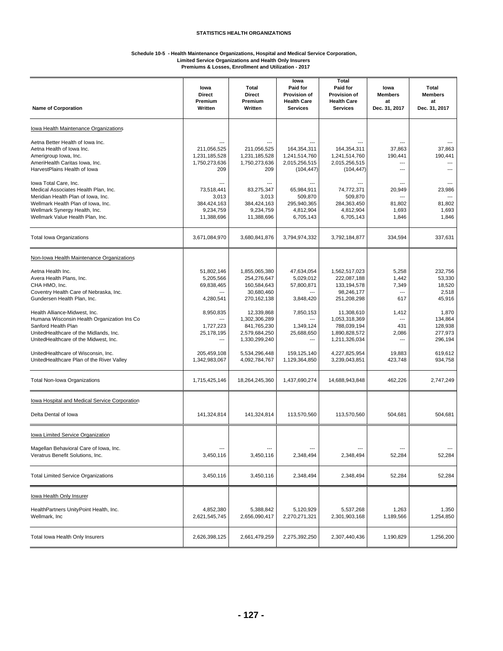#### **Schedule 10-5 - Health Maintenance Organizations, Hospital and Medical Service Corporation, Limited Service Organizations and Health Only Insurers Premiums & Losses, Enrollment and Utilization - 2017**

| <b>Name of Corporation</b>                                                                                                                                                                                     | lowa<br><b>Direct</b><br>Premium<br>Written                            | Total<br><b>Direct</b><br>Premium<br>Written                                 | lowa<br>Paid for<br><b>Provision of</b><br><b>Health Care</b><br><b>Services</b> | Total<br>Paid for<br>Provision of<br><b>Health Care</b><br><b>Services</b>   | lowa<br><b>Members</b><br>at<br>Dec. 31, 2017    | <b>Total</b><br><b>Members</b><br>at<br>Dec. 31, 2017 |
|----------------------------------------------------------------------------------------------------------------------------------------------------------------------------------------------------------------|------------------------------------------------------------------------|------------------------------------------------------------------------------|----------------------------------------------------------------------------------|------------------------------------------------------------------------------|--------------------------------------------------|-------------------------------------------------------|
| Iowa Health Maintenance Organizations                                                                                                                                                                          |                                                                        |                                                                              |                                                                                  |                                                                              |                                                  |                                                       |
| Aetna Better Health of Iowa Inc.<br>Aetna Health of Iowa Inc.<br>Amerigroup Iowa, Inc.<br>AmeriHealth Caritas Iowa, Inc.<br>HarvestPlains Health of Iowa                                                       | 211,056,525<br>1,231,185,528<br>1,750,273,636<br>209                   | 211,056,525<br>1,231,185,528<br>1,750,273,636<br>209                         | 164,354,311<br>1,241,514,760<br>2,015,256,515<br>(104, 447)                      | 164,354,311<br>1,241,514,760<br>2,015,256,515<br>(104, 447)                  | 37,863<br>190,441<br>---<br>---                  | 37,863<br>190,441                                     |
| Iowa Total Care, Inc.<br>Medical Associates Health Plan, Inc.<br>Meridian Health Plan of Iowa, Inc.<br>Wellmark Health Plan of Iowa, Inc.<br>Wellmark Synergy Health, Inc.<br>Wellmark Value Health Plan, Inc. | $---$<br>73,518,441<br>3,013<br>384,424,163<br>9,234,759<br>11,388,696 | $---$<br>83.275.347<br>3,013<br>384,424,163<br>9,234,759<br>11,388,696       | $---$<br>65,984,911<br>509,870<br>295,940,365<br>4,812,904<br>6,705,143          | 74,772,371<br>509,870<br>284,363,450<br>4,812,904<br>6,705,143               | ---<br>20,949<br>---<br>81,802<br>1,693<br>1,846 | 23,986<br>$\overline{a}$<br>81,802<br>1,693<br>1,846  |
| <b>Total Iowa Organizations</b>                                                                                                                                                                                | 3,671,084,970                                                          | 3,680,841,876                                                                | 3,794,974,332                                                                    | 3,792,184,877                                                                | 334,594                                          | 337,631                                               |
| Non-Iowa Health Maintenance Organizations                                                                                                                                                                      |                                                                        |                                                                              |                                                                                  |                                                                              |                                                  |                                                       |
| Aetna Health Inc.<br>Avera Health Plans, Inc.<br>CHA HMO. Inc.<br>Coventry Health Care of Nebraska, Inc.<br>Gundersen Health Plan, Inc.                                                                        | 51,802,146<br>5,205,566<br>69,838,465<br>4,280,541                     | 1,855,065,380<br>254,276,647<br>160,584,643<br>30,680,460<br>270,162,138     | 47,634,054<br>5,029,012<br>57,800,871<br>3,848,420                               | 1,562,517,023<br>222,087,188<br>133, 194, 578<br>98,246,177<br>251,208,298   | 5,258<br>1,442<br>7,349<br>---<br>617            | 232,756<br>53,330<br>18,520<br>2,518<br>45,916        |
| Health Alliance-Midwest, Inc.<br>Humana Wisconsin Health Organization Ins Co.<br>Sanford Health Plan<br>UnitedHealthcare of the Midlands, Inc.<br>UnitedHealthcare of the Midwest, Inc.                        | 8,950,835<br>1,727,223<br>25,178,195<br>---                            | 12,339,868<br>1,302,306,289<br>841,765,230<br>2,579,684,250<br>1,330,299,240 | 7,850,153<br>1,349,124<br>25,688,650<br>---                                      | 11,308,610<br>1,053,318,369<br>788,039,194<br>1,890,828,572<br>1,211,326,034 | 1,412<br>---<br>431<br>2,086<br>---              | 1,870<br>134,864<br>128,938<br>277,973<br>296,194     |
| UnitedHealthcare of Wisconsin, Inc.<br>UnitedHealthcare Plan of the River Valley                                                                                                                               | 205,459,108<br>1,342,983,067                                           | 5,534,296,448<br>4,092,784,767                                               | 159, 125, 140<br>1,129,364,850                                                   | 4,227,825,954<br>3,239,043,851                                               | 19,883<br>423,748                                | 619,612<br>934,758                                    |
| Total Non-Iowa Organizations                                                                                                                                                                                   | 1,715,425,146                                                          | 18,264,245,360                                                               | 1,437,690,274                                                                    | 14,688,943,848                                                               | 462,226                                          | 2,747,249                                             |
| Iowa Hospital and Medical Service Corporation                                                                                                                                                                  |                                                                        |                                                                              |                                                                                  |                                                                              |                                                  |                                                       |
| Delta Dental of Iowa                                                                                                                                                                                           | 141,324,814                                                            | 141,324,814                                                                  | 113,570,560                                                                      | 113,570,560                                                                  | 504,681                                          | 504,681                                               |
| Iowa Limited Service Organization                                                                                                                                                                              |                                                                        |                                                                              |                                                                                  |                                                                              |                                                  |                                                       |
| Magellan Behavioral Care of Iowa, Inc.<br>Veratrus Benefit Solutions, Inc.                                                                                                                                     | 3,450,116                                                              | 3,450,116                                                                    | 2,348,494                                                                        | 2,348,494                                                                    | ---<br>52,284                                    | 52,284                                                |
| <b>Total Limited Service Organizations</b>                                                                                                                                                                     | 3,450,116                                                              | 3,450,116                                                                    | 2,348,494                                                                        | 2,348,494                                                                    | 52,284                                           | 52,284                                                |
| lowa Health Only Insurer                                                                                                                                                                                       |                                                                        |                                                                              |                                                                                  |                                                                              |                                                  |                                                       |
| HealthPartners UnityPoint Health, Inc.<br>Wellmark, Inc                                                                                                                                                        | 4,852,380<br>2,621,545,745                                             | 5,388,842<br>2,656,090,417                                                   | 5,120,929<br>2,270,271,321                                                       | 5,537,268<br>2,301,903,168                                                   | 1,263<br>1,189,566                               | 1,350<br>1,254,850                                    |
| Total Iowa Health Only Insurers                                                                                                                                                                                | 2,626,398,125                                                          | 2,661,479,259                                                                | 2,275,392,250                                                                    | 2,307,440,436                                                                | 1,190,829                                        | 1,256,200                                             |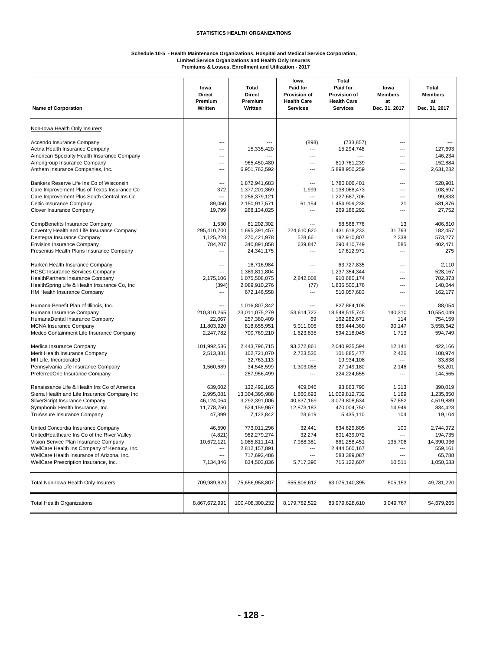#### **Schedule 10-5 - Health Maintenance Organizations, Hospital and Medical Service Corporation, Limited Service Organizations and Health Only Insurers Premiums & Losses, Enrollment and Utilization - 2017**

|                                                                             | lowa               | Total                          | lowa<br>Paid for                      | <b>Total</b><br>Paid for              | Iowa                | Total               |
|-----------------------------------------------------------------------------|--------------------|--------------------------------|---------------------------------------|---------------------------------------|---------------------|---------------------|
|                                                                             | <b>Direct</b>      | <b>Direct</b>                  | <b>Provision of</b>                   | Provision of                          | <b>Members</b>      | <b>Members</b>      |
| <b>Name of Corporation</b>                                                  | Premium<br>Written | Premium<br>Written             | <b>Health Care</b><br><b>Services</b> | <b>Health Care</b><br><b>Services</b> | at<br>Dec. 31, 2017 | at<br>Dec. 31, 2017 |
|                                                                             |                    |                                |                                       |                                       |                     |                     |
| Non-Iowa Health Only Insurers                                               |                    |                                |                                       |                                       |                     |                     |
| Accendo Insurance Company                                                   | ---                |                                | (898)                                 | (733, 857)                            | ---                 |                     |
| Aetna Health Insurance Company                                              | ---                | 15,335,420                     | ---                                   | 15,294,748                            | ---                 | 127,693             |
| American Specialty Health Insurance Company<br>Amerigroup Insurance Company | ---<br>---         | 965,450,480                    | ---<br>$\overline{\phantom{a}}$       | 819,761,239                           | ---<br>---          | 146,234<br>152,884  |
| Anthem Insurance Companies, Inc.                                            | ---                | 6,951,763,592                  | ---                                   | 5,898,950,259                         | ---                 | 2,631,282           |
|                                                                             |                    |                                |                                       |                                       |                     |                     |
| Bankers Reserve Life Ins Co of Wisconsin                                    | ---                | 1,872,941,683                  | ---                                   | 1,780,806,401                         | ---                 | 528,901             |
| Care Improvement Plus of Texas Insurance Co                                 | 372                | 1,377,201,369                  | 1,999                                 | 1,138,068,473                         | ---                 | 108,697             |
| Care Improvement Plus South Central Ins Co<br>Celtic Insurance Company      | ---<br>89,050      | 1,256,379,121<br>2,150,917,571 | ---<br>61,154                         | 1,227,687,706<br>1,454,909,238        | ---<br>21           | 99,833<br>531,876   |
| Clover Insurance Company                                                    | 19,799             | 268,134,025                    | ---                                   | 269,186,292                           | ---                 | 27,752              |
|                                                                             |                    |                                |                                       |                                       |                     |                     |
| CompBenefits Insurance Company                                              | 1,530              | 81,202,302                     | ---                                   | 58,568,776                            | 13                  | 406,810             |
| Coventry Health and Life Insurance Company                                  | 295,410,700        | 1,695,391,457                  | 224,610,620                           | 1,431,618,233                         | 31,793              | 182,457             |
| Dentegra Insurance Company                                                  | 1,125,228          | 270,421,978                    | 528,661                               | 182,910,807                           | 2,338               | 573,277             |
| <b>Envision Insurance Company</b>                                           | 784,207            | 340,891,858                    | 639.847                               | 290,410,749                           | 585                 | 402.471             |
| Fresenius Health Plans Insurance Company                                    | $\overline{a}$     | 24,341,175                     | ---                                   | 17,612,971                            | ---                 | 275                 |
| Harken Health Insurance Company                                             | ---                | 16,716,984                     | ---                                   | 63,727,835                            | ---                 | 2,110               |
| <b>HCSC Insurance Services Company</b>                                      | ---                | 1,389,811,804                  | ---                                   | 1,237,354,344                         | ---                 | 528,167             |
| <b>HealthPartners Insurance Company</b>                                     | 2.175.106          | 1,075,508,075                  | 2,842,008                             | 910,680,174                           | ---                 | 702,373             |
| HealthSpring Life & Health Insurance Co, Inc.                               | (394)              | 2,089,910,276                  | (77)                                  | 1,836,500,176                         | ---                 | 148,044             |
| HM Health Insurance Company                                                 | $\overline{a}$     | 672,146,558                    | ---                                   | 510,057,683                           | ---                 | 162,177             |
| Humana Benefit Plan of Illinois, Inc.                                       | ---                | 1,016,807,342                  | ---                                   | 827,864,108                           | ---                 | 88,054              |
| Humana Insurance Company                                                    | 210,810,265        | 23,011,075,279                 | 153,614,722                           | 18,548,515,745                        | 140,310             | 10,554,049          |
| HumanaDental Insurance Company                                              | 22,067             | 257,380,409                    | 69                                    | 162,282,671                           | 114                 | 754,159             |
| <b>MCNA</b> Insurance Company                                               | 11,803,920         | 818,655,951                    | 5,011,005                             | 685,444,360                           | 90,147              | 3,558,642           |
| Medco Containment Life Insurance Company                                    | 2,247,782          | 700,769,210                    | 1,623,835                             | 594,218,045                           | 1,713               | 594,749             |
| Medica Insurance Company                                                    | 101,992,586        | 2,443,796,715                  | 93,272,861                            | 2,040,925,594                         | 12,141              | 422,166             |
| Merit Health Insurance Company                                              | 2,513,881          | 102,721,070                    | 2,723,536                             | 101,885,477                           | 2,426               | 108,974             |
| MII Life, Incorporated                                                      | ---                | 32,763,113                     | $\overline{a}$                        | 19,934,108                            | ---                 | 33,838              |
| Pennsylvania Life Insurance Company                                         | 1,560,689          | 34,548,599                     | 1,303,068                             | 27,149,180                            | 2,146               | 53,201              |
| PreferredOne Insurance Company                                              | ---                | 257,956,499                    | ---                                   | 224,224,655                           | ---                 | 144,565             |
| Renaissance Life & Health Ins Co of America                                 | 639,002            | 132,492,165                    | 409,046                               | 93,863,790                            | 1,313               | 390,019             |
| Sierra Health and Life Insurance Company Inc                                | 2,995,081          | 13,304,395,988                 | 1,860,693                             | 11,009,812,732                        | 1,169               | 1,235,850           |
| SilverScript Insurance Company                                              | 46,124,064         | 3,292,391,006                  | 40,637,169                            | 3,079,808,634                         | 57,552              | 4.519.889           |
| Symphonix Health Insurance, Inc.                                            | 11,778,750         | 524,159,967                    | 12,873,183                            | 470,004,750                           | 14,949              | 834,423             |
| TruAssure Insurance Company                                                 | 47,399             | 7,123,842                      | 23,619                                | 5,435,110                             | 104                 | 19,104              |
| United Concordia Insurance Company                                          | 46,590             | 773,011,296                    | 32,441                                | 634,629,805                           | 100                 | 2,744,972           |
| UnitedHealthcare Ins Co of the River Valley                                 | (4,821)            | 982,279,274                    | 32,274                                | 801,439,072                           | ---                 | 194,735             |
| Vision Service Plan Insurance Company                                       | 10,672,121         | 1,085,811,141                  | 7,988,381                             | 861,258,451                           | 135,708             | 14,390,936          |
| WellCare Health Ins Company of Kentucy, Inc.                                | ---                | 2,812,157,891                  | ---                                   | 2,444,560,167                         | ---                 | 559,161             |
| WellCare Health Insurance of Arizona, Inc.                                  | ---                | 717,692,486                    | ---                                   | 583,389,087                           | ---                 | 65,788              |
| WellCare Prescription Insurance, Inc.                                       | 7,134,846          | 834,503,836                    | 5,717,396                             | 715,122,607                           | 10,511              | 1,050,633           |
| Total Non-Iowa Health Only Insurers                                         | 709,989,820        | 75,656,958,807                 | 555,806,612                           | 63,075,140,395                        | 505,153             | 49,781,220          |
|                                                                             |                    |                                |                                       |                                       |                     |                     |
| <b>Total Health Organizations</b>                                           | 8,867,672,991      | 100,408,300,232                | 8,179,782,522                         | 83,979,628,610                        | 3,049,767           | 54,679,265          |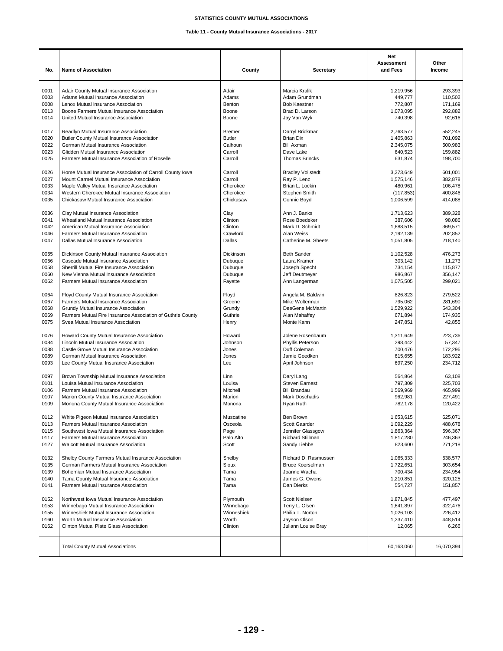## **STATISTICS COUNTY MUTUAL ASSOCIATIONS**

## **Table 11 - County Mutual Insurance Associations - 2017**

| No.  | Name of Association                                         | County        | Secretary                | <b>Net</b><br>Assessment<br>and Fees | Other<br>Income |
|------|-------------------------------------------------------------|---------------|--------------------------|--------------------------------------|-----------------|
| 0001 | Adair County Mutual Insurance Association                   | Adair         | Marcia Kralik            | 1,219,956                            | 293,393         |
| 0003 | Adams Mutual Insurance Association                          | Adams         | Adam Grundman            | 449,777                              | 110,502         |
| 0008 | Lenox Mutual Insurance Association                          | Benton        | <b>Bob Kaestner</b>      |                                      | 171,169         |
|      |                                                             |               |                          | 772,807                              |                 |
| 0013 | Boone Farmers Mutual Insurance Association                  | Boone         | Brad D. Larson           | 1,073,095                            | 292,882         |
| 0014 | United Mutual Insurance Association                         | Boone         | Jay Van Wyk              | 740,398                              | 92,616          |
| 0017 | Readlyn Mutual Insurance Association                        | <b>Bremer</b> | Darryl Brickman          | 2,763,577                            | 552,245         |
| 0020 | Butler County Mutual Insurance Association                  | <b>Butler</b> | <b>Brian Dix</b>         | 1,405,863                            | 701,092         |
| 0022 | German Mutual Insurance Association                         | Calhoun       | <b>Bill Axman</b>        | 2,345,075                            | 500,983         |
| 0023 | Glidden Mutual Insurance Association                        | Carroll       | Dave Lake                | 640,523                              | 159,882         |
| 0025 | Farmers Mutual Insurance Association of Roselle             | Carroll       | <b>Thomas Brincks</b>    | 631,874                              | 198,700         |
| 0026 | Home Mutual Insurance Association of Carroll County Iowa    | Carroll       | <b>Bradley Vollstedt</b> | 3,273,649                            | 601,001         |
| 0027 | Mount Carmel Mutual Insurance Association                   | Carroll       | Ray P. Lenz              | 1,575,146                            | 382,878         |
| 0033 | Maple Valley Mutual Insurance Association                   | Cherokee      | Brian L. Lockin          | 480,961                              | 106,478         |
| 0034 | Western Cherokee Mutual Insurance Association               | Cherokee      | Stephen Smith            |                                      | 400,846         |
|      |                                                             |               |                          | (117, 853)                           |                 |
| 0035 | Chickasaw Mutual Insurance Association                      | Chickasaw     | Connie Boyd              | 1,006,599                            | 414,088         |
| 0036 | Clay Mutual Insurance Association                           | Clay          | Ann J. Banks             | 1,713,623                            | 389,328         |
| 0041 | Wheatland Mutual Insurance Association                      | Clinton       | Rose Boedeker            | 387,606                              | 98,086          |
| 0042 | American Mutual Insurance Association                       | Clinton       | Mark D. Schmidt          | 1,688,515                            | 369,571         |
| 0046 | Farmers Mutual Insurance Association                        | Crawford      | Alan Weiss               | 2,192,139                            | 202,852         |
| 0047 | Dallas Mutual Insurance Association                         | Dallas        | Catherine M. Sheets      | 1,051,805                            | 218,140         |
| 0055 | Dickinson County Mutual Insurance Association               | Dickinson     | <b>Beth Sander</b>       | 1,102,528                            | 476,273         |
| 0056 | Cascade Mutual Insurance Association                        | Dubuque       | Laura Kramer             | 303,142                              | 11,273          |
| 0058 | Sherrill Mutual Fire Insurance Association                  | Dubuque       | Joseph Specht            | 734,154                              | 115,877         |
| 0060 | New Vienna Mutual Insurance Association                     | Dubuque       | Jeff Deutmeyer           | 986,867                              | 356,147         |
|      |                                                             |               |                          |                                      |                 |
| 0062 | Farmers Mutual Insurance Association                        | Fayette       | Ann Langerman            | 1,075,505                            | 299,021         |
| 0064 | Floyd County Mutual Insurance Association                   | Floyd         | Angela M. Baldwin        | 826,823                              | 279,522         |
| 0067 | Farmers Mutual Insurance Association                        | Greene        | Mike Wolterman           | 795,062                              | 281,690         |
| 0068 | Grundy Mutual Insurance Association                         | Grundy        | DeeGene McMartin         | 1,529,922                            | 543,304         |
| 0069 | Farmers Mutual Fire Insurance Association of Guthrie County | Guthrie       | Alan Mahaffey            | 671,894                              | 174,935         |
| 0075 | Svea Mutual Insurance Association                           | Henry         | Monte Kann               | 247,851                              | 42,855          |
| 0076 | Howard County Mutual Insurance Association                  | Howard        | Jolene Rosenbaum         | 1,311,649                            | 223,736         |
| 0084 | Lincoln Mutual Insurance Association                        | Johnson       | Phyllis Peterson         | 298,442                              | 57,347          |
| 0088 | Castle Grove Mutual Insurance Association                   | Jones         | Duff Coleman             | 700,476                              | 172,296         |
|      |                                                             |               |                          |                                      |                 |
| 0089 | German Mutual Insurance Association                         | Jones         | Jamie Goedken            | 615,655                              | 183,922         |
| 0093 | Lee County Mutual Insurance Association                     | Lee           | April Johnson            | 697,250                              | 234,712         |
| 0097 | Brown Township Mutual Insurance Association                 | Linn          | Daryl Lang               | 564,864                              | 63,108          |
| 0101 | Louisa Mutual Insurance Association                         | Louisa        | <b>Steven Earnest</b>    | 797,309                              | 225,703         |
| 0106 | Farmers Mutual Insurance Association                        | Mitchell      | <b>Bill Brandau</b>      | 1,569,969                            | 465,999         |
| 0107 | Marion County Mutual Insurance Association                  | Marion        | Mark Doschadis           | 962,981                              | 227,491         |
| 0109 | Monona County Mutual Insurance Association                  | Monona        | Ryan Ruth                | 782,178                              | 120.422         |
|      |                                                             |               |                          |                                      |                 |
| 0112 | White Pigeon Mutual Insurance Association                   | Muscatine     | Ben Brown                | 1,653,615                            | 625,071         |
| 0113 | Farmers Mutual Insurance Association                        | Osceola       | Scott Gaarder            | 1,092,229                            | 488,678         |
| 0115 | Southwest Iowa Mutual Insurance Association                 | Page          | Jennifer Glassgow        | 1,863,364                            | 596,367         |
| 0117 | Farmers Mutual Insurance Association                        | Palo Alto     | Richard Stillman         | 1,817,280                            | 246,363         |
| 0127 | Walcott Mutual Insurance Association                        | Scott         | Sandy Liebbe             | 823,600                              | 271,218         |
| 0132 | Shelby County Farmers Mutual Insurance Association          | Shelby        | Richard D. Rasmussen     | 1,065,333                            | 538,577         |
|      |                                                             |               |                          |                                      |                 |
| 0135 | German Farmers Mutual Insurance Association                 | Sioux         | <b>Bruce Koerselman</b>  | 1,722,651                            | 303,654         |
| 0139 | Bohemian Mutual Insurance Association                       | Tama          | Joanne Wacha             | 700,434                              | 234,954         |
| 0140 | Tama County Mutual Insurance Association                    | Tama          | James G. Owens           | 1,210,851                            | 320,125         |
| 0141 | Farmers Mutual Insurance Association                        | Tama          | Dan Dierks               | 554,727                              | 151,857         |
| 0152 | Northwest Iowa Mutual Insurance Association                 | Plymouth      | <b>Scott Nielsen</b>     | 1,871,845                            | 477,497         |
| 0153 | Winnebago Mutual Insurance Association                      | Winnebago     | Terry L. Olsen           | 1,641,897                            | 322,476         |
| 0155 | Winneshiek Mutual Insurance Association                     | Winneshiek    | Philip T. Norton         | 1,026,103                            | 226,412         |
| 0160 | Worth Mutual Insurance Association                          | Worth         | Jayson Olson             | 1,237,410                            | 448,514         |
| 0162 | Clinton Mutual Plate Glass Association                      | Clinton       | Juliann Louise Bray      | 12,065                               | 6,266           |
|      | <b>Total County Mutual Associations</b>                     |               |                          | 60,163,060                           | 16,070,394      |
|      |                                                             |               |                          |                                      |                 |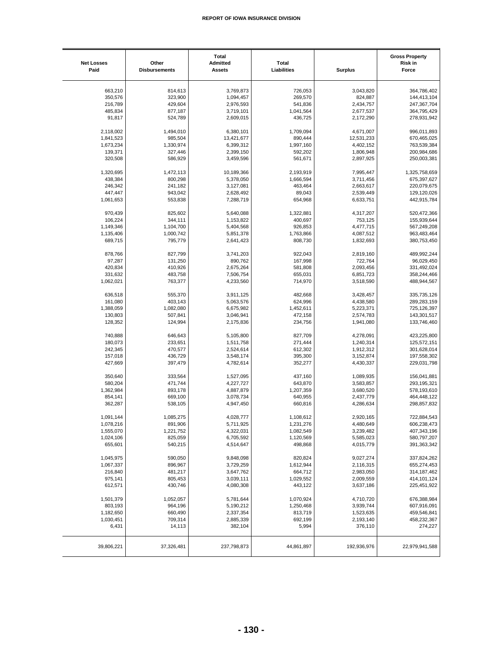| <b>Net Losses</b><br>Paid | Other<br><b>Disbursements</b> | Total<br>Admitted<br><b>Assets</b> | <b>Total</b><br>Liabilities | <b>Surplus</b> | <b>Gross Property</b><br><b>Risk in</b><br>Force |
|---------------------------|-------------------------------|------------------------------------|-----------------------------|----------------|--------------------------------------------------|
|                           |                               |                                    |                             |                |                                                  |
| 663,210                   | 814,613                       | 3,769,873                          | 726,053                     | 3,043,820      | 364,786,402                                      |
| 350,576                   | 323,900                       | 1,094,457                          | 269,570                     | 824,887        | 144,413,104                                      |
| 216,789                   | 429,604                       | 2,976,593                          | 541,836                     | 2,434,757      | 247,367,704                                      |
| 485,834                   | 877,187                       | 3,719,101                          | 1,041,564                   | 2,677,537      | 364,795,429                                      |
| 91,817                    | 524,789                       | 2,609,015                          | 436,725                     | 2,172,290      | 278,931,942                                      |
| 2,118,002                 | 1,494,010                     | 6,380,101                          | 1,709,094                   | 4,671,007      | 996,011,893                                      |
| 1,841,523                 | 985,504                       | 13,421,677                         | 890,444                     | 12,531,233     | 670,465,025                                      |
|                           |                               |                                    |                             |                |                                                  |
| 1,673,234                 | 1,330,974                     | 6,399,312                          | 1,997,160                   | 4,402,152      | 763,539,384                                      |
| 139,371<br>320,508        | 327,446<br>586,929            | 2,399,150<br>3,459,596             | 592,202<br>561,671          | 1,806,948      | 200,984,686<br>250,003,381                       |
|                           |                               |                                    |                             | 2,897,925      |                                                  |
| 1,320,695                 | 1,472,113                     | 10,189,366                         | 2,193,919                   | 7,995,447      | 1,325,758,659                                    |
| 438,384                   | 800,298                       | 5,378,050                          | 1,666,594                   | 3,711,456      | 675,397,627                                      |
| 246,342                   | 241,182                       | 3,127,081                          | 463,464                     | 2,663,617      | 220,079,675                                      |
| 447,447                   | 943,042                       | 2,628,492                          | 89,043                      | 2,539,449      | 129,120,026                                      |
| 1,061,653                 | 553,838                       | 7,288,719                          | 654,968                     | 6,633,751      | 442,915,784                                      |
|                           |                               |                                    |                             |                |                                                  |
| 970,439                   | 825,602                       | 5,640,088                          | 1,322,881                   | 4,317,207      | 520,472,366                                      |
| 106,224                   | 344,111                       | 1,153,822                          | 400,697                     | 753,125        | 155,939,644                                      |
| 1,149,346                 | 1,104,700                     | 5,404,568                          | 926,853                     | 4,477,715      | 567,249,208                                      |
| 1,135,406                 | 1,000,742                     | 5,851,378                          | 1,763,866                   | 4,087,512      | 963,483,464                                      |
| 689,715                   | 795,779                       | 2,641,423                          | 808,730                     | 1,832,693      | 380,753,450                                      |
|                           |                               |                                    |                             |                |                                                  |
| 878,766                   | 827,799                       | 3,741,203                          | 922,043                     | 2,819,160      | 489,992,244                                      |
| 97,287                    | 131,250                       | 890,762                            | 167,998                     | 722,764        | 96,029,450                                       |
| 420,834                   | 410,926                       | 2,675,264                          | 581,808                     | 2,093,456      | 331,492,024                                      |
| 331,632                   | 483,758                       | 7,506,754                          | 655,031                     | 6,851,723      | 358,244,466                                      |
| 1,062,021                 | 763,377                       | 4,233,560                          | 714,970                     | 3,518,590      | 488,944,567                                      |
|                           |                               |                                    |                             |                |                                                  |
| 636,518                   | 555,370                       | 3,911,125                          | 482,668                     | 3,428,457      | 335,735,126                                      |
| 161,080                   | 403,143                       | 5,063,576                          | 624,996                     | 4,438,580      | 289,283,159                                      |
| 1,388,059                 | 1,082,080                     | 6,675,982                          | 1,452,611                   | 5,223,371      | 725,126,397                                      |
| 130,803                   | 507,841                       | 3,046,941                          | 472,158                     | 2,574,783      | 143,301,517                                      |
| 128,352                   | 124,994                       | 2,175,836                          | 234,756                     | 1,941,080      | 133,746,460                                      |
| 740,888                   | 646,643                       | 5,105,800                          | 827,709                     | 4,278,091      | 423,225,800                                      |
| 180,073                   | 233,651                       | 1,511,758                          | 271,444                     | 1,240,314      | 125,572,151                                      |
|                           |                               |                                    |                             |                |                                                  |
| 242,345                   | 470,577                       | 2,524,614                          | 612,302                     | 1,912,312      | 301,628,014                                      |
| 157,018                   | 436,729                       | 3,548,174                          | 395,300                     | 3,152,874      | 197,558,302                                      |
| 427,669                   | 397,479                       | 4,782,614                          | 352,277                     | 4,430,337      | 229,031,798                                      |
| 350,640                   | 333,564                       | 1,527,095                          | 437,160                     | 1,089,935      | 156,041,881                                      |
| 580,204                   | 471,744                       | 4,227,727                          | 643,870                     | 3,583,857      | 293,195,321                                      |
| 1,362,984                 | 893,178                       | 4,887,879                          | 1,207,359                   | 3,680,520      | 578,193,610                                      |
| 854,141                   |                               |                                    |                             |                |                                                  |
|                           | 669,100                       | 3,078,734                          | 640,955                     | 2,437,779      | 464,448,122                                      |
| 362,287                   | 538,105                       | 4,947,450                          | 660,816                     | 4,286,634      | 298,857,832                                      |
| 1,091,144                 | 1,085,275                     | 4,028,777                          | 1,108,612                   | 2,920,165      | 722,884,543                                      |
| 1,078,216                 | 891,906                       | 5,711,925                          | 1,231,276                   | 4,480,649      | 606,238,473                                      |
| 1,555,070                 | 1,221,752                     | 4,322,031                          | 1,082,549                   | 3,239,482      | 407,343,196                                      |
| 1,024,106                 | 825,059                       | 6,705,592                          | 1,120,569                   | 5,585,023      | 580,797,207                                      |
| 655,601                   | 540,215                       | 4,514,647                          | 498,868                     | 4,015,779      | 391,363,342                                      |
|                           |                               |                                    |                             |                |                                                  |
| 1,045,975                 | 590,050                       | 9,848,098                          | 820,824                     | 9,027,274      | 337,824,262                                      |
| 1,067,337                 | 896,967                       | 3,729,259                          | 1,612,944                   | 2,116,315      | 655,274,453                                      |
| 216,840                   | 481,217                       | 3,647,762                          | 664,712                     | 2,983,050      | 314, 187, 462                                    |
|                           |                               |                                    |                             |                |                                                  |
| 975,141                   | 805,453                       | 3,039,111                          | 1,029,552                   | 2,009,559      | 414,101,124                                      |
| 612,571                   | 430,746                       | 4,080,308                          | 443,122                     | 3,637,186      | 225,451,922                                      |
| 1,501,379                 | 1,052,057                     | 5,781,644                          | 1,070,924                   | 4,710,720      | 676,388,984                                      |
| 803,193                   | 964,196                       | 5,190,212                          | 1,250,468                   | 3,939,744      | 607,916,091                                      |
| 1,182,650                 | 660,490                       | 2,337,354                          | 813,719                     | 1,523,635      | 459,546,841                                      |
|                           |                               |                                    |                             |                |                                                  |
| 1,030,451                 | 709,314                       | 2,885,339                          | 692,199                     | 2,193,140      | 458,232,367                                      |
| 6,431                     | 14,113                        | 382,104                            | 5,994                       | 376,110        | 274,227                                          |
| 39,806,221                | 37,326,481                    | 237,798,873                        | 44,861,897                  | 192,936,976    | 22,979,941,588                                   |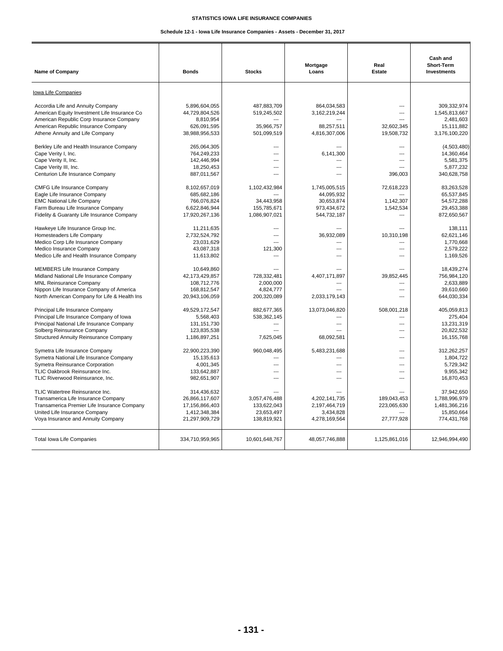## **STATISTICS IOWA LIFE INSURANCE COMPANIES**

## **Schedule 12-1 - Iowa Life Insurance Companies - Assets - December 31, 2017**

| Name of Company                                                                 | <b>Bonds</b>             | <b>Stocks</b>  | Mortgage<br>Loans        | Real<br><b>Estate</b>    | Cash and<br>Short-Term<br><b>Investments</b> |
|---------------------------------------------------------------------------------|--------------------------|----------------|--------------------------|--------------------------|----------------------------------------------|
| Iowa Life Companies                                                             |                          |                |                          |                          |                                              |
| Accordia Life and Annuity Company                                               | 5,896,604,055            | 487,883,709    | 864,034,583              | $\overline{\phantom{a}}$ | 309.332.974                                  |
| American Equity Investment Life Insurance Co                                    | 44,729,804,526           | 519,245,502    | 3,162,219,244            | $\overline{\phantom{a}}$ | 1,545,813,667                                |
| American Republic Corp Insurance Company<br>American Republic Insurance Company | 8,810,954<br>626,091,595 | 35,966,757     | 88,257,511               | 32,602,345               | 2,481,603<br>15,111,882                      |
| Athene Annuity and Life Company                                                 | 38,988,956,533           | 501,099,519    | 4,816,307,006            | 19,508,732               | 3,176,100,220                                |
|                                                                                 |                          |                |                          |                          |                                              |
| Berkley Life and Health Insurance Company                                       | 265,064,305              | $\overline{a}$ | ---                      | $\overline{\phantom{a}}$ | (4,503,480)                                  |
| Cape Verity I, Inc.                                                             | 764,249,233              | ---            | 6,141,300                | $\overline{\phantom{a}}$ | 14,360,464                                   |
| Cape Verity II, Inc.                                                            | 142,446,994              | $\overline{a}$ |                          | $\overline{\phantom{a}}$ | 5,581,375                                    |
| Cape Verity III, Inc.                                                           | 18,250,453               | $---$          | ---                      |                          | 5,877,232                                    |
| Centurion Life Insurance Company                                                | 887,011,567              | $---$          | $\overline{a}$           | 396,003                  | 340,628,758                                  |
| <b>CMFG Life Insurance Company</b>                                              | 8,102,657,019            | 1,102,432,984  | 1,745,005,515            | 72,618,223               | 83,263,528                                   |
| Eagle Life Insurance Company                                                    | 685,682,186              |                | 44,095,932               |                          | 65,537,845                                   |
| <b>EMC National Life Company</b>                                                | 766,076,824              | 34,443,958     | 30,653,874               | 1,142,307                | 54,572,288                                   |
| Farm Bureau Life Insurance Company                                              | 6,622,846,944            | 155,785,671    | 973,434,672              | 1,542,534                | 29,453,388                                   |
| Fidelity & Guaranty Life Insurance Company                                      | 17,920,267,136           | 1,086,907,021  | 544,732,187              |                          | 872,650,567                                  |
| Hawkeye Life Insurance Group Inc.                                               | 11,211,635               |                |                          |                          | 138.111                                      |
| Homesteaders Life Company                                                       | 2,732,524,792            | ---            | 36,932,089               | 10,310,198               | 62,621,146                                   |
| Medico Corp Life Insurance Company                                              | 23,031,629               |                |                          |                          | 1,770,668                                    |
| Medico Insurance Company                                                        | 43,087,318               | 121,300        | $\overline{\phantom{a}}$ | $\overline{\phantom{a}}$ | 2,579,222                                    |
| Medico Life and Health Insurance Company                                        | 11,613,802               |                | ---                      | $\overline{\phantom{a}}$ | 1,169,526                                    |
| <b>MEMBERS Life Insurance Company</b>                                           | 10,649,860               |                | ---                      | $\overline{\phantom{a}}$ | 18,439,274                                   |
| Midland National Life Insurance Company                                         | 42,173,429,857           | 728,332,481    | 4,407,171,897            | 39,852,445               | 756,984,120                                  |
| <b>MNL Reinsurance Company</b>                                                  | 108.712.776              | 2.000.000      |                          |                          | 2.633.889                                    |
| Nippon Life Insurance Company of America                                        | 168.812.547              | 4,824,777      | $\overline{a}$           | $\overline{\phantom{a}}$ | 39,610,660                                   |
| North American Company for Life & Health Ins                                    | 20,943,106,059           | 200,320,089    | 2,033,179,143            |                          | 644,030,334                                  |
| Principal Life Insurance Company                                                | 49,529,172,547           | 882,677,365    | 13,073,046,820           | 508,001,218              | 405,059,813                                  |
| Principal Life Insurance Company of Iowa                                        | 5,568,403                | 538,362,145    |                          | ---                      | 275,404                                      |
| Principal National Life Insurance Company                                       | 131, 151, 730            |                | $\overline{a}$           | $\overline{a}$           | 13,231,319                                   |
| Solberg Reinsurance Company                                                     | 123,835,538              | $\overline{a}$ | $\overline{a}$           | ---                      | 20,822,532                                   |
| <b>Structured Annuity Reinsurance Company</b>                                   | 1,186,897,251            | 7,625,045      | 68,092,581               | $\overline{a}$           | 16, 155, 768                                 |
| Symetra Life Insurance Company                                                  | 22.900.223.390           | 960.048.495    | 5,483,231,688            | $\overline{\phantom{a}}$ | 312.262.257                                  |
| Symetra National Life Insurance Company                                         | 15,135,613               | $\overline{a}$ | $\overline{a}$           | $\overline{\phantom{a}}$ | 1,804,722                                    |
| Symetra Reinsurance Corporation                                                 | 4,001,345                | $\overline{a}$ | ---                      | $\overline{\phantom{a}}$ | 5,729,342                                    |
| TLIC Oakbrook Reinsurance Inc.                                                  | 133,642,887              | $\overline{a}$ | ---                      | $\overline{a}$           | 9,955,342                                    |
| TLIC Riverwood Reinsurance, Inc.                                                | 982,651,907              | ---            | ---                      | $\overline{a}$           | 16,870,453                                   |
| TLIC Watertree Reinsurance Inc.                                                 | 314.436.632              |                |                          |                          | 37.942.650                                   |
| Transamerica Life Insurance Company                                             | 26.866.117.607           | 3,057,476,488  | 4,202,141,735            | 189.043.453              | 1,788,996,979                                |
| Transamerica Premier Life Insurance Company                                     | 17.156.866.403           | 133.622.043    | 2,197,464,719            | 223,065,630              | 1,481,366,216                                |
| United Life Insurance Company                                                   | 1,412,348,384            | 23,653,497     | 3,434,828                |                          | 15,850,664                                   |
| Voya Insurance and Annuity Company                                              | 21,297,909,729           | 138,819,921    | 4,278,169,564            | 27,777,928               | 774,431,768                                  |
| <b>Total Iowa Life Companies</b>                                                | 334,710,959,965          | 10,601,648,767 | 48,057,746,888           | 1,125,861,016            | 12,946,994,490                               |
|                                                                                 |                          |                |                          |                          |                                              |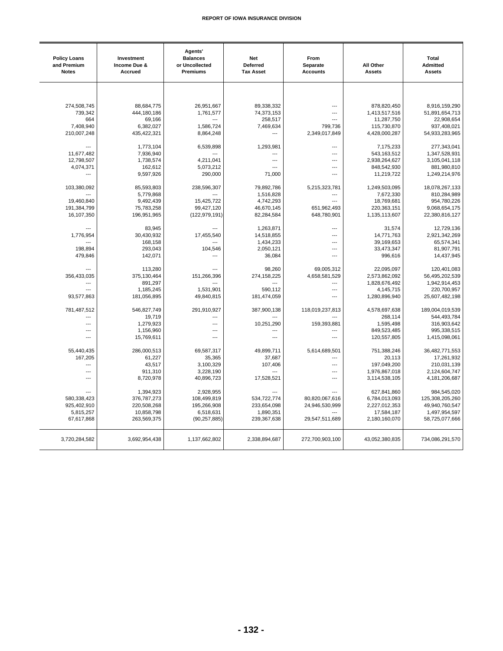| <b>Policy Loans</b><br>and Premium<br><b>Notes</b> | Investment<br>Income Due &<br>Accrued | Agents'<br><b>Balances</b><br>or Uncollected<br><b>Premiums</b> | <b>Net</b><br>Deferred<br><b>Tax Asset</b> | From<br>Separate<br><b>Accounts</b> | All Other<br><b>Assets</b> | <b>Total</b><br>Admitted<br><b>Assets</b> |
|----------------------------------------------------|---------------------------------------|-----------------------------------------------------------------|--------------------------------------------|-------------------------------------|----------------------------|-------------------------------------------|
|                                                    |                                       |                                                                 |                                            |                                     |                            |                                           |
| 274.508.745                                        | 88,684,775                            | 26.951.667                                                      | 89,338,332                                 | $\overline{a}$                      | 878,820,450                | 8.916.159.290                             |
| 739,342                                            | 444,180,186                           | 1,761,577                                                       | 74,373,153                                 | $\overline{a}$                      | 1,413,517,516              | 51,891,654,713                            |
| 664                                                | 69,166                                |                                                                 | 258,517                                    | $\overline{a}$                      | 11,287,750                 | 22,908,654                                |
| 7,408,940                                          | 6,382,027                             | 1,586,724                                                       | 7,469,634                                  | 799,736                             | 115,730,870                | 937,408,021                               |
| 210,007,248                                        | 435,422,321                           | 8,864,248                                                       |                                            | 2,349,017,849                       | 4,428,000,287              | 54,933,283,965                            |
|                                                    | 1,773,104                             | 6,539,898                                                       | 1,293,981                                  | ---                                 | 7,175,233                  | 277.343.041                               |
| 11,677,482                                         | 7,936,940                             |                                                                 |                                            | ---                                 | 543,163,512                | 1,347,528,931                             |
| 12,798,507                                         | 1,738,574                             | 4,211,041                                                       | ---                                        | ---                                 | 2,938,264,627              | 3,105,041,118                             |
| 4,074,371                                          | 162,612                               | 5,073,212                                                       | $\overline{a}$                             | ---                                 | 848,542,930                | 881,980,810                               |
| $\overline{a}$                                     | 9,597,926                             | 290.000                                                         | 71,000                                     | $\overline{a}$                      | 11,219,722                 | 1,249,214,976                             |
| 103,380,092                                        | 85,593,803                            | 238,596,307                                                     | 79,892,786                                 | 5,215,323,781                       | 1,249,503,095              | 18,078,267,133                            |
|                                                    | 5,779,868                             |                                                                 | 1,516,828                                  | ---                                 | 7,672,330                  | 810,284,989                               |
| 19,460,840                                         | 9,492,439                             | 15,425,722                                                      | 4,742,293                                  | ---                                 | 18,769,681                 | 954,780,226                               |
| 191,384,799                                        | 75,783,258                            | 99,427,120                                                      | 46,670,145                                 | 651,962,493                         | 220, 363, 151              | 9,068,654,175                             |
| 16,107,350                                         | 196,951,965                           | (122, 979, 191)                                                 | 82,284,584                                 | 648,780,901                         | 1,135,113,607              | 22,380,816,127                            |
| $---$                                              | 83,945                                | ---                                                             | 1,263,871                                  | $\overline{a}$                      | 31,574                     | 12,729,136                                |
| 1,776,954                                          | 30,430,932                            | 17,455,540                                                      | 14,518,855                                 | $\overline{a}$                      | 14,771,763                 | 2,921,342,269                             |
|                                                    | 168,158                               |                                                                 | 1,434,233                                  | $\overline{a}$                      | 39,169,653                 | 65,574,341                                |
| 198,894                                            | 293,043                               | 104,546                                                         | 2,050,121                                  | $\overline{a}$                      | 33,473,347                 | 81,907,791                                |
| 479,846                                            | 142,071                               |                                                                 | 36,084                                     | $\overline{a}$                      | 996,616                    | 14,437,945                                |
|                                                    | 113,280                               |                                                                 | 98,260                                     | 69,005,312                          | 22,095,097                 | 120,401,083                               |
| 356,433,035                                        | 375,130,464                           | 151,266,396                                                     | 274,158,225                                | 4,658,581,529                       | 2,573,862,092              | 56,495,202,539                            |
|                                                    | 891,297                               | ---                                                             | $\overline{\phantom{a}}$                   | $---$                               | 1,828,676,492              | 1,942,914,453                             |
| $\overline{a}$                                     | 1,185,245                             | 1,531,901                                                       | 590,112                                    | $\overline{a}$                      | 4,145,715                  | 220,700,957                               |
| 93,577,863                                         | 181,056,895                           | 49,840,815                                                      | 181,474,059                                | $---$                               | 1,280,896,940              | 25,607,482,198                            |
| 781,487,512                                        | 546,827,749                           | 291,910,927                                                     | 387,900,138                                | 118,019,237,813                     | 4,578,697,638              | 189,004,019,539                           |
|                                                    | 19,719                                | ---                                                             |                                            |                                     | 268,114                    | 544,493,784                               |
| $\overline{\phantom{a}}$                           | 1,279,923                             | $\overline{\phantom{a}}$                                        | 10,251,290                                 | 159,393,881                         | 1,595,498                  | 316,903,642                               |
| ---                                                | 1,156,960                             | ---                                                             | ---                                        | ---                                 | 849,523,485                | 995,338,515                               |
| $\overline{a}$                                     | 15,769,611                            | $\overline{a}$                                                  | $\overline{a}$                             | $\overline{a}$                      | 120,557,805                | 1,415,098,061                             |
| 55,440,435                                         | 286,000,513                           | 69,587,317                                                      | 49,899,711                                 | 5,614,689,501                       | 751,388,246                | 36,482,771,553                            |
| 167,205                                            | 61,227                                | 35,365                                                          | 37,687                                     |                                     | 20.113                     | 17,261,932                                |
| $\overline{a}$                                     | 43,517                                | 3,100,329                                                       | 107,406                                    | $\overline{a}$                      | 197,049,200                | 210,031,139                               |
| ---                                                | 911,310                               | 3,228,190                                                       |                                            | ---                                 | 1,976,867,018              | 2,124,604,747                             |
| $\overline{a}$                                     | 8,720,978                             | 40,896,723                                                      | 17,528,521                                 | $\overline{a}$                      | 3,114,538,105              | 4, 181, 206, 687                          |
| $\overline{\phantom{a}}$                           | 1,394,923                             | 2,928,955                                                       | $\overline{\phantom{a}}$                   | ---                                 | 627,841,860                | 984,545,020                               |
| 580.338.423                                        | 376,787,273                           | 108,499,819                                                     | 534,722,774                                | 80,820,067,616                      | 6,784,013,093              | 125,308,205,260                           |
| 925,402,910                                        | 220,508,268                           | 195,266,908                                                     | 233,654,098                                | 24,946,530,999                      | 2,227,012,353              | 49,940,760,547                            |
| 5,815,257                                          | 10,858,798                            | 6,518,631                                                       | 1,890,351                                  |                                     | 17,584,187                 | 1,497,954,597                             |
| 67,617,868                                         | 263,569,375                           | (90, 257, 885)                                                  | 239,367,638                                | 29,547,511,689                      | 2,180,160,070              | 58,725,077,666                            |
|                                                    |                                       |                                                                 |                                            |                                     |                            |                                           |
| 3,720,284,582                                      | 3,692,954,438                         | 1,137,662,802                                                   | 2,338,894,687                              | 272,700,903,100                     | 43,052,380,835             | 734,086,291,570                           |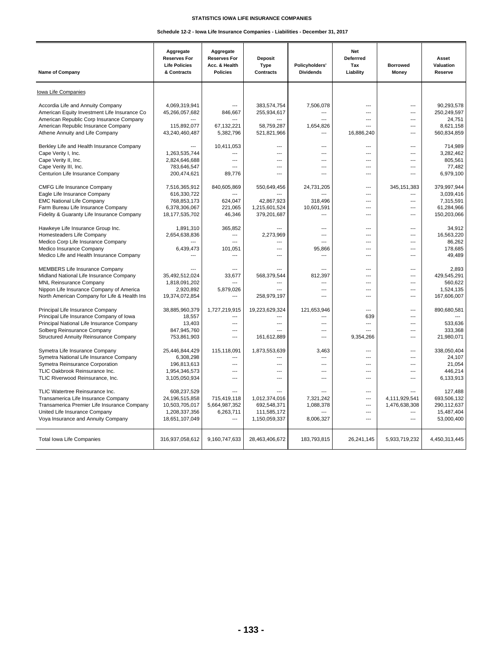## **STATISTICS IOWA LIFE INSURANCE COMPANIES**

## **Schedule 12-2 - Iowa Life Insurance Companies - Liabilities - December 31, 2017**

| <b>Name of Company</b>                                                                                                                                                                                    | Aggregate<br><b>Reserves For</b><br><b>Life Policies</b><br>& Contracts            | Aggregate<br><b>Reserves For</b><br>Acc. & Health<br><b>Policies</b> | <b>Deposit</b><br><b>Type</b><br><b>Contracts</b>                                                                   | Policyholders'<br><b>Dividends</b>                                          | Net<br>Deferrred<br>Tax<br>Liability                                                   | <b>Borrowed</b><br>Money                                                                                             | Asset<br>Valuation<br>Reserve                                               |
|-----------------------------------------------------------------------------------------------------------------------------------------------------------------------------------------------------------|------------------------------------------------------------------------------------|----------------------------------------------------------------------|---------------------------------------------------------------------------------------------------------------------|-----------------------------------------------------------------------------|----------------------------------------------------------------------------------------|----------------------------------------------------------------------------------------------------------------------|-----------------------------------------------------------------------------|
| lowa Life Companies                                                                                                                                                                                       |                                                                                    |                                                                      |                                                                                                                     |                                                                             |                                                                                        |                                                                                                                      |                                                                             |
| Accordia Life and Annuity Company<br>American Equity Investment Life Insurance Co<br>American Republic Corp Insurance Company<br>American Republic Insurance Company                                      | 4,069,319,941<br>45,266,057,682<br>115,892,077                                     | ---<br>846,667<br>67,132,221                                         | 383,574,754<br>255,934,617<br>58,759,287                                                                            | 7,506,078<br>---<br>---<br>1,654,826                                        | $\overline{a}$<br>---<br>$\overline{a}$<br>$\overline{a}$                              | $\overline{\phantom{a}}$<br>$\overline{a}$<br>$\overline{a}$<br>$\overline{\phantom{a}}$                             | 90,293,578<br>250,249,597<br>24,751<br>8,621,158                            |
| Athene Annuity and Life Company                                                                                                                                                                           | 43,240,460,487                                                                     | 5,382,796                                                            | 521,821,966                                                                                                         | ---                                                                         | 16,886,240                                                                             | $\overline{a}$                                                                                                       | 560,834,859                                                                 |
| Berkley Life and Health Insurance Company<br>Cape Verity I, Inc.<br>Cape Verity II, Inc.<br>Cape Verity III, Inc.<br>Centurion Life Insurance Company                                                     | $\overline{a}$<br>1,263,535,744<br>2,824,646,688<br>783,646,547<br>200,474,621     | 10,411,053<br>---<br>$\overline{a}$<br>---<br>89,776                 | $\overline{\phantom{a}}$<br>$\overline{\phantom{a}}$<br>$\overline{\phantom{a}}$<br>$\overline{\phantom{a}}$<br>--- | $\overline{a}$<br>$\overline{a}$<br>$\overline{a}$<br>$\overline{a}$<br>--- | $\overline{a}$<br>$\overline{a}$<br>$\overline{a}$<br>---<br>---                       | $\overline{\phantom{a}}$<br>$\overline{\phantom{a}}$<br>$\overline{\phantom{a}}$<br>---<br>---                       | 714,989<br>3,282,462<br>805,561<br>77,482<br>6,979,100                      |
| <b>CMFG Life Insurance Company</b><br>Eagle Life Insurance Company<br><b>EMC National Life Company</b><br>Farm Bureau Life Insurance Company<br>Fidelity & Guaranty Life Insurance Company                | 7,516,365,912<br>616,330,722<br>768,853,173<br>6,378,306,067<br>18,177,535,702     | 840,605,869<br>624.047<br>221,065<br>46,346                          | 550,649,456<br>42,867,923<br>1,215,601,524<br>379,201,687                                                           | 24,731,205<br>318,496<br>10,601,591<br>---                                  | $\overline{a}$<br>$\sim$<br>$\sim$<br>$\overline{a}$<br>$\overline{a}$                 | 345, 151, 383<br>$\sim$<br>$\sim$<br>$\overline{a}$<br>$\overline{a}$                                                | 379,997,944<br>3,039,416<br>7,315,591<br>61,284,966<br>150,203,066          |
| Hawkeye Life Insurance Group Inc.<br>Homesteaders Life Company<br>Medico Corp Life Insurance Company<br>Medico Insurance Company<br>Medico Life and Health Insurance Company                              | 1,891,310<br>2,654,638,836<br>6,439,473<br>$\overline{a}$                          | 365,852<br>$\overline{a}$<br>$\sim$<br>101,051                       | $\sim$<br>2,273,969<br>$\overline{\phantom{a}}$<br>$\sim$                                                           | ---<br>$\overline{\phantom{a}}$<br>$\sim$<br>95,866<br>$\overline{a}$       | $\overline{a}$<br>$\sim$<br>$\sim$<br>$\sim$<br>$\overline{a}$                         | $\sim$<br>$\sim$<br>$\sim$<br>$\sim$<br>$\overline{a}$                                                               | 34,912<br>16,563,220<br>86.262<br>178,685<br>49.489                         |
| MEMBERS Life Insurance Company<br>Midland National Life Insurance Company<br><b>MNL Reinsurance Company</b><br>Nippon Life Insurance Company of America<br>North American Company for Life & Health Ins   | 35.492.512.024<br>1,818,091,202<br>2,920,892<br>19,374,072,854                     | $\overline{a}$<br>33.677<br>$\sim$<br>5,879,026                      | 568.379.544<br>$\overline{\phantom{a}}$<br>$\overline{\phantom{a}}$<br>258,979,197                                  | $\overline{a}$<br>812.397<br>$\overline{a}$<br>$\overline{a}$<br>---        | $\overline{a}$<br>---<br>$\overline{a}$<br>$\overline{a}$<br>---                       | $\overline{\phantom{a}}$<br>$\overline{\phantom{a}}$<br>$\overline{a}$<br>$\overline{\phantom{a}}$<br>$\overline{a}$ | 2.893<br>429.545.291<br>560.622<br>1,524,135<br>167,606,007                 |
| Principal Life Insurance Company<br>Principal Life Insurance Company of Iowa<br>Principal National Life Insurance Company<br>Solberg Reinsurance Company<br><b>Structured Annuity Reinsurance Company</b> | 38,885,960,379<br>18,557<br>13,403<br>847,945,760<br>753,861,903                   | 1,727,219,915<br>$---$<br>$\overline{a}$<br>---<br>$\overline{a}$    | 19,223,629,324<br>$\overline{\phantom{a}}$<br>$\overline{\phantom{a}}$<br>$\sim$<br>161,612,889                     | 121,653,946<br>$\overline{a}$<br>$\overline{a}$<br>$\overline{a}$<br>---    | $\overline{a}$<br>639<br>$\overline{a}$<br>$\overline{a}$<br>9,354,266                 | $\overline{\phantom{a}}$<br>$\overline{\phantom{a}}$<br>$\overline{\phantom{a}}$<br>$\overline{\phantom{a}}$<br>---  | 890,680,581<br>$\overline{\phantom{a}}$<br>533,636<br>333,368<br>21,980,071 |
| Symetra Life Insurance Company<br>Symetra National Life Insurance Company<br>Symetra Reinsurance Corporation<br>TLIC Oakbrook Reinsurance Inc.<br>TLIC Riverwood Reinsurance, Inc.                        | 25,446,844,429<br>6,308,298<br>196,813,613<br>1,954,346,573<br>3,105,050,934       | 115,118,091<br>$\overline{a}$<br>$---$<br>---<br>---                 | 1,873,553,639<br>$---$<br>$\overline{\phantom{a}}$<br>$\overline{\phantom{a}}$<br>---                               | 3,463<br>---<br>---<br>---<br>---                                           | $\overline{a}$<br>---<br>$\overline{a}$<br>$\overline{a}$<br>$\overline{a}$            | $\overline{a}$<br>---<br>$\overline{a}$<br>$\overline{a}$<br>---                                                     | 338,050,404<br>24,107<br>21,054<br>446,214<br>6,133,913                     |
| TLIC Watertree Reinsurance Inc.<br>Transamerica Life Insurance Company<br>Transamerica Premier Life Insurance Company<br>United Life Insurance Company<br>Voya Insurance and Annuity Company              | 608,237,529<br>24,196,515,858<br>10,503,705,017<br>1,208,337,356<br>18,651,107,049 | $\overline{a}$<br>715,419,118<br>5,664,987,352<br>6,263,711          | 1,012,374,016<br>692,548,371<br>111,585,172<br>1,150,059,337                                                        | 7,321,242<br>1,088,378<br>8,006,327                                         | $\overline{a}$<br>$\overline{a}$<br>$\overline{a}$<br>$\overline{a}$<br>$\overline{a}$ | 4,111,929,541<br>1,476,638,308<br>$\overline{a}$<br>---                                                              | 127,488<br>693,506,132<br>290,112,637<br>15,487,404<br>53,000,400           |
| <b>Total lowa Life Companies</b>                                                                                                                                                                          | 316,937,058,612                                                                    | 9,160,747,633                                                        | 28,463,406,672                                                                                                      | 183,793,815                                                                 | 26,241,145                                                                             | 5,933,719,232                                                                                                        | 4,450,313,445                                                               |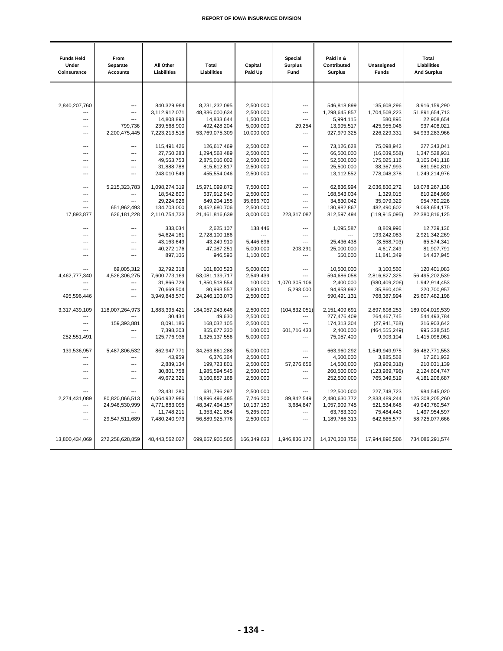| <b>Funds Held</b><br>Under<br>Coinsurance | From<br>Separate<br><b>Accounts</b> | All Other<br>Liabilities     | <b>Total</b><br>Liabilities     | Capital<br>Paid Up     | Special<br><b>Surplus</b><br>Fund | Paid in &<br>Contributed<br><b>Surplus</b> | Unassigned<br><b>Funds</b>     | <b>Total</b><br>Liabilities<br><b>And Surplus</b> |
|-------------------------------------------|-------------------------------------|------------------------------|---------------------------------|------------------------|-----------------------------------|--------------------------------------------|--------------------------------|---------------------------------------------------|
|                                           |                                     |                              |                                 |                        |                                   |                                            |                                |                                                   |
| 2,840,207,760                             | $\overline{a}$                      | 840,329,984                  | 8,231,232,095                   | 2,500,000              | $\overline{\phantom{a}}$          | 546,818,899                                | 135,608,296                    | 8,916,159,290                                     |
|                                           | $\overline{a}$                      | 3,112,912,071                | 48,886,000,634                  | 2,500,000              | ---                               | 1,298,645,857                              | 1,704,508,223                  | 51,891,654,713                                    |
| $\overline{a}$                            | ---                                 | 14,808,893                   | 14,833,644                      | 1,500,000              | $\overline{a}$                    | 5,994,115                                  | 580,895                        | 22,908,654                                        |
| $---$                                     | 799,736                             | 239,568,900                  | 492,428,204                     | 5,000,000              | 29,254                            | 13,995,517                                 | 425,955,046                    | 937,408,021                                       |
| $\overline{a}$                            | 2,200,475,445                       | 7,223,213,518                | 53,769,075,309                  | 10,000,000             | $\overline{a}$                    | 927,979,325                                | 226,229,331                    | 54,933,283,966                                    |
| $\overline{a}$                            | ---                                 | 115,491,426                  | 126,617,469                     | 2,500,002              | ---                               | 73,126,628                                 | 75,098,942                     | 277,343,041                                       |
| $\overline{a}$                            | ---                                 | 27,750,283                   | 1,294,568,489                   | 2,500,000              | ---                               | 66,500,000                                 | (16,039,558)                   | 1,347,528,931                                     |
| $\overline{a}$                            | $\overline{a}$                      | 49,563,753                   | 2,875,016,002                   | 2,500,000              | ---                               | 52,500,000                                 | 175,025,116                    | 3,105,041,118                                     |
| $\overline{a}$                            | $\overline{a}$                      | 31,888,788                   | 815,612,817                     | 2,500,000              | ---                               | 25,500,000                                 | 38,367,993                     | 881,980,810                                       |
| $\overline{a}$                            | $\overline{a}$                      | 248,010,549                  | 455,554,046                     | 2,500,000              | $\overline{\phantom{a}}$          | 13,112,552                                 | 778,048,378                    | 1,249,214,976                                     |
| $\overline{a}$                            | 5,215,323,783                       | 1,098,274,319                | 15,971,099,872                  | 7,500,000              | ---                               | 62,836,994                                 | 2,036,830,272                  | 18,078,267,138                                    |
| $\overline{a}$                            | $\overline{a}$                      | 18,542,800                   | 637,912,940                     | 2,500,000              | ---                               | 168,543,034                                | 1,329,015                      | 810,284,989                                       |
| $\overline{a}$                            | $\overline{a}$                      | 29,224,926                   | 849,204,155                     | 35,666,700             | $\overline{\phantom{a}}$          | 34,830,042                                 | 35,079,329                     | 954,780,226                                       |
| $\overline{a}$<br>17,893,877              | 651,962,493<br>626, 181, 228        | 134,703,000<br>2,110,754,733 | 8,452,680,706<br>21,461,816,639 | 2,500,000<br>3,000,000 | ---<br>223,317,087                | 130,982,867<br>812,597,494                 | 482,490,602<br>(119, 915, 095) | 9,068,654,175<br>22,380,816,125                   |
|                                           |                                     |                              |                                 |                        |                                   |                                            |                                |                                                   |
| $---$                                     | $\overline{a}$                      | 333,034                      | 2,625,107                       | 138,446                | $\overline{a}$                    | 1,095,587                                  | 8,869,996                      | 12,729,136                                        |
| $---$                                     | $\overline{a}$                      | 54,624,161                   | 2,728,100,186                   |                        | ---                               |                                            | 193,242,083                    | 2,921,342,269                                     |
| ---                                       | $\overline{a}$                      | 43,163,649                   | 43,249,910                      | 5,446,696              | ---                               | 25,436,438                                 | (8,558,703)                    | 65,574,341                                        |
| ---                                       | ---                                 | 40,272,176                   | 47,087,251                      | 5,000,000              | 203,291                           | 25,000,000                                 | 4,617,249                      | 81,907,791                                        |
| ---                                       | $---$                               | 897,106                      | 946,596                         | 1,100,000              | $\overline{a}$                    | 550,000                                    | 11,841,349                     | 14,437,945                                        |
|                                           | 69,005,312                          | 32,792,318                   | 101,800,523                     | 5,000,000              | ---                               | 10,500,000                                 | 3,100,560                      | 120,401,083                                       |
| 4,462,777,340                             | 4,526,306,275                       | 7,600,773,169                | 53,081,139,717                  | 2,549,439              |                                   | 594,686,058                                | 2,816,827,325                  | 56,495,202,539                                    |
|                                           | $---$                               | 31,866,729                   | 1,850,518,554                   | 100,000                | 1,070,305,106                     | 2,400,000                                  | (980, 409, 206)                | 1,942,914,453                                     |
| ---                                       | $\overline{a}$                      | 70,669,504                   | 80,993,557                      | 3,600,000              | 5,293,000                         | 94,953,992                                 | 35,860,408                     | 220,700,957                                       |
| 495,596,446                               | $---$                               | 3,949,848,570                | 24,246,103,073                  | 2,500,000              |                                   | 590,491,131                                | 768,387,994                    | 25,607,482,198                                    |
| 3,317,439,109                             | 118,007,264,973                     | 1,883,395,421                | 184,057,243,646                 | 2,500,000              | (104, 832, 051)                   | 2,151,409,691                              | 2,897,698,253                  | 189,004,019,539                                   |
| $\overline{a}$<br>---                     | 159,393,881                         | 30,434<br>8,091,186          | 49,630<br>168,032,105           | 2,500,000<br>2,500,000 | ---<br>---                        | 277,476,409<br>174,313,304                 | 264,467,745<br>(27, 941, 768)  | 544,493,784<br>316,903,642                        |
| $\overline{a}$                            | ---                                 | 7,398,203                    | 855,677,330                     | 100,000                | 601,716,433                       | 2,400,000                                  | (464, 555, 249)                | 995,338,515                                       |
| 252,551,491                               | ---                                 | 125,776,936                  | 1,325,137,556                   | 5,000,000              | ---                               | 75,057,400                                 | 9,903,104                      | 1,415,098,061                                     |
| 139,536,957                               | 5,487,806,532                       | 862,947,771                  | 34,263,861,286                  | 5,000,000              | ---                               | 663,960,292                                | 1,549,949,975                  | 36,482,771,553                                    |
| ---                                       | ---                                 | 43,959                       | 6,376,364                       | 2,500,000              | ---                               | 4,500,000                                  | 3,885,568                      | 17,261,932                                        |
| ---                                       | ---                                 | 2,889,134                    | 199,723,801                     | 2,500,000              | 57,276,656                        | 14,500,000                                 | (63,969,318)                   | 210,031,139                                       |
| ---                                       | ---                                 | 30,801,758                   | 1,985,594,545                   | 2,500,000              | ---                               | 260,500,000                                | (123, 989, 798)                | 2,124,604,747                                     |
| ---                                       | ---                                 | 49,672,321                   | 3,160,857,168                   | 2,500,000              | $\overline{a}$                    | 252,500,000                                | 765,349,519                    | 4,181,206,687                                     |
|                                           |                                     | 23,431,280                   | 631,796,297                     | 2,500,000              | $\overline{a}$                    | 122,500,000                                | 227,748,723                    | 984,545,020                                       |
| 2,274,431,089                             | 80,820,066,513                      | 6,064,932,986                | 119,896,496,495                 | 7,746,200              | 89,842,549                        | 2,480,630,772                              | 2,833,489,244                  | 125,308,205,260                                   |
|                                           | 24,946,530,999                      | 4,771,883,095                | 48, 347, 494, 157               | 10,137,150             | 3,684,847                         | 1,057,909,745                              | 521,534,648                    | 49,940,760,547                                    |
| $\overline{a}$                            |                                     | 11,748,211                   | 1,353,421,854                   | 5,265,000              | $\overline{a}$                    | 63,783,300                                 | 75,484,443                     | 1,497,954,597                                     |
| $---$                                     | 29,547,511,689                      | 7,480,240,973                | 56,889,925,776                  | 2,500,000              | ---                               | 1,189,786,313                              | 642,865,577                    | 58,725,077,666                                    |
| 13,800,434,069                            | 272,258,628,859                     | 48,443,562,027               | 699,657,905,505                 | 166,349,633            | 1,946,836,172                     | 14,370,303,756                             | 17,944,896,506                 | 734,086,291,574                                   |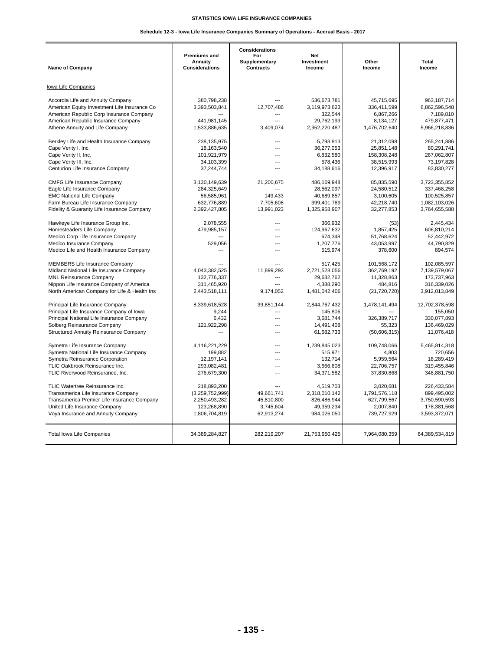## **STATISTICS IOWA LIFE INSURANCE COMPANIES**

## **Schedule 12-3 - Iowa Life Insurance Companies Summary of Operations - Accrual Basis - 2017**

| <b>Name of Company</b>                        | <b>Premiums and</b><br><b>Annuity</b><br><b>Considerations</b> | <b>Considerations</b><br>For<br>Supplementary<br><b>Contracts</b> | <b>Net</b><br>Investment<br>Income | Other<br>Income | Total<br>Income |
|-----------------------------------------------|----------------------------------------------------------------|-------------------------------------------------------------------|------------------------------------|-----------------|-----------------|
| Iowa Life Companies                           |                                                                |                                                                   |                                    |                 |                 |
| Accordia Life and Annuity Company             | 380.798.238                                                    | ---                                                               | 536,673,781                        | 45,715,695      | 963,187,714     |
| American Equity Investment Life Insurance Co  | 3,393,503,841                                                  | 12,707,486                                                        | 3,119,973,623                      | 336,411,599     | 6,862,596,548   |
| American Republic Corp Insurance Company      |                                                                |                                                                   | 322,544                            | 6,867,266       | 7,189,810       |
| American Republic Insurance Company           | 441,981,145                                                    | $\sim$                                                            | 29,762,199                         | 8,134,127       | 479,877,471     |
| Athene Annuity and Life Company               | 1,533,886,635                                                  | 3,409,074                                                         | 2,952,220,487                      | 1,476,702,640   | 5,966,218,836   |
| Berkley Life and Health Insurance Company     | 238.135.975                                                    | $\overline{a}$                                                    | 5.793.813                          | 21.312.098      | 265.241.886     |
| Cape Verity I, Inc.                           | 18,163,540                                                     | $---$                                                             | 36,277,053                         | 25,851,148      | 80,291,741      |
| Cape Verity II, Inc.                          | 101,921,979                                                    | ---                                                               | 6,832,580                          | 158,308,248     | 267,062,807     |
| Cape Verity III, Inc.                         | 34,103,399                                                     | $---$                                                             | 578,436                            | 38,515,993      | 73,197,828      |
| Centurion Life Insurance Company              | 37,244,744                                                     | $\overline{a}$                                                    | 34,188,616                         | 12,396,917      | 83,830,277      |
| <b>CMFG Life Insurance Company</b>            | 3,130,149,639                                                  | 21,200,675                                                        | 486,169,948                        | 85,835,590      | 3,723,355,852   |
| Eagle Life Insurance Company                  | 284,325,649                                                    |                                                                   | 28,562,097                         | 24,580,512      | 337,468,258     |
| <b>EMC National Life Company</b>              | 56,585,961                                                     | 149,433                                                           | 40,689,857                         | 3,100,605       | 100,525,857     |
| Farm Bureau Life Insurance Company            | 632,776,889                                                    | 7,705,608                                                         | 399,401,789                        | 42,218,740      | 1,082,103,026   |
| Fidelity & Guaranty Life Insurance Company    | 2,392,427,805                                                  | 13,991,023                                                        | 1,325,958,907                      | 32,277,853      | 3,764,655,588   |
| Hawkeye Life Insurance Group Inc.             | 2,078,555                                                      | $---$                                                             | 366,932                            | (53)            | 2,445,434       |
| Homesteaders Life Company                     | 479,985,157                                                    | $---$                                                             | 124,967,632                        | 1,857,425       | 606,810,214     |
| Medico Corp Life Insurance Company            | ---                                                            | $\overline{a}$                                                    | 674,348                            | 51,768,624      | 52,442,972      |
| Medico Insurance Company                      | 529,056                                                        | $---$                                                             | 1,207,776                          | 43,053,997      | 44,790,829      |
| Medico Life and Health Insurance Company      | ---                                                            | $\sim$                                                            | 515,974                            | 378,600         | 894,574         |
| <b>MEMBERS Life Insurance Company</b>         |                                                                | ---                                                               | 517,425                            | 101,568,172     | 102,085,597     |
| Midland National Life Insurance Company       | 4.043.382.525                                                  | 11.899.293                                                        | 2.721.528.056                      | 362.769.192     | 7.139.579.067   |
| <b>MNL Reinsurance Company</b>                | 132.776.337                                                    | $\overline{a}$                                                    | 29.632.762                         | 11.328.863      | 173,737,963     |
| Nippon Life Insurance Company of America      | 311,465,920                                                    | ---                                                               | 4,388,290                          | 484,816         | 316,339,026     |
| North American Company for Life & Health Ins  | 2,443,518,111                                                  | 9,174,052                                                         | 1,481,042,406                      | (21, 720, 720)  | 3,912,013,849   |
| Principal Life Insurance Company              | 8,339,618,528                                                  | 39,851,144                                                        | 2,844,767,432                      | 1,478,141,494   | 12,702,378,598  |
| Principal Life Insurance Company of Iowa      | 9,244                                                          |                                                                   | 145,806                            |                 | 155,050         |
| Principal National Life Insurance Company     | 6,432                                                          | $---$                                                             | 3,681,744                          | 326,389,717     | 330,077,893     |
| Solberg Reinsurance Company                   | 121,922,298                                                    | $---$                                                             | 14,491,408                         | 55,323          | 136,469,029     |
| <b>Structured Annuity Reinsurance Company</b> | $\overline{a}$                                                 | $\overline{a}$                                                    | 61,682,733                         | (50,606,315)    | 11,076,418      |
| Symetra Life Insurance Company                | 4,116,221,229                                                  | $\overline{a}$                                                    | 1,239,845,023                      | 109.748.066     | 5.465.814.318   |
| Symetra National Life Insurance Company       | 199,882                                                        | $---$                                                             | 515,971                            | 4,803           | 720,656         |
| Symetra Reinsurance Corporation               | 12,197,141                                                     | $---$                                                             | 132.714                            | 5.959.564       | 18.289.419      |
| TLIC Oakbrook Reinsurance Inc.                | 293,082,481                                                    | ---                                                               | 3,666,608                          | 22,706,757      | 319,455,846     |
| TLIC Riverwood Reinsurance, Inc.              | 276,679,300                                                    | $\overline{a}$                                                    | 34,371,582                         | 37,830,868      | 348,881,750     |
| TLIC Watertree Reinsurance Inc.               | 218,893,200                                                    | $---$                                                             | 4,519,703                          | 3,020,681       | 226,433,584     |
| Transamerica Life Insurance Company           | (3,259,752,999)                                                | 49,661,741                                                        | 2,318,010,142                      | 1,791,576,118   | 899,495,002     |
| Transamerica Premier Life Insurance Company   | 2,250,493,282                                                  | 45.810.800                                                        | 826,486,944                        | 627,799,567     | 3,750,590,593   |
| United Life Insurance Company                 | 123,268,890                                                    | 3,745,604                                                         | 49,359,234                         | 2,007,840       | 178,381,568     |
| Voya Insurance and Annuity Company            | 1,806,704,819                                                  | 62,913,274                                                        | 984,026,050                        | 739,727,929     | 3,593,372,071   |
| Total Iowa Life Companies                     | 34,389,284,827                                                 | 282,219,207                                                       | 21,753,950,425                     | 7,964,080,359   | 64,389,534,819  |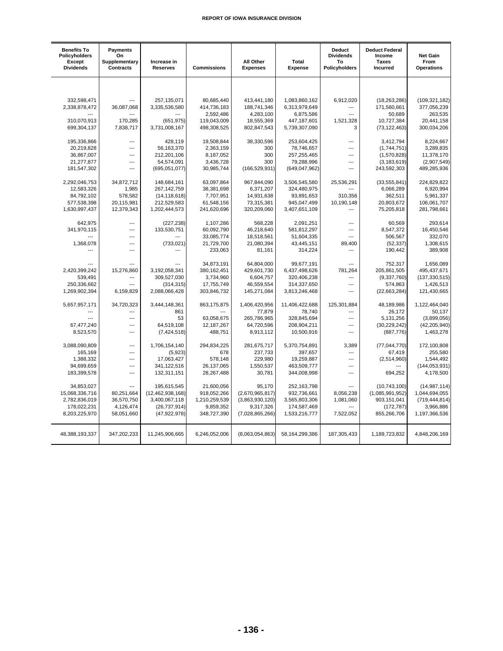| <b>Benefits To</b><br>Policyholders<br>Except<br><b>Dividends</b> | Payments<br>On<br>Supplementary<br><b>Contracts</b> | Increase in<br><b>Reserves</b> | <b>Commissions</b> | All Other<br><b>Expenses</b> | Total<br><b>Expense</b> | <b>Deduct</b><br><b>Dividends</b><br>To<br>Policyholders | <b>Deduct Federal</b><br>Income<br>Taxes<br>Incurred | <b>Net Gain</b><br>From<br><b>Operations</b> |
|-------------------------------------------------------------------|-----------------------------------------------------|--------------------------------|--------------------|------------------------------|-------------------------|----------------------------------------------------------|------------------------------------------------------|----------------------------------------------|
|                                                                   |                                                     |                                |                    |                              |                         |                                                          |                                                      |                                              |
| 332,598,471                                                       | ---                                                 | 257,135,071                    | 80,685,440         | 413,441,180                  | 1,083,860,162           | 6,912,020                                                | (18, 263, 286)                                       | (109, 321, 182)                              |
| 2,338,878,472                                                     | 36,087,068                                          | 3,335,536,580                  | 414,736,183        | 188,741,346                  | 6,313,979,649           | ---                                                      | 171,560,661                                          | 377,056,239                                  |
|                                                                   |                                                     |                                | 2,592,486          | 4,283,100                    | 6,875,586               | $\sim$                                                   | 50,689                                               | 263,535                                      |
| 310,070,913                                                       | 170,285                                             | (651, 975)                     | 119,043,009        | 18,555,369                   | 447,187,601             | 1,521,328                                                | 10,727,384                                           | 20,441,158                                   |
| 699,304,137                                                       | 7,838,717                                           | 3,731,008,167                  | 498,308,525        | 802,847,543                  | 5,739,307,090           | 3                                                        | (73, 122, 463)                                       | 300,034,206                                  |
| 195,336,866                                                       | ---                                                 | 428,119                        | 19,508,844         | 38,330,596                   | 253,604,425             | ---                                                      | 3,412,794                                            | 8,224,667                                    |
| 20,219,828                                                        | ---                                                 | 56,163,370                     | 2,363,159          | 300                          | 78,746,657              | $\overline{a}$                                           | (1,744,751)                                          | 3,289,835                                    |
| 36,867,007                                                        | ---                                                 | 212,201,106                    | 8,187,052          | 300                          | 257,255,465             | $\overline{a}$                                           | (1,570,828)                                          | 11,378,170                                   |
| 21,277,877                                                        | ---                                                 | 54,574,091                     | 3,436,728          | 300                          | 79,288,996              | $\overline{a}$                                           | (3, 183, 619)                                        | (2,907,549)                                  |
| 181,547,302                                                       | $\overline{a}$                                      | (695, 051, 077)                | 30,985,744         | (166, 529, 931)              | (649, 047, 962)         | $\overline{a}$                                           | 243,592,303                                          | 489,285,936                                  |
| 2,292,046,753                                                     | 34,872,712                                          | 148,684,161                    | 63,097,864         | 967,844,090                  | 3,506,545,580           | 25,536,291                                               | (33, 555, 841)                                       | 224,829,822                                  |
| 12,583,326                                                        | 1,985                                               | 267, 142, 759                  | 38,381,698         | 6,371,207                    | 324,480,975             |                                                          | 6,066,289                                            | 6,920,994                                    |
| 84,792,102                                                        | 578,582                                             | (14, 118, 618)                 | 7,707,951          | 14,931,638                   | 93,891,653              | 310,356                                                  | 362,511                                              | 5,961,337                                    |
| 577,538,398                                                       | 20,115,981                                          | 212,529,583                    | 61,548,156         | 73,315,381                   | 945,047,499             | 10,190,148                                               | 20,803,672                                           | 106,061,707                                  |
| 1,630,997,437                                                     | 12,379,343                                          | 1,202,444,573                  | 241,620,696        | 320,209,060                  | 3,407,651,109           | ---                                                      | 75,205,818                                           | 281,798,661                                  |
| 642.975                                                           | ---                                                 | (227, 238)                     | 1,107,286          | 568,228                      | 2,091,251               | ---                                                      | 60.569                                               | 293.614                                      |
| 341,970,115                                                       | ---                                                 | 133,530,751                    | 60,092,790         | 46,218,640                   | 581,812,297             | ---                                                      | 8,547,372                                            | 16,450,546                                   |
|                                                                   | ---                                                 |                                | 33,085,774         | 18,518,561                   | 51,604,335              | $\overline{a}$                                           | 506,567                                              | 332,070                                      |
| 1,368,078                                                         | ---                                                 | (733, 021)                     | 21,729,700         | 21,080,394                   | 43,445,151              | 89,400                                                   | (52, 337)                                            | 1,308,615                                    |
|                                                                   | $\overline{a}$                                      |                                | 233,063            | 81,161                       | 314,224                 | $\overline{a}$                                           | 190,442                                              | 389,908                                      |
|                                                                   |                                                     |                                | 34,873,191         | 64,804,000                   | 99,677,191              | ---                                                      | 752,317                                              | 1,656,089                                    |
| 2,420,399,242                                                     | 15,276,860                                          | 3,192,058,341                  | 380,162,451        | 429,601,730                  | 6,437,498,626           | 781,264                                                  | 205,861,505                                          | 495,437,671                                  |
| 539,491                                                           | ---                                                 | 309,527,030                    | 3,734,960          | 6,604,757                    | 320,406,238             | $\overline{a}$                                           | (9,337,760)                                          | (137, 330, 515)                              |
| 250,336,662                                                       | ---                                                 | (314, 315)                     | 17,755,749         | 46,559,554                   | 314,337,650             | $---$                                                    | 574,863                                              | 1,426,513                                    |
| 1,269,902,394                                                     | 6,159,829                                           | 2,088,066,428                  | 303,846,732        | 145,271,084                  | 3,813,246,468           | $\overline{a}$                                           | (22,663,284)                                         | 121,430,665                                  |
| 5,657,957,171                                                     | 34,720,323                                          | 3,444,148,361                  | 863,175,875        | 1,406,420,956                | 11,406,422,688          | 125,301,884                                              | 48,189,986                                           | 1,122,464,040                                |
|                                                                   | ---                                                 | 861                            |                    | 77,879                       | 78,740                  | $---$                                                    | 26,172                                               | 50,137                                       |
|                                                                   | ---                                                 | 53                             | 63,058,675         | 265,786,965                  | 328,845,694             | ---                                                      | 5,131,256                                            | (3,899,056)                                  |
| 67,477,240                                                        | ---                                                 | 64,519,108                     | 12,187,267         | 64,720,596                   | 208,904,211             | ---                                                      | (30, 229, 242)                                       | (42, 205, 940)                               |
| 8,523,570                                                         | ---                                                 | (7, 424, 518)                  | 488,751            | 8,913,112                    | 10,500,916              | $\overline{a}$                                           | (887, 776)                                           | 1,463,278                                    |
| 3,088,090,809                                                     | ---                                                 | 1,706,154,140                  | 294,834,225        | 281,675,717                  | 5,370,754,891           | 3,389                                                    | (77, 044, 770)                                       | 172,100,808                                  |
| 165,169                                                           | ---                                                 | (5,923)                        | 678                | 237,733                      | 397,657                 | ---                                                      | 67,419                                               | 255,580                                      |
| 1,388,332                                                         | ---                                                 | 17,063,427                     | 578,148            | 229,980                      | 19,259,887              | ---                                                      | (2,514,960)                                          | 1,544,492                                    |
| 94,699,659                                                        | $\overline{a}$                                      | 341,122,516                    | 26,137,065         | 1,550,537                    | 463,509,777             | ---                                                      |                                                      | (144, 053, 931)                              |
| 183,399,578                                                       | $\overline{a}$                                      | 132,311,151                    | 28,267,488         | 30,781                       | 344,008,998             | $\overline{a}$                                           | 694,252                                              | 4,178,500                                    |
| 34,853,027                                                        | ---                                                 | 195,615,545                    | 21,600,056         | 95,170                       | 252, 163, 798           |                                                          | (10, 743, 100)                                       | (14, 987, 114)                               |
| 15,068,336,716                                                    | 80,251,664                                          | (12, 462, 938, 168)            | 918,052,266        | (2,670,965,817)              | 932,736,661             | 8,056,238                                                | (1,085,991,952)                                      | 1,044,694,055                                |
| 2,782,836,019                                                     | 36,570,750                                          | 3,400,067,118                  | 1,210,259,539      | (3,863,930,120)              | 3,565,803,306           | 1,081,060                                                | 903,151,041                                          | (719, 444, 814)                              |
| 178,022,231                                                       | 4,126,474                                           | (26, 737, 914)                 | 9,859,352          | 9,317,326                    | 174,587,469             |                                                          | (172, 787)                                           | 3,966,886                                    |
| 8,203,225,970                                                     | 58,051,660                                          | (47, 922, 978)                 | 348,727,390        | (7,028,865,266)              | 1,533,216,777           | 7,522,052                                                | 855,266,706                                          | 1,197,366,536                                |
| 48,388,193,337                                                    | 347,202,233                                         | 11,245,906,665                 | 6,246,052,006      | (8,063,054,863)              | 58, 164, 299, 386       | 187,305,433                                              | 1,189,723,832                                        | 4,848,206,169                                |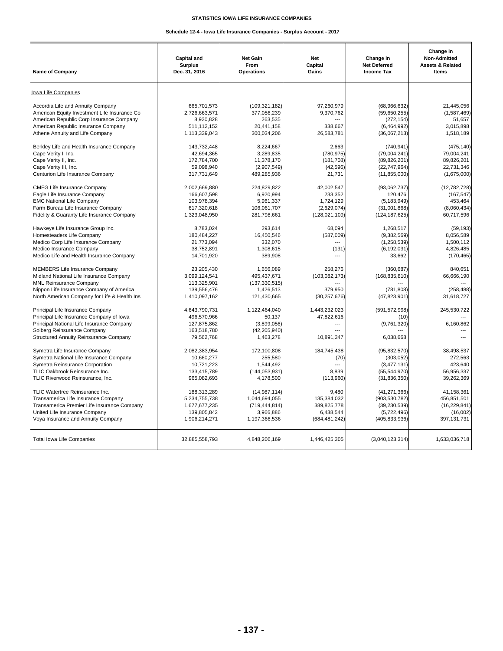## **Schedule 12-4 - Iowa Life Insurance Companies - Surplus Account - 2017**

| Iowa Life Companies<br>Accordia Life and Annuity Company<br>American Equity Investment Life Insurance Co<br>American Republic Corp Insurance Company<br>American Republic Insurance Company<br>Athene Annuity and Life Company<br>Berkley Life and Health Insurance Company<br>Cape Verity I, Inc.<br>Cape Verity II, Inc.<br>Cape Verity III, Inc.<br>Centurion Life Insurance Company | 665,701,573<br>2,726,663,571<br>8,920,828<br>511,112,152<br>1,113,339,043<br>143,732,448<br>42,694,365<br>172,784,700<br>59,098,940<br>317,731,649<br>2,002,669,880<br>166,607,598<br>103,978,394 | (109, 321, 182)<br>377,056,239<br>263,535<br>20,441,158<br>300,034,206<br>8,224,667<br>3,289,835<br>11,378,170<br>(2,907,549)<br>489,285,936<br>224,829,822 | 97,260,979<br>9,370,762<br>338.667<br>26,583,781<br>2,663<br>(780, 975)<br>(181, 708)<br>(42, 596)<br>21,731 | (68,966,632)<br>(59,650,255)<br>(272, 154)<br>(6,464,992)<br>(36,067,213)<br>(740, 941)<br>(79,004,241)<br>(89, 826, 201)<br>(22, 747, 964) | 21,445,056<br>(1,587,469)<br>51,657<br>3,015,898<br>1,518,189<br>(475, 140)<br>79,004,241<br>89,826,201 |
|-----------------------------------------------------------------------------------------------------------------------------------------------------------------------------------------------------------------------------------------------------------------------------------------------------------------------------------------------------------------------------------------|---------------------------------------------------------------------------------------------------------------------------------------------------------------------------------------------------|-------------------------------------------------------------------------------------------------------------------------------------------------------------|--------------------------------------------------------------------------------------------------------------|---------------------------------------------------------------------------------------------------------------------------------------------|---------------------------------------------------------------------------------------------------------|
|                                                                                                                                                                                                                                                                                                                                                                                         |                                                                                                                                                                                                   |                                                                                                                                                             |                                                                                                              |                                                                                                                                             |                                                                                                         |
|                                                                                                                                                                                                                                                                                                                                                                                         |                                                                                                                                                                                                   |                                                                                                                                                             |                                                                                                              |                                                                                                                                             |                                                                                                         |
|                                                                                                                                                                                                                                                                                                                                                                                         |                                                                                                                                                                                                   |                                                                                                                                                             |                                                                                                              |                                                                                                                                             |                                                                                                         |
|                                                                                                                                                                                                                                                                                                                                                                                         |                                                                                                                                                                                                   |                                                                                                                                                             |                                                                                                              |                                                                                                                                             |                                                                                                         |
|                                                                                                                                                                                                                                                                                                                                                                                         |                                                                                                                                                                                                   |                                                                                                                                                             |                                                                                                              |                                                                                                                                             |                                                                                                         |
|                                                                                                                                                                                                                                                                                                                                                                                         |                                                                                                                                                                                                   |                                                                                                                                                             |                                                                                                              |                                                                                                                                             |                                                                                                         |
|                                                                                                                                                                                                                                                                                                                                                                                         |                                                                                                                                                                                                   |                                                                                                                                                             |                                                                                                              |                                                                                                                                             |                                                                                                         |
|                                                                                                                                                                                                                                                                                                                                                                                         |                                                                                                                                                                                                   |                                                                                                                                                             |                                                                                                              |                                                                                                                                             |                                                                                                         |
|                                                                                                                                                                                                                                                                                                                                                                                         |                                                                                                                                                                                                   |                                                                                                                                                             |                                                                                                              |                                                                                                                                             | 22,731,346                                                                                              |
|                                                                                                                                                                                                                                                                                                                                                                                         |                                                                                                                                                                                                   |                                                                                                                                                             |                                                                                                              | (11, 855, 000)                                                                                                                              | (1,675,000)                                                                                             |
| CMFG Life Insurance Company                                                                                                                                                                                                                                                                                                                                                             |                                                                                                                                                                                                   |                                                                                                                                                             | 42,002,547                                                                                                   | (93,062,737)                                                                                                                                | (12, 782, 728)                                                                                          |
| Eagle Life Insurance Company                                                                                                                                                                                                                                                                                                                                                            |                                                                                                                                                                                                   | 6,920,994                                                                                                                                                   | 233,352                                                                                                      | 120,476                                                                                                                                     | (167, 547)                                                                                              |
| <b>EMC National Life Company</b>                                                                                                                                                                                                                                                                                                                                                        |                                                                                                                                                                                                   | 5,961,337                                                                                                                                                   | 1,724,129                                                                                                    | (5, 183, 949)                                                                                                                               | 453,464                                                                                                 |
| Farm Bureau Life Insurance Company                                                                                                                                                                                                                                                                                                                                                      | 617,320,618                                                                                                                                                                                       | 106,061,707                                                                                                                                                 | (2,629,074)                                                                                                  | (31,001,868)                                                                                                                                | (8,060,434)                                                                                             |
| Fidelity & Guaranty Life Insurance Company                                                                                                                                                                                                                                                                                                                                              | 1,323,048,950                                                                                                                                                                                     | 281,798,661                                                                                                                                                 | (128, 021, 109)                                                                                              | (124, 187, 625)                                                                                                                             | 60,717,596                                                                                              |
| Hawkeye Life Insurance Group Inc.                                                                                                                                                                                                                                                                                                                                                       | 8,783,024                                                                                                                                                                                         | 293,614                                                                                                                                                     | 68,094                                                                                                       | 1,268,517                                                                                                                                   | (59, 193)                                                                                               |
| Homesteaders Life Company                                                                                                                                                                                                                                                                                                                                                               | 180,484,227                                                                                                                                                                                       | 16,450,546                                                                                                                                                  | (587,009)                                                                                                    | (9,382,569)                                                                                                                                 | 8,056,589                                                                                               |
| Medico Corp Life Insurance Company                                                                                                                                                                                                                                                                                                                                                      | 21,773,094<br>38,752,891                                                                                                                                                                          | 332,070<br>1,308,615                                                                                                                                        | $\sim$                                                                                                       | (1,258,539)                                                                                                                                 | 1,500,112<br>4,826,485                                                                                  |
| Medico Insurance Company<br>Medico Life and Health Insurance Company                                                                                                                                                                                                                                                                                                                    | 14,701,920                                                                                                                                                                                        | 389,908                                                                                                                                                     | (131)<br>---                                                                                                 | (6, 192, 031)<br>33,662                                                                                                                     | (170, 465)                                                                                              |
|                                                                                                                                                                                                                                                                                                                                                                                         |                                                                                                                                                                                                   |                                                                                                                                                             |                                                                                                              |                                                                                                                                             |                                                                                                         |
| <b>MEMBERS Life Insurance Company</b>                                                                                                                                                                                                                                                                                                                                                   | 23,205,430                                                                                                                                                                                        | 1,656,089                                                                                                                                                   | 258,276                                                                                                      | (360, 687)                                                                                                                                  | 840,651                                                                                                 |
| Midland National Life Insurance Company                                                                                                                                                                                                                                                                                                                                                 | 3,099,124,541                                                                                                                                                                                     | 495,437,671                                                                                                                                                 | (103, 082, 173)                                                                                              | (168, 835, 810)                                                                                                                             | 66,666,190                                                                                              |
| <b>MNL Reinsurance Company</b>                                                                                                                                                                                                                                                                                                                                                          | 113,325,901                                                                                                                                                                                       | (137, 330, 515)                                                                                                                                             |                                                                                                              |                                                                                                                                             |                                                                                                         |
| Nippon Life Insurance Company of America                                                                                                                                                                                                                                                                                                                                                | 139,556,476                                                                                                                                                                                       | 1,426,513                                                                                                                                                   | 379,950                                                                                                      | (781, 808)                                                                                                                                  | (258, 488)                                                                                              |
| North American Company for Life & Health Ins                                                                                                                                                                                                                                                                                                                                            | 1,410,097,162                                                                                                                                                                                     | 121,430,665                                                                                                                                                 | (30, 257, 676)                                                                                               | (47, 823, 901)                                                                                                                              | 31,618,727                                                                                              |
| Principal Life Insurance Company                                                                                                                                                                                                                                                                                                                                                        | 4,643,790,731                                                                                                                                                                                     | 1,122,464,040                                                                                                                                               | 1,443,232,023                                                                                                | (591, 572, 998)                                                                                                                             | 245,530,722                                                                                             |
| Principal Life Insurance Company of Iowa                                                                                                                                                                                                                                                                                                                                                | 496,570,966                                                                                                                                                                                       | 50,137                                                                                                                                                      | 47,822,616<br>$\sim$                                                                                         | (10)                                                                                                                                        |                                                                                                         |
| Principal National Life Insurance Company<br>Solberg Reinsurance Company                                                                                                                                                                                                                                                                                                                | 127,875,862<br>163,518,780                                                                                                                                                                        | (3,899,056)<br>(42, 205, 940)                                                                                                                               | $\overline{a}$                                                                                               | (9,761,320)                                                                                                                                 | 6,160,862                                                                                               |
| Structured Annuity Reinsurance Company                                                                                                                                                                                                                                                                                                                                                  | 79,562,768                                                                                                                                                                                        | 1,463,278                                                                                                                                                   | 10,891,347                                                                                                   | 6,038,668                                                                                                                                   | ---                                                                                                     |
|                                                                                                                                                                                                                                                                                                                                                                                         | 2,082,383,954                                                                                                                                                                                     | 172,100,808                                                                                                                                                 | 184,745,438                                                                                                  | (95,832,570)                                                                                                                                | 38,498,537                                                                                              |
| Symetra Life Insurance Company<br>Symetra National Life Insurance Company                                                                                                                                                                                                                                                                                                               | 10,660,277                                                                                                                                                                                        | 255,580                                                                                                                                                     | (70)                                                                                                         | (303, 052)                                                                                                                                  | 272,563                                                                                                 |
| Symetra Reinsurance Corporation                                                                                                                                                                                                                                                                                                                                                         | 10,721,223                                                                                                                                                                                        | 1,544,492                                                                                                                                                   | $\overline{a}$                                                                                               | (3,477,131)                                                                                                                                 | 423,640                                                                                                 |
| TLIC Oakbrook Reinsurance Inc.                                                                                                                                                                                                                                                                                                                                                          | 133,415,789                                                                                                                                                                                       | (144, 053, 931)                                                                                                                                             | 8,839                                                                                                        | (55,544,970)                                                                                                                                | 56,956,337                                                                                              |
| TLIC Riverwood Reinsurance, Inc.                                                                                                                                                                                                                                                                                                                                                        | 965,082,693                                                                                                                                                                                       | 4,178,500                                                                                                                                                   | (113,960)                                                                                                    | (31, 836, 350)                                                                                                                              | 39,262,369                                                                                              |
| TLIC Watertree Reinsurance Inc.                                                                                                                                                                                                                                                                                                                                                         | 188,313,289                                                                                                                                                                                       | (14, 987, 114)                                                                                                                                              | 9,480                                                                                                        | (41, 271, 366)                                                                                                                              | 41,158,361                                                                                              |
| Transamerica Life Insurance Company                                                                                                                                                                                                                                                                                                                                                     | 5,234,755,738                                                                                                                                                                                     | 1,044,694,055                                                                                                                                               | 135,384,032                                                                                                  | (903, 530, 782)                                                                                                                             | 456,851,501                                                                                             |
| Transamerica Premier Life Insurance Company                                                                                                                                                                                                                                                                                                                                             | 1,677,677,235                                                                                                                                                                                     | (719, 444, 814)                                                                                                                                             | 389,825,778                                                                                                  | (39, 230, 539)                                                                                                                              | (16, 229, 841)                                                                                          |
| United Life Insurance Company                                                                                                                                                                                                                                                                                                                                                           | 139,805,842                                                                                                                                                                                       | 3,966,886                                                                                                                                                   | 6,438,544                                                                                                    | (5,722,496)                                                                                                                                 | (16,002)                                                                                                |
| Voya Insurance and Annuity Company                                                                                                                                                                                                                                                                                                                                                      | 1,906,214,271                                                                                                                                                                                     | 1,197,366,536                                                                                                                                               | (684, 481, 242)                                                                                              | (405, 833, 936)                                                                                                                             | 397,131,731                                                                                             |
| <b>Total Iowa Life Companies</b>                                                                                                                                                                                                                                                                                                                                                        | 32,885,558,793                                                                                                                                                                                    | 4,848,206,169                                                                                                                                               | 1,446,425,305                                                                                                | (3,040,123,314)                                                                                                                             | 1,633,036,718                                                                                           |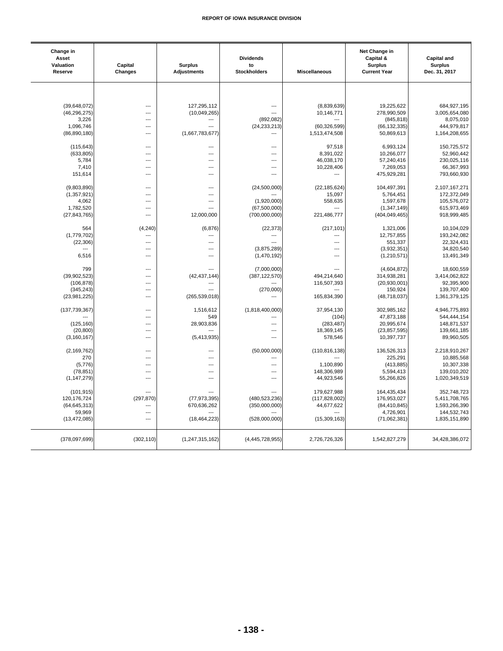| Change in<br>Asset<br>Valuation<br>Reserve | Capital<br>Changes               | <b>Surplus</b><br><b>Adjustments</b> | <b>Dividends</b><br>to<br><b>Stockholders</b> | <b>Miscellaneous</b> | Net Change in<br>Capital &<br><b>Surplus</b><br><b>Current Year</b> | <b>Capital and</b><br><b>Surplus</b><br>Dec. 31, 2017 |
|--------------------------------------------|----------------------------------|--------------------------------------|-----------------------------------------------|----------------------|---------------------------------------------------------------------|-------------------------------------------------------|
|                                            |                                  |                                      |                                               |                      |                                                                     |                                                       |
| (39,648,072)                               | $\overline{a}$                   | 127,295,112                          | $\overline{a}$                                | (8,839,639)          | 19,225,622                                                          | 684,927,195                                           |
| (46, 296, 275)                             | $\overline{\phantom{a}}$         | (10,049,265)                         | $\overline{a}$                                | 10,146,771           | 278,990,509                                                         | 3,005,654,080                                         |
| 3,226                                      | $\overline{a}$                   | ---                                  | (892, 082)                                    |                      | (845, 818)                                                          | 8,075,010                                             |
| 1,096,746                                  | $\overline{a}$                   | ---                                  | (24, 233, 213)                                | (60, 326, 599)       | (66, 132, 335)                                                      | 444,979,817                                           |
| (86, 890, 180)                             | $\overline{a}$                   | (1,667,783,677)                      | ---                                           | 1,513,474,508        | 50,869,613                                                          | 1,164,208,655                                         |
| (115, 643)                                 | ---                              | ---                                  | ---                                           | 97,518               | 6,993,124                                                           | 150,725,572                                           |
| (633, 805)                                 | $\overline{a}$                   | ---                                  | $\overline{\phantom{a}}$                      | 8,391,022            | 10,266,077                                                          | 52,960,442                                            |
| 5,784                                      | $\overline{a}$                   | ---                                  | $---$                                         | 46,038,170           | 57,240,416                                                          | 230,025,116                                           |
| 7,410                                      | $\overline{\phantom{a}}$         | ---                                  | ---                                           | 10,228,406           | 7,269,053                                                           | 66,367,993                                            |
| 151,614                                    | $\overline{a}$                   | ---                                  | ---                                           | ---                  | 475,929,281                                                         | 793,660,930                                           |
| (9,803,890)                                | $\overline{a}$                   | ---                                  | (24,500,000)                                  | (22, 185, 624)       | 104,497,391                                                         | 2,107,167,271                                         |
| (1, 357, 921)                              | $\overline{a}$                   | ---                                  |                                               | 15,097               | 5,764,451                                                           | 172,372,049                                           |
| 4,062                                      | ---                              | ---                                  | (1,920,000)                                   | 558,635              | 1,597,678                                                           | 105,576,072                                           |
| 1,782,520                                  | ---<br>---                       |                                      | (67,500,000)<br>(700,000,000)                 |                      | (1, 347, 149)                                                       | 615,973,469<br>918,999,485                            |
| (27, 843, 765)                             |                                  | 12,000,000                           |                                               | 221,486,777          | (404, 049, 465)                                                     |                                                       |
| 564                                        | (4, 240)                         | (6, 876)                             | (22, 373)                                     | (217, 101)           | 1,321,006                                                           | 10,104,029                                            |
| (1,779,702)                                | $\overline{a}$                   | ---                                  | $\overline{a}$                                | ---                  | 12,757,855                                                          | 193,242,082                                           |
| (22, 306)                                  | ---                              | ---                                  | $\sim$                                        |                      | 551,337                                                             | 22,324,431                                            |
| ---                                        | $\overline{a}$                   | ---                                  | (3,875,289)                                   | ---                  | (3,932,351)                                                         | 34,820,540                                            |
| 6,516                                      | $\overline{a}$                   | ---                                  | (1,470,192)                                   | $\overline{a}$       | (1, 210, 571)                                                       | 13,491,349                                            |
| 799                                        | $\overline{a}$                   |                                      | (7,000,000)                                   | ---                  | (4,604,872)                                                         | 18,600,559                                            |
| (39,902,523)                               | $\overline{a}$                   | (42, 437, 144)                       | (387, 122, 570)                               | 494,214,640          | 314,938,281                                                         | 3,414,062,822                                         |
| (106, 878)                                 | ---                              |                                      |                                               | 116,507,393          | (20, 930, 001)                                                      | 92,395,900                                            |
| (345, 243)                                 | $\overline{a}$                   |                                      | (270,000)                                     |                      | 150,924                                                             | 139,707,400                                           |
| (23,981,225)                               | $\overline{a}$                   | (265, 539, 018)                      | $\overline{a}$                                | 165,834,390          | (48, 718, 037)                                                      | 1,361,379,125                                         |
| (137, 739, 367)                            | $\overline{a}$                   | 1,516,612                            | (1,818,400,000)                               | 37,954,130           | 302,985,162                                                         | 4,946,775,893                                         |
|                                            | $\overline{\phantom{a}}$         | 549                                  | ---                                           | (104)                | 47,873,188                                                          | 544,444,154                                           |
| (125, 160)                                 | $\overline{a}$                   | 28,903,836                           | $\overline{a}$                                | (283, 487)           | 20,995,674                                                          | 148,871,537                                           |
| (20, 800)                                  | $\overline{a}$<br>$\overline{a}$ |                                      | ---<br>$\overline{a}$                         | 18,369,145           | (23, 857, 595)                                                      | 139,661,185                                           |
| (3, 160, 167)                              |                                  | (5,413,935)                          |                                               | 578,546              | 10,397,737                                                          | 89,960,505                                            |
| (2, 169, 762)                              | $\overline{a}$                   | ---                                  | (50,000,000)                                  | (110, 816, 138)      | 136,526,313                                                         | 2,218,910,267                                         |
| 270                                        | $\overline{a}$                   | ---                                  | ---                                           |                      | 225,291                                                             | 10,885,568                                            |
| (5,776)                                    | $\overline{a}$                   | ---                                  | $\overline{a}$                                | 1,100,890            | (413, 885)                                                          | 10,307,338                                            |
| (78, 851)                                  | $\overline{a}$                   | ---                                  | ---                                           | 148,306,989          | 5,594,413                                                           | 139,010,202                                           |
| (1, 147, 279)                              | $\overline{a}$                   | ---                                  | $\overline{a}$                                | 44,923,546           | 55,266,826                                                          | 1,020,349,519                                         |
| (101, 915)                                 | $\overline{a}$                   | ---                                  | $\overline{a}$                                | 179,627,988          | 164,435,434                                                         | 352,748,723                                           |
| 120, 176, 724                              | (297, 870)                       | (77, 973, 395)                       | (480,523,236)                                 | (117, 828, 002)      | 176,953,027                                                         | 5,411,708,765                                         |
| (64, 645, 313)                             | $\overline{a}$                   | 670,636,262                          | (350,000,000)                                 | 44,677,622           | (84, 410, 845)                                                      | 1,593,266,390                                         |
| 59,969                                     | $\overline{a}$                   |                                      |                                               |                      | 4,726,901                                                           | 144,532,743                                           |
| (13, 472, 085)                             | $\overline{\phantom{a}}$         | (18, 464, 223)                       | (528,000,000)                                 | (15,309,163)         | (71,062,381)                                                        | 1,835,151,890                                         |
| (378,097,699)                              | (302, 110)                       | (1, 247, 315, 162)                   | (4, 445, 728, 955)                            | 2,726,726,326        | 1,542,827,279                                                       | 34,428,386,072                                        |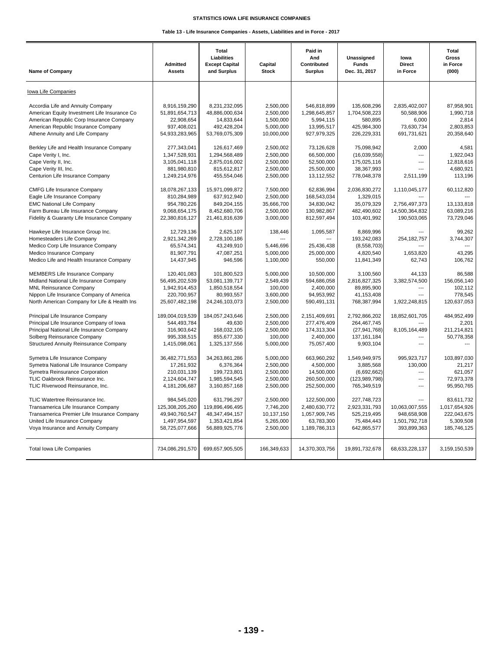| <b>Name of Company</b>                                                                                                                                                                                         | <b>Admitted</b><br><b>Assets</b>                                                    | Total<br>Liabilities<br><b>Except Capital</b><br>and Surplus                           | Capital<br><b>Stock</b>                                        | Paid in<br>And<br>Contributed<br><b>Surplus</b>                              | Unassigned<br><b>Funds</b><br>Dec. 31, 2017                                    | lowa<br><b>Direct</b><br>in Force                                   | Total<br>Gross<br>in Force<br>(000)                                    |
|----------------------------------------------------------------------------------------------------------------------------------------------------------------------------------------------------------------|-------------------------------------------------------------------------------------|----------------------------------------------------------------------------------------|----------------------------------------------------------------|------------------------------------------------------------------------------|--------------------------------------------------------------------------------|---------------------------------------------------------------------|------------------------------------------------------------------------|
| Iowa Life Companies                                                                                                                                                                                            |                                                                                     |                                                                                        |                                                                |                                                                              |                                                                                |                                                                     |                                                                        |
| Accordia Life and Annuity Company<br>American Equity Investment Life Insurance Co<br>American Republic Corp Insurance Company<br>American Republic Insurance Company<br>Athene Annuity and Life Company        | 8.916.159.290<br>51,891,654,713<br>22,908,654<br>937,408,021<br>54,933,283,965      | 8,231,232,095<br>48,886,000,634<br>14,833,644<br>492,428,204<br>53,769,075,309         | 2.500.000<br>2,500,000<br>1,500,000<br>5,000,000<br>10,000,000 | 546,818,899<br>1,298,645,857<br>5,994,115<br>13,995,517<br>927,979,325       | 135.608.296<br>1,704,508,223<br>580,895<br>425,984,300<br>226,229,331          | 2,835,402,007<br>50,588,906<br>6,000<br>73,630,734<br>691,731,621   | 87.958.901<br>1,990,718<br>2,814<br>2,803,853<br>20,358,640            |
| Berkley Life and Health Insurance Company<br>Cape Verity I, Inc.<br>Cape Verity II, Inc.<br>Cape Verity III, Inc.<br>Centurion Life Insurance Company                                                          | 277,343,041<br>1,347,528,931<br>3,105,041,118<br>881,980,810<br>1,249,214,976       | 126,617,469<br>1,294,568,489<br>2,875,016,002<br>815,612,817<br>455,554,046            | 2,500,002<br>2,500,000<br>2,500,000<br>2,500,000<br>2,500,000  | 73,126,628<br>66,500,000<br>52,500,000<br>25,500,000<br>13,112,552           | 75,098,942<br>(16,039,558)<br>175,025,116<br>38,367,993<br>778,048,378         | 2,000<br>$\overline{a}$<br>$\sim$<br>2.511.199                      | 4,581<br>1,922,043<br>12,818,616<br>4,680,921<br>113.196               |
| <b>CMFG Life Insurance Company</b><br>Eagle Life Insurance Company<br><b>EMC National Life Company</b><br>Farm Bureau Life Insurance Company<br>Fidelity & Guaranty Life Insurance Company                     | 18,078,267,133<br>810,284,989<br>954,780,226<br>9,068,654,175<br>22,380,816,127     | 15,971,099,872<br>637,912,940<br>849,204,155<br>8,452,680,706<br>21,461,816,639        | 7,500,000<br>2,500,000<br>35,666,700<br>2,500,000<br>3,000,000 | 62.836.994<br>168,543,034<br>34,830,042<br>130,982,867<br>812,597,494        | 2,036,830,272<br>1,329,015<br>35,079,329<br>482,490,602<br>103,401,992         | 1,110,045,177<br>2,756,497,373<br>14,500,364,832<br>190,503,065     | 60,112,820<br>13,133,818<br>63.089.216<br>73,729,046                   |
| Hawkeye Life Insurance Group Inc.<br>Homesteaders Life Company<br>Medico Corp Life Insurance Company<br>Medico Insurance Company<br>Medico Life and Health Insurance Company                                   | 12,729,136<br>2,921,342,269<br>65,574,341<br>81,907,791<br>14,437,945               | 2,625,107<br>2.728.100.186<br>43,249,910<br>47,087,251<br>946,596                      | 138,446<br>5,446,696<br>5,000,000<br>1,100,000                 | 1,095,587<br>25,436,438<br>25,000,000<br>550,000                             | 8,869,996<br>193,242,083<br>(8,558,703)<br>4,820,540<br>11,841,349             | 254.182.757<br>1,653,820<br>62,743                                  | 99.262<br>3,744,307<br>43,295<br>106.762                               |
| <b>MEMBERS Life Insurance Company</b><br>Midland National Life Insurance Company<br><b>MNL Reinsurance Company</b><br>Nippon Life Insurance Company of America<br>North American Company for Life & Health Ins | 120,401,083<br>56,495,202,539<br>1,942,914,453<br>220,700,957<br>25,607,482,198     | 101,800,523<br>53,081,139,717<br>1,850,518,554<br>80,993,557<br>24,246,103,073         | 5,000,000<br>2,549,439<br>100,000<br>3,600,000<br>2,500,000    | 10,500,000<br>594,686,058<br>2,400,000<br>94,953,992<br>590,491,131          | 3,100,560<br>2,816,827,325<br>89.895.900<br>41,153,408<br>768,387,994          | 44,133<br>3,382,574,500<br>$\overline{a}$<br>$---$<br>1,922,248,815 | 86,588<br>156,056,140<br>102,112<br>778,545<br>120,637,053             |
| Principal Life Insurance Company<br>Principal Life Insurance Company of Iowa<br>Principal National Life Insurance Company<br>Solberg Reinsurance Company<br><b>Structured Annuity Reinsurance Company</b>      | 189,004,019,539<br>544,493,784<br>316,903,642<br>995,338,515<br>1,415,098,061       | 184,057,243,646<br>49,630<br>168,032,105<br>855,677,330<br>1,325,137,556               | 2,500,000<br>2,500,000<br>2,500,000<br>100,000<br>5,000,000    | 2,151,409,691<br>277,476,409<br>174,313,304<br>2,400,000<br>75,057,400       | 2,792,866,202<br>264, 467, 745<br>(27, 941, 768)<br>137, 161, 184<br>9,903,104 | 18,852,601,705<br>8,105,164,489<br>$\overline{a}$                   | 484,952,499<br>2,201<br>211,214,821<br>50,778,358<br>---               |
| Symetra Life Insurance Company<br>Symetra National Life Insurance Company<br>Symetra Reinsurance Corporation<br>TLIC Oakbrook Reinsurance Inc.<br>TLIC Riverwood Reinsurance, Inc.                             | 36,482,771,553<br>17,261,932<br>210,031,139<br>2,124,604,747<br>4,181,206,687       | 34,263,861,286<br>6,376,364<br>199.723.801<br>1,985,594,545<br>3,160,857,168           | 5,000,000<br>2,500,000<br>2.500.000<br>2,500,000<br>2,500,000  | 663,960,292<br>4,500,000<br>14,500,000<br>260,500,000<br>252,500,000         | 1,549,949,975<br>3,885,568<br>(6,692,662)<br>(123, 989, 798)<br>765,349,519    | 995,923,717<br>130,000<br>$\overline{a}$<br>$\overline{a}$<br>---   | 103,897,030<br>21,217<br>621.057<br>72,973,378<br>95,950,765           |
| TLIC Watertree Reinsurance Inc.<br>Transamerica Life Insurance Company<br>Transamerica Premier Life Insurance Company<br>United Life Insurance Company<br>Voya Insurance and Annuity Company                   | 984.545.020<br>125,308,205,260<br>49,940,760,547<br>1,497,954,597<br>58,725,077,666 | 631.796.297<br>119,896,496,495<br>48, 347, 494, 157<br>1,353,421,854<br>56,889,925,776 | 2.500.000<br>7,746,200<br>10,137,150<br>5,265,000<br>2,500,000 | 122.500.000<br>2,480,630,772<br>1,057,909,745<br>63,783,300<br>1,189,786,313 | 227,748,723<br>2,923,331,793<br>525,219,495<br>75,484,443<br>642,865,577       | 10,063,007,555<br>948,658,908<br>1,501,792,718<br>393,899,363       | 83.611.732<br>1,017,654,926<br>222,043,675<br>5,309,508<br>185,746,125 |
| Total Iowa Life Companies                                                                                                                                                                                      | 734,086,291,570                                                                     | 699,657,905,505                                                                        | 166.349.633                                                    | 14,370,303,756                                                               | 19,891,732,678                                                                 | 68,633,228,137                                                      | 3,159,150,539                                                          |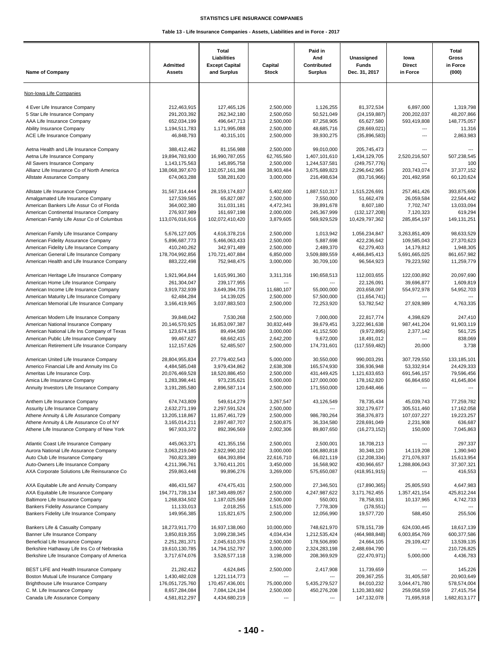| <b>Name of Company</b>                                                               | <b>Admitted</b><br>Assets        | Total<br>Liabilities<br><b>Except Capital</b><br>and Surplus | Capital<br><b>Stock</b> | Paid in<br>And<br>Contributed<br><b>Surplus</b> | Unassigned<br><b>Funds</b><br>Dec. 31, 2017 | lowa<br><b>Direct</b><br>in Force | Total<br>Gross<br>in Force<br>(000) |
|--------------------------------------------------------------------------------------|----------------------------------|--------------------------------------------------------------|-------------------------|-------------------------------------------------|---------------------------------------------|-----------------------------------|-------------------------------------|
| Non-Iowa Life Companies                                                              |                                  |                                                              |                         |                                                 |                                             |                                   |                                     |
| 4 Ever Life Insurance Company                                                        | 212,463,915                      | 127,465,126                                                  | 2,500,000               | 1,126,255                                       | 81,372,534                                  | 6,897,000                         | 1,319,798                           |
| 5 Star Life Insurance Company                                                        | 291,203,392                      | 262,342,180                                                  | 2,500,050               | 50,521,049                                      | (24, 159, 887)                              | 200,202,037                       | 48,207,866                          |
| AAA Life Insurance Company                                                           | 652,034,199                      | 496,647,713                                                  | 2,500,000               | 87,258,905                                      | 65,627,580                                  | 593,419,808                       | 148,775,057                         |
| Ability Insurance Company<br>ACE Life Insurance Company                              | 1,194,511,783<br>46,848,793      | 1,171,995,088<br>40.315.101                                  | 2,500,000<br>2,500,000  | 48,685,716<br>39,930,275                        | (28, 669, 021)<br>(35,896,583)              | $\overline{a}$<br>$\overline{a}$  | 11,316<br>2,863,983                 |
| Aetna Health and Life Insurance Company                                              | 388,412,462                      |                                                              | 2,500,000               | 99,010,000                                      | 205,745,473                                 | ---                               |                                     |
| Aetna Life Insurance Company                                                         | 19,894,783,930                   | 81,156,988<br>16,990,787,055                                 | 62,765,560              | 1,407,101,610                                   | 1,434,129,705                               | 2,520,216,507                     | 507,238,545                         |
| All Savers Insurance Company                                                         | 1,143,175,563                    | 145,895,758                                                  | 2,500,000               | 1,244,537,581                                   | (249, 757, 776)                             | ---                               | 100                                 |
| Allianz Life Insurance Co of North America                                           | 138,068,397,670                  | 132,057,161,398                                              | 38,903,484              | 3,675,689,823                                   | 2,296,642,965                               | 203,743,074                       | 37, 377, 152                        |
| Allstate Assurance Company                                                           | 674,063,288                      | 538,281,620                                                  | 3,000,000               | 216,498,634                                     | (83,716,966)                                | 201,492,958                       | 60,120,624                          |
| Allstate Life Insurance Company                                                      | 31,567,314,444                   | 28, 159, 174, 837                                            | 5,402,600               | 1,887,510,317                                   | 1,515,226,691                               | 257,461,426                       | 393,875,606                         |
| Amalgamated Life Insurance Company                                                   | 127,539,565                      | 65,827,087                                                   | 2,500,000               | 7,550,000                                       | 51,662,478                                  | 26,059,584                        | 22,564,442                          |
| American Bankers Life Assur Co of Florida                                            | 364,002,380                      | 311,031,181                                                  | 4,472,341               | 39,891,678                                      | 8,607,180                                   | 7,702,747                         | 13,033,094                          |
| American Continental Insurance Company<br>American Family Life Assur Co of Columbus  | 276,937,989<br>113,076,016,916   | 161,697,198<br>102,072,410,420                               | 2,000,000<br>3,879,605  | 245,367,999<br>569,929,529                      | (132, 127, 208)<br>10,429,797,362           | 7,120,323<br>285,854,197          | 619,294                             |
|                                                                                      |                                  |                                                              |                         |                                                 |                                             |                                   | 149,131,251                         |
| American Family Life Insurance Company                                               | 5,676,127,005                    | 4,616,378,216                                                | 2,500,000               | 1,013,942                                       | 1,056,234,847                               | 3,263,851,409                     | 98,633,529                          |
| American Fidelity Assurance Company                                                  | 5,896,687,773                    | 5,466,063,433                                                | 2,500,000               | 5,887,698                                       | 422,236,642                                 | 109,585,043                       | 27,370,623                          |
| American Fidelity Life Insurance Company<br>American General Life Insurance Company  | 410,240,262<br>178,704,992,856   | 342,971,489<br>170,721,407,884                               | 2,500,000<br>6,850,000  | 2,489,370<br>3,509,889,559                      | 62,279,403<br>4,466,845,413                 | 14,179,812<br>5,691,665,025       | 1,948,305<br>861,657,982            |
| American Health and Life Insurance Company                                           | 883,222,498                      | 752,948,475                                                  | 3,000,000               | 30,709,100                                      | 96,564,923                                  | 79,223,592                        | 11,259,779                          |
| American Heritage Life Insurance Company                                             | 1,921,964,844                    | 1,615,991,360                                                | 3,311,316               | 190,658,513                                     | 112,003,655                                 | 122,030,892                       | 20,097,690                          |
| American Home Life Insurance Company                                                 | 261,304,047                      | 239, 177, 955                                                | ---                     | ---                                             | 22,126,091                                  | 39,696,877                        | 1,609,819                           |
| American Income Life Insurance Company                                               | 3,919,732,939                    | 3,649,394,735                                                | 11,680,107              | 55,000,000                                      | 203,658,097                                 | 554,972,978                       | 54,952,703                          |
| American Maturity Life Insurance Company                                             | 62,484,284                       | 14,139,025                                                   | 2,500,000               | 57,500,000                                      | (11, 654, 741)                              | ---                               |                                     |
| American Memorial Life Insurance Company                                             | 3,166,419,965                    | 3,037,883,503                                                | 2,500,000               | 72,253,920                                      | 53,782,542                                  | 27,928,989                        | 4,763,335                           |
| American Modern Life Insurance Company                                               | 39,848,042                       | 7,530,268                                                    | 2,500,000               | 7,000,000                                       | 22,817,774                                  | 4,398,629                         | 247,410                             |
| American National Insurance Company                                                  | 20,146,570,925                   | 16,853,097,387                                               | 30,832,449              | 39,679,451                                      | 3,222,961,638                               | 987,441,204                       | 91,903,119                          |
| American National Life Ins Company of Texas                                          | 123,674,185                      | 89,494,580                                                   | 3,000,000               | 41,152,500                                      | (9,972,895)                                 | 2,377,142                         | 561,725                             |
| American Public Life Insurance Company<br>American Retirement Life Insurance Company | 99,467,627<br>112,157,626        | 68,662,415<br>52,485,507                                     | 2,642,200<br>2,500,000  | 9,672,000<br>174,731,601                        | 18,491,012<br>(117, 559, 482)               | ---<br>20,000                     | 838,069<br>3,738                    |
|                                                                                      |                                  |                                                              |                         |                                                 |                                             |                                   |                                     |
| American United Life Insurance Company                                               | 28,804,955,834                   | 27,779,402,543                                               | 5,000,000               | 30,550,000                                      | 990,003,291<br>336,936,948                  | 307,729,550                       | 133,185,101                         |
| Americo Financial Life and Annuity Ins Co<br>Ameritas Life Insurance Corp.           | 4,484,585,048<br>20,076,469,528  | 3,979,434,862<br>18,520,886,450                              | 2,638,308<br>2,500,000  | 165,574,930<br>431,449,425                      | 1,121,633,653                               | 53,332,914<br>691,546,157         | 24,429,333<br>79,596,456            |
| Amica Life Insurance Company                                                         | 1,283,398,441                    | 973,235,621                                                  | 5,000,000               | 127,000,000                                     | 178,162,820                                 | 66,864,650                        | 41,645,804                          |
| Annuity Investors Life Insurance Company                                             | 3,191,285,580                    | 2,896,587,114                                                | 2,500,000               | 171,550,000                                     | 120,648,466                                 | ---                               |                                     |
| Anthem Life Insurance Company                                                        | 674,743,809                      | 549,614,279                                                  | 3,267,547               | 43,126,549                                      | 78,735,434                                  | 45,039,743                        | 77,259,782                          |
| Assurity Life Insurance Company                                                      | 2,632,271,199                    | 2,297,591,524                                                | 2,500,000               | ---                                             | 332,179,677                                 | 305,511,460                       | 17,162,058                          |
| Athene Annuity & Life Assurance Company                                              | 13,205,118,867                   | 11,857,461,729                                               | 2,500,000               | 986,780,264                                     | 358,376,873                                 | 107,037,227                       | 19,223,257                          |
| Athene Annuity & Life Assurance Co of NY                                             | 3,165,014,211                    | 2,897,487,707                                                | 2,500,875               | 36,334,580                                      | 228,691,049                                 | 2,231,908                         | 636,687                             |
| Athene Life Insurance Company of New York                                            | 967,933,372                      | 892,396,569                                                  | 2,002,306               | 89,807,650                                      | (16, 273, 152)                              | 150,000                           | 7,045,863                           |
| Atlantic Coast Life Insurance Company                                                | 445,063,371                      | 421,355,156                                                  | 2,500,001               | 2,500,001                                       | 18,708,213                                  |                                   | 297,337                             |
| Aurora National Life Assurance Company                                               | 3,063,219,040                    | 2,922,990,102                                                | 3,000,000               | 106,880,818                                     | 30,348,120                                  | 14,119,208                        | 1,390,940                           |
| Auto Club Life Insurance Company                                                     | 760,823,389                      | 684,393,894                                                  | 22,616,710              | 66,021,119                                      | (12, 208, 334)                              | 271,076,937                       | 15,613,954                          |
| Auto-Owners Life Insurance Company<br>AXA Corporate Solutions Life Reinsurance Co    | 4,211,396,761<br>259,863,448     | 3,760,411,201<br>99,896,276                                  | 3,450,000<br>3,269,000  | 16,568,902<br>575,650,087                       | 430,966,657<br>(418, 951, 915)              | 1,288,806,043<br>---              | 37,307,321<br>416,553               |
|                                                                                      |                                  |                                                              |                         |                                                 |                                             |                                   |                                     |
| AXA Equitable Life and Annuity Company<br>AXA Equitable Life Insurance Company       | 486,431,567<br>194,771,739,134   | 474,475,431<br>187,349,489,057                               | 2,500,000<br>2,500,000  | 27,346,501<br>4,247,987,622                     | (17,890,365)<br>3,171,762,455               | 25,805,593                        | 4,647,983<br>425,812,244            |
| Baltimore Life Insurance Company                                                     | 1,268,834,502                    | 1,187,025,569                                                | 2,500,000               | 550,001                                         | 78,758,931                                  | 1,357,421,154<br>10,137,965       | 4,742,733                           |
| Bankers Fidelity Assurance Company                                                   | 11,133,013                       | 2,018,255                                                    | 1,515,000               | 7,778,309                                       | (178, 551)                                  |                                   |                                     |
| Bankers Fidelity Life Insurance Company                                              | 149,956,385                      | 115,821,675                                                  | 2,500,000               | 12,056,990                                      | 19,577,720                                  | 588,450                           | 255,506                             |
| Bankers Life & Casualty Company                                                      | 18,273,911,770                   | 16,937,138,060                                               | 10,000,000              | 748,621,970                                     | 578,151,739                                 | 624,030,445                       | 18,617,139                          |
| Banner Life Insurance Company                                                        | 3,850,819,355                    | 3,099,238,345                                                | 4,034,434               | 1,212,535,424                                   | (464, 988, 848)                             | 6,003,854,769                     | 600,377,586                         |
| Beneficial Life Insurance Company                                                    | 2,251,281,371                    | 2,045,610,376                                                | 2,500,000               | 178,506,890                                     | 24,664,105                                  | 29,109,427                        | 13,539,135                          |
| Berkshire Hathaway Life Ins Co of Nebraska                                           | 19,610,130,785                   | 14,794,152,797                                               | 3,000,000               | 2,324,283,198                                   | 2,488,694,790                               | ---                               | 210,726,825                         |
| Berkshire Life Insurance Company of America                                          | 3,717,674,076                    | 3,528,577,118                                                | 3,198,000               | 208,369,929                                     | (22, 470, 971)                              | 5,000,000                         | 4,436,783                           |
| BEST LIFE and Health Insurance Company                                               | 21,282,412                       | 4,624,845                                                    | 2,500,000               | 2,417,908                                       | 11,739,659                                  |                                   | 145,226                             |
| Boston Mutual Life Insurance Company                                                 | 1,430,482,028                    | 1,221,114,773                                                |                         |                                                 | 209,367,255                                 | 31,405,587                        | 20,903,649                          |
| Brighthouse Life Insurance Company<br>C. M. Life Insurance Company                   | 176,051,725,760<br>8,657,284,084 | 170,457,436,001<br>7,084,124,194                             | 75,000,000<br>2,500,000 | 5,435,279,527<br>450,276,208                    | 84,010,232<br>1,120,383,682                 | 3,044,471,780<br>259,058,559      | 578,574,004<br>27,415,754           |
| Canada Life Assurance Company                                                        | 4,581,812,297                    | 4,434,680,219                                                | ---                     | ---                                             | 147,132,078                                 | 71,695,918                        | 1,682,813,177                       |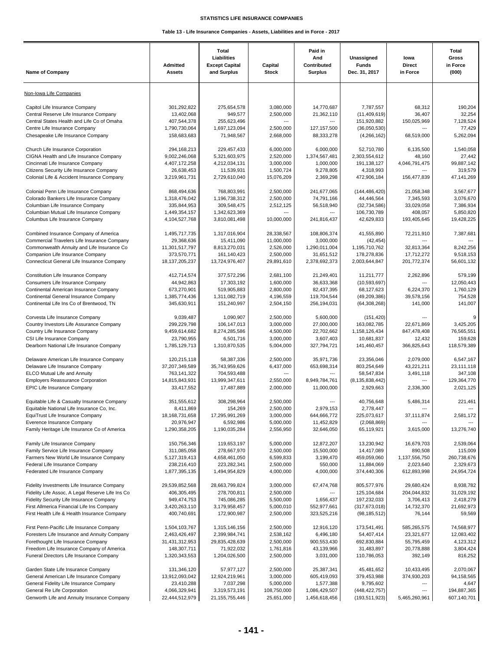| Non-Iowa Life Companies<br>Capitol Life Insurance Company<br>3,080,000<br>68,312<br>190,204<br>301,292,822<br>275,654,578<br>14,770,687<br>7,787,557<br>13,402,068<br>949,577<br>36,407<br>32,254<br>Central Reserve Life Insurance Company<br>2,500,000<br>21,362,110<br>(11,409,619)<br>Central States Health and Life Co of Omaha<br>407,544,378<br>255,623,496<br>151,920,882<br>150,025,969<br>7,128,524<br>$\overline{a}$<br>$\overline{\phantom{a}}$<br>Centre Life Insurance Company<br>1,790,730,064<br>1,697,123,094<br>2,500,000<br>127, 157, 500<br>(36,050,530)<br>77,429<br>158,683,683<br>71,948,567<br>5,262,094<br>Chesapeake Life Insurance Company<br>2.668.000<br>88,333,278<br>(4, 266, 162)<br>68,519,000<br>Church Life Insurance Corporation<br>294,168,213<br>229,457,433<br>6,000,000<br>6,000,000<br>52,710,780<br>1,540,058<br>6,135,500<br>2,520,000<br>CIGNA Health and Life Insurance Company<br>9,002,246,068<br>5,321,603,975<br>1,374,567,481<br>2,303,554,612<br>48,160<br>27,442<br>4,407,172,258<br>4,212,034,131<br>3,000,000<br>1,000,000<br>191,138,127<br>4,046,791,475<br>99,887,142<br>Cincinnati Life Insurance Company<br>Citizens Security Life Insurance Company<br>26,638,453<br>11,539,931<br>1,500,724<br>9,278,805<br>4,318,993<br>319,579<br>Colonial Life & Accident Insurance Company<br>2,729,610,040<br>15,076,209<br>2,369,298<br>472,906,184<br>47,141,269<br>3,219,961,731<br>156,477,839<br>768,803,991<br>2,500,000<br>241,677,065<br>3,567,677<br>Colonial Penn Life Insurance Company<br>868,494,636<br>(144, 486, 420)<br>21,058,348<br>Colorado Bankers Life Insurance Company<br>1,318,476,042<br>1,196,738,312<br>2,500,000<br>74,791,166<br>44,446,564<br>7,345,593<br>3,076,670<br>309,548,475<br>33,029,058<br>Columbian Life Insurance Company<br>335.844.953<br>2,512,125<br>56,518,940<br>(32,734,586)<br>7,386,934<br>Columbian Mutual Life Insurance Company<br>1,449,354,157<br>1,342,623,369<br>106,730,789<br>408,057<br>5,850,820<br>$\overline{a}$<br>$---$<br>Columbus Life Insurance Company<br>4,104,527,768<br>3,810,081,498<br>10,000,000<br>42,629,833<br>193,405,645<br>19,428,225<br>241,816,437<br>Combined Insurance Company of America<br>28,338,567<br>41,555,890<br>72,211,910<br>7,387,681<br>1,495,717,735<br>1,317,016,904<br>108,806,374<br>Commercial Travelers Life Insurance Company<br>29,368,636<br>15,411,090<br>11,000,000<br>3,000,000<br>(42, 454)<br>---<br>Commonwealth Annuity and Life Insurance Co<br>8,813,270,031<br>2,526,000<br>1,290,011,004<br>1,195,710,762<br>11,301,517,797<br>32,813,364<br>8,242,256<br>Companion Life Insurance Company<br>373,570,771<br>161,140,423<br>2,500,000<br>31,651,512<br>178,278,836<br>17,712,272<br>9,518,153<br>Connecticut General Life Insurance Company<br>18, 137, 205, 237<br>13,724,976,407<br>29,891,610<br>2,378,692,373<br>2,003,644,847<br>201,772,374<br>56,601,132<br>412,714,574<br>377,572,296<br>2,681,100<br>579,199<br>Constitution Life Insurance Company<br>21,249,401<br>11,211,777<br>2,262,896<br>44,942,863<br>17,303,192<br>1,600,000<br>36,633,368<br>(10, 593, 697)<br>Consumers Life Insurance Company<br>12,050,443<br>519,905,883<br>2,800,000<br>1,760,129<br>Continental American Insurance Company<br>673,270,901<br>82,437,395<br>68,127,623<br>6,224,370<br>Continental General Insurance Company<br>1,385,774,436<br>1,311,082,719<br>4,196,559<br>119,704,544<br>(49, 209, 386)<br>39,578,156<br>754,528<br>Continental Life Ins Co of Brentwood, TN<br>345,630,911<br>151,240,997<br>2,504,150<br>256,194,031<br>(64, 308, 268)<br>141,000<br>141,007<br>9<br>2,500,000<br>Corvesta Life Insurance Company<br>9,039,487<br>1,090,907<br>5,600,000<br>(151, 420)<br>Country Investors Life Assurance Company<br>299,229,798<br>106,147,013<br>3,000,000<br>27,000,000<br>163,082,785<br>3,425,205<br>22,671,869<br>8,274,285,586<br>4,500,000<br>22,702,662<br>Country Life Insurance Company<br>9,459,614,682<br>1,158,126,434<br>847,478,408<br>76,565,551<br>23,790,955<br>3,000,000<br>3,607,403<br>CSI Life Insurance Company<br>6,501,716<br>10,681,837<br>12,432<br>159,628<br>Dearborn National Life Insurance Company<br>1,785,129,713<br>1,310,870,535<br>5,004,000<br>327,794,721<br>141,460,457<br>366,825,643<br>118,579,389<br>58,387,336<br>2,500,000<br>6,547,167<br>Delaware American Life Insurance Company<br>120,215,118<br>35,971,736<br>23,356,046<br>2,079,000<br>Delaware Life Insurance Company<br>37,207,349,589<br>35,743,959,626<br>6,437,000<br>653,698,314<br>803,254,649<br>43,221,211<br>23,111,118<br>ELCO Mutual Life and Annuity<br>763,141,322<br>704,593,488<br>58,547,834<br>3,491,118<br>347,108<br>$\overline{a}$<br>$\overline{a}$<br>14,815,843,931<br>2.550.000<br>8,949,784,761<br>(8, 135, 838, 442)<br>129,364,770<br><b>Employers Reassurance Corporation</b><br>13,999,347,611<br>$\overline{a}$<br>33,417,552<br>17,487,889<br>2,000,000<br>2,929,663<br>2,021,125<br><b>EPIC Life Insurance Company</b><br>11,000,000<br>2,336,300<br>308,298,964<br>2,500,000<br>221,461<br>Equitable Life & Casualty Insurance Company<br>351,555,612<br>40,756,648<br>5,486,314<br>Equitable National Life Insurance Co, Inc.<br>8,411,869<br>154,269<br>2,500,000<br>2,979,153<br>2,778,447<br>---<br>$\overline{a}$<br>225,073,617<br>EquiTrust Life Insurance Company<br>18, 168, 731, 658<br>17,295,991,269<br>3,000,000<br>644,666,772<br>37,111,874<br>2,581,172<br>Everence Insurance Company<br>20,976,947<br>5,000,000<br>11,452,829<br>6,592,986<br>(2,068,869)<br>Family Heritage Life Insurance Co of America<br>1,290,358,205<br>1,190,035,284<br>2,556,950<br>32,646,050<br>65,119,921<br>13,276,740<br>3,615,000<br>2,539,064<br>Family Life Insurance Company<br>150,756,346<br>119,653,197<br>5,000,000<br>12,872,207<br>13,230,942<br>16,679,703<br>Family Service Life Insurance Company<br>311,085,058<br>278,667,970<br>2.500.000<br>15,500,000<br>14,417,089<br>890,508<br>115,009<br>5,127,319,413<br>4,658,461,050<br>6,599,833<br>459,059,060<br>1,137,556,750<br>260,738,676<br>Farmers New World Life Insurance Company<br>3,199,470<br>223,282,341<br>2,500,000<br>550,000<br>2,329,673<br>Federal Life Insurance Company<br>238,216,410<br>11,884,069<br>2,023,640<br>4,000,000<br>4,000,000<br>612,893,998<br>24,954,724<br>Federated Life Insurance Company<br>1,877,395,135<br>1,494,954,829<br>374,440,306<br>Fidelity Investments Life Insurance Company<br>29,539,852,568<br>28,663,799,824<br>3,000,000<br>67,474,768<br>805,577,976<br>29,680,424<br>8,938,782<br>Fidelity Life Assoc, A Legal Reserve Life Ins Co<br>406,305,495<br>278,700,811<br>2,500,000<br>125,104,684<br>204,044,832<br>31,029,192<br>Fidelity Security Life Insurance Company<br>949,474,753<br>745,086,285<br>5,500,000<br>197,232,033<br>3,706,413<br>2,418,279<br>1,656,437<br>5,000,010<br>21,692,973<br>First Allmerica Financial Life Ins Company<br>3,420,263,110<br>3,179,958,457<br>552,977,661<br>(317, 673, 018)<br>14,732,370<br>400,740,691<br>172,900,987<br>2,500,000<br>59,569<br>First Health Life & Health Insurance Company<br>323,525,216<br>(98, 185, 512)<br>76,144<br>2,500,000<br>74,568,977<br>First Penn-Pacific Life Insurance Company<br>1,504,103,767<br>1,315,146,156<br>12,916,120<br>173,541,491<br>585,265,575<br>Foresters Life Insurance and Annuity Company<br>2,463,426,497<br>2,399,984,741<br>2,538,162<br>6,496,180<br>54,407,414<br>23,321,677<br>12,083,402<br>Forethought Life Insurance Company<br>31,431,312,953<br>29,835,428,639<br>2,500,000<br>900,553,430<br>692,830,884<br>55,795,459<br>4,123,312<br>Freedom Life Insurance Company of America<br>148,307,711<br>71,922,032<br>1,761,816<br>43,139,966<br>31,483,897<br>20,778,888<br>3,804,424<br>Funeral Directors Life Insurance Company<br>1,320,343,553<br>1,204,026,500<br>2,500,000<br>3,031,000<br>110,786,053<br>392,149<br>816,252<br>2,500,000<br>10,433,495<br>2,070,067<br>Garden State Life Insurance Company<br>131,346,120<br>57,977,127<br>25,387,341<br>45,481,652<br>13,912,093,042<br>3,000,000<br>379,453,988<br>374,930,203<br>94,158,565<br>General American Life Insurance Company<br>12,924,219,961<br>605,419,093<br>General Fidelity Life Insurance Company<br>23,410,288<br>7,037,298<br>5,000,000<br>1,577,388<br>9,795,602<br>4,647<br>---<br>General Re Life Corporation<br>4,066,329,941<br>3,319,573,191<br>108,750,000<br>1,086,429,507<br>(448, 422, 757)<br>194,887,365<br>$\overline{a}$<br>Genworth Life and Annuity Insurance Company<br>21,155,755,446<br>25,651,000<br>1,456,618,456<br>(193, 511, 923)<br>5,465,260,961<br>607,140,701<br>22,444,512,979 | <b>Name of Company</b> | <b>Admitted</b><br><b>Assets</b> | Total<br>Liabilities<br><b>Except Capital</b><br>and Surplus | Capital<br><b>Stock</b> | Paid in<br>And<br>Contributed<br><b>Surplus</b> | Unassigned<br><b>Funds</b><br>Dec. 31, 2017 | lowa<br><b>Direct</b><br>in Force | Total<br>Gross<br>in Force<br>(000) |
|-------------------------------------------------------------------------------------------------------------------------------------------------------------------------------------------------------------------------------------------------------------------------------------------------------------------------------------------------------------------------------------------------------------------------------------------------------------------------------------------------------------------------------------------------------------------------------------------------------------------------------------------------------------------------------------------------------------------------------------------------------------------------------------------------------------------------------------------------------------------------------------------------------------------------------------------------------------------------------------------------------------------------------------------------------------------------------------------------------------------------------------------------------------------------------------------------------------------------------------------------------------------------------------------------------------------------------------------------------------------------------------------------------------------------------------------------------------------------------------------------------------------------------------------------------------------------------------------------------------------------------------------------------------------------------------------------------------------------------------------------------------------------------------------------------------------------------------------------------------------------------------------------------------------------------------------------------------------------------------------------------------------------------------------------------------------------------------------------------------------------------------------------------------------------------------------------------------------------------------------------------------------------------------------------------------------------------------------------------------------------------------------------------------------------------------------------------------------------------------------------------------------------------------------------------------------------------------------------------------------------------------------------------------------------------------------------------------------------------------------------------------------------------------------------------------------------------------------------------------------------------------------------------------------------------------------------------------------------------------------------------------------------------------------------------------------------------------------------------------------------------------------------------------------------------------------------------------------------------------------------------------------------------------------------------------------------------------------------------------------------------------------------------------------------------------------------------------------------------------------------------------------------------------------------------------------------------------------------------------------------------------------------------------------------------------------------------------------------------------------------------------------------------------------------------------------------------------------------------------------------------------------------------------------------------------------------------------------------------------------------------------------------------------------------------------------------------------------------------------------------------------------------------------------------------------------------------------------------------------------------------------------------------------------------------------------------------------------------------------------------------------------------------------------------------------------------------------------------------------------------------------------------------------------------------------------------------------------------------------------------------------------------------------------------------------------------------------------------------------------------------------------------------------------------------------------------------------------------------------------------------------------------------------------------------------------------------------------------------------------------------------------------------------------------------------------------------------------------------------------------------------------------------------------------------------------------------------------------------------------------------------------------------------------------------------------------------------------------------------------------------------------------------------------------------------------------------------------------------------------------------------------------------------------------------------------------------------------------------------------------------------------------------------------------------------------------------------------------------------------------------------------------------------------------------------------------------------------------------------------------------------------------------------------------------------------------------------------------------------------------------------------------------------------------------------------------------------------------------------------------------------------------------------------------------------------------------------------------------------------------------------------------------------------------------------------------------------------------------------------------------------------------------------------------------------------------------------------------------------------------------------------------------------------------------------------------------------------------------------------------------------------------------------------------------------------------------------------------------------------------------------------------------------------------------------------------------------------------------------------------------------------------------------------------------------------------------------------------------------------------------------------------------------------------------------------------------------------------------------------------------------------------------------------------------------------------------------------------------------------------------------------------------------------------------------------------------------------------------------------------------------------------------------------------------------------------------------------------------------------------------------------------------------------------------------------------------------------------------------------------------------------------------------------------------------------------------------------------------------------------------------------------------------------------------------------------------------------------------------------------------------------------------------------------------------------------------------------------------------------------------------------------------------------------------------------------------------------------------------------------------------------------------------------------------------------------------------------------------------------------------------------------------------------------------------------------------------------------------------------------------------------------------------------------------------------------------------------------------------------------------------------------------------------------------------------------------------------------------------------------------------------------------------------------------------------------------------------------------------------------------|------------------------|----------------------------------|--------------------------------------------------------------|-------------------------|-------------------------------------------------|---------------------------------------------|-----------------------------------|-------------------------------------|
|                                                                                                                                                                                                                                                                                                                                                                                                                                                                                                                                                                                                                                                                                                                                                                                                                                                                                                                                                                                                                                                                                                                                                                                                                                                                                                                                                                                                                                                                                                                                                                                                                                                                                                                                                                                                                                                                                                                                                                                                                                                                                                                                                                                                                                                                                                                                                                                                                                                                                                                                                                                                                                                                                                                                                                                                                                                                                                                                                                                                                                                                                                                                                                                                                                                                                                                                                                                                                                                                                                                                                                                                                                                                                                                                                                                                                                                                                                                                                                                                                                                                                                                                                                                                                                                                                                                                                                                                                                                                                                                                                                                                                                                                                                                                                                                                                                                                                                                                                                                                                                                                                                                                                                                                                                                                                                                                                                                                                                                                                                                                                                                                                                                                                                                                                                                                                                                                                                                                                                                                                                                                                                                                                                                                                                                                                                                                                                                                                                                                                                                                                                                                                                                                                                                                                                                                                                                                                                                                                                                                                                                                                                                                                                                                                                                                                                                                                                                                                                                                                                                                                                                                                                                                                                                                                                                                                                                                                                                                                                                                                                                                                                                                                                                                                                                                                                                                                                                                                                                                                                                                                                                                                                                                                                                                                       |                        |                                  |                                                              |                         |                                                 |                                             |                                   |                                     |
|                                                                                                                                                                                                                                                                                                                                                                                                                                                                                                                                                                                                                                                                                                                                                                                                                                                                                                                                                                                                                                                                                                                                                                                                                                                                                                                                                                                                                                                                                                                                                                                                                                                                                                                                                                                                                                                                                                                                                                                                                                                                                                                                                                                                                                                                                                                                                                                                                                                                                                                                                                                                                                                                                                                                                                                                                                                                                                                                                                                                                                                                                                                                                                                                                                                                                                                                                                                                                                                                                                                                                                                                                                                                                                                                                                                                                                                                                                                                                                                                                                                                                                                                                                                                                                                                                                                                                                                                                                                                                                                                                                                                                                                                                                                                                                                                                                                                                                                                                                                                                                                                                                                                                                                                                                                                                                                                                                                                                                                                                                                                                                                                                                                                                                                                                                                                                                                                                                                                                                                                                                                                                                                                                                                                                                                                                                                                                                                                                                                                                                                                                                                                                                                                                                                                                                                                                                                                                                                                                                                                                                                                                                                                                                                                                                                                                                                                                                                                                                                                                                                                                                                                                                                                                                                                                                                                                                                                                                                                                                                                                                                                                                                                                                                                                                                                                                                                                                                                                                                                                                                                                                                                                                                                                                                                                       |                        |                                  |                                                              |                         |                                                 |                                             |                                   |                                     |
|                                                                                                                                                                                                                                                                                                                                                                                                                                                                                                                                                                                                                                                                                                                                                                                                                                                                                                                                                                                                                                                                                                                                                                                                                                                                                                                                                                                                                                                                                                                                                                                                                                                                                                                                                                                                                                                                                                                                                                                                                                                                                                                                                                                                                                                                                                                                                                                                                                                                                                                                                                                                                                                                                                                                                                                                                                                                                                                                                                                                                                                                                                                                                                                                                                                                                                                                                                                                                                                                                                                                                                                                                                                                                                                                                                                                                                                                                                                                                                                                                                                                                                                                                                                                                                                                                                                                                                                                                                                                                                                                                                                                                                                                                                                                                                                                                                                                                                                                                                                                                                                                                                                                                                                                                                                                                                                                                                                                                                                                                                                                                                                                                                                                                                                                                                                                                                                                                                                                                                                                                                                                                                                                                                                                                                                                                                                                                                                                                                                                                                                                                                                                                                                                                                                                                                                                                                                                                                                                                                                                                                                                                                                                                                                                                                                                                                                                                                                                                                                                                                                                                                                                                                                                                                                                                                                                                                                                                                                                                                                                                                                                                                                                                                                                                                                                                                                                                                                                                                                                                                                                                                                                                                                                                                                                                       |                        |                                  |                                                              |                         |                                                 |                                             |                                   |                                     |
|                                                                                                                                                                                                                                                                                                                                                                                                                                                                                                                                                                                                                                                                                                                                                                                                                                                                                                                                                                                                                                                                                                                                                                                                                                                                                                                                                                                                                                                                                                                                                                                                                                                                                                                                                                                                                                                                                                                                                                                                                                                                                                                                                                                                                                                                                                                                                                                                                                                                                                                                                                                                                                                                                                                                                                                                                                                                                                                                                                                                                                                                                                                                                                                                                                                                                                                                                                                                                                                                                                                                                                                                                                                                                                                                                                                                                                                                                                                                                                                                                                                                                                                                                                                                                                                                                                                                                                                                                                                                                                                                                                                                                                                                                                                                                                                                                                                                                                                                                                                                                                                                                                                                                                                                                                                                                                                                                                                                                                                                                                                                                                                                                                                                                                                                                                                                                                                                                                                                                                                                                                                                                                                                                                                                                                                                                                                                                                                                                                                                                                                                                                                                                                                                                                                                                                                                                                                                                                                                                                                                                                                                                                                                                                                                                                                                                                                                                                                                                                                                                                                                                                                                                                                                                                                                                                                                                                                                                                                                                                                                                                                                                                                                                                                                                                                                                                                                                                                                                                                                                                                                                                                                                                                                                                                                                       |                        |                                  |                                                              |                         |                                                 |                                             |                                   |                                     |
|                                                                                                                                                                                                                                                                                                                                                                                                                                                                                                                                                                                                                                                                                                                                                                                                                                                                                                                                                                                                                                                                                                                                                                                                                                                                                                                                                                                                                                                                                                                                                                                                                                                                                                                                                                                                                                                                                                                                                                                                                                                                                                                                                                                                                                                                                                                                                                                                                                                                                                                                                                                                                                                                                                                                                                                                                                                                                                                                                                                                                                                                                                                                                                                                                                                                                                                                                                                                                                                                                                                                                                                                                                                                                                                                                                                                                                                                                                                                                                                                                                                                                                                                                                                                                                                                                                                                                                                                                                                                                                                                                                                                                                                                                                                                                                                                                                                                                                                                                                                                                                                                                                                                                                                                                                                                                                                                                                                                                                                                                                                                                                                                                                                                                                                                                                                                                                                                                                                                                                                                                                                                                                                                                                                                                                                                                                                                                                                                                                                                                                                                                                                                                                                                                                                                                                                                                                                                                                                                                                                                                                                                                                                                                                                                                                                                                                                                                                                                                                                                                                                                                                                                                                                                                                                                                                                                                                                                                                                                                                                                                                                                                                                                                                                                                                                                                                                                                                                                                                                                                                                                                                                                                                                                                                                                                       |                        |                                  |                                                              |                         |                                                 |                                             |                                   |                                     |
|                                                                                                                                                                                                                                                                                                                                                                                                                                                                                                                                                                                                                                                                                                                                                                                                                                                                                                                                                                                                                                                                                                                                                                                                                                                                                                                                                                                                                                                                                                                                                                                                                                                                                                                                                                                                                                                                                                                                                                                                                                                                                                                                                                                                                                                                                                                                                                                                                                                                                                                                                                                                                                                                                                                                                                                                                                                                                                                                                                                                                                                                                                                                                                                                                                                                                                                                                                                                                                                                                                                                                                                                                                                                                                                                                                                                                                                                                                                                                                                                                                                                                                                                                                                                                                                                                                                                                                                                                                                                                                                                                                                                                                                                                                                                                                                                                                                                                                                                                                                                                                                                                                                                                                                                                                                                                                                                                                                                                                                                                                                                                                                                                                                                                                                                                                                                                                                                                                                                                                                                                                                                                                                                                                                                                                                                                                                                                                                                                                                                                                                                                                                                                                                                                                                                                                                                                                                                                                                                                                                                                                                                                                                                                                                                                                                                                                                                                                                                                                                                                                                                                                                                                                                                                                                                                                                                                                                                                                                                                                                                                                                                                                                                                                                                                                                                                                                                                                                                                                                                                                                                                                                                                                                                                                                                                       |                        |                                  |                                                              |                         |                                                 |                                             |                                   |                                     |
|                                                                                                                                                                                                                                                                                                                                                                                                                                                                                                                                                                                                                                                                                                                                                                                                                                                                                                                                                                                                                                                                                                                                                                                                                                                                                                                                                                                                                                                                                                                                                                                                                                                                                                                                                                                                                                                                                                                                                                                                                                                                                                                                                                                                                                                                                                                                                                                                                                                                                                                                                                                                                                                                                                                                                                                                                                                                                                                                                                                                                                                                                                                                                                                                                                                                                                                                                                                                                                                                                                                                                                                                                                                                                                                                                                                                                                                                                                                                                                                                                                                                                                                                                                                                                                                                                                                                                                                                                                                                                                                                                                                                                                                                                                                                                                                                                                                                                                                                                                                                                                                                                                                                                                                                                                                                                                                                                                                                                                                                                                                                                                                                                                                                                                                                                                                                                                                                                                                                                                                                                                                                                                                                                                                                                                                                                                                                                                                                                                                                                                                                                                                                                                                                                                                                                                                                                                                                                                                                                                                                                                                                                                                                                                                                                                                                                                                                                                                                                                                                                                                                                                                                                                                                                                                                                                                                                                                                                                                                                                                                                                                                                                                                                                                                                                                                                                                                                                                                                                                                                                                                                                                                                                                                                                                                                       |                        |                                  |                                                              |                         |                                                 |                                             |                                   |                                     |
|                                                                                                                                                                                                                                                                                                                                                                                                                                                                                                                                                                                                                                                                                                                                                                                                                                                                                                                                                                                                                                                                                                                                                                                                                                                                                                                                                                                                                                                                                                                                                                                                                                                                                                                                                                                                                                                                                                                                                                                                                                                                                                                                                                                                                                                                                                                                                                                                                                                                                                                                                                                                                                                                                                                                                                                                                                                                                                                                                                                                                                                                                                                                                                                                                                                                                                                                                                                                                                                                                                                                                                                                                                                                                                                                                                                                                                                                                                                                                                                                                                                                                                                                                                                                                                                                                                                                                                                                                                                                                                                                                                                                                                                                                                                                                                                                                                                                                                                                                                                                                                                                                                                                                                                                                                                                                                                                                                                                                                                                                                                                                                                                                                                                                                                                                                                                                                                                                                                                                                                                                                                                                                                                                                                                                                                                                                                                                                                                                                                                                                                                                                                                                                                                                                                                                                                                                                                                                                                                                                                                                                                                                                                                                                                                                                                                                                                                                                                                                                                                                                                                                                                                                                                                                                                                                                                                                                                                                                                                                                                                                                                                                                                                                                                                                                                                                                                                                                                                                                                                                                                                                                                                                                                                                                                                                       |                        |                                  |                                                              |                         |                                                 |                                             |                                   |                                     |
|                                                                                                                                                                                                                                                                                                                                                                                                                                                                                                                                                                                                                                                                                                                                                                                                                                                                                                                                                                                                                                                                                                                                                                                                                                                                                                                                                                                                                                                                                                                                                                                                                                                                                                                                                                                                                                                                                                                                                                                                                                                                                                                                                                                                                                                                                                                                                                                                                                                                                                                                                                                                                                                                                                                                                                                                                                                                                                                                                                                                                                                                                                                                                                                                                                                                                                                                                                                                                                                                                                                                                                                                                                                                                                                                                                                                                                                                                                                                                                                                                                                                                                                                                                                                                                                                                                                                                                                                                                                                                                                                                                                                                                                                                                                                                                                                                                                                                                                                                                                                                                                                                                                                                                                                                                                                                                                                                                                                                                                                                                                                                                                                                                                                                                                                                                                                                                                                                                                                                                                                                                                                                                                                                                                                                                                                                                                                                                                                                                                                                                                                                                                                                                                                                                                                                                                                                                                                                                                                                                                                                                                                                                                                                                                                                                                                                                                                                                                                                                                                                                                                                                                                                                                                                                                                                                                                                                                                                                                                                                                                                                                                                                                                                                                                                                                                                                                                                                                                                                                                                                                                                                                                                                                                                                                                                       |                        |                                  |                                                              |                         |                                                 |                                             |                                   |                                     |
|                                                                                                                                                                                                                                                                                                                                                                                                                                                                                                                                                                                                                                                                                                                                                                                                                                                                                                                                                                                                                                                                                                                                                                                                                                                                                                                                                                                                                                                                                                                                                                                                                                                                                                                                                                                                                                                                                                                                                                                                                                                                                                                                                                                                                                                                                                                                                                                                                                                                                                                                                                                                                                                                                                                                                                                                                                                                                                                                                                                                                                                                                                                                                                                                                                                                                                                                                                                                                                                                                                                                                                                                                                                                                                                                                                                                                                                                                                                                                                                                                                                                                                                                                                                                                                                                                                                                                                                                                                                                                                                                                                                                                                                                                                                                                                                                                                                                                                                                                                                                                                                                                                                                                                                                                                                                                                                                                                                                                                                                                                                                                                                                                                                                                                                                                                                                                                                                                                                                                                                                                                                                                                                                                                                                                                                                                                                                                                                                                                                                                                                                                                                                                                                                                                                                                                                                                                                                                                                                                                                                                                                                                                                                                                                                                                                                                                                                                                                                                                                                                                                                                                                                                                                                                                                                                                                                                                                                                                                                                                                                                                                                                                                                                                                                                                                                                                                                                                                                                                                                                                                                                                                                                                                                                                                                                       |                        |                                  |                                                              |                         |                                                 |                                             |                                   |                                     |
|                                                                                                                                                                                                                                                                                                                                                                                                                                                                                                                                                                                                                                                                                                                                                                                                                                                                                                                                                                                                                                                                                                                                                                                                                                                                                                                                                                                                                                                                                                                                                                                                                                                                                                                                                                                                                                                                                                                                                                                                                                                                                                                                                                                                                                                                                                                                                                                                                                                                                                                                                                                                                                                                                                                                                                                                                                                                                                                                                                                                                                                                                                                                                                                                                                                                                                                                                                                                                                                                                                                                                                                                                                                                                                                                                                                                                                                                                                                                                                                                                                                                                                                                                                                                                                                                                                                                                                                                                                                                                                                                                                                                                                                                                                                                                                                                                                                                                                                                                                                                                                                                                                                                                                                                                                                                                                                                                                                                                                                                                                                                                                                                                                                                                                                                                                                                                                                                                                                                                                                                                                                                                                                                                                                                                                                                                                                                                                                                                                                                                                                                                                                                                                                                                                                                                                                                                                                                                                                                                                                                                                                                                                                                                                                                                                                                                                                                                                                                                                                                                                                                                                                                                                                                                                                                                                                                                                                                                                                                                                                                                                                                                                                                                                                                                                                                                                                                                                                                                                                                                                                                                                                                                                                                                                                                                       |                        |                                  |                                                              |                         |                                                 |                                             |                                   |                                     |
|                                                                                                                                                                                                                                                                                                                                                                                                                                                                                                                                                                                                                                                                                                                                                                                                                                                                                                                                                                                                                                                                                                                                                                                                                                                                                                                                                                                                                                                                                                                                                                                                                                                                                                                                                                                                                                                                                                                                                                                                                                                                                                                                                                                                                                                                                                                                                                                                                                                                                                                                                                                                                                                                                                                                                                                                                                                                                                                                                                                                                                                                                                                                                                                                                                                                                                                                                                                                                                                                                                                                                                                                                                                                                                                                                                                                                                                                                                                                                                                                                                                                                                                                                                                                                                                                                                                                                                                                                                                                                                                                                                                                                                                                                                                                                                                                                                                                                                                                                                                                                                                                                                                                                                                                                                                                                                                                                                                                                                                                                                                                                                                                                                                                                                                                                                                                                                                                                                                                                                                                                                                                                                                                                                                                                                                                                                                                                                                                                                                                                                                                                                                                                                                                                                                                                                                                                                                                                                                                                                                                                                                                                                                                                                                                                                                                                                                                                                                                                                                                                                                                                                                                                                                                                                                                                                                                                                                                                                                                                                                                                                                                                                                                                                                                                                                                                                                                                                                                                                                                                                                                                                                                                                                                                                                                                       |                        |                                  |                                                              |                         |                                                 |                                             |                                   |                                     |
|                                                                                                                                                                                                                                                                                                                                                                                                                                                                                                                                                                                                                                                                                                                                                                                                                                                                                                                                                                                                                                                                                                                                                                                                                                                                                                                                                                                                                                                                                                                                                                                                                                                                                                                                                                                                                                                                                                                                                                                                                                                                                                                                                                                                                                                                                                                                                                                                                                                                                                                                                                                                                                                                                                                                                                                                                                                                                                                                                                                                                                                                                                                                                                                                                                                                                                                                                                                                                                                                                                                                                                                                                                                                                                                                                                                                                                                                                                                                                                                                                                                                                                                                                                                                                                                                                                                                                                                                                                                                                                                                                                                                                                                                                                                                                                                                                                                                                                                                                                                                                                                                                                                                                                                                                                                                                                                                                                                                                                                                                                                                                                                                                                                                                                                                                                                                                                                                                                                                                                                                                                                                                                                                                                                                                                                                                                                                                                                                                                                                                                                                                                                                                                                                                                                                                                                                                                                                                                                                                                                                                                                                                                                                                                                                                                                                                                                                                                                                                                                                                                                                                                                                                                                                                                                                                                                                                                                                                                                                                                                                                                                                                                                                                                                                                                                                                                                                                                                                                                                                                                                                                                                                                                                                                                                                                       |                        |                                  |                                                              |                         |                                                 |                                             |                                   |                                     |
|                                                                                                                                                                                                                                                                                                                                                                                                                                                                                                                                                                                                                                                                                                                                                                                                                                                                                                                                                                                                                                                                                                                                                                                                                                                                                                                                                                                                                                                                                                                                                                                                                                                                                                                                                                                                                                                                                                                                                                                                                                                                                                                                                                                                                                                                                                                                                                                                                                                                                                                                                                                                                                                                                                                                                                                                                                                                                                                                                                                                                                                                                                                                                                                                                                                                                                                                                                                                                                                                                                                                                                                                                                                                                                                                                                                                                                                                                                                                                                                                                                                                                                                                                                                                                                                                                                                                                                                                                                                                                                                                                                                                                                                                                                                                                                                                                                                                                                                                                                                                                                                                                                                                                                                                                                                                                                                                                                                                                                                                                                                                                                                                                                                                                                                                                                                                                                                                                                                                                                                                                                                                                                                                                                                                                                                                                                                                                                                                                                                                                                                                                                                                                                                                                                                                                                                                                                                                                                                                                                                                                                                                                                                                                                                                                                                                                                                                                                                                                                                                                                                                                                                                                                                                                                                                                                                                                                                                                                                                                                                                                                                                                                                                                                                                                                                                                                                                                                                                                                                                                                                                                                                                                                                                                                                                                       |                        |                                  |                                                              |                         |                                                 |                                             |                                   |                                     |
|                                                                                                                                                                                                                                                                                                                                                                                                                                                                                                                                                                                                                                                                                                                                                                                                                                                                                                                                                                                                                                                                                                                                                                                                                                                                                                                                                                                                                                                                                                                                                                                                                                                                                                                                                                                                                                                                                                                                                                                                                                                                                                                                                                                                                                                                                                                                                                                                                                                                                                                                                                                                                                                                                                                                                                                                                                                                                                                                                                                                                                                                                                                                                                                                                                                                                                                                                                                                                                                                                                                                                                                                                                                                                                                                                                                                                                                                                                                                                                                                                                                                                                                                                                                                                                                                                                                                                                                                                                                                                                                                                                                                                                                                                                                                                                                                                                                                                                                                                                                                                                                                                                                                                                                                                                                                                                                                                                                                                                                                                                                                                                                                                                                                                                                                                                                                                                                                                                                                                                                                                                                                                                                                                                                                                                                                                                                                                                                                                                                                                                                                                                                                                                                                                                                                                                                                                                                                                                                                                                                                                                                                                                                                                                                                                                                                                                                                                                                                                                                                                                                                                                                                                                                                                                                                                                                                                                                                                                                                                                                                                                                                                                                                                                                                                                                                                                                                                                                                                                                                                                                                                                                                                                                                                                                                                       |                        |                                  |                                                              |                         |                                                 |                                             |                                   |                                     |
|                                                                                                                                                                                                                                                                                                                                                                                                                                                                                                                                                                                                                                                                                                                                                                                                                                                                                                                                                                                                                                                                                                                                                                                                                                                                                                                                                                                                                                                                                                                                                                                                                                                                                                                                                                                                                                                                                                                                                                                                                                                                                                                                                                                                                                                                                                                                                                                                                                                                                                                                                                                                                                                                                                                                                                                                                                                                                                                                                                                                                                                                                                                                                                                                                                                                                                                                                                                                                                                                                                                                                                                                                                                                                                                                                                                                                                                                                                                                                                                                                                                                                                                                                                                                                                                                                                                                                                                                                                                                                                                                                                                                                                                                                                                                                                                                                                                                                                                                                                                                                                                                                                                                                                                                                                                                                                                                                                                                                                                                                                                                                                                                                                                                                                                                                                                                                                                                                                                                                                                                                                                                                                                                                                                                                                                                                                                                                                                                                                                                                                                                                                                                                                                                                                                                                                                                                                                                                                                                                                                                                                                                                                                                                                                                                                                                                                                                                                                                                                                                                                                                                                                                                                                                                                                                                                                                                                                                                                                                                                                                                                                                                                                                                                                                                                                                                                                                                                                                                                                                                                                                                                                                                                                                                                                                                       |                        |                                  |                                                              |                         |                                                 |                                             |                                   |                                     |
|                                                                                                                                                                                                                                                                                                                                                                                                                                                                                                                                                                                                                                                                                                                                                                                                                                                                                                                                                                                                                                                                                                                                                                                                                                                                                                                                                                                                                                                                                                                                                                                                                                                                                                                                                                                                                                                                                                                                                                                                                                                                                                                                                                                                                                                                                                                                                                                                                                                                                                                                                                                                                                                                                                                                                                                                                                                                                                                                                                                                                                                                                                                                                                                                                                                                                                                                                                                                                                                                                                                                                                                                                                                                                                                                                                                                                                                                                                                                                                                                                                                                                                                                                                                                                                                                                                                                                                                                                                                                                                                                                                                                                                                                                                                                                                                                                                                                                                                                                                                                                                                                                                                                                                                                                                                                                                                                                                                                                                                                                                                                                                                                                                                                                                                                                                                                                                                                                                                                                                                                                                                                                                                                                                                                                                                                                                                                                                                                                                                                                                                                                                                                                                                                                                                                                                                                                                                                                                                                                                                                                                                                                                                                                                                                                                                                                                                                                                                                                                                                                                                                                                                                                                                                                                                                                                                                                                                                                                                                                                                                                                                                                                                                                                                                                                                                                                                                                                                                                                                                                                                                                                                                                                                                                                                                                       |                        |                                  |                                                              |                         |                                                 |                                             |                                   |                                     |
|                                                                                                                                                                                                                                                                                                                                                                                                                                                                                                                                                                                                                                                                                                                                                                                                                                                                                                                                                                                                                                                                                                                                                                                                                                                                                                                                                                                                                                                                                                                                                                                                                                                                                                                                                                                                                                                                                                                                                                                                                                                                                                                                                                                                                                                                                                                                                                                                                                                                                                                                                                                                                                                                                                                                                                                                                                                                                                                                                                                                                                                                                                                                                                                                                                                                                                                                                                                                                                                                                                                                                                                                                                                                                                                                                                                                                                                                                                                                                                                                                                                                                                                                                                                                                                                                                                                                                                                                                                                                                                                                                                                                                                                                                                                                                                                                                                                                                                                                                                                                                                                                                                                                                                                                                                                                                                                                                                                                                                                                                                                                                                                                                                                                                                                                                                                                                                                                                                                                                                                                                                                                                                                                                                                                                                                                                                                                                                                                                                                                                                                                                                                                                                                                                                                                                                                                                                                                                                                                                                                                                                                                                                                                                                                                                                                                                                                                                                                                                                                                                                                                                                                                                                                                                                                                                                                                                                                                                                                                                                                                                                                                                                                                                                                                                                                                                                                                                                                                                                                                                                                                                                                                                                                                                                                                                       |                        |                                  |                                                              |                         |                                                 |                                             |                                   |                                     |
|                                                                                                                                                                                                                                                                                                                                                                                                                                                                                                                                                                                                                                                                                                                                                                                                                                                                                                                                                                                                                                                                                                                                                                                                                                                                                                                                                                                                                                                                                                                                                                                                                                                                                                                                                                                                                                                                                                                                                                                                                                                                                                                                                                                                                                                                                                                                                                                                                                                                                                                                                                                                                                                                                                                                                                                                                                                                                                                                                                                                                                                                                                                                                                                                                                                                                                                                                                                                                                                                                                                                                                                                                                                                                                                                                                                                                                                                                                                                                                                                                                                                                                                                                                                                                                                                                                                                                                                                                                                                                                                                                                                                                                                                                                                                                                                                                                                                                                                                                                                                                                                                                                                                                                                                                                                                                                                                                                                                                                                                                                                                                                                                                                                                                                                                                                                                                                                                                                                                                                                                                                                                                                                                                                                                                                                                                                                                                                                                                                                                                                                                                                                                                                                                                                                                                                                                                                                                                                                                                                                                                                                                                                                                                                                                                                                                                                                                                                                                                                                                                                                                                                                                                                                                                                                                                                                                                                                                                                                                                                                                                                                                                                                                                                                                                                                                                                                                                                                                                                                                                                                                                                                                                                                                                                                                                       |                        |                                  |                                                              |                         |                                                 |                                             |                                   |                                     |
|                                                                                                                                                                                                                                                                                                                                                                                                                                                                                                                                                                                                                                                                                                                                                                                                                                                                                                                                                                                                                                                                                                                                                                                                                                                                                                                                                                                                                                                                                                                                                                                                                                                                                                                                                                                                                                                                                                                                                                                                                                                                                                                                                                                                                                                                                                                                                                                                                                                                                                                                                                                                                                                                                                                                                                                                                                                                                                                                                                                                                                                                                                                                                                                                                                                                                                                                                                                                                                                                                                                                                                                                                                                                                                                                                                                                                                                                                                                                                                                                                                                                                                                                                                                                                                                                                                                                                                                                                                                                                                                                                                                                                                                                                                                                                                                                                                                                                                                                                                                                                                                                                                                                                                                                                                                                                                                                                                                                                                                                                                                                                                                                                                                                                                                                                                                                                                                                                                                                                                                                                                                                                                                                                                                                                                                                                                                                                                                                                                                                                                                                                                                                                                                                                                                                                                                                                                                                                                                                                                                                                                                                                                                                                                                                                                                                                                                                                                                                                                                                                                                                                                                                                                                                                                                                                                                                                                                                                                                                                                                                                                                                                                                                                                                                                                                                                                                                                                                                                                                                                                                                                                                                                                                                                                                                                       |                        |                                  |                                                              |                         |                                                 |                                             |                                   |                                     |
|                                                                                                                                                                                                                                                                                                                                                                                                                                                                                                                                                                                                                                                                                                                                                                                                                                                                                                                                                                                                                                                                                                                                                                                                                                                                                                                                                                                                                                                                                                                                                                                                                                                                                                                                                                                                                                                                                                                                                                                                                                                                                                                                                                                                                                                                                                                                                                                                                                                                                                                                                                                                                                                                                                                                                                                                                                                                                                                                                                                                                                                                                                                                                                                                                                                                                                                                                                                                                                                                                                                                                                                                                                                                                                                                                                                                                                                                                                                                                                                                                                                                                                                                                                                                                                                                                                                                                                                                                                                                                                                                                                                                                                                                                                                                                                                                                                                                                                                                                                                                                                                                                                                                                                                                                                                                                                                                                                                                                                                                                                                                                                                                                                                                                                                                                                                                                                                                                                                                                                                                                                                                                                                                                                                                                                                                                                                                                                                                                                                                                                                                                                                                                                                                                                                                                                                                                                                                                                                                                                                                                                                                                                                                                                                                                                                                                                                                                                                                                                                                                                                                                                                                                                                                                                                                                                                                                                                                                                                                                                                                                                                                                                                                                                                                                                                                                                                                                                                                                                                                                                                                                                                                                                                                                                                                                       |                        |                                  |                                                              |                         |                                                 |                                             |                                   |                                     |
|                                                                                                                                                                                                                                                                                                                                                                                                                                                                                                                                                                                                                                                                                                                                                                                                                                                                                                                                                                                                                                                                                                                                                                                                                                                                                                                                                                                                                                                                                                                                                                                                                                                                                                                                                                                                                                                                                                                                                                                                                                                                                                                                                                                                                                                                                                                                                                                                                                                                                                                                                                                                                                                                                                                                                                                                                                                                                                                                                                                                                                                                                                                                                                                                                                                                                                                                                                                                                                                                                                                                                                                                                                                                                                                                                                                                                                                                                                                                                                                                                                                                                                                                                                                                                                                                                                                                                                                                                                                                                                                                                                                                                                                                                                                                                                                                                                                                                                                                                                                                                                                                                                                                                                                                                                                                                                                                                                                                                                                                                                                                                                                                                                                                                                                                                                                                                                                                                                                                                                                                                                                                                                                                                                                                                                                                                                                                                                                                                                                                                                                                                                                                                                                                                                                                                                                                                                                                                                                                                                                                                                                                                                                                                                                                                                                                                                                                                                                                                                                                                                                                                                                                                                                                                                                                                                                                                                                                                                                                                                                                                                                                                                                                                                                                                                                                                                                                                                                                                                                                                                                                                                                                                                                                                                                                                       |                        |                                  |                                                              |                         |                                                 |                                             |                                   |                                     |
|                                                                                                                                                                                                                                                                                                                                                                                                                                                                                                                                                                                                                                                                                                                                                                                                                                                                                                                                                                                                                                                                                                                                                                                                                                                                                                                                                                                                                                                                                                                                                                                                                                                                                                                                                                                                                                                                                                                                                                                                                                                                                                                                                                                                                                                                                                                                                                                                                                                                                                                                                                                                                                                                                                                                                                                                                                                                                                                                                                                                                                                                                                                                                                                                                                                                                                                                                                                                                                                                                                                                                                                                                                                                                                                                                                                                                                                                                                                                                                                                                                                                                                                                                                                                                                                                                                                                                                                                                                                                                                                                                                                                                                                                                                                                                                                                                                                                                                                                                                                                                                                                                                                                                                                                                                                                                                                                                                                                                                                                                                                                                                                                                                                                                                                                                                                                                                                                                                                                                                                                                                                                                                                                                                                                                                                                                                                                                                                                                                                                                                                                                                                                                                                                                                                                                                                                                                                                                                                                                                                                                                                                                                                                                                                                                                                                                                                                                                                                                                                                                                                                                                                                                                                                                                                                                                                                                                                                                                                                                                                                                                                                                                                                                                                                                                                                                                                                                                                                                                                                                                                                                                                                                                                                                                                                                       |                        |                                  |                                                              |                         |                                                 |                                             |                                   |                                     |
|                                                                                                                                                                                                                                                                                                                                                                                                                                                                                                                                                                                                                                                                                                                                                                                                                                                                                                                                                                                                                                                                                                                                                                                                                                                                                                                                                                                                                                                                                                                                                                                                                                                                                                                                                                                                                                                                                                                                                                                                                                                                                                                                                                                                                                                                                                                                                                                                                                                                                                                                                                                                                                                                                                                                                                                                                                                                                                                                                                                                                                                                                                                                                                                                                                                                                                                                                                                                                                                                                                                                                                                                                                                                                                                                                                                                                                                                                                                                                                                                                                                                                                                                                                                                                                                                                                                                                                                                                                                                                                                                                                                                                                                                                                                                                                                                                                                                                                                                                                                                                                                                                                                                                                                                                                                                                                                                                                                                                                                                                                                                                                                                                                                                                                                                                                                                                                                                                                                                                                                                                                                                                                                                                                                                                                                                                                                                                                                                                                                                                                                                                                                                                                                                                                                                                                                                                                                                                                                                                                                                                                                                                                                                                                                                                                                                                                                                                                                                                                                                                                                                                                                                                                                                                                                                                                                                                                                                                                                                                                                                                                                                                                                                                                                                                                                                                                                                                                                                                                                                                                                                                                                                                                                                                                                                                       |                        |                                  |                                                              |                         |                                                 |                                             |                                   |                                     |
|                                                                                                                                                                                                                                                                                                                                                                                                                                                                                                                                                                                                                                                                                                                                                                                                                                                                                                                                                                                                                                                                                                                                                                                                                                                                                                                                                                                                                                                                                                                                                                                                                                                                                                                                                                                                                                                                                                                                                                                                                                                                                                                                                                                                                                                                                                                                                                                                                                                                                                                                                                                                                                                                                                                                                                                                                                                                                                                                                                                                                                                                                                                                                                                                                                                                                                                                                                                                                                                                                                                                                                                                                                                                                                                                                                                                                                                                                                                                                                                                                                                                                                                                                                                                                                                                                                                                                                                                                                                                                                                                                                                                                                                                                                                                                                                                                                                                                                                                                                                                                                                                                                                                                                                                                                                                                                                                                                                                                                                                                                                                                                                                                                                                                                                                                                                                                                                                                                                                                                                                                                                                                                                                                                                                                                                                                                                                                                                                                                                                                                                                                                                                                                                                                                                                                                                                                                                                                                                                                                                                                                                                                                                                                                                                                                                                                                                                                                                                                                                                                                                                                                                                                                                                                                                                                                                                                                                                                                                                                                                                                                                                                                                                                                                                                                                                                                                                                                                                                                                                                                                                                                                                                                                                                                                                                       |                        |                                  |                                                              |                         |                                                 |                                             |                                   |                                     |
|                                                                                                                                                                                                                                                                                                                                                                                                                                                                                                                                                                                                                                                                                                                                                                                                                                                                                                                                                                                                                                                                                                                                                                                                                                                                                                                                                                                                                                                                                                                                                                                                                                                                                                                                                                                                                                                                                                                                                                                                                                                                                                                                                                                                                                                                                                                                                                                                                                                                                                                                                                                                                                                                                                                                                                                                                                                                                                                                                                                                                                                                                                                                                                                                                                                                                                                                                                                                                                                                                                                                                                                                                                                                                                                                                                                                                                                                                                                                                                                                                                                                                                                                                                                                                                                                                                                                                                                                                                                                                                                                                                                                                                                                                                                                                                                                                                                                                                                                                                                                                                                                                                                                                                                                                                                                                                                                                                                                                                                                                                                                                                                                                                                                                                                                                                                                                                                                                                                                                                                                                                                                                                                                                                                                                                                                                                                                                                                                                                                                                                                                                                                                                                                                                                                                                                                                                                                                                                                                                                                                                                                                                                                                                                                                                                                                                                                                                                                                                                                                                                                                                                                                                                                                                                                                                                                                                                                                                                                                                                                                                                                                                                                                                                                                                                                                                                                                                                                                                                                                                                                                                                                                                                                                                                                                                       |                        |                                  |                                                              |                         |                                                 |                                             |                                   |                                     |
|                                                                                                                                                                                                                                                                                                                                                                                                                                                                                                                                                                                                                                                                                                                                                                                                                                                                                                                                                                                                                                                                                                                                                                                                                                                                                                                                                                                                                                                                                                                                                                                                                                                                                                                                                                                                                                                                                                                                                                                                                                                                                                                                                                                                                                                                                                                                                                                                                                                                                                                                                                                                                                                                                                                                                                                                                                                                                                                                                                                                                                                                                                                                                                                                                                                                                                                                                                                                                                                                                                                                                                                                                                                                                                                                                                                                                                                                                                                                                                                                                                                                                                                                                                                                                                                                                                                                                                                                                                                                                                                                                                                                                                                                                                                                                                                                                                                                                                                                                                                                                                                                                                                                                                                                                                                                                                                                                                                                                                                                                                                                                                                                                                                                                                                                                                                                                                                                                                                                                                                                                                                                                                                                                                                                                                                                                                                                                                                                                                                                                                                                                                                                                                                                                                                                                                                                                                                                                                                                                                                                                                                                                                                                                                                                                                                                                                                                                                                                                                                                                                                                                                                                                                                                                                                                                                                                                                                                                                                                                                                                                                                                                                                                                                                                                                                                                                                                                                                                                                                                                                                                                                                                                                                                                                                                                       |                        |                                  |                                                              |                         |                                                 |                                             |                                   |                                     |
|                                                                                                                                                                                                                                                                                                                                                                                                                                                                                                                                                                                                                                                                                                                                                                                                                                                                                                                                                                                                                                                                                                                                                                                                                                                                                                                                                                                                                                                                                                                                                                                                                                                                                                                                                                                                                                                                                                                                                                                                                                                                                                                                                                                                                                                                                                                                                                                                                                                                                                                                                                                                                                                                                                                                                                                                                                                                                                                                                                                                                                                                                                                                                                                                                                                                                                                                                                                                                                                                                                                                                                                                                                                                                                                                                                                                                                                                                                                                                                                                                                                                                                                                                                                                                                                                                                                                                                                                                                                                                                                                                                                                                                                                                                                                                                                                                                                                                                                                                                                                                                                                                                                                                                                                                                                                                                                                                                                                                                                                                                                                                                                                                                                                                                                                                                                                                                                                                                                                                                                                                                                                                                                                                                                                                                                                                                                                                                                                                                                                                                                                                                                                                                                                                                                                                                                                                                                                                                                                                                                                                                                                                                                                                                                                                                                                                                                                                                                                                                                                                                                                                                                                                                                                                                                                                                                                                                                                                                                                                                                                                                                                                                                                                                                                                                                                                                                                                                                                                                                                                                                                                                                                                                                                                                                                                       |                        |                                  |                                                              |                         |                                                 |                                             |                                   |                                     |
|                                                                                                                                                                                                                                                                                                                                                                                                                                                                                                                                                                                                                                                                                                                                                                                                                                                                                                                                                                                                                                                                                                                                                                                                                                                                                                                                                                                                                                                                                                                                                                                                                                                                                                                                                                                                                                                                                                                                                                                                                                                                                                                                                                                                                                                                                                                                                                                                                                                                                                                                                                                                                                                                                                                                                                                                                                                                                                                                                                                                                                                                                                                                                                                                                                                                                                                                                                                                                                                                                                                                                                                                                                                                                                                                                                                                                                                                                                                                                                                                                                                                                                                                                                                                                                                                                                                                                                                                                                                                                                                                                                                                                                                                                                                                                                                                                                                                                                                                                                                                                                                                                                                                                                                                                                                                                                                                                                                                                                                                                                                                                                                                                                                                                                                                                                                                                                                                                                                                                                                                                                                                                                                                                                                                                                                                                                                                                                                                                                                                                                                                                                                                                                                                                                                                                                                                                                                                                                                                                                                                                                                                                                                                                                                                                                                                                                                                                                                                                                                                                                                                                                                                                                                                                                                                                                                                                                                                                                                                                                                                                                                                                                                                                                                                                                                                                                                                                                                                                                                                                                                                                                                                                                                                                                                                                       |                        |                                  |                                                              |                         |                                                 |                                             |                                   |                                     |
|                                                                                                                                                                                                                                                                                                                                                                                                                                                                                                                                                                                                                                                                                                                                                                                                                                                                                                                                                                                                                                                                                                                                                                                                                                                                                                                                                                                                                                                                                                                                                                                                                                                                                                                                                                                                                                                                                                                                                                                                                                                                                                                                                                                                                                                                                                                                                                                                                                                                                                                                                                                                                                                                                                                                                                                                                                                                                                                                                                                                                                                                                                                                                                                                                                                                                                                                                                                                                                                                                                                                                                                                                                                                                                                                                                                                                                                                                                                                                                                                                                                                                                                                                                                                                                                                                                                                                                                                                                                                                                                                                                                                                                                                                                                                                                                                                                                                                                                                                                                                                                                                                                                                                                                                                                                                                                                                                                                                                                                                                                                                                                                                                                                                                                                                                                                                                                                                                                                                                                                                                                                                                                                                                                                                                                                                                                                                                                                                                                                                                                                                                                                                                                                                                                                                                                                                                                                                                                                                                                                                                                                                                                                                                                                                                                                                                                                                                                                                                                                                                                                                                                                                                                                                                                                                                                                                                                                                                                                                                                                                                                                                                                                                                                                                                                                                                                                                                                                                                                                                                                                                                                                                                                                                                                                                                       |                        |                                  |                                                              |                         |                                                 |                                             |                                   |                                     |
|                                                                                                                                                                                                                                                                                                                                                                                                                                                                                                                                                                                                                                                                                                                                                                                                                                                                                                                                                                                                                                                                                                                                                                                                                                                                                                                                                                                                                                                                                                                                                                                                                                                                                                                                                                                                                                                                                                                                                                                                                                                                                                                                                                                                                                                                                                                                                                                                                                                                                                                                                                                                                                                                                                                                                                                                                                                                                                                                                                                                                                                                                                                                                                                                                                                                                                                                                                                                                                                                                                                                                                                                                                                                                                                                                                                                                                                                                                                                                                                                                                                                                                                                                                                                                                                                                                                                                                                                                                                                                                                                                                                                                                                                                                                                                                                                                                                                                                                                                                                                                                                                                                                                                                                                                                                                                                                                                                                                                                                                                                                                                                                                                                                                                                                                                                                                                                                                                                                                                                                                                                                                                                                                                                                                                                                                                                                                                                                                                                                                                                                                                                                                                                                                                                                                                                                                                                                                                                                                                                                                                                                                                                                                                                                                                                                                                                                                                                                                                                                                                                                                                                                                                                                                                                                                                                                                                                                                                                                                                                                                                                                                                                                                                                                                                                                                                                                                                                                                                                                                                                                                                                                                                                                                                                                                                       |                        |                                  |                                                              |                         |                                                 |                                             |                                   |                                     |
|                                                                                                                                                                                                                                                                                                                                                                                                                                                                                                                                                                                                                                                                                                                                                                                                                                                                                                                                                                                                                                                                                                                                                                                                                                                                                                                                                                                                                                                                                                                                                                                                                                                                                                                                                                                                                                                                                                                                                                                                                                                                                                                                                                                                                                                                                                                                                                                                                                                                                                                                                                                                                                                                                                                                                                                                                                                                                                                                                                                                                                                                                                                                                                                                                                                                                                                                                                                                                                                                                                                                                                                                                                                                                                                                                                                                                                                                                                                                                                                                                                                                                                                                                                                                                                                                                                                                                                                                                                                                                                                                                                                                                                                                                                                                                                                                                                                                                                                                                                                                                                                                                                                                                                                                                                                                                                                                                                                                                                                                                                                                                                                                                                                                                                                                                                                                                                                                                                                                                                                                                                                                                                                                                                                                                                                                                                                                                                                                                                                                                                                                                                                                                                                                                                                                                                                                                                                                                                                                                                                                                                                                                                                                                                                                                                                                                                                                                                                                                                                                                                                                                                                                                                                                                                                                                                                                                                                                                                                                                                                                                                                                                                                                                                                                                                                                                                                                                                                                                                                                                                                                                                                                                                                                                                                                                       |                        |                                  |                                                              |                         |                                                 |                                             |                                   |                                     |
|                                                                                                                                                                                                                                                                                                                                                                                                                                                                                                                                                                                                                                                                                                                                                                                                                                                                                                                                                                                                                                                                                                                                                                                                                                                                                                                                                                                                                                                                                                                                                                                                                                                                                                                                                                                                                                                                                                                                                                                                                                                                                                                                                                                                                                                                                                                                                                                                                                                                                                                                                                                                                                                                                                                                                                                                                                                                                                                                                                                                                                                                                                                                                                                                                                                                                                                                                                                                                                                                                                                                                                                                                                                                                                                                                                                                                                                                                                                                                                                                                                                                                                                                                                                                                                                                                                                                                                                                                                                                                                                                                                                                                                                                                                                                                                                                                                                                                                                                                                                                                                                                                                                                                                                                                                                                                                                                                                                                                                                                                                                                                                                                                                                                                                                                                                                                                                                                                                                                                                                                                                                                                                                                                                                                                                                                                                                                                                                                                                                                                                                                                                                                                                                                                                                                                                                                                                                                                                                                                                                                                                                                                                                                                                                                                                                                                                                                                                                                                                                                                                                                                                                                                                                                                                                                                                                                                                                                                                                                                                                                                                                                                                                                                                                                                                                                                                                                                                                                                                                                                                                                                                                                                                                                                                                                                       |                        |                                  |                                                              |                         |                                                 |                                             |                                   |                                     |
|                                                                                                                                                                                                                                                                                                                                                                                                                                                                                                                                                                                                                                                                                                                                                                                                                                                                                                                                                                                                                                                                                                                                                                                                                                                                                                                                                                                                                                                                                                                                                                                                                                                                                                                                                                                                                                                                                                                                                                                                                                                                                                                                                                                                                                                                                                                                                                                                                                                                                                                                                                                                                                                                                                                                                                                                                                                                                                                                                                                                                                                                                                                                                                                                                                                                                                                                                                                                                                                                                                                                                                                                                                                                                                                                                                                                                                                                                                                                                                                                                                                                                                                                                                                                                                                                                                                                                                                                                                                                                                                                                                                                                                                                                                                                                                                                                                                                                                                                                                                                                                                                                                                                                                                                                                                                                                                                                                                                                                                                                                                                                                                                                                                                                                                                                                                                                                                                                                                                                                                                                                                                                                                                                                                                                                                                                                                                                                                                                                                                                                                                                                                                                                                                                                                                                                                                                                                                                                                                                                                                                                                                                                                                                                                                                                                                                                                                                                                                                                                                                                                                                                                                                                                                                                                                                                                                                                                                                                                                                                                                                                                                                                                                                                                                                                                                                                                                                                                                                                                                                                                                                                                                                                                                                                                                                       |                        |                                  |                                                              |                         |                                                 |                                             |                                   |                                     |
|                                                                                                                                                                                                                                                                                                                                                                                                                                                                                                                                                                                                                                                                                                                                                                                                                                                                                                                                                                                                                                                                                                                                                                                                                                                                                                                                                                                                                                                                                                                                                                                                                                                                                                                                                                                                                                                                                                                                                                                                                                                                                                                                                                                                                                                                                                                                                                                                                                                                                                                                                                                                                                                                                                                                                                                                                                                                                                                                                                                                                                                                                                                                                                                                                                                                                                                                                                                                                                                                                                                                                                                                                                                                                                                                                                                                                                                                                                                                                                                                                                                                                                                                                                                                                                                                                                                                                                                                                                                                                                                                                                                                                                                                                                                                                                                                                                                                                                                                                                                                                                                                                                                                                                                                                                                                                                                                                                                                                                                                                                                                                                                                                                                                                                                                                                                                                                                                                                                                                                                                                                                                                                                                                                                                                                                                                                                                                                                                                                                                                                                                                                                                                                                                                                                                                                                                                                                                                                                                                                                                                                                                                                                                                                                                                                                                                                                                                                                                                                                                                                                                                                                                                                                                                                                                                                                                                                                                                                                                                                                                                                                                                                                                                                                                                                                                                                                                                                                                                                                                                                                                                                                                                                                                                                                                                       |                        |                                  |                                                              |                         |                                                 |                                             |                                   |                                     |
|                                                                                                                                                                                                                                                                                                                                                                                                                                                                                                                                                                                                                                                                                                                                                                                                                                                                                                                                                                                                                                                                                                                                                                                                                                                                                                                                                                                                                                                                                                                                                                                                                                                                                                                                                                                                                                                                                                                                                                                                                                                                                                                                                                                                                                                                                                                                                                                                                                                                                                                                                                                                                                                                                                                                                                                                                                                                                                                                                                                                                                                                                                                                                                                                                                                                                                                                                                                                                                                                                                                                                                                                                                                                                                                                                                                                                                                                                                                                                                                                                                                                                                                                                                                                                                                                                                                                                                                                                                                                                                                                                                                                                                                                                                                                                                                                                                                                                                                                                                                                                                                                                                                                                                                                                                                                                                                                                                                                                                                                                                                                                                                                                                                                                                                                                                                                                                                                                                                                                                                                                                                                                                                                                                                                                                                                                                                                                                                                                                                                                                                                                                                                                                                                                                                                                                                                                                                                                                                                                                                                                                                                                                                                                                                                                                                                                                                                                                                                                                                                                                                                                                                                                                                                                                                                                                                                                                                                                                                                                                                                                                                                                                                                                                                                                                                                                                                                                                                                                                                                                                                                                                                                                                                                                                                                                       |                        |                                  |                                                              |                         |                                                 |                                             |                                   |                                     |
|                                                                                                                                                                                                                                                                                                                                                                                                                                                                                                                                                                                                                                                                                                                                                                                                                                                                                                                                                                                                                                                                                                                                                                                                                                                                                                                                                                                                                                                                                                                                                                                                                                                                                                                                                                                                                                                                                                                                                                                                                                                                                                                                                                                                                                                                                                                                                                                                                                                                                                                                                                                                                                                                                                                                                                                                                                                                                                                                                                                                                                                                                                                                                                                                                                                                                                                                                                                                                                                                                                                                                                                                                                                                                                                                                                                                                                                                                                                                                                                                                                                                                                                                                                                                                                                                                                                                                                                                                                                                                                                                                                                                                                                                                                                                                                                                                                                                                                                                                                                                                                                                                                                                                                                                                                                                                                                                                                                                                                                                                                                                                                                                                                                                                                                                                                                                                                                                                                                                                                                                                                                                                                                                                                                                                                                                                                                                                                                                                                                                                                                                                                                                                                                                                                                                                                                                                                                                                                                                                                                                                                                                                                                                                                                                                                                                                                                                                                                                                                                                                                                                                                                                                                                                                                                                                                                                                                                                                                                                                                                                                                                                                                                                                                                                                                                                                                                                                                                                                                                                                                                                                                                                                                                                                                                                                       |                        |                                  |                                                              |                         |                                                 |                                             |                                   |                                     |
|                                                                                                                                                                                                                                                                                                                                                                                                                                                                                                                                                                                                                                                                                                                                                                                                                                                                                                                                                                                                                                                                                                                                                                                                                                                                                                                                                                                                                                                                                                                                                                                                                                                                                                                                                                                                                                                                                                                                                                                                                                                                                                                                                                                                                                                                                                                                                                                                                                                                                                                                                                                                                                                                                                                                                                                                                                                                                                                                                                                                                                                                                                                                                                                                                                                                                                                                                                                                                                                                                                                                                                                                                                                                                                                                                                                                                                                                                                                                                                                                                                                                                                                                                                                                                                                                                                                                                                                                                                                                                                                                                                                                                                                                                                                                                                                                                                                                                                                                                                                                                                                                                                                                                                                                                                                                                                                                                                                                                                                                                                                                                                                                                                                                                                                                                                                                                                                                                                                                                                                                                                                                                                                                                                                                                                                                                                                                                                                                                                                                                                                                                                                                                                                                                                                                                                                                                                                                                                                                                                                                                                                                                                                                                                                                                                                                                                                                                                                                                                                                                                                                                                                                                                                                                                                                                                                                                                                                                                                                                                                                                                                                                                                                                                                                                                                                                                                                                                                                                                                                                                                                                                                                                                                                                                                                                       |                        |                                  |                                                              |                         |                                                 |                                             |                                   |                                     |
|                                                                                                                                                                                                                                                                                                                                                                                                                                                                                                                                                                                                                                                                                                                                                                                                                                                                                                                                                                                                                                                                                                                                                                                                                                                                                                                                                                                                                                                                                                                                                                                                                                                                                                                                                                                                                                                                                                                                                                                                                                                                                                                                                                                                                                                                                                                                                                                                                                                                                                                                                                                                                                                                                                                                                                                                                                                                                                                                                                                                                                                                                                                                                                                                                                                                                                                                                                                                                                                                                                                                                                                                                                                                                                                                                                                                                                                                                                                                                                                                                                                                                                                                                                                                                                                                                                                                                                                                                                                                                                                                                                                                                                                                                                                                                                                                                                                                                                                                                                                                                                                                                                                                                                                                                                                                                                                                                                                                                                                                                                                                                                                                                                                                                                                                                                                                                                                                                                                                                                                                                                                                                                                                                                                                                                                                                                                                                                                                                                                                                                                                                                                                                                                                                                                                                                                                                                                                                                                                                                                                                                                                                                                                                                                                                                                                                                                                                                                                                                                                                                                                                                                                                                                                                                                                                                                                                                                                                                                                                                                                                                                                                                                                                                                                                                                                                                                                                                                                                                                                                                                                                                                                                                                                                                                                                       |                        |                                  |                                                              |                         |                                                 |                                             |                                   |                                     |
|                                                                                                                                                                                                                                                                                                                                                                                                                                                                                                                                                                                                                                                                                                                                                                                                                                                                                                                                                                                                                                                                                                                                                                                                                                                                                                                                                                                                                                                                                                                                                                                                                                                                                                                                                                                                                                                                                                                                                                                                                                                                                                                                                                                                                                                                                                                                                                                                                                                                                                                                                                                                                                                                                                                                                                                                                                                                                                                                                                                                                                                                                                                                                                                                                                                                                                                                                                                                                                                                                                                                                                                                                                                                                                                                                                                                                                                                                                                                                                                                                                                                                                                                                                                                                                                                                                                                                                                                                                                                                                                                                                                                                                                                                                                                                                                                                                                                                                                                                                                                                                                                                                                                                                                                                                                                                                                                                                                                                                                                                                                                                                                                                                                                                                                                                                                                                                                                                                                                                                                                                                                                                                                                                                                                                                                                                                                                                                                                                                                                                                                                                                                                                                                                                                                                                                                                                                                                                                                                                                                                                                                                                                                                                                                                                                                                                                                                                                                                                                                                                                                                                                                                                                                                                                                                                                                                                                                                                                                                                                                                                                                                                                                                                                                                                                                                                                                                                                                                                                                                                                                                                                                                                                                                                                                                                       |                        |                                  |                                                              |                         |                                                 |                                             |                                   |                                     |
|                                                                                                                                                                                                                                                                                                                                                                                                                                                                                                                                                                                                                                                                                                                                                                                                                                                                                                                                                                                                                                                                                                                                                                                                                                                                                                                                                                                                                                                                                                                                                                                                                                                                                                                                                                                                                                                                                                                                                                                                                                                                                                                                                                                                                                                                                                                                                                                                                                                                                                                                                                                                                                                                                                                                                                                                                                                                                                                                                                                                                                                                                                                                                                                                                                                                                                                                                                                                                                                                                                                                                                                                                                                                                                                                                                                                                                                                                                                                                                                                                                                                                                                                                                                                                                                                                                                                                                                                                                                                                                                                                                                                                                                                                                                                                                                                                                                                                                                                                                                                                                                                                                                                                                                                                                                                                                                                                                                                                                                                                                                                                                                                                                                                                                                                                                                                                                                                                                                                                                                                                                                                                                                                                                                                                                                                                                                                                                                                                                                                                                                                                                                                                                                                                                                                                                                                                                                                                                                                                                                                                                                                                                                                                                                                                                                                                                                                                                                                                                                                                                                                                                                                                                                                                                                                                                                                                                                                                                                                                                                                                                                                                                                                                                                                                                                                                                                                                                                                                                                                                                                                                                                                                                                                                                                                                       |                        |                                  |                                                              |                         |                                                 |                                             |                                   |                                     |
|                                                                                                                                                                                                                                                                                                                                                                                                                                                                                                                                                                                                                                                                                                                                                                                                                                                                                                                                                                                                                                                                                                                                                                                                                                                                                                                                                                                                                                                                                                                                                                                                                                                                                                                                                                                                                                                                                                                                                                                                                                                                                                                                                                                                                                                                                                                                                                                                                                                                                                                                                                                                                                                                                                                                                                                                                                                                                                                                                                                                                                                                                                                                                                                                                                                                                                                                                                                                                                                                                                                                                                                                                                                                                                                                                                                                                                                                                                                                                                                                                                                                                                                                                                                                                                                                                                                                                                                                                                                                                                                                                                                                                                                                                                                                                                                                                                                                                                                                                                                                                                                                                                                                                                                                                                                                                                                                                                                                                                                                                                                                                                                                                                                                                                                                                                                                                                                                                                                                                                                                                                                                                                                                                                                                                                                                                                                                                                                                                                                                                                                                                                                                                                                                                                                                                                                                                                                                                                                                                                                                                                                                                                                                                                                                                                                                                                                                                                                                                                                                                                                                                                                                                                                                                                                                                                                                                                                                                                                                                                                                                                                                                                                                                                                                                                                                                                                                                                                                                                                                                                                                                                                                                                                                                                                                                       |                        |                                  |                                                              |                         |                                                 |                                             |                                   |                                     |
|                                                                                                                                                                                                                                                                                                                                                                                                                                                                                                                                                                                                                                                                                                                                                                                                                                                                                                                                                                                                                                                                                                                                                                                                                                                                                                                                                                                                                                                                                                                                                                                                                                                                                                                                                                                                                                                                                                                                                                                                                                                                                                                                                                                                                                                                                                                                                                                                                                                                                                                                                                                                                                                                                                                                                                                                                                                                                                                                                                                                                                                                                                                                                                                                                                                                                                                                                                                                                                                                                                                                                                                                                                                                                                                                                                                                                                                                                                                                                                                                                                                                                                                                                                                                                                                                                                                                                                                                                                                                                                                                                                                                                                                                                                                                                                                                                                                                                                                                                                                                                                                                                                                                                                                                                                                                                                                                                                                                                                                                                                                                                                                                                                                                                                                                                                                                                                                                                                                                                                                                                                                                                                                                                                                                                                                                                                                                                                                                                                                                                                                                                                                                                                                                                                                                                                                                                                                                                                                                                                                                                                                                                                                                                                                                                                                                                                                                                                                                                                                                                                                                                                                                                                                                                                                                                                                                                                                                                                                                                                                                                                                                                                                                                                                                                                                                                                                                                                                                                                                                                                                                                                                                                                                                                                                                                       |                        |                                  |                                                              |                         |                                                 |                                             |                                   |                                     |
|                                                                                                                                                                                                                                                                                                                                                                                                                                                                                                                                                                                                                                                                                                                                                                                                                                                                                                                                                                                                                                                                                                                                                                                                                                                                                                                                                                                                                                                                                                                                                                                                                                                                                                                                                                                                                                                                                                                                                                                                                                                                                                                                                                                                                                                                                                                                                                                                                                                                                                                                                                                                                                                                                                                                                                                                                                                                                                                                                                                                                                                                                                                                                                                                                                                                                                                                                                                                                                                                                                                                                                                                                                                                                                                                                                                                                                                                                                                                                                                                                                                                                                                                                                                                                                                                                                                                                                                                                                                                                                                                                                                                                                                                                                                                                                                                                                                                                                                                                                                                                                                                                                                                                                                                                                                                                                                                                                                                                                                                                                                                                                                                                                                                                                                                                                                                                                                                                                                                                                                                                                                                                                                                                                                                                                                                                                                                                                                                                                                                                                                                                                                                                                                                                                                                                                                                                                                                                                                                                                                                                                                                                                                                                                                                                                                                                                                                                                                                                                                                                                                                                                                                                                                                                                                                                                                                                                                                                                                                                                                                                                                                                                                                                                                                                                                                                                                                                                                                                                                                                                                                                                                                                                                                                                                                                       |                        |                                  |                                                              |                         |                                                 |                                             |                                   |                                     |
|                                                                                                                                                                                                                                                                                                                                                                                                                                                                                                                                                                                                                                                                                                                                                                                                                                                                                                                                                                                                                                                                                                                                                                                                                                                                                                                                                                                                                                                                                                                                                                                                                                                                                                                                                                                                                                                                                                                                                                                                                                                                                                                                                                                                                                                                                                                                                                                                                                                                                                                                                                                                                                                                                                                                                                                                                                                                                                                                                                                                                                                                                                                                                                                                                                                                                                                                                                                                                                                                                                                                                                                                                                                                                                                                                                                                                                                                                                                                                                                                                                                                                                                                                                                                                                                                                                                                                                                                                                                                                                                                                                                                                                                                                                                                                                                                                                                                                                                                                                                                                                                                                                                                                                                                                                                                                                                                                                                                                                                                                                                                                                                                                                                                                                                                                                                                                                                                                                                                                                                                                                                                                                                                                                                                                                                                                                                                                                                                                                                                                                                                                                                                                                                                                                                                                                                                                                                                                                                                                                                                                                                                                                                                                                                                                                                                                                                                                                                                                                                                                                                                                                                                                                                                                                                                                                                                                                                                                                                                                                                                                                                                                                                                                                                                                                                                                                                                                                                                                                                                                                                                                                                                                                                                                                                                                       |                        |                                  |                                                              |                         |                                                 |                                             |                                   |                                     |
|                                                                                                                                                                                                                                                                                                                                                                                                                                                                                                                                                                                                                                                                                                                                                                                                                                                                                                                                                                                                                                                                                                                                                                                                                                                                                                                                                                                                                                                                                                                                                                                                                                                                                                                                                                                                                                                                                                                                                                                                                                                                                                                                                                                                                                                                                                                                                                                                                                                                                                                                                                                                                                                                                                                                                                                                                                                                                                                                                                                                                                                                                                                                                                                                                                                                                                                                                                                                                                                                                                                                                                                                                                                                                                                                                                                                                                                                                                                                                                                                                                                                                                                                                                                                                                                                                                                                                                                                                                                                                                                                                                                                                                                                                                                                                                                                                                                                                                                                                                                                                                                                                                                                                                                                                                                                                                                                                                                                                                                                                                                                                                                                                                                                                                                                                                                                                                                                                                                                                                                                                                                                                                                                                                                                                                                                                                                                                                                                                                                                                                                                                                                                                                                                                                                                                                                                                                                                                                                                                                                                                                                                                                                                                                                                                                                                                                                                                                                                                                                                                                                                                                                                                                                                                                                                                                                                                                                                                                                                                                                                                                                                                                                                                                                                                                                                                                                                                                                                                                                                                                                                                                                                                                                                                                                                                       |                        |                                  |                                                              |                         |                                                 |                                             |                                   |                                     |
|                                                                                                                                                                                                                                                                                                                                                                                                                                                                                                                                                                                                                                                                                                                                                                                                                                                                                                                                                                                                                                                                                                                                                                                                                                                                                                                                                                                                                                                                                                                                                                                                                                                                                                                                                                                                                                                                                                                                                                                                                                                                                                                                                                                                                                                                                                                                                                                                                                                                                                                                                                                                                                                                                                                                                                                                                                                                                                                                                                                                                                                                                                                                                                                                                                                                                                                                                                                                                                                                                                                                                                                                                                                                                                                                                                                                                                                                                                                                                                                                                                                                                                                                                                                                                                                                                                                                                                                                                                                                                                                                                                                                                                                                                                                                                                                                                                                                                                                                                                                                                                                                                                                                                                                                                                                                                                                                                                                                                                                                                                                                                                                                                                                                                                                                                                                                                                                                                                                                                                                                                                                                                                                                                                                                                                                                                                                                                                                                                                                                                                                                                                                                                                                                                                                                                                                                                                                                                                                                                                                                                                                                                                                                                                                                                                                                                                                                                                                                                                                                                                                                                                                                                                                                                                                                                                                                                                                                                                                                                                                                                                                                                                                                                                                                                                                                                                                                                                                                                                                                                                                                                                                                                                                                                                                                                       |                        |                                  |                                                              |                         |                                                 |                                             |                                   |                                     |
|                                                                                                                                                                                                                                                                                                                                                                                                                                                                                                                                                                                                                                                                                                                                                                                                                                                                                                                                                                                                                                                                                                                                                                                                                                                                                                                                                                                                                                                                                                                                                                                                                                                                                                                                                                                                                                                                                                                                                                                                                                                                                                                                                                                                                                                                                                                                                                                                                                                                                                                                                                                                                                                                                                                                                                                                                                                                                                                                                                                                                                                                                                                                                                                                                                                                                                                                                                                                                                                                                                                                                                                                                                                                                                                                                                                                                                                                                                                                                                                                                                                                                                                                                                                                                                                                                                                                                                                                                                                                                                                                                                                                                                                                                                                                                                                                                                                                                                                                                                                                                                                                                                                                                                                                                                                                                                                                                                                                                                                                                                                                                                                                                                                                                                                                                                                                                                                                                                                                                                                                                                                                                                                                                                                                                                                                                                                                                                                                                                                                                                                                                                                                                                                                                                                                                                                                                                                                                                                                                                                                                                                                                                                                                                                                                                                                                                                                                                                                                                                                                                                                                                                                                                                                                                                                                                                                                                                                                                                                                                                                                                                                                                                                                                                                                                                                                                                                                                                                                                                                                                                                                                                                                                                                                                                                                       |                        |                                  |                                                              |                         |                                                 |                                             |                                   |                                     |
|                                                                                                                                                                                                                                                                                                                                                                                                                                                                                                                                                                                                                                                                                                                                                                                                                                                                                                                                                                                                                                                                                                                                                                                                                                                                                                                                                                                                                                                                                                                                                                                                                                                                                                                                                                                                                                                                                                                                                                                                                                                                                                                                                                                                                                                                                                                                                                                                                                                                                                                                                                                                                                                                                                                                                                                                                                                                                                                                                                                                                                                                                                                                                                                                                                                                                                                                                                                                                                                                                                                                                                                                                                                                                                                                                                                                                                                                                                                                                                                                                                                                                                                                                                                                                                                                                                                                                                                                                                                                                                                                                                                                                                                                                                                                                                                                                                                                                                                                                                                                                                                                                                                                                                                                                                                                                                                                                                                                                                                                                                                                                                                                                                                                                                                                                                                                                                                                                                                                                                                                                                                                                                                                                                                                                                                                                                                                                                                                                                                                                                                                                                                                                                                                                                                                                                                                                                                                                                                                                                                                                                                                                                                                                                                                                                                                                                                                                                                                                                                                                                                                                                                                                                                                                                                                                                                                                                                                                                                                                                                                                                                                                                                                                                                                                                                                                                                                                                                                                                                                                                                                                                                                                                                                                                                                                       |                        |                                  |                                                              |                         |                                                 |                                             |                                   |                                     |
|                                                                                                                                                                                                                                                                                                                                                                                                                                                                                                                                                                                                                                                                                                                                                                                                                                                                                                                                                                                                                                                                                                                                                                                                                                                                                                                                                                                                                                                                                                                                                                                                                                                                                                                                                                                                                                                                                                                                                                                                                                                                                                                                                                                                                                                                                                                                                                                                                                                                                                                                                                                                                                                                                                                                                                                                                                                                                                                                                                                                                                                                                                                                                                                                                                                                                                                                                                                                                                                                                                                                                                                                                                                                                                                                                                                                                                                                                                                                                                                                                                                                                                                                                                                                                                                                                                                                                                                                                                                                                                                                                                                                                                                                                                                                                                                                                                                                                                                                                                                                                                                                                                                                                                                                                                                                                                                                                                                                                                                                                                                                                                                                                                                                                                                                                                                                                                                                                                                                                                                                                                                                                                                                                                                                                                                                                                                                                                                                                                                                                                                                                                                                                                                                                                                                                                                                                                                                                                                                                                                                                                                                                                                                                                                                                                                                                                                                                                                                                                                                                                                                                                                                                                                                                                                                                                                                                                                                                                                                                                                                                                                                                                                                                                                                                                                                                                                                                                                                                                                                                                                                                                                                                                                                                                                                                       |                        |                                  |                                                              |                         |                                                 |                                             |                                   |                                     |
|                                                                                                                                                                                                                                                                                                                                                                                                                                                                                                                                                                                                                                                                                                                                                                                                                                                                                                                                                                                                                                                                                                                                                                                                                                                                                                                                                                                                                                                                                                                                                                                                                                                                                                                                                                                                                                                                                                                                                                                                                                                                                                                                                                                                                                                                                                                                                                                                                                                                                                                                                                                                                                                                                                                                                                                                                                                                                                                                                                                                                                                                                                                                                                                                                                                                                                                                                                                                                                                                                                                                                                                                                                                                                                                                                                                                                                                                                                                                                                                                                                                                                                                                                                                                                                                                                                                                                                                                                                                                                                                                                                                                                                                                                                                                                                                                                                                                                                                                                                                                                                                                                                                                                                                                                                                                                                                                                                                                                                                                                                                                                                                                                                                                                                                                                                                                                                                                                                                                                                                                                                                                                                                                                                                                                                                                                                                                                                                                                                                                                                                                                                                                                                                                                                                                                                                                                                                                                                                                                                                                                                                                                                                                                                                                                                                                                                                                                                                                                                                                                                                                                                                                                                                                                                                                                                                                                                                                                                                                                                                                                                                                                                                                                                                                                                                                                                                                                                                                                                                                                                                                                                                                                                                                                                                                                       |                        |                                  |                                                              |                         |                                                 |                                             |                                   |                                     |
|                                                                                                                                                                                                                                                                                                                                                                                                                                                                                                                                                                                                                                                                                                                                                                                                                                                                                                                                                                                                                                                                                                                                                                                                                                                                                                                                                                                                                                                                                                                                                                                                                                                                                                                                                                                                                                                                                                                                                                                                                                                                                                                                                                                                                                                                                                                                                                                                                                                                                                                                                                                                                                                                                                                                                                                                                                                                                                                                                                                                                                                                                                                                                                                                                                                                                                                                                                                                                                                                                                                                                                                                                                                                                                                                                                                                                                                                                                                                                                                                                                                                                                                                                                                                                                                                                                                                                                                                                                                                                                                                                                                                                                                                                                                                                                                                                                                                                                                                                                                                                                                                                                                                                                                                                                                                                                                                                                                                                                                                                                                                                                                                                                                                                                                                                                                                                                                                                                                                                                                                                                                                                                                                                                                                                                                                                                                                                                                                                                                                                                                                                                                                                                                                                                                                                                                                                                                                                                                                                                                                                                                                                                                                                                                                                                                                                                                                                                                                                                                                                                                                                                                                                                                                                                                                                                                                                                                                                                                                                                                                                                                                                                                                                                                                                                                                                                                                                                                                                                                                                                                                                                                                                                                                                                                                                       |                        |                                  |                                                              |                         |                                                 |                                             |                                   |                                     |
|                                                                                                                                                                                                                                                                                                                                                                                                                                                                                                                                                                                                                                                                                                                                                                                                                                                                                                                                                                                                                                                                                                                                                                                                                                                                                                                                                                                                                                                                                                                                                                                                                                                                                                                                                                                                                                                                                                                                                                                                                                                                                                                                                                                                                                                                                                                                                                                                                                                                                                                                                                                                                                                                                                                                                                                                                                                                                                                                                                                                                                                                                                                                                                                                                                                                                                                                                                                                                                                                                                                                                                                                                                                                                                                                                                                                                                                                                                                                                                                                                                                                                                                                                                                                                                                                                                                                                                                                                                                                                                                                                                                                                                                                                                                                                                                                                                                                                                                                                                                                                                                                                                                                                                                                                                                                                                                                                                                                                                                                                                                                                                                                                                                                                                                                                                                                                                                                                                                                                                                                                                                                                                                                                                                                                                                                                                                                                                                                                                                                                                                                                                                                                                                                                                                                                                                                                                                                                                                                                                                                                                                                                                                                                                                                                                                                                                                                                                                                                                                                                                                                                                                                                                                                                                                                                                                                                                                                                                                                                                                                                                                                                                                                                                                                                                                                                                                                                                                                                                                                                                                                                                                                                                                                                                                                                       |                        |                                  |                                                              |                         |                                                 |                                             |                                   |                                     |
|                                                                                                                                                                                                                                                                                                                                                                                                                                                                                                                                                                                                                                                                                                                                                                                                                                                                                                                                                                                                                                                                                                                                                                                                                                                                                                                                                                                                                                                                                                                                                                                                                                                                                                                                                                                                                                                                                                                                                                                                                                                                                                                                                                                                                                                                                                                                                                                                                                                                                                                                                                                                                                                                                                                                                                                                                                                                                                                                                                                                                                                                                                                                                                                                                                                                                                                                                                                                                                                                                                                                                                                                                                                                                                                                                                                                                                                                                                                                                                                                                                                                                                                                                                                                                                                                                                                                                                                                                                                                                                                                                                                                                                                                                                                                                                                                                                                                                                                                                                                                                                                                                                                                                                                                                                                                                                                                                                                                                                                                                                                                                                                                                                                                                                                                                                                                                                                                                                                                                                                                                                                                                                                                                                                                                                                                                                                                                                                                                                                                                                                                                                                                                                                                                                                                                                                                                                                                                                                                                                                                                                                                                                                                                                                                                                                                                                                                                                                                                                                                                                                                                                                                                                                                                                                                                                                                                                                                                                                                                                                                                                                                                                                                                                                                                                                                                                                                                                                                                                                                                                                                                                                                                                                                                                                                                       |                        |                                  |                                                              |                         |                                                 |                                             |                                   |                                     |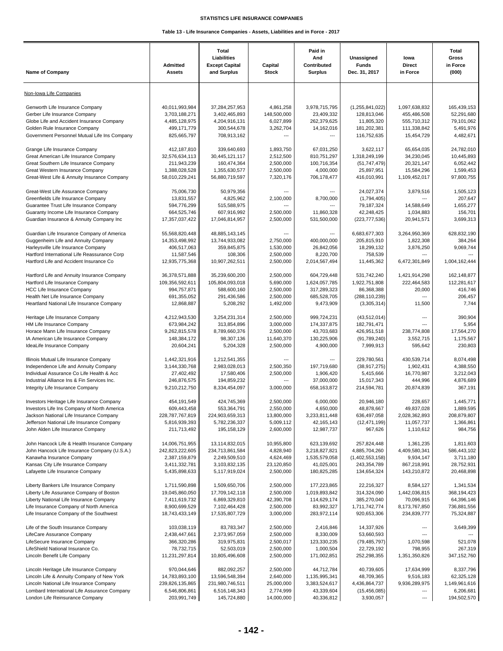| <b>Name of Company</b>                                                                                                                                                                                              | <b>Admitted</b><br><b>Assets</b>                                                | Total<br>Liabilities<br><b>Except Capital</b><br>and Surplus                   | Capital<br><b>Stock</b>                                              | Paid in<br>And<br>Contributed<br><b>Surplus</b>                   | Unassigned<br><b>Funds</b><br>Dec. 31, 2017                                | lowa<br><b>Direct</b><br>in Force                                        | Total<br>Gross<br>in Force<br>(000)                               |
|---------------------------------------------------------------------------------------------------------------------------------------------------------------------------------------------------------------------|---------------------------------------------------------------------------------|--------------------------------------------------------------------------------|----------------------------------------------------------------------|-------------------------------------------------------------------|----------------------------------------------------------------------------|--------------------------------------------------------------------------|-------------------------------------------------------------------|
| Non-Iowa Life Companies                                                                                                                                                                                             |                                                                                 |                                                                                |                                                                      |                                                                   |                                                                            |                                                                          |                                                                   |
| Genworth Life Insurance Company<br>Gerber Life Insurance Company<br>Globe Life and Accident Insurance Company<br>Golden Rule Insurance Company<br>Government Personnel Mutual Life Ins Company                      | 40,011,993,984<br>3,703,188,271<br>4,485,128,975<br>499,171,779<br>825.665.797  | 37,284,257,953<br>3,402,465,893<br>4,204,916,131<br>300,544,678<br>708,913,162 | 4,861,258<br>148,500,000<br>6,027,899<br>3,262,704<br>$\overline{a}$ | 3,978,715,795<br>23,409,332<br>262,379,625<br>14,162,016          | (1,255,841,022)<br>128,813,046<br>11,805,320<br>181,202,381<br>116,752,635 | 1,097,638,832<br>455,486,508<br>555,710,312<br>111,338,842<br>15,454,729 | 165,439,153<br>52,291,680<br>79,101,062<br>5,491,976<br>4,482,671 |
| Grange Life Insurance Company                                                                                                                                                                                       | 412,187,810                                                                     | 339,640,693                                                                    | 1,893,750                                                            | 67,031,250                                                        | 3,622,117                                                                  | 65,654,035                                                               | 24,782,010                                                        |
| Great American Life Insurance Company                                                                                                                                                                               | 32,576,634,113                                                                  | 30,445,121,117                                                                 | 2,512,500                                                            | 810,751,297                                                       | 1,318,249,199                                                              | 34,230,045                                                               | 10,445,893                                                        |
| Great Southern Life Insurance Company                                                                                                                                                                               | 211,943,239                                                                     | 160,474,364                                                                    | 2,500,000                                                            | 100,716,354                                                       | (51, 747, 479)                                                             | 20,321,147                                                               | 6,052,442                                                         |
| Great Western Insurance Company                                                                                                                                                                                     | 1,388,028,528                                                                   | 1,355,630,577                                                                  | 2,500,000                                                            | 4,000,000                                                         | 25,897,951                                                                 | 15,584,296                                                               | 1,599,453                                                         |
| Great-West Life & Annuity Insurance Company                                                                                                                                                                         | 58,010,229,241                                                                  | 56,880,719,597                                                                 | 7,320,176                                                            | 706,178,477                                                       | 416,010,991                                                                | 1,109,452,017                                                            | 97,800,755                                                        |
| Great-West Life Assurance Company<br>Greenfields Life Insurance Company<br>Guarantee Trust Life Insurance Company<br>Guaranty Income Life Insurance Company<br>Guardian Insurance & Annuity Company Inc             | 75,006,730<br>13,831,557<br>594.776.299<br>664,525,746<br>17,357,037,422        | 50,979,356<br>4,825,962<br>515,588,975<br>607,916,992<br>17,046,814,957        | ---<br>2,100,000<br>2,500,000<br>2,500,000                           | 8,700,000<br>11,860,328<br>531,500,000                            | 24,027,374<br>(1,794,405)<br>79,187,324<br>42,248,425<br>(223, 777, 536)   | 3,879,516<br>14,588,649<br>1,034,883<br>20,941,571                       | 1,505,123<br>207,647<br>1,655,277<br>156,701<br>3,699,313         |
| Guardian Life Insurance Company of America<br>Guggenheim Life and Annuity Company<br>Harleysville Life Insurance Company<br>Hartford International Life Reassurance Corp<br>Hartford Life and Accident Insurance Co | 55,568,820,448<br>14,353,498,992<br>406,517,063<br>11,587,546<br>12,935,775,368 | 48,885,143,145<br>13,744,933,082<br>359,845,875<br>108,306<br>10,907,262,511   | $\overline{a}$<br>2,750,000<br>1,530,000<br>2,500,000<br>2,500,000   | 400,000,000<br>26,842,056<br>8,220,700<br>2,014,567,494           | 6,683,677,303<br>205,815,910<br>18,299,132<br>758,539<br>11,445,362        | 3,264,950,369<br>1,822,308<br>3,876,250<br>6,472,301,849                 | 628,832,190<br>384,264<br>9,069,744<br>1,004,162,444              |
| Hartford Life and Annuity Insurance Company                                                                                                                                                                         | 36,378,571,888                                                                  | 35,239,600,200                                                                 | 2,500,000                                                            | 604,729,448                                                       | 531,742,240                                                                | 1,421,914,298                                                            | 162,148,877                                                       |
| Hartford Life Insurance Company                                                                                                                                                                                     | 109,356,592,611                                                                 | 105,804,093,018                                                                | 5,690,000                                                            | 1,624,057,785                                                     | 1,922,751,808                                                              | 222,464,583                                                              | 112,281,617                                                       |
| <b>HCC Life Insurance Company</b>                                                                                                                                                                                   | 994,757,871                                                                     | 588,600,160                                                                    | 2,500,000                                                            | 317,289,323                                                       | 86,368,388                                                                 | 20,000                                                                   | 416,746                                                           |
| Health Net Life Insurance Company                                                                                                                                                                                   | 691,355,052                                                                     | 291,436,586                                                                    | 2,500,000                                                            | 685,528,705                                                       | (288, 110, 239)                                                            | ---                                                                      | 206,457                                                           |
| Heartland National Life Insurance Company                                                                                                                                                                           | 12,868,887                                                                      | 5,208,292                                                                      | 1,492,000                                                            | 9,473,909                                                         | (3,305,314)                                                                | 11,500                                                                   | 7,744                                                             |
| Heritage Life Insurance Company                                                                                                                                                                                     | 4,212,943,530                                                                   | 3,254,231,314                                                                  | 2,500,000                                                            | 999,724,231                                                       | (43, 512, 014)                                                             | ---                                                                      | 390,904                                                           |
| HM Life Insurance Company                                                                                                                                                                                           | 673,984,242                                                                     | 313,854,896                                                                    | 3,000,000                                                            | 174,337,875                                                       | 182,791,471                                                                | ---                                                                      | 5,954                                                             |
| Horace Mann Life Insurance Company                                                                                                                                                                                  | 9,262,815,578                                                                   | 8,789,660,376                                                                  | 2,500,000                                                            | 43,703,683                                                        | 426,951,518                                                                | 238,774,808                                                              | 17,564,270                                                        |
| IA American Life Insurance Company                                                                                                                                                                                  | 148,384,172                                                                     | 98,307,136                                                                     | 11,640,370                                                           | 130,225,906                                                       | (91,789,240)                                                               | 3,552,715                                                                | 1,175,567                                                         |
| IdeaLife Insurance Company                                                                                                                                                                                          | 20,604,241                                                                      | 5,204,328                                                                      | 2,500,000                                                            | 4,900,000                                                         | 7,999,913                                                                  | 595,642                                                                  | 230,803                                                           |
| Illinois Mutual Life Insurance Company<br>Independence Life and Annuity Company<br>Individual Assurance Co Life Health & Acc<br>Industrial Alliance Ins & Fin Services Inc.<br>Integrity Life Insurance Company     | 1,442,321,916<br>3,144,330,768<br>27,402,492<br>246,876,575<br>9,210,212,750    | 1,212,541,355<br>2,983,028,013<br>17,580,406<br>194,859,232<br>8,334,454,097   | ---<br>2,500,350<br>2,500,000<br>$\overline{a}$<br>3,000,000         | 197,719,680<br>1,906,420<br>37,000,000<br>658,163,872             | 229,780,561<br>(38, 917, 275)<br>5,415,666<br>15,017,343<br>214,594,781    | 430,539,714<br>1,902,431<br>16,770,987<br>444,996<br>20,874,839          | 8,074,498<br>4,388,550<br>3,212,043<br>4,876,689<br>367,191       |
| Investors Heritage Life Insurance Company                                                                                                                                                                           | 454,191,549                                                                     | 424,745,369                                                                    | 2,500,000                                                            | 6,000,000                                                         | 20,946,180                                                                 | 228.657                                                                  | 1,445,771                                                         |
| Investors Life Ins Company of North America                                                                                                                                                                         | 609,443,458                                                                     | 553,364,791                                                                    | 2,550,000                                                            | 4,650,000                                                         | 48,878,667                                                                 | 49,837,028                                                               | 1,889,595                                                         |
| Jackson National Life Insurance Company                                                                                                                                                                             | 228,787,767,819                                                                 | 224,903,659,313                                                                | 13,800,000                                                           | 3,233,811,448                                                     | 636,497,058                                                                | 2,028,362,893                                                            | 208,879,807                                                       |
| Jefferson National Life Insurance Company                                                                                                                                                                           | 5,816,939,393                                                                   | 5,782,236,337                                                                  | 5,009,112                                                            | 42, 165, 143                                                      | (12, 471, 199)                                                             | 11,057,737                                                               | 1,366,861                                                         |
| John Alden Life Insurance Company                                                                                                                                                                                   | 211,713,492                                                                     | 195,158,129                                                                    | 2,600,000                                                            | 12,987,737                                                        | 967,626                                                                    | 1,110,612                                                                | 984,756                                                           |
| John Hancock Life & Health Insurance Company                                                                                                                                                                        | 14,006,751,955                                                                  | 13,114,832,015                                                                 | 10,955,800                                                           | 623,139,692                                                       | 257,824,448                                                                | 1,361,235                                                                | 1,811,603                                                         |
| John Hancock Life Insurance Company (U.S.A.)                                                                                                                                                                        | 242,823,222,605                                                                 | 234,713,861,584                                                                | 4.828.940                                                            | 3,218,827,821                                                     | 4,885,704,260                                                              | 4,409,580,341                                                            | 586,443,102                                                       |
| Kanawha Insurance Company                                                                                                                                                                                           | 2,387,159,879                                                                   | 2,249,509,510                                                                  | 4,624,469                                                            | 1,535,579,058                                                     | (1,402,553,158)                                                            | 9,934,147                                                                | 3,711,180                                                         |
| Kansas City Life Insurance Company                                                                                                                                                                                  | 3,411,332,781                                                                   | 3,103,832,135                                                                  | 23,120,850                                                           | 41,025,001                                                        | 243,354,789                                                                | 867,218,991                                                              | 28,752,931                                                        |
| Lafayette Life Insurance Company                                                                                                                                                                                    | 5,435,898,633                                                                   | 5,117,919,024                                                                  | 2,500,000                                                            | 180,825,285                                                       | 134,654,324                                                                | 143,210,872                                                              | 20,468,898                                                        |
| Liberty Bankers Life Insurance Company                                                                                                                                                                              | 1,711,590,898                                                                   | 1,509,650,706                                                                  | 2,500,000                                                            | 177,223,865                                                       | 22,216,327                                                                 | 8,584,127                                                                | 1,341,534                                                         |
| Liberty Life Assurance Company of Boston                                                                                                                                                                            | 19,045,860,050                                                                  | 17,709,142,118                                                                 | 2,500,000                                                            | 1,019,893,842                                                     | 314,324,090                                                                | 1,442,036,815                                                            | 368,194,423                                                       |
| Liberty National Life Insurance Company                                                                                                                                                                             | 7,411,619,732                                                                   | 6,869,329,810                                                                  | 42,390,708                                                           | 114,629,174                                                       | 385,270,040                                                                | 70,096,915                                                               | 64,396,146                                                        |
| Life Insurance Company of North America                                                                                                                                                                             | 8,900,699,529                                                                   | 7,102,464,428                                                                  | 2,500,000                                                            | 83,992,327                                                        | 1,711,742,774                                                              | 8,173,767,850                                                            | 736,881,556                                                       |
| Life Insurance Company of the Southwest                                                                                                                                                                             | 18,743,433,149                                                                  | 17,535,807,729                                                                 | 3,000,000                                                            | 283,972,114                                                       | 920,653,306                                                                | 234,839,777                                                              | 75,324,887                                                        |
| Life of the South Insurance Company<br>LifeCare Assurance Company<br>LifeSecure Insurance Company<br>LifeShield National Insurance Co.<br>Lincoln Benefit Life Company                                              | 103,038,119<br>2,438,447,661<br>366,320,286<br>78,732,715<br>11,231,297,814     | 83,783,347<br>2,373,957,059<br>319,975,831<br>52,503,019<br>10,805,496,608     | 2,500,000<br>2,500,000<br>2,500,017<br>2,500,000<br>2,500,000        | 2,416,846<br>8,330,009<br>123,330,235<br>1,000,504<br>171,002,851 | 14,337,926<br>53,660,593<br>(79, 485, 797)<br>22,729,192<br>252,298,355    | ---<br>---<br>1,070,598<br>798,955<br>1,351,350,826                      | 3,649,399<br>521,078<br>267,319<br>347, 152, 760                  |
| Lincoln Heritage Life Insurance Company                                                                                                                                                                             | 970,044,646                                                                     | 882,092,257                                                                    | 2,500,000                                                            | 44,712,784                                                        | 40,739,605                                                                 | 17,634,999                                                               | 8,337,796                                                         |
| Lincoln Life & Annuity Company of New York                                                                                                                                                                          | 14,783,893,100                                                                  | 13,596,548,394                                                                 | 2,640,000                                                            | 1,135,995,341                                                     | 48,709,365                                                                 | 9,516,183                                                                | 62,325,128                                                        |
| Lincoln National Life Insurance Company                                                                                                                                                                             | 239,826,135,865                                                                 | 231,980,746,511                                                                | 25,000,000                                                           | 3,383,524,617                                                     | 4,436,864,737                                                              | 9,936,289,975                                                            | 1,149,961,616                                                     |
| Lombard International Life Assurance Company                                                                                                                                                                        | 6,546,806,861                                                                   | 6,516,148,343                                                                  | 2,774,999                                                            | 43,339,604                                                        | (15, 456, 085)                                                             | ---                                                                      | 6,206,681                                                         |
| London Life Reinsurance Company                                                                                                                                                                                     | 203,991,749                                                                     | 145,724,880                                                                    | 14,000,000                                                           | 40,336,812                                                        | 3,930,057                                                                  | ---                                                                      | 194,502,570                                                       |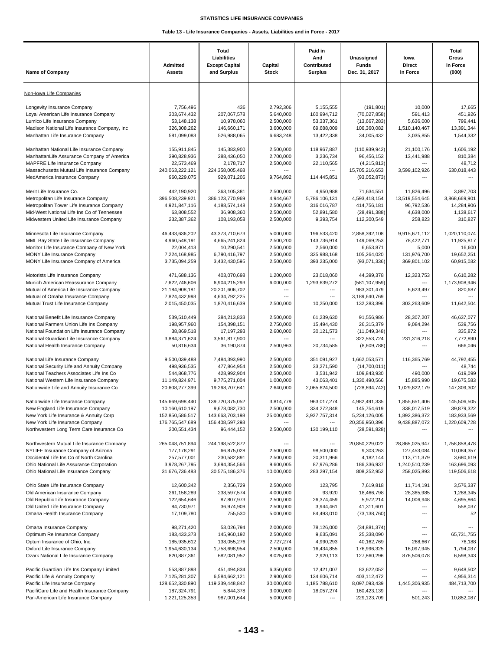| <b>Name of Company</b>                                                              | Admitted<br><b>Assets</b>    | Total<br>Liabilities<br><b>Except Capital</b><br>and Surplus | Capital<br><b>Stock</b>  | Paid in<br>And<br>Contributed<br><b>Surplus</b> | Unassigned<br><b>Funds</b><br>Dec. 31, 2017 | lowa<br><b>Direct</b><br>in Force | <b>Total</b><br>Gross<br>in Force<br>(000) |
|-------------------------------------------------------------------------------------|------------------------------|--------------------------------------------------------------|--------------------------|-------------------------------------------------|---------------------------------------------|-----------------------------------|--------------------------------------------|
| Non-Iowa Life Companies                                                             |                              |                                                              |                          |                                                 |                                             |                                   |                                            |
|                                                                                     |                              |                                                              |                          |                                                 |                                             |                                   | 17,665                                     |
| Longevity Insurance Company<br>Loyal American Life Insurance Company                | 7,756,496<br>303,674,432     | 436<br>207,067,578                                           | 2,792,306<br>5,640,000   | 5,155,555<br>160,994,712                        | (191, 801)<br>(70,027,858)                  | 10,000<br>591,413                 | 451,926                                    |
| Lumico Life Insurance Company                                                       | 53,148,138                   | 10,978,060                                                   | 2,500,000                | 53,337,361                                      | (13,667,283)                                | 5,636,000                         | 799,441                                    |
| Madison National Life Insurance Company, Inc.                                       | 326,308,262                  | 146,660,171                                                  | 3,600,000                | 69,688,009                                      | 106,360,082                                 | 1,510,140,467                     | 13,391,344                                 |
| Manhattan Life Insurance Company                                                    | 581,099,083                  | 526,988,065                                                  | 6,683,248                | 13,422,338                                      | 34,005,432                                  | 3,035,855                         | 1.544.332                                  |
| Manhattan National Life Insurance Company                                           | 155,911,845                  | 145,383,900                                                  | 2,500,000                | 118,967,887                                     | (110, 939, 942)                             | 21,100,176                        | 1,606,192                                  |
| ManhattanLife Assurance Company of America                                          | 390,828,936                  | 288,436,050                                                  | 2,700,000                | 3,236,734                                       | 96,456,152                                  | 13,441,988                        | 810,384                                    |
| MAPFRE Life Insurance Company                                                       | 22,573,469                   | 2,178,717                                                    | 2,500,000                | 22,110,565                                      | (4,215,813)                                 | $\overline{a}$                    | 48,712                                     |
| Massachusetts Mutual Life Insurance Company                                         | 240,063,222,121              | 224,358,005,468                                              | $\overline{\phantom{a}}$ |                                                 | 15,705,216,653                              | 3,599,102,926                     | 630,018,443                                |
| MedAmerica Insurance Company                                                        | 960,229,075                  | 929,071,206                                                  | 9,764,892                | 114,445,851                                     | (93,052,873)                                |                                   |                                            |
| Merit Life Insurance Co.                                                            | 442,190,920                  | 363,105,381                                                  | 2,500,000                | 4,950,988                                       | 71,634,551                                  | 11,826,496                        | 3,897,703                                  |
| Metropolitan Life Insurance Company                                                 | 396,508,239,921              | 386,123,770,969                                              | 4,944,667                | 5,786,106,131                                   | 4,593,418,154                               | 13,519,554,645                    | 3,868,669,901                              |
| Metropolitan Tower Life Insurance Company                                           | 4,921,847,116                | 4,188,574,148                                                | 2,500,000                | 316,016,787                                     | 414,756,181                                 | 96,792,536                        | 14,284,906                                 |
| Mid-West National Life Ins Co of Tennessee                                          | 63,808,552                   | 36,908,360                                                   | 2,500,000                | 52,891,580                                      | (28, 491, 388)                              | 4,638,000                         | 1,138,617                                  |
| Midwestern United Life Insurance Company                                            | 232,387,362                  | 108,193,058                                                  | 2,500,000                | 9,393,754                                       | 112,300,549                                 | 258,823                           | 310,827                                    |
| Minnesota Life Insurance Company                                                    | 46,433,636,202               | 43,373,710,673                                               | 5,000,000                | 196,533,420                                     | 2,858,392,108                               | 9,915,671,112                     | 1,020,110,074                              |
| MML Bay State Life Insurance Company                                                | 4,960,548,191                | 4,665,241,824                                                | 2.500.200                | 143,736,914                                     | 149,069,253                                 | 78,422,771                        | 11,925,817                                 |
| Monitor Life Insurance Company of New York                                          | 22,004,413                   | 10,290,541                                                   | 2,500,000                | 2,560,000                                       | 6,653,871                                   | 5,000                             | 16,600                                     |
| MONY Life Insurance Company                                                         | 7,224,168,985                | 6,790,416,797                                                | 2,500,000                | 325,988,168                                     | 105,264,020                                 | 131,976,700                       | 19,652,251                                 |
| MONY Life Insurance Company of America                                              | 3,735,094,259                | 3,432,430,595                                                | 2,500,000                | 393,235,000                                     | (93,071,336)                                | 369,801,102                       | 60,915,032                                 |
| Motorists Life Insurance Company                                                    | 471,688,136                  | 403,070,698                                                  | 1,200,000                | 23,018,060                                      | 44,399,378                                  | 12,323,753                        | 6.610.282                                  |
| Munich American Reassurance Company                                                 | 7,622,746,606                | 6,904,215,293                                                | 6,000,000                | 1,293,639,272                                   | (581, 107, 959)                             | ---                               | 1,173,908,946                              |
| Mutual of America Life Insurance Company                                            | 21,184,908,181               | 20,201,606,702                                               | ---                      | ---                                             | 983,301,479                                 | 6,623,497                         | 820,687                                    |
| Mutual of Omaha Insurance Company                                                   | 7,824,432,993                | 4,634,792,225                                                | $\overline{\phantom{a}}$ | ---                                             | 3,189,640,769                               | ---                               |                                            |
| Mutual Trust Life Insurance Company                                                 | 2,015,450,035                | 1,870,416,639                                                | 2,500,000                | 10,250,000                                      | 132,283,396                                 | 303,263,609                       | 11,642,504                                 |
| National Benefit Life Insurance Company                                             | 539,510,449                  | 384,213,833                                                  | 2,500,000                | 61,239,630                                      | 91,556,986                                  | 28,307,207                        | 46,637,077                                 |
| National Farmers Union Life Ins Company                                             | 198,957,960                  | 154,398,151                                                  | 2,750,000                | 15,494,430                                      | 26,315,379                                  | 9,084,294                         | 539,756                                    |
| National Foundation Life Insurance Company                                          | 38,869,518                   | 17, 197, 293                                                 | 2,600,000                | 30,121,573                                      | (11,049,348)                                | $\overline{a}$                    | 335,872                                    |
| National Guardian Life Insurance Company                                            | 3,884,371,624                | 3,561,817,900                                                | $\overline{\phantom{a}}$ | ---                                             | 322,553,724                                 | 231,316,218                       | 7,772,890                                  |
| National Health Insurance Company                                                   | 50,816,634                   | 36,190,874                                                   | 2,500,963                | 20,734,585                                      | (8,609,788)                                 | $\overline{a}$                    | 666,046                                    |
| National Life Insurance Company                                                     | 9,500,039,488                | 7,484,393,990                                                | 2,500,000                | 351,091,927                                     | 1,662,053,571                               | 116,365,769                       | 44,792,455                                 |
| National Security Life and Annuity Company                                          | 498,936,535                  | 477,864,954                                                  | 2,500,000                | 33,271,590                                      | (14,700,011)                                | ---                               | 48,744                                     |
| National Teachers Associates Life Ins Co                                            | 544,868,776                  | 428,992,904                                                  | 2.500.000                | 3,531,942                                       | 109,843,930                                 | 490,000                           | 619,099                                    |
| National Western Life Insurance Company                                             | 11,149,824,971               | 9,775,271,004                                                | 1,000,000                | 43,063,401                                      | 1,330,490,566                               | 15,885,990                        | 19,675,583                                 |
| Nationwide Life and Annuity Insurance Co                                            | 20,608,277,399               | 19,268,707,641                                               | 2,640,000                | 2,065,624,500                                   | (728, 694, 742)                             | 1,029,822,179                     | 147,309,302                                |
| Nationwide Life Insurance Company                                                   | 145,669,698,440              | 139,720,375,052                                              | 3,814,779                | 963,017,274                                     | 4,982,491,335                               | 1,855,651,406                     | 145,506,505                                |
| New England Life Insurance Company                                                  | 10,160,610,197               | 9,678,082,730                                                | 2,500,000                | 334,272,848                                     | 145,754,619                                 | 338,017,519                       | 39,879,322                                 |
| New York Life Insurance & Annuity Corp                                              | 152,850,586,517              | 143,663,703,198                                              | 25,000,000               | 3,927,757,314                                   | 5,234,126,005                               | 1,892,386,372                     | 183,933,569                                |
| New York Life Insurance Company                                                     | 176,765,547,689              | 156,408,597,293                                              | ---                      | ---                                             | 20,356,950,396                              | 9,438,887,072                     | 1,220,609,728                              |
| Northwestern Long Term Care Insurance Co                                            | 200,551,434                  | 96,444,152                                                   | 2,500,000                | 130,199,110                                     | (28, 591, 828)                              | ---                               |                                            |
| Northwestern Mutual Life Insurance Company                                          | 265,048,751,894              | 244,198,522,872                                              | ---                      | ---                                             | 20,850,229,022                              | 28,865,025,947                    | 1,758,858,478                              |
| NYLIFE Insurance Company of Arizona                                                 | 177, 178, 291                | 66,875,028                                                   | 2,500,000                | 98,500,000                                      | 9,303,263                                   | 127,453,084                       | 10,084,357                                 |
| Occidental Life Ins Co of North Carolina                                            | 257,577,001                  | 230,582,891                                                  | 2,500,000                | 20,311,966                                      | 4, 182, 144                                 | 113,711,379                       | 3,680,619                                  |
| Ohio National Life Assurance Corporation                                            | 3,978,267,795                | 3,694,354,566                                                | 9,600,005                | 87,976,286                                      | 186,336,937                                 | 1,240,510,239                     | 163,696,093                                |
| Ohio National Life Insurance Company                                                | 31,676,736,483               | 30,575,186,376                                               | 10,000,000               | 283,297,154                                     | 808,252,952                                 | 258,025,893                       | 119,506,618                                |
| Ohio State Life Insurance Company                                                   | 12,600,342                   | 2,356,729                                                    | 2,500,000                | 123,795                                         | 7,619,818                                   | 11,714,191                        | 3,576,337                                  |
| Old American Insurance Company                                                      | 261,158,289                  | 238,597,574                                                  | 4,000,000                | 93,920                                          | 18,466,798                                  | 28,365,985                        | 1,288,345                                  |
| Old Republic Life Insurance Company                                                 | 122,654,646                  | 87,807,973                                                   | 2,500,000                | 26,374,459                                      | 5,972,214                                   | 14,006,948                        | 4,695,864                                  |
| Old United Life Insurance Company                                                   | 84,730,971                   | 36,974,909                                                   | 2,500,000                | 3,944,461                                       | 41,311,601                                  | ---                               | 558,037                                    |
| Omaha Health Insurance Company                                                      | 17,109,780                   | 755,530                                                      | 5,000,000                | 84,493,010                                      | (73, 138, 760)                              | ---                               | 52                                         |
| Omaha Insurance Company                                                             | 98,271,420                   | 53,026,794                                                   | 2,000,000                | 78,126,000                                      | (34, 881, 374)                              | ---                               |                                            |
| Optimum Re Insurance Company                                                        | 183,433,373                  | 145,960,192                                                  | 2,500,000                | 9,635,091                                       | 25,338,090                                  | ---                               | 65,731,755                                 |
| Optum Insurance of Ohio, Inc.                                                       | 185,935,612                  | 138,055,276                                                  | 2,727,274                | 4,990,293                                       | 40,162,769                                  | 268,667                           | 76,188                                     |
| Oxford Life Insurance Company<br>Ozark National Life Insurance Company              | 1,954,630,134<br>820,887,361 | 1,758,698,954<br>682,081,952                                 | 2,500,000<br>8,025,000   | 16,434,855<br>2,920,113                         | 176,996,325<br>127,860,296                  | 16,097,945<br>876,506,078         | 1,794,037<br>6,598,343                     |
|                                                                                     |                              |                                                              |                          |                                                 |                                             |                                   |                                            |
| Pacific Guardian Life Ins Company Limited                                           | 553,887,893                  | 451,494,834                                                  | 6,350,000                | 12,421,007                                      | 83,622,052                                  | $\hspace{0.05cm} \ldots$          | 9,648,502                                  |
| Pacific Life & Annuity Company                                                      | 7,125,281,307                | 6,584,662,121                                                | 2,900,000                | 134,606,714                                     | 403,112,472                                 | ---                               | 4,956,314                                  |
| Pacific Life Insurance Company                                                      | 128,652,330,890              | 119,339,448,842                                              | 30,000,000               | 1,185,788,610                                   | 8,097,093,439                               | 1,445,306,935<br>$\overline{a}$   | 484,713,700                                |
| PacifiCare Life and Health Insurance Company<br>Pan-American Life Insurance Company | 187,324,791<br>1,221,125,353 | 5,844,378<br>987,001,644                                     | 3,000,000<br>5,000,000   | 18,057,274<br>---                               | 160,423,139<br>229,123,709                  | 501,243                           | 10,852,087                                 |
|                                                                                     |                              |                                                              |                          |                                                 |                                             |                                   |                                            |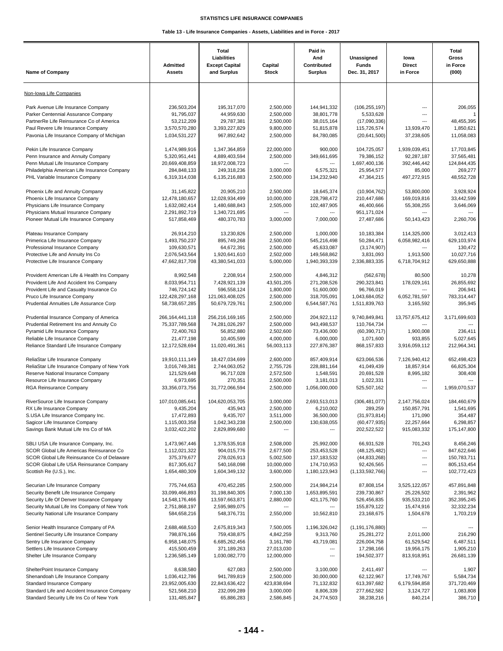| <b>Name of Company</b>                                                                  | <b>Admitted</b><br><b>Assets</b> | Total<br>Liabilities<br><b>Except Capital</b><br>and Surplus | Capital<br><b>Stock</b>     | Paid in<br>And<br>Contributed<br><b>Surplus</b> | Unassigned<br><b>Funds</b><br>Dec. 31, 2017 | lowa<br><b>Direct</b><br>in Force | Total<br>Gross<br>in Force<br>(000) |
|-----------------------------------------------------------------------------------------|----------------------------------|--------------------------------------------------------------|-----------------------------|-------------------------------------------------|---------------------------------------------|-----------------------------------|-------------------------------------|
| Non-Iowa Life Companies                                                                 |                                  |                                                              |                             |                                                 |                                             |                                   |                                     |
| Park Avenue Life Insurance Company                                                      | 236,503,204                      | 195,317,070                                                  | 2,500,000                   | 144,941,332                                     | (106, 255, 197)                             | ---                               | 206,055                             |
| Parker Centennial Assurance Company                                                     | 91,795,037                       | 44,959,630                                                   | 2,500,000                   | 38,801,778                                      | 5,533,628                                   | ---                               | $\overline{1}$                      |
| PartnerRe Life Reinsurance Co of America                                                | 53,212,209                       | 29,787,381                                                   | 2,500,000                   | 38,015,164                                      | (17,090,336)                                | ---                               | 48,455,395                          |
| Paul Revere Life Insurance Company<br>Pavonia Life Insurance Company of Michigan        | 3,570,570,280<br>1,034,531,227   | 3,393,227,829<br>967,892,642                                 | 9,800,000<br>2,500,000      | 51,815,878<br>84,780,085                        | 115,726,574<br>(20,641,500)                 | 13,939,470<br>37,238,605          | 1,850,621<br>11,058,083             |
| Pekin Life Insurance Company                                                            | 1,474,989,916                    | 1,347,364,859                                                | 22,000,000                  | 900,000                                         | 104,725,057                                 | 1,939,039,451                     | 17,703,845                          |
| Penn Insurance and Annuity Company                                                      | 5,320,951,441                    | 4,889,403,594                                                | 2,500,000                   | 349,661,695                                     | 79,386,152                                  | 92,287,187                        | 37,565,481                          |
| Penn Mutual Life Insurance Company                                                      | 20,669,408,859                   | 18,972,008,723                                               | $\overline{a}$              | ---                                             | 1,697,400,136                               | 392,446,442                       | 124,844,435                         |
| Philadelphia American Life Insurance Company                                            | 284,848,133                      | 249,318,236<br>6,135,216,883                                 | 3,000,000                   | 6,575,321                                       | 25,954,577                                  | 85,000                            | 269,277<br>48,552,728               |
| PHL Variable Insurance Company                                                          | 6,319,314,038                    |                                                              | 2,500,000                   | 134,232,940                                     | 47,364,215                                  | 497,272,915                       |                                     |
| Phoenix Life and Annuity Company                                                        | 31,145,822                       | 20,905,210                                                   | 2,500,000                   | 18,645,374                                      | (10,904,762)                                | 53,800,000                        | 3,928,924                           |
| Phoenix Life Insurance Company                                                          | 12,478,180,657                   | 12,028,934,499                                               | 10,000,000                  | 228,798,472                                     | 210,447,686                                 | 169,019,816                       | 33,442,599                          |
| Physicians Life Insurance Company                                                       | 1,632,082,414                    | 1,480,688,843                                                | 2,505,000<br>$\overline{a}$ | 102,487,905                                     | 46,400,666                                  | 55,308,255<br>$---$               | 3,646,069                           |
| Physicians Mutual Insurance Company<br>Pioneer Mutual Life Insurance Company            | 2,291,892,719<br>517,858,469     | 1,340,721,695<br>480,370,783                                 | 3,000,000                   | ---<br>7,000,000                                | 951,171,024<br>27,487,686                   | 50,143,423                        | 2,260,706                           |
|                                                                                         |                                  |                                                              |                             |                                                 |                                             |                                   |                                     |
| Plateau Insurance Company                                                               | 26,914,210                       | 13,230,826                                                   | 2,500,000<br>2,500,000      | 1,000,000<br>545,216,498                        | 10,183,384                                  | 114,325,000<br>6,058,982,416      | 3,012,413<br>629,103,974            |
| Primerica Life Insurance Company<br>Professional Insurance Company                      | 1,493,750,237<br>109.630.571     | 895,749,268<br>64,672,391                                    | 2,500,000                   | 45,633,087                                      | 50,284,471<br>(3, 174, 907)                 |                                   | 130.472                             |
| Protective Life and Annuity Ins Co                                                      | 2,076,543,564                    | 1,920,641,610                                                | 2,502,000                   | 149,568,862                                     | 3,831,093                                   | 1,913,500                         | 10,027,716                          |
| Protective Life Insurance Company                                                       | 47,662,817,708                   | 43,380,541,033                                               | 5,000,000                   | 1,940,393,339                                   | 2,336,883,335                               | 6,718,704,912                     | 629,650,888                         |
| Provident American Life & Health Ins Company                                            | 8,992,548                        | 2,208,914                                                    | 2,500,000                   | 4,846,312                                       | (562, 678)                                  | 80,500                            | 10,278                              |
| Provident Life And Accident Ins Company                                                 | 8,033,954,711                    | 7,428,921,139                                                | 43,501,205                  | 271,208,526                                     | 290,323,841                                 | 178,029,161                       | 26,855,692                          |
| Provident Life and Casualty Insurance Co                                                | 746,724,142                      | 596,558,124                                                  | 1,800,000                   | 51,600,000                                      | 96,766,019                                  | ---                               | 206,941                             |
| Pruco Life Insurance Company                                                            | 122,428,297,168                  | 121,063,408,025                                              | 2,500,000                   | 318,705,091                                     | 1,043,684,052                               | 6,052,781,597                     | 783,314,447                         |
| Prudential Annuities Life Assurance Corp                                                | 58,738,657,285                   | 50,679,729,761                                               | 2,500,000                   | 6,544,587,761                                   | 1,511,839,763                               | 3,165,592                         | 395,945                             |
| Prudential Insurance Company of America                                                 | 266, 164, 441, 118               | 256,216,169,165                                              | 2,500,000                   | 204,922,112                                     | 9,740,849,841                               | 13,757,675,412                    | 3,171,699,603                       |
| Prudential Retirement Ins and Annuity Co                                                | 75,337,789,568                   | 74,281,026,297                                               | 2,500,000                   | 943,498,537                                     | 110,764,734                                 |                                   |                                     |
| Pyramid Life Insurance Company                                                          | 72,400,763                       | 56,852,880<br>10,405,599                                     | 2,502,600<br>4,000,000      | 73,436,000                                      | (60, 390, 717)                              | 1,900,008<br>933,855              | 236,411<br>5,027,645                |
| Reliable Life Insurance Company<br>Reliance Standard Life Insurance Company             | 21,477,198<br>12,172,528,694     | 11,020,491,361                                               | 56,003,113                  | 6,000,000<br>227,876,387                        | 1,071,600<br>868,157,833                    | 3,916,059,112                     | 212,964,341                         |
|                                                                                         | 19.910.111.149                   | 18,427,034,699                                               |                             |                                                 | 623,066,536                                 |                                   |                                     |
| ReliaStar Life Insurance Company<br>ReliaStar Life Insurance Company of New York        | 3,016,749,381                    | 2,744,063,052                                                | 2,600,000<br>2,755,726      | 857,409,914<br>228,881,164                      | 41,049,439                                  | 7,126,940,412<br>18,857,914       | 652,498,423<br>66,825,304           |
| Reserve National Insurance Company                                                      | 121,529,648                      | 96,717,028                                                   | 2,572,500                   | 1,548,591                                       | 20,691,528                                  | 8,995,182                         | 308,408                             |
| Resource Life Insurance Company                                                         | 6.973.695                        | 270.351                                                      | 2,500,000                   | 3,181,013                                       | 1,022,331                                   | ---                               |                                     |
| RGA Reinsurance Company                                                                 | 33,356,073,756                   | 31,772,066,594                                               | 2,500,000                   | 1,056,000,000                                   | 525,507,162                                 | ---                               | 1,959,070,537                       |
| RiverSource Life Insurance Company                                                      | 107.010.085.641                  | 104,620,053,705                                              | 3,000,000                   | 2,693,513,013                                   | (306, 481, 077)                             | 2,147,756,024                     | 184,460,679                         |
| RX Life Insurance Company                                                               | 9,435,204                        | 435,943                                                      | 2,500,000                   | 6,210,002                                       | 289,259                                     | 150,857,791                       | 1,541,695                           |
| S.USA Life Insurance Company Inc.                                                       | 17,472,893                       | 9,435,707                                                    | 3,511,000                   | 36,500,000                                      | (31, 973, 814)                              | 171,090                           | 354,487                             |
| Sagicor Life Insurance Company<br>Savings Bank Mutual Life Ins Co of MA                 | 1,115,003,358<br>3,032,422,202   | 1,042,343,238<br>2,829,899,680                               | 2,500,000<br>---            | 130,638,055<br>---                              | (60, 477, 935)<br>202,522,522               | 22,257,664<br>915,083,332         | 6,298,857<br>175,147,800            |
|                                                                                         |                                  |                                                              |                             |                                                 |                                             |                                   |                                     |
| SBLI USA Life Insurance Company, Inc.                                                   | 1,473,967,446                    | 1,378,535,918                                                | 2,508,000                   | 25,992,000                                      | 66,931,528                                  | 701,243                           | 8,456,246                           |
| SCOR Global Life Americas Reinsurance Co                                                | 1,112,021,322                    | 904,015,776                                                  | 2,677,500                   | 253,453,528                                     | (48, 125, 482)                              | ---                               | 847,622,646                         |
| SCOR Global Life Reinsurance Co of Delaware<br>SCOR Global Life USA Reinsurance Company | 375,379,677<br>817,305,617       | 278,026,913<br>540,168,098                                   | 5,002,500<br>10,000,000     | 137, 183, 532<br>174,710,953                    | (44, 833, 268)<br>92,426,565                | ---<br>---                        | 150,783,711<br>805,153,454          |
| Scottish Re (U.S.), Inc.                                                                | 1,654,480,309                    | 1,604,349,132                                                | 3,600,000                   | 1,180,123,943                                   | (1, 133, 592, 766)                          | ---                               | 102,772,423                         |
|                                                                                         |                                  |                                                              |                             |                                                 |                                             |                                   |                                     |
| Securian Life Insurance Company<br>Security Benefit Life Insurance Company              | 775,744,653<br>33,099,466,893    | 470,452,285<br>31,198,840,305                                | 2,500,000<br>7,000,130      | 214,984,214<br>1,653,895,591                    | 87,808,154<br>239,730,867                   | 3,525,122,057<br>25,226,502       | 457,891,848<br>2,391,962            |
| Security Life Of Denver Insurance Company                                               | 14,548,176,466                   | 13,597,663,871                                               | 2,880,000                   | 421,175,760                                     | 526,456,835                                 | 935,533,210                       | 352,395,245                         |
| Security Mutual Life Ins Company of New York                                            | 2,751,868,197                    | 2,595,989,075                                                | $\overline{a}$              |                                                 | 155,879,122                                 | 15,474,916                        | 32,332,234                          |
| Security National Life Insurance Company                                                | 584,658,216                      | 548,376,731                                                  | 2,550,000                   | 10,562,810                                      | 23,168,675                                  | 1,504,678                         | 1,703,219                           |
| Senior Health Insurance Company of PA                                                   | 2,688,468,510                    | 2,675,819,343                                                | 7,500,005                   | 1,196,326,042                                   | (1, 191, 176, 880)                          |                                   |                                     |
| Sentinel Security Life Insurance Company                                                | 798,876,166                      | 759,438,875                                                  | 4,842,259                   | 9,313,760                                       | 25,281,272                                  | 2,011,000                         | 216,290                             |
| Sentry Life Insurance Company                                                           | 6,958,148,075                    | 6,685,262,456                                                | 3,161,780                   | 43,719,081                                      | 226,004,758                                 | 61,529,542                        | 6,487,511                           |
| Settlers Life Insurance Company<br>Shelter Life Insurance Company                       | 415,500,459<br>1,236,585,149     | 371,189,263<br>1,030,082,770                                 | 27,013,030<br>12,000,000    | $\overline{a}$<br>---                           | 17,298,166<br>194,502,377                   | 19,956,175<br>813,918,951         | 1,905,210<br>26,681,139             |
|                                                                                         |                                  |                                                              |                             |                                                 |                                             |                                   |                                     |
| ShelterPoint Insurance Company                                                          | 8,638,580                        | 627,083                                                      | 2,500,000                   | 3,100,000                                       | 2,411,497                                   |                                   | 1,907                               |
| Shenandoah Life Insurance Company<br>Standard Insurance Company                         | 1,036,412,786<br>23,952,005,630  | 941,789,819<br>22,843,636,422                                | 2,500,000<br>423,838,694    | 30,000,000<br>71,132,832                        | 62,122,967<br>613,397,682                   | 17,749,767<br>6,179,594,858       | 5,584,734<br>371,720,469            |
| Standard Life and Accident Insurance Company                                            | 521,568,210                      | 232,099,289                                                  | 3,000,000                   | 8,806,339                                       | 277,662,582                                 | 3,124,727                         | 1,083,808                           |
| Standard Security Life Ins Co of New York                                               | 131,485,847                      | 65,886,283                                                   | 2,586,845                   | 24,774,503                                      | 38,238,216                                  | 840,214                           | 386,710                             |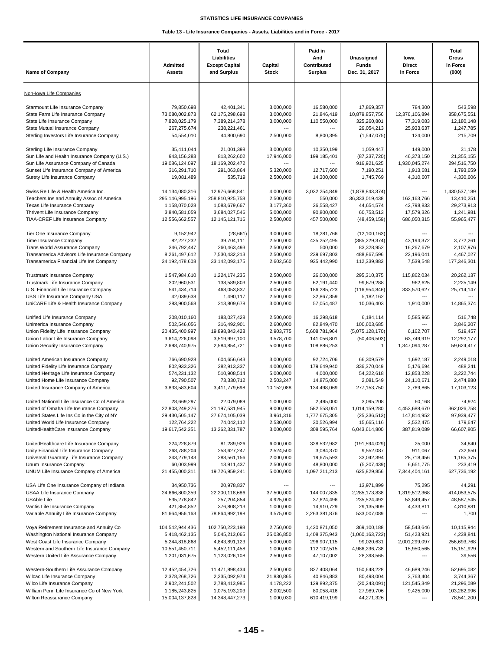| <b>Name of Company</b>                                                                                                                  | <b>Admitted</b><br>Assets                                    | Total<br>Liabilities<br><b>Except Capital</b><br>and Surplus | Capital<br><b>Stock</b>                               | Paid in<br>And<br>Contributed<br><b>Surplus</b> | Unassigned<br><b>Funds</b><br>Dec. 31, 2017               | lowa<br><b>Direct</b><br>in Force                     | Total<br>Gross<br>in Force<br>(000)               |
|-----------------------------------------------------------------------------------------------------------------------------------------|--------------------------------------------------------------|--------------------------------------------------------------|-------------------------------------------------------|-------------------------------------------------|-----------------------------------------------------------|-------------------------------------------------------|---------------------------------------------------|
| Non-Iowa Life Companies                                                                                                                 |                                                              |                                                              |                                                       |                                                 |                                                           |                                                       |                                                   |
| Starmount Life Insurance Company<br>State Farm Life Insurance Company<br>State Life Insurance Company<br>State Mutual Insurance Company | 79,850,698<br>73,080,002,873<br>7,828,025,179<br>267,275,674 | 42,401,341<br>62,175,298,698<br>7,389,214,378<br>238,221,461 | 3,000,000<br>3,000,000<br>3,000,000<br>$\overline{a}$ | 16,580,000<br>21,846,419<br>110,550,000         | 17,869,357<br>10,879,857,756<br>325,260,801<br>29,054,213 | 784,300<br>12,376,106,894<br>77,319,083<br>25,933,637 | 543,598<br>858,675,551<br>12,180,148<br>1,247,785 |
| Sterling Investors Life Insurance Company                                                                                               | 54,554,010                                                   | 44,800,690                                                   | 2.500.000                                             | 8.800.395                                       | (1,547,075)                                               | 124,000                                               | 215,709                                           |
| Sterling Life Insurance Company                                                                                                         | 35,411,044                                                   | 21,001,398                                                   | 3,000,000                                             | 10,350,199                                      | 1,059,447                                                 | 149,000                                               | 31,178                                            |
| Sun Life and Health Insurance Company (U.S.)                                                                                            | 943,156,283                                                  | 813,262,602                                                  | 17,946,000                                            | 199,185,401                                     | (87, 237, 720)                                            | 46,373,150                                            | 21,355,155                                        |
| Sun Life Assurance Company of Canada                                                                                                    | 19,086,124,097                                               | 18, 169, 202, 472                                            | $\overline{a}$                                        | ---                                             | 916,921,625                                               | 1,930,045,274                                         | 294,516,750                                       |
| Sunset Life Insurance Company of America                                                                                                | 316,291,710                                                  | 291,063,864                                                  | 5,320,000                                             | 12,717,600                                      | 7,190,251                                                 | 1,913,681                                             | 1,793,659                                         |
| Surety Life Insurance Company                                                                                                           | 19,081,489                                                   | 535,719                                                      | 2,500,000                                             | 14,300,000                                      | 1,745,769                                                 | 4,310,607                                             | 4,330,606                                         |
| Swiss Re Life & Health America Inc.                                                                                                     | 14,134,080,316                                               | 12,976,668,841                                               | 4,000,000                                             | 3,032,254,849                                   | (1,878,843,374)                                           | ---                                                   | 1,430,537,189                                     |
| Teachers Ins and Annuity Assoc of America                                                                                               | 295,146,995,196                                              | 258,810,925,758                                              | 2,500,000                                             | 550,000                                         | 36,333,019,438                                            | 162, 163, 766                                         | 13,410,251                                        |
| Texas Life Insurance Company                                                                                                            | 1,158,070,028                                                | 1,083,679,667                                                | 3,177,360                                             | 26,558,427                                      | 44,654,574                                                | 42,798,833                                            | 29,273,913                                        |
| Thrivent Life Insurance Company                                                                                                         | 3,840,581,059                                                | 3,684,027,546                                                | 5,000,000                                             | 90,800,000                                      | 60,753,513                                                | 17,579,326                                            | 1,241,981                                         |
| TIAA-CREF Life Insurance Company                                                                                                        | 12,556,662,557                                               | 12, 145, 121, 716                                            | 2,500,000                                             | 457,500,000                                     | (48, 459, 159)                                            | 686,050,315                                           | 55,965,477                                        |
| Tier One Insurance Company<br>Time Insurance Company<br>Trans World Assurance Company                                                   | 9,152,942<br>82,227,232<br>346,792,447                       | (28, 661)<br>39,704,111<br>260,463,493                       | 3,000,000<br>2,500,000<br>2,500,002                   | 18,281,766<br>425,252,495<br>500,000            | (12, 100, 163)<br>(385, 229, 374)<br>83,328,952           | 43,194,372<br>16,267,679                              | 3.772.261<br>2.107.976                            |
| Transamerica Advisors Life Insurance Company                                                                                            | 8,261,497,612                                                | 7,530,432,213                                                | 2,500,000                                             | 239,697,803                                     | 488,867,596                                               | 22,196,041                                            | 4,467,027                                         |
| Transamerica Financial Life Ins Company                                                                                                 | 34,192,478,608                                               | 33, 142, 093, 175                                            | 2,602,560                                             | 935,442,990                                     | 112,339,883                                               | 7,539,548                                             | 177,346,301                                       |
| <b>Trustmark Insurance Company</b><br>Trustmark Life Insurance Company<br>U.S. Financial Life Insurance Company                         | 1,547,984,610<br>302,960,531<br>541,434,714                  | 1,224,174,235<br>138,589,803<br>468,053,837                  | 2.500.000<br>2,500,000<br>4,050,000                   | 26,000,000<br>62,191,440<br>186,285,723         | 295,310,375<br>99,679,288<br>(116, 954, 846)              | 115,862,034<br>962,625<br>333,570,627<br>---          | 20,262,137<br>2,225,149<br>25,714,147             |
| UBS Life Insurance Company USA<br>UniCARE Life & Health Insurance Company                                                               | 42,039,638<br>283,900,568                                    | 1,490,117<br>213,809,678                                     | 2,500,000<br>3,000,000                                | 32,867,359<br>57,054,487                        | 5,182,162<br>10,036,403                                   | 1,910,000                                             | 14,865,374                                        |
| Unified Life Insurance Company<br>Unimerica Insurance Company<br>Union Fidelity Life Insurance Company                                  | 208,010,160<br>502,546,056<br>20,435,400,997                 | 183,027,428<br>316,492,901<br>19,898,843,428                 | 2,500,000<br>2,600,000<br>2,903,775                   | 16,298,618<br>82,849,470<br>5,608,781,964       | 6,184,114<br>100,603,685<br>(5,075,128,170)               | 5,585,965<br>6,162,707                                | 516,748<br>3,846,207<br>519,457                   |
| Union Labor Life Insurance Company                                                                                                      | 3,614,226,098                                                | 3,519,997,100                                                | 3,578,700                                             | 141,056,801                                     | (50, 406, 503)                                            | 63,749,919                                            | 12,292,177                                        |
| Union Security Insurance Company                                                                                                        | 2,698,740,975                                                | 2,584,854,721                                                | 5,000,000                                             | 108,886,253                                     | $\mathbf{1}$                                              | 1,347,094,287                                         | 59,624,417                                        |
| United American Insurance Company                                                                                                       | 766,690,928                                                  | 604,656,643                                                  | 3.000.000                                             | 92,724,706                                      | 66,309,579                                                | 1,692,187                                             | 2,249,018                                         |
| United Fidelity Life Insurance Company                                                                                                  | 802,933,326                                                  | 282,913,337                                                  | 4,000,000                                             | 179,649,940                                     | 336,370,049                                               | 5,176,694                                             | 488,241                                           |
| United Heritage Life Insurance Company                                                                                                  | 574,231,132                                                  | 510,908,514                                                  | 5,000,000                                             | 4,000,000                                       | 54,322,618                                                | 12,853,228                                            | 3,222,744                                         |
| United Home Life Insurance Company                                                                                                      | 92,790,507                                                   | 73,330,712                                                   | 2,503,247                                             | 14,875,000                                      | 2.081.549                                                 | 24,110,671                                            | 2,474,880                                         |
| United Insurance Company of America                                                                                                     | 3,833,583,604                                                | 3,411,779,698                                                | 10,152,088                                            | 134,498,069                                     | 277, 153, 750                                             | 2,769,865                                             | 17,103,123                                        |
| United National Life Insurance Co of America                                                                                            | 28,669,297                                                   | 22.079.089                                                   | 1,000,000                                             | 2.495.000                                       | 3.095.208                                                 | 60,168                                                | 74,924                                            |
| United of Omaha Life Insurance Company                                                                                                  | 22,803,249,276                                               | 21,197,531,945                                               | 9,000,000                                             | 582,558,051                                     | 1,014,159,280                                             | 4,453,688,670                                         | 362,026,758                                       |
| United States Life Ins Co in the City of NY                                                                                             | 29,430,505,147                                               | 27,674,105,039                                               | 3,961,316                                             | 1,777,675,305                                   | (25, 236, 513)                                            | 147,814,952                                           | 97,939,477                                        |
| United World Life Insurance Company                                                                                                     | 122,764,222                                                  | 74,042,112                                                   | 2,530,000                                             | 30,526,994                                      | 15,665,116                                                | 2,532,475                                             | 179,647                                           |
| UnitedHealthCare Insurance Company                                                                                                      | 19,617,542,351                                               | 13,262,331,787                                               | 3,000,000                                             | 308,595,764                                     | 6,043,614,800                                             | 387,819,089                                           | 66,607,805                                        |
| UnitedHealthcare Life Insurance Company                                                                                                 | 224,228,879                                                  | 81,289,926                                                   | 6,000,000                                             | 328,532,982                                     | (191, 594, 029)                                           | 25,000                                                | 34,840                                            |
| Unity Financial Life Insurance Company                                                                                                  | 268,788,204                                                  | 253,627,247                                                  | 2,524,500                                             | 3,084,370                                       | 9,552,087                                                 | 911,067                                               | 732,650                                           |
| Universal Guaranty Life Insurance Company                                                                                               | 343,279,143                                                  | 288,561,156                                                  | 2,000,000                                             | 19,675,593                                      | 33,042,394                                                | 28,718,456                                            | 1,185,375                                         |
| Unum Insurance Company                                                                                                                  | 60,003,999                                                   | 13,911,437                                                   | 2,500,000                                             | 48,800,000                                      | (5,207,439)                                               | 6,651,775                                             | 233,419                                           |
| UNUM Life Insurance Company of America                                                                                                  | 21,455,000,311                                               | 19,726,959,241                                               | 5,000,000                                             | 1,097,211,213                                   | 625,829,856                                               | 7,344,404,161                                         | 627,736,192                                       |
| USA Life One Insurance Company of Indiana                                                                                               | 34,950,736                                                   | 20,978,837                                                   | ---                                                   | ---                                             | 13,971,899                                                | 75,295                                                | 44,291                                            |
| USAA Life Insurance Company                                                                                                             | 24,666,800,359                                               | 22,200,118,686                                               | 37,500,000                                            | 144,007,835                                     | 2,285,173,838                                             | 1,319,512,368                                         | 414,053,575                                       |
| <b>USAble Life</b>                                                                                                                      | 535,278,842                                                  | 257,204,854                                                  | 4,925,000                                             | 37,624,496                                      | 235,524,492                                               | 53,849,457                                            | 48,587,545                                        |
| Vantis Life Insurance Company                                                                                                           | 421,854,852                                                  | 376,808,213                                                  | 1,000,000                                             | 14,910,729                                      | 29,135,909                                                | 4,433,811                                             | 4,810,881                                         |
| Variable Annuity Life Insurance Company                                                                                                 | 81,664,956,163                                               | 78,864,992,198                                               | 3,575,000                                             | 2,263,381,876                                   | 533,007,089                                               | ---                                                   | 1,700                                             |
| Voya Retirement Insurance and Annuity Co                                                                                                | 104,542,944,436                                              | 102,750,223,198                                              | 2,750,000                                             | 1,420,871,050                                   | 369,100,188                                               | 58,543,646                                            | 10,115,944                                        |
| Washington National Insurance Company                                                                                                   | 5,418,462,135                                                | 5,045,213,065                                                | 25,036,850                                            | 1,408,375,943                                   | (1,060,163,723)                                           | 51,423,921                                            | 4,238,841                                         |
| West Coast Life Insurance Company<br>Western and Southern Life Insurance Company<br>Western United Life Assurance Company               | 5,244,818,868<br>10,551,450,711<br>1,201,031,675             | 4,843,891,123<br>5,452,111,458<br>1,123,026,108              | 5,000,000<br>1,000,000<br>2,500,000                   | 296,907,115<br>112,102,515<br>47,107,002        | 99,020,631<br>4,986,236,738<br>28,398,565                 | 2,001,299,097<br>15,950,565                           | 256,693,768<br>15,151,929<br>39,556               |
| Western-Southern Life Assurance Company                                                                                                 | 12,452,454,726                                               | 11,471,898,434                                               | 2,500,000                                             | 827,408,064                                     | 150,648,228                                               | 46,689,246                                            | 52,695,032                                        |
| Wilcac Life Insurance Company                                                                                                           | 2,378,268,726                                                | 2,235,092,974                                                | 21,830,865                                            | 40,846,883                                      | 80,498,004                                                | 3,763,404                                             | 3,744,367                                         |
| Wilco Life Insurance Company                                                                                                            | 2,902,241,502                                                | 2,788,413,985                                                | 4,178,222                                             | 129,892,375                                     | (20, 243, 091)                                            | 121,545,349                                           | 21,296,089                                        |
| William Penn Life Insurance Co of New York                                                                                              | 1,185,243,825                                                | 1,075,193,203                                                | 2,002,500                                             | 80,058,416                                      | 27,989,706                                                | 9,425,000                                             | 103,282,996                                       |
| Wilton Reassurance Company                                                                                                              | 15,004,137,828                                               | 14, 348, 447, 273                                            | 1,000,030                                             | 610,419,199                                     | 44,271,326                                                | ---                                                   | 78,541,200                                        |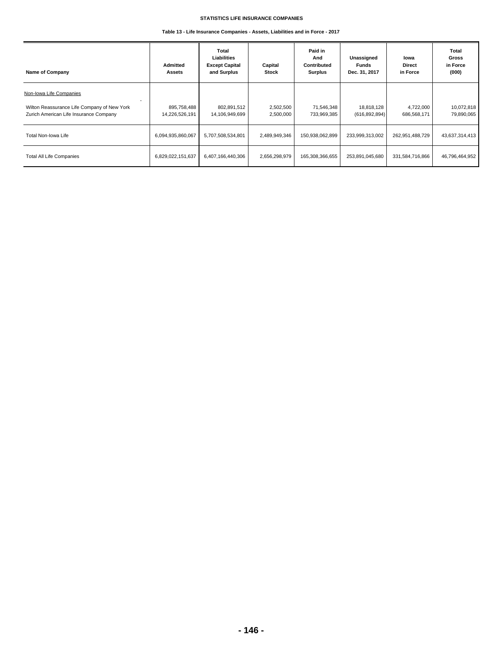**Table 13 - Life Insurance Companies - Assets, Liabilities and in Force - 2017**

| Name of Company                                                                                                  | Admitted<br>Assets            | Total<br><b>Liabilities</b><br><b>Except Capital</b><br>and Surplus | Capital<br><b>Stock</b> | Paid in<br>And<br>Contributed<br><b>Surplus</b> | Unassigned<br><b>Funds</b><br>Dec. 31, 2017 | lowa<br><b>Direct</b><br>in Force | <b>Total</b><br>Gross<br>in Force<br>(000) |
|------------------------------------------------------------------------------------------------------------------|-------------------------------|---------------------------------------------------------------------|-------------------------|-------------------------------------------------|---------------------------------------------|-----------------------------------|--------------------------------------------|
| Non-Iowa Life Companies<br>Wilton Reassurance Life Company of New York<br>Zurich American Life Insurance Company | 895,758,488<br>14,226,526,191 | 802,891,512<br>14,106,949,699                                       | 2,502,500<br>2,500,000  | 71,546,348<br>733,969,385                       | 18,818,128<br>(616, 892, 894)               | 4,722,000<br>686,568,171          | 10,072,818<br>79,890,065                   |
| Total Non-Iowa Life                                                                                              | 6,094,935,860,067             | 5,707,508,534,801                                                   | 2,489,949,346           | 150,938,062,899                                 | 233,999,313,002                             | 262,951,488,729                   | 43,637,314,413                             |
| <b>Total All Life Companies</b>                                                                                  | 6,829,022,151,637             | 6,407,166,440,306                                                   | 2,656,298,979           | 165,308,366,655                                 | 253,891,045,680                             | 331,584,716,866                   | 46,796,464,952                             |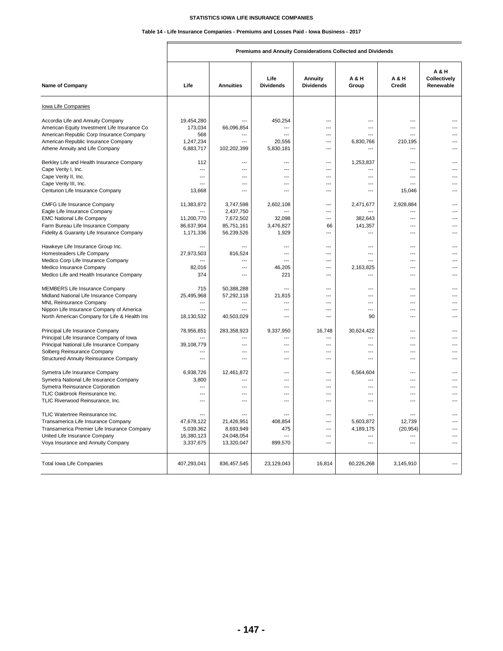# **Table 14 - Life Insurance Companies - Premiums and Losses Paid - Iowa Business - 2017**

| Name of Company                              | Life                     | <b>Annuities</b>                 | Life<br><b>Dividends</b> | Annuity<br><b>Dividends</b> | A & H<br>Group        | A & H<br>Credit                  | <b>A&amp;H</b><br>Collectively<br>Renewable |
|----------------------------------------------|--------------------------|----------------------------------|--------------------------|-----------------------------|-----------------------|----------------------------------|---------------------------------------------|
| Iowa Life Companies                          |                          |                                  |                          |                             |                       |                                  |                                             |
| Accordia Life and Annuity Company            | 19,454,280               | ---                              | 450,254                  | ---                         | $\overline{a}$        | ---                              |                                             |
| American Equity Investment Life Insurance Co | 173,034                  | 66,096,854                       | ---                      | …                           |                       | ---                              |                                             |
| American Republic Corp Insurance Company     | 568                      | ---                              |                          | ---                         |                       |                                  |                                             |
| American Republic Insurance Company          | 1,247,234                | ---                              | 20.556                   | ---                         | 6.830.766             | 210.195                          |                                             |
| Athene Annuity and Life Company              | 6,883,717                | 102,202,399                      | 5,830,181                | ---                         | ---                   | ---                              |                                             |
| Berkley Life and Health Insurance Company    | 112                      | ---                              | ---                      | ---                         | 1,253,837             | $---$                            |                                             |
| Cape Verity I, Inc.                          | $\overline{\phantom{a}}$ | ---                              | ---                      | ---                         | $\overline{a}$        | ---                              |                                             |
| Cape Verity II, Inc.                         | $---$                    | $---$                            | $- - -$                  | $---$                       | $---$                 | $-$ --                           | ---                                         |
| Cape Verity III, Inc.                        | $\overline{a}$           | ---                              | $\overline{a}$           | $\overline{a}$              | $\overline{a}$        | $\overline{a}$                   | ---                                         |
| Centurion Life Insurance Company             | 13,668                   | $\overline{a}$                   | ---                      | ---                         | $\overline{a}$        | 15,046                           |                                             |
| <b>CMFG Life Insurance Company</b>           | 11,383,872               | 3,747,598                        | 2,602,108                | ---                         | 2,471,677             | 2,928,884                        |                                             |
| Eagle Life Insurance Company                 | ---                      | 2,437,750                        | ---                      | $\overline{a}$              |                       | $\overline{a}$                   | ---                                         |
| <b>EMC National Life Company</b>             | 11,200,770               | 7,672,502                        | 32,098                   | $\overline{a}$              | 382,643               | $\sim$                           |                                             |
| Farm Bureau Life Insurance Company           | 86,637,904               | 85,751,161                       | 3,476,827                | 66                          | 141,357               | ---                              |                                             |
| Fidelity & Guaranty Life Insurance Company   | 1,171,336                | 56,239,526                       | 1,929                    | ---                         | $\overline{a}$        | $\overline{\phantom{a}}$         |                                             |
| Hawkeye Life Insurance Group Inc.            |                          |                                  | ---                      |                             | $\overline{a}$        | ---                              |                                             |
| Homesteaders Life Company                    | 27,973,503               | 816,524                          | ---                      | ---                         | ---                   | ---                              |                                             |
| Medico Corp Life Insurance Company           |                          | $\overline{a}$                   | $\overline{a}$           | ---                         | $---$                 | $\overline{a}$                   |                                             |
| Medico Insurance Company                     | 82,016                   | $\overline{a}$                   | 46,205                   | ---                         | 2,163,825             | ---                              |                                             |
| Medico Life and Health Insurance Company     | 374                      | $---$                            | 221                      | ---                         | $\overline{a}$        | ---                              |                                             |
| <b>MEMBERS Life Insurance Company</b>        | 715                      | 50,388,288                       | $\overline{a}$           | ---                         | $\overline{a}$        | $\overline{a}$                   |                                             |
| Midland National Life Insurance Company      | 25,495,968               | 57,292,118                       | 21,815                   | ---                         | $---$                 | ---                              |                                             |
| <b>MNL Reinsurance Company</b>               | ---                      | $\overline{a}$                   | ---                      | $\overline{a}$              | $---$                 | $\overline{a}$                   | ---                                         |
| Nippon Life Insurance Company of America     |                          |                                  | ---                      | ---                         | ---                   | ---                              |                                             |
| North American Company for Life & Health Ins | 18,130,532               | 40,503,029                       | ---                      | $\overline{a}$              | 90                    | $\overline{a}$                   | ---                                         |
| Principal Life Insurance Company             | 78,956,851               | 283,358,923                      | 9,337,950                | 16,748                      | 30,624,422            | ---                              |                                             |
| Principal Life Insurance Company of Iowa     |                          | ---                              | ---                      | ---                         | $\overline{a}$        | $\sim$                           |                                             |
| Principal National Life Insurance Company    | 39,108,779               | $---$                            | ---                      | $\overline{a}$              | $\sim$                | $\sim$                           |                                             |
| Solberg Reinsurance Company                  |                          | $\overline{a}$                   | ---                      | ---                         |                       | ---                              |                                             |
| Structured Annuity Reinsurance Company       | ---                      | ---                              | ---                      | ---                         | ---                   | ---                              |                                             |
| Symetra Life Insurance Company               | 6,938,726                | 12,461,872                       | ---                      | ---                         | 6,564,604             | ---                              |                                             |
| Symetra National Life Insurance Company      | 3,800                    | ---                              | ---                      | ---                         | $---$                 | ---                              | ---                                         |
| Symetra Reinsurance Corporation              |                          | ---                              | ---                      | ---                         | $---$                 | $\overline{a}$                   |                                             |
| TLIC Oakbrook Reinsurance Inc.               | ---<br>---               | $\overline{a}$<br>$\overline{a}$ | ---<br>$\overline{a}$    | ---<br>---                  | ---<br>$\overline{a}$ | $\overline{a}$<br>$\overline{a}$ | ---<br>---                                  |
| TLIC Riverwood Reinsurance, Inc.             |                          |                                  |                          |                             |                       |                                  |                                             |
| TLIC Watertree Reinsurance Inc.              | $\overline{a}$           |                                  | $-$ --                   | $\overline{a}$              | $\overline{a}$        | $-$ --                           | $---$                                       |
| Transamerica Life Insurance Company          | 47,678,122               | 21,426,951                       | 408,854                  | $\overline{a}$              | 5,603,872             | 12,739                           |                                             |
| Transamerica Premier Life Insurance Company  | 5,039,362                | 8,693,949                        | 475                      | ---                         | 4,189,175             | (20, 954)                        |                                             |
| United Life Insurance Company                | 16,380,123               | 24,048,054                       | $\overline{\phantom{a}}$ | ---                         | $\overline{a}$        | ---                              |                                             |
| Voya Insurance and Annuity Company           | 3,337,675                | 13,320,047                       | 899,570                  | ---                         | ---                   | $\overline{a}$                   |                                             |
| <b>Total Iowa Life Companies</b>             | 407,293,041              | 836,457,545                      | 23,129,043               | 16,814                      | 60,226,268            | 3,145,910                        | $\overline{a}$                              |

# **Premiums and Annuity Considerations Collected and Dividends**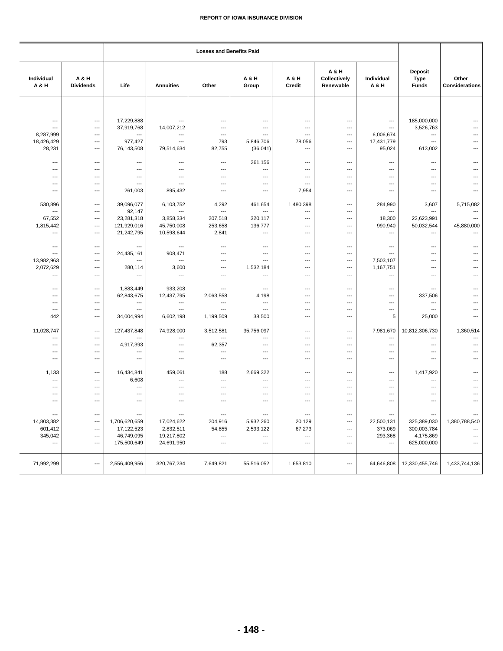| Individual<br>A & H                                        | A & H<br><b>Dividends</b>                                                     | Life                                                     | <b>Annuities</b>                                                                        | Other                                                                                             | A & H<br>Group                                                   | A & H<br>Credit                    | A & H<br>Collectively<br>Renewable                                                                                    | Individual<br>A & H                                                                       | <b>Deposit</b><br><b>Type</b><br><b>Funds</b>                            | Other<br><b>Considerations</b>            |
|------------------------------------------------------------|-------------------------------------------------------------------------------|----------------------------------------------------------|-----------------------------------------------------------------------------------------|---------------------------------------------------------------------------------------------------|------------------------------------------------------------------|------------------------------------|-----------------------------------------------------------------------------------------------------------------------|-------------------------------------------------------------------------------------------|--------------------------------------------------------------------------|-------------------------------------------|
|                                                            |                                                                               |                                                          |                                                                                         |                                                                                                   |                                                                  |                                    |                                                                                                                       |                                                                                           |                                                                          |                                           |
| ---<br>$\overline{a}$<br>8,287,999<br>18,426,429<br>28,231 | $\overline{\phantom{a}}$<br>$\overline{\phantom{a}}$<br>---<br>$---$<br>$---$ | 17,229,888<br>37,919,768<br>---<br>977,427<br>76,143,508 | $\overline{\phantom{a}}$<br>14,007,212<br>$\overline{\phantom{a}}$<br>---<br>79,514,634 | $\overline{\phantom{a}}$<br>$\overline{\phantom{a}}$<br>$\overline{\phantom{a}}$<br>793<br>82,755 | ---<br>$\overline{\phantom{a}}$<br>---<br>5,846,706<br>(36, 041) | ---<br>---<br>---<br>78,056<br>--- | $\overline{\phantom{a}}$<br>$\overline{\phantom{a}}$<br>$\hspace{0.05cm} \ldots$<br>$\hspace{0.05cm} \cdots$<br>$---$ | $\overline{\phantom{a}}$<br>$\overline{\phantom{a}}$<br>6,006,674<br>17,431,779<br>95,024 | 185,000,000<br>3,526,763<br>$\overline{\phantom{a}}$<br>$---$<br>613,002 | $---$<br>$\overline{a}$<br>---<br>---     |
| $---$                                                      | $---$                                                                         | $\overline{\phantom{a}}$                                 | $---$                                                                                   | $---$                                                                                             | 261,156                                                          | ---                                | $---$                                                                                                                 | $---$                                                                                     | $---$                                                                    | $---$                                     |
| $---$                                                      | $---$                                                                         | $---$                                                    | ---                                                                                     | $---$                                                                                             | ---                                                              | ---                                | $---$                                                                                                                 | ---                                                                                       | $\overline{a}$                                                           | ---                                       |
| $\overline{\phantom{a}}$<br>---                            | $\overline{\phantom{a}}$<br>---                                               | ---<br>$\overline{\phantom{a}}$                          | $\overline{\phantom{a}}$<br>$\overline{\phantom{a}}$                                    | $\qquad \qquad \cdots$<br>---                                                                     | $\cdots$<br>$\overline{a}$                                       | ---<br>---                         | $\hspace{0.05cm} \ldots$<br>$\hspace{0.05cm} \ldots$                                                                  | ---<br>---                                                                                | ---<br>---                                                               | ---<br>---                                |
| ---                                                        | $---$                                                                         | 261,003                                                  | 895,432                                                                                 | $\overline{\phantom{a}}$                                                                          | ---                                                              | 7,954                              | ---                                                                                                                   | $\overline{a}$                                                                            | $\overline{\phantom{a}}$                                                 | $\overline{a}$                            |
| 530,896<br>$\overline{\phantom{a}}$                        | ---<br>$\overline{\phantom{a}}$                                               | 39.096.077<br>92,147                                     | 6,103,752<br>$\overline{a}$                                                             | 4,292<br>---                                                                                      | 461,654<br>$\overline{\phantom{a}}$                              | 1,480,398<br>---                   | $\overline{\phantom{a}}$<br>$\overline{\phantom{a}}$                                                                  | 284,990<br>---                                                                            | 3,607<br>$\overline{a}$                                                  | 5,715,082<br>---                          |
| 67,552                                                     | $\cdots$                                                                      | 23,281,318                                               | 3,858,334                                                                               | 207,518                                                                                           | 320,117                                                          | ---                                | $\hspace{0.05cm} \ldots$                                                                                              | 18,300                                                                                    | 22,623,991                                                               | ---                                       |
| 1,815,442                                                  | $\overline{\phantom{a}}$                                                      | 121,929,016                                              | 45,750,008                                                                              | 253,658                                                                                           | 136,777                                                          | ---                                | ---                                                                                                                   | 990,940                                                                                   | 50,032,544                                                               | 45,880,000                                |
| $\overline{\phantom{a}}$                                   | $---$                                                                         | 21,242,795                                               | 10,598,644                                                                              | 2,841                                                                                             | $\qquad \qquad \cdots$                                           | ---                                | $---$                                                                                                                 | $\overline{a}$                                                                            | ---                                                                      |                                           |
| $\overline{a}$                                             | $\overline{\phantom{a}}$                                                      | ---                                                      | $\overline{\phantom{a}}$                                                                | ---                                                                                               | $\overline{\phantom{a}}$                                         | ---                                | $\hspace{0.05cm} \ldots$                                                                                              | ---                                                                                       | ---                                                                      | ---                                       |
| $---$                                                      | $---$                                                                         | 24,435,161                                               | 908,471                                                                                 | $---$                                                                                             | ---                                                              | ---                                | ---                                                                                                                   | $---$                                                                                     | ---                                                                      | ---                                       |
| 13,982,963<br>2,072,629                                    | $---$<br>---                                                                  | ---<br>280,114                                           | $\overline{a}$<br>3,600                                                                 | $\overline{\phantom{a}}$<br>---                                                                   | $\overline{\phantom{a}}$<br>1,532,184                            | ---<br>---                         | $---$<br>$\hspace{0.05cm} \ldots$                                                                                     | 7,503,107<br>1,167,751                                                                    | $---$<br>---                                                             | ---<br>---                                |
| $\overline{a}$                                             | $---$                                                                         | $\overline{\phantom{a}}$                                 | $\overline{\phantom{a}}$                                                                | $---$                                                                                             | $---$                                                            | $---$                              | ---                                                                                                                   | $\overline{\phantom{a}}$                                                                  | $\overline{\phantom{a}}$                                                 | ---                                       |
| ---                                                        | ---                                                                           | 1,883,449                                                | 933,208                                                                                 | ---                                                                                               | ---                                                              | ---                                | $\overline{\phantom{a}}$                                                                                              | ---                                                                                       | ---                                                                      | ---                                       |
| $---$                                                      | $---$                                                                         | 62,843,675                                               | 12,437,795                                                                              | 2,063,558                                                                                         | 4,198                                                            | ---                                | $---$                                                                                                                 | $---$                                                                                     | 337,506                                                                  | ---                                       |
| ---<br>$---$                                               | $\overline{\phantom{a}}$<br>$\overline{\phantom{a}}$                          | ---<br>---                                               | $\overline{a}$<br>$\overline{a}$                                                        | $\overline{\phantom{a}}$<br>---                                                                   | $\overline{\phantom{a}}$<br>$\overline{\phantom{a}}$             | ---<br>---                         | $---$<br>---                                                                                                          | $\overline{\phantom{a}}$<br>$\cdots$                                                      | ---<br>---                                                               | ---<br>---                                |
| 442                                                        | $---$                                                                         | 34,004,994                                               | 6,602,198                                                                               | 1,199,509                                                                                         | 38,500                                                           | ---                                | ---                                                                                                                   | 5                                                                                         | 25,000                                                                   | $\overline{a}$                            |
| 11,028,747                                                 | $\overline{\phantom{a}}$                                                      | 127,437,848<br>$---$                                     | 74,928,000                                                                              | 3,512,581                                                                                         | 35,756,097                                                       | ---                                | $\qquad \qquad \cdots$                                                                                                | 7,981,670                                                                                 | 10,812,306,730                                                           | 1,360,514                                 |
| ---<br>$---$                                               | $---$<br>$---$                                                                | 4,917,393                                                | ---<br>$\overline{a}$                                                                   | 62,357                                                                                            | ---<br>$\overline{\phantom{a}}$                                  | ---<br>---                         | $---$<br>$\overline{\phantom{a}}$                                                                                     | ---<br>$\overline{\phantom{a}}$                                                           | ---<br>$---$                                                             | $---$<br>---                              |
| ---                                                        | ---                                                                           | $\cdots$                                                 | ---                                                                                     | $\overline{\phantom{a}}$                                                                          | $\cdots$                                                         | ---                                | $\hspace{0.05cm} \ldots$                                                                                              | ---                                                                                       | ---                                                                      | ---                                       |
| ---                                                        | $\overline{\phantom{a}}$                                                      | $\cdots$                                                 | $\overline{\phantom{a}}$                                                                | $\hspace{0.05cm} \ldots$                                                                          | $\cdots$                                                         | ---                                | $\hspace{0.05cm} \ldots$                                                                                              | ---                                                                                       | ---                                                                      | ---                                       |
| 1,133                                                      | $\overline{\phantom{a}}$                                                      | 16,434,841                                               | 459,061                                                                                 | 188                                                                                               | 2,669,322                                                        | $---$                              | $\overline{\phantom{a}}$                                                                                              | ---                                                                                       | 1,417,920                                                                |                                           |
| ---                                                        | $\overline{\phantom{a}}$                                                      | 6,608                                                    | $\overline{\phantom{a}}$                                                                | $\hspace{0.05cm} \ldots$                                                                          | ---                                                              | ---                                | $\hspace{0.05cm} \ldots$                                                                                              | $\overline{a}$                                                                            | ---                                                                      |                                           |
| ---<br>$\overline{\phantom{a}}$                            | $---$<br>---                                                                  | $\overline{\phantom{a}}$<br>---                          | ---<br>---                                                                              | $---$<br>---                                                                                      | $\overline{\phantom{a}}$<br>---                                  | ---<br>---                         | $---$<br>---                                                                                                          | ---<br>---                                                                                | $\overline{a}$<br>---                                                    | ---<br>---                                |
| ---                                                        | ---                                                                           | ---                                                      | ---                                                                                     | ---                                                                                               | ---                                                              | ---                                | ---                                                                                                                   | ---                                                                                       | ---                                                                      | ---                                       |
|                                                            |                                                                               |                                                          |                                                                                         |                                                                                                   |                                                                  |                                    |                                                                                                                       |                                                                                           |                                                                          |                                           |
| $\hspace{1.5cm} \cdots$<br>14,803,382                      | $\overline{\phantom{a}}$<br>---                                               | $\hspace{0.05cm} \ldots$<br>1,706,620,659                | $\hspace{0.05cm} \cdots$<br>17,024,622                                                  | $\hspace{0.05cm} \cdots$<br>204,916                                                               | $\overline{\phantom{a}}$<br>5,932,260                            | $\hspace{0.05cm} \cdots$<br>20,129 | $\hspace{0.05cm} \ldots$<br>---                                                                                       | $\hspace{0.05cm} \cdots$<br>22,500,131                                                    | $---$<br>325,389,030                                                     | $\hspace{0.05cm} \cdots$<br>1,380,788,540 |
| 601,412                                                    | $\overline{\phantom{a}}$                                                      | 17,122,523                                               | 2,832,511                                                                               | 54,855                                                                                            | 2,593,122                                                        | 67,273                             | $\hspace{0.05cm} \cdots$                                                                                              | 373,069                                                                                   | 300,003,784                                                              | $\cdots$                                  |
| 345,042                                                    | $---$                                                                         | 46,749,095                                               | 19,217,802                                                                              | $\hspace{0.05cm} \ldots$                                                                          | $\hspace{0.05cm} \ldots$                                         | ---                                | $\qquad \qquad \cdots$                                                                                                | 293,368                                                                                   | 4,175,869                                                                | $\cdots$                                  |
| $\ldots$                                                   | $\overline{\phantom{a}}$                                                      | 175,500,649                                              | 24,691,950                                                                              | ---                                                                                               | $\cdots$                                                         | ---                                | $\hspace{0.05cm} \cdots$                                                                                              | $\hspace{0.05cm} \ldots$                                                                  | 625,000,000                                                              | $\cdots$                                  |
| 71,992,299                                                 | $\overline{\phantom{a}}$                                                      | 2,556,409,956                                            | 320,767,234                                                                             | 7,649,821                                                                                         | 55,516,052                                                       | 1,653,810                          | $\hspace{0.05cm} \cdots$                                                                                              | 64,646,808                                                                                | 12,330,455,746                                                           | 1,433,744,136                             |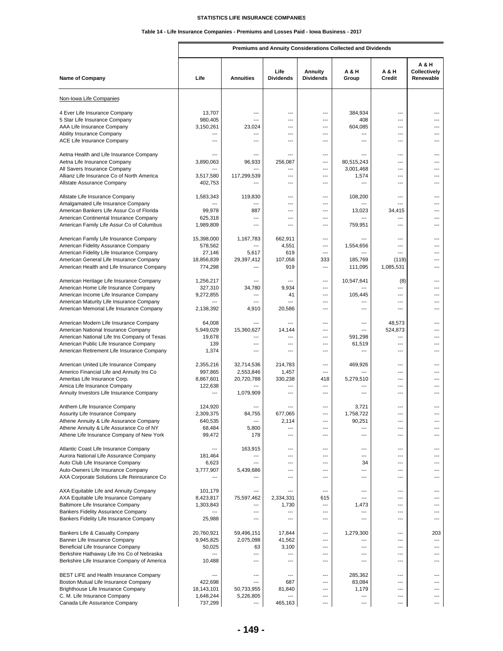# **Table 14 - Life Insurance Companies - Premiums and Losses Paid - Iowa Business - 2017**

**Premiums and Annuity Considerations Collected and Dividends**

| <b>Name of Company</b>                                                              | Life                  | <b>Annuities</b>    | Life<br><b>Dividends</b> | Annuity<br><b>Dividends</b> | <b>A &amp; H</b><br>Group | A & H<br>Credit | A & H<br><b>Collectively</b><br>Renewable |
|-------------------------------------------------------------------------------------|-----------------------|---------------------|--------------------------|-----------------------------|---------------------------|-----------------|-------------------------------------------|
| Non-Iowa Life Companies                                                             |                       |                     |                          |                             |                           |                 |                                           |
| 4 Ever Life Insurance Company                                                       | 13,707                | ---                 | ---                      | $\overline{\phantom{a}}$    | 384,934                   | ---             |                                           |
| 5 Star Life Insurance Company                                                       | 980,405               |                     | ---                      | ---                         | 408                       | ---             |                                           |
| AAA Life Insurance Company                                                          | 3,150,261             | 23,024              | ---                      | ---                         | 604,085                   | ---             | ---                                       |
| Ability Insurance Company                                                           | ---                   | ---                 | $\overline{a}$           | ---                         | ---                       | ---             | ---                                       |
| ACE Life Insurance Company                                                          | ---                   | ---                 | ---                      | ---                         | ---                       | ---             | ---                                       |
|                                                                                     |                       |                     |                          |                             |                           |                 |                                           |
| Aetna Health and Life Insurance Company                                             | ---                   | ---                 | ---                      | ---                         | ---                       | ---             | ---                                       |
| Aetna Life Insurance Company                                                        | 3,890,063             | 96,933              | 256,087                  | ---                         | 80,515,243                | ---             | ---                                       |
| All Savers Insurance Company<br>Allianz Life Insurance Co of North America          | 3,517,580             | 117,299,539         | ---<br>---               | ---<br>---                  | 3,001,468<br>1,574        | ---<br>$---$    | ---<br>---                                |
| Allstate Assurance Company                                                          | 402,753               |                     | ---                      | ---                         | ---                       | ---             | ---                                       |
|                                                                                     |                       |                     |                          |                             |                           |                 |                                           |
| Allstate Life Insurance Company                                                     | 1,583,343             | 119,830             | ---                      | ---                         | 108,200                   | ---             | ---                                       |
| Amalgamated Life Insurance Company                                                  |                       |                     | ---                      | ---                         | ---                       | ---             |                                           |
| American Bankers Life Assur Co of Florida                                           | 99,978                | 887                 | ---                      | ---                         | 13,023                    | 34,415          | ---                                       |
| American Continental Insurance Company                                              | 625,318               | ---                 | $---$                    | ---                         | ---                       | ---             | ---                                       |
| American Family Life Assur Co of Columbus                                           | 1,989,809             | ---                 | ---                      | ---                         | 759,951                   | ---             | ---                                       |
|                                                                                     |                       |                     |                          |                             |                           |                 |                                           |
| American Family Life Insurance Company                                              | 15,398,000            | 1,167,783           | 662,911                  | ---                         |                           | $---$           | ---                                       |
| American Fidelity Assurance Company                                                 | 578,562               |                     | 4,551                    | ---                         | 1,554,656                 | ---             | ---                                       |
| American Fidelity Life Insurance Company<br>American General Life Insurance Company | 27,146<br>18,856,839  | 5,617<br>29,397,412 | 619<br>107,058           | ---<br>333                  | ---<br>185,769            | ---<br>(119)    | ---<br>---                                |
| American Health and Life Insurance Company                                          | 774,298               | ---                 | 919                      | ---                         | 111,095                   | 1,085,531       | ---                                       |
|                                                                                     |                       |                     |                          |                             |                           |                 |                                           |
| American Heritage Life Insurance Company                                            | 1,256,217             | ---                 |                          | ---                         | 10,547,641                | (8)             | ---                                       |
| American Home Life Insurance Company                                                | 327,310               | 34,780              | 9,934                    | ---                         |                           | ---             | ---                                       |
| American Income Life Insurance Company                                              | 9,272,855             | ---                 | 41                       | ---                         | 105,445                   | ---             | ---                                       |
| American Maturity Life Insurance Company                                            |                       | ---                 | ---                      | ---                         | ---                       | ---             | ---                                       |
| American Memorial Life Insurance Company                                            | 2,138,392             | 4,910               | 20,586                   | ---                         | ---                       | ---             | ---                                       |
|                                                                                     |                       |                     |                          |                             |                           |                 |                                           |
| American Modern Life Insurance Company                                              | 64,008                | ---                 | $---$                    | ---                         | ---<br>---                | 48,573          | ---                                       |
| American National Insurance Company<br>American National Life Ins Company of Texas  | 5,949,029<br>19,678   | 15,360,627<br>---   | 14,144<br>---            | ---<br>---                  | 591,298                   | 524,873<br>---  | ---                                       |
| American Public Life Insurance Company                                              | 139                   | ---                 | ---                      | ---                         | 61,519                    | ---             | ---                                       |
| American Retirement Life Insurance Company                                          | 1,374                 | ---                 | ---                      | ---                         | ---                       | ---             | ---                                       |
|                                                                                     |                       |                     |                          |                             |                           |                 |                                           |
| American United Life Insurance Company                                              | 2,355,216             | 32,714,536          | 214,783                  | ---                         | 469,926                   | ---             |                                           |
| Americo Financial Life and Annuity Ins Co                                           | 997,865               | 2,553,846           | 1,457                    | ---                         | ---                       | ---             | ---                                       |
| Ameritas Life Insurance Corp.                                                       | 8,867,601             | 20,720,788          | 330,238                  | 418                         | 5,279,510                 | ---             |                                           |
| Amica Life Insurance Company                                                        | 122,638               |                     | ---                      | ---                         | ---                       | ---             | ---                                       |
| Annuity Investors Life Insurance Company                                            | ---                   | 1,079,909           | $---$                    | $---$                       | ---                       | ---             | ---                                       |
| Anthem Life Insurance Company                                                       | 124,920               |                     |                          | ---                         | 3,721                     | ---             |                                           |
| Assurity Life Insurance Company                                                     | 2,309,375             | 84,755              | 677,065                  | $\overline{\phantom{a}}$    | 1,758,722                 | ---             | ---                                       |
| Athene Annuity & Life Assurance Company                                             | 640,535               |                     | 2,114                    |                             | 90,251                    |                 |                                           |
| Athene Annuity & Life Assurance Co of NY                                            | 68,484                | 5,800               | ---<br>$---$             | ---                         | ---<br>$---$              | ---             |                                           |
| Athene Life Insurance Company of New York                                           | 99,472                | 178                 |                          | ---                         |                           | ---             | ---                                       |
| Atlantic Coast Life Insurance Company                                               | ---                   | 163,915             | ---                      | ---                         | ---                       | ---             | ---                                       |
| Aurora National Life Assurance Company                                              | 181,464               | ---                 | $---$                    | ---                         | ---                       | ---             | ---                                       |
| Auto Club Life Insurance Company                                                    | 6,623                 | ---                 | ---                      | ---                         | 34                        | ---             | ---                                       |
| Auto-Owners Life Insurance Company                                                  | 3,777,907             | 5,439,686           | ---                      | ---                         | ---                       | ---             | ---                                       |
| AXA Corporate Solutions Life Reinsurance Co                                         |                       |                     | ---                      | ---                         | ---                       | ---             | ---                                       |
|                                                                                     |                       |                     |                          |                             |                           |                 |                                           |
| AXA Equitable Life and Annuity Company                                              | 101,179               | ---                 | ---                      | ---                         | ---                       | ---             | ---                                       |
| AXA Equitable Life Insurance Company                                                | 8,423,817             | 75,597,462          | 2,334,331                | 615                         | ---                       | ---             | ---                                       |
| Baltimore Life Insurance Company<br>Bankers Fidelity Assurance Company              | 1,303,843             | ---<br>---          | 1,730<br>---             | ---<br>---                  | 1,473<br>---              | ---<br>---      | ---                                       |
| Bankers Fidelity Life Insurance Company                                             | 25,988                | ---                 | ---                      | ---                         | ---                       | ---             | ---                                       |
|                                                                                     |                       |                     |                          |                             |                           |                 |                                           |
| Bankers Life & Casualty Company                                                     | 20,760,921            | 59,496,151          | 17,844                   | ---                         | 1,279,300                 | ---             | 203                                       |
| Banner Life Insurance Company                                                       | 9,945,825             | 2,075,098           | 41,562                   | ---                         | ---                       | ---             | ---                                       |
| Beneficial Life Insurance Company                                                   | 50,025                | 63                  | 3,100                    | ---                         | ---                       | ---             | ---                                       |
| Berkshire Hathaway Life Ins Co of Nebraska                                          | ---                   | ---                 | ---                      | ---                         | ---                       | ---             | ---                                       |
| Berkshire Life Insurance Company of America                                         | 10,488                | ---                 | ---                      | ---                         | ---                       | ---             | ---                                       |
|                                                                                     |                       |                     |                          |                             |                           |                 |                                           |
| BEST LIFE and Health Insurance Company                                              | ---                   | ---                 | ---                      | ---                         | 285,362                   | ---             | ---                                       |
| Boston Mutual Life Insurance Company<br>Brighthouse Life Insurance Company          | 422,698<br>18,143,101 | ---<br>50,733,955   | 687<br>81,840            | ---<br>---                  | 83,084<br>1,179           | ---<br>---      | ---<br>---                                |
| C. M. Life Insurance Company                                                        | 1,648,244             | 5,226,805           |                          | ---                         | ---                       | ---             |                                           |
| Canada Life Assurance Company                                                       | 737,299               | ---                 | 465,163                  | ---                         | ---                       | ---             | ---                                       |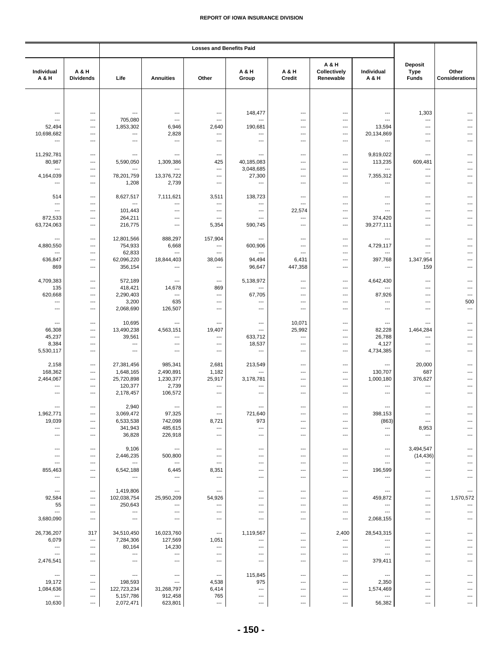|                          |                                 | <b>Losses and Benefits Paid</b> |                                   |                                    |                          |                          |                                    |                          |                                        |                                |
|--------------------------|---------------------------------|---------------------------------|-----------------------------------|------------------------------------|--------------------------|--------------------------|------------------------------------|--------------------------|----------------------------------------|--------------------------------|
| Individual<br>A & H      | A & H<br><b>Dividends</b>       | Life                            | <b>Annuities</b>                  | Other                              | A & H<br>Group           | A & H<br>Credit          | A & H<br>Collectively<br>Renewable | Individual<br>A & H      | Deposit<br><b>Type</b><br><b>Funds</b> | Other<br><b>Considerations</b> |
|                          |                                 |                                 |                                   |                                    |                          |                          |                                    |                          |                                        |                                |
| ---                      | ---                             | ---                             | $\qquad \qquad \cdots$            | $\hspace{0.05cm} \ldots$           | 148,477                  | ---                      | ---                                | ---                      | 1,303                                  |                                |
| $\overline{a}$           | $\overline{\phantom{a}}$        | 705,080                         | $\overline{\phantom{a}}$          | $\overline{\phantom{a}}$           | $\overline{a}$           | $---$                    | ---                                | $\overline{a}$           | $\overline{\phantom{a}}$               |                                |
| 52,494                   | $\overline{\phantom{a}}$        | 1,853,302                       | 6,946                             | 2,640                              | 190,681                  | $\overline{\phantom{a}}$ | ---                                | 13,594                   | $\ldots$                               |                                |
| 10,698,682               | ---                             | ---                             | 2,828                             | ---                                | ---                      | ---                      | ---                                | 20,134,869               | ---                                    |                                |
| $\overline{a}$           | ---                             | $\overline{\phantom{a}}$        | $\ldots$                          | ---                                | ---                      | ---                      | ---                                | ---                      | $---$                                  |                                |
| 11,292,781               | ---                             | $\hspace{0.05cm} \ldots$        | $\qquad \qquad \cdots$            | $\hspace{0.05cm} \ldots$           | ---                      | ---                      | ---                                | 9,819,022                | $\overline{\phantom{a}}$               |                                |
| 80,987                   | ---                             | 5,590,050                       | 1,309,386                         | 425                                | 40,185,083               | ---                      | ---                                | 113,235                  | 609,481                                |                                |
| $\overline{\phantom{a}}$ | ---                             | ---                             | $\overline{\phantom{a}}$          | $\overline{\phantom{a}}$           | 3,048,685                | ---                      | ---                                | $\overline{a}$           | ---                                    |                                |
| 4,164,039                | ---                             | 78,201,759                      | 13,376,722                        | ---                                | 27,300                   | ---                      | ---                                | 7,355,312                | $\hspace{0.05cm} \ldots$               |                                |
| ---                      | ---                             | 1,208                           | 2,739                             | $\overline{\phantom{a}}$           | ---                      | $---$                    | $---$                              | $\overline{a}$           | $---$                                  |                                |
| 514                      | ---                             | 8,627,517                       | 7,111,621                         | 3,511                              | 138,723                  | ---                      | ---                                | ---                      | $\overline{\phantom{a}}$               |                                |
| ---                      | ---                             | ---                             | ---                               | $\overline{\phantom{a}}$           | ---                      | ---                      | ---                                | $\overline{\phantom{a}}$ | ---                                    |                                |
| ---                      | ---                             | 101,443                         | $---$                             | $\overline{\phantom{a}}$           | $\overline{\phantom{a}}$ | 22,574                   | ---                                | $\overline{\phantom{a}}$ | $\overline{\phantom{a}}$               |                                |
| 872,533                  | ---                             | 264,211                         | ---                               | $\hspace{0.05cm} \ldots$           | ---                      | ---                      | ---                                | 374,420                  | ---                                    |                                |
| 63,724,063               | $\overline{\phantom{a}}$        | 216,775                         | $\overline{\phantom{a}}$          | 5,354                              | 590,745                  | ---                      | ---                                | 39,277,111               | $---$                                  |                                |
| ---                      | ---                             | 12,801,566                      | 888,297                           | 157,904                            | ---                      | ---                      | ---                                | ---                      | $\overline{\phantom{a}}$               |                                |
| 4,880,550                | ---                             | 754,933                         | 6,668                             | ---                                | 600,906                  | ---                      | ---                                | 4,729,117                | ---                                    |                                |
|                          | ---                             | 62,833                          | $---$                             | ---                                | ---                      | ---                      | $\overline{\phantom{a}}$           | $\overline{a}$           | ---                                    |                                |
| 636,847                  | ---                             | 62,096,220                      | 18,844,403                        | 38,046                             | 94,494                   | 6,431                    | ---                                | 397,768                  | 1,347,954                              |                                |
| 869                      | ---                             | 356,154                         | $\qquad \qquad \cdots$            | ---                                | 96,647                   | 447,358                  | ---                                | ---                      | 159                                    |                                |
| 4,709,383                | $\overline{\phantom{a}}$        | 572,189                         | $\ldots$                          | $\hspace{0.05cm} \ldots$           | 5,138,972                | ---                      | ---                                | 4,642,430                | $\overline{\phantom{a}}$               |                                |
| 135                      | ---                             | 418,421                         | 14,678                            | 869                                | ---                      | ---                      | ---                                | $\overline{\phantom{a}}$ | ---                                    |                                |
| 620,668                  | $\overline{\phantom{a}}$        | 2,290,403                       | $\overline{\phantom{a}}$          | ---                                | 67,705                   | $\overline{a}$           | ---                                | 87,926                   | $\overline{\phantom{a}}$               | $---$                          |
| ---                      | $\overline{\phantom{a}}$        | 3,200                           | 635                               | ---                                | ---                      | ---                      | ---                                | ---                      | ---                                    | 500                            |
| ---                      | ---                             | 2,068,690                       | 126,507                           | ---                                | ---                      | ---                      | ---                                | ---                      | ---                                    | ---                            |
| $\overline{\phantom{a}}$ | ---                             | 10,695                          | $\ldots$                          | ---                                | ---                      | 10,071                   | ---                                | $\overline{\phantom{a}}$ |                                        |                                |
| 66,308                   | ---                             | 13,490,238                      | 4,563,151                         | 19,407                             | $\overline{\phantom{a}}$ | 25,992                   | ---                                | 82,228                   | 1,464,284                              |                                |
| 45,237                   | ---                             | 39,561                          | $\overline{\phantom{a}}$          | $\hspace{0.05cm} \ldots$           | 633,712                  | ---                      | ---                                | 26,788                   | ---                                    |                                |
| 8,384                    | $\overline{\phantom{a}}$        | $\overline{\phantom{a}}$        | $\overline{\phantom{a}}$          | $---$                              | 18,537                   | ---                      | ---                                | 4,127                    | $---$                                  |                                |
| 5,530,117                | ---                             | ---                             | $\qquad \qquad \cdots$            | ---                                | ---                      | ---                      | ---                                | 4,734,385                | ---                                    |                                |
| 2,158                    | ---                             | 27,381,456                      | 985,341                           | 2,681                              | 213,549                  | $\overline{a}$           | ---                                | $\overline{\phantom{a}}$ | 20,000                                 |                                |
| 168,362                  | ---                             | 1,648,165                       | 2,490,891                         | 1,182                              | ---                      | ---                      | ---                                | 130,707                  | 687                                    |                                |
| 2,464,067                | $---$                           | 25,720,898                      | 1,230,377                         | 25,917                             | 3,178,781                | ---                      | ---                                | 1,000,180                | 376,627                                |                                |
| ---                      | $---$                           | 120,377                         | 2,739                             | $\overline{\phantom{a}}$           | ---                      | ---                      | ---                                | $---$                    | ---                                    |                                |
| ---                      | $\overline{\phantom{a}}$        | 2,178,457                       | 106,572                           | $\hspace{0.05cm} \ldots$           | ---                      | $\overline{\phantom{a}}$ | ---                                | $\overline{\phantom{a}}$ | ---                                    |                                |
| $\overline{\phantom{a}}$ | $---$                           | 2,940                           | $\overline{\phantom{a}}$          | $\overline{a}$                     | ---                      | ---                      | ---                                | $---$                    | $\overline{\phantom{a}}$               |                                |
| 1,962,771                | ---                             | 3,069,472                       | 97,325                            | ---                                | 721,640                  | ---                      | ---                                | 398,153                  | ---                                    |                                |
| 19,039                   | ---                             | 6,533,538                       | 742,098                           | 8,721                              | 973                      | ---                      | ---                                | (863)                    | ---                                    |                                |
| $---$                    | $---$                           | 341,943                         | 485,615                           | $\overline{\phantom{a}}$           | ---                      | $\overline{a}$           | ---                                | $---$                    | 8,953                                  |                                |
| ---                      | ---                             | 36,828                          | 226,918                           | ---                                | ---                      | ---                      | ---                                | ---                      | $\hspace{0.05cm} \ldots$               |                                |
| $---$                    | $\overline{\phantom{a}}$        | 9,106                           | $\qquad \qquad \cdots$            | $\overline{\phantom{a}}$           | ---                      | ---                      | $---$                              |                          |                                        |                                |
| ---                      | ---                             | 2,446,235                       | 500,800                           | $\overline{\phantom{a}}$           | ---                      | ---                      | ---                                | $---$<br>---             | 3,494,547<br>(14, 436)                 |                                |
| $\overline{a}$           | $\overline{a}$                  | $\hspace{0.05cm} \ldots$        | ---                               | $\overline{a}$                     | ---                      | ---                      | ---                                | $\overline{\phantom{a}}$ | ---                                    |                                |
| 855,463                  | ---                             | 6,542,188                       | 6,445                             | 8,351                              | ---                      | ---                      | ---                                | 196,599                  | ---                                    |                                |
| ---                      | ---                             | $\hspace{0.05cm} \ldots$        | $\cdots$                          | ---                                | ---                      | ---                      | ---                                | $\qquad \qquad \cdots$   | $\hspace{0.05cm} \ldots$               | ---                            |
| $\overline{\phantom{a}}$ | $\overline{\phantom{a}}$        | 1,419,806                       | $\qquad \qquad \cdots$            |                                    | ---                      | ---                      | ---                                |                          | $\overline{\phantom{a}}$               |                                |
| 92,584                   | $\overline{\phantom{a}}$        | 102,038,754                     | 25,950,209                        | $\hspace{0.05cm} \cdots$<br>54,926 | ---                      | ---                      | ---                                | ---<br>459,872           | ---                                    | 1,570,572                      |
| 55                       | ---                             | 250,643                         | $\hspace{0.05cm} \cdots$          | ---                                | ---                      | ---                      | ---                                | ---                      | ---                                    | ---                            |
| $\overline{\phantom{a}}$ | $\overline{\phantom{a}}$        | $\hspace{0.05cm} \cdots$        | $\hspace{0.05cm} \ldots$          | $\overline{\phantom{a}}$           | ---                      | ---                      | ---                                | $\overline{\phantom{a}}$ | $\overline{\phantom{a}}$               | ---                            |
| 3,680,090                | $---$                           | $\hspace{0.05cm} \ldots$        | $\cdots$                          | $---$                              | ---                      | ---                      | ---                                | 2,068,155                | $---$                                  | ---                            |
|                          |                                 |                                 |                                   |                                    |                          |                          |                                    |                          |                                        |                                |
| 26,736,207<br>6,079      | 317<br>$\overline{\phantom{a}}$ | 34,510,450<br>7,284,306         | 16,023,760<br>127,569             | $\hspace{0.05cm} \ldots$<br>1,051  | 1,119,567<br>---         | $---$<br>---             | 2,400<br>---                       | 28,543,315<br>---        | $---$<br>---                           |                                |
| $\ldots$                 | ---                             | 80,164                          | 14,230                            | ---                                | ---                      | ---                      | ---                                | ---                      | ---                                    |                                |
| $---$                    | ---                             | $\hspace{0.05cm} \cdots$        | ---                               | $\overline{\phantom{a}}$           | ---                      | ---                      | ---                                | $\overline{\phantom{a}}$ | $---$                                  |                                |
| 2,476,541                | ---                             | $\overline{\phantom{a}}$        | $\overline{\phantom{a}}$          | $---$                              | $\overline{\phantom{a}}$ | ---                      | ---                                | 379,411                  | $---$                                  | $---$                          |
|                          |                                 |                                 |                                   |                                    |                          |                          |                                    |                          |                                        |                                |
| $\qquad \qquad \cdots$   | $\overline{\phantom{a}}$<br>--- | $\hspace{0.05cm} \cdots$        | $\hspace{0.05cm} \ldots$<br>$---$ | $\hspace{0.05cm} \cdots$           | 115,845<br>975           | ---                      | ---                                | $\hspace{0.05cm} \ldots$ | $---$                                  |                                |
| 19,172<br>1,084,636      | ---                             | 198,593<br>122,723,234          | 31,268,797                        | 4,538<br>6,414                     | ---                      | ---<br>$---$             | ---<br>---                         | 2,350<br>1,574,469       | $---$<br>---                           |                                |
| ---                      | $\overline{\phantom{a}}$        | 5,157,786                       | 912,458                           | 765                                | ---                      | ---                      | ---                                | $\overline{\phantom{a}}$ | $\overline{\phantom{a}}$               | ---                            |
| 10,630                   | ---                             | 2,072,471                       | 623,801                           | $\hspace{0.05cm} \ldots$           | ---                      | ---                      | ---                                | 56,382                   | ---                                    | ---                            |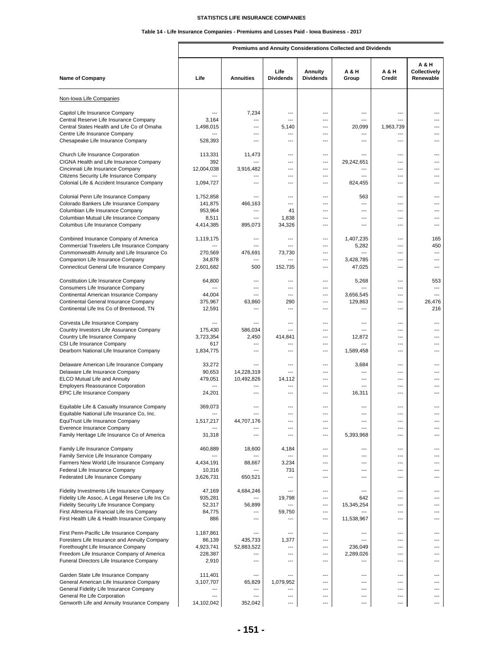# **Table 14 - Life Insurance Companies - Premiums and Losses Paid - Iowa Business - 2017**

**Premiums and Annuity Considerations Collected and Dividends**

| <b>Name of Company</b>                                                                     | Life                 | <b>Annuities</b>         | Life<br><b>Dividends</b> | <b>Annuity</b><br><b>Dividends</b> | <b>A &amp; H</b><br>Group | A & H<br>Credit       | A & H<br>Collectively<br>Renewable |
|--------------------------------------------------------------------------------------------|----------------------|--------------------------|--------------------------|------------------------------------|---------------------------|-----------------------|------------------------------------|
| Non-Iowa Life Companies                                                                    |                      |                          |                          |                                    |                           |                       |                                    |
| Capitol Life Insurance Company                                                             | ---                  | 7,234                    |                          | ---                                | ---                       | ---                   |                                    |
| Central Reserve Life Insurance Company                                                     | 3,164                | ---                      | $---$                    | ---                                | $\overline{a}$            | ---                   | ---                                |
| Central States Health and Life Co of Omaha                                                 | 1,498,015            | ---                      | 5,140                    | ---                                | 20,099                    | 1,963,739             |                                    |
| Centre Life Insurance Company<br>Chesapeake Life Insurance Company                         | ---<br>528,393       | ---<br>---               | ---<br>$---$             | ---<br>---                         | ---<br>---                | ---<br>$---$          | ---<br>---                         |
|                                                                                            |                      |                          |                          |                                    |                           |                       |                                    |
| Church Life Insurance Corporation                                                          | 113,331              | 11,473                   | ---                      | ---                                | ---                       | ---                   | ---                                |
| CIGNA Health and Life Insurance Company                                                    | 392                  | ---                      | $\overline{a}$           | ---                                | 29,242,651                | $---$                 | ---                                |
| Cincinnati Life Insurance Company<br>Citizens Security Life Insurance Company              | 12,004,038           | 3,916,482                | ---<br>---               | ---<br>---                         | ---<br>---                | $\overline{a}$<br>--- | ---<br>---                         |
| Colonial Life & Accident Insurance Company                                                 | 1,094,727            | ---                      | ---                      | ---                                | 824,455                   | $---$                 | ---                                |
| Colonial Penn Life Insurance Company                                                       | 1,752,858            | ---                      | ---                      | ---                                | 563                       | ---                   | ---                                |
| Colorado Bankers Life Insurance Company                                                    | 141,875              | 466,163                  | $\overline{a}$           | ---                                | $\overline{\phantom{a}}$  | $---$                 | ---                                |
| Columbian Life Insurance Company                                                           | 953,964              | ---                      | 41                       | ---                                | ---                       | $\overline{a}$        | ---                                |
| Columbian Mutual Life Insurance Company<br>Columbus Life Insurance Company                 | 8,511<br>4,414,385   | 895,073                  | 1,838<br>34,326          | ---                                | ---<br>$---$              | ---<br>$---$          | ---                                |
|                                                                                            |                      |                          | ---                      | ---                                |                           | ---                   |                                    |
| Combined Insurance Company of America<br>Commercial Travelers Life Insurance Company       | 1,119,175            | ---<br>---               | ---                      | ---                                | 1,407,235<br>5,282        | ---                   | 165<br>450                         |
| Commonwealth Annuity and Life Insurance Co                                                 | 270,569              | 476,691                  | 73,730                   | ---                                | $\overline{\phantom{a}}$  | $\overline{a}$        | ---                                |
| Companion Life Insurance Company                                                           | 34,878               | ---                      | ---                      | ---                                | 3,428,785                 | ---                   |                                    |
| Connecticut General Life Insurance Company                                                 | 2,601,682            | 500                      | 152,735                  | ---                                | 47,025                    | $\overline{a}$        | ---                                |
| <b>Constitution Life Insurance Company</b>                                                 | 64,800               | ---                      | $\overline{a}$           | $\overline{\phantom{a}}$           | 5,268                     | ---                   | 553                                |
| Consumers Life Insurance Company<br>Continental American Insurance Company                 | ---<br>44,004        | ---<br>---               | ---<br>$\overline{a}$    | ---<br>---                         | ---<br>3,656,545          | ---<br>---            | ---<br>---                         |
| Continental General Insurance Company                                                      | 375,967              | 63,860                   | 290                      | ---                                | 129,863                   | ---                   | 26,476                             |
| Continental Life Ins Co of Brentwood, TN                                                   | 12,591               | ---                      | ---                      | ---                                | ---                       | ---                   | 216                                |
| Corvesta Life Insurance Company                                                            |                      |                          | ---                      | ---                                | ---                       | ---                   |                                    |
| Country Investors Life Assurance Company                                                   | 175,430              | 586,034                  | ---                      | ---                                | ---                       | ---                   | ---                                |
| Country Life Insurance Company                                                             | 3,723,354            | 2,450                    | 414,841                  | ---                                | 12,872                    | $---$                 | ---                                |
| CSI Life Insurance Company                                                                 | 617                  | ---                      | ---                      | ---                                | ---                       | ---                   | ---                                |
| Dearborn National Life Insurance Company                                                   | 1,834,775            | ---                      | ---                      | ---                                | 1,589,458                 | ---                   | ---                                |
| Delaware American Life Insurance Company                                                   | 33,272               |                          | $\overline{\phantom{a}}$ | $\overline{\phantom{a}}$           | 3,684                     | ---                   | ---                                |
| Delaware Life Insurance Company                                                            | 90,653               | 14,228,319               | $\overline{\phantom{a}}$ | ---                                | ---                       | ---                   | ---                                |
| <b>ELCO Mutual Life and Annuity</b>                                                        | 479,051              | 10,492,826               | 14,112                   | ---                                | $---$                     | $---$                 | ---                                |
| <b>Employers Reassurance Corporation</b><br>EPIC Life Insurance Company                    | ---<br>24,201        | ---<br>---               | ---<br>$\overline{a}$    | ---<br>---                         | ---<br>16,311             | $---$<br>---          | ---                                |
|                                                                                            |                      |                          |                          |                                    |                           |                       |                                    |
| Equitable Life & Casualty Insurance Company<br>Equitable National Life Insurance Co, Inc.  | 369,073<br>---       | ---                      | ---                      | ---<br>---                         | ---<br>---                | ---<br>---            |                                    |
| EquiTrust Life Insurance Company                                                           | 1,517,217            | 44,707,176               |                          |                                    |                           |                       |                                    |
| Everence Insurance Company                                                                 |                      |                          | $---$                    | ---                                | ---                       | ---                   | ---                                |
| Family Heritage Life Insurance Co of America                                               | 31,318               | ---                      | $\overline{a}$           | ---                                | 5,393,968                 | ---                   | ---                                |
| Family Life Insurance Company                                                              | 460,889              | 18,600                   | 4,184                    | ---                                | ---                       | ---                   | $---$                              |
| Family Service Life Insurance Company<br>Farmers New World Life Insurance Company          | 4,434,191            |                          | 3,234                    | ---<br>---                         | ---<br>---                | ---<br>---            | ---<br>---                         |
| Federal Life Insurance Company                                                             | 10,316               | 88,667<br>$\overline{a}$ | 731                      | ---                                | $---$                     | $---$                 | ---                                |
| Federated Life Insurance Company                                                           | 3,626,731            | 650,521                  | ---                      | ---                                | ---                       | ---                   | ---                                |
| Fidelity Investments Life Insurance Company                                                | 47,169               | 4,684,246                | ---                      | ---                                | ---                       | ---                   | ---                                |
| Fidelity Life Assoc, A Legal Reserve Life Ins Co                                           | 935,281              |                          | 19,798                   | ---                                | 642                       | ---                   | ---                                |
| Fidelity Security Life Insurance Company                                                   | 52,317               | 56,899                   | ---                      | ---                                | 15,345,254                | ---                   | ---                                |
| First Allmerica Financial Life Ins Company<br>First Health Life & Health Insurance Company | 84,775<br>886        | ---<br>---               | 59,750<br>---            | ---<br>$\overline{\phantom{a}}$    | ---<br>11,538,967         | $---$<br>---          | ---<br>---                         |
|                                                                                            |                      |                          |                          |                                    |                           |                       |                                    |
| First Penn-Pacific Life Insurance Company                                                  | 1,187,861            | ---                      | ---                      | ---                                | ---                       | ---                   | $---$                              |
| Foresters Life Insurance and Annuity Company                                               | 86,139               | 435,733                  | 1,377                    | ---                                | ---                       | ---                   | ---                                |
| Forethought Life Insurance Company<br>Freedom Life Insurance Company of America            | 4,923,741<br>228,387 | 52,883,522               | ---<br>$---$             | ---<br>---                         | 236,049<br>2,289,026      | ---<br>---            | ---<br>---                         |
| Funeral Directors Life Insurance Company                                                   | 2,910                | ---                      | ---                      | ---                                | ---                       | ---                   | ---                                |
| Garden State Life Insurance Company                                                        | 111,401              | ---                      | $---$                    | ---                                | $---$                     | $---$                 | ---                                |
| General American Life Insurance Company                                                    | 3,107,707            | 65,829                   | 1,079,952                | $\overline{\phantom{a}}$           | ---                       | ---                   | ---                                |
| General Fidelity Life Insurance Company                                                    | ---                  | ---                      | ---                      | ---                                | ---                       | ---                   | ---                                |
| General Re Life Corporation                                                                | ---                  | ---                      | ---                      | ---                                | ---                       | ---                   | ---                                |
| Genworth Life and Annuity Insurance Company                                                | 14,102,042           | 352,042                  | ---                      | ---                                | ---                       | ---                   | ---                                |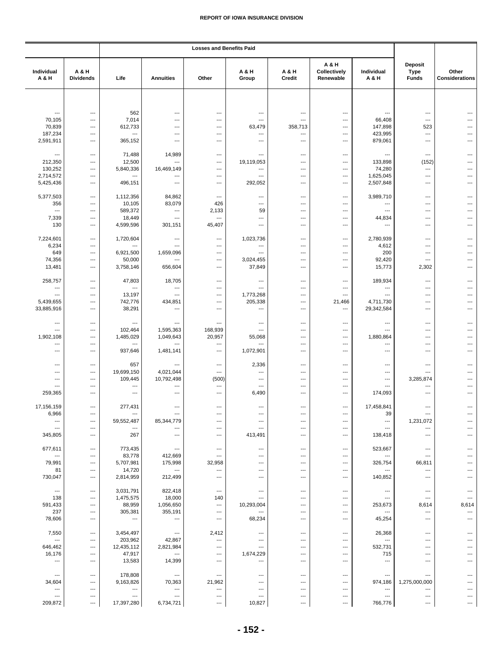|                                |                           | <b>Losses and Benefits Paid</b> |                          |                                 |                          |                 |                                    |                                                    |                                               |                         |
|--------------------------------|---------------------------|---------------------------------|--------------------------|---------------------------------|--------------------------|-----------------|------------------------------------|----------------------------------------------------|-----------------------------------------------|-------------------------|
| Individual<br>A & H            | A & H<br><b>Dividends</b> | Life                            | <b>Annuities</b>         | Other                           | A & H<br>Group           | A & H<br>Credit | A & H<br>Collectively<br>Renewable | Individual<br>A & H                                | <b>Deposit</b><br><b>Type</b><br><b>Funds</b> | Other<br>Considerations |
|                                |                           |                                 |                          |                                 |                          |                 |                                    |                                                    |                                               |                         |
| $\overline{\phantom{a}}$       | ---                       | 562                             | $\cdots$                 | $\hspace{0.05cm} \ldots$        | ---                      | ---             | ---                                | $\qquad \qquad \cdots$                             | ---                                           |                         |
| 70,105                         | ---                       | 7,014                           | $\overline{\phantom{a}}$ | ---                             | ---                      | $\overline{a}$  | ---                                | 66,408                                             | ---                                           |                         |
| 70,839                         | ---                       | 612,733                         | $\ldots$                 | ---                             | 63,479                   | 358,713         | $\overline{\phantom{a}}$           | 147,898                                            | 523                                           |                         |
| 187,234                        | ---                       | $\overline{\phantom{a}}$        | ---                      | ---                             | ---                      | ---             | ---                                | 423,995                                            | ---                                           |                         |
| 2,591,911                      | ---                       | 365,152                         | ---                      | ---                             | ---                      | ---             | ---                                | 879,061                                            | $---$                                         |                         |
|                                |                           |                                 |                          |                                 |                          |                 |                                    |                                                    |                                               |                         |
| $\hspace{0.05cm} \ldots$       | ---                       | 71,488                          | 14,989                   | ---                             | ---                      | ---             | ---                                | $\cdots$                                           | ---                                           |                         |
| 212,350                        | ---                       | 12,500                          | $\cdots$                 | $---$                           | 19,119,053               | ---             | ---                                | 133,898                                            | (152)                                         |                         |
| 130,252                        | ---                       | 5,840,336                       | 16,469,149               | $---$                           | ---                      | ---             | ---                                | 74,280                                             | $\overline{a}$                                |                         |
| 2,714,572                      | ---                       | ---                             | ---                      | $\hspace{0.05cm} \ldots$        | ---                      | ---             | ---                                | 1,625,045                                          | ---                                           |                         |
| 5,425,436                      | ---                       | 496,151                         | $\overline{\phantom{a}}$ | $\hspace{0.05cm} \ldots$        | 292,052                  | $---$           | ---                                | 2,507,848                                          | ---                                           |                         |
|                                |                           |                                 |                          |                                 |                          |                 |                                    |                                                    |                                               |                         |
| 5,377,503                      | ---                       | 1,112,356                       | 84,862                   | $\hspace{0.05cm} \ldots$        | ---                      | ---             | $\overline{\phantom{a}}$           | 3,989,710                                          | ---                                           |                         |
| 356                            | ---                       | 10,105                          | 83,079                   | 426                             | ---                      | ---             | ---                                | $\cdots$                                           | ---                                           |                         |
| $\overline{\phantom{a}}$       | ---                       | 589,372                         | $\hspace{0.05cm} \ldots$ | 2,133                           | 59                       | ---             | ---                                | $---$                                              | ---                                           |                         |
| 7,339                          | ---                       | 18,449                          | $\ldots$                 | ---                             | ---                      | ---             | $\overline{\phantom{a}}$           | 44,834                                             | ---                                           |                         |
| 130                            | ---                       | 4,599,596                       | 301,151                  | 45,407                          | $\cdots$                 | ---             | ---                                | ---                                                | $\overline{\phantom{a}}$                      | ---                     |
|                                |                           |                                 |                          |                                 |                          |                 |                                    |                                                    |                                               |                         |
| 7,224,601                      | ---                       | 1,720,604                       | $\ldots$                 | ---                             | 1,023,736                | ---             | ---                                | 2,780,939                                          | ---                                           |                         |
| 6,234                          | ---                       | $\qquad \qquad \cdots$          | ---                      | $\hspace{0.05cm} \ldots$        | ---                      | ---             | ---                                | 4,612                                              | ---                                           |                         |
| 649                            | ---                       | 6,921,500                       | 1,659,096                | $---$                           | ---                      | ---             | $---$                              | 200                                                | $---$                                         | ---                     |
| 74,356                         | ---                       | 50,000                          | ---                      | $\hspace{0.05cm} \ldots$        | 3,024,455                | ---             | $\overline{\phantom{a}}$           | 92,420                                             | $\hspace{0.05cm} \ldots$                      |                         |
| 13,481                         | ---                       | 3,758,146                       | 656,604                  | $\hspace{0.05cm} \ldots$        | 37,849                   | ---             | ---                                | 15,773                                             | 2,302                                         |                         |
|                                |                           |                                 |                          |                                 |                          |                 |                                    |                                                    |                                               |                         |
| 258,757                        | ---                       | 47,803                          | 18,705                   | ---                             | ---                      | ---             | ---                                | 189,934                                            | ---                                           |                         |
| ---                            | ---                       | $\overline{\phantom{a}}$        | ---                      | ---                             | ---                      | ---             | ---                                | ---                                                | ---                                           |                         |
| $\overline{a}$                 | ---                       | 13,197                          | $\overline{\phantom{a}}$ | $---$                           | 1,773,268                | $\overline{a}$  | $\overline{\phantom{a}}$           | ---                                                | $---$                                         |                         |
| 5,439,655                      | ---                       | 742,776                         | 434,851                  | $\hspace{0.05cm} \ldots$        | 205,338                  | ---             | 21,466                             | 4,711,730                                          | ---                                           |                         |
| 33,885,916                     | ---                       | 38,291                          | $\ldots$                 | ---                             | ---                      | ---             | ---                                | 29,342,584                                         | ---                                           |                         |
| ---                            | ---                       | $\overline{\phantom{a}}$        | ---                      | ---                             | ---                      | ---             | $\overline{\phantom{a}}$           | ---                                                | $\overline{\phantom{a}}$                      |                         |
| $\overline{\phantom{a}}$       | ---                       | 102,464                         | 1,595,363                | 168,939                         | $\overline{\phantom{a}}$ | ---             | ---                                | $\overline{a}$                                     | $\overline{a}$                                |                         |
| 1,902,108                      | ---                       | 1,485,029                       | 1,049,643                | 20,957                          | 55,068                   | ---             | $---$                              | 1,880,864                                          | $---$                                         | ---                     |
| $---$                          | ---                       | $---$                           | ---                      | $\overline{a}$                  | ---                      | ---             | $\overline{\phantom{a}}$           | $\overline{\phantom{a}}$                           | ---                                           | $---$                   |
| ---                            | ---                       | 937,646                         | 1,481,141                | ---                             | 1,072,901                | ---             | ---                                | ---                                                | ---                                           |                         |
|                                |                           |                                 |                          |                                 |                          |                 |                                    |                                                    |                                               |                         |
| ---                            | ---                       | 657                             | $---$                    | ---                             | 2,336                    | ---             | $\overline{\phantom{a}}$           | ---                                                | $\overline{a}$                                |                         |
| ---                            | ---                       | 19,699,150                      | 4,021,044                | $\hspace{0.05cm} \ldots$        | ---                      | ---             | ---                                | ---                                                | $\overline{a}$                                |                         |
| ---                            | ---                       | 109,445                         | 10,792,498               | (500)                           | ---                      | ---             | ---                                | $\cdots$                                           | 3,285,874                                     |                         |
| $\overline{\phantom{a}}$       | ---                       | $\overline{\phantom{a}}$        | ---                      | $\overline{\phantom{a}}$        | ---                      | ---             | ---                                | $\overline{a}$                                     | ---                                           |                         |
| 259,365                        | ---                       | ---                             | ---                      | ---                             | 6,490                    | ---             | $\overline{\phantom{a}}$           | 174,093                                            | ---                                           |                         |
|                                |                           |                                 |                          |                                 |                          |                 |                                    |                                                    |                                               |                         |
| 17,156,159                     | $\overline{\phantom{a}}$  | 277,431                         | $\overline{\phantom{a}}$ | $\hspace{0.05cm} \ldots$        | $\overline{\phantom{a}}$ | ---             | $\overline{\phantom{a}}$           | 17,458,841                                         | $\overline{\phantom{a}}$                      | ---                     |
| 6,966                          | ---                       | $\overline{\phantom{a}}$        | ---                      | ---                             | ---                      | ---             | ---                                | 39                                                 |                                               |                         |
| $\hspace{0.05cm} \ldots$       |                           | 59,552,487                      | 85,344,779               | ---                             | ---                      | ---             | ---                                | ---                                                | 1,231,072                                     |                         |
| $\overline{\phantom{a}}$       | ---                       | $\overline{\phantom{a}}$        | $\overline{\phantom{a}}$ | $---$                           | ---                      | ---             | $\overline{\phantom{a}}$           | $\overline{\phantom{a}}$                           | ---                                           |                         |
| 345,805                        | ---                       | 267                             | $\cdots$                 | $\hspace{0.05cm} \ldots$        | 413,491                  | ---             | ---                                | 138,418                                            | $\overline{\phantom{a}}$                      |                         |
|                                |                           |                                 |                          |                                 |                          |                 |                                    |                                                    |                                               |                         |
| 677,611                        | ---                       | 773,435                         | $\overline{\phantom{a}}$ | $\hspace{0.05cm} \ldots$        | ---                      | $---$           | $---$                              | 523,667                                            | $---$                                         |                         |
| $\overline{\phantom{a}}$       | ---                       | 83,778                          | 412,669                  | ---                             | ---                      | ---             | $\overline{\phantom{a}}$           | ---                                                | $\overline{a}$                                |                         |
| 79,991                         | ---                       | 5,707,981                       | 175,998                  | 32,958                          | ---                      | ---             | ---                                | 326,754                                            | 66,811                                        |                         |
| 81                             | ---                       | 14,720                          | $\hspace{0.05cm} \cdots$ | $\hspace{0.05cm} \ldots$        | ---                      | ---             | $\overline{\phantom{a}}$           | $\overline{\phantom{a}}$                           | ---                                           |                         |
| 730,047                        | ---                       | 2,814,959                       | 212,499                  | $\hspace{0.05cm} \ldots$        | ---                      | ---             | ---                                | 140,852                                            | $\hspace{0.05cm} \ldots$                      |                         |
|                                |                           |                                 |                          |                                 |                          |                 |                                    |                                                    |                                               |                         |
| $\hspace{0.1em} \cdots$<br>138 | ---<br>---                | 3,031,791                       | 822,418<br>18,000        | $\hspace{0.05cm} \ldots$<br>140 | ---<br>---               | ---<br>---      | $\overline{\phantom{a}}$<br>---    | $\hspace{0.05cm} \ldots$<br>$\qquad \qquad \cdots$ | $\overline{\phantom{a}}$<br>---               | ---                     |
| 591,433                        |                           | 1,475,575<br>88,959             | 1,056,650                |                                 | 10,293,004               | ---             | ---                                | 253,673                                            |                                               | 8,614                   |
| 237                            | -−-<br>---                | 305,381                         | 355,191                  | ---<br>$\hspace{0.05cm} \ldots$ | ---                      | ---             | ---                                | $\cdots$                                           | 8,614<br>$\overline{\phantom{a}}$             |                         |
| 78,606                         | $---$                     | $---$                           | $---$                    | $\overline{a}$                  | 68,234                   | ---             | $\overline{\phantom{a}}$           | 45,254                                             | $\overline{a}$                                | ---                     |
|                                |                           |                                 |                          |                                 |                          |                 |                                    |                                                    |                                               |                         |
| 7,550                          | ---                       | 3,454,497                       | $\hspace{0.05cm} \cdots$ | 2,412                           | ---                      | ---             | ---                                | 26,368                                             | $\overline{\phantom{a}}$                      |                         |
| $\hspace{0.05cm} \ldots$       | $---$                     | 203,962                         | 42,867                   | $\overline{\phantom{a}}$        | ---                      | $---$           | $---$                              | $\hspace{0.05cm} \ldots$                           | ---                                           |                         |
| 646,462                        | ---                       | 12,435,112                      | 2,821,984                | ---                             | ---                      | ---             | ---                                | 532,731                                            |                                               |                         |
| 16,176                         | ---                       | 47,917                          | $\hspace{0.05cm} \ldots$ | $\hspace{0.05cm} \ldots$        | 1,674,229                | ---             | ---                                | 715                                                | $---$                                         |                         |
| $\overline{\phantom{a}}$       | $---$                     | 13,583                          | 14,399                   | $\cdots$                        | ---                      | ---             | ---                                | $\overline{\phantom{a}}$                           | $---$                                         |                         |
|                                |                           |                                 |                          |                                 |                          |                 |                                    |                                                    |                                               |                         |
| $\overline{\phantom{a}}$       | ---                       | 178,808                         | $\hspace{0.05cm} \ldots$ | ---                             | ---                      | ---             | ---                                | ---                                                |                                               |                         |
| 34,604                         | ---                       | 9,163,826                       | 70,363                   | 21,962                          | ---                      | $---$           | $---$                              | 974,186                                            | 1,275,000,000                                 |                         |
| $\overline{\phantom{a}}$       | ---                       | $\hspace{0.05cm} \ldots$        | $\qquad \qquad \cdots$   | $\hspace{0.05cm} \ldots$        | ---                      | ---             | ---                                | ---                                                | ---                                           |                         |
| $\overline{\phantom{a}}$       | ---                       | $\hspace{0.05cm} \cdots$        | $\hspace{0.05cm} \ldots$ | ---                             | ---                      | ---             | ---                                | $\hspace{0.05cm} \ldots$                           | $\overline{\phantom{a}}$                      |                         |
| 209,872                        | ---                       | 17,397,280                      | 6,734,721                | ---                             | 10,827                   | ---             | ---                                | 766,776                                            | $\hspace{0.05cm} \ldots$                      | ---                     |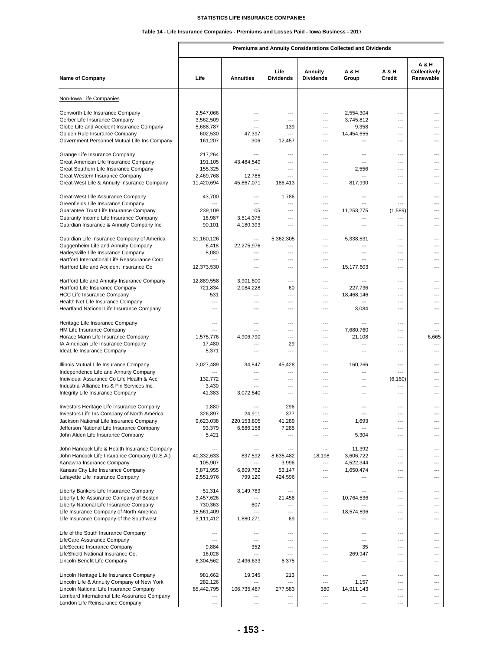# **Table 14 - Life Insurance Companies - Premiums and Losses Paid - Iowa Business - 2017**

Г

|                                                                                                                                                                                                                       |                                                           |                                                  |                                                                    |                                                                                                | Premiums and Annuity Considerations Collected and Dividends |                                                  |                                     |
|-----------------------------------------------------------------------------------------------------------------------------------------------------------------------------------------------------------------------|-----------------------------------------------------------|--------------------------------------------------|--------------------------------------------------------------------|------------------------------------------------------------------------------------------------|-------------------------------------------------------------|--------------------------------------------------|-------------------------------------|
| <b>Name of Company</b>                                                                                                                                                                                                | Life                                                      | <b>Annuities</b>                                 | Life<br><b>Dividends</b>                                           | Annuity<br><b>Dividends</b>                                                                    | A & H<br>Group                                              | A & H<br>Credit                                  | A & H<br>Collectively<br>Renewable  |
| Non-Iowa Life Companies                                                                                                                                                                                               |                                                           |                                                  |                                                                    |                                                                                                |                                                             |                                                  |                                     |
| Genworth Life Insurance Company<br>Gerber Life Insurance Company<br>Globe Life and Accident Insurance Company<br>Golden Rule Insurance Company<br>Government Personnel Mutual Life Ins Company                        | 2,547,066<br>3,562,509<br>5,688,787<br>602,530<br>161,207 | ---<br>---<br>---<br>47,397<br>306               | ---<br>$\overline{a}$<br>139<br>$\overline{\phantom{a}}$<br>12,457 | ---<br>---<br>---<br>$---$<br>---                                                              | 2,554,304<br>3,745,812<br>9,358<br>14,454,655<br>---        | ---<br>---<br>---<br>$---$<br>$\overline{a}$     | ---<br>---<br>---<br>---            |
| Grange Life Insurance Company<br>Great American Life Insurance Company<br>Great Southern Life Insurance Company<br>Great Western Insurance Company<br>Great-West Life & Annuity Insurance Company                     | 217,264<br>191,105<br>155,325<br>2,469,768<br>11,420,694  | ---<br>43,484,549<br>12,785<br>45,867,071        | $---$<br>---<br>$\overline{a}$<br>$\overline{a}$<br>186,413        | $\overline{a}$<br>---<br>---<br>---<br>---                                                     | ---<br>---<br>2,556<br>$\overline{\phantom{a}}$<br>817,990  | $---$<br>---<br>---<br>---<br>$---$              | $---$<br>---<br>---<br>---<br>---   |
| Great-West Life Assurance Company<br>Greenfields Life Insurance Company<br>Guarantee Trust Life Insurance Company<br>Guaranty Income Life Insurance Company<br>Guardian Insurance & Annuity Company Inc               | 43,700<br>---<br>239,109<br>18,987<br>90,101              | ---<br>---<br>105<br>3,514,375<br>4,180,393      | 1,786<br>---<br>---<br>---<br>$---$                                | $---$<br>---<br>---<br>---<br>---                                                              | $---$<br>---<br>11,253,775<br>---<br>$\overline{a}$         | $---$<br>---<br>(1,589)<br>---<br>$\overline{a}$ | $---$<br>---<br>---<br>---<br>---   |
| Guardian Life Insurance Company of America<br>Guggenheim Life and Annuity Company<br>Harleysville Life Insurance Company<br>Hartford International Life Reassurance Corp<br>Hartford Life and Accident Insurance Co   | 31,160,126<br>6,418<br>8,080<br>12,373,530                | ---<br>22,275,976<br>---<br>---<br>---           | 5,362,305<br>$\overline{a}$<br>---<br>---<br>---                   | $\overline{\phantom{a}}$<br>---<br>---<br>---<br>---                                           | 5,338,531<br>---<br>---<br>---<br>15,177,603                | $\overline{a}$<br>$---$<br>---<br>---<br>$---$   | ---<br>---<br>---<br>---<br>---     |
| Hartford Life and Annuity Insurance Company<br>Hartford Life Insurance Company<br><b>HCC Life Insurance Company</b><br>Health Net Life Insurance Company<br>Heartland National Life Insurance Company                 | 12,889,558<br>721,834<br>531<br>---<br>---                | 3.901.600<br>2,084,228<br>---<br>---<br>---      | ---<br>60<br>---<br>$\overline{a}$<br>$---$                        | ---<br>$\overline{\phantom{a}}$<br>---<br>---<br>---                                           | ---<br>227,736<br>18,468,146<br>---<br>3,084                | ---<br>$---$<br>---<br>$\overline{a}$<br>$---$   | ---<br>$---$<br>---<br>---<br>---   |
| Heritage Life Insurance Company<br>HM Life Insurance Company<br>Horace Mann Life Insurance Company<br>IA American Life Insurance Company<br>IdeaLife Insurance Company                                                | ---<br>---<br>1,575,776<br>17,480<br>5,371                | ---<br>---<br>4,906,790<br>---<br>---            | ---<br>$---$<br>$\overline{a}$<br>29<br>$\overline{a}$             | ---<br>---<br>---<br>---<br>---                                                                | ---<br>7,680,760<br>21,108<br>---<br>$---$                  | ---<br>$---$<br>---<br>---<br>$---$              | ---<br>---<br>6,665<br>---<br>$---$ |
| Illinois Mutual Life Insurance Company<br>Independence Life and Annuity Company<br>Individual Assurance Co Life Health & Acc<br>Industrial Alliance Ins & Fin Services Inc.<br>Integrity Life Insurance Company       | 2,027,489<br>132,772<br>3,430<br>41,383                   | 34,847<br>---<br>---<br>3.072.540                | 45,428<br>---<br>---<br>---<br>---                                 | ---<br>---<br>---<br>---<br>---                                                                | 160,266<br>---<br>---<br>---<br>---                         | ---<br>$---$<br>(6, 160)<br>---<br>---           | ---<br>---<br>---<br>---            |
| Investors Heritage Life Insurance Company<br>Investors Life Ins Company of North America<br>Jackson National Life Insurance Company<br>Jefferson National Life Insurance Company<br>John Alden Life Insurance Company | 1,880<br>326,897<br>9,623,038<br>93,379<br>5,421          | 24,911<br>220,153,805<br>6,686,158               | 296<br>377<br>41,289<br>7,285<br>---                               | $\overline{\phantom{a}}$<br>---<br>---<br>---                                                  | ---<br>1,693<br>5,304                                       | ---<br>---<br>---<br>---                         | ---<br>---<br>---                   |
| John Hancock Life & Health Insurance Company<br>John Hancock Life Insurance Company (U.S.A.)<br>Kanawha Insurance Company<br>Kansas City Life Insurance Company<br>Lafayette Life Insurance Company                   | 40,332,633<br>105,907<br>5,871,955<br>2,551,976           | ---<br>837,592<br>---<br>6,809,762<br>799,120    | ---<br>8,635,482<br>3,996<br>53,147<br>424,596                     | $\overline{\phantom{a}}$<br>18,198<br>---<br>$\overline{\phantom{a}}$<br>---                   | 11,392<br>3,606,722<br>4,522,344<br>1,650,474               | ---<br>---<br>---<br>---<br>---                  | ---<br>---<br>---<br>---<br>---     |
| Liberty Bankers Life Insurance Company<br>Liberty Life Assurance Company of Boston<br>Liberty National Life Insurance Company<br>Life Insurance Company of North America<br>Life Insurance Company of the Southwest   | 51,314<br>3,457,626<br>730,363<br>15,561,409<br>3,111,412 | 8,149,789<br>607<br>1,880,271                    | 21,458<br>---<br>---<br>69                                         | $\overline{\phantom{a}}$<br>---<br>$\overline{\phantom{a}}$<br>$\overline{\phantom{a}}$<br>--- | 10,764,536<br>18,574,896<br>---                             | ---<br>---<br>$---$<br>---<br>---                | ---<br>---<br>$---$<br>---<br>---   |
| Life of the South Insurance Company<br>LifeCare Assurance Company<br>LifeSecure Insurance Company<br>LifeShield National Insurance Co.<br>Lincoln Benefit Life Company                                                | ---<br>---<br>9,884<br>16,028<br>6,304,562                | ---<br>$\overline{a}$<br>352<br>---<br>2,496,633 | ---<br>$\overline{a}$<br>---<br>---<br>6,375                       | ---<br>---<br>---<br>---<br>---                                                                | ---<br>---<br>35<br>269,947<br>---                          | ---<br>---<br>---<br>---<br>---                  | ---<br>---<br>---<br>---<br>---     |
| Lincoln Heritage Life Insurance Company<br>Lincoln Life & Annuity Company of New York<br>Lincoln National Life Insurance Company<br>Lombard International Life Assurance Company<br>London Life Reinsurance Company   | 981,662<br>282,126<br>85,442,795<br>---<br>---            | 19,345<br>---<br>106,735,487<br>---<br>---       | 213<br>---<br>277,583<br>---<br>---                                | ---<br>---<br>380<br>---<br>---                                                                | ---<br>1,157<br>14,911,143<br>---                           | ---<br>---<br>---<br>---<br>---                  | ---<br>---<br>---<br>---<br>---     |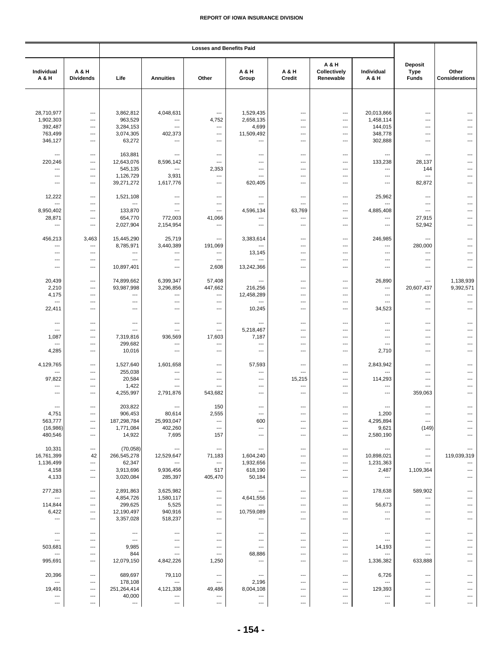|                          |                                   | <b>Losses and Benefits Paid</b> |                          |                          |                          |                          |                                    |                          |                                               |                         |
|--------------------------|-----------------------------------|---------------------------------|--------------------------|--------------------------|--------------------------|--------------------------|------------------------------------|--------------------------|-----------------------------------------------|-------------------------|
| Individual<br>A & H      | A & H<br><b>Dividends</b>         | Life                            | <b>Annuities</b>         | Other                    | A & H<br>Group           | A & H<br>Credit          | A & H<br>Collectively<br>Renewable | Individual<br>A & H      | <b>Deposit</b><br><b>Type</b><br><b>Funds</b> | Other<br>Considerations |
|                          |                                   |                                 |                          |                          |                          |                          |                                    |                          |                                               |                         |
| 28,710,977               | ---                               | 3,862,812                       | 4,048,631                | ---                      | 1,529,435                | ---                      | ---                                | 20,013,866               | $\overline{a}$                                |                         |
| 1,902,303                | ---                               | 963,529                         | $\overline{\phantom{a}}$ | 4,752                    | 2,658,135                | ---                      | ---                                | 1,458,114                | ---                                           |                         |
| 392,487                  | ---                               | 3,284,153                       | $\ldots$                 | ---                      | 4,699                    | ---                      | ---                                | 144,015                  | ---                                           |                         |
| 763,499                  | ---                               | 3,074,305                       | 402,373                  | ---                      | 11,509,492               | ---                      | ---                                | 348,778                  | ---                                           |                         |
| 346,127                  | ---                               | 63,272                          | $\overline{\phantom{a}}$ | $\cdots$                 | ---                      | ---                      | ---                                | 302,888                  | ---                                           |                         |
| ---                      | ---                               | 163,881                         | ---                      | ---                      | ---                      | ---                      | ---                                | ---                      | ---                                           |                         |
| 220,246                  | ---                               | 12,643,076                      | 8,596,142                | ---                      | ---                      | ---                      | ---                                | 133,238                  | 28,137                                        |                         |
| ---                      | ---                               | 545,135                         | $\overline{a}$           | 2,353                    | ---                      | ---                      | $\overline{\phantom{a}}$           | $\overline{a}$           | 144                                           |                         |
| $\cdots$                 | ---                               | 1,126,729                       | 3,931                    | ---                      | ---                      | ---                      | ---                                | $\cdots$                 | ---                                           |                         |
| ---                      | ---                               | 39,271,272                      | 1,617,776                | $\cdots$                 | 620,405                  | $---$                    | ---                                | ---                      | 82,872                                        |                         |
| 12,222                   | ---                               | 1,521,108                       | ---                      | ---                      | ---                      | ---                      | ---                                | 25,962                   | ---                                           |                         |
| $\overline{\phantom{a}}$ | ---                               | $\overline{\phantom{a}}$        | $\overline{\phantom{a}}$ | $---$                    | $---$                    | $---$                    | ---                                | $\overline{a}$           | $---$                                         |                         |
| 8,950,402<br>28,871      | ---<br>---                        | 133,870<br>654,770<br>2,027,904 | ---<br>772,003           | ---<br>41,066            | 4,596,134<br>---         | 63,769<br>---<br>---     | ---<br>---                         | 4,885,408<br>---         | ---<br>27,915                                 | ---                     |
| $\cdots$<br>456,213      | $\overline{\phantom{a}}$<br>3,463 | 15,445,290                      | 2,154,954<br>25,719      | ---<br>---               | ---<br>3,383,614         | ---                      | ---<br>---                         | $\cdots$<br>246,985      | 52,942<br>---                                 |                         |
| $\overline{\phantom{a}}$ | ---                               | 8,785,971                       | 3,440,389                | 191,069                  | ---                      | ---                      | ---                                | ---                      | 280,000                                       |                         |
| ---                      | ---                               | $---$                           | ---                      | $\overline{\phantom{a}}$ | 13,145                   | ---                      | ---                                | ---                      | ---                                           |                         |
| ---                      | ---                               | $\overline{\phantom{a}}$        | ---                      | ---                      | ---                      | ---                      | ---                                | ---                      | $\hspace{0.05cm} \ldots$                      |                         |
| ---                      | ---                               | 10,897,401                      | ---                      | 2,608                    | 13,242,366               | ---                      | ---                                | ---                      | ---                                           |                         |
| 20,439                   | $\overline{\phantom{a}}$          | 74,899,662                      | 6,399,347                | 57,408                   | ---                      | ---                      | ---                                | 26,890                   | ---                                           | 1,138,939               |
| 2,210                    | ---                               | 93,987,998                      | 3,296,856                | 447,662                  | 216,256                  | ---                      | ---                                | ---                      | 20,607,437                                    | 9,392,571               |
| 4,175                    | ---                               | $\overline{\phantom{a}}$        | $\overline{\phantom{a}}$ | $\overline{a}$           | 12,458,289               | $---$                    | $\overline{\phantom{a}}$           | $\overline{\phantom{a}}$ | $---$                                         | $\overline{a}$          |
| $\overline{\phantom{a}}$ | ---                               | ---                             | ---                      | $\hspace{0.05cm} \ldots$ | ---                      | ---                      | ---                                | ---                      | $\overline{\phantom{a}}$                      | ---                     |
| 22,411                   | ---                               | ---                             | ---                      | $\hspace{0.05cm} \ldots$ | 10,245                   | ---                      | ---                                | 34,523                   | ---                                           | ---                     |
| ---                      | ---                               | ---                             | $\qquad \qquad \cdots$   | ---                      | ---                      | ---                      | ---                                | ---                      | $\overline{\phantom{a}}$                      |                         |
| $\overline{\phantom{a}}$ | ---                               | $\overline{\phantom{a}}$        | $\overline{\phantom{a}}$ | $\hspace{0.05cm} \ldots$ | 5,218,467                | ---                      | ---                                | $\overline{a}$           | $\overline{a}$                                |                         |
| 1,087                    | ---                               | 7,319,816                       | 936,569                  | 17,603                   | 7,187                    | $---$                    | ---                                | ---                      | $---$                                         | $---$                   |
| $\overline{\phantom{a}}$ | ---                               | 299,682                         | $\overline{\phantom{a}}$ | $\overline{a}$           | $\overline{\phantom{a}}$ | ---                      | ---                                | $\overline{a}$           | ---                                           |                         |
| 4,285                    | ---                               | 10,016                          | ---                      | ---                      | ---                      | ---                      | ---                                | 2,710                    | ---                                           |                         |
| 4,129,765                | ---                               | 1,527,640                       | 1,601,658                | $\overline{\phantom{a}}$ | 57,593                   | ---                      | ---                                | 2,843,942                | $\overline{a}$                                |                         |
| $\overline{\phantom{a}}$ | ---                               | 255,038                         | ---                      | $\overline{a}$           | ---                      | ---                      | ---                                | ---                      | ---                                           |                         |
| 97,822                   | ---                               | 20,584                          | $\overline{\phantom{a}}$ | $\overline{\phantom{a}}$ | ---                      | 15,215                   | ---                                | 114,293                  | ---                                           |                         |
| ---                      | ---                               | 1,422                           | ---                      | $\overline{a}$           | ---                      | ---                      | ---                                | ---                      | $\overline{a}$                                |                         |
| ---                      | ---                               | 4,255,997                       | 2,791,876                | 543,682                  | ---                      | ---                      | $\overline{\phantom{a}}$           | ---                      | 359,063                                       |                         |
| $---$                    | $\overline{a}$                    | 203,822                         | $\overline{\phantom{a}}$ | 150                      | ---                      | ---                      | $---$                              | $\overline{a}$           | ---                                           | $---$                   |
| 4,751                    | ---                               | 906,453                         | 80,614                   | 2,555                    | ---                      | ---                      | ---                                | 1,200                    | $\overline{a}$                                |                         |
| 563,777                  | ---                               | 187,298,784                     | 25,993,047               | ---                      | 600                      | ---                      | ---                                | 4,295,894                | $\overline{a}$                                |                         |
| (16, 986)                | ---                               | 1,771,084                       | 402,260                  | ---                      | ---                      | ---                      | $\overline{\phantom{a}}$           | 9,621                    | (149)                                         |                         |
| 480,546                  | $\hspace{0.05cm} \ldots$          | 14,922                          | 7,695                    | 157                      | ---                      | ---                      | $\qquad \qquad \cdots$             | 2,580,190                | $\hspace{0.05cm} \ldots$                      |                         |
| 10,331                   | $\overline{a}$                    | (70, 058)                       | $\overline{\phantom{a}}$ | ---                      | ---                      | $---$                    | $---$                              | ---                      | ---                                           | 119,039,319             |
| 16,761,399               | 42                                | 266,545,278                     | 12,529,647               | 71,183                   | 1,604,240                | ---                      | ---                                | 10,898,021               | ---                                           |                         |
| 1,136,499                | ---                               | 62,347                          | $\ldots$                 | ---                      | 1,932,656                | ---                      | ---                                | 1,231,363                | $\overline{a}$                                |                         |
| 4,158                    | ---                               | 3,913,696                       | 9,936,456                | 517                      | 618,190                  | ---                      | $\overline{\phantom{a}}$           | 2,487                    | 1,109,364                                     |                         |
| 4,133                    | $\hspace{0.05cm} \ldots$          | 3,020,084                       | 285,397                  | 405,470                  | 50,184                   | $\hspace{0.05cm} \ldots$ | ---                                | $\cdots$                 | ---                                           |                         |
| 277,283                  | $\overline{a}$                    | 2,891,863                       | 3,625,982                | $\hspace{0.05cm} \ldots$ | ---                      | ---                      | $\overline{\phantom{a}}$           | 178,638                  | 589,902                                       |                         |
| $\overline{\phantom{a}}$ | ---                               | 4,854,726                       | 1,580,117                | $\hspace{0.05cm} \ldots$ | 4,641,556                | ---                      | ---                                | ---                      | ---                                           |                         |
| 114,844                  | ---                               | 299,625                         | 5,525                    | ---                      | ---                      | ---                      | $\overline{\phantom{a}}$           | 56,673                   | ---                                           |                         |
| 6,422                    | $\overline{\phantom{a}}$          | 12,190,497                      | 940,916                  | $\hspace{0.05cm} \ldots$ | 10,759,089               | ---                      | ---                                | ---                      | ---                                           |                         |
| $\overline{\phantom{a}}$ | ---                               | 3,357,028                       | 518,237                  | $\cdots$                 | ---                      | ---                      | ---                                | $\overline{\phantom{a}}$ | ---                                           |                         |
| $\hspace{0.05cm} \cdots$ | ---                               | $\overline{\phantom{a}}$        | ---                      | ---                      | ---                      | ---                      | $\overline{\phantom{a}}$           | ---                      | $\overline{\phantom{a}}$                      |                         |
| $\overline{\phantom{a}}$ | ---                               | $\overline{\phantom{a}}$        | $---$                    | ---                      | ---                      | $---$                    | $---$                              | ---                      | ---                                           |                         |
| 503,681                  | ---                               | 9,985                           | ---                      | ---                      | ---                      | ---                      | ---                                | 14,193                   | ---                                           |                         |
| ---                      | ---                               | 844                             | ---                      | $---$                    | 68,886                   | ---                      | ---                                | ---                      | $---$                                         |                         |
| 995,691                  | $---$                             | 12,079,150                      | 4,842,226                | 1,250                    | ---                      | $---$                    | $\overline{\phantom{a}}$           | 1,336,382                | 633,888                                       |                         |
| 20,396                   | $\overline{\phantom{a}}$          | 689,697                         | 79,110                   | ---                      | ---                      | ---                      | $\overline{\phantom{a}}$           | 6,726                    | $\overline{\phantom{a}}$                      |                         |
| $\hspace{0.05cm} \ldots$ | ---                               | 178,108                         | $---$                    | $\overline{\phantom{a}}$ | 2,196                    | $---$                    | $\overline{\phantom{a}}$           | ---                      | ---                                           |                         |
| 19,491                   | ---                               | 251,264,414                     | 4,121,338                | 49,486                   | 8,004,108                | ---                      | ---                                | 129,393                  | $\overline{\phantom{a}}$                      |                         |
| ---                      | ---                               | 40,000                          | ---                      | $\hspace{0.05cm} \ldots$ | ---                      | ---                      | $\overline{\phantom{a}}$           | ---                      | ---                                           |                         |
| ---                      | ---                               | $\hspace{0.05cm} \cdots$        | ---                      | ---                      | ---                      | ---                      | $\ldots$                           | ---                      | $\hspace{0.05cm} \ldots$                      | ---                     |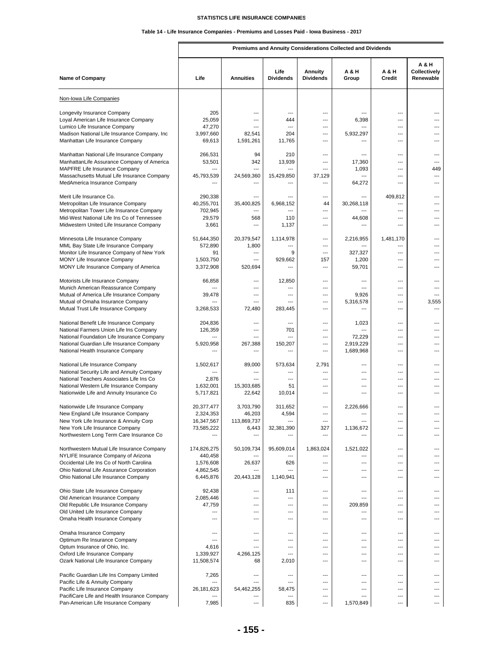# **Table 14 - Life Insurance Companies - Premiums and Losses Paid - Iowa Business - 2017**

**Premiums and Annuity Considerations Collected and Dividends**

| <b>Name of Company</b>                                                                | Life                  | <b>Annuities</b>                | Life<br><b>Dividends</b> | <b>Annuity</b><br><b>Dividends</b> | <b>A&amp;H</b><br>Group | <b>A &amp; H</b><br>Credit | <b>A&amp;H</b><br>Collectively<br>Renewable |
|---------------------------------------------------------------------------------------|-----------------------|---------------------------------|--------------------------|------------------------------------|-------------------------|----------------------------|---------------------------------------------|
| Non-Iowa Life Companies                                                               |                       |                                 |                          |                                    |                         |                            |                                             |
| Longevity Insurance Company                                                           | 205                   | ---                             | ---                      | ---                                |                         | ---                        | ---                                         |
| Loyal American Life Insurance Company                                                 | 25,059                | ---                             | 444                      | ---                                | 6,398                   | ---                        | ---                                         |
| Lumico Life Insurance Company                                                         | 47,270                | ---                             | $\overline{a}$           | ---                                | $\overline{a}$          | ---                        | ---                                         |
| Madison National Life Insurance Company, Inc                                          | 3,997,660             | 82,541                          | 204                      | ---                                | 5,932,297               | ---                        | ---                                         |
| Manhattan Life Insurance Company                                                      | 69,613                | 1,591,261                       | 11,765                   | ---                                | ---                     | ---                        | ---                                         |
| Manhattan National Life Insurance Company                                             | 266,531               | 94                              | 210                      | ---                                | ---                     | ---                        | ---                                         |
| ManhattanLife Assurance Company of America                                            | 53,501                | 342                             | 13,939                   | ---                                | 17,360                  | ---                        | ---                                         |
| MAPFRE Life Insurance Company                                                         | $\overline{a}$        | $\overline{a}$                  | $\overline{a}$           | ---                                | 1,093                   | ---                        | 449                                         |
| Massachusetts Mutual Life Insurance Company                                           | 45,793,539            | 24,569,360                      | 15,429,850               | 37,129                             | ---                     | ---                        | ---                                         |
| MedAmerica Insurance Company                                                          |                       | ---                             |                          | ---                                | 64,272                  | ---                        | ---                                         |
| Merit Life Insurance Co.                                                              | 290,338               | ---                             | ---                      | ---                                | ---                     | 409,812                    | ---                                         |
| Metropolitan Life Insurance Company                                                   | 40,255,701            | 35,400,825                      | 6,968,152                | 44                                 | 30,268,118              | ---                        | ---                                         |
| Metropolitan Tower Life Insurance Company                                             | 702,945               | ---                             | ---                      | ---                                | ---                     | ---                        | ---                                         |
| Mid-West National Life Ins Co of Tennessee                                            | 29,579                | 568                             | 110                      | ---                                | 44,608                  | ---                        | ---                                         |
| Midwestern United Life Insurance Company                                              | 3,661                 | $\overline{\phantom{a}}$        | 1,137                    | ---                                | ---                     | ---                        | ---                                         |
|                                                                                       |                       | 20,379,547                      |                          | ---                                |                         |                            | ---                                         |
| Minnesota Life Insurance Company<br>MML Bay State Life Insurance Company              | 51,644,350<br>572,890 | 1,800                           | 1,114,978                | ---                                | 2,216,955               | 1,481,170<br>---           | ---                                         |
| Monitor Life Insurance Company of New York                                            | 91                    | ---                             | 9                        | ---                                | 327,327                 | ---                        | ---                                         |
| MONY Life Insurance Company                                                           | 1,503,750             | ---                             | 929,662                  | 157                                | 1,200                   | ---                        | ---                                         |
| MONY Life Insurance Company of America                                                | 3,372,908             | 520,694                         | ---                      | ---                                | 59,701                  | ---                        | ---                                         |
|                                                                                       |                       |                                 |                          |                                    |                         |                            |                                             |
| Motorists Life Insurance Company<br>Munich American Reassurance Company               | 66,858                | ---<br>---                      | 12,850                   | ---<br>---                         | ---                     | ---<br>---                 | ---<br>---                                  |
| Mutual of America Life Insurance Company                                              | 39,478                | ---                             | ---                      | ---                                | 9,926                   | ---                        | ---                                         |
| Mutual of Omaha Insurance Company                                                     |                       | ---                             | $\overline{a}$           | ---                                | 5,316,578               | ---                        | 3,555                                       |
| Mutual Trust Life Insurance Company                                                   | 3,268,533             | 72,480                          | 283,445                  | ---                                |                         | ---                        | ---                                         |
|                                                                                       |                       |                                 |                          |                                    |                         |                            |                                             |
| National Benefit Life Insurance Company                                               | 204,836               | $---$                           | ---                      | ---                                | 1,023                   | ---                        | ---                                         |
| National Farmers Union Life Ins Company<br>National Foundation Life Insurance Company | 126,359               | $\overline{\phantom{a}}$<br>--- | 701<br>---               | ---<br>---                         | 72,229                  | ---<br>---                 | ---<br>---                                  |
| National Guardian Life Insurance Company                                              | 5,920,958             | 267,388                         | 150,207                  | ---                                | 2,919,229               | ---                        | ---                                         |
| National Health Insurance Company                                                     |                       |                                 |                          | ---                                | 1,689,968               | ---                        | ---                                         |
|                                                                                       |                       |                                 |                          |                                    | ---                     | ---                        | ---                                         |
| National Life Insurance Company<br>National Security Life and Annuity Company         | 1,502,617             | 89,000<br>---                   | 573,634                  | 2,791<br>---                       | ---                     | ---                        | ---                                         |
| National Teachers Associates Life Ins Co                                              | 2,876                 | ---                             | ---                      | ---                                | ---                     | ---                        | ---                                         |
| National Western Life Insurance Company                                               | 1,632,001             | 15,303,685                      | 51                       | ---                                | ---                     | ---                        | ---                                         |
| Nationwide Life and Annuity Insurance Co                                              | 5,717,821             | 22,642                          | 10,014                   | ---                                | ---                     | ---                        | ---                                         |
| Nationwide Life Insurance Company                                                     | 20,377,477            | 3,703,790                       | 311,652                  | ---                                | 2,226,666               | ---                        |                                             |
| New England Life Insurance Company                                                    | 2,324,353             | 46,203                          | 4,594                    | ---                                | ---                     | ---                        | ---                                         |
| New York Life Insurance & Annuity Corp                                                | 16,347,567            | 113,869,737                     |                          |                                    |                         |                            |                                             |
| New York Life Insurance Company                                                       | 73,585,222            | 6,443                           | 32,381,390               | 327                                | 1,136,672               | ---                        | ---                                         |
| Northwestern Long Term Care Insurance Co                                              |                       | $\overline{a}$                  |                          | ---                                |                         | ---                        | ---                                         |
| Northwestern Mutual Life Insurance Company                                            | 174,826,275           | 50,109,734                      | 95,609,014               | 1,863,024                          | 1,521,022               | ---                        | ---                                         |
| NYLIFE Insurance Company of Arizona                                                   | 440,458               |                                 |                          | ---                                | ---                     | ---                        | ---                                         |
| Occidental Life Ins Co of North Carolina                                              | 1,576,608             | 26,637                          | 626                      | ---                                | ---                     | ---                        | ---                                         |
| Ohio National Life Assurance Corporation                                              | 4,862,545             | ---                             |                          | ---                                | ---                     | ---                        | ---                                         |
| Ohio National Life Insurance Company                                                  | 6,445,876             | 20,443,128                      | 1,140,941                | ---                                | ---                     | ---                        | ---                                         |
| Ohio State Life Insurance Company                                                     | 92,438                | ---                             | 111                      | ---                                | ---                     | ---                        |                                             |
| Old American Insurance Company                                                        | 2,085,446             | ---                             | ---                      | ---                                | ---                     | ---                        | ---                                         |
| Old Republic Life Insurance Company                                                   | 47,759                | ---                             | ---                      | ---                                | 209,859                 | ---                        | ---                                         |
| Old United Life Insurance Company                                                     | ---                   | ---                             | ---                      | ---                                | ---                     | ---                        | ---                                         |
| Omaha Health Insurance Company                                                        | ---                   | ---                             | $---$                    | ---                                | ---                     | ---                        | ---                                         |
| Omaha Insurance Company                                                               | ---                   | ---                             | ---                      | ---                                | ---                     | ---                        | ---                                         |
| Optimum Re Insurance Company                                                          | ---                   | ---                             | $---$                    | ---                                | ---                     | ---                        | ---                                         |
| Optum Insurance of Ohio, Inc.                                                         | 4,616                 | ---                             | $\overline{a}$           | ---                                | ---                     | ---                        | ---                                         |
| Oxford Life Insurance Company                                                         | 1,339,927             | 4,266,125                       | ---                      | ---                                | ---                     | ---                        | ---                                         |
| Ozark National Life Insurance Company                                                 | 11,508,574            | 68                              | 2,010                    | ---                                | ---                     | ---                        | ---                                         |
| Pacific Guardian Life Ins Company Limited                                             | 7,265                 | ---                             |                          | ---                                | ---                     | ---                        |                                             |
| Pacific Life & Annuity Company                                                        | ---                   | ---                             | ---                      | ---                                | ---                     | ---                        | ---                                         |
| Pacific Life Insurance Company                                                        | 26, 181, 623          | 54,462,255                      | 58,475                   | ---                                | ---                     | ---                        | ---                                         |
| PacifiCare Life and Health Insurance Company                                          |                       | ---                             |                          | ---                                | ---                     | ---                        | ---                                         |
| Pan-American Life Insurance Company                                                   | 7,985                 | $\cdots$                        | 835                      | ---                                | 1,570,849               | ---                        | ---                                         |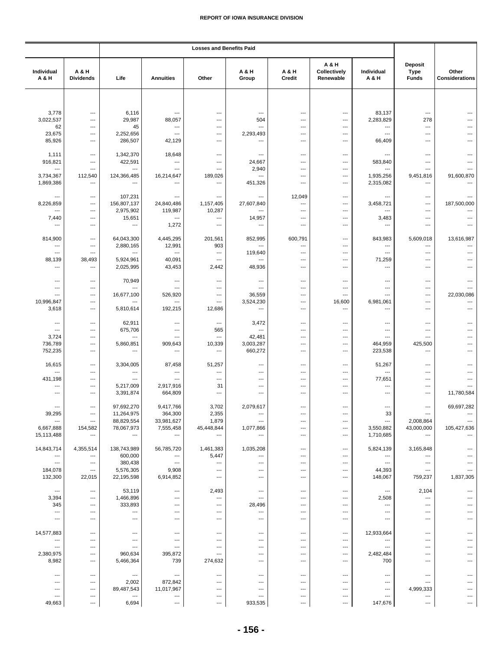|                                       |                                 | <b>Losses and Benefits Paid</b>                      |                                                      |                                                      |                                 |                                   |                                    |                                       |                                        |                                |
|---------------------------------------|---------------------------------|------------------------------------------------------|------------------------------------------------------|------------------------------------------------------|---------------------------------|-----------------------------------|------------------------------------|---------------------------------------|----------------------------------------|--------------------------------|
| Individual<br>A & H                   | A & H<br><b>Dividends</b>       | Life                                                 | <b>Annuities</b>                                     | Other                                                | A & H<br>Group                  | A & H<br>Credit                   | A & H<br>Collectively<br>Renewable | Individual<br>A & H                   | Deposit<br><b>Type</b><br><b>Funds</b> | Other<br><b>Considerations</b> |
|                                       |                                 |                                                      |                                                      |                                                      |                                 |                                   |                                    |                                       |                                        |                                |
| 3,778<br>3,022,537                    | $\overline{a}$<br>---           | 6,116<br>29,987                                      | $\overline{\phantom{a}}$                             | ---<br>---                                           | ---                             | ---                               | $\overline{\phantom{a}}$<br>---    | 83,137                                | ---                                    | ---<br>---                     |
| 62                                    | ---                             | 45                                                   | 88,057<br>$\hspace{0.05cm} \cdots$                   | ---                                                  | 504<br>---                      | ---<br>---                        | ---                                | 2,283,829<br>---                      | 278<br>---                             |                                |
| 23,675                                | ---                             | 2,252,656                                            | $---$                                                | ---                                                  | 2,293,493                       | ---                               | $\overline{\phantom{a}}$           | $---$                                 | $---$                                  | ---                            |
| 85,926                                | ---                             | 286,507                                              | 42,129                                               | ---                                                  | ---                             | ---                               | ---                                | 66,409                                | ---                                    |                                |
| 1,111                                 | ---                             | 1,342,370                                            | 18,648                                               | ---                                                  | ---                             | ---                               | ---                                | $\overline{\phantom{a}}$              | ---                                    | ---                            |
| 916,821<br>---                        | ---<br>---                      | 422,591<br>---                                       | ---<br>---                                           | ---<br>---                                           | 24,667<br>2,940                 | ---<br>---                        | ---<br>---                         | 583,840<br>---                        | $\overline{a}$<br>---                  | ---                            |
| 3,734,367                             | 112,540                         | 124,366,485                                          | 16,214,647                                           | 189,026                                              | ---                             | ---                               | $\overline{\phantom{a}}$           | 1,935,256                             | 9,451,816                              | 91,600,870                     |
| 1,869,386                             | ---                             | ---                                                  | $\overline{\phantom{a}}$                             | ---                                                  | 451,326                         | ---                               | ---                                | 2,315,082                             | ---                                    | ---                            |
| $---$                                 | $\overline{a}$                  | 107,231                                              | $\overline{\phantom{a}}$                             | ---                                                  | ---                             | 12,049                            | ---                                | $---$                                 | ---                                    | ---                            |
| 8,226,859                             | ---                             | 156,807,137                                          | 24,840,486                                           | 1,157,405                                            | 27,607,840                      | $\overline{a}$                    | ---                                | 3,458,721                             | ---                                    | 187,500,000                    |
| ---<br>7,440                          | ---<br>---                      | 2,975,902<br>15,651                                  | 119,987<br>$\ldots$                                  | 10,287<br>---                                        | ---<br>14,957                   | ---<br>---                        | ---<br>---                         | $\qquad \qquad \cdots$<br>3,483       | ---<br>---                             | ---<br>---                     |
| $\overline{a}$                        | ---                             | $\overline{\phantom{a}}$                             | 1,272                                                | ---                                                  | ---                             | ---                               | ---                                | ---                                   | ---                                    | $\overline{a}$                 |
| 814,900                               | ---                             | 64,043,300                                           | 4,445,295                                            | 201,561                                              | 852,995                         | 600,791                           | ---                                | 843,983                               | 5,609,018                              | 13,616,987                     |
| $\overline{a}$                        | $\overline{a}$                  | 2,880,165                                            | 12,991                                               | 903                                                  | ---                             | ---                               | $\overline{\phantom{a}}$           | ---                                   | $\overline{a}$                         | $\overline{a}$                 |
| $\overline{\phantom{a}}$              | ---                             |                                                      | ---                                                  | ---                                                  | 119,640                         | ---                               | ---                                | ---                                   | ---                                    | ---                            |
| 88,139<br>$\overline{a}$              | 38,493<br>---                   | 5,924,961<br>2,025,995                               | 40,091<br>43,453                                     | ---<br>2,442                                         | ---<br>48,936                   | ---<br>---                        | ---<br>---                         | 71,259<br>$\overline{\phantom{a}}$    | ---<br>---                             | ---<br>---                     |
|                                       |                                 |                                                      |                                                      |                                                      |                                 |                                   |                                    |                                       |                                        |                                |
| ---<br>---                            | ---<br>---                      | 70,949<br>$\overline{\phantom{a}}$                   | $\qquad \qquad \cdots$<br>$\overline{\phantom{a}}$   | ---<br>---                                           | ---<br>$\overline{\phantom{a}}$ | ---<br>---                        | ---<br>$\overline{\phantom{a}}$    | ---<br>$---$                          | ---<br>$---$                           | ---<br>$\overline{a}$          |
| ---                                   | ---                             | 16,677,100                                           | 526,920                                              | ---                                                  | 36,559                          | ---                               | ---                                | $\overline{\phantom{a}}$              | $\overline{a}$                         | 22,030,086                     |
| 10,996,847                            | ---                             |                                                      | ---                                                  | ---                                                  | 3,524,230                       | ---                               | 16,600                             | 6,981,061<br>$\overline{\phantom{a}}$ | ---                                    | ---<br>---                     |
| 3,618                                 | ---                             | 5,810,614                                            | 192,215                                              | 12,686                                               | ---                             | ---                               | ---                                |                                       | ---                                    |                                |
| ---                                   | ---                             | 62,911                                               | $\qquad \qquad \cdots$                               | ---                                                  | 3,472                           | ---                               | ---                                | ---                                   | ---                                    | ---                            |
| ---<br>3,724                          | ---<br>---                      | 675,706<br>---                                       | $\qquad \qquad \cdots$<br>---                        | 565<br>---                                           | ---<br>42,481                   | ---<br>---                        | ---<br>---                         | $---$<br>---                          | ---<br>---                             | ---                            |
| 736,789                               | ---                             | 5,860,851                                            | 909,643                                              | 10,339                                               | 3,003,287                       | ---                               | ---                                | 464,959                               | 425,500                                | ---                            |
| 752,235                               | ---                             | $\overline{\phantom{a}}$                             | $---$                                                | ---                                                  | 660,272                         | ---                               | $\overline{\phantom{a}}$           | 223,538                               | ---                                    | ---                            |
| 16,615                                | ---                             | 3,304,005                                            | 87,458                                               | 51,257                                               | ---                             | ---                               | ---                                | 51,267                                | ---                                    |                                |
| ---<br>431,198                        | ---<br>---                      | $\overline{\phantom{a}}$<br>---                      | $\qquad \qquad \cdots$<br>---                        | ---<br>---                                           | $---$<br>---                    | ---<br>---                        | ---<br>---                         | ---<br>77,651                         | $---$<br>$\overline{a}$                | ---<br>---                     |
| ---                                   | ---                             | 5,217,009                                            | 2,917,916                                            | 31                                                   | ---                             | ---                               | ---                                | ---                                   | ---                                    | ---                            |
| ---                                   | ---                             | 3,391,874                                            | 664,809                                              | ---                                                  | ---                             | ---                               | ---                                | ---                                   | ---                                    | 11,780,584                     |
| $\overline{a}$                        | ---                             | 97,692,270                                           | 9,417,766                                            | 3,702                                                | 2,079,617                       | ---                               | $\overline{\phantom{a}}$           | ---                                   | ---                                    | 69,697,282                     |
| 39,295                                | ---                             | 11,264,975                                           | 364,300                                              | 2,355                                                |                                 | ---                               | ---                                | 33                                    |                                        |                                |
| $\hspace{0.05cm} \ldots$<br>6,667,888 | ---<br>154,582                  | 88,829,554<br>78,067,973                             | 33,981,627<br>7,555,458                              | 1,879<br>45,448,844                                  | ---<br>1,077,866                | ---<br>---                        | ---<br>---                         | $\overline{\phantom{a}}$<br>3,550,882 | 2,008,864<br>43,000,000                | ---<br>105,427,636             |
| 15,113,488                            | $\overline{\phantom{a}}$        | $\hspace{0.05cm} \ldots$                             | $\hspace{0.05cm} \ldots$                             | ---                                                  | ---                             | ---                               | $\hspace{0.05cm} \ldots$           | 1,710,685                             | ---                                    | ---                            |
| 14,843,714                            | 4,355,514                       | 138,743,989                                          | 56,785,720                                           | 1,461,383                                            | 1,035,208                       | ---                               | ---                                | 5,824,139                             | 3,165,848                              | ---                            |
| $\cdots$                              | ---                             | 600,000                                              | ---                                                  | 5,447                                                | ---                             | ---                               | ---                                | $\qquad \qquad \cdots$                |                                        |                                |
| $\hspace{0.05cm} \ldots$              | $---$                           | 380,438                                              | $---$                                                | $\overline{\phantom{a}}$                             | $---$                           | ---                               | $\overline{\phantom{a}}$           | $\cdots$                              | $---$                                  |                                |
| 184,078<br>132,300                    | $---$<br>22,015                 | 5,576,305<br>22,195,598                              | 9,908<br>6,914,852                                   | $\overline{\phantom{a}}$<br>$\hspace{0.05cm} \ldots$ | ---<br>---                      | $---$<br>$\overline{\phantom{a}}$ | ---<br>---                         | 44,393<br>148,067                     | $---$<br>759,237                       | ---<br>1,837,305               |
|                                       |                                 |                                                      |                                                      |                                                      |                                 |                                   |                                    |                                       |                                        |                                |
| $\overline{\phantom{a}}$<br>3,394     | $\overline{\phantom{a}}$<br>--- | 53,119<br>1,466,896                                  | $\overline{\phantom{a}}$<br>$\overline{\phantom{a}}$ | 2,493<br>---                                         | $\overline{\phantom{a}}$<br>--- | $---$<br>---                      | ---<br>$\hspace{0.05cm} \ldots$    | $---$<br>2,508                        | 2,104<br>---                           | ---                            |
| 345                                   | $---$                           | 333,893                                              | ---                                                  | ---                                                  | 28,496                          | ---                               | ---                                | $\overline{\phantom{a}}$              | ---                                    |                                |
| $\overline{\phantom{a}}$              | ---                             | $\overline{\phantom{a}}$                             | $\overline{\phantom{a}}$                             | $---$                                                | ---                             | $---$                             | ---                                | $---$                                 | ---<br>---                             | ---                            |
| $\hspace{0.05cm} \ldots$              | ---                             | ---                                                  | ---                                                  | ---                                                  | ---                             | ---                               | ---                                | $\qquad \qquad \cdots$                |                                        | ---                            |
| 14,577,883                            | ---                             | $\hspace{0.05cm} \ldots$                             | $\overline{\phantom{a}}$                             | $---$                                                | ---                             | $---$                             | $---$                              | 12,933,664                            | $---$                                  | ---                            |
| ---<br>$---$                          | ---<br>$---$                    | $\overline{\phantom{a}}$<br>$\hspace{0.05cm} \ldots$ | $\qquad \qquad \cdots$<br>$\overline{\phantom{a}}$   | ---<br>$---$                                         | ---<br>$---$                    | ---<br>---                        | ---<br>$\overline{\phantom{a}}$    | $\qquad \qquad \cdots$<br>$---$       | ---<br>$---$                           |                                |
| 2,380,975                             | ---                             | 960,634                                              | 395,872                                              | ---                                                  | $\overline{\phantom{a}}$        | $---$                             | $\overline{\phantom{a}}$           | 2,482,484                             | ---                                    | ---                            |
| 8,982                                 | $\overline{\phantom{a}}$        | 5,466,364                                            | 739                                                  | 274,632                                              | ---                             | ---                               | ---                                | 700                                   | ---                                    | ---                            |
| $---$                                 | ---                             | $\hspace{0.05cm} \ldots$                             | $\overline{\phantom{a}}$                             | ---                                                  | ---                             | ---                               | ---                                | $---$                                 | $---$                                  |                                |
| ---<br>---                            | ---<br>---                      | 2,002<br>89,487,543                                  | 872,842<br>11,017,967                                | ---                                                  | ---<br>---                      | ---<br>---                        | ---<br>---                         | $\qquad \qquad \cdots$<br>---         | ---<br>4,999,333                       |                                |
| $\overline{\phantom{a}}$              | ---                             | $\overline{\phantom{a}}$                             | $\cdots$                                             | ---<br>---                                           | ---                             | $---$                             | ---                                | $---$                                 | $\overline{a}$                         | ---                            |
| 49,663                                | ---                             | 6,694                                                | ---                                                  | ---                                                  | 933,535                         | ---                               | ---                                | 147,676                               | $\overline{\phantom{a}}$               | ---                            |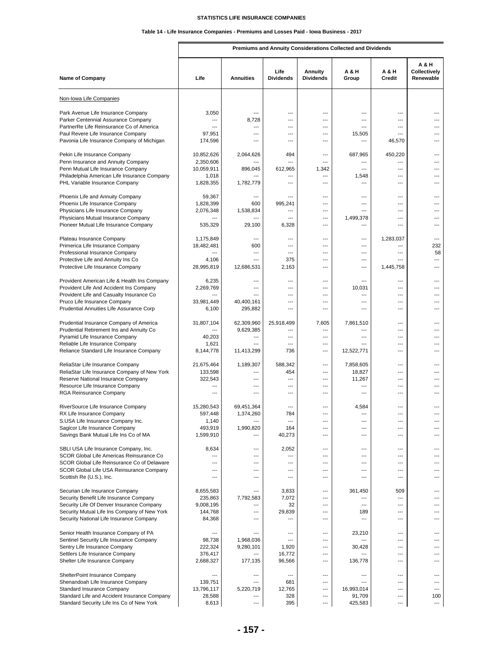# **Table 14 - Life Insurance Companies - Premiums and Losses Paid - Iowa Business - 2017**

Г

|                                                                                          |                          |                             |                                            |                             | Premiums and Annuity Considerations Collected and Dividends |                         |                                    |
|------------------------------------------------------------------------------------------|--------------------------|-----------------------------|--------------------------------------------|-----------------------------|-------------------------------------------------------------|-------------------------|------------------------------------|
| <b>Name of Company</b>                                                                   | Life                     | <b>Annuities</b>            | Life<br><b>Dividends</b>                   | Annuity<br><b>Dividends</b> | A & H<br>Group                                              | A & H<br>Credit         | A & H<br>Collectively<br>Renewable |
| Non-Iowa Life Companies                                                                  |                          |                             |                                            |                             |                                                             |                         |                                    |
| Park Avenue Life Insurance Company                                                       | 3,050                    | ---                         | ---                                        | ---                         | ---                                                         | ---                     |                                    |
| Parker Centennial Assurance Company                                                      | ---                      | 8,728                       | $\overline{\phantom{a}}$                   | ---                         | ---                                                         | ---                     | ---                                |
| PartnerRe Life Reinsurance Co of America                                                 | ---                      | ---                         | ---                                        | ---                         | ---                                                         | ---                     | ---                                |
| Paul Revere Life Insurance Company<br>Pavonia Life Insurance Company of Michigan         | 97,951<br>174,596        | ---<br>---                  | $\overline{a}$<br>$\overline{a}$           | $---$<br>$---$              | 15,505<br>$\overline{a}$                                    | $---$<br>46,570         | ---<br>---                         |
|                                                                                          |                          |                             |                                            |                             |                                                             |                         |                                    |
| Pekin Life Insurance Company                                                             | 10,852,626               | 2,064,626                   | 494                                        | ---<br>---                  | 687,965                                                     | 450,220                 | $---$                              |
| Penn Insurance and Annuity Company<br>Penn Mutual Life Insurance Company                 | 2,350,606<br>10,059,911  | 896,045                     | 612,965                                    | 1,342                       | ---<br>---                                                  | ---<br>---              | ---<br>---                         |
| Philadelphia American Life Insurance Company                                             | 1,018                    |                             | $\overline{a}$                             | ---                         | 1,548                                                       | ---                     | ---                                |
| PHL Variable Insurance Company                                                           | 1,828,355                | 1,782,779                   | $\overline{a}$                             | ---                         | $\overline{a}$                                              | ---                     | ---                                |
| Phoenix Life and Annuity Company                                                         | 59,367                   | ---                         | $\overline{a}$                             | ---                         | $---$                                                       | $---$                   | ---                                |
| Phoenix Life Insurance Company                                                           | 1,828,399                | 600                         | 995,241                                    | ---                         | $\overline{a}$                                              | $\overline{a}$          | ---                                |
| Physicians Life Insurance Company                                                        | 2,076,348                | 1,538,834                   | ---                                        | ---                         | ---                                                         | ---                     | ---                                |
| Physicians Mutual Insurance Company                                                      |                          |                             | $\overline{a}$                             | $\overline{a}$              | 1,499,378                                                   | ---                     | ---                                |
| Pioneer Mutual Life Insurance Company                                                    | 535,329                  | 29,100                      | 6,328                                      | ---                         |                                                             | $\overline{a}$          | ---                                |
| Plateau Insurance Company                                                                | 1,175,849                | ---                         | ---                                        | ---                         | ---                                                         | 1,283,037               | ---                                |
| Primerica Life Insurance Company                                                         | 18,482,481               | 600                         | ---                                        | ---                         | $---$                                                       | ---                     | 232                                |
| Professional Insurance Company                                                           | $\overline{\phantom{a}}$ | ---<br>---                  | $\overline{a}$                             | ---<br>---                  | ---                                                         | ---<br>---              | 58                                 |
| Protective Life and Annuity Ins Co<br>Protective Life Insurance Company                  | 4,106<br>28,995,819      | 12,686,531                  | 375<br>2,163                               | $---$                       | ---<br>$---$                                                | 1,445,758               | ---<br>$---$                       |
|                                                                                          |                          |                             |                                            |                             |                                                             |                         |                                    |
| Provident American Life & Health Ins Company                                             | 6,235                    | ---                         | $\overline{a}$                             | $\overline{a}$              | ---                                                         | $\overline{a}$          | ---                                |
| Provident Life And Accident Ins Company                                                  | 2,269,769                | $---$                       | $---$                                      | $---$                       | 10,031                                                      | $---$                   | ---                                |
| Provident Life and Casualty Insurance Co<br>Pruco Life Insurance Company                 | 33,981,449               | 40,400,161                  | $\overline{a}$<br>$\overline{\phantom{a}}$ | ---<br>---                  | ---<br>---                                                  | ---<br>---              | ---<br>---                         |
| Prudential Annuities Life Assurance Corp                                                 | 6,100                    | 295,882                     | $---$                                      | ---                         | $---$                                                       | $---$                   | ---                                |
|                                                                                          |                          |                             |                                            |                             |                                                             |                         |                                    |
| Prudential Insurance Company of America                                                  | 31,807,104<br>---        | 62,309,960                  | 25,918,499                                 | 7,605<br>$\overline{a}$     | 7,861,510                                                   | ---                     | ---                                |
| Prudential Retirement Ins and Annuity Co<br>Pyramid Life Insurance Company               | 40,203                   | 9,629,385<br>$\overline{a}$ | $\overline{a}$<br>$\overline{\phantom{a}}$ | ---                         | ---<br>$\overline{a}$                                       | $---$<br>$\overline{a}$ | ---<br>---                         |
| Reliable Life Insurance Company                                                          | 1,621                    |                             | ---                                        | ---                         |                                                             | ---                     | ---                                |
| Reliance Standard Life Insurance Company                                                 | 8,144,778                | 11,413,299                  | 736                                        | ---                         | 12,522,771                                                  | $---$                   | ---                                |
| ReliaStar Life Insurance Company                                                         | 21,675,464               | 1,189,307                   | 588.342                                    | ---                         | 7,858,605                                                   | ---                     |                                    |
| ReliaStar Life Insurance Company of New York                                             | 133,598                  | ---                         | 454                                        | $---$                       | 18,827                                                      | $---$                   | ---                                |
| Reserve National Insurance Company                                                       | 322,543                  | $---$                       | ---                                        | ---                         | 11,267                                                      | ---                     | ---                                |
| Resource Life Insurance Company                                                          | ---                      | ---                         | $\overline{a}$                             | ---                         | ---                                                         | ---                     | ---                                |
| RGA Reinsurance Company                                                                  | ---                      | ---                         | $\overline{a}$                             | ---                         | $\overline{a}$                                              | ---                     | ---                                |
| RiverSource Life Insurance Company                                                       | 15,280,543               | 69,451,364                  | $\overline{\phantom{a}}$                   | ---                         | 4,584                                                       | ---                     |                                    |
| RX Life Insurance Company                                                                | 597,448                  | 1,374,260                   | 784                                        |                             |                                                             | ---                     |                                    |
| S.USA Life Insurance Company Inc.<br>Sagicor Life Insurance Company                      | 1,140<br>493,919         | 1,990,820                   | $\overline{\phantom{a}}$<br>164            | ---<br>---                  | ---<br>---                                                  | ---<br>---              | ---<br>---                         |
| Savings Bank Mutual Life Ins Co of MA                                                    | 1,599,910                |                             | 40,273                                     | ---                         | ---                                                         | ---                     | ---                                |
|                                                                                          |                          |                             |                                            |                             |                                                             |                         |                                    |
| SBLI USA Life Insurance Company, Inc.<br>SCOR Global Life Americas Reinsurance Co        | 8,634<br>---             | ---<br>---                  | 2,052<br>---                               | ---<br>---                  | ---<br>---                                                  | ---<br>$\overline{a}$   | ---<br>---                         |
| SCOR Global Life Reinsurance Co of Delaware                                              | $---$                    | $---$                       | $---$                                      | $---$                       | $---$                                                       | $---$                   | $---$                              |
| SCOR Global Life USA Reinsurance Company                                                 | ---                      | ---                         | $\overline{\phantom{a}}$                   | ---                         | ---                                                         | ---                     | ---                                |
| Scottish Re (U.S.), Inc.                                                                 | ---                      | ---                         | $\overline{a}$                             | ---                         | ---                                                         | ---                     | ---                                |
| Securian Life Insurance Company                                                          | 8,655,583                | ---                         | 3,833                                      | ---                         | 361,450                                                     | 509                     | ---                                |
| Security Benefit Life Insurance Company                                                  | 235,863                  | 7,792,583                   | 7,072                                      | ---                         | ---                                                         | ---                     | ---                                |
| Security Life Of Denver Insurance Company                                                | 9,008,195                | ---                         | 32                                         | ---                         | $---$                                                       | $\overline{a}$          | ---                                |
| Security Mutual Life Ins Company of New York<br>Security National Life Insurance Company | 144,768<br>84,368        | ---<br>---                  | 29,839<br>---                              | ---<br>---                  | 189<br>---                                                  | ---<br>---              | ---<br>---                         |
|                                                                                          |                          |                             |                                            |                             |                                                             |                         |                                    |
| Senior Health Insurance Company of PA                                                    | ---                      | ---                         | ---                                        | ---                         | 23,210                                                      | ---                     | ---                                |
| Sentinel Security Life Insurance Company<br>Sentry Life Insurance Company                | 98,738<br>222,324        | 1,968,036<br>9,280,101      | ---<br>1,920                               | ---<br>---                  | 30,428                                                      | ---<br>---              | ---<br>---                         |
| Settlers Life Insurance Company                                                          | 376,417                  | ---                         | 16,772                                     | ---                         | ---                                                         | ---                     | ---                                |
| Shelter Life Insurance Company                                                           | 2,688,327                | 177,135                     | 96,566                                     | ---                         | 136,778                                                     | ---                     | ---                                |
|                                                                                          | ---                      | ---                         | $\overline{a}$                             | ---                         | $\overline{a}$                                              | ---                     | ---                                |
| ShelterPoint Insurance Company<br>Shenandoah Life Insurance Company                      | 139,751                  | ---                         | 681                                        | ---                         | ---                                                         | ---                     | ---                                |
| Standard Insurance Company                                                               | 13,796,117               | 5,220,719                   | 12,765                                     | ---                         | 16,993,014                                                  | ---                     | ---                                |
| Standard Life and Accident Insurance Company                                             | 28,588                   | ---                         | 328                                        | ---                         | 91,709                                                      | ---                     | 100                                |
| Standard Security Life Ins Co of New York                                                | 8,613                    | ---                         | 395                                        | ---                         | 425,583                                                     | ---                     | $\overline{\phantom{a}}$           |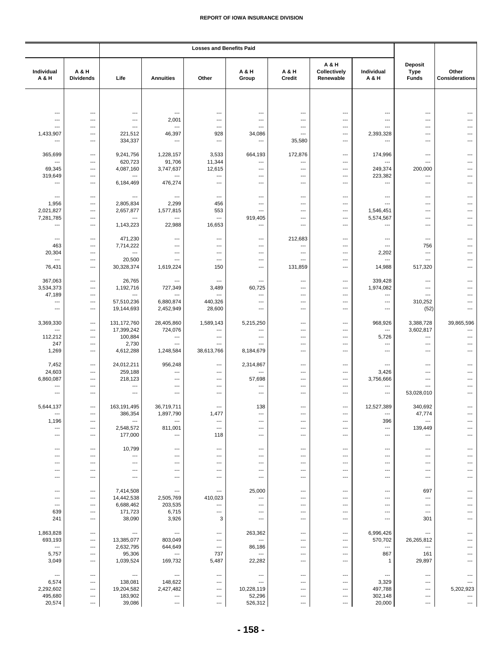|                                     |                           | <b>Losses and Benefits Paid</b>                      |                                                    |                                 |                                 |                                 |                                    |                               |                                        |                                |
|-------------------------------------|---------------------------|------------------------------------------------------|----------------------------------------------------|---------------------------------|---------------------------------|---------------------------------|------------------------------------|-------------------------------|----------------------------------------|--------------------------------|
| Individual<br>A & H                 | A & H<br><b>Dividends</b> | Life                                                 | <b>Annuities</b>                                   | Other                           | A & H<br>Group                  | A & H<br>Credit                 | A & H<br>Collectively<br>Renewable | Individual<br>A & H           | Deposit<br><b>Type</b><br><b>Funds</b> | Other<br><b>Considerations</b> |
|                                     |                           |                                                      |                                                    |                                 |                                 |                                 |                                    |                               |                                        |                                |
|                                     |                           |                                                      |                                                    |                                 |                                 |                                 |                                    |                               |                                        |                                |
| ---<br>---                          | ---<br>---                | ---<br>$\overline{\phantom{a}}$                      | $\qquad \qquad \cdots$<br>2,001                    | ---<br>---                      | ---<br>$\overline{\phantom{a}}$ | ---<br>---                      | ---<br>---                         | ---<br>---                    | ---<br>---                             | ---<br>---                     |
| ---                                 | ---                       | $\overline{\phantom{a}}$                             | $\ldots$                                           | ---                             | ---                             | ---                             | ---                                | ---                           | ---                                    | ---                            |
| 1,433,907                           | ---                       | 221,512                                              | 46,397                                             | 928                             | 34,086                          | ---                             | ---                                | 2,393,328                     | ---                                    |                                |
| ---                                 | ---                       | 334,337                                              | $\qquad \qquad \cdots$                             | $\hspace{0.05cm} \ldots$        | $\qquad \qquad \cdots$          | 35,580                          | $---$                              | $\overline{\phantom{a}}$      | ---                                    | ---                            |
|                                     |                           |                                                      |                                                    |                                 |                                 |                                 |                                    |                               |                                        |                                |
| 365,699<br>$\overline{\phantom{a}}$ | ---<br>---                | 9,241,756<br>620,723                                 | 1,228,157<br>91,706                                | 3,533<br>11,344                 | 664,193<br>---                  | 172,876<br>---                  | ---<br>$\overline{\phantom{a}}$    | 174,996<br>$---$              | ---<br>$---$                           | ---                            |
| 69,345                              | ---                       | 4,087,160                                            | 3,747,637                                          | 12,615                          | ---                             | $\overline{a}$                  | ---                                | 249,374                       | 200,000                                | ---                            |
| 319,649                             | ---                       | ---                                                  | ---                                                | ---                             | ---                             | ---                             | ---                                | 223,382                       | ---                                    | ---                            |
| ---                                 | ---                       | 6,184,469                                            | 476,274                                            | ---                             | ---                             | ---                             | $\overline{\phantom{a}}$           | $\overline{\phantom{a}}$      | ---                                    | ---                            |
| $\overline{\phantom{a}}$            | ---                       | $\overline{\phantom{a}}$                             | $---$                                              | $---$                           | ---                             | ---                             | $\overline{\phantom{a}}$           | $\overline{\phantom{a}}$      | ---                                    | ---                            |
| 1,956                               | ---                       | 2,805,834                                            | 2,299                                              | 456                             | ---                             | ---                             | ---                                | $---$                         | ---                                    | ---                            |
| 2,021,827                           | ---                       | 2,657,877                                            | 1,577,815                                          | 553                             | ---                             | $---$                           | $\overline{\phantom{a}}$           | 1,546,451                     | ---                                    | ---                            |
| 7,281,785                           | ---                       |                                                      | ---                                                | ---                             | 919,405                         | ---                             | ---                                | 5,574,567                     | ---                                    |                                |
| $\overline{\phantom{a}}$            | ---                       | 1,143,223                                            | 22,988                                             | 16,653                          | $\overline{\phantom{a}}$        | ---                             | $\overline{\phantom{a}}$           | $\overline{\phantom{a}}$      | ---                                    | ---                            |
| $\overline{\phantom{a}}$            | ---                       | 471,230                                              | $\qquad \qquad \cdots$                             | ---                             | ---                             | 212,683                         | ---                                | $\overline{\phantom{a}}$      | ---                                    |                                |
| 463                                 | ---                       | 7,714,222                                            | $\overline{\phantom{a}}$                           | $\overline{a}$                  | ---                             | ---                             | ---                                | $\overline{\phantom{a}}$      | 756                                    | ---                            |
| 20,304                              | ---                       | $---$                                                | $\overline{\phantom{a}}$                           | ---                             | ---                             | ---                             | ---                                | 2,202                         | ---                                    | ---                            |
| $\overline{\phantom{a}}$            | ---                       | 20,500                                               | $\ldots$                                           | ---                             | ---                             | ---                             | ---                                | $\ldots$                      | ---                                    | ---                            |
| 76,431                              | ---                       | 30,328,374                                           | 1,619,224                                          | 150                             | ---                             | 131,859                         | ---                                | 14,988                        | 517,320                                |                                |
| 367,063                             | $\overline{\phantom{a}}$  | 26,765                                               | ---                                                | ---                             | ---                             | ---                             | ---                                | 339,428                       | ---                                    |                                |
| 3,534,373                           | ---                       | 1,192,716                                            | 727,349                                            | 3,489                           | 60,725                          | ---                             | ---                                | 1,974,082                     | ---                                    |                                |
| 47,189                              | $\overline{\phantom{a}}$  |                                                      | ---                                                | ---                             | ---                             | ---                             | ---                                | $\overline{\phantom{a}}$      | $---$                                  | ---                            |
| ---                                 | ---                       | 57,510,236                                           | 6,880,874                                          | 440,326                         | ---                             | ---                             | ---                                | $\qquad \qquad \cdots$        | 310,252                                | ---                            |
| $\overline{\phantom{a}}$            | ---                       | 19,144,693                                           | 2,452,949                                          | 28,600                          | ---                             | ---                             | ---                                | ---                           | (52)                                   | ---                            |
| 3,369,330                           | ---                       | 131, 172, 760                                        | 28,405,860                                         | 1,589,143                       | 5,215,250                       | ---                             | ---                                | 968,926                       | 3,388,728                              | 39,865,596                     |
| ---                                 | ---                       | 17,399,242                                           | 724,076                                            | ---                             | ---                             | ---                             | ---                                | $\ldots$                      | 3,602,817                              | ---                            |
| 112,212                             | ---                       | 100,884                                              | $\cdots$                                           | ---                             | $\overline{\phantom{a}}$        | ---                             | ---                                | 5,726                         | $---$                                  | ---                            |
| 247                                 | $\overline{a}$            | 2,730                                                | $---$                                              | ---                             | ---                             | ---                             | ---                                | $---$                         | ---                                    | ---                            |
| 1,269                               | ---                       | 4,612,288                                            | 1,248,584                                          | 38,613,766                      | 8,184,679                       | ---                             | ---                                | ---                           | ---                                    | ---                            |
| 7,452                               | ---                       | 24,012,211                                           | 956,248                                            | ---                             | 2,314,867                       | ---                             | ---                                | ---                           | ---                                    |                                |
| 24,603                              | ---                       | 259,188                                              | $\qquad \qquad \cdots$                             | $\overline{a}$                  | ---                             | ---                             | ---                                | 3,426                         | ---                                    |                                |
| 6,860,087                           | ---                       | 218,123                                              | $\overline{\phantom{a}}$                           | ---                             | 57,698                          | ---                             | ---                                | 3,756,666                     | ---                                    | ---                            |
| ---                                 | $---$                     | $---$                                                | $---$                                              | ---                             | ---                             | ---                             | ---                                | $---$                         | ---                                    | ---                            |
| ---                                 | ---                       | $\overline{\phantom{a}}$                             | $\ldots$                                           | ---                             | ---                             | ---                             | ---                                | $---$                         | 53,028,010                             | ---                            |
| 5,644,137                           | $\overline{a}$            | 163,191,495                                          | 36,719,711                                         | ---                             | 138                             | $---$                           | $\overline{\phantom{a}}$           | 12,527,389                    | 340,692                                | ---                            |
| ---                                 | ---                       | 386,354                                              | 1,897,790                                          | 1,477                           | ---                             | ---                             | ---                                | $\qquad \qquad \cdots$        | 47,774                                 |                                |
| 1,196                               | ---                       | $\overline{\phantom{a}}$                             | $\ldots$                                           | ---                             | ---                             | ---                             | ---                                | 396                           | ---                                    |                                |
| ---                                 | ---                       | 2,548,572                                            | 811,001                                            | $\overline{\phantom{a}}$        | $\overline{\phantom{a}}$        | ---                             | $\overline{\phantom{a}}$           | $---$                         | 139,449                                | ---                            |
| ---                                 | ---                       | 177,000                                              | $\qquad \qquad \cdots$                             | 118                             | ---                             | ---                             | $\hspace{0.05cm} \ldots$           | $\qquad \qquad \cdots$        | ---                                    | ---                            |
| $---$                               | ---                       | 10,799                                               | $---$                                              | ---                             | ---                             | ---                             | $---$                              | $---$                         | $---$                                  | ---                            |
| ---                                 | ---                       | $\overline{\phantom{a}}$                             | $\qquad \qquad \cdots$                             | ---                             | ---                             | ---                             | ---                                | ---                           | ---                                    |                                |
| ---                                 | ---                       | ---                                                  | ---                                                | ---                             | ---                             | ---                             | ---                                | ---                           | ---                                    |                                |
| ---<br>---                          | ---<br>---                | $\overline{\phantom{a}}$<br>$\hspace{0.05cm} \ldots$ | $\overline{\phantom{a}}$<br>$\qquad \qquad \cdots$ | ---<br>---                      | ---<br>---                      | ---<br>---                      | ---<br>---                         | ---<br>$\qquad \qquad \cdots$ | $---$<br>---                           | ---<br>---                     |
|                                     |                           |                                                      |                                                    |                                 |                                 |                                 |                                    |                               |                                        |                                |
| ---                                 | ---                       | 7,414,508                                            | $\hspace{0.05cm} \cdots$                           | ---                             | 25,000                          | ---                             | ---                                | $\overline{\phantom{a}}$      | 697                                    | ---                            |
| $\overline{\phantom{a}}$            | ---                       | 14,442,538                                           | 2,505,769                                          | 410,023                         | ---                             | ---                             | ---                                | $\overline{\phantom{a}}$      | ---                                    |                                |
| ---                                 | ---                       | 6,688,462                                            | 203,535                                            | ---                             | ---                             | ---                             | ---                                | ---                           | ---                                    |                                |
| 639<br>241                          | ---<br>$---$              | 171,723<br>38,090                                    | 6,715<br>3,926                                     | ---<br>3                        | ---<br>$\overline{a}$           | ---<br>$---$                    | ---<br>---                         | $---$<br>$---$                | $---$<br>301                           | ---<br>---                     |
|                                     |                           |                                                      |                                                    |                                 |                                 |                                 |                                    |                               |                                        |                                |
| 1,863,828                           | ---                       | $\overline{\phantom{a}}$                             | $\overline{\phantom{a}}$                           | ---                             | 263,362                         | $\overline{\phantom{a}}$        | ---                                | 6,996,426                     | ---                                    | ---                            |
| 693,193                             | ---                       | 13,385,077                                           | 803,049                                            | ---                             | ---                             | $---$                           | ---                                | 570,702                       | 26,265,812                             |                                |
| $\hspace{0.05cm} \ldots$<br>5,757   | ---<br>---                | 2,632,795<br>95,306                                  | 644,649<br>$\qquad \qquad \cdots$                  | $\hspace{0.05cm} \ldots$<br>737 | 86,186<br>---                   | ---<br>---                      | ---<br>---                         | $\cdots$<br>867               | ---<br>161                             | ---                            |
| 3,049                               | $---$                     | 1,039,524                                            | 169,732                                            | 5,487                           | 22,282                          | $---$                           | ---                                | $\mathbf{1}$                  | 29,897                                 | ---                            |
|                                     |                           |                                                      |                                                    |                                 |                                 |                                 |                                    |                               |                                        |                                |
| $\hspace{0.05cm} \cdots$            | $\overline{\phantom{a}}$  | $\overline{\phantom{a}}$                             | $\hspace{0.05cm} \cdots$                           | ---                             | ---                             | ---                             | ---                                | $\hspace{0.05cm} \cdots$      | ---                                    | $---$                          |
| 6,574                               | ---                       | 138,081                                              | 148,622                                            | ---                             | $\overline{\phantom{a}}$        | ---                             | ---                                | 3,329                         | $---$                                  |                                |
| 2,292,602<br>495,680                | ---<br>---                | 19,204,582<br>183,902                                | 2,427,482<br>---                                   | ---<br>---                      | 10,228,119<br>52,296            | ---<br>$\overline{\phantom{a}}$ | ---<br>---                         | 497,788<br>302,148            | ---<br>---                             | 5,202,923<br>---               |
| 20,574                              | ---                       | 39,086                                               | $\hspace{0.05cm} \ldots$                           | ---                             | 526,312                         | $\overline{a}$                  | ---                                | 20,000                        | ---                                    | $\hspace{0.05cm} \ldots$       |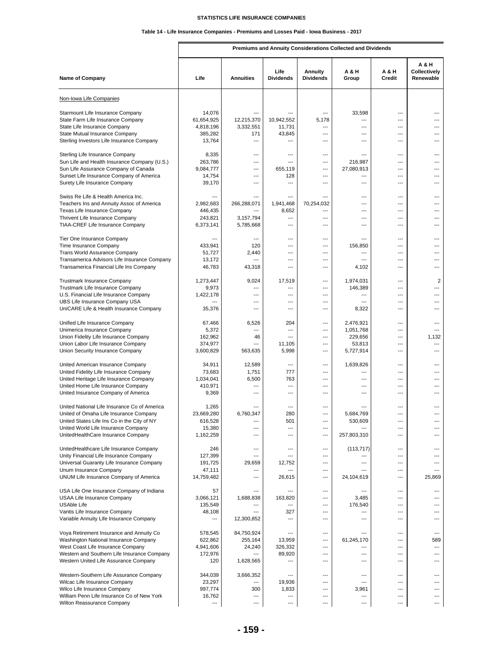# **Table 14 - Life Insurance Companies - Premiums and Losses Paid - Iowa Business - 2017**

**Premiums and Annuity Considerations Collected and Dividends**

| <b>Name of Company</b>                       | Life       | <b>Annuities</b>       | Life<br><b>Dividends</b> | Annuity<br><b>Dividends</b> | <b>A &amp; H</b><br>Group | A & H<br>Credit          | A & H<br>Collectively<br>Renewable |
|----------------------------------------------|------------|------------------------|--------------------------|-----------------------------|---------------------------|--------------------------|------------------------------------|
| Non-Iowa Life Companies                      |            |                        |                          |                             |                           |                          |                                    |
| Starmount Life Insurance Company             | 14,076     | ---                    |                          | ---                         | 33,598                    | ---                      | ---                                |
| State Farm Life Insurance Company            | 61,654,925 | 12,215,370             | 10,942,552               | 5,178                       | ---                       | ---                      | ---                                |
| State Life Insurance Company                 | 4,818,196  | 3,332,551              | 11,731                   | ---                         | ---                       | ---                      |                                    |
| State Mutual Insurance Company               | 385,282    | 171                    | 43,845                   | ---                         | ---                       | ---                      | ---                                |
| Sterling Investors Life Insurance Company    | 13,764     | ---                    | $\overline{a}$           | ---                         | ---                       | ---                      | ---                                |
|                                              |            |                        |                          |                             |                           |                          |                                    |
| Sterling Life Insurance Company              | 8,335      | $---$                  | $\overline{a}$           | $---$                       | ---                       | ---                      | $---$                              |
| Sun Life and Health Insurance Company (U.S.) | 263,786    | ---                    | $\overline{a}$           | ---                         | 216,987                   | ---                      | $---$                              |
| Sun Life Assurance Company of Canada         | 9,084,777  | ---                    | 655,119                  | ---                         | 27,080,913                | ---                      | ---                                |
| Sunset Life Insurance Company of America     | 14,754     | ---                    | 128                      | ---                         | ---                       | ---                      | ---                                |
| Surety Life Insurance Company                | 39,170     | ---                    | $\overline{a}$           | ---                         | ---                       | ---                      | ---                                |
| Swiss Re Life & Health America Inc.          | ---        | ---                    | $---$                    | ---                         | ---                       | ---                      | $---$                              |
| Teachers Ins and Annuity Assoc of America    | 2,982,683  | 266,288,071            | 1,941,468                | 70,254,032                  | ---                       | ---                      | ---                                |
| Texas Life Insurance Company                 | 446,435    |                        | 8,652                    | ---                         | ---                       | ---                      | ---                                |
| Thrivent Life Insurance Company              | 243,821    | 3,157,794              | ---                      | ---                         | ---                       | ---                      | ---                                |
| TIAA-CREF Life Insurance Company             | 6,373,141  | 5,785,668              | ---                      | ---                         | ---                       | ---                      | ---                                |
| Tier One Insurance Company                   | ---        | ---                    | $\overline{a}$           | ---                         | ---                       | ---                      | ---                                |
| Time Insurance Company                       | 433,941    | 120                    | $---$                    | ---                         | 156,850                   | ---                      | $---$                              |
| Trans World Assurance Company                | 51,727     | 2,440                  | ---                      | ---                         | ---                       | ---                      | ---                                |
| Transamerica Advisors Life Insurance Company | 13,172     | ---                    | ---                      | ---                         | ---                       | ---                      |                                    |
| Transamerica Financial Life Ins Company      | 46,783     | 43,318                 | ---                      | ---                         | 4,102                     | ---                      | ---                                |
| <b>Trustmark Insurance Company</b>           | 1,273,447  | 9,024                  | 17,519                   | ---                         | 1,974,031                 | $\overline{\phantom{a}}$ | $\overline{2}$                     |
| Trustmark Life Insurance Company             | 9,973      | ---                    | $\overline{a}$           | ---                         | 146,389                   | ---                      | $\overline{a}$                     |
| U.S. Financial Life Insurance Company        | 1,422,178  | ---                    | $\overline{a}$           | $---$                       | ---                       | $---$                    | ---                                |
| UBS Life Insurance Company USA               | ---        | ---                    | ---                      | ---                         | ---                       | ---                      | ---                                |
| UniCARE Life & Health Insurance Company      | 35,376     | ---                    | ---                      | ---                         | 8,322                     | ---                      | ---                                |
| Unified Life Insurance Company               | 67,466     | 6,526                  | 204                      | ---                         | 2,476,921                 | ---                      | ---                                |
| Unimerica Insurance Company                  | 5,372      | ---                    | $\overline{a}$           | $\overline{a}$              | 1,051,768                 | $---$                    | $\overline{a}$                     |
| Union Fidelity Life Insurance Company        | 162,962    | 46                     | $\overline{\phantom{a}}$ | $\overline{a}$              | 229,656                   | $\overline{\phantom{a}}$ | 1,132                              |
| Union Labor Life Insurance Company           | 374,977    | ---                    | 11,105                   | ---                         | 53,813                    | ---                      | ---                                |
| Union Security Insurance Company             | 3,600,829  | 563,635                | 5,998                    | ---                         | 5,727,914                 | ---                      | $---$                              |
| United American Insurance Company            | 34,911     | 12,589                 | ---                      | ---                         | 1,639,826                 | ---                      | ---                                |
| United Fidelity Life Insurance Company       | 73,683     | 1,751                  | 777                      | ---                         | ---                       | ---                      | ---                                |
| United Heritage Life Insurance Company       | 1,034,041  | 6,500                  | 763                      | $\overline{a}$              | ---                       | $\overline{\phantom{a}}$ | $\overline{a}$                     |
| United Home Life Insurance Company           | 410,971    | ---                    | ---                      | ---                         | ---                       | ---                      | ---                                |
| United Insurance Company of America          | 9,369      | ---                    | ---                      | ---                         | ---                       | ---                      | ---                                |
| United National Life Insurance Co of America | 1,265      |                        |                          | ---                         |                           | ---                      |                                    |
| United of Omaha Life Insurance Company       | 23,669,280 | 6,760,347              | 280                      | ---                         | 5,684,769                 | ---                      | ---                                |
| United States Life Ins Co in the City of NY  | 616,528    |                        | 501                      |                             | 530,609                   |                          |                                    |
| United World Life Insurance Company          | 15,380     |                        | ---                      | ---                         |                           | ---                      |                                    |
| UnitedHealthCare Insurance Company           | 1,162,259  | ---                    | ---                      | ---                         | 257,803,310               | ---                      | ---                                |
| UnitedHealthcare Life Insurance Company      | 246        | ---                    | ---                      | ---                         | (113, 717)                | ---                      | ---                                |
| Unity Financial Life Insurance Company       | 127,399    | ---                    | ---                      | ---                         |                           | ---                      |                                    |
| Universal Guaranty Life Insurance Company    | 191,725    | 29,659                 | 12,752                   | $---$                       | ---                       | ---                      | ---                                |
| Unum Insurance Company                       | 47,111     | ---                    |                          | ---                         |                           | ---                      | ---                                |
| UNUM Life Insurance Company of America       | 14,759,482 | ---                    | 26,615                   | ---                         | 24,104,619                | ---                      | 25,869                             |
| USA Life One Insurance Company of Indiana    | 57         | ---                    |                          | ---                         |                           | ---                      | ---                                |
| USAA Life Insurance Company                  | 3,066,121  | 1,688,838              | 163,820                  | ---                         | 3,485                     | ---                      | ---                                |
| USAble Life                                  | 135,549    | ---                    | $---$                    | ---                         | 176,540                   | ---                      | ---                                |
| Vantis Life Insurance Company                | 48,108     | ---                    | 327                      | ---                         | ---                       | ---                      | $---$                              |
| Variable Annuity Life Insurance Company      | ---        | 12,300,852             |                          | ---                         | ---                       | ---                      | ---                                |
| Voya Retirement Insurance and Annuity Co     | 578,545    | 84,750,924             | ---                      | ---                         | ---                       | ---                      | $---$                              |
| Washington National Insurance Company        | 622,862    | 255,164                | 13,959                   | ---                         | 61,245,170                | ---                      | 589                                |
| West Coast Life Insurance Company            | 4,941,606  | 24,240                 | 326,332                  | ---                         | ---                       | ---                      | ---                                |
| Western and Southern Life Insurance Company  | 172,976    | ---                    | 89,920                   | ---                         | ---                       | ---                      | ---                                |
| Western United Life Assurance Company        | 120        | 1,628,565              |                          | ---                         | ---                       | ---                      | ---                                |
| Western-Southern Life Assurance Company      | 344,039    | 3,666,352              | ---                      | $---$                       | ---                       | ---                      | ---                                |
| Wilcac Life Insurance Company                | 23,297     | $\qquad \qquad \cdots$ | 19,936                   | ---                         | ---                       | $\overline{\phantom{a}}$ | ---                                |
| Wilco Life Insurance Company                 | 997,774    | 300                    | 1,833                    | ---                         | 3,961                     | ---                      | ---                                |
| William Penn Life Insurance Co of New York   | 16,762     | $\overline{a}$         | ---                      | ---                         | ---                       | ---                      | ---                                |
| Wilton Reassurance Company                   |            | ---                    | $\overline{a}$           | ---                         | ---                       | ---                      | ---                                |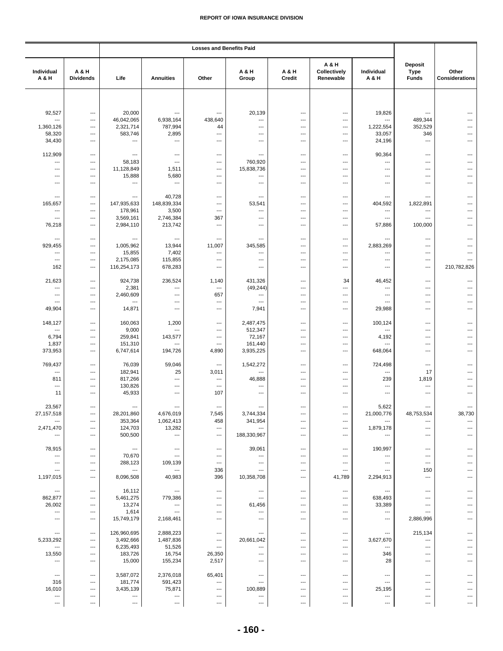|                                 |                           |                          |                                    | <b>Losses and Benefits Paid</b>   |                          |                          |                                    |                          |                                               |                                |
|---------------------------------|---------------------------|--------------------------|------------------------------------|-----------------------------------|--------------------------|--------------------------|------------------------------------|--------------------------|-----------------------------------------------|--------------------------------|
| Individual<br>A & H             | A & H<br><b>Dividends</b> | Life                     | <b>Annuities</b>                   | Other                             | A & H<br>Group           | A & H<br>Credit          | A & H<br>Collectively<br>Renewable | Individual<br>A & H      | <b>Deposit</b><br><b>Type</b><br><b>Funds</b> | Other<br><b>Considerations</b> |
|                                 |                           |                          |                                    |                                   |                          |                          |                                    |                          |                                               |                                |
| 92,527                          | $\overline{\phantom{a}}$  | 20,000                   | $\overline{\phantom{a}}$           | ---                               | 20,139                   | ---                      | ---                                | 19,826                   | ---                                           |                                |
| ---                             | ---                       | 46,042,065               | 6,938,164                          | 438,640                           | ---                      | $\overline{a}$           | $\overline{\phantom{a}}$           | ---                      | 489,344                                       |                                |
| 1,360,126                       | ---                       | 2,321,714                | 787,994                            | 44                                | ---                      | ---                      | ---                                | 1,222,554                | 352,529                                       |                                |
| 58,320                          | ---                       | 583,746                  | 2,895                              | $\overline{\phantom{a}}$          | ---                      | ---                      | ---                                | 33,057                   | 346                                           |                                |
| 34,430                          | ---                       | ---                      | ---                                | $\overline{\phantom{a}}$          | $\overline{\phantom{a}}$ | ---                      | ---                                | 24,196                   | ---                                           |                                |
|                                 |                           |                          |                                    |                                   |                          |                          |                                    |                          |                                               |                                |
| 112,909                         | ---                       | $\overline{\phantom{a}}$ | $\overline{\phantom{a}}$           | $\overline{\phantom{a}}$          | ---                      | ---                      | ---                                | 90,364                   | ---                                           |                                |
| ---                             | ---                       | 58,183                   | ---                                | $\overline{\phantom{a}}$          | 760,920                  | $\overline{a}$           | $\overline{\phantom{a}}$           | $\overline{a}$           | $\overline{a}$                                |                                |
| ---<br>---                      | ---<br>---                | 11,128,849<br>15,888     | 1,511<br>5,680                     | ---<br>$\cdots$                   | 15,838,736<br>---        | ---<br>---               | ---<br>---                         | ---<br>$---$             | ---<br>$---$                                  | ---                            |
| ---                             | ---                       | ---                      | ---                                | $---$                             | ---                      | ---                      | ---                                | ---                      | $---$                                         |                                |
|                                 |                           |                          |                                    |                                   |                          |                          |                                    |                          |                                               |                                |
| ---                             | $\overline{\phantom{a}}$  | $\overline{\phantom{a}}$ | 40,728                             | $\overline{\phantom{a}}$          | ---                      | ---                      | ---                                | ---                      | ---                                           |                                |
| 165,657                         | ---                       | 147,935,633              | 148,839,334                        | $\overline{\phantom{a}}$          | 53,541                   | $\overline{a}$           | ---                                | 404,592                  | 1,822,891                                     |                                |
| ---                             | $\overline{\phantom{a}}$  | 178,961                  | 3,500                              | ---                               | ---                      | ---                      | ---                                | $\cdots$                 | ---                                           |                                |
| ---                             | ---                       | 3,569,161                | 2,746,384                          | 367                               | ---                      | ---                      | ---                                | ---                      | ---                                           |                                |
| 76,218                          | ---                       | 2,984,110                | 213,742                            | $\overline{\phantom{a}}$          | $\overline{\phantom{a}}$ | ---                      | ---                                | 57,886                   | 100,000                                       | ---                            |
| ---                             | ---                       | ---                      | $\overline{\phantom{a}}$           | $\hspace{0.05cm} \ldots$          | ---                      | ---                      | ---                                | ---                      | ---                                           |                                |
| 929,455                         | ---                       | 1,005,962                | 13,944                             | 11,007                            | 345,585                  | $---$                    | ---                                | 2,883,269                | $---$                                         |                                |
| ---                             | ---                       | 15,855                   | 7,402                              | $\hspace{0.05cm} \ldots$          | ---                      | ---                      | ---                                | ---                      | ---                                           |                                |
| ---                             | ---                       | 2,175,085                | 115,855                            | $\overline{a}$                    | ---                      | ---                      | ---                                | ---                      | $\hspace{0.05cm} \ldots$                      |                                |
| 162                             | ---                       | 116,254,173              | 678,283                            | $\hspace{0.05cm} \ldots$          | ---                      | ---                      | ---                                | ---                      | $\overline{\phantom{a}}$                      | 210,782,826                    |
| 21,623                          | ---                       | 924,738                  | 236,524                            | 1,140                             | 431,326                  | ---                      | 34                                 | 46,452                   | ---                                           |                                |
| ---                             | ---                       | 2,381                    | $\overline{\phantom{a}}$           | ---                               | (49, 244)                | $---$                    | ---                                | ---                      | $---$                                         | ---                            |
| $\overline{a}$                  | ---                       | 2,460,609                | $---$                              | 657                               | $\overline{\phantom{a}}$ | $\overline{a}$           | ---                                | $\overline{a}$           | ---                                           | $---$                          |
| ---                             | ---                       | ---                      | ---                                | ---                               | ---                      | ---                      | ---                                | ---                      | ---                                           |                                |
| 49,904                          | ---                       | 14,871                   | $\overline{\phantom{a}}$           | $\cdots$                          | 7,941                    | ---                      | ---                                | 29,988                   | ---                                           | ---                            |
|                                 |                           |                          |                                    |                                   |                          |                          |                                    |                          |                                               |                                |
| 148,127                         | ---                       | 160,063                  | 1,200                              | $\hspace{0.05cm} \ldots$          | 2,487,475                | ---                      | ---                                | 100,124                  | $\overline{a}$                                |                                |
| $\qquad \qquad \cdots$<br>6,794 | ---<br>---                | 9,000<br>259,841         | ---                                | $\overline{\phantom{a}}$<br>$---$ | 512,347<br>72,167        | ---<br>$\overline{a}$    | ---<br>---                         | $\overline{a}$<br>4,192  | ---<br>---                                    | ---                            |
| 1,837                           | ---                       | 151,310                  | 143,577<br>---                     | ---                               | 161,440                  | $\overline{\phantom{a}}$ | ---                                | ---                      | ---                                           | ---                            |
| 373,953                         | ---                       | 6,747,614                | 194,726                            | 4,890                             | 3,935,225                | $---$                    | ---                                | 648,064                  | $---$                                         | ---                            |
|                                 |                           |                          |                                    |                                   |                          |                          |                                    |                          |                                               |                                |
| 769,437                         | ---                       | 76,039                   | 59,046                             | ---                               | 1,542,272                | ---                      | ---                                | 724,498                  | ---                                           |                                |
| $\overline{a}$                  | ---                       | 182,941                  | 25                                 | 3,011                             | ---                      | $---$                    | ---                                | $---$                    | 17                                            |                                |
| 811<br>---                      | ---<br>---                | 817,266<br>130,826       | ---<br>---                         | ---<br>---                        | 46,888<br>---            | ---<br>---               | ---<br>---                         | 239<br>---               | 1,819<br>---                                  |                                |
| 11                              | ---                       | 45,933                   | ---                                | 107                               | ---                      | ---                      | ---                                | ---                      | ---                                           | ---                            |
|                                 |                           |                          |                                    |                                   |                          |                          |                                    |                          |                                               |                                |
| 23,567                          | ---                       | ---                      | $\overline{\phantom{a}}$           | ---                               | ---                      | ---                      | ---                                | 5,622                    | $\overline{a}$                                |                                |
| 27, 157, 518                    | ---                       | 28,201,860               | 4,676,019                          | 7,545                             | 3,744,334                | ---                      | ---                                | 21,000,776               | 48,753,534                                    | 38,730                         |
| ---                             | ---                       | 353,364                  | 1,062,413                          | 458                               | 341,954                  | ---                      | ---                                | ---                      | ---                                           | $\hspace{0.05cm} \ldots$       |
| 2,471,470                       | ---                       | 124,703<br>500,500       | 13,282<br>$\overline{\phantom{a}}$ | ---                               | ---                      | ---                      | ---                                | 1,879,178                | ---                                           | ---                            |
| ---                             | ---                       |                          |                                    | $\hspace{0.05cm} \ldots$          | 188,330,967              | ---                      | ---                                | ---                      | ---                                           |                                |
| 78,915                          | ---                       | $\hspace{0.05cm} \ldots$ | $\overline{\phantom{a}}$           | $\hspace{0.05cm} \ldots$          | 39,061                   | ---                      | ---                                | 190,997                  | $\overline{\phantom{a}}$                      |                                |
| ---                             | ---                       | 70,670                   | ---                                | $\hspace{0.05cm} \ldots$          | ---                      | ---                      | ---                                | ---                      | ---                                           |                                |
| $\cdots$                        | $---$                     | 288,123                  | 109,139                            | $\hspace{0.05cm} \ldots$          | $\overline{\phantom{a}}$ | $---$                    | $\overline{\phantom{a}}$           | $\overline{\phantom{a}}$ | $---$                                         |                                |
| $\cdots$                        | ---                       | $\hspace{0.05cm} \ldots$ | $\overline{\phantom{a}}$           | 336                               | $\overline{\phantom{a}}$ | ---                      | $\overline{\phantom{a}}$           | ---                      | 150                                           |                                |
| 1,197,015                       | ---                       | 8,096,508                | 40,983                             | 396                               | 10,358,708               | ---                      | 41,789                             | 2,294,913                | ---                                           |                                |
| $\overline{\phantom{a}}$        | $\overline{a}$            | 16,112                   | $\overline{\phantom{a}}$           | $\overline{a}$                    | ---                      | ---                      | ---                                | $\overline{a}$           | ---                                           |                                |
| 862,877                         | $\hspace{0.05cm} \ldots$  | 5,461,275                | 779,386                            | $\hspace{0.05cm} \ldots$          | ---                      | ---                      | ---                                | 638,493                  | $\overline{a}$                                |                                |
| 26,002                          | ---                       | 13,274                   | ---                                | ---                               | 61,456                   | ---                      | $\overline{\phantom{a}}$           | 33,389                   | ---                                           |                                |
| ---                             | $\overline{\phantom{a}}$  | 1,614                    | $\overline{\phantom{a}}$           | $---$                             | $\hspace{0.05cm} \ldots$ | ---                      | $\overline{\phantom{a}}$           | $\hspace{0.05cm} \ldots$ | ---                                           |                                |
| ---                             | ---                       | 15,749,179               | 2,168,461                          | $\hspace{0.05cm} \ldots$          | ---                      | ---                      | ---                                | ---                      | 2,886,996                                     |                                |
| ---                             | $\overline{\phantom{a}}$  | 126,960,695              | 2,888,223                          | ---                               | $\qquad \qquad \cdots$   | ---                      | ---                                | $\qquad \qquad \cdots$   | 215,134                                       |                                |
| 5,233,292                       | ---                       | 3,492,666                | 1,487,836                          | $\hspace{0.05cm} \ldots$          | 20,661,042               | ---                      | $\overline{\phantom{a}}$           | 3,627,670                | $\overline{a}$                                |                                |
| $\cdots$                        | $---$                     | 6,235,493                | 51,526                             | $\hspace{0.05cm} \ldots$          | $\overline{\phantom{a}}$ | ---                      | $\overline{\phantom{a}}$           | $\overline{\phantom{a}}$ | $\overline{\phantom{a}}$                      |                                |
| 13,550                          | $---$                     | 183,726                  | 16,754                             | 26,350                            | $\overline{\phantom{a}}$ | ---                      | $\overline{\phantom{a}}$           | 346                      | $---$                                         |                                |
| $\cdots$                        | $\hspace{0.05cm} \ldots$  | 15,000                   | 155,234                            | 2,517                             | ---                      | ---                      | ---                                | 28                       | $\hspace{0.05cm} \ldots$                      |                                |
| $\overline{\phantom{a}}$        | $\overline{\phantom{a}}$  | 3,587,072                | 2,376,018                          | 65,401                            | $\overline{a}$           | ---                      | ---                                | $\overline{a}$           | ---                                           |                                |
| 316                             | ---                       | 181,774                  | 591,423                            | ---                               | $\overline{a}$           | ---                      | ---                                | $\overline{\phantom{a}}$ | $\overline{a}$                                |                                |
| 16,010                          | ---                       | 3,435,139                | 75,871                             | ---                               | 100,889                  | ---                      | ---                                | 25,195                   | ---                                           |                                |
| $\hspace{0.05cm} \cdots$        | $\overline{\phantom{a}}$  | $\hspace{0.05cm} \ldots$ | $\hspace{0.05cm} \cdots$           | $\qquad \qquad \cdots$            | ---                      | ---                      | ---                                | $\scriptstyle\cdots$     | $\overline{\phantom{a}}$                      | $---$                          |
| $\cdots$                        | ---                       | ---                      | $\ldots$                           | ---                               | ---                      | ---                      | ---                                | $\hspace{0.05cm} \ldots$ | ---                                           | ---                            |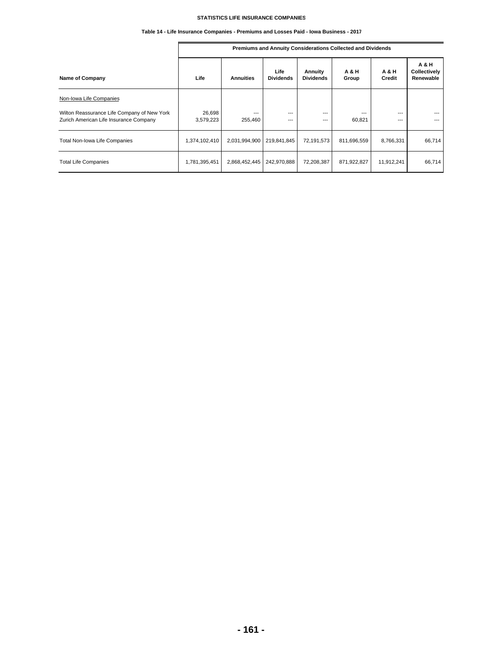# **Table 14 - Life Insurance Companies - Premiums and Losses Paid - Iowa Business - 2017**

|                                                                                       |                     |                  |                          |                             | Premiums and Annuity Considerations Collected and Dividends |                          |                                             |
|---------------------------------------------------------------------------------------|---------------------|------------------|--------------------------|-----------------------------|-------------------------------------------------------------|--------------------------|---------------------------------------------|
| <b>Name of Company</b>                                                                | Life                | <b>Annuities</b> | Life<br><b>Dividends</b> | Annuity<br><b>Dividends</b> | <b>A&amp;H</b><br>Group                                     | <b>A&amp;H</b><br>Credit | <b>A&amp;H</b><br>Collectively<br>Renewable |
| Non-Iowa Life Companies                                                               |                     |                  |                          |                             |                                                             |                          |                                             |
| Wilton Reassurance Life Company of New York<br>Zurich American Life Insurance Company | 26,698<br>3,579,223 | ---<br>255,460   | $---$<br>$---$           | $---$<br>$- - -$            | ---<br>60,821                                               | $---$<br>$- - -$         | ---<br>---                                  |
| Total Non-Iowa Life Companies                                                         | 1,374,102,410       | 2,031,994,900    | 219,841,845              | 72,191,573                  | 811,696,559                                                 | 8,766,331                | 66,714                                      |
| <b>Total Life Companies</b>                                                           | 1,781,395,451       | 2,868,452,445    | 242,970,888              | 72,208,387                  | 871,922,827                                                 | 11,912,241               | 66,714                                      |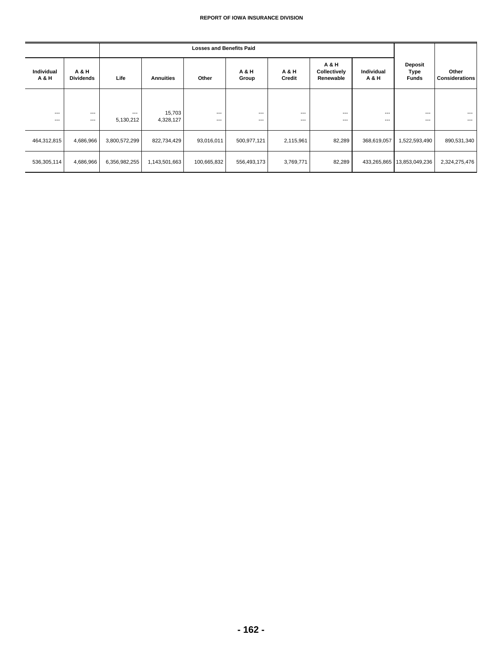|                            |                           |                   |                     | <b>Losses and Benefits Paid</b> |                         |                 |                                    |                     |                                        |                                |
|----------------------------|---------------------------|-------------------|---------------------|---------------------------------|-------------------------|-----------------|------------------------------------|---------------------|----------------------------------------|--------------------------------|
| <b>Individual</b><br>A & H | A & H<br><b>Dividends</b> | Life              | <b>Annuities</b>    | Other                           | <b>A&amp;H</b><br>Group | A & H<br>Credit | A & H<br>Collectively<br>Renewable | Individual<br>A & H | <b>Deposit</b><br>Type<br><b>Funds</b> | Other<br><b>Considerations</b> |
|                            |                           |                   |                     |                                 |                         |                 |                                    |                     |                                        |                                |
| $---$<br>$---$             | $---$<br>$---$            | $--$<br>5,130,212 | 15,703<br>4,328,127 | $---$<br>$---$                  | $---$<br>$---$          | $---$<br>$---$  | $---$<br>$---$                     | $---$<br>$---$      | $---$<br>$---$                         | $\cdots$<br>$---$              |
| 464,312,815                | 4,686,966                 | 3,800,572,299     | 822,734,429         | 93,016,011                      | 500,977,121             | 2,115,961       | 82,289                             | 368,619,057         | 1,522,593,490                          | 890,531,340                    |
| 536,305,114                | 4,686,966                 | 6,356,982,255     | 1,143,501,663       | 100,665,832                     | 556,493,173             | 3,769,771       | 82,289                             | 433,265,865         | 13,853,049,236                         | 2,324,275,476                  |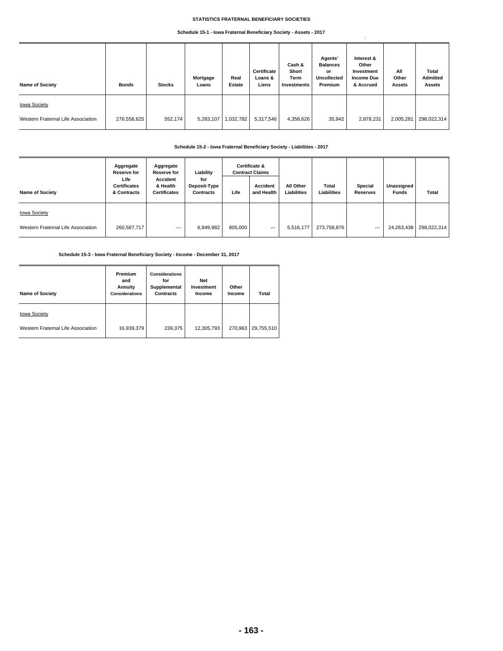# **STATISTICS FRATERNAL BENEFICIARY SOCIETIES**

## **Schedule 15-1 - Iowa Fraternal Beneficiary Society - Assets - 2017**

| <b>Name of Society</b>             | <b>Bonds</b> | <b>Stocks</b> | Mortgage<br>Loans | Real<br><b>Estate</b> | Certificate<br>Loans &<br>Liens | Cash &<br>Short<br>Term<br>Investments | Agents'<br><b>Balances</b><br>or<br><b>Uncollected</b><br>Premium | Interest &<br>Other<br>Investment<br><b>Income Due</b><br>& Accrued | All<br>Other<br><b>Assets</b> | Total<br><b>Admitted</b><br><b>Assets</b> |
|------------------------------------|--------------|---------------|-------------------|-----------------------|---------------------------------|----------------------------------------|-------------------------------------------------------------------|---------------------------------------------------------------------|-------------------------------|-------------------------------------------|
| <b>Iowa Society</b>                |              |               |                   |                       |                                 |                                        |                                                                   |                                                                     |                               |                                           |
| Western Fraternal Life Association | 276,558,625  | 552,174       | 5,283,107         | 1,032,782             | 5,317,546                       | 4,358,626                              | 35,942                                                            | 2,878,231                                                           | 2,005,281                     | 298,022,314                               |

# **Schedule 15-2 - Iowa Fraternal Beneficiary Society - Liabilities - 2017**

|                                    | Aggregate<br><b>Reserve for</b>            | Aggregate<br><b>Reserve for</b>             | Liability                               |         | Certificate &<br><b>Contract Claims</b> |                          |                      |                            |                            |                        |
|------------------------------------|--------------------------------------------|---------------------------------------------|-----------------------------------------|---------|-----------------------------------------|--------------------------|----------------------|----------------------------|----------------------------|------------------------|
| <b>Name of Society</b>             | Life<br><b>Certificates</b><br>& Contracts | Accident<br>& Health<br><b>Certificates</b> | for<br>Deposit-Type<br><b>Contracts</b> | Life    | <b>Accident</b><br>and Health           | All Other<br>Liabilities | Total<br>Liabilities | Special<br><b>Reserves</b> | Unassigned<br><b>Funds</b> | <b>Total</b>           |
| <b>Iowa Society</b>                |                                            |                                             |                                         |         |                                         |                          |                      |                            |                            |                        |
| Western Fraternal Life Association | 260,587,717                                | $---$                                       | 6,849,982                               | 805,000 | $\overline{\phantom{a}}$                | 5,516,177                | 273,758,876          | $---$                      |                            | 24,263,438 298,022,314 |

# **Schedule 15-3 - Iowa Fraternal Beneficiary Society - Income - December 31, 2017**

| <b>Name of Society</b>             | Premium<br>and<br>Annuity<br><b>Considerations</b> | <b>Considerations</b><br>for<br>Supplemental<br><b>Contracts</b> | Net<br>Investment<br>Income | Other<br>Income | Total      |
|------------------------------------|----------------------------------------------------|------------------------------------------------------------------|-----------------------------|-----------------|------------|
| <b>Iowa Society</b>                |                                                    |                                                                  |                             |                 |            |
| Western Fraternal Life Association | 16,939,379                                         | 239,375                                                          | 12,305,793                  | 270.963         | 29,755,510 |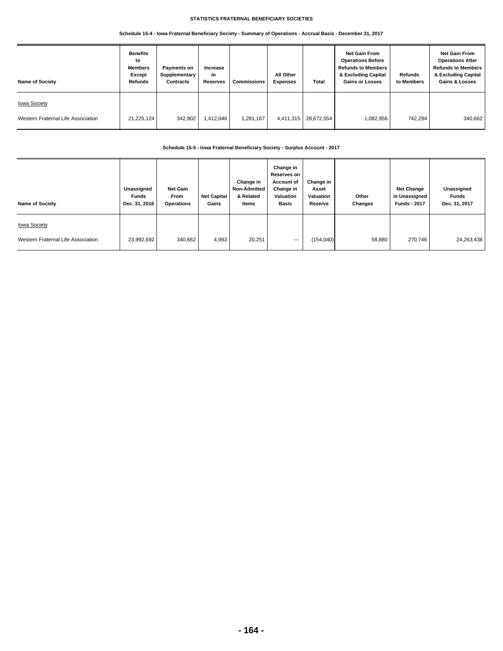# **STATISTICS FRATERNAL BENEFICIARY SOCIETIES**

# **Schedule 15-4 - Iowa Fraternal Beneficiary Society - Summary of Operations - Accrual Basis - December 31, 2017**

| <b>Name of Society</b>                                    | <b>Benefits</b><br>to<br><b>Members</b><br>Except<br>Refunds | Payments on<br>Supplementary<br><b>Contracts</b> | Increase<br>in<br><b>Reserves</b> | Commissions | All Other<br><b>Expenses</b> | Total      | <b>Net Gain From</b><br><b>Operations Before</b><br><b>Refunds to Members</b><br>& Excluding Capital<br><b>Gains or Losses</b> | Refunds<br>to Members | <b>Net Gain From</b><br><b>Operations After</b><br><b>Refunds to Members</b><br>& Excluding Capital<br><b>Gains &amp; Losses</b> |
|-----------------------------------------------------------|--------------------------------------------------------------|--------------------------------------------------|-----------------------------------|-------------|------------------------------|------------|--------------------------------------------------------------------------------------------------------------------------------|-----------------------|----------------------------------------------------------------------------------------------------------------------------------|
| <b>Iowa Society</b><br>Western Fraternal Life Association | 21,225,124                                                   | 342,902                                          | 1,412,046                         | 1,281,167   | 4,411,315                    | 28,672,554 | 1,082,956                                                                                                                      | 742,294               | 340,662                                                                                                                          |

# **Schedule 15-5 - Iowa Fraternal Beneficiary Society - Surplus Account - 2017**

| <b>Name of Society</b>             | Unassigned<br>Funds<br>Dec. 31, 2016 | <b>Net Gain</b><br>From<br><b>Operations</b> | <b>Net Capital</b><br>Gains | Change in<br><b>Non-Admitted</b><br>& Related<br>Items | Change in<br>Reserves on<br><b>Account of</b><br>Change in<br>Valuation<br><b>Basis</b> | Change in<br>Asset<br>Valuation<br>Reserve | Other<br>Changes | <b>Net Change</b><br>in Unassigned<br><b>Funds - 2017</b> | Unassigned<br><b>Funds</b><br>Dec. 31, 2017 |
|------------------------------------|--------------------------------------|----------------------------------------------|-----------------------------|--------------------------------------------------------|-----------------------------------------------------------------------------------------|--------------------------------------------|------------------|-----------------------------------------------------------|---------------------------------------------|
| <b>Iowa Society</b>                |                                      |                                              |                             |                                                        |                                                                                         |                                            |                  |                                                           |                                             |
| Western Fraternal Life Association | 23,992,692                           | 340,662                                      | 4,993                       | 20,251                                                 | $---$                                                                                   | (154, 040)                                 | 58,880           | 270,746                                                   | 24,263,438                                  |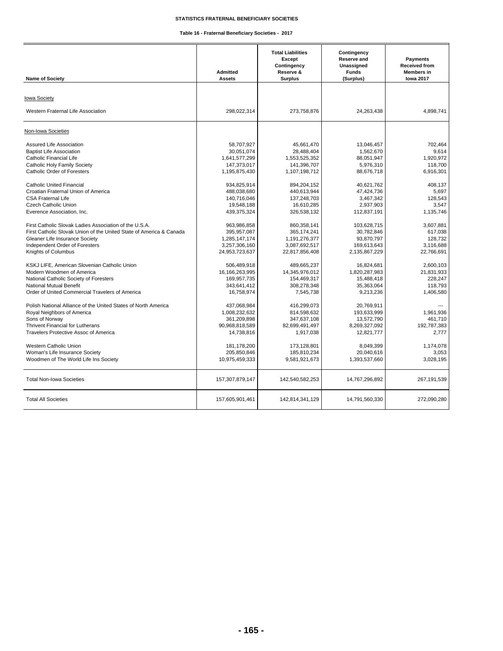# **STATISTICS FRATERNAL BENEFICIARY SOCIETIES**

**Table 16 - Fraternal Beneficiary Societies - 2017**

┯

 $\overline{\mathbf{r}}$ 

| <b>Name of Society</b>                                              | <b>Admitted</b><br><b>Assets</b> | <b>Total Liabilities</b><br><b>Except</b><br>Contingency<br>Reserve &<br><b>Surplus</b> | Contingency<br><b>Reserve and</b><br>Unassigned<br><b>Funds</b><br>(Surplus) | Payments<br><b>Received from</b><br><b>Members</b> in<br><b>lowa 2017</b> |
|---------------------------------------------------------------------|----------------------------------|-----------------------------------------------------------------------------------------|------------------------------------------------------------------------------|---------------------------------------------------------------------------|
|                                                                     |                                  |                                                                                         |                                                                              |                                                                           |
| <b>Iowa Society</b>                                                 |                                  |                                                                                         |                                                                              |                                                                           |
| Western Fraternal Life Association                                  | 298,022,314                      | 273,758,876                                                                             | 24,263,438                                                                   | 4,898,741                                                                 |
| Non-Iowa Societies                                                  |                                  |                                                                                         |                                                                              |                                                                           |
| Assured Life Association                                            | 58.707.927                       | 45.661.470                                                                              | 13.046.457                                                                   | 702.464                                                                   |
| <b>Baptist Life Association</b>                                     | 30,051,074                       | 28,488,404                                                                              | 1,562,670                                                                    | 9.614                                                                     |
| Catholic Financial Life                                             | 1,641,577,299                    | 1,553,525,352                                                                           | 88,051,947                                                                   | 1.920.972                                                                 |
| <b>Catholic Holy Family Society</b>                                 | 147,373,017                      | 141.396.707                                                                             | 5.976.310                                                                    | 118.700                                                                   |
| <b>Catholic Order of Foresters</b>                                  | 1,195,875,430                    | 1,107,198,712                                                                           | 88,676,718                                                                   | 6,916,301                                                                 |
| <b>Catholic United Financial</b>                                    | 934,825,914                      | 894,204,152                                                                             | 40.621.762                                                                   | 408.137                                                                   |
| Croatian Fraternal Union of America                                 | 488,038,680                      | 440,613,944                                                                             | 47,424,736                                                                   | 5.697                                                                     |
| <b>CSA Fraternal Life</b>                                           | 140,716,046                      | 137,248,703                                                                             | 3,467,342                                                                    | 128,543                                                                   |
| Czech Catholic Union                                                | 19,548,188                       | 16.610.285                                                                              | 2.937.903                                                                    | 3.547                                                                     |
| Everence Association, Inc.                                          | 439,375,324                      | 326,538,132                                                                             | 112,837,191                                                                  | 1,135,746                                                                 |
| First Catholic Slovak Ladies Association of the U.S.A.              | 963,986,858                      | 860,358,141                                                                             | 103,628,715                                                                  | 3.607.881                                                                 |
| First Catholic Slovak Union of the United State of America & Canada | 395, 957, 087                    | 365,174,241                                                                             | 30.782.846                                                                   | 617.038                                                                   |
| Gleaner Life Insurance Society                                      | 1,285,147,174                    | 1,191,276,377                                                                           | 93,870,797                                                                   | 128,732                                                                   |
| Independent Order of Foresters                                      | 3.257.306.160                    | 3,087,692,517                                                                           | 169,613,643                                                                  | 3.116.688                                                                 |
| Knights of Columbus                                                 | 24,953,723,637                   | 22,817,856,408                                                                          | 2,135,867,229                                                                | 22,766,691                                                                |
| KSKJ LIFE, American Slovenian Catholic Union                        | 506.489.918                      | 489.665.237                                                                             | 16.824.681                                                                   | 2.600.103                                                                 |
| Modern Woodmen of America                                           | 16,166,263,995                   | 14,345,976,012                                                                          | 1,820,287,983                                                                | 21,831,933                                                                |
| National Catholic Society of Foresters                              | 169,957,735                      | 154,469,317                                                                             | 15,488,418                                                                   | 228,247                                                                   |
| National Mutual Benefit                                             | 343,641,412                      | 308.278.348                                                                             | 35,363,064                                                                   | 118.793                                                                   |
| Order of United Commercial Travelers of America                     | 16,758,974                       | 7,545,738                                                                               | 9,213,236                                                                    | 1,406,580                                                                 |
| Polish National Alliance of the United States of North America      | 437.068.984                      | 416.299.073                                                                             | 20.769.911                                                                   |                                                                           |
| Royal Neighbors of America                                          | 1,008,232,632                    | 814,598,632                                                                             | 193,633,999                                                                  | 1,961,936                                                                 |
| Sons of Norway                                                      | 361,209,898                      | 347,637,108                                                                             | 13,572,790                                                                   | 461,710                                                                   |
| <b>Thrivent Financial for Lutherans</b>                             | 90,968,818,589                   | 82,699,491,497                                                                          | 8,269,327,092                                                                | 192,787,383                                                               |
| Travelers Protective Assoc of America                               | 14,738,816                       | 1,917,038                                                                               | 12,821,777                                                                   | 2,777                                                                     |
| <b>Western Catholic Union</b>                                       | 181,178,200                      | 173.128.801                                                                             | 8.049.399                                                                    | 1.174.078                                                                 |
| Woman's Life Insurance Society                                      | 205,850,846                      | 185,810,234                                                                             | 20,040,616                                                                   | 3.053                                                                     |
| Woodmen of The World Life Ins Society                               | 10,975,459,333                   | 9,581,921,673                                                                           | 1,393,537,660                                                                | 3,028,195                                                                 |
| <b>Total Non-Iowa Societies</b>                                     | 157,307,879,147                  | 142,540,582,253                                                                         | 14,767,296,892                                                               | 267,191,539                                                               |
| <b>Total All Societies</b>                                          | 157,605,901,461                  | 142,814,341,129                                                                         | 14,791,560,330                                                               | 272,090,280                                                               |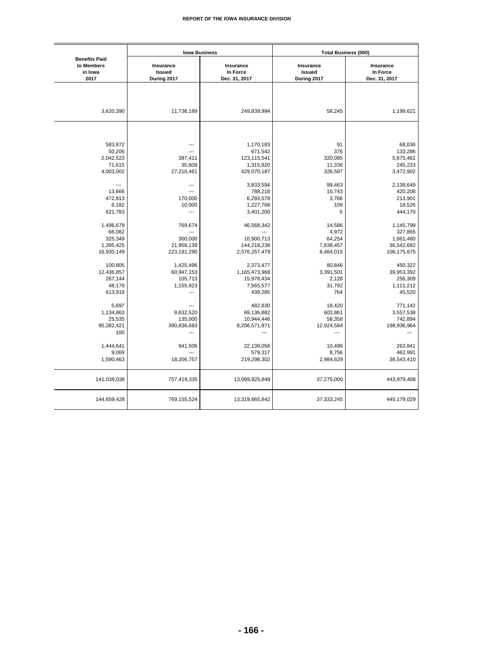|                                                       | <b>Iowa Business</b>               |                                        | <b>Total Business (000)</b>        |                                        |  |  |  |
|-------------------------------------------------------|------------------------------------|----------------------------------------|------------------------------------|----------------------------------------|--|--|--|
| <b>Benefits Paid</b><br>to Members<br>in Iowa<br>2017 | Insurance<br>Issued<br>During 2017 | Insurance<br>In Force<br>Dec. 31, 2017 | Insurance<br>Issued<br>During 2017 | Insurance<br>In Force<br>Dec. 31, 2017 |  |  |  |
|                                                       |                                    |                                        |                                    |                                        |  |  |  |
| 3,620,390                                             | 11,736,189                         | 249,839,994                            | 58,245                             | 1,199,621                              |  |  |  |
|                                                       |                                    |                                        |                                    |                                        |  |  |  |
| 583,872                                               | ---                                | 1,170,183                              | 91                                 | 68,036                                 |  |  |  |
| 50,206                                                | $\overline{a}$                     | 671,542                                | 376                                | 133,286                                |  |  |  |
| 2,042,523                                             | 397,411                            | 123,115,541                            | 320,095                            | 5,675,461                              |  |  |  |
| 71,615                                                | 35,609                             | 1,315,820                              | 11,336                             | 245,233                                |  |  |  |
| 4,003,002                                             | 27,210,461                         | 429,070,187                            | 326,597                            | 3,472,902                              |  |  |  |
| $\overline{\phantom{a}}$                              | ---                                | 3,833,594                              | 99,463                             | 2,138,649                              |  |  |  |
| 13,666                                                | ---                                | 788,218                                | 10,743                             | 420,208                                |  |  |  |
| 472,813                                               | 170,000                            | 6,293,578                              | 3,766                              | 213,901                                |  |  |  |
| 6,182                                                 | 10,000                             | 1,227,768                              | 109                                | 18,526                                 |  |  |  |
| 621,783                                               | ---                                | 3,401,200                              | 5                                  | 444,170                                |  |  |  |
| 1,496,679                                             | 769,674                            | 46,568,342                             | 14,586                             | 1,145,799                              |  |  |  |
| 66,082                                                | ---                                |                                        | 4,972                              | 327,865                                |  |  |  |
| 325,349                                               | 300,000                            | 10,900,713                             | 64,254                             | 1,861,480                              |  |  |  |
| 1,395,425                                             | 21,958,139                         | 144,218,238                            | 7,838,457                          | 36,542,682                             |  |  |  |
| 16,930,149                                            | 223,181,290                        | 2,576,267,479                          | 8,464,015                          | 106,175,675                            |  |  |  |
| 100,805                                               | 1,425,496                          | 2,373,477                              | 80,846                             | 450,322                                |  |  |  |
| 12,436,857                                            | 60,947,153                         | 1,165,473,968                          | 3,391,501                          | 39,953,392                             |  |  |  |
| 267,144                                               | 105,713                            | 15,978,434                             | 2,128                              | 256,309                                |  |  |  |
| 48,178                                                | 1,155,923                          | 7,565,577                              | 31,792                             | 1,111,212                              |  |  |  |
| 613,919                                               | ---                                | 439,285                                | 764                                | 45,520                                 |  |  |  |
| 5,697                                                 | ---                                | 482,830                                | 18,420                             | 771,142                                |  |  |  |
| 1,134,863                                             | 9,632,520                          | 69,136,882                             | 603,861                            | 3,557,538                              |  |  |  |
| 25,535                                                | 135,000                            | 10,944,446                             | 58,358                             | 742,894                                |  |  |  |
| 95,282,421                                            | 390,836,683                        | 8,206,571,871                          | 12,924,584                         | 198,936,964                            |  |  |  |
| 100                                                   | ---                                |                                        | ---                                |                                        |  |  |  |
| 1,444,641                                             | 941,506                            | 22,139,056                             | 10,496                             | 263,841                                |  |  |  |
| 9,069                                                 |                                    | 579,317                                | 8,756                              | 462,991                                |  |  |  |
| 1,590,463                                             | 18,206,757                         | 219,298,302                            | 2,984,629                          | 38,543,410                             |  |  |  |
| 141,039,038                                           | 757,419,335                        | 13,069,825,848                         | 37,275,000                         | 443,979,408                            |  |  |  |
| 144,659,428                                           | 769,155,524                        | 13,319,665,842                         | 37,333,245                         | 445,179,029                            |  |  |  |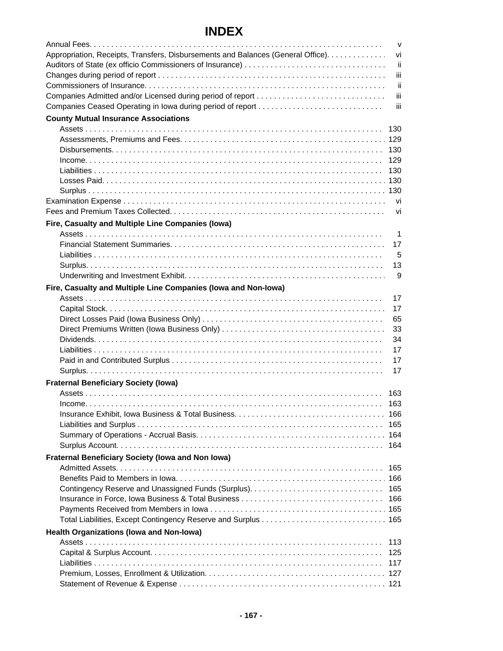# **INDEX**

|                                                                                  | $\mathsf{V}$ |
|----------------------------------------------------------------------------------|--------------|
| Appropriation, Receipts, Transfers, Disbursements and Balances (General Office). | vi           |
|                                                                                  | ii           |
|                                                                                  | iίi          |
|                                                                                  | ii           |
| Companies Admitted and/or Licensed during period of report                       | iii          |
| Companies Ceased Operating in Iowa during period of report                       | iii          |
| <b>County Mutual Insurance Associations</b>                                      |              |
|                                                                                  | 130          |
|                                                                                  |              |
|                                                                                  |              |
|                                                                                  | 129          |
|                                                                                  |              |
|                                                                                  |              |
|                                                                                  |              |
|                                                                                  |              |
|                                                                                  | vi           |
| Fire, Casualty and Multiple Line Companies (lowa)                                |              |
|                                                                                  | 1            |
|                                                                                  | 17           |
|                                                                                  | 5            |
|                                                                                  | 13           |
|                                                                                  | 9            |
| Fire, Casualty and Multiple Line Companies (lowa and Non-Iowa)                   |              |
|                                                                                  | 17           |
|                                                                                  | 17           |
|                                                                                  | 65           |
|                                                                                  | 33           |
|                                                                                  | 34           |
|                                                                                  | 17           |
|                                                                                  | 17           |
|                                                                                  | 17           |
| <b>Fraternal Beneficiary Society (Iowa)</b>                                      |              |
|                                                                                  | 163          |
|                                                                                  | 163          |
|                                                                                  |              |
|                                                                                  | 165          |
|                                                                                  |              |
|                                                                                  | 164          |
| Fraternal Beneficiary Society (Iowa and Non Iowa)                                |              |
|                                                                                  | 165          |
|                                                                                  |              |
|                                                                                  |              |
|                                                                                  | 166          |
|                                                                                  |              |
|                                                                                  |              |
| <b>Health Organizations (lowa and Non-lowa)</b>                                  |              |
|                                                                                  | 113          |
|                                                                                  | 125<br>117   |
|                                                                                  |              |
|                                                                                  |              |
|                                                                                  |              |